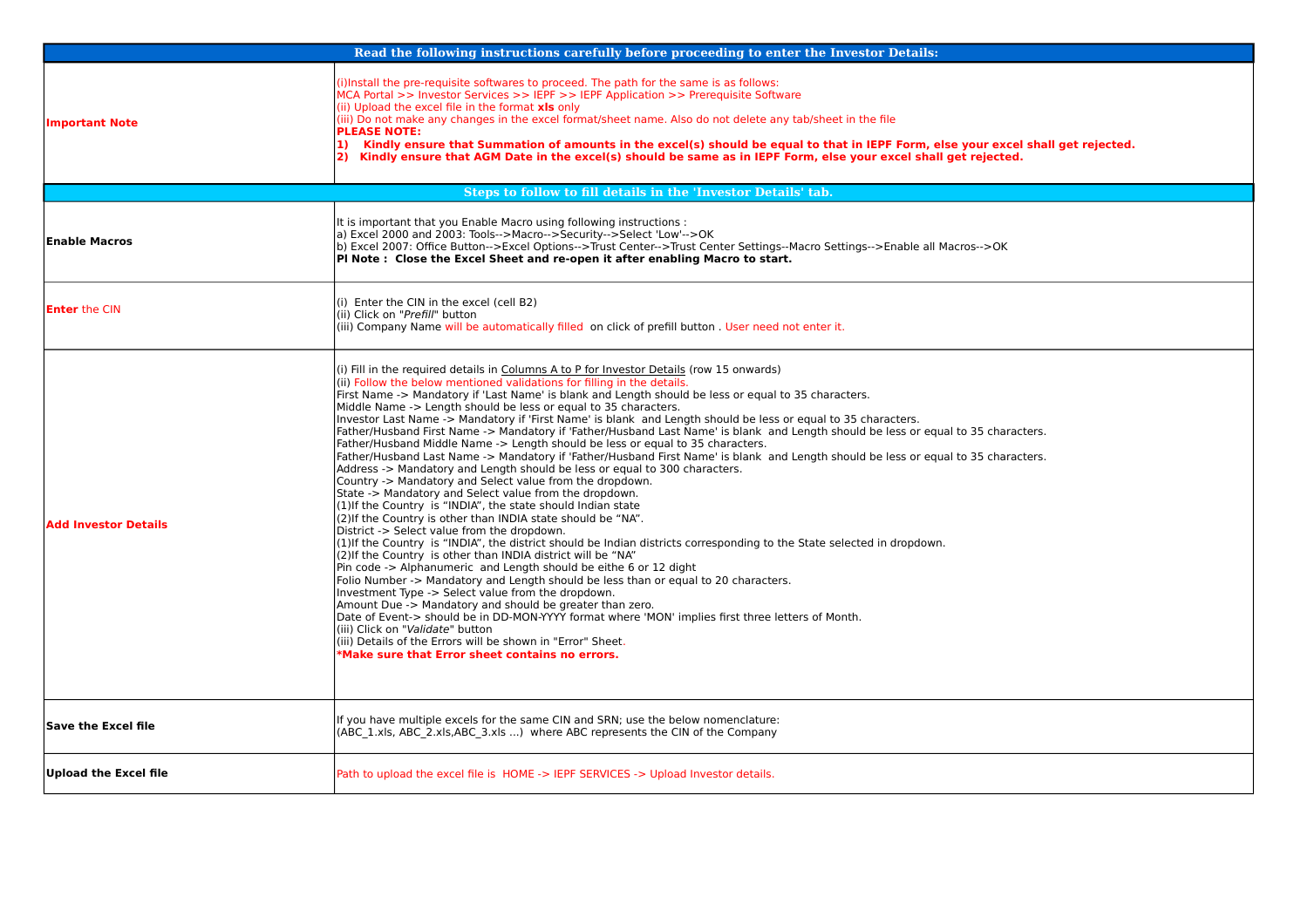|                             | Read the following instructions carefully before proceeding to enter the Investor Details:                                                                                                                                                                                                                                                                                                                                                                                                                                                                                                                                                                                                                                                                                                                                                                                                                                                                                                                                                                                                                                                                                                                                                                                                                                                                                                                                                                                                                                                                                                                                                                                                                                                                                                                                                                                                                                                          |
|-----------------------------|-----------------------------------------------------------------------------------------------------------------------------------------------------------------------------------------------------------------------------------------------------------------------------------------------------------------------------------------------------------------------------------------------------------------------------------------------------------------------------------------------------------------------------------------------------------------------------------------------------------------------------------------------------------------------------------------------------------------------------------------------------------------------------------------------------------------------------------------------------------------------------------------------------------------------------------------------------------------------------------------------------------------------------------------------------------------------------------------------------------------------------------------------------------------------------------------------------------------------------------------------------------------------------------------------------------------------------------------------------------------------------------------------------------------------------------------------------------------------------------------------------------------------------------------------------------------------------------------------------------------------------------------------------------------------------------------------------------------------------------------------------------------------------------------------------------------------------------------------------------------------------------------------------------------------------------------------------|
| <b>Important Note</b>       | i)Install the pre-requisite softwares to proceed. The path for the same is as follows:<br>MCA Portal >> Investor Services >> IEPF >> IEPF Application >> Prerequisite Software<br>(ii) Upload the excel file in the format xls only<br>(iii) Do not make any changes in the excel format/sheet name. Also do not delete any tab/sheet in the file<br><b>PLEASE NOTE:</b><br>Kindly ensure that Summation of amounts in the excel(s) should be equal to that in IEPF Form, else your excel shall get rejected.<br>$\bf{1}$<br>2) Kindly ensure that AGM Date in the excel(s) should be same as in IEPF Form, else your excel shall get rejected.                                                                                                                                                                                                                                                                                                                                                                                                                                                                                                                                                                                                                                                                                                                                                                                                                                                                                                                                                                                                                                                                                                                                                                                                                                                                                                     |
|                             | Steps to follow to fill details in the 'Investor Details' tab.                                                                                                                                                                                                                                                                                                                                                                                                                                                                                                                                                                                                                                                                                                                                                                                                                                                                                                                                                                                                                                                                                                                                                                                                                                                                                                                                                                                                                                                                                                                                                                                                                                                                                                                                                                                                                                                                                      |
| Enable Macros               | It is important that you Enable Macro using following instructions :<br>a) Excel 2000 and 2003: Tools-->Macro-->Security-->Select 'Low'-->OK<br>b) Excel 2007: Office Button-->Excel Options-->Trust Center-->Trust Center Settings--Macro Settings-->Enable all Macros-->OK<br>PI Note: Close the Excel Sheet and re-open it after enabling Macro to start.                                                                                                                                                                                                                                                                                                                                                                                                                                                                                                                                                                                                                                                                                                                                                                                                                                                                                                                                                                                                                                                                                                                                                                                                                                                                                                                                                                                                                                                                                                                                                                                        |
| <b>Enter</b> the CIN        | (i) Enter the CIN in the excel (cell B2)<br>(ii) Click on "Prefill" button<br>(iii) Company Name will be automatically filled on click of prefill button. User need not enter it.                                                                                                                                                                                                                                                                                                                                                                                                                                                                                                                                                                                                                                                                                                                                                                                                                                                                                                                                                                                                                                                                                                                                                                                                                                                                                                                                                                                                                                                                                                                                                                                                                                                                                                                                                                   |
| <b>Add Investor Details</b> | (i) Fill in the required details in Columns A to P for Investor Details (row 15 onwards)<br>(ii) Follow the below mentioned validations for filling in the details.<br>First Name -> Mandatory if 'Last Name' is blank and Length should be less or equal to 35 characters.<br>Middle Name -> Length should be less or equal to 35 characters.<br>Investor Last Name -> Mandatory if 'First Name' is blank and Length should be less or equal to 35 characters.<br>Father/Husband First Name -> Mandatory if 'Father/Husband Last Name' is blank and Length should be less or equal to 35 characters.<br>Father/Husband Middle Name -> Length should be less or equal to 35 characters.<br>Father/Husband Last Name -> Mandatory if 'Father/Husband First Name' is blank and Length should be less or equal to 35 characters.<br>Address -> Mandatory and Length should be less or equal to 300 characters.<br>Country -> Mandatory and Select value from the dropdown.<br>State -> Mandatory and Select value from the dropdown.<br>(1) If the Country is "INDIA", the state should Indian state<br>(2) If the Country is other than INDIA state should be "NA".<br>District -> Select value from the dropdown.<br>(1) If the Country is "INDIA", the district should be Indian districts corresponding to the State selected in dropdown.<br>(2) If the Country is other than INDIA district will be "NA"<br>Pin code -> Alphanumeric and Length should be eithe 6 or 12 dight<br>Folio Number -> Mandatory and Length should be less than or equal to 20 characters.<br>Investment Type -> Select value from the dropdown.<br>Amount Due -> Mandatory and should be greater than zero.<br>Date of Event-> should be in DD-MON-YYYY format where 'MON' implies first three letters of Month.<br>(iii) Click on "Validate" button<br>(iii) Details of the Errors will be shown in "Error" Sheet.<br>Make sure that Error sheet contains no errors. |
| Save the Excel file         | If you have multiple excels for the same CIN and SRN; use the below nomenclature:<br>(ABC 1.xls, ABC 2.xls, ABC 3.xls ) where ABC represents the CIN of the Company                                                                                                                                                                                                                                                                                                                                                                                                                                                                                                                                                                                                                                                                                                                                                                                                                                                                                                                                                                                                                                                                                                                                                                                                                                                                                                                                                                                                                                                                                                                                                                                                                                                                                                                                                                                 |
| Upload the Excel file       | Path to upload the excel file is HOME -> IEPF SERVICES -> Upload Investor details.                                                                                                                                                                                                                                                                                                                                                                                                                                                                                                                                                                                                                                                                                                                                                                                                                                                                                                                                                                                                                                                                                                                                                                                                                                                                                                                                                                                                                                                                                                                                                                                                                                                                                                                                                                                                                                                                  |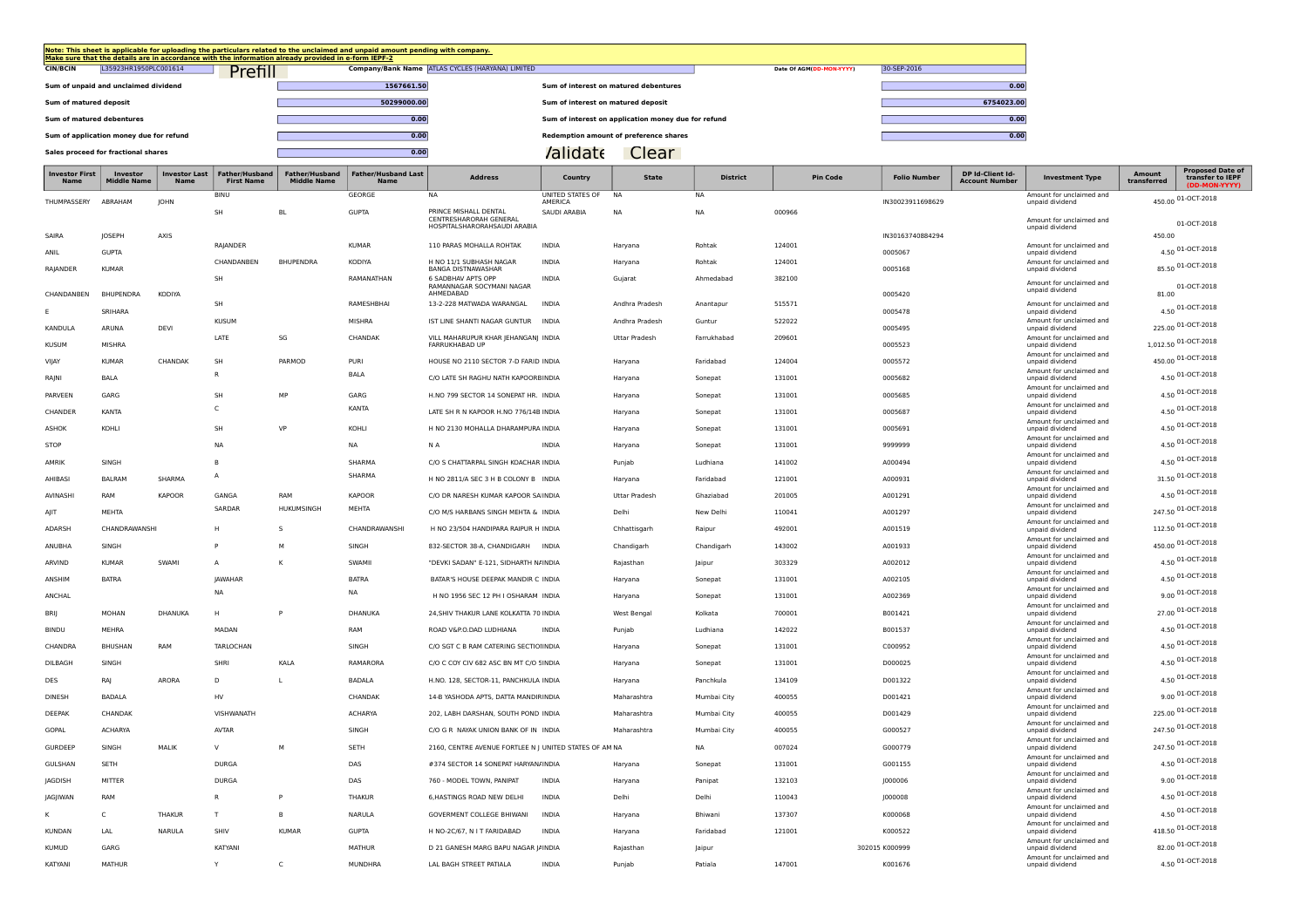| Note: This sheet is applicable for uploading the particulars related to the unclaimed and unpaid amount pending with company.<br>Make sure that the details are in accordance with the information already provided in e-form IEPF-2 |                                                  |                                                     |                          |             |  |  |  |  |  |  |  |  |
|--------------------------------------------------------------------------------------------------------------------------------------------------------------------------------------------------------------------------------------|--------------------------------------------------|-----------------------------------------------------|--------------------------|-------------|--|--|--|--|--|--|--|--|
| L35923HR1950PLC001614<br>Prefill<br><b>CIN/BCIN</b>                                                                                                                                                                                  | Company/Bank Name ATLAS CYCLES (HARYANA) LIMITED |                                                     | Date Of AGM(DD-MON-YYYY) | 30-SEP-2016 |  |  |  |  |  |  |  |  |
| Sum of unpaid and unclaimed dividend                                                                                                                                                                                                 | 1567661.50                                       | Sum of interest on matured debentures               |                          | 0.00        |  |  |  |  |  |  |  |  |
| Sum of matured deposit                                                                                                                                                                                                               | 50299000.00                                      | Sum of interest on matured deposit                  |                          | 6754023.00  |  |  |  |  |  |  |  |  |
| Sum of matured debentures                                                                                                                                                                                                            | 0.00                                             | Sum of interest on application money due for refund |                          | 0.00        |  |  |  |  |  |  |  |  |
| Sum of application money due for refund                                                                                                                                                                                              | 0.00                                             | Redemption amount of preference shares              |                          | 0.00        |  |  |  |  |  |  |  |  |
| Sales proceed for fractional shares                                                                                                                                                                                                  | 0.00                                             | Clear<br>'alidate                                   |                          |             |  |  |  |  |  |  |  |  |

 $\overline{\phantom{a}}$ 

m.

<u> a shekara ta 1999 na shekara ta 1999 na shekara ta 1999 na shekara ta 1999 na shekara ta 1999 na shekara ta 1999 na shekara ta 1999 na shekara ta 1999 na shekara ta 1999 na shekara ta 1999 na shekara ta 1999 na shekara t</u>

| าvestor First<br>Name | Investor<br>Middle Nam | Investor Last<br>Name | Father/Husband<br><b>First Name</b> | Father/Husband<br><b>Middle Name</b> | <b>Father/Husband Last</b><br>Name | <b>Address</b>                                         | Country                            | <b>State</b>         | <b>District</b> | <b>Pin Code</b> | Folio Number     | <b>DP Id-Client Id-</b><br><b>Account Number</b> | <b>Investment Type</b>                                                  | transferred | <b>Proposed Date o</b><br>transfer to IEPF |
|-----------------------|------------------------|-----------------------|-------------------------------------|--------------------------------------|------------------------------------|--------------------------------------------------------|------------------------------------|----------------------|-----------------|-----------------|------------------|--------------------------------------------------|-------------------------------------------------------------------------|-------------|--------------------------------------------|
| THUMPASSERY           | ABRAHAM                | JOHN                  | <b>BINU</b>                         |                                      | GEORGE                             | <b>NA</b>                                              | UNITED STATES OF<br><b>AMFRICA</b> | <b>NA</b>            | NA              |                 | IN30023911698629 |                                                  | Amount for unclaimed and<br>unpaid dividend                             |             | 450.00 01-OCT-2018                         |
|                       |                        |                       | <b>SH</b>                           | <b>BL</b>                            | <b>GUPTA</b>                       | PRINCE MISHALL DENTAL<br>CENTRESHARORAH GENERAL        | SAUDI ARABIA                       | <b>NA</b>            | <b>NA</b>       | 000966          |                  |                                                  | Amount for unclaimed and                                                |             |                                            |
| SAIRA                 | JOSEPH                 | AXIS                  |                                     |                                      |                                    | HOSPITALSHARORAHSAUDI ARABIA                           |                                    |                      |                 |                 | IN30163740884294 |                                                  | unpaid dividend                                                         | 450.00      | 01-OCT-2018                                |
| ANIL                  | <b>GUPTA</b>           |                       | RAJANDER                            |                                      | <b>KUMAR</b>                       | 110 PARAS MOHALLA ROHTAK                               | <b>INDIA</b>                       | Haryana              | Rohtak          | 124001          | 0005067          |                                                  | Amount for unclaimed and<br>unpaid dividend                             |             | 4.50 01-OCT-2018                           |
| RAJANDER              | <b>KUMAR</b>           |                       | CHANDANBEN                          | <b>BHUPENDRA</b>                     | KODIYA                             | H NO 11/1 SUBHASH NAGAR<br>BANGA DISTNAWASHAR          | <b>INDIA</b>                       | Haryana              | Rohtak          | 124001          | 0005168          |                                                  | Amount for unclaimed and<br>unpaid dividend                             |             | 85.50 01-OCT-2018                          |
|                       |                        |                       | SH                                  |                                      | RAMANATHAN                         | 6 SADBHAV APTS OPP<br>RAMANNAGAR SOCYMANI NAGAR        | <b>INDIA</b>                       | Guiarat              | Ahmedabad       | 382100          |                  |                                                  | Amount for unclaimed and                                                |             | 01-OCT-2018                                |
| CHANDANBEN            | BHUPENDRA              | KODIYA                | SH                                  |                                      | RAMESHBHAI                         | AHMEDABAD<br>13-2-228 MATWADA WARANGAL                 | <b>INDIA</b>                       | Andhra Pradesh       | Anantapur       | 515571          | 0005420          |                                                  | unpaid dividend<br>Amount for unclaimed and                             | 81.00       |                                            |
|                       | SRIHARA                |                       | <b>KUSUM</b>                        |                                      | <b>MISHRA</b>                      | IST LINE SHANTI NAGAR GUNTUR                           | <b>INDIA</b>                       | Andhra Pradesh       | Guntur          | 522022          | 0005478          |                                                  | unpaid dividend<br>Amount for unclaimed and                             |             | 4.50 01-OCT-2018                           |
| KANDULA               | ARUNA                  | DEVI                  | LATE                                | SG                                   | CHANDAK                            | VILL MAHARUPUR KHAR JEHANGANJ INDIA                    |                                    | Uttar Pradesh        | Farrukhabad     | 209601          | 0005495          |                                                  | unpaid dividend<br>Amount for unclaimed and                             |             | 225.00 01-OCT-2018                         |
| <b>KUSUM</b>          | MISHRA                 |                       |                                     |                                      |                                    | FARRUKHABAD UP                                         |                                    |                      |                 |                 | 0005523          |                                                  | unpaid dividend<br>Amount for unclaimed and                             |             | 1,012.50 01-OCT-2018                       |
| VIJAY                 | <b>KUMAR</b>           | CHANDAK               | SH                                  | PARMOD                               | PURI                               | HOUSE NO 2110 SECTOR 7-D FARID INDIA                   |                                    | Haryana              | Faridabad       | 124004          | 0005572          |                                                  | unpaid dividend<br>Amount for unclaimed and                             |             | 450.00 01-OCT-2018                         |
| RAJNI                 | <b>BALA</b>            |                       | R                                   |                                      | BALA                               | C/O LATE SH RAGHU NATH KAPOORBINDIA                    |                                    | Haryana              | Sonepat         | 131001          | 0005682          |                                                  | unpaid dividend<br>Amount for unclaimed and                             |             | 4.50 01-OCT-2018                           |
| PARVEEN               | GARG                   |                       | SH                                  | MP                                   | GARG                               | H.NO 799 SECTOR 14 SONEPAT HR. INDIA                   |                                    | Haryana              | Sonepat         | 131001          | 0005685          |                                                  | unpaid dividend<br>Amount for unclaimed and                             |             | 4.50 01-OCT-2018                           |
| CHANDER               | KANTA                  |                       | C                                   |                                      | KANTA                              | LATE SH R N KAPOOR H.NO 776/14B INDIA                  |                                    | Harvana              | Sonepat         | 131001          | 0005687          |                                                  | unpaid dividend<br>Amount for unclaimed and                             |             | 4.50 01-OCT-2018                           |
| <b>ASHOK</b>          | KOHLI                  |                       | SH                                  | VP                                   | KOHLI                              | H NO 2130 MOHALLA DHARAMPURA INDIA                     |                                    | Haryana              | Sonepat         | 131001          | 0005691          |                                                  | unpaid dividend<br>Amount for unclaimed and                             |             | 4.50 01-OCT-2018                           |
| STOP                  |                        |                       | <b>NA</b>                           |                                      | <b>NA</b>                          | N A                                                    | <b>INDIA</b>                       | Haryana              | Sonepat         | 131001          | 9999999          |                                                  | unpaid dividend<br>Amount for unclaimed and                             |             | 4.50 01-OCT-2018                           |
| AMRIK                 | SINGH                  |                       | B                                   |                                      | SHARMA                             | C/O S CHATTARPAL SINGH KOACHAR INDIA                   |                                    | Punjab               | Ludhiana        | 141002          | A000494          |                                                  | unpaid dividend<br>Amount for unclaimed and                             |             | 4.50 01-OCT-2018                           |
| AHIBASI               | <b>BALRAM</b>          | SHARMA                | A                                   |                                      | SHARMA                             | H NO 2811/A SEC 3 H B COLONY B INDIA                   |                                    | Haryana              | Faridabad       | 121001          | A000931          |                                                  | unpaid dividend<br>Amount for unclaimed and                             |             | 31.50 01-OCT-2018                          |
| AVINASHI              | RAM                    | <b>KAPOOR</b>         | GANGA                               | RAM                                  | <b>KAPOOR</b>                      | C/O DR NARESH KUMAR KAPOOR SA INDIA                    |                                    | <b>Uttar Pradesh</b> | Ghaziabad       | 201005          | A001291          |                                                  | unpaid dividend<br>Amount for unclaimed and                             |             | 4.50 01-OCT-2018                           |
| AJIT                  | MEHTA                  |                       | SARDAR                              | HUKUMSINGH                           | MEHTA                              | C/O M/S HARBANS SINGH MEHTA & INDIA                    |                                    | Delhi                | New Delhi       | 110041          | A001297          |                                                  | unpaid dividend<br>Amount for unclaimed and                             |             | 247.50 01-OCT-2018                         |
| ADARSH                | CHANDRAWANSHI          |                       |                                     | S                                    | CHANDRAWANSHI                      | H NO 23/504 HANDIPARA RAIPUR H INDIA                   |                                    | Chhattisgarh         | Raipur          | 492001          | A001519          |                                                  | unpaid dividend<br>Amount for unclaimed and                             |             | 112.50 01-OCT-2018                         |
| ANUBHA                | SINGH                  |                       | P                                   | M                                    | SINGH                              | 832-SECTOR 38-A, CHANDIGARH                            | <b>INDIA</b>                       | Chandigarh           | Chandigarh      | 143002          | A001933          |                                                  | unpaid dividend<br>Amount for unclaimed and                             |             | 450.00 01-OCT-2018                         |
| ARVIND                | <b>KUMAR</b>           | SWAMI                 | A                                   | К                                    | SWAMII                             | "DEVKI SADAN" E-121, SIDHARTH N/INDIA                  |                                    | Raiasthan            | Jaipur          | 303329          | A002012          |                                                  | unpaid dividend<br>Amount for unclaimed and                             |             | 4.50 01-OCT-2018                           |
| ANSHIM                | <b>BATRA</b>           |                       | <b>IAWAHAR</b>                      |                                      | <b>BATRA</b>                       | BATAR'S HOUSE DEEPAK MANDIR C INDIA                    |                                    | Haryana              | Sonepat         | 131001          | A002105          |                                                  | unpaid dividend<br>Amount for unclaimed and                             |             | 4.50 01-OCT-2018                           |
| ANCHAL                |                        |                       | <b>NA</b>                           |                                      | NA                                 | H NO 1956 SEC 12 PH I OSHARAM INDIA                    |                                    | Haryana              | Sonepat         | 131001          | A002369          |                                                  | unpaid dividend<br>Amount for unclaimed and                             |             | $9.00\,01 - OCT - 2018$                    |
| BRIJ                  | MOHAN                  | DHANUKA               | H                                   |                                      | DHANUKA                            | 24, SHIV THAKUR LANE KOLKATTA 70 INDIA                 |                                    | West Bengal          | Kolkata         | 700001          | B001421          |                                                  | unpaid dividend<br>Amount for unclaimed and                             |             | 27.00 01-OCT-2018                          |
| <b>BINDU</b>          | MEHRA                  |                       | MADAN                               |                                      | RAM                                | ROAD V&P.O.DAD LUDHIANA                                | <b>INDIA</b>                       | Punjab               | Ludhiana        | 142022          | B001537          |                                                  | unpaid dividend                                                         |             | 4.50 01-OCT-2018                           |
| CHANDRA               | BHUSHAN                | RAM                   | TARLOCHAN                           |                                      | SINGH                              | C/O SGT C B RAM CATERING SECTIONINDIA                  |                                    | Haryana              | Sonepat         | 131001          | C000952          |                                                  | Amount for unclaimed and<br>unpaid dividend<br>Amount for unclaimed and |             | 4.50 01-OCT-2018                           |
| DILBAGH               | SINGH                  |                       | SHRI                                | KALA                                 | RAMARORA                           | C/O C COY CIV 682 ASC BN MT C/O 5 INDIA                |                                    | Haryana              | Sonepat         | 131001          | D000025          |                                                  | unpaid dividend<br>Amount for unclaimed and                             |             | 4.50 01-OCT-2018                           |
| DES                   | RAJ                    | ARORA                 | D                                   |                                      | <b>BADALA</b>                      | H.NO. 128, SECTOR-11, PANCHKULA INDIA                  |                                    | Haryana              | Panchkula       | 134109          | D001322          |                                                  | unpaid dividend<br>Amount for unclaimed and                             |             | 4.50 01-OCT-2018                           |
| DINESH                | <b>BADALA</b>          |                       | HV                                  |                                      | CHANDAK                            | 14-B YASHODA APTS, DATTA MANDIRINDIA                   |                                    | Maharashtra          | Mumbai City     | 400055          | D001421          |                                                  | unpaid dividend<br>Amount for unclaimed and                             |             | $9.00\,01-OCT-2018$                        |
| DEEPAK                | CHANDAK                |                       | VISHWANATH                          |                                      | <b>ACHARYA</b>                     | 202, LABH DARSHAN, SOUTH POND INDIA                    |                                    | Maharashtra          | Mumbai City     | 400055          | D001429          |                                                  | unpaid dividend<br>Amount for unclaimed and                             |             | 225.00 01-OCT-2018                         |
| GOPAL                 | ACHARYA                |                       | <b>AVTAR</b>                        |                                      | SINGH                              | C/O G R NAYAK UNION BANK OF IN INDIA                   |                                    | Maharashtra          | Mumbai City     | 400055          | G000527          |                                                  | unpaid dividend<br>Amount for unclaimed and                             |             | 247.50 01-OCT-2018                         |
| GURDEEP               | SINGH                  | <b>MAI IK</b>         | $\vee$                              | M                                    | SETH                               | 2160, CENTRE AVENUE FORTLEE N J UNITED STATES OF AM NA |                                    |                      | <b>NA</b>       | 007024          | G000779          |                                                  | unpaid dividend                                                         |             | 247.50 01-OCT-2018                         |
| GULSHAN               | SETH                   |                       | <b>DURGA</b>                        |                                      | DAS                                | #374 SECTOR 14 SONEPAT HARYAN/INDIA                    |                                    | Haryana              | Sonepat         | 131001          | G001155          |                                                  | Amount for unclaimed and<br>unpaid dividend                             |             | 4.50 01-OCT-2018                           |
| JAGDISH               | <b>MITTER</b>          |                       | <b>DURGA</b>                        |                                      | DAS                                | 760 - MODEL TOWN, PANIPAT                              | <b>INDIA</b>                       | Haryana              | Panipat         | 132103          | 1000006          |                                                  | Amount for unclaimed and<br>unpaid dividend                             |             | 9.00 01-OCT-2018                           |
| JAGJIWAN              | RAM                    |                       | R                                   | P                                    | THAKUR                             | 6, HASTINGS ROAD NEW DELHI                             | <b>INDIA</b>                       | Delhi                | Delhi           | 110043          | J000008          |                                                  | Amount for unclaimed and<br>unpaid dividend                             |             | 4.50 01-OCT-2018                           |
|                       | C                      | THAKUR                | T.                                  | B                                    | NARULA                             | <b>GOVERMENT COLLEGE BHIWANI</b>                       | <b>INDIA</b>                       | Haryana              | Bhiwani         | 137307          | K000068          |                                                  | Amount for unclaimed and<br>unpaid dividend                             |             | 4.50 01-OCT-2018                           |
| <b>KUNDAN</b>         | LAL                    | NARULA                | SHIV                                | KUMAR                                | <b>GUPTA</b>                       | H NO-2C/67, N I T FARIDABAD                            | <b>INDIA</b>                       | Haryana              | Faridabad       | 121001          | K000522          |                                                  | Amount for unclaimed and<br>unpaid dividend                             |             | 418.50 01-OCT-2018                         |
| <b>KUMUD</b>          | GARG                   |                       | KATYANI                             |                                      | <b>MATHUR</b>                      | D 21 GANESH MARG BAPU NAGAR J/INDIA                    |                                    | Rajasthan            | Jaipur          |                 | 302015 K000999   |                                                  | Amount for unclaimed and<br>unpaid dividend                             |             | 82.00 01-OCT-2018                          |
| KATYANI               | <b>MATHUR</b>          |                       | Y                                   | C                                    | <b>MUNDHRA</b>                     | LAL BAGH STREET PATIALA                                | <b>INDIA</b>                       | Punjab               | Patiala         | 147001          | K001676          |                                                  | Amount for unclaimed and<br>unpaid dividend                             |             | 4.50 01-OCT-2018                           |
|                       |                        |                       |                                     |                                      |                                    |                                                        |                                    |                      |                 |                 |                  |                                                  |                                                                         |             |                                            |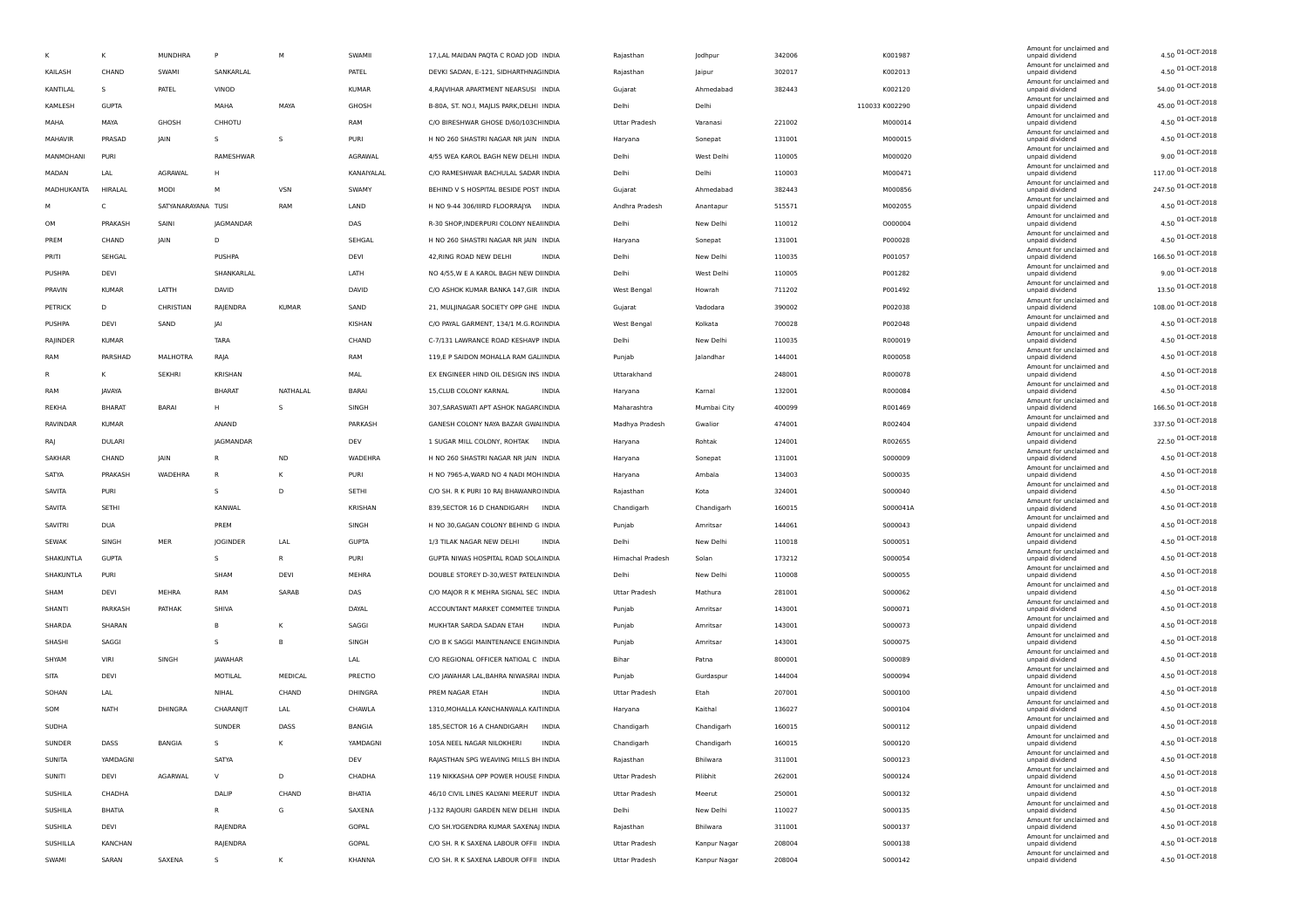|              | К             | <b>MUNDHRA</b>     | P              | M            | SWAMII        | 17, LAL MAIDAN PAQTA C ROAD JOD INDIA       | Rajasthan            | Jodhpur         | 342006 | K001987        | Amount for unclaimed and<br>unpaid dividend | 4.50 01-OCT-2018   |
|--------------|---------------|--------------------|----------------|--------------|---------------|---------------------------------------------|----------------------|-----------------|--------|----------------|---------------------------------------------|--------------------|
| KAILASH      | CHAND         | SWAMI              | SANKARLAL      |              | PATEL         | DEVKI SADAN, E-121, SIDHARTHNAGINDIA        | Rajasthan            | Jaipur          | 302017 | K002013        | Amount for unclaimed and<br>unpaid dividend | 4.50 01-OCT-2018   |
| KANTILAL     | -S            | PATEL              | VINOD          |              | <b>KUMAR</b>  | 4, RAJVIHAR APARTMENT NEARSUSI INDIA        | Gujarat              | Ahmedabad       | 382443 | K002120        | Amount for unclaimed and<br>unpaid dividend | 54.00 01-OCT-2018  |
| KAMLESH      | <b>GUPTA</b>  |                    | MAHA           | MAYA         | GHOSH         | B-80A, ST. NO.I, MAJLIS PARK, DELHI INDIA   | Delhi                | Delhi           |        | 110033 K002290 | Amount for unclaimed and<br>unpaid dividend | 45.00 01-OCT-2018  |
| MAHA         | MAYA          | GHOSH              | CHHOTU         |              | RAM           | C/O BIRESHWAR GHOSE D/60/103CH INDIA        | <b>Uttar Pradesh</b> | Varanasi        | 221002 | M000014        | Amount for unclaimed and<br>unpaid dividend | 4.50 01-OCT-2018   |
| MAHAVIR      | PRASAD        | JAIN               | s              | S            | <b>PURI</b>   | H NO 260 SHASTRI NAGAR NR JAIN INDIA        |                      | Sonepat         | 131001 | M000015        | Amount for unclaimed and<br>unpaid dividend | 4.50 01-OCT-2018   |
|              |               |                    |                |              |               |                                             | Haryana              |                 |        |                | Amount for unclaimed and                    | 9.00 01-OCT-2018   |
| MANMOHANI    | PURI          |                    | RAMESHWAR      |              | AGRAWAL       | 4/55 WEA KAROL BAGH NEW DELHI INDIA         | Delhi                | West Delhi      | 110005 | M000020        | unpaid dividend<br>Amount for unclaimed and | 117.00 01-OCT-2018 |
| MADAN        | LAL           | AGRAWAL            | H              |              | KANAIYALAL    | C/O RAMESHWAR BACHULAL SADAR INDIA          | Delhi                | Delhi           | 110003 | M000471        | unpaid dividend<br>Amount for unclaimed and |                    |
| MADHUKANTA   | HIRALAL       | MODI               | M              | <b>VSN</b>   | SWAMY         | BEHIND V S HOSPITAL BESIDE POST INDIA       | Gujarat              | Ahmedabad       | 382443 | M000856        | unpaid dividend<br>Amount for unclaimed and | 247.50 01-OCT-2018 |
| м            | C             | SATYANARAYANA TUSI |                | RAM          | LAND          | H NO 9-44 306/IIIRD FLOORRAJYA INDIA        | Andhra Pradesh       | Anantapur       | 515571 | M002055        | unpaid dividend<br>Amount for unclaimed and | 4.50 01-OCT-2018   |
| OM           | PRAKASH       | SAINI              | JAGMANDAR      |              | DAS           | R-30 SHOP, INDERPURI COLONY NEAHNDIA        | Delhi                | New Delhi       | 110012 | 0000004        | unpaid dividend<br>Amount for unclaimed and | 4.50 01-OCT-2018   |
| PREM         | CHAND         | <b>JAIN</b>        | D              |              | SEHGAL        | H NO 260 SHASTRI NAGAR NR JAIN INDIA        | Haryana              | Sonepat         | 131001 | P000028        | unpaid dividend                             | 4.50 01-OCT-2018   |
| PRITI        | SEHGAL        |                    | PUSHPA         |              | DEVI          | <b>INDIA</b><br>42, RING ROAD NEW DELHI     | Delhi                | New Delhi       | 110035 | P001057        | Amount for unclaimed and<br>unpaid dividend | 166.50 01-OCT-2018 |
| PUSHPA       | DEVI          |                    | SHANKARLAL     |              | LATH          | NO 4/55, W E A KAROL BAGH NEW DIINDIA       | Delhi                | West Delhi      | 110005 | P001282        | Amount for unclaimed and<br>unpaid dividend | 9.00 01-OCT-2018   |
| PRAVIN       | <b>KUMAR</b>  | LATTH              | DAVID          |              | DAVID         | C/O ASHOK KUMAR BANKA 147,GIR INDIA         | West Bengal          | Howrah          | 711202 | P001492        | Amount for unclaimed and<br>unpaid dividend | 13.50 01-OCT-2018  |
| PETRICK      | D             | CHRISTIAN          | RAJENDRA       | <b>KUMAR</b> | SAND          | 21, MULJINAGAR SOCIETY OPP GHE INDIA        | Gujarat              | Vadodara        | 390002 | P002038        | Amount for unclaimed and<br>unpaid dividend | 108.00 01-OCT-2018 |
| PUSHPA       | DEVI          | SAND               | JAI            |              | KISHAN        | C/O PAYAL GARMENT, 134/1 M.G.RO/INDIA       | West Bengal          | Kolkata         | 700028 | P002048        | Amount for unclaimed and<br>unpaid dividend | 4.50 01-OCT-2018   |
| RAJINDER     | <b>KUMAR</b>  |                    | <b>TARA</b>    |              | CHAND         | C-7/131 LAWRANCE ROAD KESHAVP INDIA         | Delhi                | New Delhi       | 110035 | R000019        | Amount for unclaimed and<br>unpaid dividend | 4.50 01-OCT-2018   |
| RAM          | PARSHAD       | MALHOTRA           | RAJA           |              | RAM           | 119,E P SAIDON MOHALLA RAM GAL INDIA        | Punjab               | Jalandhar       | 144001 | R000058        | Amount for unclaimed and<br>unpaid dividend | 4.50 01-OCT-2018   |
|              | к             | <b>SEKHRI</b>      | KRISHAN        |              | MAL           | EX ENGINEER HIND OIL DESIGN INS INDIA       | Uttarakhand          |                 | 248001 | R000078        | Amount for unclaimed and<br>unpaid dividend | 4.50 01-OCT-2018   |
|              |               |                    |                |              |               |                                             |                      |                 |        |                | Amount for unclaimed and                    | 4.50 01-OCT-2018   |
| RAM          | JAVAYA        |                    | <b>BHARAT</b>  | NATHALAL     | <b>BARAI</b>  | 15, CLUB COLONY KARNAL<br><b>INDIA</b>      | Haryana              | Kamal           | 132001 | R000084        | unpaid dividend<br>Amount for unclaimed and | 166.50 01-OCT-2018 |
| REKHA        | <b>BHARAT</b> | BARAI              | H              | s            | SINGH         | 307, SARASWATI APT ASHOK NAGAR(INDIA        | Maharashtra          | Mumbai City     | 400099 | R001469        | unpaid dividend<br>Amount for unclaimed and |                    |
| RAVINDAR     | <b>KUMAR</b>  |                    | ANAND          |              | PARKASH       | GANESH COLONY NAYA BAZAR GWAIINDIA          | Madhya Pradesh       | Gwalior         | 474001 | R002404        | unpaid dividend<br>Amount for unclaimed and | 337.50 01-OCT-2018 |
| RAJ          | DULARI        |                    | JAGMANDAR      |              | DEV           | 1 SUGAR MILL COLONY, ROHTAK INDIA           | Haryana              | Rohtak          | 124001 | R002655        | unpaid dividend<br>Amount for unclaimed and | 22.50 01-OCT-2018  |
| SAKHAR       | CHAND         | JAIN               | R              | <b>ND</b>    | WADEHRA       | H NO 260 SHASTRI NAGAR NR JAIN INDIA        | Haryana              | Sonepat         | 131001 | S000009        | unpaid dividend<br>Amount for unclaimed and | 4.50 01-OCT-2018   |
| SATYA        | PRAKASH       | WADEHRA            | R              | K            | PURI          | H NO 7965-A, WARD NO 4 NADI MOHINDIA        | Haryana              | Ambala          | 134003 | S000035        | unpaid dividend                             | 4.50 01-OCT-2018   |
| SAVITA       | PURI          |                    | S              | D            | SETHI         | C/O SH. R K PURI 10 RAJ BHAWANROINDIA       | Rajasthan            | Kota            | 324001 | S000040        | Amount for unclaimed and<br>unpaid dividend | 4.50 01-OCT-2018   |
| SAVITA       | SETHI         |                    | KANWAL         |              | KRISHAN       | 839, SECTOR 16 D CHANDIGARH<br><b>INDIA</b> | Chandigarh           | Chandigarh      | 160015 | S000041A       | Amount for unclaimed and<br>unpaid dividend | 4.50 01-OCT-2018   |
| SAVITRI      | <b>DUA</b>    |                    | PREM           |              | SINGH         | H NO 30, GAGAN COLONY BEHIND G INDIA        | Punjab               | Amritsar        | 144061 | S000043        | Amount for unclaimed and<br>unpaid dividend | 4.50 01-OCT-2018   |
| <b>SEWAK</b> | SINGH         | MER                | JOGINDER       | LAL          | <b>GUPTA</b>  | 1/3 TILAK NAGAR NEW DELHI<br><b>INDIA</b>   | Delhi                | New Delhi       | 110018 | S000051        | Amount for unclaimed and<br>unpaid dividend | 4.50 01-OCT-2018   |
| SHAKUNTLA    | <b>GUPTA</b>  |                    | s              | R            | PURI          | GUPTA NIWAS HOSPITAL ROAD SOLA INDIA        | Himachal Pradesh     | Solan           | 173212 | S000054        | Amount for unclaimed and<br>unpaid dividend | 4.50 01-OCT-2018   |
| SHAKUNTLA    | PURI          |                    | SHAM           | DEVI         | MEHRA         | DOUBLE STOREY D-30, WEST PATELNINDIA        | Delhi                | New Delhi       | 110008 | S000055        | Amount for unclaimed and<br>unpaid dividend | 4.50 01-OCT-2018   |
| SHAM         | DEVI          | MEHRA              | RAM            | SARAB        | DAS           | C/O MAJOR R K MEHRA SIGNAL SEC INDIA        | <b>Uttar Pradesh</b> | Mathura         | 281001 | S000062        | Amount for unclaimed and<br>unpaid dividend | 4.50 01-OCT-2018   |
| SHANTI       | PARKASH       | PATHAK             | <b>SHIVA</b>   |              | DAYAL         | ACCOUNTANT MARKET COMMITEE T/INDIA          |                      | Amritsar        | 143001 | S000071        | Amount for unclaimed and                    | 4.50 01-OCT-2018   |
|              |               |                    |                |              |               |                                             | Punjab               |                 |        |                | unpaid dividend<br>Amount for unclaimed and | 4.50 01-OCT-2018   |
| SHARDA       | SHARAN        |                    | в              | Κ            | SAGGI         | MUKHTAR SARDA SADAN ETAH<br>INDIA           | Punjab               | Amritsar        | 143001 | S000073        | unpaid dividend<br>Amount for unclaimed and | 4.50 01-OCT-2018   |
| SHASHI       | SAGGI         |                    | s              | B            | SINGH         | C/O B K SAGGI MAINTENANCE ENGININDIA        | Punjab               | Amritsar        | 143001 | S000075        | unpaid dividend<br>Amount for unclaimed and | 4.50 01-OCT-2018   |
| SHYAM        | VIRI          | SINGH              | <b>JAWAHAR</b> |              | LAL           | C/O REGIONAL OFFICER NATIOAL C INDIA        | Bihar                | Patna           | 800001 | 5000089        | unpaid dividend<br>Amount for unclaimed and |                    |
| SITA         | DEVI          |                    | MOTILAL        | MEDICAL      | PRECTIO       | C/O JAWAHAR LAL, BAHRA NIWASRAI INDIA       | Punjab               | Gurdaspur       | 144004 | S000094        | unpaid dividend<br>Amount for unclaimed and | 4.50 01-OCT-2018   |
| SOHAN        | LAL           |                    | NIHAL          | CHAND        | DHINGRA       | PREM NAGAR ETAH<br><b>INDIA</b>             | Uttar Pradesh        | Etah            | 207001 | S000100        | unpaid dividend<br>Amount for unclaimed and | 4.50 01-OCT-2018   |
| SOM          | <b>NATH</b>   | DHINGRA            | CHARANJIT      | LAL          | CHAWLA        | 1310, MOHALLA KANCHANWALA KAITINDIA         | Haryana              | Kaithal         | 136027 | S000104        | unpaid dividend                             | 4.50 01-OCT-2018   |
| SUDHA        |               |                    | SUNDER         | DASS         | <b>BANGIA</b> | 185, SECTOR 16 A CHANDIGARH<br><b>INDIA</b> | Chandigarh           | Chandigarh      | 160015 | S000112        | Amount for unclaimed and<br>unpaid dividend | 4.50 01-OCT-2018   |
| SUNDER       | DASS          | BANGIA             | s              | K            | YAMDAGNI      | 105A NEEL NAGAR NILOKHERI<br><b>INDIA</b>   | Chandigarh           | Chandigarh      | 160015 | 5000120        | Amount for unclaimed and<br>unpaid dividend | 4.50 01-OCT-2018   |
| SUNITA       | YAMDAGNI      |                    | SATYA          |              | DEV           | RAJASTHAN SPG WEAVING MILLS BH INDIA        | Rajasthan            | Bhilwara        | 311001 | 5000123        | Amount for unclaimed and<br>unpaid dividend | 4.50 01-OCT-2018   |
| SUNITI       | DEVI          | <b>AGARWAL</b>     | $\vee$         | D            | CHADHA        | 119 NIKKASHA OPP POWER HOUSE FINDIA         | Uttar Pradesh        | Pilibhit        | 262001 | S000124        | Amount for unclaimed and<br>unpaid dividend | 4.50 01-OCT-2018   |
| SUSHILA      | CHADHA        |                    | DALIP          | CHAND        | BHATIA        | 46/10 CIVIL LINES KALYANI MEERUT INDIA      | <b>Uttar Pradesh</b> | Meerut          | 250001 | S000132        | Amount for unclaimed and<br>unpaid dividend | 4.50 01-OCT-2018   |
| SUSHILA      | BHATIA        |                    | R              | G            | SAXENA        | J-132 RAJOURI GARDEN NEW DELHI INDIA        | Delhi                | New Delhi       | 110027 | S000135        | Amount for unclaimed and<br>unpaid dividend | 4.50 01-OCT-2018   |
| SUSHILA      | DEVI          |                    | RAJENDRA       |              | GOPAL         | C/O SH.YOGENDRA KUMAR SAXENAJ INDIA         | Rajasthan            | <b>Bhilwara</b> | 311001 | 5000137        | Amount for unclaimed and<br>unpaid dividend | 4.50 01-OCT-2018   |
| SUSHILLA     | KANCHAN       |                    | RAJENDRA       |              | GOPAL         | C/O SH. R K SAXENA LABOUR OFFII INDIA       | Uttar Pradesh        | Kanpur Nagar    | 208004 | 5000138        | Amount for unclaimed and<br>unpaid dividend | 4.50 01-OCT-2018   |
| SWAMI        | SARAN         | SAXENA             | s              |              | KHANNA        | C/O SH. R K SAXENA LABOUR OFFII INDIA       |                      |                 | 208004 |                | Amount for unclaimed and                    | 4.50 01-OCT-2018   |
|              |               |                    |                | K            |               |                                             | Uttar Pradesh        | Kanpur Nagar    |        | S000142        | unpaid dividend                             |                    |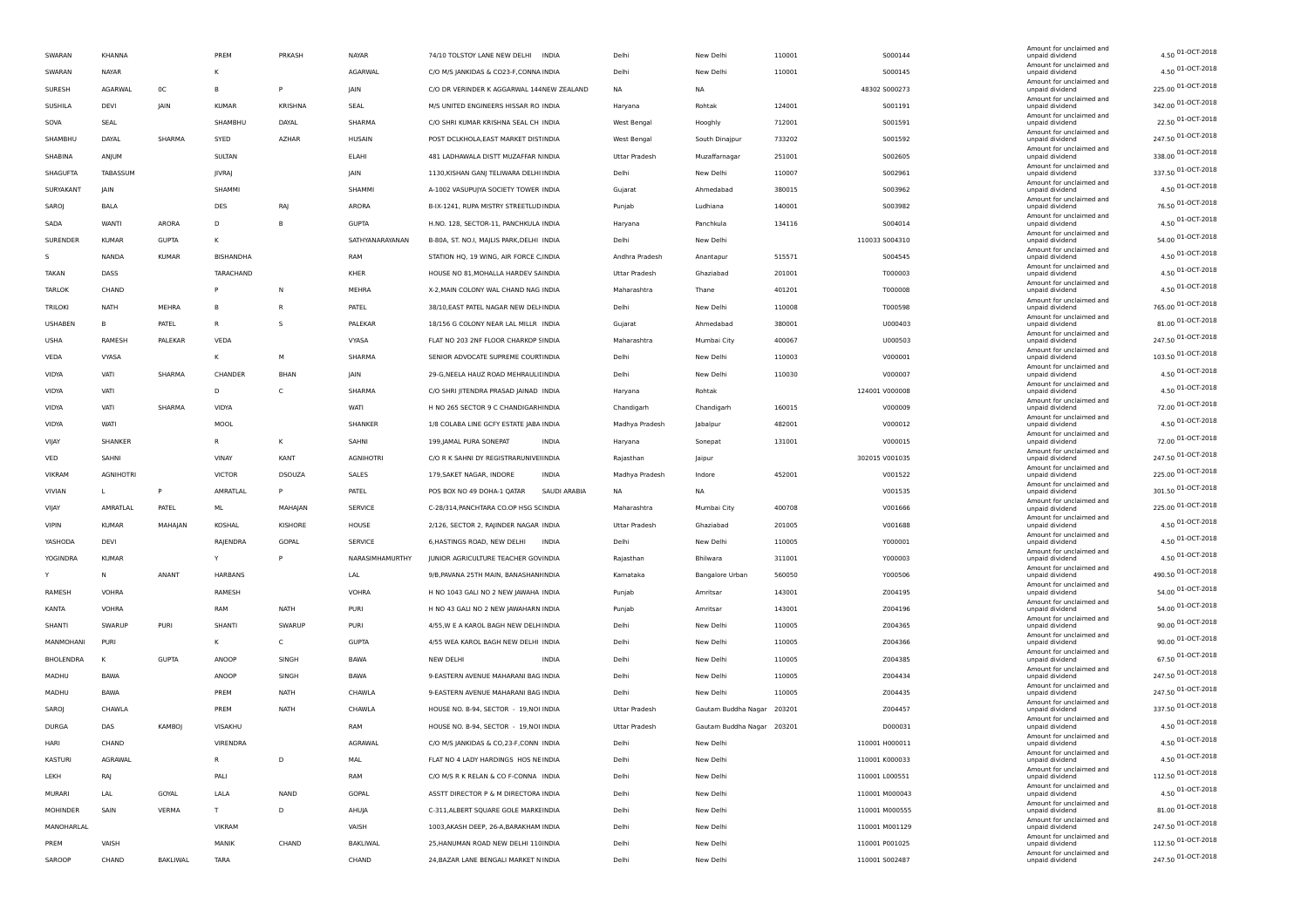| SWARAN           | KHANNA           |              | PREM             | PRKASH        | <b>NAYAR</b>     | 74/10 TOLSTOY LANE NEW DELHI INDIA        |              | Delhi          | New Delhi           | 110001 | S000144        | Amount for unclaimed and<br>unpaid dividend | 4.50 01-OCT-2018   |
|------------------|------------------|--------------|------------------|---------------|------------------|-------------------------------------------|--------------|----------------|---------------------|--------|----------------|---------------------------------------------|--------------------|
| SWARAN           | <b>NAYAR</b>     |              | κ                |               | AGARWAL          | C/O M/S JANKIDAS & CO23-F, CONNA INDIA    |              | Delhi          | New Delhi           | 110001 | S000145        | Amount for unclaimed and<br>unpaid dividend | 4.50 01-OCT-2018   |
| SURESH           | AGARWAL          | 0C           | B                | P             | JAIN             | C/O DR VERINDER K AGGARWAL 144NEW ZEALAND |              | <b>NA</b>      | <b>NA</b>           |        | 48302 S000273  | Amount for unclaimed and<br>unpaid dividend | 225.00 01-OCT-2018 |
| SUSHILA          | DEVI             | <b>JAIN</b>  | <b>KUMAR</b>     | KRISHNA       | SEAL             | M/S UNITED ENGINEERS HISSAR RO INDIA      |              | Haryana        | Rohtak              | 124001 | S001191        | Amount for unclaimed and<br>unpaid dividend | 342.00 01-OCT-2018 |
| SOVA             | SEAL             |              | SHAMBHU          | DAYAL         | SHARMA           | C/O SHRI KUMAR KRISHNA SEAL CH INDIA      |              | West Bengal    | Hooghly             | 712001 | S001591        | Amount for unclaimed and<br>unpaid dividend | 22.50 01-OCT-2018  |
|                  |                  |              |                  |               |                  |                                           |              |                |                     |        |                | Amount for unclaimed and                    | 247.50 01-OCT-2018 |
| SHAMBHU          | DAYAL            | SHARMA       | SYED             | <b>AZHAR</b>  | HUSAIN           | POST DCLKHOLA, EAST MARKET DISTINDIA      |              | West Bengal    | South Dinajpur      | 733202 | S001592        | unpaid dividend<br>Amount for unclaimed and |                    |
| SHABINA          | ANJUM            |              | SULTAN           |               | ELAHI            | 481 LADHAWALA DISTT MUZAFFAR NINDIA       |              | Uttar Pradesh  | Muzaffarnagar       | 251001 | 5002605        | unpaid dividend<br>Amount for unclaimed and | 338.00 01-OCT-2018 |
| SHAGUFTA         | TABASSUM         |              | JIVRAJ           |               | JAIN             | 1130, KISHAN GANJ TELIWARA DELHI INDIA    |              | Delhi          | New Delhi           | 110007 | S002961        | unpaid dividend<br>Amount for unclaimed and | 337.50 01-OCT-2018 |
| SURYAKANT        | JAIN             |              | SHAMMI           |               | SHAMMI           | A-1002 VASUPUJYA SOCIETY TOWER INDIA      |              | Gujarat        | Ahmedabad           | 380015 | S003962        | unpaid dividend<br>Amount for unclaimed and | 4.50 01-OCT-2018   |
| SAROJ            | BALA             |              | DES              | RAJ           | ARORA            | B-IX-1241, RUPA MISTRY STREETLUD INDIA    |              | Punjab         | Ludhiana            | 140001 | 5003982        | unpaid dividend                             | 76.50 01-OCT-2018  |
| SADA             | WANT             | ARORA        | D                | B             | <b>GUPTA</b>     | H.NO. 128, SECTOR-11, PANCHKULA INDIA     |              | Haryana        | Panchkula           | 134116 | S004014        | Amount for unclaimed and<br>unpaid dividend | 4.50 01-OCT-2018   |
| SURENDER         | <b>KUMAR</b>     | <b>GUPTA</b> | κ                |               | SATHYANARAYANAN  | B-80A, ST. NO.I, MAJLIS PARK, DELHI INDIA |              | Delhi          | New Delhi           |        | 110033 5004310 | Amount for unclaimed and<br>unpaid dividend | 54.00 01-OCT-2018  |
| s                | NANDA            | <b>KUMAR</b> | <b>BISHANDHA</b> |               | RAM              | STATION HQ, 19 WING, AIR FORCE C INDIA    |              | Andhra Pradesh | Anantapur           | 515571 | S004545        | Amount for unclaimed and<br>unpaid dividend | 4.50 01-OCT-2018   |
| TAKAN            | DASS             |              | TARACHAND        |               | KHER             | HOUSE NO 81, MOHALLA HARDEV SAINDIA       |              | Uttar Pradesh  | Ghaziabad           | 201001 | T000003        | Amount for unclaimed and<br>unpaid dividend | 4.50 01-OCT-2018   |
| <b>TARLOK</b>    | CHAND            |              | P                | N             | MEHRA            | X-2, MAIN COLONY WAL CHAND NAG INDIA      |              | Maharashtra    | Thane               | 401201 | T000008        | Amount for unclaimed and<br>unpaid dividend | 4.50 01-OCT-2018   |
| TRILOKI          | <b>NATH</b>      | MEHRA        | B                | R             | PATEL            | 38/10, EAST PATEL NAGAR NEW DELHNDIA      |              | Delhi          | New Delhi           | 110008 | T000598        | Amount for unclaimed and<br>unpaid dividend | 765.00 01-OCT-2018 |
| <b>USHABEN</b>   | в                | PATEL        | $\mathsf{R}$     | s             | PALEKAR          | 18/156 G COLONY NEAR LAL MILLR INDIA      |              | Gujarat        | Ahmedabad           | 380001 | U000403        | Amount for unclaimed and<br>unpaid dividend | 81.00 01-OCT-2018  |
|                  |                  | PALEKAR      |                  |               |                  |                                           |              |                |                     |        |                | Amount for unclaimed and                    | 247.50 01-OCT-2018 |
| <b>USHA</b>      | RAMESH           |              | VEDA             |               | VYASA            | FLAT NO 203 2NF FLOOR CHARKOP SINDIA      |              | Maharashtra    | Mumbai City         | 400067 | U000503        | unpaid dividend<br>Amount for unclaimed and | 103.50 01-OCT-2018 |
| VEDA             | VYASA            |              | κ                | М             | SHARMA           | SENIOR ADVOCATE SUPREME COURTINDIA        |              | Delhi          | New Delhi           | 110003 | V000001        | unpaid dividend<br>Amount for unclaimed and |                    |
| VIDYA            | VATI             | SHARMA       | CHANDER          | BHAN          | JAIN             | 29-G, NEELA HAUZ ROAD MEHRAULII INDIA     |              | Delhi          | New Delhi           | 110030 | V000007        | unpaid dividend<br>Amount for unclaimed and | 4.50 01-OCT-2018   |
| VIDYA            | VATI             |              | D                | c             | SHARMA           | C/O SHRI JITENDRA PRASAD JAINAD INDIA     |              | Haryana        | Rohtak              |        | 124001 V000008 | unpaid dividend<br>Amount for unclaimed and | 4.50 01-OCT-2018   |
| VIDYA            | VATI             | SHARMA       | VIDYA            |               | WATI             | H NO 265 SECTOR 9 C CHANDIGARHINDIA       |              | Chandigarh     | Chandigarh          | 160015 | V000009        | unpaid dividend<br>Amount for unclaimed and | 72.00 01-OCT-2018  |
| VIDYA            | WATI             |              | MOOL             |               | SHANKER          | 1/8 COLABA LINE GCFY ESTATE JABA INDIA    |              | Madhya Pradesh | Jabalpur            | 482001 | V000012        | unpaid dividend                             | 4.50 01-OCT-2018   |
| VIJAY            | SHANKER          |              | R                | Κ             | SAHNI            | 199, JAMAL PURA SONEPAT                   | INDIA        | Haryana        | Sonepat             | 131001 | V000015        | Amount for unclaimed and<br>unpaid dividend | 72.00 01-OCT-2018  |
| VED              | SAHNI            |              | VINAY            | KANT          | <b>AGNIHOTRI</b> | C/O R K SAHNI DY REGISTRARUNIVEHNDIA      |              | Rajasthan      | Jaipur              |        | 302015 V001035 | Amount for unclaimed and<br>unpaid dividend | 247.50 01-OCT-2018 |
| <b>VIKRAM</b>    | <b>AGNIHOTRI</b> |              | <b>VICTOR</b>    | <b>DSOUZA</b> | SALES            | 179, SAKET NAGAR, INDORE                  | <b>INDIA</b> | Madhya Pradesh | Indore              | 452001 | V001522        | Amount for unclaimed and<br>unpaid dividend | 225.00 01-OCT-2018 |
| VIVIAN           | L                | P            | AMRATLAL         | P             | PATEL            | POS BOX NO 49 DOHA-1 QATAR                | SAUDI ARABIA | NA             | <b>NA</b>           |        | V001535        | Amount for unclaimed and<br>unpaid dividend | 301.50 01-OCT-2018 |
| VIJAY            | AMRATLAL         | PATEL        | ML.              | MAHAJAN       | <b>SERVICE</b>   | C-28/314, PANCHTARA CO.OP HSG SCINDIA     |              | Maharashtra    | Mumbai City         | 400708 | V001666        | Amount for unclaimed and<br>unpaid dividend | 225.00 01-OCT-2018 |
| <b>VIPIN</b>     | <b>KUMAR</b>     | MAHAJAN      | KOSHAL           | KISHORE       | HOUSE            | 2/126, SECTOR 2, RAJINDER NAGAR INDIA     |              | Uttar Pradesh  | Ghaziabad           | 201005 | V001688        | Amount for unclaimed and                    | 4.50 01-OCT-2018   |
|                  |                  |              |                  |               |                  |                                           |              |                |                     |        |                | unpaid dividend<br>Amount for unclaimed and | 4.50 01-OCT-2018   |
| YASHODA          | DEVI             |              | RAJENDRA         | GOPAL         | <b>SERVICE</b>   | 6, HASTINGS ROAD, NEW DELHI               | <b>INDIA</b> | Delhi          | New Delhi           | 110005 | Y000001        | unpaid dividend<br>Amount for unclaimed and |                    |
| YOGINDRA         | <b>KUMAR</b>     |              | Y                | P             | NARASIMHAMURTHY  | JUNIOR AGRICULTURE TEACHER GOVINDIA       |              | Rajasthan      | Bhilwara            | 311001 | Y000003        | unpaid dividend<br>Amount for unclaimed and | 4.50 01-OCT-2018   |
| Y                | N                | ANANT        | HARBANS          |               | LAL              | 9/B, PAVANA 25TH MAIN, BANASHANHNDIA      |              | Kamataka       | Bangalore Urban     | 560050 | Y000506        | unpaid dividend<br>Amount for unclaimed and | 490.50 01-OCT-2018 |
| RAMESH           | VOHRA            |              | RAMESH           |               | <b>VOHRA</b>     | H NO 1043 GALI NO 2 NEW JAWAHA INDIA      |              | Punjab         | Amritsar            | 143001 | Z004195        | unpaid dividend                             | 54.00 01-OCT-2018  |
| KANTA            | VOHRA            |              | RAM              | NATH          | PURI             | H NO 43 GALI NO 2 NEW JAWAHARN INDIA      |              | Punjab         | Amritsar            | 143001 | Z004196        | Amount for unclaimed and<br>unpaid dividend | 54.00 01-OCT-2018  |
| SHANTI           | SWARUP           | PURI         | SHANTI           | SWARUP        | PURI             | 4/55, W E A KAROL BAGH NEW DELH INDIA     |              | Delhi          | New Delhi           | 110005 | Z004365        | Amount for unclaimed and<br>unpaid dividend | 90.00 01-OCT-2018  |
| MANMOHANI        | PURI             |              | ĸ                | c             | <b>GUPTA</b>     | 4/55 WEA KAROL BAGH NEW DELHI INDIA       |              | Delhi          | New Delhi           | 110005 | Z004366        | Amount for unclaimed and<br>unpaid dividend | 90.00 01-OCT-2018  |
| <b>BHOLENDRA</b> | к                | <b>GUPTA</b> | ANOOP            | SINGH         | <b>BAWA</b>      | NEW DELHI                                 | <b>INDIA</b> | Delhi          | New Delhi           | 110005 | Z004385        | Amount for unclaimed and<br>unpaid dividend | 67.50 01-OCT-2018  |
| MADHU            | <b>BAWA</b>      |              | ANOOP            | SINGH         | <b>BAWA</b>      | 9-EASTERN AVENUE MAHARANI BAG INDIA       |              | Delhi          | New Delhi           | 110005 | Z004434        | Amount for unclaimed and<br>unpaid dividend | 247.50 01-OCT-2018 |
| MADHU            | BAWA             |              | PREM             | <b>NATH</b>   | CHAWLA           | 9-EASTERN AVENUE MAHARANI BAG INDIA       |              | Delhi          | New Delhi           | 110005 | Z004435        | Amount for unclaimed and<br>unpaid dividend | 247.50 01-OCT-2018 |
| SAROJ            | CHAWLA           |              | PREM             | <b>NATH</b>   | CHAWLA           | HOUSE NO. B-94, SECTOR - 19, NOI INDIA    |              | Uttar Pradesh  | Gautam Buddha Nagar | 203201 | Z004457        | Amount for unclaimed and<br>unpaid dividend | 337.50 01-OCT-2018 |
| DURGA            | DAS              | KAMBOJ       | VISAKHU          |               | RAM              | HOUSE NO. B-94, SECTOR - 19, NOI INDIA    |              | Uttar Pradesh  | Gautam Buddha Nagar | 203201 | D000031        | Amount for unclaimed and<br>unpaid dividend | 4.50 01-OCT-2018   |
| HARI             |                  |              |                  |               | AGRAWAL          |                                           |              |                | New Delhi           |        | 110001 H000011 | Amount for unclaimed and                    | 4.50 01-OCT-2018   |
|                  | CHAND            |              | VIRENDRA         |               |                  | C/O M/S JANKIDAS & CO,23-F,CONN INDIA     |              | Delhi          |                     |        |                | unpaid dividend<br>Amount for unclaimed and | 4.50 01-OCT-2018   |
| KASTURI          | AGRAWAL          |              | $\mathsf{R}$     | D             | MAL              | FLAT NO 4 LADY HARDINGS HOS NEINDIA       |              | Delhi          | New Delhi           |        | 110001 K000033 | unpaid dividend<br>Amount for unclaimed and | 112.50 01-OCT-2018 |
| LEKH             | RAJ              |              | PALI             |               | RAM              | C/O M/S R K RELAN & CO F-CONNA INDIA      |              | Delhi          | New Delhi           |        | 110001 L000551 | unpaid dividend<br>Amount for unclaimed and |                    |
| MURARI           | LAL              | GOYAL        | LALA             | NAND          | GOPAL            | ASSTT DIRECTOR P & M DIRECTORA INDIA      |              | Delhi          | New Delhi           |        | 110001 M000043 | unpaid dividend<br>Amount for unclaimed and | 4.50 01-OCT-2018   |
| MOHINDER         | SAIN             | VERMA        | T.               | D             | AHUJA            | C-311, ALBERT SQUARE GOLE MARKEINDIA      |              | Delhi          | New Delhi           |        | 110001 M000555 | unpaid dividend<br>Amount for unclaimed and | 81.00 01-OCT-2018  |
| MANOHARLAL       |                  |              | VIKRAM           |               | VAISH            | 1003, AKASH DEEP, 26-A, BARAKHAM INDIA    |              | Delhi          | New Delhi           |        | 110001 M001129 | unpaid dividend<br>Amount for unclaimed and | 247.50 01-OCT-2018 |
| PREM             | VAISH            |              | MANIK            | CHAND         | BAKLIWAL         | 25, HANUMAN ROAD NEW DELHI 110 INDIA      |              | Delhi          | New Delhi           |        | 110001 P001025 | unpaid dividend                             | 112.50 01-OCT-2018 |
| SAROOP           | CHAND            | BAKLIWAL     | <b>TARA</b>      |               | CHAND            | 24, BAZAR LANE BENGALI MARKET N INDIA     |              | Delhi          | New Delhi           |        | 110001 5002487 | Amount for unclaimed and<br>unpaid dividend | 247.50 01-OCT-2018 |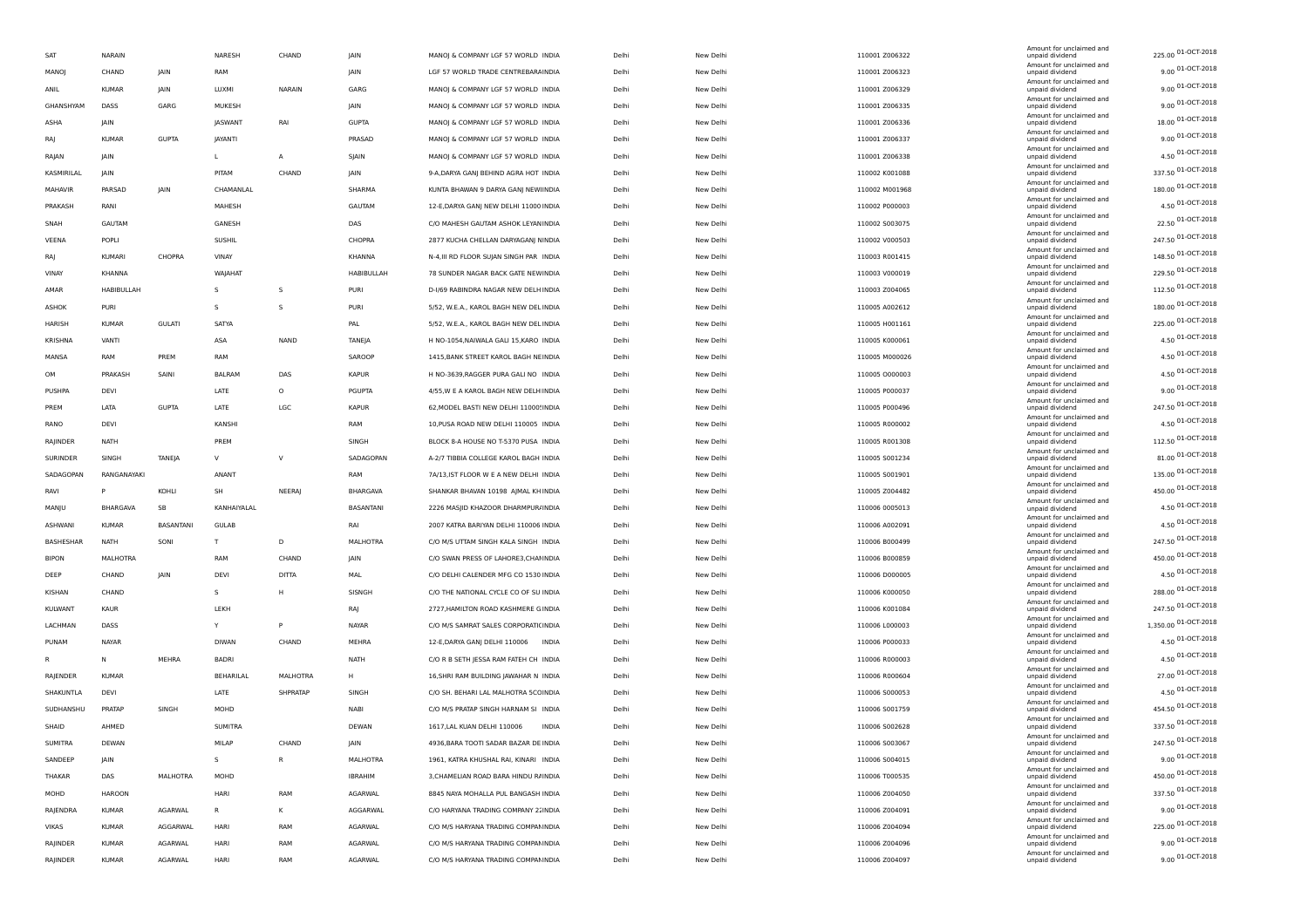| <b>SAT</b>     | NARAIN        |                  | NARESH         | CHAND         | JAIN              | MANOJ & COMPANY LGF 57 WORLD INDIA            | Delhi | New Delhi | 110001 Z006322 | Amount for unclaimed and<br>unpaid dividend | 225.00 01-OCT-2018      |
|----------------|---------------|------------------|----------------|---------------|-------------------|-----------------------------------------------|-------|-----------|----------------|---------------------------------------------|-------------------------|
| MANOJ          | CHAND         | JAIN             | RAM            |               | JAIN              | LGF 57 WORLD TRADE CENTREBARA INDIA           | Delhi | New Delhi | 110001 Z006323 | Amount for unclaimed and<br>unpaid dividend | $9.00\,01 - OCT - 2018$ |
| ANIL           | <b>KUMAR</b>  | JAIN             | LUXMI          | <b>NARAIN</b> | GARG              | MANOJ & COMPANY LGF 57 WORLD INDIA            | Delhi | New Delhi | 110001 Z006329 | Amount for unclaimed and<br>unpaid dividend | $9.00\,01 - OCT - 2018$ |
| GHANSHYAM      | DASS          | GARG             | MUKESH         |               | JAIN              | MANOJ & COMPANY LGF 57 WORLD INDIA            | Delhi | New Delhi | 110001 Z006335 | Amount for unclaimed and<br>unpaid dividend | 9.00 01-OCT-2018        |
| ASHA           | JAIN          |                  | JASWANT        | RAI           | <b>GUPTA</b>      | MANOJ & COMPANY LGF 57 WORLD INDIA            | Delhi | New Delhi | 110001 Z006336 | Amount for unclaimed and<br>unpaid dividend | 18.00 01-OCT-2018       |
|                | <b>KUMAF</b>  |                  |                |               |                   | MANOJ & COMPANY LGF 57 WORLD INDIA            |       |           |                | Amount for unclaimed and<br>unpaid dividend | 9.00 01-OCT-2018        |
| RAJ            |               | <b>GUPTA</b>     | JAYANTI        |               | PRASAD            |                                               | Delhi | New Delhi | 110001 Z006337 | Amount for unclaimed and                    | 4.50 01-OCT-2018        |
| RAJAN          | JAIN          |                  | L.             | А             | SJAIN             | MANOJ & COMPANY LGF 57 WORLD INDIA            | Delhi | New Delhi | 110001 Z006338 | unpaid dividend<br>Amount for unclaimed and |                         |
| KASMIRILAL     | <b>JAIN</b>   |                  | PITAM          | CHAND         | JAIN              | 9-A, DARYA GANJ BEHIND AGRA HOT INDIA         | Delhi | New Delhi | 110002 K001088 | unpaid dividend<br>Amount for unclaimed and | 337.50 01-OCT-2018      |
| MAHAVIR        | PARSAD        | JAIN             | CHAMANLAL      |               | SHARMA            | KUNTA BHAWAN 9 DARYA GANJ NEW INDIA           | Delhi | New Delhi | 110002 M001968 | unpaid dividend<br>Amount for unclaimed and | 180.00 01-OCT-2018      |
| PRAKASH        | RANI          |                  | MAHESH         |               | GAUTAM            | 12-E, DARYA GANJ NEW DELHI 11000 INDIA        | Delhi | New Delhi | 110002 P000003 | unpaid dividend                             | 4.50 01-OCT-2018        |
| SNAH           | GAUTAM        |                  | GANESH         |               | DAS               | C/O MAHESH GAUTAM ASHOK LEYANINDIA            | Delhi | New Delhi | 110002 S003075 | Amount for unclaimed and<br>unpaid dividend | 22.50 01-OCT-2018       |
| VEENA          | POPLI         |                  | <b>SUSHIL</b>  |               | CHOPRA            | 2877 KUCHA CHELLAN DARYAGANJ NINDIA           | Delhi | New Delhi | 110002 V000503 | Amount for unclaimed and<br>unpaid dividend | 247.50 01-OCT-2018      |
| RAJ            | <b>KUMARI</b> | CHOPRA           | VINAY          |               | KHANNA            | N-4, III RD FLOOR SUJAN SINGH PAR INDIA       | Delhi | New Delhi | 110003 R001415 | Amount for unclaimed and<br>unpaid dividend | 148.50 01-OCT-2018      |
| VINAY          | KHANNA        |                  | WAJAHAT        |               | <b>HABIBULLAH</b> | 78 SUNDER NAGAR BACK GATE NEWINDIA            | Delhi | New Delhi | 110003 V000019 | Amount for unclaimed and<br>unpaid dividend | 229.50 01-OCT-2018      |
| AMAR           | HABIBULLAH    |                  | s              | -S            | PURI              | D-1/69 RABINDRA NAGAR NEW DELH INDIA          | Delhi | New Delhi | 110003 Z004065 | Amount for unclaimed and<br>unpaid dividend | 112.50 01-OCT-2018      |
| ASHOK          | PURI          |                  | -S             | -S            | PURI              | 5/52, W.E.A., KAROL BAGH NEW DELINDIA         | Delhi | New Delhi | 110005 A002612 | Amount for unclaimed and<br>unpaid dividend | 180.00 01-OCT-2018      |
| HARISH         | <b>KUMAR</b>  | <b>GULATI</b>    | SATYA          |               | PAL               | 5/52, W.E.A., KAROL BAGH NEW DELINDIA         | Delhi | New Delhi | 110005 H001161 | Amount for unclaimed and                    | 225.00 01-OCT-2018      |
|                |               |                  |                |               |                   |                                               |       |           |                | unpaid dividend<br>Amount for unclaimed and | 4.50 01-OCT-2018        |
| KRISHNA        | VANTI         |                  | ASA            | <b>NAND</b>   | TANEJA            | H NO-1054, NAIWALA GALI 15, KARO INDIA        | Delhi | New Delhi | 110005 K000061 | unpaid dividend<br>Amount for unclaimed and | 4.50 01-OCT-2018        |
| MANSA          | RAM           | PREM             | RAM            |               | SAROOP            | 1415, BANK STREET KAROL BAGH NEINDIA          | Delhi | New Delhi | 110005 M000026 | unpaid dividend<br>Amount for unclaimed and |                         |
| OM             | PRAKASH       | SAINI            | BALRAM         | DAS           | <b>KAPUR</b>      | H NO-3639, RAGGER PURA GALI NO INDIA          | Delhi | New Delhi | 110005 0000003 | unpaid dividend<br>Amount for unclaimed and | 4.50 01-OCT-2018        |
| PUSHPA         | DEVI          |                  | LATE           | $\circ$       | PGUPTA            | 4/55, W E A KAROL BAGH NEW DELH INDIA         | Delhi | New Delhi | 110005 P000037 | unpaid dividend<br>Amount for unclaimed and | 9.00 01-OCT-2018        |
| PREM           | LATA          | <b>GUPTA</b>     | LATE           | LGC           | <b>KAPUR</b>      | 62, MODEL BASTI NEW DELHI 11000! INDIA        | Delhi | New Delhi | 110005 P000496 | unpaid dividend                             | 247.50 01-OCT-2018      |
| RANO           | DEVI          |                  | KANSHI         |               | RAM               | 10, PUSA ROAD NEW DELHI 110005 INDIA          | Delhi | New Delhi | 110005 R000002 | Amount for unclaimed and<br>unpaid dividend | 4.50 01-OCT-2018        |
| RAJINDER       | <b>NATH</b>   |                  | PREM           |               | SINGH             | BLOCK 8-A HOUSE NO T-5370 PUSA INDIA          | Delhi | New Delhi | 110005 R001308 | Amount for unclaimed and<br>unpaid dividend | 112.50 01-OCT-2018      |
| SURINDER       | SINGH         | TANEJA           | $\vee$         | $\vee$        | SADAGOPAN         | A-2/7 TIBBIA COLLEGE KAROL BAGH INDIA         | Delhi | New Delhi | 110005 S001234 | Amount for unclaimed and<br>unpaid dividend | 81.00 01-OCT-2018       |
| SADAGOPAN      | RANGANAYAKI   |                  | ANANT          |               | RAM               | 7A/13, IST FLOOR W E A NEW DELHI INDIA        | Delhi | New Delhi | 110005 5001901 | Amount for unclaimed and<br>unpaid dividend | 135.00 01-OCT-2018      |
| RAVI           | P             | KOHLI            | SH             | NEERAJ        | BHARGAVA          | SHANKAR BHAVAN 10198 AJMAL KH INDIA           | Delhi | New Delhi | 110005 Z004482 | Amount for unclaimed and<br>unpaid dividend | 450.00 01-OCT-2018      |
| MANJU          | BHARGAVA      | SB               | KANHAIYALAL    |               | BASANTANI         | 2226 MASJID KHAZOOR DHARMPUR/INDIA            | Delhi | New Delhi | 110006 0005013 | Amount for unclaimed and                    | 4.50 01-OCT-2018        |
|                |               |                  |                |               |                   |                                               |       |           |                | unpaid dividend<br>Amount for unclaimed and | 4.50 01-OCT-2018        |
| ASHWANI        | <b>KUMAR</b>  | <b>BASANTANI</b> | <b>GULAB</b>   |               | RAI               | 2007 KATRA BARIYAN DELHI 110006 INDIA         | Delhi | New Delhi | 110006 A002091 | unpaid dividend<br>Amount for unclaimed and | 247.50 01-OCT-2018      |
| BASHESHAR      | <b>NATH</b>   | SONI             | T              | D             | MALHOTRA          | C/O M/S UTTAM SINGH KALA SINGH INDIA          | Delhi | New Delhi | 110006 B000499 | unpaid dividend<br>Amount for unclaimed and |                         |
| BIPON          | MALHOTRA      |                  | RAM            | CHAND         | JAIN              | C/O SWAN PRESS OF LAHORE3, CHAI INDIA         | Delhi | New Delhi | 110006 B000859 | unpaid dividend<br>Amount for unclaimed and | 450.00 01-OCT-2018      |
| DEEP           | CHAND         | JAIN             | DEVI           | DITTA         | MAL               | C/O DELHI CALENDER MFG CO 1530 INDIA          | Delhi | New Delhi | 110006 D000005 | unpaid dividend<br>Amount for unclaimed and | 4.50 01-OCT-2018        |
| KISHAN         | CHAND         |                  | s              | н             | SISNGH            | C/O THE NATIONAL CYCLE CO OF SU INDIA         | Delhi | New Delhi | 110006 K000050 | unpaid dividend                             | 288.00 01-OCT-2018      |
| KULWANT        | KAUR          |                  | LEKH           |               | RAJ               | 2727, HAMILTON ROAD KASHMERE G INDIA          | Delhi | New Delhi | 110006 K001084 | Amount for unclaimed and<br>unpaid dividend | 247.50 01-OCT-2018      |
| LACHMAN        | DASS          |                  | Y              | P             | NAYAR             | C/O M/S SAMRAT SALES CORPORATICINDIA          | Delhi | New Delhi | 110006 L000003 | Amount for unclaimed and<br>unpaid dividend | 1,350.00 01-OCT-2018    |
| PUNAM          | <b>NAYAR</b>  |                  | <b>DIWAN</b>   | CHAND         | MEHRA             | 12-E, DARYA GANJ DELHI 110006<br><b>INDIA</b> | Delhi | New Delhi | 110006 P000033 | Amount for unclaimed and<br>unpaid dividend | 4.50 01-OCT-2018        |
| R              | $\mathsf{N}$  | MEHRA            | <b>BADRI</b>   |               | NATH              | C/O R B SETH JESSA RAM FATEH CH INDIA         | Delhi | New Delhi | 110006 R000003 | Amount for unclaimed and<br>unpaid dividend | 4.50 01-OCT-2018        |
| RAJENDER       | <b>KUMAR</b>  |                  | BEHARILAL      | MALHOTRA      | H                 | 16, SHRI RAM BUILDING JAWAHAR N INDIA         | Delhi | New Delhi | 110006 R000604 | Amount for unclaimed and<br>unpaid dividend | 27.00 01-OCT-2018       |
| SHAKUNTLA      | DEVI          |                  | LATE           | SHPRATAP      | SINGH             | C/O SH. BEHARI LAL MALHOTRA 5CCINDIA          | Delhi | New Delhi | 110006 S000053 | Amount for unclaimed and<br>unpaid dividend | 4.50 01-OCT-2018        |
|                |               |                  |                |               |                   |                                               |       |           |                | Amount for unclaimed and                    | 454.50 01-OCT-2018      |
| SUDHANSHU      | PRATAP        | SINGH            | MOHD           |               | NABI              | C/O M/S PRATAP SINGH HARNAM SI INDIA          | Delhi | New Delhi | 110006 5001759 | unpaid dividend<br>Amount for unclaimed and | 337.50 01-OCT-2018      |
| SHAID          | AHMED         |                  | <b>SUMITRA</b> |               | DEWAN             | 1617, LAL KUAN DELHI 110006<br><b>INDIA</b>   | Delhi | New Delhi | 110006 S002628 | unpaid dividend<br>Amount for unclaimed and |                         |
| <b>SUMITRA</b> | DEWAN         |                  | MILAP          | CHAND         | JAIN              | 4936, BARA TOOTI SADAR BAZAR DE INDIA         | Delhi | New Delh  | 110006 5003067 | unpaid dividend<br>Amount for unclaimed and | 247.50 01-OCT-2018      |
| SANDEEP        | JAIN          |                  | s              | ${\sf R}$     | <b>MALHOTRA</b>   | 1961, KATRA KHUSHAL RAI, KINARI INDIA         | Delhi | New Delhi | 110006 5004015 | unpaid dividend<br>Amount for unclaimed and | $9.00\,01 - OCT - 2018$ |
| THAKAR         | DAS           | MALHOTRA         | MOHD           |               | <b>IBRAHIM</b>    | 3, CHAMELIAN ROAD BARA HINDU RAINDIA          | Delhi | New Delhi | 110006 T000535 | unpaid dividend                             | 450.00 01-OCT-2018      |
| MOHD           | <b>HAROON</b> |                  | HARI           | RAM           | AGARWAL           | 8845 NAYA MOHALLA PUL BANGASH INDIA           | Delhi | New Delhi | 110006 Z004050 | Amount for unclaimed and<br>unpaid dividend | 337.50 01-OCT-2018      |
| RAJENDRA       | <b>KUMAR</b>  | AGARWAL          | $\mathsf{R}$   | К             | AGGARWAL          | C/O HARYANA TRADING COMPANY 21INDIA           | Delhi | New Delhi | 110006 Z004091 | Amount for unclaimed and<br>unpaid dividend | 9.00 01-OCT-2018        |
| <b>VIKAS</b>   | <b>KUMAR</b>  | AGGARWAL         | HARI           | RAM           | AGARWAL           | C/O M/S HARYANA TRADING COMPANINDIA           | Delhi | New Delhi | 110006 Z004094 | Amount for unclaimed and<br>unpaid dividend | 225.00 01-OCT-2018      |
| RAJINDER       | <b>KUMAR</b>  | AGARWAL          | HARI           | RAM           | AGARWAL           | C/O M/S HARYANA TRADING COMPANINDIA           | Delhi | New Delhi | 110006 Z004096 | Amount for unclaimed and<br>unpaid dividend | $9.00001 - OCT - 2018$  |
| RAJINDER       | <b>KUMAR</b>  | AGARWAL          | HARI           | RAM           | AGARWAL           | C/O M/S HARYANA TRADING COMPANINDIA           | Delhi | New Delhi | 110006 Z004097 | Amount for unclaimed and<br>unpaid dividend | $9.00\,01 - OCT - 2018$ |
|                |               |                  |                |               |                   |                                               |       |           |                |                                             |                         |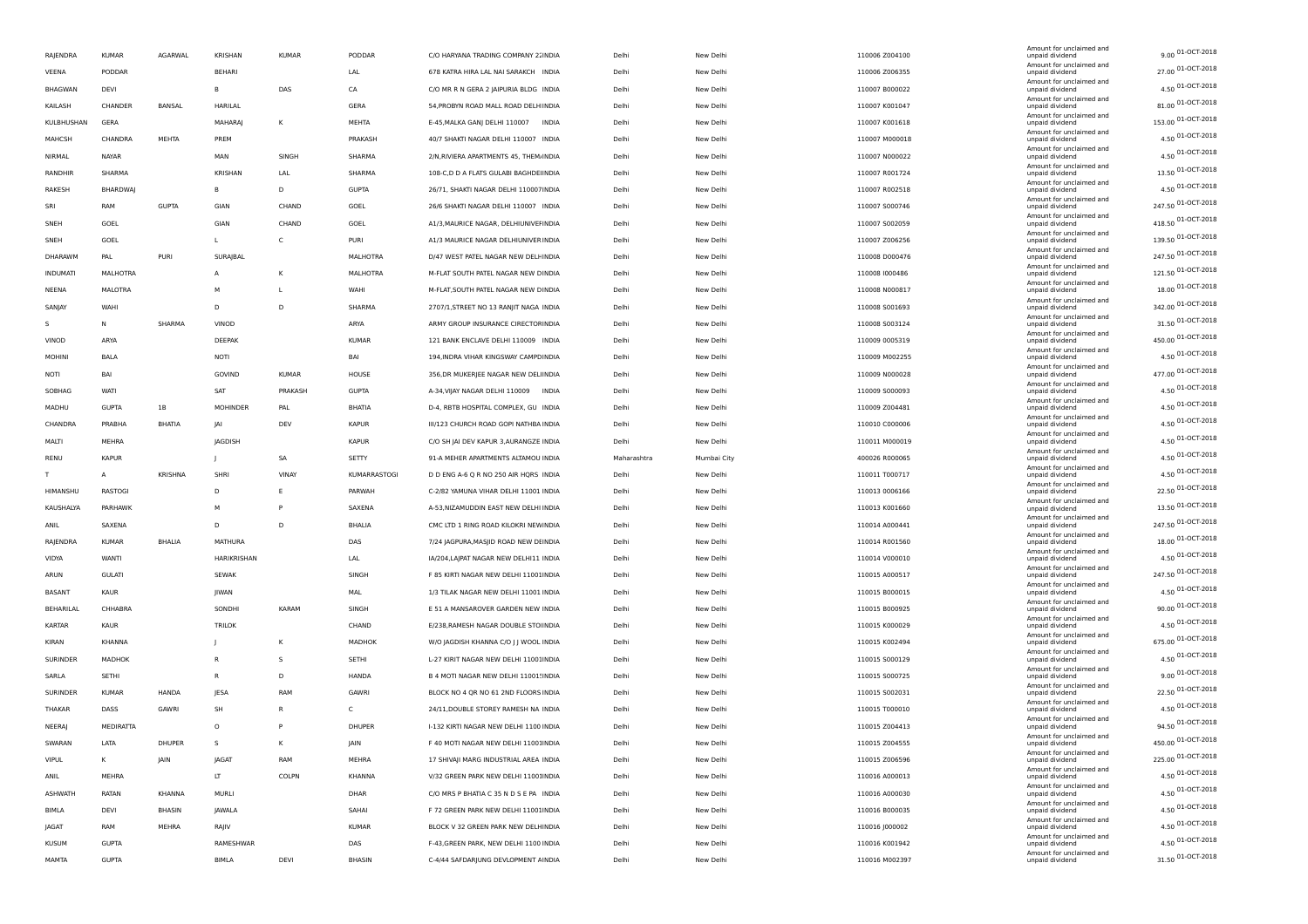| RAJENDRA        | <b>KUMAR</b>  | AGARWAL       | KRISHAN         | <b>KUMAR</b> | PODDAR       | C/O HARYANA TRADING COMPANY 2. INDIA   | Delhi       | New Delhi   | 110006 Z004100 | Amount for unclaimed and<br>unpaid dividend                             | 9.00 01-OCT-2018                      |
|-----------------|---------------|---------------|-----------------|--------------|--------------|----------------------------------------|-------------|-------------|----------------|-------------------------------------------------------------------------|---------------------------------------|
| VEENA           | PODDAR        |               | <b>BEHARI</b>   |              | LAL          | 678 KATRA HIRA LAL NAI SARAKCH INDIA   | Delhi       | New Delhi   | 110006 Z006355 | Amount for unclaimed and<br>unpaid dividend                             | 27.00 01-OCT-2018                     |
| <b>BHAGWAN</b>  | DEVI          |               | B               | DAS          | CA           | C/O MR R N GERA 2 JAIPURIA BLDG INDIA  | Delhi       | New Delhi   | 110007 B000022 | Amount for unclaimed and<br>unpaid dividend                             | 4.50 01-OCT-2018                      |
| KAILASH         | CHANDER       | BANSAL        | HARILAL         |              | GERA         | 54, PROBYN ROAD MALL ROAD DELH INDIA   | Delhi       | New Delhi   | 110007 K001047 | Amount for unclaimed and<br>unpaid dividend                             | 81.00 01-OCT-2018                     |
| KULBHUSHAN      | GERA          |               | MAHARAJ         | κ            | MEHTA        | E-45, MALKA GANJ DELHI 110007 INDIA    | Delhi       | New Delhi   | 110007 K001618 | Amount for unclaimed and<br>unpaid dividend                             | 153.00 01-OCT-2018                    |
| MAHCSH          | CHANDRA       | MEHTA         | PREM            |              | PRAKASH      | 40/7 SHAKTI NAGAR DELHI 110007 INDIA   | Delhi       | New Delhi   | 110007 M000018 | Amount for unclaimed and<br>unpaid dividend                             | 4.50 01-OCT-2018                      |
| NIRMAL          | NAYAR         |               | MAN             | SINGH        | SHARMA       | 2/N, RIVIERA APARTMENTS 45, THEM INDIA | Delhi       | New Delhi   | 110007 N000022 | Amount for unclaimed and<br>unpaid dividend                             | 4.50 01-OCT-2018                      |
| RANDHIR         | SHARMA        |               | KRISHAN         | LAL          | SHARMA       | 108-C,D D A FLATS GULABI BAGHDE INDIA  | Delhi       | New Delhi   | 110007 R001724 | Amount for unclaimed and<br>unpaid dividend                             | 13.50 01-OCT-2018                     |
| RAKESH          | BHARDWAJ      |               | в               | D            | <b>GUPTA</b> | 26/71, SHAKTI NAGAR DELHI 110007INDIA  | Delhi       | New Delhi   | 110007 R002518 | Amount for unclaimed and<br>unpaid dividend                             | 4.50 01-OCT-2018                      |
| SRI             | RAM           | <b>GUPTA</b>  | GIAN            | CHAND        | GOEL         | 26/6 SHAKTI NAGAR DELHI 110007 INDIA   | Delhi       | New Delhi   | 110007 S000746 | Amount for unclaimed and<br>unpaid dividend                             | 247.50 01-OCT-2018                    |
| SNEH            | GOEL          |               | GIAN            | CHAND        | GOEL         | A1/3, MAURICE NAGAR, DELHIUNIVEI INDIA | Delhi       | New Delhi   | 110007 S002059 | Amount for unclaimed and<br>unpaid dividend                             | 418.50 01-OCT-2018                    |
| SNEH            | GOEL          |               | L.              | C            | PURI         | A1/3 MAURICE NAGAR DELHIUNIVER INDIA   | Delhi       | New Delhi   | 110007 Z006256 | Amount for unclaimed and<br>unpaid dividend                             | 139.50 01-OCT-2018                    |
| DHARAWM         | PAL           | PURI          | <b>SURAJBAL</b> |              | MALHOTRA     | D/47 WEST PATEL NAGAR NEW DELFINDIA    | Delhi       | New Delhi   | 110008 D000476 | Amount for unclaimed and<br>unpaid dividend                             | 247.50 01-OCT-2018                    |
| <b>INDUMATI</b> | MALHOTRA      |               | $\mathsf{A}$    | κ            | MALHOTRA     | M-FLAT SOUTH PATEL NAGAR NEW DINDIA    | Delhi       | New Delhi   | 110008 1000486 | Amount for unclaimed and<br>unpaid dividend                             | 121.50 01-OCT-2018                    |
| NEENA           | MALOTRA       |               | M               |              | WAHI         | M-FLAT, SOUTH PATEL NAGAR NEW DINDIA   | Delhi       | New Delhi   | 110008 N000817 | Amount for unclaimed and<br>unpaid dividend                             | 18.00 01-OCT-2018                     |
| SANJAY          | WAHI          |               | D               | D            | SHARMA       | 2707/1, STREET NO 13 RANJIT NAGA INDIA | Delhi       | New Delhi   | 110008 5001693 | Amount for unclaimed and<br>unpaid dividend                             | 342.00 01-OCT-2018                    |
| s               | N             | SHARMA        | VINOD           |              | ARYA         | ARMY GROUP INSURANCE CIRECTOPINDIA     | Delhi       | New Delhi   | 110008 5003124 | Amount for unclaimed and<br>unpaid dividend                             | 31.50 01-OCT-2018                     |
| VINOD           | ARYA          |               | DEEPAK          |              | <b>KUMAR</b> | 121 BANK ENCLAVE DELHI 110009 INDIA    | Delhi       | New Delhi   | 110009 0005319 | Amount for unclaimed and<br>unpaid dividend                             | 450.00 01-OCT-2018                    |
| <b>MOHINI</b>   | BALA          |               | NOTI            |              | BAI          | 194, INDRA VIHAR KINGSWAY CAMPD INDIA  | Delhi       | New Delhi   | 110009 M002255 | Amount for unclaimed and<br>unpaid dividend                             | 4.50 01-OCT-2018                      |
| NOTI            | BAI           |               | GOVIND          | KUMAR        | HOUSE        | 356, DR MUKERJEE NAGAR NEW DELINDIA    | Delhi       | New Delhi   | 110009 N000028 | Amount for unclaimed and                                                | 477.00 01-OCT-2018                    |
| SOBHAG          | WATI          |               | SAT             | PRAKASH      | <b>GUPTA</b> | A-34, VIJAY NAGAR DELHI 110009 INDIA   | Delhi       | New Delhi   | 110009 S000093 | unpaid dividend<br>Amount for unclaimed and<br>unpaid dividend          | 4.50 01-OCT-2018                      |
|                 | <b>GUPTA</b>  |               | MOHINDER        | PAL          | BHATIA       | D-4, RBTB HOSPITAL COMPLEX, GU INDIA   | Delhi       |             |                | Amount for unclaimed and                                                | 4.50 01-OCT-2018                      |
| MADHU           |               | 1B            |                 |              |              |                                        |             | New Delhi   | 110009 Z004481 | unpaid dividend<br>Amount for unclaimed and                             | 4.50 01-OCT-2018                      |
| CHANDRA         | PRABHA        | <b>BHATIA</b> | JAI             | DEV          | <b>KAPUR</b> | III/123 CHURCH ROAD GOPI NATHBA INDIA  | Delhi       | New Delhi   | 110010 C000006 | unpaid dividend<br>Amount for unclaimed and                             | 4.50 01-OCT-2018                      |
| MALTI           | MEHRA         |               | JAGDISH         |              | <b>KAPUR</b> | C/O SH JAI DEV KAPUR 3, AURANGZE INDIA | Delhi       | New Delhi   | 110011 M000019 | unpaid dividend<br>Amount for unclaimed and                             | 4.50 01-OCT-2018                      |
| RENU            | <b>KAPUR</b>  |               |                 | SA           | SETTY        | 91-A MEHER APARTMENTS ALTAMOU INDIA    | Maharashtra | Mumbai City | 400026 R000065 | unpaid dividend<br>Amount for unclaimed and                             | 4.50 01-OCT-2018                      |
| т               | A             | KRISHNA       | SHRI            | <b>VINAY</b> | KUMARRASTOGI | D D ENG A-6 Q R NO 250 AIR HQRS INDIA  | Delhi       | New Delhi   | 110011 T000717 | unpaid dividend<br>Amount for unclaimed and                             | 22.50 01-OCT-2018                     |
| HIMANSHU        | RASTOGI       |               | D               | E            | PARWAH       | C-2/82 YAMUNA VIHAR DELHI 11001 INDIA  | Delhi       | New Delhi   | 110013 0006166 | unpaid dividend<br>Amount for unclaimed and                             | 13.50 01-OCT-2018                     |
| KAUSHALYA       | PARHAWK       |               | M               | P            | SAXENA       | A-53, NIZAMUDDIN EAST NEW DELHI INDIA  | Delhi       | New Delhi   | 110013 K001660 | unpaid dividend<br>Amount for unclaimed and                             |                                       |
| ANIL            | SAXENA        |               | D               | D            | BHALIA       | CMC LTD 1 RING ROAD KILOKRI NEWINDIA   | Delhi       | New Delhi   | 110014 A000441 | unpaid dividend<br>Amount for unclaimed and                             | 247.50 01-OCT-2018                    |
| RAJENDRA        | <b>KUMAR</b>  | <b>BHALIA</b> | MATHURA         |              | DAS          | 7/24 JAGPURA, MASJID ROAD NEW DEINDIA  | Delhi       | New Delhi   | 110014 R001560 | unpaid dividend<br>Amount for unclaimed and                             | 18.00 01-OCT-2018                     |
| VIDYA           | WANTI         |               | HARIKRISHAN     |              | LAL          | IA/204, LAJPAT NAGAR NEW DELHI11 INDIA | Delhi       | New Delhi   | 110014 V000010 | unpaid dividend<br>Amount for unclaimed and                             | 4.50 01-OCT-2018                      |
| ARUN            | <b>GULATI</b> |               | <b>SEWAK</b>    |              | SINGH        | F 85 KIRTI NAGAR NEW DELHI 11001INDIA  | Delhi       | New Delhi   | 110015 A000517 | unpaid dividend<br>Amount for unclaimed and                             | 247.50 01-OCT-2018                    |
| BASANT          | KAUR          |               | JIWAN           |              | MAL          | 1/3 TILAK NAGAR NEW DELHI 11001 INDIA  | Delhi       | New Delhi   | 110015 B000015 | unpaid dividend<br>Amount for unclaimed and                             | 4.50 01-OCT-2018                      |
| BEHARILAL       | CHHABRA       |               | SONDHI          | <b>KARAM</b> | SINGH        | E 51 A MANSAROVER GARDEN NEW INDIA     | Delhi       | New Delhi   | 110015 B000925 | unpaid dividend<br>Amount for unclaimed and                             | 90.00 01-OCT-2018                     |
| KARTAR          | KAUR          |               | <b>TRILOK</b>   |              | CHAND        | E/238, RAMESH NAGAR DOUBLE STO INDIA   | Delhi       | New Delhi   | 110015 K000029 | unpaid dividend<br>Amount for unclaimed and                             | 4.50 01-OCT-2018                      |
| KIRAN           | KHANNA        |               |                 | K            | MADHOK       | W/O JAGDISH KHANNA C/O J J WOOL INDIA  | Delhi       | New Delhi   | 110015 K002494 | unpaid dividend<br>Amount for unclaimed and                             | 675.00 01-OCT-2018                    |
| SURINDER        | MADHOK        |               | $\mathbb{R}$    | s            | SETHI        | L-27 KIRIT NAGAR NEW DELHI 11001INDIA  | Delhi       | New Delhi   | 110015 5000129 | unpaid dividend<br>Amount for unclaimed and                             | $4.50$ 01-OCT-2018                    |
| SARLA           | SETHI         |               | $\mathsf{R}$    | D            | <b>HANDA</b> | B 4 MOTI NAGAR NEW DELHI 11001!INDIA   | Delhi       | New Delhi   | 110015 S000725 | unpaid dividend<br>Amount for unclaimed and                             | 9.00 01-OCT-2018                      |
| SURINDER        | <b>KUMAR</b>  | HANDA         | <b>JESA</b>     | RAM          | GAWRI        | BLOCK NO 4 QR NO 61 2ND FLOORS INDIA   | Delhi       | New Delhi   | 110015 5002031 | unpaid dividend                                                         | 22.50 01-OCT-2018                     |
| THAKAR          | DASS          | GAWRI         | SH              | R            | C            | 24/11, DOUBLE STOREY RAMESH NA INDIA   | Delhi       | New Delhi   | 110015 T000010 | Amount for unclaimed and<br>unpaid dividend<br>Amount for unclaimed and | 4.50 01-OCT-2018                      |
| NEERAJ          | MEDIRATTA     |               | $\circ$         | P            | DHUPER       | I-132 KIRTI NAGAR NEW DELHI 1100 INDIA | Delhi       | New Delhi   | 110015 Z004413 | unpaid dividend                                                         | 94.50 01-OCT-2018                     |
| SWARAN          | LATA          | DHUPER        | S.              | Κ            | JAIN         | F 40 MOTI NAGAR NEW DELHI 11001INDIA   | Delhi       | New Delhi   | 110015 Z004555 | Amount for unclaimed and<br>unpaid dividend                             | 450.00 01-OCT-2018                    |
| <b>VIPUL</b>    | к             | JAIN          | JAGAT           | RAM          | MEHRA        | 17 SHIVAJI MARG INDUSTRIAL AREA INDIA  | Delhi       | New Delhi   | 110015 Z006596 | Amount for unclaimed and<br>unpaid dividend                             | 225.00 01-OCT-2018                    |
| ANIL            | MEHRA         |               | LT              | COLPN        | KHANNA       | V/32 GREEN PARK NEW DELHI 11001INDIA   | Delhi       | New Delhi   | 110016 A000013 | Amount for unclaimed and<br>unpaid dividend                             | 4.50 01-OCT-2018                      |
| <b>ASHWATH</b>  | RATAN         | KHANNA        | MURLI           |              | DHAR         | C/O MRS P BHATIA C 35 N D S E PA INDIA | Delhi       | New Delhi   | 110016 A000030 | Amount for unclaimed and<br>unpaid dividend                             | 4.50 01-OCT-2018                      |
| BIMLA           | DEVI          | BHASIN        | JAWALA          |              | SAHAI        | F 72 GREEN PARK NEW DELHI 11001INDIA   | Delhi       | New Delhi   | 110016 B000035 | Amount for unclaimed and<br>unpaid dividend                             | 4.50 01-OCT-2018                      |
|                 |               |               |                 |              |              |                                        |             |             |                | Amount for unclaimed and                                                |                                       |
| <b>JAGAT</b>    | RAM           | MEHRA         | RAJIV           |              | <b>KUMAR</b> | BLOCK V 32 GREEN PARK NEW DELHINDIA    | Delhi       | New Delhi   | 110016 J000002 | unpaid dividend                                                         | 4.50 01-OCT-2018                      |
| <b>KUSUM</b>    | <b>GUPTA</b>  |               | RAMESHWAR       |              | DAS          | F-43, GREEN PARK, NEW DELHI 1100 INDIA | Delhi       | New Delhi   | 110016 K001942 | Amount for unclaimed and<br>unpaid dividend<br>Amount for unclaimed and | 4.50 01-OCT-2018<br>31.50 01-OCT-2018 |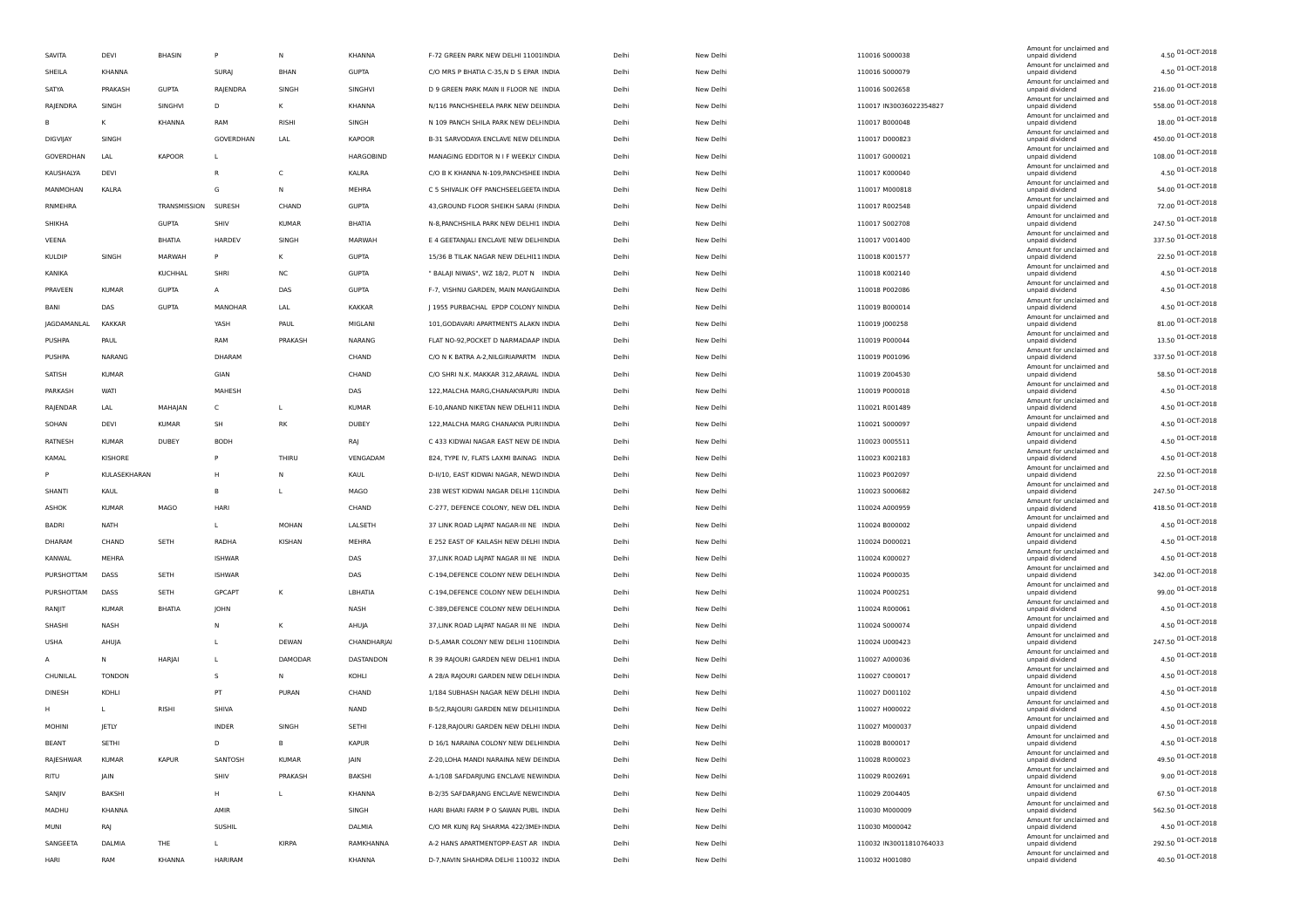|               |               |                     |                |               |                  |                                         |       |           |                         | Amount for unclaimed and                    |                    |
|---------------|---------------|---------------------|----------------|---------------|------------------|-----------------------------------------|-------|-----------|-------------------------|---------------------------------------------|--------------------|
| SAVITA        | DEVI          | <b>BHASIN</b>       | P              | N             | KHANNA           | F-72 GREEN PARK NEW DELHI 11001INDIA    | Delhi | New Delhi | 110016 5000038          | unpaid dividend                             | 4.50 01-OCT-2018   |
| SHEILA        | KHANNA        |                     | SURAJ          | BHAN          | <b>GUPTA</b>     | C/O MRS P BHATIA C-35,N D S EPAR INDIA  | Delhi | New Delhi | 110016 S000079          | Amount for unclaimed and<br>unpaid dividend | 4.50 01-OCT-2018   |
| SATYA         | PRAKASH       | <b>GUPTA</b>        | RAJENDRA       | SINGH         | SINGHVI          | D 9 GREEN PARK MAIN II FLOOR NE INDIA   | Delhi | New Delhi | 110016 5002658          | Amount for unclaimed and<br>unpaid dividend | 216.00 01-OCT-2018 |
| RAJENDRA      | SINGH         | SINGHVI             | D              |               | KHANNA           | N/116 PANCHSHEELA PARK NEW DELINDIA     | Delhi | New Delhi | 110017 IN30036022354827 | Amount for unclaimed and<br>unpaid dividend | 558.00 01-OCT-2018 |
| в             | K             | KHANNA              | RAM            | RISHI         | SINGH            | N 109 PANCH SHILA PARK NEW DELHNDIA     | Delhi | New Delhi | 110017 B000048          | Amount for unclaimed and<br>unpaid dividend | 18.00 01-OCT-2018  |
| DIGVIJAY      | SINGH         |                     | GOVERDHAN      | LAL           | <b>KAPOOR</b>    | B-31 SARVODAYA ENCLAVE NEW DELINDIA     | Delhi | New Delhi | 110017 D000823          | Amount for unclaimed and<br>unpaid dividend | 450.00 01-OCT-2018 |
| GOVERDHAN     | LAL           | <b>KAPOOR</b>       | L              |               | <b>HARGOBIND</b> | MANAGING EDDITOR N I F WEEKLY CINDIA    | Delhi | New Delhi | 110017 G000021          | Amount for unclaimed and                    | 108.00 01-OCT-2018 |
|               |               |                     | B              | C             |                  |                                         |       |           |                         | unpaid dividend<br>Amount for unclaimed and | 4.50 01-OCT-2018   |
| KAUSHALYA     | DEVI          |                     |                |               | KALRA            | C/O B K KHANNA N-109, PANCHSHEE INDIA   | Delhi | New Delhi | 110017 K000040          | unpaid dividend<br>Amount for unclaimed and | 54.00 01-OCT-2018  |
| MANMOHAN      | KALRA         |                     | G              | N             | MEHRA            | C 5 SHIVALIK OFF PANCHSEELGEETA INDIA   | Delhi | New Delhi | 110017 M000818          | unpaid dividend<br>Amount for unclaimed and | 72.00 01-OCT-2018  |
| RNMEHRA       |               | TRANSMISSION SURESH |                | CHAND         | <b>GUPTA</b>     | 43, GROUND FLOOR SHEIKH SARAI (FINDIA   | Delhi | New Delhi | 110017 R002548          | unpaid dividend<br>Amount for unclaimed and |                    |
| SHIKHA        |               | <b>GUPTA</b>        | SHIV           | KUMAR         | <b>BHATIA</b>    | N-8, PANCHSHILA PARK NEW DELHI1 INDIA   | Delhi | New Delhi | 110017 S002708          | unpaid dividend<br>Amount for unclaimed and | 247.50 01-OCT-2018 |
| VEENA         |               | BHATIA              | HARDEV         | SINGH         | MARWAH           | E 4 GEETANJALI ENCLAVE NEW DELHINDIA    | Delhi | New Delhi | 110017 V001400          | unpaid dividend<br>Amount for unclaimed and | 337.50 01-OCT-2018 |
| <b>KULDIP</b> | SINGH         | MARWAH              | P              | к             | <b>GUPTA</b>     | 15/36 B TILAK NAGAR NEW DELHI11 INDIA   | Delhi | New Delhi | 110018 K001577          | unpaid dividend                             | 22.50 01-OCT-2018  |
| KANIKA        |               | KUCHHAL             | SHRI           | NC            | <b>GUPTA</b>     | " BALAJI NIWAS", WZ 18/2, PLOT N INDIA  | Delhi | New Delhi | 110018 K002140          | Amount for unclaimed and<br>unpaid dividend | 4.50 01-OCT-2018   |
| PRAVEEN       | <b>KUMAR</b>  | <b>GUPTA</b>        | $\overline{A}$ | DAS           | <b>GUPTA</b>     | F-7, VISHNU GARDEN, MAIN MANGAHNDIA     | Delhi | New Delhi | 110018 P002086          | Amount for unclaimed and<br>unpaid dividend | 4.50 01-OCT-2018   |
| BANI          | DAS           | <b>GUPTA</b>        | MANOHAR        | LAL           | <b>KAKKAR</b>    | J 1955 PURBACHAL EPDP COLONY NINDIA     | Delhi | New Delhi | 110019 B000014          | Amount for unclaimed and<br>unpaid dividend | 4.50 01-OCT-2018   |
| JAGDAMANLAL   | <b>KAKKAR</b> |                     | YASH           | PAUL          | MIGLANI          | 101, GODAVARI APARTMENTS ALAKN INDIA    | Delhi | New Delhi | 110019 J000258          | Amount for unclaimed and<br>unpaid dividend | 81.00 01-OCT-2018  |
| PUSHPA        | PAUL          |                     | RAM            | PRAKASH       | NARANG           | FLAT NO-92, POCKET D NARMADAAP INDIA    | Delhi | New Delhi | 110019 P000044          | Amount for unclaimed and<br>unpaid dividend | 13.50 01-OCT-2018  |
| PUSHPA        | NARANG        |                     | DHARAM         |               | CHAND            | C/O N K BATRA A-2, NILGIRIAPARTM INDIA  | Delhi | New Delhi | 110019 P001096          | Amount for unclaimed and<br>unpaid dividend | 337.50 01-OCT-2018 |
| SATISH        | <b>KUMAR</b>  |                     | GIAN           |               | CHAND            | C/O SHRI N.K. MAKKAR 312, ARAVAL INDIA  | Delhi | New Delhi | 110019 Z004530          | Amount for unclaimed and<br>unpaid dividend | 58.50 01-OCT-2018  |
| PARKASH       | WATI          |                     | MAHESH         |               | DAS              | 122, MALCHA MARG, CHANAKYAPURI INDIA    | Delhi | New Delhi | 110019 P000018          | Amount for unclaimed and                    | 4.50 01-OCT-2018   |
|               |               |                     |                |               |                  |                                         |       |           |                         | unpaid dividend<br>Amount for unclaimed and | 4.50 01-OCT-2018   |
| RAJENDAR      | LAL           | MAHAJAN             | C              | $\mathbf{L}$  | <b>KUMAR</b>     | E-10, ANAND NIKETAN NEW DELHI11 INDIA   | Delhi | New Delhi | 110021 R001489          | unpaid dividend<br>Amount for unclaimed and | 4.50 01-OCT-2018   |
| SOHAN         | DEVI          | <b>KUMAR</b>        | SH             | RK            | DUBEY            | 122, MALCHA MARG CHANAKYA PURI INDIA    | Delhi | New Delhi | 110021 5000097          | unpaid dividend<br>Amount for unclaimed and |                    |
| RATNESH       | <b>KUMAR</b>  | DUBEY               | <b>BODH</b>    |               | RAJ              | C 433 KIDWAI NAGAR EAST NEW DE INDIA    | Delhi | New Delhi | 110023 0005511          | unpaid dividend<br>Amount for unclaimed and | 4.50 01-OCT-2018   |
| KAMAL         | KISHORE       |                     | P              | THIRU         | VENGADAM         | 824, TYPE IV, FLATS LAXMI BAINAG INDIA  | Delhi | New Delhi | 110023 K002183          | unpaid dividend<br>Amount for unclaimed and | 4.50 01-OCT-2018   |
| P             | KULASEKHARAN  |                     | H              | N             | KAUL             | D-II/10, EAST KIDWAI NAGAR, NEWD INDIA  | Delhi | New Delhi | 110023 P002097          | unpaid dividend<br>Amount for unclaimed and | 22.50 01-OCT-2018  |
| SHANTI        | KAUL          |                     | в              | $\mathbf{I}$  | MAGO             | 238 WEST KIDWAI NAGAR DELHI 11(INDIA    | Delhi | New Delhi | 110023 S000682          | unpaid dividend                             | 247.50 01-OCT-2018 |
| ASHOK         | <b>KUMAR</b>  | MAGO                | HARI           |               | CHAND            | C-277, DEFENCE COLONY, NEW DEL INDIA    | Delhi | New Delhi | 110024 A000959          | Amount for unclaimed and<br>unpaid dividend | 418.50 01-OCT-2018 |
| BADRI         | <b>NATH</b>   |                     | L              | MOHAN         | LALSETH          | 37 LINK ROAD LAJPAT NAGAR-III NE INDIA  | Delhi | New Delhi | 110024 B000002          | Amount for unclaimed and<br>unpaid dividend | 4.50 01-OCT-2018   |
| DHARAM        | CHAND         | SETH                | RADHA          | <b>KISHAN</b> | MEHRA            | E 252 EAST OF KAILASH NEW DELHI INDIA   | Delhi | New Delhi | 110024 D000021          | Amount for unclaimed and<br>unpaid dividend | 4.50 01-OCT-2018   |
| KANWAL        | MEHRA         |                     | <b>ISHWAR</b>  |               | DAS              | 37, LINK ROAD LAJPAT NAGAR III NE INDIA | Delhi | New Delhi | 110024 K000027          | Amount for unclaimed and<br>unpaid dividend | 4.50 01-OCT-2018   |
| PURSHOTTAM    | DASS          | SETH                | <b>ISHWAR</b>  |               | DAS              | C-194, DEFENCE COLONY NEW DELH INDIA    | Delhi | New Delhi | 110024 P000035          | Amount for unclaimed and<br>unpaid dividend | 342.00 01-OCT-2018 |
| PURSHOTTAM    | DASS          | SETH                | GPCAPT         | к             | LBHATIA          | C-194, DEFENCE COLONY NEW DELH INDIA    | Delhi | New Delhi | 110024 P000251          | Amount for unclaimed and<br>unpaid dividend | 99.00 01-OCT-2018  |
| RANJIT        | <b>KUMAR</b>  | BHATIA              | JOHN           |               | NASH             | C-389, DEFENCE COLONY NEW DELH INDIA    | Delhi | New Delhi | 110024 R000061          | Amount for unclaimed and<br>unpaid dividend | 4.50 01-OCT-2018   |
| SHASHI        | NASH          |                     | N              | К             | AHUJA            | 37, LINK ROAD LAJPAT NAGAR III NE INDIA | Delhi | New Delhi | 110024 S000074          | Amount for unclaimed and<br>unpaid dividend | 4.50 01-OCT-2018   |
|               |               |                     |                |               |                  |                                         |       |           |                         | Amount for unclaimed and                    | 247.50 01-OCT-2018 |
| <b>USHA</b>   | AHUJA         |                     | L              | DEWAN         | CHANDHARJAI      | D-5, AMAR COLONY NEW DELHI 1100 INDIA   | Delhi | New Delhi | 110024 U000423          | unpaid dividend<br>Amount for unclaimed and | 4.50 01-OCT-2018   |
| А             | N             | HARJAI              | L              | DAMODAR       | DASTANDON        | R 39 RAJOURI GARDEN NEW DELHI1 INDIA    | Delhi | New Delhi | 110027 A000036          | unpaid dividend<br>Amount for unclaimed and | 4.50 01-OCT-2018   |
| CHUNILAL      | <b>TONDON</b> |                     | s              | N             | KOHLI            | A 28/A RAJOURI GARDEN NEW DELH INDIA    | Delhi | New Delhi | 110027 C000017          | unpaid dividend<br>Amount for unclaimed and |                    |
| <b>DINESH</b> | KOHLI         |                     | PT             | PURAN         | CHAND            | 1/184 SUBHASH NAGAR NEW DELHI INDIA     | Delhi | New Delhi | 110027 D001102          | unpaid dividend<br>Amount for unclaimed and | 4.50 01-OCT-2018   |
| н             | L             | RISHI               | SHIVA          |               | NAND             | B-5/2, RAJOURI GARDEN NEW DELHIJINDIA   | Delhi | New Delhi | 110027 H000022          | unpaid dividend<br>Amount for unclaimed and | 4.50 01-OCT-2018   |
| <b>MOHINI</b> | JETLY         |                     | <b>INDER</b>   | SINGH         | SETHI            | F-128, RAJOURI GARDEN NEW DELHI INDIA   | Delhi | New Delhi | 110027 M000037          | unpaid dividend<br>Amount for unclaimed and | 4.50 01-OCT-2018   |
| <b>BEANT</b>  | SETHI         |                     | D              | в             | <b>KAPUR</b>     | D 16/1 NARAINA COLONY NEW DELHINDIA     | Delhi | New Delhi | 110028 B000017          | unpaid dividend                             | 4.50 01-OCT-2018   |
| RAJESHWAR     | <b>KUMAR</b>  | <b>KAPUR</b>        | SANTOSH        | <b>KUMAR</b>  | JAIN             | Z-20, LOHA MANDI NARAINA NEW DEINDIA    | Delhi | New Delhi | 110028 R000023          | Amount for unclaimed and<br>unpaid dividend | 49.50 01-OCT-2018  |
| RITU          | JAIN          |                     | SHIV           | PRAKASH       | BAKSHI           | A-1/108 SAFDARJUNG ENCLAVE NEW INDIA    | Delhi | New Delhi | 110029 R002691          | Amount for unclaimed and<br>unpaid dividend | 9.00 01-OCT-2018   |
| SANJIV        | BAKSHI        |                     | H              | <b>L</b>      | KHANNA           | B-2/35 SAFDARJANG ENCLAVE NEWE INDIA    | Delhi | New Delhi | 110029 Z004405          | Amount for unclaimed and<br>unpaid dividend | 67.50 01-OCT-2018  |
| MADHU         | KHANNA        |                     | AMIR           |               | SINGH            | HARI BHARI FARM P O SAWAN PUBL INDIA    | Delhi | New Delhi | 110030 M000009          | Amount for unclaimed and<br>unpaid dividend | 562.50 01-OCT-2018 |
| MUNI          | RAJ           |                     | <b>SUSHIL</b>  |               | DALMIA           | C/O MR KUNJ RAJ SHARMA 422/3MEH INDIA   | Delhi | New Delhi | 110030 M000042          | Amount for unclaimed and<br>unpaid dividend | 4.50 01-OCT-2018   |
| SANGEETA      | DALMIA        | THE                 | Г              | KIRPA         | RAMKHANNA        | A-2 HANS APARTMENTOPP-EAST AR INDIA     | Delhi | New Delhi | 110032 IN30011810764033 | Amount for unclaimed and<br>unpaid dividend | 292.50 01-OCT-2018 |
| HARI          | RAM           | KHANNA              | HARIRAM        |               | KHANNA           | D-7, NAVIN SHAHDRA DELHI 110032 INDIA   | Delhi | New Delhi | 110032 H001080          | Amount for unclaimed and<br>unpaid dividend | 40.50 01-OCT-2018  |
|               |               |                     |                |               |                  |                                         |       |           |                         |                                             |                    |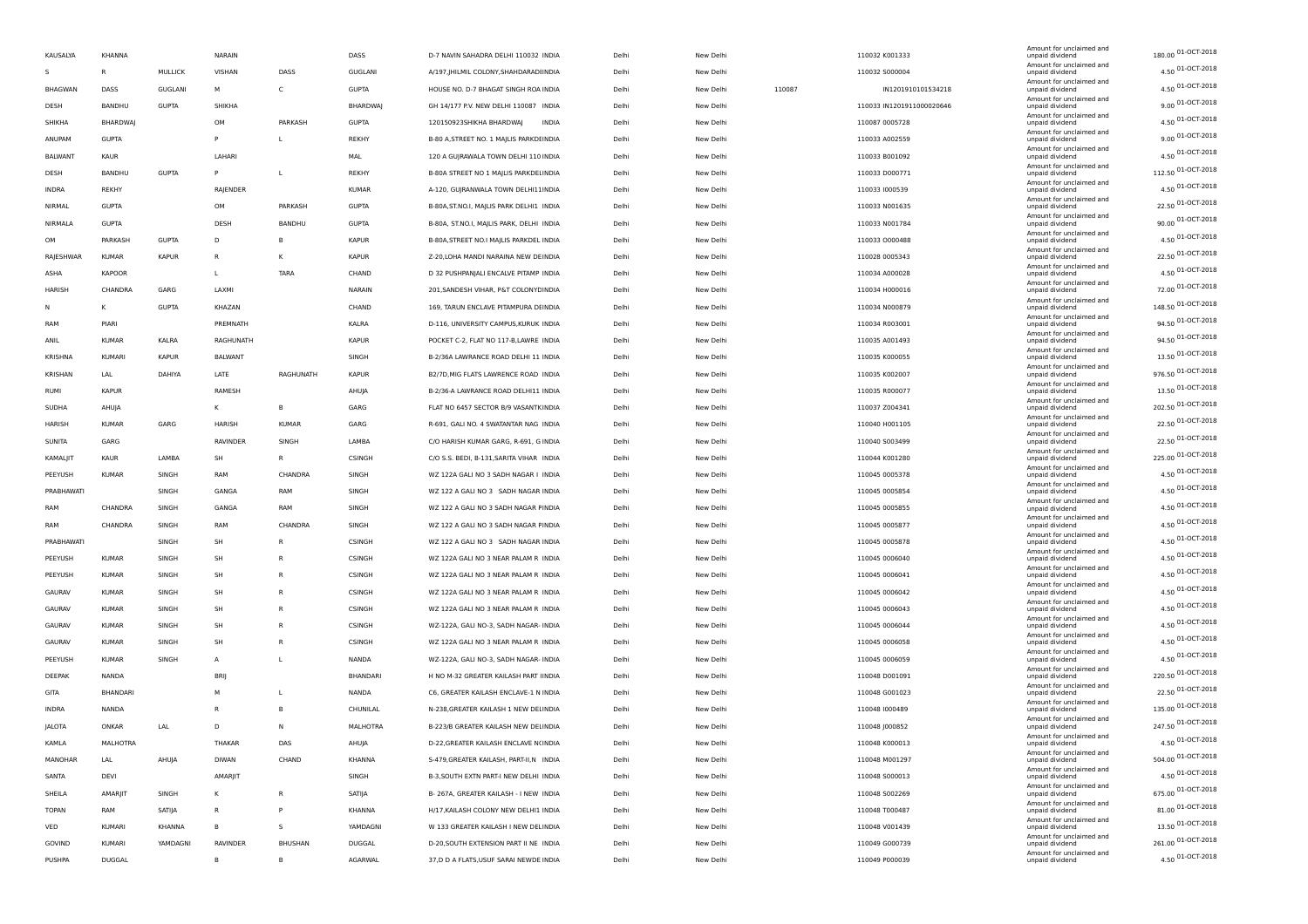| KAUSALYA       | KHANNA        |                | NARAIN          |                | DASS            | D-7 NAVIN SAHADRA DELHI 110032 INDIA      | Delhi | New Delhi |        | 110032 K001333            | Amount for unclaimed and<br>unpaid dividend | 180.00 01-OCT-2018      |
|----------------|---------------|----------------|-----------------|----------------|-----------------|-------------------------------------------|-------|-----------|--------|---------------------------|---------------------------------------------|-------------------------|
| s              | $\mathsf{R}$  | MULLICK        | VISHAN          | DASS           | GUGLANI         | A/197, JHILMIL COLONY, SHAHDARADI INDIA   | Delhi | New Delhi |        | 110032 5000004            | Amount for unclaimed and<br>unpaid dividend | $4.50$ 01-OCT-2018      |
| <b>BHAGWAN</b> | DASS          | <b>GUGLANI</b> | M               | C              | <b>GUPTA</b>    | HOUSE NO. D-7 BHAGAT SINGH ROA INDIA      | Delhi | New Delhi | 110087 | IN1201910101534218        | Amount for unclaimed and<br>unpaid dividend | 4.50 01-OCT-2018        |
| DESH           | BANDHU        | <b>GUPTA</b>   | <b>SHIKHA</b>   |                | <b>BHARDWAJ</b> | GH 14/177 P.V. NEW DELHI 110087 INDIA     | Delhi | New Delhi |        | 110033 IN1201911000020646 | Amount for unclaimed and<br>unpaid dividend | 9.00 01-OCT-2018        |
| SHIKHA         | BHARDWAJ      |                | OM              | PARKASH        | <b>GUPTA</b>    | 120150923SHIKHA BHARDWAJ<br>INDIA         | Delhi | New Delhi |        | 110087 0005728            | Amount for unclaimed and<br>unpaid dividend | 4.50 01-OCT-2018        |
| ANUPAM         | <b>GUPTA</b>  |                | P               | L              | REKHY           | B-80 A, STREET NO. 1 MAJLIS PARKDEINDIA   | Delhi | New Delhi |        | 110033 A002559            | Amount for unclaimed and<br>unpaid dividend | $9.00\,01 - OCT - 2018$ |
| <b>BALWANT</b> | KAUR          |                | LAHARI          |                | MAL             | 120 A GUJRAWALA TOWN DELHI 110 INDIA      | Delhi | New Delhi |        | 110033 B001092            | Amount for unclaimed and<br>unpaid dividend | $4.50$ 01-OCT-2018      |
| DESH           | BANDHU        | <b>GUPTA</b>   | P               | L              | REKHY           | B-80A STREET NO 1 MAJLIS PARKDELINDIA     | Delhi | New Delhi |        | 110033 D000771            | Amount for unclaimed and<br>unpaid dividend | 112.50 01-OCT-2018      |
| INDRA          | <b>REKHY</b>  |                | RAJENDER        |                | <b>KUMAR</b>    | A-120, GUJRANWALA TOWN DELHI11INDIA       | Delhi | New Delhi |        | 110033 1000539            | Amount for unclaimed and<br>unpaid dividend | 4.50 01-OCT-2018        |
| NIRMAL         | <b>GUPTA</b>  |                | OM              | PARKASH        | <b>GUPTA</b>    | B-80A, ST. NO.I, MAJLIS PARK DELHI1 INDIA | Delhi | New Delhi |        | 110033 N001635            | Amount for unclaimed and<br>unpaid dividend | 22.50 01-OCT-2018       |
| NIRMALA        | <b>GUPTA</b>  |                | DESH            | BANDHU         | <b>GUPTA</b>    | B-80A, ST.NO.I, MAJLIS PARK, DELHI INDIA  | Delhi | New Delhi |        | 110033 N001784            | Amount for unclaimed and<br>unpaid dividend | 90.00 01-OCT-2018       |
| OM             | PARKASH       | <b>GUPTA</b>   | D               | B              | <b>KAPUR</b>    | B-80A, STREET NO.I MAILIS PARKDEL INDIA   | Delhi | New Delhi |        | 110033 0000488            | Amount for unclaimed and<br>unpaid dividend | 4.50 01-OCT-2018        |
| RAJESHWAR      | <b>KUMAR</b>  | <b>KAPUR</b>   | R               | к              | <b>KAPUR</b>    | Z-20, LOHA MANDI NARAINA NEW DEINDIA      | Delhi | New Delhi |        | 110028 0005343            | Amount for unclaimed and<br>unpaid dividend | 22.50 01-OCT-2018       |
| ASHA           | <b>KAPOOR</b> |                | L               | <b>TARA</b>    | CHAND           | D 32 PUSHPANJALI ENCALVE PITAMP INDIA     | Delhi | New Delhi |        | 110034 A000028            | Amount for unclaimed and<br>unpaid dividend | 4.50 01-OCT-2018        |
| HARISH         | CHANDRA       | GARG           | LAXMI           |                | NARAIN          | 201, SANDESH VIHAR, P&T COLONYE INDIA     | Delhi | New Delhi |        | 110034 H000016            | Amount for unclaimed and<br>unpaid dividend | 72.00 01-OCT-2018       |
| N              | K             | <b>GUPTA</b>   | KHAZAN          |                | CHAND           | 169, TARUN ENCLAVE PITAMPURA DEINDIA      | Delhi | New Delhi |        | 110034 N000879            | Amount for unclaimed and<br>unpaid dividend | 148.50 01-OCT-2018      |
| RAM            | PIARI         |                | PREMNATH        |                | KALRA           | D-116, UNIVERSITY CAMPUS, KURUK INDIA     | Delhi | New Delhi |        | 110034 R003001            | Amount for unclaimed and<br>unpaid dividend | 94.50 01-OCT-2018       |
| ANIL           | <b>KUMAR</b>  | KALRA          | RAGHUNATH       |                | <b>KAPUR</b>    | POCKET C-2, FLAT NO 117-B,LAWRE INDIA     | Delhi | New Delhi |        | 110035 A001493            | Amount for unclaimed and<br>unpaid dividend | 94.50 01-OCT-2018       |
| KRISHNA        | <b>KUMARI</b> | <b>KAPUR</b>   | BALWANT         |                | SINGH           | B-2/36A LAWRANCE ROAD DELHI 11 INDIA      | Delhi | New Delhi |        | 110035 K000055            | Amount for unclaimed and<br>unpaid dividend | 13.50 01-OCT-2018       |
| KRISHAN        | LAL           | DAHIYA         | LATE            | RAGHUNATH      | <b>KAPUR</b>    | B2/7D, MIG FLATS LAWRENCE ROAD INDIA      | Delhi | New Delhi |        | 110035 K002007            | Amount for unclaimed and                    | 976.50 01-OCT-2018      |
|                | <b>KAPUR</b>  |                | RAMESH          |                |                 | B-2/36-A LAWRANCE ROAD DELHI11 INDIA      |       |           |        | 110035 R000077            | unpaid dividend<br>Amount for unclaimed and | 13.50 01-OCT-2018       |
| RUMI           |               |                |                 |                | AHUJA           |                                           | Delhi | New Delhi |        |                           | unpaid dividend<br>Amount for unclaimed and | 202.50 01-OCT-2018      |
| SUDHA          | AHUJA         |                | к               | B              | GARG            | FLAT NO 6457 SECTOR B/9 VASANTKINDIA      | Delhi | New Delhi |        | 110037 Z004341            | unpaid dividend<br>Amount for unclaimed and | 22.50 01-OCT-2018       |
| <b>HARISH</b>  | <b>KUMAR</b>  | GARG           | HARISH          | <b>KUMAR</b>   | GARG            | R-691, GALI NO. 4 SWATANTAR NAG INDIA     | Delhi | New Delhi |        | 110040 H001105            | unpaid dividend<br>Amount for unclaimed and | 22.50 01-OCT-2018       |
| SUNITA         | GARG          |                | <b>RAVINDER</b> | SINGH          | LAMBA           | C/O HARISH KUMAR GARG, R-691, G INDIA     | Delhi | New Delhi |        | 110040 S003499            | unpaid dividend<br>Amount for unclaimed and | 225.00 01-OCT-2018      |
| KAMALJIT       | KAUR          | LAMBA          | SH              | R              | CSINGH          | C/O S.S. BEDI, B-131, SARITA VIHAR INDIA  | Delhi | New Delhi |        | 110044 K001280            | unpaid dividend<br>Amount for unclaimed and | 4.50 01-OCT-2018        |
| PEEYUSH        | <b>KUMAR</b>  | SINGH          | RAM             | CHANDRA        | SINGH           | WZ 122A GALI NO 3 SADH NAGAR I INDIA      | Delhi | New Delhi |        | 110045 0005378            | unpaid dividend<br>Amount for unclaimed and |                         |
| PRABHAWATI     |               | SINGH          | GANGA           | RAM            | SINGH           | WZ 122 A GALI NO 3 SADH NAGAR INDIA       | Delhi | New Delhi |        | 110045 0005854            | unpaid dividend<br>Amount for unclaimed and | 4.50 01-OCT-2018        |
| RAM            | CHANDRA       | SINGH          | GANGA           | RAM            | SINGH           | WZ 122 A GALI NO 3 SADH NAGAR FINDIA      | Delhi | New Delhi |        | 110045 0005855            | unpaid dividend<br>Amount for unclaimed and | 4.50 01-OCT-2018        |
| RAM            | CHANDRA       | SINGH          | RAM             | CHANDRA        | SINGH           | WZ 122 A GALI NO 3 SADH NAGAR FINDIA      | Delhi | New Delhi |        | 110045 0005877            | unpaid dividend<br>Amount for unclaimed and | 4.50 01-OCT-2018        |
| PRABHAWATI     |               | SINGH          | SH              | $\mathsf{R}$   | CSINGH          | WZ 122 A GALI NO 3 SADH NAGAR INDIA       | Delhi | New Delhi |        | 110045 0005878            | unpaid dividend<br>Amount for unclaimed and | 4.50 01-OCT-2018        |
| PEEYUSH        | <b>KUMAR</b>  | SINGH          | <b>SH</b>       |                | CSINGH          | WZ 122A GALI NO 3 NEAR PALAM R INDIA      | Delhi | New Delhi |        | 110045 0006040            | unpaid dividend<br>Amount for unclaimed and | 4.50 01-OCT-2018        |
| PEEYUSH        | <b>KUMAR</b>  | SINGH          | <b>SH</b>       | $\mathsf{R}$   | CSINGH          | WZ 122A GALI NO 3 NEAR PALAM R INDIA      | Delhi | New Delhi |        | 110045 0006041            | unpaid dividend<br>Amount for unclaimed and | 4.50 01-OCT-2018        |
| GAURAV         | <b>KUMAR</b>  | SINGH          | SH              | $\mathsf{R}$   | CSINGH          | WZ 122A GALI NO 3 NEAR PALAM R INDIA      | Delhi | New Delhi |        | 110045 0006042            | unpaid dividend<br>Amount for unclaimed and | 4.50 01-OCT-2018        |
| GAURAV         | <b>KUMAR</b>  | SINGH          | SH              | $\mathsf{R}$   | CSINGH          | WZ 122A GALI NO 3 NEAR PALAM R INDIA      | Delhi | New Delhi |        | 110045 0006043            | unpaid dividend<br>Amount for unclaimed and | 4.50 01-OCT-2018        |
| GAURAV         | <b>KUMAR</b>  | SINGH          | SH              | $\mathsf{R}$   | CSINGH          | WZ-122A, GALI NO-3, SADH NAGAR- INDIA     | Delhi | New Delhi |        | 110045 0006044            | unpaid dividend<br>Amount for unclaimed and | 4.50 01-OCT-2018        |
| GAURAV         | <b>KUMAR</b>  | SINGH          | <b>SH</b>       | $\mathsf{R}$   | CSINGH          | WZ 122A GALI NO 3 NEAR PALAM R INDIA      | Delhi | New Delhi |        | 110045 0006058            | unpaid dividend                             | 4.50 01-OCT-2018        |
| PEEYUSH        | <b>KUMAR</b>  | SINGH          | A               | L              | NANDA           | WZ-122A, GALI NO-3, SADH NAGAR- INDIA     | Delhi | New Delhi |        | 110045 0006059            | Amount for unclaimed and<br>unpaid dividend | $4.50$ 01-OCT-2018      |
| DEEPAK         | NANDA         |                | <b>BRII</b>     |                | BHANDARI        | H NO M-32 GREATER KAILASH PART IINDIA     | Delhi | New Delhi |        | 110048 D001091            | Amount for unclaimed and<br>unpaid dividend | 220.50 01-OCT-2018      |
| GITA           | BHANDARI      |                | M               | L              | NANDA           | C6, GREATER KAILASH ENCLAVE-1 N INDIA     | Delhi | New Delhi |        | 110048 G001023            | Amount for unclaimed and<br>unpaid dividend | 22.50 01-OCT-2018       |
| INDRA          | NANDA         |                | R               | B              | CHUNILAL        | N-238, GREATER KAILASH 1 NEW DELINDIA     | Delhi | New Delhi |        | 110048 1000489            | Amount for unclaimed and<br>unpaid dividend | 135.00 01-OCT-2018      |
| JALOTA         | ONKAR         | LAL            | D               |                | MALHOTRA        | B-223/B GREATER KAILASH NEW DELINDIA      | Delhi | New Delhi |        | 110048 J000852            | Amount for unclaimed and<br>unpaid dividend | 247.50 01-OCT-2018      |
| KAMLA          | MALHOTRA      |                | THAKAR          | DAS            | AHUJA           | D-22, GREATER KAILASH ENCLAVE N(INDIA     | Delhi | New Delhi |        | 110048 K000013            | Amount for unclaimed and<br>unpaid dividend | 4.50 01-OCT-2018        |
| MANOHAR        | LAL           | AHUJA          | <b>DIWAN</b>    | CHAND          | KHANNA          | S-479, GREATER KAILASH, PART-II, N INDIA  | Delhi | New Delhi |        | 110048 M001297            | Amount for unclaimed and<br>unpaid dividend | 504.00 01-OCT-2018      |
| SANTA          | DEVI          |                | AMARJIT         |                | SINGH           | B-3, SOUTH EXTN PART-I NEW DELHI INDIA    | Delhi | New Delhi |        | 110048 5000013            | Amount for unclaimed and<br>unpaid dividend | 4.50 01-OCT-2018        |
| SHEILA         | AMARJIT       | SINGH          | к               | R              | SATIJA          | B- 267A, GREATER KAILASH - I NEW INDIA    | Delhi | New Delhi |        | 110048 S002269            | Amount for unclaimed and<br>unpaid dividend | 675.00 01-OCT-2018      |
| TOPAN          | RAM           | SATIJA         | R               | P              | KHANNA          | H/17, KAILASH COLONY NEW DELHI1 INDIA     | Delhi | New Delhi |        | 110048 T000487            | Amount for unclaimed and<br>unpaid dividend | 81.00 01-OCT-2018       |
| VED            | KUMARI        | KHANNA         | в               | S.             | YAMDAGNI        | W 133 GREATER KAILASH I NEW DELINDIA      | Delhi | New Delhi |        | 110048 V001439            | Amount for unclaimed and<br>unpaid dividend | 13.50 01-OCT-2018       |
| GOVIND         | KUMARI        | YAMDAGNI       | <b>RAVINDER</b> | <b>BHUSHAN</b> | DUGGAL          | D-20, SOUTH EXTENSION PART II NE INDIA    | Delhi | New Delhi |        | 110049 G000739            | Amount for unclaimed and<br>unpaid dividend | 261.00 01-OCT-2018      |
| PUSHPA         | DUGGAL        |                | в               | B              | <b>AGARWAL</b>  | 37,D D A FLATS, USUF SARAI NEWDE INDIA    | Delhi | New Delhi |        | 110049 P000039            | Amount for unclaimed and<br>unpaid dividend | 4.50 01-OCT-2018        |
|                |               |                |                 |                |                 |                                           |       |           |        |                           |                                             |                         |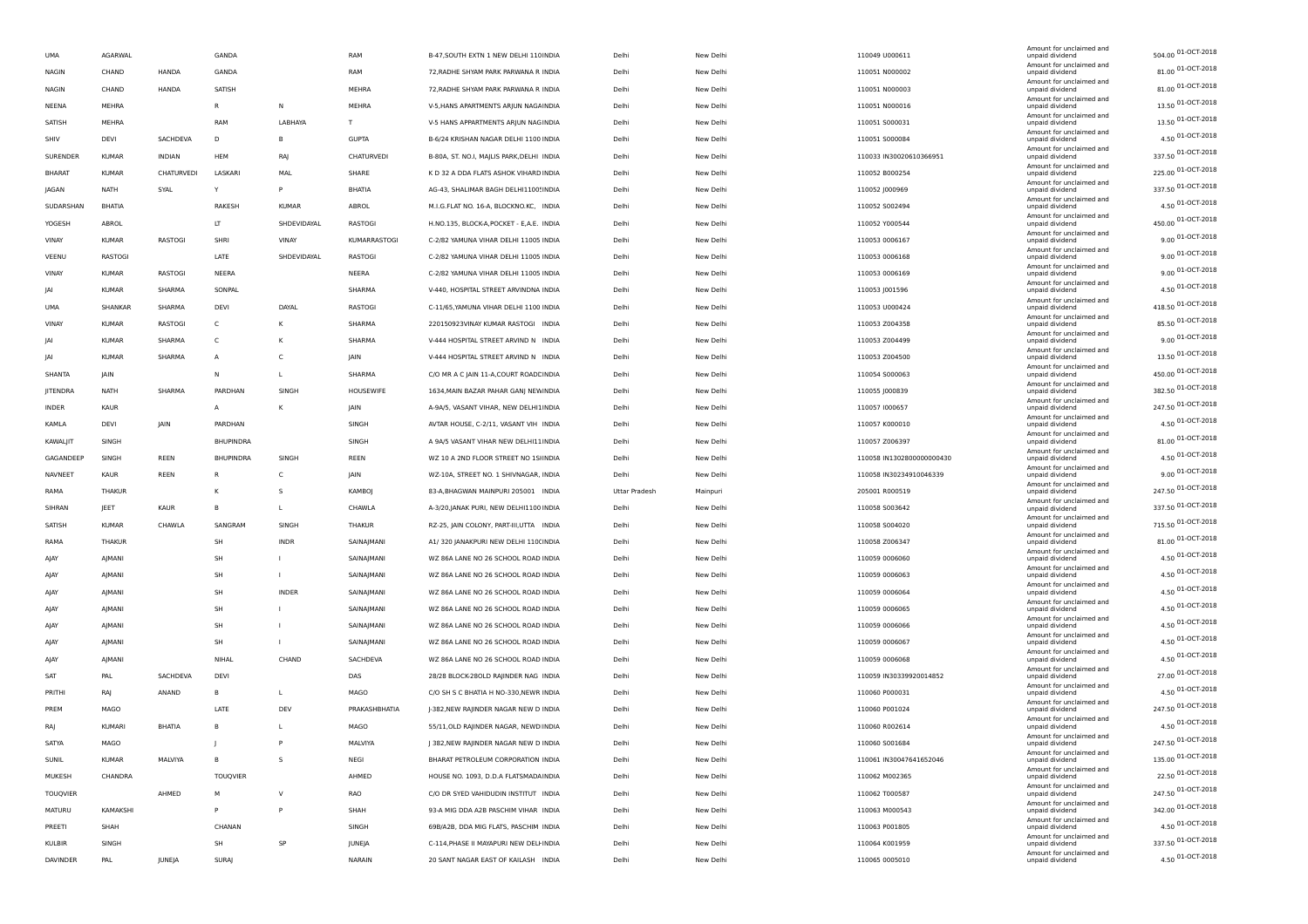| <b>UMA</b>    | AGARWAL       |            | GANDA            |              | RAM           | B-47, SOUTH EXTN 1 NEW DELHI 110 INDIA    | Delhi         | New Delhi | 110049 U000611            | Amount for unclaimed and<br>unpaid dividend | 504.00 01-OCT-2018      |
|---------------|---------------|------------|------------------|--------------|---------------|-------------------------------------------|---------------|-----------|---------------------------|---------------------------------------------|-------------------------|
| <b>NAGIN</b>  | CHAND         | HANDA      | GANDA            |              | RAM           | 72, RADHE SHYAM PARK PARWANA R INDIA      | Delhi         | New Delhi | 110051 N000002            | Amount for unclaimed and<br>unpaid dividend | 81.00 01-OCT-2018       |
| <b>NAGIN</b>  | CHAND         | HANDA      | SATISH           |              | MEHRA         | 72, RADHE SHYAM PARK PARWANA R INDIA      | Delhi         | New Delhi | 110051 N000003            | Amount for unclaimed and<br>unpaid dividend | 81.00 01-OCT-2018       |
| NEENA         | MEHRA         |            | $\mathsf{R}$     | N            | MEHRA         | V-5, HANS APARTMENTS ARJUN NAGAINDIA      | Delhi         | New Delhi | 110051 N000016            | Amount for unclaimed and<br>unpaid dividend | 13.50 01-OCT-2018       |
| SATISH        | MEHRA         |            | RAM              | LABHAYA      | $\mathsf{T}$  | V-5 HANS APPARTMENTS ARJUN NAGINDIA       | Delhi         | New Delhi | 110051 S000031            | Amount for unclaimed and<br>unpaid dividend | 13.50 01-OCT-2018       |
| SHIV          | DEVI          | SACHDEVA   | D                | <b>B</b>     | <b>GUPTA</b>  | B-6/24 KRISHAN NAGAR DELHI 1100 INDIA     | Delhi         | New Delhi | 110051 S000084            | Amount for unclaimed and<br>unpaid dividend | 4.50 01-OCT-2018        |
| SURENDER      | <b>KUMAR</b>  | INDIAN     | HEM              | RAJ          | CHATURVEDI    |                                           | Delhi         | New Delhi |                           | Amount for unclaimed and                    | 337.50 01-OCT-2018      |
|               |               |            |                  |              |               | B-80A, ST. NO.I, MAJLIS PARK, DELHI INDIA |               |           | 110033 IN30020610366951   | unpaid dividend<br>Amount for unclaimed and | 225.00 01-OCT-2018      |
| <b>BHARAT</b> | <b>KUMAR</b>  | CHATURVEDI | LASKARI          | MAL          | SHARE         | K D 32 A DDA FLATS ASHOK VIHARD INDIA     | Delhi         | New Delhi | 110052 B000254            | unpaid dividend<br>Amount for unclaimed and | 337.50 01-OCT-2018      |
| JAGAN         | NATH          | SYAL       | Y                | P            | BHATIA        | AG-43, SHALIMAR BAGH DELHI1100! INDIA     | Delhi         | New Delhi | 110052 J000969            | unpaid dividend<br>Amount for unclaimed and | 4.50 01-OCT-2018        |
| SUDARSHAN     | BHATIA        |            | RAKESH           | <b>KUMAR</b> | ABROL         | M.I.G.FLAT NO. 16-A, BLOCKNO.KC, INDIA    | Delhi         | New Delhi | 110052 S002494            | unpaid dividend<br>Amount for unclaimed and |                         |
| YOGESH        | ABROL         |            | LT               | SHDEVIDAYAL  | RASTOGI       | H.NO.135, BLOCK-A, POCKET - E, A.E. INDIA | Delhi         | New Delhi | 110052 Y000544            | unpaid dividend<br>Amount for unclaimed and | 450.00 01-OCT-2018      |
| VINAY         | <b>KUMAR</b>  | RASTOGI    | SHRI             | VINAY        | KUMARRASTOGI  | C-2/82 YAMUNA VIHAR DELHI 11005 INDIA     | Delhi         | New Delhi | 110053 0006167            | unpaid dividend<br>Amount for unclaimed and | 9.00 01-OCT-2018        |
| VEENU         | RASTOGI       |            | LATE             | SHDEVIDAYAL  | RASTOGI       | C-2/82 YAMUNA VIHAR DELHI 11005 INDIA     | Delhi         | New Delhi | 110053 0006168            | unpaid dividend                             | 9.00 01-OCT-2018        |
| VINAY         | KUMAR         | RASTOGI    | NEERA            |              | NEERA         | C-2/82 YAMUNA VIHAR DELHI 11005 INDIA     | Delhi         | New Delhi | 110053 0006169            | Amount for unclaimed and<br>unpaid dividend | $9.00\,01 - OCT - 2018$ |
| JAI           | <b>KUMAR</b>  | SHARMA     | SONPAL           |              | SHARMA        | V-440, HOSPITAL STREET ARVINDNA INDIA     | Delhi         | New Delhi | 110053 J001596            | Amount for unclaimed and<br>unpaid dividend | 4.50 01-OCT-2018        |
| UMA           | SHANKAR       | SHARMA     | DEVI             | DAYAL        | RASTOGI       | C-11/65, YAMUNA VIHAR DELHI 1100 INDIA    | Delhi         | New Delhi | 110053 U000424            | Amount for unclaimed and<br>unpaid dividend | 418.50 01-OCT-2018      |
| VINAY         | <b>KUMAR</b>  | RASTOGI    | C                | К            | SHARMA        | 220150923VINAY KUMAR RASTOGI INDIA        | Delhi         | New Delhi | 110053 Z004358            | Amount for unclaimed and<br>unpaid dividend | 85.50 01-OCT-2018       |
| IAI           | <b>KUMAR</b>  | SHARMA     | C                | к            | SHARMA        | V-444 HOSPITAL STREET ARVIND N INDIA      | Delhi         | New Delhi | 110053 Z004499            | Amount for unclaimed and<br>unpaid dividend | 9.00 01-OCT-2018        |
| <b>JAI</b>    | <b>KUMAR</b>  | SHARMA     | $\overline{A}$   | C            | JAIN          | V-444 HOSPITAL STREET ARVIND N INDIA      | Delhi         | New Delhi | 110053 Z004500            | Amount for unclaimed and<br>unpaid dividend | 13.50 01-OCT-2018       |
| SHANTA        | JAIN          |            | N                | $\mathbf{I}$ | SHARMA        | C/O MR A C JAIN 11-A, COURT ROADE INDIA   | Delhi         | New Delhi | 110054 S000063            | Amount for unclaimed and<br>unpaid dividend | 450.00 01-OCT-2018      |
|               |               | SHARMA     | PARDHAN          |              |               |                                           |               |           |                           | Amount for unclaimed and                    | 382.50 01-OCT-2018      |
| JITENDRA      | <b>NATH</b>   |            |                  | SINGH        | HOUSEWIFE     | 1634, MAIN BAZAR PAHAR GANJ NEW INDIA     | Delhi         | New Delhi | 110055 J000839            | unpaid dividend<br>Amount for unclaimed and | 247.50 01-OCT-2018      |
| INDER         | KAUR          |            | A                | К            | JAIN          | A-9A/5, VASANT VIHAR, NEW DELHI1INDIA     | Delhi         | New Delhi | 110057 1000657            | unpaid dividend<br>Amount for unclaimed and | 4.50 01-OCT-2018        |
| KAMLA         | DEVI          | JAIN       | PARDHAN          |              | SINGH         | AVTAR HOUSE, C-2/11, VASANT VIH INDIA     | Delhi         | New Delhi | 110057 K000010            | unpaid dividend<br>Amount for unclaimed and |                         |
| KAWALJIT      | SINGH         |            | <b>BHUPINDRA</b> |              | SINGH         | A 9A/5 VASANT VIHAR NEW DELHI11INDIA      | Delhi         | New Delhi | 110057 Z006397            | unpaid dividend<br>Amount for unclaimed and | 81.00 01-OCT-2018       |
| GAGANDEEP     | SINGH         | REEN       | BHUPINDRA        | SINGH        | REEN          | WZ 10 A 2ND FLOOR STREET NO 1SIINDIA      | Delhi         | New Delhi | 110058 IN1302800000000430 | unpaid dividend<br>Amount for unclaimed and | 4.50 01-OCT-2018        |
| NAVNEET       | KAUR          | REEN       | R.               | C            | JAIN          | WZ-10A, STREET NO. 1 SHIVNAGAR, INDIA     | Delhi         | New Delhi | 110058 IN30234910046339   | unpaid dividend<br>Amount for unclaimed and | 9.00 01-OCT-2018        |
| RAMA          | THAKUR        |            | к                | -S           | KAMBOJ        | 83-A, BHAGWAN MAINPURI 205001 INDIA       | Uttar Pradesh | Mainpuri  | 205001 R000519            | unpaid dividend                             | 247.50 01-OCT-2018      |
| SIHRAN        | JEET          | KAUR       | B                | $\mathbf{L}$ | CHAWLA        | A-3/20, JANAK PURI, NEW DELHI1100 INDIA   | Delhi         | New Delhi | 110058 S003642            | Amount for unclaimed and<br>unpaid dividend | 337.50 01-OCT-2018      |
| SATISH        | <b>KUMAR</b>  | CHAWLA     | SANGRAM          | SINGH        | THAKUR        | RZ-25, JAIN COLONY, PART-III,UTTA INDIA   | Delhi         | New Delhi | 110058 S004020            | Amount for unclaimed and<br>unpaid dividend | 715.50 01-OCT-2018      |
| RAMA          | THAKUR        |            | SH               | <b>INDR</b>  | SAINAJMANI    | A1/ 320 JANAKPURI NEW DELHI 110(INDIA     | Delhi         | New Delhi | 110058 Z006347            | Amount for unclaimed and<br>unpaid dividend | 81.00 01-OCT-2018       |
| AJAY          | AJMANI        |            | SH               | $\mathbf{I}$ | SAINAJMANI    | WZ 86A LANE NO 26 SCHOOL ROAD INDIA       | Delhi         | New Delhi | 110059 0006060            | Amount for unclaimed and<br>unpaid dividend | 4.50 01-OCT-2018        |
| AJAY          | AJMANI        |            | SH               | $\mathbf{I}$ | SAINAJMANI    | WZ 86A LANE NO 26 SCHOOL ROAD INDIA       | Delhi         | New Delhi | 110059 0006063            | Amount for unclaimed and<br>unpaid dividend | 4.50 01-OCT-2018        |
| AJAY          | AJMANI        |            | SH               | INDER        | SAINAJMANI    | WZ 86A LANE NO 26 SCHOOL ROAD INDIA       | Delhi         | New Delhi | 110059 0006064            | Amount for unclaimed and<br>unpaid dividend | 4.50 01-OCT-2018        |
| AJAY          | AJMANI        |            | SH               |              | SAINAJMANI    | WZ 86A LANE NO 26 SCHOOL ROAD INDIA       | Delhi         | New Delhi | 110059 0006065            | Amount for unclaimed and<br>unpaid dividend | 4.50 01-OCT-2018        |
| AJAY          | AJMANI        |            | SH               |              | SAINAJMANI    | WZ 86A LANE NO 26 SCHOOL ROAD INDIA       | Delhi         | New Delhi | 110059 0006066            | Amount for unclaimed and<br>unpaid dividend | 4.50 01-OCT-2018        |
|               |               |            |                  |              |               |                                           |               |           |                           | Amount for unclaimed and                    | 4.50 01-OCT-2018        |
| AJAY          | AJMANI        |            | SH               | $\mathbf{I}$ | SAINAJMANI    | WZ 86A LANE NO 26 SCHOOL ROAD INDIA       | Delhi         | New Delhi | 110059 0006067            | unpaid dividend<br>Amount for unclaimed and | 4.50 01-OCT-2018        |
| AJAY          | AJMANI        |            | NIHAL            | CHAND        | SACHDEVA      | WZ 86A LANE NO 26 SCHOOL ROAD INDIA       | Delhi         | New Delhi | 110059 0006068            | unpaid dividend<br>Amount for unclaimed and |                         |
| SAT           | PAL           | SACHDEVA   | DEVI             |              | DAS           | 28/28 BLOCK-28OLD RAJINDER NAG INDIA      | Delhi         | New Delhi | 110059 IN30339920014852   | unpaid dividend<br>Amount for unclaimed and | 27.00 01-OCT-2018       |
| PRITHI        | RAJ           | ANAND      | B                |              | MAGO          | C/O SH S C BHATIA H NO-330, NEWR INDIA    | Delhi         | New Delhi | 110060 P000031            | unpaid dividend<br>Amount for unclaimed and | 4.50 01-OCT-2018        |
| PREM          | MAGO          |            | LATE             | DEV          | PRAKASHBHATIA | J-382, NEW RAJINDER NAGAR NEW D INDIA     | Delhi         | New Delhi | 110060 P001024            | unpaid dividend<br>Amount for unclaimed and | 247.50 01-OCT-2018      |
| RAJ           | <b>KUMARI</b> | BHATIA     | <b>B</b>         | $\mathbf{I}$ | MAGO          | 55/11, OLD RAJINDER NAGAR, NEWD INDIA     | Delhi         | New Delhi | 110060 R002614            | unpaid dividend                             | 4.50 01-OCT-2018        |
| SATYA         | MAGO          |            |                  | P            | MALVIYA       | J 382, NEW RAJINDER NAGAR NEW D INDIA     | Delhi         | New Delhi | 110060 S001684            | Amount for unclaimed and<br>unpaid dividend | 247.50 01-OCT-2018      |
| SUNIL         | <b>KUMAR</b>  | MALVIYA    | B                | s            | NEGI          | BHARAT PETROLEUM CORPORATION INDIA        | Delhi         | New Delhi | 110061 IN30047641652046   | Amount for unclaimed and<br>unpaid dividend | 135.00 01-OCT-2018      |
| MUKESH        | CHANDRA       |            | TOUQVIER         |              | AHMED         | HOUSE NO. 1093, D.D.A FLATSMADAINDIA      | Delhi         | New Delhi | 110062 M002365            | Amount for unclaimed and<br>unpaid dividend | 22.50 01-OCT-2018       |
| TOUQVIER      |               | AHMED      | M                | $\vee$       | RAO           | C/O DR SYED VAHIDUDIN INSTITUT INDIA      | Delhi         | New Delhi | 110062 T000587            | Amount for unclaimed and<br>unpaid dividend | 247.50 01-OCT-2018      |
| MATURU        | KAMAKSHI      |            | P                | P            | SHAH          | 93-A MIG DDA A2B PASCHIM VIHAR INDIA      | Delhi         | New Delhi | 110063 M000543            | Amount for unclaimed and<br>unpaid dividend | 342.00 01-OCT-2018      |
| PREETI        | SHAH          |            | CHANAN           |              | SINGH         | 69B/A2B, DDA MIG FLATS, PASCHIM INDIA     | Delhi         | New Delhi | 110063 P001805            | Amount for unclaimed and<br>unpaid dividend | 4.50 01-OCT-2018        |
| KULBIR        | SINGH         |            | SH               | SP           | JUNEJA        | C-114, PHASE II MAYAPURI NEW DELI INDIA   | Delhi         | New Delhi | 110064 K001959            | Amount for unclaimed and<br>unpaid dividend | 337.50 01-OCT-2018      |
| DAVINDER      | PAL           | JUNEJA     | <b>SURAJ</b>     |              | NARAIN        | 20 SANT NAGAR EAST OF KAILASH INDIA       | Delhi         | New Delhi | 110065 0005010            | Amount for unclaimed and<br>unpaid dividend | 4.50 01-OCT-2018        |
|               |               |            |                  |              |               |                                           |               |           |                           |                                             |                         |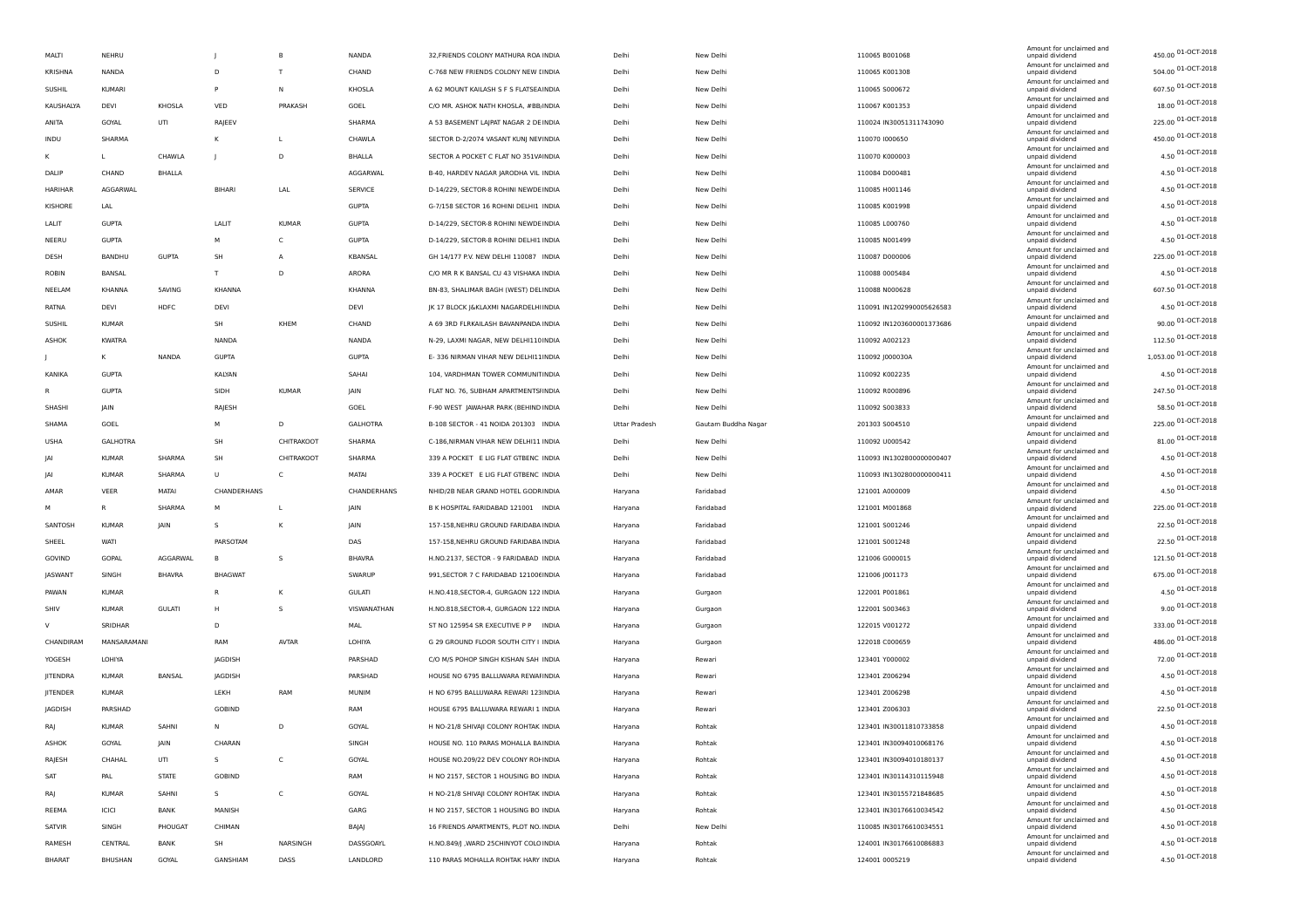|                | NEHRU          |               |                | B              |                |                                        |               |                     |                           | Amount for unclaimed and                    | 450.00 01-OCT-2018   |
|----------------|----------------|---------------|----------------|----------------|----------------|----------------------------------------|---------------|---------------------|---------------------------|---------------------------------------------|----------------------|
| MALTI          |                |               |                |                | NANDA          | 32, FRIENDS COLONY MATHURA ROA INDIA   | Delhi         | New Delhi           | 110065 B001068            | unpaid dividend<br>Amount for unclaimed and | 504.00 01-OCT-2018   |
| <b>KRISHNA</b> | NANDA          |               | D              | T              | CHAND          | C-768 NEW FRIENDS COLONY NEW [INDIA    | Delhi         | New Delhi           | 110065 K001308            | unpaid dividend<br>Amount for unclaimed and | 607.50 01-OCT-2018   |
| SUSHIL         | <b>KUMARI</b>  |               | P              | N              | KHOSLA         | A 62 MOUNT KAILASH S F S FLATSEA INDIA | Delhi         | New Delhi           | 110065 5000672            | unpaid dividend<br>Amount for unclaimed and |                      |
| KAUSHALYA      | DEVI           | KHOSLA        | VED            | PRAKASH        | GOEL           | C/O MR. ASHOK NATH KHOSLA, #BB INDIA   | Delhi         | New Delhi           | 110067 K001353            | unpaid dividend<br>Amount for unclaimed and | 18.00 01-OCT-2018    |
| ANITA          | GOYAL          | UTI           | RAJEEV         |                | SHARMA         | A 53 BASEMENT LAJPAT NAGAR 2 DE INDIA  | Delhi         | New Delhi           | 110024 IN30051311743090   | unpaid dividend<br>Amount for unclaimed and | 225.00 01-OCT-2018   |
| INDU           | SHARMA         |               | К              | L              | CHAWLA         | SECTOR D-2/2074 VASANT KUNJ NEV INDIA  | Delhi         | New Delhi           | 110070 1000650            | unpaid dividend<br>Amount for unclaimed and | 450.00 01-OCT-2018   |
| к              | L              | CHAWLA        |                | D              | BHALLA         | SECTOR A POCKET C FLAT NO 351VAINDIA   | Delhi         | New Delhi           | 110070 K000003            | unpaid dividend<br>Amount for unclaimed and | 4.50 01-OCT-2018     |
| DALIP          | CHAND          | BHALLA        |                |                | AGGARWAL       | B-40, HARDEV NAGAR JARODHA VIL INDIA   | Delhi         | New Delhi           | 110084 D000481            | unpaid dividend                             | 4.50 01-OCT-2018     |
| HARIHAR        | AGGARWAL       |               | <b>BIHARI</b>  | LAL            | <b>SERVICE</b> | D-14/229, SECTOR-8 ROHINI NEWDEINDIA   | Delhi         | New Delhi           | 110085 H001146            | Amount for unclaimed and<br>unpaid dividend | 4.50 01-OCT-2018     |
| KISHORE        | LAL            |               |                |                | <b>GUPTA</b>   | G-7/158 SECTOR 16 ROHINI DELHI1 INDIA  | Delhi         | New Delhi           | 110085 K001998            | Amount for unclaimed and<br>unpaid dividend | 4.50 01-OCT-2018     |
| LALIT          | <b>GUPTA</b>   |               | LALIT          | <b>KUMAR</b>   | <b>GUPTA</b>   | D-14/229, SECTOR-8 ROHINI NEWDEINDIA   | Delhi         | New Delhi           | 110085 L000760            | Amount for unclaimed and<br>unpaid dividend | 4.50 01-OCT-2018     |
| NEERU          | <b>GUPTA</b>   |               | М              | c              | <b>GUPTA</b>   | D-14/229, SECTOR-8 ROHINI DELHI1 INDIA | Delhi         | New Delhi           | 110085 N001499            | Amount for unclaimed and<br>unpaid dividend | 4.50 01-OCT-2018     |
| DESH           | BANDHU         | <b>GUPTA</b>  | <b>SH</b>      | $\overline{A}$ | KBANSAL        | GH 14/177 P.V. NEW DELHI 110087 INDIA  | Delhi         | New Delhi           | 110087 D000006            | Amount for unclaimed and<br>unpaid dividend | 225.00 01-OCT-2018   |
| ROBIN          | BANSAL         |               | T              | D              | ARORA          | C/O MR R K BANSAL CU 43 VISHAKA INDIA  | Delhi         | New Delhi           | 110088 0005484            | Amount for unclaimed and<br>unpaid dividend | 4.50 01-OCT-2018     |
| NEELAM         | KHANNA         | 5AVING        | KHANNA         |                | KHANNA         | BN-83, SHALIMAR BAGH (WEST) DELINDIA   | Delhi         | New Delhi           | 110088 N000628            | Amount for unclaimed and<br>unpaid dividend | 607.50 01-OCT-2018   |
| RATNA          | DEVI           | HDFC          | DEVI           |                | DEVI           | JK 17 BLOCK J&KLAXMI NAGARDELHIINDIA   | Delhi         | New Delhi           | 110091 IN1202990005626583 | Amount for unclaimed and                    | 4.50 01-OCT-2018     |
|                |                |               |                |                |                |                                        |               |                     |                           | unpaid dividend<br>Amount for unclaimed and | 90.00 01-OCT-2018    |
| <b>SUSHIL</b>  | <b>KUMAR</b>   |               | <b>SH</b>      | KHEM           | CHAND          | A 69 3RD FLRKAILASH BAVANPANDA INDIA   | Delhi         | New Delhi           | 110092 IN1203600001373686 | unpaid dividend<br>Amount for unclaimed and | 112.50 01-OCT-2018   |
| ASHOK          | <b>KWATRA</b>  |               | NANDA          |                | NANDA          | N-29, LAXMI NAGAR, NEW DELHI110 INDIA  | Delhi         | New Delhi           | 110092 A002123            | unpaid dividend<br>Amount for unclaimed and | 1,053.00 01-OCT-2018 |
|                | к              | NANDA         | <b>GUPTA</b>   |                | <b>GUPTA</b>   | E-336 NIRMAN VIHAR NEW DELHI11INDIA    | Delhi         | New Delhi           | 110092 J000030A           | unpaid dividend<br>Amount for unclaimed and |                      |
| KANIKA         | <b>GUPTA</b>   |               | KALYAN         |                | SAHAI          | 104, VARDHMAN TOWER COMMUNITINDIA      | Delhi         | New Delhi           | 110092 K002235            | unpaid dividend<br>Amount for unclaimed and | 4.50 01-OCT-2018     |
| R              | <b>GUPTA</b>   |               | SIDH           | <b>KUMAR</b>   | JAIN           | FLAT NO. 76, SUBHAM APARTMENTSHNDIA    | Delhi         | New Delhi           | 110092 R000896            | unpaid dividend<br>Amount for unclaimed and | 247.50 01-OCT-2018   |
| SHASHI         | JAIN           |               | RAJESH         |                | GOEL           | F-90 WEST JAWAHAR PARK (BEHIND INDIA   | Delhi         | New Delhi           | 110092 S003833            | unpaid dividend<br>Amount for unclaimed and | 58.50 01-OCT-2018    |
| SHAMA          | GOEL           |               | M              | D              | GALHOTRA       | B-108 SECTOR - 41 NOIDA 201303 INDIA   | Uttar Pradesh | Gautam Buddha Nagar | 201303 S004510            | unpaid dividend                             | 225.00 01-OCT-2018   |
| <b>USHA</b>    | GALHOTRA       |               | SH             | CHITRAKOOT     | SHARMA         | C-186, NIRMAN VIHAR NEW DELHI11 INDIA  | Delhi         | New Delhi           | 110092 U000542            | Amount for unclaimed and<br>unpaid dividend | 81.00 01-OCT-2018    |
| JAI            | <b>KUMAR</b>   | SHARMA        | SH             | CHITRAKOOT     | SHARMA         | 339 A POCKET E LIG FLAT GTBENC INDIA   | Delhi         | New Delhi           | 110093 IN1302800000000407 | Amount for unclaimed and<br>unpaid dividend | 4.50 01-OCT-2018     |
| JAI            | <b>KUMAR</b>   | SHARMA        | $\cup$         | c              | MATAI          | 339 A POCKET E LIG FLAT GTBENC INDIA   | Delhi         | New Delhi           | 110093 IN1302800000000411 | Amount for unclaimed and<br>unpaid dividend | 4.50 01-OCT-2018     |
| AMAR           | VEER           | MATAI         | CHANDERHANS    |                | CHANDERHANS    | NHID/2B NEAR GRAND HOTEL GODRINDIA     | Haryana       | Faridabad           | 121001 A000009            | Amount for unclaimed and<br>unpaid dividend | 4.50 01-OCT-2018     |
| м              | $\mathsf{R}$   | SHARMA        | M              | L              | JAIN           | B K HOSPITAL FARIDABAD 121001 INDIA    | Haryana       | Faridabad           | 121001 M001868            | Amount for unclaimed and<br>unpaid dividend | 225.00 01-OCT-2018   |
| SANTOSH        | <b>KUMAR</b>   | <b>JAIN</b>   | S              | K              | JAIN           | 157-158, NEHRU GROUND FARIDABA INDIA   | Haryana       | Faridabad           | 121001 S001246            | Amount for unclaimed and<br>unpaid dividend | 22.50 01-OCT-2018    |
| SHEEL          | WATI           |               | PARSOTAM       |                | DAS            | 157-158, NEHRU GROUND FARIDABA INDIA   | Haryana       | Faridabad           | 121001 S001248            | Amount for unclaimed and<br>unpaid dividend | 22.50 01-OCT-2018    |
| GOVIND         | GOPAL          | AGGARWAL      | B              | s              | <b>BHAVRA</b>  | H.NO.2137, SECTOR - 9 FARIDABAD INDIA  | Haryana       | Faridabad           | 121006 G000015            | Amount for unclaimed and<br>unpaid dividend | 121.50 01-OCT-2018   |
| JASWANT        | SINGH          | <b>BHAVRA</b> | <b>BHAGWAT</b> |                | SWARUP         | 991, SECTOR 7 C FARIDABAD 121006 INDIA | Haryana       | Faridabad           | 121006 J001173            | Amount for unclaimed and<br>unpaid dividend | 675.00 01-OCT-2018   |
|                |                |               | $\sf R$        |                |                |                                        |               |                     |                           | Amount for unclaimed and                    | 4.50 01-OCT-2018     |
| PAWAN          | <b>KUMAR</b>   |               |                | К              | <b>GULATI</b>  | H.NO.418, SECTOR-4, GURGAON 122 INDIA  | Haryana       | Gurgaon             | 122001 P001861            | unpaid dividend<br>Amount for unclaimed and | 9.00 01-OCT-2018     |
| SHIV           | <b>KUMAR</b>   | <b>GULATI</b> | Н              | s              | VISWANATHAN    | H.NO.818, SECTOR-4, GURGAON 122 INDIA  | Haryana       | Gurgaon             | 122001 S003463            | unpaid dividend<br>Amount for unclaimed and |                      |
| V              | SRIDHAR        |               | D              |                | MAL            | ST NO 125954 SR EXECUTIVE P P INDIA    | Haryana       | Gurgaon             | 122015 V001272            | unpaid dividend<br>Amount for unclaimed and | 333.00 01-OCT-2018   |
| CHANDIRAM      | MANSARAMANI    |               | RAM            | <b>AVTAR</b>   | LOHIYA         | G 29 GROUND FLOOR SOUTH CITY I INDIA   | Haryana       | Gurgaon             | 122018 C000659            | unpaid dividend<br>Amount for unclaimed and | 486.00 01-OCT-2018   |
| YOGESH         | LOHIYA         |               | JAGDISH        |                | PARSHAD        | C/O M/S POHOP SINGH KISHAN SAH INDIA   | Haryana       | Rewari              | 123401 Y000002            | unpaid dividend<br>Amount for unclaimed and | 72.00 01-OCT-2018    |
| JITENDRA       | <b>KUMAR</b>   | BANSAL        | JAGDISH        |                | PARSHAD        | HOUSE NO 6795 BALLUWARA REWAHNDIA      | Haryana       | Rewari              | 123401 Z006294            | unpaid dividend<br>Amount for unclaimed and | 4.50 01-OCT-2018     |
| JITENDER       | <b>KUMAR</b>   |               | LEKH           | RAM            | MUNIM          | H NO 6795 BALLUWARA REWARI 123INDIA    | Haryana       | Rewari              | 123401 Z006298            | unpaid dividend                             | 4.50 01-OCT-2018     |
| JAGDISH        | PARSHAD        |               | <b>GOBIND</b>  |                | RAM            | HOUSE 6795 BALLUWARA REWARI 1 INDIA    | Haryana       | Rewari              | 123401 Z006303            | Amount for unclaimed and<br>unpaid dividend | 22.50 01-OCT-2018    |
| <b>RAJ</b>     | <b>KUMAR</b>   | SAHNI         | N              | D              | GOYAL          | H NO-21/8 SHIVAJI COLONY ROHTAK INDIA  | Haryana       | Rohtak              | 123401 IN30011810733858   | Amount for unclaimed and<br>unpaid dividend | 4.50 01-OCT-2018     |
| ASHOK          | GOYAL          | JAIN          | CHARAN         |                | SINGH          | HOUSE NO. 110 PARAS MOHALLA BAINDIA    | Haryana       | Rohtak              | 123401 IN30094010068176   | Amount for unclaimed and<br>unpaid dividend | 4.50 01-OCT-2018     |
| RAJESH         | CHAHAL         | UTI           | s              | c              | GOYAL          | HOUSE NO.209/22 DEV COLONY ROHNDIA     | Haryana       | Rohtak              | 123401 IN30094010180137   | Amount for unclaimed and<br>unpaid dividend | 4.50 01-OCT-2018     |
| SAT            | PAL            | <b>STATE</b>  | <b>GOBIND</b>  |                | RAM            | H NO 2157, SECTOR 1 HOUSING BO INDIA   | Haryana       | Rohtak              | 123401 IN30114310115948   | Amount for unclaimed and<br>unpaid dividend | 4.50 01-OCT-2018     |
| RAJ            | <b>KUMAR</b>   | SAHNI         | $\mathsf{s}$   | C              | GOYAL          | H NO-21/8 SHIVAJI COLONY ROHTAK INDIA  | Haryana       | Rohtak              | 123401 IN30155721848685   | Amount for unclaimed and<br>unpaid dividend | 4.50 01-OCT-2018     |
| REEMA          | ICICI          | <b>BANK</b>   | MANISH         |                | GARG           | H NO 2157, SECTOR 1 HOUSING BO INDIA   | Haryana       | Rohtak              | 123401 IN30176610034542   | Amount for unclaimed and<br>unpaid dividend | 4.50 01-OCT-2018     |
| SATVIR         | SINGH          | PHOUGAT       | CHIMAN         |                | BAJAJ          | 16 FRIENDS APARTMENTS, PLOT NO. INDIA  | Delhi         | New Delhi           | 110085 IN30176610034551   | Amount for unclaimed and<br>unpaid dividend | 4.50 01-OCT-2018     |
| RAMESH         | CENTRAL        | BANK          | SH             | NARSINGH       | DASSGOAYL      | H.NO.849/J , WARD 25CHINYOT COLO INDIA | Haryana       | Rohtak              | 124001 IN30176610086883   | Amount for unclaimed and<br>unpaid dividend | 4.50 01-OCT-2018     |
| <b>BHARAT</b>  | <b>BHUSHAN</b> | GOYAL         | GANSHIAM       | DASS           | LANDLORD       | 110 PARAS MOHALLA ROHTAK HARY INDIA    |               |                     | 124001 0005219            | Amount for unclaimed and                    | 4.50 01-OCT-2018     |
|                |                |               |                |                |                |                                        | Haryana       | Rohtak              |                           | unpaid dividend                             |                      |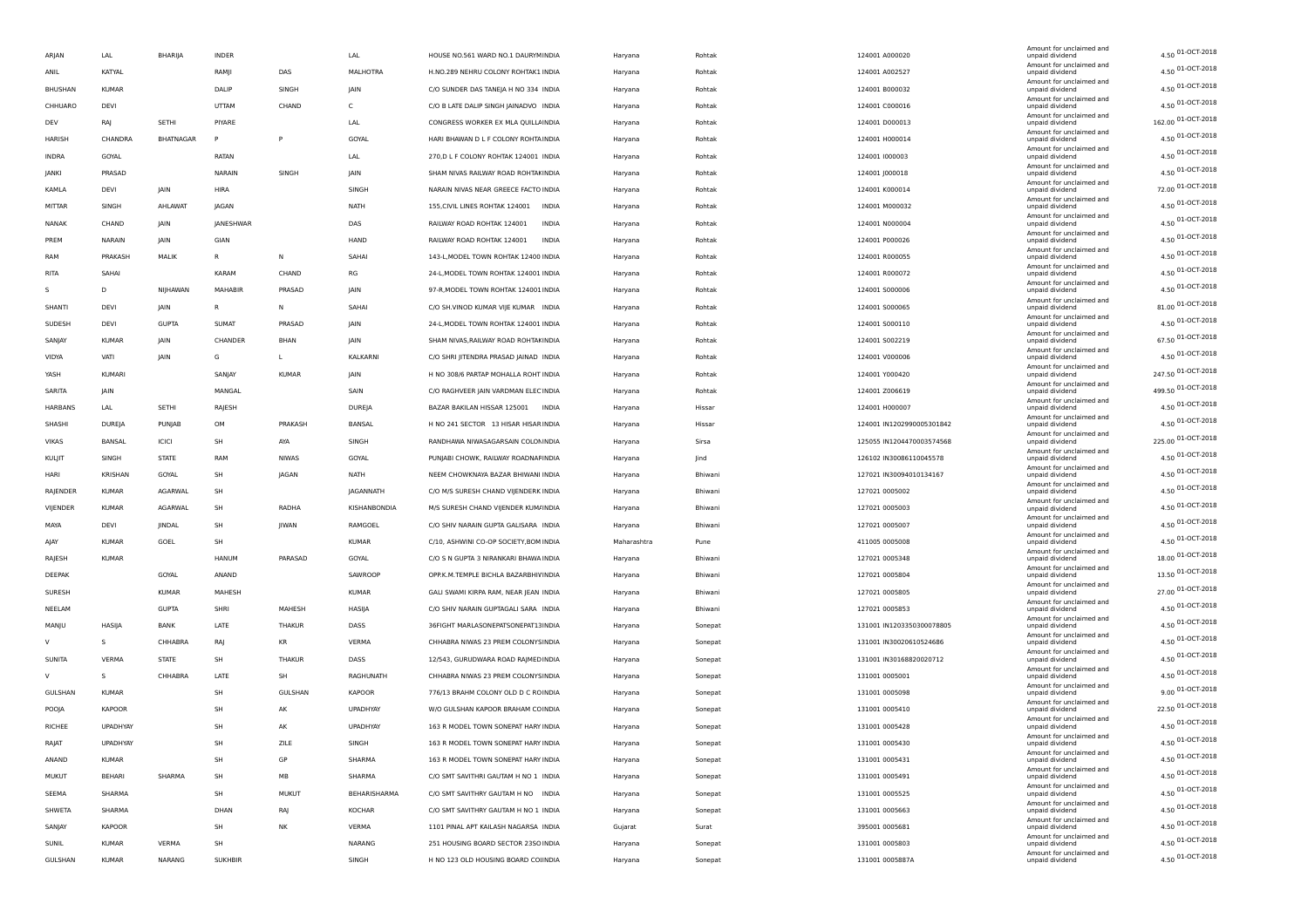|                |               |                  |                |              |                 |                                                |             |         |                           | Amount for unclaimed and                    |                         |
|----------------|---------------|------------------|----------------|--------------|-----------------|------------------------------------------------|-------------|---------|---------------------------|---------------------------------------------|-------------------------|
| ARJAN          | LAL           | BHARIJA          | <b>INDER</b>   |              | LAL             | HOUSE NO.561 WARD NO.1 DAURYMINDIA             | Haryana     | Rohtak  | 124001 A000020            | unpaid dividend<br>Amount for unclaimed and | 4.50 01-OCT-2018        |
| ANIL           | KATYAL        |                  | RAMJI          | DAS          | MALHOTRA        | H.NO.289 NEHRU COLONY ROHTAK1 INDIA            | Haryana     | Rohtak  | 124001 A002527            | unpaid dividend<br>Amount for unclaimed and | 4.50 01-OCT-2018        |
| <b>BHUSHAN</b> | <b>KUMAR</b>  |                  | DALIP          | SINGH        | JAIN            | C/O SUNDER DAS TANEJA H NO 334 INDIA           | Haryana     | Rohtak  | 124001 B000032            | unpaid dividend                             | 4.50 01-OCT-2018        |
| CHHUARO        | DEVI          |                  | UTTAM          | CHAND        | C               | C/O B LATE DALIP SINGH JAINADVO INDIA          | Haryana     | Rohtak  | 124001 C000016            | Amount for unclaimed and<br>unpaid dividend | 4.50 01-OCT-2018        |
| DEV            | RAJ           | SETHI            | PIYARE         |              | LAL             | CONGRESS WORKER EX MLA QUILLA INDIA            | Haryana     | Rohtak  | 124001 D000013            | Amount for unclaimed and<br>unpaid dividend | 162.00 01-OCT-2018      |
| HARISH         | CHANDRA       | <b>BHATNAGAR</b> | P              | P            | GOYAL           | HARI BHAWAN D L F COLONY ROHTA INDIA           | Haryana     | Rohtak  | 124001 H000014            | Amount for unclaimed and<br>unpaid dividend | 4.50 01-OCT-2018        |
| INDRA          | GOYAL         |                  | RATAN          |              | LAL             | 270, D L F COLONY ROHTAK 124001 INDIA          | Haryana     | Rohtak  | 124001 1000003            | Amount for unclaimed and<br>unpaid dividend | 4.50 01-OCT-2018        |
| JANKI          | PRASAD        |                  | NARAIN         | SINGH        | JAIN            | SHAM NIVAS RAILWAY ROAD ROHTAKINDIA            | Haryana     | Rohtak  | 124001 J000018            | Amount for unclaimed and<br>unpaid dividend | 4.50 01-OCT-2018        |
|                |               |                  |                |              |                 | NARAIN NIVAS NEAR GREECE FACTO INDIA           |             |         |                           | Amount for unclaimed and                    | 72.00 01-OCT-2018       |
| KAMLA          | DEVI          | JAIN             | HIRA           |              | SINGH           |                                                | Haryana     | Rohtak  | 124001 K000014            | unpaid dividend<br>Amount for unclaimed and | 4.50 01-OCT-2018        |
| MITTAR         | SINGH         | AHLAWAT          | <b>JAGAN</b>   |              | <b>NATH</b>     | 155, CIVIL LINES ROHTAK 124001<br><b>INDIA</b> | Haryana     | Rohtak  | 124001 M000032            | unpaid dividend<br>Amount for unclaimed and | 4.50 01-OCT-2018        |
| NANAK          | CHAND         | IAIN             | JANESHWAR      |              | DAS             | RAILWAY ROAD ROHTAK 124001<br>INDIA            | Haryana     | Rohtak  | 124001 N000004            | unpaid dividend<br>Amount for unclaimed and |                         |
| PREM           | NARAIN        | JAIN             | GIAN           |              | HAND            | RAILWAY ROAD ROHTAK 124001<br>INDIA            | Haryana     | Rohtak  | 124001 P000026            | unpaid dividend<br>Amount for unclaimed and | 4.50 01-OCT-2018        |
| RAM            | PRAKASH       | MALIK            | R              | Ν            | SAHAI           | 143-L, MODEL TOWN ROHTAK 12400 INDIA           | Haryana     | Rohtak  | 124001 R000055            | unpaid dividend                             | 4.50 01-OCT-2018        |
| RITA           | SAHAI         |                  | KARAM          | CHAND        | RG              | 24-L, MODEL TOWN ROHTAK 124001 INDIA           | Haryana     | Rohtak  | 124001 R000072            | Amount for unclaimed and<br>unpaid dividend | 4.50 01-OCT-2018        |
| s.             | D             | NIJHAWAN         | MAHABIR        | PRASAD       | <b>JAIN</b>     | 97-R, MODEL TOWN ROHTAK 124001 INDIA           | Haryana     | Rohtak  | 124001 5000006            | Amount for unclaimed and<br>unpaid dividend | 4.50 01-OCT-2018        |
| SHANTI         | DEVI          | <b>JAIN</b>      | R.             | N            | SAHAI           | C/O SH.VINOD KUMAR VIJE KUMAR INDIA            | Haryana     | Rohtak  | 124001 S000065            | Amount for unclaimed and<br>unpaid dividend | 81.00 01-OCT-2018       |
| SUDESH         | DEVI          | <b>GUPTA</b>     | <b>SUMAT</b>   | PRASAD       | JAIN            | 24-L, MODEL TOWN ROHTAK 124001 INDIA           | Haryana     | Rohtak  | 124001 S000110            | Amount for unclaimed and<br>unpaid dividend | 4.50 01-OCT-2018        |
| SANJAY         | <b>KUMAR</b>  | JAIN             | CHANDER        | BHAN         | JAIN            | SHAM NIVAS, RAILWAY ROAD ROHTAKINDIA           | Haryana     | Rohtak  | 124001 S002219            | Amount for unclaimed and<br>unpaid dividend | 67.50 01-OCT-2018       |
| VIDYA          | VATI          | <b>JAIN</b>      | G              | L            | KALKARNI        | C/O SHRI JITENDRA PRASAD JAINAD INDIA          | Haryana     | Rohtak  | 124001 V000006            | Amount for unclaimed and<br>unpaid dividend | 4.50 01-OCT-2018        |
| YASH           | KUMARI        |                  | SANJAY         | <b>KUMAR</b> | JAIN            | H NO 308/6 PARTAP MOHALLA ROHT INDIA           | Haryana     | Rohtak  | 124001 Y000420            | Amount for unclaimed and<br>unpaid dividend | 247.50 01-OCT-2018      |
| SARITA         | IAIN          |                  |                |              | SAIN            |                                                |             |         |                           | Amount for unclaimed and                    | 499.50 01-OCT-2018      |
|                |               |                  | MANGAL         |              |                 | C/O RAGHVEER JAIN VARDMAN ELEC INDIA           | Haryana     | Rohtak  | 124001 Z006619            | unpaid dividend<br>Amount for unclaimed and | 4.50 01-OCT-2018        |
| HARBANS        | LAL           | SETHI            | RAJESH         |              | DUREJA          | BAZAR BAKILAN HISSAR 125001<br>INDIA           | Haryana     | Hissar  | 124001 H000007            | unpaid dividend<br>Amount for unclaimed and | 4.50 01-OCT-2018        |
| SHASHI         | DUREJA        | PUNJAB           | OM             | PRAKASH      | BANSAL          | H NO 241 SECTOR 13 HISAR HISAR INDIA           | Haryana     | Hissar  | 124001 IN1202990005301842 | unpaid dividend<br>Amount for unclaimed and |                         |
| VIKAS          | BANSAL        | ICICI            | SH             | AYA          | SINGH           | RANDHAWA NIWASAGARSAIN COLONINDIA              | Haryana     | Sirsa   | 125055 IN1204470003574568 | unpaid dividend<br>Amount for unclaimed and | 225.00 01-OCT-2018      |
| KULJIT         | SINGH         | <b>STATE</b>     | RAM            | <b>NIWAS</b> | GOYAL           | PUNJABI CHOWK, RAILWAY ROADNAFINDIA            | Haryana     | Jind    | 126102 IN30086110045578   | unpaid dividend<br>Amount for unclaimed and | 4.50 01-OCT-2018        |
| HARI           | KRISHAN       | GOYAL            | SH             | JAGAN        | <b>NATH</b>     | NEEM CHOWKNAYA BAZAR BHIWANI INDIA             | Haryana     | Bhiwani | 127021 IN30094010134167   | unpaid dividend<br>Amount for unclaimed and | $4.50$ 01-OCT-2018      |
| RAJENDER       | <b>KUMAR</b>  | AGARWAL          | SH             |              | JAGANNATH       | C/O M/S SURESH CHAND VIJENDERK INDIA           | Haryana     | Bhiwani | 127021 0005002            | unpaid dividend                             | 4.50 01-OCT-2018        |
| VIJENDER       | <b>KUMAR</b>  | AGARWAL          | SH             | RADHA        | KISHANBONDIA    | M/S SURESH CHAND VIJENDER KUM/INDIA            | Haryana     | Bhiwani | 127021 0005003            | Amount for unclaimed and<br>unpaid dividend | 4.50 01-OCT-2018        |
| MAYA           | DEVI          | JINDAL           | SH             | JIWAN        | RAMGOEL         | C/O SHIV NARAIN GUPTA GALISARA INDIA           | Haryana     | Bhiwani | 127021 0005007            | Amount for unclaimed and<br>unpaid dividend | 4.50 01-OCT-2018        |
| AJAY           | <b>KUMAR</b>  | GOEL             | SH             |              | <b>KUMAR</b>    | C/10, ASHWINI CO-OP SOCIETY, BOM INDIA         | Maharashtra | Pune    | 411005 0005008            | Amount for unclaimed and<br>unpaid dividend | 4.50 01-OCT-2018        |
| RAJESH         | <b>KUMAR</b>  |                  | <b>HANUM</b>   | PARASAD      | GOYAL           | C/O S N GUPTA 3 NIRANKARI BHAWA INDIA          | Haryana     | Bhiwani | 127021 0005348            | Amount for unclaimed and<br>unpaid dividend | 18.00 01-OCT-2018       |
| DEEPAK         |               | GOYAL            | ANAND          |              | SAWROOP         | OPP.K.M.TEMPLE BICHLA BAZARBHIV INDIA          | Haryana     | Bhiwani | 127021 0005804            | Amount for unclaimed and<br>unpaid dividend | 13.50 01-OCT-2018       |
| SURESH         |               | <b>KUMAR</b>     | MAHESH         |              | <b>KUMAR</b>    | GALI SWAMI KIRPA RAM, NEAR JEAN INDIA          | Haryana     | Bhiwani | 127021 0005805            | Amount for unclaimed and<br>unpaid dividend | 27.00 01-OCT-2018       |
|                |               | <b>GUPTA</b>     | SHRI           |              |                 | C/O SHIV NARAIN GUPTAGALI SARA INDIA           |             |         |                           | Amount for unclaimed and                    | 4.50 01-OCT-2018        |
| NEELAM         |               |                  |                | MAHESH       | HASIJA          |                                                | Haryana     | Bhiwani | 127021 0005853            | unpaid dividend<br>Amount for unclaimed and | 4.50 01-OCT-2018        |
| MANJU          | HASIJA        | <b>BANK</b>      | LATE           | THAKUR       | DASS            | 36FIGHT MARLASONEPATSONEPAT13INDIA             | Haryana     | Sonepat | 131001 IN1203350300078805 | unpaid dividend<br>Amount for unclaimed and |                         |
| V              | S.            | <b>CHHABRA</b>   | RAJ            | KR           | <b>VERMA</b>    | CHHABRA NIWAS 23 PREM COLONYSINDIA             | Haryana     | Sonepat | 131001 IN30020610524686   | unpaid dividend<br>Amount for unclaimed and | 4.50 01-OCT-2018        |
| SUNITA         | VERMA         | <b>STATE</b>     | SH             | THAKUR       | DASS            | 12/543, GURUDWARA ROAD RAJMED INDIA            | Haryana     | Sonepat | 131001 IN30168820020712   | unpaid dividend<br>Amount for unclaimed and | $4.50$ 01-OCT-2018      |
| V              | -S            | CHHABRA          | LATE           | SH           | RAGHUNATH       | CHHABRA NIWAS 23 PREM COLONYSINDIA             | Haryana     | Sonepat | 131001 0005001            | unpaid dividend                             | 4.50 01-OCT-2018        |
| GULSHAN        | <b>KUMAR</b>  |                  | SH             | GULSHAN      | <b>KAPOOR</b>   | 776/13 BRAHM COLONY OLD D C ROINDIA            | Haryana     | Sonepat | 131001 0005098            | Amount for unclaimed and<br>unpaid dividend | $9.00\,01 - OCT - 2018$ |
| POOJA          | <b>KAPOOR</b> |                  | SH             | AK           | <b>UPADHYAY</b> | W/O GULSHAN KAPOOR BRAHAM COINDIA              | Haryana     | Sonepat | 131001 0005410            | Amount for unclaimed and<br>unpaid dividend | 22.50 01-OCT-2018       |
| RICHEE         | UPADHYAY      |                  | SH             | AK           | UPADHYAY        | 163 R MODEL TOWN SONEPAT HARY INDIA            | Haryana     | Sonepat | 131001 0005428            | Amount for unclaimed and<br>unpaid dividend | $4.50$ 01-OCT-2018      |
| RAJAT          | UPADHYAY      |                  | SH             | ZILE         | SINGH           | 163 R MODEL TOWN SONEPAT HARY INDIA            | Haryana     | Sonepat | 131001 0005430            | Amount for unclaimed and<br>unpaid dividend | 4.50 01-OCT-2018        |
| ANAND          | KUMAR         |                  | SH             | GP           | SHARMA          | 163 R MODEL TOWN SONEPAT HARY INDIA            | Haryana     | Sonepat | 131001 0005431            | Amount for unclaimed and<br>unpaid dividend | 4.50 01-OCT-2018        |
| MUKUT          | BEHARI        | SHARMA           | SH             | MB           | SHARMA          | C/O SMT SAVITHRI GAUTAM H NO 1 INDIA           | Haryana     | Sonepat | 131001 0005491            | Amount for unclaimed and<br>unpaid dividend | 4.50 01-OCT-2018        |
| SEEMA          | SHARMA        |                  | SH             | MUKUT        | BEHARISHARMA    | C/O SMT SAVITHRY GAUTAM H NO INDIA             | Haryana     | Sonepat | 131001 0005525            | Amount for unclaimed and<br>unpaid dividend | 4.50 01-OCT-2018        |
| SHWETA         | SHARMA        |                  | DHAN           |              |                 |                                                |             |         | 131001 0005663            | Amount for unclaimed and                    | 4.50 01-OCT-2018        |
|                |               |                  |                | RAJ          | <b>KOCHAR</b>   | C/O SMT SAVITHRY GAUTAM H NO 1 INDIA           | Haryana     | Sonepat |                           | unpaid dividend<br>Amount for unclaimed and | 4.50 01-OCT-2018        |
| SANJAY         | <b>KAPOOR</b> |                  | SH             | NΚ           | VERMA           | 1101 PINAL APT KAILASH NAGARSA INDIA           | Gujarat     | Surat   | 395001 0005681            | unpaid dividend<br>Amount for unclaimed and | 4.50 01-OCT-2018        |
| SUNIL          | <b>KUMAR</b>  | VERMA            | SH             |              | NARANG          | 251 HOUSING BOARD SECTOR 2350 INDIA            | Haryana     | Sonepat | 131001 0005803            | unpaid dividend<br>Amount for unclaimed and |                         |
| GULSHAN        | <b>KUMAR</b>  | NARANG           | <b>SUKHBIR</b> |              | SINGH           | H NO 123 OLD HOUSING BOARD COIINDIA            | Haryana     | Sonepat | 131001 0005887A           | unpaid dividend                             | 4.50 01-OCT-2018        |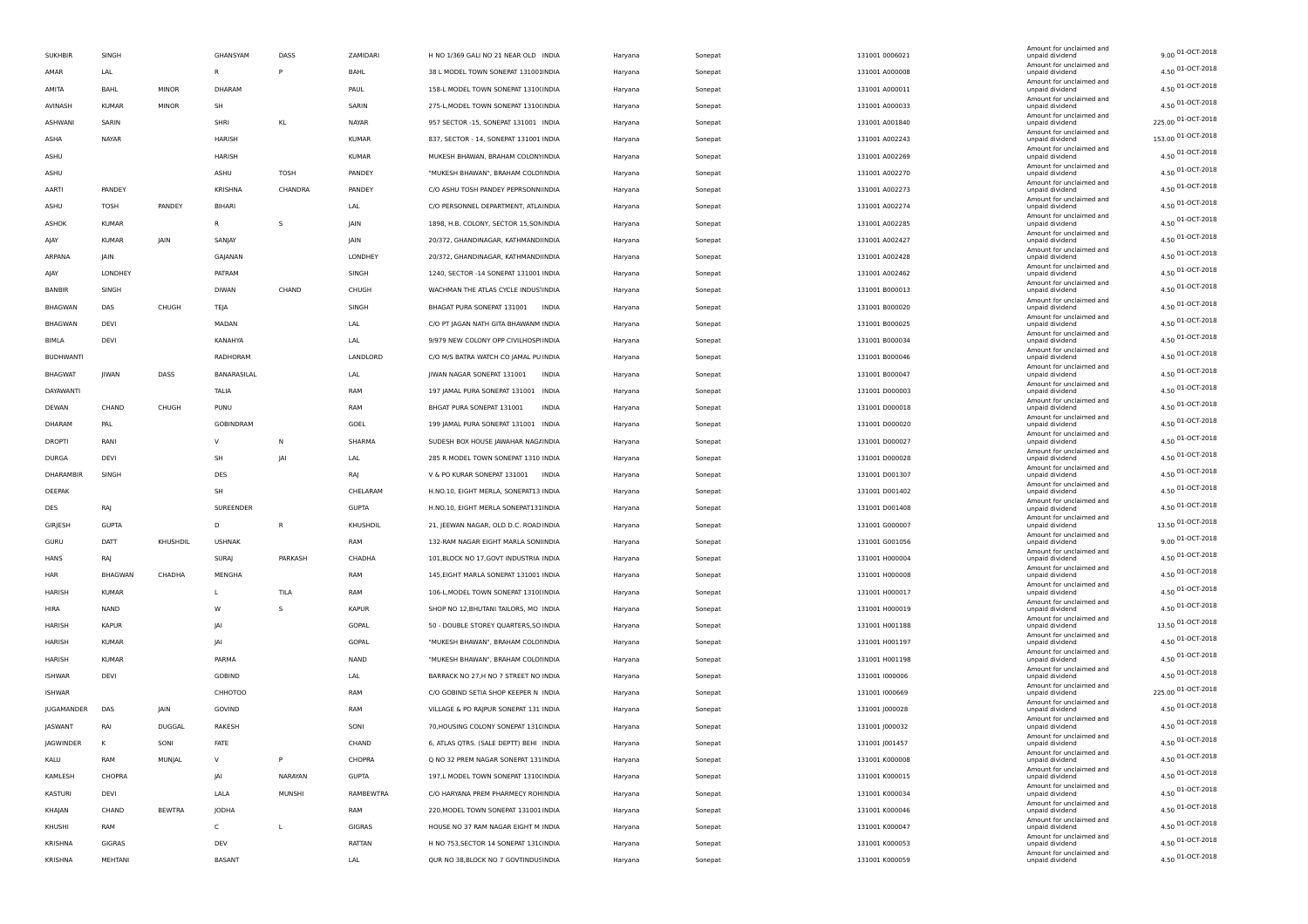| <b>SUKHBIR</b>   | SINGH          |               | GHANSYAM       | DASS         | ZAMIDARI     | H NO 1/369 GALI NO 21 NEAR OLD INDIA      | Haryana | Sonepat | 131001 0006021 | Amount for unclaimed and<br>unpaid dividend | 9.00 01-OCT-2018   |
|------------------|----------------|---------------|----------------|--------------|--------------|-------------------------------------------|---------|---------|----------------|---------------------------------------------|--------------------|
| AMAR             | LAL            |               | R              | P            | BAHL         | 38 L MODEL TOWN SONEPAT 131001INDIA       | Haryana | Sonepat | 131001 A000008 | Amount for unclaimed and<br>unpaid dividend | 4.50 01-OCT-2018   |
| AMITA            | BAHL           | <b>MINOR</b>  | DHARAM         |              | PAUL         | 158-L MODEL TOWN SONEPAT 1310(INDIA       | Haryana | Sonepat | 131001 A000011 | Amount for unclaimed and<br>unpaid dividend | 4.50 01-OCT-2018   |
| AVINASH          | <b>KUMAR</b>   | MINOR         | SH             |              | SARIN        | 275-L, MODEL TOWN SONEPAT 1310(INDIA      | Haryana | Sonepat | 131001 A000033 | Amount for unclaimed and<br>unpaid dividend | 4.50 01-OCT-2018   |
| ASHWANI          | SARIN          |               | SHRI           | KL           | NAYAR        | 957 SECTOR -15, SONEPAT 131001 INDIA      |         |         |                | Amount for unclaimed and<br>unpaid dividend | 225.00 01-OCT-2018 |
|                  |                |               |                |              |              |                                           | Haryana | Sonepat | 131001 A001840 | Amount for unclaimed and                    | 153.00 01-OCT-2018 |
| ASHA             | NAYAR          |               | HARISH         |              | <b>KUMAR</b> | 837, SECTOR - 14, SONEPAT 131001 INDIA    | Haryana | Sonepat | 131001 A002243 | unpaid dividend<br>Amount for unclaimed and |                    |
| ASHU             |                |               | HARISH         |              | <b>KUMAR</b> | MUKESH BHAWAN, BRAHAM COLONYINDIA         | Haryana | Sonepat | 131001 A002269 | unpaid dividend<br>Amount for unclaimed and | 4.50 01-OCT-2018   |
| ASHU             |                |               | ASHU           | TOSH         | PANDEY       | "MUKESH BHAWAN", BRAHAM COLOHNDIA         | Haryana | Sonepat | 131001 A002270 | unpaid dividend<br>Amount for unclaimed and | 4.50 01-OCT-2018   |
| AARTI            | PANDEY         |               | KRISHNA        | CHANDRA      | PANDEY       | C/O ASHU TOSH PANDEY PEPRSONN INDIA       | Haryana | Sonepat | 131001 A002273 | unpaid dividend<br>Amount for unclaimed and | 4.50 01-OCT-2018   |
| ASHU             | TOSH           | PANDEY        | <b>BIHARI</b>  |              | LAL          | C/O PERSONNEL DEPARTMENT, ATLAINDIA       | Haryana | Sonepat | 131001 A002274 | unpaid dividend                             | 4.50 01-OCT-2018   |
| ASHOK            | <b>KUMAR</b>   |               | R              | s            | JAIN         | 1898, H.B. COLONY, SECTOR 15,SONINDIA     | Haryana | Sonepat | 131001 A002285 | Amount for unclaimed and<br>unpaid dividend | 4.50 01-OCT-2018   |
| AJAY             | <b>KUMAR</b>   | <b>JAIN</b>   | SANJAY         |              | <b>JAIN</b>  | 20/372, GHANDINAGAR, KATHMANDIINDIA       | Haryana | Sonepat | 131001 A002427 | Amount for unclaimed and<br>unpaid dividend | 4.50 01-OCT-2018   |
| ARPANA           | JAIN           |               | GAJANAN        |              | LONDHEY      | 20/372, GHANDINAGAR, KATHMANDIINDIA       | Haryana | Sonepat | 131001 A002428 | Amount for unclaimed and<br>unpaid dividend | 4.50 01-OCT-2018   |
| AJAY             | LONDHEY        |               | PATRAM         |              | SINGH        | 1240, SECTOR -14 SONEPAT 131001 INDIA     | Haryana | Sonepat | 131001 A002462 | Amount for unclaimed and<br>unpaid dividend | 4.50 01-OCT-2018   |
| BANBIR           | SINGH          |               | DIWAN          | CHAND        | CHUGH        | WACHMAN THE ATLAS CYCLE INDUS INDIA       | Haryana | Sonepat | 131001 B000013 | Amount for unclaimed and<br>unpaid dividend | 4.50 01-OCT-2018   |
| BHAGWAN          | DAS            | CHUGH         | TEJA           |              | SINGH        | BHAGAT PURA SONEPAT 131001 INDIA          | Haryana | Sonepat | 131001 B000020 | Amount for unclaimed and<br>unpaid dividend | 4.50 01-OCT-2018   |
| BHAGWAN          | DEVI           |               | MADAN          |              | LAL          | C/O PT JAGAN NATH GITA BHAWANM INDIA      |         |         | 131001 B000025 | Amount for unclaimed and                    | 4.50 01-OCT-2018   |
|                  | DEVI           |               |                |              |              |                                           | Haryana | Sonepat |                | unpaid dividend<br>Amount for unclaimed and | 4.50 01-OCT-2018   |
| <b>BIMLA</b>     |                |               | KANAHYA        |              | LAL          | 9/979 NEW COLONY OPP CIVILHOSPHNDIA       | Haryana | Sonepat | 131001 B000034 | unpaid dividend<br>Amount for unclaimed and | 4.50 01-OCT-2018   |
| <b>BUDHWANTI</b> |                |               | RADHORAM       |              | LANDLORD     | C/O M/S BATRA WATCH CO JAMAL PU INDIA     | Haryana | Sonepat | 131001 B000046 | unpaid dividend<br>Amount for unclaimed and |                    |
| <b>BHAGWAT</b>   | JIWAN          | DASS          | BANARASILAL    |              | LAL          | JIWAN NAGAR SONEPAT 131001<br>INDIA       | Haryana | Sonepat | 131001 B000047 | unpaid dividend<br>Amount for unclaimed and | 4.50 01-OCT-2018   |
| DAYAWANTI        |                |               | TALIA          |              | RAM          | 197 JAMAL PURA SONEPAT 131001 INDIA       | Haryana | Sonepat | 131001 D000003 | unpaid dividend<br>Amount for unclaimed and | 4.50 01-OCT-2018   |
| DEWAN            | CHAND          | CHUGH         | PUNU           |              | RAM          | BHGAT PURA SONEPAT 131001<br><b>INDIA</b> | Haryana | Sonepat | 131001 D000018 | unpaid dividend                             | 4.50 01-OCT-2018   |
| DHARAM           | PAL            |               | GOBINDRAM      |              | GOEL         | 199 JAMAL PURA SONEPAT 131001 INDIA       | Haryana | Sonepat | 131001 D000020 | Amount for unclaimed and<br>unpaid dividend | 4.50 01-OCT-2018   |
| DROPTI           | RAN            |               | $\vee$         | N            | SHARMA       | SUDESH BOX HOUSE JAWAHAR NAG/INDIA        | Haryana | Sonepat | 131001 D000027 | Amount for unclaimed and<br>unpaid dividend | 4.50 01-OCT-2018   |
| DURGA            | DEVI           |               | SH             | <b>JAI</b>   | LAL          | 285 R MODEL TOWN SONEPAT 1310 INDIA       | Haryana | Sonepat | 131001 D000028 | Amount for unclaimed and<br>unpaid dividend | 4.50 01-OCT-2018   |
| DHARAMBIR        | SINGH          |               | DES            |              | RAJ          | V & PO KURAR SONEPAT 131001 INDIA         | Haryana | Sonepat | 131001 D001307 | Amount for unclaimed and<br>unpaid dividend | 4.50 01-OCT-2018   |
| DEEPAK           |                |               | SH             |              | CHELARAM     | H.NO.10, EIGHT MERLA, SONEPAT13 INDIA     | Haryana | Sonepat | 131001 D001402 | Amount for unclaimed and<br>unpaid dividend | 4.50 01-OCT-2018   |
| DES              | RAJ            |               | SUREENDER      |              | <b>GUPTA</b> | H.NO.10, EIGHT MERLA SONEPAT131INDIA      | Haryana | Sonepat | 131001 D001408 | Amount for unclaimed and<br>unpaid dividend | 4.50 01-OCT-2018   |
|                  | <b>GUPTA</b>   |               | D              | $\mathsf{R}$ | KHUSHDIL     | 21, JEEWAN NAGAR, OLD D.C. ROAD INDIA     |         |         |                | Amount for unclaimed and                    | 13.50 01-OCT-2018  |
| GIRJESH          |                |               |                |              |              |                                           | Haryana | Sonepat | 131001 G000007 | unpaid dividend<br>Amount for unclaimed and | 9.00 01-OCT-2018   |
| GURU             | DATT           | KHUSHDIL      | <b>USHNAK</b>  |              | RAM          | 132-RAM NAGAR EIGHT MARLA SONHNDIA        | Haryana | Sonepat | 131001 G001056 | unpaid dividend<br>Amount for unclaimed and |                    |
| HANS             | RAJ            |               | SURAJ          | PARKASH      | CHADHA       | 101, BLOCK NO 17, GOVT INDUSTRIA INDIA    | Haryana | Sonepat | 131001 H000004 | unpaid dividend<br>Amount for unclaimed and | 4.50 01-OCT-2018   |
| HAR              | <b>BHAGWAN</b> | CHADHA        | MENGHA         |              | RAM          | 145, EIGHT MARLA SONEPAT 131001 INDIA     | Haryana | Sonepat | 131001 H000008 | unpaid dividend<br>Amount for unclaimed and | 4.50 01-OCT-2018   |
| HARISH           | <b>KUMAR</b>   |               | L              | TILA         | RAM          | 106-L, MODEL TOWN SONEPAT 1310(INDIA      | Haryana | Sonepat | 131001 H000017 | unpaid dividend                             | 4.50 01-OCT-2018   |
| HIRA             | NAND           |               | W              | s            | <b>KAPUR</b> | SHOP NO 12, BHUTANI TAILORS, MO INDIA     | Haryana | Sonepat | 131001 H000019 | Amount for unclaimed and<br>unpaid dividend | 4.50 01-OCT-2018   |
| HARISH           | <b>KAPUR</b>   |               | JAI            |              | GOPAL        | 50 - DOUBLE STOREY QUARTERS, SO INDIA     | Haryana | Sonepat | 131001 H001188 | Amount for unclaimed and<br>unpaid dividend | 13.50 01-OCT-2018  |
| HARISH           | <b>KUMAR</b>   |               | JAI            |              | GOPAL        | "MUKESH BHAWAN", BRAHAM COLOHNDIA         | Haryana | Sonepat | 131001 H001197 | Amount for unclaimed and<br>unpaid dividend | 4.50 01-OCT-2018   |
| HARISH           | <b>KUMAR</b>   |               | PARMA          |              | NAND         | "MUKESH BHAWAN", BRAHAM COLOHNDIA         | Haryana | Sonepat | 131001 H001198 | Amount for unclaimed and<br>unpaid dividend | 4.50 01-OCT-2018   |
| <b>ISHWAR</b>    | DEVI           |               | <b>GOBIND</b>  |              | LAL          | BARRACK NO 27,H NO 7 STREET NO INDIA      | Haryana | Sonepat | 131001 1000006 | Amount for unclaimed and<br>unpaid dividend | 4.50 01-OCT-2018   |
| <b>ISHWAR</b>    |                |               | <b>CHHOTOO</b> |              | RAM          | C/O GOBIND SETIA SHOP KEEPER N INDIA      | Haryana | Sonepat | 131001 1000669 | Amount for unclaimed and<br>unpaid dividend | 225.00 01-OCT-2018 |
| JUGAMANDER       | DAS            | JAIN          | GOVIND         |              | RAM          | VILLAGE & PO RAJPUR SONEPAT 131 INDIA     |         |         | 131001 J000028 | Amount for unclaimed and<br>unpaid dividend | 4.50 01-OCT-2018   |
|                  |                |               |                |              |              | 70, HOUSING COLONY SONEPAT 131(INDIA      | Haryana | Sonepat |                | Amount for unclaimed and                    | 4.50 01-OCT-2018   |
| JASWANT          | RAI            | <b>DUGGAL</b> | <b>RAKESH</b>  |              | SONI         |                                           | Haryana | Sonepat | 131001 J000032 | unpaid dividend<br>Amount for unclaimed and |                    |
| JAGWINDER        | к              | SONI          | FATE           |              | CHAND        | 6, ATLAS QTRS. (SALE DEPTT) BEHI INDIA    | Haryana | Sonepat | 131001 J001457 | unpaid dividend<br>Amount for unclaimed and | 4.50 01-OCT-2018   |
| KALU             | RAM            | MUNJAL        | $\vee$         | P            | CHOPRA       | Q NO 32 PREM NAGAR SONEPAT 131 INDIA      | Haryana | Sonepat | 131001 K000008 | unpaid dividend<br>Amount for unclaimed and | 4.50 01-OCT-2018   |
| KAMLESH          | CHOPRA         |               | JAI            | NARAYAN      | <b>GUPTA</b> | 197,L MODEL TOWN SONEPAT 1310(INDIA       | Haryana | Sonepat | 131001 K000015 | unpaid dividend<br>Amount for unclaimed and | 4.50 01-OCT-2018   |
| KASTURI          | DEVI           |               | LALA           | MUNSHI       | RAMBEWTRA    | C/O HARYANA PREM PHARMECY ROHINDIA        | Haryana | Sonepat | 131001 K000034 | unpaid dividend<br>Amount for unclaimed and | 4.50 01-OCT-2018   |
| KHAJAN           | CHAND          | <b>BEWTRA</b> | JODHA          |              | RAM          | 220, MODEL TOWN SONEPAT 131001 INDIA      | Haryana | Sonepat | 131001 K000046 | unpaid dividend                             | 4.50 01-OCT-2018   |
| KHUSHI           | RAM            |               | C              | $\mathsf{L}$ | GIGRAS       | HOUSE NO 37 RAM NAGAR EIGHT M INDIA       | Haryana | Sonepat | 131001 K000047 | Amount for unclaimed and<br>unpaid dividend | 4.50 01-OCT-2018   |
| KRISHNA          | GIGRAS         |               | DEV            |              | RATTAN       | H NO 753, SECTOR 14 SONEPAT 131(INDIA     | Haryana | Sonepat | 131001 K000053 | Amount for unclaimed and<br>unpaid dividend | 4.50 01-OCT-2018   |
| KRISHNA          | MEHTANI        |               | BASANT         |              | LAL          | QUR NO 38, BLOCK NO 7 GOVTINDUS INDIA     | Haryana | Sonepat | 131001 K000059 | Amount for unclaimed and<br>unpaid dividend | 4.50 01-OCT-2018   |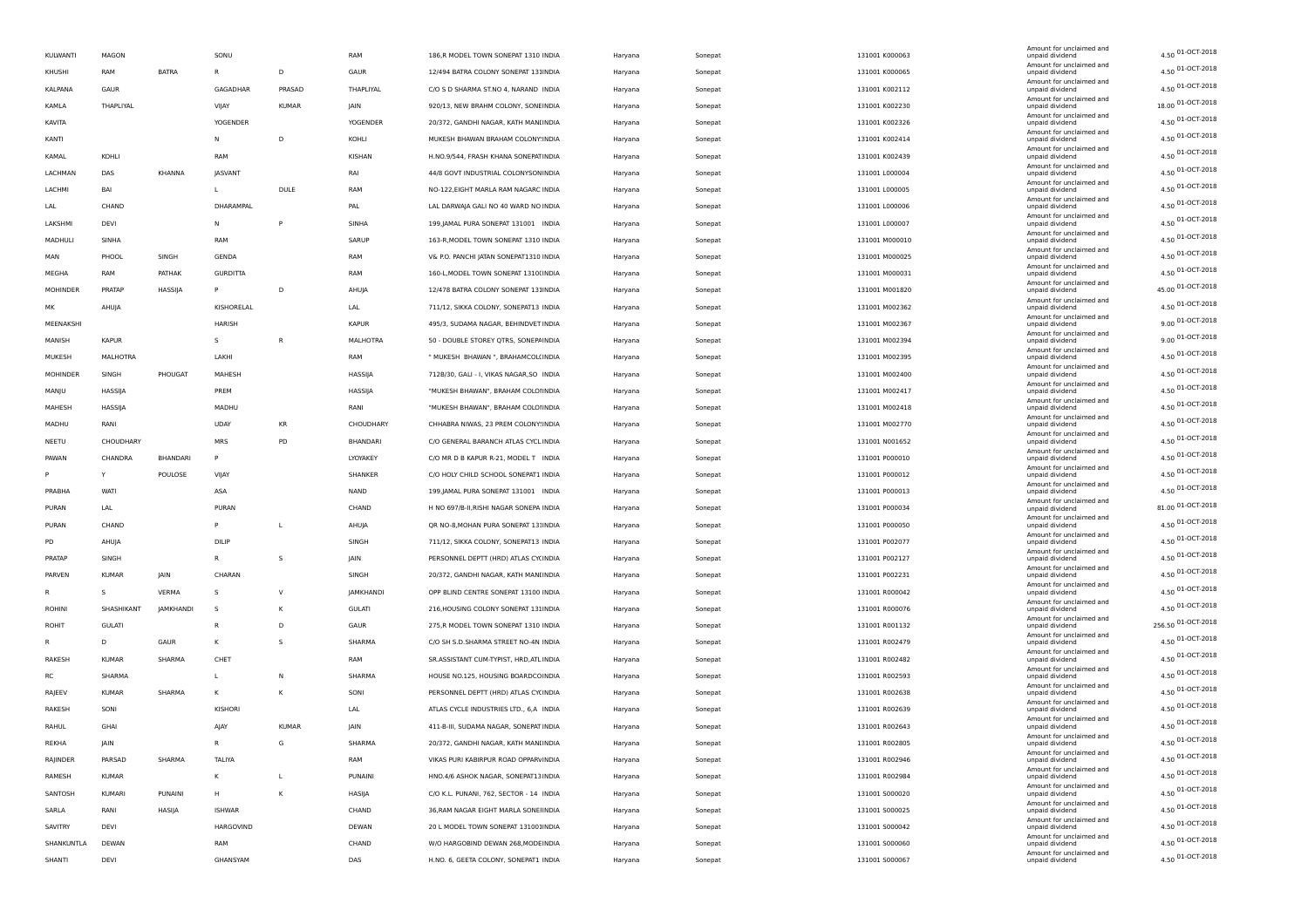| KULWANTI      | MAGON         |              | SONU            |                | RAM             | 186,R MODEL TOWN SONEPAT 1310 INDIA      | Haryana | Sonepat | 131001 K000063 | Amount for unclaimed and<br>unpaid dividend | 4.50 01-OCT-2018   |
|---------------|---------------|--------------|-----------------|----------------|-----------------|------------------------------------------|---------|---------|----------------|---------------------------------------------|--------------------|
| KHUSHI        | RAM           | <b>BATRA</b> | $\mathsf{R}$    | D              | GAUR            | 12/494 BATRA COLONY SONEPAT 131INDIA     | Haryana | Sonepat | 131001 K000065 | Amount for unclaimed and<br>unpaid dividend | 4.50 01-OCT-2018   |
| KALPANA       | GAUR          |              | GAGADHAR        | PRASAD         | THAPLIYAL       | C/O S D SHARMA ST.NO 4, NARAND INDIA     | Haryana | Sonepat | 131001 K002112 | Amount for unclaimed and<br>unpaid dividend | 4.50 01-OCT-2018   |
| KAMLA         | THAPLIYAL     |              | VIJAY           | KUMAR          | JAIN            | 920/13, NEW BRAHM COLONY, SONEINDIA      | Haryana | Sonepat | 131001 K002230 | Amount for unclaimed and<br>unpaid dividend | 18.00 01-OCT-2018  |
| KAVITA        |               |              | <b>YOGENDER</b> |                | <b>YOGENDER</b> | 20/372, GANDHI NAGAR, KATH MANI INDIA    | Haryana | Sonepat | 131001 K002326 | Amount for unclaimed and<br>unpaid dividend | 4.50 01-OCT-2018   |
|               |               |              | N               | D              |                 |                                          |         |         | 131001 K002414 | Amount for unclaimed and                    | 4.50 01-OCT-2018   |
| KANTI         |               |              |                 |                | KOHLI           | MUKESH BHAWAN BRAHAM COLONY INDIA        | Haryana | Sonepat |                | unpaid dividend<br>Amount for unclaimed and | 4.50 01-OCT-2018   |
| KAMAL         | KOHLI         |              | RAM             |                | KISHAN          | H.NO.9/544, FRASH KHANA SONEPATINDIA     | Haryana | Sonepat | 131001 K002439 | unpaid dividend<br>Amount for unclaimed and |                    |
| LACHMAN       | DAS           | KHANNA       | JASVANT         |                | RAI             | 44/8 GOVT INDUSTRIAL COLONYSON INDIA     | Haryana | Sonepat | 131001 L000004 | unpaid dividend<br>Amount for unclaimed and | 4.50 01-OCT-2018   |
| LACHMI        | BAI           |              | L.              | DULE           | RAM             | NO-122, EIGHT MARLA RAM NAGARC INDIA     | Haryana | Sonepat | 131001 L000005 | unpaid dividend<br>Amount for unclaimed and | 4.50 01-OCT-2018   |
| LAL           | CHAND         |              | DHARAMPAL       |                | PAL             | LAL DARWAJA GALI NO 40 WARD NO INDIA     | Haryana | Sonepat | 131001 L000006 | unpaid dividend<br>Amount for unclaimed and | 4.50 01-OCT-2018   |
| LAKSHMI       | DEVI          |              | N               | P              | SINHA           | 199, JAMAL PURA SONEPAT 131001 INDIA     | Haryana | Sonepat | 131001 L000007 | unpaid dividend                             | 4.50 01-OCT-2018   |
| MADHULI       | SINHA         |              | RAM             |                | SARUP           | 163-R, MODEL TOWN SONEPAT 1310 INDIA     | Haryana | Sonepat | 131001 M000010 | Amount for unclaimed and<br>unpaid dividend | 4.50 01-OCT-2018   |
| MAN           | PHOOL         | SINGH        | GENDA           |                | RAM             | V& P.O. PANCHI JATAN SONEPAT1310 INDIA   | Haryana | Sonepat | 131001 M000025 | Amount for unclaimed and<br>unpaid dividend | 4.50 01-OCT-2018   |
| MEGHA         | RAM           | PATHAK       | <b>GURDITTA</b> |                | RAM             | 160-L, MODEL TOWN SONEPAT 1310(INDIA     | Haryana | Sonepat | 131001 M000031 | Amount for unclaimed and<br>unpaid dividend | 4.50 01-OCT-2018   |
| MOHINDER      | PRATAP        | HASSIJA      | P               | D              | AHUJA           | 12/478 BATRA COLONY SONEPAT 131INDIA     | Haryana | Sonepat | 131001 M001820 | Amount for unclaimed and<br>unpaid dividend | 45.00 01-OCT-2018  |
| МK            | AHUJA         |              | KISHORELAL      |                | LAL             | 711/12, SIKKA COLONY, SONEPAT13 INDIA    | Haryana | Sonepat | 131001 M002362 | Amount for unclaimed and<br>unpaid dividend | 4.50 01-OCT-2018   |
| MEENAKSHI     |               |              | HARISH          |                | <b>KAPUR</b>    | 495/3, SUDAMA NAGAR, BEHINDVET INDIA     | Haryana | Sonepat | 131001 M002367 | Amount for unclaimed and<br>unpaid dividend | 9.00 01-OCT-2018   |
| MANISH        | <b>KAPUR</b>  |              | $\mathsf{s}$    | $\overline{R}$ | MALHOTRA        | 50 - DOUBLE STOREY QTRS, SONEPAINDIA     |         |         | 131001 M002394 | Amount for unclaimed and                    | 9.00 01-OCT-2018   |
|               |               |              |                 |                |                 |                                          | Haryana | Sonepat |                | unpaid dividend<br>Amount for unclaimed and | 4.50 01-OCT-2018   |
| MUKESH        | MALHOTRA      |              | LAKHI           |                | RAM             | " MUKESH BHAWAN ", BRAHAMCOL(INDIA       | Haryana | Sonepat | 131001 M002395 | unpaid dividend<br>Amount for unclaimed and | 4.50 01-OCT-2018   |
| MOHINDER      | SINGH         | PHOUGAT      | MAHESH          |                | HASSIJA         | 712B/30, GALI - I, VIKAS NAGAR, SO INDIA | Haryana | Sonepat | 131001 M002400 | unpaid dividend<br>Amount for unclaimed and |                    |
| MANJU         | HASSIJA       |              | PREM            |                | HASSIJA         | "MUKESH BHAWAN", BRAHAM COLOIINDIA       | Haryana | Sonepat | 131001 M002417 | unpaid dividend<br>Amount for unclaimed and | 4.50 01-OCT-2018   |
| MAHESH        | HASSIJA       |              | MADHU           |                | RANI            | "MUKESH BHAWAN", BRAHAM COLOHNDIA        | Haryana | Sonepat | 131001 M002418 | unpaid dividend<br>Amount for unclaimed and | 4.50 01-OCT-2018   |
| MADHU         | RANI          |              | <b>UDAY</b>     | KR             | CHOUDHARY       | CHHABRA NIWAS, 23 PREM COLONY: INDIA     | Haryana | Sonepat | 131001 M002770 | unpaid dividend                             | 4.50 01-OCT-2018   |
| NEETU         | CHOUDHARY     |              | <b>MRS</b>      | PD             | BHANDARI        | C/O GENERAL BARANCH ATLAS CYCLINDIA      | Haryana | Sonepat | 131001 N001652 | Amount for unclaimed and<br>unpaid dividend | 4.50 01-OCT-2018   |
| PAWAN         | CHANDRA       | BHANDARI     | P               |                | LYOYAKEY        | C/O MR D B KAPUR R-21, MODEL T INDIA     | Haryana | Sonepat | 131001 P000010 | Amount for unclaimed and<br>unpaid dividend | 4.50 01-OCT-2018   |
| P             | Y             | POULOSE      | VIJAY           |                | SHANKER         | C/O HOLY CHILD SCHOOL SONEPAT1 INDIA     | Haryana | Sonepat | 131001 P000012 | Amount for unclaimed and<br>unpaid dividend | 4.50 01-OCT-2018   |
| PRABHA        | WATI          |              | ASA             |                | NAND            | 199, JAMAL PURA SONEPAT 131001 INDIA     | Haryana | Sonepat | 131001 P000013 | Amount for unclaimed and<br>unpaid dividend | 4.50 01-OCT-2018   |
| PURAN         | LAL           |              | PURAN           |                | CHAND           | H NO 697/B-II, RISHI NAGAR SONEPA INDIA  | Haryana | Sonepat | 131001 P000034 | Amount for unclaimed and<br>unpaid dividend | 81.00 01-OCT-2018  |
| PURAN         | CHAND         |              | P               | L              | AHUJA           | QR NO-8, MOHAN PURA SONEPAT 13: INDIA    | Haryana | Sonepat | 131001 P000050 | Amount for unclaimed and<br>unpaid dividend | 4.50 01-OCT-2018   |
|               |               |              | DILIP           |                |                 |                                          |         |         |                | Amount for unclaimed and                    | 4.50 01-OCT-2018   |
| PD            | AHUJA         |              |                 |                | SINGH           | 711/12, SIKKA COLONY, SONEPAT13 INDIA    | Haryana | Sonepat | 131001 P002077 | unpaid dividend<br>Amount for unclaimed and | 4.50 01-OCT-2018   |
| PRATAP        | SINGH         |              | R               | s              | JAIN            | PERSONNEL DEPTT (HRD) ATLAS CYCINDIA     | Haryana | Sonepat | 131001 P002127 | unpaid dividend<br>Amount for unclaimed and |                    |
| PARVEN        | <b>KUMAR</b>  | JAIN         | CHARAN          |                | SINGH           | 20/372, GANDHI NAGAR, KATH MANI INDIA    | Haryana | Sonepat | 131001 P002231 | unpaid dividend<br>Amount for unclaimed and | 4.50 01-OCT-2018   |
| R             | s             | VERMA        | s               | $\vee$         | JAMKHANDI       | OPP BLIND CENTRE SONEPAT 13100 INDIA     | Haryana | Sonepat | 131001 R000042 | unpaid dividend<br>Amount for unclaimed and | 4.50 01-OCT-2018   |
| <b>ROHINI</b> | SHASHIKANT    | JAMKHANDI    | -S              | К              | <b>GULATI</b>   | 216, HOUSING COLONY SONEPAT 131INDIA     | Haryana | Sonepat | 131001 R000076 | unpaid dividend<br>Amount for unclaimed and | 4.50 01-OCT-2018   |
| ROHIT         | <b>GULATI</b> |              | R               | D              | GAUR            | 275,R MODEL TOWN SONEPAT 1310 INDIA      | Haryana | Sonepat | 131001 R001132 | unpaid dividend                             | 256.50 01-OCT-2018 |
| R             | D             | GAUR         | К               | s              | SHARMA          | C/O SH S.D.SHARMA STREET NO-4N INDIA     | Haryana | Sonepat | 131001 R002479 | Amount for unclaimed and<br>unpaid dividend | 4.50 01-OCT-2018   |
| RAKESH        | KUMAR         | SHARMA       | CHET            |                | RAM             | SR.ASSISTANT CUM-TYPIST, HRD, ATL INDIA  | Haryana | Sonepat | 131001 R002482 | Amount for unclaimed and<br>unpaid dividend | 4.50 01-OCT-2018   |
| RC            | SHARMA        |              | L.              | N              | SHARMA          | HOUSE NO.125, HOUSING BOARDCOINDIA       | Haryana | Sonepat | 131001 R002593 | Amount for unclaimed and<br>unpaid dividend | 4.50 01-OCT-2018   |
| RAJEEV        | <b>KUMAR</b>  | SHARMA       | κ               | К              | SONI            | PERSONNEL DEPTT (HRD) ATLAS CYCINDIA     | Haryana | Sonepat | 131001 R002638 | Amount for unclaimed and<br>unpaid dividend | 4.50 01-OCT-2018   |
| RAKESH        | SONI          |              | KISHORI         |                | LAL             | ATLAS CYCLE INDUSTRIES LTD., 6,A INDIA   | Haryana | Sonepat | 131001 R002639 | Amount for unclaimed and<br>unpaid dividend | 4.50 01-OCT-2018   |
| RAHUL         | GHA           |              | AJAY            | <b>KUMAR</b>   | <b>IAIN</b>     | 411-B-III, SUDAMA NAGAR, SONEPAT INDIA   | Haryana | Sonepat | 131001 R002643 | Amount for unclaimed and<br>unpaid dividend | 4.50 01-OCT-2018   |
|               |               |              |                 |                |                 |                                          |         |         |                | Amount for unclaimed and                    | 4.50 01-OCT-2018   |
| REKHA         | JAIN          |              | R               | G              | SHARMA          | 20/372, GANDHI NAGAR, KATH MANI INDIA    | Haryana | Sonepat | 131001 R002805 | unpaid dividend<br>Amount for unclaimed and | 4.50 01-OCT-2018   |
| RAJINDER      | PARSAD        | SHARMA       | TALIYA          |                | RAM             | VIKAS PURI KABIRPUR ROAD OPPARVINDIA     | Haryana | Sonepat | 131001 R002946 | unpaid dividend<br>Amount for unclaimed and |                    |
| RAMESH        | <b>KUMAR</b>  |              | κ               | L.             | PUNAINI         | HNO.4/6 ASHOK NAGAR, SONEPAT13INDIA      | Haryana | Sonepat | 131001 R002984 | unpaid dividend<br>Amount for unclaimed and | 4.50 01-OCT-2018   |
| SANTOSH       | KUMARI        | PUNAINI      | н               | К              | HASIJA          | C/O K.L. PUNANI, 762, SECTOR - 14 INDIA  | Haryana | Sonepat | 131001 S000020 | unpaid dividend<br>Amount for unclaimed and | 4.50 01-OCT-2018   |
| SARLA         | RANI          | HASIJA       | <b>ISHWAR</b>   |                | CHAND           | 36, RAM NAGAR EIGHT MARLA SONEHNDIA      | Haryana | Sonepat | 131001 S000025 | unpaid dividend<br>Amount for unclaimed and | 4.50 01-OCT-2018   |
| SAVITRY       | DEVI          |              | HARGOVIND       |                | DEWAN           | 20 L MODEL TOWN SONEPAT 131001INDIA      | Haryana | Sonepat | 131001 S000042 | unpaid dividend                             | 4.50 01-OCT-2018   |
| SHANKUNTLA    | DEWAN         |              | RAM             |                | CHAND           | W/O HARGOBIND DEWAN 268, MODE INDIA      | Haryana | Sonepat | 131001 S000060 | Amount for unclaimed and<br>unpaid dividend | 4.50 01-OCT-2018   |
| SHANTI        | DEVI          |              | GHANSYAM        |                | DAS             | H.NO. 6, GEETA COLONY, SONEPAT1 INDIA    | Haryana | Sonepat | 131001 S000067 | Amount for unclaimed and<br>unpaid dividend | 4.50 01-OCT-2018   |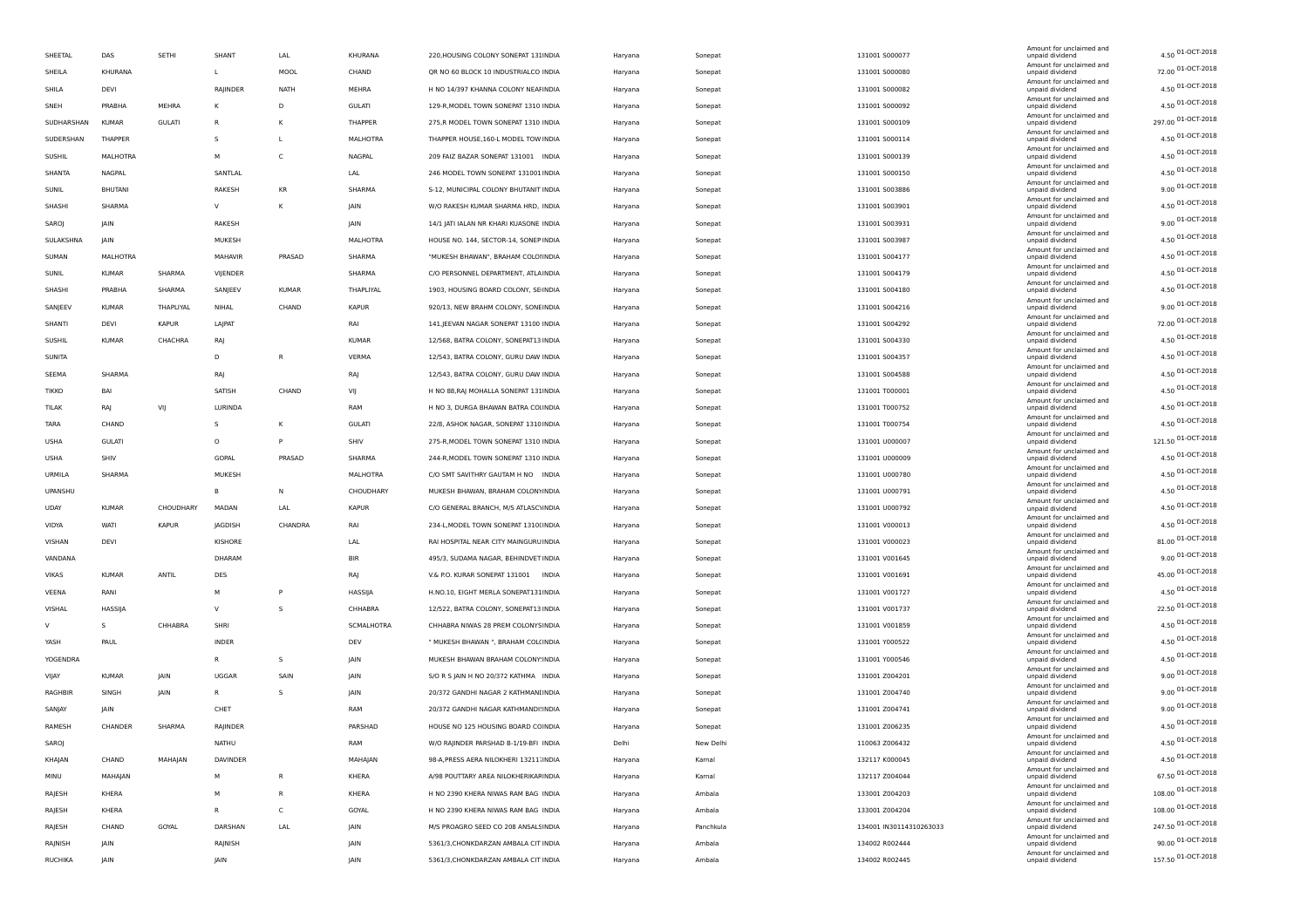|                |               |               |              |              |               |                                         |         |           |                         | Amount for unclaimed and                    |                    |
|----------------|---------------|---------------|--------------|--------------|---------------|-----------------------------------------|---------|-----------|-------------------------|---------------------------------------------|--------------------|
| SHEETAL        | DAS           | SETHI         | SHANT        | LAL          | KHURANA       | 220, HOUSING COLONY SONEPAT 131INDIA    | Haryana | Sonepat   | 131001 S000077          | unpaid dividend                             | 4.50 01-OCT-2018   |
| SHEILA         | KHURANA       |               | $\mathbf{L}$ | MOOL         | CHAND         | QR NO 60 BLOCK 10 INDUSTRIALCO INDIA    | Haryana | Sonepat   | 131001 S000080          | Amount for unclaimed and<br>unpaid dividend | 72.00 01-OCT-2018  |
| SHILA          | DEVI          |               | RAJINDER     | <b>NATH</b>  | MEHRA         | H NO 14/397 KHANNA COLONY NEAFINDIA     | Haryana | Sonepat   | 131001 S000082          | Amount for unclaimed and<br>unpaid dividend | 4.50 01-OCT-2018   |
| SNEH           | PRABHA        | MEHRA         | к            | D            | <b>GULATI</b> | 129-R, MODEL TOWN SONEPAT 1310 INDIA    | Haryana | Sonepat   | 131001 5000092          | Amount for unclaimed and<br>unpaid dividend | 4.50 01-OCT-2018   |
| SUDHARSHAN     | <b>KUMAR</b>  | <b>GULATI</b> | $\mathsf{R}$ | κ            | THAPPER       | 275,R MODEL TOWN SONEPAT 1310 INDIA     | Haryana | Sonepat   | 131001 S000109          | Amount for unclaimed and<br>unpaid dividend | 297.00 01-OCT-2018 |
| SUDERSHAN      | THAPPER       |               | $\mathsf{s}$ |              | MALHOTRA      | THAPPER HOUSE, 160-L MODEL TOW INDIA    | Haryana | Sonepat   | 131001 5000114          | Amount for unclaimed and<br>unpaid dividend | 4.50 01-OCT-2018   |
| SUSHIL         | MALHOTRA      |               | M            | C            | NAGPAL        | 209 FAIZ BAZAR SONEPAT 131001 INDIA     | Haryana | Sonepat   | 131001 S000139          | Amount for unclaimed and<br>unpaid dividend | 4.50 01-OCT-2018   |
| SHANTA         | NAGPAL        |               | SANTLAL      |              | LAL           | 246 MODEL TOWN SONEPAT 131001 INDIA     | Haryana | Sonepat   | 131001 S000150          | Amount for unclaimed and<br>unpaid dividend | 4.50 01-OCT-2018   |
| SUNIL          | BHUTANI       |               | RAKESH       | KR           | SHARMA        | S-12, MUNICIPAL COLONY BHUTANIT INDIA   | Haryana | Sonepat   | 131001 S003886          | Amount for unclaimed and<br>unpaid dividend | 9.00 01-OCT-2018   |
| SHASHI         | SHARMA        |               | V            | К            | JAIN          | W/O RAKESH KUMAR SHARMA HRD, INDIA      |         |           | 131001 5003901          | Amount for unclaimed and                    | 4.50 01-OCT-2018   |
|                |               |               |              |              |               |                                         | Haryana | Sonepat   |                         | unpaid dividend<br>Amount for unclaimed and | 9.00 01-OCT-2018   |
| SAROJ          | JAIN          |               | RAKESH       |              | JAIN          | 14/1 JATI IALAN NR KHARI KUASONE INDIA  | Haryana | Sonepat   | 131001 5003931          | unpaid dividend<br>Amount for unclaimed and | 4.50 01-OCT-2018   |
| SULAKSHNA      | <b>JAIN</b>   |               | MUKESH       |              | MALHOTRA      | HOUSE NO. 144, SECTOR-14, SONEP INDIA   | Haryana | Sonepat   | 131001 5003987          | unpaid dividend<br>Amount for unclaimed and |                    |
| SUMAN          | MALHOTRA      |               | MAHAVIR      | PRASAD       | SHARMA        | "MUKESH BHAWAN", BRAHAM COLOIINDIA      | Haryana | Sonepat   | 131001 S004177          | unpaid dividend<br>Amount for unclaimed and | 4.50 01-OCT-2018   |
| SUNIL          | <b>KUMAR</b>  | SHARMA        | VIJENDER     |              | SHARMA        | C/O PERSONNEL DEPARTMENT, ATLAINDIA     | Haryana | Sonepat   | 131001 S004179          | unpaid dividend<br>Amount for unclaimed and | 4.50 01-OCT-2018   |
| SHASHI         | PRABHA        | SHARMA        | SANJEEV      | <b>KUMAR</b> | THAPLIYAL     | 1903, HOUSING BOARD COLONY, SE INDIA    | Haryana | Sonepat   | 131001 S004180          | unpaid dividend<br>Amount for unclaimed and | 4.50 01-OCT-2018   |
| SANJEEV        | <b>KUMAR</b>  | THAPLIYAL     | NIHAL        | CHAND        | <b>KAPUR</b>  | 920/13, NEW BRAHM COLONY, SONEINDIA     | Haryana | Sonepat   | 131001 5004216          | unpaid dividend                             | 9.00 01-OCT-2018   |
| SHANTI         | DEVI          | <b>KAPUR</b>  | LAJPAT       |              | RAI           | 141, JEEVAN NAGAR SONEPAT 13100 INDIA   | Haryana | Sonepat   | 131001 5004292          | Amount for unclaimed and<br>unpaid dividend | 72.00 01-OCT-2018  |
| SUSHIL         | <b>KUMAR</b>  | CHACHRA       | RAJ          |              | <b>KUMAR</b>  | 12/568, BATRA COLONY, SONEPAT13 INDIA   | Haryana | Sonepat   | 131001 5004330          | Amount for unclaimed and<br>unpaid dividend | 4.50 01-OCT-2018   |
| <b>SUNITA</b>  |               |               | D            | R            | VERMA         | 12/543, BATRA COLONY, GURU DAW INDIA    | Haryana | Sonepat   | 131001 S004357          | Amount for unclaimed and<br>unpaid dividend | 4.50 01-OCT-2018   |
| SEEMA          | SHARMA        |               | RAJ          |              | RAJ           | 12/543, BATRA COLONY, GURU DAW INDIA    | Haryana | Sonepat   | 131001 S004588          | Amount for unclaimed and<br>unpaid dividend | 4.50 01-OCT-2018   |
| <b>TIKKO</b>   | BAI           |               | SATISH       | CHAND        | VIJ           | H NO 88, RAJ MOHALLA SONEPAT 131 INDIA  | Haryana | Sonepat   | 131001 T000001          | Amount for unclaimed and<br>unpaid dividend | 4.50 01-OCT-2018   |
| TILAK          | RAJ           | VIJ           | LURINDA      |              | RAM           | H NO 3, DURGA BHAWAN BATRA COLINDIA     | Haryana | Sonepat   | 131001 T000752          | Amount for unclaimed and<br>unpaid dividend | 4.50 01-OCT-2018   |
| TARA           | CHAND         |               | s            | K            | <b>GULATI</b> | 22/8, ASHOK NAGAR, SONEPAT 1310 INDIA   | Haryana | Sonepat   | 131001 T000754          | Amount for unclaimed and<br>unpaid dividend | 4.50 01-OCT-2018   |
| <b>USHA</b>    | <b>GULATI</b> |               | $\circ$      | P            | SHIV          | 275-R, MODEL TOWN SONEPAT 1310 INDIA    |         |           | 131001 U000007          | Amount for unclaimed and                    | 121.50 01-OCT-2018 |
|                |               |               |              |              |               |                                         | Haryana | Sonepat   |                         | unpaid dividend<br>Amount for unclaimed and | 4.50 01-OCT-2018   |
| <b>USHA</b>    | SHIV          |               | GOPAL        | PRASAD       | SHARMA        | 244-R, MODEL TOWN SONEPAT 1310 INDIA    | Haryana | Sonepat   | 131001 U000009          | unpaid dividend<br>Amount for unclaimed and | 4.50 01-OCT-2018   |
| URMILA         | SHARMA        |               | MUKESH       |              | MALHOTRA      | C/O SMT SAVITHRY GAUTAM H NO INDIA      | Haryana | Sonepat   | 131001 U000780          | unpaid dividend<br>Amount for unclaimed and |                    |
| UPANSHU        |               |               | B            | N            | CHOUDHARY     | MUKESH BHAWAN, BRAHAM COLONYINDIA       | Haryana | Sonepat   | 131001 U000791          | unpaid dividend<br>Amount for unclaimed and | 4.50 01-OCT-2018   |
| <b>UDAY</b>    | <b>KUMAR</b>  | CHOUDHARY     | MADAN        | LAL          | <b>KAPUR</b>  | C/O GENERAL BRANCH, M/S ATLASC\INDIA    | Haryana | Sonepat   | 131001 U000792          | unpaid dividend<br>Amount for unclaimed and | 4.50 01-OCT-2018   |
| VIDYA          | WATI          | <b>KAPUR</b>  | JAGDISH      | CHANDRA      | RAI           | 234-L, MODEL TOWN SONEPAT 1310(INDIA    | Haryana | Sonepat   | 131001 V000013          | unpaid dividend<br>Amount for unclaimed and | 4.50 01-OCT-2018   |
| VISHAN         | DEVI          |               | KISHORE      |              | LAL           | RAI HOSPITAL NEAR CITY MAINGURU INDIA   | Haryana | Sonepat   | 131001 V000023          | unpaid dividend                             | 81.00 01-OCT-2018  |
| VANDANA        |               |               | DHARAM       |              | <b>BIR</b>    | 495/3, SUDAMA NAGAR, BEHINDVET INDIA    | Haryana | Sonepat   | 131001 V001645          | Amount for unclaimed and<br>unpaid dividend | 9.00 01-OCT-2018   |
| VIKAS          | <b>KUMAR</b>  | ANTIL         | DES          |              | RAJ           | V.& P.O. KURAR SONEPAT 131001 INDIA     | Haryana | Sonepat   | 131001 V001691          | Amount for unclaimed and<br>unpaid dividend | 45.00 01-OCT-2018  |
| VEENA          | RANI          |               | M            | P            | HASSIJA       | H.NO.10, EIGHT MERLA SONEPAT131INDIA    | Haryana | Sonepat   | 131001 V001727          | Amount for unclaimed and<br>unpaid dividend | 4.50 01-OCT-2018   |
| VISHAL         | HASSIJA       |               | $\mathsf{v}$ | <sub>S</sub> | CHHABRA       | 12/522, BATRA COLONY, SONEPAT13 INDIA   | Haryana | Sonepat   | 131001 V001737          | Amount for unclaimed and<br>unpaid dividend | 22.50 01-OCT-2018  |
| v              | s             | CHHABRA       | SHRI         |              | SCMALHOTRA    | CHHABRA NIWAS 28 PREM COLONYSINDIA      | Haryana | Sonepat   | 131001 V001859          | Amount for unclaimed and<br>unpaid dividend | 4.50 01-OCT-2018   |
| YASH           | PAUL          |               | INDER        |              | DEV           | " MUKESH BHAWAN ", BRAHAM COL(INDIA     | Haryana | Sonepat   | 131001 Y000522          | Amount for unclaimed and<br>unpaid dividend | 4.50 01-OCT-2018   |
| YOGENDRA       |               |               | R            | $\mathsf{s}$ | JAIN          | MUKESH BHAWAN BRAHAM COLONY INDIA       | Haryana | Sonepat   | 131001 Y000546          | Amount for unclaimed and<br>unpaid dividend | 4.50 01-OCT-2018   |
| VIJAY          | <b>KUMAR</b>  | JAIN          | UGGAR        | SAIN         | JAIN          | S/O R S JAIN H NO 20/372 KATHMA INDIA   | Haryana | Sonepat   | 131001 Z004201          | Amount for unclaimed and<br>unpaid dividend | 9.00 01-OCT-2018   |
|                |               | <b>JAIN</b>   | R.           | s            |               |                                         |         |           | 131001 Z004740          | Amount for unclaimed and                    | 9.00 01-OCT-2018   |
| RAGHBIR        | SINGH         |               |              |              | JAIN          | 20/372 GANDHI NAGAR 2 KATHMANI INDIA    | Haryana | Sonepat   |                         | unpaid dividend<br>Amount for unclaimed and | 9.00 01-OCT-2018   |
| SANJAY         | JAIN          |               | CHET         |              | RAM           | 20/372 GANDHI NAGAR KATHMANDI INDIA     | Haryana | Sonepat   | 131001 Z004741          | unpaid dividend<br>Amount for unclaimed and | 4.50 01-OCT-2018   |
| RAMESH         | CHANDER       | SHARMA        | RAJINDER     |              | PARSHAD       | HOUSE NO 125 HOUSING BOARD CCINDIA      | Haryana | Sonepat   | 131001 Z006235          | unpaid dividend<br>Amount for unclaimed and |                    |
| SAROJ          |               |               | NATHU        |              | RAM           | W/O RAJINDER PARSHAD B-1/19-BFI INDIA   | Delhi   | New Delhi | 110063 Z006432          | unpaid dividend<br>Amount for unclaimed and | 4.50 01-OCT-2018   |
| KHAJAN         | CHAND         | MAHAJAN       | DAVINDER     |              | MAHAJAN       | 98-A, PRESS AERA NILOKHERI 13211. INDIA | Haryana | Kamal     | 132117 K000045          | unpaid dividend<br>Amount for unclaimed and | 4.50 01-OCT-2018   |
| MINU           | MAHAJAN       |               | M            | R            | KHERA         | A/98 POUTTARY AREA NILOKHERIKAFINDIA    | Haryana | Kamal     | 132117 Z004044          | unpaid dividend<br>Amount for unclaimed and | 67.50 01-OCT-2018  |
| RAJESH         | KHERA         |               | M            | R            | KHERA         | H NO 2390 KHERA NIWAS RAM BAG INDIA     | Haryana | Ambala    | 133001 Z004203          | unpaid dividend<br>Amount for unclaimed and | 108.00 01-OCT-2018 |
| RAJESH         | KHERA         |               |              | C            | GOYAL         | H NO 2390 KHERA NIWAS RAM BAG INDIA     | Haryana | Ambala    | 133001 Z004204          | unpaid dividend                             | 108.00 01-OCT-2018 |
| RAJESH         | CHAND         | GOYAL         | DARSHAN      | LAL          | JAIN          | M/S PROAGRO SEED CO 208 ANSALSINDIA     | Haryana | Panchkula | 134001 IN30114310263033 | Amount for unclaimed and<br>unpaid dividend | 247.50 01-OCT-2018 |
| RAJNISH        | JAIN          |               | RAJNISH      |              | JAIN          | 5361/3, CHONKDARZAN AMBALA CIT INDIA    | Haryana | Ambala    | 134002 R002444          | Amount for unclaimed and<br>unpaid dividend | 90.00 01-OCT-2018  |
| <b>RUCHIKA</b> | JAIN          |               | <b>JAIN</b>  |              | <b>IAIN</b>   | 5361/3, CHONKDARZAN AMBALA CIT INDIA    | Haryana | Ambala    | 134002 R002445          | Amount for unclaimed and<br>unpaid dividend | 157.50 01-OCT-2018 |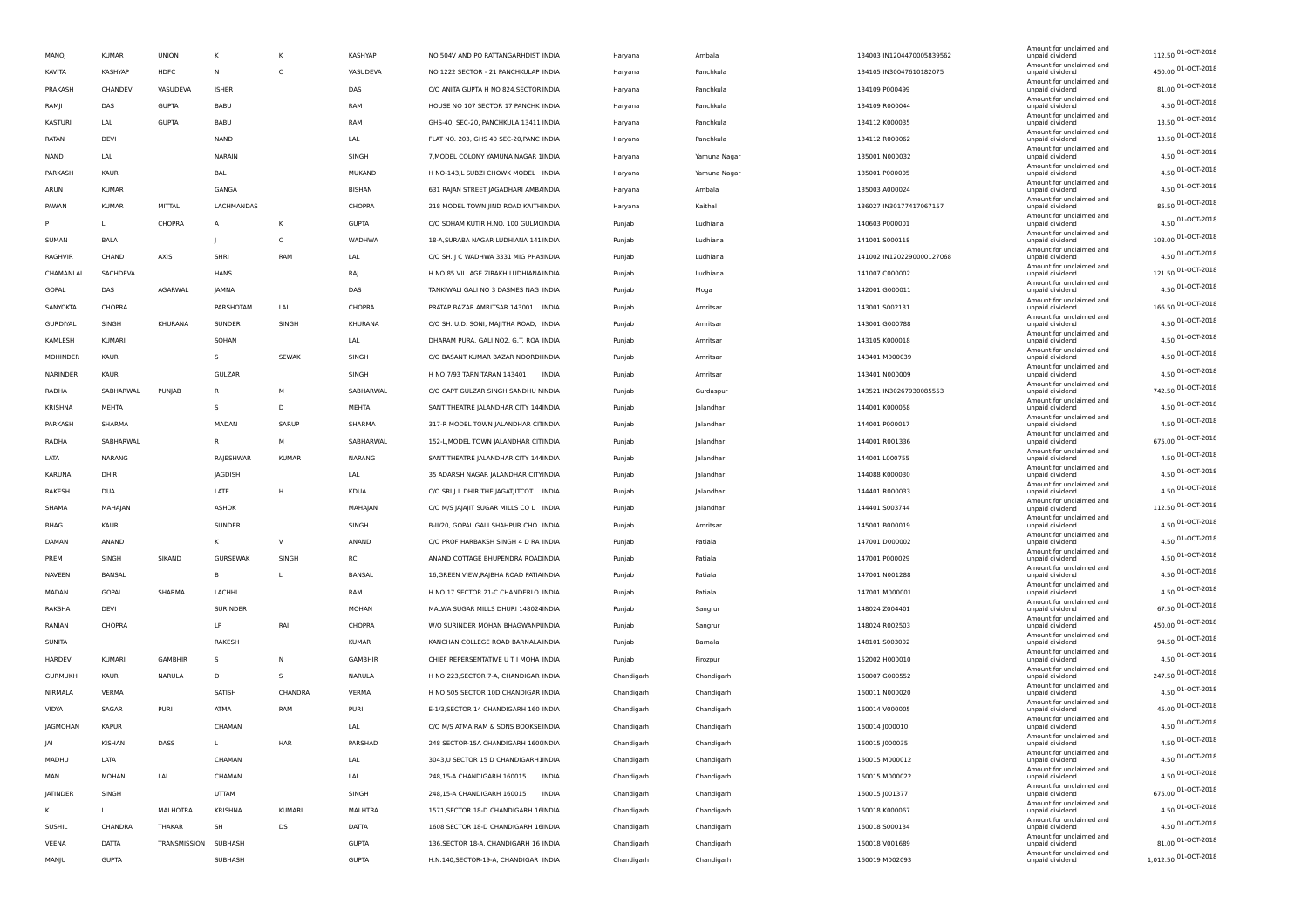| MANOJ          | <b>KUMAR</b>  | <b>UNION</b>         | к               |              | KASHYAP        | NO 504V AND PO RATTANGARHDIST INDIA         | Haryana    | Ambala       | 134003 IN1204470005839562 | Amount for unclaimed and<br>unpaid dividend | 112.50 01-OCT-2018   |
|----------------|---------------|----------------------|-----------------|--------------|----------------|---------------------------------------------|------------|--------------|---------------------------|---------------------------------------------|----------------------|
| KAVITA         | KASHYAP       | HDFC                 | N               | C            | VASUDEVA       | NO 1222 SECTOR - 21 PANCHKULAP INDIA        | Haryana    | Panchkula    | 134105 IN30047610182075   | Amount for unclaimed and<br>unpaid dividend | 450.00 01-OCT-2018   |
| PRAKASH        | CHANDEV       | VASUDEVA             | <b>ISHER</b>    |              | DAS            | C/O ANITA GUPTA H NO 824, SECTOR INDIA      | Haryana    | Panchkula    | 134109 P000499            | Amount for unclaimed and<br>unpaid dividend | 81.00 01-OCT-2018    |
| RAMJI          | DAS           | <b>GUPTA</b>         | <b>BABU</b>     |              | RAM            | HOUSE NO 107 SECTOR 17 PANCHK INDIA         | Haryana    | Panchkula    | 134109 R000044            | Amount for unclaimed and<br>unpaid dividend | 4.50 01-OCT-2018     |
| KASTURI        | LAL           | <b>GUPTA</b>         | BABU            |              | RAM            | GHS-40, SEC-20, PANCHKULA 13411 INDIA       | Haryana    | Panchkula    | 134112 K000035            | Amount for unclaimed and<br>unpaid dividend | 13.50 01-OCT-2018    |
| RATAN          | DEVI          |                      | NAND            |              | LAL            | FLAT NO. 203, GHS 40 SEC-20, PANC INDIA     | Haryana    | Panchkula    | 134112 R000062            | Amount for unclaimed and<br>unpaid dividend | 13.50 01-OCT-2018    |
| NAND           | LAL           |                      | NARAIN          |              | SINGH          | 7, MODEL COLONY YAMUNA NAGAR 1INDIA         | Haryana    | Yamuna Nagar | 135001 N000032            | Amount for unclaimed and<br>unpaid dividend | 4.50 01-OCT-2018     |
| PARKASH        | KAUR          |                      | BAL             |              | MUKAND         | H NO-143,L SUBZI CHOWK MODEL INDIA          | Haryana    | Yamuna Nagar | 135001 P000005            | Amount for unclaimed and<br>unpaid dividend | 4.50 01-OCT-2018     |
| ARUN           | <b>KUMAR</b>  |                      | GANGA           |              | BISHAN         | 631 RAJAN STREET JAGADHARI AMB/INDIA        | Haryana    | Ambala       | 135003 A000024            | Amount for unclaimed and<br>unpaid dividend | 4.50 01-OCT-2018     |
| PAWAN          | <b>KUMAR</b>  | MITTAL               | LACHMANDAS      |              | CHOPRA         | 218 MODEL TOWN JIND ROAD KAITHINDIA         | Haryana    | Kaithal      | 136027 IN30177417067157   | Amount for unclaimed and<br>unpaid dividend | 85.50 01-OCT-2018    |
|                | L             | CHOPRA               | А               |              | <b>GUPTA</b>   | C/O SOHAM KUTIR H.NO. 100 GULM(INDIA        | Punjab     | Ludhiana     | 140603 P000001            | Amount for unclaimed and<br>unpaid dividend | 4.50 01-OCT-2018     |
| SUMAN          | BALA          |                      | ÷               | C            | WADHWA         | 18-A, SURABA NAGAR LUDHIANA 141 INDIA       | Punjab     | Ludhiana     | 141001 5000118            | Amount for unclaimed and<br>unpaid dividend | 108.00 01-OCT-2018   |
| RAGHVIR        | CHAND         | AXIS                 | SHRI            | RAM          | LAL            | C/O SH. J C WADHWA 3331 MIG PHA: INDIA      | Punjab     | Ludhiana     | 141002 IN1202290000127068 | Amount for unclaimed and<br>unpaid dividend | 4.50 01-OCT-2018     |
| CHAMANLAL      | SACHDEVA      |                      | <b>HANS</b>     |              | RAJ            | H NO 85 VILLAGE ZIRAKH LUDHIANA INDIA       | Punjab     | Ludhiana     | 141007 C000002            | Amount for unclaimed and<br>unpaid dividend | 121.50 01-OCT-2018   |
|                |               | <b>AGARWAL</b>       |                 |              |                |                                             |            |              |                           | Amount for unclaimed and                    | 4.50 01-OCT-2018     |
| GOPAL          | DAS           |                      | JAMNA           |              | DAS            | TANKIWALI GALI NO 3 DASMES NAG INDIA        | Punjab     | Moga         | 142001 G000011            | unpaid dividend<br>Amount for unclaimed and | 166.50 01-OCT-2018   |
| SANYOKTA       | CHOPRA        |                      | PARSHOTAM       | LAL          | CHOPRA         | PRATAP BAZAR AMRITSAR 143001 INDIA          | Punjab     | Amritsar     | 143001 S002131            | unpaid dividend<br>Amount for unclaimed and | 4.50 01-OCT-2018     |
| GURDIYAL       | SINGH         | KHURANA              | SUNDER          | SINGH        | KHURANA        | C/O SH. U.D. SONI, MAJITHA ROAD, INDIA      | Punjab     | Amritsar     | 143001 G000788            | unpaid dividend<br>Amount for unclaimed and | 4.50 01-OCT-2018     |
| KAMLESH        | <b>KUMARI</b> |                      | SOHAN           |              | LAL            | DHARAM PURA, GALI NO2, G.T. ROA INDIA       | Punjab     | Amritsar     | 143105 K000018            | unpaid dividend<br>Amount for unclaimed and | 4.50 01-OCT-2018     |
| MOHINDER       | KAUR          |                      | s               | <b>SEWAK</b> | SINGH          | C/O BASANT KUMAR BAZAR NOORDHNDIA           | Punjab     | Amritsar     | 143401 M000039            | unpaid dividend<br>Amount for unclaimed and |                      |
| NARINDER       | KAUR          |                      | GULZAR          |              | SINGH          | H NO 7/93 TARN TARAN 143401<br><b>INDIA</b> | Punjab     | Amritsar     | 143401 N000009            | unpaid dividend<br>Amount for unclaimed and | 4.50 01-OCT-2018     |
| RADHA          | SABHARWAL     | PUNJAB               | $\mathsf{R}$    | M            | SABHARWAL      | C/O CAPT GULZAR SINGH SANDHU MINDIA         | Punjab     | Gurdaspur    | 143521 IN30267930085553   | unpaid dividend<br>Amount for unclaimed and | 742.50 01-OCT-2018   |
| KRISHNA        | MEHTA         |                      | s               | D            | MEHTA          | SANT THEATRE JALANDHAR CITY 144INDIA        | Punjab     | Jalandhar    | 144001 K000058            | unpaid dividend<br>Amount for unclaimed and | 4.50 01-OCT-2018     |
| PARKASH        | SHARMA        |                      | MADAN           | SARUP        | SHARMA         | 317-R MODEL TOWN JALANDHAR CITINDIA         | Punjab     | Jalandhar    | 144001 P000017            | unpaid dividend<br>Amount for unclaimed and | 4.50 01-OCT-2018     |
| RADHA          | SABHARWAL     |                      | R               | M            | SABHARWAL      | 152-L, MODEL TOWN JALANDHAR CITINDIA        | Punjab     | Jalandhar    | 144001 R001336            | unpaid dividend<br>Amount for unclaimed and | 675.00 01-OCT-2018   |
| LATA           | NARANG        |                      | RAJESHWAR       | <b>KUMAR</b> | NARANG         | SANT THEATRE JALANDHAR CITY 144 INDIA       | Punjab     | Jalandhar    | 144001 L000755            | unpaid dividend<br>Amount for unclaimed and | 4.50 01-OCT-2018     |
| KARUNA         | DHIR          |                      | JAGDISH         |              | LAL            | 35 ADARSH NAGAR JALANDHAR CITYINDIA         | Punjab     | Jalandhar    | 144088 K000030            | unpaid dividend                             | 4.50 01-OCT-2018     |
| RAKESH         | DUA           |                      | LATE            | H            | KDUA           | C/O SRI J L DHIR THE JAGATJITCOT INDIA      | Punjab     | Jalandhar    | 144401 R000033            | Amount for unclaimed and<br>unpaid dividend | 4.50 01-OCT-2018     |
| SHAMA          | MAHAJAN       |                      | ASHOK           |              | MAHAJAN        | C/O M/S JAJAJIT SUGAR MILLS CO L INDIA      | Punjab     | Jalandhar    | 144401 5003744            | Amount for unclaimed and<br>unpaid dividend | 112.50 01-OCT-2018   |
| BHAG           | KAUR          |                      | SUNDER          |              | SINGH          | B-II/20, GOPAL GALI SHAHPUR CHO INDIA       | Punjab     | Amritsar     | 145001 B000019            | Amount for unclaimed and<br>unpaid dividend | 4.50 01-OCT-2018     |
| DAMAN          | ANAND         |                      | к               | $\vee$       | ANAND          | C/O PROF HARBAKSH SINGH 4 D RA INDIA        | Punjab     | Patiala      | 147001 D000002            | Amount for unclaimed and<br>unpaid dividend | 4.50 01-OCT-2018     |
| PREM           | SINGH         | SIKAND               | <b>GURSEWAK</b> | SINGH        | <b>RC</b>      | ANAND COTTAGE BHUPENDRA ROACINDIA           | Punjab     | Patiala      | 147001 P000029            | Amount for unclaimed and<br>unpaid dividend | 4.50 01-OCT-2018     |
| NAVEEN         | BANSAL        |                      | в               |              | BANSAL         | 16, GREEN VIEW, RAJBHA ROAD PATIA INDIA     | Punjab     | Patiala      | 147001 N001288            | Amount for unclaimed and<br>unpaid dividend | 4.50 01-OCT-2018     |
| MADAN          | GOPAL         | SHARMA               | LACHHI          |              | RAM            | H NO 17 SECTOR 21-C CHANDERLO INDIA         | Punjab     | Patiala      | 147001 M000001            | Amount for unclaimed and<br>unpaid dividend | 4.50 01-OCT-2018     |
| RAKSHA         | DEVI          |                      | SURINDER        |              | MOHAN          | MALWA SUGAR MILLS DHURI 148024INDIA         | Punjab     | Sangrur      | 148024 Z004401            | Amount for unclaimed and<br>unpaid dividend | 67.50 01-OCT-2018    |
| RANJAN         | CHOPRA        |                      | LP              | RAI          | CHOPRA         | W/O SURINDER MOHAN BHAGWANPHNDIA            | Punjab     | Sangrur      | 148024 R002503            | Amount for unclaimed and<br>unpaid dividend | 450.00 01-OCT-2018   |
| SUNITA         |               |                      | RAKESH          |              | <b>KUMAR</b>   | KANCHAN COLLEGE ROAD BARNALA INDIA          | Punjab     | Barnala      | 148101 S003002            | Amount for unclaimed and<br>unpaid dividend | 94.50 01-OCT-2018    |
| HARDEV         | <b>KUMARI</b> | <b>GAMBHIR</b>       | s               | N            | <b>GAMBHIR</b> | CHIEF REPERSENTATIVE U T I MOHA INDIA       | Punjab     | Firozpur     | 152002 H000010            | Amount for unclaimed and<br>unpaid dividend | 4.50 01-OCT-2018     |
| <b>GURMUKH</b> | KAUR          | NARULA               | D               | -S           | NARULA         | H NO 223, SECTOR 7-A, CHANDIGAR INDIA       | Chandigarh | Chandigarh   | 160007 G000552            | Amount for unclaimed and<br>unpaid dividend | 247.50 01-OCT-2018   |
| NIRMALA        | VERMA         |                      | SATISH          | CHANDRA      | VERMA          | H NO 505 SECTOR 10D CHANDIGAR INDIA         | Chandigarh | Chandigarh   | 160011 N000020            | Amount for unclaimed and<br>unpaid dividend | 4.50 01-OCT-2018     |
| VIDYA          | SAGAR         | PURI                 | ATMA            | RAM          | PURI           | E-1/3, SECTOR 14 CHANDIGARH 160 INDIA       | Chandigarh | Chandigarh   | 160014 V000005            | Amount for unclaimed and<br>unpaid dividend | 45.00 01-OCT-2018    |
| JAGMOHAN       | <b>KAPUR</b>  |                      | CHAMAN          |              |                | C/O M/S ATMA RAM & SONS BOOKSE INDIA        |            |              | 160014 J000010            | Amount for unclaimed and                    | 4.50 01-OCT-2018     |
|                |               |                      |                 |              | LAL            |                                             | Chandigarh | Chandigarh   |                           | unpaid dividend<br>Amount for unclaimed and | 4.50 01-OCT-2018     |
| JAI            | KISHAN        | DASS                 | $\mathbf{L}$    | HAR          | PARSHAD        | 248 SECTOR-15A CHANDIGARH 160(INDIA         | Chandigarh | Chandigarh   | 160015 J000035            | unpaid dividend<br>Amount for unclaimed and | 4.50 01-OCT-2018     |
| MADHU          | LATA          |                      | CHAMAN          |              | LAL            | 3043, U SECTOR 15 D CHANDIGARH1INDIA        | Chandigarh | Chandigarh   | 160015 M000012            | unpaid dividend<br>Amount for unclaimed and | 4.50 01-OCT-2018     |
| MAN            | <b>MOHAN</b>  | LAL                  | CHAMAN          |              | LAL            | 248,15-A CHANDIGARH 160015<br><b>INDIA</b>  | Chandigarh | Chandigarh   | 160015 M000022            | unpaid dividend<br>Amount for unclaimed and | 675.00 01-OCT-2018   |
| JATINDER       | SINGH         |                      | UTTAM           |              | SINGH          | 248,15-A CHANDIGARH 160015<br><b>INDIA</b>  | Chandigarh | Chandigarh   | 160015 J001377            | unpaid dividend<br>Amount for unclaimed and |                      |
| ĸ              | L             | <b>MALHOTRA</b>      | KRISHNA         | KUMARI       | MALHTRA        | 1571, SECTOR 18-D CHANDIGARH 16 INDIA       | Chandigarh | Chandigarh   | 160018 K000067            | unpaid dividend<br>Amount for unclaimed and | 4.50 01-OCT-2018     |
| SUSHIL         | CHANDRA       | THAKAR               | SH              | <b>DS</b>    | DATTA          | 1608 SECTOR 18-D CHANDIGARH 16 INDIA        | Chandigarh | Chandigarh   | 160018 5000134            | unpaid dividend<br>Amount for unclaimed and | 4.50 01-OCT-2018     |
| VEENA          | DATTA         | TRANSMISSION SUBHASH |                 |              | <b>GUPTA</b>   | 136, SECTOR 18-A, CHANDIGARH 16 INDIA       | Chandigarh | Chandigarh   | 160018 V001689            | unpaid dividend<br>Amount for unclaimed and | 81.00 01-OCT-2018    |
| MANJU          | <b>GUPTA</b>  |                      | SUBHASH         |              | <b>GUPTA</b>   | H.N.140, SECTOR-19-A, CHANDIGAR INDIA       | Chandigarh | Chandigarh   | 160019 M002093            | unpaid dividend                             | 1,012.50 01-OCT-2018 |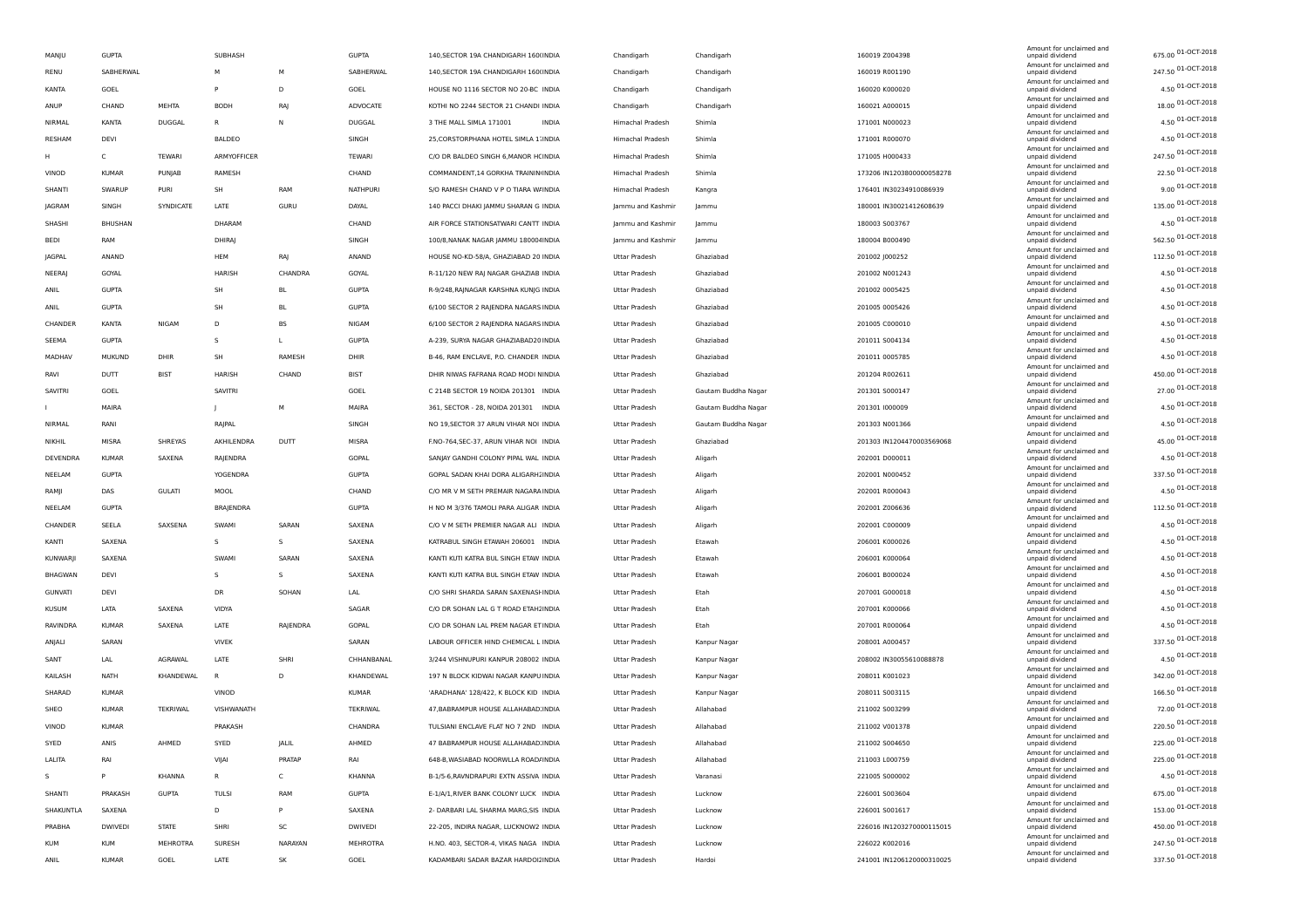| MANJU          | <b>GUPTA</b>   |               | SUBHASH      |           | <b>GUPTA</b> | 140, SECTOR 19A CHANDIGARH 160(INDIA    | Chandigarh           | Chandigarh          | 160019 Z004398            | Amount for unclaimed and<br>unpaid dividend | 675.00 01-OCT-2018      |
|----------------|----------------|---------------|--------------|-----------|--------------|-----------------------------------------|----------------------|---------------------|---------------------------|---------------------------------------------|-------------------------|
| RENU           | SABHERWAL      |               | м            | М         | SABHERWAL    | 140, SECTOR 19A CHANDIGARH 160(INDIA    | Chandigarh           | Chandigarh          | 160019 R001190            | Amount for unclaimed and<br>unpaid dividend | 247.50 01-OCT-2018      |
| KANTA          | GOEL           |               | P            | D         | GOEL         | HOUSE NO 1116 SECTOR NO 20-BC INDIA     | Chandigarh           | Chandigarh          | 160020 K000020            | Amount for unclaimed and<br>unpaid dividend | 4.50 01-OCT-2018        |
| ANUP           | CHAND          | MEHTA         | <b>BODH</b>  | RAJ       | ADVOCATE     | KOTHI NO 2244 SECTOR 21 CHANDI INDIA    | Chandigarh           | Chandigarh          | 160021 A000015            | Amount for unclaimed and<br>unpaid dividend | 18.00 01-OCT-2018       |
| NIRMAL         | KANTA          | <b>DUGGAL</b> | R            | N         | DUGGAL       | 3 THE MALL SIMLA 171001<br><b>INDIA</b> | Himachal Pradesh     | Shimla              | 171001 N000023            | Amount for unclaimed and<br>unpaid dividend | 4.50 01-OCT-2018        |
| RESHAM         | DEVI           |               | BALDEO       |           | SINGH        | 25, CORSTORPHANA HOTEL SIMLA 1. INDIA   | Himachal Pradesh     | Shimla              | 171001 R000070            | Amount for unclaimed and<br>unpaid dividend | 4.50 01-OCT-2018        |
| н              | $\mathsf{C}$   | TEWARI        | ARMYOFFICER  |           | TEWARI       | C/O DR BALDEO SINGH 6, MANOR HCINDIA    | Himachal Pradesh     | Shimla              | 171005 H000433            | Amount for unclaimed and<br>unpaid dividend | 247.50 01-OCT-2018      |
| VINOD          | <b>KUMAR</b>   | PUNJAB        | RAMESH       |           | CHAND        | COMMANDENT, 14 GORKHA TRAININ INDIA     | Himachal Pradesh     | Shimla              | 173206 IN1203800000058278 | Amount for unclaimed and<br>unpaid dividend | 22.50 01-OCT-2018       |
| SHANTI         | SWARUP         | PURI          | SH           | RAM       | NATHPURI     | S/O RAMESH CHAND V P O TIARA W/INDIA    | Himachal Pradesh     | Kangra              | 176401 IN30234910086939   | Amount for unclaimed and<br>unpaid dividend | $9.00\,01 - OCT - 2018$ |
| JAGRAM         | SINGH          | SYNDICATE     | LATE         | GURU      | DAYAL        | 140 PACCI DHAKI JAMMU SHARAN G INDIA    | Jammu and Kashmir    | Jammu               | 180001 IN30021412608639   | Amount for unclaimed and<br>unpaid dividend | 135.00 01-OCT-2018      |
| SHASHI         | <b>BHUSHAN</b> |               | DHARAM       |           | CHAND        | AIR FORCE STATIONSATWARI CANTT INDIA    | Jammu and Kashmir    | lammu               | 180003 5003767            | Amount for unclaimed and<br>unpaid dividend | 4.50 01-OCT-2018        |
| BEDI           | RAM            |               | DHIRAJ       |           | SINGH        | 100/8, NANAK NAGAR JAMMU 180004 INDIA   | Jammu and Kashmir    | Jammu               | 180004 B000490            | Amount for unclaimed and<br>unpaid dividend | 562.50 01-OCT-2018      |
| JAGPAL         | ANAND          |               | HEM          | RAJ       | ANAND        | HOUSE NO-KD-58/A, GHAZIABAD 20 INDIA    | Uttar Pradesh        | Ghaziabad           | 201002 J000252            | Amount for unclaimed and<br>unpaid dividend | 112.50 01-OCT-2018      |
| NEERAJ         | GOYAL          |               | HARISH       | CHANDRA   | GOYAL        | R-11/120 NEW RAJ NAGAR GHAZIAB INDIA    | Uttar Pradesh        | Ghaziabad           | 201002 N001243            | Amount for unclaimed and<br>unpaid dividend | 4.50 01-OCT-2018        |
| ANIL           | <b>GUPTA</b>   |               | SH           | BL        | <b>GUPTA</b> | R-9/248, RAJNAGAR KARSHNA KUNJG INDIA   | Uttar Pradesh        | Ghaziabad           | 201002 0005425            | Amount for unclaimed and<br>unpaid dividend | 4.50 01-OCT-2018        |
| ANIL           | <b>GUPTA</b>   |               | SH           | <b>BL</b> | <b>GUPTA</b> | 6/100 SECTOR 2 RAJENDRA NAGARS INDIA    | Uttar Pradesh        | Ghaziabad           | 201005 0005426            | Amount for unclaimed and                    | 4.50 01-OCT-2018        |
|                |                |               |              |           |              |                                         |                      |                     |                           | unpaid dividend<br>Amount for unclaimed and | 4.50 01-OCT-2018        |
| CHANDER        | KANTA          | NIGAM         | D            | BS        | NIGAM        | 6/100 SECTOR 2 RAJENDRA NAGARS INDIA    | Uttar Pradesh        | Ghaziabad           | 201005 C000010            | unpaid dividend<br>Amount for unclaimed and | 4.50 01-OCT-2018        |
| SEEMA          | <b>GUPTA</b>   |               | s            | L         | <b>GUPTA</b> | A-239, SURYA NAGAR GHAZIABAD20 INDIA    | Uttar Pradesh        | Ghaziabad           | 201011 S004134            | unpaid dividend<br>Amount for unclaimed and | 4.50 01-OCT-2018        |
| MADHAV         | MUKUND         | DHIR          | SH           | RAMESH    | DHIR         | B-46, RAM ENCLAVE, P.O. CHANDER INDIA   | Uttar Pradesh        | Ghaziabad           | 201011 0005785            | unpaid dividend<br>Amount for unclaimed and | 450.00 01-OCT-2018      |
| RAVI           | DUTT           | <b>BIST</b>   | HARISH       | CHAND     | <b>BIST</b>  | DHIR NIWAS FAFRANA ROAD MODI NINDIA     | Uttar Pradesh        | Ghaziabad           | 201204 R002611            | unpaid dividend<br>Amount for unclaimed and |                         |
| SAVITRI        | GOEL           |               | SAVITRI      |           | GOEL         | C 214B SECTOR 19 NOIDA 201301 INDIA     | Uttar Pradesh        | Gautam Buddha Nagar | 201301 S000147            | unpaid dividend<br>Amount for unclaimed and | 27.00 01-OCT-2018       |
|                | MAIRA          |               |              | М         | MAIRA        | 361, SECTOR - 28, NOIDA 201301 INDIA    | Uttar Pradesh        | Gautam Buddha Nagar | 201301 1000009            | unpaid dividend<br>Amount for unclaimed and | 4.50 01-OCT-2018        |
| NIRMAL         | RANI           |               | RAJPAL       |           | SINGH        | NO 19, SECTOR 37 ARUN VIHAR NOI INDIA   | Uttar Pradesh        | Gautam Buddha Nagar | 201303 N001366            | unpaid dividend<br>Amount for unclaimed and | 4.50 01-OCT-2018        |
| NIKHIL         | MISRA          | SHREYAS       | AKHILENDRA   | DUTT      | MISRA        | F.NO-764, SEC-37, ARUN VIHAR NOI INDIA  | Uttar Pradesh        | Ghaziabad           | 201303 IN1204470003569068 | unpaid dividend<br>Amount for unclaimed and | 45.00 01-OCT-2018       |
| DEVENDRA       | <b>KUMAR</b>   | SAXENA        | RAJENDRA     |           | GOPAL        | SANJAY GANDHI COLONY PIPAL WAL INDIA    | Uttar Pradesh        | Aligarh             | 202001 D000011            | unpaid dividend<br>Amount for unclaimed and | 4.50 01-OCT-2018        |
| NEELAM         | <b>GUPTA</b>   |               | YOGENDRA     |           | <b>GUPTA</b> | GOPAL SADAN KHAI DORA ALIGARHI INDIA    | Uttar Pradesh        | Aligarh             | 202001 N000452            | unpaid dividend<br>Amount for unclaimed and | 337.50 01-OCT-2018      |
| RAMJI          | DAS            | <b>GULATI</b> | MOOL         |           | CHAND        | C/O MR V M SETH PREMAIR NAGARA INDIA    | Uttar Pradesh        | Aligarh             | 202001 R000043            | unpaid dividend                             | 4.50 01-OCT-2018        |
| NEELAM         | <b>GUPTA</b>   |               | BRAJENDRA    |           | <b>GUPTA</b> | H NO M 3/376 TAMOLI PARA ALIGAR INDIA   | Uttar Pradesh        | Aligarh             | 202001 Z006636            | Amount for unclaimed and<br>unpaid dividend | 112.50 01-OCT-2018      |
| CHANDER        | SEELA          | SAXSENA       | SWAMI        | SARAN     | SAXENA       | C/O V M SETH PREMIER NAGAR ALI INDIA    | Uttar Pradesh        | Aligarh             | 202001 C000009            | Amount for unclaimed and<br>unpaid dividend | 4.50 01-OCT-2018        |
| KANTI          | SAXENA         |               | s            | s         | SAXENA       | KATRABUL SINGH ETAWAH 206001 INDIA      | Uttar Pradesh        | Etawah              | 206001 K000026            | Amount for unclaimed and<br>unpaid dividend | 4.50 01-OCT-2018        |
| KUNWARJI       | SAXENA         |               | SWAMI        | SARAN     | SAXENA       | KANTI KUTI KATRA BUL SINGH ETAW INDIA   | Uttar Pradesh        | Etawah              | 206001 K000064            | Amount for unclaimed and<br>unpaid dividend | 4.50 01-OCT-2018        |
| BHAGWAN        | DEVI           |               | s            | S         | SAXENA       | KANTI KUTI KATRA BUL SINGH ETAW INDIA   | Uttar Pradesh        | Etawah              | 206001 B000024            | Amount for unclaimed and<br>unpaid dividend | 4.50 01-OCT-2018        |
| <b>GUNVATI</b> | DEVI           |               | DR           | SOHAN     | LAL          | C/O SHRI SHARDA SARAN SAXENASI INDIA    | Uttar Pradesh        | Etah                | 207001 G000018            | Amount for unclaimed and<br>unpaid dividend | 4.50 01-OCT-2018        |
| <b>KUSUM</b>   | LATA           | SAXENA        | VIDYA        |           | SAGAR        | C/O DR SOHAN LAL G T ROAD ETAH2INDIA    | Uttar Pradesh        | Etah                | 207001 K000066            | Amount for unclaimed and<br>unpaid dividend | 4.50 01-OCT-2018        |
| RAVINDRA       | <b>KUMAR</b>   | SAXENA        | LATE         | RAJENDRA  | GOPAL        | C/O DR SOHAN LAL PREM NAGAR ET INDIA    | Uttar Pradesh        | Etah                | 207001 R000064            | Amount for unclaimed and<br>unpaid dividend | 4.50 01-OCT-2018        |
| ANJALI         | SARAN          |               | <b>VIVEK</b> |           | SARAN        | LABOUR OFFICER HIND CHEMICAL L INDIA    | Uttar Pradesh        | Kanpur Nagar        | 208001 A000457            | Amount for unclaimed and<br>unpaid dividend | 337.50 01-OCT-2018      |
| SANT           | LAL            | AGRAWAL       | LATE         | SHRI      | CHHANBANAL   | 3/244 VISHNUPURI KANPUR 208002 INDIA    | Uttar Pradesh        | Kanpur Nagar        | 208002 IN30055610088878   | Amount for unclaimed and<br>unpaid dividend | 4.50 01-OCT-2018        |
| KAILASH        | NATH           | KHANDEWAL     | $\mathbb{R}$ | D         | KHANDEWAL    | 197 N BLOCK KIDWAI NAGAR KANPU INDIA    | Uttar Pradesh        | Kanpur Nagar        | 208011 K001023            | Amount for unclaimed and<br>unpaid dividend | 342.00 01-OCT-2018      |
| SHARAD         | <b>KUMAR</b>   |               | VINOD        |           | KUMAR        | 'ARADHANA' 128/422, K BLOCK KID INDIA   | <b>Uttar Pradesh</b> | Kanpur Nagar        | 208011 S003115            | Amount for unclaimed and<br>unpaid dividend | 166.50 01-OCT-2018      |
| SHEO           | <b>KUMAR</b>   | TEKRIWAL      | VISHWANATH   |           | TEKRIWAL     | 47, BABRAMPUR HOUSE ALLAHABAD. INDIA    | Uttar Pradesh        | Allahabad           | 211002 S003299            | Amount for unclaimed and<br>unpaid dividend | 72.00 01-OCT-2018       |
| VINOD          | <b>KUMAR</b>   |               | PRAKASH      |           | CHANDRA      | TULSIANI ENCLAVE FLAT NO 7 2ND INDIA    | Uttar Pradesh        | Allahabad           | 211002 V001378            | Amount for unclaimed and<br>unpaid dividend | 220.50 01-OCT-2018      |
| SYED           | ANIS           | AHMED         | SYED         | JALIL     | <b>AHMED</b> | 47 BABRAMPUR HOUSE ALLAHABAD INDIA      | Uttar Pradesh        | <b>Allahabad</b>    | 211002 S004650            | Amount for unclaimed and<br>unpaid dividenc | 225.00 01-OCT-2018      |
| LALITA         | RAI            |               | VIJAI        | PRATAP    | RAI          | 648-B, WASIABAD NOORWLLA ROAD/INDIA     | Uttar Pradesh        | Allahabad           | 211003 L000759            | Amount for unclaimed and<br>unpaid dividend | 225.00 01-OCT-2018      |
| s              | P              | KHANNA        | R            | c         | KHANNA       | B-1/5-6, RAVNDRAPURI EXTN ASSIVA INDIA  | Uttar Pradesh        | Varanasi            | 221005 S000002            | Amount for unclaimed and<br>unpaid dividend | 4.50 01-OCT-2018        |
| SHANTI         | PRAKASH        | <b>GUPTA</b>  | TULSI        | RAM       | <b>GUPTA</b> | E-1/A/1, RIVER BANK COLONY LUCK INDIA   | Uttar Pradesh        | Lucknow             | 226001 S003604            | Amount for unclaimed and<br>unpaid dividend | 675.00 01-OCT-2018      |
| SHAKUNTLA      | SAXENA         |               | D            | P         | SAXENA       | 2- DARBARI LAL SHARMA MARG, SIS INDIA   | Uttar Pradesh        | Lucknow             | 226001 S001617            | Amount for unclaimed and<br>unpaid dividend | 153.00 01-OCT-2018      |
| PRABHA         | <b>DWIVEDI</b> | <b>STATE</b>  | SHRI         | SC        | DWIVEDI      | 22-205, INDIRA NAGAR, LUCKNOW2 INDIA    | Uttar Pradesh        | Lucknow             | 226016 IN1203270000115015 | Amount for unclaimed and<br>unpaid dividend | 450.00 01-OCT-2018      |
| <b>KUM</b>     | <b>KUM</b>     | MEHROTRA      | SURESH       | NARAYAN   | MEHROTRA     | H.NO. 403, SECTOR-4, VIKAS NAGA INDIA   | Uttar Pradesh        | Lucknow             | 226022 K002016            | Amount for unclaimed and<br>unpaid dividend | 247.50 01-OCT-2018      |
| ANIL           | <b>KUMAR</b>   | GOEL          | LATE         | SK        | GOEL         | KADAMBARI SADAR BAZAR HARDOIZINDIA      | Uttar Pradesh        | Hardoi              | 241001 IN1206120000310025 | Amount for unclaimed and<br>unpaid dividend | 337.50 01-OCT-2018      |
|                |                |               |              |           |              |                                         |                      |                     |                           |                                             |                         |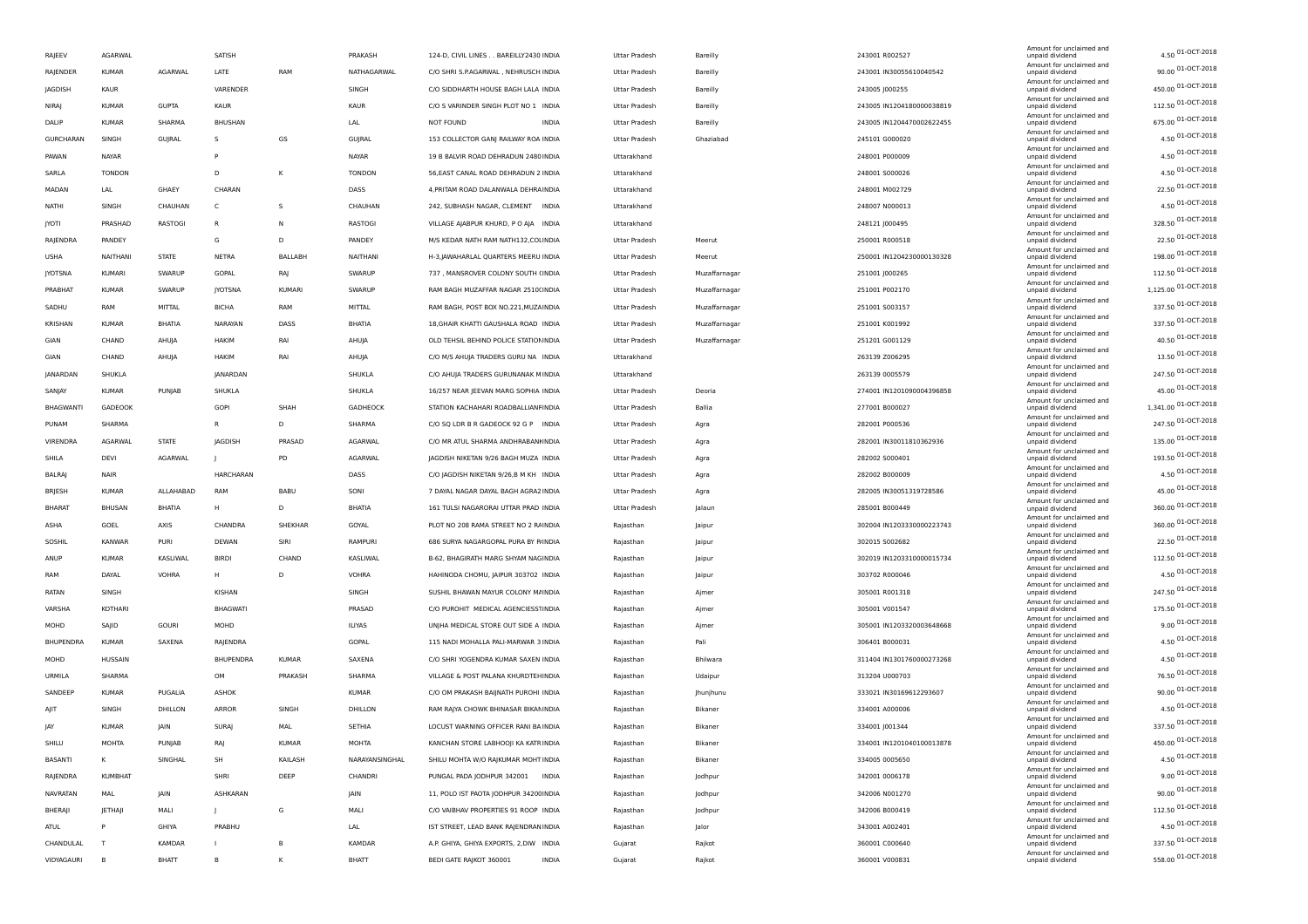| RAJEEV          | AGARWAL        |                   | SATISH           |         | PRAKASH        | 124-D, CIVIL LINES BAREILLY2430 INDIA   | Uttar Pradesh        | Bareilly         | 243001 R002527            | Amount for unclaimed and<br>unpaid dividend | 4.50 01-OCT-2018     |
|-----------------|----------------|-------------------|------------------|---------|----------------|-----------------------------------------|----------------------|------------------|---------------------------|---------------------------------------------|----------------------|
| RAJENDER        | KUMAR          | AGARWAL           | LATE             | RAM     | NATHAGARWAL    | C/O SHRI S.P.AGARWAL, NEHRUSCH INDIA    | Uttar Pradesh        | Bareilly         | 243001 IN30055610040542   | Amount for unclaimed and<br>unpaid dividend | 90.00 01-OCT-2018    |
| JAGDISH         | KAUR           |                   | VARENDER         |         | SINGH          | C/O SIDDHARTH HOUSE BAGH LALA INDIA     | Uttar Pradesh        | Bareilly         | 243005 J000255            | Amount for unclaimed and<br>unpaid dividend | 450.00 01-OCT-2018   |
| NIRAJ           | <b>KUMAR</b>   | <b>GUPTA</b>      | <b>KAUR</b>      |         | <b>KAUR</b>    | C/O S VARINDER SINGH PLOT NO 1 INDIA    | Uttar Pradesh        | Bareilly         | 243005 IN1204180000038819 | Amount for unclaimed and<br>unpaid dividend | 112.50 01-OCT-2018   |
| DALIP           | <b>KUMAR</b>   | SHARMA            | <b>BHUSHAN</b>   |         | LAL            | NOT FOUND<br><b>INDIA</b>               | Uttar Pradesh        | Bareilly         | 243005 IN1204470002622455 | Amount for unclaimed and<br>unpaid dividend | 675.00 01-OCT-2018   |
| GURCHARAN       | SINGH          | GUJRAL            | -S               | GS      | GUJRAL         | 153 COLLECTOR GANJ RAILWAY ROA INDIA    | Uttar Pradesh        | Ghaziabad        | 245101 G000020            | Amount for unclaimed and<br>unpaid dividend | 4.50 01-OCT-2018     |
| PAWAN           | NAYAR          |                   | P                |         | NAYAR          | 19 B BALVIR ROAD DEHRADUN 2480 INDIA    | Uttarakhand          |                  | 248001 P000009            | Amount for unclaimed and<br>unpaid dividend | 4.50 01-OCT-2018     |
|                 |                |                   |                  |         |                |                                         |                      |                  |                           | Amount for unclaimed and                    | 4.50 01-OCT-2018     |
| SARLA           | <b>TONDON</b>  |                   | D                | κ       | <b>TONDON</b>  | 56, EAST CANAL ROAD DEHRADUN 2 INDIA    | Uttarakhand          |                  | 248001 S000026            | unpaid dividend<br>Amount for unclaimed and | 22.50 01-OCT-2018    |
| MADAN           | LAL            | GHAEY             | CHARAN           |         | DASS           | 4, PRITAM ROAD DALANWALA DEHRAINDIA     | Uttarakhand          |                  | 248001 M002729            | unpaid dividend<br>Amount for unclaimed and |                      |
| NATHI           | SINGH          | CHAUHAN           | C                | s       | CHAUHAN        | 242, SUBHASH NAGAR, CLEMENT INDIA       | Uttarakhand          |                  | 248007 N000013            | unpaid dividend<br>Amount for unclaimed and | 4.50 01-OCT-2018     |
| <b>JYOTI</b>    | PRASHAD        | RASTOGI           | R                | N       | RASTOGI        | VILLAGE AJABPUR KHURD, P O AJA INDIA    | Uttarakhand          |                  | 248121 J000495            | unpaid dividend<br>Amount for unclaimed and | 328.50 01-OCT-2018   |
| RAJENDRA        | PANDEY         |                   | G                | D       | PANDEY         | M/S KEDAR NATH RAM NATH132, COLINDIA    | Uttar Pradesh        | Meerut           | 250001 R000518            | unpaid dividend<br>Amount for unclaimed and | 22.50 01-OCT-2018    |
| USHA            | NAITHANI       | <b>STATE</b>      | NETRA            | BALLABH | NAITHANI       | H-3, JAWAHARLAL QUARTERS MEERU INDIA    | Uttar Pradesh        | Meerut           | 250001 IN1204230000130328 | unpaid dividend<br>Amount for unclaimed and | 198.00 01-OCT-2018   |
| <b>JYOTSNA</b>  | KUMARI         | SWARUP            | GOPAL            | RAJ     | SWARUP         | 737, MANSROVER COLONY SOUTH (INDIA      | Uttar Pradesh        | Muzaffarnagar    | 251001 J000265            | unpaid dividend<br>Amount for unclaimed and | 112.50 01-OCT-2018   |
| PRABHAT         | <b>KUMAR</b>   | SWARUP            | <b>JYOTSNA</b>   | KUMARI  | SWARUP         | RAM BAGH MUZAFFAR NAGAR 2510(INDIA      | Uttar Pradesh        | Muzaffarnagar    | 251001 P002170            | unpaid dividend                             | 1,125.00 01-OCT-2018 |
| SADHU           | RAM            | MITTAL            | <b>BICHA</b>     | RAM     | MITTAL         | RAM BAGH, POST BOX NO.221, MUZAINDIA    | Uttar Pradesh        | Muzaffarnagar    | 251001 S003157            | Amount for unclaimed and<br>unpaid dividend | 337.50 01-OCT-2018   |
| KRISHAN         | KUMAR          | BHATIA            | NARAYAN          | DASS    | BHATIA         | 18, GHAIR KHATTI GAUSHALA ROAD INDIA    | Uttar Pradesh        | Muzaffarnagar    | 251001 K001992            | Amount for unclaimed and<br>unpaid dividend | 337.50 01-OCT-2018   |
| GIAN            | CHAND          | AHUJA             | HAKIM            | RAI     | AHUJA          | OLD TEHSIL BEHIND POLICE STATION INDIA  | <b>Uttar Pradesh</b> | Muzaffarnagar    | 251201 G001129            | Amount for unclaimed and<br>unpaid dividend | 40.50 01-OCT-2018    |
| GIAN            | CHAND          | AHUJA             | <b>HAKIM</b>     | RAI     | AHUJA          | C/O M/S AHUJA TRADERS GURU NA INDIA     | Uttarakhand          |                  | 263139 Z006295            | Amount for unclaimed and<br>unpaid dividend | 13.50 01-OCT-2018    |
| <b>JANARDAN</b> | SHUKLA         |                   | <b>JANARDAN</b>  |         | SHUKLA         | C/O AHUJA TRADERS GURUNANAK MINDIA      | Uttarakhand          |                  | 263139 0005579            | Amount for unclaimed and<br>unpaid dividend | 247.50 01-OCT-2018   |
| SANJAY          | KUMAR          | PUNJAB            | SHUKLA           |         | SHUKLA         | 16/257 NEAR JEEVAN MARG SOPHIA INDIA    | Uttar Pradesh        | Deoria           | 274001 IN1201090004396858 | Amount for unclaimed and<br>unpaid dividend | 45.00 01-OCT-2018    |
| BHAGWANTI       | GADEOOK        |                   | <b>GOPI</b>      | SHAH    | GADHEOCK       | STATION KACHAHARI ROADBALLIANFINDIA     | Uttar Pradesh        | Ballia           | 277001 B000027            | Amount for unclaimed and<br>unpaid dividend | 1,341.00 01-OCT-2018 |
| PUNAM           | SHARMA         |                   | R                | D       | SHARMA         | C/O SQ LDR B R GADEOCK 92 G P INDIA     | <b>Uttar Pradesh</b> | Agra             | 282001 P000536            | Amount for unclaimed and<br>unpaid dividend | 247.50 01-OCT-2018   |
| VIRENDRA        | AGARWAL        | <b>STATE</b>      | <b>IAGDISH</b>   | PRASAD  | AGARWAL        | C/O MR ATUL SHARMA ANDHRABANHNDIA       | Uttar Pradesh        | Agra             | 282001 IN30011810362936   | Amount for unclaimed and<br>unpaid dividend | 135.00 01-OCT-2018   |
| SHILA           | DEVI           | AGARWAL           |                  | PD      | AGARWAL        | JAGDISH NIKETAN 9/26 BAGH MUZA INDIA    | Uttar Pradesh        |                  | 282002 5000401            | Amount for unclaimed and                    | 193.50 01-OCT-2018   |
|                 |                |                   |                  |         |                |                                         |                      | Agra             |                           | unpaid dividend<br>Amount for unclaimed and | 4.50 01-OCT-2018     |
| BALRAJ          | NAIR           |                   | <b>HARCHARAN</b> |         | DASS           | C/O JAGDISH NIKETAN 9/26,B M KH INDIA   | Uttar Pradesh        | Agra             | 282002 B000009            | unpaid dividend<br>Amount for unclaimed and | 45.00 01-OCT-2018    |
| BRJESH          | KUMAR          | ALLAHABAD         | RAM              | BABL    | SONI           | 7 DAYAL NAGAR DAYAL BAGH AGRA2 INDIA    | Uttar Pradesh        | Agra             | 282005 IN30051319728586   | unpaid dividend<br>Amount for unclaimed and | 360.00 01-OCT-2018   |
| <b>BHARAT</b>   | BHUSAN         | BHATIA            | н                | D       | BHATIA         | 161 TULSI NAGARORAI UTTAR PRAD INDIA    | Uttar Pradesh        | Jalaun           | 285001 B000449            | unpaid dividend<br>Amount for unclaimed and |                      |
| ASHA            | GOEL           | AXIS              | CHANDRA          | SHEKHAR | GOYAL          | PLOT NO 208 RAMA STREET NO 2 RAINDIA    | Rajasthan            | Jaipur           | 302004 IN1203330000223743 | unpaid dividend<br>Amount for unclaimed and | 360.00 01-OCT-2018   |
| SOSHIL          | KANWAR         | PURI              | <b>DEWAN</b>     | SIRI    | RAMPURI        | 686 SURYA NAGARGOPAL PURA BY P/INDIA    | Rajasthan            | Jaipur           | 302015 S002682            | unpaid dividend<br>Amount for unclaimed and | 22.50 01-OCT-2018    |
| ANUP            | KUMAR          | KASLIWAL          | <b>BIRDI</b>     | CHAND   | KASLIWAL       | B-62, BHAGIRATH MARG SHYAM NAGINDIA     | Rajasthan            | Jaipur           | 302019 IN1203310000015734 | unpaid dividend<br>Amount for unclaimed and | 112.50 01-OCT-2018   |
| RAM             | DAYAL          | VOHRA             | н                | D       | <b>VOHRA</b>   | HAHINODA CHOMU, JAIPUR 303702 INDIA     | Rajasthan            | Jaipur           | 303702 R000046            | unpaid dividend<br>Amount for unclaimed and | 4.50 01-OCT-2018     |
| RATAN           | SINGH          |                   | KISHAN           |         | SINGH          | SUSHIL BHAWAN MAYUR COLONY M/INDIA      | Rajasthan            | Ajmer            | 305001 R001318            | unpaid dividend                             | 247.50 01-OCT-2018   |
| VARSHA          | KOTHARI        |                   | <b>BHAGWATI</b>  |         | PRASAD         | C/O PUROHIT MEDICAL AGENCIESS1INDIA     | Rajasthan            | Ajmer            | 305001 V001547            | Amount for unclaimed and<br>unpaid dividend | 175.50 01-OCT-2018   |
| MOHD            | SAJID          | GOURI             | MOHD             |         | <b>ILIYAS</b>  | UNJHA MEDICAL STORE OUT SIDE A INDIA    | Rajasthan            | Ajmer            | 305001 IN1203320003648668 | Amount for unclaimed and<br>unpaid dividend | 9.00 01-OCT-2018     |
| BHUPENDRA       | KUMAR          | SAXENA            | RAJENDRA         |         | GOPAL          | 115 NADI MOHALLA PALI-MARWAR 3 INDIA    | Rajasthan            | Pali             | 306401 B000031            | Amount for unclaimed and<br>unpaid dividend | 4.50 01-OCT-2018     |
| MOHD            | <b>HUSSAIN</b> |                   | BHUPENDRA        | KUMAR   | SAXENA         | C/O SHRI YOGENDRA KUMAR SAXEN INDIA     | Rajasthan            | Bhilwara         | 311404 IN1301760000273268 | Amount for unclaimed and<br>unpaid dividend | 4.50 01-OCT-2018     |
| URMILA          | SHARMA         |                   | OM               | PRAKASH | SHARMA         | VILLAGE & POST PALANA KHURDTEHINDIA     | Rajasthan            | Udaipur          | 313204 U000703            | Amount for unclaimed and<br>unpaid dividend | 76.50 01-OCT-2018    |
| SANDEEP         | <b>KUMAR</b>   | PUGALIA           | ASHOK            |         | <b>KUMAR</b>   | C/O OM PRAKASH BAIJNATH PUROHI INDIA    | Rajasthan            | <b>Ihunjhunu</b> | 333021 IN30169612293607   | Amount for unclaimed and<br>unpaid dividend | 90.00 01-OCT-2018    |
| AJIT            | SINGH          | DHILLON           | ARROR            | SINGH   | DHILLON        | RAM RAJYA CHOWK BHINASAR BIKAN INDIA    | Rajasthan            | Bikaner          | 334001 A000006            | Amount for unclaimed and<br>unpaid dividend | 4.50 01-OCT-2018     |
| IAY             | KUMAR          | <b>JAIN</b>       | <b>SURAI</b>     | MAL     | SETHIA         | LOCUST WARNING OFFICER RANI BA INDIA    | Rajasthan            | Bikaner          | 334001 J001344            | Amount for unclaimed and<br>unpaid dividend | 337.50 01-OCT-2018   |
| SHILU           | MOHTA          |                   | RAJ              | KUMAR   | MOHTA          |                                         |                      | Bikaner          | 334001 IN1201040100013878 | Amount for unclaimed and<br>unpaid dividend | 450.00 01-OCT-2018   |
| BASANTI         | к              | PUNJAB<br>SINGHAL | SH               |         | NARAYANSINGHAL | KANCHAN STORE LABHOOJI KA KATRINDIA     | Rajasthan            | Bikaner          |                           | Amount for unclaimed and<br>unpaid dividend | 4.50 01-OCT-2018     |
|                 |                |                   |                  | KAILASH |                | SHILU MOHTA W/O RAJKUMAR MOHT INDIA     | Rajasthan            |                  | 334005 0005650            | Amount for unclaimed and                    | 9.00 01-OCT-2018     |
| RAJENDRA        | <b>KUMBHAT</b> |                   | SHRI             | DEEP    | CHANDRI        | PUNGAL PADA JODHPUR 342001 INDIA        | Rajasthan            | Jodhpur          | 342001 0006178            | unpaid dividend<br>Amount for unclaimed and | 90.00 01-OCT-2018    |
| <b>NAVRATAN</b> | MAL            | <b>JAIN</b>       | ASHKARAN         |         | JAIN           | 11, POLO IST PAOTA JODHPUR 34200 INDIA  | Rajasthan            | Jodhpur          | 342006 N001270            | unpaid dividend<br>Amount for unclaimed and | 112.50 01-OCT-2018   |
| BHERAJI         | JETHAJI        | MALI              |                  | G       | MALI           | C/O VAIBHAV PROPERTIES 91 ROOP INDIA    | Rajasthan            | Jodhpur          | 342006 B000419            | unpaid dividend<br>Amount for unclaimed and |                      |
| ATUL            | P              | GHIYA             | PRABHU           |         | LAL            | IST STREET, LEAD BANK RAJENDRAN INDIA   | Rajasthan            | Jalor            | 343001 A002401            | unpaid dividend<br>Amount for unclaimed and | 4.50 01-OCT-2018     |
| CHANDULAL       | T              | KAMDAR            |                  | в       | KAMDAR         | A.P. GHIYA, GHIYA EXPORTS, 2, DIW INDIA | Gujarat              | Rajkot           | 360001 C000640            | unpaid dividend<br>Amount for unclaimed and | 337.50 01-OCT-2018   |
| VIDYAGAURI      | B              | BHATT             | B                | К       | BHATT          | BEDI GATE RAJKOT 360001<br>INDIA        | Gujarat              | Rajkot           | 360001 V000831            | unpaid dividend                             | 558.00 01-OCT-2018   |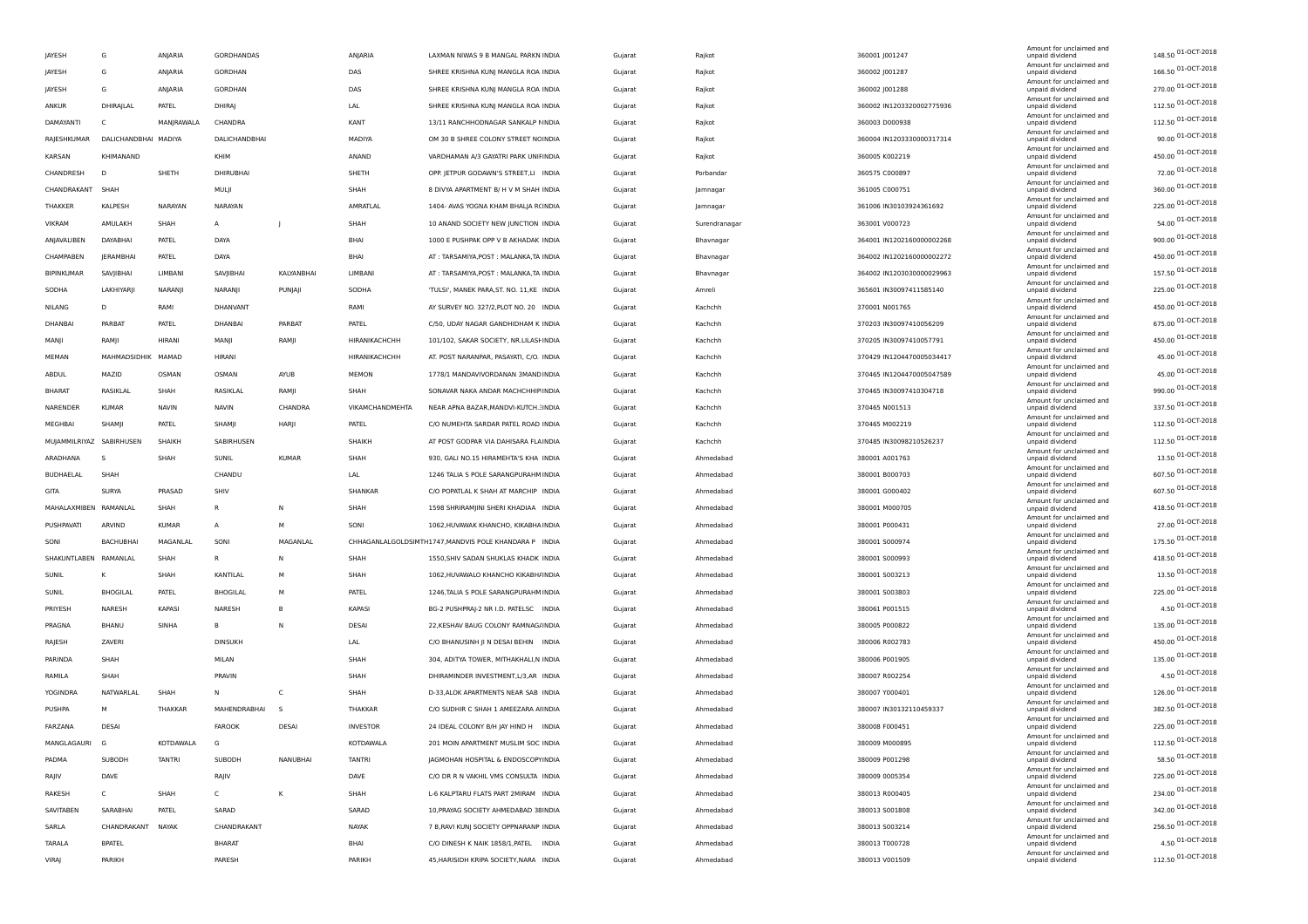| JAYESH                   | G                    | ANJARIA       | <b>GORDHANDAS</b> |              | ANJARIA         | LAXMAN NIWAS 9 B MANGAL PARKN INDIA                    | Gujarat | Rajkot        | 360001 J001247            | Amount for unclaimed and<br>unpaid dividend | 148.50 01-OCT-2018 |
|--------------------------|----------------------|---------------|-------------------|--------------|-----------------|--------------------------------------------------------|---------|---------------|---------------------------|---------------------------------------------|--------------------|
| JAYESH                   | G                    | ANJARIA       | GORDHAN           |              | DAS             | SHREE KRISHNA KUNJ MANGLA ROA INDIA                    | Gujarat | Rajkot        | 360002 J001287            | Amount for unclaimed and<br>unpaid dividend | 166.50 01-OCT-2018 |
| JAYESH                   | G                    | ANJARIA       | GORDHAN           |              | DAS             | SHREE KRISHNA KUNJ MANGLA ROA INDIA                    | Gujarat | Rajkot        | 360002 J001288            | Amount for unclaimed and<br>unpaid dividend | 270.00 01-OCT-2018 |
| ANKUR                    | DHIRAJLAL            | PATEL         | DHIRAJ            |              | LAL             | SHREE KRISHNA KUNJ MANGLA ROA INDIA                    | Gujarat | Rajkot        | 360002 IN1203320002775936 | Amount for unclaimed and<br>unpaid dividend | 112.50 01-OCT-2018 |
| DAMAYANTI                | C                    | MANJRAWALA    | CHANDRA           |              | KANT            | 13/11 RANCHHODNAGAR SANKALP NINDIA                     | Gujarat | Rajkot        | 360003 D000938            | Amount for unclaimed and<br>unpaid dividend | 112.50 01-OCT-2018 |
|                          |                      |               |                   |              |                 |                                                        |         |               |                           | Amount for unclaimed and                    | 90.00 01-OCT-2018  |
| RAJESHKUMAR              | DALICHANDBHAI MADIYA |               | DALICHANDBHAI     |              | MADIYA          | OM 30 B SHREE COLONY STREET NCINDIA                    | Gujarat | Rajkot        | 360004 IN1203330000317314 | unpaid dividend<br>Amount for unclaimed and | 450.00 01-OCT-2018 |
| KARSAN                   | KHIMANAND            |               | KHIM              |              | ANAND           | VARDHAMAN A/3 GAYATRI PARK UNIFINDIA                   | Gujarat | Rajkot        | 360005 K002219            | unpaid dividend<br>Amount for unclaimed and | 72.00 01-OCT-2018  |
| CHANDRESH                | D                    | SHETH         | DHIRUBHAI         |              | SHETH           | OPP. JETPUR GODAWN'S STREET,LI INDIA                   | Gujarat | Porbandar     | 360575 C000897            | unpaid dividend<br>Amount for unclaimed and |                    |
| CHANDRAKANT              | SHAH                 |               | MULJI             |              | SHAH            | 8 DIVYA APARTMENT B/ H V M SHAH INDIA                  | Gujarat | Jamnagar      | 361005 C000751            | unpaid dividend<br>Amount for unclaimed and | 360.00 01-OCT-2018 |
| <b>THAKKER</b>           | KALPESH              | NARAYAN       | NARAYAN           |              | AMRATLAL        | 1404- AVAS YOGNA KHAM BHALJA R(INDIA                   | Gujarat | Jamnagar      | 361006 IN30103924361692   | unpaid dividend<br>Amount for unclaimed and | 225.00 01-OCT-2018 |
| VIKRAM                   | AMULAKH              | SHAH          | A                 | $\mathbf{I}$ | SHAH            | 10 ANAND SOCIETY NEW JUNCTION INDIA                    | Gujarat | Surendranagar | 363001 V000723            | unpaid dividend<br>Amount for unclaimed and | 54.00 01-OCT-2018  |
| ANJAVALIBEN              | DAYABHAI             | PATEL         | DAYA              |              | BHAI            | 1000 E PUSHPAK OPP V B AKHADAK INDIA                   | Gujarat | Bhavnagar     | 364001 IN1202160000002268 | unpaid dividend                             | 900.00 01-OCT-2018 |
| CHAMPABEN                | JERAMBHAI            | PATEL         | DAYA              |              | BHAI            | AT: TARSAMIYA, POST: MALANKA, TA INDIA                 | Gujarat | Bhavnagar     | 364002 IN1202160000002272 | Amount for unclaimed and<br>unpaid dividend | 450.00 01-OCT-2018 |
| BIPINKUMAR               | SAVJIBHAI            | LIMBANI       | SAVJIBHAI         | KALYANBHAI   | LIMBANI         | AT: TARSAMIYA, POST: MALANKA, TA INDIA                 | Gujarat | Bhavnagar     | 364002 IN1203030000029963 | Amount for unclaimed and<br>unpaid dividend | 157.50 01-OCT-2018 |
| SODHA                    | LAKHIYARJI           | NARANJI       | NARANJI           | PUNJAJI      | SODHA           | 'TULSI', MANEK PARA, ST. NO. 11, KE INDIA              | Gujarat | Amreli        | 365601 IN30097411585140   | Amount for unclaimed and<br>unpaid dividend | 225.00 01-OCT-2018 |
| NILANG                   | D                    | RAMI          | DHANVANT          |              | RAMI            | AY SURVEY NO. 327/2, PLOT NO. 20 INDIA                 | Gujarat | Kachchh       | 370001 N001765            | Amount for unclaimed and<br>unpaid dividend | 450.00 01-OCT-2018 |
| DHANBAI                  | PARBAT               | PATEL         | DHANBAI           | PARBAT       | PATEL           | C/50, UDAY NAGAR GANDHIDHAM K INDIA                    | Gujarat | Kachchh       | 370203 IN30097410056209   | Amount for unclaimed and<br>unpaid dividend | 675.00 01-OCT-2018 |
| MANJI                    | RAMJI                | HIRANI        | MANJI             | RAMJI        | HIRANIKACHCHH   | 101/102, SAKAR SOCIETY, NR.LILASHNDIA                  | Gujarat | Kachchh       | 370205 IN30097410057791   | Amount for unclaimed and<br>unpaid dividend | 450.00 01-OCT-2018 |
| MEMAN                    | MAHMADSIDHIK MAMAD   |               | HIRANI            |              | HIRANIKACHCHH   | AT. POST NARANPAR, PASAYATI, C/O. INDIA                | Gujarat | Kachchh       | 370429 IN1204470005034417 | Amount for unclaimed and<br>unpaid dividend | 45.00 01-OCT-2018  |
| ABDUL                    | MAZID                | OSMAN         | OSMAN             | AYUB         | MEMON           | 1778/1 MANDAVIVORDANAN 3MAND INDIA                     |         | Kachchh       | 370465 IN1204470005047589 | Amount for unclaimed and<br>unpaid dividend | 45.00 01-OCT-2018  |
|                          |                      |               |                   |              |                 |                                                        | Gujarat |               |                           | Amount for unclaimed and                    | 990.00 01-OCT-2018 |
| <b>BHARAT</b>            | RASIKLAL             | SHAH          | RASIKLAI          | RAMJI        | SHAH            | SONAVAR NAKA ANDAR MACHCHHIP INDIA                     | Gujarat | Kachchh       | 370465 IN30097410304718   | unpaid dividend<br>Amount for unclaimed and | 337.50 01-OCT-2018 |
| NARENDER                 | <b>KUMAR</b>         | NAVIN         | <b>NAVIN</b>      | CHANDRA      | VIKAMCHANDMEHTA | NEAR APNA BAZAR, MANDVI-KUTCH.: INDIA                  | Gujarat | Kachchh       | 370465 N001513            | unpaid dividend<br>Amount for unclaimed and | 112.50 01-OCT-2018 |
| MEGHBAI                  | SHAMII               | PATEL         | SHAMJI            | HARJI        | PATEL           | C/O NUMEHTA SARDAR PATEL ROAD INDIA                    | Gujarat | Kachchh       | 370465 M002219            | unpaid dividend<br>Amount for unclaimed and |                    |
| MUJAMMILRIYAZ SABIRHUSEN |                      | <b>SHAIKH</b> | SABIRHUSEN        |              | SHAIKH          | AT POST GODPAR VIA DAHISARA FLAINDIA                   | Gujarat | Kachchh       | 370485 IN30098210526237   | unpaid dividend<br>Amount for unclaimed and | 112.50 01-OCT-2018 |
| ARADHANA                 | -S                   | SHAH          | SUNIL             | <b>KUMAR</b> | SHAH            | 930, GALI NO.15 HIRAMEHTA'S KHA INDIA                  | Gujarat | Ahmedabad     | 380001 A001763            | unpaid dividend<br>Amount for unclaimed and | 13.50 01-OCT-2018  |
| BUDHAELAL                | SHAH                 |               | CHANDU            |              | LAL             | 1246 TALIA S POLE SARANGPURAHM INDIA                   | Gujarat | Ahmedabad     | 380001 B000703            | unpaid dividend                             | 607.50 01-OCT-2018 |
| GITA                     | SURYA                | PRASAD        | SHIV              |              | SHANKAR         | C/O POPATLAL K SHAH AT MARCHIP INDIA                   | Gujarat | Ahmedabad     | 380001 G000402            | Amount for unclaimed and<br>unpaid dividend | 607.50 01-OCT-2018 |
| MAHALAXMIBEN             | RAMANLAL             | SHAH          | $\mathsf R$       | N            | SHAH            | 1598 SHRIRAMJINI SHERI KHADIAA INDIA                   | Gujarat | Ahmedabad     | 380001 M000705            | Amount for unclaimed and<br>unpaid dividend | 418.50 01-OCT-2018 |
| PUSHPAVATI               | ARVIND               | <b>KUMAR</b>  | $\overline{A}$    | M            | SONI            | 1062, HUVAWAK KHANCHO, KIKABHA INDIA                   | Gujarat | Ahmedabad     | 380001 P000431            | Amount for unclaimed and<br>unpaid dividend | 27.00 01-OCT-2018  |
| SONI                     | <b>BACHUBHAI</b>     | MAGANLAL      | SONI              | MAGANLAL     |                 | CHHAGANLALGOLDSIMTH1747, MANDVIS POLE KHANDARA P INDIA | Gujarat | Ahmedabad     | 380001 S000974            | Amount for unclaimed and<br>unpaid dividend | 175.50 01-OCT-2018 |
| SHAKUNTLABEN RAMANLAL    |                      | SHAH          | $\mathsf{R}$      | N            | SHAH            | 1550, SHIV SADAN SHUKLAS KHADK INDIA                   | Gujarat | Ahmedabad     | 380001 S000993            | Amount for unclaimed and<br>unpaid dividend | 418.50 01-OCT-2018 |
| SUNIL                    | к                    | SHAH          | KANTILAL          | м            | SHAH            | 1062, HUVAWALO KHANCHO KIKABH/INDIA                    | Gujarat | Ahmedabad     | 380001 S003213            | Amount for unclaimed and<br>unpaid dividend | 13.50 01-OCT-2018  |
| SUNIL                    | <b>BHOGILAL</b>      | PATEL         | <b>BHOGILAL</b>   | М            | PATEL           | 1246, TALIA S POLE SARANGPURAHM INDIA                  | Gujarat | Ahmedabad     | 380001 S003803            | Amount for unclaimed and<br>unpaid dividend | 225.00 01-OCT-2018 |
| PRIYESH                  | NARESH               | KAPASI        | NARESH            | B            | KAPASI          | BG-2 PUSHPRAJ-2 NR I.D. PATELSC INDIA                  | Gujarat | Ahmedabad     | 380061 P001515            | Amount for unclaimed and<br>unpaid dividend | 4.50 01-OCT-2018   |
| PRAGNA                   | BHANU                | SINHA         | в                 | N            | DESAI           | 22, KESHAV BAUG COLONY RAMNAG/INDIA                    | Gujarat | Ahmedabad     | 380005 P000822            | Amount for unclaimed and<br>unpaid dividend | 135.00 01-OCT-2018 |
|                          | ZAVERI               |               | <b>DINSUKH</b>    |              | LAL             |                                                        |         |               |                           | Amount for unclaimed and                    | 450.00 01-OCT-2018 |
| RAJESH                   |                      |               |                   |              |                 | C/O BHANUSINH JI N DESAI BEHIN INDIA                   | Gujarat | Ahmedabad     | 380006 R002783            | unpaid dividend<br>Amount for unclaimed and | 135.00 01-OCT-2018 |
| PARINDA                  | SHAH                 |               | MILAN             |              | SHAH            | 304, ADITYA TOWER, MITHAKHALI, NINDIA                  | Gujarat | Ahmedabad     | 380006 P001905            | unpaid dividend<br>Amount for unclaimed and | 4.50 01-OCT-2018   |
| RAMILA                   | SHAH                 |               | PRAVIN            |              | SHAH            | DHIRAMINDER INVESTMENT, L/3, AR INDIA                  | Gujarat | Ahmedabad     | 380007 R002254            | unpaid dividend<br>Amount for unclaimed and |                    |
| <b>YOGINDRA</b>          | NATWARLAL            | SHAH          | N                 | C            | SHAH            | D-33, ALOK APARTMENTS NEAR SAB INDIA                   | Gujarat | Ahmedabad     | 380007 Y000401            | unpaid dividend<br>Amount for unclaimed and | 126.00 01-OCT-2018 |
| PUSHPA                   | M                    | THAKKAR       | MAHENDRABHAI      | -S           | THAKKAR         | C/O SUDHIR C SHAH 1 AMEEZARA AIINDIA                   | Gujarat | Ahmedabad     | 380007 IN30132110459337   | unpaid dividend<br>Amount for unclaimed and | 382.50 01-OCT-2018 |
| FARZANA                  | DESAI                |               | <b>FAROOK</b>     | <b>DESAI</b> | <b>INVESTOR</b> | 24 IDEAL COLONY B/H JAY HIND H INDIA                   | Gujarat | Ahmedabad     | 380008 F000451            | unpaid dividend<br>Amount for unclaimed and | 225.00 01-OCT-2018 |
| MANGLAGAURI G            |                      | KOTDAWALA     | G                 |              | KOTDAWALA       | 201 MOIN APARTMENT MUSLIM SOC INDIA                    | Gujarat | Ahmedabad     | 380009 M000895            | unpaid dividend                             | 112.50 01-OCT-2018 |
| PADMA                    | SUBODH               | TANTRI        | SUBODH            | NANUBHAI     | TANTRI          | JAGMOHAN HOSPITAL & ENDOSCOPYINDIA                     | Gujarat | Ahmedabad     | 380009 P001298            | Amount for unclaimed and<br>unpaid dividend | 58.50 01-OCT-2018  |
| RAJIV                    | DAVE                 |               | RAJIV             |              | DAVE            | C/O DR R N VAKHIL VMS CONSULTA INDIA                   | Gujarat | Ahmedabad     | 380009 0005354            | Amount for unclaimed and<br>unpaid dividend | 225.00 01-OCT-2018 |
| RAKESH                   | C                    | SHAH          | C                 | к            | SHAH            | L-6 KALPTARU FLATS PART 2MIRAM INDIA                   | Gujarat | Ahmedabad     | 380013 R000405            | Amount for unclaimed and<br>unpaid dividend | 234.00 01-OCT-2018 |
| SAVITABEN                | SARABHAI             | PATEL         | SARAD             |              | SARAD           | 10, PRAYAG SOCIETY AHMEDABAD 38 INDIA                  | Gujarat | Ahmedabad     | 380013 S001808            | Amount for unclaimed and<br>unpaid dividend | 342.00 01-OCT-2018 |
| SARLA                    | CHANDRAKANT          | NAYAK         | CHANDRAKANT       |              | NAYAK           | 7 B, RAVI KUNJ SOCIETY OPPNARANP INDIA                 | Gujarat | Ahmedabad     | 380013 S003214            | Amount for unclaimed and<br>unpaid dividend | 256.50 01-OCT-2018 |
| TARALA                   | <b>BPATEL</b>        |               | <b>BHARAT</b>     |              | BHAI            | C/O DINESH K NAIK 1858/1, PATEL INDIA                  | Gujarat | Ahmedabad     | 380013 T000728            | Amount for unclaimed and<br>unpaid dividend | 4.50 01-OCT-2018   |
| <b>VIRAJ</b>             | PARIKH               |               | PARESH            |              | PARIKH          | 45, HARISIDH KRIPA SOCIETY, NARA INDIA                 | Gujarat | Ahmedabad     | 380013 V001509            | Amount for unclaimed and<br>unpaid dividend | 112.50 01-OCT-2018 |
|                          |                      |               |                   |              |                 |                                                        |         |               |                           |                                             |                    |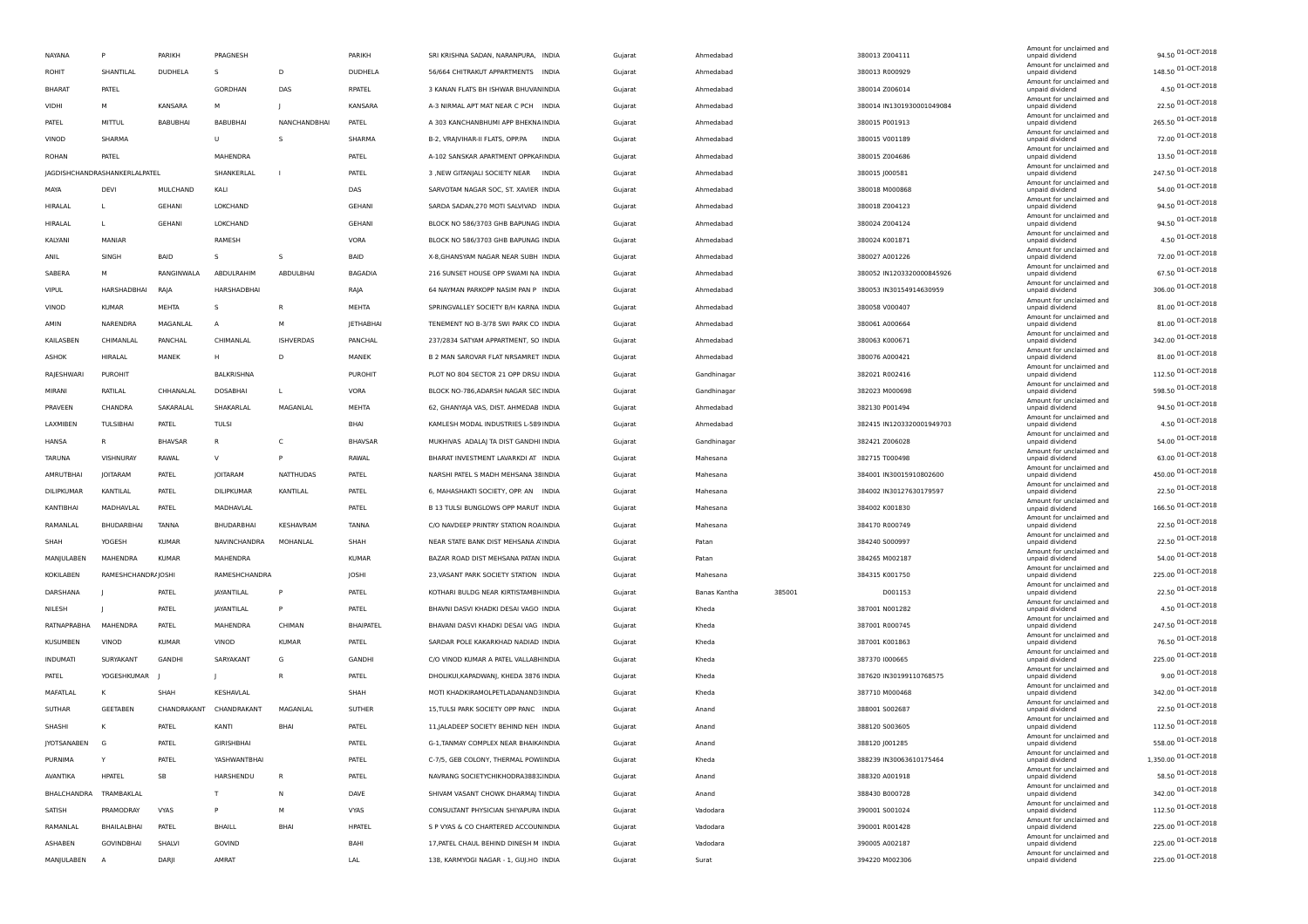| NAYANA          | P                             | PARIKH         | PRAGNESH        |                  | PARIKH         | SRI KRISHNA SADAN, NARANPURA, INDIA             | Gujarat | Ahmedabad    |        | 380013 Z004111            | Amount for unclaimed and<br>unpaid dividend | 94.50 01-OCT-2018    |
|-----------------|-------------------------------|----------------|-----------------|------------------|----------------|-------------------------------------------------|---------|--------------|--------|---------------------------|---------------------------------------------|----------------------|
| ROHIT           | SHANTILAL                     | <b>DUDHELA</b> | S.              | D                | <b>DUDHELA</b> | 56/664 CHITRAKUT APPARTMENTS INDIA              | Gujarat | Ahmedabad    |        | 380013 R000929            | Amount for unclaimed and<br>unpaid dividend | 148.50 01-OCT-2018   |
| <b>BHARAT</b>   | PATEL                         |                | GORDHAN         | DAS              | RPATEL         | 3 KANAN FLATS BH ISHWAR BHUVANINDIA             | Gujarat | Ahmedabad    |        | 380014 Z006014            | Amount for unclaimed and<br>unpaid dividend | 4.50 01-OCT-2018     |
| VIDHI           | M                             | KANSARA        | M               | $\blacksquare$   | KANSARA        | A-3 NIRMAL APT MAT NEAR C PCH INDIA             | Gujarat | Ahmedabad    |        | 380014 IN1301930001049084 | Amount for unclaimed and<br>unpaid dividend | 22.50 01-OCT-2018    |
| PATEL           | MITTUL                        | BABUBHAI       | <b>BABUBHAI</b> | NANCHANDBHAI     | PATEL          | A 303 KANCHANBHUMI APP BHEKNA INDIA             | Gujarat | Ahmedabad    |        | 380015 P001913            | Amount for unclaimed and<br>unpaid dividend | 265.50 01-OCT-2018   |
| VINOD           | SHARMA                        |                | U               | s                | SHARMA         | B-2, VRAJVIHAR-II FLATS, OPP.PA<br><b>INDIA</b> | Gujarat | Ahmedabad    |        | 380015 V001189            | Amount for unclaimed and<br>unpaid dividend | 72.00 01-OCT-2018    |
| <b>ROHAN</b>    | PATEL                         |                | MAHENDRA        |                  | PATEL          | A-102 SANSKAR APARTMENT OPPKAFINDIA             | Gujarat | Ahmedabad    |        | 380015 Z004686            | Amount for unclaimed and<br>unpaid dividend | 13.50 01-OCT-2018    |
|                 | JAGDISHCHANDRASHANKERLALPATEL |                | SHANKERLAL      |                  | PATEL          | 3 ,NEW GITANJALI SOCIETY NEAR INDIA             | Gujarat | Ahmedabad    |        | 380015 J000581            | Amount for unclaimed and<br>unpaid dividend | 247.50 01-OCT-2018   |
| MAYA            | DEV                           | MULCHAND       | KALI            |                  | DAS            | SARVOTAM NAGAR SOC, ST. XAVIER INDIA            | Gujarat | Ahmedabad    |        | 380018 M000868            | Amount for unclaimed and<br>unpaid dividend | 54.00 01-OCT-2018    |
| HIRALAL         |                               | GEHANI         | LOKCHAND        |                  | GEHANI         | SARDA SADAN, 270 MOTI SALVIVAD INDIA            | Gujarat | Ahmedabad    |        | 380018 Z004123            | Amount for unclaimed and<br>unpaid dividend | 94.50 01-OCT-2018    |
| HIRALAL         |                               | <b>GEHANI</b>  | LOKCHAND        |                  | GEHANI         | BLOCK NO 586/3703 GHB BAPUNAG INDIA             | Gujarat | Ahmedabad    |        | 380024 Z004124            | Amount for unclaimed and<br>unpaid dividend | 94.50 01-OCT-2018    |
| KALYANI         | MANIAR                        |                | RAMESH          |                  | VORA           | BLOCK NO 586/3703 GHB BAPUNAG INDIA             | Gujarat | Ahmedabad    |        | 380024 K001871            | Amount for unclaimed and<br>unpaid dividend | $4.50$ 01-OCT-2018   |
| ANIL            | SINGH                         | BAID           | s               | s                | BAID           | X-8, GHANSYAM NAGAR NEAR SUBH INDIA             | Gujarat | Ahmedabad    |        | 380027 A001226            | Amount for unclaimed and<br>unpaid dividend | 72.00 01-OCT-2018    |
| SABERA          | M                             | RANGINWALA     | ABDULRAHIM      | ABDULBHAI        | <b>BAGADIA</b> | 216 SUNSET HOUSE OPP SWAMI NA INDIA             | Gujarat | Ahmedabad    |        | 380052 IN1203320000845926 | Amount for unclaimed and<br>unpaid dividend | 67.50 01-OCT-2018    |
| <b>VIPUL</b>    | HARSHADBHAI                   | RAJA           | HARSHADBHAI     |                  | RAJA           | 64 NAYMAN PARKOPP NASIM PAN P INDIA             | Gujarat | Ahmedabad    |        | 380053 IN30154914630959   | Amount for unclaimed and<br>unpaid dividend | 306.00 01-OCT-2018   |
| VINOD           | <b>KUMAR</b>                  | MEHTA          | s               | $\mathsf{R}$     | MEHTA          | SPRINGVALLEY SOCIETY B/H KARNA INDIA            | Gujarat | Ahmedabad    |        | 380058 V000407            | Amount for unclaimed and<br>unpaid dividend | 81.00 01-OCT-2018    |
| AMIN            | NARENDRA                      | MAGANLAL       | $\overline{A}$  | M                | JETHABHAI      | TENEMENT NO B-3/78 SWI PARK CO INDIA            |         | Ahmedabad    |        | 380061 A000664            | Amount for unclaimed and                    | 81.00 01-OCT-2018    |
| KAILASBEN       | CHIMANLAL                     | PANCHAL        | CHIMANLAL       | <b>ISHVERDAS</b> | PANCHAL        | 237/2834 SATYAM APPARTMENT, SO INDIA            | Gujarat | Ahmedabad    |        |                           | unpaid dividend<br>Amount for unclaimed and | 342.00 01-OCT-2018   |
|                 |                               |                |                 | D                |                |                                                 | Gujarat |              |        | 380063 K000671            | unpaid dividend<br>Amount for unclaimed and | 81.00 01-OCT-2018    |
| ASHOK           | HIRALAL                       | MANEK          | H               |                  | MANEK          | B 2 MAN SAROVAR FLAT NRSAMRET INDIA             | Gujarat | Ahmedabad    |        | 380076 A000421            | unpaid dividend<br>Amount for unclaimed and | 112.50 01-OCT-2018   |
| RAJESHWARI      | PUROHIT                       |                | BALKRISHNA      |                  | PUROHIT        | PLOT NO 804 SECTOR 21 OPP DRSU INDIA            | Gujarat | Gandhinagar  |        | 382021 R002416            | unpaid dividend<br>Amount for unclaimed and | 598.50 01-OCT-2018   |
| MIRANI          | RATILAL                       | CHHANALAI      | DOSABHAI        |                  | VORA           | BLOCK NO-786, ADARSH NAGAR SEC INDIA            | Gujarat | Gandhinagar  |        | 382023 M000698            | unpaid dividend<br>Amount for unclaimed and | 94.50 01-OCT-2018    |
| PRAVEEN         | CHANDRA                       | SAKARALAL      | SHAKARLAL       | MAGANLAL         | <b>MEHTA</b>   | 62, GHANYAJA VAS, DIST. AHMEDAB INDIA           | Gujarat | Ahmedabad    |        | 382130 P001494            | unpaid dividend<br>Amount for unclaimed and | 4.50 01-OCT-2018     |
| LAXMIBEN        | TULSIBHAI                     | PATEL          | TULSI           |                  | BHAI           | KAMLESH MODAL INDUSTRIES L-589 INDIA            | Gujarat | Ahmedabad    |        | 382415 IN1203320001949703 | unpaid dividend<br>Amount for unclaimed and |                      |
| HANSA           | R                             | <b>BHAVSAP</b> | R               | C                | <b>BHAVSAR</b> | MUKHIVAS ADALAJ TA DIST GANDHI INDIA            | Gujarat | Gandhinagar  |        | 382421 Z006028            | unpaid dividend<br>Amount for unclaimed and | 54.00 01-OCT-2018    |
| TARUNA          | VISHNURAY                     | RAWAL          | V               | P                | RAWAL          | BHARAT INVESTMENT LAVARKDI AT INDIA             | Gujarat | Mahesana     |        | 382715 T000498            | unpaid dividend<br>Amount for unclaimed and | 63.00 01-OCT-2018    |
| AMRUTBHAI       | JOITARAM                      | PATEL          | JOITARAM        | <b>NATTHUDAS</b> | PATEL          | NARSHI PATEL S MADH MEHSANA 38 INDIA            | Gujarat | Mahesana     |        | 384001 IN30015910802600   | unpaid dividend<br>Amount for unclaimed and | 450.00 01-OCT-2018   |
| DILIPKUMAR      | KANTILAL                      | PATEL          | DILIPKUMAR      | KANTILAL         | PATEL          | 6, MAHASHAKTI SOCIETY, OPP. AN INDIA            | Gujarat | Mahesana     |        | 384002 IN30127630179597   | unpaid dividend<br>Amount for unclaimed and | 22.50 01-OCT-2018    |
| KANTIBHAI       | MADHAVLAL                     | PATEL          | MADHAVLAL       |                  | PATEL          | B 13 TULSI BUNGLOWS OPP MARUT INDIA             | Gujarat | Mahesana     |        | 384002 K001830            | unpaid dividend<br>Amount for unclaimed and | 166.50 01-OCT-2018   |
| RAMANLAL        | BHUDARBHAI                    | <b>TANNA</b>   | BHUDARBHAI      | KESHAVRAM        | TANNA          | C/O NAVDEEP PRINTRY STATION ROAINDIA            | Gujarat | Mahesana     |        | 384170 R000749            | unpaid dividend<br>Amount for unclaimed and | 22.50 01-OCT-2018    |
| SHAH            | YOGESH                        | <b>KUMAR</b>   | NAVINCHANDRA    | MOHANLAL         | SHAH           | NEAR STATE BANK DIST MEHSANA A INDIA            | Gujarat | Patan        |        | 384240 S000997            | unpaid dividend<br>Amount for unclaimed and | 22.50 01-OCT-2018    |
| MANJULABEN      | MAHENDRA                      | <b>KUMAR</b>   | MAHENDRA        |                  | <b>KUMAR</b>   | BAZAR ROAD DIST MEHSANA PATAN INDIA             | Gujarat | Patan        |        | 384265 M002187            | unpaid dividend<br>Amount for unclaimed and | 54.00 01-OCT-2018    |
| KOKILABEN       | RAMESHCHANDR4JOSHI            |                | RAMESHCHANDRA   |                  | JOSHI          | 23, VASANT PARK SOCIETY STATION INDIA           | Gujarat | Mahesana     |        | 384315 K001750            | unpaid dividend<br>Amount for unclaimed and | 225.00 01-OCT-2018   |
| DARSHANA        |                               | PATEL          | JAYANTILAL      | P                | PATEL          | KOTHARI BULDG NEAR KIRTISTAMBHINDIA             | Gujarat | Banas Kantha | 385001 | D001153                   | unpaid dividend                             | 22.50 01-OCT-2018    |
| NILESH          |                               | PATEL          | JAYANTILAL      | P                | PATEL          | BHAVNI DASVI KHADKI DESAI VAGO INDIA            | Gujarat | Kheda        |        | 387001 N001282            | Amount for unclaimed and<br>unpaid dividend | 4.50 01-OCT-2018     |
| RATNAPRABHA     | MAHENDRA                      | PATEL          | MAHENDRA        | CHIMAN           | BHAIPATEL      | BHAVANI DASVI KHADKI DESAI VAG INDIA            | Gujarat | Kheda        |        | 387001 R000745            | Amount for unclaimed and<br>unpaid dividend | 247.50 01-OCT-2018   |
| KUSUMBEN        | VINOD                         | <b>KUMAR</b>   | VINOD           | <b>KUMAR</b>     | PATEL          | SARDAR POLE KAKARKHAD NADIAD INDIA              | Gujarat | Kheda        |        | 387001 K001863            | Amount for unclaimed and<br>unpaid dividend | 76.50 01-OCT-2018    |
| <b>INDUMATI</b> | SURYAKANT                     | GANDHI         | SARYAKANT       | G                | GANDHI         | C/O VINOD KUMAR A PATEL VALLABI INDIA           | Gujarat | Kheda        |        | 387370 1000665            | Amount for unclaimed and<br>unpaid dividend | 225.00 01-OCT-2018   |
| PATEL           | YOGESHKUMAR                   |                | -1              | R                | PATEL          | DHOLIKUI, KAPADWANJ, KHEDA 3876 INDIA           | Gujarat | Kheda        |        | 387620 IN30199110768575   | Amount for unclaimed and<br>unpaid dividend | 9.00 01-OCT-2018     |
| MAFATLAL        | К                             | SHAH           | KESHAVLAL       |                  | SHAH           | MOTI KHADKIRAMOLPETLADANAND3INDIA               | Gujarat | Kheda        |        | 387710 M000468            | Amount for unclaimed and<br>unpaid dividend | 342.00 01-OCT-2018   |
| SUTHAR          | GEETABEN                      | CHANDRAKANT    | CHANDRAKANT     | MAGANLAL         | <b>SUTHER</b>  | 15, TULSI PARK SOCIETY OPP PANC INDIA           | Gujarat | Anand        |        | 388001 S002687            | Amount for unclaimed and<br>unpaid dividend | 22.50 01-OCT-2018    |
| SHASHI          | K                             | PATEL          | KANTI           | BHA              | PATEL          | 11, JALADEEP SOCIETY BEHIND NEH INDIA           | Gujarat | Anand        |        | 388120 5003605            | Amount for unclaimed and<br>unpaid dividend | 112.50 01-OCT-2018   |
| JYOTSANABEN     | G                             | PATEL          | GIRISHBHAI      |                  | PATEL          | G-1, TANMAY COMPLEX NEAR BHAIKAINDIA            | Gujarat | Anand        |        | 388120 J001285            | Amount for unclaimed and<br>unpaid dividend | 558.00 01-OCT-2018   |
| PURNIMA         | $\mathsf{Y}$                  | PATEL          | YASHWANTBHAI    |                  | PATEL          | C-7/5, GEB COLONY, THERMAL POWIINDIA            | Gujarat | Kheda        |        | 388239 IN30063610175464   | Amount for unclaimed and<br>unpaid dividend | 1,350.00 01-OCT-2018 |
| AVANTIKA        | HPATEL                        | SB             | HARSHENDU       | $\mathsf{R}$     | PATEL          | NAVRANG SOCIETYCHIKHODRA3883.INDIA              | Gujarat | Anand        |        | 388320 A001918            | Amount for unclaimed and<br>unpaid dividend | 58.50 01-OCT-2018    |
| BHALCHANDRA     | TRAMBAKLAL                    |                | T               | N                | DAVE           | SHIVAM VASANT CHOWK DHARMAJ TINDIA              | Gujarat | Anand        |        | 388430 B000728            | Amount for unclaimed and<br>unpaid dividend | 342.00 01-OCT-2018   |
| SATISH          | PRAMODRAY                     | VYAS           | P               | M                | VYAS           | CONSULTANT PHYSICIAN SHIYAPURA INDIA            | Gujarat | Vadodara     |        | 390001 S001024            | Amount for unclaimed and<br>unpaid dividend | 112.50 01-OCT-2018   |
| RAMANLAL        | BHAILALBHAI                   | PATEL          | <b>BHAILL</b>   | BHAI             | <b>HPATEL</b>  | S P VYAS & CO CHARTERED ACCOUNINDIA             | Gujarat | Vadodara     |        | 390001 R001428            | Amount for unclaimed and<br>unpaid dividend | 225.00 01-OCT-2018   |
| ASHABEN         | GOVINDBHAI                    | SHALVI         | GOVIND          |                  | BAHI           | 17, PATEL CHAUL BEHIND DINESH M INDIA           | Gujarat | Vadodara     |        | 390005 A002187            | Amount for unclaimed and<br>unpaid dividend | 225.00 01-OCT-2018   |
| MANJULABEN      | $\overline{A}$                | DARJI          | AMRAT           |                  | LAL            | 138, KARMYOGI NAGAR - 1, GUJ.HO INDIA           | Gujarat | Surat        |        | 394220 M002306            | Amount for unclaimed and<br>unpaid dividend | 225.00 01-OCT-2018   |
|                 |                               |                |                 |                  |                |                                                 |         |              |        |                           |                                             |                      |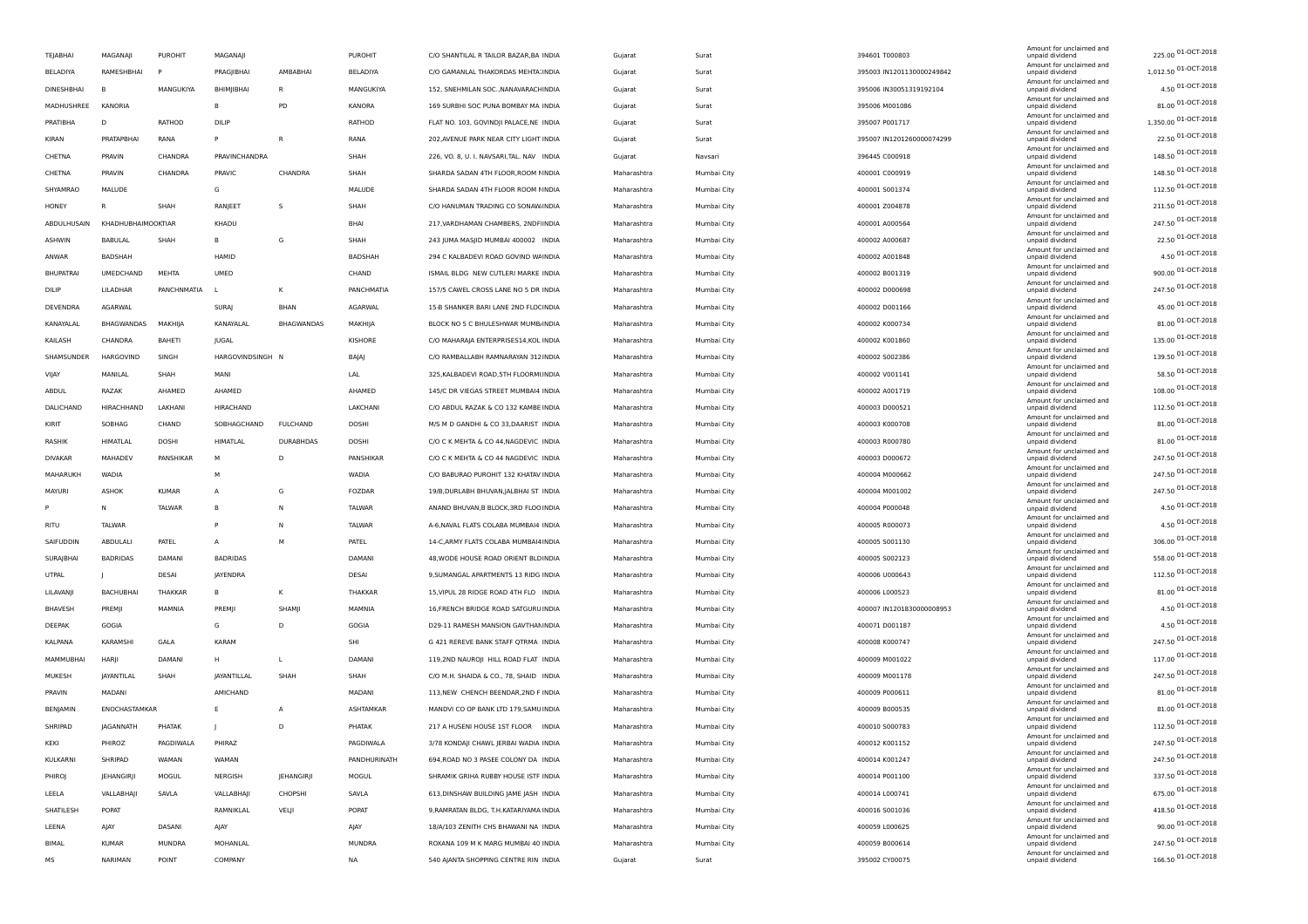| TEJABHAI          | MAGANAII           | <b>PUROHIT</b> | MAGANAJI         |                   | <b>PUROHIT</b> | C/O SHANTILAL R TAILOR BAZAR, BA INDIA    | Gujarat     | Surat       | 394601 T000803            | Amount for unclaimed and<br>unpaid dividend                    | 225.00 01-OCT-2018                      |
|-------------------|--------------------|----------------|------------------|-------------------|----------------|-------------------------------------------|-------------|-------------|---------------------------|----------------------------------------------------------------|-----------------------------------------|
| BELADIYA          | RAMESHBHAI         |                | PRAGJIBHAI       | AMBABHAI          | BELADIYA       | C/O GAMANLAL THAKORDAS MEHTA: INDIA       | Gujarat     | Surat       | 395003 IN1201130000249842 | Amount for unclaimed and<br>unpaid dividend                    | 1,012.50 01-OCT-2018                    |
| <b>DINESHBHAI</b> | $\overline{B}$     | MANGUKIYA      | BHIMJIBHAI       | $\mathsf{R}$      | MANGUKIYA      | 152, SNEHMILAN SOC., NANAVARACHINDIA      | Gujarat     | Surat       | 395006 IN30051319192104   | Amount for unclaimed and<br>unpaid dividend                    | 4.50 01-OCT-2018                        |
| MADHUSHREE        | KANORIA            |                | B                | PD                | KANORA         | 169 SURBHI SOC PUNA BOMBAY MA INDIA       | Gujarat     | Surat       | 395006 M001086            | Amount for unclaimed and<br>unpaid dividend                    | 81.00 01-OCT-2018                       |
| PRATIBHA          | D                  | RATHOD         | DILIP            |                   | RATHOD         | FLAT NO. 103, GOVINDJI PALACE, NE INDIA   | Gujarat     | Surat       | 395007 P001717            | Amount for unclaimed and<br>unpaid dividend                    | 1,350.00 01-OCT-2018                    |
| KIRAN             | PRATAPBHA          | RANA           | P                | $\overline{R}$    | RANA           | 202, AVENUE PARK NEAR CITY LIGHT INDIA    | Gujarat     | Surat       | 395007 IN1201260000074299 | Amount for unclaimed and<br>unpaid dividend                    | 22.50 01-OCT-2018                       |
| CHETNA            | PRAVIN             | CHANDRA        | PRAVINCHANDRA    |                   | SHAH           | 226, VO. 8, U. I. NAVSARI, TAL. NAV INDIA | Gujarat     | Navsari     | 396445 C000918            | Amount for unclaimed and<br>unpaid dividend                    | 148.50 01-OCT-2018                      |
| CHETNA            | PRAVIN             | CHANDRA        | PRAVIC           | CHANDRA           | SHAH           | SHARDA SADAN 4TH FLOOR, ROOM NINDIA       | Maharashtra | Mumbai City | 400001 C000919            | Amount for unclaimed and<br>unpaid dividend                    | 148.50 01-OCT-2018                      |
| SHYAMRAO          | MALUDE             |                | G                |                   | MALUDE         | SHARDA SADAN 4TH FLOOR ROOM NINDIA        | Maharashtra | Mumbai City | 400001 S001374            | Amount for unclaimed and<br>unpaid dividend                    | 112.50 01-OCT-2018                      |
| HONEY             | R                  | SHAH           | RANJEET          | s                 | SHAH           | C/O HANUMAN TRADING CO SONAW. INDIA       | Maharashtra | Mumbai City | 400001 Z004878            | Amount for unclaimed and<br>unpaid dividend                    | 211.50 01-OCT-2018                      |
| ABDULHUSAIN       | KHADHUBHAIMOOKTIAR |                | KHADU            |                   | BHA            | 217, VARDHAMAN CHAMBERS, 2NDF INDIA       | Maharashtra | Mumbai City | 400001 A000564            | Amount for unclaimed and<br>unpaid dividend                    | 247.50 01-OCT-2018                      |
| <b>ASHWIN</b>     | <b>BABULAL</b>     | SHAH           | B                | G                 | SHAH           | 243 JUMA MASJID MUMBAI 400002 INDIA       | Maharashtra | Mumbai City | 400002 A000687            | Amount for unclaimed and<br>unpaid dividend                    | 22.50 01-OCT-2018                       |
| ANWAR             | <b>BADSHAH</b>     |                | HAMID            |                   | <b>BADSHAH</b> | 294 C KALBADEVI ROAD GOVIND WAINDIA       | Maharashtra | Mumbai City | 400002 A001848            | Amount for unclaimed and<br>unpaid dividend                    | 4.50 01-OCT-2018                        |
| <b>BHUPATRAI</b>  | UMEDCHAND          | MEHTA          | UMED             |                   | CHAND          | ISMAIL BLDG NEW CUTLERI MARKE INDIA       | Maharashtra | Mumbai City | 400002 B001319            | Amount for unclaimed and<br>unpaid dividend                    | 900.00 01-OCT-2018                      |
| DILIP             | LILADHAR           | PANCHNMATIA    |                  | K                 | PANCHMATIA     | 157/5 CAWEL CROSS LANE NO 5 DR INDIA      | Maharashtra | Mumbai City | 400002 D000698            | Amount for unclaimed and<br>unpaid dividend                    | 247.50 01-OCT-2018                      |
| DEVENDRA          | <b>AGARWAL</b>     |                | SURAI            | BHAN              | AGARWAL        | 15-B SHANKER BARI LANE 2ND FLOCINDIA      | Maharashtra | Mumbai City | 400002 D001166            | Amount for unclaimed and<br>unpaid dividend                    | 45.00 01-OCT-2018                       |
| KANAYALAL         | BHAGWANDAS         | MAKHIJA        | KANAYALAL        | <b>BHAGWANDAS</b> | MAKHIJA        | BLOCK NO 5 C BHULESHWAR MUMB INDIA        | Maharashtra | Mumbai City | 400002 K000734            | Amount for unclaimed and<br>unpaid dividend                    | 81.00 01-OCT-2018                       |
| KAILASH           | CHANDRA            | <b>BAHETI</b>  | JUGAL            |                   | KISHORE        | C/O MAHARAJA ENTERPRISES14, KOL INDIA     | Maharashtra | Mumbai City | 400002 K001860            | Amount for unclaimed and<br>unpaid dividend                    | 135.00 01-OCT-2018                      |
| SHAMSUNDER        | HARGOVIND          | SINGH          | HARGOVINDSINGH N |                   | BAJAJ          | C/O RAMBALLABH RAMNARAYAN 312 INDIA       | Maharashtra | Mumbai City | 400002 S002386            | Amount for unclaimed and<br>unpaid dividend                    | 139.50 01-OCT-2018                      |
| VIJAY             | MANILAL            | SHAH           | MANI             |                   | LAL            | 325, KALBADEVI ROAD, 5TH FLOORMUNDIA      | Maharashtra | Mumbai City | 400002 V001141            | Amount for unclaimed and<br>unpaid dividend                    | 58.50 01-OCT-2018                       |
| ABDUL             | RAZAK              | AHAMED         | AHAMED           |                   | AHAMED         | 145/C DR VIEGAS STREET MUMBAI4 INDIA      | Maharashtra | Mumbai City | 400002 A001719            | Amount for unclaimed and<br>unpaid dividend                    | 108.00 01-OCT-2018                      |
| DALICHAND         | HIRACHHAND         | LAKHANI        | HIRACHAND        |                   | LAKCHANI       | C/O ABDUL RAZAK & CO 132 KAMBE INDIA      | Maharashtra | Mumbai City | 400003 D000521            | Amount for unclaimed and<br>unpaid dividend                    | 112.50 01-OCT-2018                      |
| KIRIT             | SOBHAG             | CHAND          | SOBHAGCHAND      | <b>FULCHAND</b>   | DOSHI          | M/S M D GANDHI & CO 33, DAARIST INDIA     | Maharashtra | Mumbai City | 400003 K000708            | Amount for unclaimed and<br>unpaid dividend                    | 81.00 01-OCT-2018                       |
| RASHIK            | HIMATLAL           | DOSHI          | HIMATLAL         | <b>DURABHDAS</b>  | DOSHI          | C/O C K MEHTA & CO 44, NAGDEVIC INDIA     | Maharashtra | Mumbai City | 400003 R000780            | Amount for unclaimed and<br>unpaid dividend                    | 81.00 01-OCT-2018                       |
| <b>DIVAKAR</b>    | MAHADEV            | PANSHIKAR      | M                | D                 | PANSHIKAR      | C/O C K MEHTA & CO 44 NAGDEVIC INDIA      | Maharashtra | Mumbai City | 400003 D000672            | Amount for unclaimed and<br>unpaid dividend                    | 247.50 01-OCT-2018                      |
| MAHARUKH          | WADIA              |                | M                |                   | WADIA          | C/O BABURAO PUROHIT 132 KHATAV INDIA      | Maharashtra | Mumbai City | 400004 M000662            | Amount for unclaimed and<br>unpaid dividend                    | 247.50 01-OCT-2018                      |
| MAYURI            | ASHOK              | <b>KUMAR</b>   | $\overline{A}$   | G                 | FOZDAR         | 19/B, DURLABH BHUVAN, JALBHAI ST INDIA    | Maharashtra | Mumbai City | 400004 M001002            | Amount for unclaimed and<br>unpaid dividend                    | 247.50 01-OCT-2018                      |
|                   | N                  | <b>TALWAR</b>  | B                | N                 | <b>TALWAR</b>  | ANAND BHUVAN, B BLOCK, 3RD FLOO INDIA     | Maharashtra | Mumbai City | 400004 P000048            | Amount for unclaimed and                                       | 4.50 01-OCT-2018                        |
| RITU              | TALWAR             |                | P                | N                 | TALWAR         | A-6, NAVAL FLATS COLABA MUMBAI4 INDIA     | Maharashtra | Mumbai City | 400005 R000073            | unpaid dividend<br>Amount for unclaimed and<br>unpaid dividend | 4.50 01-OCT-2018                        |
| SAIFUDDIN         | ABDULALI           | PATEL          | А                | M                 | PATEL          | 14-C, ARMY FLATS COLABA MUMBAI4 INDIA     | Maharashtra |             | 400005 S001130            | Amount for unclaimed and<br>unpaid dividend                    | 306.00 01-OCT-2018                      |
|                   |                    | DAMANI         |                  |                   |                |                                           |             | Mumbai City |                           | Amount for unclaimed and                                       | 558.00 01-OCT-2018                      |
| SURAJBHAI         | <b>BADRIDAS</b>    | <b>DESAI</b>   | <b>BADRIDAS</b>  |                   | DAMANI         | 48, WODE HOUSE ROAD ORIENT BLDINDIA       | Maharashtra | Mumbai City | 400005 S002123            | unpaid dividend<br>Amount for unclaimed and                    | 112.50 01-OCT-2018                      |
| UTPAL             |                    |                | JAYENDRA<br>B    | K                 | DESAI          | 9, SUMANGAL APARTMENTS 13 RIDG INDIA      | Maharashtra | Mumbai City | 400006 U000643            | unpaid dividend<br>Amount for unclaimed and                    | 81.00 01-OCT-2018                       |
| LILAVANJI         | <b>BACHUBHAI</b>   | THAKKAR        |                  |                   | THAKKAR        | 15, VIPUL 28 RIDGE ROAD 4TH FLO INDIA     | Maharashtra | Mumbai City | 400006 L000523            | unpaid dividend<br>Amount for unclaimed and                    | 4.50 01-OCT-2018                        |
| BHAVESH           | PREMJI             | MAMNIA         | PREMII           | SHAMI             | MAMNIA         | 16, FRENCH BRIDGE ROAD SATGURU INDIA      | Maharashtra | Mumbai City | 400007 IN1201830000008953 | unpaid dividend<br>Amount for unclaimed and                    | 4.50 01-OCT-2018                        |
| DEEPAK            | GOGIA              |                | G                | D                 | GOGIA          | D29-11 RAMESH MANSION GAVTHAN INDIA       | Maharashtra | Mumbai City | 400071 D001187            | unpaid dividend<br>Amount for unclaimed and                    | 247.50 01-OCT-2018                      |
| KALPANA           | <b>KARAMSHI</b>    | GALA           | <b>KARAM</b>     |                   | SHI            | G 421 REREVE BANK STAFF QTRMA INDIA       | Maharashtra | Mumbai City | 400008 K000747            | unpaid dividend<br>Amount for unclaimed and                    | 117.00 01-OCT-2018                      |
| MAMMUBHAI         | HARJI              | DAMANI         | H                | L                 | DAMANI         | 119,2ND NAUROJI HILL ROAD FLAT INDIA      | Maharashtra | Mumbai City | 400009 M001022            | unpaid dividend<br>Amount for unclaimed and                    |                                         |
| MUKESH            | JAYANTILAL         | SHAH           | JAYANTILLAL      | SHAH              | SHAH           | C/O M.H. SHAIDA & CO., 78, SHAID INDIA    | Maharashtra | Mumbai City | 400009 M001178            | unpaid dividend<br>Amount for unclaimed and                    | 247.50 01-OCT-2018<br>81.00 01-OCT-2018 |
| PRAVIN            | MADANI             |                | AMICHAND         |                   | MADANI         | 113, NEW CHENCH BEENDAR, 2ND F INDIA      | Maharashtra | Mumbai City | 400009 P000611            | unpaid dividend<br>Amount for unclaimed and                    |                                         |
| BENJAMIN          | ENOCHASTAMKAR      |                | Ε                | A                 | ASHTAMKAR      | MANDVI CO OP BANK LTD 179, SAMU INDIA     | Maharashtra | Mumbai City | 400009 B000535            | unpaid dividend<br>Amount for unclaimed and                    | 81.00 01-OCT-2018                       |
| SHRIPAD           | JAGANNATH          | PHATAK         |                  | D                 | PHATAK         | 217 A HUSENI HOUSE 1ST FLOOR INDIA        | Maharashtra | Mumbai City | 400010 S000783            | unpaid dividend<br>Amount for unclaimed and                    | 112.50 01-OCT-2018                      |
| KEKI              | PHIROZ             | PAGDIWALA      | PHIRAZ           |                   | PAGDIWALA      | 3/78 KONDAJI CHAWL JERBAI WADIA INDIA     | Maharashtra | Mumbai City | 400012 K001152            | unpaid dividend<br>Amount for unclaimed and                    | 247.50 01-OCT-2018                      |
| KULKARNI          | SHRIPAD            | WAMAN          | WAMAN            |                   | PANDHURINATH   | 694, ROAD NO 3 PASEE COLONY DA INDIA      | Maharashtra | Mumbai City | 400014 K001247            | unpaid dividend<br>Amount for unclaimed and                    | 247.50 01-OCT-2018                      |
| PHIROJ            | JEHANGIRJI         | MOGUL          | <b>NERGISH</b>   | JEHANGIRJI        | MOGUL          | SHRAMIK GRIHA RUBBY HOUSE ISTF INDIA      | Maharashtra | Mumbai City | 400014 P001100            | unpaid dividend<br>Amount for unclaimed and                    | 337.50 01-OCT-2018                      |
| LEELA             | VALLABHAJI         | SAVLA          | VALLABHAJI       | CHOPSHI           | SAVLA          | 613, DINSHAW BUILDING JAME JASH INDIA     | Maharashtra | Mumbai City | 400014 L000741            | unpaid dividend<br>Amount for unclaimed and                    | 675.00 01-OCT-2018                      |
| SHATILESH         | POPAT              |                | RAMNIKLAL        | VELJI             | POPAT          | 9, RAMRATAN BLDG, T.H. KATARIYAMA INDIA   | Maharashtra | Mumbai City | 400016 S001036            | unpaid dividend<br>Amount for unclaimed and                    | 418.50 01-OCT-2018                      |
| LEENA             | AJAY               | DASANI         | AJAY             |                   | AJAY           | 18/A/103 ZENITH CHS BHAWANI NA INDIA      | Maharashtra | Mumbai City | 400059 L000625            | unpaid dividend<br>Amount for unclaimed and                    | 90.00 01-OCT-2018                       |
| BIMAL             | <b>KUMAR</b>       | <b>MUNDRA</b>  | MOHANLAL         |                   | MUNDRA         | ROXANA 109 M K MARG MUMBAI 40 INDIA       | Maharashtra | Mumbai City | 400059 B000614            | unpaid dividend<br>Amount for unclaimed and                    | 247.50 01-OCT-2018                      |
| MS                | NARIMAN            | POINT          | COMPANY          |                   | NA             | 540 AJANTA SHOPPING CENTRE RIN INDIA      | Gujarat     | Surat       | 395002 CY00075            | unpaid dividend                                                | 166.50 01-OCT-2018                      |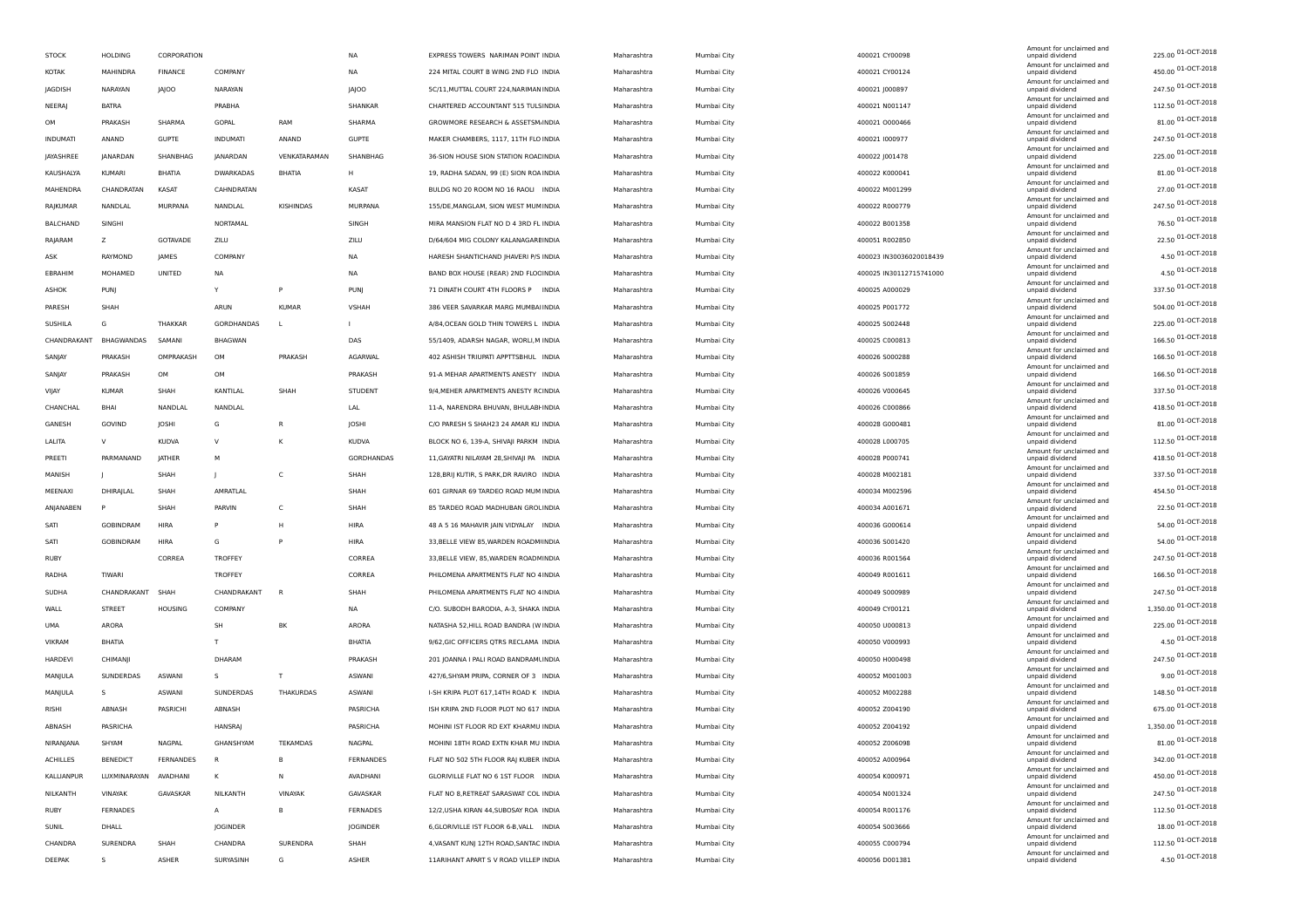| <b>STOCK</b>    | <b>HOLDING</b>    | CORPORATION      |                  |               | <b>NA</b>         | EXPRESS TOWERS NARIMAN POINT INDIA       | Maharashtra | Mumbai City | 400021 CY00098          | Amount for unclaimed and<br>unpaid dividend | 225.00 01-OCT-2018   |
|-----------------|-------------------|------------------|------------------|---------------|-------------------|------------------------------------------|-------------|-------------|-------------------------|---------------------------------------------|----------------------|
| KOTAK           | MAHINDRA          | <b>FINANCE</b>   | COMPANY          |               | <b>NA</b>         | 224 MITAL COURT B WING 2ND FLO INDIA     | Maharashtra | Mumbai City | 400021 CY00124          | Amount for unclaimed and<br>unpaid dividend | 450.00 01-OCT-2018   |
| JAGDISH         | NARAYAN           | <b>JAJOO</b>     | NARAYAN          |               | <b>JAJOO</b>      | 5C/11, MUTTAL COURT 224, NARIMAN INDIA   | Maharashtra | Mumbai City | 400021 J000897          | Amount for unclaimed and<br>unpaid dividend | 247.50 01-OCT-2018   |
| NEERAJ          | <b>BATRA</b>      |                  | PRABHA           |               | SHANKAR           | CHARTERED ACCOUNTANT 515 TULSINDIA       | Maharashtra | Mumbai City | 400021 N001147          | Amount for unclaimed and<br>unpaid dividend | 112.50 01-OCT-2018   |
| OM              | PRAKASH           | SHARMA           | GOPAL            | RAM           | SHARMA            | GROWMORE RESEARCH & ASSETSM.INDIA        | Maharashtra | Mumbai City | 400021 0000466          | Amount for unclaimed and<br>unpaid dividend | 81.00 01-OCT-2018    |
| INDUMATI        | ANAND             | GUPTE            | <b>INDUMATI</b>  | ANAND         | <b>GUPTE</b>      | MAKER CHAMBERS, 1117, 11TH FLO INDIA     | Maharashtra | Mumbai City | 400021 1000977          | Amount for unclaimed and<br>unpaid dividend | 247.50 01-OCT-2018   |
| JAYASHREE       | <b>JANARDAN</b>   | SHANBHAG         | <b>JANARDAN</b>  | VENKATARAMAN  | SHANBHAG          | 36-SION HOUSE SION STATION ROACINDIA     | Maharashtra | Mumbai City | 400022 J001478          | Amount for unclaimed and<br>unpaid dividend | 225.00 01-OCT-2018   |
| KAUSHALYA       | KUMARI            | BHATIA           | <b>DWARKADAS</b> | <b>BHATIA</b> | H                 | 19, RADHA SADAN, 99 (E) SION ROA INDIA   | Maharashtra | Mumbai City | 400022 K000041          | Amount for unclaimed and<br>unpaid dividend | 81.00 01-OCT-2018    |
| MAHENDRA        | CHANDRATAN        | KASAT            | CAHNDRATAN       |               | KASAT             | BULDG NO 20 ROOM NO 16 RAOLI INDIA       | Maharashtra | Mumbai City | 400022 M001299          | Amount for unclaimed and<br>unpaid dividend | 27.00 01-OCT-2018    |
| RAJKUMAR        | NANDLAL           | MURPANA          | NANDLAL          | KISHINDAS     | MURPANA           | 155/DE, MANGLAM, SION WEST MUMINDIA      | Maharashtra | Mumbai City | 400022 R000779          | Amount for unclaimed and<br>unpaid dividend | 247.50 01-OCT-2018   |
| BALCHAND        | SINGHI            |                  | NORTAMAL         |               | SINGH             | MIRA MANSION FLAT NO D 4 3RD FL INDIA    | Maharashtra | Mumbai City | 400022 B001358          | Amount for unclaimed and<br>unpaid dividend | 76.50 01-OCT-2018    |
| RAJARAM         | z                 | GOTAVADE         | ZILU             |               | ZILU              | D/64/604 MIG COLONY KALANAGARE INDIA     | Maharashtra | Mumbai City | 400051 R002850          | Amount for unclaimed and<br>unpaid dividend | 22.50 01-OCT-2018    |
| ASK             | RAYMOND           | <b>JAMES</b>     | COMPANY          |               | <b>NA</b>         | HARESH SHANTICHAND JHAVERI P/S INDIA     | Maharashtra | Mumbai City | 400023 IN30036020018439 | Amount for unclaimed and<br>unpaid dividend | 4.50 01-OCT-2018     |
| EBRAHIM         | MOHAMED           | UNITED           | <b>NA</b>        |               | ΝA                | BAND BOX HOUSE (REAR) 2ND FLOCINDIA      | Maharashtra | Mumbai City | 400025 IN30112715741000 | Amount for unclaimed and<br>unpaid dividend | 4.50 01-OCT-2018     |
| ASHOK           | PUNJ              |                  | Y                | P             | <b>PUNJ</b>       | 71 DINATH COURT 4TH FLOORS P INDIA       | Maharashtra | Mumbai City | 400025 A000029          | Amount for unclaimed and<br>unpaid dividend | 337.50 01-OCT-2018   |
| PARESH          | SHAH              |                  | ARUN             | <b>KUMAR</b>  | VSHAH             | 386 VEER SAVARKAR MARG MUMBAHNDIA        | Maharashtra | Mumbai City | 400025 P001772          | Amount for unclaimed and<br>unpaid dividend | 504.00 01-OCT-2018   |
|                 | G                 |                  |                  |               |                   |                                          |             |             |                         | Amount for unclaimed and                    | 225.00 01-OCT-2018   |
| SUSHILA         |                   | THAKKAR          | GORDHANDAS       |               |                   | A/84, OCEAN GOLD THIN TOWERS L INDIA     | Maharashtra | Mumbai City | 400025 S002448          | unpaid dividend<br>Amount for unclaimed and | 166.50 01-OCT-2018   |
| CHANDRAKANT     | <b>BHAGWANDAS</b> | SAMANI           | BHAGWAN          |               | DAS               | 55/1409, ADARSH NAGAR, WORLI, MINDIA     | Maharashtra | Mumbai City | 400025 C000813          | unpaid dividend<br>Amount for unclaimed and | 166.50 01-OCT-2018   |
| SANJAY          | PRAKASH           | OMPRAKASH        | OM               | PRAKASH       | AGARWAL           | 402 ASHISH TRIUPATI APPTTSBHUL INDIA     | Maharashtra | Mumbai City | 400026 S000288          | unpaid dividend<br>Amount for unclaimed and | 166.50 01-OCT-2018   |
| SANJAY          | PRAKASH           | OM               | OM               |               | PRAKASH           | 91-A MEHAR APARTMENTS ANESTY INDIA       | Maharashtra | Mumbai City | 400026 S001859          | unpaid dividend<br>Amount for unclaimed and |                      |
| VIJAY           | <b>KUMAR</b>      | SHAH             | KANTILAL         | SHAH          | <b>STUDENT</b>    | 9/4, MEHER APARTMENTS ANESTY RCINDIA     | Maharashtra | Mumbai City | 400026 V000645          | unpaid dividend<br>Amount for unclaimed and | 337.50 01-OCT-2018   |
| CHANCHAL        | BHAI              | NANDLAL          | NANDLAL          |               | LAL               | 11-A, NARENDRA BHUVAN, BHULABHNDIA       | Maharashtra | Mumbai City | 400026 C000866          | unpaid dividend<br>Amount for unclaimed and | 418.50 01-OCT-2018   |
| GANESH          | GOVIND            | JOSHI            | G                | R             | JOSHI             | C/O PARESH S SHAH23 24 AMAR KU INDIA     | Maharashtra | Mumbai City | 400028 G000481          | unpaid dividend<br>Amount for unclaimed and | 81.00 01-OCT-2018    |
| LALITA          | $\vee$            | <b>KUDVA</b>     | $\vee$           | к             | KUDVA             | BLOCK NO 6, 139-A, SHIVAJI PARKM INDIA   | Maharashtra | Mumbai City | 400028 L000705          | unpaid dividend<br>Amount for unclaimed and | 112.50 01-OCT-2018   |
| PREETI          | PARMANAND         | JATHER           | M                |               | <b>GORDHANDAS</b> | 11, GAYATRI NILAYAM 28, SHIVAJI PA INDIA | Maharashtra | Mumbai City | 400028 P000741          | unpaid dividend<br>Amount for unclaimed and | 418.50 01-OCT-2018   |
| MANISH          |                   | SHAH             | $\mathbf{I}$     | c             | SHAH              | 128, BRIJ KUTIR, S PARK, DR RAVIRO INDIA | Maharashtra | Mumbai City | 400028 M002181          | unpaid dividend<br>Amount for unclaimed and | 337.50 01-OCT-2018   |
| MEENAXI         | DHIRAJLAL         | SHAH             | AMRATLAL         |               | SHAH              | 601 GIRNAR 69 TARDEO ROAD MUM INDIA      | Maharashtra | Mumbai City | 400034 M002596          | unpaid dividend<br>Amount for unclaimed and | 454.50 01-OCT-2018   |
| ANJANABEN       |                   | SHAH             | PARVIN           | C             | SHAH              | 85 TARDEO ROAD MADHUBAN GROUNDIA         | Maharashtra | Mumbai City | 400034 A001671          | unpaid dividend                             | 22.50 01-OCT-2018    |
| SATI            | <b>GOBINDRAM</b>  | <b>HIRA</b>      |                  | H             | HIRA              | 48 A 5 16 MAHAVIR JAIN VIDYALAY INDIA    | Maharashtra | Mumbai City | 400036 G000614          | Amount for unclaimed and<br>unpaid dividend | 54.00 01-OCT-2018    |
| SATI            | GOBINDRAM         | <b>HIRA</b>      | G                | P             | HIRA              | 33, BELLE VIEW 85, WARDEN ROADM INDIA    | Maharashtra | Mumbai City | 400036 S001420          | Amount for unclaimed and<br>unpaid dividend | 54.00 01-OCT-2018    |
| RUBY            |                   | CORREA           | <b>TROFFEY</b>   |               | CORREA            | 33, BELLE VIEW, 85, WARDEN ROADN INDIA   | Maharashtra | Mumbai City | 400036 R001564          | Amount for unclaimed and<br>unpaid dividend | 247.50 01-OCT-2018   |
| RADHA           | <b>TIWARI</b>     |                  | <b>TROFFEY</b>   |               | CORREA            | PHILOMENA APARTMENTS FLAT NO 4 INDIA     | Maharashtra | Mumbai City | 400049 R001611          | Amount for unclaimed and<br>unpaid dividend | 166.50 01-OCT-2018   |
| SUDHA           | CHANDRAKANT       | SHAH             | CHANDRAKANT      |               | SHAH              | PHILOMENA APARTMENTS FLAT NO 4 INDIA     | Maharashtra | Mumbai City | 400049 S000989          | Amount for unclaimed and<br>unpaid dividend | 247.50 01-OCT-2018   |
| WALL            | STREET            | <b>HOUSING</b>   | COMPANY          |               | NA                | C/O. SUBODH BARODIA, A-3, SHAKA INDIA    | Maharashtra | Mumbai City | 400049 CY00121          | Amount for unclaimed and<br>unpaid dividend | 1,350.00 01-OCT-2018 |
| <b>UMA</b>      | ARORA             |                  | SH               | ΒK            | ARORA             | NATASHA 52, HILL ROAD BANDRA (W INDIA    | Maharashtra | Mumbai City | 400050 U000813          | Amount for unclaimed and<br>unpaid dividend | 225.00 01-OCT-2018   |
| <b>VIKRAM</b>   | <b>BHATIA</b>     |                  | T                |               | BHATIA            | 9/62, GIC OFFICERS QTRS RECLAMA INDIA    | Maharashtra | Mumbai City | 400050 V000993          | Amount for unclaimed and<br>unpaid dividend | 4.50 01-OCT-2018     |
| HARDEVI         | CHIMANI           |                  | DHARAM           |               | PRAKASH           | 201 JOANNA I PALI ROAD BANDRAMLINDIA     | Maharashtra | Mumbai City | 400050 H000498          | Amount for unclaimed and<br>unpaid dividend | 247.50 01-OCT-2018   |
| MANJULA         | SUNDERDAS         | ASWANI           | -S               | T             | ASWANI            | 427/6, SHYAM PRIPA, CORNER OF 3 INDIA    | Maharashtra | Mumbai City | 400052 M001003          | Amount for unclaimed and<br>unpaid dividend | 9.00 01-OCT-2018     |
| MANJULA         | s                 | ASWANI           | SUNDERDAS        | THAKURDAS     | ASWANI            | I-SH KRIPA PLOT 617,14TH ROAD K INDIA    | Maharashtra | Mumbai City | 400052 M002288          | Amount for unclaimed and<br>unpaid dividend | 148.50 01-OCT-2018   |
| RISHI           | ABNASH            | PASRICHI         | ABNASH           |               | PASRICHA          | ISH KRIPA 2ND FLOOR PLOT NO 617 INDIA    | Maharashtra | Mumbai City | 400052 Z004190          | Amount for unclaimed and<br>unpaid dividend | 675.00 01-OCT-2018   |
| ABNASH          | PASRICHA          |                  | <b>HANSRAJ</b>   |               | PASRICHA          | MOHINI IST FLOOR RD EXT KHARMU INDIA     | Maharashtra | Mumbai City | 400052 Z004192          | Amount for unclaimed and<br>unpaid dividend | 1,350.00 01-OCT-2018 |
| NIRANJANA       | SHYAM             | NAGPAL           | GHANSHYAM        | TEKAMDAS      | NAGPAL            | MOHINI 18TH ROAD EXTN KHAR MU INDIA      | Maharashtra | Mumbai City | 400052 Z006098          | Amount for unclaimed and<br>unpaid dividend | 01-OCT-2018<br>81.00 |
| <b>ACHILLES</b> | <b>BENEDICT</b>   | <b>FERNANDES</b> | R.               | B             | FERNANDES         | FLAT NO 502 5TH FLOOR RAJ KUBER INDIA    | Maharashtra | Mumbai City | 400052 A000964          | Amount for unclaimed and<br>unpaid dividend | 342.00 01-OCT-2018   |
| KALLIANPUR      | LUXMINARAYAN      | AVADHANI         | к                | Ν             | AVADHANI          | GLORIVILLE FLAT NO 6 1ST FLOOR INDIA     | Maharashtra | Mumbai City | 400054 K000971          | Amount for unclaimed and<br>unpaid dividend | 450.00 01-OCT-2018   |
|                 |                   |                  |                  |               |                   |                                          |             |             |                         | Amount for unclaimed and                    | 247.50 01-OCT-2018   |
| NILKANTH        | VINAYAK           | GAVASKAR         | NILKANTH         | VINAYAK       | GAVASKAR          | FLAT NO 8, RETREAT SARASWAT COL INDIA    | Maharashtra | Mumbai City | 400054 N001324          | unpaid dividend<br>Amount for unclaimed and | 112.50 01-OCT-2018   |
| RUBY            | FERNADES          |                  | $\mathsf{A}$     | в             | FERNADES          | 12/2, USHA KIRAN 44, SUBOSAY ROA INDIA   | Maharashtra | Mumbai City | 400054 R001176          | unpaid dividend<br>Amount for unclaimed and | 18.00 01-OCT-2018    |
| SUNIL           | DHALL             |                  | JOGINDER         |               | JOGINDER          | 6, GLORIVILLE IST FLOOR 6-B, VALL INDIA  | Maharashtra | Mumbai City | 400054 S003666          | unpaid dividend<br>Amount for unclaimed and | 112.50 01-OCT-2018   |
| CHANDRA         | SURENDRA          | SHAH             | CHANDRA          | SURENDRA      | SHAH              | 4, VASANT KUNJ 12TH ROAD, SANTAC INDIA   | Maharashtra | Mumbai City | 400055 C000794          | unpaid dividend<br>Amount for unclaimed and | 4.50 01-OCT-2018     |
| DEEPAK          | S                 | ASHER            | SURYASINH        | G             | ASHER             | 11ARIHANT APART S V ROAD VILLEP INDIA    | Maharashtra | Mumbai City | 400056 D001381          | unpaid dividend                             |                      |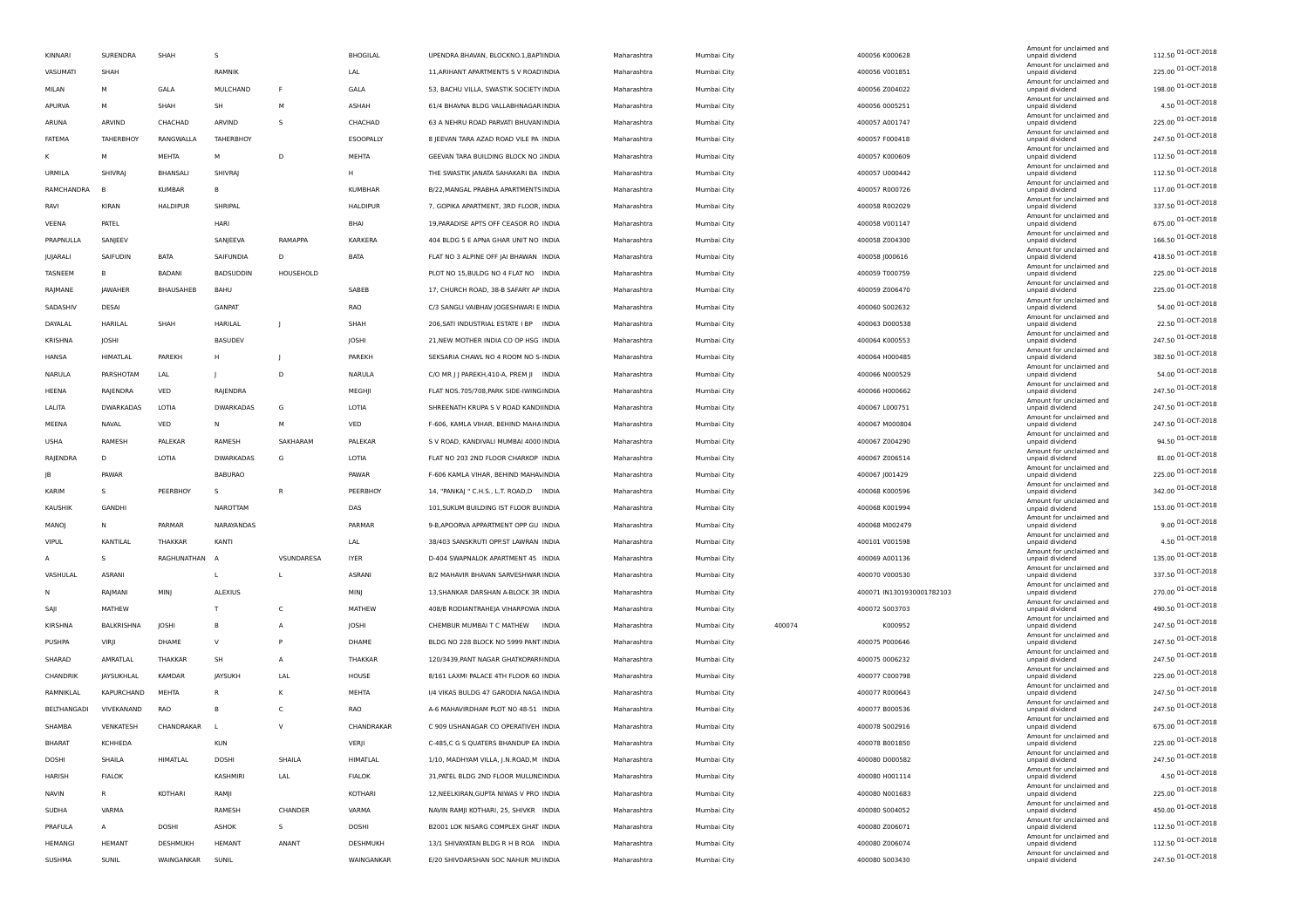| KINNARI        | SURENDRA         | SHAH            | -S               |            | <b>BHOGILAL</b> | UPENDRA BHAVAN, BLOCKNO.1, BAP1INDIA    | Maharashtra | Mumbai City |        | 400056 K000628            | Amount for unclaimed and<br>unpaid dividend | 112.50 01-OCT-2018 |
|----------------|------------------|-----------------|------------------|------------|-----------------|-----------------------------------------|-------------|-------------|--------|---------------------------|---------------------------------------------|--------------------|
| VASUMATI       | SHAH             |                 | RAMNIK           |            | LAL             | 11, ARIHANT APARTMENTS S V ROAD INDIA   | Maharashtra | Mumbai City |        | 400056 V001851            | Amount for unclaimed and<br>unpaid dividend | 225.00 01-OCT-2018 |
| MILAN          | м                | GALA            | MULCHAND         | F          | GALA            | 53, BACHU VILLA, SWASTIK SOCIETY INDIA  | Maharashtra | Mumbai City |        | 400056 Z004022            | Amount for unclaimed and<br>unpaid dividend | 198.00 01-OCT-2018 |
| APURVA         | м                | SHAH            | SH               | M          | ASHAH           | 61/4 BHAVNA BLDG VALLABHNAGAR INDIA     | Maharashtra | Mumbai City |        | 400056 0005251            | Amount for unclaimed and<br>unpaid dividend | 4.50 01-OCT-2018   |
| ARUNA          | ARVIND           | CHACHAD         | ARVIND           | s          | CHACHAD         | 63 A NEHRU ROAD PARVATI BHUVAN INDIA    | Maharashtra | Mumbai City |        | 400057 A001747            | Amount for unclaimed and<br>unpaid dividend | 225.00 01-OCT-2018 |
| FATEMA         | TAHERBHOY        | RANGWALLA       | TAHERBHOY        |            | ESOOPALLY       | 8 JEEVAN TARA AZAD ROAD VILE PA INDIA   | Maharashtra | Mumbai City |        | 400057 F000418            | Amount for unclaimed and<br>unpaid dividend | 247.50 01-OCT-2018 |
| κ              | M                | MEHTA           | M                | D          | <b>MEHTA</b>    | GEEVAN TARA BUILDING BLOCK NO JINDIA    | Maharashtra | Mumbai City |        | 400057 K000609            | Amount for unclaimed and<br>unpaid dividend | 112.50 01-OCT-2018 |
| URMILA         | SHIVRAJ          | BHANSALI        | SHIVRAJ          |            | H               | THE SWASTIK JANATA SAHAKARI BA INDIA    | Maharashtra | Mumbai City |        | 400057 U000442            | Amount for unclaimed and<br>unpaid dividend | 112.50 01-OCT-2018 |
| RAMCHANDRA     |                  | KUMBAR          |                  |            | KUMBHAR         | B/22, MANGAL PRABHA APARTMENTS INDIA    | Maharashtra | Mumbai City |        | 400057 R000726            | Amount for unclaimed and<br>unpaid dividend | 117.00 01-OCT-2018 |
| RAVI           | KIRAN            | <b>HALDIPUR</b> | SHRIPAL          |            | <b>HALDIPUR</b> | 7, GOPIKA APARTMENT, 3RD FLOOR, INDIA   | Maharashtra |             |        | 400058 R002029            | Amount for unclaimed and<br>unpaid dividend | 337.50 01-OCT-2018 |
|                |                  |                 |                  |            |                 |                                         |             | Mumbai City |        |                           | Amount for unclaimed and                    | 675.00 01-OCT-2018 |
| VEENA          | PATEL            |                 | HARI             |            | BHAI            | 19, PARADISE APTS OFF CEASOR RO INDIA   | Maharashtra | Mumbai City |        | 400058 V001147            | unpaid dividend<br>Amount for unclaimed and | 166.50 01-OCT-2018 |
| PRAPNULLA      | SANJEEV          |                 | SANJEEVA         | RAMAPPA    | KARKERA         | 404 BLDG 5 E APNA GHAR UNIT NO INDIA    | Maharashtra | Mumbai City |        | 400058 Z004300            | unpaid dividend<br>Amount for unclaimed and |                    |
| JUJARALI       | SAIFUDIN         | BATA            | SAIFUNDIA        | D          | BATA            | FLAT NO 3 ALPINE OFF JAI BHAWAN INDIA   | Maharashtra | Mumbai City |        | 400058 J000616            | unpaid dividend<br>Amount for unclaimed and | 418.50 01-OCT-2018 |
| TASNEEM        | B                | <b>BADANI</b>   | <b>BADSUDDIN</b> | HOUSEHOLD  |                 | PLOT NO 15, BULDG NO 4 FLAT NO INDIA    | Maharashtra | Mumbai City |        | 400059 T000759            | unpaid dividend<br>Amount for unclaimed and | 225.00 01-OCT-2018 |
| RAJMANE        | JAWAHER          | BHAUSAHEB       | BAHU             |            | SABEB           | 17, CHURCH ROAD, 38-B SAFARY AP INDIA   | Maharashtra | Mumbai City |        | 400059 Z006470            | unpaid dividend<br>Amount for unclaimed and | 225.00 01-OCT-2018 |
| SADASHIV       | DESAI            |                 | <b>GANPAT</b>    |            | RAO             | C/3 SANGLI VAIBHAV JOGESHWARI E INDIA   | Maharashtra | Mumbai City |        | 400060 S002632            | unpaid dividend<br>Amount for unclaimed and | 54.00 01-OCT-2018  |
| DAYALAL        | HARILAL          | SHAH            | HARILAL          |            | SHAH            | 206, SATI INDUSTRIAL ESTATE I BP INDIA  | Maharashtra | Mumbai City |        | 400063 D000538            | unpaid dividend                             | 22.50 01-OCT-2018  |
| KRISHNA        | JOSHI            |                 | <b>BASUDEV</b>   |            | JOSHI           | 21, NEW MOTHER INDIA CO OP HSG INDIA    | Maharashtra | Mumbai City |        | 400064 K000553            | Amount for unclaimed and<br>unpaid dividend | 247.50 01-OCT-2018 |
| HANSA          | HIMATLAL         | PAREKH          | H                |            | PAREKH          | SEKSARIA CHAWL NO 4 ROOM NO S-INDIA     | Maharashtra | Mumbai City |        | 400064 H000485            | Amount for unclaimed and<br>unpaid dividend | 382.50 01-OCT-2018 |
| NARULA         | PARSHOTAM        | LAL             |                  | D          | NARULA          | C/O MR J J PAREKH, 410-A, PREM JI INDIA | Maharashtra | Mumbai City |        | 400066 N000529            | Amount for unclaimed and<br>unpaid dividend | 54.00 01-OCT-2018  |
| HEENA          | RAJENDRA         | VED             | RAJENDRA         |            | MEGHJI          | FLAT NOS.705/708, PARK SIDE-IWING INDIA | Maharashtra | Mumbai City |        | 400066 H000662            | Amount for unclaimed and<br>unpaid dividend | 247.50 01-OCT-2018 |
| LALITA         | <b>DWARKADAS</b> | LOTIA           | <b>DWARKADAS</b> | G          | LOTIA           | SHREENATH KRUPA S V ROAD KANDIINDIA     | Maharashtra | Mumbai City |        | 400067 L000751            | Amount for unclaimed and<br>unpaid dividend | 247.50 01-OCT-2018 |
| MEENA          | NAVAL            | VED             | N                | M          | VED             | F-606, KAMLA VIHAR, BEHIND MAHA INDIA   | Maharashtra | Mumbai City |        | 400067 M000804            | Amount for unclaimed and<br>unpaid dividend | 247.50 01-OCT-2018 |
| <b>USHA</b>    | RAMESH           | PALEKAR         | RAMESH           | SAKHARAM   | PALEKAR         | S V ROAD, KANDIVALI MUMBAI 4000 INDIA   | Maharashtra | Mumbai City |        | 400067 Z004290            | Amount for unclaimed and<br>unpaid dividend | 94.50 01-OCT-2018  |
| RAJENDRA       | D                | LOTIA           | DWARKADAS        | G          | LOTIA           | FLAT NO 203 2ND FLOOR CHARKOP INDIA     | Maharashtra | Mumbai City |        | 400067 Z006514            | Amount for unclaimed and<br>unpaid dividend | 81.00 01-OCT-2018  |
| JB             | PAWAR            |                 | <b>BABURAO</b>   |            | PAWAR           | F-606 KAMLA VIHAR, BEHIND MAHA\INDIA    |             |             |        |                           | Amount for unclaimed and                    | 225.00 01-OCT-2018 |
| KARIM          | s                |                 | -S               | R          |                 |                                         | Maharashtra | Mumbai City |        | 400067 J001429            | unpaid dividend<br>Amount for unclaimed and | 342.00 01-OCT-2018 |
|                |                  | PEERBHOY        |                  |            | PEERBHOY        | 14, "PANKAJ " C.H.S., L.T. ROAD,D INDIA | Maharashtra | Mumbai City |        | 400068 K000596            | unpaid dividend<br>Amount for unclaimed and | 153.00 01-OCT-2018 |
| KAUSHIK        | GANDHI           |                 | NAROTTAM         |            | DAS             | 101, SUKUM BUILDING IST FLOOR BUINDIA   | Maharashtra | Mumbai City |        | 400068 K001994            | unpaid dividend<br>Amount for unclaimed and | 9.00 01-OCT-2018   |
| MANOJ          | N                | PARMAR          | NARAYANDAS       |            | PARMAR          | 9-B, APOORVA APPARTMENT OPP GU INDIA    | Maharashtra | Mumbai City |        | 400068 M002479            | unpaid dividend<br>Amount for unclaimed and |                    |
| <b>VIPUL</b>   | KANTILAL         | THAKKAR         | KANTI            |            | LAL             | 38/403 SANSKRUTI OPP.ST LAWRAN INDIA    | Maharashtra | Mumbai City |        | 400101 V001598            | unpaid dividend<br>Amount for unclaimed and | 4.50 01-OCT-2018   |
| A              | s                | RAGHUNATHAN     |                  | VSUNDARESA | <b>IYER</b>     | D-404 SWAPNALOK APARTMENT 45 INDIA      | Maharashtra | Mumbai City |        | 400069 A001136            | unpaid dividend<br>Amount for unclaimed and | 135.00 01-OCT-2018 |
| VASHULAL       | ASRANI           |                 | L.               | L          | <b>ASRANI</b>   | 8/2 MAHAVIR BHAVAN SARVESHWAR INDIA     | Maharashtra | Mumbai City |        | 400070 V000530            | unpaid dividend<br>Amount for unclaimed and | 337.50 01-OCT-2018 |
| N              | RAJMANI          | MINJ            | ALEXIUS          |            | MINJ            | 13, SHANKAR DARSHAN A-BLOCK 3R INDIA    | Maharashtra | Mumbai City |        | 400071 IN1301930001782103 | unpaid dividend                             | 270.00 01-OCT-2018 |
| SAJI           | MATHEW           |                 | T                | C          | MATHEW          | 408/B RODIANTRAHEJA VIHARPOWA INDIA     | Maharashtra | Mumbai City |        | 400072 S003703            | Amount for unclaimed and<br>unpaid dividend | 490.50 01-OCT-2018 |
| KIRSHNA        | BALKRISHNA       | JOSHI           | B                | Α          | JOSHI           | CHEMBUR MUMBAI T C MATHEW INDIA         | Maharashtra | Mumbai City | 400074 | K000952                   | Amount for unclaimed and<br>unpaid dividend | 247.50 01-OCT-2018 |
| PUSHPA         | VIRJI            | DHAME           | $\vee$           | P          | DHAME           | BLDG NO 228 BLOCK NO 5999 PANT INDIA    | Maharashtra | Mumbai City |        | 400075 P000646            | Amount for unclaimed and<br>unpaid dividend | 247.50 01-OCT-2018 |
| SHARAD         | AMRATLAL         | THAKKAR         | <b>SH</b>        | A          | THAKKAR         | 120/3439, PANT NAGAR GHATKOPARI INDIA   | Maharashtra | Mumbai City |        | 400075 0006232            | Amount for unclaimed and<br>unpaid dividend | 247.50 01-OCT-2018 |
| CHANDRIK       | JAYSUKHLAL       | KAMDAR          | JAYSUKH          | LAL        | HOUSE           | 8/161 LAXMI PALACE 4TH FLOOR 60 INDIA   | Maharashtra | Mumbai City |        | 400077 C000798            | Amount for unclaimed and<br>unpaid dividend | 225.00 01-OCT-2018 |
| RAMNIKLAL      | KAPURCHAND       | MEHTA           | R.               | К          | MEHTA           | 1/4 VIKAS BULDG 47 GARODIA NAGA INDIA   | Maharashtra | Mumbai City |        | 400077 R000643            | Amount for unclaimed and<br>unpaid dividend | 247.50 01-OCT-2018 |
| BELTHANGADI    | VIVEKANAND       | <b>RAO</b>      | <b>B</b>         | c          | RAO             | A-6 MAHAVIRDHAM PLOT NO 48-51 INDIA     | Maharashtra | Mumbai City |        | 400077 B000536            | Amount for unclaimed and<br>unpaid dividend | 247.50 01-OCT-2018 |
| SHAMBA         | VENKATESH        | CHANDRAKAR      |                  | V          | CHANDRAKAR      | C 909 USHANAGAR CO OPERATIVEH INDIA     | Maharashtra | Mumbai City |        | 400078 S002916            | Amount for unclaimed and<br>unpaid dividend | 675.00 01-OCT-2018 |
| <b>BHARAT</b>  | <b>KCHHEDA</b>   |                 | <b>KUN</b>       |            | VERJI           | C-485,C G S QUATERS BHANDUP EA INDIA    | Maharashtra | Mumbai City |        | 400078 B001850            | Amount for unclaimed and<br>unpaid dividend | 225.00 01-OCT-2018 |
| DOSHI          | SHAILA           | HIMATLAL        | DOSHI            | SHAILA     | HIMATLAL        | 1/10, MADHYAM VILLA, J.N.ROAD, M INDIA  |             |             |        | 400080 D000582            | Amount for unclaimed and                    | 247.50 01-OCT-2018 |
|                |                  |                 |                  |            |                 |                                         | Maharashtra | Mumbai City |        |                           | unpaid dividend<br>Amount for unclaimed and | 4.50 01-OCT-2018   |
| HARISH         | <b>FIALOK</b>    |                 | KASHMIRI         | LAL        | <b>FIALOK</b>   | 31, PATEL BLDG 2ND FLOOR MULUNC INDIA   | Maharashtra | Mumbai City |        | 400080 H001114            | unpaid dividend<br>Amount for unclaimed and | 225.00 01-OCT-2018 |
| NAVIN          | R                | KOTHARI         | RAMJI            |            | KOTHARI         | 12, NEELKIRAN, GUPTA NIWAS V PRO INDIA  | Maharashtra | Mumbai City |        | 400080 N001683            | unpaid dividend<br>Amount for unclaimed and |                    |
| <b>SUDHA</b>   | VARMA            |                 | RAMESH           | CHANDER    | VARMA           | NAVIN RAMJI KOTHARI, 25, SHIVKR INDIA   | Maharashtra | Mumbai City |        | 400080 S004052            | unpaid dividend<br>Amount for unclaimed and | 450.00 01-OCT-2018 |
| PRAFULA        | A                | DOSHI           | ASHOK            | S.         | DOSHI           | B2001 LOK NISARG COMPLEX GHAT INDIA     | Maharashtra | Mumbai City |        | 400080 Z006071            | unpaid dividend<br>Amount for unclaimed and | 112.50 01-OCT-2018 |
| <b>HEMANGI</b> | <b>HEMANT</b>    | DESHMUKH        | HEMANT           | ANANT      | DESHMUKH        | 13/1 SHIVAYATAN BLDG R H B ROA INDIA    | Maharashtra | Mumbai City |        | 400080 Z006074            | unpaid dividend<br>Amount for unclaimed and | 112.50 01-OCT-2018 |
| SUSHMA         | SUNIL            | WAINGANKAR      | SUNIL            |            | WAINGANKAR      | E/20 SHIVDARSHAN SOC NAHUR MU INDIA     | Maharashtra | Mumbai City |        | 400080 S003430            | unpaid dividend                             | 247.50 01-OCT-2018 |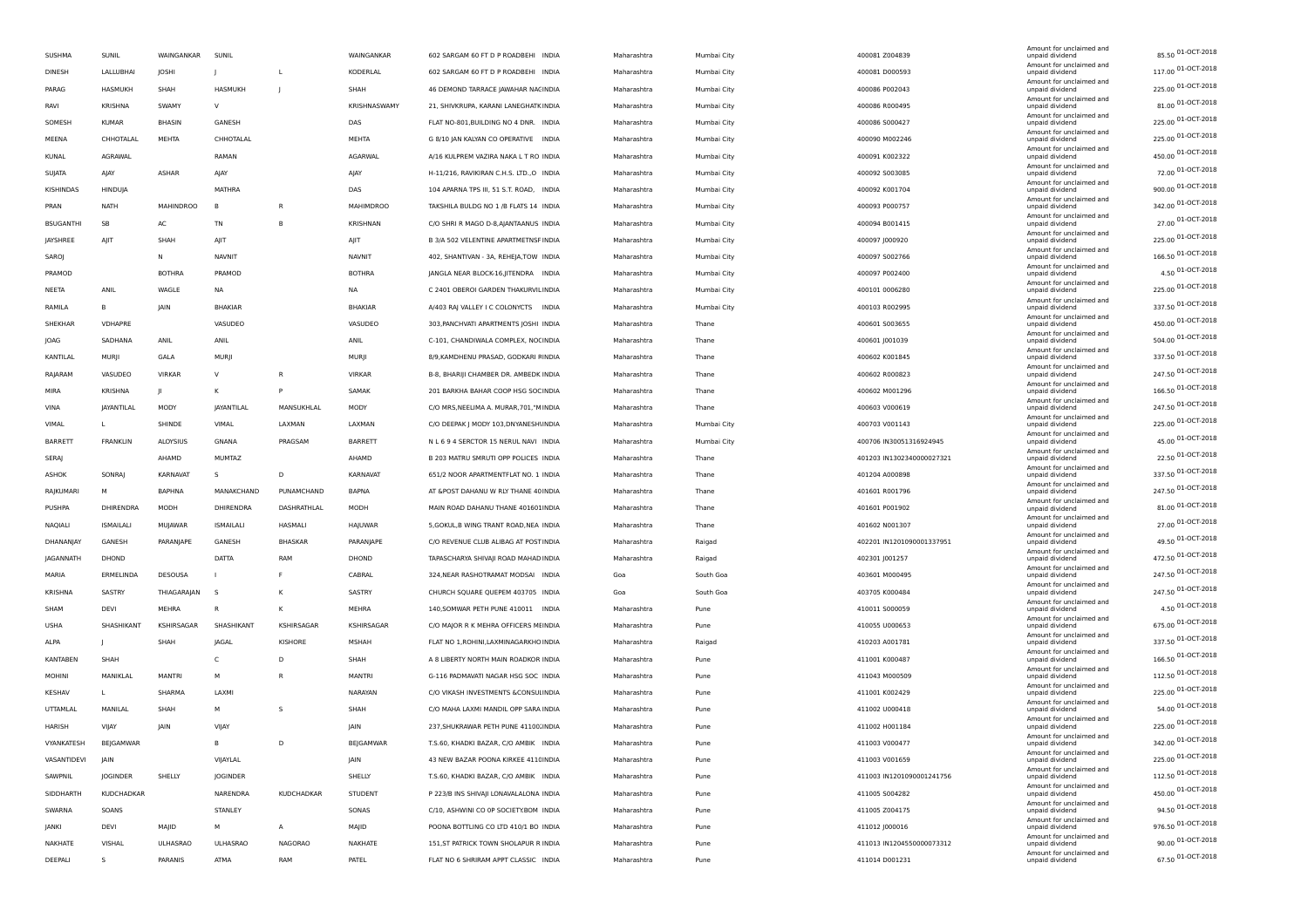| SUSHMA           | SUNIL            | WAINGANKAR       | SUNIL           |                | WAINGANKAR       | 602 SARGAM 60 FT D P ROADBEHI INDIA      | Maharashtra | Mumbai City | 400081 Z004839            | Amount for unclaimed and<br>unpaid dividend | 85.50 01-OCT-2018  |
|------------------|------------------|------------------|-----------------|----------------|------------------|------------------------------------------|-------------|-------------|---------------------------|---------------------------------------------|--------------------|
| DINESH           | LALLUBHAI        | <b>IOSHI</b>     | -1              | L              | KODERLAL         | 602 SARGAM 60 FT D P ROADBEHI INDIA      | Maharashtra | Mumbai City | 400081 D000593            | Amount for unclaimed and<br>unpaid dividend | 117.00 01-OCT-2018 |
| PARAG            | HASMUKH          | SHAH             | HASMUKH         |                | SHAH             | 46 DEMOND TARRACE JAWAHAR NACINDIA       | Maharashtra | Mumbai City | 400086 P002043            | Amount for unclaimed and<br>unpaid dividend | 225.00 01-OCT-2018 |
| RAVI             | <b>KRISHNA</b>   | SWAMY            | v               |                | KRISHNASWAMY     | 21, SHIVKRUPA, KARANI LANEGHATK INDIA    | Maharashtra | Mumbai City | 400086 R000495            | Amount for unclaimed and<br>unpaid dividend | 81.00 01-OCT-2018  |
| SOMESH           | KUMAR            | BHASIN           | GANESH          |                | DAS              | FLAT NO-801, BUILDING NO 4 DNR. INDIA    | Maharashtra | Mumbai City | 400086 S000427            | Amount for unclaimed and<br>unpaid dividend | 225.00 01-OCT-2018 |
| MEENA            | CHHOTALAL        | MEHTA            | CHHOTALAL       |                | MEHTA            | G 8/10 JAN KALYAN CO OPERATIVE INDIA     | Maharashtra | Mumbai City | 400090 M002246            | Amount for unclaimed and<br>unpaid dividend | 225.00 01-OCT-2018 |
| KUNAL            | AGRAWAL          |                  | RAMAN           |                | AGARWAL          | A/16 KULPREM VAZIRA NAKA L T RO INDIA    | Maharashtra | Mumbai City | 400091 K002322            | Amount for unclaimed and<br>unpaid dividend | 450.00 01-OCT-2018 |
| SUJATA           | AJAY             | ASHAR            | AJAY            |                | AJAY             | H-11/216, RAVIKIRAN C.H.S. LTD., O INDIA | Maharashtra | Mumbai City | 400092 S003085            | Amount for unclaimed and<br>unpaid dividend | 72.00 01-OCT-2018  |
| KISHINDAS        | HINDUJA          |                  | MATHRA          |                | DAS              | 104 APARNA TPS III, 51 S.T. ROAD, INDIA  | Maharashtra | Mumbai City | 400092 K001704            | Amount for unclaimed and<br>unpaid dividend | 900.00 01-OCT-2018 |
| PRAN             | <b>NATH</b>      | <b>MAHINDROO</b> |                 | R              | <b>MAHIMDROO</b> | TAKSHILA BULDG NO 1 /B FLATS 14 INDIA    | Maharashtra | Mumbai City | 400093 P000757            | Amount for unclaimed and<br>unpaid dividend | 342.00 01-OCT-2018 |
| <b>BSUGANTHI</b> | SB               | AC               | TN              | B              | KRISHNAN         | C/O SHRI R MAGO D-8,AJANTAANUS INDIA     | Maharashtra | Mumbai City | 400094 B001415            | Amount for unclaimed and<br>unpaid dividend | 27.00 01-OCT-2018  |
| JAYSHREE         | AJIT             | SHAH             | AJIT            |                | AJIT             | B 3/A 502 VELENTINE APARTMETNSF INDIA    | Maharashtra | Mumbai City | 400097 J000920            | Amount for unclaimed and<br>unpaid dividend | 225.00 01-OCT-2018 |
| SAROJ            |                  | N                | NAVNIT          |                | <b>NAVNIT</b>    | 402, SHANTIVAN - 3A, REHEJA, TOW INDIA   | Maharashtra | Mumbai City | 400097 S002766            | Amount for unclaimed and<br>unpaid dividend | 166.50 01-OCT-2018 |
| PRAMOD           |                  | <b>BOTHRA</b>    | PRAMOD          |                | <b>BOTHRA</b>    | JANGLA NEAR BLOCK-16, JITENDRA INDIA     | Maharashtra | Mumbai City | 400097 P002400            | Amount for unclaimed and<br>unpaid dividend | 4.50 01-OCT-2018   |
| NEETA            | ANIL             | WAGLE            | NA              |                | NA.              | C 2401 OBEROI GARDEN THAKURVIL INDIA     | Maharashtra | Mumbai City | 400101 0006280            | Amount for unclaimed and<br>unpaid dividend | 225.00 01-OCT-2018 |
| RAMILA           | B                | <b>JAIN</b>      | <b>BHAKIAR</b>  |                | <b>BHAKIAR</b>   | A/403 RAJ VALLEY I C COLONYCTS INDIA     | Maharashtra | Mumbai City | 400103 R002995            | Amount for unclaimed and<br>unpaid dividend | 337.50 01-OCT-2018 |
| SHEKHAR          | VDHAPRE          |                  |                 |                |                  |                                          |             |             |                           | Amount for unclaimed and                    | 450.00 01-OCT-2018 |
|                  |                  |                  | VASUDEO         |                | VASUDEO          | 303, PANCHVATI APARTMENTS JOSHI INDIA    | Maharashtra | Thane       | 400601 S003655            | unpaid dividend<br>Amount for unclaimed and | 504.00 01-OCT-2018 |
| JOAG             | SADHANA          | ANIL             | ANIL            |                | ANIL             | C-101, CHANDIWALA COMPLEX, NOCINDIA      | Maharashtra | Thane       | 400601 J001039            | unpaid dividend<br>Amount for unclaimed and | 337.50 01-OCT-2018 |
| KANTILAL         | MURJI            | GALA             | <b>MURI</b>     |                | MURJI            | 8/9, KAMDHENU PRASAD, GODKARI FINDIA     | Maharashtra | Thane       | 400602 K001845            | unpaid dividend<br>Amount for unclaimed and | 247.50 01-OCT-2018 |
| RAJARAM          | VASUDEO          | VIRKAR           | $\vee$          | R              | VIRKAR           | B-8, BHARIJI CHAMBER DR. AMBEDK INDIA    | Maharashtra | Thane       | 400602 R000823            | unpaid dividend<br>Amount for unclaimed and |                    |
| MIRA             | <b>KRISHNA</b>   |                  | к               | P              | SAMAK            | 201 BARKHA BAHAR COOP HSG SOCINDIA       | Maharashtra | Thane       | 400602 M001296            | unpaid dividend<br>Amount for unclaimed and | 166.50 01-OCT-2018 |
| VINA             | JAYANTILAL       | MODY             | JAYANTILAL      | MANSUKHLAL     | MODY             | C/O MRS, NEELIMA A. MURAR, 701, "MINDIA  | Maharashtra | Thane       | 400603 V000619            | unpaid dividend<br>Amount for unclaimed and | 247.50 01-OCT-2018 |
| VIMAL            | L                | SHINDE           | VIMAL           | LAXMAN         | LAXMAN           | C/O DEEPAK J MODY 103, DNYANESHI INDIA   | Maharashtra | Mumbai City | 400703 V001143            | unpaid dividend<br>Amount for unclaimed and | 225.00 01-OCT-2018 |
| BARRETT          | FRANKLIN         | ALOYSIUS         | GNANA           | PRAGSAM        | BARRETT          | N L 6 9 4 SERCTOR 15 NERUL NAVI INDIA    | Maharashtra | Mumbai City | 400706 IN30051316924945   | unpaid dividend<br>Amount for unclaimed and | 45.00 01-OCT-2018  |
| SERAJ            |                  | AHAMD            | MUMTAZ          |                | AHAMD            | B 203 MATRU SMRUTI OPP POLICES INDIA     | Maharashtra | Thane       | 401203 IN1302340000027321 | unpaid dividend<br>Amount for unclaimed and | 22.50 01-OCT-2018  |
| ASHOK            | SONRAJ           | KARNAVAT         | -S              | D              | KARNAVAT         | 651/2 NOOR APARTMENTFLAT NO. 1 INDIA     | Maharashtra | Thane       | 401204 A000898            | unpaid dividend<br>Amount for unclaimed and | 337.50 01-OCT-2018 |
| RAJKUMARI        | M                | <b>BAPHNA</b>    | MANAKCHAND      | PUNAMCHAND     | BAPNA            | AT &POST DAHANU W RLY THANE 40 INDIA     | Maharashtra | Thane       | 401601 R001796            | unpaid dividend<br>Amount for unclaimed and | 247.50 01-OCT-2018 |
| PUSHPA           | DHIRENDRA        | MODH             | DHIRENDRA       | DASHRATHLAL    | MODH             | MAIN ROAD DAHANU THANE 401601INDIA       | Maharashtra | Thane       | 401601 P001902            | unpaid dividend                             | 81.00 01-OCT-2018  |
| <b>NAQIALI</b>   | <b>ISMAILALI</b> | MUJAWAR          | ISMAILALI       | HASMALI        | HAJUWAR          | 5, GOKUL, B WING TRANT ROAD, NEA INDIA   | Maharashtra | Thane       | 401602 N001307            | Amount for unclaimed and<br>unpaid dividend | 27.00 01-OCT-2018  |
| DHANANJAY        | GANESH           | PARANJAPE        | GANESH          | BHASKAR        | PARANJAPE        | C/O REVENUE CLUB ALIBAG AT POSTINDIA     | Maharashtra | Raigad      | 402201 IN1201090001337951 | Amount for unclaimed and<br>unpaid dividend | 49.50 01-OCT-2018  |
| JAGANNATH        | DHOND            |                  | DATTA           | RAM            | DHOND            | TAPASCHARYA SHIVAJI ROAD MAHAD INDIA     | Maharashtra | Raigad      | 402301 J001257            | Amount for unclaimed and<br>unpaid dividend | 472.50 01-OCT-2018 |
| MARIA            | ERMELINDA        | DESOUSA          |                 |                | CABRAL           | 324, NEAR RASHOTRAMAT MODSAI INDIA       | Goa         | South Goa   | 403601 M000495            | Amount for unclaimed and<br>unpaid dividend | 247.50 01-OCT-2018 |
| KRISHNA          | SASTRY           | THIAGARAJAN      | - S             | K              | SASTRY           | CHURCH SQUARE QUEPEM 403705 INDIA        | Goa         | South Goa   | 403705 K000484            | Amount for unclaimed and<br>unpaid dividend | 247.50 01-OCT-2018 |
| SHAM             | DEVI             | MEHRA            | R               | к              | MEHRA            | 140, SOMWAR PETH PUNE 410011 INDIA       | Maharashtra | Pune        | 410011 S000059            | Amount for unclaimed and<br>unpaid dividend | 4.50 01-OCT-2018   |
| <b>USHA</b>      | SHASHIKANT       | KSHIRSAGAR       | SHASHIKANT      | KSHIRSAGAR     | KSHIRSAGAR       | C/O MAJOR R K MEHRA OFFICERS MEINDIA     | Maharashtra | Pune        | 410055 U000653            | Amount for unclaimed and<br>unpaid dividend | 675.00 01-OCT-2018 |
| ALPA             |                  | SHAH             | JAGAL           | <b>KISHORE</b> | MSHAH            | FLAT NO 1, ROHINI, LAXMINAGARKHO INDIA   | Maharashtra | Raigad      | 410203 A001781            | Amount for unclaimed and<br>unpaid dividend | 337.50 01-OCT-2018 |
| <b>KANTABEN</b>  | SHAH             |                  | $\mathsf{C}$    | D              | SHAH             | A 8 LIBERTY NORTH MAIN ROADKOR INDIA     | Maharashtra | Pune        | 411001 K000487            | Amount for unclaimed and<br>unpaid dividend | 166.50 01-OCT-2018 |
| MOHINI           | MANIKLAL         | <b>MANTRI</b>    | м               | R              | MANTRI           | G-116 PADMAVATI NAGAR HSG SOC INDIA      | Maharashtra | Pune        | 411043 M000509            | Amount for unclaimed and<br>unpaid dividend | 112.50 01-OCT-2018 |
| <b>KESHAV</b>    | ш                | SHARMA           | <b>LAXM</b>     |                | NARAYAN          | C/O VIKASH INVESTMENTS &CONSULINDIA      | Maharashtra | Pune        | 411001 K002429            | Amount for unclaimed and<br>unpaid dividend | 225.00 01-OCT-2018 |
| UTTAMLAL         | MANILAL          | SHAH             | м               | s              | SHAH             | C/O MAHA LAXMI MANDIL OPP SARA INDIA     | Maharashtra | Pune        | 411002 U000418            | Amount for unclaimed and<br>unpaid dividend | 54.00 01-OCT-2018  |
| HARISH           | VIJAY            | <b>IAIN</b>      | VIJAY           |                | JAIN             | 237, SHUKRAWAR PETH PUNE 41100. INDIA    | Maharashtra | Pune        | 411002 H001184            | Amount for unclaimed and<br>unpaid dividend | 225.00 01-OCT-2018 |
| VYANKATESH       | BEJGAMWAR        |                  | B               | D              | BEJGAMWAR        | T.S.60, KHADKI BAZAR, C/O AMBIK INDIA    | Maharashtra | Pune        | 411003 V000477            | Amount for unclaimed and<br>unpaid dividend | 342.00 01-OCT-2018 |
| VASANTIDEVI      | <b>JAIN</b>      |                  | VIJAYLAL        |                | JAIN             | 43 NEW BAZAR POONA KIRKEE 411CINDIA      | Maharashtra | Pune        | 411003 V001659            | Amount for unclaimed and<br>unpaid dividend | 225.00 01-OCT-2018 |
| SAWPNIL          | JOGINDER         | SHELLY           |                 |                | SHELLY           | T.S.60, KHADKI BAZAR, C/O AMBIK INDIA    |             | Pune        | 411003 IN1201090001241756 | Amount for unclaimed and<br>unpaid dividend | 112.50 01-OCT-2018 |
|                  | KUDCHADKAR       |                  | JOGINDER        |                |                  |                                          | Maharashtra |             |                           | Amount for unclaimed and                    | 450.00 01-OCT-2018 |
| SIDDHARTH        |                  |                  | NARENDRA        | KUDCHADKAR     | STUDENT          | P 223/B INS SHIVAJI LONAVALALONA INDIA   | Maharashtra | Pune        | 411005 S004282            | unpaid dividend<br>Amount for unclaimed and | 94.50 01-OCT-2018  |
| SWARNA           | SOANS            |                  | STANLEY         |                | SONAS            | C/10, ASHWINI CO OP SOCIETY.BOM INDIA    | Maharashtra | Pune        | 411005 Z004175            | unpaid dividend<br>Amount for unclaimed and | 976.50 01-OCT-2018 |
| <b>JANKI</b>     | DEVI             | MAJID            | м               | $\overline{A}$ | MAJID            | POONA BOTTLING CO LTD 410/1 BO INDIA     | Maharashtra | Pune        | 411012 J000016            | unpaid dividend<br>Amount for unclaimed and | 90.00 01-OCT-2018  |
| NAKHATE          | VISHAL           | <b>ULHASRAO</b>  | <b>ULHASRAO</b> | <b>NAGORAO</b> | NAKHATE          | 151, ST PATRICK TOWN SHOLAPUR R INDIA    | Maharashtra | Pune        | 411013 IN1204550000073312 | unpaid dividend<br>Amount for unclaimed and | 67.50 01-OCT-2018  |
| DEEPALI          | S                | PARANIS          | ATMA            | RAM            | PATEL            | FLAT NO 6 SHRIRAM APPT CLASSIC INDIA     | Maharashtra | Pune        | 411014 D001231            | unpaid dividend                             |                    |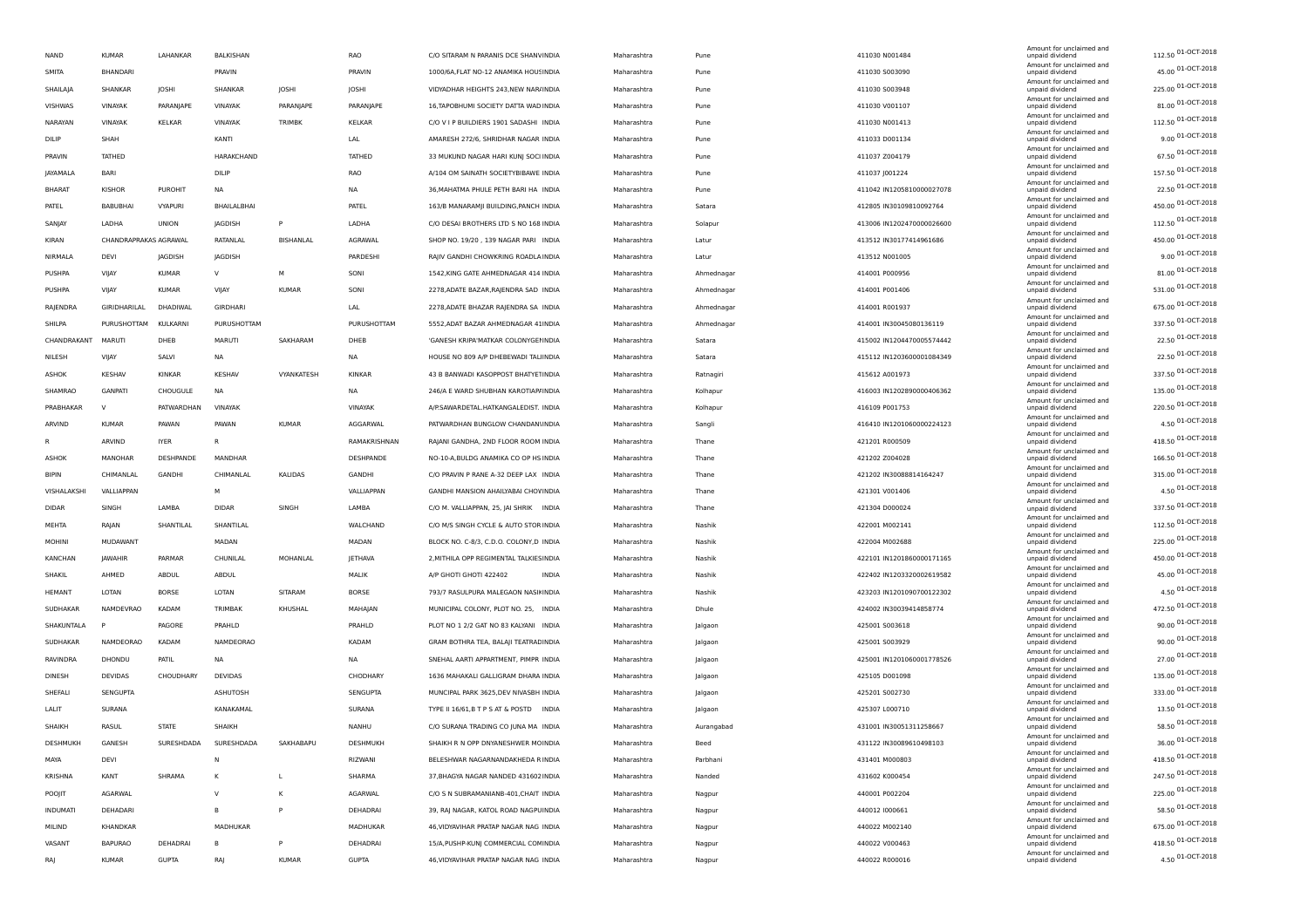| <b>NAND</b>             | <b>KUMAR</b>          | LAHANKAR       | BALKISHAN      |                  | <b>RAO</b>            | C/O SITARAM N PARANIS DCE SHANVINDIA                    | Maharashtra | Pune       | 411030 N001484                                         | Amount for unclaimed and<br>unpaid dividend | 112.50 01-OCT-2018                      |
|-------------------------|-----------------------|----------------|----------------|------------------|-----------------------|---------------------------------------------------------|-------------|------------|--------------------------------------------------------|---------------------------------------------|-----------------------------------------|
| SMITA                   | <b>BHANDARI</b>       |                | PRAVIN         |                  | PRAVIN                | 1000/6A, FLAT NO-12 ANAMIKA HOUSINDIA                   | Maharashtra | Pune       | 411030 S003090                                         | Amount for unclaimed and<br>unpaid dividend | 45.00 01-OCT-2018                       |
| SHAILAJA                | SHANKAR               | <b>JOSHI</b>   | SHANKAR        | JOSHI            | JOSHI                 | VIDYADHAR HEIGHTS 243, NEW NAR/INDIA                    | Maharashtra | Pune       | 411030 S003948                                         | Amount for unclaimed and<br>unpaid dividend | 225.00 01-OCT-2018                      |
| VISHWAS                 | VINAYAK               | PARANJAPE      | VINAYAK        | PARANJAPE        | PARANJAPE             | 16, TAPOBHUMI SOCIETY DATTA WAD INDIA                   | Maharashtra | Pune       | 411030 V001107                                         | Amount for unclaimed and<br>unpaid dividend | 81.00 01-OCT-2018                       |
| NARAYAN                 | VINAYAK               | KELKAR         | VINAYAK        | TRIMBK           | KELKAR                | C/O V I P BUILDIERS 1901 SADASHI INDIA                  | Maharashtra | Pune       | 411030 N001413                                         | Amount for unclaimed and<br>unpaid dividend | 112.50 01-OCT-2018                      |
| DILIP                   | SHAH                  |                | KANTI          |                  | LAL                   | AMARESH 272/6, SHRIDHAR NAGAR INDIA                     | Maharashtra | Pune       | 411033 D001134                                         | Amount for unclaimed and<br>unpaid dividend | 9.00 01-OCT-2018                        |
| PRAVIN                  | TATHED                |                | HARAKCHAND     |                  | TATHED                | 33 MUKUND NAGAR HARI KUNJ SOCI INDIA                    | Maharashtra | Pune       | 411037 Z004179                                         | Amount for unclaimed and<br>unpaid dividend | 67.50 01-OCT-2018                       |
| <b>JAYAMALA</b>         | <b>BARI</b>           |                | DILIP          |                  | RAO                   | A/104 OM SAINATH SOCIETYBIBAWE INDIA                    | Maharashtra | Pune       | 411037 J001224                                         | Amount for unclaimed and<br>unpaid dividend | 157.50 01-OCT-2018                      |
| <b>BHARAT</b>           | <b>KISHOR</b>         | <b>PUROHIT</b> | NA             |                  | NA                    | 36, MAHATMA PHULE PETH BARI HA INDIA                    | Maharashtra | Pune       | 411042 IN1205810000027078                              | Amount for unclaimed and<br>unpaid dividend | 22.50 01-OCT-2018                       |
| PATEL                   | BABUBHAI              | VYAPURI        | BHAILALBHAI    |                  | PATEL                 | 163/B MANARAMJI BUILDING, PANCH INDIA                   | Maharashtra | Satara     | 412805 IN30109810092764                                | Amount for unclaimed and<br>unpaid dividend | 450.00 01-OCT-2018                      |
| SANJAY                  | LADHA                 | <b>UNION</b>   | JAGDISH        | P                | LADHA                 | C/O DESAI BROTHERS LTD S NO 168 INDIA                   | Maharashtra | Solapur    | 413006 IN1202470000026600                              | Amount for unclaimed and<br>unpaid dividend | 112.50 01-OCT-2018                      |
| KIRAN                   | CHANDRAPRAKAS AGRAWAL |                | RATANLAL       | <b>BISHANLAL</b> | AGRAWAL               | SHOP NO. 19/20, 139 NAGAR PARI INDIA                    | Maharashtra | Latur      | 413512 IN30177414961686                                | Amount for unclaimed and<br>unpaid dividend | 450.00 01-OCT-2018                      |
| NIRMALA                 | <b>DEVI</b>           | JAGDISH        | <b>JAGDISH</b> |                  | PARDESHI              | RAJIV GANDHI CHOWKRING ROADLA INDIA                     | Maharashtra | Latur      | 413512 N001005                                         | Amount for unclaimed and<br>unpaid dividend | 9.00 01-OCT-2018                        |
| PUSHPA                  | VIJAY                 | <b>KUMAR</b>   | $\vee$         | М                | SONI                  | 1542, KING GATE AHMEDNAGAR 414 INDIA                    | Maharashtra | Ahmednagar | 414001 P000956                                         | Amount for unclaimed and<br>unpaid dividend | 81.00 01-OCT-2018                       |
| PUSHPA                  | VIJAY                 | <b>KUMAR</b>   | VIJAY          | <b>KUMAR</b>     | SONI                  | 2278, ADATE BAZAR, RAJENDRA SAD INDIA                   | Maharashtra | Ahmednagar | 414001 P001406                                         | Amount for unclaimed and<br>unpaid dividend | 531.00 01-OCT-2018                      |
| RAJENDRA                | GIRIDHARILAL          | DHADIWAL       | GIRDHARI       |                  | LAL                   | 2278, ADATE BHAZAR RAJENDRA SA INDIA                    | Maharashtra | Ahmednagar | 414001 R001937                                         | Amount for unclaimed and<br>unpaid dividend | 675.00 01-OCT-2018                      |
| SHILPA                  | PURUSHOTTAM           | KULKARNI       | PURUSHOTTAM    |                  | PURUSHOTTAM           | 5552, ADAT BAZAR AHMEDNAGAR 41INDIA                     | Maharashtra | Ahmednagar | 414001 IN30045080136119                                | Amount for unclaimed and<br>unpaid dividend | 337.50 01-OCT-2018                      |
| CHANDRAKANT             | MARUTI                | DHEB           | MARUTI         | SAKHARAM         | DHEB                  | 'GANESH KRIPA'MATKAR COLONYGEI INDIA                    | Maharashtra | Satara     | 415002 IN1204470005574442                              | Amount for unclaimed and<br>unpaid dividend | 22.50 01-OCT-2018                       |
| NILESH                  | VIJAY                 | SALVI          | NA             |                  | <b>NA</b>             | HOUSE NO 809 A/P DHEBEWADI TAL INDIA                    | Maharashtra | Satara     | 415112 IN1203600001084349                              | Amount for unclaimed and<br>unpaid dividend | 22.50 01-OCT-2018                       |
| ASHOK                   | KESHAV                | KINKAR         | KESHAV         | VYANKATESH       | <b>KINKAR</b>         | 43 B BANWADI KASOPPOST BHATYETINDIA                     | Maharashtra | Ratnagiri  | 415612 A001973                                         | Amount for unclaimed and<br>unpaid dividend | 337.50 01-OCT-2018                      |
| SHAMRAO                 | <b>GANPATI</b>        | CHOUGULE       | <b>NA</b>      |                  | <b>NA</b>             | 246/A E WARD SHUBHAN KAROTIAP/ INDIA                    | Maharashtra | Kolhapur   | 416003 IN1202890000406362                              | Amount for unclaimed and<br>unpaid dividend | 135.00 01-OCT-2018                      |
| PRABHAKAR               | $\vee$                | PATWARDHAN     | VINAYAK        |                  | VINAYAK               | A/P.SAWARDETAL.HATKANGALEDIST. INDIA                    | Maharashtra | Kolhapur   | 416109 P001753                                         | Amount for unclaimed and<br>unpaid dividend | 220.50 01-OCT-2018                      |
| ARVIND                  | <b>KUMAR</b>          | PAWAN          | PAWAN          | <b>KUMAR</b>     | AGGARWAL              | PATWARDHAN BUNGLOW CHANDAN\INDIA                        | Maharashtra | Sangli     | 416410 IN1201060000224123                              | Amount for unclaimed and<br>unpaid dividend | 4.50 01-OCT-2018                        |
| R                       | ARVIND                | <b>IYER</b>    | R              |                  | RAMAKRISHNAN          | RAJANI GANDHA, 2ND FLOOR ROOM INDIA                     | Maharashtra | Thane      | 421201 R000509                                         | Amount for unclaimed and<br>unpaid dividend | 418.50 01-OCT-2018                      |
| <b>ASHOK</b>            | MANOHAR               | DESHPANDE      | MANDHAR        |                  | DESHPANDE             | NO-10-A, BULDG ANAMIKA CO OP HS INDIA                   | Maharashtra | Thane      | 421202 Z004028                                         | Amount for unclaimed and<br>unpaid dividend | 166.50 01-OCT-2018                      |
| <b>BIPIN</b>            | CHIMANLAL             | GANDHI         | CHIMANLAL      | KALIDAS          | GANDHI                | C/O PRAVIN P RANE A-32 DEEP LAX INDIA                   | Maharashtra | Thane      | 421202 IN30088814164247                                | Amount for unclaimed and<br>unpaid dividend | 315.00 01-OCT-2018                      |
| VISHALAKSHI             | VALLIAPPAN            |                | м              |                  | VALLIAPPAN            | GANDHI MANSION AHAILYABAI CHOV INDIA                    | Maharashtra | Thane      | 421301 V001406                                         | Amount for unclaimed and                    | 4.50 01-OCT-2018                        |
| <b>DIDAR</b>            | SINGH                 | LAMBA          | <b>DIDAR</b>   | SINGH            | LAMBA                 | C/O M. VALLIAPPAN, 25, JAI SHRIK INDIA                  | Maharashtra | Thane      | 421304 D000024                                         | unpaid dividend<br>Amount for unclaimed and | 337.50 01-OCT-2018                      |
| MEHTA                   | RAJAN                 | SHANTILAL      | SHANTILAL      |                  | WALCHAND              | C/O M/S SINGH CYCLE & AUTO STOR INDIA                   | Maharashtra | Nashik     | 422001 M002141                                         | unpaid dividend<br>Amount for unclaimed and | 112.50 01-OCT-2018                      |
|                         |                       |                |                |                  |                       |                                                         |             |            |                                                        | unpaid dividend<br>Amount for unclaimed and | 225.00 01-OCT-2018                      |
| <b>MOHINI</b>           | MUDAWANT              | PARMAR         | MADAN          |                  | MADAN                 | BLOCK NO. C-8/3, C.D.O. COLONY,D INDIA                  | Maharashtra | Nashik     | 422004 M002688                                         | unpaid dividend<br>Amount for unclaimed and | 450.00 01-OCT-2018                      |
| KANCHAN                 | JAWAHIR               | ABDUL          | CHUNILAL       | MOHANLAL         | <b>JETHAVA</b>        | 2, MITHILA OPP REGIMENTAL TALKIES INDIA<br><b>INDIA</b> | Maharashtra | Nashik     | 422101 IN1201860000171165<br>422402 IN1203320002619582 | unpaid dividend<br>Amount for unclaimed and | 45.00 01-OCT-2018                       |
| SHAKIL<br><b>HEMANT</b> | AHMED<br>LOTAN        | <b>BORSE</b>   | ABDUL<br>LOTAN | SITARAM          | MALIK<br><b>BORSE</b> | A/P GHOTI GHOTI 422402                                  | Maharashtra | Nashik     |                                                        | unpaid dividend<br>Amount for unclaimed and | 4.50 01-OCT-2018                        |
|                         |                       |                |                |                  |                       | 793/7 RASULPURA MALEGAON NASIKINDIA                     | Maharashtra | Nashik     | 423203 IN1201090700122302                              | unpaid dividend<br>Amount for unclaimed and | 472.50 01-OCT-2018                      |
| SUDHAKAR                | <b>NAMDEVRAO</b>      | KADAM          | TRIMBAK        | KHUSHAL          | MAHAJAN               | MUNICIPAL COLONY, PLOT NO. 25, INDIA                    | Maharashtra | Dhule      | 424002 IN30039414858774                                | unpaid dividend<br>Amount for unclaimed and | 90.00 01-OCT-2018                       |
| SHAKUNTALA              |                       | PAGORE         | PRAHLD         |                  | PRAHLD                | PLOT NO 1 2/2 GAT NO 83 KALYANI INDIA                   | Maharashtra | Jalgaon    | 425001 S003618                                         | unpaid dividend<br>Amount for unclaimed and | 90.00 01-OCT-2018                       |
| SUDHAKAR                | NAMDEORAO             | KADAM          | NAMDEORAO      |                  | KADAM                 | GRAM BOTHRA TEA, BALAJI TEATRACINDIA                    | Maharashtra | Jalgaon    | 425001 S003929                                         | unpaid dividend<br>Amount for unclaimed and | 27.00 01-OCT-2018                       |
| RAVINDRA                | DHONDU                | PATIL          | NA             |                  | NA                    | SNEHAL AARTI APPARTMENT, PIMPR INDIA                    | Maharashtra | Jalgaon    | 425001 IN1201060001778526                              | unpaid dividend<br>Amount for unclaimed and | 135.00 01-OCT-2018                      |
| DINESH                  | <b>DEVIDAS</b>        | CHOUDHARY      | DEVIDAS        |                  | CHODHARY              | 1636 MAHAKALI GALLIGRAM DHARA INDIA                     | Maharashtra | Jalgaon    | 425105 D001098                                         | unpaid dividend<br>Amount for unclaimed and |                                         |
| SHEFALI                 | SENGUPTA              |                | ASHUTOSH       |                  | SENGUPTA              | MUNCIPAL PARK 3625, DEV NIVASBH INDIA                   | Maharashtra | Jalgaon    | 425201 S002730                                         | unpaid dividend<br>Amount for unclaimed and | 333.00 01-OCT-2018<br>13.50 01-OCT-2018 |
| LALIT                   | SURANA                |                | KANAKAMAL      |                  | SURANA                | TYPE II 16/61, B T P S AT & POSTD INDIA                 | Maharashtra | Jalgaon    | 425307 L000710                                         | unpaid dividend<br>Amount for unclaimed and |                                         |
| SHAIKH                  | RASUL                 | <b>STATE</b>   | <b>SHAIKH</b>  |                  | <b>NANHU</b>          | C/O SURANA TRADING CO JUNA MA INDIA                     | Maharashtra | Aurangabad | 431001 IN30051311258667                                | unpaid dividend<br>Amount for unclaimed and | 58.50 01-OCT-2018                       |
| DESHMUKH                | GANESH                | SURESHDADA     | SURESHDADA     | SAKHABAPU        | DESHMUKH              | SHAIKH R N OPP DNYANESHWER MOINDIA                      | Maharashtra | Beed       | 431122 IN30089610498103                                | unpaid dividend<br>Amount for unclaimed and | 01-OCT-2018<br>36.00                    |
| MAYA                    | DEVI                  |                | Ν              |                  | RIZWANI               | BELESHWAR NAGARNANDAKHEDA R INDIA                       | Maharashtra | Parbhani   | 431401 M000803                                         | unpaid dividend<br>Amount for unclaimed and | 418.50 01-OCT-2018                      |
| KRISHNA                 | KANT                  | SHRAMA         | κ              | Г                | SHARMA                | 37, BHAGYA NAGAR NANDED 431602 INDIA                    | Maharashtra | Nanded     | 431602 K000454                                         | unpaid dividend<br>Amount for unclaimed and | 247.50 01-OCT-2018                      |
| POOJIT                  | AGARWAL               |                | <sub>V</sub>   | Κ                | AGARWAL               | C/O S N SUBRAMANIANB-401, CHAIT INDIA                   | Maharashtra | Nagpur     | 440001 P002204                                         | unpaid dividend<br>Amount for unclaimed and | 225.00 01-OCT-2018                      |
| <b>INDUMATI</b>         | DEHADARI              |                | в              | P                | DEHADRAI              | 39, RAJ NAGAR, KATOL ROAD NAGPUINDIA                    | Maharashtra | Nagpur     | 440012 1000661                                         | unpaid dividend<br>Amount for unclaimed and | 58.50 01-OCT-2018                       |
| MILIND                  | KHANDKAR              |                | MADHUKAR       |                  | <b>MADHUKAR</b>       | 46, VIDYAVIHAR PRATAP NAGAR NAG INDIA                   | Maharashtra | Nagpur     | 440022 M002140                                         | unpaid dividend<br>Amount for unclaimed and | 675.00 01-OCT-2018                      |
| VASANT                  | <b>BAPURAO</b>        | DEHADRAI       | в              | P                | DEHADRAI              | 15/A, PUSHP-KUNJ COMMERCIAL COMINDIA                    | Maharashtra | Nagpur     | 440022 V000463                                         | unpaid dividend<br>Amount for unclaimed and | 418.50 01-OCT-2018                      |
| RAJ                     | <b>KUMAR</b>          | <b>GUPTA</b>   | RAJ            | <b>KUMAR</b>     | <b>GUPTA</b>          | 46, VIDYAVIHAR PRATAP NAGAR NAG INDIA                   | Maharashtra | Nagpur     | 440022 R000016                                         | unpaid dividend                             | 4.50 01-OCT-2018                        |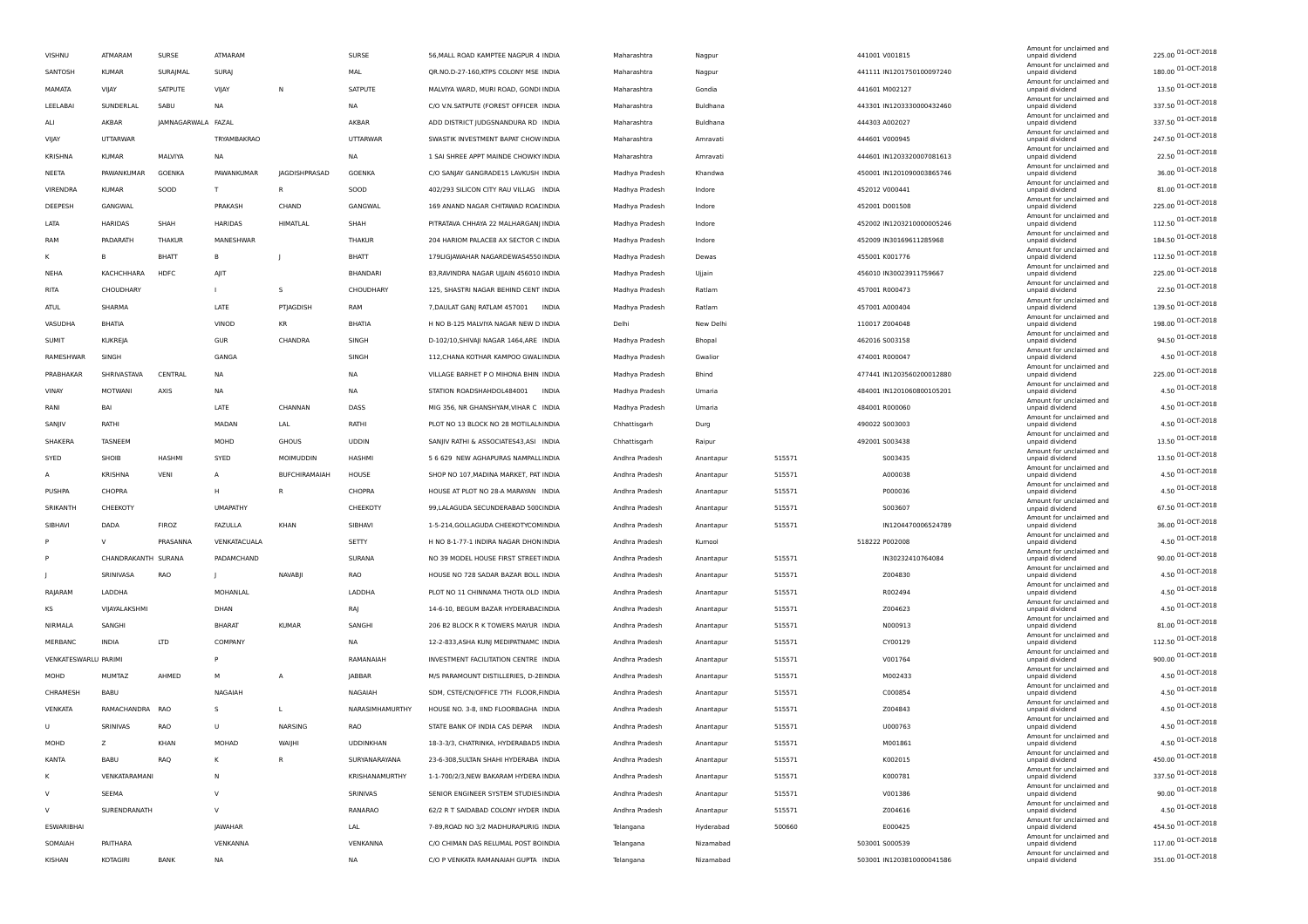|        | VISHNU               | ATMARAM             | SURSE              | ATMARAM         |                | SURSE           | 56, MALL ROAD KAMPTEE NAGPUR 4 INDIA         | Maharashtra    | Nagpur    |        | 441001 V001815            | Amount for unclaimed and<br>unpaid dividend | 225.00 01-OCT-2018 |
|--------|----------------------|---------------------|--------------------|-----------------|----------------|-----------------|----------------------------------------------|----------------|-----------|--------|---------------------------|---------------------------------------------|--------------------|
|        | SANTOSH              | <b>KUMAR</b>        | SURAJMAL           | SURAJ           |                | MAL             | QR.NO.D-27-160, KTPS COLONY MSE INDIA        | Maharashtra    | Nagpur    |        | 441111 IN1201750100097240 | Amount for unclaimed and<br>unpaid dividend | 180.00 01-OCT-2018 |
|        | MAMATA               | VIIAY               | SATPUTE            | VIJAY           | N              | SATPUTE         | MALVIYA WARD, MURI ROAD, GONDI INDIA         | Maharashtra    | Gondia    |        | 441601 M002127            | Amount for unclaimed and<br>unpaid dividend | 13.50 01-OCT-2018  |
|        | LEELABAI             | SUNDERLAL           | SABU               | <b>NA</b>       |                | NA              | C/O V.N.SATPUTE (FOREST OFFICER INDIA        | Maharashtra    | Buldhana  |        | 443301 IN1203330000432460 | Amount for unclaimed and                    | 337.50 01-OCT-2018 |
|        |                      |                     |                    |                 |                |                 |                                              |                |           |        |                           | unpaid dividend<br>Amount for unclaimed and | 337.50 01-OCT-2018 |
|        | ALI                  | AKBAR               | JAMNAGARWALA FAZAL |                 |                | AKBAR           | ADD DISTRICT JUDGSNANDURA RD INDIA           | Maharashtra    | Buldhana  |        | 444303 A002027            | unpaid dividend<br>Amount for unclaimed and | 247.50 01-OCT-2018 |
|        | VIJAY                | <b>UTTARWAR</b>     |                    | TRYAMBAKRAO     |                | <b>UTTARWAR</b> | SWASTIK INVESTMENT BAPAT CHOW INDIA          | Maharashtra    | Amravati  |        | 444601 V000945            | unpaid dividend<br>Amount for unclaimed and |                    |
|        | KRISHNA              | KUMAR               | MALVIYA            | NA              |                | NA              | 1 SAI SHREE APPT MAINDE CHOWKY INDIA         | Maharashtra    | Amravati  |        | 444601 IN1203320007081613 | unpaid dividend<br>Amount for unclaimed and | 22.50 01-OCT-2018  |
|        | NEETA                | PAWANKUMAR          | GOENKA             | PAWANKUMAR      | JAGDISHPRASAD  | GOENKA          | C/O SANJAY GANGRADE15 LAVKUSH INDIA          | Madhya Pradesh | Khandwa   |        | 450001 IN1201090003865746 | unpaid dividend<br>Amount for unclaimed and | 36.00 01-OCT-2018  |
|        | VIRENDRA             | <b>KUMAR</b>        | SOOD               | T               | R              | SOOD            | 402/293 SILICON CITY RAU VILLAG INDIA        | Madhya Pradesh | Indore    |        | 452012 V000441            | unpaid dividend                             | 81.00 01-OCT-2018  |
|        | DEEPESH              | GANGWAL             |                    | PRAKASH         | CHAND          | GANGWAL         | 169 ANAND NAGAR CHITAWAD ROALINDIA           | Madhya Pradesh | Indore    |        | 452001 D001508            | Amount for unclaimed and<br>unpaid dividend | 225.00 01-OCT-2018 |
|        | LATA                 | <b>HARIDAS</b>      | SHAH               | HARIDAS         | HIMATLAL       | SHAH            | PITRATAVA CHHAYA 22 MALHARGANJ INDIA         | Madhya Pradesh | Indore    |        | 452002 IN1203210000005246 | Amount for unclaimed and<br>unpaid dividend | 112.50 01-OCT-2018 |
|        | RAM                  | PADARATH            | THAKUR             | MANESHWAR       |                | <b>THAKUR</b>   | 204 HARIOM PALACE8 AX SECTOR C INDIA         | Madhya Pradesh | Indore    |        | 452009 IN30169611285968   | Amount for unclaimed and<br>unpaid dividend | 184.50 01-OCT-2018 |
|        | к                    | R                   | <b>BHATT</b>       | B               |                | BHATT           | 179LIGJAWAHAR NAGARDEWAS4550 INDIA           | Madhya Pradesh | Dewas     |        | 455001 K001776            | Amount for unclaimed and<br>unpaid dividend | 112.50 01-OCT-2018 |
|        | NEHA                 | KACHCHHARA          | HDFC               | AJIT            |                | BHANDARI        | 83, RAVINDRA NAGAR UJJAIN 456010 INDIA       | Madhya Pradesh | Ujjain    |        | 456010 IN30023911759667   | Amount for unclaimed and<br>unpaid dividend | 225.00 01-OCT-2018 |
|        | RITA                 | CHOUDHARY           |                    | $\mathbf{L}$    | s              | CHOUDHARY       | 125, SHASTRI NAGAR BEHIND CENT INDIA         | Madhya Pradesh | Ratlam    |        | 457001 R000473            | Amount for unclaimed and<br>unpaid dividend | 22.50 01-OCT-2018  |
|        | ATUL                 | SHARMA              |                    | LATE            | PTJAGDISH      | RAM             | 7, DAULAT GANJ RATLAM 457001<br><b>INDIA</b> | Madhya Pradesh | Ratlam    |        | 457001 A000404            | Amount for unclaimed and<br>unpaid dividend | 139.50 01-OCT-2018 |
|        |                      |                     |                    | VINOD           |                | <b>BHATIA</b>   |                                              |                |           |        |                           | Amount for unclaimed and                    | 198.00 01-OCT-2018 |
|        | VASUDHA              | BHATIA              |                    |                 | KR             |                 | H NO B-125 MALVIYA NAGAR NEW D INDIA         | Delhi          | New Delhi |        | 110017 Z004048            | unpaid dividend<br>Amount for unclaimed and | 94.50 01-OCT-2018  |
|        | <b>SUMIT</b>         | KUKREJA             |                    | GUR             | CHANDRA        | SINGH           | D-102/10, SHIVAJI NAGAR 1464, ARE INDIA      | Madhya Pradesh | Bhopal    |        | 462016 S003158            | unpaid dividend<br>Amount for unclaimed and | 4.50 01-OCT-2018   |
|        | RAMESHWAR            | SINGH               |                    | GANGA           |                | SINGH           | 112, CHANA KOTHAR KAMPOO GWAL INDIA          | Madhya Pradesh | Gwalior   |        | 474001 R000047            | unpaid dividend<br>Amount for unclaimed and |                    |
|        | PRABHAKAR            | SHRIVASTAVA         | CENTRAL            | <b>NA</b>       |                | NA              | VILLAGE BARHET P O MIHONA BHIN INDIA         | Madhya Pradesh | Bhind     |        | 477441 IN1203560200012880 | unpaid dividend<br>Amount for unclaimed and | 225.00 01-OCT-2018 |
|        | VINAY                | MOTWANI             | AXIS               | <b>NA</b>       |                | <b>NA</b>       | STATION ROADSHAHDOL484001<br><b>INDIA</b>    | Madhya Pradesh | Umaria    |        | 484001 IN1201060800105201 | unpaid dividend<br>Amount for unclaimed and | 4.50 01-OCT-2018   |
|        | RANI                 | BAI                 |                    | LATE            | CHANNAN        | DASS            | MIG 356, NR GHANSHYAM, VIHAR C INDIA         | Madhya Pradesh | Umaria    |        | 484001 R000060            | unpaid dividend                             | 4.50 01-OCT-2018   |
|        | SANJIV               | RATHI               |                    | MADAN           | LAL            | RATHI           | PLOT NO 13 BLOCK NO 28 MOTILALMINDIA         | Chhattisgarh   | Durg      |        | 490022 S003003            | Amount for unclaimed and<br>unpaid dividend | 4.50 01-OCT-2018   |
|        | SHAKERA              | TASNEEM             |                    | MOHD            | <b>GHOUS</b>   | <b>UDDIN</b>    | SANJIV RATHI & ASSOCIATES43,ASI INDIA        | Chhattisgarh   | Raipur    |        | 492001 S003438            | Amount for unclaimed and<br>unpaid dividend | 13.50 01-OCT-2018  |
|        | SYED                 | SHOIB               | HASHMI             | SYED            | MOIMUDDIN      | HASHMI          | 5 6 629 NEW AGHAPURAS NAMPALL INDIA          | Andhra Pradesh | Anantapur | 515571 | S003435                   | Amount for unclaimed and<br>unpaid dividend | 13.50 01-OCT-2018  |
|        | $\overline{A}$       | <b>KRISHNA</b>      | VENI               | $\overline{A}$  | BUFCHIRAMAIAH  | HOUSE           | SHOP NO 107, MADINA MARKET, PAT INDIA        | Andhra Pradesh | Anantapur | 515571 | A000038                   | Amount for unclaimed and<br>unpaid dividend | 4.50 01-OCT-2018   |
|        | PUSHPA               | CHOPRA              |                    | H               | R              | CHOPRA          | HOUSE AT PLOT NO 28-A MARAYAN INDIA          | Andhra Pradesh | Anantapur | 515571 | P000036                   | Amount for unclaimed and<br>unpaid dividend | 4.50 01-OCT-2018   |
|        | SRIKANTH             | CHEEKOTY            |                    | <b>UMAPATHY</b> |                | CHEEKOTY        | 99, LALAGUDA SECUNDERABAD 500 (INDIA         | Andhra Pradesh | Anantapur | 515571 | S003607                   | Amount for unclaimed and<br>unpaid dividend | 67.50 01-OCT-2018  |
|        | SIBHAVI              | DADA                | <b>FIROZ</b>       | FAZULLA         | KHAN           | SIBHAVI         | 1-5-214, GOLLAGUDA CHEEKOTYCOMINDIA          | Andhra Pradesh | Anantapur | 515571 | IN1204470006524789        | Amount for unclaimed and<br>unpaid dividend | 36.00 01-OCT-2018  |
|        |                      | $\vee$              | PRASANNA           | VENKATACUALA    |                | SETTY           | H NO 8-1-77-1 INDIRA NAGAR DHON INDIA        | Andhra Pradesh | Kurnool   |        | 518222 P002008            | Amount for unclaimed and<br>unpaid dividend | 4.50 01-OCT-2018   |
|        |                      |                     |                    |                 |                |                 |                                              |                |           |        |                           | Amount for unclaimed and                    | 90.00 01-OCT-2018  |
|        |                      | CHANDRAKANTH SURANA |                    | PADAMCHAND      |                | SURANA          | NO 39 MODEL HOUSE FIRST STREET INDIA         | Andhra Pradesh | Anantapur | 515571 | IN30232410764084          | unpaid dividend<br>Amount for unclaimed and | 4.50 01-OCT-2018   |
|        |                      | SRINIVASA           | RAO                | $\mathbf{I}$    | NAVABII        | RAO             | HOUSE NO 728 SADAR BAZAR BOLL INDIA          | Andhra Pradesh | Anantapur | 515571 | Z004830                   | unpaid dividend<br>Amount for unclaimed and | 4.50 01-OCT-2018   |
|        | RAJARAM              | LADDHA              |                    | MOHANLAL        |                | LADDHA          | PLOT NO 11 CHINNAMA THOTA OLD INDIA          | Andhra Pradesh | Anantapur | 515571 | R002494                   | unpaid dividend<br>Amount for unclaimed and |                    |
|        | KS                   | VIJAYALAKSHMI       |                    | DHAN            |                | RAJ             | 14-6-10, BEGUM BAZAR HYDERABAE INDIA         | Andhra Pradesh | Anantapur | 515571 | Z004623                   | unpaid dividend<br>Amount for unclaimed and | 4.50 01-OCT-2018   |
|        | NIRMALA              | SANGHI              |                    | BHARAT          | <b>KUMAR</b>   | SANGHI          | 206 B2 BLOCK R K TOWERS MAYUR INDIA          | Andhra Pradesh | Anantapur | 515571 | N000913                   | unpaid dividend<br>Amount for unclaimed and | 81.00 01-OCT-2018  |
|        | MERBANC              | <b>INDIA</b>        | <b>LTD</b>         | COMPANY         |                | <b>NA</b>       | 12-2-833, ASHA KUNJ MEDIPATNAMC INDIA        | Andhra Pradesh | Anantapur | 515571 | CY00129                   | unpaid dividend<br>Amount for unclaimed and | 112.50 01-OCT-2018 |
|        | VENKATESWARLU PARIMI |                     |                    |                 |                | RAMANAIAH       | INVESTMENT FACILITATION CENTRE INDIA         | Andhra Pradesh | Anantapur | 515571 | V001764                   | unpaid dividend                             | 900.00 01-OCT-2018 |
|        | MOHD                 | <b>MUMTAZ</b>       | AHMED              | M               | A              | JABBAR          | M/S PARAMOUNT DISTILLERIES, D-28 INDIA       | Andhra Pradesh | Anantapur | 515571 | M002433                   | Amount for unclaimed and<br>unpaid dividend | 4.50 01-OCT-2018   |
|        | CHRAMESH             | BABU                |                    | NAGAIAH         |                | NAGAIAH         | SDM, CSTE/CN/OFFICE 7TH FLOOR, FINDIA        | Andhra Pradesh | Anantapur | 515571 | C000854                   | Amount for unclaimed and<br>unpaid dividend | 4.50 01-OCT-2018   |
|        | <b>VENKATA</b>       | RAMACHANDRA RAO     |                    |                 | L              | NARASIMHAMURTHY | HOUSE NO. 3-8, IIND FLOORBAGHA INDIA         | Andhra Pradesh | Anantapur | 515571 | Z004843                   | Amount for unclaimed and<br>unpaid dividend | 4.50 01-OCT-2018   |
|        | U                    | SRINIVAS            | RAO                | U               | <b>NARSING</b> | RAO             | STATE BANK OF INDIA CAS DEPAR INDIA          | Andhra Pradesh | Anantapur | 515571 | U000763                   | Amount for unclaimed and<br>unnaid dividend | 4.50 01-OCT-2018   |
|        | <b>MOHD</b>          |                     | KHAN               | MOHAD           | WAIJHI         | UDDINKHAN       | 18-3-3/3, CHATRINKA, HYDERABAD5 INDIA        | Andhra Pradesh | Anantapur | 515571 | M001861                   | Amount for unclaimed and<br>unnaid divir    | 4.50 01-OCT-2018   |
|        | KANTA                | BABU                | RAQ                | к               | $\mathsf R$    | SURYANARAYANA   | 23-6-308, SULTAN SHAHI HYDERABA INDIA        | Andhra Pradesh | Anantapur | 515571 | K002015                   | Amount for unclaimed and<br>unpaid dividend | 450.00 01-OCT-2018 |
|        | к                    | VENKATARAMANI       |                    | N               |                | KRISHANAMURTHY  | 1-1-700/2/3, NEW BAKARAM HYDERA INDIA        | Andhra Pradesh | Anantapur | 515571 | K000781                   | Amount for unclaimed and                    | 337.50 01-OCT-2018 |
|        | $\vee$               |                     |                    | v               |                |                 |                                              |                |           |        |                           | unpaid dividend<br>Amount for unclaimed and | 90.00 01-OCT-2018  |
|        |                      | SEEMA               |                    |                 |                | SRINIVAS        | SENIOR ENGINEER SYSTEM STUDIES INDIA         | Andhra Pradesh | Anantapur | 515571 | V001386                   | unpaid dividend<br>Amount for unclaimed and | 4.50 01-OCT-2018   |
| $\vee$ |                      | SURENDRANATH        |                    | $\mathsf{v}$    |                | RANARAO         | 62/2 R T SAIDABAD COLONY HYDER INDIA         | Andhra Pradesh | Anantapur | 515571 | Z004616                   | unpaid dividend<br>Amount for unclaimed and | 454.50 01-OCT-2018 |
|        | ESWARIBHAI           |                     |                    | JAWAHAR         |                | LAL             | 7-89, ROAD NO 3/2 MADHURAPURIG INDIA         | Telangana      | Hyderabad | 500660 | E000425                   | unpaid dividend<br>Amount for unclaimed and |                    |
|        | SOMAIAH              | PAITHARA            |                    | VENKANNA        |                | VENKANNA        | C/O CHIMAN DAS RELUMAL POST BOINDIA          | Telangana      | Nizamabad |        | 503001 S000539            | unpaid dividend<br>Amount for unclaimed and | 117.00 01-OCT-2018 |
|        | KISHAN               | <b>KOTAGIRI</b>     | BANK               | <b>NA</b>       |                | NA              | C/O P VENKATA RAMANAIAH GUPTA INDIA          | Telangana      | Nizamabad |        | 503001 IN1203810000041586 | unpaid dividend                             | 351.00 01-OCT-2018 |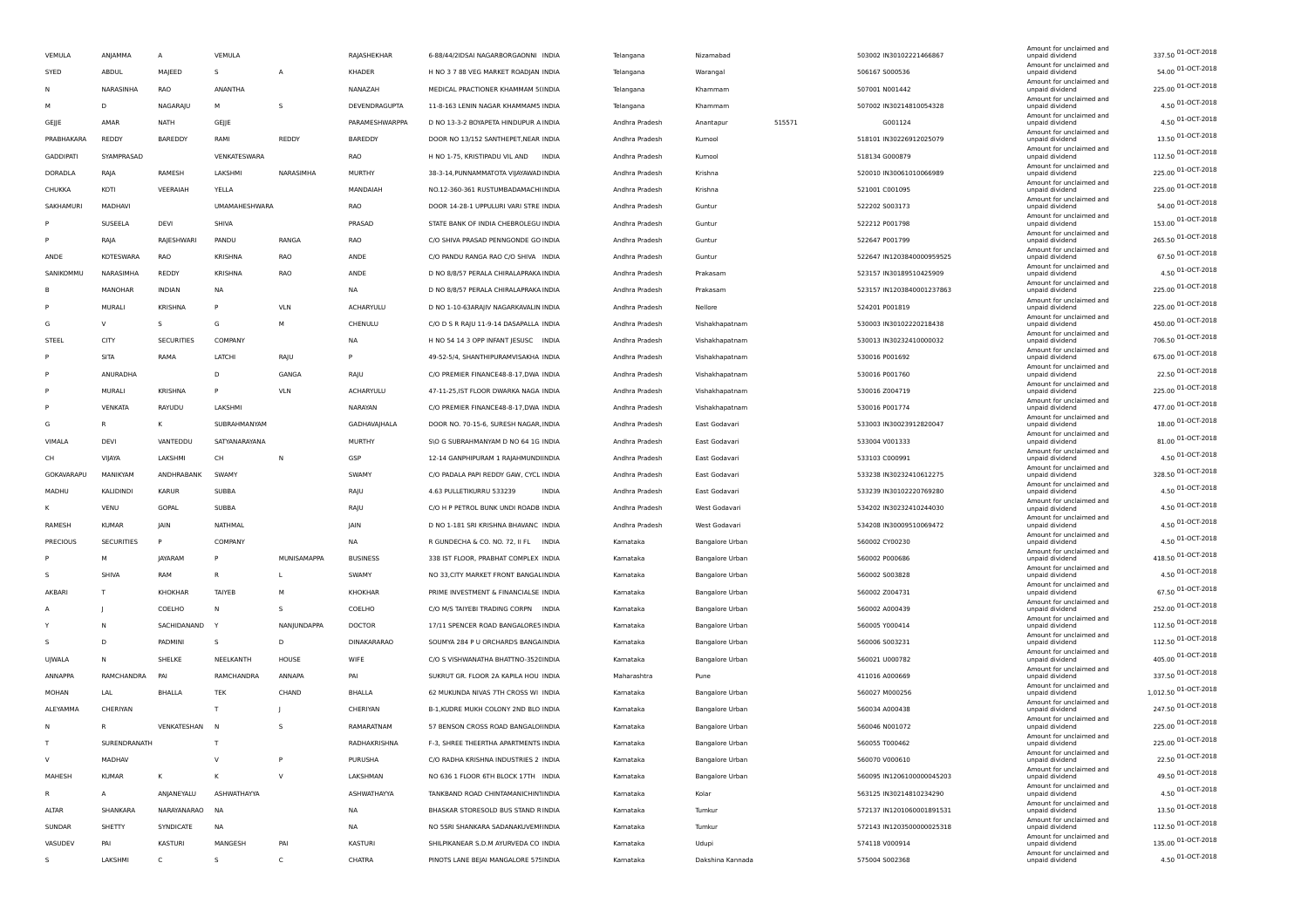| VEMULA           | ANJAMMA           | A                 | VEMULA               |             | RAJASHEKHAR        | 6-88/44/2IDSAI NAGARBORGAONNI INDIA      | Telangana      | Nizamabad              |        | 503002 IN30102221466867   | Amount for unclaimed and<br>unpaid dividend | 337.50 01-OCT-2018    |
|------------------|-------------------|-------------------|----------------------|-------------|--------------------|------------------------------------------|----------------|------------------------|--------|---------------------------|---------------------------------------------|-----------------------|
| SYED             | ABDUL             | MAJEED            | s                    | А           | KHADER             | H NO 3 7 88 VEG MARKET ROADJAN INDIA     | Telangana      | Warangal               |        | 506167 S000536            | Amount for unclaimed and<br>unpaid dividend | 54.00 01-OCT-2018     |
|                  | NARASINHA         | RAO               | ANANTHA              |             | NANAZAH            | MEDICAL PRACTIONER KHAMMAM 5(INDIA       | Telangana      | Khammam                |        | 507001 N001442            | Amount for unclaimed and<br>unpaid dividend | 225.00 01-OCT-2018    |
|                  | D                 | NAGARAJU          | м                    | s           | DEVENDRAGUPTA      | 11-8-163 LENIN NAGAR KHAMMAM5 INDIA      | Telangana      | Khammam                |        | 507002 IN30214810054328   | Amount for unclaimed and<br>unpaid dividend | 4.50 01-OCT-2018      |
| GEJJE            | AMAR              | NATH              | GEJJE                |             | PARAMESHWARPPA     | D NO 13-3-2 BOYAPETA HINDUPUR A INDIA    | Andhra Pradesh | Anantapur              | 515571 | G001124                   | Amount for unclaimed and<br>unpaid dividend | 4.50 01-OCT-2018      |
| PRABHAKARA       | REDDY             | BAREDDY           | RAMI                 | REDDY       | BAREDDY            | DOOR NO 13/152 SANTHEPET, NEAR INDIA     | Andhra Pradesh | Kurnool                |        | 518101 IN30226912025079   | Amount for unclaimed and<br>unpaid dividend | 13.50 01-OCT-2018     |
| <b>GADDIPATI</b> | SYAMPRASAD        |                   | VENKATESWARA         |             | RAO                | H NO 1-75, KRISTIPADU VIL AND INDIA      | Andhra Pradesh | Kurnool                |        | 518134 G000879            | Amount for unclaimed and<br>unpaid dividend | 112.50 01-OCT-2018    |
| DORADLA          | RAJA              | RAMESH            | LAKSHMI              | NARASIMHA   | MURTHY             | 38-3-14, PUNNAMMATOTA VIJAYAWAD INDIA    | Andhra Pradesh | Krishna                |        | 520010 IN30061010066989   | Amount for unclaimed and<br>unpaid dividend | 225.00 01-OCT-2018    |
| CHUKKA           | KOTI              | VEERAIAH          | YELLA                |             | MANDAIAH           | NO.12-360-361 RUSTUMBADAMACHI INDIA      | Andhra Pradesh | Krishna                |        | 521001 C001095            | Amount for unclaimed and<br>unpaid dividend | 225.00 01-OCT-2018    |
| SAKHAMURI        | MADHAVI           |                   | <b>UMAMAHESHWARA</b> |             | RAO                | DOOR 14-28-1 UPPULURI VARI STRE INDIA    | Andhra Pradesh | Guntur                 |        | 522202 5003173            | Amount for unclaimed and<br>unpaid dividend | 54.00 01-OCT-2018     |
|                  | SUSEELA           | DEVI              | SHIVA                |             | PRASAD             | STATE BANK OF INDIA CHEBROLEGU INDIA     | Andhra Pradesh | Guntur                 |        | 522212 P001798            | Amount for unclaimed and<br>unpaid dividend | 153.00 01-OCT-2018    |
|                  | RAJA              | RAJESHWARI        | PANDU                | RANGA       | RAO                | C/O SHIVA PRASAD PENNGONDE GO INDIA      | Andhra Pradesh | Guntur                 |        | 522647 P001799            | Amount for unclaimed and<br>unpaid dividend | 265.50 01-OCT-2018    |
| ANDE             | <b>KOTESWARA</b>  | RAO               | <b>KRISHNA</b>       | RAO         | ANDE               | C/O PANDU RANGA RAO C/O SHIVA INDIA      | Andhra Pradesh | Guntur                 |        | 522647 IN1203840000959525 | Amount for unclaimed and<br>unpaid dividend | 67.50 01-OCT-2018     |
| SANIKOMMU        | NARASIMHA         | REDDY             | KRISHNA              | RAO         | ANDE               | D NO 8/8/57 PERALA CHIRALAPRAKA INDIA    | Andhra Pradesh | Prakasam               |        | 523157 IN30189510425909   | Amount for unclaimed and<br>unpaid dividend | 4.50 01-OCT-2018      |
| B                | MANOHAR           | <b>INDIAN</b>     | NA                   |             | <b>NA</b>          | D NO 8/8/57 PERALA CHIRALAPRAKA INDIA    | Andhra Pradesh | Prakasam               |        | 523157 IN1203840001237863 | Amount for unclaimed and<br>unpaid dividend | 225.00 01-OCT-2018    |
|                  | MURALI            | KRISHNA           | P                    | VLN         | ACHARYULU          | D NO 1-10-63ARAJIV NAGARKAVALIN INDIA    | Andhra Pradesh | Nellore                |        | 524201 P001819            | Amount for unclaimed and                    | 225.00 01-OCT-2018    |
|                  | v                 | s                 |                      |             |                    |                                          |                |                        |        |                           | unpaid dividend<br>Amount for unclaimed and | 450.00 01-OCT-2018    |
| G                |                   |                   | G                    | М           | CHENULU            | C/O D S R RAJU 11-9-14 DASAPALLA INDIA   | Andhra Pradesh | Vishakhapatnam         |        | 530003 IN30102220218438   | unpaid dividend<br>Amount for unclaimed and | 706.50 01-OCT-2018    |
| STEEL            | CITY              | <b>SECURITIES</b> | COMPANY              |             | NA                 | H NO 54 14 3 OPP INFANT JESUSC INDIA     | Andhra Pradesh | Vishakhapatnam         |        | 530013 IN30232410000032   | unpaid dividend<br>Amount for unclaimed and | 675.00 01-OCT-2018    |
|                  | SITA              | RAMA              | LATCHI               | RAJU        | P                  | 49-52-5/4, SHANTHIPURAMVISAKHA INDIA     | Andhra Pradesh | Vishakhapatnam         |        | 530016 P001692            | unpaid dividend<br>Amount for unclaimed and | 22.50 01-OCT-2018     |
|                  | ANURADHA          |                   | D                    | GANGA       | RAJU               | C/O PREMIER FINANCE48-8-17, DWA INDIA    | Andhra Pradesh | Vishakhapatnam         |        | 530016 P001760            | unpaid dividend<br>Amount for unclaimed and |                       |
|                  | MURALI            | KRISHNA           | P                    | <b>VLN</b>  | <b>ACHARYULU</b>   | 47-11-25, IST FLOOR DWARKA NAGA INDIA    | Andhra Pradesh | Vishakhapatnam         |        | 530016 Z004719            | unpaid dividend<br>Amount for unclaimed and | 225.00 01-OCT-2018    |
|                  | VENKATA           | RAYUDU            | LAKSHMI              |             | NARAYAN            | C/O PREMIER FINANCE48-8-17, DWA INDIA    | Andhra Pradesh | Vishakhapatnam         |        | 530016 P001774            | unpaid dividend<br>Amount for unclaimed and | 477.00 01-OCT-2018    |
| G                |                   | ĸ                 | SUBRAHMANYAM         |             | GADHAVAJHALA       | DOOR NO. 70-15-6, SURESH NAGAR, INDIA    | Andhra Pradesh | East Godavari          |        | 533003 IN30023912820047   | unpaid dividend<br>Amount for unclaimed and | 18.00 01-OCT-2018     |
| VIMALA           | DEVI              | VANTEDDU          | SATYANARAYANA        |             | MURTHY             | S\O G SUBRAHMANYAM D NO 64 1G INDIA      | Andhra Pradesh | East Godavari          |        | 533004 V001333            | unpaid dividend<br>Amount for unclaimed and | 81.00 01-OCT-2018     |
| CH               | VIJAYA            | LAKSHMI           | CH                   | N           | GSP                | 12-14 GANPHIPURAM 1 RAJAHMUNDHNDIA       | Andhra Pradesh | East Godavari          |        | 533103 C000991            | unpaid dividend<br>Amount for unclaimed and | 4.50 01-OCT-2018      |
| GOKAVARAPU       | MANIKYAM          | ANDHRABANK        | SWAMY                |             | SWAMY              | C/O PADALA PAPI REDDY GAW, CYCL INDIA    | Andhra Pradesh | East Godavari          |        | 533238 IN30232410612275   | unpaid dividend<br>Amount for unclaimed and | 328.50 01-OCT-2018    |
| MADHU            | KALIDINDI         | <b>KARUR</b>      | SUBBA                |             | RAJU               | 4.63 PULLETIKURRU 533239<br><b>INDIA</b> | Andhra Pradesh | East Godavari          |        | 533239 IN30102220769280   | unpaid dividend<br>Amount for unclaimed and | 4.50 01-OCT-2018      |
| к                | VENU              | GOPAL             | SUBBA                |             | RAJU               | C/O H P PETROL BUNK UNDI ROADB INDIA     | Andhra Pradesh | West Godavari          |        | 534202 IN30232410244030   | unpaid dividend<br>Amount for unclaimed and | 4.50 01-OCT-2018      |
| RAMESH           | <b>KUMAR</b>      | <b>JAIN</b>       | NATHMAL              |             | JAIN               | D NO 1-181 SRI KRISHNA BHAVANC INDIA     | Andhra Pradesh | West Godavari          |        | 534208 IN30009510069472   | unpaid dividend<br>Amount for unclaimed and | 4.50 01-OCT-2018      |
| PRECIOUS         | <b>SECURITIES</b> |                   | COMPANY              |             | NA                 | R GUNDECHA & CO. NO. 72, II FL INDIA     | Kamataka       | <b>Bangalore Urban</b> |        | 560002 CY00230            | unpaid dividend                             | 4.50 01-OCT-2018      |
|                  | M                 | <b>JAYARAM</b>    | P                    | MUNISAMAPPA | <b>BUSINESS</b>    | 338 IST FLOOR, PRABHAT COMPLEX INDIA     | Kamataka       | <b>Bangalore Urban</b> |        | 560002 P000686            | Amount for unclaimed and<br>unpaid dividend | 418.50 01-OCT-2018    |
| s                | SHIVA             | RAM               | $\mathsf{R}$         | L           | SWAMY              | NO 33, CITY MARKET FRONT BANGAL INDIA    | Kamataka       | <b>Bangalore Urban</b> |        | 560002 S003828            | Amount for unclaimed and<br>unpaid dividend | 4.50 01-OCT-2018      |
| AKBARI           | T                 | KHOKHAR           | TAIYEB               | M           | KHOKHAR            | PRIME INVESTMENT & FINANCIALSE INDIA     | Kamataka       | Bangalore Urban        |        | 560002 Z004731            | Amount for unclaimed and<br>unpaid dividend | 67.50 01-OCT-2018     |
| A                |                   | COELHO            | $\mathsf{N}$         | s           | COELHO             | C/O M/S TAIYEBI TRADING CORPN INDIA      | Kamataka       | Bangalore Urban        |        | 560002 A000439            | Amount for unclaimed and<br>unpaid dividend | 252.00 01-OCT-2018    |
|                  | N                 | SACHIDANAND       |                      | NANJUNDAPPA | <b>DOCTOR</b>      | 17/11 SPENCER ROAD BANGALORES INDIA      | Kamataka       | <b>Bangalore Urban</b> |        | 560005 Y000414            | Amount for unclaimed and<br>unpaid dividend | 112.50 01-OCT-2018    |
| s                | D                 | PADMINI           | s                    | D           | <b>DINAKARARAO</b> | SOUMYA 284 P U ORCHARDS BANGAINDIA       | Kamataka       | <b>Bangalore Urban</b> |        | 560006 S003231            | Amount for unclaimed and<br>unpaid dividend | 112.50 01-OCT-2018    |
| UJWALA           | N                 | SHELKE            | NEELKANTH            | HOUSE       | WIFE               | C/O S VISHWANATHA BHATTNO-352CINDIA      | Kamataka       | Bangalore Urban        |        | 560021 U000782            | Amount for unclaimed and<br>unpaid dividend | 405.00 01-OCT-2018    |
| ANNAPPA          | RAMCHANDRA        | PA                | RAMCHANDRA           | ANNAPA      | PAI                | SUKRUT GR. FLOOR 2A KAPILA HOU INDIA     | Maharashtra    | Pune                   |        | 411016 A000669            | Amount for unclaimed and<br>unpaid dividend | 337.50 01-OCT-2018    |
| MOHAN            | LAL               | BHALLA            | <b>TEK</b>           | CHAND       | <b>BHALLA</b>      | 62 MUKUNDA NIVAS 7TH CROSS WI INDIA      | Kamataka       | Bangalore Urban        |        | 560027 M000256            | Amount for unclaimed and<br>unpaid dividend | 1,012.50 01-OCT-2018  |
| ALEYAMMA         | CHERIYAN          |                   | T                    |             | CHERIYAN           | B-1, KUDRE MUKH COLONY 2ND BLO INDIA     | Kamataka       | <b>Bangalore Urban</b> |        | 560034 A000438            | Amount for unclaimed and<br>unnaid dividend | 247.50 01-OCT-2018    |
| N                |                   | VENKATESHAN N     |                      | s           | RAMARATNAM         | 57 BENSON CROSS ROAD BANGALOHNDIA        | Kamataka       | <b>Bangalore Urban</b> |        | 560046 N001072            | Amount for unclaimed and<br>unpaid dividend | 225.00 01-OCT-2018    |
|                  | SURENDRANATH      |                   | т                    |             | RADHAKRISHNA       | F-3, SHREE THEERTHA APARTMENTS INDIA     | Kamataka       | Bangalore Urban        |        | 560055 T000462            | Amount for unclaimed and<br>unpaid dividend | 01-OCT-2018<br>225.00 |
| V                | MADHAV            |                   | $\vee$               | P           | PURUSHA            | C/O RADHA KRISHNA INDUSTRIES 2 INDIA     | Kamataka       | Bangalore Urban        |        | 560070 V000610            | Amount for unclaimed and<br>unpaid dividend | 22.50 01-OCT-2018     |
| MAHESH           | <b>KUMAR</b>      | ĸ                 | K                    | $\vee$      | LAKSHMAN           | NO 636 1 FLOOR 6TH BLOCK 17TH INDIA      | Kamataka       | Bangalore Urban        |        | 560095 IN1206100000045203 | Amount for unclaimed and<br>unpaid dividend | 49.50 01-OCT-2018     |
| R                | A                 | ANJANEYALU        | ASHWATHAYYA          |             | ASHWATHAYYA        | TANKBAND ROAD CHINTAMANICHIN'INDIA       | Kamataka       | Kolar                  |        | 563125 IN30214810234290   | Amount for unclaimed and<br>unpaid dividend | 4.50 01-OCT-2018      |
| ALTAR            | SHANKARA          | NARAYANARAO       | <b>NA</b>            |             | NA                 | BHASKAR STORESOLD BUS STAND RINDIA       | Kamataka       | Tumkur                 |        | 572137 IN1201060001891531 | Amount for unclaimed and<br>unpaid dividend | 13.50 01-OCT-2018     |
| SUNDAR           | SHETTY            | SYNDICATE         | <b>NA</b>            |             | NA                 | NO 5SRI SHANKARA SADANAKUVEMI INDIA      | Kamataka       | Tumkur                 |        | 572143 IN1203500000025318 | Amount for unclaimed and<br>unpaid dividend | 112.50 01-OCT-2018    |
| VASUDEV          | PAI               | <b>KASTURI</b>    | MANGESH              | PAI         | KASTURI            | SHILPIKANEAR S.D.M AYURVEDA CO INDIA     | Kamataka       | Udupi                  |        | 574118 V000914            | Amount for unclaimed and<br>unpaid dividend | 135.00 01-OCT-2018    |
| s                | LAKSHMI           | C                 | s                    | C           | CHATRA             | PINOTS LANE BEJAI MANGALORE 575 INDIA    |                |                        |        | 575004 S002368            | Amount for unclaimed and                    | 4.50 01-OCT-2018      |
|                  |                   |                   |                      |             |                    |                                          | Kamataka       | Dakshina Kannada       |        |                           | unpaid dividend                             |                       |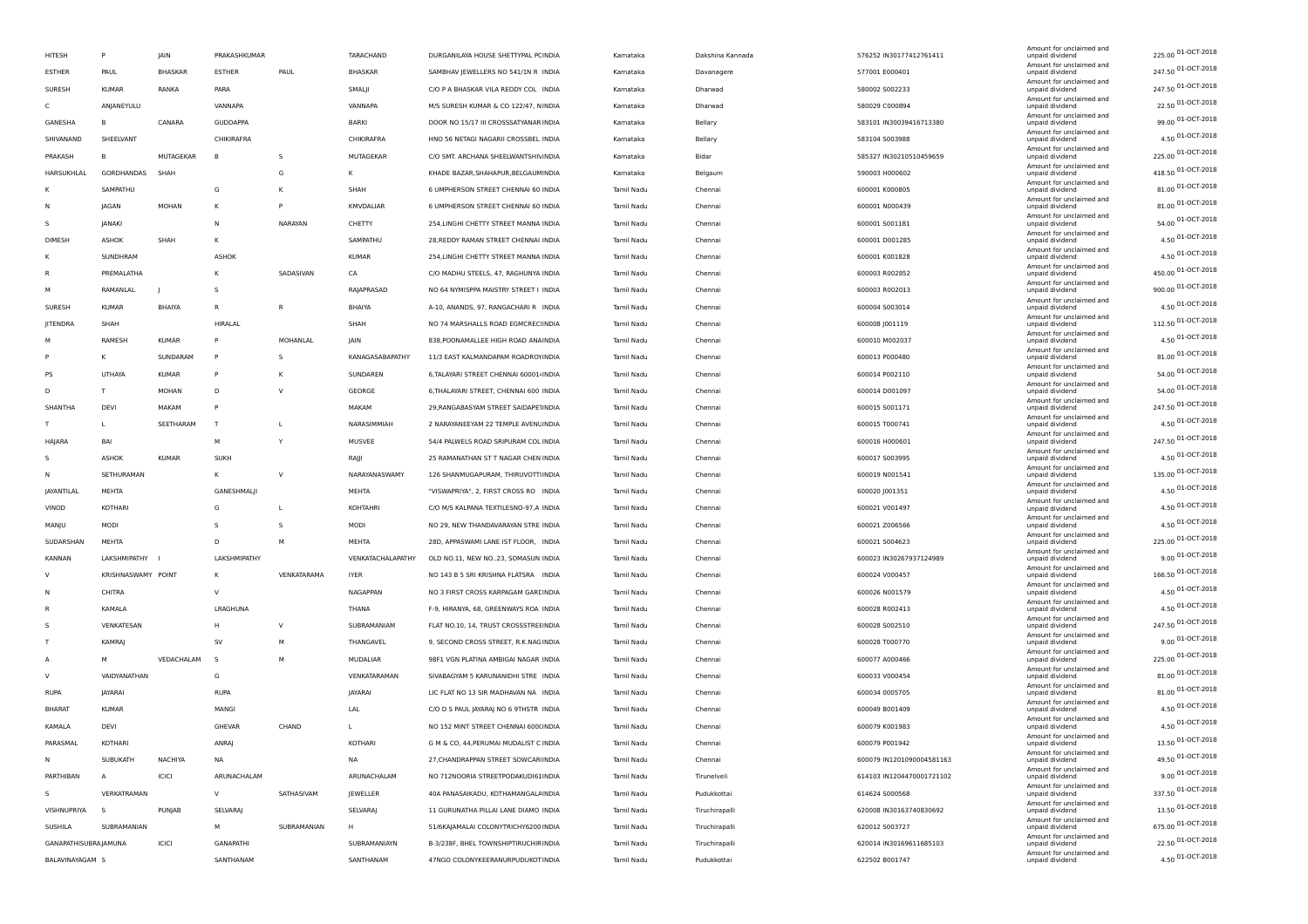|                      |                    |                |                     |             |                   |                                          |            |                  |                           | Amount for unclaimed and                    |                    |
|----------------------|--------------------|----------------|---------------------|-------------|-------------------|------------------------------------------|------------|------------------|---------------------------|---------------------------------------------|--------------------|
| HITESH               | P                  | JAIN           | <b>PRAKASHKUMAR</b> |             | TARACHAND         | DURGANILAYA HOUSE SHETTYPAL PCINDIA      | Kamataka   | Dakshina Kannada | 576252 IN30177412761411   | unpaid dividend<br>Amount for unclaimed and | 225.00 01-OCT-2018 |
| <b>ESTHER</b>        | PAUL               | <b>BHASKAR</b> | <b>ESTHER</b>       | PAUL        | BHASKAR           | SAMBHAV JEWELLERS NO 541/1N R INDIA      | Kamataka   | Davanagere       | 577001 E000401            | unpaid dividend                             | 247.50 01-OCT-2018 |
| SURESH               | <b>KUMAR</b>       | RANKA          | PARA                |             | SMALJI            | C/O P A BHASKAR VILA REDDY COL INDIA     | Kamataka   | Dharwad          | 580002 S002233            | Amount for unclaimed and<br>unpaid dividend | 247.50 01-OCT-2018 |
| C                    | ANJANEYULU         |                | VANNAPA             |             | VANNAPA           | M/S SURESH KUMAR & CO 122/47, NINDIA     | Kamataka   | Dharwad          | 580029 C000894            | Amount for unclaimed and<br>unpaid dividend | 22.50 01-OCT-2018  |
| GANESHA              | в                  | CANARA         | <b>GUDDAPPA</b>     |             | BARKI             | DOOR NO 15/17 III CROSSSATYANAR INDIA    | Kamataka   | Bellary          | 583101 IN30039416713380   | Amount for unclaimed and<br>unpaid dividend | 99.00 01-OCT-2018  |
| SHIVANAND            | SHEELVANT          |                | CHIKIRAFRA          |             | CHIKIRAFRA        | HNO 56 NETAGI NAGARII CROSSBEL INDIA     | Kamataka   | Bellary          | 583104 S003988            | Amount for unclaimed and<br>unpaid dividend | 4.50 01-OCT-2018   |
| PRAKASH              | в                  | MUTAGEKAR      | B                   | s           | MUTAGEKAR         | C/O SMT. ARCHANA SHEELWANTSHIVINDIA      | Kamataka   | Bidar            | 585327 IN30210510459659   | Amount for unclaimed and<br>unpaid dividend | 225.00 01-OCT-2018 |
| HARSUKHLAL           | GORDHANDAS         | SHAH           |                     | G           | К                 | KHADE BAZAR, SHAHAPUR, BELGAUMINDIA      | Kamataka   | Belgaum          | 590003 H000602            | Amount for unclaimed and<br>unpaid dividend | 418.50 01-OCT-2018 |
| κ                    | SAMPATHU           |                | G                   | К           | SHAH              | 6 UMPHERSON STREET CHENNAI 60 INDIA      | Tamil Nadu | Chennai          | 600001 K000805            | Amount for unclaimed and<br>unpaid dividend | 81.00 01-OCT-2018  |
| Ν                    | JAGAN              | MOHAN          | К                   | P           | KMVDALIAR         | 6 UMPHERSON STREET CHENNAI 60 INDIA      | Tamil Nadu | Chennai          |                           | Amount for unclaimed and<br>unpaid dividend | 81.00 01-OCT-2018  |
|                      |                    |                |                     |             |                   |                                          |            |                  | 600001 N000439            | Amount for unclaimed and                    | 54.00 01-OCT-2018  |
| s                    | JANAKI             |                | N                   | NARAYAN     | CHETTY            | 254, LINGHI CHETTY STREET MANNA INDIA    | Tamil Nadu | Chennai          | 600001 S001181            | unpaid dividend<br>Amount for unclaimed and | 4.50 01-OCT-2018   |
| DIMESH               | ASHOK              | SHAH           | к                   |             | SAMPATHU          | 28, REDDY RAMAN STREET CHENNAI INDIA     | Tamil Nadu | Chennai          | 600001 D001285            | unpaid dividend<br>Amount for unclaimed and |                    |
| ĸ                    | SUNDHRAM           |                | ASHOK               |             | <b>KUMAR</b>      | 254, LINGHI CHETTY STREET MANNA INDIA    | Tamil Nadu | Chennai          | 600001 K001828            | unpaid dividend<br>Amount for unclaimed and | 4.50 01-OCT-2018   |
| R                    | PREMALATHA         |                | К                   | SADASIVAN   | CA                | C/O MADHU STEELS, 47, RAGHUNYA INDIA     | Tamil Nadu | Chennai          | 600003 R002852            | unpaid dividend<br>Amount for unclaimed and | 450.00 01-OCT-2018 |
| м                    | RAMANLAL           |                | s                   |             | RAJAPRASAD        | NO 64 NYMISPPA MAISTRY STREET I INDIA    | Tamil Nadu | Chennai          | 600003 R002013            | unpaid dividend                             | 900.00 01-OCT-2018 |
| SURESH               | <b>KUMAR</b>       | BHAIYA         | $\mathsf{R}$        | R           | BHAIYA            | A-10, ANANDS, 97, RANGACHARI R INDIA     | Tamil Nadu | Chennai          | 600004 S003014            | Amount for unclaimed and<br>unpaid dividend | 4.50 01-OCT-2018   |
| JITENDRA             | SHAH               |                | HIRALAL             |             | SHAH              | NO 74 MARSHALLS ROAD EGMCREC INDIA       | Tamil Nadu | Chennai          | 600008 J001119            | Amount for unclaimed and<br>unpaid dividend | 112.50 01-OCT-2018 |
| м                    | RAMESH             | <b>KUMAR</b>   | P                   | MOHANLAL    | JAIN              | 838, POONAMALLEE HIGH ROAD ANAINDIA      | Tamil Nadu | Chennai          | 600010 M002037            | Amount for unclaimed and<br>unpaid dividend | 4.50 01-OCT-2018   |
|                      | к                  | SUNDARAM       | $\mathsf{P}$        | s           | KANAGASABAPATHY   | 11/3 EAST KALMANDAPAM ROADROYINDIA       | Tamil Nadu | Chennai          | 600013 P000480            | Amount for unclaimed and<br>unpaid dividend | 81.00 01-OCT-2018  |
| PS                   | UTHAYA             | <b>KUMAR</b>   | P                   | К           | SUNDAREN          | 6, TALAYARI STREET CHENNAI 60001 / INDIA | Tamil Nadu | Chennai          | 600014 P002110            | Amount for unclaimed and<br>unpaid dividend | 54.00 01-OCT-2018  |
| D                    | T.                 | MOHAN          | D                   | V           | GEORGE            | 6, THALAYARI STREET, CHENNAI 600 INDIA   | Tamil Nadu | Chennai          | 600014 D001097            | Amount for unclaimed and<br>unpaid dividend | 54.00 01-OCT-2018  |
| SHANTHA              | DEVI               | MAKAM          | P                   |             | MAKAM             | 29, RANGABASYAM STREET SAIDAPETINDIA     | Tamil Nadu | Chennai          | 600015 5001171            | Amount for unclaimed and<br>unpaid dividend | 247.50 01-OCT-2018 |
| T.                   | L.                 | SEETHARAM      | T                   | L           | NARASIMMIAH       | 2 NARAYANEEYAM 22 TEMPLE AVENUINDIA      |            |                  | 600015 T000741            | Amount for unclaimed and                    | 4.50 01-OCT-2018   |
|                      |                    |                |                     |             |                   |                                          | Tamil Nadu | Chennai          |                           | unpaid dividend<br>Amount for unclaimed and | 247.50 01-OCT-2018 |
| HAJARA               | <b>BAI</b>         |                | M                   | Y           | MUSVEE            | 54/4 PALWELS ROAD SRIPURAM COL INDIA     | Tamil Nadu | Chennai          | 600016 H000601            | unpaid dividend<br>Amount for unclaimed and | 4.50 01-OCT-2018   |
| s                    | ASHOK              | <b>KUMAR</b>   | <b>SUKH</b>         |             | RAJJI             | 25 RAMANATHAN ST T NAGAR CHEN INDIA      | Tamil Nadu | Chennai          | 600017 S003995            | unpaid dividend<br>Amount for unclaimed and |                    |
| N                    | SETHURAMAN         |                | к                   | $\vee$      | NARAYANASWAMY     | 126 SHANMUGAPURAM, THIRUVOTTIINDIA       | Tamil Nadu | Chennai          | 600019 N001541            | unpaid dividend<br>Amount for unclaimed and | 135.00 01-OCT-2018 |
| JAYANTILAL           | MEHTA              |                | GANESHMALJI         |             | MEHTA             | "VISWAPRIYA", 2, FIRST CROSS RO INDIA    | Tamil Nadu | Chennai          | 600020 J001351            | unpaid dividend<br>Amount for unclaimed and | 4.50 01-OCT-2018   |
| VINOD                | KOTHARI            |                | G                   | L           | KOHTAHRI          | C/O M/S KALPANA TEXTILESNO-97,A INDIA    | Tamil Nadu | Chennai          | 600021 V001497            | unpaid dividend                             | 4.50 01-OCT-2018   |
| MANJU                | MODI               |                | S.                  | s           | MODI              | NO 29, NEW THANDAVARAYAN STRE INDIA      | Tamil Nadu | Chennai          | 600021 Z006566            | Amount for unclaimed and<br>unpaid dividend | 4.50 01-OCT-2018   |
| SUDARSHAN            | MEHTA              |                | D                   | M           | MEHTA             | 28D, APPASWAMI LANE IST FLOOR, INDIA     | Tamil Nadu | Chennai          | 600021 S004623            | Amount for unclaimed and<br>unpaid dividend | 225.00 01-OCT-2018 |
| KANNAN               | LAKSHMIPATHY       |                | LAKSHMIPATHY        |             | VENKATACHALAPATHY | OLD NO.11, NEW NO23, SOMASUN INDIA       | Tamil Nadu | Chennai          | 600023 IN30267937124989   | Amount for unclaimed and<br>unpaid dividend | 9.00 01-OCT-2018   |
| v                    | KRISHNASWAMY POINT |                | К                   | VENKATARAMA | <b>IYER</b>       | NO 143 B 5 SRI KRISHNA FLATSRA INDIA     | Tamil Nadu | Chennai          | 600024 V000457            | Amount for unclaimed and<br>unpaid dividend | 166.50 01-OCT-2018 |
| N                    | CHITRA             |                | $\vee$              |             | NAGAPPAN          | NO 3 FIRST CROSS KARPAGAM GARLINDIA      | Tamil Nadu | Chennai          | 600026 N001579            | Amount for unclaimed and<br>unpaid dividend | 4.50 01-OCT-2018   |
| R                    | KAMALA             |                | LRAGHUNA            |             | THANA             | F-9, HIRANYA, 68, GREENWAYS ROA INDIA    | Tamil Nadu | Chennai          | 600028 R002413            | Amount for unclaimed and<br>unpaid dividend | 4.50 01-OCT-2018   |
| s                    | VENKATESAN         |                | H                   | V           | SUBRAMANIAM       | FLAT NO.10, 14, TRUST CROSSSTREHNDIA     | Tamil Nadu | Chennai          | 600028 S002510            | Amount for unclaimed and<br>unpaid dividend | 247.50 01-OCT-2018 |
| т                    | KAMRAJ             |                | <b>SV</b>           | M           | THANGAVEL         | 9, SECOND CROSS STREET, R.K.NAGINDIA     | Tamil Nadu | Chennai          | 600028 T000770            | Amount for unclaimed and<br>unpaid dividend | 9.00 01-OCT-2018   |
|                      |                    |                |                     |             |                   |                                          |            |                  |                           | Amount for unclaimed and                    | 225.00 01-OCT-2018 |
| A                    | M                  | VEDACHALAM     | $\mathsf{s}$        | M           | MUDALIAR          | 98F1 VGN PLATINA AMBIGAI NAGAR INDIA     | Tamil Nadu | Chennai          | 600077 A000466            | unpaid dividend<br>Amount for unclaimed and | 81.00 01-OCT-2018  |
| V                    | VAIDYANATHAN       |                | G                   |             | VENKATARAMAN      | SIVABAGYAM 5 KARUNANIDHI STRE INDIA      | Tamil Nadu | Chennai          | 600033 V000454            | unpaid dividend<br>Amount for unclaimed and | 81.00 01-OCT-2018  |
| RUPA                 | JAYARAI            |                | <b>RUPA</b>         |             | JAYARAI           | LIC FLAT NO 13 SIR MADHAVAN NA INDIA     | Tamil Nadu | Chennai          | 600034 0005705            | unpaid dividend<br>Amount for unclaimed and |                    |
| <b>BHARAT</b>        | KUMAR              |                | MANGI               |             | <b>LAL</b>        | C/O D S PAUL JAYARAJ NO 6 9THSTR INDIA   | Tamil Nadu | Chennai          | 600049 B001409            | unpaid dividend<br>Amount for unclaimed and | 4.50 01-OCT-2018   |
| KAMALA               | DEVI               |                | GHEVAR              | CHAND       |                   | NO 152 MINT STREET CHENNAI 600(INDIA     | Tamil Nadu | Chennai          | 600079 K001983            | unpaid dividend<br>Amount for unclaimed and | 4.50 01-OCT-2018   |
| PARASMAL             | KOTHARI            |                | ANRAJ               |             | KOTHARI           | G M & CO, 44, PERUMAI MUDALIST C INDIA   | Tamil Nadu | Chennai          | 600079 P001942            | unpaid dividend                             | 13.50 01-OCT-2018  |
| N                    | SUBUKATH           | NACHIYA        | <b>NA</b>           |             | <b>NA</b>         | 27, CHANDRAPPAN STREET SOWCAR INDIA      | Tamil Nadu | Chennai          | 600079 IN1201090004581163 | Amount for unclaimed and<br>unpaid dividend | 49.50 01-OCT-2018  |
| PARTHIBAN            | А                  | ICICI          | ARUNACHALAM         |             | ARUNACHALAM       | NO 712NOORIA STREETPODAKUDI61INDIA       | Tamil Nadu | Tirunelveli      | 614103 IN1204470001721102 | Amount for unclaimed and<br>unpaid dividend | 9.00 01-OCT-2018   |
| s                    | VERKATRAMAN        |                | v                   | SATHASIVAM  | JEWELLER          | 40A PANASAIKADU, KOTHAMANGALA INDIA      | Tamil Nadu | Pudukkottai      | 614624 S000568            | Amount for unclaimed and<br>unpaid dividend | 337.50 01-OCT-2018 |
| VISHNUPRIYA          | s                  | PUNJAB         | SELVARAJ            |             | SELVARAJ          | 11 GURUNATHA PILLAI LANE DIAMO INDIA     | Tamil Nadu | Tiruchirapalli   | 620008 IN30163740830692   | Amount for unclaimed and<br>unpaid dividend | 13.50 01-OCT-2018  |
| SUSHILA              | SUBRAMANIAN        |                | M                   | SUBRAMANIAN | H                 | 51/6KAJAMALAI COLONYTRICHY6200 INDIA     | Tamil Nadu | Tiruchirapalli   | 620012 S003727            | Amount for unclaimed and<br>unpaid dividend | 675.00 01-OCT-2018 |
| GANAPATHISUBRAJAMUNA |                    | ICICI          | GANAPATHI           |             | SUBRAMANIAYN      | B-3/238F, BHEL TOWNSHIPTIRUCHIR INDIA    | Tamil Nadu | Tiruchirapalli   | 620014 IN30169611685103   | Amount for unclaimed and<br>unpaid dividend | 22.50 01-OCT-2018  |
| BALAVINAYAGAM S      |                    |                | SANTHANAM           |             | SANTHANAM         | 47NGO COLONYKEERANURPUDUKOT INDIA        | Tamil Nadu | Pudukkottai      | 622502 B001747            | Amount for unclaimed and<br>unpaid dividend | 4.50 01-OCT-2018   |
|                      |                    |                |                     |             |                   |                                          |            |                  |                           |                                             |                    |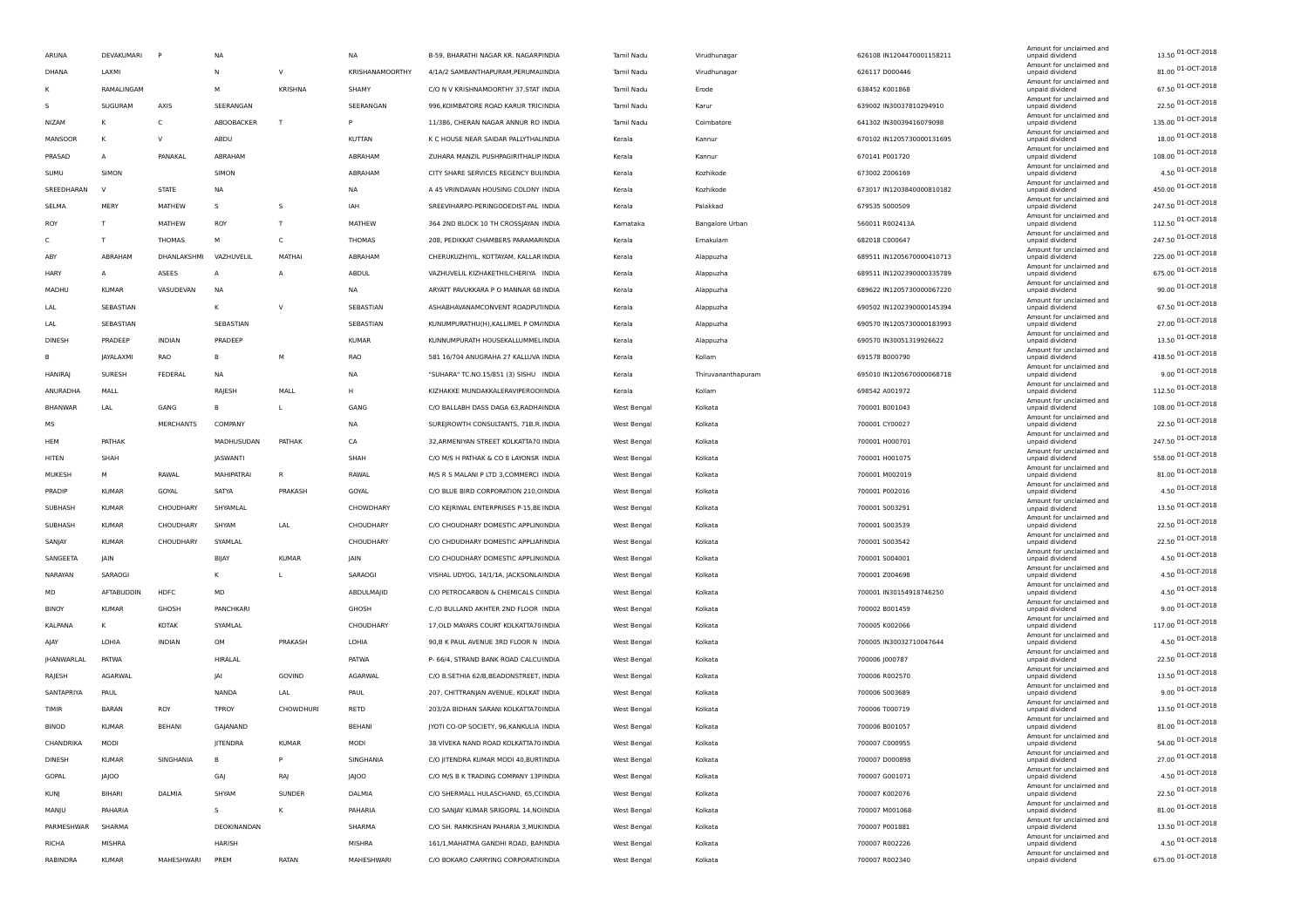|   | ARUNA          | DEVAKUMARI     | $\mathsf{P}$  | NA          |                | <b>NA</b>              | B-59, BHARATHI NAGAR KR. NAGARPINDIA    | Tamil Nadu                 | Virudhunagar       | 626108 IN1204470001158211        | Amount for unclaimed and<br>unpaid dividend | 13.50 01-OCT-2018                      |
|---|----------------|----------------|---------------|-------------|----------------|------------------------|-----------------------------------------|----------------------------|--------------------|----------------------------------|---------------------------------------------|----------------------------------------|
|   | DHANA          | LAXMI          |               | N           | $\vee$         | <b>KRISHANAMOORTHY</b> | 4/1A/2 SAMBANTHAPURAM, PERUMAI INDIA    | Tamil Nadu                 | Virudhunagar       | 626117 D000446                   | Amount for unclaimed and<br>unpaid dividend | 81.00 01-OCT-2018                      |
|   |                | RAMALINGAM     |               | м           | <b>KRISHNA</b> | SHAMY                  | C/O N V KRISHNAMOORTHY 37, STAT INDIA   | Tamil Nadu                 | Erode              | 638452 K001868                   | Amount for unclaimed and<br>unpaid dividend | 67.50 01-OCT-2018                      |
| s |                | SUGURAM        | AXIS          | SEERANGAN   |                | SEERANGAN              | 996, KOIMBATORE ROAD KARUR TRICINDIA    | Tamil Nadu                 | Karur              | 639002 IN30037810294910          | Amount for unclaimed and<br>unpaid dividend | 22.50 01-OCT-2018                      |
|   | NIZAM          | κ              | C             | ABOOBACKER  | T              | P                      | 11/386, CHERAN NAGAR ANNUR RO INDIA     | Tamil Nadu                 | Coimbatore         | 641302 IN30039416079098          | Amount for unclaimed and<br>unpaid dividend | 135.00 01-OCT-2018                     |
|   | MANSOOR        | K              | v             | ABDU        |                | KUTTAN                 | K C HOUSE NEAR SAIDAR PALLYTHAL INDIA   | Kerala                     | Kannur             | 670102 IN1205730000131695        | Amount for unclaimed and<br>unpaid dividend | 18.00 01-OCT-2018                      |
|   | PRASAD         | $\overline{A}$ | PANAKAL       | ABRAHAM     |                | ABRAHAM                | ZUHARA MANZIL PUSHPAGIRITHALIP INDIA    | Kerala                     | Kannur             | 670141 P001720                   | Amount for unclaimed and<br>unpaid dividend | 108.00 01-OCT-2018                     |
|   | SUMU           | SIMON          |               | SIMON       |                | ABRAHAM                | CITY SHARE SERVICES REGENCY BULINDIA    | Kerala                     | Kozhikode          | 673002 Z006169                   | Amount for unclaimed and<br>unpaid dividend | 4.50 01-OCT-2018                       |
|   | SREEDHARAN     | N              | <b>STATE</b>  | NA          |                | NA                     | A 45 VRINDAVAN HOUSING COLONY INDIA     | Kerala                     | Kozhikode          | 673017 IN1203840000810182        | Amount for unclaimed and<br>unpaid dividend | 450.00 01-OCT-2018                     |
|   | SELMA          | MERY           | MATHEW        | s           | s              | IAH                    | SREEVIHARPO-PERINGODEDIST-PAL INDIA     | Kerala                     | Palakkad           | 679535 S000509                   | Amount for unclaimed and<br>unpaid dividend | 247.50 01-OCT-2018                     |
|   | ROY            | T              | MATHEW        | ROY         | T              | MATHEW                 | 364 2ND BLOCK 10 TH CROSSJAYAN INDIA    | Karnataka                  | Bangalore Urban    | 560011 R002413A                  | Amount for unclaimed and<br>unpaid dividend | 112.50 01-OCT-2018                     |
| C |                | T              | THOMAS        | M           | c              | <b>THOMAS</b>          | 208, PEDIKKAT CHAMBERS PARAMAFINDIA     | Kerala                     | Ernakulam          | 682018 C000647                   | Amount for unclaimed and<br>unpaid dividend | 247.50 01-OCT-2018                     |
|   | ABY            | ABRAHAM        | DHANLAKSHMI   | VAZHUVELIL  | MATHAI         | ABRAHAM                | CHERUKUZHIYIL, KOTTAYAM, KALLAR INDIA   | Kerala                     | Alappuzha          | 689511 IN1205670000410713        | Amount for unclaimed and<br>unpaid dividend | 225.00 01-OCT-2018                     |
|   | <b>HARY</b>    | A              | ASEES         | A           | Α              | ABDUL                  | VAZHUVELIL KIZHAKETHILCHERIYA INDIA     | Kerala                     | Alappuzha          | 689511 IN1202390000335789        | Amount for unclaimed and<br>unpaid dividend | 675.00 01-OCT-2018                     |
|   | MADHU          | KUMAR          | VASUDEVAN     | NA          |                | NA                     | ARYATT PAVUKKARA P O MANNAR 68 INDIA    | Kerala                     | Alappuzha          | 689622 IN1205730000067220        | Amount for unclaimed and<br>unpaid dividend | 90.00 01-OCT-2018                      |
|   | LAL            | SEBASTIAN      |               | К           | $\vee$         | SEBASTIAN              | ASHABHAVANAMCONVENT ROADPUTINDIA        | Kerala                     | Alappuzha          | 690502 IN1202390000145394        | Amount for unclaimed and<br>unpaid dividend | 67.50 01-OCT-2018                      |
|   | LAL            | SEBASTIAN      |               | SEBASTIAN   |                | SEBASTIAN              | KUNUMPURATHU(H), KALLIMEL P OM/INDIA    | Kerala                     | Alappuzha          | 690570 IN1205730000183993        | Amount for unclaimed and<br>unpaid dividend | 27.00 01-OCT-2018                      |
|   | DINESH         | PRADEEP        | <b>INDIAN</b> | PRADEEP     |                | <b>KUMAR</b>           | KUNNUMPURATH HOUSEKALLUMMEL INDIA       | Kerala                     | Alappuzha          | 690570 IN30051319926622          | Amount for unclaimed and<br>unpaid dividend | 13.50 01-OCT-2018                      |
| в |                | JAYALAXMI      | <b>RAO</b>    | B           | M              | RAO                    | 581 16/704 ANUGRAHA 27 KALLUVA INDIA    | Kerala                     | Kollam             | 691578 B000790                   | Amount for unclaimed and<br>unpaid dividend | 418.50 01-OCT-2018                     |
|   | <b>HANIRAJ</b> | <b>SURESH</b>  | FEDERAL       | NA          |                | NA                     | "SUHARA" TC.NO.15/851 (3) SISHU INDIA   | Kerala                     | Thiruvananthapuram | 695010 IN1205670000068718        | Amount for unclaimed and<br>unpaid dividend | 9.00 01-OCT-2018                       |
|   | ANURADHA       | MALL           |               | RAJESH      | MALL           | H                      | KIZHAKKE MUNDAKKALERAVIPEROOIINDIA      | Kerala                     | Kollam             | 698542 A001972                   | Amount for unclaimed and<br>unpaid dividend | 112.50 01-OCT-2018                     |
|   | <b>BHANWAR</b> | LAL            | GANG          | R           | L              | GANG                   | C/O BALLABH DASS DAGA 63, RADHAINDIA    | West Bengal                | Kolkata            | 700001 B001043                   | Amount for unclaimed and<br>unpaid dividend | 108.00 01-OCT-2018                     |
|   | МS             |                | MERCHANTS     | COMPANY     |                | NA                     | SUREJROWTH CONSULTANTS, 71B.R. INDIA    | West Bengal                | Kolkata            | 700001 CY00027                   | Amount for unclaimed and<br>unpaid dividend | 22.50 01-OCT-2018                      |
|   | HEM            | PATHAK         |               | MADHUSUDAN  | PATHAK         | CA                     | 32, ARMENIYAN STREET KOLKATTA70 INDIA   | West Bengal                | Kolkata            | 700001 H000701                   | Amount for unclaimed and<br>unpaid dividend | 247.50 01-OCT-2018                     |
|   | HITEN          | SHAH           |               | JASWANTI    |                | SHAH                   | C/O M/S H PATHAK & CO 8 LAYONSR INDIA   | West Bengal                | Kolkata            | 700001 H001075                   | Amount for unclaimed and<br>unpaid dividend | 558.00 01-OCT-2018                     |
|   | MUKESH         | м              | RAWAL         | MAHIPATRAI  | R              | RAWAL                  | M/S R S MALANI P LTD 3, COMMERCI INDIA  | West Bengal                | Kolkata            | 700001 M002019                   | Amount for unclaimed and<br>unpaid dividend | 81.00 01-OCT-2018                      |
|   | PRADIP         | <b>KUMAR</b>   | GOYAL         | SATYA       | PRAKASH        | GOYAL                  | C/O BLUE BIRD CORPORATION 210, CINDIA   | West Bengal                | Kolkata            | 700001 P002016                   | Amount for unclaimed and<br>unpaid dividend | 4.50 01-OCT-2018                       |
|   | SUBHASH        | <b>KUMAR</b>   | CHOUDHARY     | SHYAMLAL    |                | CHOWDHARY              | C/O KEJRIWAL ENTERPRISES P-15, BE INDIA | West Bengal                | Kolkata            | 700001 5003291                   | Amount for unclaimed and<br>unpaid dividend | 13.50 01-OCT-2018                      |
|   | SUBHASH        | <b>KUMAR</b>   | CHOUDHARY     | SHYAM       | LAL            | CHOUDHARY              | C/O CHOUDHARY DOMESTIC APPLIN(INDIA     | West Bengal                | Kolkata            | 700001 S003539                   | Amount for unclaimed and<br>unpaid dividend | 22.50 01-OCT-2018                      |
|   | SANJAY         | <b>KUMAR</b>   | CHOUDHARY     | SYAMLAL     |                | CHOUDHARY              | C/O CHDUDHARY DOMESTIC APPLIAI INDIA    | West Bengal                | Kolkata            | 700001 S003542                   | Amount for unclaimed and<br>unpaid dividend | 22.50 01-OCT-2018                      |
|   | SANGEETA       | JAIN           |               | BIJAY       | <b>KUMAR</b>   | JAIN                   | C/O CHOUDHARY DOMESTIC APPLIN(INDIA     |                            | Kolkata            |                                  | Amount for unclaimed and<br>unpaid dividend | 4.50 01-OCT-2018                       |
|   | NARAYAN        | SARAOGI        |               | ĸ           | L              | SARAOGI                | VISHAL UDYOG, 14/1/1A, JACKSONLA INDIA  | West Bengal<br>West Bengal | Kolkata            | 700001 S004001<br>700001 Z004698 | Amount for unclaimed and<br>unpaid dividend | 4.50 01-OCT-2018                       |
|   | MD             | AFTABUDDIN     | HDFC          | MD          |                | ABDULMAJID             | C/O PETROCARBON & CHEMICALS CHNDIA      |                            | Kolkata            | 700001 IN30154918746250          | Amount for unclaimed and                    | 4.50 01-OCT-2018                       |
|   |                | <b>KUMAR</b>   |               |             |                |                        |                                         | West Bengal                |                    |                                  | unpaid dividend<br>Amount for unclaimed and | 9.00 01-OCT-2018                       |
|   | <b>BINOY</b>   |                | GHOSH         | PANCHKARI   |                | GHOSH                  | C./O BULLAND AKHTER 2ND FLOOR INDIA     | West Bengal                | Kolkata            | 700002 B001459                   | unpaid dividend<br>Amount for unclaimed and | 117.00 01-OCT-2018                     |
|   | KALPANA        | κ              | KOTAK         | SYAMLAL     |                | CHOUDHARY              | 17, OLD MAYARS COURT KOLKATTA70 INDIA   | West Bengal                | Kolkata            | 700005 K002066                   | unpaid dividend<br>Amount for unclaimed and | 4.50 01-OCT-2018                       |
|   | AJAY           | LOHIA          | INDIAN        | OM          | PRAKASH        | LOHIA                  | 90,B K PAUL AVENUE 3RD FLOOR N INDIA    | West Bengal                | Kolkata            | 700005 IN30032710047644          | unpaid dividend<br>Amount for unclaimed and | 22.50 01-OCT-2018                      |
|   | JHANWARLAL     | PATWA          |               | HIRALAL     |                | PATWA                  | P- 66/4, STRAND BANK ROAD CALCUINDIA    | West Bengal                | Kolkata            | 700006 J000787                   | unpaid dividend<br>Amount for unclaimed and | 13.50 01-OCT-2018                      |
|   | RAJESH         | AGARWAL        |               | JAI         | GOVIND         | AGARWAL                | C/O B.SETHIA 62/B, BEADONSTREET, INDIA  | West Bengal                | Kolkata            | 700006 R002570                   | unpaid dividend<br>Amount for unclaimed and | 9.00 01-OCT-2018                       |
|   | SANTAPRIYA     | PAUL           |               | NANDA       | LAL            | PAUL                   | 207, CHITTRANJAN AVENUE, KOLKAT INDIA   | West Bengal                | Kolkata            | 700006 S003689                   | unpaid dividend<br>Amount for unclaimed and |                                        |
|   | TIMIR          | <b>BARAN</b>   | ROY           | TPROY       | CHOWDHURI      | RETD                   | 203/2A BIDHAN SARANI KOLKATTA70INDIA    | West Bengal                | Kolkata            | 700006 T000719                   | unpaid dividend<br>Amount for unclaimed and | 13.50 01-OCT-2018                      |
|   | <b>BINOD</b>   | <b>KUMAR</b>   | <b>BEHANI</b> | GAJANAND    |                | <b>BEHANI</b>          | JYOTI CO-OP SOCIETY, 96, KANKULIA INDIA | West Bengal                | Kolkata            | 700006 B001057                   | unpaid dividend<br>Amount for unclaimed and | 81.00 01-OCT-2018                      |
|   | CHANDRIKA      | MODI           |               | JITENDRA    | <b>KUMAR</b>   | MODI                   | 38 VIVEKA NAND ROAD KOLKATTA70 INDIA    | West Bengal                | Kolkata            | 700007 C000955                   | unpaid dividend<br>Amount for unclaimed and | 54.00 01-OCT-2018<br>27.00 01-OCT-2018 |
|   | DINESH         | <b>KUMAR</b>   | SINGHANIA     | B           | P              | SINGHANIA              | C/O JITENDRA KUMAR MODI 40, BURTINDIA   | West Bengal                | Kolkata            | 700007 D000898                   | unpaid dividend<br>Amount for unclaimed and |                                        |
|   | GOPAL          | JAJOO          |               | GAJ         | RAJ            | <b>JAJOO</b>           | C/O M/S B K TRADING COMPANY 13P INDIA   | West Bengal                | Kolkata            | 700007 G001071                   | unpaid dividend<br>Amount for unclaimed and | 4.50 01-OCT-2018                       |
|   | <b>KUNJ</b>    | BIHARI         | DALMIA        | SHYAM       | SUNDER         | DALMIA                 | C/O SHERMALL HULASCHAND, 65, C(INDIA    | West Bengal                | Kolkata            | 700007 K002076                   | unpaid dividend<br>Amount for unclaimed and | 22.50 01-OCT-2018                      |
|   | MANJU          | PAHARIA        |               | -S          | κ              | PAHARIA                | C/O SANJAY KUMAR SRIGOPAL 14, NOINDIA   | West Bengal                | Kolkata            | 700007 M001068                   | unpaid dividend<br>Amount for unclaimed and | 81.00 01-OCT-2018                      |
|   | PARMESHWAR     | SHARMA         |               | DEOKINANDAN |                | SHARMA                 | C/O SH. RAMKISHAN PAHARIA 3, MUKINDIA   | West Bengal                | Kolkata            | 700007 P001881                   | unpaid dividend<br>Amount for unclaimed and | 13.50 01-OCT-2018                      |
|   | RICHA          | MISHRA         |               | HARISH      |                | MISHRA                 | 161/1, MAHATMA GANDHI ROAD, BANNDIA     | West Bengal                | Kolkata            | 700007 R002226                   | unpaid dividend<br>Amount for unclaimed and | 4.50 01-OCT-2018                       |
|   | RABINDRA       | KUMAR          | MAHESHWARI    | PREM        | RATAN          | MAHESHWARI             | C/O BOKARO CARRYING CORPORATI(INDIA     | West Bengal                | Kolkata            | 700007 R002340                   | unpaid dividend                             | 675.00 01-OCT-2018                     |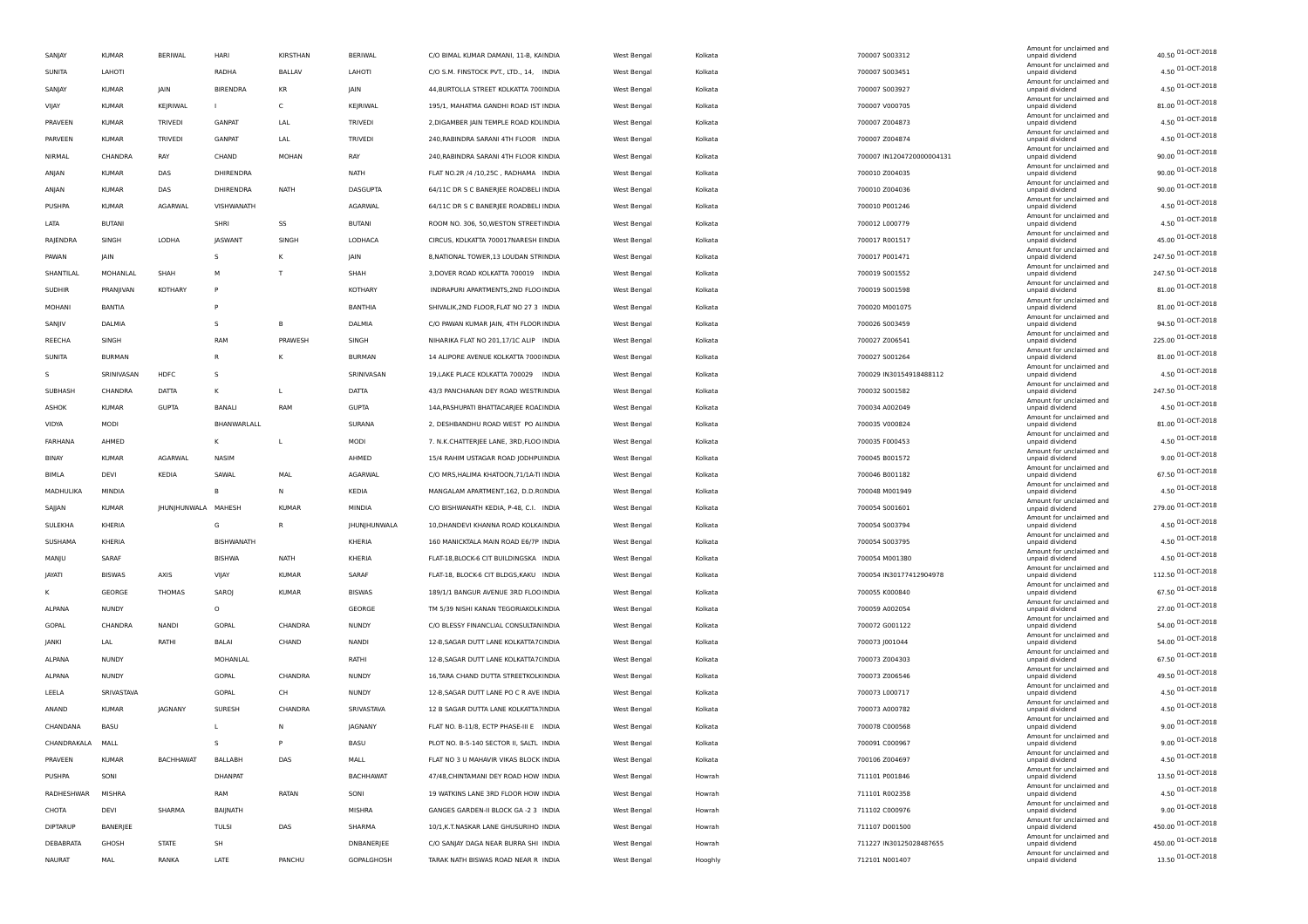| SANJAY           | <b>KUMAR</b>  | <b>BERIWAL</b>      | HARI            | KIRSTHAN       | BERIWAL          | C/O BIMAL KUMAR DAMANI, 11-B, KAINDIA   | West Bengal | Kolkata | 700007 S003312            | Amount for unclaimed and<br>unpaid dividend | 40.50 01-OCT-2018   |
|------------------|---------------|---------------------|-----------------|----------------|------------------|-----------------------------------------|-------------|---------|---------------------------|---------------------------------------------|---------------------|
| SUNITA           | LAHOTI        |                     | RADHA           | <b>BALLAV</b>  | LAHOTI           | C/O S.M. FINSTOCK PVT., LTD., 14, INDIA | West Bengal | Kolkata | 700007 S003451            | Amount for unclaimed and<br>unpaid dividend | $4.50$ 01-OCT-2018  |
| SANJAY           | <b>KUMAR</b>  | JAIN                | <b>BIRENDRA</b> | KR             | JAIN             | 44, BURTOLLA STREET KOLKATTA 700 INDIA  | West Bengal | Kolkata | 700007 S003927            | Amount for unclaimed and<br>unpaid dividend | 4.50 01-OCT-2018    |
| VIJAY            | <b>KUMAR</b>  | KEJRIWAL            | $\mathbf{L}$    | $\mathsf{C}$   | KEJRIWAL         | 195/1, MAHATMA GANDHI ROAD IST INDIA    | West Bengal | Kolkata | 700007 V000705            | Amount for unclaimed and<br>unpaid dividend | 81.00 01-OCT-2018   |
| PRAVEEN          | KUMAR         | <b>TRIVEDI</b>      | <b>GANPAT</b>   | LAL            | TRIVEDI          | 2, DIGAMBER JAIN TEMPLE ROAD KOLINDIA   | West Bengal | Kolkata | 700007 Z004873            | Amount for unclaimed and<br>unpaid dividend | 4.50 01-OCT-2018    |
| PARVEEN          | <b>KUMAR</b>  | <b>TRIVEDI</b>      | <b>GANPAT</b>   | LAL            | <b>TRIVEDI</b>   | 240, RABINDRA SARANI 4TH FLOOR INDIA    | West Bengal | Kolkata | 700007 Z004874            | Amount for unclaimed and<br>unpaid dividend | 4.50 01-OCT-2018    |
| NIRMAL           | CHANDRA       | RAY                 | CHAND           | MOHAN          | RAY              | 240, RABINDRA SARANI 4TH FLOOR KINDIA   | West Bengal | Kolkata | 700007 IN1204720000004131 | Amount for unclaimed and<br>unpaid dividend | 90.00 01-OCT-2018   |
| ANJAN            | <b>KUMAR</b>  | DAS                 | DHIRENDRA       |                | NATH             | FLAT NO.2R /4 /10,25C, RADHAMA INDIA    | West Bengal | Kolkata | 700010 Z004035            | Amount for unclaimed and<br>unpaid dividend | 90.00 01-OCT-2018   |
| ANJAN            | <b>KUMAR</b>  | DAS                 | DHIRENDRA       | <b>NATH</b>    | DASGUPTA         | 64/11C DR S C BANERJEE ROADBELI INDIA   | West Bengal | Kolkata | 700010 Z004036            | Amount for unclaimed and<br>unpaid dividend | 90.00 01-OCT-2018   |
| PUSHPA           | KUMAR         | AGARWAL             | VISHWANATH      |                | AGARWAL          | 64/11C DR S C BANERJEE ROADBELI INDIA   | West Bengal | Kolkata | 700010 P001246            | Amount for unclaimed and<br>unpaid dividend | 4.50 01-OCT-2018    |
| LATA             | <b>BUTANI</b> |                     | SHRI            | SS             | <b>BUTANI</b>    | ROOM NO. 306, 50, WESTON STREET INDIA   | West Bengal | Kolkata | 700012 L000779            | Amount for unclaimed and<br>unpaid dividend | 4.50 01-OCT-2018    |
| RAJENDRA         | SINGH         | LODHA               | <b>JASWANT</b>  | SINGH          | LODHACA          | CIRCUS, KOLKATTA 700017NARESH EINDIA    | West Bengal | Kolkata | 700017 R001517            | Amount for unclaimed and<br>unpaid dividend | 45.00 01-OCT-2018   |
| PAWAN            | JAIN          |                     | $\mathsf{s}$    | К              | JAIN             | 8, NATIONAL TOWER, 13 LOUDAN STRINDIA   | West Bengal | Kolkata | 700017 P001471            | Amount for unclaimed and<br>unpaid dividend | 247.50 01-OCT-2018  |
| SHANTILAL        | MOHANLAL      | SHAH                | M               | $\mathsf{T}$   | SHAH             |                                         |             |         |                           | Amount for unclaimed and                    | 247.50 01-OCT-2018  |
|                  |               |                     | P               |                |                  | 3, DOVER ROAD KOLKATTA 700019 INDIA     | West Bengal | Kolkata | 700019 S001552            | unpaid dividend<br>Amount for unclaimed and | 81.00 01-OCT-2018   |
| <b>SUDHIR</b>    | PRANJIVAN     | KOTHARY             |                 |                | KOTHARY          | INDRAPURI APARTMENTS, 2ND FLOO INDIA    | West Bengal | Kolkata | 700019 S001598            | unpaid dividend<br>Amount for unclaimed and | 81.00 01-OCT-2018   |
| MOHANI           | BANTIA        |                     | $\mathbf{D}$    |                | BANTHIA          | SHIVALIK, 2ND FLOOR, FLAT NO 27 3 INDIA | West Bengal | Kolkata | 700020 M001075            | unpaid dividend<br>Amount for unclaimed and | 94.50 01-OCT-2018   |
| SANJIV           | DALMIA        |                     | -S              | B              | DALMIA           | C/O PAWAN KUMAR JAIN, 4TH FLOOR INDIA   | West Bengal | Kolkata | 700026 S003459            | unpaid dividend<br>Amount for unclaimed and | 225.00 01-OCT-2018  |
| REECHA           | SINGH         |                     | RAM             | PRAWESH        | SINGH            | NIHARIKA FLAT NO 201,17/1C ALIP INDIA   | West Bengal | Kolkata | 700027 Z006541            | unpaid dividend<br>Amount for unclaimed and |                     |
| SUNITA           | <b>BURMAN</b> |                     | $\mathsf{R}$    | К              | <b>BURMAN</b>    | 14 ALIPORE AVENUE KOLKATTA 7000 INDIA   | West Bengal | Kolkata | 700027 S001264            | unpaid dividend<br>Amount for unclaimed and | 81.00 01-OCT-2018   |
| s                | SRINIVASAN    | HDFC                | s               |                | SRINIVASAN       | 19, LAKE PLACE KOLKATTA 700029 INDIA    | West Bengal | Kolkata | 700029 IN30154918488112   | unpaid dividend<br>Amount for unclaimed and | 4.50 01-OCT-2018    |
| SUBHASH          | CHANDRA       | <b>DATTA</b>        | к               | $\mathbf{L}$   | <b>DATTA</b>     | 43/3 PANCHANAN DEY ROAD WESTRINDIA      | West Bengal | Kolkata | 700032 S001582            | unpaid dividend<br>Amount for unclaimed and | 247.50 01-OCT-2018  |
| ASHOK            | <b>KUMAR</b>  | <b>GUPTA</b>        | <b>BANALI</b>   | RAM            | <b>GUPTA</b>     | 14A, PASHUPATI BHATTACARJEE ROALINDIA   | West Bengal | Kolkata | 700034 A002049            | unpaid dividend<br>Amount for unclaimed and | 4.50 01-OCT-2018    |
| VIDYA            | MODI          |                     | BHANWARLALL     |                | SURANA           | 2, DESHBANDHU ROAD WEST PO ALINDIA      | West Bengal | Kolkata | 700035 V000824            | unpaid dividend<br>Amount for unclaimed and | 81.00 01-OCT-2018   |
| FARHANA          | AHMED         |                     | K               | L.             | MODI             | 7. N.K.CHATTERJEE LANE, 3RD, FLOO INDIA | West Bengal | Kolkata | 700035 F000453            | unpaid dividend<br>Amount for unclaimed and | 4.50 01-OCT-2018    |
| <b>BINAY</b>     | KUMAR         | AGARWAL             | NASIM           |                | AHMED            | 15/4 RAHIM USTAGAR ROAD JODHPUINDIA     | West Bengal | Kolkata | 700045 B001572            | unpaid dividend<br>Amount for unclaimed and | 9.00 01-OCT-2018    |
| BIMLA            | DEVI          | KEDIA               | SAWAL           | MAL            | AGARWAL          | C/O MRS, HALIMA KHATOON, 71/1A-TI INDIA | West Bengal | Kolkata | 700046 B001182            | unpaid dividend                             | 67.50 01-OCT-2018   |
| MADHULIKA        | MINDIA        |                     | B               | N              | KEDIA            | MANGALAM APARTMENT, 162, D.D.R(INDIA    | West Bengal | Kolkata | 700048 M001949            | Amount for unclaimed and<br>unpaid dividend | 4.50 01-OCT-2018    |
| SAJJAN           | <b>KUMAR</b>  | JHUNJHUNWALA MAHESH |                 | <b>KUMAR</b>   | MINDIA           | C/O BISHWANATH KEDIA, P-48, C.I. INDIA  | West Bengal | Kolkata | 700054 S001601            | Amount for unclaimed and<br>unpaid dividend | 279.00 01-OCT-2018  |
| SULEKHA          | KHERIA        |                     | G               | $\overline{R}$ | JHUNJHUNWALA     | 10, DHANDEVI KHANNA ROAD KOLKA INDIA    | West Bengal | Kolkata | 700054 S003794            | Amount for unclaimed and<br>unpaid dividend | 4.50 01-OCT-2018    |
| SUSHAMA          | KHERIA        |                     | BISHWANATH      |                | KHERIA           | 160 MANICKTALA MAIN ROAD E6/7P INDIA    | West Bengal | Kolkata | 700054 S003795            | Amount for unclaimed and<br>unpaid dividend | 4.50 01-OCT-2018    |
| MANJU            | SARAF         |                     | <b>BISHWA</b>   | <b>NATH</b>    | KHERIA           | FLAT-18, BLOCK-6 CIT BUILDINGSKA INDIA  | West Bengal | Kolkata | 700054 M001380            | Amount for unclaimed and<br>unpaid dividend | 4.50 01-OCT-2018    |
| JAYATI           | <b>BISWAS</b> | AXIS                | VIJAY           | <b>KUMAR</b>   | SARAF            | FLAT-18, BLOCK-6 CIT BLDGS, KAKU INDIA  | West Bengal | Kolkata | 700054 IN30177412904978   | Amount for unclaimed and<br>unpaid dividend | 112.50 01-OCT-2018  |
| к                | GEORGE        | <b>THOMAS</b>       | SAROJ           | <b>KUMAR</b>   | <b>BISWAS</b>    | 189/1/1 BANGUR AVENUE 3RD FLOO INDIA    | West Bengal | Kolkata | 700055 K000840            | Amount for unclaimed and<br>unpaid dividend | 67.50 01-OCT-2018   |
| ALPANA           | <b>NUNDY</b>  |                     | $\circ$         |                | GEORGE           | TM 5/39 NISHI KANAN TEGORIAKOLK INDIA   | West Bengal | Kolkata | 700059 A002054            | Amount for unclaimed and<br>unpaid dividend | 27.00 01-OCT-2018   |
| GOPAL            | CHANDRA       | NANDI               | GOPAL           | CHANDRA        | <b>NUNDY</b>     | C/O BLESSY FINANCLIAL CONSULTAN INDIA   | West Bengal | Kolkata | 700072 G001122            | Amount for unclaimed and<br>unpaid dividend | 54.00 01-OCT-2018   |
| JANKI            | LAL           | RATHI               | BALAI           | CHAND          | NANDI            | 12-B, SAGAR DUTT LANE KOLKATTA7(INDIA   | West Bengal | Kolkata | 700073 J001044            | Amount for unclaimed and<br>unpaid dividend | 54.00 01-OCT-2018   |
| ALPANA           | NUNDY         |                     | MOHANLAL        |                | RATHI            | 12-B, SAGAR DUTT LANE KOLKATTA7(INDIA   | West Bengal | Kolkata | 700073 Z004303            | Amount for unclaimed and<br>unpaid dividend | 67.50 01-OCT-2018   |
| ALPANA           | NUNDY         |                     | GOPAL           | CHANDRA        | <b>NUNDY</b>     | 16, TARA CHAND DUTTA STREETKOLK INDIA   | West Bengal | Kolkata | 700073 Z006546            | Amount for unclaimed and<br>unpaid dividend | 49.50 01-OCT-2018   |
| LEELA            | SRIVASTAVA    |                     | GOPAL           | CH             | <b>NUNDY</b>     | 12-B, SAGAR DUTT LANE PO C R AVE INDIA  | West Bengal | Kolkata | 700073 L000717            | Amount for unclaimed and<br>unpaid dividend | 4.50 01-OCT-2018    |
| ANAND            | <b>KUMAR</b>  | JAGNANY             | SURESH          | CHANDRA        | SRIVASTAVA       | 12 B SAGAR DUTTA LANE KOLKATTA7INDIA    | West Bengal | Kolkata | 700073 A000782            | Amount for unclaimed and<br>unpaid dividend | 4.50 01-OCT-2018    |
| CHANDANA         | BASU          |                     |                 | N              | JAGNANY          | FLAT NO. B-11/8, ECTP PHASE-III E INDIA | West Bengal | Kolkata | 700078 C000568            | Amount for unclaimed and<br>unpaid dividend | $9.00\ 01-OCT-2018$ |
| CHANDRAKALA MALL |               |                     | $\mathsf{s}$    | P              | BASU             | PLOT NO. B-5-140 SECTOR II, SALTL INDIA | West Bengal | Kolkata | 700091 C000967            | Amount for unclaimed and<br>unpaid dividend | $9.0001-OCT-2018$   |
| PRAVEEN          | <b>KUMAR</b>  | <b>BACHHAWAT</b>    | BALLABH         | DAS            | MALL             | FLAT NO 3 U MAHAVIR VIKAS BLOCK INDIA   | West Bengal | Kolkata | 700106 Z004697            | Amount for unclaimed and<br>unpaid dividend | 4.50 01-OCT-2018    |
| PUSHPA           | SONI          |                     | DHANPAT         |                | <b>BACHHAWAT</b> | 47/48, CHINTAMANI DEY ROAD HOW INDIA    |             | Howrah  | 711101 P001846            | Amount for unclaimed and                    | 13.50 01-OCT-2018   |
|                  |               |                     |                 |                |                  |                                         | West Bengal |         |                           | unpaid dividend<br>Amount for unclaimed and | 4.50 01-OCT-2018    |
| RADHESHWAR       | MISHRA        |                     | RAM             | RATAN          | SONI             | 19 WATKINS LANE 3RD FLOOR HOW INDIA     | West Bengal | Howrah  | 711101 R002358            | unpaid dividend<br>Amount for unclaimed and | 9.00 01-OCT-2018    |
| CHOTA            | DEVI          | SHARMA              | BAIJNATH        |                | <b>MISHRA</b>    | GANGES GARDEN-II BLOCK GA -2 3 INDIA    | West Bengal | Howrah  | 711102 C000976            | unpaid dividend<br>Amount for unclaimed and | 450.00 01-OCT-2018  |
| <b>DIPTARUP</b>  | BANERJEE      |                     | TULSI           | DAS            | SHARMA           | 10/1,K.T.NASKAR LANE GHUSURIHO INDIA    | West Bengal | Howrah  | 711107 D001500            | unpaid dividend<br>Amount for unclaimed and | 450.00 01-OCT-2018  |
| DEBABRATA        | GHOSH         | <b>STATE</b>        | SH              |                | DNBANERJEE       | C/O SANJAY DAGA NEAR BURRA SHI INDIA    | West Bengal | Howrah  | 711227 IN30125028487655   | unpaid dividend<br>Amount for unclaimed and |                     |
| <b>NAURAT</b>    | MAL           | RANKA               | LATE            | PANCHU         | GOPALGHOSH       | TARAK NATH BISWAS ROAD NEAR R INDIA     | West Bengal | Hooghly | 712101 N001407            | unpaid dividend                             | 13.50 01-OCT-2018   |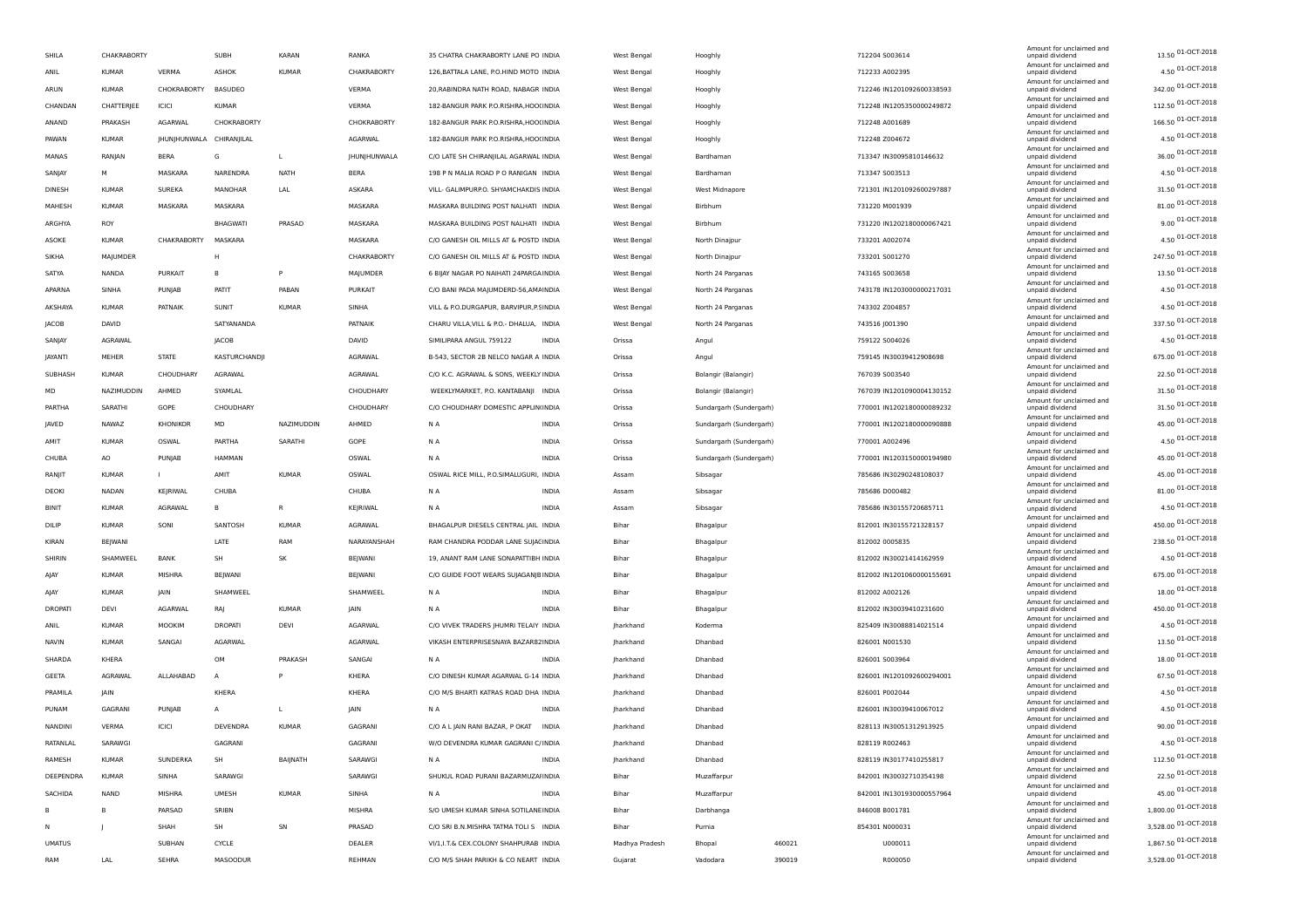| SHILA          | CHAKRABORTY  |                          | SUBH                 | KARAN        | RANKA               | 35 CHATRA CHAKRABORTY LANE PO INDIA      |              | West Bengal      | Hooghly                 |        | 712204 S003614            | Amount for unclaimed and<br>unpaid dividend | 13.50 01-OCT-2018    |
|----------------|--------------|--------------------------|----------------------|--------------|---------------------|------------------------------------------|--------------|------------------|-------------------------|--------|---------------------------|---------------------------------------------|----------------------|
| ANIL           | KUMAR        | VERMA                    | ASHOK                | KUMAR        | CHAKRABORTY         | 126, BATTALA LANE, P.O.HIND MOTO INDIA   |              | West Bengal      | Hooghly                 |        | 712233 A002395            | Amount for unclaimed and<br>unpaid dividend | 4.50 01-OCT-2018     |
| ARUN           | <b>KUMAR</b> | CHOKRABORTY              | BASUDEO              |              | VERMA               | 20, RABINDRA NATH ROAD, NABAGR INDIA     |              | West Bengal      | Hooghly                 |        | 712246 IN1201092600338593 | Amount for unclaimed and<br>unpaid dividend | 342.00 01-OCT-2018   |
| CHANDAN        | CHATTERJEE   | ICICI                    | KUMAR                |              | VERMA               | 182-BANGUR PARK P.O.RISHRA, HOO(INDIA    |              | West Bengal      | Hooghly                 |        | 712248 IN1205350000249872 | Amount for unclaimed and<br>unpaid dividend | 112.50 01-OCT-2018   |
| ANAND          | PRAKASH      | <b>AGARWAL</b>           | CHOKRABORTY          |              | CHOKRABORTY         | 182-BANGUR PARK P.O.RISHRA, HOO(INDIA    |              | West Bengal      | Hooghly                 |        | 712248 A001689            | Amount for unclaimed and<br>unpaid dividend | 166.50 01-OCT-2018   |
| PAWAN          | <b>KUMAR</b> | JHUNJHUNWALA CHIRANJILAL |                      |              | AGARWAL             | 182-BANGUR PARK P.O.RISHRA, HOO(INDIA    |              | West Bengal      |                         |        | 712248 Z004672            | Amount for unclaimed and<br>unpaid dividend | 4.50 01-OCT-2018     |
|                |              |                          |                      |              |                     |                                          |              |                  | Hooghly                 |        |                           | Amount for unclaimed and                    | 36.00 01-OCT-2018    |
| MANAS          | RANJAN       | BERA                     | G                    | L            | <b>IHUNIHUNWALA</b> | C/O LATE SH CHIRANJILAL AGARWAL INDIA    |              | West Bengal      | Bardhaman               |        | 713347 IN30095810146632   | unpaid dividend<br>Amount for unclaimed and | 4.50 01-OCT-2018     |
| SANJAY         | м            | MASKARA                  | NARENDRA             | <b>NATH</b>  | BERA                | 198 P N MALIA ROAD P O RANIGAN INDIA     |              | West Bengal      | Bardhaman               |        | 713347 5003513            | unpaid dividend<br>Amount for unclaimed and |                      |
| <b>DINESH</b>  | <b>KUMAR</b> | SUREKA                   | MANOHAR              | LAL          | ASKARA              | VILL- GALIMPURP.O. SHYAMCHAKDIS INDIA    |              | West Bengal      | West Midnapore          |        | 721301 IN1201092600297887 | unpaid dividend<br>Amount for unclaimed and | 31.50 01-OCT-2018    |
| MAHESH         | <b>KUMAR</b> | MASKARA                  | MASKARA              |              | MASKARA             | MASKARA BUILDING POST NALHATI INDIA      |              | West Bengal      | Birbhum                 |        | 731220 M001939            | unpaid dividend<br>Amount for unclaimed and | 81.00 01-OCT-2018    |
| ARGHYA         | ROY          |                          | <b>BHAGWATI</b>      | PRASAD       | MASKARA             | MASKARA BUILDING POST NALHATI INDIA      |              | West Bengal      | Birbhum                 |        | 731220 IN1202180000067421 | unpaid dividend<br>Amount for unclaimed and | 9.00 01-OCT-2018     |
| ASOKE          | <b>KUMAR</b> | CHAKRABORTY              | MASKARA              |              | MASKARA             | C/O GANESH OIL MILLS AT & POSTD INDIA    |              | West Bengal      | North Dinajpur          |        | 733201 A002074            | unpaid dividend                             | 4.50 01-OCT-2018     |
| SIKHA          | MAJUMDER     |                          | Н                    |              | CHAKRABORTY         | C/O GANESH OIL MILLS AT & POSTD INDIA    |              | West Bengal      | North Dinajpur          |        | 733201 S001270            | Amount for unclaimed and<br>unpaid dividend | 247.50 01-OCT-2018   |
| SATYA          | NANDA        | <b>PURKAIT</b>           | в                    | P            | MAJUMDER            | 6 BIJAY NAGAR PO NAIHATI 24PARGA INDIA   |              | West Bengal      | North 24 Parganas       |        | 743165 S003658            | Amount for unclaimed and<br>unpaid dividend | 13.50 01-OCT-2018    |
| APARNA         | SINHA        | PUNJAB                   | PATIT                | PABAN        | PURKAIT             | C/O BANI PADA MAJUMDERD-56,AMAINDIA      |              | West Bengal      | North 24 Parganas       |        | 743178 IN1203000000217031 | Amount for unclaimed and<br>unpaid dividend | 4.50 01-OCT-2018     |
| AKSHAYA        | <b>KUMAR</b> | PATNAIK                  | SUNIT                | <b>KUMAR</b> | SINHA               | VILL & P.O.DURGAPUR, BARVIPUR, P.SINDIA  |              | West Bengal      | North 24 Parganas       |        | 743302 Z004857            | Amount for unclaimed and<br>unpaid dividend | 4.50 01-OCT-2018     |
| JACOB          | DAVID        |                          | SATYANANDA           |              | PATNAIK             | CHARU VILLA, VILL & P.O. - DHALUA, INDIA |              | West Bengal      | North 24 Parganas       |        | 743516 J001390            | Amount for unclaimed and<br>unpaid dividend | 337.50 01-OCT-2018   |
| SANJAY         | AGRAWAL      |                          | JACOB                |              | DAVID               | SIMILIPARA ANGUL 759122                  | <b>INDIA</b> | Orissa           | Angul                   |        | 759122 S004026            | Amount for unclaimed and<br>unpaid dividend | 4.50 01-OCT-2018     |
| JAYANTI        | MEHER        | <b>STATE</b>             | <b>KASTURCHANDJI</b> |              | AGRAWAL             | B-543, SECTOR 2B NELCO NAGAR A INDIA     |              | Orissa           | Angul                   |        | 759145 IN30039412908698   | Amount for unclaimed and<br>unpaid dividend | 675.00 01-OCT-2018   |
| SUBHASH        | <b>KUMAR</b> | CHOUDHARY                | AGRAWAL              |              | AGRAWAL             | C/O K.C. AGRAWAL & SONS, WEEKLY INDIA    |              | Orissa           | Bolangir (Balangir)     |        | 767039 S003540            | Amount for unclaimed and<br>unpaid dividend | 22.50 01-OCT-2018    |
|                |              |                          |                      |              |                     |                                          |              |                  |                         |        |                           | Amount for unclaimed and                    | 31.50 01-OCT-2018    |
| MD             | NAZIMUDDIN   | AHMED                    | SYAMLAL              |              | CHOUDHARY           | WEEKLYMARKET, P.O. KANTABANJI INDIA      |              | Orissa           | Bolangir (Balangir)     |        | 767039 IN1201090004130152 | unpaid dividend<br>Amount for unclaimed and | 31.50 01-OCT-2018    |
| PARTHA         | SARATHI      | GOPE                     | CHOUDHARY            |              | CHOUDHARY           | C/O CHOUDHARY DOMESTIC APPLIN(INDIA      |              | Orissa           | Sundargarh (Sundergarh) |        | 770001 IN1202180000089232 | unpaid dividend<br>Amount for unclaimed and | 45.00 01-OCT-2018    |
| JAVED          | NAWAZ        | <b>KHONIKOR</b>          | MD                   | NAZIMUDDIN   | AHMED               | N A                                      | INDIA        | Orissa           | Sundargarh (Sundergarh) |        | 770001 IN1202180000090888 | unpaid dividend<br>Amount for unclaimed and |                      |
| AMIT           | <b>KUMAR</b> | OSWAL                    | PARTHA               | SARATHI      | GOPE                | N A                                      | INDIA        | Orissa           | Sundargarh (Sundergarh) |        | 770001 A002496            | unpaid dividend<br>Amount for unclaimed and | 4.50 01-OCT-2018     |
| CHUBA          | AO           | PUNJAB                   | HAMMAN               |              | OSWAL               | N A                                      | <b>INDIA</b> | Orissa           | Sundargarh (Sundergarh) |        | 770001 IN1203150000194980 | unpaid dividend<br>Amount for unclaimed and | 45.00 01-OCT-2018    |
| RANJIT         | <b>KUMAR</b> |                          | AMIT                 | <b>KUMAR</b> | OSWAL               | OSWAL RICE MILL, P.O.SIMALUGURI, INDIA   |              | Assam            | Sibsagar                |        | 785686 IN30290248108037   | unpaid dividend<br>Amount for unclaimed and | 45.00 01-OCT-2018    |
| DEOKI          | <b>NADAN</b> | KEJRIWAL                 | CHUBA                |              | CHUBA               | N <sub>A</sub>                           | <b>INDIA</b> | Assam            | Sibsagar                |        | 785686 D000482            | unpaid dividend                             | 81.00 01-OCT-2018    |
| <b>BINIT</b>   | <b>KUMAR</b> | AGRAWAL                  | в                    | R            | KEJRIWAL            | N A                                      | <b>INDIA</b> | Assam            | Sibsagar                |        | 785686 IN30155720685711   | Amount for unclaimed and<br>unpaid dividend | 4.50 01-OCT-2018     |
| DILIP          | <b>KUMAR</b> | SONI                     | SANTOSH              | KUMAR        | AGRAWAL             | BHAGALPUR DIESELS CENTRAL JAIL INDIA     |              | Bihar            | Bhagalpur               |        | 812001 IN30155721328157   | Amount for unclaimed and<br>unpaid dividend | 450.00 01-OCT-2018   |
| KIRAN          | BEJWANI      |                          | LATE                 | RAM          | NARAYANSHAH         | RAM CHANDRA PODDAR LANE SUJACINDIA       |              | Bihar            | Bhagalpur               |        | 812002 0005835            | Amount for unclaimed and<br>unpaid dividend | 238.50 01-OCT-2018   |
| SHIRIN         | SHAMWEEL     | <b>BANK</b>              | SH                   | SK           | BEJWANI             | 19, ANANT RAM LANE SONAPATTIBH INDIA     |              | Bihar            | Bhagalpur               |        | 812002 IN30021414162959   | Amount for unclaimed and<br>unpaid dividend | 4.50 01-OCT-2018     |
| AJAY           | <b>KUMAR</b> | MISHRA                   | BEJWANI              |              | BEJWANI             | C/O GUIDE FOOT WEARS SUJAGANJB INDIA     |              | Bihar            | Bhagalpur               |        | 812002 IN1201060000155691 | Amount for unclaimed and<br>unpaid dividend | 675.00 01-OCT-2018   |
| AJAY           | <b>KUMAR</b> | JAIN                     | SHAMWEEL             |              | SHAMWEEL            | ΝA                                       | INDIA        | Bihar            | Bhagalpur               |        | 812002 A002126            | Amount for unclaimed and<br>unpaid dividend | 18.00 01-OCT-2018    |
| <b>DROPATI</b> | DEVI         | AGARWAL                  | RAJ                  | KUMAR        | JAIN                | N A                                      | INDIA        | Bihar            | Bhagalpur               |        | 812002 IN30039410231600   | Amount for unclaimed and<br>unpaid dividend | 450.00 01-OCT-2018   |
| ANIL           | <b>KUMAR</b> | MOOKIM                   | <b>DROPATI</b>       | <b>DEVI</b>  | AGARWAL             | C/O VIVEK TRADERS JHUMRI TELAIY INDIA    |              | Jharkhand        | Koderma                 |        | 825409 IN30088814021514   | Amount for unclaimed and<br>unpaid dividend | 4.50 01-OCT-2018     |
| <b>NAVIN</b>   | <b>KUMAR</b> | SANGAI                   | AGARWAL              |              | AGARWAL             |                                          |              |                  | Dhanbad                 |        |                           | Amount for unclaimed and                    | 13.50 01-OCT-2018    |
|                |              |                          |                      |              |                     | VIKASH ENTERPRISESNAYA BAZAR82 INDIA     |              | Jharkhand        |                         |        | 826001 N001530            | unpaid dividend<br>Amount for unclaimed and | 18.00 01-OCT-2018    |
| SHARDA         | KHERA        |                          | OM                   | PRAKASH      | SANGAI              | N A                                      | <b>INDIA</b> | Jharkhand        | Dhanbad                 |        | 826001 5003964            | unpaid dividend<br>Amount for unclaimed and | 67.50 01-OCT-2018    |
| GEETA          | AGRAWAL      | ALLAHABAD                | $\overline{A}$       | P            | KHERA               | C/O DINESH KUMAR AGARWAL G-14 INDIA      |              | <b>Jharkhand</b> | Dhanbad                 |        | 826001 IN1201092600294001 | unpaid dividend<br>Amount for unclaimed and |                      |
| PRAMILA        | JAIN         |                          | KHERA                |              | KHERA               | C/O M/S BHARTI KATRAS ROAD DHA INDIA     |              | Jharkhand        | Dhanbad                 |        | 826001 P002044            | unpaid dividend<br>Amount for unclaimed and | 4.50 01-OCT-2018     |
| PUNAM          | GAGRAN       | PUNJAB                   | A                    | $\mathbf{L}$ | JAIN                | N A                                      | <b>INDIA</b> | Jharkhand        | Dhanbad                 |        | 826001 IN30039410067012   | unpaid dividend<br>Amount for unclaimed and | 4.50 01-OCT-2018     |
| NANDINI        | VERMA        | ICICI                    | <b>DEVENDRA</b>      | <b>KUMAR</b> | GAGRANI             | C/O A L JAIN RANI BAZAR, P OKAT INDIA    |              | Iharkhand        | Dhanbad                 |        | 828113 IN30051312913925   | unpaid dividend<br>Amount for unclaimed and | 90.00 01-OCT-2018    |
| RATANLAL       | SARAWGI      |                          | GAGRANI              |              | GAGRANI             | W/O DEVENDRA KUMAR GAGRANI C/ INDIA      |              | Jharkhand        | Dhanbad                 |        | 828119 R002463            | ınpaid divir<br>Amount for unclaimed and    | 4.50 01-OCT-2018     |
| RAMESH         | <b>KUMAR</b> | SUNDERKA                 | SH                   | BAIJNATH     | SARAWGI             | N A                                      | <b>INDIA</b> | Jharkhand        | Dhanbad                 |        | 828119 IN30177410255817   | unpaid dividend                             | 112.50 01-OCT-2018   |
| DEEPENDRA      | <b>KUMAR</b> | SINHA                    | SARAWGI              |              | SARAWGI             | SHUKUL ROAD PURANI BAZARMUZAHNDIA        |              | Bihar            | Muzaffarpur             |        | 842001 IN30032710354198   | Amount for unclaimed and<br>unpaid dividend | 22.50 01-OCT-2018    |
| SACHIDA        | <b>NAND</b>  | MISHRA                   | <b>UMESH</b>         | <b>KUMAR</b> | SINHA               | N A                                      | <b>INDIA</b> | Bihar            | Muzaffarpur             |        | 842001 IN1301930000557964 | Amount for unclaimed and<br>unpaid dividend | 45.00 01-OCT-2018    |
| B              | B            | PARSAD                   | SRIBN                |              | <b>MISHRA</b>       | S/O UMESH KUMAR SINHA SOTILANE INDIA     |              | Bihar            | Darbhanga               |        | 846008 B001781            | Amount for unclaimed and<br>unpaid dividend | 1,800.00 01-OCT-2018 |
| N              |              | SHAH                     | SH                   | SN           | PRASAD              | C/O SRI B.N.MISHRA TATMA TOLI S INDIA    |              | Bihar            | Purnia                  |        | 854301 N000031            | Amount for unclaimed and<br>unpaid dividend | 3,528.00 01-OCT-2018 |
| <b>UMATUS</b>  |              | SUBHAN                   | <b>CYCLE</b>         |              | DEALER              | VI/1, I.T.& CEX.COLONY SHAHPURAB INDIA   |              | Madhya Pradesh   | Bhopal                  | 460021 | U000011                   | Amount for unclaimed and<br>unpaid dividend | 1,867.50 01-OCT-2018 |
| RAM            | LAL          | SEHRA                    | MASOODUR             |              | REHMAN              | C/O M/S SHAH PARIKH & CO NEART INDIA     |              | Gujarat          | Vadodara                | 390019 | R000050                   | Amount for unclaimed and<br>unpaid dividend | 3,528.00 01-OCT-2018 |
|                |              |                          |                      |              |                     |                                          |              |                  |                         |        |                           |                                             |                      |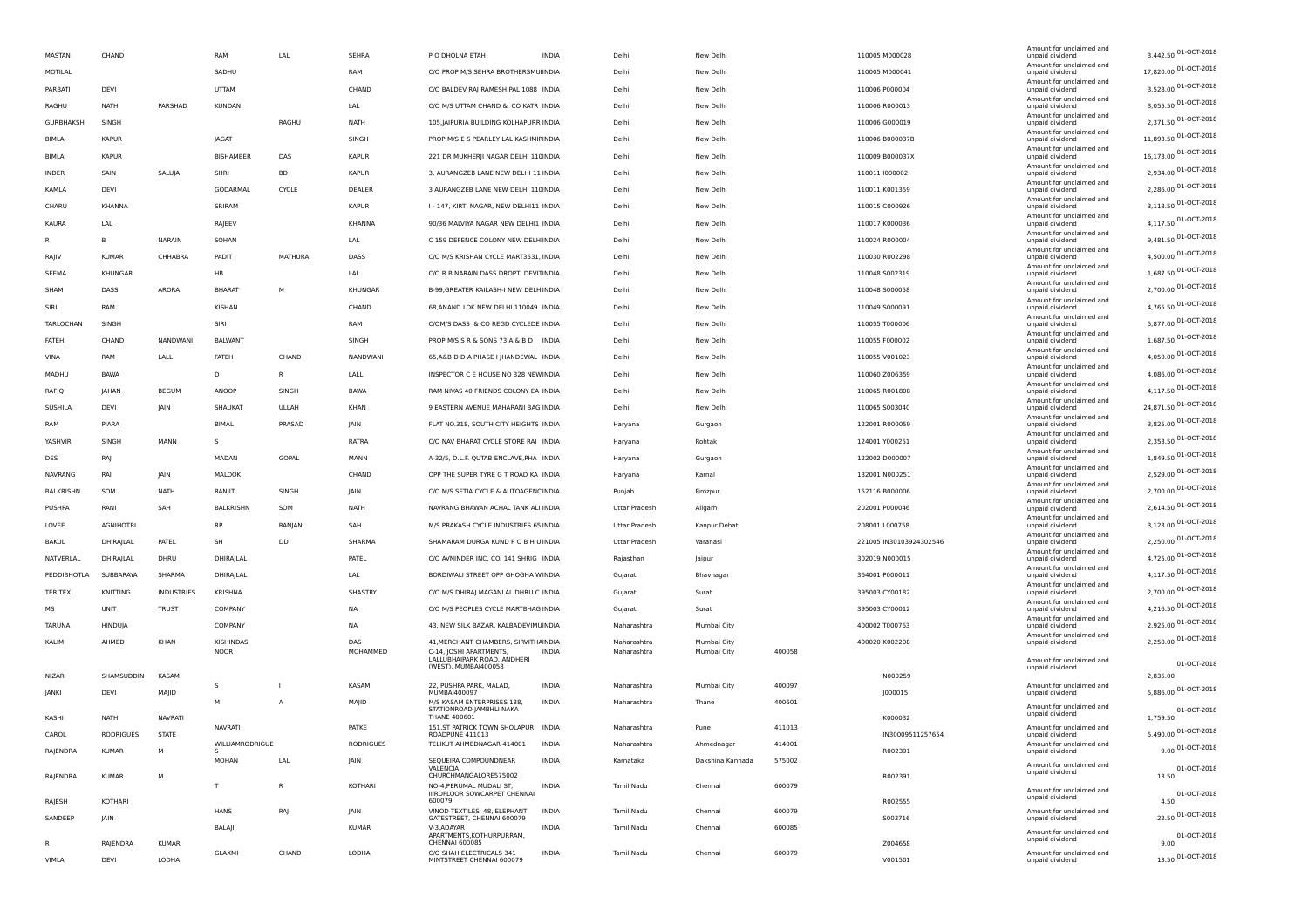|                  |                  |                |                 |              |                  |                                                            |              |                      |                  |        |                         | Amount for unclaimed and                    |                         |
|------------------|------------------|----------------|-----------------|--------------|------------------|------------------------------------------------------------|--------------|----------------------|------------------|--------|-------------------------|---------------------------------------------|-------------------------|
| MASTAN           | CHAND            |                | RAM             | LAL          | SEHRA            | P O DHOLNA ETAH                                            | <b>INDIA</b> | Delhi                | New Delhi        |        | 110005 M000028          | unpaid dividend<br>Amount for unclaimed and | 3,442.50 01-OCT-2018    |
| MOTILAL          |                  |                | SADHU           |              | RAM              | C/O PROP M/S SEHRA BROTHERSMU INDIA                        |              | Delhi                | New Delhi        |        | 110005 M000041          | unpaid dividend                             | 17,820.00 01-OCT-2018   |
| PARBATI          | DEVI             |                | UTTAM           |              | CHAND            | C/O BALDEV RAJ RAMESH PAL 1088 INDIA                       |              | Delhi                | New Delhi        |        | 110006 P000004          | Amount for unclaimed and<br>unpaid dividend | 3,528.00 01-OCT-2018    |
| RAGHU            | <b>NATH</b>      | PARSHAD        | <b>KUNDAN</b>   |              | LAL              | C/O M/S UTTAM CHAND & CO KATR INDIA                        |              | Delhi                | New Delhi        |        | 110006 R000013          | Amount for unclaimed and<br>unpaid dividend | 3,055.50 01-OCT-2018    |
| GURBHAKSH        | SINGH            |                |                 | RAGHU        | NATH             | 105, JAIPURIA BUILDING KOLHAPURR INDIA                     |              | Delhi                | New Delhi        |        | 110006 G000019          | Amount for unclaimed and<br>unpaid dividend | 2,371.50 01-OCT-2018    |
| BIMLA            | <b>KAPUR</b>     |                | JAGAT           |              | SINGH            | PROP M/S E S PEARLEY LAL KASHMIFINDIA                      |              | Delhi                | New Delhi        |        | 110006 B000037B         | Amount for unclaimed and<br>unpaid dividend | 11,893.50 01-OCT-2018   |
|                  |                  |                |                 |              |                  |                                                            |              |                      |                  |        |                         | Amount for unclaimed and                    | 16,173.00 01-OCT-2018   |
| BIMLA            | <b>KAPUR</b>     |                | BISHAMBER       | DAS          | <b>KAPUR</b>     | 221 DR MUKHERJI NAGAR DELHI 11(INDIA                       |              | Delhi                | New Delhi        |        | 110009 B000037X         | unpaid dividend<br>Amount for unclaimed and |                         |
| INDER            | SAIN             | SALUJA         | SHRI            | <b>BD</b>    | <b>KAPUR</b>     | 3, AURANGZEB LANE NEW DELHI 11 INDIA                       |              | Delhi                | New Delhi        |        | 110011 1000002          | unpaid dividend<br>Amount for unclaimed and | 2,934.00 01-OCT-2018    |
| KAMLA            | DEVI             |                | GODARMAL        | CYCLE        | DEALER           | 3 AURANGZEB LANE NEW DELHI 11(INDIA                        |              | Delhi                | New Delhi        |        | 110011 K001359          | unpaid dividend<br>Amount for unclaimed and | 2,286.00 01-OCT-2018    |
| CHARU            | KHANNA           |                | SRIRAM          |              | <b>KAPUR</b>     | I - 147. KIRTI NAGAR, NEW DELHI11 INDIA                    |              | Delhi                | New Delhi        |        | 110015 C000926          | unpaid dividend                             | 3,118.50 01-OCT-2018    |
| KAURA            | LAL              |                | RAJEEV          |              | KHANNA           | 90/36 MALVIYA NAGAR NEW DELHI1 INDIA                       |              | Delhi                | New Delhi        |        | 110017 K000036          | Amount for unclaimed and<br>unpaid dividend | 4,117.50 01-OCT-2018    |
| R                | B                | NARAIN         | SOHAN           |              | LAL              | C 159 DEFENCE COLONY NEW DELH INDIA                        |              | Delhi                | New Delhi        |        | 110024 R000004          | Amount for unclaimed and<br>unpaid dividend | 9,481.50 01-OCT-2018    |
| RAJIV            | <b>KUMAR</b>     | CHHABRA        | PADIT           | MATHURA      | DASS             | C/O M/S KRISHAN CYCLE MART3531, INDIA                      |              | Delhi                | New Delhi        |        | 110030 R002298          | Amount for unclaimed and<br>unpaid dividend | 4,500.00 01-OCT-2018    |
| SEEMA            | KHUNGAR          |                | HB              |              | LAL              | C/O R B NARAIN DASS DROPTI DEVITINDIA                      |              | Delhi                | New Delhi        |        | 110048 5002319          | Amount for unclaimed and<br>unpaid dividend | 1,687.50 01-OCT-2018    |
|                  |                  |                |                 |              |                  |                                                            |              |                      |                  |        |                         | Amount for unclaimed and                    | 2,700.00 01-OCT-2018    |
| SHAM             | DASS             | ARORA          | <b>BHARAT</b>   | M            | KHUNGAR          | B-99, GREATER KAILASH-I NEW DELH INDIA                     |              | Delhi                | New Delhi        |        | 110048 5000058          | unpaid dividend<br>Amount for unclaimed and |                         |
| SIRI             | RAM              |                | KISHAN          |              | CHAND            | 68, ANAND LOK NEW DELHI 110049 INDIA                       |              | Delhi                | New Delhi        |        | 110049 S000091          | unpaid dividend<br>Amount for unclaimed and | 4,765.50 01-OCT-2018    |
| TARLOCHAN        | SINGH            |                | SIRI            |              | RAM              | C/OM/S DASS & CO REGD CYCLEDE INDIA                        |              | Delhi                | New Delhi        |        | 110055 T000006          | unpaid dividend                             | 5,877.00 01-OCT-2018    |
| FATEH            | CHAND            | NANDWANI       | <b>BALWANT</b>  |              | SINGH            | PROP M/S S R & SONS 73 A & B D INDIA                       |              | Delhi                | New Delhi        |        | 110055 F000002          | Amount for unclaimed and<br>unpaid dividend | 1,687.50 01-OCT-2018    |
| VINA             | RAM              | LALL           | FATEH           | CHAND        | NANDWANI         | 65, A&B D D A PHASE I JHANDEWAL INDIA                      |              | Delhi                | New Delhi        |        | 110055 V001023          | Amount for unclaimed and<br>unpaid dividend | 4,050.00 01-OCT-2018    |
| MADHU            | <b>BAWA</b>      |                | D               | R            | LALL             | INSPECTOR C E HOUSE NO 328 NEWINDIA                        |              | Delhi                | New Delhi        |        | 110060 Z006359          | Amount for unclaimed and<br>unpaid dividend | 4,086.00 01-OCT-2018    |
| RAFIQ            | JAHAN            | <b>BEGUM</b>   | ANOOP           | SINGH        | <b>BAWA</b>      | RAM NIVAS 40 FRIENDS COLONY EA INDIA                       |              | Delhi                | New Delhi        |        | 110065 R001808          | Amount for unclaimed and<br>unpaid dividend | 4,117.50 01-OCT-2018    |
|                  |                  |                |                 |              |                  |                                                            |              |                      |                  |        |                         | Amount for unclaimed and                    | 24,871.50 01-OCT-2018   |
| SUSHILA          | DEVI             | JAIN           | SHAUKAT         | ULLAH        | KHAN             | 9 EASTERN AVENUE MAHARANI BAG INDIA                        |              | Delhi                | New Delhi        |        | 110065 5003040          | unpaid dividend<br>Amount for unclaimed and | 3,825.00 01-OCT-2018    |
| RAM              | PIARA            |                | BIMAL           | PRASAD       | JAIN             | FLAT NO.318, SOUTH CITY HEIGHTS INDIA                      |              | Haryana              | Gurgaon          |        | 122001 R000059          | unpaid dividend<br>Amount for unclaimed and |                         |
| YASHVIR          | SINGH            | MANN           | s               |              | RATRA            | C/O NAV BHARAT CYCLE STORE RAI INDIA                       |              | Haryana              | Rohtak           |        | 124001 Y000251          | unpaid dividend<br>Amount for unclaimed and | 2,353.50 01-OCT-2018    |
| DES              | RAJ              |                | MADAN           | GOPAL        | MANN             | A-32/5, D.L.F. QUTAB ENCLAVE, PHA INDIA                    |              | Haryana              | Gurgaon          |        | 122002 D000007          | unpaid dividend<br>Amount for unclaimed and | 1,849.50 01-OCT-2018    |
| NAVRANG          | RAI              | JAIN           | MALOOK          |              | CHAND            | OPP THE SUPER TYRE G T ROAD KA INDIA                       |              | Haryana              | Kamal            |        | 132001 N000251          | unpaid dividend                             | 2,529.00 01-OCT-2018    |
| <b>BALKRISHN</b> | SOM              | NATH           | RANJIT          | SINGH        | JAIN             | C/O M/S SETIA CYCLE & AUTOAGENC INDIA                      |              | Punjab               | Firozpur         |        | 152116 B000006          | Amount for unclaimed and<br>unpaid dividend | 2,700.00 01-OCT-2018    |
| PUSHPA           | RANI             | SAH            | BALKRISHN       | SOM          | NATH             | NAVRANG BHAWAN ACHAL TANK ALI INDIA                        |              | Uttar Pradesh        | Aligarh          |        | 202001 P000046          | Amount for unclaimed and<br>unpaid dividend | 2,614.50 01-OCT-2018    |
| LOVEE            | <b>AGNIHOTRI</b> |                | <b>RP</b>       | RANJAN       | SAH              | M/S PRAKASH CYCLE INDUSTRIES 65 INDIA                      |              | Uttar Pradesh        | Kanpur Dehat     |        | 208001 L000758          | Amount for unclaimed and<br>unpaid dividend | 3,123.00 01-OCT-2018    |
| <b>BAKUL</b>     | DHIRAJLAL        | PATEL          | SH              | DD           | SHARMA           | SHAMARAM DURGA KUND PO B H U INDIA                         |              | <b>Uttar Pradesh</b> | Varanasi         |        | 221005 IN30103924302546 | Amount for unclaimed and<br>unpaid dividend | 2,250.00 01-OCT-2018    |
|                  |                  |                |                 |              |                  |                                                            |              |                      |                  |        |                         | Amount for unclaimed and                    | 4,725.00 01-OCT-2018    |
| NATVERLAL        | DHIRAJLAL        | DHRU           | DHIRAJLAL       |              | PATEL            | C/O AVNINDER INC. CO. 141 SHRIG INDIA                      |              | Rajasthan            | Jaipur           |        | 302019 N000015          | unpaid dividend<br>Amount for unclaimed and |                         |
| PEDDIBHOTLA      | SUBBARAYA        | SHARMA         | DHIRAJLAL       |              | LAL              | BORDIWALI STREET OPP GHOGHA WINDIA                         |              | Gujarat              | Bhavnagar        |        | 364001 P000011          | unpaid dividend<br>Amount for unclaimed and | 4,117.50 01-OCT-2018    |
| TERITEX          | KNITTING         | INDUSTRIES     | KRISHNA         |              | SHASTRY          | C/O M/S DHIRAJ MAGANLAL DHRU C INDIA                       |              | Gujarat              | Surat            |        | 395003 CY00182          | unpaid dividend<br>Amount for unclaimed and | 2,700.00 01-OCT-2018    |
| мs               | UNIT             | <b>TRUST</b>   | COMPANY         |              | NA               | C/O M/S PEOPLES CYCLE MARTBHAG INDIA                       |              | Gujarat              | Surat            |        | 395003 CY00012          | unpaid dividend                             | 4,216.50 01-OCT-2018    |
| <b>TARUNA</b>    | HINDUJA          |                | COMPANY         |              | <b>NA</b>        | 43, NEW SILK BAZAR, KALBADEVIMLINDIA                       |              | Maharashtra          | Mumbai City      |        | 400002 T000763          | Amount for unclaimed and<br>unpaid dividend | 2,925.00 01-OCT-2018    |
| KALIM            | AHMED            | KHAN           | KISHINDAS       |              | DAS              | 41, MERCHANT CHAMBERS, SIRVITH/ INDIA                      |              | Maharashtra          | Mumbai City      |        | 400020 K002208          | Amount for unclaimed and<br>unpaid dividend | 2,250.00 01-OCT-2018    |
|                  |                  |                | <b>NOOR</b>     |              | MOHAMMED         | C-14, JOSHI APARTMENTS,<br>LALLUBHAIPARK ROAD, ANDHERI     | INDIA        | Maharashtra          | Mumbai City      | 400058 |                         | Amount for unclaimed and                    |                         |
| NIZAR            | SHAMSUDDIN       | KASAM          |                 |              |                  | (WEST), MUMBAI400058                                       |              |                      |                  |        | N000259                 | unpaid dividend                             | 01-OCT-2018<br>2,835.00 |
|                  |                  |                | s               |              | KASAM            | 22, PUSHPA PARK, MALAD,                                    | INDIA        | Maharashtra          | Mumbai City      | 400097 |                         | Amount for unclaimed and                    | 5,886.00 01-OCT-2018    |
| <b>IANKI</b>     | DEVI             | MAJID          | M               | A            | MAJID            | MUMBAI400097<br>M/S KASAM ENTERPRISES 138.                 | <b>INDIA</b> | Maharashtra          | Thane            | 400601 | J000015                 | unpaid dividend                             |                         |
| KASHI            | <b>NATH</b>      | <b>NAVRATI</b> |                 |              |                  | STATIONROAD IAMBHLI NAKA<br><b>THANE 400601</b>            |              |                      |                  |        | K000032                 | Amount for unclaimed and<br>unpaid dividend | 01-OCT-2018<br>1,759.50 |
| CAROL            | <b>RODRIGUES</b> | <b>STATE</b>   | <b>NAVRATI</b>  |              | PATKE            | 151, ST PATRICK TOWN SHOLAPUR INDIA<br>ROADPUNE 411013     |              | Maharashtra          | Pune             | 411013 | IN30009511257654        | Amount for unclaimed and<br>unpaid dividend | 5,490.00 01-OCT-2018    |
|                  |                  |                | WILLIAMRODRIGUE |              | <b>RODRIGUES</b> | TELIKUT AHMEDNAGAR 414001                                  | <b>INDIA</b> | Maharashtra          | Ahmednagar       | 414001 |                         | Amount for unclaimed and                    | 9.00 01-OCT-2018        |
| RAJENDRA         | <b>KUMAR</b>     |                | s.<br>MOHAN     | LAL          | <b>JAIN</b>      | SEQUEIRA COMPOUNDNEAR                                      | <b>INDIA</b> | Kamataka             | Dakshina Kannada | 575002 | R002391                 | unpaid dividend<br>Amount for unclaimed and |                         |
| RAJENDRA         | <b>KUMAR</b>     | M              |                 |              |                  | VAI FNCIA<br>CHURCHMANGALORE575002                         |              |                      |                  |        | R002391                 | unpaid dividend                             | 01-OCT-2018<br>13.50    |
|                  |                  |                | T               | $\mathsf{R}$ | KOTHARI          | NO-4, PERUMAL MUDALI ST,<br>IIIRDFLOOR SOWCARPET CHENNAI   | <b>INDIA</b> | Tamil Nadu           | Chennai          | 600079 |                         | Amount for unclaimed and                    | 01-OCT-2018             |
| RAJESH           | KOTHARI          |                |                 |              |                  | 600079                                                     |              |                      |                  |        | R002555                 | unpaid dividend                             | 4.50                    |
| SANDEEP          | JAIN             |                | <b>HANS</b>     | RAJ          | JAIN             | VINOD TEXTILES, 48, ELEPHANT<br>GATESTREET, CHENNAI 600079 | <b>INDIA</b> | Tamil Nadu           | Chennai          | 600079 | S003716                 | Amount for unclaimed and<br>unpaid dividend | 22.50 01-OCT-2018       |
|                  |                  |                | <b>BALAJI</b>   |              | KUMAR            | V-3, ADAYAR<br>APARTMENTS, KOTHURPURRAM,                   | INDIA        | Tamil Nadu           | Chennai          | 600085 |                         | Amount for unclaimed and<br>unpaid dividend | 01-OCT-2018             |
| R                | RAJENDRA         | <b>KUMAR</b>   | <b>GLAXMI</b>   | CHAND        | LODHA            | <b>CHENNAI 600085</b><br>C/O SHAH ELECTRICALS 341          | <b>INDIA</b> | Tamil Nadu           | Chennai          | 600079 | Z004658                 | Amount for unclaimed and                    | 9.00                    |
| VIMLA            | DEVI             | LODHA          |                 |              |                  | MINTSTREET CHENNAI 600079                                  |              |                      |                  |        | V001501                 | unpaid dividend                             | 13.50 01-OCT-2018       |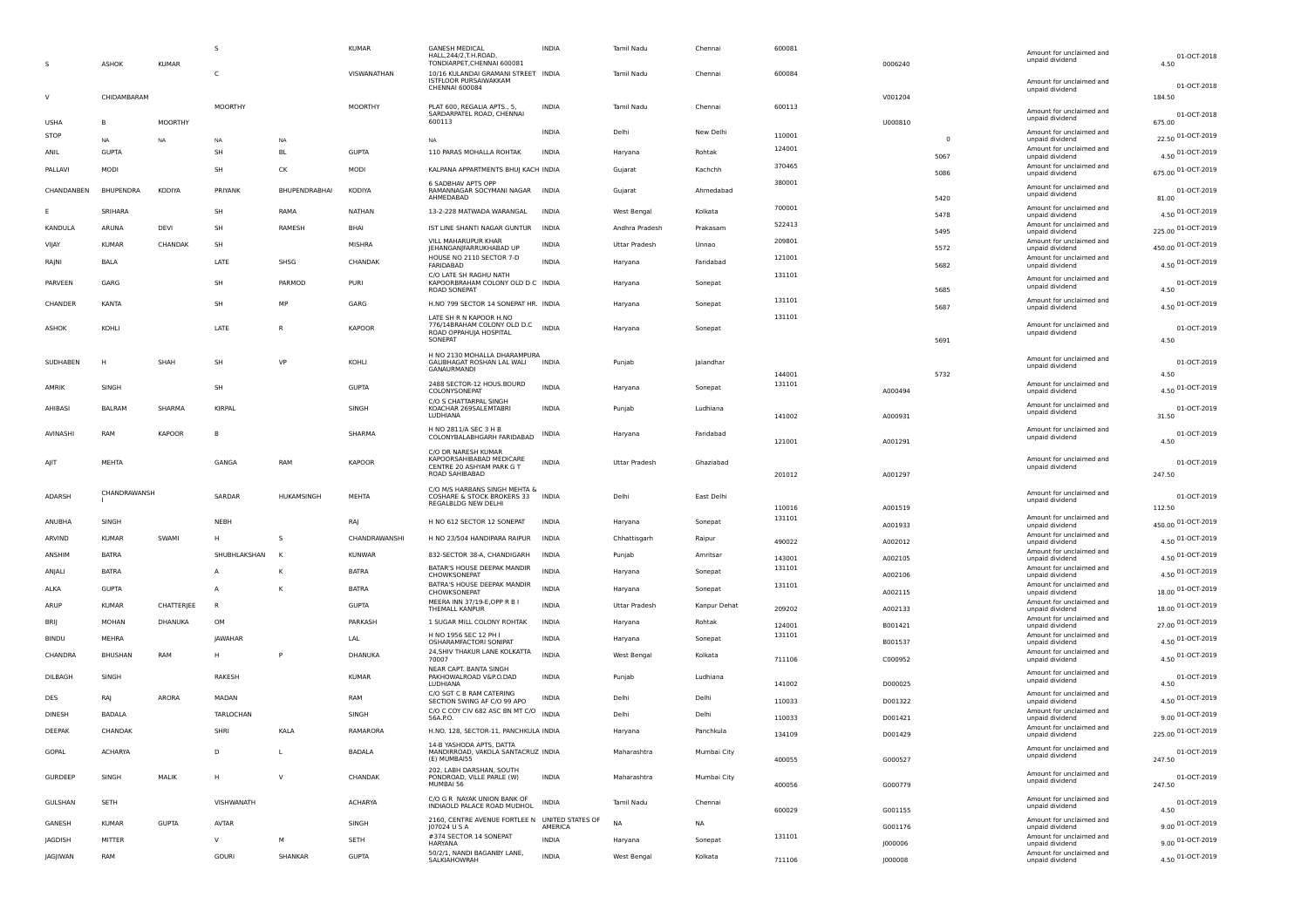|                | ASHOK            | <b>KUMAR</b>   | s              |               | <b>KUMAR</b>  | <b>GANESH MEDICAL</b><br>HALL.244/2.T.H.ROAD<br>TONDIARPET, CHENNAI 600081     | INDIA        | Tamil Nadu           | Chenna       | 600081 | 0006240 |                | Amount for unclaimed and<br>unpaid dividend | 01-OCT-2018<br>4.50   |
|----------------|------------------|----------------|----------------|---------------|---------------|--------------------------------------------------------------------------------|--------------|----------------------|--------------|--------|---------|----------------|---------------------------------------------|-----------------------|
|                |                  |                | C.             |               | VISWANATHAN   | 10/16 KULANDAI GRAMANI STREET INDIA<br>ISTFLOOR PURSAIWAKKAM<br>CHENNAI 600084 |              | Tamil Nadu           | Chenna       | 600084 |         |                | Amount for unclaimed and<br>unpaid dividend | 01-OCT-2018           |
|                | CHIDAMBARAM      |                | <b>MOORTHY</b> |               | MOORTHY       | PLAT 600, REGALIA APTS., 5,                                                    | <b>INDIA</b> | Tamil Nadu           | Chenna       | 600113 | V001204 |                |                                             | 184.50                |
|                |                  |                |                |               |               | SARDARPATEL ROAD, CHENNAI                                                      |              |                      |              |        |         |                | Amount for unclaimed and<br>unpaid dividend | 01-OCT-2018           |
| <b>USHA</b>    | в                | <b>MOORTHY</b> |                |               |               | 600113                                                                         | <b>INDIA</b> | Delhi                | New Delhi    |        | U000810 |                | Amount for unclaimed and                    | 675.00                |
| <b>STOP</b>    | <b>NA</b>        | <b>NA</b>      | NA             | NA            |               | <b>NA</b>                                                                      |              |                      |              | 110001 |         | $\overline{0}$ | unpaid dividend                             | 22.50 01-OCT-2019     |
| ANIL           | <b>GUPTA</b>     |                | SH             | <b>BL</b>     | <b>GUPTA</b>  | 110 PARAS MOHALLA ROHTAK                                                       | <b>INDIA</b> | Haryana              | Rohtak       | 124001 |         | 5067           | Amount for unclaimed and<br>unpaid dividend | 4.50 01-OCT-2019      |
| PALLAVI        | MODI             |                | SH             | CK            | MODI          | KALPANA APPARTMENTS BHUJ KACH INDIA                                            |              | Gujarat              | Kachchh      | 370465 |         | 5086           | Amount for unclaimed and<br>unpaid dividend | 675.00 01-OCT-2019    |
| CHANDANBEN     | <b>BHUPENDRA</b> | KODIYA         | PRIYANK        | BHUPENDRABHAI | KODIYA        | 6 SADBHAV APTS OPP<br>RAMANNAGAR SOCYMANI NAGAR<br>AHMEDABAD                   | <b>INDIA</b> | Gujarat              | Ahmedabad    | 380001 |         | 5420           | Amount for unclaimed and<br>unpaid dividend | 01-OCT-2019<br>81.00  |
|                | SRIHARA          |                | SH             | RAMA          | NATHAN        | 13-2-228 MATWADA WARANGAL                                                      | <b>INDIA</b> | West Bengal          | Kolkata      | 700001 |         |                | Amount for unclaimed and                    | 4.50 01-OCT-2019      |
| KANDULA        | ARUNA            | DEVI           | SH             | RAMESH        | BHAI          | IST LINE SHANTI NAGAR GUNTUR                                                   | <b>INDIA</b> |                      | Prakasam     | 522413 |         | 5478           | unpaid dividend<br>Amount for unclaimed and |                       |
|                |                  |                |                |               |               | VILL MAHARUPUR KHAR                                                            |              | Andhra Pradesh       |              | 209801 |         | 5495           | unpaid dividend<br>Amount for unclaimed and | 225.00 01-OCT-2019    |
| VIJAY          | <b>KUMAR</b>     | CHANDAK        | <b>SH</b>      |               | MISHRA        | <b>JEHANGANJFARRUKHABAD UP</b>                                                 | INDIA        | <b>Uttar Pradesh</b> | Unnao        |        |         | 5572           | unpaid dividend                             | 450.00 01-OCT-2019    |
| RAJNI          | BALA             |                | LATE           | SHSG          | CHANDAK       | HOUSE NO 2110 SECTOR 7-D<br>FARIDARAD                                          | <b>INDIA</b> | Haryana              | Faridabad    | 121001 |         | 5682           | Amount for unclaimed and<br>unpaid dividend | 4.50 01-OCT-2019      |
| PARVEEN        | GARG             |                | <b>SH</b>      | PARMOD        | PURI          | C/O LATE SH RAGHU NATH<br>KAPOORBRAHAM COLONY OLD D C INDIA                    |              | Haryana              | Sonepat      | 131101 |         |                | Amount for unclaimed and                    | 01-OCT-2019           |
|                |                  |                |                |               |               | ROAD SONEPAT                                                                   |              |                      |              |        |         | 5685           | unpaid dividend                             | 4.50                  |
| CHANDER        | <b>KANTA</b>     |                | <b>SH</b>      | MP            | GARG          | H.NO 799 SECTOR 14 SONEPAT HR. INDIA                                           |              | Haryana              | Sonepat      | 131101 |         | 5687           | Amount for unclaimed and<br>unpaid dividend | 4.50 01-OCT-2019      |
|                |                  |                |                |               |               | LATE SH R N KAPOOR H.NO                                                        |              |                      |              | 131101 |         |                |                                             |                       |
| ASHOK          | KOHL             |                | LATE           | R             | <b>KAPOOR</b> | 776/14BRAHAM COLONY OLD D.C<br>ROAD OPPAHUJA HOSPITAL                          | <b>INDIA</b> | Haryana              | Sonepat      |        |         |                | Amount for unclaimed and<br>unpaid dividend | 01-OCT-2019           |
|                |                  |                |                |               |               | SONEPAT                                                                        |              |                      |              |        |         | 5691           |                                             | 4.50                  |
| SUDHABEN       | н                | SHAH           | SH             | VP            | KOHLI         | H NO 2130 MOHALLA DHARAMPURA<br>GALIBHAGAT ROSHAN LAL WALI                     | <b>INDIA</b> | Punjab               | Jalandhai    |        |         |                | Amount for unclaimed and                    | 01-OCT-2019           |
|                |                  |                |                |               |               | GANAURMANDI                                                                    |              |                      |              | 144001 |         | 5732           | unpaid dividend                             | 4.50                  |
| AMRIK          | SINGH            |                | <b>SH</b>      |               | <b>GUPTA</b>  | 2488 SECTOR-12 HOUS.BOURD                                                      | <b>INDIA</b> | Haryana              | Sonepat      | 131101 |         |                | Amount for unclaimed and                    | 4.50 01-OCT-2019      |
|                |                  |                |                |               |               | COLONYSONEPAT<br>C/O S CHATTARPAL SINGH                                        |              |                      |              |        | A000494 |                | unpaid dividend<br>Amount for unclaimed and |                       |
| AHIBASI        | <b>BALRAM</b>    | SHARMA         | KIRPAL         |               | SINGH         | KOACHAR 269SALEMTABRI<br>LUDHIANA                                              | <b>INDIA</b> | Punjab               | Ludhiana     | 141002 | A000931 |                | unpaid dividend                             | 01-OCT-2019<br>31.50  |
|                |                  |                |                |               |               | H NO 2811/A SEC 3 H B                                                          |              |                      |              |        |         |                | Amount for unclaimed and                    |                       |
| AVINASHI       | RAM              | KAPOOR         | <b>R</b>       |               | SHARMA        | COLONYBALABHGARH FARIDABAD                                                     | INDIA        | Haryana              | Faridabad    | 121001 | A001291 |                | unpaid dividend                             | 01-OCT-2019<br>4.50   |
|                |                  |                |                |               |               | C/O DR NARESH KUMAR                                                            |              |                      |              |        |         |                |                                             |                       |
|                | MEHTA            |                | GANGA          | RAM           | KAPOOR        | KAPOORSAHIBABAD MEDICARE<br>CENTRE 20 ASHYAM PARK G T                          | <b>INDIA</b> | Uttar Pradesh        | Ghaziabad    |        |         |                | Amount for unclaimed and<br>unpaid dividend | 01-OCT-2019           |
|                |                  |                |                |               |               | ROAD SAHIBABAD                                                                 |              |                      |              | 201012 | A001297 |                |                                             | 247.50                |
| ADARSH         | CHANDRAWANSH     |                | SARDAR         | HUKAMSINGH    | MEHTA         | C/O M/S HARBANS SINGH MEHTA &<br>COSHARE & STOCK BROKERS 33 INDIA              |              | Delhi                | East Delhi   |        |         |                | Amount for unclaimed and                    | 01-OCT-2019           |
|                |                  |                |                |               |               | REGALBLDG NEW DELHI                                                            |              |                      |              | 110016 | A001519 |                | unpaid dividend                             | 112.50                |
| ANUBHA         | SINGH            |                | NEBH           |               | RA            | H NO 612 SECTOR 12 SONEPAT                                                     | <b>INDIA</b> | Haryana              | Sonepat      | 131101 | A001933 |                | Amount for unclaimed and<br>unpaid dividend | 450.00 01-OCT-2019    |
| ARVIND         | <b>KUMAR</b>     | SWAMI          |                | -S            | CHANDRAWANSHI | H NO 23/504 HANDIPARA RAIPUR                                                   | <b>INDIA</b> | Chhattisgarh         | Raipur       |        |         |                | Amount for unclaimed and                    |                       |
|                |                  |                |                |               |               |                                                                                |              |                      |              | 490022 | A002012 |                | unpaid dividend<br>Amount for unclaimed and | 4.50 01-OCT-2019      |
| ANSHIM         | <b>BATRA</b>     |                | SHUBHLAKSHAN   |               | <b>KUNWAR</b> | 832-SECTOR 38-A, CHANDIGARH                                                    | <b>INDIA</b> | Punjab               | Amritsar     | 143001 | A002105 |                | unpaid dividend                             | 4.50 01-OCT-2019      |
| ANJALI         | <b>BATRA</b>     |                | A              | K             | <b>BATRA</b>  | BATAR'S HOUSE DEEPAK MANDIR<br>CHOWKSONEPAT                                    | <b>INDIA</b> | Haryana              | Sonepat      | 131101 | A002106 |                | Amount for unclaimed and<br>unpaid dividend | 4.50 01-OCT-2019      |
| ALKA           | <b>GUPTA</b>     |                | $\overline{A}$ | к             | <b>BATRA</b>  | BATRA'S HOUSE DEEPAK MANDIR<br>CHOWKSONEPAT                                    | <b>INDIA</b> | Haryana              | Sonepat      | 131101 | A002115 |                | Amount for unclaimed and                    | 18.00 01-OCT-2019     |
| ARUP           | <b>KUMAR</b>     | CHATTERJEE     | R              |               | <b>GUPTA</b>  | MEERA INN 37/19-E,OPP R B I                                                    | <b>INDIA</b> | Uttar Pradesh        | Kanpur Dehat |        |         |                | unpaid dividend<br>Amount for unclaimed and |                       |
|                |                  |                |                |               |               | THEMALL KANPUF                                                                 |              |                      |              | 209202 | A002133 |                | unpaid dividend<br>Amount for unclaimed and | 18.00 01-OCT-2019     |
| BRIJ           | MOHAN            | DHANUKA        | OM             |               | PARKASH       | 1 SUGAR MILL COLONY ROHTAK                                                     | INDIA        | Haryana              | Rohtak       | 124001 | B001421 |                | unpaid dividend                             | 27.00 01-OCT-2019     |
| BINDU          | MEHRA            |                | <b>IAWAHAR</b> |               | LAL           | H NO 1956 SEC 12 PH I<br><b>OSHARAMFACTORI SONIPAT</b>                         | <b>INDIA</b> | Haryana              | Sonepat      | 131101 | B001537 |                | Amount for unclaimed and<br>unpaid dividend | 4.50 01-OCT-2019      |
| CHANDRA        | <b>BHUSHAN</b>   | RAM            |                |               | DHANUKA       | 24, SHIV THAKUR LANE KOLKATTA<br>70007                                         | <b>INDIA</b> | West Bengal          | Kolkata      | 711106 | C000952 |                | Amount for unclaimed and<br>unpaid dividend | 4.50 01-OCT-2019      |
|                |                  |                |                |               |               | NEAR CAPT. BANTA SINGH                                                         |              |                      |              |        |         |                | Amount for unclaimed and                    |                       |
| DILBAGH        | SINGH            |                | RAKESH         |               | <b>KUMAR</b>  | PAKHOWALROAD V&P.O.DAD<br>LUDHIANA                                             | <b>INDIA</b> | Punjab               | Ludhiana     | 141002 | D000025 |                | unpaid dividend                             | 01-OCT-2019<br>4.50   |
| DES            | RAJ              | ARORA          | MADAN          |               | RAM           | C/O SGT C B RAM CATERING                                                       | INDIA        | Delhi                | Delhi        |        |         |                | Amount for unclaimed and                    | 4.50 01-OCT-2019      |
| <b>DINESH</b>  | <b>BADALA</b>    |                | TARLOCHAN      |               | SINGH         | SECTION 5WING AF C/O 99 APO<br>C/O C COY CIV 682 ASC BN MT C/O                 | <b>INDIA</b> | Delhi                | Delhi        | 110033 | D001322 |                | unpaid dividend<br>Amount for unclaimed and |                       |
|                |                  |                |                |               |               | 56A.P.O.                                                                       |              |                      |              | 110033 | D001421 |                | unpaid dividend<br>Amount for unclaimed and | 9.00 01-OCT-2019      |
| DEEPAK         | CHANDAK          |                | SHRI           | KALA          | RAMARORA      | H.NO. 128, SECTOR-11, PANCHKULA INDIA                                          |              | Haryana              | Panchkula    | 134109 | D001429 |                | unpaid dividend                             | 225.00 01-OCT-2019    |
| GOPAL          | <b>ACHARYA</b>   |                | D              | $\mathsf{L}$  | <b>BADALA</b> | 14-B YASHODA APTS, DATTA<br>MANDIRROAD, VAKOLA SANTACRUZ INDIA<br>(E) MUMBAI55 |              | Maharashtra          | Mumbai City  | 400055 | G000527 |                | Amount for unclaimed and<br>unpaid dividend | 01-OCT-2019<br>247.50 |
| GURDEEP        | SINGH            | MALIK          | H              | $\vee$        | CHANDAK       | 202, LABH DARSHAN, SOUTH<br>PONDROAD, VILLE PARLE (W)                          | <b>INDIA</b> | Maharashtra          | Mumbai City  |        |         |                | Amount for unclaimed and                    | 01-OCT-2019           |
|                |                  |                |                |               |               | MUMBAI 56                                                                      |              |                      |              | 400056 | G000779 |                | unpaid dividend                             | 247.50                |
| GULSHAN        | SETH             |                | VISHWANATH     |               | ACHARYA       | C/O G R NAYAK UNION BANK OF                                                    | <b>INDIA</b> | Tamil Nadu           | Chennai      |        |         |                | Amount for unclaimed and                    | 01-OCT-2019           |
|                |                  |                |                |               |               | INDIAOLD PALACE ROAD MUDHOL                                                    |              |                      |              | 600029 | G001155 |                | unpaid dividend                             | 4.50                  |
| GANESH         | <b>KUMAR</b>     | <b>GUPTA</b>   | AVTAR          |               | SINGH         | 2160, CENTRE AVENUE FORTLEE N UNITED STATES OF<br>J07024 U S A                 | AMERICA      | <b>NA</b>            | NA           |        | G001176 |                | Amount for unclaimed and<br>unpaid dividend | 9.00 01-OCT-2019      |
| <b>JAGDISH</b> | MITTER           |                | $\vee$         | M             | SETH          | #374 SECTOR 14 SONEPAT<br>HARYANA                                              | <b>INDIA</b> | Haryana              | Sonepat      | 131101 | J000006 |                | Amount for unclaimed and<br>unpaid dividend | 9.00 01-OCT-2019      |
| JAGJIWAN       | RAM              |                | <b>GOURI</b>   | SHANKAR       | <b>GUPTA</b>  | 50/2/1, NANDI BAGANBY LANE,<br>SALKIAHOWRAH                                    | <b>INDIA</b> | West Bengal          | Kolkata      | 711106 | 1000008 |                | Amount for unclaimed and<br>unpaid dividend | 4.50 01-OCT-2019      |
|                |                  |                |                |               |               |                                                                                |              |                      |              |        |         |                |                                             |                       |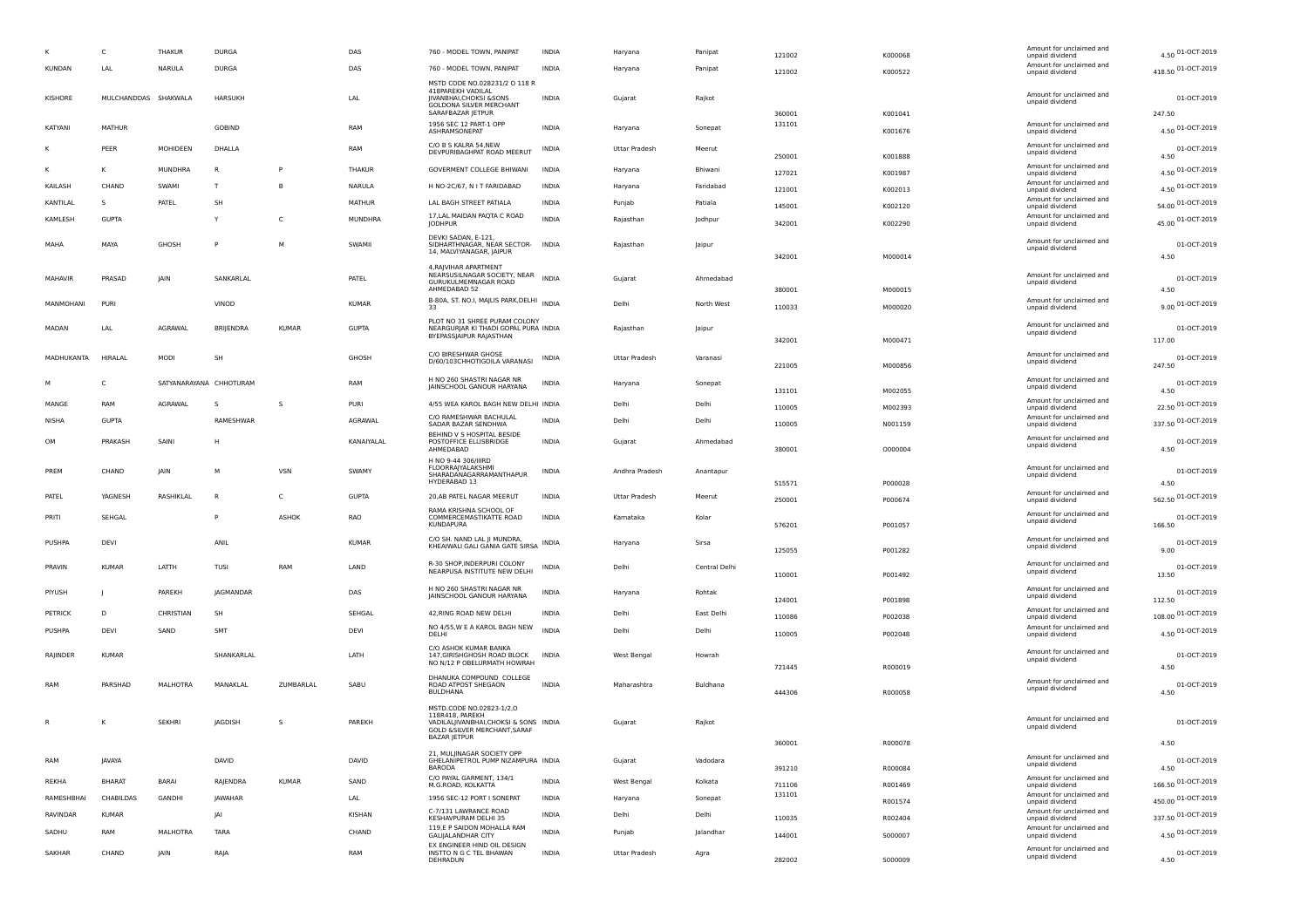|                |            | C                    | THAKUR                  | <b>DURGA</b>     |              | DAS          | 760 - MODEL TOWN, PANIPAT                                                                                                                   | <b>INDIA</b> | Haryana        | Panipat       | 121002           | K000068 | Amount for unclaimed and<br>unpaid dividend | 4.50 01-OCT-2019             |
|----------------|------------|----------------------|-------------------------|------------------|--------------|--------------|---------------------------------------------------------------------------------------------------------------------------------------------|--------------|----------------|---------------|------------------|---------|---------------------------------------------|------------------------------|
| <b>KUNDAN</b>  |            | LAL                  | NARULA                  | <b>DURGA</b>     |              | DAS          | 760 - MODEL TOWN, PANIPAT                                                                                                                   | <b>INDIA</b> | Haryana        | Panipat       | 121002           | K000522 | Amount for unclaimed and<br>unpaid dividend | 418.50 01-OCT-2019           |
| KISHORE        |            | MULCHANDDAS SHAKWALA |                         | <b>HARSUKH</b>   |              | LAL          | MSTD CODE NO.028231/2 O 118 R<br>418PAREKH VADILAL<br>JIVANBHAI, CHOKSI & SONS<br>GOLDONA SILVER MERCHANT                                   | INDIA        | Gujarat        | Rajkot        |                  |         | Amount for unclaimed and<br>unpaid dividend | 01-OCT-2019                  |
|                |            |                      |                         |                  |              |              | SARAFBAZAR JETPUR<br>1956 SEC 12 PART-1 OPP                                                                                                 |              |                |               | 360001<br>131101 | K001041 | Amount for unclaimed and                    | 247.50                       |
| KATYANI        |            | <b>MATHUR</b>        |                         | GOBIND           |              | RAM          | ASHRAMSONEPAT                                                                                                                               | <b>INDIA</b> | Haryana        | Sonepat       |                  | K001676 | unpaid dividend                             | 4.50 01-OCT-2019             |
|                |            | PEER                 | MOHIDEEN                | DHALLA           |              | RAM          | C/O B S KALRA 54, NEW<br>DEVPURIBAGHPAT ROAD MEERUT                                                                                         | INDIA        | Uttar Pradesh  | Meerut        | 250001           |         | Amount for unclaimed and<br>unpaid dividend | 01-OCT-2019<br>4.50          |
|                |            | к                    | MUNDHRA                 | -R               | P            | THAKUR       | <b>GOVERMENT COLLEGE BHIWANI</b>                                                                                                            | INDIA        | Haryana        | Bhiwani       |                  | K001888 | Amount for unclaimed and                    | 4.50 01-OCT-2019             |
| KAILASH        |            | CHAND                | SWAMI                   | T                |              | NARULA       | H NO-2C/67, N I T FARIDABAD                                                                                                                 | INDIA        | Haryana        | Faridabad     | 127021           | K001987 | unpaid dividend<br>Amount for unclaimed and | 4.50 01-OCT-2019             |
|                |            | s                    |                         | SH               |              |              |                                                                                                                                             |              |                |               | 121001           | K002013 | unpaid dividend<br>Amount for unclaimed and |                              |
| KANTILAL       |            |                      | PATEL                   |                  |              | MATHUR       | LAL BAGH STREET PATIALA<br>17, LAL MAIDAN PAQTA C ROAD                                                                                      | INDIA        | Punjab         | Patiala       | 145001           | K002120 | unpaid dividend<br>Amount for unclaimed and | 54.00 01-OCT-2019            |
| KAMLESH        |            | <b>GUPTA</b>         |                         | Y                | C            | MUNDHRA      | <b>JODHPUR</b>                                                                                                                              | <b>INDIA</b> | Rajasthan      | Jodhpur       | 342001           | K002290 | unpaid dividend                             | 45.00 01-OCT-2019            |
| MAHA           |            | MAYA                 | GHOSH                   | P                | M            | SWAMII       | DEVKI SADAN, E-121,<br>SIDHARTHNAGAR, NEAR SECTOR-<br>14, MALVIYANAGAR, JAIPUR                                                              | <b>INDIA</b> | Rajasthan      | Jaipur        | 342001           | M000014 | Amount for unclaimed and<br>unpaid dividend | 01-OCT-2019<br>4.50          |
| <b>MAHAVIR</b> |            | PRASAD               | JAIN                    | SANKARLAL        |              | PATEL        | 4, RAJVIHAR APARTMENT<br>NEARSUSILNAGAR SOCIETY, NEAR<br>GURUKULMEMNAGAR ROAD<br>AHMEDABAD 52                                               | <b>INDIA</b> | Gujarat        | Ahmedabad     | 380001           | M000015 | Amount for unclaimed and<br>unpaid dividend | 01-OCT-2019<br>4.50          |
|                | MANMOHANI  | PURI                 |                         | VINOD            |              | <b>KUMAR</b> | B-80A, ST. NO.I, MAJLIS PARK, DELHI INDIA<br>33                                                                                             |              | Delhi          | North West    | 110033           | M000020 | Amount for unclaimed and                    | 9.00 01-OCT-2019             |
|                |            |                      |                         |                  |              |              | PLOT NO 31 SHREE PURAM COLONY                                                                                                               |              |                |               |                  |         | unpaid dividend                             |                              |
| MADAN          |            | LAL                  | AGRAWAL                 | BRIJENDRA        | <b>KUMAR</b> | <b>GUPTA</b> | NEARGURJAR KI THADI GOPAL PURA INDIA<br>BYEPASSJAIPUR RAJASTHAN                                                                             |              | Rajasthan      | Jaipur        | 342001           | M000471 | Amount for unclaimed and<br>unpaid dividend | 01-OCT-2019<br>117.00        |
|                | MADHUKANTA | HIRALAL              | MODI                    | SH               |              | GHOSH        | C/O BIRESHWAR GHOSE<br>D/60/103CHHOTIGOILA VARANASI                                                                                         | INDIA        | Uttar Pradesh  | Varanasi      | 221005           | M000856 | Amount for unclaimed and<br>unpaid dividend | 01-OCT-2019<br>247.50        |
|                |            | C                    | SATYANARAYANA CHHOTURAM |                  |              | RAM          | H NO 260 SHASTRI NAGAR NR<br>JAINSCHOOL GANOUR HARYANA                                                                                      | <b>INDIA</b> | Haryana        | Sonepat       |                  |         | Amount for unclaimed and<br>unpaid dividend | 01-OCT-2019                  |
| MANGE          |            | RAM                  | AGRAWAL                 | -S               | -S           | PURI         | 4/55 WEA KAROL BAGH NEW DELHI INDIA                                                                                                         |              | Delhi          | Delhi         | 131101           | M002055 | Amount for unclaimed and                    | 4.50<br>22.50 01-OCT-2019    |
| NISHA          |            | <b>GUPTA</b>         |                         | RAMESHWAR        |              | AGRAWAL      | C/O RAMESHWAR BACHULAL                                                                                                                      | <b>INDIA</b> | Delhi          | Delhi         | 110005           | M002393 | unpaid dividend<br>Amount for unclaimed and | 337.50 01-OCT-2019           |
|                |            |                      |                         |                  |              |              | SADAR BAZAR SENDHWA<br>BEHIND V S HOSPITAL BESIDE                                                                                           |              |                |               | 110005           | N001159 | unpaid dividend<br>Amount for unclaimed and |                              |
| <b>OM</b>      |            | PRAKASH              | SAINI                   | н                |              | KANAIYALAL   | POSTOFFICE ELLISBRIDGE<br>AHMEDABAD                                                                                                         | <b>INDIA</b> | Gujarat        | Ahmedabad     | 380001           | 0000004 | unpaid dividend                             | 01-OCT-2019<br>4.50          |
| PREM           |            | CHAND                | JAIN                    | M                | <b>VSN</b>   | SWAMY        | H NO 9-44 306/IIIRD<br><b>FLOORRAJYALAKSHMI</b><br>SHARADANAGARRAMANTHAPUR<br>HYDERABAD 13                                                  | INDIA        | Andhra Pradesh | Anantapur     | 515571           | P000028 | Amount for unclaimed and<br>unpaid dividend | 01-OCT-2019<br>4.50          |
| PATEL          |            | YAGNESH              | RASHIKLAL               |                  | C            | <b>GUPTA</b> | 20, AB PATEL NAGAR MEERUT                                                                                                                   | <b>INDIA</b> | Uttar Pradesh  | Meerut        | 250001           | P000674 | Amount for unclaimed and<br>unpaid dividend | 562.50 01-OCT-2019           |
| PRITI          |            | SEHGAL               |                         |                  | ASHOK        | RAO          | RAMA KRISHNA SCHOOL OF<br>COMMERCEMASTIKATTE ROAD<br><b>KUNDAPURA</b>                                                                       | <b>INDIA</b> | Karnataka      | Kolar         | 576201           | P001057 | Amount for unclaimed and<br>unpaid dividend | 01-OCT-2019<br>166.50        |
| PUSHPA         |            | DEVI                 |                         | ANIL             |              | <b>KUMAR</b> | C/O SH. NAND LAL JI MUNDRA,<br>KHEAIWALI GALI GANIA GATE SIRSA INDIA                                                                        |              | Haryana        | Sirsa         | 125055           | P001282 | Amount for unclaimed and<br>unpaid dividend | 01-OCT-2019<br>9.00          |
| PRAVIN         |            | <b>KUMAR</b>         | LATTH                   | TUSI             | RAM          | LAND         | R-30 SHOP, INDERPURI COLONY<br>NEARPUSA INSTITUTE NEW DELHI                                                                                 | <b>INDIA</b> | Delhi          | Central Delhi | 110001           | P001492 | Amount for unclaimed and<br>unpaid dividend | 01-OCT-2019<br>13.50         |
| PIYUSH         |            |                      | PAREKH                  | <b>JAGMANDAR</b> |              | DAS          | H NO 260 SHASTRI NAGAR NR<br>JAINSCHOOL GANOUR HARYANA                                                                                      | <b>INDIA</b> | Haryana        | Rohtak        |                  |         | Amount for unclaimed and<br>unpaid dividend | 01-OCT-2019                  |
| PETRICK        |            | D                    | CHRISTIAN               | SH               |              | SEHGAL       | 42, RING ROAD NEW DELHI                                                                                                                     | <b>INDIA</b> | Delhi          | East Delhi    | 124001           | P001898 | Amount for unclaimed and                    | 112.50<br>108.00 01-OCT-2019 |
| PUSHPA         |            | DEVI                 | SAND                    | SMT              |              | DEVI         | NO 4/55, W E A KAROL BAGH NEW                                                                                                               | <b>INDIA</b> | Delhi          | Delhi         | 110086           | P002038 | unpaid dividend<br>Amount for unclaimed and | 4.50 01-OCT-2019             |
|                |            |                      |                         |                  |              |              | DELHI                                                                                                                                       |              |                |               | 110005           | P002048 | unpaid dividend                             |                              |
| RAJINDER       |            | <b>KUMAR</b>         |                         | SHANKARLAL       |              | LATH         | C/O ASHOK KUMAR BANKA<br>147, GIRISHGHOSH ROAD BLOCK<br>NO N/12 P OBELURMATH HOWRAH                                                         | <b>INDIA</b> | West Bengal    | Howrah        | 721445           | R000019 | Amount for unclaimed and<br>unpaid dividend | 01-OCT-2019<br>4.50          |
| RAM            |            | PARSHAD              | MALHOTRA                | MANAKLAL         | ZUMBARLAL    | SABU         | DHANUKA COMPOUND COLLEGE<br>ROAD ATPOST SHEGAON<br><b>BULDHANA</b>                                                                          | <b>INDIA</b> | Maharashtra    | Buldhana      | 444306           | R000058 | Amount for unclaimed and<br>unpaid dividend | 01-OCT-2019<br>4.50          |
| R              |            | к                    | <b>SEKHRI</b>           | <b>JAGDISH</b>   | -S           | PAREKH       | MSTD.CODE NO.02823-1/2,0<br>118R418, PAREKH<br>VADILALIIVANBHAI.CHOKSI & SONS INDIA<br>GOLD & SILVER MERCHANT, SARAF<br><b>BAZAR JETPUR</b> |              | Guiarat        | Rajkot        |                  |         | Amount for unclaimed and<br>unpaid dividend | 01-OCT-2019                  |
|                |            |                      |                         |                  |              |              | 21, MULJINAGAR SOCIETY OPP                                                                                                                  |              |                |               | 360001           | R000078 | Amount for unclaimed and                    | 4.50                         |
| RAM            |            | <b>JAVAYA</b>        |                         | DAVID            |              | DAVID        | GHELANIPETROL PUMP NIZAMPURA INDIA<br><b>BARODA</b>                                                                                         |              | Gujarat        | Vadodara      | 391210           | R000084 | unpaid dividend                             | 01-OCT-2019<br>4.50          |
| REKHA          |            | <b>BHARAT</b>        | <b>BARAI</b>            | RAJENDRA         | <b>KUMAR</b> | SAND         | C/O PAYAL GARMENT, 134/1<br>M.G.ROAD, KOLKATTA                                                                                              | <b>INDIA</b> | West Bengal    | Kolkata       | 711106           | R001469 | Amount for unclaimed and<br>unpaid dividend | 166.50 01-OCT-2019           |
|                | RAMESHBHAI | CHABILDAS            | GANDHI                  | JAWAHAR          |              | LAL          | 1956 SEC-12 PORT I SONEPAT                                                                                                                  | <b>INDIA</b> | Haryana        | Sonepat       | 131101           | R001574 | Amount for unclaimed and<br>unpaid dividend | 450.00 01-OCT-2019           |
| RAVINDAR       |            | <b>KUMAR</b>         |                         | JAI              |              | KISHAN       | C-7/131 LAWRANCE ROAD<br>KESHAVPURAM DELHI 35                                                                                               | <b>INDIA</b> | Delhi          | Delhi         | 110035           | R002404 | Amount for unclaimed and<br>unpaid dividend | 337.50 01-OCT-2019           |
| SADHU          |            | RAM                  | MALHOTRA                | TARA             |              | CHAND        | 119,E P SAIDON MOHALLA RAM<br>GALIJALANDHAR CITY                                                                                            | <b>INDIA</b> | Punjab         | Jalandhar     | 144001           | S000007 | Amount for unclaimed and<br>unpaid dividend | 4.50 01-OCT-2019             |
| SAKHAR         |            | CHAND                | JAIN                    | RAJA             |              | RAM          | EX ENGINEER HIND OIL DESIGN<br>INSTTO N G C TEL BHAWAN                                                                                      | <b>INDIA</b> | Uttar Pradesh  |               |                  |         | Amount for unclaimed and                    | 01-OCT-2019                  |
|                |            |                      |                         |                  |              |              | DEHRADUN                                                                                                                                    |              |                | Agra          | 282002           | S000009 | unpaid dividend                             | 4.50                         |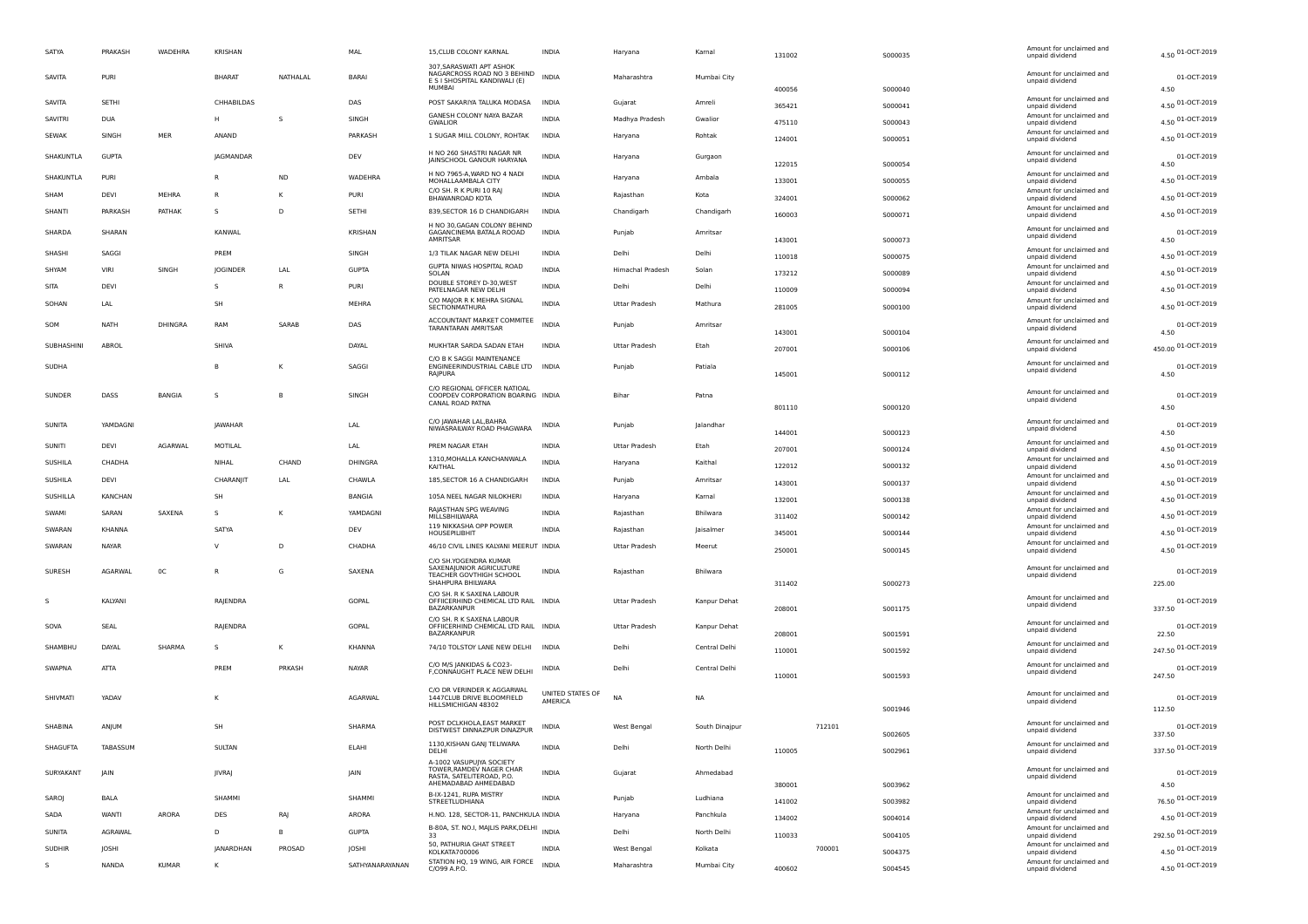| SATYA  |                | PRAKASH      | WADEHRA        | KRISHAN          |              | MAL             | 15, CLUB COLONY KARNAL                                                                                    | <b>INDIA</b>                | Haryana                 | Kamal          | 131002           | 5000035 | Amount for unclaimed and<br>unpaid dividend                    | 4.50 01-OCT-2019           |
|--------|----------------|--------------|----------------|------------------|--------------|-----------------|-----------------------------------------------------------------------------------------------------------|-----------------------------|-------------------------|----------------|------------------|---------|----------------------------------------------------------------|----------------------------|
|        | SAVITA         | PURI         |                | <b>BHARAT</b>    | NATHALAL     | BARAI           | 307, SARASWATI APT ASHOK<br>NAGARCROSS ROAD NO 3 BEHIND<br>E S I SHOSPITAL KANDIWALI (E)<br>MUMBAI        | <b>INDIA</b>                | Maharashtra             | Mumbai City    |                  |         | Amount for unclaimed and<br>unpaid dividend                    | 01-OCT-2019                |
| SAVITA |                | <b>SETH</b>  |                | CHHABILDAS       |              | DAS             | POST SAKARIYA TALUKA MODASA                                                                               | <b>INDIA</b>                | Gujarat                 | Amreli         | 400056           | S000040 | Amount for unclaimed and                                       | 4.50<br>4.50 01-OCT-2019   |
|        | <b>SAVITRI</b> | <b>DUA</b>   |                | H                | -S           | SINGH           | GANESH COLONY NAYA BAZAR                                                                                  | <b>INDIA</b>                | Madhya Pradesh          | Gwalior        | 365421           | S000041 | unpaid dividend<br>Amount for unclaimed and                    |                            |
|        |                |              |                |                  |              |                 | <b>GWALIOR</b>                                                                                            |                             |                         |                | 475110           | S000043 | unpaid dividend<br>Amount for unclaimed and                    | 4.50 01-OCT-2019           |
|        | <b>SEWAK</b>   | SINGH        | MER            | ANAND            |              | PARKASH         | 1 SUGAR MILL COLONY, ROHTAK                                                                               | <b>INDIA</b>                | Haryana                 | Rohtak         | 124001           | S000051 | unpaid dividend                                                | 4.50 01-OCT-2019           |
|        | SHAKUNTLA      | <b>GUPTA</b> |                | <b>JAGMANDAR</b> |              | DEV             | H NO 260 SHASTRI NAGAR NR<br>JAINSCHOOL GANOUR HARYANA                                                    | <b>INDIA</b>                | Haryana                 | Gurgaon        | 122015           | S000054 | Amount for unclaimed and<br>unpaid dividend                    | 01-OCT-2019<br>4.50        |
|        | SHAKUNTLA      | PURI         |                | R                | <b>ND</b>    | WADEHRA         | H NO 7965-A, WARD NO 4 NADI<br>MOHALLAAMBALA CITY                                                         | <b>INDIA</b>                | Haryana                 | Ambala         | 133001           | S000055 | Amount for unclaimed and                                       | 4.50 01-OCT-2019           |
| SHAM   |                | DEVI         | MEHRA          | $\mathsf{R}$     | к            | PURI            | C/O SH. R K PURI 10 RAI                                                                                   | <b>INDIA</b>                | Rajasthan               | Kota           |                  |         | unpaid dividend<br>Amount for unclaimed and                    | 4.50 01-OCT-2019           |
|        | SHANTI         | PARKASH      | PATHAK         | s.               | D            | SETHI           | BHAWANROAD KOTA<br>839, SECTOR 16 D CHANDIGARH                                                            | <b>INDIA</b>                | Chandigarh              | Chandigarh     | 324001           | S000062 | unpaid dividend<br>Amount for unclaimed and                    | 4.50 01-OCT-2019           |
|        | SHARDA         | SHARAN       |                | KANWAL           |              | <b>KRISHAN</b>  | H NO 30, GAGAN COLONY BEHIND<br>GAGANCINEMA BATALA ROOAD                                                  | <b>INDIA</b>                | Puniab                  | Amritsar       | 160003           | S000071 | unpaid dividend<br>Amount for unclaimed and<br>unpaid dividend | 01-OCT-2019                |
|        | SHASHI         | SAGGI        |                | PREM             |              | SINGH           | AMRITSAR<br>1/3 TILAK NAGAR NEW DELHI                                                                     | <b>INDIA</b>                | Delhi                   | Delhi          | 143001           | S000073 | Amount for unclaimed and                                       | 4.50<br>4.50 01-OCT-2019   |
| SHYAM  |                | VIRI         |                |                  |              |                 | GUPTA NIWAS HOSPITAL ROAD                                                                                 | <b>INDIA</b>                |                         |                | 110018           | S000075 | unpaid dividend<br>Amount for unclaimed and                    |                            |
|        |                |              | SINGH          | JOGINDER         | LAI          | <b>GUPTA</b>    | SOLAN<br>DOUBLE STOREY D-30, WEST                                                                         |                             | <b>Himachal Pradesh</b> | Solan          | 173212           | S000089 | unpaid dividend<br>Amount for unclaimed and                    | 4.50 01-OCT-2019           |
| SITA   |                | DEVI         |                | s                | $\mathsf{R}$ | PURI            | PATELNAGAR NEW DELHI<br>C/O MAJOR R K MEHRA SIGNAL                                                        | <b>INDIA</b>                | Delhi                   | Delhi          | 110009           | S000094 | unpaid dividend                                                | 4.50 01-OCT-2019           |
|        | SOHAN          | LAL          |                | SH               |              | MEHRA           | SECTIONMATHURA                                                                                            | <b>INDIA</b>                | Uttar Pradesh           | Mathura        | 281005           | S000100 | Amount for unclaimed and<br>unpaid dividend                    | 4.50 01-OCT-2019           |
| SOM    |                | <b>NATH</b>  | <b>DHINGRA</b> | RAM              | SARAB        | DAS             | ACCOUNTANT MARKET COMMITEE<br>TARANTARAN AMRITSAR                                                         | INDIA                       | Punjab                  | Amritsar       |                  |         | Amount for unclaimed and<br>unpaid dividend                    | 01-OCT-2019                |
|        | SUBHASHINI     | ABROL        |                | SHIVA            |              | DAYAL           | MUKHTAR SARDA SADAN ETAH                                                                                  | <b>INDIA</b>                | Uttar Pradesh           | Etah           | 143001           | S000104 | Amount for unclaimed and                                       | 4.50<br>450.00 01-OCT-2019 |
|        |                |              |                |                  |              |                 | C/O B K SAGGI MAINTENANCE                                                                                 |                             |                         |                | 207001           | S000106 | unpaid dividend                                                |                            |
|        | SUDHA          |              |                | B                |              | SAGGI           | ENGINEERINDUSTRIAL CABLE LTD INDIA<br>RAJPURA                                                             |                             | Punjab                  | Patiala        | 145001           | S000112 | Amount for unclaimed and<br>unpaid dividend                    | 01-OCT-2019<br>4.50        |
|        | SUNDER         | DASS         | <b>BANGIA</b>  | s                | B.           | SINGH           | C/O REGIONAL OFFICER NATIOAL<br>COOPDEV CORPORATION BOARING INDIA<br>CANAL ROAD PATNA                     |                             | <b>Bihar</b>            | Patna          | 801110           | S000120 | Amount for unclaimed and<br>unpaid dividend                    | 01-OCT-2019<br>4.50        |
|        | <b>SUNITA</b>  | YAMDAGNI     |                | <b>JAWAHAR</b>   |              | LAL             | C/O JAWAHAR LAL, BAHRA<br>NIWASRAILWAY ROAD PHAGWARA                                                      | <b>INDIA</b>                | Puniab                  | lalandhar      |                  |         | Amount for unclaimed and<br>unpaid dividend                    | 01-OCT-2019                |
|        | SUNITI         | DEVI         | <b>AGARWAL</b> | MOTILAL          |              | LAL             | PREM NAGAR ETAH                                                                                           | <b>INDIA</b>                | <b>Uttar Pradesh</b>    | Etah           | 144001           | S000123 | Amount for unclaimed and                                       | 4.50<br>4.50 01-OCT-2019   |
|        | SUSHILA        | CHADHA       |                | NIHAL            | CHAND        | DHINGRA         | 1310, MOHALLA KANCHANWALA                                                                                 | <b>INDIA</b>                |                         | Kaithal        | 207001           | S000124 | unpaid dividend<br>Amount for unclaimed and                    |                            |
|        |                |              |                |                  |              |                 | KAITHAL                                                                                                   |                             | Haryana                 |                | 122012           | S000132 | unpaid dividend<br>Amount for unclaimed and                    | 4.50 01-OCT-2019           |
|        | SUSHILA        | <b>DEVI</b>  |                | CHARANIIT        | LAL          | CHAWLA          | 185, SECTOR 16 A CHANDIGARH                                                                               | <b>INDIA</b>                | Punjab                  | Amritsar       | 143001           | S000137 | unpaid dividend<br>Amount for unclaimed and                    | 4.50 01-OCT-2019           |
|        | SUSHILLA       | KANCHAN      |                | <b>SH</b>        |              | BANGIA          | 105A NEEL NAGAR NILOKHERI                                                                                 | INDIA                       | Haryana                 | Kamal          | 132001           | 5000138 | unpaid dividend                                                | 4.50 01-OCT-2019           |
| SWAMI  |                | SARAN        | SAXENA         | s                |              | YAMDAGNI        | RAJASTHAN SPG WEAVING<br>MILLSBHILWARA                                                                    | <b>INDIA</b>                | Rajasthan               | Bhilwara       | 311402           | S000142 | Amount for unclaimed and<br>unpaid dividend                    | 4.50 01-OCT-2019           |
|        | SWARAN         | KHANNA       |                | SATYA            |              | DEV             | 119 NIKKASHA OPP POWER<br>HOUSEPILIBHIT                                                                   | <b>INDIA</b>                | Rajasthan               | Jaisalmer      | 345001           | S000144 | Amount for unclaimed and<br>unpaid dividend                    | 4.50 01-OCT-2019           |
|        | SWARAN         | NAYAR        |                | $\mathsf{v}$     | D            | CHADHA          | 46/10 CIVIL LINES KALYANI MEERUT INDIA                                                                    |                             | <b>Uttar Pradesh</b>    | Meerut         | 250001           | S000145 | Amount for unclaimed and<br>unpaid dividend                    | 4.50 01-OCT-2019           |
|        | SURESH         | AGARWAL      | 0C             | $\mathsf{R}$     | G            | SAXENA          | C/O SH.YOGENDRA KUMAR<br>SAXENAIUNIOR AGRICULTURE<br><b>TEACHER GOVTHIGH SCHOOL</b><br>SHAHPURA BHILWARA  | <b>INDIA</b>                | Rajasthan               | Bhilwara       | 311402           | S000273 | Amount for unclaimed and<br>unpaid dividend                    | 01-OCT-2019<br>225.00      |
|        |                | KALYANI      |                | RAJENDRA         |              | GOPAL           | C/O SH. R K SAXENA LABOUR<br>OFFIICERHIND CHEMICAL LTD RAIL INDIA                                         |                             | Uttar Pradesh           | Kanpur Dehat   |                  |         | Amount for unclaimed and                                       | 01-OCT-2019                |
|        |                |              |                |                  |              |                 | BAZARKANPUR<br>C/O SH. R K SAXENA LABOUR                                                                  |                             |                         |                | 208001           | S001175 | unpaid dividend                                                | 337.50                     |
| SOVA   |                | <b>SEAL</b>  |                | RAJENDRA         |              | GOPAL           | OFFIICERHIND CHEMICAL LTD RAIL INDIA<br><b>BAZARKANPUR</b>                                                |                             | Uttar Pradesh           | Kanpur Dehat   | 208001           | S001591 | Amount for unclaimed and<br>unpaid dividend                    | 01-OCT-2019<br>22.50       |
|        | SHAMBHU        | DAYAI        | SHARMA         | s                | к            | <b>KHANNA</b>   | 74/10 TOLSTOY LANE NEW DELHI INDIA                                                                        |                             | Delhi                   | Central Delhi  | 110001           | 5001592 | Amount for unclaimed and<br>unpaid dividend                    | 247.50 01-OCT-2019         |
|        |                |              |                |                  |              |                 | C/O M/S JANKIDAS & CO23-                                                                                  |                             |                         |                |                  |         | Amount for unclaimed and                                       |                            |
|        | SWAPNA         | ATTA         |                | PRFM             | PRKASH       | NAYAR           | F, CONNAUGHT PLACE NEW DELHI                                                                              | INDIA                       | Delhi                   | Central Delhi  | 110001           | S001593 | unpaid dividend                                                | 01-OCT-2019<br>247.50      |
|        | SHIVMATI       | YADAV        |                | К                |              | AGARWAL         | C/O DR VERINDER K AGGARWAL<br>1447CLUB DRIVE BLOOMFIELD<br>HILLSMICHIGAN 48302                            | UNITED STATES OF<br>AMERICA | <b>NA</b>               | <b>NA</b>      |                  | S001946 | Amount for unclaimed and<br>unpaid dividend                    | 01-OCT-2019<br>112.50      |
|        | SHABINA        | ANJUM        |                | <b>SH</b>        |              | SHARMA          | POST DCLKHOLA, EAST MARKET<br>DISTWEST DINNAZPUR DINAZPUR                                                 | <b>INDIA</b>                | West Bengal             | South Dinajpur | 712101           | 5002605 | Amount for unclaimed and<br>unpaid dividend                    | 01-OCT-2019<br>337.50      |
|        | SHAGUFTA       | TABASSUM     |                | SULTAN           |              | ELAHI           | 1130, KISHAN GANJ TELIWARA<br>DELHI                                                                       | INDIA                       | Delhi                   | North Delhi    | 110005           | 5002961 | Amount for unclaimed and<br>unpaid dividend                    | 337.50 01-OCT-2019         |
|        | SURYAKANT      | <b>JAIN</b>  |                | <b>JIVRAJ</b>    |              | JAIN            | A-1002 VASUPUJYA SOCIETY<br>TOWER, RAMDEV NAGER CHAR<br>RASTA, SATELITEROAD, P.O.<br>AHEMADABAD AHMEDABAD | INDIA                       | Gujarat                 | Ahmedabad      | 380001           | S003962 | Amount for unclaimed and<br>unpaid dividend                    | 01-OCT-2019<br>4.50        |
| SAROJ  |                | BALA         |                | SHAMMI           |              | SHAMMI          | B-IX-1241, RUPA MISTRY<br>STREETLUDHIANA                                                                  | <b>INDIA</b>                | Punjab                  | Ludhiana       | 141002           | S003982 | Amount for unclaimed and<br>unpaid dividend                    | 76.50 01-OCT-2019          |
| SADA   |                | <b>WANTI</b> | ARORA          | DES              | RAJ          | ARORA           | H.NO. 128, SECTOR-11, PANCHKULA INDIA                                                                     |                             | Haryana                 | Panchkula      | 134002           | S004014 | Amount for unclaimed and                                       | 4.50 01-OCT-2019           |
|        | SUNITA         | AGRAWAL      |                | D                | B            | <b>GUPTA</b>    | B-80A, ST. NO.I, MAJLIS PARK, DELHI INDIA                                                                 |                             | Delhi                   | North Delhi    |                  |         | unpaid dividend<br>Amount for unclaimed and                    | 292.50 01-OCT-2019         |
|        | <b>SUDHIR</b>  | JOSHI        |                | JANARDHAN        | PROSAD       | JOSHI           | 33<br>50, PATHURIA GHAT STREET                                                                            | <b>INDIA</b>                | West Bengal             | Kolkata        | 110033<br>700001 | S004105 | unpaid dividend<br>Amount for unclaimed and                    | 4.50 01-OCT-2019           |
| -S     |                | NANDA        | <b>KUMAR</b>   | к                |              | SATHYANARAYANAN | KOLKATA700006<br>STATION HQ, 19 WING, AIR FORCE                                                           | <b>INDIA</b>                | Maharashtra             | Mumbai City    |                  | S004375 | unpaid dividend<br>Amount for unclaimed and                    | 4.50 01-OCT-2019           |
|        |                |              |                |                  |              |                 | C/O99 A.P.O.                                                                                              |                             |                         |                | 400602           | S004545 | unpaid dividend                                                |                            |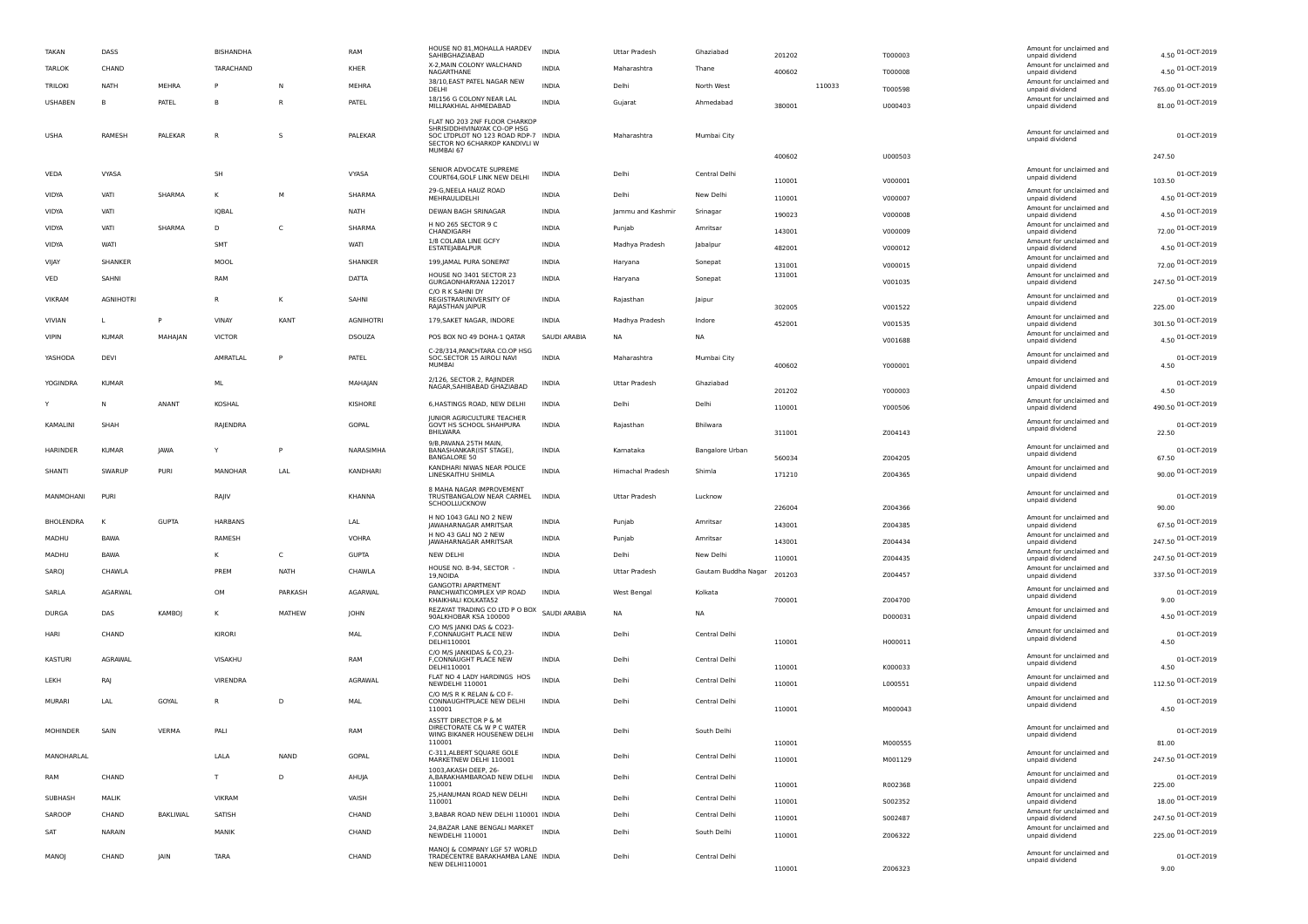| TAKAN            | DASS             |                 | BISHANDHA      |             | RAM              | HOUSE NO 81, MOHALLA HARDEV<br>SAHIBGHAZIABAD                                                                                                     | INDIA        | Uttar Pradesh           | Ghaziabad              | 201202 |        | T000003 | Amount for unclaimed and<br>unpaid dividend                    | 4.50 01-OCT-2019      |
|------------------|------------------|-----------------|----------------|-------------|------------------|---------------------------------------------------------------------------------------------------------------------------------------------------|--------------|-------------------------|------------------------|--------|--------|---------|----------------------------------------------------------------|-----------------------|
| TARLOK           | CHAND            |                 | TARACHAND      |             | KHER             | X-2, MAIN COLONY WALCHAND<br>NAGARTHANE                                                                                                           | <b>INDIA</b> | Maharashtra             | Thane                  | 400602 |        | T000008 | Amount for unclaimed and<br>unpaid dividend                    | 4.50 01-OCT-2019      |
| TRILOKI          | NATH             | MEHRA           | P              | N           | MEHRA            | 38/10, EAST PATEL NAGAR NEW<br>DELHI                                                                                                              | <b>INDIA</b> | Delhi                   | North West             |        | 110033 | T000598 | Amount for unclaimed and<br>unpaid dividend                    | 765.00 01-OCT-2019    |
| <b>USHABEN</b>   | B                | PATEL           | B              |             | PATEL            | 18/156 G COLONY NEAR LAL<br>MILLRAKHIAL AHMEDABAD                                                                                                 | INDIA        | Gujarat                 | Ahmedabad              | 380001 |        | U000403 | Amount for unclaimed and<br>unpaid dividend                    | 81.00 01-OCT-2019     |
| USHA             | RAMESH           | PALEKAR         | $\mathsf{R}$   | -S          | PALEKAR          | FLAT NO 203 2NF FLOOR CHARKOP<br>SHRISIDDHIVINAYAK CO-OP HSG<br>SOC LTDPLOT NO 123 ROAD RDP-7 INDIA<br>SECTOR NO 6CHARKOP KANDIVLI W<br>MUMBAI 67 |              | Maharashtra             | Mumbai City            |        |        |         | Amount for unclaimed and<br>unpaid dividend                    | 01-OCT-2019           |
|                  |                  |                 |                |             |                  |                                                                                                                                                   |              |                         |                        | 400602 |        | U000503 |                                                                | 247.50                |
| VEDA             | VYASA            |                 | SH             |             | VYASA            | SENIOR ADVOCATE SUPREME<br>COURT64, GOLF LINK NEW DELHI                                                                                           | INDIA        | Delhi                   | Central Delh           | 110001 |        | V000001 | Amount for unclaimed and<br>unpaid dividend                    | 01-OCT-2019<br>103.50 |
| VIDYA            | VATI             | SHARMA          | к              | м           | SHARMA           | 29-G, NEELA HAUZ ROAD<br>MEHRAULIDELHI                                                                                                            | <b>INDIA</b> | Delh                    | New Delhi              | 110001 |        | V000007 | Amount for unclaimed and<br>unpaid dividend                    | 4.50 01-OCT-2019      |
| VIDYA            | VATI             |                 | IQBAL          |             | NATH             | DEWAN BAGH SRINAGAR                                                                                                                               | INDIA        | Jammu and Kashmir       | Srinagar               | 190023 |        | V000008 | Amount for unclaimed and<br>unpaid dividend                    | 4.50 01-OCT-2019      |
| VIDYA            | VATI             | SHARMA          | D              | C           | SHARMA           | H NO 265 SECTOR 9 C<br>CHANDIGARH                                                                                                                 | INDIA        | Punjab                  | Amritsar               | 143001 |        | V000009 | Amount for unclaimed and<br>unpaid dividend                    | 72.00 01-OCT-2019     |
| VIDYA            | WATI             |                 | SMT            |             | WATI             | 1/8 COLABA LINE GCFY<br>ESTATEJABALPUR                                                                                                            | <b>INDIA</b> | Madhya Pradesh          | Jabalpur               | 482001 |        | V000012 | Amount for unclaimed and<br>unpaid dividend                    | 4.50 01-OCT-2019      |
| VIJAY            | SHANKER          |                 | MOOL           |             | SHANKER          | 199, JAMAL PURA SONEPAT                                                                                                                           | INDIA        | Haryana                 | Sonepat                | 131001 |        | V000015 | Amount for unclaimed and<br>unpaid dividend                    | 72.00 01-OCT-2019     |
| VED              | SAHNI            |                 | RAM            |             | <b>DATTA</b>     | HOUSE NO 3401 SECTOR 23<br>GURGAONHARYANA 122017                                                                                                  | INDIA        | Haryana                 | Sonepat                | 131001 |        | V001035 | Amount for unclaimed and                                       | 247.50 01-OCT-2019    |
| VIKRAM           | <b>AGNIHOTRI</b> |                 | R              | К           | SAHNI            | C/O R K SAHNI DY<br>REGISTRARUNIVERSITY OF<br>RAJASTHAN JAIPUR                                                                                    | INDIA        | Rajasthan               | Jaipur                 | 302005 |        | V001522 | unpaid dividend<br>Amount for unclaimed and<br>unpaid dividend | 01-OCT-2019<br>225.00 |
| VIVIAN           |                  | P               | VINAY          | KANT        | <b>AGNIHOTRI</b> | 179, SAKET NAGAR, INDORE                                                                                                                          | <b>INDIA</b> | Madhya Pradesh          | Indore                 |        |        |         | Amount for unclaimed and                                       | 301.50 01-OCT-2019    |
| <b>VIPIN</b>     | <b>KUMAR</b>     | MAHAJAN         | <b>VICTOR</b>  |             | <b>DSOUZA</b>    | POS BOX NO 49 DOHA-1 QATAR                                                                                                                        | SAUDI ARABIA | <b>NA</b>               | NA                     | 452001 |        | V001535 | unpaid dividend<br>Amount for unclaimed and                    | 4.50 01-OCT-2019      |
|                  |                  |                 |                |             |                  | C-28/314, PANCHTARA CO.OP HSG                                                                                                                     |              |                         |                        |        |        | V001688 | unpaid dividend<br>Amount for unclaimed and                    |                       |
| YASHODA          | DEVI             |                 | AMRATLAL       | P           | PATEL            | SOC.SECTOR 15 AIROLI NAVI<br><b>MUMBAI</b>                                                                                                        | <b>INDIA</b> | Maharashtra             | Mumbai City            | 400602 |        | Y000001 | unpaid dividend                                                | 01-OCT-2019<br>4.50   |
| YOGINDRA         | <b>KUMAR</b>     |                 | ML             |             | MAHAJAN          | 2/126, SECTOR 2, RAJINDER                                                                                                                         | INDIA        | Uttar Pradesh           | Ghaziabad              |        |        |         | Amount for unclaimed and                                       | 01-OCT-2019           |
|                  |                  |                 |                |             |                  | NAGAR, SAHIBABAD GHAZIABAD                                                                                                                        |              |                         |                        | 201202 |        | Y000003 | unpaid dividend<br>Amount for unclaimed and                    | 4.50                  |
|                  | N                | ANANT           | KOSHAL         |             | KISHORE          | 6, HASTINGS ROAD, NEW DELHI<br><b>JUNIOR AGRICULTURE TEACHER</b>                                                                                  | <b>INDIA</b> | Delh                    | Delhi                  | 110001 |        | Y000506 | unpaid dividend                                                | 490.50 01-OCT-2019    |
| KAMALINI         | SHAH             |                 | RAJENDRA       |             | GOPAL            | GOVT HS SCHOOL SHAHPURA<br><b>BHILWARA</b><br>9/B, PAVANA 25TH MAIN,                                                                              | INDIA        | Rajasthan               | Bhilwara               | 311001 |        | Z004143 | Amount for unclaimed and<br>unpaid dividend                    | 01-OCT-2019<br>22.50  |
| <b>HARINDER</b>  | <b>KUMAR</b>     | JAWA            | Y              | P           | NARASIMHA        | BANASHANKAR(IST STAGE),<br><b>BANGALORE 50</b>                                                                                                    | <b>INDIA</b> | Kamataka                | <b>Bangalore Urbar</b> | 560034 |        | Z004205 | Amount for unclaimed and<br>unpaid dividend                    | 01-OCT-2019<br>67.50  |
| <b>SHANTI</b>    | SWARUF           | PURI            | MANOHAR        | <b>LAL</b>  | KANDHARI         | KANDHARI NIWAS NEAR POLICE<br>LINESKAITHU SHIMLA                                                                                                  | <b>INDIA</b> | <b>Himachal Pradesh</b> | Shimla                 | 171210 |        |         | Amount for unclaimed and<br>unpaid dividend                    | 90.00 01-OCT-2019     |
|                  |                  |                 |                |             |                  | 8 MAHA NAGAR IMPROVEMENT                                                                                                                          |              |                         |                        |        |        | Z004365 |                                                                |                       |
| MANMOHANI        | PURI             |                 | RAJIV          |             | KHANNA           | TRUSTBANGALOW NEAR CARMEL<br>SCHOOLLUCKNOW                                                                                                        | <b>INDIA</b> | <b>Uttar Pradesh</b>    | Lucknow                | 226004 |        | Z004366 | Amount for unclaimed and<br>unpaid dividend                    | 01-OCT-2019<br>90.00  |
| <b>BHOLENDRA</b> | к                | <b>GUPTA</b>    | <b>HARBANS</b> |             | LAL              | H NO 1043 GALI NO 2 NEW<br>JAWAHARNAGAR AMRITSAR                                                                                                  | INDIA        | Punjab                  | Amritsar               | 143001 |        | Z004385 | Amount for unclaimed and<br>unpaid dividend                    | 67.50 01-OCT-2019     |
| MADHU            | <b>BAWA</b>      |                 | RAMESH         |             | <b>VOHRA</b>     | H NO 43 GALI NO 2 NEW<br>JAWAHARNAGAR AMRITSAR                                                                                                    | <b>INDIA</b> | Punjab                  | Amritsar               | 143001 |        | Z004434 | Amount for unclaimed and<br>unpaid dividend                    | 247.50 01-OCT-2019    |
| MADHU            | BAWA             |                 | к              | C           | <b>GUPTA</b>     | <b>NEW DELHI</b>                                                                                                                                  | <b>INDIA</b> | Delhi                   | New Delhi              | 110001 |        | Z004435 | Amount for unclaimed and<br>unpaid dividend                    | 247.50 01-OCT-2019    |
| SAROJ            | CHAWLA           |                 | PRFM           | <b>NATH</b> | CHAWLA           | HOUSE NO. B-94, SECTOR<br>19.NOIDA                                                                                                                | <b>INDIA</b> | Uttar Pradesh           | Gautam Buddha Nagar    | 201203 |        | Z004457 | Amount for unclaimed and<br>unpaid dividend                    | 337.50 01-OCT-2019    |
| SARLA            | <b>AGARWAI</b>   |                 | OM             | PARKASH     | AGARWAI          | <b>GANGOTRI APARTMENT</b><br>PANCHWATICOMPLEX VIP ROAD<br>KHAIKHALI KOLKATA52                                                                     | <b>INDIA</b> | West Bengal             | Kolkata                | 700001 |        | Z004700 | Amount for unclaimed and<br>unpaid dividend                    | 01-OCT-2019<br>9.00   |
| <b>DURGA</b>     | DAS              | <b>KAMBOJ</b>   | к              | MATHEW      | <b>JOHN</b>      | REZAYAT TRADING CO LTD P O BOX SAUDI ARABIA<br>90ALKHOBAR KSA 100000                                                                              |              | <b>NA</b>               | NA.                    |        |        | D000031 | Amount for unclaimed and<br>unpaid dividend                    | 4.50 01-OCT-2019      |
| HARI             | CHAND            |                 | KIRORI         |             | MAL              | C/O M/S JANKI DAS & CO23<br>F,CONNAUGHT PLACE NEW                                                                                                 | <b>INDIA</b> | Delh                    | Central Delhi          |        |        |         | Amount for unclaimed and                                       | 01-OCT-2019           |
|                  |                  |                 |                |             |                  | DELHI110001<br>C/O M/S IANKIDAS & CO.23-                                                                                                          |              |                         |                        | 110001 |        | H000011 | unpaid dividend                                                | 4.50                  |
| <b>KASTURI</b>   | <b>AGRAWAI</b>   |                 | VISAKHU        |             | RAM              | F.CONNAUGHT PLACE NEW<br>DELHI110001                                                                                                              | <b>INDIA</b> | Delh                    | Central Delhi          | 110001 |        | K000033 | Amount for unclaimed and<br>unpaid dividend                    | 01-OCT-2019<br>4.50   |
| LEKH             | RAJ              |                 | VIRENDRA       |             | AGRAWAL          | FLAT NO 4 LADY HARDINGS HOS<br>NEWDELHI 110001                                                                                                    | <b>INDIA</b> | Delhi                   | Central Delhi          | 110001 |        | L000551 | Amount for unclaimed and<br>unpaid dividend                    | 112.50 01-OCT-2019    |
| <b>MURARI</b>    | LAL              | GOYAL           | R              | D           | MAL              | C/O M/S R K RELAN & CO F-<br>CONNAUGHTPLACE NEW DELHI                                                                                             | <b>INDIA</b> | Delhi                   | Central Delhi          |        |        |         | Amount for unclaimed and<br>unpaid dividend                    | 01-OCT-2019           |
|                  |                  |                 |                |             |                  | 110001<br>ASSTT DIRECTOR P & M                                                                                                                    |              |                         |                        | 110001 |        | M000043 |                                                                | 4.50                  |
| MOHINDER         | SAIN             | <b>VERMA</b>    | PALI           |             | RAM              | DIRECTORATE C& W P C WATER<br>WING BIKANER HOUSENEW DELHI<br>110001                                                                               | INDIA        | Delhi                   | South Delhi            | 110001 |        | M000555 | Amount for unclaimed and<br>unpaid dividend                    | 01-OCT-2019<br>81.00  |
| MANOHARLAL       |                  |                 | LALA           | NAND        | GOPAL            | C-311, ALBERT SQUARE GOLE<br>MARKETNEW DELHI 110001                                                                                               | INDIA        | Delhi                   | Central Delhi          | 110001 |        | M001129 | Amount for unclaimed and<br>unpaid dividend                    | 247.50 01-OCT-2019    |
| RAM              | CHAND            |                 | T              | D           | AHUJA            | 1003, AKASH DEEP, 26-<br>A, BARAKHAMBAROAD NEW DELHI INDIA<br>110001                                                                              |              | Delhi                   | Central Delhi          | 110001 |        | R002368 | Amount for unclaimed and<br>unpaid dividend                    | 01-OCT-2019<br>225.00 |
| SUBHASH          | MALIK            |                 | VIKRAM         |             | VAISH            | 25, HANUMAN ROAD NEW DELHI<br>110001                                                                                                              | <b>INDIA</b> | Delhi                   | Central Delhi          | 110001 |        | S002352 | Amount for unclaimed and<br>unpaid dividend                    | 18.00 01-OCT-2019     |
| SAROOP           | CHAND            | <b>BAKLIWAL</b> | SATISH         |             | CHAND            | 3, BABAR ROAD NEW DELHI 110001 INDIA                                                                                                              |              | Delhi                   | Central Delhi          | 110001 |        | S002487 | Amount for unclaimed and<br>unpaid dividend                    | 247.50 01-OCT-2019    |
| SAT              | NARAIN           |                 | MANIK          |             | CHAND            | 24, BAZAR LANE BENGALI MARKET<br>NEWDELHI 110001                                                                                                  | <b>INDIA</b> | Delhi                   | South Delhi            | 110001 |        | Z006322 | Amount for unclaimed and<br>unpaid dividend                    | 225.00 01-OCT-2019    |
| MANOJ            | CHAND            | JAIN            | <b>TARA</b>    |             | CHAND            | MANOJ & COMPANY LGF 57 WORLD<br>TRADÉCENTRE BARAKHAMBA LANE INDIA                                                                                 |              | Delhi                   | Central Delhi          |        |        |         | Amount for unclaimed and<br>unpaid dividend                    | 01-OCT-2019           |
|                  |                  |                 |                |             |                  | NEW DELHI110001                                                                                                                                   |              |                         |                        | 110001 |        | Z006323 |                                                                | 9.00                  |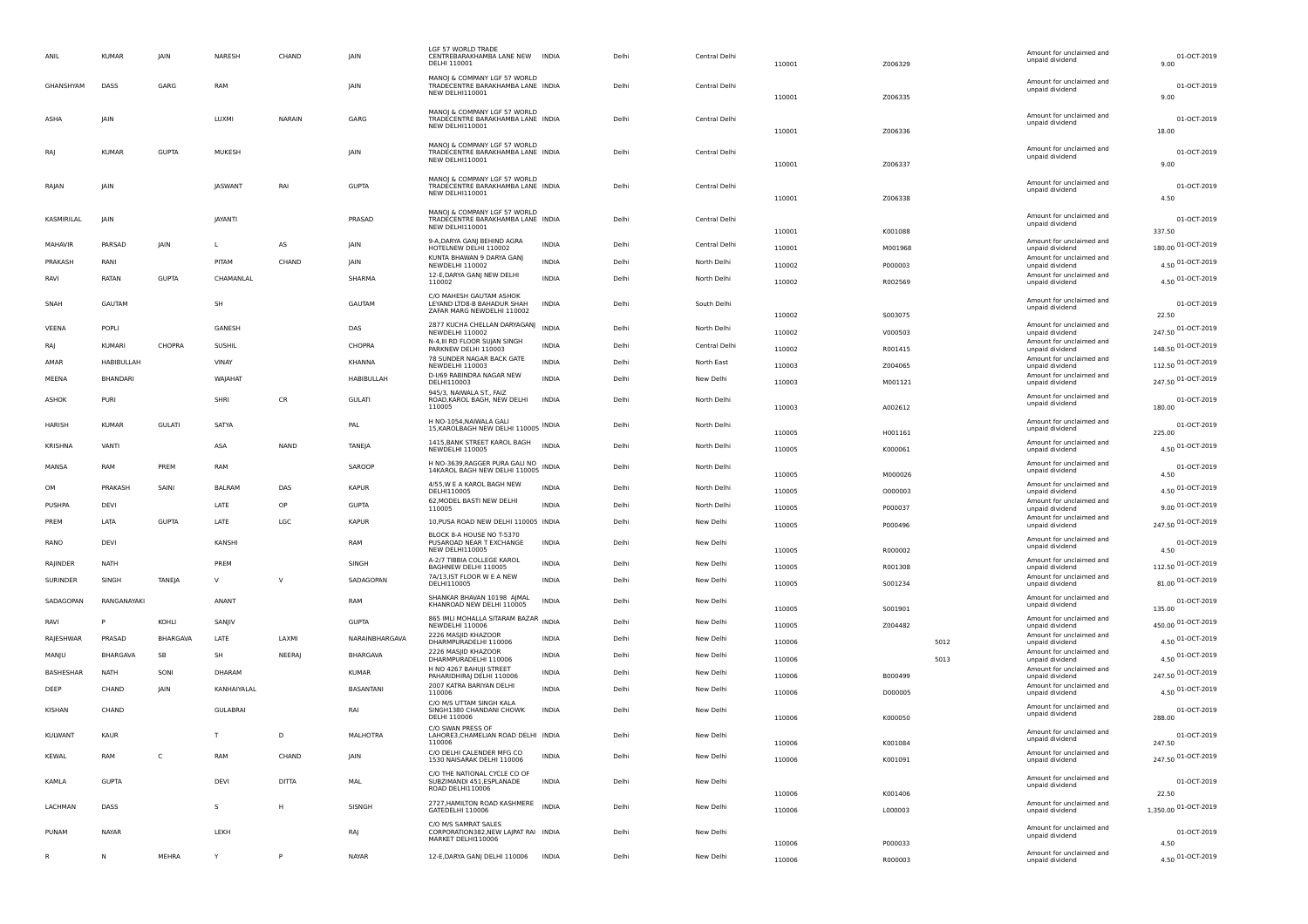| ANIL          | <b>KUMAR</b>  | JAIN            | NARESH          | CHAND         | JAIN              | LGF 57 WORLD TRADE<br>CENTREBARAKHAMBA LANE NEW INDIA<br>DELHI 110001                       |              | Delhi | Central Delhi | 110001           | Z006329            |      | Amount for unclaimed and<br>unpaid dividend | 01-OCT-2019<br>9.00          |
|---------------|---------------|-----------------|-----------------|---------------|-------------------|---------------------------------------------------------------------------------------------|--------------|-------|---------------|------------------|--------------------|------|---------------------------------------------|------------------------------|
| GHANSHYAM     | DASS          | GARG            | RAM             |               | JAIN              | MANOJ & COMPANY LGF 57 WORLD<br>TRADÉCENTRE BARAKHAMBA LANE INDIA<br>NEW DELHI110001        |              | Delhi | Central Delhi | 110001           | Z006335            |      | Amount for unclaimed and<br>unpaid dividend | 01-OCT-2019<br>9.00          |
| ASHA          | JAIN          |                 | LUXMI           | <b>NARAIN</b> | GARG              | MANOJ & COMPANY LGF 57 WORLD<br>TRADECENTRE BARAKHAMBA LANE INDIA<br>NEW DELHI110001        |              | Delhi | Central Delhi | 110001           | Z006336            |      | Amount for unclaimed and<br>unpaid dividend | 01-OCT-2019<br>18.00         |
|               | <b>KUMAF</b>  | <b>GUPTA</b>    | MUKESH          |               | JAIN              | MANOJ & COMPANY LGF 57 WORLD<br>TRADÉCENTRE BARAKHAMBA LANE INDIA<br>NEW DELHI110001        |              | Delhi | Central Delhi | 110001           | Z006337            |      | Amount for unclaimed and<br>unpaid dividend | 01-OCT-2019<br>9.00          |
| RAJAN         | JAIN          |                 | <b>JASWANT</b>  | RAI           | <b>GUPTA</b>      | MANOJ & COMPANY LGF 57 WORLD<br>TRADECENTRE BARAKHAMBA LANE INDIA<br>NEW DELHI110001        |              | Delhi | Central Delhi | 110001           | Z006338            |      | Amount for unclaimed and<br>unpaid dividend | 01-OCT-2019<br>4.50          |
| KASMIRILAL    | <b>IAIN</b>   |                 | JAYANTI         |               | PRASAD            | MANOJ & COMPANY LGF 57 WORLD<br>TRADECENTRE BARAKHAMBA LANE INDIA<br><b>NEW DELHI110001</b> |              | Delhi | Central Delhi | 110001           | K001088            |      | Amount for unclaimed and<br>unpaid dividend | 01-OCT-2019<br>337.50        |
| MAHAVIR       | PARSAD        | JAIN            | L               | AS            | JAIN              | 9-A, DARYA GANJ BEHIND AGRA<br>HOTELNEW DELHI 110002                                        | <b>INDIA</b> | Delhi | Central Delhi | 110001           | M001968            |      | Amount for unclaimed and<br>unpaid dividend | 180.00 01-OCT-2019           |
| PRAKASH       | RANI          |                 | PITAM           | CHAND         | IAIN              | KUNTA BHAWAN 9 DARYA GANJ<br>NEWDELHI 110002                                                | <b>INDIA</b> | Delhi | North Delhi   | 110002           | P000003            |      | Amount for unclaimed and<br>unpaid dividend | 4.50 01-OCT-2019             |
| RAVI          | RATAN         | <b>GUPTA</b>    | CHAMANLAL       |               | SHARMA            | 12-E, DARYA GANJ NEW DELHI<br>110002                                                        | <b>INDIA</b> | Delhi | North Delhi   | 110002           | R002569            |      | Amount for unclaimed and<br>unpaid dividend | 4.50 01-OCT-2019             |
| SNAH          | <b>GAUTAM</b> |                 | <b>SH</b>       |               | GAUTAM            | C/O MAHESH GAUTAM ASHOK<br>LEYAND LTD8-B BAHADUR SHAH<br>ZAFAR MARG NEWDELHI 110002         | <b>INDIA</b> | Delhi | South Delhi   | 110002           | S003075            |      | Amount for unclaimed and<br>unpaid dividend | 01-OCT-2019<br>22.50         |
| VEENA         | POPLI         |                 | GANESH          |               | DAS               | 2877 KUCHA CHELLAN DARYAGANJ                                                                | <b>INDIA</b> | Delhi | North Delhi   |                  |                    |      | Amount for unclaimed and                    | 247.50 01-OCT-2019           |
| RAJ           | <b>KUMARI</b> | CHOPRA          | <b>SUSHIL</b>   |               | CHOPRA            | NEWDELHI 110002<br>N-4, III RD FLOOR SUJAN SINGH                                            | <b>INDIA</b> | Delhi | Central Delhi | 110002           | V000503            |      | unpaid dividend<br>Amount for unclaimed and | 148.50 01-OCT-2019           |
| AMAR          | HABIBULLAH    |                 | VINAY           |               | KHANNA            | PARKNEW DELHI 110003<br>78 SUNDER NAGAR BACK GATE                                           | <b>INDIA</b> | Delhi | North East    | 110002           | R001415            |      | unpaid dividend<br>Amount for unclaimed and |                              |
| MEENA         | BHANDARI      |                 | WAJAHAT         |               | <b>HABIBULLAH</b> | NEWDELHI 110003<br>D-I/69 RABINDRA NAGAR NEW                                                | <b>INDIA</b> | Delhi |               | 110003           | Z004065            |      | unpaid dividend<br>Amount for unclaimed and | 112.50 01-OCT-2019           |
|               |               |                 |                 |               |                   | DELHI110003<br>945/3, NAIWALA ST., FAIZ                                                     |              |       | New Delhi     | 110003           | M001121            |      | unpaid dividend                             | 247.50 01-OCT-2019           |
| ASHOK         | <b>PURI</b>   |                 | SHRI            | CR            | <b>GULATI</b>     | ROAD, KAROL BAGH, NEW DELHI<br>110005                                                       | <b>INDIA</b> | Delh  | North Delhi   | 110003           | A002612            |      | Amount for unclaimed and<br>unpaid dividend | 01-OCT-2019<br>180.00        |
| HARISH        | <b>KUMAR</b>  | <b>GULATI</b>   | SATYA           |               | PAL               | H NO-1054, NAIWALA GALI<br>15, KAROLBAGH NEW DELHI 110005 INDIA                             |              | Delhi | North Delhi   | 110005           | H001161            |      | Amount for unclaimed and<br>unpaid dividend | 01-OCT-2019<br>225.00        |
| KRISHNA       | VANTI         |                 | ASA             | <b>NAND</b>   | TANEJA            | 1415, BANK STREET KAROL BAGH<br>NEWDELHI 110005                                             | <b>INDIA</b> | Delhi | North Delhi   | 110005           | K000061            |      | Amount for unclaimed and<br>unpaid dividend | 4.50 01-OCT-2019             |
| MANSA         | RAM           | PREM            | RAM             |               | SAROOP            | H NO-3639, RAGGER PURA GALI NO<br>14KAROL BAGH NEW DELHI 110005                             | INDIA        | Delhi | North Delhi   | 110005           | M000026            |      | Amount for unclaimed and<br>unpaid dividend | 01-OCT-2019<br>4.50          |
| OM            | PRAKASH       | SAINI           | <b>BALRAM</b>   | DAS           | <b>KAPUR</b>      | 4/55, W E A KAROL BAGH NEW<br>DELHI110005                                                   | <b>INDIA</b> | Delhi | North Delhi   | 110005           | 0000003            |      | Amount for unclaimed and<br>unpaid dividend | 4.50 01-OCT-2019             |
| PUSHPA        | DEVI          |                 | LATE            | OP            | <b>GUPTA</b>      | 62, MODEL BASTI NEW DELHI<br>110005                                                         | <b>INDIA</b> | Delhi | North Delhi   | 110005           | P000037            |      | Amount for unclaimed and<br>unpaid dividend | 9.00 01-OCT-2019             |
| PREM          | LATA          | <b>GUPTA</b>    | LATE            | LGC           | <b>KAPUR</b>      | 10, PUSA ROAD NEW DELHI 110005 INDIA                                                        |              | Delhi | New Delhi     | 110005           | P000496            |      | Amount for unclaimed and<br>unpaid dividend | 247.50 01-OCT-2019           |
| RANO          | DEVI          |                 | KANSHI          |               | <b>RAM</b>        | BLOCK 8-A HOUSE NO T-5370<br>PUSAROAD NEAR T EXCHANGE<br>NEW DELHI110005                    | <b>INDIA</b> | Delhi | New Delhi     | 110005           | R000002            |      | Amount for unclaimed and<br>unpaid dividend | 01-OCT-2019<br>4.50          |
| RAJINDER      | <b>NATH</b>   |                 | PREM            |               | SINGH             | A-2/7 TIBBIA COLLEGE KAROL<br>BAGHNEW DELHI 110005                                          | <b>INDIA</b> | Delhi | New Delhi     | 110005           | R001308            |      | Amount for unclaimed and<br>unpaid dividend | 112.50 01-OCT-2019           |
| SURINDER      | SINGH         | TANEJA          | V               | V             | SADAGOPAN         | 7A/13, IST FLOOR W E A NEW<br>DELHI110005                                                   | <b>INDIA</b> | Delhi | New Delhi     | 110005           | 5001234            |      | Amount for unclaimed and<br>unpaid dividend | 81.00 01-OCT-2019            |
| SADAGOPAN     | RANGANAYAKI   |                 | ANANT           |               | RAM               | SHANKAR BHAVAN 10198 AJMAL                                                                  | <b>INDIA</b> | Delhi | New Delhi     |                  |                    |      | Amount for unclaimed and                    | 01-OCT-2019                  |
|               |               |                 |                 |               |                   | KHANROAD NEW DELHI 110005<br>865 IMLI MOHALLA SITARAM BAZAR                                 |              |       |               | 110005           | S001901            |      | unpaid dividend<br>Amount for unclaimed and | 135.00                       |
| RAVI          |               | KOHLI           | SANJIV          |               | <b>GUPTA</b>      | NEWDELHI 110006<br>2226 MASJID KHAZOOR                                                      | <b>INDIA</b> | Delhi | New Delhi     | 110005           | Z004482            |      | unpaid dividend<br>Amount for unclaimed and | 450.00 01-OCT-2019           |
| RAJESHWAR     | PRASAD        | <b>BHARGAVA</b> | LATE            | LAXMI         | NARAINBHARGAVA    | DHARMPURADELHI 110006                                                                       | <b>INDIA</b> | Delhi | New Delhi     | 110006           |                    | 5012 | unpaid dividend                             | 4.50 01-OCT-2019             |
| MANJU         | BHARGAVA      | SB              | <b>SH</b>       | NEERAJ        | <b>BHARGAVA</b>   | 2226 MASJID KHAZOOR<br>DHARMPURADELHI 110006                                                | INDIA        | Delhi | New Delhi     | 110006           |                    | 5013 | Amount for unclaimed and<br>unpaid dividend | 4.50 01-OCT-2019             |
| BASHESHAR     | <b>NATH</b>   | SONI            | DHARAM          |               | <b>KUMAR</b>      | H NO 4267 BAHUJI STREET<br>PAHARIDHIRAJ DELHI 110006                                        | <b>INDIA</b> | Delhi | New Delhi     | 110006           | B000499            |      | Amount for unclaimed and<br>unpaid dividend | 247.50 01-OCT-2019           |
| DEEP          | CHAND         | <b>JAIN</b>     | KANHAIYALAL     |               | <b>BASANTANI</b>  | 2007 KATRA BARIYAN DELHI<br>110006                                                          | <b>INDIA</b> | Delhi | New Delhi     | 110006           | D000005            |      | Amount for unclaimed and<br>unpaid dividend | 4.50 01-OCT-2019             |
| <b>KISHAN</b> | CHAND         |                 | <b>GULABRAI</b> |               | <b>RA</b>         | C/O M/S UTTAM SINGH KALA<br>SINGH1380 CHANDANI CHOWK<br>DELHI 110006                        | <b>INDIA</b> | Delh  | New Delhi     | 110006           | K000050            |      | Amount for unclaimed and<br>unpaid dividend | 01-OCT-2019<br>288.00        |
| KULWANT       | KAUR          |                 | T               | D             | <b>MALHOTRA</b>   | C/O SWAN PRESS OF<br>LAHORE3, CHAMELIAN ROAD DELHI INDIA                                    |              | Delhi | New Delhi     |                  |                    |      | Amount for unclaimed and<br>unpaid dividend | 01-OCT-2019                  |
| KEWAL         | RAM           | C               | RAM             | CHAND         | <b>JAIN</b>       | 110006<br>C/O DELHI CALENDER MFG CO<br>1530 NAISARAK DELHI 110006                           | <b>INDIA</b> | Delhi | New Delhi     | 110006<br>110006 | K001084<br>K001091 |      | Amount for unclaimed and<br>unpaid dividend | 247.50<br>247.50 01-OCT-2019 |
| KAMLA         | <b>GUPTA</b>  |                 | DEVI            | <b>DITTA</b>  | MAL               | C/O THE NATIONAL CYCLE CO OF<br>SUBZIMANDI 451,ESPLANADE<br>ROAD DELHI110006                | <b>INDIA</b> | Delhi | New Delhi     | 110006           | K001406            |      | Amount for unclaimed and<br>unpaid dividend | 01-OCT-2019<br>22.50         |
| LACHMAN       | DASS          |                 | s               | H             | SISNGH            | 2727, HAMILTON ROAD KASHMERE<br>GATEDELHI 110006                                            | <b>INDIA</b> | Delhi | New Delhi     | 110006           | L000003            |      | Amount for unclaimed and<br>unpaid dividend | 1,350.00 01-OCT-2019         |
| PUNAM         | NAYAR         |                 | LEKH            |               | RAJ               | C/O M/S SAMRAT SALES<br>CORPORATION382, NEW LAJPAT RAI INDIA<br>MARKET DELHI110006          |              | Delhi | New Delhi     | 110006           | P000033            |      | Amount for unclaimed and<br>unpaid dividend | 01-OCT-2019<br>4.50          |
|               | N             | MEHRA           | Y               | P             | NAYAR             | 12-E, DARYA GANJ DELHI 110006 INDIA                                                         |              | Delhi | New Delhi     | 110006           | R000003            |      | Amount for unclaimed and<br>unpaid dividend | 4.50 01-OCT-2019             |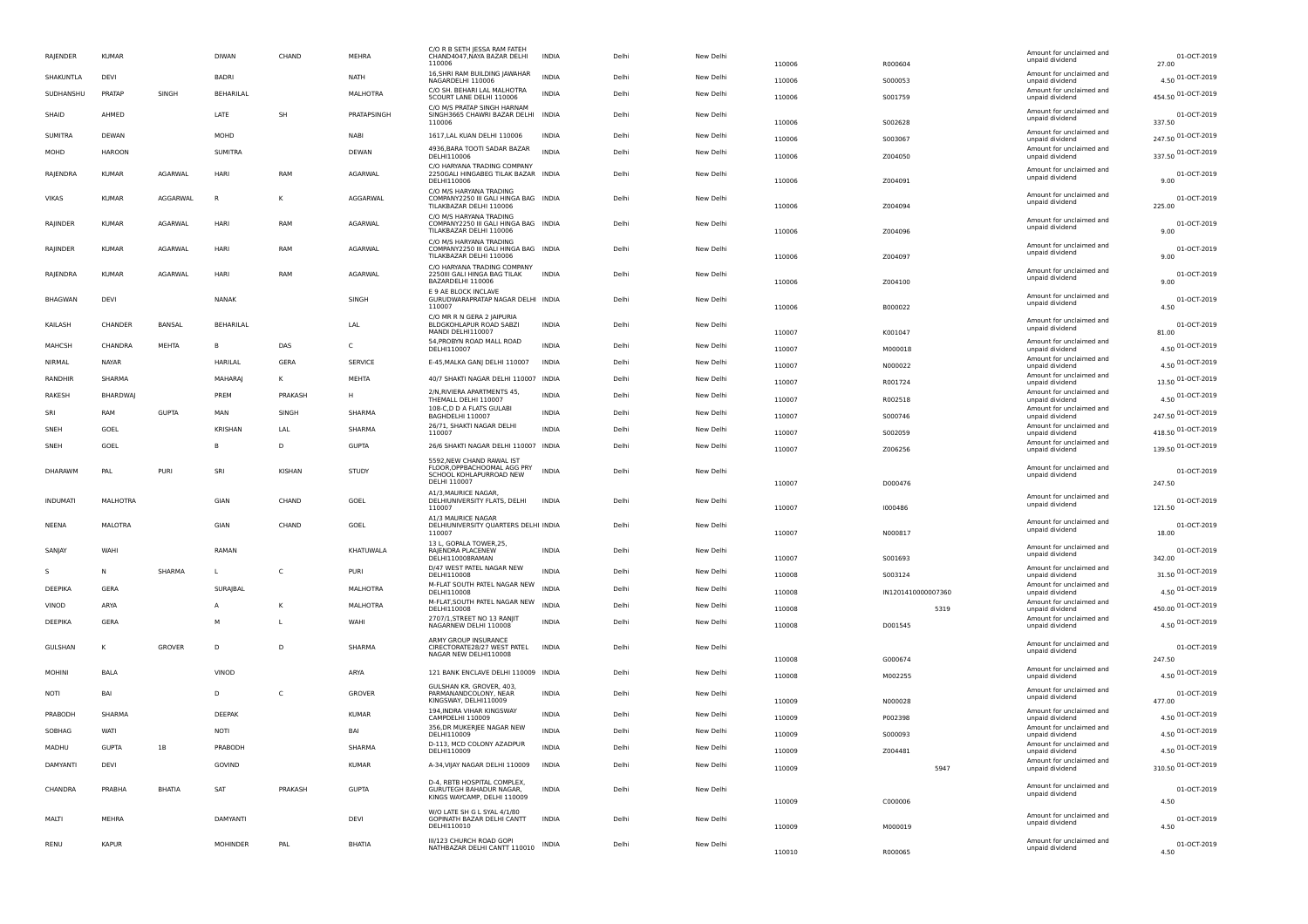| RAJENDER        | <b>KUMAF</b>    |               | <b>DIWAN</b>     | CHAND          | MEHRA          | C/O R B SETH IESSA RAM FATEH<br>CHAND4047, NAYA BAZAR DELHI<br>110006                              | INDIA        | Delhi | New Delhi | 110006 | R000604            | Amount for unclaimed and<br>unpaid dividend | 01-OCT-2019<br>27.00  |
|-----------------|-----------------|---------------|------------------|----------------|----------------|----------------------------------------------------------------------------------------------------|--------------|-------|-----------|--------|--------------------|---------------------------------------------|-----------------------|
| SHAKUNTLA       | <b>DFVI</b>     |               | <b>BADRI</b>     |                | <b>NATH</b>    | 16, SHRI RAM BUILDING JAWAHAR<br>NAGARDELHI 110006                                                 | <b>INDIA</b> | Delhi | New Delhi | 110006 | S000053            | Amount for unclaimed and<br>unpaid dividend | 4.50 01-OCT-2019      |
| SUDHANSHU       | PRATAP          | SINGH         | <b>BEHARILAL</b> |                | MALHOTRA       | C/O SH. BEHARLLAL MALHOTRA<br>5COURT LANE DELHI 110006                                             | <b>INDIA</b> | Delhi | New Delhi | 110006 | S001759            | Amount for unclaimed and<br>unpaid dividend | 454.50 01-OCT-2019    |
| SHAID           | AHMFD           |               | LATE             | SH             | PRATAPSINGH    | C/O M/S PRATAP SINGH HARNAM<br>SINGH3665 CHAWRI BAZAR DELHI INDIA<br>110006                        |              | Delhi | New Delhi | 110006 | S002628            | Amount for unclaimed and<br>unpaid dividend | 01-OCT-2019<br>337.50 |
| <b>SUMITRA</b>  | DEWAN           |               | MOHD             |                | <b>NABI</b>    | 1617.LAL KUAN DELHI 110006                                                                         | <b>INDIA</b> | Delhi | New Delhi | 110006 | S003067            | Amount for unclaimed and<br>unpaid dividend | 247.50 01-OCT-2019    |
| MOHD            | <b>HAROON</b>   |               | <b>SUMITRA</b>   |                | <b>DEWAN</b>   | 4936, BARA TOOTI SADAR BAZAR<br>DELHI110006                                                        | <b>INDIA</b> | Delhi | New Delhi | 110006 | Z004050            | Amount for unclaimed and<br>unpaid dividend | 337.50 01-OCT-2019    |
| RAJENDRA        | <b>KUMAR</b>    | AGARWAL       | HARI             | RAM            | AGARWAL        | C/O HARYANA TRADING COMPANY<br>2250GALI HINGABEG TILAK BAZAR INDIA<br>DELHI110006                  |              | Delhi | New Delhi | 110006 | Z004091            | Amount for unclaimed and<br>unpaid dividend | 01-OCT-2019<br>9.00   |
| <b>VIKAS</b>    | KUMAR           | AGGARWAI      | $\mathsf{R}$     | к              | AGGARWAI       | C/O M/S HARYANA TRADING<br>COMPANY2250 III GALI HINGA BAG INDIA<br>TILAKBAZAR DELHI 110006         |              | Delhi | New Delhi | 110006 | Z004094            | Amount for unclaimed and<br>unpaid dividend | 01-OCT-2019<br>225.00 |
| RAJINDER        | <b>KUMAR</b>    | AGARWAL       | <b>HARI</b>      | RAM            | AGARWAL        | C/O M/S HARYANA TRADING<br>COMPANY2250 III GALI HINGA BAG INDIA<br>TILAKBAZAR DELHI 110006         |              | Delhi | New Delhi | 110006 | Z004096            | Amount for unclaimed and<br>unpaid dividend | 01-OCT-2019<br>9.00   |
| RAJINDER        | <b>KUMAR</b>    | AGARWAL       | <b>HARI</b>      | RAM            | AGARWAL        | C/O M/S HARYANA TRADING<br>COMPANY2250 III GALI HINGA BAG INDIA<br>TILAKBAZAR DELHI 110006         |              | Delhi | New Delhi | 110006 | Z004097            | Amount for unclaimed and<br>unpaid dividend | 01-OCT-2019<br>9.00   |
| RAIFNDRA        | KUMAR           | AGARWAI       | <b>HARI</b>      | RAM            | <b>AGARWAI</b> | C/O HARYANA TRADING COMPANY<br>2250III GALI HINGA BAG TILAK<br>BAZARDELHI 110006                   | <b>INDIA</b> | Delhi | New Delhi | 110006 | 7004100            | Amount for unclaimed and<br>unpaid dividend | 01-OCT-2019<br>9.00   |
| <b>BHAGWAN</b>  | DEVI            |               | NANAK            |                | SINGH          | E 9 AE BLOCK INCLAVE<br>GURUDWARAPRATAP NAGAR DELHI INDIA<br>110007                                |              | Delhi | New Delhi | 110006 | B000022            | Amount for unclaimed and<br>unpaid dividend | 01-OCT-2019<br>4.50   |
| KAILASH         | CHANDER         | BANSAL        | <b>BEHARILAL</b> |                | LAL            | C/O MR R N GERA 2 IAIPURIA<br>BLDGKOHLAPUR ROAD SABZI<br>MANDI DELHI110007                         | INDIA        | Delhi | New Delhi | 110007 | K001047            | Amount for unclaimed and<br>unpaid dividend | 01-OCT-2019<br>81.00  |
| MAHCSH          | CHANDRA         | MEHTA         |                  | DAS            | C              | 54, PROBYN ROAD MALL ROAD<br>DELHI110007                                                           | <b>INDIA</b> | Delhi | New Delhi | 110007 | M000018            | Amount for unclaimed and<br>unpaid dividend | 4.50 01-OCT-2019      |
| NIRMAL          | NAYAR           |               | HARILAL          | GERA           | SERVICE        | E-45, MALKA GANJ DELHI 110007                                                                      | <b>INDIA</b> | Delhi | New Delhi | 110007 | N000022            | Amount for unclaimed and<br>unpaid dividend | 4.50 01-OCT-2019      |
| RANDHIR         | SHARMA          |               | MAHARAI          | К              | MEHTA          | 40/7 SHAKTI NAGAR DELHI 110007 INDIA                                                               |              | Delhi | New Delhi | 110007 | R001724            | Amount for unclaimed and<br>unpaid dividend | 13.50 01-OCT-2019     |
| RAKESH          | <b>BHARDWAI</b> |               | PRFM             | PRAKASH        | H              | 2/N, RIVIERA APARTMENTS 45,<br>THEMALL DELHI 110007                                                | <b>INDIA</b> | Delhi | New Delhi | 110007 | R002518            | Amount for unclaimed and<br>unpaid dividend | 4.50 01-OCT-2019      |
| SRI             | RAM             | <b>GUPTA</b>  | MAN              | SINGH          | SHARMA         | 108-C,D D A FLATS GULABI<br>BAGHDELHI 110007                                                       | <b>INDIA</b> | Delhi | New Delhi | 110007 | S000746            | Amount for unclaimed and<br>unpaid dividend | 247.50 01-OCT-2019    |
| SNEH            | GOEL            |               | <b>KRISHAN</b>   | LAL            | SHARMA         | 26/71, SHAKTI NAGAR DELHI<br>110007                                                                | <b>INDIA</b> | Delhi | New Delhi | 110007 | S002059            | Amount for unclaimed and<br>unpaid dividend | 418.50 01-OCT-2019    |
| SNEH            | GOEL            |               | B.               | D              | <b>GUPTA</b>   | 26/6 SHAKTI NAGAR DELHI 110007 INDIA                                                               |              | Delhi | New Delhi | 110007 | Z006256            | Amount for unclaimed and<br>unpaid dividend | 139.50 01-OCT-2019    |
| <b>DHARAWM</b>  | PAI             | PURI          | SRI              | KISHAN         | STUDY          | 5592 NFW CHAND RAWAL IST<br>FLOOR, OPPBACHOOMAL AGG PRY<br>SCHOOL KOHLAPURROAD NEW<br>DELHI 110007 | <b>INDIA</b> | Delhi | New Delhi | 110007 | D000476            | Amount for unclaimed and<br>unpaid dividend | 01-OCT-2019<br>247.50 |
| <b>INDUMATI</b> | <b>MALHOTRA</b> |               | GIAN             | CHAND          | GOEL           | A1/3, MAURICE NAGAR,<br>DELHIUNIVERSITY FLATS, DELHI<br>110007                                     | <b>INDIA</b> | Delhi | New Delhi | 110007 | 1000486            | Amount for unclaimed and<br>unpaid dividend | 01-OCT-2019<br>121.50 |
| <b>NEENA</b>    | <b>MALOTRA</b>  |               | GIAN             | CHAND          | GOEL           | A1/3 MAURICE NAGAR<br>DELHIUNIVERSITY QUARTERS DELHI INDIA<br>110007                               |              | Delhi | New Delhi | 110007 | N000817            | Amount for unclaimed and<br>unpaid dividend | 01-OCT-2019<br>18.00  |
| <b>SANJAY</b>   | WAHI            |               | RAMAN            |                | KHATUWALA      | 13 L. GOPALA TOWER.25.<br>RAJENDRA PLACENEW<br>DELHI110008RAMAN                                    | INDIA        | Delhi | New Delhi | 110007 | S001693            | Amount for unclaimed and<br>unpaid dividend | 01-OCT-2019<br>342.00 |
| S               | N               | SHARMA        | $\mathbf{L}$     | $\mathsf{C}$   | PURI           | D/47 WEST PATEL NAGAR NEW<br>DELHI110008                                                           | <b>INDIA</b> | Delhi | New Delhi | 110008 | S003124            | Amount for unclaimed and<br>unpaid dividend | 31.50 01-OCT-2019     |
| DEEPIKA         | GERA            |               | SURAJBAL         |                | MALHOTRA       | M-FLAT SOUTH PATEL NAGAR NEW<br>DELHI110008                                                        | <b>INDIA</b> | Delhi | New Delhi | 110008 | IN1201410000007360 | Amount for unclaimed and<br>unpaid dividend | 4.50 01-OCT-2019      |
| VINOD           | ARYA            |               |                  | ĸ              | MALHOTRA       | M-FLAT, SOUTH PATEL NAGAR NEW<br>DELHI110008                                                       | <b>INDIA</b> | Delhi | New Delhi | 110008 | 5319               | Amount for unclaimed and<br>unpaid dividend | 450.00 01-OCT-2019    |
| DEFPIKA         | GFRA            |               | м                | $\mathbf{I}$   | WAHI           | 2707/1, STREET NO 13 RANJIT<br>NAGARNEW DELHI 110008                                               | <b>INDIA</b> | Delhi | New Delhi | 110008 | D001545            | Amount for unclaimed and<br>unpaid dividend | 4.50 01-OCT-2019      |
| GULSHAN         | к               | GROVER        | D                | $\overline{D}$ | SHARMA         | ARMY GROUP INSURANCE<br>CIRECTORATE28/27 WEST PATEL<br>NAGAR NEW DELHI110008                       | <b>INDIA</b> | Delhi | New Delhi | 110008 | G000674            | Amount for unclaimed and<br>unpaid dividend | 01-OCT-2019<br>247.50 |
| <b>MOHINI</b>   | <b>BALA</b>     |               | VINOD            |                | ARYA           | 121 BANK ENCLAVE DELHI 110009 INDIA                                                                |              | Delhi | New Delhi | 110008 | M002255            | Amount for unclaimed and<br>unpaid dividend | 4.50 01-OCT-2019      |
| NOTI            | BAI             |               | $\mathsf{D}$     | C              | GROVER         | GULSHAN KR. GROVER, 403,<br>PARMANANDCOLONY, NEAR<br>KINGSWAY, DELHI110009                         | <b>INDIA</b> | Delhi | New Delhi | 110009 | N000028            | Amount for unclaimed and<br>unpaid dividend | 01-OCT-2019<br>477.00 |
| PRABODH         | SHARMA          |               | <b>DEEPAK</b>    |                | KUMAR          | 194, INDRA VIHAR KINGSWAY<br>CAMPDELHI 110009                                                      | <b>INDIA</b> | Delhi | New Delhi | 110009 | P002398            | Amount for unclaimed and<br>unpaid dividend | 4.50 01-OCT-2019      |
| SOBHAG          | WATI            |               | <b>NOTI</b>      |                | BAI            | 356, DR MUKERJEE NAGAR NEW<br>DELHI110009                                                          | <b>INDIA</b> | Delhi | New Delhi | 110009 | S000093            | Amount for unclaimed and<br>unpaid dividend | 4.50 01-OCT-2019      |
| MADHU           | <b>GUPTA</b>    | 1B            | PRABODH          |                | SHARMA         | D-113, MCD COLONY AZADPUR<br>DELHI110009                                                           | <b>INDIA</b> | Delhi | New Delhi | 110009 | Z004481            | Amount for unclaimed and<br>unpaid dividend | 4.50 01-OCT-2019      |
| <b>DAMYANTI</b> | DEVI            |               | GOVIND           |                | <b>KUMAR</b>   | A-34, VIJAY NAGAR DELHI 110009                                                                     | <b>INDIA</b> | Delhi | New Delhi | 110009 | 5947               | Amount for unclaimed and<br>unpaid dividend | 310.50 01-OCT-2019    |
| CHANDRA         | PRABHA          | <b>BHATIA</b> | <b>SAT</b>       | PRAKASH        | <b>GUPTA</b>   | D-4, RBTB HOSPITAL COMPLEX,<br>GURUTEGH BAHADUR NAGAR.<br>KINGS WAYCAMP, DELHI 110009              | <b>INDIA</b> | Delhi | New Delhi | 110009 | C000006            | Amount for unclaimed and<br>unpaid dividend | 01-OCT-2019<br>4.50   |
| MAITI           | MFHRA           |               | DAMYANTI         |                | DFVI           | W/O LATE SH G L SYAL 4/1/80<br>GOPINATH BAZAR DELHI CANTT<br>DELHI110010                           | <b>INDIA</b> | Delhi | New Delhi | 110009 | M000019            | Amount for unclaimed and<br>unpaid dividend | 01-OCT-2019<br>4.50   |
| RENU            | KAPUF           |               | <b>MOHINDER</b>  | PAL            | <b>BHATIA</b>  | III/123 CHURCH ROAD GOPI<br>NATHBAZAR DELHI CANTT 110010                                           | INDIA        | Delhi | New Delhi | 110010 | R000065            | Amount for unclaimed and<br>unpaid dividend | 01-OCT-2019<br>4.50   |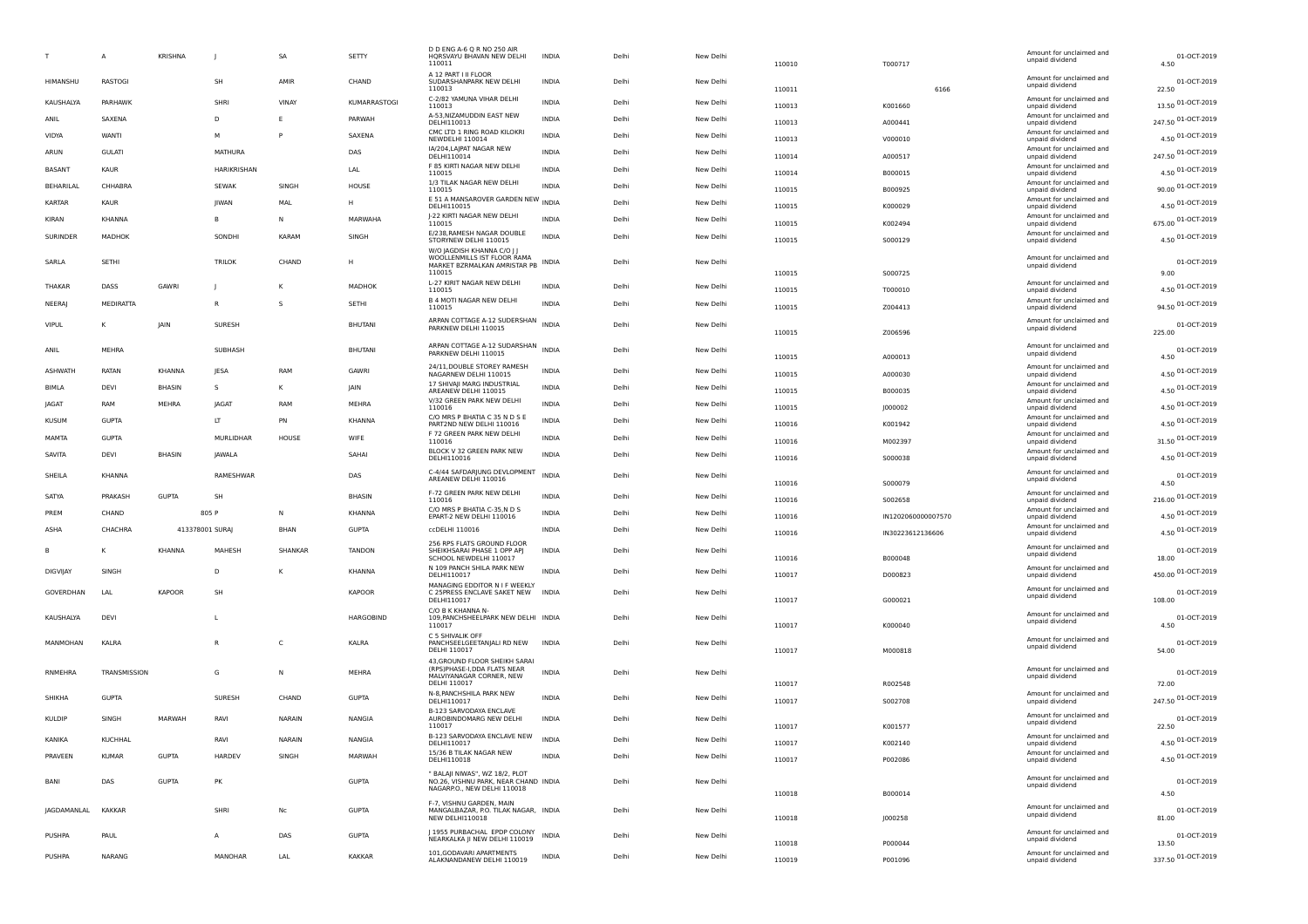|                  | A                   | <b>KRISHNA</b>  |               | SA            | SETTY         | D D ENG A-6 Q R NO 250 AIR<br>HQRSVAYU BHAVAN NEW DELHI<br>110011                                   | <b>INDIA</b> | Delh  | New Delhi | 110010           | T000717            | Amount for unclaimed and<br>unpaid dividend | 01-OCT-2019<br>4.50         |
|------------------|---------------------|-----------------|---------------|---------------|---------------|-----------------------------------------------------------------------------------------------------|--------------|-------|-----------|------------------|--------------------|---------------------------------------------|-----------------------------|
| HIMANSHU         | RASTOGI             |                 | SH            | AMIR          | CHAND         | A 12 PART I II FLOOR<br>SUDARSHANPARK NEW DELHI<br>110013                                           | <b>INDIA</b> | Delh  | New Delhi | 110011           | 6166               | Amount for unclaimed and<br>unpaid dividend | 01-OCT-2019<br>22.50        |
| KAUSHALYA        | PARHAWK             |                 | SHRI          | VINAY         | KUMARRASTOGI  | C-2/82 YAMUNA VIHAR DELHI                                                                           | <b>INDIA</b> | Delh  | New Delhi |                  |                    | Amount for unclaimed and                    | 13.50 01-OCT-2019           |
| ANIL             | SAXENA              |                 | D             | E             | PARWAH        | 110013<br>A-53, NIZAMUDDIN EAST NEW                                                                 | <b>INDIA</b> | Delh  | New Delhi | 110013           | K001660            | unpaid dividend<br>Amount for unclaimed and | 247.50 01-OCT-2019          |
| VIDYA            | WANTI               |                 | м             | P             | SAXENA        | DELHI110013<br>CMC LTD 1 RING ROAD KILOKRI                                                          | INDIA        | Delhi | New Delhi | 110013           | A000441            | unpaid dividend<br>Amount for unclaimed and |                             |
|                  |                     |                 |               |               |               | NEWDELHI 110014<br>IA/204, LAJPAT NAGAR NEW                                                         |              |       |           | 110013           | V000010            | unpaid dividend<br>Amount for unclaimed and | 4.50 01-OCT-2019            |
| ARUN             | <b>GULATI</b>       |                 | MATHURA       |               | DAS           | DELHI110014<br>F 85 KIRTI NAGAR NEW DELHI                                                           | INDIA        | Delhi | New Delhi | 110014           | A000517            | unpaid dividend<br>Amount for unclaimed and | 247.50 01-OCT-2019          |
| <b>BASANT</b>    | KAUR                |                 | HARIKRISHAN   |               | LAL           | 110015                                                                                              | <b>INDIA</b> | Delh  | New Delhi | 110014           | B000015            | unpaid dividend                             | 4.50 01-OCT-2019            |
| <b>BEHARILAL</b> | CHHABRA             |                 | <b>SEWAK</b>  | SINGH         | HOUSE         | 1/3 TILAK NAGAR NEW DELHI<br>110015                                                                 | <b>INDIA</b> | Delh  | New Delhi | 110015           | B000925            | Amount for unclaimed and<br>unpaid dividend | 90.00 01-OCT-2019           |
| <b>KARTAR</b>    | KAUR                |                 | <b>IIWAN</b>  | MAL           | н             | E 51 A MANSAROVER GARDEN NEW INDIA<br>DELHI110015                                                   |              | Delh  | New Delhi | 110015           | K000029            | Amount for unclaimed and<br>unpaid dividend | 4.50 01-OCT-2019            |
| KIRAN            | KHANNA              |                 | B             | N             | MARWAHA       | J-22 KIRTI NAGAR NEW DELHI<br>110015                                                                | <b>INDIA</b> | Delh  | New Delhi | 110015           | K002494            | Amount for unclaimed and<br>unpaid dividend | 675.00 01-OCT-2019          |
| SURINDER         | MADHOK              |                 | SONDHI        | KARAM         | SINGH         | E/238, RAMESH NAGAR DOUBLE<br>STORYNEW DELHI 110015                                                 | INDIA        | Delhi | New Delhi | 110015           | S000129            | Amount for unclaimed and<br>unpaid dividend | 4.50 01-OCT-2019            |
| SARLA            | SETHI               |                 | <b>TRILOK</b> | CHAND         |               | W/O JAGDISH KHANNA C/O    <br>WOOLLENMILLS IST FLOOR RAMA<br>MARKET BZRMALKAN AMRISTAR PB<br>110015 | <b>INDIA</b> | Delh  | New Delhi | 110015           | S000725            | Amount for unclaimed and<br>unpaid dividend | 01-OCT-2019<br>9.00         |
| <b>THAKAR</b>    | DASS                | GAWRI           |               | к             | MADHOK        | L-27 KIRIT NAGAR NEW DELHI<br>110015                                                                | <b>INDIA</b> | Delh  | New Delhi | 110015           | T000010            | Amount for unclaimed and<br>unpaid dividend | 4.50 01-OCT-2019            |
| NEERAJ           | MEDIRATTA           |                 | R             | s             | <b>SETHI</b>  | <b>B 4 MOTI NAGAR NEW DELHI</b>                                                                     | <b>INDIA</b> | Delhi | New Delhi |                  |                    | Amount for unclaimed and                    | 94.50 01-OCT-2019           |
|                  |                     |                 |               |               |               | 110015<br>ARPAN COTTAGE A-12 SUDERSHAN INDIA                                                        |              |       |           | 110015           | Z004413            | unpaid dividend<br>Amount for unclaimed and |                             |
| <b>VIPUL</b>     |                     | <b>JAIN</b>     | SURESH        |               | BHUTANI       | PARKNEW DELHI 110015                                                                                |              | Delhi | New Delhi | 110015           | Z006596            | unpaid dividend                             | 01-OCT-2019<br>225.00       |
| ANIL             | MEHRA               |                 | SUBHASH       |               | BHUTANI       | ARPAN COTTAGE A-12 SUDARSHAN INDIA                                                                  |              | Delh  | New Delhi |                  |                    | Amount for unclaimed and                    | 01-OCT-2019                 |
|                  |                     |                 |               |               |               | PARKNEW DELHI 110015                                                                                |              |       |           | 110015           | A000013            | unpaid dividend                             | 4.50                        |
| <b>ASHWATH</b>   | RATAN               | KHANNA          | JESA          | <b>RAM</b>    | GAWRI         | 24/11, DOUBLE STOREY RAMESH<br>NAGARNEW DELHI 110015                                                | <b>INDIA</b> | Delh  | New Delhi | 110015           | A000030            | Amount for unclaimed and<br>unpaid dividend | 4.50 01-OCT-2019            |
| BIMLA            | DEVI                | BHASIN          | s             | к             | JAIN          | 17 SHIVAJI MARG INDUSTRIAL<br>AREANEW DELHI 110015                                                  | <b>INDIA</b> | Delhi | New Delhi | 110015           | B000035            | Amount for unclaimed and<br>unpaid dividend | 4.50 01-OCT-2019            |
| JAGAT            | RAM                 | MEHRA           | <b>IAGA</b>   | RAM           | MEHRA         | V/32 GREEN PARK NEW DELHI<br>110016                                                                 | <b>INDIA</b> | Delhi | New Delhi | 110015           | J000002            | Amount for unclaimed and<br>unpaid dividend | 4.50 01-OCT-2019            |
| <b>KUSUM</b>     | <b>GUPTA</b>        |                 | LT            | PN            | KHANNA        | C/O MRS P BHATIA C 35 N D S E<br>PART2ND NEW DELHI 110016                                           | <b>INDIA</b> | Delhi | New Delhi | 110016           | K001942            | Amount for unclaimed and<br>unpaid dividend | 4.50 01-OCT-2019            |
| MAMTA            | <b>GUPTA</b>        |                 | MURLIDHAR     | HOUSE         | WIFE          | F 72 GREEN PARK NEW DELHI<br>110016                                                                 | <b>INDIA</b> | Delh  | New Delhi | 110016           | M002397            | Amount for unclaimed and<br>unpaid dividend | 31.50 01-OCT-2019           |
| SAVITA           | DEVI                | <b>BHASIN</b>   | <b>JAWALA</b> |               | SAHAI         | BLOCK V 32 GREEN PARK NEW<br>DELHI110016                                                            | <b>INDIA</b> | Delh  | New Delhi | 110016           | S000038            | Amount for unclaimed and<br>unpaid dividend | 4.50 01-OCT-2019            |
| SHEILA           | KHANNA              |                 | RAMESHWAR     |               | DAS           | C-4/44 SAFDARJUNG DEVLOPMENT<br>AREANEW DELHI 110016                                                | <b>INDIA</b> | Delh  | New Delhi | 110016           | S000079            | Amount for unclaimed and<br>unpaid dividend | 01-OCT-2019<br>4.50         |
| SATYA            | PRAKASH             | <b>GUPTA</b>    | SH            |               | <b>BHASIN</b> | F-72 GREEN PARK NEW DELHI                                                                           | <b>INDIA</b> | Delh  | New Delhi |                  |                    | Amount for unclaimed and                    | 216.00 01-OCT-2019          |
| PREM             | CHAND               |                 | 805 P         | N             | KHANNA        | 110016<br>C/O MRS P BHATIA C-35,N D S                                                               | <b>INDIA</b> | Delhi | New Delhi | 110016           | S002658            | unpaid dividend<br>Amount for unclaimed and | 4.50 01-OCT-2019            |
| ASHA             | CHACHRA             | 413378001 SURAJ |               | BHAN          | <b>GUPTA</b>  | EPART-2 NEW DELHI 110016<br>ccDELHI 110016                                                          | INDIA        | Delhi | New Delhi | 110016           | IN1202060000007570 | unpaid dividend<br>Amount for unclaimed and | 4.50 01-OCT-2019            |
|                  |                     |                 |               |               |               | 256 RPS FLATS GROUND FLOOR                                                                          |              |       |           | 110016           | IN30223612136606   | unpaid dividend                             |                             |
| B                |                     | KHANNA          | MAHESH        | SHANKAR       | <b>TANDON</b> | SHEIKHSARAI PHASE 1 OPP APJ<br>SCHOOL NEWDELHI 110017                                               | <b>INDIA</b> | Delhi | New Delhi | 110016           | B000048            | Amount for unclaimed and<br>unpaid dividend | 01-OCT-2019<br>18.00        |
| DIGVIJAY         | SINGH               |                 | D             | К             | KHANNA        | N 109 PANCH SHILA PARK NEW<br>DELHI110017                                                           | <b>INDIA</b> | Delhi | New Delhi | 110017           | D000823            | Amount for unclaimed and<br>unpaid dividend | 450.00 01-OCT-2019          |
| GOVERDHAN        | LAL                 | <b>KAPOOR</b>   | SH            |               | <b>KAPOOR</b> | MANAGING EDDITOR N I F WEEKLY<br>C 25PRESS ENCLAVE SAKET NEW                                        | <b>INDIA</b> | Delh  | New Delhi |                  |                    | Amount for unclaimed and                    | 01-OCT-2019                 |
|                  |                     |                 |               |               |               | DELHI110017                                                                                         |              |       |           | 110017           | G000021            | unpaid dividend                             | 108.00                      |
| KAUSHALYA        | DEVI                |                 | L             |               | HARGOBIND     | C/O B K KHANNA N<br>109, PANCHSHEELPARK NEW DELHI INDIA<br>110017                                   |              | Delhi | New Delhi | 110017           | K000040            | Amount for unclaimed and<br>unpaid dividend | 01-OCT-2019<br>4.50         |
| MANMOHAN         | KALRA               |                 | R             | C             | KALRA         | C 5 SHIVALIK OFF<br>PANCHSEELGEETANJALI RD NEW<br>DELHI 110017                                      | <b>INDIA</b> | Delh  | New Delhi | 110017           | M000818            | Amount for unclaimed and<br>unpaid dividend | 01-OCT-2019<br>54.00        |
| RNMEHRA          | <b>TRANSMISSION</b> |                 | G             | N             | MEHRA         | 43, GROUND FLOOR SHEIKH SARAI<br>(RPS)PHASE-I, DDA FLATS NEAR                                       | <b>INDIA</b> | Delhi | New Delhi |                  |                    | Amount for unclaimed and                    | 01-OCT-2019                 |
|                  |                     |                 |               |               |               | MALVIYANAGAR CORNER, NEW<br>DELHI 110017                                                            |              |       |           | 110017           | R002548            | unpaid dividend                             | 72.00                       |
| SHIKHA           | <b>GUPTA</b>        |                 | SURESH        | CHAND         | <b>GUPTA</b>  | N-8, PANCHSHILA PARK NEW<br>DELHI110017                                                             | INDIA        | Delhi | New Delhi | 110017           | S002708            | Amount for unclaimed and<br>unpaid dividend | 247.50 01-OCT-2019          |
| KULDIP           | SINGH               | MARWAH          | RAVI          | <b>NARAIN</b> | NANGIA        | B-123 SARVODAYA ENCLAVE<br>AUROBINDOMARG NEW DELHI<br>110017                                        | <b>INDIA</b> | Delh  | New Delhi |                  |                    | Amount for unclaimed and<br>unpaid dividend | 01-OCT-2019                 |
| KANIKA           | KUCHHAL             |                 | RAVI          | <b>NARAIN</b> | <b>NANGIA</b> | B-123 SARVODAYA ENCLAVE NEW                                                                         | <b>INDIA</b> | Delhi | New Delhi | 110017           | K001577            | Amount for unclaimed and                    | 22.50<br>01-OCT-2019        |
| PRAVEEN          | <b>KUMAR</b>        | <b>GUPTA</b>    | HARDEV        | SINGH         | MARWAH        | DELHI110017<br>15/36 B TILAK NAGAR NEW                                                              | <b>INDIA</b> | Delhi | New Delhi | 110017           | K002140            | Amount for unclaimed and                    | 4.50 01-OCT-2019            |
|                  |                     |                 |               |               |               | DELHI110018                                                                                         |              |       |           | 110017           | P002086            | unpaid dividend                             |                             |
| BANI             |                     |                 |               |               |               | " BALAJI NIWAS", WZ 18/2, PLOT                                                                      |              | Delhi |           |                  |                    | Amount for unclaimed and                    |                             |
|                  | DAS                 | <b>GUPTA</b>    | PK            |               | <b>GUPTA</b>  | NO.26, VISHNU PARK, NEAR CHAND INDIA<br>NAGARP.O., NEW DELHI 110018                                 |              |       | New Delhi | 110018           | B000014            | unpaid dividend                             | 01-OCT-2019<br>4.50         |
|                  | <b>KAKKAR</b>       |                 | SHRI          |               |               | F-7, VISHNU GARDEN, MAIN                                                                            |              | Delhi |           |                  |                    | Amount for unclaimed and                    |                             |
| JAGDAMANLAL      |                     |                 |               | Nc            | <b>GUPTA</b>  | MANGALBAZAR, P.O. TILAK NAGAR, INDIA<br>NEW DELHI110018                                             |              |       | New Delhi | 110018           | J000258            | unpaid dividend                             | 01-OCT-2019<br>81.00        |
| PUSHPA           | PAUL                |                 | A             | DAS           | <b>GUPTA</b>  | J 1955 PURBACHAL EPDP COLONY<br>NEARKALKA JI NEW DELHI 110019                                       | <b>INDIA</b> | Delhi | New Delhi |                  |                    | Amount for unclaimed and<br>unpaid dividend | 01-OCT-2019                 |
| PUSHPA           | NARANG              |                 | MANOHAR       | LAL           | <b>KAKKAR</b> | 101, GODAVARI APARTMENTS<br>ALAKNANDANEW DELHI 110019                                               | <b>INDIA</b> | Delhi | New Delhi | 110018<br>110019 | P000044<br>P001096 | Amount for unclaimed and<br>unpaid dividend | 13.50<br>337.50 01-OCT-2019 |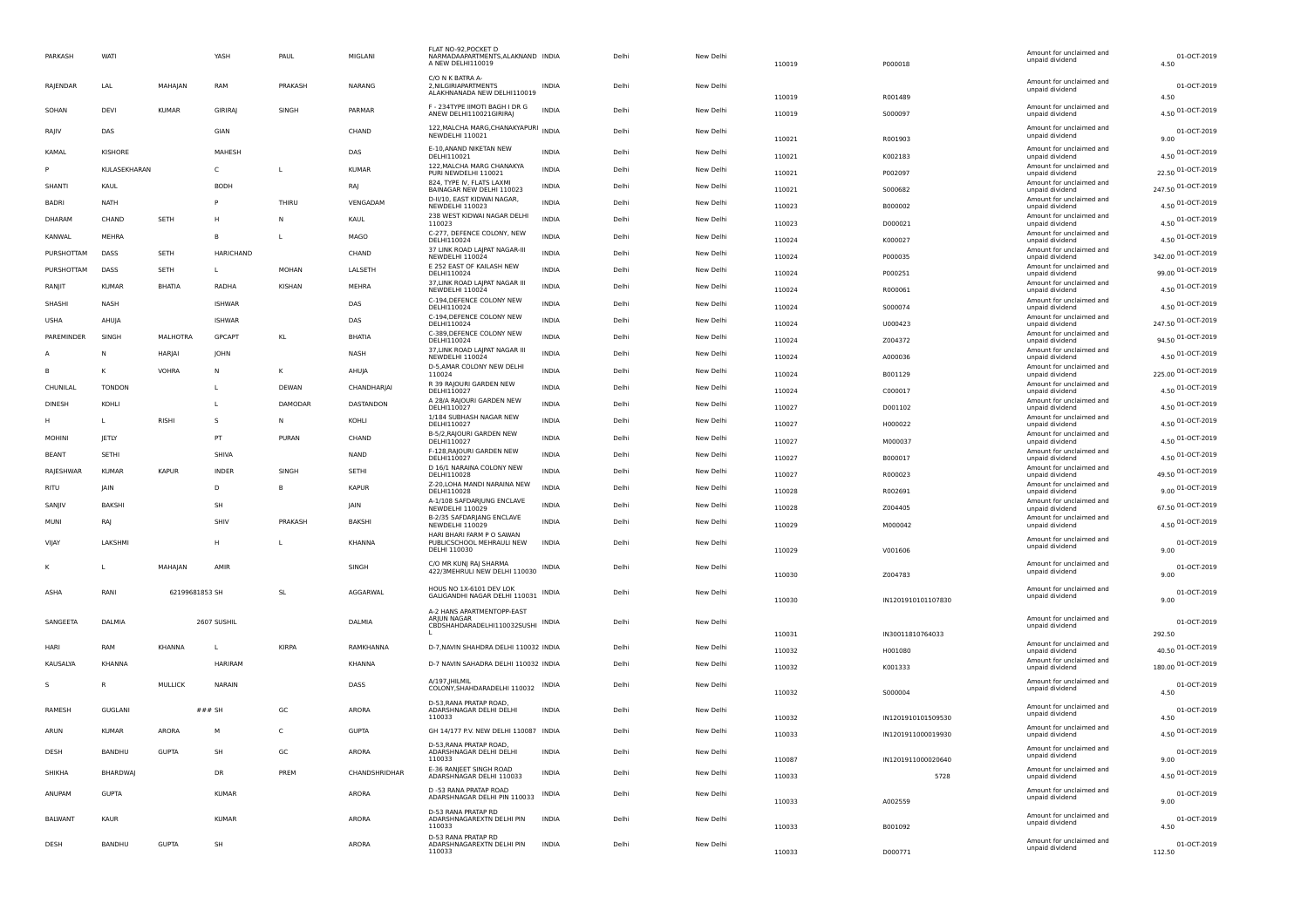| PARKASH         | WATI           |                 | YASH             | PAUL         | MIGLANI         | FLAT NO-92.POCKET D<br>NARMADAAPARTMENTS, ALAKNAND INDIA<br>A NEW DELHI110019 |              | Delhi | New Delhi | 110019           | P000018            | Amount for unclaimed and<br>unpaid dividend | 01-OCT-2019<br>4.50         |
|-----------------|----------------|-----------------|------------------|--------------|-----------------|-------------------------------------------------------------------------------|--------------|-------|-----------|------------------|--------------------|---------------------------------------------|-----------------------------|
| <b>RAIENDAR</b> | LAL            | MAHAIAN         | RAM              | PRAKASH      | <b>NARANG</b>   | C/O N K BATRA A-<br>2. NII GIRIAPARTMENTS<br>ALAKHNANADA NEW DELHI110019      | <b>INDIA</b> | Delhi | New Delhi |                  |                    | Amount for unclaimed and<br>unpaid dividend | 01-OCT-2019                 |
| SOHAN           | DEVI           | <b>KUMAR</b>    | <b>GIRIRAI</b>   | SINGH        | PARMAR          | F - 234TYPE IIMOTI BAGH I DR G<br>ANEW DELHI110021GIRIRA                      | <b>INDIA</b> | Delhi | New Delhi | 110019<br>110019 | R001489<br>S000097 | Amount for unclaimed and<br>unpaid dividend | 4.50<br>4.50 01-OCT-2019    |
| RAJIV           | DAS            |                 | GIAN             |              | CHAND           | 122, MALCHA MARG, CHANAKYAPURI INDIA<br><b>NEWDELHI 110021</b>                |              | Delhi | New Delhi | 110021           | R001903            | Amount for unclaimed and<br>unpaid dividend | 01-OCT-2019<br>9.00         |
| KAMAL           | KISHORE        |                 | MAHESH           |              | DAS             | E-10, ANAND NIKETAN NEW<br>DELHI110021                                        | INDIA        | Delhi | New Delhi | 110021           | K002183            | Amount for unclaimed and<br>unpaid dividend | 4.50 01-OCT-2019            |
|                 | KULASEKHARAN   |                 | $\mathsf{C}$     | $\mathbf{I}$ | KUMAR           | 122, MALCHA MARG CHANAKYA<br>PURI NEWDELHI 110021                             | <b>INDIA</b> | Delhi | New Delhi | 110021           | P002097            | Amount for unclaimed and<br>unpaid dividend | 22.50 01-OCT-2019           |
| SHANTI          | KAUL           |                 | <b>BODF</b>      |              | RAJ             | 824. TYPE IV. FLATS LAXMI<br>BAINAGAR NEW DELHI 110023                        | INDIA        | Delhi | New Delhi | 110021           | S000682            | Amount for unclaimed and<br>unpaid dividend | 247.50 01-OCT-2019          |
| <b>BADRI</b>    | <b>NATH</b>    |                 | P                | THIRU        | VENGADAM        | D-II/10, EAST KIDWAI NAGAR<br>NEWDELHI 110023                                 | INDIA        | Delhi | New Delhi | 110023           | B000002            | Amount for unclaimed and<br>unpaid dividend | 4.50 01-OCT-2019            |
| <b>DHARAM</b>   | CHAND          | SETH            | н                | N            | KAUL            | 238 WEST KIDWAI NAGAR DELHI<br>110023                                         | INDIA        | Delhi | New Delhi | 110023           | D000021            | Amount for unclaimed and<br>unpaid dividend | 4.50 01-OCT-2019            |
| KANWAL          | MEHRA          |                 | B                | L            | MAGO            | C-277, DEFENCE COLONY, NEW<br>DELHI110024                                     | INDIA        | Delhi | New Delhi | 110024           | K000027            | Amount for unclaimed and<br>unpaid dividend | 4.50 01-OCT-2019            |
| PURSHOTTAM      | <b>DASS</b>    | <b>SFTH</b>     | <b>HARICHAND</b> |              | CHAND           | 37 LINK ROAD LAJPAT NAGAR-III<br>NEWDELHI 110024                              | <b>INDIA</b> | Delhi | New Delhi | 110024           | P000035            | Amount for unclaimed and<br>unpaid dividend | 342.00 01-OCT-2019          |
| PURSHOTTAM      | DASS           | <b>SETH</b>     | L                | <b>MOHAN</b> | LALSETH         | E 252 EAST OF KAILASH NEW<br>DELHI110024                                      | <b>INDIA</b> | Delhi | New Delhi | 110024           | P000251            | Amount for unclaimed and<br>unpaid dividend | 99.00 01-OCT-2019           |
| RANJIT          | <b>KUMAR</b>   | <b>BHATIA</b>   | RADHA            | KISHAN       | <b>MEHRA</b>    | 37, LINK ROAD LAJPAT NAGAR III<br>NEWDELHI 110024                             | INDIA        | Delhi | New Delhi | 110024           | R000061            | Amount for unclaimed and<br>unpaid dividend | 4.50 01-OCT-2019            |
| SHASHI          | <b>NASH</b>    |                 | <b>ISHWAR</b>    |              | DAS             | C-194, DEFENCE COLONY NEW<br>DELHI110024                                      | <b>INDIA</b> | Delhi | New Delhi | 110024           | S000074            | Amount for unclaimed and<br>unpaid dividend | 4.50 01-OCT-2019            |
| <b>USHA</b>     | AHUJA          |                 | <b>ISHWAR</b>    |              | DAS             | C-194, DEFENCE COLONY NEW<br>DELHI110024                                      | <b>INDIA</b> | Delhi | New Delhi | 110024           | U000423            | Amount for unclaimed and<br>unpaid dividend | 247.50 01-OCT-2019          |
| PAREMINDER      | SINGH          | <b>MALHOTRA</b> | <b>GPCAPT</b>    | KL           | <b>BHATIA</b>   | C-389, DEFENCE COLONY NEW<br>DELHI110024                                      | <b>INDIA</b> | Delhi | New Delhi | 110024           | Z004372            | Amount for unclaimed and<br>unpaid dividend | 94.50 01-OCT-2019           |
|                 | Ν              | HARJAI          | <b>JOHN</b>      |              | NASH            | 37, LINK ROAD LAJPAT NAGAR III<br>NEWDELHI 110024                             | <b>INDIA</b> | Delhi | New Delhi | 110024           | A000036            | Amount for unclaimed and<br>unpaid dividend | 4.50 01-OCT-2019            |
|                 |                | VOHRA           | N                | K            | AHUJA           | D-5, AMAR COLONY NEW DELHI<br>110024                                          | <b>INDIA</b> | Delhi | New Delhi | 110024           | B001129            | Amount for unclaimed and<br>unpaid dividend | 225.00 01-OCT-2019          |
| CHUNILAL        | <b>TONDON</b>  |                 | т.               | DEWAN        | CHANDHARIAI     | R 39 RAJOURI GARDEN NEW<br>DELHI110027                                        | <b>INDIA</b> | Delhi | New Delhi | 110024           | C000017            | Amount for unclaimed and<br>unpaid dividend | 4.50 01-OCT-2019            |
| <b>DINESH</b>   | KOHI I         |                 | т.               | DAMODAR      | DASTANDON       | A 28/A RAJOURI GARDEN NEW<br>DELHI110027                                      | <b>INDIA</b> | Delhi | New Delhi | 110027           | D001102            | Amount for unclaimed and<br>unpaid dividend | 4.50 01-OCT-2019            |
| H               | $\mathbf{L}$   | <b>RISHI</b>    | s                | N            | KOHLI           | 1/184 SUBHASH NAGAR NEW<br>DELHI110027                                        | <b>INDIA</b> | Delhi | New Delhi | 110027           | H000022            | Amount for unclaimed and<br>unpaid dividend | 4.50 01-OCT-2019            |
| <b>MOHINI</b>   | JETLY          |                 | PT               | PURAN        | CHAND           | B-5/2, RAJOURI GARDEN NEW<br>DELHI110027                                      | <b>INDIA</b> | Delhi | New Delhi | 110027           | M000037            | Amount for unclaimed and<br>unpaid dividend | 4.50 01-OCT-2019            |
| <b>BEANT</b>    | SETHI          |                 | SHIVA            |              | <b>NAND</b>     | F-128, RAJOURI GARDEN NEW<br>DELHI110027                                      | <b>INDIA</b> | Delhi | New Delhi | 110027           | B000017            | Amount for unclaimed and<br>unpaid dividend | 4.50 01-OCT-2019            |
| RAJESHWAR       | <b>KUMAR</b>   | <b>KAPUR</b>    | <b>INDER</b>     | SINGH        | SETHI           | D 16/1 NARAINA COLONY NEW<br>DELHI110028                                      | <b>INDIA</b> | Delhi | New Delhi | 110027           | R000023            | Amount for unclaimed and<br>unpaid dividend | 49.50 01-OCT-2019           |
| RITU            | <b>IAIN</b>    |                 | D.               | B            | <b>KAPUR</b>    | Z-20, LOHA MANDI NARAINA NEW<br>DELHI110028                                   | <b>INDIA</b> | Delhi | New Delhi | 110028           | R002691            | Amount for unclaimed and<br>unpaid dividend | 9.00 01-OCT-2019            |
| SANJIV          | BAKSH          |                 | SH               |              | <b>IAIN</b>     | A-1/108 SAFDARIUNG ENCLAVE<br>NEWDELHI 110029                                 | <b>INDIA</b> | Delhi | New Delhi | 110028           | Z004405            | Amount for unclaimed and<br>unpaid dividend | 67.50 01-OCT-2019           |
| MUNI            | <b>RAJ</b>     |                 | SHIV             | PRAKASH      | <b>BAKSHI</b>   | B-2/35 SAFDARJANG ENCLAVE<br>NEWDELHI 110029                                  | <b>INDIA</b> | Delhi | New Delhi | 110029           | M000042            | Amount for unclaimed and<br>unpaid dividend | 4.50 01-OCT-2019            |
| VIJAY           | LAKSHM         |                 | н                | L            | <b>KHANNA</b>   | HARI BHARI FARM P O SAWAN<br>PUBLICSCHOOL MEHRAULI NEW<br>DELHI 110030        | <b>INDIA</b> | Delhi | New Delhi | 110029           | V001606            | Amount for unclaimed and<br>unpaid dividend | 01-OCT-2019<br>9.00         |
|                 |                | MAHAJAN         | AMIR             |              | SINGH           | C/O MR KUNJ RAJ SHARMA<br>422/3MEHRULI NEW DELHI 110030 INDIA                 |              | Delhi | New Delhi | 110030           | Z004783            | Amount for unclaimed and<br>unpaid dividend | 01-OCT-2019<br>9.00         |
| ASHA            | RANI           | 62199681853 SH  |                  | SL           | <b>AGGARWAL</b> | HOUS NO 1X-6101 DEV LOK<br>GALIGANDHI NAGAR DELHI 110031 INDIA                |              | Delhi | New Delhi |                  |                    | Amount for unclaimed and<br>unpaid dividend | 01-OCT-2019                 |
|                 |                |                 |                  |              |                 | A-2 HANS APARTMENTOPP-EAST                                                    |              |       |           | 110030           | IN1201910101107830 |                                             | 9.00                        |
| SANGEETA        | DALMIA         |                 | 2607 SUSHIL      |              | DALMIA          | ARJUN NAGAR<br>CBDSHAHDARADELHI110032SUSHI INDIA                              |              | Delhi | New Delhi |                  |                    | Amount for unclaimed and<br>unpaid dividend | 01-OCT-2019                 |
| HARI            | RAM            | <b>KHANNA</b>   | $\mathbf{L}$     | <b>KIRPA</b> | RAMKHANNA       | D-7, NAVIN SHAHDRA DELHI 110032 INDIA                                         |              | Delhi | New Delhi | 110031           | IN30011810764033   | Amount for unclaimed and                    | 292.50<br>40.50 01-OCT-2019 |
| KAUSALYA        | KHANNA         |                 | <b>HARIRAM</b>   |              | KHANNA          | D-7 NAVIN SAHADRA DELHI 110032 INDIA                                          |              | Delhi | New Delhi | 110032           | H001080            | unpaid dividend<br>Amount for unclaimed and | 180.00 01-OCT-2019          |
|                 |                |                 |                  |              |                 | A/197, JHILMIL                                                                |              |       |           | 110032           | K001333            | unpaid dividend<br>Amount for unclaimed and |                             |
| $\mathsf{s}$    |                | <b>MULLICK</b>  | <b>NARAIN</b>    |              | DASS            | COLONY, SHAHDARADELHI 110032 INDIA<br>D-53, RANA PRATAP ROAD,                 |              | Delhi | New Delhi | 110032           | S000004            | unpaid dividend                             | 01-OCT-2019<br>4.50         |
| RAMESH          | GUGLANI        |                 | $###$ SH         | GC           | ARORA           | ADARSHNAGAR DELHI DELHI<br>110033                                             | <b>INDIA</b> | Delhi | New Delhi | 110032           | IN1201910101509530 | Amount for unclaimed and<br>unpaid dividend | 01-OCT-2019<br>4.50         |
| ARIJN           | KUMAR          | <b>ARORA</b>    | M                | $\mathsf{C}$ | GUPTA           | GH 14/177 P.V. NEW DELHI 110087 INDIA                                         |              | Delhi | New Delhi | 110033           | IN1201911000019930 | Amount for unclaimed and<br>unpaid dividend | 4.50 01-OCT-2019            |
| DESH            | BANDHU         | <b>GUPTA</b>    | SH               | GC           | ARORA           | D-53. RANA PRATAP ROAD.<br>ADARSHNAGAR DELHI DELHI<br>110033                  | <b>INDIA</b> | Delhi | New Delhi | 110087           | IN1201911000020640 | Amount for unclaimed and<br>unpaid dividend | 01-OCT-2019<br>9.00         |
| SHIKHA          | <b>BHARDWA</b> |                 | DR               | PREM         | CHANDSHRIDHAR   | E-36 RANJEET SINGH ROAD<br>ADARSHNAGAR DELHI 110033                           | <b>INDIA</b> | Delhi | New Delhi | 110033           | 5728               | Amount for unclaimed and<br>unpaid dividend | 4.50 01-OCT-2019            |
| ANUPAM          | <b>GUPTA</b>   |                 | <b>KUMAR</b>     |              | <b>ARORA</b>    | D -53 RANA PRATAP ROAD<br>ADARSHNAGAR DELHI PIN 110033                        | INDIA        | Delhi | New Delhi |                  |                    | Amount for unclaimed and                    | 01-OCT-2019                 |
|                 |                |                 |                  |              |                 | D-53 RANA PRATAP RD                                                           |              |       |           | 110033           | A002559            | unpaid dividend                             | 9.00                        |
| <b>BALWANT</b>  | <b>KAUR</b>    |                 | <b>KUMAR</b>     |              | ARORA           | ADARSHNAGAREXTN DELHI PIN<br>110033                                           | <b>INDIA</b> | Delhi | New Delhi | 110033           | B001092            | Amount for unclaimed and<br>unpaid dividend | 01-OCT-2019<br>4.50         |
| DESH            | <b>BANDHU</b>  | <b>GUPTA</b>    | SH               |              | ARORA           | D-53 RANA PRATAP RD<br>ADARSHNAGAREXTN DELHI PIN<br>110033                    | <b>INDIA</b> | Delhi | New Delhi | 110033           | D000771            | Amount for unclaimed and<br>unpaid dividend | 01-OCT-2019<br>112.50       |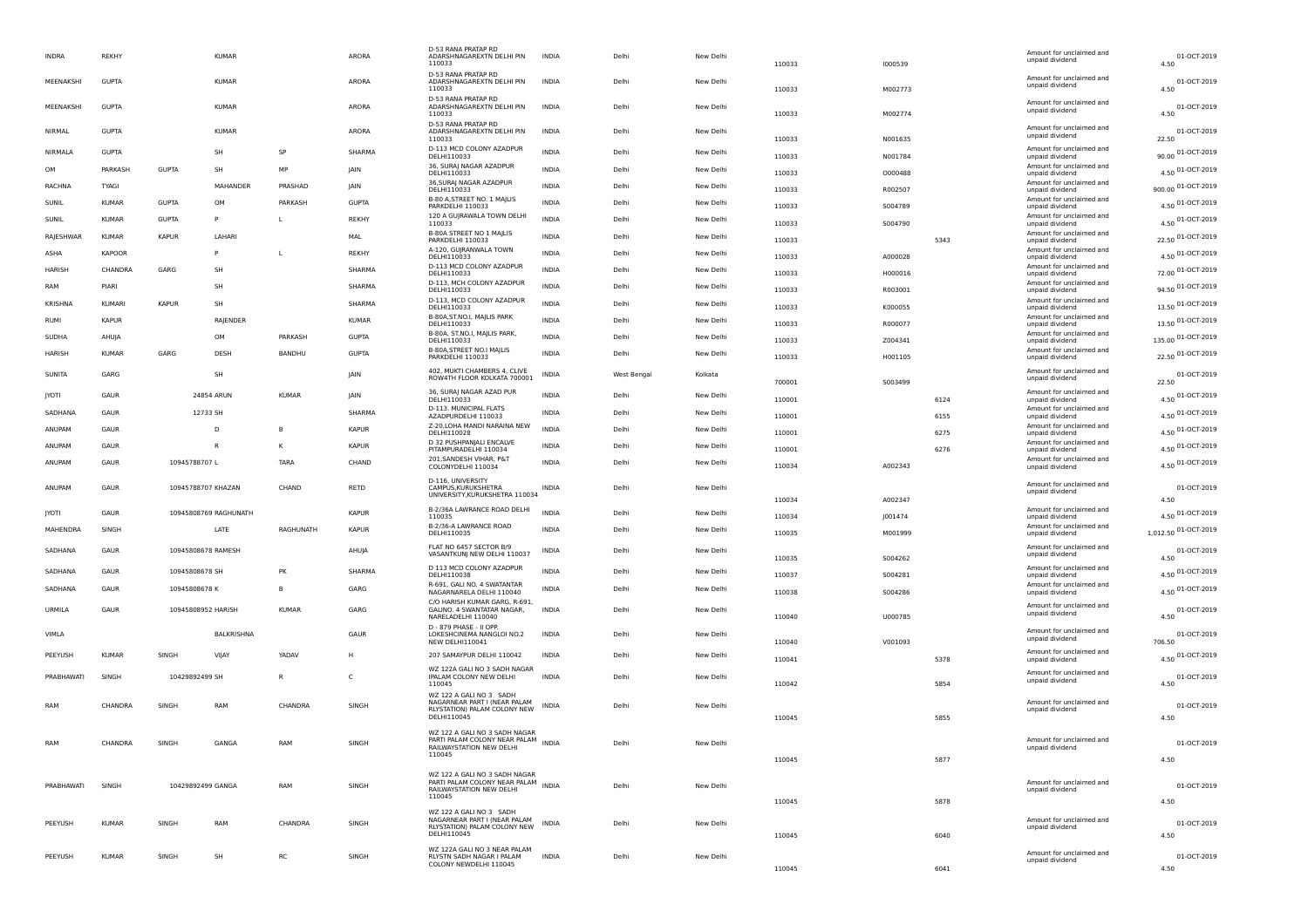| <b>INDRA</b> | <b>REKHY</b>  |                   | <b>KUMAR</b>          |              | ARORA        | D-53 RANA PRATAP RD<br>ADARSHNAGAREXTN DELHI PIN<br>110033                                | <b>INDIA</b> | Delhi       | New Delhi | 110033 | 1000539 |      | Amount for unclaimed and<br>unpaid dividend | 01-OCT-2019<br>4.50  |
|--------------|---------------|-------------------|-----------------------|--------------|--------------|-------------------------------------------------------------------------------------------|--------------|-------------|-----------|--------|---------|------|---------------------------------------------|----------------------|
| MEENAKSHI    | <b>GUPTA</b>  |                   | <b>KUMAR</b>          |              | ARORA        | D-53 RANA PRATAP RD<br>ADARSHNAGAREXTN DELHI PIN<br>110033                                | <b>INDIA</b> | Delhi       | New Delhi | 110033 | M002773 |      | Amount for unclaimed and<br>unpaid dividend | 01-OCT-2019<br>4.50  |
| MEENAKSHI    | <b>GUPTA</b>  |                   | <b>KUMAR</b>          |              | ARORA        | D-53 RANA PRATAP RD<br>ADARSHNAGAREXTN DELHI PIN<br>110033                                | <b>INDIA</b> | Delhi       | New Delhi | 110033 | M002774 |      | Amount for unclaimed and<br>unpaid dividend | 01-OCT-2019<br>4.50  |
| NIRMAL       | <b>GUPTA</b>  |                   | <b>KUMAR</b>          |              | ARORA        | D-53 RANA PRATAP RD<br>ADARSHNAGAREXTN DELHI PIN<br>110033                                | <b>INDIA</b> | Delhi       | New Delhi | 110033 | N001635 |      | Amount for unclaimed and<br>unpaid dividend | 01-OCT-2019<br>22.50 |
| NIRMALA      | <b>GUPTA</b>  |                   | SH                    | SP           | SHARMA       | D-113 MCD COLONY AZADPUR<br>DELHI110033                                                   | <b>INDIA</b> | Delhi       | New Delhi | 110033 | N001784 |      | Amount for unclaimed and<br>unpaid dividend | 90.00 01-OCT-2019    |
| OM           | PARKASH       | <b>GUPTA</b>      | SH                    | MP           | JAIN         | 36, SURAJ NAGAR AZADPUR<br>DELHI110033                                                    | <b>INDIA</b> | Delhi       | New Delhi | 110033 | 0000488 |      | Amount for unclaimed and<br>unpaid dividend | 4.50 01-OCT-2019     |
| RACHNA       | TYAGI         |                   | MAHANDER              | PRASHAD      | JAIN         | 36, SURAJ NAGAR AZADPUR<br>DELHI110033                                                    | <b>INDIA</b> | Delhi       | New Delhi | 110033 | R002507 |      | Amount for unclaimed and                    | 900.00 01-OCT-2019   |
| SUNIL        | <b>KUMAR</b>  | <b>GUPTA</b>      | OM                    | PARKASH      | <b>GUPTA</b> | B-80 A, STREET NO. 1 MAJLIS                                                               | <b>INDIA</b> | Delhi       | New Delhi |        |         |      | unpaid dividend<br>Amount for unclaimed and | 4.50 01-OCT-2019     |
| SUNIL        | <b>KUMAR</b>  | <b>GUPTA</b>      | P                     | L            | <b>REKHY</b> | PARKDELHI 110033<br>120 A GUJRAWALA TOWN DELHI                                            | <b>INDIA</b> | Delhi       | New Delhi | 110033 | S004789 |      | unpaid dividend<br>Amount for unclaimed and |                      |
|              | <b>KUMAR</b>  | <b>KAPUR</b>      | LAHARI                |              | MAL          | 110033<br>B-80A STREET NO 1 MAJLIS                                                        | <b>INDIA</b> | Delhi       | New Delhi | 110033 | S004790 |      | unpaid dividend<br>Amount for unclaimed and | 4.50 01-OCT-2019     |
| RAJESHWAR    |               |                   |                       |              |              | PARKDELHI 110033<br>A-120, GUJRANWALA TOWN                                                |              |             |           | 110033 |         | 5343 | unpaid dividend<br>Amount for unclaimed and | 22.50 01-OCT-2019    |
| ASHA         | <b>KAPOOR</b> |                   | p                     | L            | <b>REKHY</b> | DELHI110033                                                                               | <b>INDIA</b> | Delhi       | New Delhi | 110033 | A000028 |      | unpaid dividend                             | 4.50 01-OCT-2019     |
| HARISH       | CHANDRA       | GARG              | SH                    |              | SHARMA       | D-113 MCD COLONY AZADPUR<br>DELHI110033                                                   | <b>INDIA</b> | Delhi       | New Delhi | 110033 | H000016 |      | Amount for unclaimed and<br>unpaid dividend | 72.00 01-OCT-2019    |
| RAM          | PIARI         |                   | SH                    |              | SHARMA       | D-113, MCH COLONY AZADPUR<br>DELHI110033                                                  | <b>INDIA</b> | Delhi       | New Delhi | 110033 | R003001 |      | Amount for unclaimed and<br>unpaid dividend | 94.50 01-OCT-2019    |
| KRISHNA      | <b>KUMARI</b> | <b>KAPUR</b>      | SH                    |              | SHARMA       | D-113, MCD COLONY AZADPUR<br>DELHI110033                                                  | <b>INDIA</b> | Delhi       | New Delhi | 110033 | K000055 |      | Amount for unclaimed and<br>unpaid dividend | 13.50 01-OCT-2019    |
| RUMI         | <b>KAPUR</b>  |                   | RAJENDER              |              | <b>KUMAR</b> | B-80A, ST.NO.I, MAJLIS PARK<br>DELHI110033                                                | <b>INDIA</b> | Delhi       | New Delhi | 110033 | R000077 |      | Amount for unclaimed and<br>unpaid dividend | 13.50 01-OCT-2019    |
| SUDHA        | AHUJA         |                   | OM                    | PARKASH      | <b>GUPTA</b> | B-80A, ST.NO.I, MAJLIS PARK,<br>DELHI110033                                               | <b>INDIA</b> | Delhi       | New Delhi | 110033 | Z004341 |      | Amount for unclaimed and<br>unpaid dividend | 135.00 01-OCT-2019   |
| HARISH       | <b>KUMAR</b>  | GARG              | DESH                  | BANDHU       | <b>GUPTA</b> | B-80A, STREET NO.I MAJLIS                                                                 | <b>INDIA</b> | Delhi       | New Delhi |        |         |      | Amount for unclaimed and                    | 22.50 01-OCT-2019    |
|              |               |                   |                       |              |              | PARKDELHI 110033                                                                          |              |             |           | 110033 | H001105 |      | unpaid dividend                             |                      |
| SUNITA       | GARG          |                   | SH                    |              | JAIN         | 402, MUKTI CHAMBERS 4, CLIVE<br>ROW4TH FLOOR KOLKATA 700001                               | INDIA        | West Bengal | Kolkata   | 700001 | 5003499 |      | Amount for unclaimed and<br>unpaid dividend | 01-OCT-2019<br>22.50 |
| <b>JYOTI</b> | GAUR          |                   | 24854 ARUN            | <b>KUMAR</b> | JAIN         | 36, SURAJ NAGAR AZAD PUR<br>DELHI110033                                                   | <b>INDIA</b> | Delhi       | New Delhi | 110001 |         | 6124 | Amount for unclaimed and<br>unpaid dividend | 4.50 01-OCT-2019     |
| SADHANA      | GAUR          |                   | 12733 SH              |              | SHARMA       | D-113. MUNICIPAL FLATS                                                                    | INDIA        | Delhi       | New Delhi |        |         |      | Amount for unclaimed and                    | 4.50 01-OCT-2019     |
| ANUPAM       | GAUR          |                   | D                     | B            | <b>KAPUR</b> | AZADPURDELHI 110033<br>Z-20, LOHA MANDI NARAINA NEW                                       | <b>INDIA</b> | Delhi       | New Delhi | 110001 |         | 6155 | unpaid dividend<br>Amount for unclaimed and | 4.50 01-OCT-2019     |
|              |               |                   |                       |              |              | DELHI110028<br>D 32 PUSHPANJALI ENCALVE                                                   |              |             |           | 110001 |         | 6275 | unpaid dividend<br>Amount for unclaimed and |                      |
| ANUPAM       | GAUR          |                   | R                     | κ            | <b>KAPUR</b> | PITAMPURADELHI 110034<br>201, SANDESH VIHAR, P&T                                          | <b>INDIA</b> | Delhi       | New Delhi | 110001 |         | 6276 | unpaid dividend<br>Amount for unclaimed and | 4.50 01-OCT-2019     |
| ANUPAM       | GAUR          | 10945788707L      |                       | TARA         | CHAND        | COLONYDELHI 110034                                                                        | <b>INDIA</b> | Delhi       | New Delhi | 110034 | A002343 |      | unpaid dividend                             | 4.50 01-OCT-2019     |
| ANUPAM       | GAUR          |                   | 10945788707 KHAZAN    | CHAND        | RETD         | D-116, UNIVERSITY<br>CAMPUS, KURUKSHETRA                                                  | <b>INDIA</b> | Delhi       | New Delhi |        |         |      | Amount for unclaimed and                    | 01-OCT-2019          |
|              |               |                   |                       |              |              | UNIVERSITY, KURUKSHETRA 110034                                                            |              |             |           | 110034 | A002347 |      | unpaid dividend                             | 4.50                 |
| <b>JYOTI</b> | GAUR          |                   | 10945808769 RAGHUNATH |              | <b>KAPUR</b> | B-2/36A LAWRANCE ROAD DELHI<br>110035                                                     | <b>INDIA</b> | Delhi       | New Delhi | 110034 | J001474 |      | Amount for unclaimed and<br>unpaid dividend | 4.50 01-OCT-2019     |
| MAHENDRA     | SINGH         |                   | LATE                  | RAGHUNATH    | <b>KAPUR</b> | B-2/36-A LAWRANCE ROAD<br>DELHI110035                                                     | <b>INDIA</b> | Delhi       | New Delhi | 110035 | M001999 |      | Amount for unclaimed and<br>unpaid dividend | 1,012.50 01-OCT-2019 |
|              |               |                   |                       |              |              | FLAT NO 6457 SECTOR B/9                                                                   |              |             |           |        |         |      | Amount for unclaimed and                    |                      |
| SADHANA      | GAUR          |                   | 10945808678 RAMESH    |              | AHUJA        | VASANTKUNJ NEW DELHI 110037                                                               | INDIA        | Delhi       | New Delhi | 110035 | S004262 |      | unpaid dividend                             | 01-OCT-2019<br>4.50  |
| SADHANA      | GAUR          | 10945808678 SH    |                       | PK           | SHARMA       | D 113 MCD COLONY AZADPUR<br>DELHI110038                                                   | <b>INDIA</b> | Delhi       | New Delhi | 110037 | S004281 |      | Amount for unclaimed and<br>unpaid dividend | 4.50 01-OCT-2019     |
| SADHANA      | GAUR          | 10945808678 K     |                       | B            | GARG         | R-691, GALI NO. 4 SWATANTAR<br>NAGARNARELA DELHI 110040                                   | <b>INDIA</b> | Delhi       | New Delhi | 110038 | S004286 |      | Amount for unclaimed and<br>unpaid dividend | 4.50 01-OCT-2019     |
| URMILA       | GAUR          |                   | 10945808952 HARISH    | <b>KUMAR</b> | GARG         | C/O HARISH KUMAR GARG, R-691,<br>GALINO. 4 SWANTATAR NAGAR,                               | <b>INDIA</b> | Delhi       | New Delhi |        |         |      | Amount for unclaimed and                    | 01-OCT-2019          |
|              |               |                   |                       |              |              | NARELADELHI 110040                                                                        |              |             |           | 110040 | U000785 |      | unpaid dividend                             | 4.50                 |
| VIMLA        |               |                   | BALKRISHNA            |              | GAUR         | D - 879 PHASE - II OPP.<br>LOKESHCINEMA NANGLOI NO.2                                      | <b>INDIA</b> | Delhi       | New Delhi |        |         |      | Amount for unclaimed and<br>unpaid dividend | 01-OCT-2019          |
|              |               |                   |                       |              |              | NEW DELHI110041                                                                           |              |             |           | 110040 | V001093 |      | Amount for unclaimed and                    | 706.50               |
| PEEYUSH      | <b>KUMAR</b>  | SINGH             | VIJAY                 | YADAV        | н            | 207 SAMAYPUR DELHI 110042<br>WZ 122A GALI NO 3 SADH NAGAR                                 | <b>INDIA</b> | Delhi       | New Delhi | 110041 |         | 5378 | unpaid dividend                             | 4.50 01-OCT-2019     |
| PRABHAWATI   | SINGH         | 10429892499 SH    |                       | $\mathsf{R}$ | C            | IPALAM COLONY NEW DELHI<br>110045                                                         | <b>INDIA</b> | Delhi       | New Delhi |        |         |      | Amount for unclaimed and<br>unpaid dividend | 01-OCT-2019          |
|              |               |                   |                       |              |              | WZ 122 A GALLNO 3 SADH                                                                    |              |             |           | 110042 |         | 5854 |                                             | 4.50                 |
| RAM          | CHANDRA       | SINGH             | RAM                   | CHANDRA      | SINGH        | NAGARNEAR PART I (NEAR PALAM<br>RLYSTATION) PALAM COLONY NEW                              | <b>INDIA</b> | Delhi       | New Delhi |        |         |      | Amount for unclaimed and<br>unpaid dividend | 01-OCT-2019          |
|              |               |                   |                       |              |              | DELHI110045                                                                               |              |             |           | 110045 |         | 5855 |                                             | 4.50                 |
|              |               |                   |                       |              |              | WZ 122 A GALI NO 3 SADH NAGAR<br>PARTI PALAM COLONY NEAR PALAM                            |              |             |           |        |         |      | Amount for unclaimed and                    |                      |
| RAM          | CHANDRA       | SINGH             | GANGA                 | RAM          | SINGH        | RAILWAYSTATION NEW DELHI<br>110045                                                        | INDIA        | Delhi       | New Delhi |        |         |      | unpaid dividend                             | 01-OCT-2019          |
|              |               |                   |                       |              |              |                                                                                           |              |             |           | 110045 |         | 5877 |                                             | 4.50                 |
| PRABHAWATI   | SINGH         | 10429892499 GANGA |                       | RAM          | SINGH        | WZ 122 A GALI NO 3 SADH NAGAR<br>PARTI PALAM COLONY NEAR PALAM<br>COLONY NEAR PALAM INDIA |              | Delhi       | New Delhi |        |         |      | Amount for unclaimed and                    | 01-OCT-2019          |
|              |               |                   |                       |              |              | RAILWAYSTATION NEW DELHI<br>110045                                                        |              |             |           | 110045 |         | 5878 | unpaid dividend                             | 4.50                 |
|              |               |                   |                       |              |              | WZ 122 A GALI NO 3 SADH                                                                   |              |             |           |        |         |      |                                             |                      |
| PEEYUSH      |               |                   | RAM                   | CHANDRA      | SINGH        | NAGARNEAR PART I (NEAR PALAM                                                              | INDIA        | Delhi       | New Delhi |        |         |      | Amount for unclaimed and                    | 01-OCT-2019          |
|              | <b>KUMAR</b>  | SINGH             |                       |              |              | RLYSTATION) PALAM COLONY NEW                                                              |              |             |           |        |         |      | unpaid dividend                             |                      |
|              |               |                   |                       |              |              | DELHI110045                                                                               |              |             |           | 110045 |         | 6040 |                                             | 4.50                 |
| PEEYUSH      | <b>KUMAR</b>  | SINGH             | SH                    | RC           | SINGH        | WZ 122A GALI NO 3 NEAR PALAM<br>RLYSTN SADH NAGAR I PALAM<br>COLONY NEWDELHI 110045       | <b>INDIA</b> | Delhi       | New Delhi |        |         |      | Amount for unclaimed and<br>unpaid dividend | 01-OCT-2019          |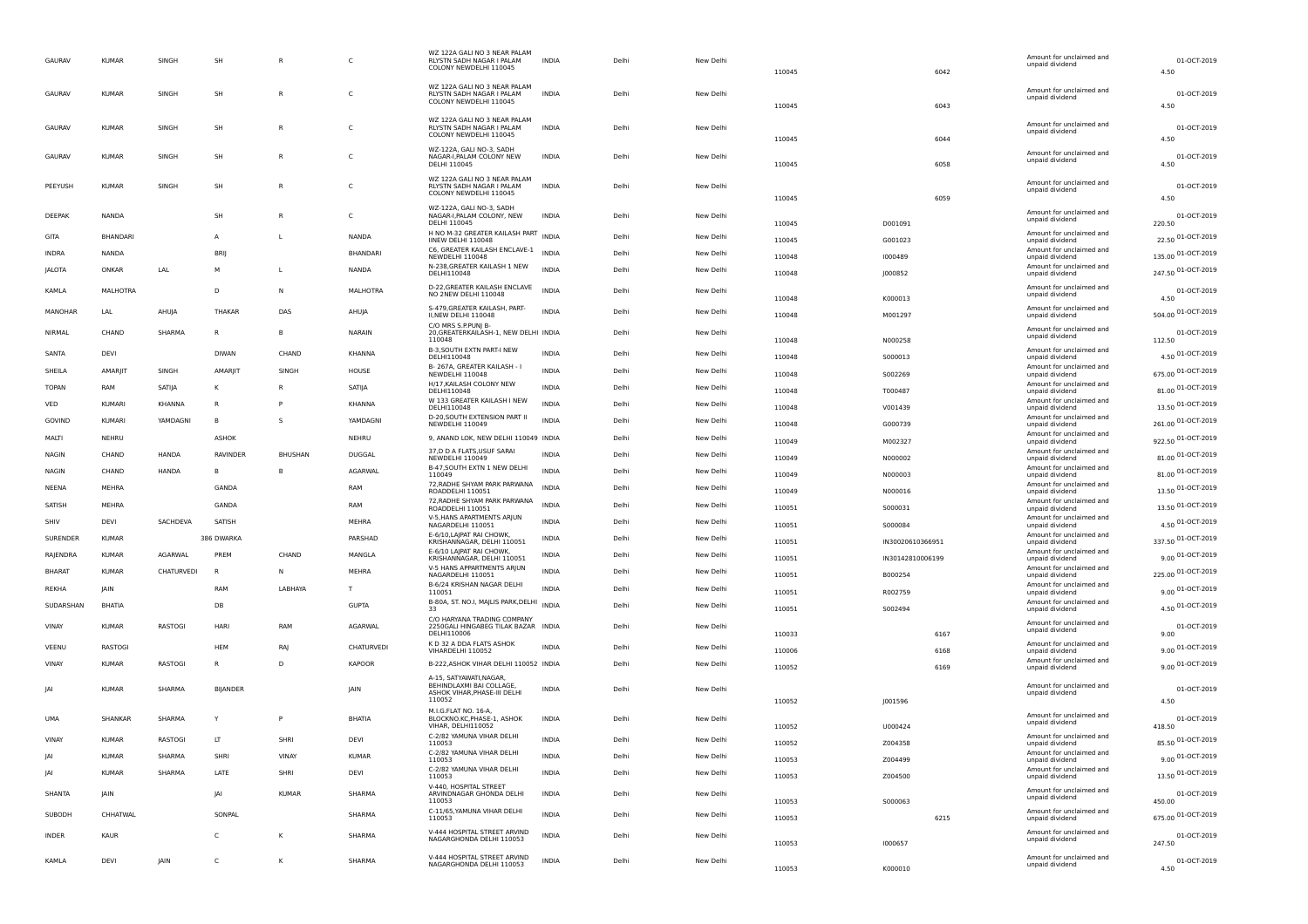| <b>GAURAV</b> | <b>KUMAR</b>  | SINGH         | SH              | $\mathsf{R}$   | C               | WZ 122A GALI NO 3 NEAR PALAM<br>RLYSTN SADH NAGAR I PALAM<br>COLONY NEWDELHI 110045          | <b>INDIA</b> | Delhi | New Delhi | 110045 | 6042             |      | Amount for unclaimed and<br>unpaid dividend | 01-OCT-2019<br>4.50   |
|---------------|---------------|---------------|-----------------|----------------|-----------------|----------------------------------------------------------------------------------------------|--------------|-------|-----------|--------|------------------|------|---------------------------------------------|-----------------------|
| GAURAV        | <b>KUMAR</b>  | SINGH         | SH              | $\mathsf{R}$   | C               | WZ 122A GALI NO 3 NEAR PALAM<br>RLYSTN SADH NAGAR I PALAM<br>COLONY NEWDELHI 110045          | <b>INDIA</b> | Delhi | New Delhi | 110045 |                  | 6043 | Amount for unclaimed and<br>unpaid dividend | 01-OCT-2019<br>4.50   |
| GAURAV        | <b>KUMAF</b>  | SINGH         | SH              | R              | C               | WZ 122A GALI NO 3 NEAR PALAM<br>RLYSTN SADH NAGAR I PALAM<br>COLONY NEWDELHI 110045          | <b>INDIA</b> | Delhi | New Delhi | 110045 | 6044             |      | Amount for unclaimed and<br>unpaid dividend | 01-OCT-2019<br>4.50   |
| GAURAV        | <b>KUMAR</b>  | SINGH         | SH              | R              | c               | WZ-122A, GALI NO-3, SADH<br>NAGAR-I, PALAM COLONY NEW<br>DELHI 110045                        | INDIA        | Delhi | New Delhi | 110045 | 6058             |      | Amount for unclaimed and<br>unpaid dividend | 01-OCT-2019<br>4.50   |
| PEEYUSH       | <b>KUMAR</b>  | SINGH         | SH              | R              | $\mathsf{C}$    | WZ 122A GALI NO 3 NEAR PALAM<br>RLYSTN SADH NAGAR I PALAM<br>COLONY NEWDELHI 110045          | <b>INDIA</b> | Delhi | New Delhi | 110045 | 6059             |      | Amount for unclaimed and<br>unpaid dividend | 01-OCT-2019<br>4.50   |
| DEEPAK        | NANDA         |               | SH              | R              | C               | WZ-122A, GALI NO-3, SADH<br>NAGAR-I, PALAM COLONY, NEW<br>DELHI 110045                       | <b>INDIA</b> | Delhi | New Delhi | 110045 | D001091          |      | Amount for unclaimed and<br>unpaid dividend | 01-OCT-2019<br>220.50 |
| GITA          | BHANDARI      |               | А               | L              | NANDA           | H NO M-32 GREATER KAILASH PART INDIA<br>IINEW DELHI 110048                                   |              | Delhi | New Delhi | 110045 | G001023          |      | Amount for unclaimed and<br>unpaid dividend | 22.50 01-OCT-2019     |
| INDRA         | <b>NANDA</b>  |               | <b>BRIJ</b>     |                | BHANDARI        | C6, GREATER KAILASH ENCLAVE-1<br>NEWDELHI 110048                                             | INDIA        | Delhi | New Delhi | 110048 | 1000489          |      | Amount for unclaimed and<br>unpaid dividend | 135.00 01-OCT-2019    |
| <b>JALOTA</b> | ONKAR         | LAL           | M               | L              | NANDA           | N-238, GREATER KAILASH 1 NEW                                                                 | <b>INDIA</b> | Delhi | New Delhi |        |                  |      | Amount for unclaimed and                    | 247.50 01-OCT-2019    |
|               |               |               |                 |                |                 | DELHI110048<br>D-22, GREATER KAILASH ENCLAVE                                                 |              |       |           | 110048 | J000852          |      | unpaid dividend<br>Amount for unclaimed and |                       |
| KAMLA         | MALHOTRA      |               | D               | N              | <b>MALHOTRA</b> | NO 2NEW DELHI 110048                                                                         | <b>INDIA</b> | Delhi | New Delhi | 110048 | K000013          |      | unpaid dividend                             | 01-OCT-2019<br>4.50   |
| MANOHAR       | LAL           | AHUJA         | <b>THAKAR</b>   | DAS            | AHUJA           | S-479, GREATER KAILASH, PART-<br>II, NEW DELHI 110048                                        | <b>INDIA</b> | Delhi | New Delhi | 110048 | M001297          |      | Amount for unclaimed and<br>unpaid dividend | 504.00 01-OCT-2019    |
| NIRMAL        | CHAND         | SHARMA        | R               | B              | NARAIN          | C/O MRS S.P.PUNJ B-<br>20, GREATERKAILASH-1, NEW DELHI INDIA<br>110048                       |              | Delhi | New Delhi | 110048 | N000258          |      | Amount for unclaimed and<br>unpaid dividend | 01-OCT-2019<br>112.50 |
| SANTA         | DEVI          |               | <b>DIWAN</b>    | CHAND          | KHANNA          | B-3, SOUTH EXTN PART-I NEW<br>DELHI110048                                                    | <b>INDIA</b> | Delhi | New Delhi | 110048 | S000013          |      | Amount for unclaimed and<br>unpaid dividend | 4.50 01-OCT-2019      |
| SHEILA        | AMARJIT       | SINGH         | AMARJIT         | SINGH          | HOUSE           | B-267A, GREATER KAILASH - I<br>NEWDELHI 110048                                               | <b>INDIA</b> | Delhi | New Delhi | 110048 | S002269          |      | Amount for unclaimed and<br>unpaid dividend | 675.00 01-OCT-2019    |
| TOPAN         | RAM           | SATIJA        | к               | R              | SATIJA          | H/17, KAILASH COLONY NEW                                                                     | INDIA        | Delhi | New Delhi | 110048 | T000487          |      | Amount for unclaimed and                    | 81.00 01-OCT-2019     |
| VED           | <b>KUMARI</b> | <b>KHANNA</b> | R               | P              | <b>KHANNA</b>   | DELHI110048<br>W 133 GREATER KAILASH I NEW                                                   | <b>INDIA</b> | Delhi | New Delhi |        |                  |      | unpaid dividend<br>Amount for unclaimed and | 13.50 01-OCT-2019     |
| GOVIND        | KUMARI        | YAMDAGNI      | B               | s              | YAMDAGNI        | DELHI110048<br>D-20, SOUTH EXTENSION PART II                                                 | <b>INDIA</b> | Delhi | New Delhi | 110048 | V001439          |      | unpaid dividend<br>Amount for unclaimed and | 261.00 01-OCT-2019    |
| MALTI         | NEHRU         |               | ASHOK           |                | NEHRU           | NEWDELHI 110049                                                                              |              | Delhi | New Delhi | 110048 | G000739          |      | unpaid dividend<br>Amount for unclaimed and |                       |
|               |               |               |                 |                |                 | 9, ANAND LOK, NEW DELHI 110049 INDIA<br>37,D D A FLATS, USUF SARAI                           |              |       |           | 110049 | M002327          |      | unpaid dividend<br>Amount for unclaimed and | 922.50 01-OCT-2019    |
| <b>NAGIN</b>  | CHAND         | <b>HANDA</b>  | <b>RAVINDER</b> | <b>BHUSHAN</b> | DUGGAL          | NEWDELHI 110049<br>B-47, SOUTH EXTN 1 NEW DELHI                                              | <b>INDIA</b> | Delhi | New Delhi | 110049 | N000002          |      | unpaid dividend<br>Amount for unclaimed and | 81.00 01-OCT-2019     |
| <b>NAGIN</b>  | CHAND         | HANDA         | B               | B              | AGARWAL         | 110049                                                                                       | <b>INDIA</b> | Delhi | New Delhi | 110049 | N000003          |      | unpaid dividend                             | 81.00 01-OCT-2019     |
| NEENA         | MEHRA         |               | GANDA           |                | RAM             | 72, RADHE SHYAM PARK PARWANA<br>ROADDELHI 110051                                             | <b>INDIA</b> | Delhi | New Delhi | 110049 | N000016          |      | Amount for unclaimed and<br>unpaid dividend | 13.50 01-OCT-2019     |
| SATISH        | MEHRA         |               | GANDA           |                | RAM             | 72, RADHE SHYAM PARK PARWANA<br>ROADDELHI 110051                                             | <b>INDIA</b> | Delhi | New Delhi | 110051 | S000031          |      | Amount for unclaimed and<br>unpaid dividend | 13.50 01-OCT-2019     |
| SHIV          | <b>DEVI</b>   | SACHDEVA      | SATISH          |                | MEHRA           | V-5, HANS APARTMENTS ARJUN<br>NAGARDELHI 110051                                              | <b>INDIA</b> | Delhi | New Delhi | 110051 | S000084          |      | Amount for unclaimed and<br>unpaid dividend | 4.50 01-OCT-2019      |
| SURENDER      | <b>KUMAR</b>  |               | 386 DWARKA      |                | PARSHAD         | E-6/10, LAJPAT RAI CHOWK,<br>KRISHANNAGAR, DELHI 110051                                      | INDIA        | Delhi | New Delhi | 110051 | IN30020610366951 |      | Amount for unclaimed and<br>unpaid dividend | 337.50 01-OCT-2019    |
| RAJENDRA      | <b>KUMAR</b>  | AGARWAL       | PREM            | CHAND          | MANGLA          | E-6/10 LAJPAT RAI CHOWK,<br>KRISHANNAGAR, DELHI 110051                                       | INDIA        | Delhi | New Delhi | 110051 | IN30142810006199 |      | Amount for unclaimed and<br>unpaid dividend | 9.00 01-OCT-2019      |
| <b>BHARAT</b> | <b>KUMAR</b>  | CHATURVEDI    | <b>B</b>        | N              | MEHRA           | V-5 HANS APPARTMENTS ARJUN<br>NAGARDELHI 110051                                              | INDIA        | Delhi | New Delhi | 110051 | B000254          |      | Amount for unclaimed and<br>unpaid dividend | 225.00 01-OCT-2019    |
| REKHA         | <b>IAIN</b>   |               | RAM             | LABHAYA        | т               | B-6/24 KRISHAN NAGAR DELHI<br>110051                                                         | <b>INDIA</b> | Delhi | New Delhi | 110051 | R002759          |      | Amount for unclaimed and                    | 9.00 01-OCT-2019      |
| SUDARSHAN     | BHATIA        |               | DB              |                | <b>GUPTA</b>    | B-80A, ST. NO.I, MAJLIS PARK, DELHI INDIA                                                    |              | Delhi | New Delhi |        |                  |      | unpaid dividend<br>Amount for unclaimed and | 4.50 01-OCT-2019      |
|               |               |               |                 |                |                 | 33<br>C/O HARYANA TRADING COMPANY                                                            |              |       |           | 110051 | S002494          |      | unpaid dividend<br>Amount for unclaimed and |                       |
| VINAY         | <b>KUMAR</b>  | RASTOGI       | HARI            | RAM            | AGARWAL         | 2250GALI HINGABEG TILAK BAZAR INDIA<br>DELHI110006                                           |              | Delhi | New Delhi | 110033 | 6167             |      | unpaid dividend                             | 01-OCT-2019<br>9.00   |
| VEENU         | RASTOGI       |               | HEM             | RAJ            | CHATURVEDI      | K D 32 A DDA FLATS ASHOK<br>VIHARDELHI 110052                                                | <b>INDIA</b> | Delhi | New Delhi | 110006 | 6168             |      | Amount for unclaimed and<br>unpaid dividend | 9.00 01-OCT-2019      |
| VINAY         | <b>KUMAR</b>  | RASTOGI       | R               | D              | <b>KAPOOR</b>   | B-222, ASHOK VIHAR DELHI 110052 INDIA                                                        |              | Delhi | New Delhi | 110052 | 6169             |      | Amount for unclaimed and<br>unpaid dividend | 9.00 01-OCT-2019      |
| IAI           | <b>KUMAR</b>  | SHARMA        | <b>BIJANDER</b> |                | <b>IAIN</b>     | A-15, SATYAWATI, NAGAR,<br>BEHINDLAXMI BAI COLLAGE<br>ASHOK VIHAR, PHASE-III DELHI<br>110052 | <b>INDIA</b> | Delhi | New Delhi | 110052 | J001596          |      | Amount for unclaimed and<br>unpaid dividend | 01-OCT-2019<br>4.50   |
| UMA           | SHANKAR       | SHARMA        | Υ               | P              | BHATIA          | M.I.G.FLAT NO. 16-A,<br>BLOCKNO.KC, PHASE-1, ASHOK<br>VIHAR, DELHI110052                     | <b>INDIA</b> | Delhi | New Delh  | 110052 | U000424          |      | Amount for unclaimed and<br>unpaid dividend | 01-OCT-2019<br>418.50 |
| VINAY         | <b>KUMAF</b>  | RASTOGI       | LT              | SHRI           | DEVI            | C-2/82 YAMUNA VIHAR DELHI<br>110053                                                          | INDIA        | Delhi | New Delhi | 110052 | Z004358          |      | Amount for unclaimed and<br>unpaid dividend | 85.50 01-OCT-2019     |
| IA            | <b>KUMAR</b>  | SHARMA        | SHRI            | VINAY          | <b>KUMAR</b>    | C-2/82 YAMUNA VIHAR DELHI                                                                    | INDIA        | Delhi | New Delhi | 110053 | Z004499          |      | Amount for unclaimed and                    | 9.00 01-OCT-2019      |
| <b>JAI</b>    | <b>KUMAR</b>  | SHARMA        | LATE            | SHRI           | DEVI            | 110053<br>C-2/82 YAMUNA VIHAR DELHI                                                          | INDIA        | Delhi | New Delhi |        |                  |      | unpaid dividend<br>Amount for unclaimed and | 13.50 01-OCT-2019     |
|               |               |               |                 |                |                 | 110053<br>V-440, HOSPITAL STREET                                                             |              |       |           | 110053 | Z004500          |      | unpaid dividend<br>Amount for unclaimed and |                       |
| SHANTA        | <b>JAIN</b>   |               | JAI             | <b>KUMAR</b>   | SHARMA          | ARVINDNAGAR GHONDA DELHI<br>110053                                                           | <b>INDIA</b> | Delhi | New Delhi | 110053 | S000063          |      | unpaid dividend                             | 01-OCT-2019<br>450.00 |
| SUBODH        | CHHATWAL      |               | SONPAL          |                | SHARMA          | C-11/65, YAMUNA VIHAR DELHI<br>110053                                                        | <b>INDIA</b> | Delhi | New Delhi | 110053 |                  | 6215 | Amount for unclaimed and<br>unpaid dividend | 675.00 01-OCT-2019    |
| <b>INDER</b>  | <b>KAUR</b>   |               | $\mathsf{C}$    | Κ              | SHARMA          | V-444 HOSPITAL STREET ARVIND<br>NAGARGHONDA DELHI 110053                                     | <b>INDIA</b> | Delhi | New Delhi | 110053 | 1000657          |      | Amount for unclaimed and<br>unpaid dividend | 01-OCT-2019<br>247.50 |
| KAMLA         | DEVI          | JAIN          | $\mathsf{C}$    | к              | SHARMA          | V-444 HOSPITAL STREET ARVIND<br>NAGARGHONDA DELHI 110053                                     | <b>INDIA</b> | Delhi | New Delhi | 110053 | K000010          |      | Amount for unclaimed and<br>unpaid dividend | 01-OCT-2019<br>4.50   |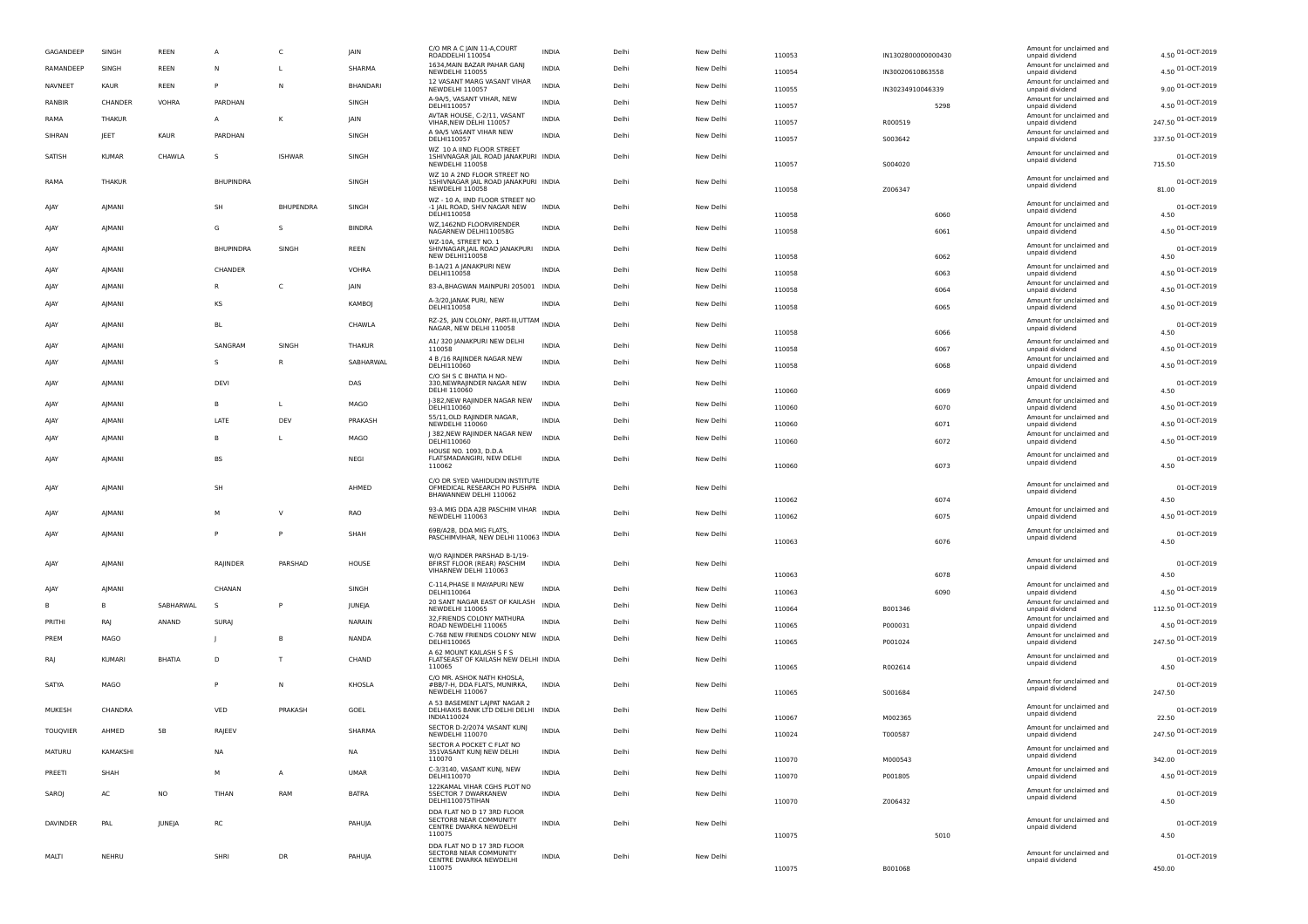| GAGANDEEP | SINGH         | REEN          | $\overline{A}$   | c                | JAIN          | C/O MR A C JAIN 11-A,COURT<br>ROADDELHI 110054                                         | <b>INDIA</b> | Delhi | New Delhi | 110053 | IN1302800000000430 | Amount for unclaimed and<br>unpaid dividend | 4.50 01-OCT-2019      |
|-----------|---------------|---------------|------------------|------------------|---------------|----------------------------------------------------------------------------------------|--------------|-------|-----------|--------|--------------------|---------------------------------------------|-----------------------|
| RAMANDEEP | SINGH         | REEN          | N                | <b>L</b>         | SHARMA        | 1634, MAIN BAZAR PAHAR GANJ<br>NEWDELHI 110055                                         | <b>INDIA</b> | Delhi | New Delhi | 110054 | IN30020610863558   | Amount for unclaimed and<br>unpaid dividend | 4.50 01-OCT-2019      |
| NAVNEET   | <b>KAUR</b>   | REEN          |                  | ${\sf N}$        | BHANDARI      | 12 VASANT MARG VASANT VIHAR<br>NEWDELHI 110057                                         | <b>INDIA</b> | Delhi | New Delhi | 110055 | IN30234910046339   | Amount for unclaimed and<br>unpaid dividend | 9.00 01-OCT-2019      |
| RANBIR    | CHANDER       | VOHRA         | PARDHAN          |                  | SINGH         | A-9A/5, VASANT VIHAR, NEW<br>DELHI110057                                               | <b>INDIA</b> | Delhi | New Delhi | 110057 | 5298               | Amount for unclaimed and<br>unpaid dividend | 4.50 01-OCT-2019      |
| RAMA      | THAKUR        |               | $\mathsf{A}$     | κ                | JAIN          | AVTAR HOUSE, C-2/11, VASANT<br>VIHAR, NEW DELHI 110057                                 | INDIA        | Delhi | New Delhi | 110057 | R000519            | Amount for unclaimed and                    | 247.50 01-OCT-2019    |
| SIHRAN    | JEET          | KAUR          | PARDHAN          |                  | SINGH         | A 9A/5 VASANT VIHAR NEW                                                                | <b>INDIA</b> | Delhi | New Delhi |        |                    | unpaid dividend<br>Amount for unclaimed and | 337.50 01-OCT-2019    |
|           |               |               |                  |                  |               | DELHI110057<br>WZ 10 A IIND FLOOR STREET                                               |              |       |           | 110057 | S003642            | unpaid dividend                             |                       |
| SATISH    | <b>KUMAR</b>  | CHAWLA        | -S               | <b>ISHWAR</b>    | SINGH         | 1SHIVNAGAR JAIL ROAD JANAKPURI INDIA<br>NEWDELHI 110058                                |              | Delhi | New Delhi | 110057 | S004020            | Amount for unclaimed and<br>unpaid dividend | 01-OCT-2019<br>715.50 |
| RAMA      | THAKUR        |               | <b>BHUPINDRA</b> |                  | SINGH         | WZ 10 A 2ND FLOOR STREET NO<br>1SHIVNAGAR JAIL ROAD JANAKPURI INDIA<br>NEWDELHI 110058 |              | Delhi | New Delhi | 110058 | Z006347            | Amount for unclaimed and<br>unpaid dividend | 01-OCT-2019<br>81.00  |
| AIAY      | AJMANI        |               | SH               | <b>BHUPENDRA</b> | SINGH         | WZ - 10 A, IIND FLOOR STREET NO<br>-1 JAIL ROAD, SHIV NAGAR NEW<br>DELHI110058         | <b>INDIA</b> | Delhi | New Delhi | 110058 | 6060               | Amount for unclaimed and<br>unpaid dividend | 01-OCT-2019<br>4.50   |
| AJAY      | AJMANI        |               | G                | s                | <b>BINDRA</b> | WZ,1462ND FLOORVIRENDER<br>NAGARNEW DELHI110058G                                       | <b>INDIA</b> | Delhi | New Delhi | 110058 | 6061               | Amount for unclaimed and<br>unpaid dividend | 4.50 01-OCT-2019      |
|           |               |               |                  |                  |               | WZ-10A, STREET NO. 1                                                                   |              |       |           |        |                    | Amount for unclaimed and                    |                       |
| AIAY      | AJMANI        |               | <b>BHUPINDRA</b> | SINGH            | REEN          | SHIVNAGAR, JAIL ROAD JANAKPURI INDIA<br>NEW DELHI110058                                |              | Delhi | New Delhi | 110058 | 6062               | unpaid dividend                             | 01-OCT-2019<br>4.50   |
| AJAY      | AJMANI        |               | CHANDER          |                  | VOHRA         | B-1A/21 A JANAKPURI NEW<br>DELHI110058                                                 | <b>INDIA</b> | Delhi | New Delhi | 110058 | 6063               | Amount for unclaimed and<br>unpaid dividend | 4.50 01-OCT-2019      |
| AJAY      | AJMANI        |               |                  | c                | JAIN          | 83-A, BHAGWAN MAINPURI 205001 INDIA                                                    |              | Delhi | New Delhi | 110058 | 6064               | Amount for unclaimed and<br>unpaid dividend | 4.50 01-OCT-2019      |
| AJAY      | AJMANI        |               | KS               |                  | KAMBOJ        | A-3/20, JANAK PURI, NEW<br>DELHI110058                                                 | <b>INDIA</b> | Delhi | New Delhi | 110058 | 6065               | Amount for unclaimed and<br>unpaid dividend | 4.50 01-OCT-2019      |
| AJAY      | AJMANI        |               | <b>BL</b>        |                  | CHAWLA        | RZ-25, JAIN COLONY, PART-III,UTTAM<br>NAGAR, NEW DELHI 110058                          |              | Delhi | New Delhi | 110058 | 6066               | Amount for unclaimed and<br>unpaid dividend | 01-OCT-2019<br>4.50   |
| AJAY      | AJMANI        |               | SANGRAM          | SINGH            | THAKUR        | A1/ 320 JANAKPURI NEW DELHI                                                            | <b>INDIA</b> | Delhi | New Delhi |        | 6067               | Amount for unclaimed and                    | 4.50 01-OCT-2019      |
| AJAY      | AJMANI        |               | -S               | R                | SABHARWAL     | 110058<br>4 B /16 RAJINDER NAGAR NEW                                                   | <b>INDIA</b> | Delhi | New Delhi | 110058 |                    | unpaid dividend<br>Amount for unclaimed and | 4.50 01-OCT-2019      |
|           |               |               |                  |                  |               | DELHI110060<br>C/O SH S C BHATIA H NO-                                                 |              |       |           | 110058 | 6068               | unpaid dividend                             |                       |
| AIAY      | AJMANI        |               | DEVI             |                  | DAS           | 330, NEWRAJINDER NAGAR NEW<br>DELHI 110060                                             | <b>INDIA</b> | Delhi | New Delhi | 110060 | 6069               | Amount for unclaimed and<br>unpaid dividend | 01-OCT-2019<br>4.50   |
| AJAY      | AJMANI        |               | $\overline{B}$   | $\mathsf{L}$     | MAGO          | J-382, NEW RAJINDER NAGAR NEW<br>DELHI110060                                           | <b>INDIA</b> | Delhi | New Delhi | 110060 | 6070               | Amount for unclaimed and<br>unpaid dividend | 4.50 01-OCT-2019      |
| AJAY      | AJMANI        |               | LATE             | DEV              | PRAKASH       | 55/11, OLD RAJINDER NAGAR,<br>NEWDELHI 110060                                          | <b>INDIA</b> | Delhi | New Delhi | 110060 | 6071               | Amount for unclaimed and<br>unpaid dividend | 4.50 01-OCT-2019      |
| AJAY      | AJMANI        |               | <b>B</b>         | <b>L</b>         | MAGO          | 382, NEW RAJINDER NAGAR NEW<br>DELHI110060                                             | <b>INDIA</b> | Delhi | New Delhi | 110060 | 6072               | Amount for unclaimed and<br>unpaid dividend | 4.50 01-OCT-2019      |
|           |               |               |                  |                  |               | HOUSE NO. 1093, D.D.A                                                                  |              |       |           |        |                    | Amount for unclaimed and                    |                       |
| AIAY      | AJMANI        |               | BS               |                  | NEGI          | FLATSMADANGIRI, NEW DELHI<br>110062                                                    | <b>INDIA</b> | Delhi | New Delhi | 110060 | 6073               | unpaid dividend                             | 01-OCT-2019<br>4.50   |
|           | <b>AIMANI</b> |               | SH               |                  | AHMED         | C/O DR SYED VAHIDUDIN INSTITUTE<br>OFMEDICAL RESEARCH PO PUSHPA INDIA                  |              | Delhi | New Delhi |        |                    | Amount for unclaimed and                    | 01-OCT-2019           |
| AJAY      |               |               |                  |                  |               | BHAWANNEW DELHI 110062                                                                 |              |       |           | 110062 | 6074               | unpaid dividend                             | 4.50                  |
| AJAY      | AJMANI        |               | M                | V                | RAO           | 93-A MIG DDA A2B PASCHIM VIHAR<br>NEWDELHI 110063                                      | <b>INDIA</b> | Delhi | New Delhi | 110062 | 6075               | Amount for unclaimed and<br>unpaid dividend | 4.50 01-OCT-2019      |
| AJAY      | AJMANI        |               | P                | P                | SHAH          | 69B/A2B, DDA MIG FLATS,<br>PASCHIMVIHAR, NEW DELHI 110063 INDIA                        |              | Delhi | New Delhi | 110063 | 6076               | Amount for unclaimed and<br>unpaid dividend | 01-OCT-2019<br>4.50   |
|           |               |               |                  |                  |               | W/O RAJINDER PARSHAD B-1/19-                                                           |              |       |           |        |                    |                                             |                       |
| AJAY      | AJMANI        |               | RAJINDER         | PARSHAD          | HOUSE         | BFIRST FLOOR (REAR) PASCHIM<br>VIHARNEW DELHI 110063                                   | <b>INDIA</b> | Delhi | New Delhi | 110063 | 6078               | Amount for unclaimed and<br>unpaid dividend | 01-OCT-2019<br>4.50   |
| AIAY      | AJMANI        |               | CHANAN           |                  | SINGH         | C-114, PHASE II MAYAPURI NEW<br>DELHI110064                                            | <b>INDIA</b> | Delhi | New Delhi | 110063 | 6090               | Amount for unclaimed and<br>unpaid dividend | 4.50 01-OCT-2019      |
| в         | B             | SABHARWAL     | -S               | P                | JUNEJA        | 20 SANT NAGAR EAST OF KAILASH<br>NEWDELHI 110065                                       | <b>INDIA</b> | Delhi | New Delhi | 110064 | B001346            | Amount for unclaimed and<br>unpaid dividend | 112.50 01-OCT-2019    |
| PRITHI    | RAJ           | ANAND         | <b>SURAJ</b>     |                  | NARAIN        | 32, FRIENDS COLONY MATHURA                                                             | INDIA        | Delhi | New Delhi | 110065 | P000031            | Amount for unclaimed and                    | 4.50 01-OCT-2019      |
| PREM      | MAGO          |               |                  |                  | <b>NANDA</b>  | ROAD NEWDELHI 110065<br>C-768 NEW FRIENDS COLONY NEW                                   | <b>INDIA</b> | Delhi | New Delhi |        |                    | unpaid dividend<br>Amount for unclaimed and | 247.50 01-OCT-2019    |
|           |               |               |                  |                  |               | DELHI110065<br>A 62 MOUNT KAILASH S F S                                                |              |       |           | 110065 | P001024            | unpaid dividend<br>Amount for unclaimed and |                       |
| RAJ       | <b>KUMARI</b> | <b>BHATIA</b> | D                | T                | CHAND         | FLATSEAST OF KAILASH NEW DELHI INDIA<br>110065                                         |              | Delhi | New Delhi | 110065 | R002614            | unpaid dividend                             | 01-OCT-2019<br>4.50   |
| SATYA     | MAGO          |               |                  | Ν                | KHOSLA        | C/O MR. ASHOK NATH KHOSLA<br>#BB/7-H, DDA FLATS, MUNIRKA,<br>NEWDELHI 110067           | INDIA        | Delhi | New Delhi | 110065 | S001684            | Amount for unclaimed and<br>unpaid dividend | 01-OCT-2019<br>247.50 |
| MUKESH    | CHANDRA       |               | VED              | PRAKASH          | GOEL          | A 53 BASEMENT LAJPAT NAGAR 2<br>DELHIAXIS BANK LTD DELHI DELHI INDIA<br>INDIA110024    |              | Delhi | New Delhi | 110067 | M002365            | Amount for unclaimed and<br>unpaid dividend | 01-OCT-2019<br>22.50  |
| TOUQVIER  | AHMED         | <b>5B</b>     | RAJEEV           |                  | SHARMA        | SECTOR D-2/2074 VASANT KUNJ<br>NEWDELHI 110070                                         | <b>INDIA</b> | Delhi | New Delhi |        |                    | Amount for unclaimed and<br>unpaid dividend | 247.50 01-OCT-2019    |
|           |               |               |                  |                  |               | SECTOR A POCKET C FLAT NO                                                              |              |       |           | 110024 | T000587            | Amount for unclaimed and                    |                       |
| MATURU    | KAMAKSHI      |               | NA               |                  | <b>NA</b>     | 351VASANT KUNJ NEW DELHI<br>110070                                                     | <b>INDIA</b> | Delhi | New Delhi | 110070 | M000543            | unpaid dividend                             | 01-OCT-2019<br>342.00 |
| PREETI    | SHAH          |               | М                | А                | <b>UMAR</b>   | C-3/3140, VASANT KUNJ, NEW<br>DELHI110070                                              | <b>INDIA</b> | Delhi | New Delhi | 110070 | P001805            | Amount for unclaimed and<br>unpaid dividend | 4.50 01-OCT-2019      |
| SAROJ     | AC            | <b>NO</b>     | TIHAN            | RAM              | <b>BATRA</b>  | 122KAMAL VIHAR CGHS PLOT NO<br><b>5SECTOR 7 DWARKANEW</b><br>DELHI110075TIHAN          | <b>INDIA</b> | Delhi | New Delhi | 110070 | Z006432            | Amount for unclaimed and<br>unpaid dividend | 01-OCT-2019<br>4.50   |
|           |               |               |                  |                  |               | DDA FLAT NO D 17 3RD FLOOR<br>SECTOR8 NEAR COMMUNITY                                   |              |       |           |        |                    | Amount for unclaimed and                    |                       |
| DAVINDER  | PAL           | JUNEJA        | RC               |                  | PAHUJA        | CENTRE DWARKA NEWDELHI<br>110075                                                       | INDIA        | Delhi | New Delhi | 110075 | 5010               | unpaid dividend                             | 01-OCT-2019<br>4.50   |
|           |               |               |                  |                  |               | DDA FLAT NO D 17 3RD FLOOR                                                             |              |       |           |        |                    |                                             |                       |
| MALTI     | NEHRU         |               | SHRI             | DR               | PAHUJA        | SECTOR8 NEAR COMMUNITY<br>CENTRE DWARKA NEWDELHI<br>110075                             | <b>INDIA</b> | Delhi | New Delhi | 110075 | B001068            | Amount for unclaimed and<br>unpaid dividend | 01-OCT-2019<br>450.00 |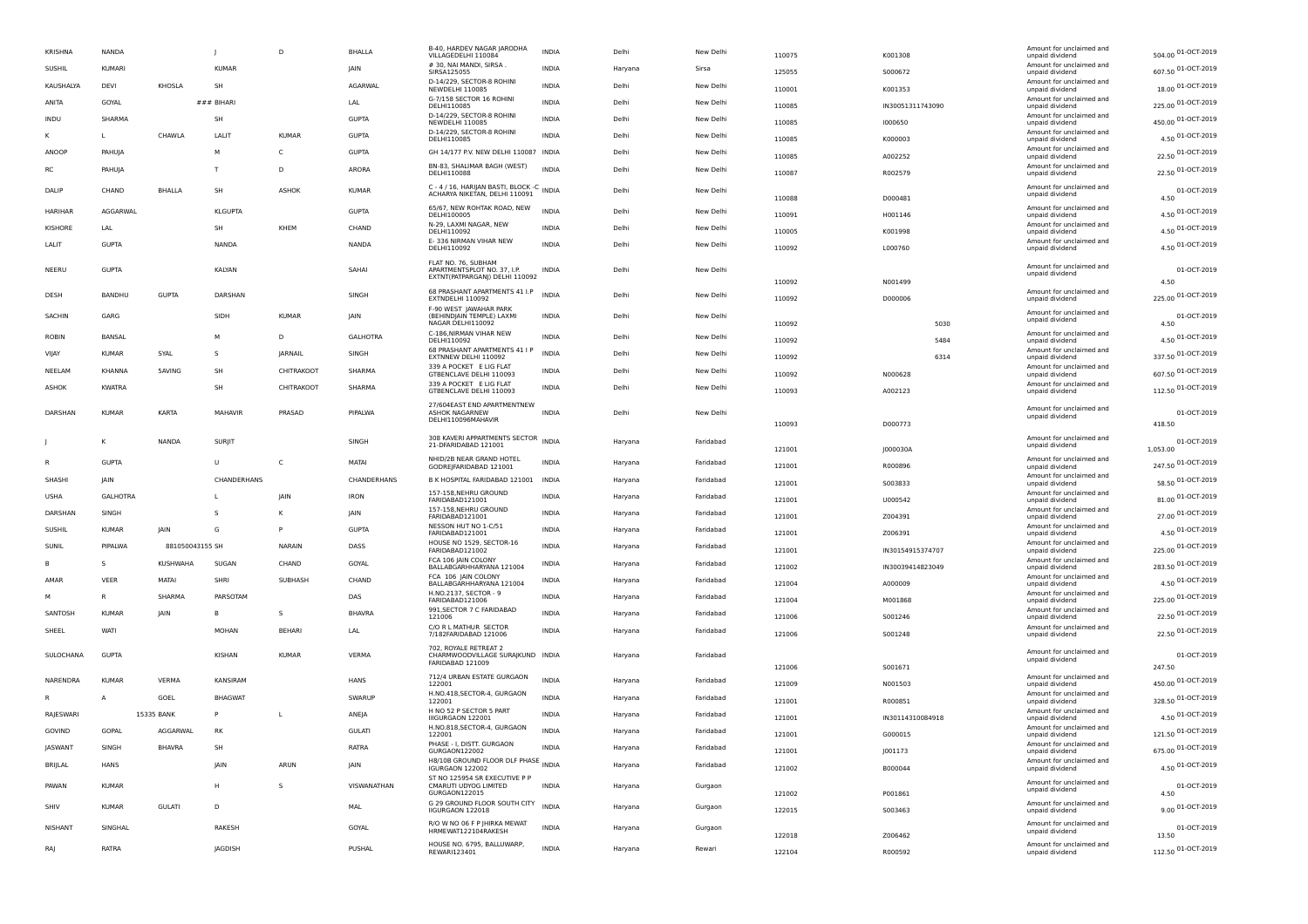| <b>KRISHNA</b> | <b>NANDA</b>    |                 | $\mathbf{I}$   | D              | <b>BHALLA</b>   | B-40, HARDEV NAGAR JARODHA<br>VILLAGEDELHI 110084                                    | <b>INDIA</b> | Delhi   | New Delhi | 110075 | K001308            | Amount for unclaimed and<br>unpaid dividend | 504.00 01-OCT-2019    |
|----------------|-----------------|-----------------|----------------|----------------|-----------------|--------------------------------------------------------------------------------------|--------------|---------|-----------|--------|--------------------|---------------------------------------------|-----------------------|
| SUSHIL         | KUMARI          |                 | KUMAR          |                | JAIN            | # 30, NAI MANDI, SIRSA<br>SIRSA125055                                                | <b>INDIA</b> | Haryana | Sirsa     | 125055 | S000672            | Amount for unclaimed and<br>unpaid dividend | 607.50 01-OCT-2019    |
| KAUSHALYA      | DEVI            | KHOSLA          | SH             |                | AGARWAL         | D-14/229, SECTOR-8 ROHINI<br>NEWDELHI 110085                                         | <b>INDIA</b> | Delhi   | New Delhi | 110001 | K001353            | Amount for unclaimed and<br>unpaid dividend | 18.00 01-OCT-2019     |
| ANITA          | GOYAL           |                 | $###$ BIHAR    |                | LAL             | G-7/158 SECTOR 16 ROHINI<br>DELHI110085                                              | INDIA        | Delhi   | New Delhi | 110085 | IN30051311743090   | Amount for unclaimed and<br>unpaid dividend | 225.00 01-OCT-2019    |
| INDU           | SHARMA          |                 | SH             |                | <b>GUPTA</b>    | D-14/229, SECTOR-8 ROHINI<br><b>NEWDELHI 110085</b>                                  | INDIA        | Delhi   | New Delhi | 110085 | 1000650            | Amount for unclaimed and<br>unpaid dividend | 450.00 01-OCT-2019    |
| ĸ              | $\mathbf{I}$    | CHAWI A         | <b>I AIT</b>   | KUMAR          | GUPTA           | D-14/229, SECTOR-8 ROHINI<br>DELHI110085                                             | <b>INDIA</b> | Delhi   | New Delhi | 110085 | K000003            | Amount for unclaimed and<br>unpaid dividend | 4.50 01-OCT-2019      |
| ANOOF          | PAHUIA          |                 | M              | $\epsilon$     | GUPTA           | GH 14/177 P.V. NEW DELHI 110087 INDIA                                                |              | Delhi   | New Delhi | 110085 |                    | Amount for unclaimed and                    | 22.50 01-OCT-2019     |
| <b>RC</b>      | PAHUJA          |                 |                | D              | ARORA           | BN-83, SHALIMAR BAGH (WEST)<br>DELHI110088                                           | INDIA        | Delhi   | New Delhi | 110087 | A002252<br>R002579 | unpaid dividend<br>Amount for unclaimed and | 22.50 01-OCT-2019     |
|                |                 |                 |                |                |                 | C - 4 / 16, HARIJAN BASTI, BLOCK -C                                                  |              |         |           |        |                    | unpaid dividend<br>Amount for unclaimed and |                       |
| DALIP          | CHAND           | BHALLA          | <b>SH</b>      | ASHOK          | KUMAR           | ACHARYA NIKETAN, DELHI 110091                                                        | <b>INDIA</b> | Delhi   | New Delhi | 110088 | D000481            | unpaid dividend                             | 01-OCT-2019<br>4.50   |
| HARIHAR        | AGGARWAL        |                 | <b>KLGUPTA</b> |                | <b>GUPTA</b>    | 65/67, NEW ROHTAK ROAD, NEW<br>DELHI100005                                           | <b>INDIA</b> | Delhi   | New Delhi | 110091 | H001146            | Amount for unclaimed and<br>unpaid dividend | 4.50 01-OCT-2019      |
| KISHORF        | I AI            |                 | SH             | KHFM           | CHAND           | N-29, LAXMI NAGAR, NEW<br>DELHI110092                                                | <b>INDIA</b> | Delhi   | New Delhi | 110005 | K001998            | Amount for unclaimed and<br>unpaid dividend | 4.50 01-OCT-2019      |
| LALIT          | <b>GUPTA</b>    |                 | NANDA          |                | <b>NANDA</b>    | E-336 NIRMAN VIHAR NEW<br>DELHI110092                                                | <b>INDIA</b> | Delhi   | New Delhi | 110092 | L000760            | Amount for unclaimed and<br>unpaid dividend | 4.50 01-OCT-2019      |
| NEERU          | <b>GUPTA</b>    |                 | KALYAN         |                | SAHAI           | FLAT NO. 76, SUBHAM<br>APARTMENTSPLOT NO. 37, I.P.<br>EXTNT(PATPARGANJ) DELHI 110092 | <b>INDIA</b> | Delhi   | New Delhi | 110092 | N001499            | Amount for unclaimed and<br>unpaid dividend | 01-OCT-2019<br>4.50   |
| DESH           | <b>BANDHU</b>   | <b>GUPTA</b>    | DARSHAN        |                | SINGH           | 68 PRASHANT APARTMENTS 41 I.P<br>EXTNDELHI 110092                                    | <b>INDIA</b> | Delhi   | New Delhi | 110092 | D000006            | Amount for unclaimed and<br>unpaid dividend | 225.00 01-OCT-2019    |
|                |                 |                 |                |                |                 | F-90 WFST JAWAHAR PARK                                                               |              |         |           |        |                    | Amount for unclaimed and                    |                       |
| <b>SACHIN</b>  | GARG            |                 | SIDH           | <b>KUMAR</b>   | <b>IAIN</b>     | (BEHINDIAIN TEMPLE) LAXMI<br>NAGAR DELHI110092                                       | <b>INDIA</b> | Delhi   | New Delhi | 110092 | 5030               | unpaid dividend                             | 01-OCT-2019<br>4.50   |
| ROBIN          | BANSAL          |                 | М              | D              | <b>GALHOTRA</b> | C-186, NIRMAN VIHAR NEW<br>DELHI110092                                               | <b>INDIA</b> | Delhi   | New Delhi | 110092 | 5484               | Amount for unclaimed and<br>unpaid dividend | 4.50 01-OCT-2019      |
| VIJAY          | <b>KUMAR</b>    | SYAL            |                | <b>IARNAIL</b> | SINGH           | 68 PRASHANT APARTMENTS 41 I P<br>EXTNNEW DELHI 110092                                | <b>INDIA</b> | Delhi   | New Delhi | 110092 | 6314               | Amount for unclaimed and<br>unpaid dividend | 337.50 01-OCT-2019    |
| NEELAM         | KHANNA          | 5AVING          | SH             | CHITRAKOOT     | SHARMA          | 339 A POCKET E LIG FLAT<br>GTBENCLAVE DELHI 110093                                   | <b>INDIA</b> | Delhi   | New Delhi | 110092 | N000628            | Amount for unclaimed and<br>unpaid dividend | 607.50 01-OCT-2019    |
| ASHOK          | <b>KWATRA</b>   |                 | <b>SH</b>      | CHITRAKOOT     | SHARMA          | 339 A POCKET E LIG FLAT<br>GTBENCLAVE DELHI 110093                                   | <b>INDIA</b> | Delhi   | New Delhi | 110093 | A002123            | Amount for unclaimed and<br>unpaid dividend | 112.50 01-OCT-2019    |
|                |                 |                 |                |                |                 | 27/604EAST END APARTMENTNEW                                                          |              |         |           |        |                    | Amount for unclaimed and                    |                       |
| DARSHAN        | <b>KUMAF</b>    | KARTA           | MAHAVIF        | PRASAD         | PIPALWA         | ASHOK NAGARNEW                                                                       | <b>INDIA</b> | Delhi   | New Delhi | 110093 | D000773            | unpaid dividend                             | 01-OCT-2019<br>418.50 |
|                | к               | NANDA           | SURIIT         |                | SINGH           | 308 KAVERI APPARTMENTS SECTOR INDIA                                                  |              | Haryana | Faridabad |        |                    | Amount for unclaimed and                    | 01-OCT-2019           |
|                |                 |                 |                |                |                 | 21-DFARIDABAD 121001                                                                 |              |         |           | 121001 | J000030A           | unpaid dividend                             | 1.053.00              |
| R              | <b>GUPTA</b>    |                 | $\cup$         | $\mathsf{C}$   | MATAI           | NHID/2B NEAR GRAND HOTEL<br>GODREJFARIDABAD 121001                                   | <b>INDIA</b> | Haryana | Faridabad | 121001 | R000896            | Amount for unclaimed and<br>unpaid dividend | 247.50 01-OCT-2019    |
| SHASHI         | <b>IAIN</b>     |                 | CHANDERHANS    |                | CHANDERHANS     | B K HOSPITAL FARIDABAD 121001 INDIA                                                  |              | Haryana | Faridabad | 121001 | S003833            | Amount for unclaimed and<br>unpaid dividend | 58.50 01-OCT-2019     |
| <b>USHA</b>    | <b>GALHOTRA</b> |                 |                | JAIN           | <b>IRON</b>     | 157-158, NEHRU GROUND<br>FARIDABAD121001                                             | <b>INDIA</b> | Haryana | Faridabad | 121001 | U000542            | Amount for unclaimed and<br>unpaid dividend | 81.00 01-OCT-2019     |
| DARSHAN        | SINGH           |                 | -S             |                | <b>IAIN</b>     | 157-158, NEHRU GROUND<br>FARIDABAD121001                                             | <b>INDIA</b> | Haryana | Faridabad | 121001 | Z004391            | Amount for unclaimed and<br>unpaid dividend | 27.00 01-OCT-2019     |
| <b>SUSHIL</b>  | <b>KUMAR</b>    | <b>JAIN</b>     | G              |                | <b>GUPTA</b>    | NESSON HUT NO 1-C/51<br>FARIDABAD121001                                              | INDIA        | Haryana | Faridabad | 121001 | 7006391            | Amount for unclaimed and<br>unpaid dividend | 4.50 01-OCT-2019      |
| SUNIL          | PIPALWA         | 881050043155 SH |                | <b>NARAIN</b>  | DASS            | HOUSE NO 1529, SECTOR-16<br>FARIDABAD121002                                          | <b>INDIA</b> | Haryana | Faridabad | 121001 | IN30154915374707   | Amount for unclaimed and<br>unpaid dividend | 225.00 01-OCT-2019    |
| в              | s               | KUSHWAHA        | SUGAN          | CHAND          | GOYAL           | FCA 106 IAIN COLONY<br>BALLABGARHHARYANA 121004                                      | INDIA        | Haryana | Faridabad | 121002 | IN30039414823049   | Amount for unclaimed and<br>unpaid dividend | 283.50 01-OCT-2019    |
| AMAR           | VEER            | MATAI           | SHRI           | SUBHASH        | CHAND           | FCA 106 JAIN COLONY<br>BALLABGARHHARYANA 121004                                      | <b>INDIA</b> | Haryana | Faridabad | 121004 | A000009            | Amount for unclaimed and<br>unpaid dividend | 4.50 01-OCT-2019      |
| M              | $\overline{R}$  | SHARMA          | PARSOTAM       |                | DAS             | H.NO.2137, SECTOR - 9<br>FARIDABAD121006                                             | INDIA        | Haryana | Faridabad | 121004 | M001868            | Amount for unclaimed and<br>unpaid dividend | 225.00 01-OCT-2019    |
| SANTOSH        | <b>KUMAR</b>    | JAIN            | B              | s              | <b>BHAVRA</b>   | 991, SECTOR 7 C FARIDABAD<br>121006                                                  | INDIA        | Haryana | Faridabad | 121006 | S001246            | Amount for unclaimed and<br>unpaid dividend | 22.50 01-OCT-2019     |
| SHEEL          | <b>WATI</b>     |                 | <b>MOHAN</b>   | <b>BEHARI</b>  | LAL             | C/O R L MATHUR SECTOR                                                                | <b>INDIA</b> | Haryana | Faridabad |        |                    | Amount for unclaimed and                    | 22.50 01-OCT-2019     |
|                |                 |                 |                |                |                 | 7/182FARIDABAD 121006<br>702. ROYALE RETREAT 2                                       |              |         |           | 121006 | S001248            | unpaid dividend                             |                       |
| SULOCHANA      | GUPTA           |                 | KISHAN         | KUMAR          | <b>VERMA</b>    | CHARMWOODVILLAGE SURAJKUND INDIA<br>FARIDARAD 121009                                 |              | Haryana | Faridabad |        |                    | Amount for unclaimed and<br>unpaid dividend | 01-OCT-2019           |
|                | <b>KUMAF</b>    |                 |                |                |                 | 712/4 URBAN ESTATE GURGAON                                                           | <b>INDIA</b> |         |           | 121006 | S001671            | Amount for unclaimed and                    | 247.50                |
| NARENDRA       |                 | VERMA           | KANSIRAM       |                | HANS            | 122001<br>H.NO.418, SECTOR-4, GURGAON                                                |              | Haryana | Faridabad | 121009 | N001503            | unpaid dividend<br>Amount for unclaimed and | 450.00 01-OCT-2019    |
|                | A               | GOEL            | <b>BHAGWAT</b> |                | SWARUP          | 122001<br>H NO 52 P SECTOR 5 PART                                                    | <b>INDIA</b> | Haryana | Faridabad | 121001 | R000851            | unpaid dividend<br>Amount for unclaimed and | 328.50 01-OCT-2019    |
| RAJESWARI      |                 | 15335 BANK      |                |                | ANEJA           | IIIGURGAON 122001<br>H.NO.818, SECTOR-4, GURGAON                                     | <b>INDIA</b> | Haryana | Faridabad | 121001 | IN30114310084918   | unpaid dividend<br>Amount for unclaimed and | 4.50 01-OCT-2019      |
| GOVIND         | GOPAL           | AGGARWAL        | RK             |                | <b>GULATI</b>   | 122001                                                                               | <b>INDIA</b> | Haryana | Faridabad | 121001 | G000015            | unpaid dividend                             | 121.50 01-OCT-2019    |
| <b>JASWANT</b> | SINGH           | <b>BHAVRA</b>   | SH             |                | RATRA           | PHASE - I, DISTT. GURGAON<br>GURGAON122002                                           | <b>INDIA</b> | Haryana | Faridabad | 121001 | 1001173            | Amount for unclaimed and<br>unpaid dividend | 675.00 01-OCT-2019    |
| BRIJLAL        | HANS            |                 | <b>JAIN</b>    | ARUN           | JAIN            | H8/10B GROUND FLOOR DLF PHASE INDIA<br>IGURGAON 122002                               |              | Haryana | Faridabad | 121002 | B000044            | Amount for unclaimed and<br>unpaid dividend | 4.50 01-OCT-2019      |
| PAWAN          | <b>KUMAF</b>    |                 | н              | s              | VISWANATHAN     | ST NO 125954 SR EXECUTIVE P P<br>CMARUTI UDYOG LIMITED<br>GURGAON122015              | <b>INDIA</b> | Haryana | Gurgaon   | 121002 | P001861            | Amount for unclaimed and<br>unpaid dividend | 01-OCT-2019<br>4.50   |
| SHIV           | <b>KUMAR</b>    | <b>GULATI</b>   | D              |                | MAL             | G 29 GROUND FLOOR SOUTH CITY<br>IIGURGAON 122018                                     | INDIA        | Haryana | Gurgaor   | 122015 | S003463            | Amount for unclaimed and<br>unpaid dividend | 9.00 01-OCT-2019      |
| NISHANT        | SINGHAI         |                 | <b>RAKESH</b>  |                | GOYAL           | R/O W NO 06 F P IHIRKA MEWAT                                                         | <b>INDIA</b> | Haryana | Gurgaon   |        |                    | Amount for unclaimed and                    | 01-OCT-2019           |
|                |                 |                 |                |                |                 | HRMEWAT122104RAKESH<br>HOUSE NO. 6795, BALLUWARP,                                    |              |         |           | 122018 | Z006462            | unpaid dividend<br>Amount for unclaimed and | 13.50                 |
| RAI            | RATRA           |                 | JAGDISH        |                | PUSHAL          | REWARI123401                                                                         | <b>INDIA</b> | Harvana | Rewari    | 122104 | R000592            | unpaid dividend                             | 112.50 01-OCT-2019    |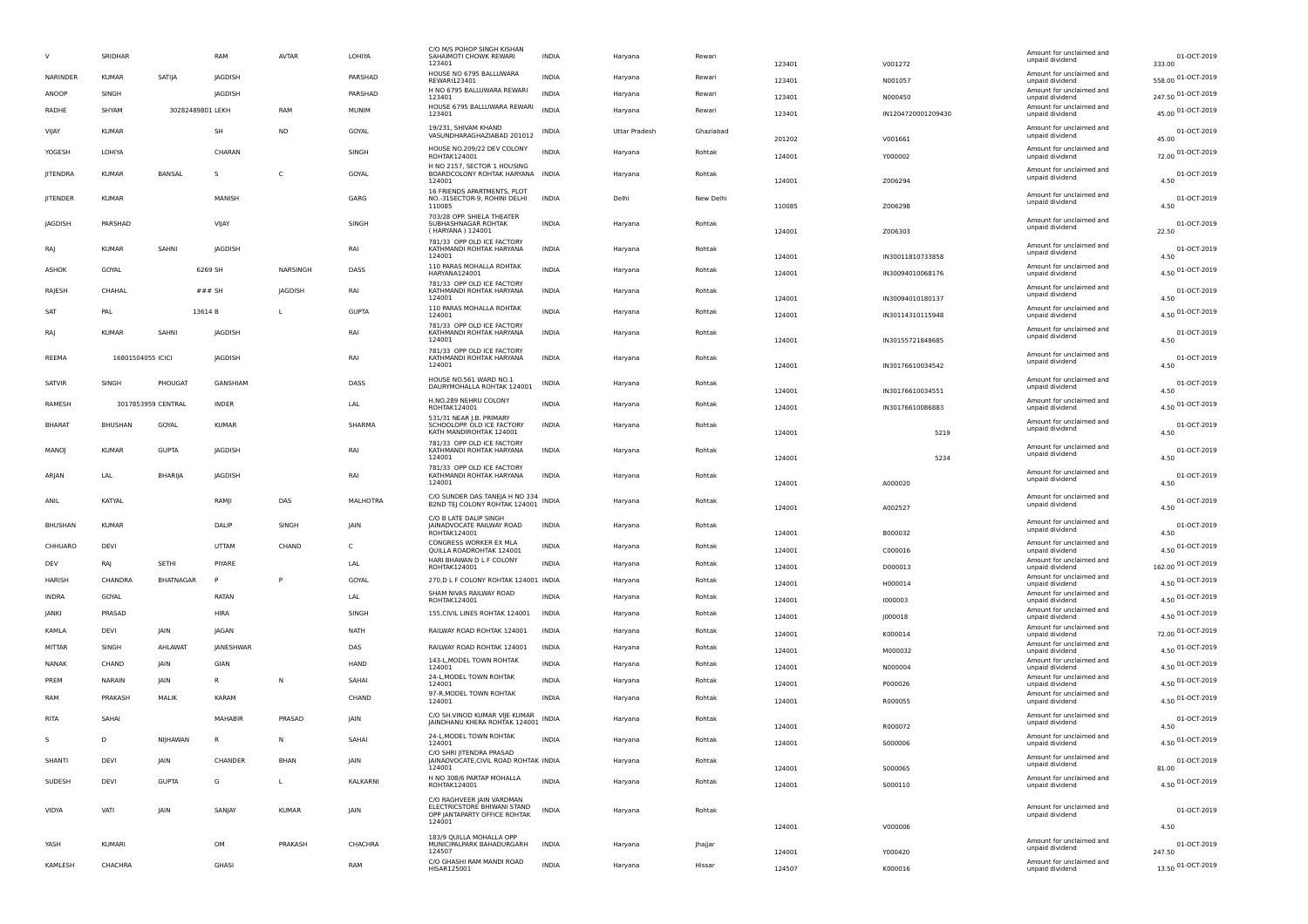|                 | SRIDHAR           |                    | RAM            | <b>AVTAR</b> | LOHIYA       | C/O M/S POHOP SINGH KISHAN<br>SAHAIMOTI CHOWK REWARI<br>123401             | INDIA        | Haryana       | Rewari    | 123401           | V001272            | Amount for unclaimed and<br>unpaid dividend | 01-OCT-2019<br>333.00       |
|-----------------|-------------------|--------------------|----------------|--------------|--------------|----------------------------------------------------------------------------|--------------|---------------|-----------|------------------|--------------------|---------------------------------------------|-----------------------------|
| NARINDER        | <b>KUMAR</b>      | SATIJA             | JAGDISH        |              | PARSHAD      | HOUSE NO 6795 BALLUWARA<br>REWARI123401                                    | INDIA        | Haryana       | Rewari    | 123401           | N001057            | Amount for unclaimed and<br>unpaid dividend | 558.00 01-OCT-2019          |
| ANOOP           | SINGH             |                    | JAGDISH        |              | PARSHAD      | H NO 6795 BALLUWARA REWARI<br>123401                                       | INDIA        | Haryana       | Rewari    | 123401           | N000450            | Amount for unclaimed and<br>unpaid dividend | 247.50 01-OCT-2019          |
| RADHE           | SHYAM             | 30282489801 LEKH   |                | RAM          | MUNIM        | HOUSE 6795 BALLUWARA REWARI<br>123401                                      | <b>INDIA</b> | Haryana       | Rewari    | 123401           | IN1204720001209430 | Amount for unclaimed and<br>unpaid dividend | 45.00 01-OCT-2019           |
| VIJAY           | <b>KUMAR</b>      |                    | <b>SH</b>      | <b>ND</b>    | GOYAL        | 19/231, SHIVAM KHAND<br>VASUNDHARAGHAZIABAD 201012                         | INDIA        | Uttar Pradesh | Ghaziabad | 201202           | V001661            | Amount for unclaimed and<br>unpaid dividend | 01-OCT-2019<br>45.00        |
| YOGESH          | LOHIYA            |                    | CHARAN         |              | SINGH        | HOUSE NO.209/22 DEV COLONY<br>ROHTAK124001                                 | <b>INDIA</b> | Haryana       | Rohtak    | 124001           | Y000002            | Amount for unclaimed and<br>unpaid dividend | 72.00 01-OCT-2019           |
| <b>JITENDRA</b> | <b>KUMAR</b>      | BANSAL             | s              | C            | GOYAL        | H NO 2157, SECTOR 1 HOUSING<br>BOARDCOLONY ROHTAK HARYANA INDIA<br>124001  |              | Haryana       | Rohtak    | 124001           |                    | Amount for unclaimed and<br>unpaid dividend | 01-OCT-2019<br>4.50         |
| JITENDER        | <b>KUMAR</b>      |                    | MANISH         |              | GARG         | 16 FRIENDS APARTMENTS, PLOT<br>NO.-31SECTOR-9, ROHINI DELHI                | <b>INDIA</b> | Delhi         | New Delhi |                  | Z006294            | Amount for unclaimed and<br>unpaid dividend | 01-OCT-2019                 |
| JAGDISH         | PARSHAD           |                    | VIJAY          |              | SINGH        | 110085<br>703/28 OPP. SHIELA THEATER<br>SUBHASHNAGAR ROHTAK                | INDIA        | Haryana       | Rohtak    | 110085           | Z006298            | Amount for unclaimed and                    | 4.50<br>01-OCT-2019         |
| RA              | <b>KUMAR</b>      | SAHNI              | JAGDISH        |              | RAI          | (HARYANA) 124001<br>781/33 OPP OLD ICE FACTORY<br>KATHMANDI ROHTAK HARYANA | <b>INDIA</b> | Haryana       | Rohtak    | 124001           | Z006303            | unpaid dividend<br>Amount for unclaimed and | 22.50<br>01-OCT-2019        |
|                 |                   |                    |                |              |              | 124001<br>110 PARAS MOHALLA ROHTAK                                         |              |               |           | 124001           | IN30011810733858   | unpaid dividend<br>Amount for unclaimed and | 4.50                        |
| ASHOK           | GOYAL             |                    | 6269 SH        | NARSINGH     | DASS         | HARYANA124001<br>781/33 OPP OLD ICE FACTORY                                | <b>INDIA</b> | Haryana       | Rohtak    | 124001           | IN30094010068176   | unpaid dividend                             | 4.50 01-OCT-2019            |
| RAJESH          | CHAHAL            |                    | $###$ SH       | JAGDISH      | RAI          | KATHMANDI ROHTAK HARYANA<br>124001                                         | INDIA        | Haryana       | Rohtak    | 124001           | IN30094010180137   | Amount for unclaimed and<br>unpaid dividend | 01-OCT-2019<br>4.50         |
| SAT             | PAL               |                    | 13614 B        | $\mathbf{L}$ | <b>GUPTA</b> | 110 PARAS MOHALLA ROHTAK<br>124001                                         | <b>INDIA</b> | Haryana       | Rohtak    | 124001           | IN30114310115948   | Amount for unclaimed and<br>unpaid dividend | 4.50 01-OCT-2019            |
| RA              | KUMAR             | SAHNI              | JAGDISH        |              | RAI          | 781/33 OPP OLD ICE FACTORY<br>KATHMANDI ROHTAK HARYANA<br>124001           | <b>INDIA</b> | Haryana       | Rohtak    | 124001           | IN30155721848685   | Amount for unclaimed and<br>unpaid dividend | 01-OCT-2019<br>4.50         |
| REEMA           | 16801504055 ICICI |                    | <b>JAGDISH</b> |              | RAI          | 781/33 OPP OLD ICE FACTORY<br>KATHMANDI ROHTAK HARYANA                     | <b>INDIA</b> | Haryana       | Rohtak    |                  |                    | Amount for unclaimed and<br>unpaid dividend | 01-OCT-2019                 |
|                 |                   |                    |                |              |              | 124001<br>HOUSE NO.561 WARD NO.1                                           |              |               |           | 124001           | IN30176610034542   | Amount for unclaimed and                    | 4.50                        |
| SATVIR          | SINGH             | PHOUGAT            | GANSHIAM       |              | DASS         | DAURYMOHALLA ROHTAK 124001                                                 | INDIA        | Haryana       | Rohtak    | 124001           | IN30176610034551   | unpaid dividend                             | 01-OCT-2019<br>4.50         |
| RAMESH          |                   | 3017853959 CENTRAL | <b>INDER</b>   |              | LAL          | H.NO.289 NEHRU COLONY<br>ROHTAK124001<br>531/31 NEAR J.B. PRIMARY          | <b>INDIA</b> | Haryana       | Rohtak    | 124001           | IN30176610086883   | Amount for unclaimed and<br>unpaid dividend | 4.50 01-OCT-2019            |
| <b>BHARAT</b>   | <b>BHUSHAN</b>    | GOYAL              | <b>KUMAR</b>   |              | SHARMA       | SCHOOLOPP. OLD ICE FACTORY<br>KATH MANDIROHTAK 124001                      | <b>INDIA</b> | Haryana       | Rohtak    | 124001           | 5219               | Amount for unclaimed and<br>unpaid dividend | 01-OCT-2019<br>4.50         |
| MANOJ           | <b>KUMAR</b>      | <b>GUPTA</b>       | JAGDISH        |              | RAI          | 781/33 OPP OLD ICE FACTORY<br>KATHMANDI ROHTAK HARYANA<br>124001           | <b>INDIA</b> | Haryana       | Rohtak    | 124001           | 5234               | Amount for unclaimed and<br>unpaid dividend | 01-OCT-2019<br>4.50         |
|                 |                   |                    |                |              |              | 781/33 OPP OLD ICE FACTORY                                                 |              |               |           |                  |                    |                                             |                             |
| ARJAN           | LAL               | BHARIJA            | JAGDISH        |              | RAI          | KATHMANDI ROHTAK HARYANA                                                   | <b>INDIA</b> | Haryana       | Rohtak    |                  |                    | Amount for unclaimed and<br>unpaid dividend | 01-OCT-2019                 |
| ANIL            | KATYAL            |                    | RAMII          |              | MALHOTRA     | 124001<br>C/O SUNDER DAS TANEJA H NO 334                                   |              |               |           | 124001           | A000020            | Amount for unclaimed and                    | 4.50                        |
|                 |                   |                    |                | DAS          |              | B2ND TEJ COLONY ROHTAK 124001<br>C/O B LATE DALIP SINGH                    | <b>INDIA</b> | Haryana       | Rohtak    | 124001           | A002527            | unpaid dividend                             | 01-OCT-2019<br>4.50         |
| <b>BHUSHAN</b>  | <b>KUMAR</b>      |                    | DALIP          | SINGH        | <b>JAIN</b>  | JAINADVOCATE RAILWAY ROAD<br>ROHTAK124001                                  | <b>INDIA</b> | Haryana       | Rohtak    | 124001           | B000032            | Amount for unclaimed and<br>unpaid dividend | 01-OCT-2019                 |
| CHHUARO         | DEVI              |                    | UTTAM          | CHAND        | C            | CONGRESS WORKER EX MLA<br>QUILLA ROADROHTAK 124001                         | <b>INDIA</b> | Haryana       | Rohtak    | 124001           | C000016            | Amount for unclaimed and<br>unpaid dividend | 4.50 01-OCT-2019            |
| DEV             | RAJ               | SETHI              | PIYARE         |              | LAL          | HARI BHAWAN D L F COLONY<br>ROHTAK124001                                   | <b>INDIA</b> | Haryana       | Rohtak    | 124001           | D000013            | Amount for unclaimed and<br>unpaid dividend | 162.00 01-OCT-2019          |
| HARISH          | CHANDRA           | BHATNAGAR          | P              | P            | GOYAL        | 270, D L F COLONY ROHTAK 124001 INDIA                                      |              | Haryana       | Rohtak    | 124001           | H000014            | Amount for unclaimed and<br>unpaid dividend |                             |
| INDRA           | GOYAL             |                    | RATAN          |              | LAL          | SHAM NIVAS RAILWAY ROAD                                                    | <b>INDIA</b> | Haryana       | Rohtak    |                  |                    | Amount for unclaimed and                    | 4.50 01-OCT-2019            |
| JANKI           | PRASAD            |                    | HIRA           |              | SINGH        | ROHTAK124001<br>155, CIVIL LINES ROHTAK 124001                             | INDIA        | Haryana       | Rohtak    | 124001           | 1000003            | unpaid dividend<br>Amount for unclaimed and | 4.50 01-OCT-2019            |
|                 | <b>DEVI</b>       | <b>IAIN</b>        | <b>IAGAN</b>   |              | <b>NATH</b>  |                                                                            | <b>INDIA</b> |               | Rohtak    | 124001           | J000018            | unpaid dividend<br>Amount for unclaimed and | 4.50 01-OCT-2019            |
| KAMLA           |                   |                    |                |              |              | RAILWAY ROAD ROHTAK 124001                                                 |              | Haryana       |           | 124001           | K000014            | unpaid dividend<br>Amount for unclaimed and | 72.00 01-OCT-2019           |
| MITTAR          | SINGH             | AHLAWAT            | JANESHWAR      |              | DAS          | RAILWAY ROAD ROHTAK 124001                                                 | <b>INDIA</b> | Haryana       | Rohtak    | 124001           | M000032            | unpaid dividend                             | 4.50 01-OCT-2019            |
| NANAK           | CHAND             | JAIN               | GIAN           |              | HAND         | 143-L, MODEL TOWN ROHTAK<br>124001                                         | INDIA        | Haryana       | Rohtak    | 124001           | N000004            | Amount for unclaimed and<br>unpaid dividend | 4.50 01-OCT-2019            |
| PREM            | NARAIN            | JAIN               |                | N            | SAHAI        | 24-L, MODEL TOWN ROHTAK<br>124001                                          | INDIA        | Haryana       | Rohtak    | 124001           | P000026            | Amount for unclaimed and<br>unpaid dividend | 4.50 01-OCT-2019            |
| RAM             | PRAKASH           | MALIK              | KARAM          |              | CHAND        | 97-R, MODEL TOWN ROHTAK<br>124001                                          | <b>INDIA</b> | Haryana       | Rohtak    | 124001           | R000055            | Amount for unclaimed and<br>unpaid dividend | 4.50 01-OCT-2019            |
| RITA            | SAHAI             |                    | MAHABIR        | PRASAD       | IAIN         | C/O SH.VINOD KUMAR VIJE KUMAR<br>JAINDHANU KHERA ROHTAK 124001             | INDIA        | Haryana       | Rohtak    | 124001           | R000072            | Amount for unclaimed and<br>unpaid dividend | 01-OCT-2019<br>4.50         |
| s               | D                 | NIJHAWAN           |                | N            | SAHAI        | 24-L, MODEL TOWN ROHTAK<br>124001                                          | <b>INDIA</b> | Haryana       | Rohtak    |                  | S000006            | Amount for unclaimed and<br>unpaid divident | 01-OCT-2019<br>4.50         |
| SHANTI          | DEVI              | JAIN               | CHANDER        | BHAN         | JAIN         | C/O SHRI JITENDRA PRASAD<br>JAINADVOCATE, CIVIL ROAD ROHTAK INDIA          |              | Haryana       | Rohtak    | 124001           |                    | Amount for unclaimed and                    | 01-OCT-2019                 |
| SUDESH          | DEVI              | <b>GUPTA</b>       | G              | $\mathbf{L}$ | KALKARNI     | 124001<br>H NO 308/6 PARTAP MOHALLA<br>ROHTAK124001                        | <b>INDIA</b> | Haryana       | Rohtak    | 124001<br>124001 | S000065<br>5000110 | unpaid dividend<br>Amount for unclaimed and | 81.00                       |
|                 |                   |                    |                |              |              | C/O RAGHVEER JAIN VARDMAN                                                  |              |               |           |                  |                    | unpaid dividend                             | 4.50 01-OCT-2019            |
| VIDYA           | VATI              | JAIN               | SANJAY         | <b>KUMAR</b> | JAIN         | ELECTRICSTORE BHIWANI STAND<br>OPP JANTAPARTY OFFICE ROHTAK                | <b>INDIA</b> | Haryana       | Rohtak    |                  |                    | Amount for unclaimed and<br>unpaid dividend | 01-OCT-2019                 |
|                 |                   |                    |                |              |              | 124001                                                                     |              |               |           | 124001           | V000006            |                                             | 4.50                        |
| YASH            | KUMARI            |                    | OM             | PRAKASH      | CHACHRA      | 183/9 QUILLA MOHALLA OPP<br>MUNICIPALPARK BAHADURGARH                      | INDIA        | Haryana       | Jhajjar   |                  |                    | Amount for unclaimed and<br>unpaid dividend | 01-OCT-2019                 |
| KAMLESH         | CHACHRA           |                    | GHASI          |              | RAM          | 124507<br>C/O GHASHI RAM MANDI ROAD<br>HISAR125001                         | <b>INDIA</b> | Haryana       | Hissar    | 124001<br>124507 | Y000420<br>K000016 | Amount for unclaimed and<br>unpaid dividend | 247.50<br>13.50 01-OCT-2019 |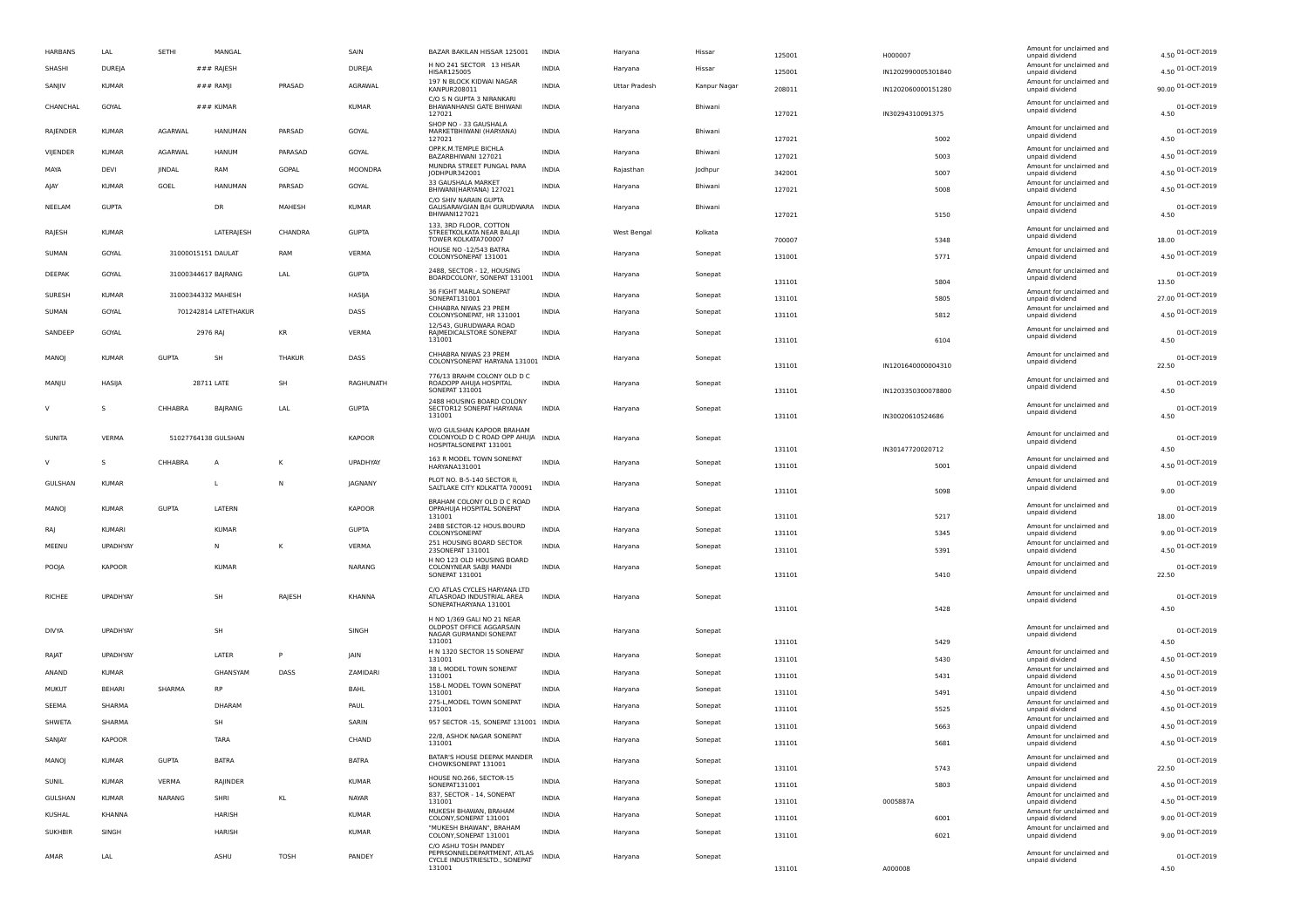|        | <b>HARBANS</b> | LAL                          | SETHI               | MANGAL               |         | SAIN           | BAZAR BAKILAN HISSAR 125001                                                               | <b>INDIA</b> | Haryana       | Hissar       | 125001           | H000007            | Amount for unclaimed and<br>unpaid dividend                    | 4.50 01-OCT-2019          |
|--------|----------------|------------------------------|---------------------|----------------------|---------|----------------|-------------------------------------------------------------------------------------------|--------------|---------------|--------------|------------------|--------------------|----------------------------------------------------------------|---------------------------|
|        | SHASHI         | DUREJA                       |                     | ### RAJESH           |         | DUREJA         | H NO 241 SECTOR 13 HISAR<br>HISAR125005                                                   | <b>INDIA</b> | Haryana       | Hissar       | 125001           | IN1202990005301840 | Amount for unclaimed and<br>unpaid dividend                    | 4.50 01-OCT-2019          |
|        | SANJIV         | <b>KUMAR</b>                 |                     | $###$ RAMJI          | PRASAD  | AGRAWAL        | 197 N BLOCK KIDWAI NAGAR<br>KANPUR208011                                                  | <b>INDIA</b> | Uttar Pradesh | Kanpur Nagar | 208011           | IN1202060000151280 | Amount for unclaimed and<br>unpaid dividend                    | 90.00 01-OCT-2019         |
|        | CHANCHAL       | GOYAL                        |                     | $###$ KUMAR          |         | <b>KUMAR</b>   | C/O S N GUPTA 3 NIRANKARI<br>BHAWANHANSI GATE BHIWANI<br>127021                           | <b>INDIA</b> | Haryana       | Bhiwani      | 127021           | IN30294310091375   | Amount for unclaimed and<br>unpaid dividend                    | 01-OCT-2019<br>4.50       |
|        | RAJENDER       | <b>KUMAR</b>                 | AGARWAL             | <b>HANUMAN</b>       | PARSAD  | GOYAL          | SHOP NO - 33 GAUSHALA<br>MARKETBHIWANI (HARYANA)<br>127021                                | <b>INDIA</b> | Haryana       | Bhiwani      | 127021           | 5002               | Amount for unclaimed and<br>unpaid dividend                    | 01-OCT-2019<br>4.50       |
|        | VIJENDER       | <b>KUMAR</b>                 | <b>AGARWAL</b>      | HANUM                | PARASAD | GOYAL          | OPP.K.M.TEMPLE BICHLA                                                                     | <b>INDIA</b> | Haryana       | Bhiwani      |                  |                    | Amount for unclaimed and                                       | 4.50 01-OCT-2019          |
|        | MAYA           | DEVI                         | <b>IINDAL</b>       | RAM                  | GOPAL   | MOONDRA        | BAZARBHIWANI 127021<br>MUNDRA STREET PUNGAL PARA<br>JODHPUR342001                         | <b>INDIA</b> | Rajasthan     | Jodhpur      | 127021<br>342001 | 5003<br>5007       | unpaid dividend<br>Amount for unclaimed and                    | 4.50 01-OCT-2019          |
|        | AJAY           | <b>KUMAR</b>                 | GOEL                | <b>HANUMAN</b>       | PARSAD  | GOYAL          | 33 GAUSHALA MARKET<br>BHIWANI(HARYANA) 127021                                             | INDIA        | Haryana       | Bhiwani      | 127021           | 5008               | unpaid dividend<br>Amount for unclaimed and<br>unpaid dividend | 4.50 01-OCT-2019          |
|        | NEELAM         | <b>GUPTA</b>                 |                     | DR                   | MAHESH  | <b>KUMAR</b>   | C/O SHIV NARAIN GUPTA<br>GALISARAVGIAN B/H GURUDWARA INDIA<br>BHIWANI127021               |              | Haryana       | Bhiwani      |                  |                    | Amount for unclaimed and<br>unpaid dividend                    | 01-OCT-2019<br>4.50       |
|        | RAJESH         | <b>KUMAR</b>                 |                     | <b>LATERAJESH</b>    | CHANDRA | <b>GUPTA</b>   | 133, 3RD FLOOR, COTTON<br>STREETKOLKATA NEAR BALAII                                       | <b>INDIA</b> | West Bengal   | Kolkata      | 127021           | 5150               | Amount for unclaimed and<br>unpaid dividend                    | 01-OCT-2019               |
|        | SUMAN          | GOYAL                        | 31000015151 DAULAT  |                      | RAM     | VERMA          | TOWER KOLKATA700007<br>HOUSE NO -12/543 BATRA<br>COLONYSONEPAT 131001                     | <b>INDIA</b> | Haryana       | Sonepat      | 700007<br>131001 | 5348<br>5771       | Amount for unclaimed and<br>unpaid dividend                    | 18.00<br>4.50 01-OCT-2019 |
|        | DEEPAK         | GOYAL                        | 31000344617 BAJRANG |                      | LAL     | <b>GUPTA</b>   | 2488, SECTOR - 12, HOUSING<br>BOARDCOLONY, SONEPAT 131001                                 | <b>INDIA</b> | Haryana       | Sonepat      | 131101           | 5804               | Amount for unclaimed and<br>unpaid dividend                    | 01-OCT-2019<br>13.50      |
|        | SURESH         | <b>KUMAR</b>                 | 31000344332 MAHESH  |                      |         | HASIJA         | 36 FIGHT MARLA SONEPAT<br>SONEPAT131001                                                   | <b>INDIA</b> | Haryana       | Sonepat      | 131101           | 5805               | Amount for unclaimed and<br>unpaid dividend                    | 27.00 01-OCT-2019         |
|        | SUMAN          | GOYAL                        |                     | 701242814 LATETHAKUR |         | DASS           | CHHABRA NIWAS 23 PREM<br>COLONYSONEPAT, HR 131001                                         | INDIA        | Haryana       | Sonepat      | 131101           | 5812               | Amount for unclaimed and<br>unpaid dividend                    | 4.50 01-OCT-2019          |
|        | SANDEEP        | GOYAL                        |                     | 2976 RA              | KR      | <b>VERMA</b>   | 12/543, GURUDWARA ROAD<br>RAJMEDICALSTORE SONEPAT                                         | <b>INDIA</b> | Haryana       | Sonepat      |                  |                    | Amount for unclaimed and<br>unpaid dividend                    | 01-OCT-2019               |
|        | MANOJ          | <b>KUMAR</b>                 | <b>GUPTA</b>        | SH                   | THAKUR  | DASS           | 131001<br>CHHABRA NIWAS 23 PREM<br>COLONYSONEPAT HARYANA 131001 INDIA                     |              | Haryana       | Sonepat      | 131101           | 6104               | Amount for unclaimed and<br>unpaid dividend                    | 4.50<br>01-OCT-2019       |
|        | MANJU          | HASIJA                       |                     | 28711 LATE           | SH      | RAGHUNATH      | 776/13 BRAHM COLONY OLD D C<br>ROADOPP AHUJA HOSPITAL                                     | <b>INDIA</b> | Haryana       | Sonepat      | 131101           | IN1201640000004310 | Amount for unclaimed and                                       | 22.50<br>01-OCT-2019      |
|        |                |                              |                     |                      |         |                | <b>SONEPAT 131001</b><br>2488 HOUSING BOARD COLONY                                        |              |               |              | 131101           | IN1203350300078800 | unpaid dividend<br>Amount for unclaimed and                    | 4.50                      |
| V      |                | -S                           | CHHABRA             | BAJRANG              | LAL     | <b>GUPTA</b>   | SECTOR12 SONEPAT HARYANA<br>131001                                                        | <b>INDIA</b> | Haryana       | Sonepat      | 131101           | IN30020610524686   | unpaid dividend                                                | 01-OCT-2019<br>4.50       |
|        | SUNITA         | VERMA                        | 51027764138 GULSHAN |                      |         | <b>KAPOOR</b>  | W/O GULSHAN KAPOOR BRAHAM<br>COLONYOLD D C ROAD OPP AHUJA INDIA<br>HOSPITALSONEPAT 131001 |              | Haryana       | Sonepat      | 131101           | IN30147720020712   | Amount for unclaimed and<br>unpaid dividend                    | 01-OCT-2019<br>4.50       |
| $\vee$ |                |                              | CHHABRA             | A                    | K       | UPADHYAY       | 163 R MODEL TOWN SONEPAT<br>HARYANA131001                                                 | <b>INDIA</b> | Haryana       | Sonepat      | 131101           | 5001               | Amount for unclaimed and<br>unpaid dividend                    | 4.50 01-OCT-2019          |
|        | GULSHAN        | <b>KUMAR</b>                 |                     | L                    | N       | <b>JAGNANY</b> | PLOT NO. B-5-140 SECTOR II,<br>SALTLAKE CITY KOLKATTA 700091                              | INDIA        | Haryana       | Sonepat      | 131101           | 5098               | Amount for unclaimed and<br>unpaid dividend                    | 01-OCT-2019<br>9.00       |
|        | MANOJ          | <b>KUMAR</b>                 | <b>GUPTA</b>        | LATERN               |         | <b>KAPOOR</b>  | BRAHAM COLONY OLD D C ROAD<br>OPPAHUJA HOSPITAL SONEPAT<br>131001                         | <b>INDIA</b> | Haryana       | Sonepat      | 131101           | 5217               | Amount for unclaimed and<br>unpaid dividend                    | 01-OCT-2019<br>18.00      |
|        | RAJ            | <b>KUMARI</b>                |                     | <b>KUMAR</b>         |         | <b>GUPTA</b>   | 2488 SECTOR-12 HOUS.BOURD<br>COLONYSONEPAT                                                | <b>INDIA</b> | Haryana       | Sonepat      | 131101           | 5345               | Amount for unclaimed and<br>unpaid dividend                    | 9.00 01-OCT-2019          |
|        | MEENU          | UPADHYAY                     |                     | N                    | К       | VERMA          | 251 HOUSING BOARD SECTOR<br>23SONEPAT 131001                                              | <b>INDIA</b> | Haryana       | Sonepat      | 131101           | 5391               | Amount for unclaimed and<br>unpaid dividend                    | 4.50 01-OCT-2019          |
|        | POOJA          | <b>KAPOOR</b>                |                     | <b>KUMAR</b>         |         | <b>NARANG</b>  | H NO 123 OLD HOUSING BOARD<br>COLONYNEAR SABJI MANDI<br>SONEPAT 131001                    | <b>INDIA</b> | Haryana       | Sonepat      | 131101           | 5410               | Amount for unclaimed and<br>unpaid dividend                    | 01-OCT-2019<br>22.50      |
|        |                |                              |                     |                      |         |                | C/O ATLAS CYCLES HARYANA LTD                                                              |              |               |              |                  |                    |                                                                |                           |
|        | RICHEE         | UPADHYAY                     |                     | <b>SH</b>            | RAJESH  | KHANNA         | ATLASROAD INDUSTRIAL AREA<br>SONEPATHARYANA 131001                                        | <b>INDIA</b> | Haryana       | Sonepat      | 131101           | 5428               | Amount for unclaimed and<br>unpaid dividend                    | 01-OCT-2019<br>4.50       |
|        |                |                              |                     |                      |         |                | H NO 1/369 GALI NO 21 NEAR                                                                |              |               |              |                  |                    |                                                                |                           |
|        | <b>DIVYA</b>   | UPADHYAY                     |                     | SH                   |         | SINGH          | OLDPOST OFFICE AGGARSAIN<br>NAGAR GURMANDI SONEPAT<br>131001                              | <b>INDIA</b> | Haryana       | Sonepat      |                  |                    | Amount for unclaimed and<br>unpaid dividend                    | 01-OCT-2019<br>4.50       |
|        | RAJAT          | <b>UPADHYAY</b>              |                     | LATER                | P       | JAIN           | H N 1320 SECTOR 15 SONEPAT                                                                | <b>INDIA</b> | Haryana       | Sonepat      | 131101           | 5429               | Amount for unclaimed and                                       | 4.50 01-OCT-2019          |
|        | ANAND          | <b>KUMAR</b>                 |                     | GHANSYAM             | DASS    | ZAMIDARI       | 131001<br>38 L MODEL TOWN SONEPAT                                                         | <b>INDIA</b> | Haryana       | Sonepat      | 131101           | 5430               | unpaid dividend<br>Amount for unclaimed and                    | 4.50 01-OCT-2019          |
|        | <b>MUKUT</b>   | BEHARI                       | SHARMA              | <b>RP</b>            |         | BAHL           | 131001<br>158-L MODEL TOWN SONEPAT                                                        | <b>INDIA</b> | Haryana       | Sonepat      | 131101           | 5431               | unpaid dividend<br>Amount for unclaimed and                    | 4.50 01-OCT-2019          |
|        | SEEMA          | SHARMA                       |                     | DHARAM               |         | PAUL           | 131001<br>275-L, MODEL TOWN SONEPAT                                                       | <b>INDIA</b> | Haryana       | Sonepat      | 131101           | 5491               | unpaid dividend<br>Amount for unclaimed and                    | 4.50 01-OCT-2019          |
|        | SHWETA         | SHARMA                       |                     | SH                   |         | SARIN          | 131001<br>957 SECTOR -15, SONEPAT 131001 INDIA                                            |              | Haryana       | Sonepat      | 131101           | 5525               | unpaid dividend<br>Amount for unclaimed and                    | 4.50 01-OCT-2019          |
|        | SANJAY         | KAPOOR                       |                     | TARA                 |         | CHAND          | 22/8, ASHOK NAGAR SONEPAT                                                                 | INDIA        | Haryana       | Sonepat      | 131101           | 5663               | unpaid dividend<br>Amount for unclaimed and                    | 4.50 01-OCT-2019          |
|        | MANOJ          | <b>KUMAR</b>                 | <b>GUPTA</b>        | <b>BATRA</b>         |         | <b>BATRA</b>   | 131001<br>BATAR'S HOUSE DEEPAK MANDER<br>CHOWKSONEPAT 131001                              | <b>INDIA</b> | Haryana       | Sonepat      | 131101           | 5681               | unpaid dividend<br>Amount for unclaimed and                    | 01-OCT-2019               |
|        | SUNIL          |                              | VERMA               | RAJINDER             |         | <b>KUMAR</b>   | HOUSE NO.266, SECTOR-15                                                                   | INDIA        |               |              | 131101           | 5743               | unpaid dividend<br>Amount for unclaimed and                    | 22.50                     |
|        | GULSHAN        | <b>KUMAR</b><br><b>KUMAR</b> | <b>NARANG</b>       | SHRI                 |         | NAYAR          | SONEPAT131001<br>837, SECTOR - 14, SONEPAT                                                | <b>INDIA</b> | Haryana       | Sonepat      | 131101           | 5803               | unpaid dividend<br>Amount for unclaimed and                    | 4.50 01-OCT-2019          |
|        |                |                              |                     |                      | KL      |                | 131001<br>MUKESH BHAWAN, BRAHAM                                                           |              | Haryana       | Sonepat      | 131101           | 0005887A           | unpaid dividend<br>Amount for unclaimed and                    | 4.50 01-OCT-2019          |
|        | <b>KUSHAL</b>  | KHANNA                       |                     | HARISH               |         | <b>KUMAR</b>   | COLONY, SONEPAT 131001<br>"MUKESH BHAWAN", BRAHAM                                         | <b>INDIA</b> | Haryana       | Sonepat      | 131101           | 6001               | unpaid dividend<br>Amount for unclaimed and                    | 9.00 01-OCT-2019          |
|        | <b>SUKHBIR</b> | SINGH                        |                     | HARISH               |         | KUMAR          | COLONY, SONEPAT 131001<br>C/O ASHU TOSH PANDEY                                            | INDIA        | Haryana       | Sonepat      | 131101           | 6021               | unpaid dividend                                                | 9.00 01-OCT-2019          |
|        | AMAR           | LAL                          |                     | ASHU                 | TOSH    | PANDEY         | PEPRSONNELDEPARTMENT, ATLAS<br>CYCLE INDUSTRIESLTD., SONEPAT<br>131001                    | <b>INDIA</b> | Haryana       | Sonepat      | 131101           | A000008            | Amount for unclaimed and<br>unpaid dividend                    | 01-OCT-2019<br>4.50       |
|        |                |                              |                     |                      |         |                |                                                                                           |              |               |              |                  |                    |                                                                |                           |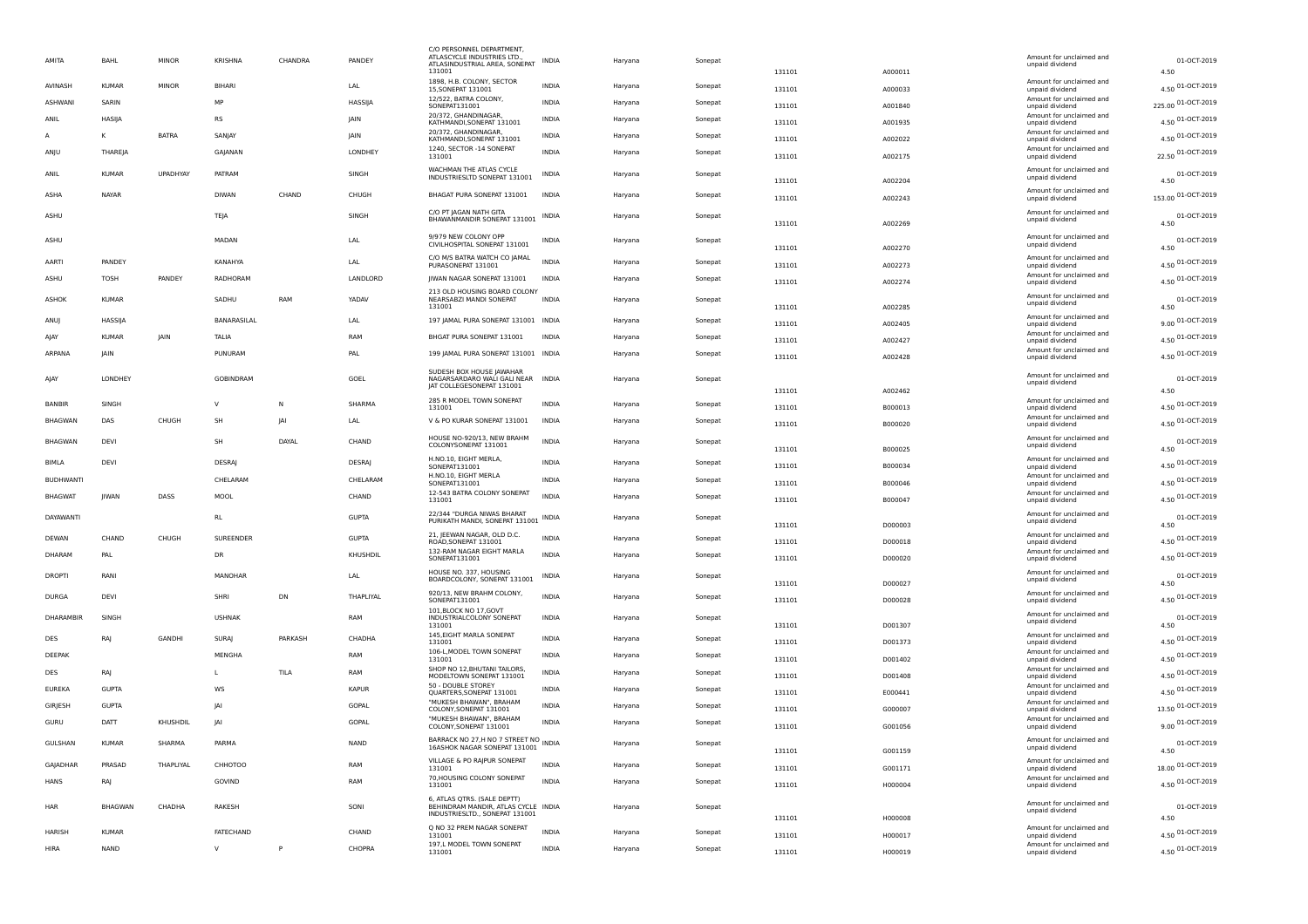| AMITA            | BAHL           | <b>MINOR</b>    | <b>KRISHNA</b> | CHANDRA | PANDEY         | C/O PERSONNEL DEPARTMENT<br>ATLASCYCLE INDUSTRIES LTD.,<br>ATLASINDUSTRIAL AREA, SONEPAT<br>131001 | <b>INDIA</b> | Haryana | Sonepat | 131101 | A000011 | Amount for unclaimed and<br>unpaid dividend                             | 01-OCT-2019<br>4.50      |
|------------------|----------------|-----------------|----------------|---------|----------------|----------------------------------------------------------------------------------------------------|--------------|---------|---------|--------|---------|-------------------------------------------------------------------------|--------------------------|
| AVINASH          | <b>KUMAR</b>   | <b>MINOR</b>    | BIHARI         |         | LAL            | 1898, H.B. COLONY, SECTOR<br>15.SONEPAT 131001                                                     | INDIA        | Harvana | Sonepat | 131101 | A000033 | Amount for unclaimed and<br>unpaid dividend                             | 4.50 01-OCT-2019         |
| <b>ASHWANI</b>   | SARIN          |                 | MP             |         | <b>HASSIIA</b> | 12/522, BATRA COLONY,<br>SONEPAT131001                                                             | <b>INDIA</b> | Haryana | Sonepat | 131101 | A001840 | Amount for unclaimed and<br>unpaid dividend                             | 225.00 01-OCT-2019       |
| ANIL             | HASIJA         |                 | <b>RS</b>      |         | <b>IAIN</b>    | 20/372. GHANDINAGAR<br>KATHMANDI.SONEPAT 131001                                                    | <b>INDIA</b> | Haryana | Sonepat | 131101 | A001935 | Amount for unclaimed and<br>unpaid dividend                             | 4.50 01-OCT-2019         |
|                  | K              | <b>BATRA</b>    | SANIAY         |         | <b>IAIN</b>    | 20/372, GHANDINAGAR,<br>KATHMANDI,SONEPAT 131001                                                   | <b>INDIA</b> | Haryana | Sonepat | 131101 | A002022 | Amount for unclaimed and<br>unpaid dividend                             | 4.50 01-OCT-2019         |
| ANJU             | THAREIA        |                 | GAIANAN        |         | LONDHEY        | 1240, SECTOR -14 SONEPAT<br>131001                                                                 | <b>INDIA</b> | Haryana | Sonepat | 131101 | A002175 | Amount for unclaimed and<br>unpaid dividend                             | 22.50 01-OCT-2019        |
| ANIL             | <b>KUMAR</b>   | <b>UPADHYAY</b> | PATRAM         |         | SINGH          | WACHMAN THE ATI AS CYCLE                                                                           | <b>INDIA</b> | Haryana | Sonepat |        |         | Amount for unclaimed and                                                | 01-OCT-2019              |
|                  |                |                 |                |         |                | INDUSTRIESLTD SONEPAT 131001                                                                       |              |         |         | 131101 | A002204 | unpaid dividend<br>Amount for unclaimed and                             | 4.50                     |
| ASHA             | NAYAR          |                 | <b>DIWAN</b>   | CHAND   | CHUGH          | BHAGAT PURA SONEPAT 131001                                                                         | <b>INDIA</b> | Harvana | Sonepat | 131101 | A002243 | unpaid dividend                                                         | 153.00 01-OCT-2019       |
| ASHU             |                |                 | TEJA           |         | SINGH          | C/O PT JAGAN NATH GITA<br>BHAWANMANDIR SONEPAT 131001                                              | <b>INDIA</b> | Harvana | Sonepat | 131101 | A002269 | Amount for unclaimed and<br>unpaid dividend                             | 01-OCT-2019<br>4.50      |
| ASHU             |                |                 | MADAN          |         | LAL            | 9/979 NEW COLONY OPP                                                                               | INDIA        | Haryana | Sonepat |        |         | Amount for unclaimed and                                                | 01-OCT-2019              |
|                  |                |                 |                |         |                | CIVILHOSPITAL SONEPAT 131001                                                                       |              |         |         | 131101 | A002270 | unpaid dividend                                                         | 4.50                     |
| <b>AARTI</b>     | <b>PANDEY</b>  |                 | KANAHYA        |         | I AI           | C/O M/S BATRA WATCH CO JAMAL<br>PURASONEPAT 131001                                                 | <b>INDIA</b> | Haryana | Sonepat | 131101 | A002273 | Amount for unclaimed and<br>unpaid dividend<br>Amount for unclaimed and | 4.50 01-OCT-2019         |
| ASHU             | <b>TOSH</b>    | PANDEY          | RADHORAM       |         | LANDLORD       | JIWAN NAGAR SONEPAT 131001                                                                         | INDIA        | Haryana | Sonepat | 131101 | A002274 | unpaid dividend                                                         | 4.50 01-OCT-2019         |
| ASHOK            | KUMAR          |                 | SADHU          | RAM     | <b>YADAV</b>   | 213 OLD HOUSING BOARD COLONY<br>NEARSABZI MANDI SONEPAT<br>131001                                  | <b>INDIA</b> | Haryana | Sonepat | 131101 | A002285 | Amount for unclaimed and<br>unpaid dividend                             | 01-OCT-2019<br>4.50      |
| ANUJ             | HASSIJA        |                 | BANARASILAL    |         | LAL            | 197 JAMAL PURA SONEPAT 131001 INDIA                                                                |              | Haryana | Sonepat | 131101 | A002405 | Amount for unclaimed and<br>unpaid dividend                             | 9.00 01-OCT-2019         |
| ΑΙΑΥ             | <b>KUMAF</b>   | JAIN            | <b>TALIA</b>   |         | RAM            | BHGAT PURA SONEPAT 131001                                                                          | <b>INDIA</b> | Haryana | Sonepat | 131101 | A002427 | Amount for unclaimed and                                                | 4.50 01-OCT-2019         |
| ARPANA           | <b>JAIN</b>    |                 | PUNURAM        |         | PAI            | 199 JAMAL PURA SONEPAT 131001 INDIA                                                                |              | Haryana | Sonepat |        |         | unpaid dividend<br>Amount for unclaimed and                             | 4.50 01-OCT-2019         |
|                  |                |                 |                |         |                | SUDESH BOX HOUSE JAWAHAR                                                                           |              |         |         | 131101 | A002428 | unpaid dividend                                                         |                          |
| ΑΙΑΥ             | <b>LONDHEY</b> |                 | GOBINDRAM      |         | GOEL           | NAGARSARDARO WALI GALI NEAR<br>IAT COLLEGESONEPAT 131001                                           | <b>INDIA</b> | Haryana | Sonepat |        |         | Amount for unclaimed and<br>unpaid dividend                             | 01-OCT-2019              |
| <b>BANBIR</b>    | SINGH          |                 |                | N       | SHARMA         | 285 R MODEL TOWN SONEPAT                                                                           | <b>INDIA</b> | Haryana | Sonepat | 131101 | A002462 | Amount for unclaimed and                                                | 4.50<br>4.50 01-OCT-2019 |
| <b>BHAGWAN</b>   | DAS            | CHUGH           | SH             | JAI     | LAL            | 131001<br>V & PO KURAR SONEPAT 131001                                                              | INDIA        | Haryana | Sonepat | 131101 | B000013 | unpaid dividend<br>Amount for unclaimed and                             | 4.50 01-OCT-2019         |
|                  |                |                 |                |         |                |                                                                                                    |              |         |         | 131101 | B000020 | unpaid dividend                                                         |                          |
| <b>BHAGWAN</b>   | DEVI           |                 | SH             | DAYAL   | CHAND          | HOUSE NO-920/13, NEW BRAHM<br>COLONYSONEPAT 131001                                                 | <b>INDIA</b> | Haryana | Sonepat | 131101 | B000025 | Amount for unclaimed and<br>unpaid dividend                             | 01-OCT-2019<br>4.50      |
| <b>BIMLA</b>     | <b>DFVI</b>    |                 | <b>DESRAI</b>  |         | <b>DESRA</b>   | H.NO.10, EIGHT MERLA,<br>SONEPAT131001                                                             | <b>INDIA</b> | Haryana | Sonepat | 131101 | B000034 | Amount for unclaimed and<br>unpaid dividend                             | 4.50 01-OCT-2019         |
| <b>BUDHWANTI</b> |                |                 | CHELARAM       |         | CHELARAM       | H.NO.10, EIGHT MERLA<br>SONEPAT131001                                                              | <b>INDIA</b> | Haryana | Sonepat | 131101 | B000046 | Amount for unclaimed and<br>unpaid dividend                             | 4.50 01-OCT-2019         |
| <b>BHAGWAT</b>   | <b>IIWAN</b>   | DASS            | MOOL           |         | CHAND          | 12-543 BATRA COLONY SONEPAT<br>131001                                                              | <b>INDIA</b> | Haryana | Sonepat | 131101 | B000047 | Amount for unclaimed and<br>unpaid dividend                             | 4.50 01-OCT-2019         |
| DAYAWANTI        |                |                 | <b>RL</b>      |         | <b>GUPTA</b>   | 22/344 "DURGA NIWAS BHARAT<br>PURIKATH MANDI, SONEPAT 131001                                       | <b>INDIA</b> | Haryana | Sonepat |        |         | Amount for unclaimed and<br>unpaid dividend                             | 01-OCT-2019              |
|                  |                |                 |                |         |                | 21. IEEWAN NAGAR, OLD D.C.                                                                         |              |         |         | 131101 | D000003 | Amount for unclaimed and                                                | 4.50                     |
| DEWAN            | CHAND          | CHUGH           | SUREENDER      |         | <b>GUPTA</b>   | ROAD, SONEPAT 131001<br>132-RAM NAGAR EIGHT MARLA                                                  | <b>INDIA</b> | Haryana | Sonepat | 131101 | D000018 | unpaid dividend<br>Amount for unclaimed and                             | 4.50 01-OCT-2019         |
| DHARAM           | PAL            |                 | DR             |         | KHUSHDIL       | SONEPAT131001                                                                                      | <b>INDIA</b> | Haryana | Sonepat | 131101 | D000020 | unpaid dividend                                                         | 4.50 01-OCT-2019         |
| <b>DROPTI</b>    | RANI           |                 | MANOHAR        |         | LAL            | HOUSE NO. 337, HOUSING<br>BOARDCOLONY, SONEPAT 131001                                              | INDIA        | Haryana | Sonepat | 131101 | D000027 | Amount for unclaimed and<br>unpaid dividend                             | 01-OCT-2019<br>4.50      |
| <b>DURGA</b>     | DEVI           |                 | SHRI           | DN      | THAPLIYAL      | 920/13, NEW BRAHM COLONY,<br>SONEPAT131001                                                         | <b>INDIA</b> | Haryana | Sonepat | 131101 | D000028 | Amount for unclaimed and<br>unpaid dividend                             | 4.50 01-OCT-2019         |
| DHARAMBIR        | SINGH          |                 | <b>USHNAK</b>  |         | RAM            | 101.BLOCK NO 17.GOVT<br>INDUSTRIALCOLONY SONEPAT                                                   | INDIA        | Haryana | Sonepat |        |         | Amount for unclaimed and                                                | 01-OCT-2019              |
|                  |                |                 |                |         |                | 131001<br>145, EIGHT MARLA SONEPAT                                                                 |              |         |         | 131101 | D001307 | unpaid dividend<br>Amount for unclaimed and                             | 4.50                     |
| DES              | RA             | GANDHI          | <b>SURA</b>    | PARKASH | CHADHA         | 131001<br>106-L, MODEL TOWN SONEPAT                                                                | <b>INDIA</b> | Haryana | Sonepat | 131101 | D001373 | unpaid dividend<br>Amount for unclaimed and                             | 4.50 01-OCT-2019         |
| DEEPAK           |                |                 | <b>MENGHA</b>  |         | RAM            | 131001<br>SHOP NO 12, BHUTANI TAILORS,                                                             | <b>INDIA</b> | Haryana | Sonepat | 131101 | D001402 | unpaid dividend<br>Amount for unclaimed and                             | 4.50 01-OCT-2019         |
| DES              | RAJ            |                 |                | TILA    | RAM            | MODELTOWN SONEPAT 131001<br>50 - DOUBLE STOREY                                                     | INDIA        | Haryana | Sonepat | 131101 | D001408 | unpaid dividend<br>Amount for unclaimed and                             | 4.50 01-OCT-2019         |
| <b>EUREKA</b>    | <b>GUPTA</b>   |                 | <b>WS</b>      |         | <b>KAPUR</b>   | QUARTERS, SONEPAT 131001<br>"MUKESH BHAWAN", BRAHAM                                                | <b>INDIA</b> | Haryana | Sonepat | 131101 | E000441 | unpaid dividend                                                         | 4.50 01-OCT-2019         |
| GIRJESH          | <b>GUPTA</b>   |                 | $ \Delta $     |         | GOPAL          | COLONY, SONEPAT 131001<br>"MUKESH BHAWAN", BRAHAM                                                  | <b>INDIA</b> | Haryana | Sonepat | 131101 | G000007 | Amount for unclaimed and<br>unpaid dividend                             | 13.50 01-OCT-2019        |
| GURU             | DATT           | KHUSHDIL        | JAI            |         | GOPAL          | COLONY, SONEPAT 131001                                                                             | INDIA        | Haryana | Sonepat | 131101 | G001056 | Amount for unclaimed and<br>unpaid dividend                             | 9.00 01-OCT-2019         |
| GULSHAN          | KUMAR          | SHARMA          | PARMA          |         | <b>NAND</b>    | BARRACK NO 27, H NO 7 STREET NO INDIA<br>16ASHOK NAGAR SONEPAT 131001                              |              | Haryana | Sonepat | 131101 | G001159 | Amount for unclaimed and<br>unpaid dividend                             | 01-OCT-2019<br>4.50      |
| GAJADHAP         | PRASAD         | THAPLIYAL       | CHHOTOO        |         | RAM            | VILLAGE & PO RAJPUR SONEPAT<br>131001                                                              | <b>INDIA</b> | Haryana | Sonepat | 131101 | G001171 | Amount for unclaimed and<br>unpaid dividend                             | 18.00 01-OCT-2019        |
| <b>HANS</b>      | RA             |                 | GOVIND         |         | RAM            | 70, HOUSING COLONY SONEPAT<br>131001                                                               | <b>INDIA</b> | Haryana | Sonepat | 131101 | H000004 | Amount for unclaimed and<br>unpaid dividend                             | 4.50 01-OCT-2019         |
|                  |                |                 |                |         |                | 6, ATLAS QTRS. (SALE DEPTT)                                                                        |              |         |         |        |         |                                                                         |                          |
| HAR              | <b>BHAGWAN</b> | CHADHA          | RAKESH         |         | SONI           | BEHINDRAM MANDIR, ATLAS CYCLE INDIA<br>INDUSTRIESLTD., SONEPAT 131001                              |              | Haryana | Sonepat | 131101 | H000008 | Amount for unclaimed and<br>unpaid dividend                             | 01-OCT-2019<br>4.50      |
| <b>HARISH</b>    | <b>KUMAR</b>   |                 | FATECHAND      |         | CHAND          | Q NO 32 PREM NAGAR SONEPAT<br>131001                                                               | <b>INDIA</b> | Haryana | Sonepat | 131101 | H000017 | Amount for unclaimed and<br>unpaid dividend                             | 4.50 01-OCT-2019         |
| <b>HIRA</b>      | <b>NAND</b>    |                 | $\vee$         | P       | CHOPRA         | 197,L MODEL TOWN SONEPAT<br>131001                                                                 | <b>INDIA</b> | Haryana | Sonepat | 131101 | H000019 | Amount for unclaimed and<br>unpaid dividend                             | 4.50 01-OCT-2019         |
|                  |                |                 |                |         |                |                                                                                                    |              |         |         |        |         |                                                                         |                          |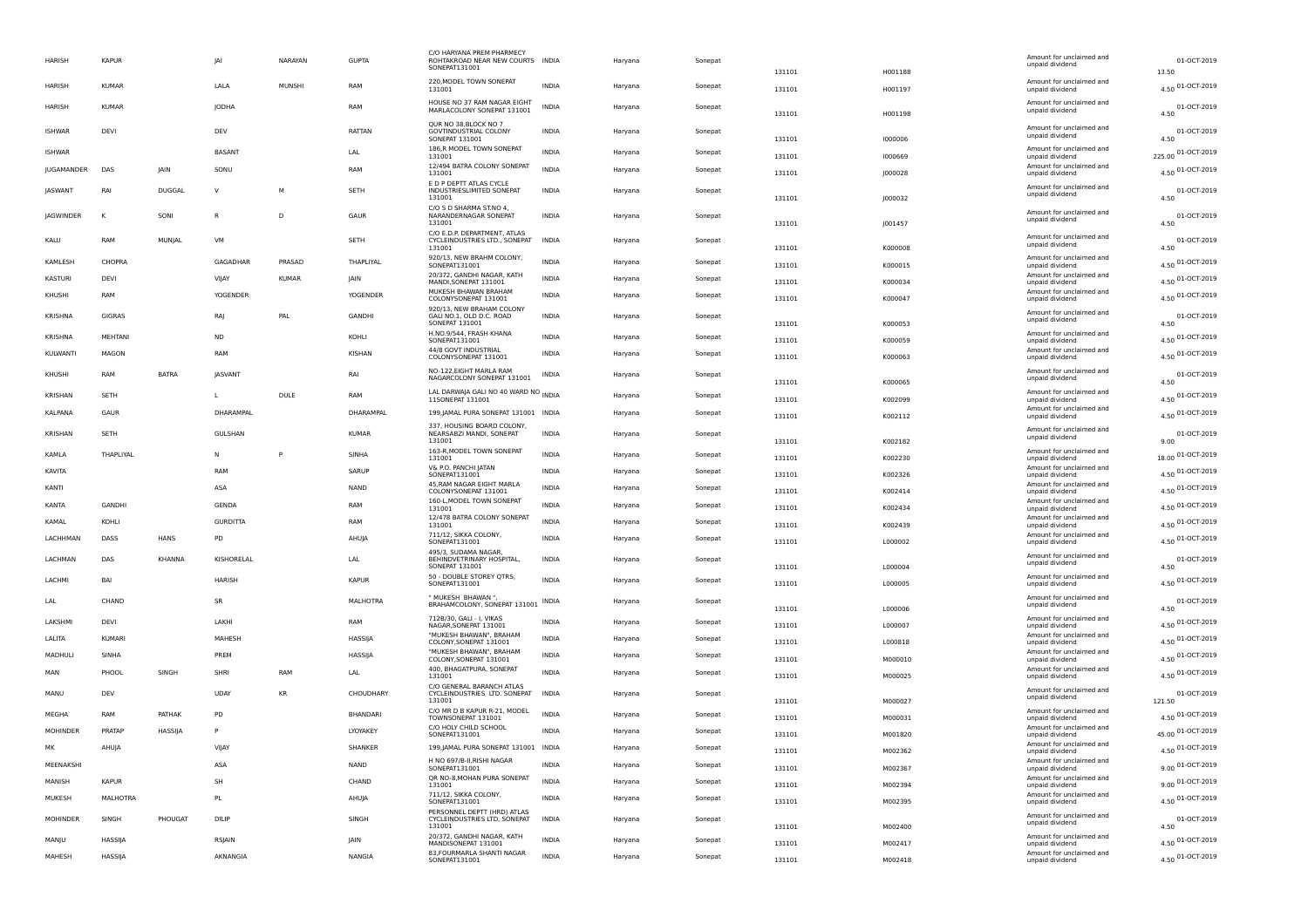| HARISH           | <b>KAPUR</b>   |               | <b>JAI</b>      | NARAYAN      | <b>GUPTA</b>    | C/O HARYANA PREM PHARMEC'<br>ROHTAKROAD NEAR NEW COURTS INDIA<br>SONEPAT131001 |              | Haryana | Sonepat | 131101 | H001188 | Amount for unclaimed and<br>unpaid dividend                    | 01-OCT-2019<br>13.50     |
|------------------|----------------|---------------|-----------------|--------------|-----------------|--------------------------------------------------------------------------------|--------------|---------|---------|--------|---------|----------------------------------------------------------------|--------------------------|
| HARISH           | <b>KUMAR</b>   |               | LALA            | MUNSHI       | RAM             | 220, MODEL TOWN SONEPAT<br>131001                                              | <b>INDIA</b> | Haryana | Sonepat | 131101 | H001197 | Amount for unclaimed and<br>unpaid dividend                    | 4.50 01-OCT-2019         |
| <b>HARISH</b>    | <b>KUMAF</b>   |               | <b>JODHA</b>    |              | RAM             | HOUSE NO 37 RAM NAGAR EIGHT<br>MARLACOLONY SONEPAT 131001                      | <b>INDIA</b> | Haryana | Sonepat | 131101 | H001198 | Amount for unclaimed and<br>unpaid dividend                    | 01-OCT-2019<br>4.50      |
| <b>ISHWAR</b>    | DEVI           |               | DEV             |              | RATTAN          | OUR NO 38.BLOCK NO 7<br><b>GOVTINDUSTRIAL COLONY</b><br><b>SONEPAT 131001</b>  | <b>INDIA</b> | Haryana | Sonepat | 131101 | 1000006 | Amount for unclaimed and<br>unpaid dividend                    | 01-OCT-2019<br>4.50      |
| <b>ISHWAR</b>    |                |               | <b>BASANT</b>   |              | LAL             | 186,R MODEL TOWN SONEPAT<br>131001                                             | <b>INDIA</b> | Haryana | Sonepat | 131101 | 1000669 | Amount for unclaimed and<br>unpaid dividend                    | 225.00 01-OCT-2019       |
| JUGAMANDER       | DAS            | IAIN          | SONU            |              | RAM             | 12/494 BATRA COLONY SONEPAT<br>131001                                          | <b>INDIA</b> | Haryana | Sonepat | 131101 | J000028 | Amount for unclaimed and<br>unpaid dividend                    | 4.50 01-OCT-2019         |
| <b>IASWANT</b>   | RAI            | <b>DUGGAL</b> | $\mathsf{v}$    | M            | <b>SFTH</b>     | E D P DEPTT ATLAS CYCLE<br>INDUSTRIESLIMITED SONEPAT<br>131001                 | <b>INDIA</b> | Haryana | Sonepat | 131101 | 1000032 | Amount for unclaimed and<br>unpaid dividend                    | 01-OCT-2019<br>4.50      |
| <b>IAGWINDER</b> | $\mathbf{k}$   | SONI          | $\mathsf{R}$    | D            | GAUR            | C/O S D SHARMA ST.NO 4,<br>NARANDERNAGAR SONEPAT<br>131001                     | <b>INDIA</b> | Haryana | Sonepat | 131101 | J001457 | Amount for unclaimed and<br>unpaid dividend                    | 01-OCT-2019<br>4.50      |
| KALU             | RAM            | MUNJAL        | VM              |              | SETH            | C/O E.D.P. DEPARTMENT, ATLAS<br>CYCLEINDUSTRIES LTD., SONEPAT<br>131001        | <b>INDIA</b> | Haryana | Sonepat | 131101 | K000008 | Amount for unclaimed and<br>unpaid dividend                    | 01-OCT-2019<br>4.50      |
| KAMLESH          | CHOPRA         |               | GAGADHAR        | PRASAD       | THAPLIYAL       | 920/13, NEW BRAHM COLONY,<br>SONEPAT131001                                     | <b>INDIA</b> | Haryana | Sonepat | 131101 | K000015 | Amount for unclaimed and<br>unpaid dividend                    | 4.50 01-OCT-2019         |
| KASTURI          | DEVI           |               | VIJAY           | <b>KUMAR</b> | IAIN            | 20/372. GANDHI NAGAR. KATH<br>MANDI.SONEPAT 131001                             | <b>INDIA</b> | Haryana | Sonepat | 131101 | K000034 | Amount for unclaimed and<br>unpaid dividend                    | 4.50 01-OCT-2019         |
| KHUSHI           | RAM            |               | <b>YOGENDER</b> |              | YOGENDER        | MUKESH BHAWAN BRAHAM<br>COLONYSONEPAT 131001                                   | <b>INDIA</b> | Haryana | Sonepat | 131101 | K000047 | Amount for unclaimed and<br>unpaid dividend                    | 4.50 01-OCT-2019         |
| <b>KRISHNA</b>   | <b>GIGRAS</b>  |               | RAJ             | PAL          | <b>GANDHI</b>   | 920/13, NEW BRAHAM COLONY<br>GALI NO.1, OLD D.C. ROAD<br><b>SONEPAT 131001</b> | <b>INDIA</b> | Haryana | Sonepat | 131101 | K000053 | Amount for unclaimed and<br>unpaid dividend                    | 01-OCT-2019<br>4.50      |
| KRISHNA          | <b>MEHTANI</b> |               | <b>ND</b>       |              | KOHI I          | H.NO.9/544, FRASH KHANA                                                        | <b>INDIA</b> | Haryana | Sonepat |        |         | Amount for unclaimed and                                       | 4.50 01-OCT-2019         |
| KULWANTI         | MAGON          |               | RAM             |              | <b>KISHAN</b>   | SONEPAT131001<br>44/8 GOVT INDUSTRIAL                                          | <b>INDIA</b> | Haryana | Sonepat | 131101 | K000059 | unpaid dividend<br>Amount for unclaimed and                    | 4.50 01-OCT-2019         |
|                  |                |               |                 |              |                 | COLONYSONEPAT 131001<br>NO-122, EIGHT MARLA RAM                                |              |         |         | 131101 | K000063 | unpaid dividend<br>Amount for unclaimed and                    |                          |
| KHUSHI           | RAM            | <b>BATRA</b>  | <b>IASVANT</b>  |              | RAI             | NAGARCOLONY SONEPAT 131001                                                     | <b>INDIA</b> | Haryana | Sonepat | 131101 | K000065 | unpaid dividend                                                | 01-OCT-2019<br>4.50      |
| KRISHAN          | SETH           |               | L               | <b>DULE</b>  | RAM             | LAL DARWAJA GALI NO 40 WARD NO INDIA<br>11SONEPAT 131001                       |              | Haryana | Sonepat | 131101 | K002099 | Amount for unclaimed and<br>unpaid dividend                    | 4.50 01-OCT-2019         |
| KALPANA          | GAUR           |               | DHARAMPAL       |              | DHARAMPAL       | 199, JAMAL PURA SONEPAT 131001 INDIA                                           |              | Haryana | Sonepat | 131101 | K002112 | Amount for unclaimed and<br>unpaid dividend                    | 4.50 01-OCT-2019         |
| KRISHAN          | <b>SETH</b>    |               | GULSHAN         |              | <b>KUMAR</b>    | 337, HOUSING BOARD COLONY,<br>NEARSABZI MANDI, SONEPAT<br>131001               | <b>INDIA</b> | Haryana | Sonepat | 131101 | K002182 | Amount for unclaimed and<br>unpaid dividend                    | 01-OCT-2019<br>9.00      |
| KAMLA            | THAPLIYAL      |               | N               | P            | SINHA           | 163-R, MODEL TOWN SONEPAT<br>131001                                            | <b>INDIA</b> | Haryana | Sonepat | 131101 | K002230 | Amount for unclaimed and<br>unpaid dividend                    | 18.00 01-OCT-2019        |
| KAVITA           |                |               | RAM             |              | SARUP           | V& P.O. PANCHI JATAN<br>SONEPAT131001                                          | <b>INDIA</b> | Haryana | Sonepat | 131101 | K002326 | Amount for unclaimed and<br>unpaid dividend                    | 4.50 01-OCT-2019         |
| KANTI            |                |               | ASA             |              | <b>NAND</b>     | 45, RAM NAGAR EIGHT MARLA<br>COLONYSONEPAT 131001                              | INDIA        | Haryana | Sonepat | 131101 | K002414 | Amount for unclaimed and<br>unpaid dividend                    | 4.50 01-OCT-2019         |
| KANTA            | GANDHI         |               | GENDA           |              | RAM             | 160-L, MODEL TOWN SONEPAT<br>131001                                            | INDIA        | Haryana | Sonepat | 131101 | K002434 | Amount for unclaimed and<br>unpaid dividend                    | 4.50 01-OCT-2019         |
| KAMAL            | KOHLI          |               | <b>GURDITTA</b> |              | RAM             | 12/478 BATRA COLONY SONEPAT<br>131001                                          | <b>INDIA</b> | Haryana | Sonepat | 131101 | K002439 | Amount for unclaimed and<br>unpaid dividend                    | 4.50 01-OCT-2019         |
| LACHHMAN         | DASS           | HANS          | PD              |              | AHUJA           | 711/12, SIKKA COLONY,<br>SONEPAT131001                                         | <b>INDIA</b> | Haryana | Sonepat | 131101 | L000002 | Amount for unclaimed and<br>unpaid dividend                    | 4.50 01-OCT-2019         |
| LACHMAN          | DAS            | <b>KHANNA</b> | KISHORELAL      |              | LAL             | 495/3. SUDAMA NAGAR<br>BEHINDVETRINARY HOSPITAL.                               | <b>INDIA</b> | Harvana | Sonepat |        |         | Amount for unclaimed and<br>unpaid dividend                    | 01-OCT-2019              |
| LACHMI           | BAI            |               | <b>HARISH</b>   |              | <b>KAPUR</b>    | SONEPAT 131001<br>50 - DOUBLE STOREY QTRS,<br>SONEPAT131001                    | <b>INDIA</b> | Haryana | Sonepat | 131101 | L000004 | Amount for unclaimed and                                       | 4.50<br>4.50 01-OCT-2019 |
|                  |                |               |                 |              |                 | " MUKESH BHAWAN "                                                              |              |         |         | 131101 | L000005 | unpaid dividend                                                |                          |
| LAL              | CHAND          |               | <b>SR</b>       |              | <b>MALHOTRA</b> | BRAHAMCOLONY, SONEPAT 131001 INDIA                                             |              | Haryana | Sonepat | 131101 | L000006 | Amount for unclaimed and<br>unpaid dividend                    | 01-OCT-2019<br>4.50      |
| <b>LAKSHM</b>    | DFVI           |               | <b>I AKHI</b>   |              | RAM             | 712B/30, GALI - I, VIKAS<br>NAGAR, SONEPAT 131001                              | <b>INDIA</b> | Haryana | Sonepat | 131101 | L000007 | Amount for unclaimed and<br>unpaid dividend                    | 4.50 01-OCT-2019         |
| LALITA           | KUMARI         |               | MAHESH          |              | HASSIJA         | "MUKESH BHAWAN", BRAHAM<br>COLONY, SONEPAT 131001                              | <b>INDIA</b> | Haryana | Sonepat | 131101 | L000818 | Amount for unclaimed and<br>unpaid dividend                    | 4.50 01-OCT-2019         |
| MADHULI          | SINHA          |               | PREM            |              | HASSIJA         | "MUKESH BHAWAN", BRAHAM<br>COLONY, SONEPAT 131001                              | <b>INDIA</b> | Haryana | Sonepat | 131101 | M000010 | Amount for unclaimed and<br>unpaid dividend                    | 4.50 01-OCT-2019         |
| MAN              | PHOOL          | SINGH         | SHRI            | RAM          | LAL             | 400, BHAGATPURA, SONEPAT<br>131001                                             | <b>INDIA</b> | Haryana | Sonepat | 131101 | M000025 | Amount for unclaimed and<br>unpaid dividend                    | 4.50 01-OCT-2019         |
| MANU             | DEV            |               | UDAY            | <b>KR</b>    | CHOUDHARY       | C/O GENERAL BARANCH ATLAS<br>CYCLEINDUSTRIES LTD. SONEPAT<br>131001            | <b>INDIA</b> | Haryana | Sonepat | 131101 | M000027 | Amount for unclaimed and<br>unpaid dividend                    | 01-OCT-2019<br>121.50    |
| MEGHA            | RAM            | PATHAK        | PD              |              | <b>BHANDARI</b> | C/O MR D B KAPUR R-21, MODEL<br>TOWNSONEPAT 131001                             | <b>INDIA</b> | Haryana | Sonepat | 131101 | M000031 | Amount for unclaimed and<br>unpaid dividend                    | 4.50 01-OCT-2019         |
| <b>MOHINDER</b>  | PRATAP         | HASSIJA       | P               |              | LYOYAKEY        | C/O HOLY CHILD SCHOOL<br>SONEPAT131001                                         | <b>INDIA</b> | Haryana | Sonepat | 131101 | M001820 | Amount for unclaimed and<br>unpaid dividend                    | 45.00 01-OCT-2019        |
| MK               | AHUJA          |               | VIJAY           |              | SHANKER         | 199, JAMAL PURA SONEPAT 131001 INDIA                                           |              | Haryana | Sonepat | 131101 | M002362 | Amount for unclaimed and<br>unpaid dividend                    | 4.50 01-OCT-2019         |
| MEENAKSH         |                |               | ASA             |              | <b>NAND</b>     | H NO 697/B-II, RISHI NAGAR<br>SONEPAT131001                                    | <b>INDIA</b> | Haryana | Sonepat | 131101 | M002367 | Amount for unclaimed and<br>unpaid dividend                    | 9.00 01-OCT-2019         |
| MANISH           | <b>KAPUR</b>   |               | SH              |              | CHAND           | QR NO-8, MOHAN PURA SONEPAT<br>131001                                          | <b>INDIA</b> | Haryana | Sonepat | 131101 | M002394 | Amount for unclaimed and                                       | 9.00 01-OCT-2019         |
| MUKESH           | MALHOTRA       |               | PL              |              | AHUJA           | 711/12, SIKKA COLONY,<br>SONEPAT131001                                         | <b>INDIA</b> | Haryana | Sonepat | 131101 | M002395 | unpaid dividend<br>Amount for unclaimed and<br>unpaid dividend | 4.50 01-OCT-2019         |
| <b>MOHINDER</b>  | SINGH          | PHOUGAT       | DILIP           |              | SINGH           | PERSONNEL DEPTT (HRD) ATLAS<br>CYCLEINDUSTRIES LTD, SONEPAT                    | INDIA        | Haryana | Sonepat |        |         | Amount for unclaimed and<br>unpaid dividend                    | 01-OCT-2019              |
|                  |                |               |                 |              |                 | 131001<br>20/372, GANDHI NAGAR, KATH                                           |              |         |         | 131101 | M002400 | Amount for unclaimed and                                       | 4.50                     |
| MANJU            | HASSIJA        |               | RSJAIN          |              | <b>IAIN</b>     | MANDISONEPAT 131001<br>83, FOURMARLA SHANTI NAGAR                              | <b>INDIA</b> | Haryana | Sonepat | 131101 | M002417 | unpaid dividend<br>Amount for unclaimed and                    | 4.50 01-OCT-2019         |
| MAHESH           | HASSIJA        |               | AKNANGIA        |              | <b>NANGIA</b>   | SONEPAT131001                                                                  | <b>INDIA</b> | Haryana | Sonepat | 131101 | M002418 | unpaid dividend                                                | 4.50 01-OCT-2019         |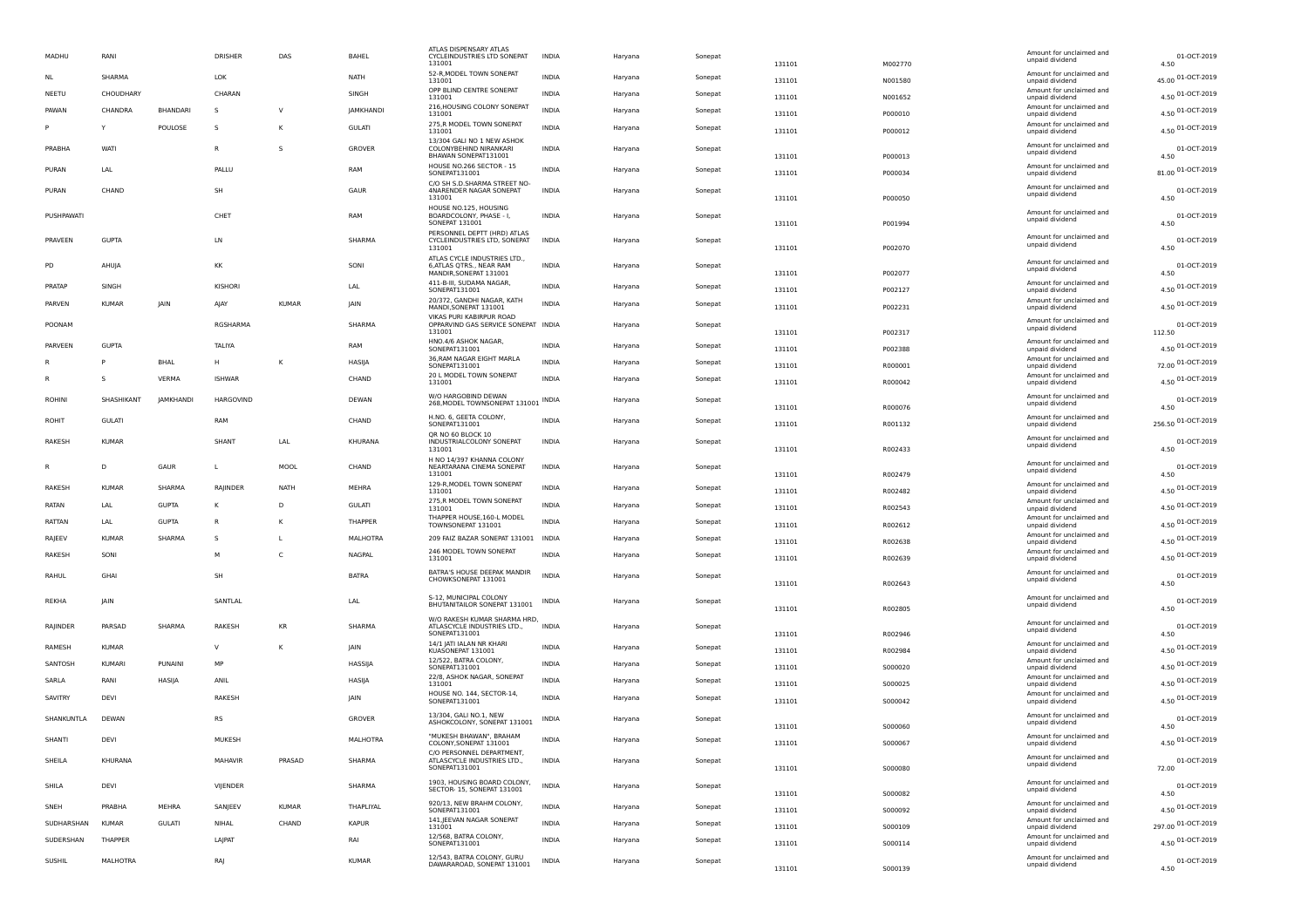| MADHU         | RANI          |                  | DRISHER       | DAS          | BAHEL            | ATLAS DISPENSARY ATLAS<br>CYCLEINDUSTRIES LTD SONEPAT<br>131001                    | INDIA        | Haryana | Sonepat | 131101 | M002770 | Amount for unclaimed and<br>unpaid dividend                    | 01-OCT-2019<br>4.50  |
|---------------|---------------|------------------|---------------|--------------|------------------|------------------------------------------------------------------------------------|--------------|---------|---------|--------|---------|----------------------------------------------------------------|----------------------|
| NL            | SHARMA        |                  | <b>LOK</b>    |              | NATH             | 52-R, MODEL TOWN SONEPAT<br>131001                                                 | <b>INDIA</b> | Haryana | Sonepat | 131101 | N001580 | Amount for unclaimed and<br>unpaid dividend                    | 45.00 01-OCT-2019    |
| NEETU         | CHOUDHARY     |                  | CHARAN        |              | SINGH            | OPP BLIND CENTRE SONEPAT<br>131001                                                 | <b>INDIA</b> | Haryana | Sonepat | 131101 | N001652 | Amount for unclaimed and<br>unpaid dividend                    | 4.50 01-OCT-2019     |
| PAWAN         | CHANDRA       | BHANDARI         | <sub>S</sub>  | V            | <b>JAMKHANDI</b> | 216, HOUSING COLONY SONEPAT<br>131001                                              | <b>INDIA</b> | Haryana | Sonepat | 131101 | P000010 | Amount for unclaimed and<br>unpaid dividend                    | 4.50 01-OCT-2019     |
|               | Υ             | POULOSE          | -S            | К            | <b>GULATI</b>    | 275,R MODEL TOWN SONEPAT<br>131001                                                 | INDIA        | Haryana | Sonepat | 131101 | P000012 | Amount for unclaimed and<br>unpaid dividend                    | 4.50 01-OCT-2019     |
| PRABHA        | WATI          |                  | $\mathsf{R}$  | <sub>S</sub> | GROVER           | 13/304 GALI NO 1 NEW ASHOK<br>COLONYBEHIND NIRANKARI<br>BHAWAN SONEPAT131001       | INDIA        | Haryana | Sonepat | 131101 | P000013 | Amount for unclaimed and<br>unpaid dividend                    | 01-OCT-2019<br>4.50  |
| PURAN         | LAL           |                  | PALLU         |              | RAM              | HOUSE NO.266 SECTOR - 15<br>SONEPAT131001                                          | INDIA        | Haryana | Sonepat | 131101 | P000034 | Amount for unclaimed and<br>unpaid dividend                    | 81.00 01-OCT-2019    |
| PURAN         | CHAND         |                  | SH            |              | GAUR             | C/O SH S.D.SHARMA STREET NO-<br>4NARENDER NAGAR SONEPAT                            | INDIA        | Haryana | Sonepat |        |         | Amount for unclaimed and                                       | 01-OCT-2019          |
|               |               |                  |               |              |                  | 131001<br>HOUSE NO.125, HOUSING                                                    |              |         |         | 131101 | P000050 | unpaid dividend                                                | 4.50                 |
| PUSHPAWAT     |               |                  | CHET          |              | <b>RAM</b>       | BOARDCOLONY, PHASE - I,<br>SONEPAT 131001                                          | <b>INDIA</b> | Haryana | Sonepat | 131101 | P001994 | Amount for unclaimed and<br>unpaid dividend                    | 01-OCT-2019<br>4.50  |
| PRAVEEN       | <b>GUPTA</b>  |                  | LN            |              | SHARMA           | PERSONNEL DEPTT (HRD) ATLAS<br>CYCLEINDUSTRIES LTD, SONEPAT<br>131001              | <b>INDIA</b> | Haryana | Sonepat | 131101 | P002070 | Amount for unclaimed and<br>unpaid dividend                    | 01-OCT-2019<br>4.50  |
| PD            | AHUJA         |                  | KK            |              | SONI             | ATLAS CYCLE INDUSTRIES LTD.,<br>6, ATLAS QTRS., NEAR RAM<br>MANDIR, SONEPAT 131001 | <b>INDIA</b> | Haryana | Sonepat | 131101 | P002077 | Amount for unclaimed and<br>unpaid dividend                    | 01-OCT-2019<br>4.50  |
| PRATAP        | SINGH         |                  | KISHORI       |              | LAL              | 411-B-III, SUDAMA NAGAR<br>SONEPAT131001                                           | <b>INDIA</b> | Haryana | Sonepat | 131101 | P002127 | Amount for unclaimed and<br>unpaid dividend                    | 4.50 01-OCT-2019     |
| PARVEN        | <b>KUMAR</b>  | <b>JAIN</b>      | AJAY          | <b>KUMAR</b> | <b>IAIN</b>      | 20/372, GANDHI NAGAR, KATH<br>MANDI,SONEPAT 131001                                 | INDIA        | Haryana | Sonepat | 131101 | P002231 | Amount for unclaimed and<br>unpaid dividend                    | 4.50 01-OCT-2019     |
| POONAM        |               |                  | RGSHARMA      |              | SHARMA           | VIKAS PURI KABIRPUR ROAD<br>OPPARVIND GAS SERVICE SONEPAT INDIA                    |              | Haryana | Sonepat |        |         | Amount for unclaimed and<br>unpaid dividend                    | 01-OCT-2019          |
|               | <b>GUPTA</b>  |                  |               |              |                  | 131001<br>HNO.4/6 ASHOK NAGAR,                                                     | <b>INDIA</b> |         |         | 131101 | P002317 | Amount for unclaimed and                                       | 112.50               |
| PARVEEN       |               |                  | TALIYA        |              | RAM              | SONEPAT131001<br>36, RAM NAGAR EIGHT MARLA                                         |              | Haryana | Sonepat | 131101 | P002388 | unpaid dividend<br>Amount for unclaimed and                    | 4.50 01-OCT-2019     |
|               |               | <b>BHAL</b>      | H             | К            | HASIJA           | SONEPAT131001<br>20 L MODEL TOWN SONEPAT                                           | INDIA        | Haryana | Sonepat | 131101 | R000001 | unpaid dividend<br>Amount for unclaimed and                    | 72.00 01-OCT-2019    |
| R             | s             | VERMA            | <b>ISHWAR</b> |              | CHAND            | 131001                                                                             | INDIA        | Haryana | Sonepat | 131101 | R000042 | unpaid dividend                                                | 4.50 01-OCT-2019     |
| <b>ROHINI</b> | SHASHIKANT    | <b>JAMKHANDI</b> | HARGOVIND     |              | DEWAN            | W/O HARGOBIND DEWAN<br>268, MODEL TOWNSONEPAT 131001 INDIA                         |              | Haryana | Sonepat | 131101 | R000076 | Amount for unclaimed and<br>unpaid dividend                    | 01-OCT-2019<br>4.50  |
| ROHIT         | <b>GULATI</b> |                  | RAM           |              | CHAND            | H.NO. 6, GEETA COLONY,<br>SONEPAT131001                                            | INDIA        | Haryana | Sonepat | 131101 | R001132 | Amount for unclaimed and<br>unpaid dividend                    | 256.50 01-OCT-2019   |
| RAKESH        | <b>KUMAR</b>  |                  | SHANT         | LAL          | KHURANA          | QR NO 60 BLOCK 10<br>INDUSTRIALCOLONY SONEPAT<br>131001                            | INDIA        | Haryana | Sonepat | 131101 | R002433 | Amount for unclaimed and<br>unpaid dividend                    | 01-OCT-2019<br>4.50  |
| R             | D             | GAUR             | $\mathbf{L}$  | MOOL         | CHAND            | H NO 14/397 KHANNA COLONY<br>NEARTARANA CINEMA SONEPAT                             | INDIA        | Haryana | Sonepat |        |         | Amount for unclaimed and                                       | 01-OCT-2019          |
|               |               |                  |               |              |                  | 131001<br>129-R, MODEL TOWN SONEPAT                                                |              |         |         | 131101 | R002479 | unpaid dividend<br>Amount for unclaimed and                    | 4.50                 |
| RAKESH        | <b>KUMAR</b>  | SHARMA           | RAJINDER      | <b>NATH</b>  | MEHRA            | 131001<br>275,R MODEL TOWN SONEPAT                                                 | INDIA        | Haryana | Sonepat | 131101 | R002482 | unpaid dividend<br>Amount for unclaimed and                    | 4.50 01-OCT-2019     |
| RATAN         | LAL           | <b>GUPTA</b>     | к             | D            | <b>GULATI</b>    | 131001<br>THAPPER HOUSE, 160-L MODEL                                               | INDIA        | Haryana | Sonepat | 131101 | R002543 | unpaid dividend<br>Amount for unclaimed and                    | 4.50 01-OCT-2019     |
| RATTAN        | LAL           | <b>GUPTA</b>     | R             | κ            | THAPPER          | TOWNSONEPAT 131001                                                                 | <b>INDIA</b> | Haryana | Sonepat | 131101 | R002612 | unpaid dividend                                                | 4.50 01-OCT-2019     |
| RAJEEV        | <b>KUMAR</b>  | SHARMA           |               |              | MALHOTRA         | 209 FAIZ BAZAR SONEPAT 131001                                                      | INDIA        | Haryana | Sonepat | 131101 | R002638 | Amount for unclaimed and<br>unpaid dividend                    | 4.50 01-OCT-2019     |
| RAKESH        | SONI          |                  | M             | C            | NAGPAL           | 246 MODEL TOWN SONEPAT<br>131001                                                   | <b>INDIA</b> | Haryana | Sonepat | 131101 | R002639 | Amount for unclaimed and<br>unpaid dividend                    | 4.50 01-OCT-2019     |
| RAHUL         | GHAI          |                  | SH            |              | <b>BATRA</b>     | BATRA'S HOUSE DEEPAK MANDIR<br>CHOWKSONEPAT 131001                                 | <b>INDIA</b> | Haryana | Sonepat | 131101 | R002643 | Amount for unclaimed and<br>unpaid dividend                    | 01-OCT-2019<br>4.50  |
| REKHA         | JAIN          |                  | SANTLAL       |              | LAL              | S-12, MUNICIPAL COLONY<br>BHUTANITAILOR SONEPAT 131001                             | INDIA        | Haryana | Sonepat |        |         | Amount for unclaimed and<br>unpaid dividend                    | 01-OCT-2019          |
|               |               |                  |               |              |                  | W/O RAKESH KUMAR SHARMA HRD,                                                       |              |         |         | 131101 | R002805 | Amount for unclaimed and                                       | 4.50                 |
| RAJINDER      | PARSAD        | SHARMA           | RAKESH        | KR           | SHARMA           | ATLASCYCLE INDUSTRIES LTD.,<br>SONEPAT131001                                       | <b>INDIA</b> | Haryana | Sonepat | 131101 | R002946 | unpaid dividend                                                | 01-OCT-2019<br>4.50  |
| RAMESH        | <b>KUMAR</b>  |                  | $\mathsf{v}$  | К            | <b>IAIN</b>      | 14/1 JATI IALAN NR KHARI<br>KUASONEPAT 131001                                      | <b>INDIA</b> | Haryana | Sonepat | 131101 | R002984 | Amount for unclaimed and<br>unpaid dividend                    | 4.50 01-OCT-2019     |
| SANTOSH       | <b>KUMARI</b> | PUNAINI          | MP            |              | HASSIJA          | 12/522, BATRA COLONY,<br>SONEPAT131001                                             | INDIA        | Haryana | Sonepat | 131101 | S000020 | Amount for unclaimed and<br>unpaid dividend                    | 4.50 01-OCT-2019     |
| SARLA         | RANI          | HASIJA           | ANIL          |              | HASIJA           | 22/8, ASHOK NAGAR, SONEPAT<br>131001                                               | <b>INDIA</b> | Haryana | Sonepat | 131101 | S000025 | Amount for unclaimed and<br>unpaid dividend                    | 4.50 01-OCT-2019     |
| SAVITRY       | DEVI          |                  | <b>RAKESH</b> |              | <b>IAIN</b>      | HOUSE NO. 144, SECTOR-14,<br>SONEPAT131001                                         | <b>INDIA</b> | Haryana | Sonepat | 131101 | S000042 | Amount for unclaimed and<br>unpaid dividend                    | 4.50 01-OCT-2019     |
| SHANKUNTLA    | DEWAN         |                  | <b>RS</b>     |              | GROVER           | 13/304, GALI NO.1, NEW<br>ASHOKCOLONY, SONEPAT 131001                              | INDIA        | Haryana | Sonepat | 131101 | S000060 | Amount for unclaimed and<br>unpaid dividend                    | 01-OCT-2019<br>4.50  |
| SHANTI        | DEVI          |                  | MUKESH        |              | MALHOTRA         | "MUKESH BHAWAN", BRAHAM<br>COLONY, SONEPAT 131001                                  | INDIA        | Haryana | Sonepat | 131101 | S000067 | Amount for unclaimed and<br>unpaid dividen                     | 01-OCT-2019<br>4.50  |
| SHEILA        | KHURANA       |                  | MAHAVIR       | PRASAD       | SHARMA           | C/O PERSONNEL DEPARTMENT,<br>ATLASCYCLE INDUSTRIES LTD.,<br>SONEPAT131001          | <b>INDIA</b> | Haryana | Sonepat | 131101 | S000080 | Amount for unclaimed and<br>unpaid dividend                    | 01-OCT-2019<br>72.00 |
| SHILA         | DEVI          |                  | VIJENDER      |              | SHARMA           | 1903, HOUSING BOARD COLONY,<br>SECTOR- 15, SONEPAT 131001                          | <b>INDIA</b> | Haryana | Sonepat | 131101 | S000082 | Amount for unclaimed and<br>unpaid dividend                    | 01-OCT-2019<br>4.50  |
| SNEH          | PRABHA        | MEHRA            | SANJEEV       | KUMAR        | THAPLIYAL        | 920/13, NEW BRAHM COLONY,<br>SONEPAT131001                                         | <b>INDIA</b> | Haryana | Sonepat | 131101 | 5000092 | Amount for unclaimed and<br>unpaid dividend                    | 4.50 01-OCT-2019     |
| SUDHARSHAN    | <b>KUMAR</b>  | <b>GULATI</b>    | NIHAL         | CHAND        | KAPUR            | 141, JEEVAN NAGAR SONEPAT<br>131001                                                | INDIA        | Haryana | Sonepat | 131101 | S000109 | Amount for unclaimed and                                       | 297.00 01-OCT-2019   |
| SUDERSHAN     | THAPPER       |                  | LAJPAT        |              | RAI              | 12/568, BATRA COLONY,<br>SONEPAT131001                                             | <b>INDIA</b> | Haryana | Sonepat | 131101 | 5000114 | unpaid dividend<br>Amount for unclaimed and<br>unpaid dividend | 4.50 01-OCT-2019     |
|               |               |                  |               |              |                  | 12/543, BATRA COLONY, GURU                                                         |              |         |         |        |         | Amount for unclaimed and                                       |                      |
| SUSHIL        | MALHOTRA      |                  | RAJ           |              | <b>KUMAR</b>     | DAWARAROAD, SONEPAT 131001                                                         | <b>INDIA</b> | Haryana | Sonepat | 131101 | S000139 | unpaid dividend                                                | 01-OCT-2019<br>4.50  |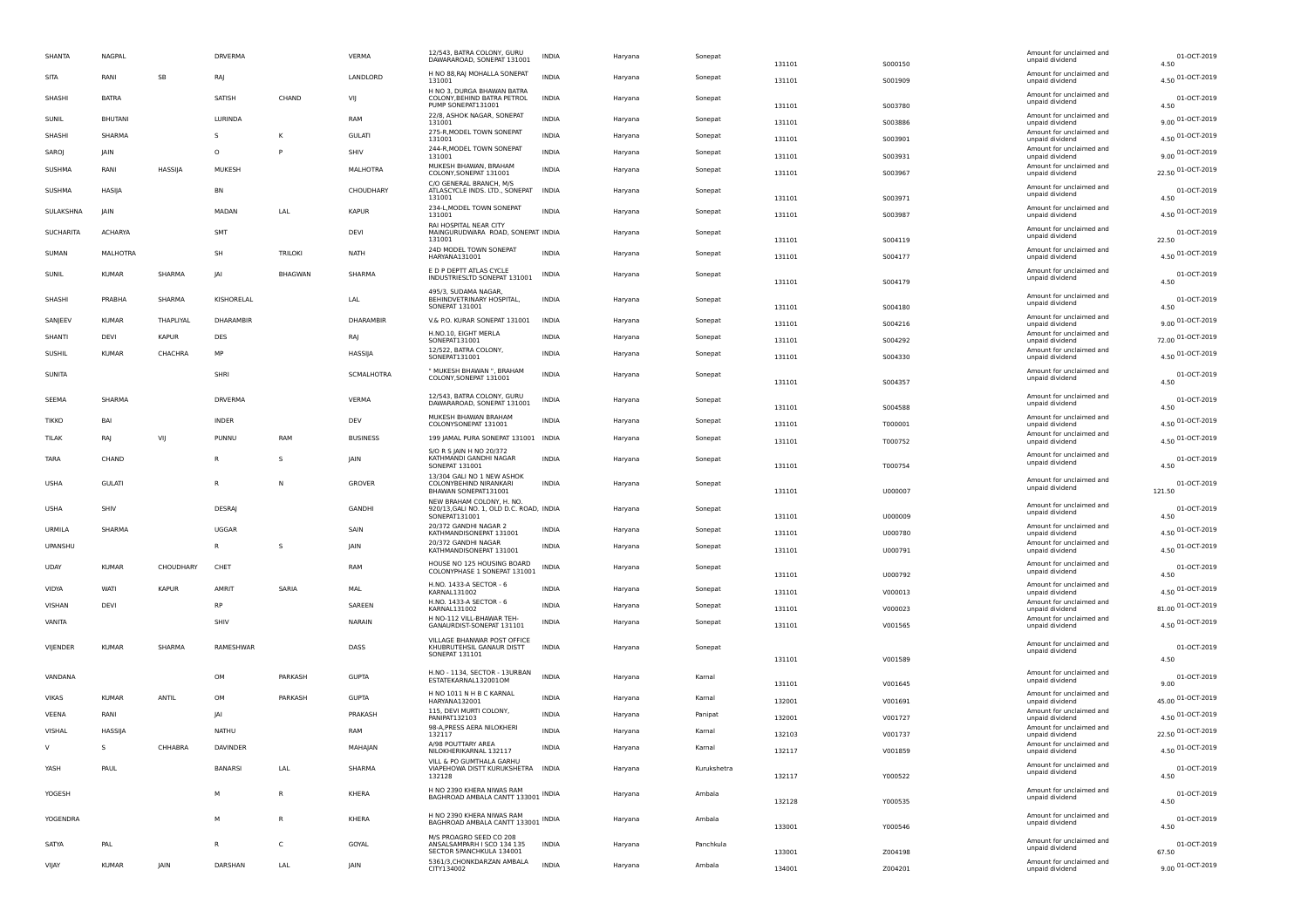| SHANTA       | NAGPAL        |              | DRVERMA       |                | VERMA           | 12/543, BATRA COLONY, GURU<br>DAWARAROAD, SONEPAT 131001                               | INDIA        | Haryana | Sonepat     | 131101 | S000150 | Amount for unclaimed and<br>unpaid dividend | 01-OCT-2019<br>4.50       |
|--------------|---------------|--------------|---------------|----------------|-----------------|----------------------------------------------------------------------------------------|--------------|---------|-------------|--------|---------|---------------------------------------------|---------------------------|
| SITA         | RANI          | SB           | RAJ           |                | LANDLORD        | H NO 88, RAJ MOHALLA SONEPAT<br>131001                                                 | <b>INDIA</b> | Haryana | Sonepat     | 131101 | S001909 | Amount for unclaimed and<br>unpaid dividend | 4.50 01-OCT-2019          |
| SHASHI       | <b>BATRA</b>  |              | SATISH        | CHAND          | VIJ             | H NO 3, DURGA BHAWAN BATRA<br>COLONY, BEHIND BATRA PETROL<br>PUMP SONEPAT131001        | <b>INDIA</b> | Haryana | Sonepat     | 131101 | S003780 | Amount for unclaimed and<br>unpaid dividend | 01-OCT-2019<br>4.50       |
| SUNIL        | <b>BHUTAN</b> |              | LURINDA       |                | RAM             | 22/8, ASHOK NAGAR, SONEPAT<br>131001                                                   | <b>INDIA</b> | Haryana | Sonepat     | 131101 | S003886 | Amount for unclaimed and<br>unpaid dividend | 9.00 01-OCT-2019          |
| SHASHI       | SHARMA        |              | S             | К              | <b>GULATI</b>   | 275-R, MODEL TOWN SONEPAT<br>131001                                                    | <b>INDIA</b> | Haryana | Sonepat     | 131101 | S003901 | Amount for unclaimed and<br>unpaid dividend | 4.50 01-OCT-2019          |
| SAROJ        | <b>IAIN</b>   |              | $\circ$       | P              | SHIV            | 244-R, MODEL TOWN SONEPAT<br>131001                                                    | <b>INDIA</b> | Haryana | Sonepat     | 131101 | 5003931 | Amount for unclaimed and<br>unpaid dividend | 9.00 01-OCT-2019          |
| SUSHMA       | RANI          | HASSIJA      | MUKESH        |                | MALHOTRA        | MUKESH BHAWAN, BRAHAM<br>COLONY, SONEPAT 131001                                        | <b>INDIA</b> | Haryana | Sonepat     | 131101 | S003967 | Amount for unclaimed and<br>unpaid dividend | 22.50 01-OCT-2019         |
| SUSHMA       | HASIJA        |              | BN            |                | CHOUDHARY       | C/O GENERAL BRANCH, M/S<br>ATLASCYCLE INDS. LTD., SONEPAT                              | <b>INDIA</b> | Haryana | Sonepat     |        |         | Amount for unclaimed and                    | 01-OCT-2019               |
|              | <b>JAIN</b>   |              | <b>MADAN</b>  |                | <b>KAPUR</b>    | 131001<br>234-L, MODEL TOWN SONEPAT                                                    | <b>INDIA</b> |         |             | 131101 | S003971 | unpaid dividend<br>Amount for unclaimed and | 4.50                      |
| SULAKSHNA    |               |              |               | LAL            |                 | 131001<br>RAI HOSPITAL NEAR CITY                                                       |              | Haryana | Sonepat     | 131101 | S003987 | unpaid dividend                             | 4.50 01-OCT-2019          |
| SUCHARITA    | ACHARYA       |              | SMT           |                | <b>DEVI</b>     | MAINGURUDWARA ROAD, SONEPAT INDIA<br>131001                                            |              | Haryana | Sonepat     | 131101 | S004119 | Amount for unclaimed and<br>unpaid dividend | 01-OCT-2019<br>22.50      |
| SUMAN        | MALHOTRA      |              | SH            | <b>TRILOKI</b> | <b>NATH</b>     | 24D MODEL TOWN SONEPAT<br>HARYANA131001                                                | <b>INDIA</b> | Haryana | Sonepat     | 131101 | S004177 | Amount for unclaimed and<br>unpaid dividend | 4.50 01-OCT-2019          |
| SUNIL        | <b>KUMAF</b>  | SHARMA       | JAI           | <b>BHAGWAN</b> | SHARMA          | E D P DEPTT ATLAS CYCLE<br>INDUSTRIESLTD SONEPAT 131001                                | INDIA        | Haryana | Sonepat     | 131101 | S004179 | Amount for unclaimed and<br>unpaid dividend | 01-OCT-2019<br>4.50       |
| SHASHI       | PRABHA        | SHARMA       | KISHORELAL    |                | LAL             | 495/3, SUDAMA NAGAR,<br>BEHINDVETRINARY HOSPITAL,                                      | <b>INDIA</b> | Haryana | Sonepat     |        |         | Amount for unclaimed and                    | 01-OCT-2019               |
|              |               |              |               |                |                 | <b>SONEPAT 131001</b>                                                                  |              |         |             | 131101 | S004180 | unpaid dividend<br>Amount for unclaimed and | 4.50                      |
| SANJEEV      | <b>KUMAR</b>  | THAPLIYAL    | DHARAMBIR     |                | DHARAMBIR       | V.& P.O. KURAR SONEPAT 131001<br>H.NO.10, EIGHT MERLA                                  | INDIA        | Haryana | Sonepat     | 131101 | S004216 | unpaid dividend<br>Amount for unclaimed and | 9.00 01-OCT-2019          |
| SHANTI       | DEVI          | <b>KAPUR</b> | DES           |                | <b>RAJ</b>      | SONEPAT131001<br>12/522, BATRA COLONY,                                                 | <b>INDIA</b> | Haryana | Sonepat     | 131101 | S004292 | unpaid dividend<br>Amount for unclaimed and | 72.00 01-OCT-2019         |
| SUSHIL       | <b>KUMAF</b>  | CHACHRA      | MP            |                | HASSIJA         | SONEPAT131001                                                                          | INDIA        | Haryana | Sonepat     | 131101 | S004330 | unpaid dividend                             | 4.50 01-OCT-2019          |
| SUNITA       |               |              | SHRI          |                | SCMALHOTRA      | " MUKESH BHAWAN ", BRAHAM<br>COLONY, SONEPAT 131001                                    | <b>INDIA</b> | Haryana | Sonepat     | 131101 | S004357 | Amount for unclaimed and<br>unpaid dividend | 01-OCT-2019<br>4.50       |
| SEEMA        | SHARMA        |              | DRVERMA       |                | VERMA           | 12/543, BATRA COLONY, GURU<br>DAWARAROAD, SONEPAT 131001                               | INDIA        | Haryana | Sonepat     |        |         | Amount for unclaimed and<br>unpaid dividend | 01-OCT-2019               |
| <b>TIKKO</b> | BA            |              | <b>INDER</b>  |                | DEV             | MUKESH BHAWAN BRAHAM<br>COLONYSONEPAT 131001                                           | <b>INDIA</b> | Haryana | Sonepat     | 131101 | S004588 | Amount for unclaimed and                    | 4.50<br>4.50 01-OCT-2019  |
| TILAK        | RAJ           | VIJ          | PUNNU         | RAM            | <b>BUSINESS</b> | 199 JAMAL PURA SONEPAT 131001 INDIA                                                    |              | Haryana | Sonepat     | 131101 | T000001 | unpaid dividend<br>Amount for unclaimed and | 4.50 01-OCT-2019          |
|              |               |              |               |                |                 | S/O R S JAIN H NO 20/372                                                               |              |         |             | 131101 | T000752 | unpaid dividend<br>Amount for unclaimed and |                           |
| TARA         | CHAND         |              | R             | s              | JAIN            | KATHMANDI GANDHI NAGAR<br>SONEPAT 131001<br>13/304 GALI NO 1 NEW ASHOK                 | INDIA        | Haryana | Sonepat     | 131101 | T000754 | unpaid dividend                             | 01-OCT-2019<br>4.50       |
| USHA         | <b>GULATI</b> |              | R             | N              | GROVER          | COLONYBEHIND NIRANKARI<br>BHAWAN SONEPAT131001                                         | INDIA        | Haryana | Sonepat     | 131101 | U000007 | Amount for unclaimed and<br>unpaid dividend | 01-OCT-2019<br>121.50     |
| USHA         | SHIV          |              | <b>DESRAI</b> |                | GANDHI          | NEW BRAHAM COLONY, H. NO.<br>920/13, GALI NO. 1, OLD D.C. ROAD, INDIA<br>SONEPAT131001 |              | Haryana | Sonepat     | 131101 | U000009 | Amount for unclaimed and<br>unpaid dividend | 01-OCT-2019<br>4.50       |
| URMILA       | SHARMA        |              | <b>UGGAR</b>  |                | SAIN            | 20/372 GANDHI NAGAR 2<br>KATHMANDISONEPAT 131001                                       | <b>INDIA</b> | Haryana | Sonepat     | 131101 | U000780 | Amount for unclaimed and<br>unpaid dividend | 4.50 01-OCT-2019          |
| UPANSHU      |               |              | R             | s              | <b>JAIN</b>     | 20/372 GANDHI NAGAR<br>KATHMANDISONEPAT 131001                                         | <b>INDIA</b> | Haryana | Sonepat     | 131101 | U000791 | Amount for unclaimed and<br>unpaid dividend | 4.50 01-OCT-2019          |
| <b>UDAY</b>  | <b>KUMAF</b>  | CHOUDHARY    | CHET          |                | RAM             | HOUSE NO 125 HOUSING BOARD<br>COLONYPHASE 1 SONEPAT 131001                             | INDIA        | Haryana | Sonepat     |        |         | Amount for unclaimed and                    | 01-OCT-2019               |
| VIDYA        | WATI          | KAPUR        | AMRIT         | SARIA          |                 | H.NO. 1433-A SECTOR - 6                                                                | <b>INDIA</b> |         |             | 131101 | U000792 | unpaid dividend<br>Amount for unclaimed and | 4.50                      |
|              |               |              | <b>RP</b>     |                | MAL             | KARNAL131002<br>H.NO. 1433-A SECTOR - 6                                                |              | Haryana | Sonepat     | 131101 | V000013 | unpaid dividend<br>Amount for unclaimed and | 4.50 01-OCT-2019          |
| VISHAN       | DEV           |              |               |                | SAREEN          | KARNAL131002                                                                           | INDIA        | Haryana | Sonepat     | 131101 | V000023 | unpaid dividend<br>Amount for unclaimed and | 81.00 01-OCT-2019         |
| VANITA       |               |              | SHIV          |                | NARAIN          | H NO-112 VILL-BHAWAR TEH-<br>GANAURDIST-SONEPAT 131101                                 | <b>INDIA</b> | Haryana | Sonepat     | 131101 | V001565 | unpaid dividend                             | 4.50 01-OCT-2019          |
| VIJENDER     | <b>KUMAR</b>  | SHARMA       | RAMESHWAR     |                | DASS            | VILLAGE BHANWAR POST OFFICE<br>KHUBRUTEHSIL GANAUR DISTT<br>SONEPAT 131101             | INDIA        | Haryana | Sonepat     |        |         | Amount for unclaimed and<br>unpaid dividend | 01-OCT-2019               |
|              |               |              |               |                |                 |                                                                                        |              |         |             | 131101 | V001589 |                                             | 4.50                      |
| VANDANA      |               |              | OM            | PARKASH        | <b>GUPTA</b>    | H.NO - 1134, SECTOR - 13URBAN<br>ESTATEKARNAL132001OM                                  | <b>INDIA</b> | Haryana | Kamal       | 131101 | V001645 | Amount for unclaimed and<br>unpaid dividend | 01-OCT-2019<br>9.00       |
| <b>VIKAS</b> | <b>KUMAF</b>  | ANTIL        | OM            | PARKASH        | <b>GUPTA</b>    | H NO 1011 N H B C KARNAL<br>HARYANA132001                                              | <b>INDIA</b> | Haryana | Kamal       | 132001 | V001691 | Amount for unclaimed and<br>unpaid dividend | 45.00 01-OCT-2019         |
| VEENA        | RANI          |              | IAI           |                | PRAKASH         | 115, DEVI MURTI COLONY,<br><b>PANIPAT132103</b>                                        | <b>INDIA</b> | Haryana | Panipat     | 132001 | V001727 | Amount for unclaimed and<br>unpaid dividend | 4.50 01-OCT-2019          |
| VISHAL       | HASSIJA       |              | NATHU         |                | RAM             | 98-A, PRESS AERA NILOKHERI<br>132117                                                   | INDIA        | Haryana | Kamal       | 132103 | V001737 | Amount for unclaimed and<br>unpaid dividend | 22.50 01-OCT-2019         |
|              |               | CHHABRA      | DAVINDER      |                | MAHAJAN         | A/98 POLITTARY ARE<br>NILOKHERIKARNAL 132117                                           | INDIA        | Haryana | Kamal       | 132117 | V001859 | Amount for unclai<br>unpaid dividend        | 4.50 01-OCT-2019          |
| YASH         | PAUL          |              | BANARSI       | LAL            | SHARMA          | VILL & PO GUMTHALA GARHU<br>VIAPEHOWA DISTT KURUKSHETRA INDIA<br>132128                |              | Haryana | Kurukshetra |        |         | Amount for unclaimed and<br>unpaid dividend | 01-OCT-2019               |
|              |               |              |               |                |                 | H NO 2390 KHERA NIWAS RAM                                                              |              |         |             | 132117 | Y000522 | Amount for unclaimed and                    | 4.50                      |
| YOGESH       |               |              | м             | R              | KHERA           | BAGHROAD AMBALA CANTT 133001 INDIA                                                     |              | Haryana | Ambala      | 132128 | Y000535 | unpaid dividend                             | 01-OCT-2019<br>4.50       |
| YOGENDRA     |               |              | M             | $\mathsf{R}$   | KHERA           | H NO 2390 KHERA NIWAS RAM<br>BAGHROAD AMBALA CANTT 133001 INDIA                        |              | Haryana | Ambala      | 133001 | Y000546 | Amount for unclaimed and<br>unpaid dividend | 01-OCT-2019<br>4.50       |
| SATYA        | PAL           |              | $\mathsf{R}$  | C              | GOYAL           | M/S PROAGRO SEED CO 208<br>ANSALSAMPARH I SCO 134 135                                  | <b>INDIA</b> | Haryana | Panchkula   |        |         | Amount for unclaimed and                    | 01-OCT-2019               |
| VIIAY        | <b>KUMAR</b>  | JAIN         | DARSHAN       | LAL            | JAIN            | SECTOR 5PANCHKULA 134001<br>5361/3, CHONKDARZAN AMBALA                                 | <b>INDIA</b> | Haryana | Ambala      | 133001 | Z004198 | unpaid dividend<br>Amount for unclaimed and | 67.50<br>9.00 01-OCT-2019 |
|              |               |              |               |                |                 | CITY134002                                                                             |              |         |             | 134001 | Z004201 | unpaid dividend                             |                           |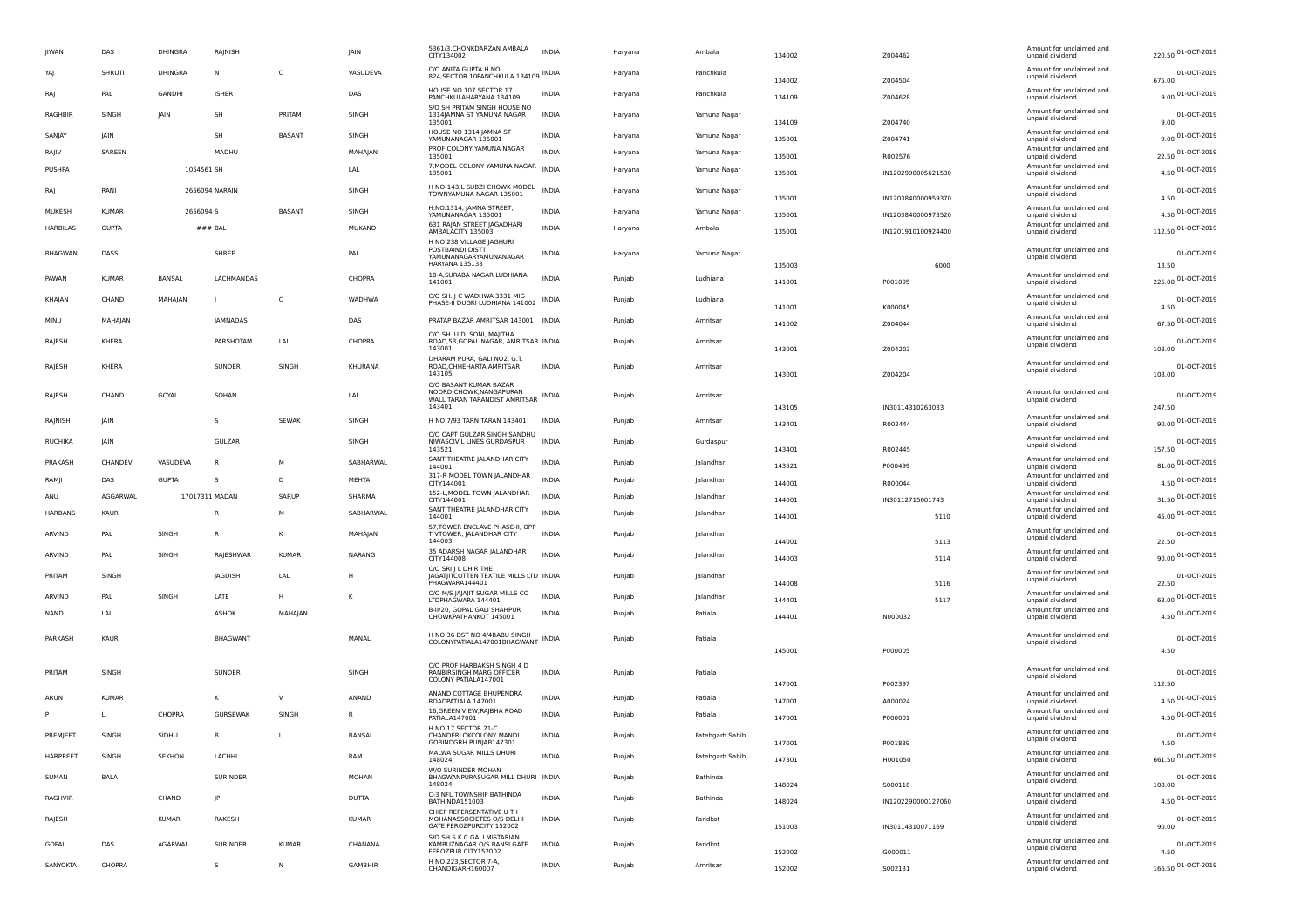| <b>JIWAN</b>    | DAS          | DHINGRA        | RAJNISH         |               | <b>IAIN</b>    | 5361/3, CHONKDARZAN AMBALA<br>CITY134002                                                          | <b>INDIA</b> | Haryana | Ambala          | 134002 | Z004462            | Amount for unclaimed and<br>unpaid dividend | 220.50 01-OCT-2019    |
|-----------------|--------------|----------------|-----------------|---------------|----------------|---------------------------------------------------------------------------------------------------|--------------|---------|-----------------|--------|--------------------|---------------------------------------------|-----------------------|
| YAI             | SHRUTI       | DHINGRA        | Ν               | C             | VASUDEVA       | C/O ANITA GUPTA H NO<br>824, SECTOR 10PANCHKULA 134109 INDIA                                      |              | Haryana | Panchkula       | 134002 | Z004504            | Amount for unclaimed and<br>unpaid dividend | 01-OCT-2019<br>675.00 |
| RA              | PAL          | <b>GANDHI</b>  | <b>ISHEF</b>    |               | DAS            | HOUSE NO 107 SECTOR 17<br>PANCHKULAHARYANA 134109                                                 | INDIA        | Haryana | Panchkula       | 134109 | Z004628            | Amount for unclaimed and<br>unpaid dividend | 9.00 01-OCT-2019      |
| RAGHBIR         | SINGH        | <b>JAIN</b>    | <b>SH</b>       | PRITAM        | SINGH          | S/O SH PRITAM SINGH HOUSE NO<br>1314JAMNA ST YAMUNA NAGAR<br>135001                               | <b>INDIA</b> | Haryana | Yamuna Nagar    | 134109 | Z004740            | Amount for unclaimed and<br>unpaid dividend | 01-OCT-2019<br>9.00   |
| SANJAY          | <b>JAIN</b>  |                | SH              | <b>BASANT</b> | SINGH          | HOUSE NO 1314 JAMNA ST<br>YAMUNANAGAR 135001                                                      | <b>INDIA</b> | Haryana | Yamuna Nagar    | 135001 | Z004741            | Amount for unclaimed and<br>unpaid dividend | 9.00 01-OCT-2019      |
| RAJIV           | SAREEN       |                | MADHU           |               | MAHAIAN        | PROF COLONY YAMUNA NAGAR<br>135001                                                                | <b>INDIA</b> | Haryana | Yamuna Nagar    | 135001 | R002576            | Amount for unclaimed and<br>unpaid dividend | 22.50 01-OCT-2019     |
| PUSHPA          |              | 1054561 SH     |                 |               | LAL            | 7, MODEL COLONY YAMUNA NAGAR INDIA<br>135001                                                      |              | Haryana | Yamuna Nagar    | 135001 | IN1202990005621530 | Amount for unclaimed and<br>unpaid dividend | 4.50 01-OCT-2019      |
| RA              | RANI         |                | 2656094 NARAIN  |               | SINGH          | H NO-143,L SUBZI CHOWK MODEL<br>TOWNYAMUNA NAGAR 135001                                           | <b>INDIA</b> | Haryana | Yamuna Nagar    | 135001 | IN1203840000959370 | Amount for unclaimed and<br>unpaid dividend | 01-OCT-2019<br>4.50   |
| MUKESH          | <b>KUMAR</b> | 2656094 S      |                 | BASANT        | SINGH          | H.NO.1314. IAMNA STREET.<br>YAMUNANAGAR 135001                                                    | INDIA        | Haryana | Yamuna Nagar    | 135001 | IN1203840000973520 | Amount for unclaimed and<br>unpaid dividend | 4.50 01-OCT-2019      |
| <b>HARBILAS</b> | <b>GUPTA</b> |                | $###$ BAL       |               | MUKAND         | 631 RAJAN STREET JAGADHARI<br>AMBALACITY 135003                                                   | <b>INDIA</b> | Haryana | Ambala          | 135001 | IN1201910100924400 | Amount for unclaimed and<br>unpaid dividend | 112.50 01-OCT-2019    |
| <b>BHAGWAN</b>  | DASS         |                | SHREE           |               | PA             | H NO 238 VILLAGE JAGHURI<br>POSTBAINDI DISTT<br>YAMUNANAGARYAMUNANAGAR<br>HARYANA 135133          | INDIA        | Haryana | Yamuna Nagar    | 135003 | 6000               | Amount for unclaimed and<br>unpaid dividend | 01-OCT-2019<br>13.50  |
| PAWAN           | <b>KUMAR</b> | BANSAL         | LACHMANDAS      |               | CHOPRA         | 18-A, SURABA NAGAR LUDHIANA<br>141001                                                             | <b>INDIA</b> | Punjab  | Ludhiana        | 141001 | P001095            | Amount for unclaimed and<br>unpaid dividend | 225.00 01-OCT-2019    |
| KHAJAN          | CHAND        | MAHAJAN        |                 | C             | WADHWA         | C/O SH. J C WADHWA 3331 MIG<br>PHASE-II DUGRI LUDHIANA 141002                                     | INDIA        | Punjab  | Ludhiana        | 141001 | K000045            | Amount for unclaimed and<br>unpaid dividend | 01-OCT-2019<br>4.50   |
| MINU            | MAHAJAN      |                | JAMNADAS        |               | DAS            | PRATAP BAZAR AMRITSAR 143001 INDIA                                                                |              | Punjab  | Amritsar        | 141002 | Z004044            | Amount for unclaimed and<br>unpaid dividend | 67.50 01-OCT-2019     |
| RAJESH          | KHERA        |                | PARSHOTAM       | LAL           | CHOPRA         | C/O SH. U.D. SONI, MAJITHA<br>ROAD, 53, GOPAL NAGAR, AMRITSAR INDIA<br>143001                     |              | Punjab  | Amritsar        | 143001 | Z004203            | Amount for unclaimed and<br>unpaid dividend | 01-OCT-2019<br>108.00 |
| RAJESH          | KHERA        |                | SUNDER          | SINGH         | KHURANA        | DHARAM PURA, GALI NO2, G.T.<br>ROAD, CHHEHARTA AMRITSAR<br>143105                                 | <b>INDIA</b> | Punjab  | Amritsar        | 143001 | Z004204            | Amount for unclaimed and<br>unpaid dividend | 01-OCT-2019<br>108.00 |
| RAJESH          | CHAND        | GOYAL          | SOHAN           |               | LAL            | C/O BASANT KUMAR BAZAR<br>NOORDICHOWK.NANGAPURAN<br>WALL TARAN TARANDIST AMRITSAR INDIA<br>143401 |              | Punjab  | Amritsar        | 143105 | IN30114310263033   | Amount for unclaimed and<br>unpaid dividend | 01-OCT-2019<br>247.50 |
| RAJNISH         | <b>JAIN</b>  |                | s               | <b>SEWAK</b>  | SINGH          | H NO 7/93 TARN TARAN 143401                                                                       | INDIA        | Punjab  | Amritsar        | 143401 | R002444            | Amount for unclaimed and<br>unpaid dividend | 90.00 01-OCT-2019     |
| RUCHIKA         | <b>JAIN</b>  |                | GULZAR          |               | SINGH          | C/O CAPT GULZAR SINGH SANDHU<br>NIWASCIVIL LINES GURDASPUR<br>143521                              | INDIA        | Punjab  | Gurdaspur       | 143401 | R002445            | Amount for unclaimed and<br>unpaid dividend | 01-OCT-2019<br>157.50 |
| PRAKASH         | CHANDEV      | VASUDEVA       | R               | м             | SABHARWAL      | SANT THEATRE JALANDHAR CITY<br>144001                                                             | <b>INDIA</b> | Punjab  | Jalandhar       | 143521 | P000499            | Amount for unclaimed and<br>unpaid dividend | 81.00 01-OCT-2019     |
| RAMJI           | DAS          | <b>GUPTA</b>   | s               | D             | MEHTA          | 317-R MODEL TOWN JALANDHAR<br>CITY144001                                                          | <b>INDIA</b> | Punjab  | Jalandhar       | 144001 | R000044            | Amount for unclaimed and<br>unpaid dividend | 4.50 01-OCT-2019      |
| ANU             | AGGARWAL     |                | 17017311 MADAN  | SARUP         | SHARMA         | 152-L, MODEL TOWN JALANDHAR<br>CITY144001                                                         | <b>INDIA</b> | Punjab  | lalandhar       | 144001 | IN30112715601743   | Amount for unclaimed and<br>unpaid dividend | 31.50 01-OCT-2019     |
| <b>HARBANS</b>  | KAUP         |                | R               | M             | SABHARWAL      | SANT THEATRE JALANDHAR CITY<br>144001                                                             | <b>INDIA</b> | Punjab  | Jalandhai       | 144001 | 5110               | Amount for unclaimed and<br>unpaid dividend | 45.00 01-OCT-2019     |
| ARVIND          | PAI          | SINGH          | R               | к             | MAHAIAN        | 57, TOWER ENCLAVE PHASE-II, OPP<br>T VTOWER, JALANDHAR CITY<br>144003                             | <b>INDIA</b> | Punjab  | Jalandhai       | 144001 | 5113               | Amount for unclaimed and<br>unpaid dividend | 01-OCT-2019<br>22.50  |
| ARVIND          | PAL          | SINGH          | RAJESHWAR       | <b>KUMAR</b>  | <b>NARANG</b>  | 35 ADARSH NAGAR JALANDHAR<br>CITY144008                                                           | <b>INDIA</b> | Punjab  | Jalandhai       | 144003 | 5114               | Amount for unclaimed and<br>unpaid dividend | 90.00 01-OCT-2019     |
| PRITAM          | SINGH        |                | JAGDISH         | LAL           |                | C/O SRI J L DHIR THE<br>JAGATJITCOTTEN TEXTILE MILLS LTD INDIA<br>PHAGWARA144401                  |              | Punjab  | Jalandhar       | 144008 | 5116               | Amount for unclaimed and<br>unpaid dividend | 01-OCT-2019<br>22.50  |
| ARVIND          | PAL          | SINGH          | LATE            | H             | к              | C/O M/S JAJAJIT SUGAR MILLS CO<br>LTDPHAGWARA 144401                                              | <b>INDIA</b> | Punjab  | Jalandhar       | 144401 | 5117               | Amount for unclaimed and<br>unpaid dividend | 63.00 01-OCT-2019     |
| <b>NAND</b>     | LAL          |                | ASHOK           | MAHAIAN       |                | B-II/20, GOPAL GALI SHAHPUR<br>CHOWKPATHANKOT 145001                                              | <b>INDIA</b> | Punjab  | Patiala         | 144401 | N000032            | Amount for unclaimed and<br>unpaid dividend | 4.50 01-OCT-2019      |
| PARKASH         | KAUR         |                | BHAGWANT        |               | MANAL          | H NO 36 DST NO 4/4BABU SINGH<br>COLONYPATIALA147001BHAGWANT INDIA                                 |              | Punjab  | Patiala         | 145001 | P000005            | Amount for unclaimed and<br>unpaid dividend | 01-OCT-2019<br>4.50   |
| PRITAM          | SINGH        |                | SUNDER          |               | SINGH          | C/O PROF HARBAKSH SINGH 4 D<br>RANBIRSINGH MARG OFFICER<br>COLONY PATIALA147001                   | INDIA        | Punjab  | Patiala         | 147001 | P002397            | Amount for unclaimed and<br>unpaid dividend | 01-OCT-2019<br>112.50 |
| ARUN            | <b>KUMAR</b> |                | к               | $\mathsf{V}$  | ANAND          | ANAND COTTAGE BHUPENDRA<br>ROADPATIALA 147001                                                     | <b>INDIA</b> | Punjab  | Patiala         | 147001 | A000024            | Amount for unclaimed and<br>unpaid dividend | 4.50 01-OCT-2019      |
| P               |              | CHOPRA         | <b>GURSEWAK</b> | SINGH         | R              | 16, GREEN VIEW, RAJBHA ROAD<br>PATIALA147001                                                      | INDIA        | Punjab  | Patiala         | 147001 | P000001            | Amount for unclaimed and<br>unpaid dividend | 4.50 01-OCT-2019      |
| PREMJEET        | SINGH        | SIDHU          | B               | L             | BANSAL         | H NO 17 SECTOR 21-C<br>CHANDERLOKCOLONY MANDI<br>GOBINDGRH PUNJAB147301                           | <b>INDIA</b> | Punjab  | Fatehgarh Sahib | 147001 | P001839            | Amount for unclaimed and<br>unnaid dividend | 01-OCT-2019<br>4.50   |
| HARPREET        | SINGH        | <b>SEKHON</b>  | LACHHI          |               | RAM            | MALWA SUGAR MILLS DHURI<br>148024                                                                 | INDIA        | Punjab  | Fatehgarh Sahib | 147301 | H001050            | Amount for unclaimed and<br>unpaid dividend | 661.50 01-OCT-2019    |
| SUMAN           | BALA         |                | SURINDER        |               | MOHAN          | W/O SURINDER MOHAN<br>BHAGWANPURASUGAR MILL DHURI INDIA<br>148024                                 |              | Punjab  | Bathinda        | 148024 | S000118            | Amount for unclaimed and<br>unpaid dividend | 01-OCT-2019<br>108.00 |
| RAGHVIR         |              | CHAND          | IP              |               | DUTTA          | C-3 NFL TOWNSHIP BATHINDA<br>BATHINDA151003                                                       | <b>INDIA</b> | Punjab  | Bathinda        | 148024 | IN1202290000127060 | Amount for unclaimed and<br>unpaid dividend | 4.50 01-OCT-2019      |
| RAJESH          |              | KUMAR          | RAKESH          |               | KUMAR          | CHIEF REPERSENTATIVE U T I<br>MOHANASSOCIETES O/S DELHI<br>GATE FEROZPURCITY 152002               | INDIA        | Punjab  | Faridkot        | 151003 | IN30114310071169   | Amount for unclaimed and<br>unpaid dividend | 01-OCT-2019<br>90.00  |
| GOPAL           | DAS          | <b>AGARWAL</b> | SURINDER        | <b>KUMAR</b>  | CHANANA        | S/O SH S K C GALI MISTARIAN<br>KAMBUZNAGAR O/S BANSI GATE<br>FEROZPUR CITY152002                  | INDIA        | Punjab  | Faridkot        | 152002 | G000011            | Amount for unclaimed and<br>unpaid dividend | 01-OCT-2019<br>4.50   |
| SANYOKTA        | CHOPRA       |                | s               | N             | <b>GAMBHIR</b> | H NO 223, SECTOR 7-A,<br>CHANDIGARH160007                                                         | <b>INDIA</b> | Punjab  | Amritsar        | 152002 | S002131            | Amount for unclaimed and<br>unpaid dividend | 166.50 01-OCT-2019    |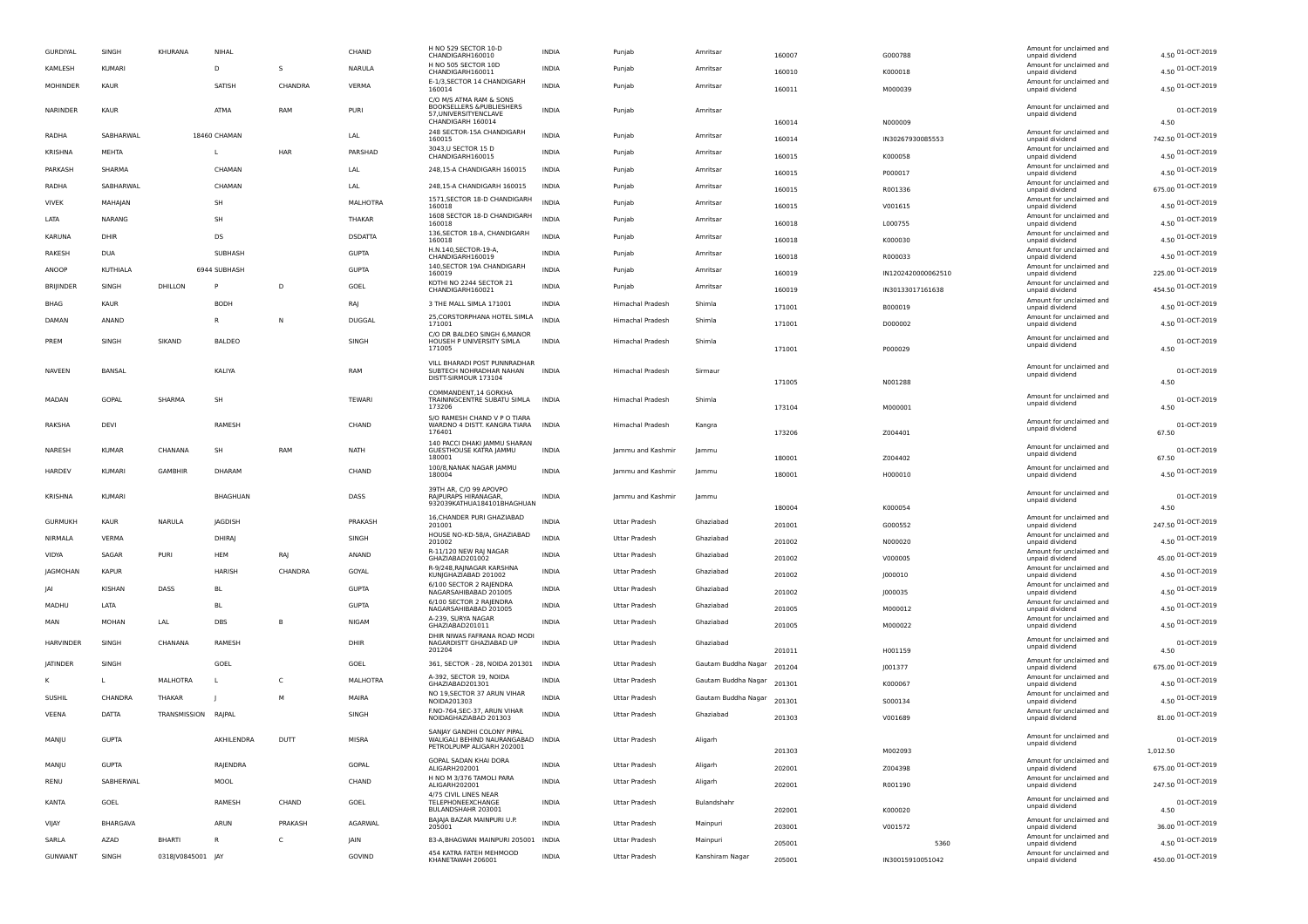| GURDIYAL         | SINGH         | KHURANA             | NIHAL          |         | CHAND          | H NO 529 SECTOR 10-D<br>CHANDIGARH160010                           | INDIA        | Punjab               | Amritsar            | 160007 | G000788            | Amount for unclaimed and<br>unpaid dividend | 4.50 01-OCT-2019     |
|------------------|---------------|---------------------|----------------|---------|----------------|--------------------------------------------------------------------|--------------|----------------------|---------------------|--------|--------------------|---------------------------------------------|----------------------|
| KAMLESH          | KUMARI        |                     | D              | s       | NARULA         | H NO 505 SECTOR 10D<br>CHANDIGARH160011                            | INDIA        | Punjab               | Amritsar            | 160010 | K000018            | Amount for unclaimed and<br>unpaid dividend | 4.50 01-OCT-2019     |
| MOHINDER         | KAUR          |                     | SATISH         | CHANDRA | VERMA          | E-1/3, SECTOR 14 CHANDIGARH<br>160014                              | <b>INDIA</b> | Punjab               | Amritsar            | 160011 | M000039            | Amount for unclaimed and<br>unpaid dividend | 4.50 01-OCT-2019     |
|                  |               |                     |                |         |                | C/O M/S ATMA RAM & SONS                                            |              |                      |                     |        |                    |                                             |                      |
| NARINDER         | KAUR          |                     | ATMA           | RAM     | PURI           | BOOKSELLERS & PUBLIESHERS<br>57.UNIVERSITYENCLAVE                  | INDIA        | Punjab               | Amritsar            |        |                    | Amount for unclaimed and<br>unpaid dividend | 01-OCT-2019          |
|                  |               |                     |                |         |                | CHANDIGARH 160014<br>248 SECTOR-15A CHANDIGARH                     |              |                      |                     | 160014 | N000009            | Amount for unclaimed and                    | 4.50                 |
| RADHA            | SABHARWAL     |                     | 18460 CHAMAN   |         | LAL            | 160015<br>3043, U SECTOR 15 D                                      | <b>INDIA</b> | Punjab               | Amritsar            | 160014 | IN30267930085553   | unpaid dividend<br>Amount for unclaimed and | 742.50 01-OCT-2019   |
| KRISHNA          | MEHTA         |                     |                | HAR     | PARSHAD        | CHANDIGARH160015                                                   | INDIA        | Punjab               | Amritsar            | 160015 | K000058            | unpaid dividend                             | 4.50 01-OCT-2019     |
| PARKASH          | SHARMA        |                     | CHAMAN         |         | LAL            | 248,15-A CHANDIGARH 160015                                         | <b>INDIA</b> | Punjab               | Amritsar            | 160015 | P000017            | Amount for unclaimed and<br>unpaid dividend | 4.50 01-OCT-2019     |
| RADHA            | SABHARWAL     |                     | CHAMAN         |         | LAL            | 248,15-A CHANDIGARH 160015                                         | <b>INDIA</b> | Punjab               | Amritsar            | 160015 | R001336            | Amount for unclaimed and<br>unpaid dividend | 675.00 01-OCT-2019   |
| VIVEK            | MAHAJAN       |                     | SH             |         | MALHOTRA       | 1571, SECTOR 18-D CHANDIGARH<br>160018                             | <b>INDIA</b> | Punjab               | Amritsar            | 160015 | V001615            | Amount for unclaimed and<br>unpaid dividend | 4.50 01-OCT-2019     |
| LATA             | NARANG        |                     | <b>SH</b>      |         | THAKAR         | 1608 SECTOR 18-D CHANDIGARH<br>160018                              | <b>INDIA</b> | Punjab               | Amritsar            | 160018 | L000755            | Amount for unclaimed and<br>unpaid dividend | 4.50 01-OCT-2019     |
| KARUNA           | DHIR          |                     | DS             |         | <b>DSDATTA</b> | 136, SECTOR 18-A, CHANDIGARH                                       | <b>INDIA</b> | Punjab               | Amritsar            |        |                    | Amount for unclaimed and                    | 4.50 01-OCT-2019     |
| RAKESH           | <b>DUA</b>    |                     | SUBHASH        |         | <b>GUPTA</b>   | 160018<br>H.N.140, SECTOR-19-A,                                    | INDIA        | Punjab               | Amritsar            | 160018 | K000030            | unpaid dividend<br>Amount for unclaimed and |                      |
|                  |               |                     |                |         |                | CHANDIGARH160019<br>140, SECTOR 19A CHANDIGARH                     |              |                      |                     | 160018 | R000033            | unpaid dividend<br>Amount for unclaimed and | 4.50 01-OCT-2019     |
| ANOOP            | KUTHIALA      |                     | 6944 SUBHASH   |         | <b>GUPTA</b>   | 160019<br>KOTHI NO 2244 SECTOR 21                                  | <b>INDIA</b> | Punjab               | Amritsar            | 160019 | IN1202420000062510 | unpaid dividend                             | 225.00 01-OCT-2019   |
| <b>BRIJINDER</b> | SINGH         | DHILLON             |                | D       | GOEL           | CHANDIGARH160021                                                   | <b>INDIA</b> | Punjab               | Amritsar            | 160019 | IN30133017161638   | Amount for unclaimed and<br>unpaid dividend | 454.50 01-OCT-2019   |
| BHAG             | KAUR          |                     | <b>BODH</b>    |         | RAJ            | 3 THE MALL SIMLA 171001                                            | INDIA        | Himachal Pradesh     | Shimla              | 171001 | B000019            | Amount for unclaimed and<br>unpaid dividend | 4.50 01-OCT-2019     |
| DAMAN            | ANAND         |                     |                | N       | DUGGAL         | 25, CORSTORPHANA HOTEL SIMLA<br>171001                             | INDIA        | Himachal Pradesh     | Shimla              | 171001 | D000002            | Amount for unclaimed and<br>unpaid dividend | 4.50 01-OCT-2019     |
| PREM             |               | SIKAND              |                |         |                | C/O DR BALDEO SINGH 6, MANOR<br>HOUSEH P UNIVERSITY SIMLA          | <b>INDIA</b> |                      | Shimla              |        |                    | Amount for unclaimed and                    |                      |
|                  | SINGH         |                     | <b>BALDEO</b>  |         | SINGH          | 171005                                                             |              | Himachal Pradesh     |                     | 171001 | P000029            | unpaid dividend                             | 01-OCT-2019<br>4.50  |
| NAVEEN           | BANSAL        |                     | KALIYA         |         | RAM            | VILL BHARADI POST PUNNRADHAR                                       | <b>INDIA</b> | Himachal Pradesh     | Sirmaur             |        |                    | Amount for unclaimed and                    | 01-OCT-2019          |
|                  |               |                     |                |         |                | SUBTECH NOHRADHAR NAHAN<br>DISTT-SIRMOUR 173104                    |              |                      |                     | 171005 | N001288            | unpaid dividend                             | 4.50                 |
| MADAN            | GOPAL         | SHARMA              | SH             |         | TEWARI         | COMMANDENT, 14 GORKHA<br>TRAININGCENTRE SUBATU SIMLA               | <b>INDIA</b> | Himachal Pradesh     | Shimla              |        |                    | Amount for unclaimed and                    | 01-OCT-2019          |
|                  |               |                     |                |         |                | 173206                                                             |              |                      |                     | 173104 | M000001            | unpaid dividend                             | 4.50                 |
| RAKSHA           | DEVI          |                     | RAMESH         |         | CHAND          | S/O RAMESH CHAND V P O TIARA<br>WARDNO 4 DISTT. KANGRA TIARA INDIA |              | Himachal Pradesh     | Kangra              |        |                    | Amount for unclaimed and<br>unpaid dividend | 01-OCT-2019          |
|                  |               |                     |                |         |                | 176401<br>140 PACCI DHAKI JAMMU SHARAN                             |              |                      |                     | 173206 | Z004401            |                                             | 67.50                |
| NARESH           | <b>KUMAR</b>  | CHANANA             | SH             | RAM     | NATH           | GUESTHOUSE KATRA JAMMU<br>180001                                   | INDIA        | Jammu and Kashmir    | Jammu               | 180001 | Z004402            | Amount for unclaimed and<br>unpaid dividend | 01-OCT-2019<br>67.50 |
| HARDEV           | KUMARI        | <b>GAMBHIR</b>      | DHARAM         |         | CHAND          | 100/8, NANAK NAGAR JAMMU<br>180004                                 | INDIA        | lammu and Kashmir    | Jammu               | 180001 |                    | Amount for unclaimed and                    | 4.50 01-OCT-2019     |
|                  |               |                     |                |         |                | 39TH AR, C/O 99 APOVPO                                             |              |                      |                     |        | H000010            | unpaid dividend                             |                      |
| <b>KRISHNA</b>   | <b>KUMARI</b> |                     | BHAGHUAN       |         | DASS           | RAIPURAPS HIRANAGAR.<br>932039KATHUA184101BHAGHUAN                 | INDIA        | Jammu and Kashmir    | Jammu               |        |                    | Amount for unclaimed and<br>unpaid dividend | 01-OCT-2019          |
|                  |               |                     |                |         |                | 16, CHANDER PURI GHAZIABAD                                         |              |                      |                     | 180004 | K000054            | Amount for unclaimed and                    | 4.50                 |
| <b>GURMUKH</b>   | KAUR          | NARULA              | <b>IAGDISH</b> |         | PRAKASH        | 201001                                                             | <b>INDIA</b> | Uttar Pradesh        | Ghaziabad           | 201001 | G000552            | unpaid dividend                             | 247.50 01-OCT-2019   |
| NIRMALA          | VERMA         |                     | DHIRAJ         |         | SINGH          | HOUSE NO-KD-58/A, GHAZIABAD<br>201002                              | <b>INDIA</b> | Uttar Pradesh        | Ghaziabad           | 201002 | N000020            | Amount for unclaimed and<br>unpaid dividend | 4.50 01-OCT-2019     |
| VIDYA            | SAGAR         | PURI                | HEM            | RAJ     | ANAND          | R-11/120 NEW RAJ NAGAR<br>GHAZIABAD201002                          | INDIA        | Uttar Pradesh        | Ghaziabad           | 201002 | V000005            | Amount for unclaimed and<br>unpaid dividend | 45.00 01-OCT-2019    |
| JAGMOHAN         | <b>KAPUR</b>  |                     | HARISH         | CHANDRA | GOYAL          | R-9/248, RAINAGAR KARSHNA<br>KUNJGHAZIABAD 201002                  | INDIA        | Uttar Pradesh        | Ghaziabad           | 201002 | J000010            | Amount for unclaimed and<br>unpaid dividend | 4.50 01-OCT-2019     |
| IAI              | <b>KISHAN</b> | DASS                | BL             |         | <b>GUPTA</b>   | 6/100 SECTOR 2 RAJENDRA<br>NAGARSAHIBABAD 201005                   | <b>INDIA</b> | Uttar Pradesh        | Ghaziabad           | 201002 | J000035            | Amount for unclaimed and<br>unpaid dividend | 4.50 01-OCT-2019     |
| MADHU            | LATA          |                     | <b>BL</b>      |         | <b>GUPTA</b>   | 6/100 SECTOR 2 RAJENDRA                                            | <b>INDIA</b> | <b>Uttar Pradesh</b> | Ghaziabad           |        |                    | Amount for unclaimed and                    | 4.50 01-OCT-2019     |
| MAN              | <b>MOHAN</b>  | LAL                 | <b>DBS</b>     | B       | <b>NIGAM</b>   | NAGARSAHIBABAD 201005<br>A-239, SURYA NAGAR                        | <b>INDIA</b> | Uttar Pradesh        | Ghaziabad           | 201005 | M000012            | unpaid dividend<br>Amount for unclaimed and | 4.50 01-OCT-2019     |
|                  |               |                     |                |         |                | GHAZIABAD201011<br>DHIR NIWAS FAFRANA ROAD MODI                    |              |                      |                     | 201005 | M000022            | unpaid dividend                             |                      |
| <b>HARVINDER</b> | SINGH         | CHANANA             | RAMESH         |         | DHIR           | NAGARDISTT GHAZIABAD UP<br>201204                                  | <b>INDIA</b> | Uttar Pradesh        | Ghaziabad           | 201011 | H001159            | Amount for unclaimed and<br>unpaid dividend | 01-OCT-2019<br>4.50  |
| <b>JATINDER</b>  | SINGH         |                     | GOEL           |         | GOEL           | 361, SECTOR - 28, NOIDA 201301 INDIA                               |              | Uttar Pradesh        | Gautam Buddha Nagar | 201204 |                    | Amount for unclaimed and                    | 675.00 01-OCT-2019   |
| κ                | L             | MALHOTRA            |                | C       | MALHOTRA       | A-392, SECTOR 19, NOIDA                                            | INDIA        | Uttar Pradesh        | Gautam Buddha Nagar |        | J001377            | unpaid dividend<br>Amount for unclaimed and | 4.50 01-OCT-2019     |
|                  |               |                     |                | M       |                | GHAZIABAD201301<br>NO 19,SECTOR 37 ARUN VIHAR                      | <b>INDIA</b> | <b>Uttar Pradesh</b> |                     | 201301 | K000067            | unpaid dividend<br>Amount for unclaimed and |                      |
| <b>SUSHIL</b>    | CHANDRA       | THAKAR              |                |         | MAIRA          | NOIDA201303<br>F.NO-764, SEC-37, ARUN VIHAR                        |              |                      | Gautam Buddha Nagar | 201301 | S000134            | unpaid dividend<br>Amount for unclaimed and | 4.50 01-OCT-2019     |
| VEENA            | DATTA         | TRANSMISSION RAJPAL |                |         | SINGH          | NOIDAGHAZIABAD 201303                                              | <b>INDIA</b> | Uttar Pradesh        | Ghaziabad           | 201303 | V001689            | unpaid dividend                             | 81.00 01-OCT-2019    |
| MANJU            | <b>GUPTA</b>  |                     | AKHILENDRA     | DUTT    | <b>MISRA</b>   | SANJAY GANDHI COLONY PIPAL<br>WALIGALI BEHIND NAURANGABAD INDIA    |              | Uttar Pradesh        | Aligarh             |        |                    | Amount for unclaimed and                    | 01-OCT-2019          |
|                  |               |                     |                |         |                | PETROLPUMP ALIGARH 202001                                          |              |                      |                     | 201303 | M002093            | unpaiu urviuenu                             | 1,012.50             |
| MANJU            | <b>GUPTA</b>  |                     | RAJENDRA       |         | GOPAL          | GOPAL SADAN KHAI DORA<br>ALIGARH202001                             | INDIA        | Uttar Pradesh        | Aligarh             | 202001 | Z004398            | Amount for unclaimed and<br>unpaid dividend | 675.00 01-OCT-2019   |
| RENU             | SABHERWAL     |                     | MOOL           |         | CHAND          | H NO M 3/376 TAMOLI PARA<br>ALIGARH202001                          | INDIA        | Uttar Pradesh        | Aligarh             | 202001 | R001190            | Amount for unclaimed and<br>unpaid dividend | 247.50 01-OCT-2019   |
|                  |               |                     |                |         |                | 4/75 CIVIL LINES NEAR                                              |              |                      |                     |        |                    | Amount for unclaimed and                    |                      |
| KANTA            | GOEL          |                     | RAMESH         | CHAND   | GOEL           | TELEPHONEEXCHANGE<br>BULANDSHAHR 203001                            | INDIA        | Uttar Pradesh        | Bulandshahr         | 202001 | K000020            | unpaid dividend                             | 01-OCT-2019<br>4.50  |
| VIJAY            | BHARGAVA      |                     | ARUN           | PRAKASH | AGARWAL        | BAJAJA BAZAR MAINPURI U.P.<br>205001                               | INDIA        | Uttar Pradesh        | Mainpuri            | 203001 | V001572            | Amount for unclaimed and<br>unpaid dividend | 36.00 01-OCT-2019    |
| SARLA            | AZAD          | <b>BHARTI</b>       | $\mathsf{R}$   | C       | JAIN           | 83-A, BHAGWAN MAINPURI 205001 INDIA                                |              | Uttar Pradesh        | Mainpuri            | 205001 | 5360               | Amount for unclaimed and<br>unpaid dividend | 4.50 01-OCT-2019     |
| <b>GUNWANT</b>   | SINGH         | 0318JV0845001 JAY   |                |         | GOVIND         | 454 KATRA FATEH MEHMOOD<br>KHANETAWAH 206001                       | <b>INDIA</b> | <b>Uttar Pradesh</b> | Kanshiram Nagar     | 205001 | IN30015910051042   | Amount for unclaimed and<br>unpaid dividend | 450.00 01-OCT-2019   |
|                  |               |                     |                |         |                |                                                                    |              |                      |                     |        |                    |                                             |                      |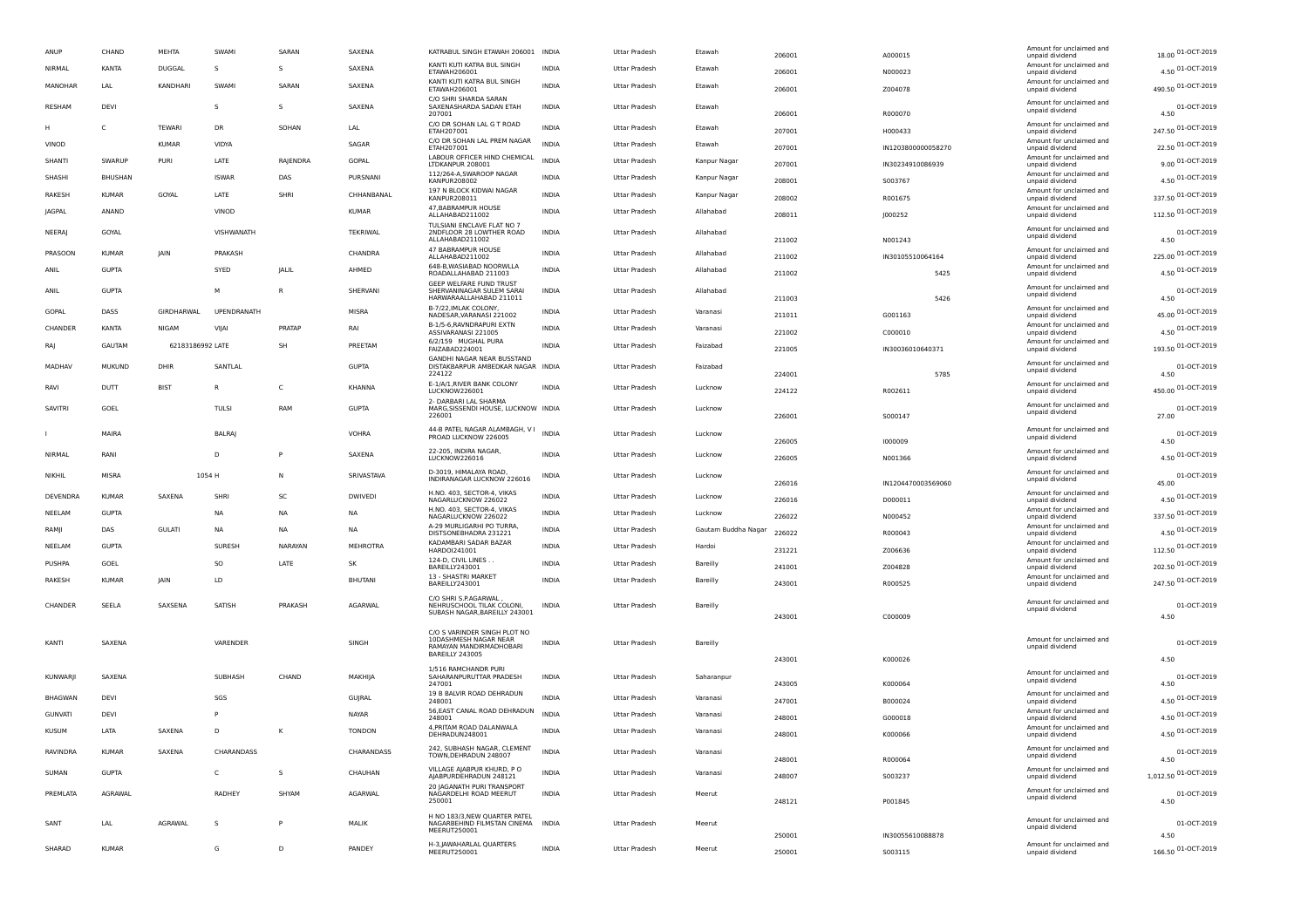| ANUP            | CHAND        | <b>MEHTA</b>     | SWAMI         | SARAN        | SAXENA          | KATRABUL SINGH ETAWAH 206001 INDIA                                           |              | <b>Uttar Pradesh</b> | Etawah              | 206001 | A000015            | Amount for unclaimed and<br>unpaid dividend                             | 18.00 01-OCT-2019          |
|-----------------|--------------|------------------|---------------|--------------|-----------------|------------------------------------------------------------------------------|--------------|----------------------|---------------------|--------|--------------------|-------------------------------------------------------------------------|----------------------------|
| <b>NIRMAL</b>   | KANTA        | DUGGAL           | s             | s            | SAXENA          | KANTI KUTI KATRA BUL SINGH<br>ETAWAH206001                                   | <b>INDIA</b> | <b>Uttar Pradesh</b> | Etawah              | 206001 | N000023            | Amount for unclaimed and<br>unpaid dividend                             | 4.50 01-OCT-2019           |
| MANOHAR         | LAL          | KANDHARI         | SWAMI         | SARAN        | SAXENA          | KANTI KUTI KATRA BUL SINGH<br>ETAWAH206001                                   | <b>INDIA</b> | <b>Uttar Pradesh</b> | Etawah              | 206001 | Z004078            | Amount for unclaimed and<br>unpaid dividend                             | 490.50 01-OCT-2019         |
| RESHAM          | DEVI         |                  | s             | s            | SAXENA          | C/O SHRI SHARDA SARAN<br>SAXENASHARDA SADAN ETAH<br>207001                   | <b>INDIA</b> | <b>Uttar Pradesh</b> | Etawah              | 206001 | R000070            | Amount for unclaimed and<br>unpaid dividend                             | 01-OCT-2019<br>4.50        |
| H               | C            | TEWARI           | DR            | SOHAN        | LAL             | C/O DR SOHAN LAL G T ROAD<br>ETAH207001                                      | <b>INDIA</b> | Uttar Pradesh        | Etawah              | 207001 | H000433            | Amount for unclaimed and<br>unpaid dividend                             | 247.50 01-OCT-2019         |
| VINOD           |              | <b>KUMAR</b>     | VIDYA         |              | SAGAR           | C/O DR SOHAN LAL PREM NAGAR<br>ETAH207001                                    | <b>INDIA</b> | <b>Uttar Pradesh</b> | Etawah              | 207001 | IN1203800000058270 | Amount for unclaimed and<br>unpaid dividend                             | 22.50 01-OCT-2019          |
| SHANTI          | SWARUF       | <b>PURI</b>      | LATE          | RAJENDRA     | <b>GOPAL</b>    | LABOUR OFFICER HIND CHEMICAL<br>LTDKANPUR 208001                             | <b>INDIA</b> | <b>Uttar Pradesh</b> | Kanpur Nagar        | 207001 | IN30234910086939   | Amount for unclaimed and<br>unpaid dividend                             | 9.00 01-OCT-2019           |
| SHASHI          | BHUSHAN      |                  | <b>ISWAR</b>  | DAS          | PURSNANI        | 112/264-A,SWAROOP NAGAR<br>KANPUR208002                                      | <b>INDIA</b> | <b>Uttar Pradesh</b> | Kanpur Nagar        | 208001 | S003767            | Amount for unclaimed and                                                | 4.50 01-OCT-2019           |
| RAKESH          | KUMAR        | GOYAL            | LATE          | SHRI         | CHHANBANAL      | 197 N BLOCK KIDWAI NAGAR                                                     | <b>INDIA</b> | <b>Uttar Pradesh</b> | Kanpur Nagar        | 208002 |                    | unpaid dividend<br>Amount for unclaimed and                             | 337.50 01-OCT-2019         |
| JAGPAL          | ANAND        |                  | VINOD         |              | <b>KUMAR</b>    | KANPUR208011<br>47, BABRAMPUR HOUSE                                          | <b>INDIA</b> | Uttar Pradesh        | Allahabad           | 208011 | R001675            | unpaid dividend<br>Amount for unclaimed and                             | 112.50 01-OCT-2019         |
| NEERAJ          | GOYAL        |                  | VISHWANATH    |              | <b>TEKRIWAL</b> | ALLAHABAD211002<br>TULSIANI ENCLAVE FLAT NO 7<br>2NDFLOOR 28 LOWTHER ROAD    | <b>INDIA</b> | <b>Uttar Pradesh</b> | Allahabad           |        | 1000252            | unpaid dividend<br>Amount for unclaimed and<br>unpaid dividend          | 01-OCT-2019                |
| PRASOON         | <b>KUMAR</b> | <b>JAIN</b>      | PRAKASH       |              | CHANDRA         | ALLAHABAD211002<br>47 BABRAMPUR HOUSE                                        | <b>INDIA</b> | <b>Uttar Pradesh</b> | Allahabad           | 211002 | N001243            | Amount for unclaimed and                                                | 4.50<br>225.00 01-OCT-2019 |
| ANIL            | <b>GUPTA</b> |                  | SYED          | JALIL        | AHMED           | ALLAHABAD211002<br>648-B, WASIABAD NOORWLLA                                  | <b>INDIA</b> | <b>Uttar Pradesh</b> | Allahabad           | 211002 | IN30105510064164   | unpaid dividend<br>Amount for unclaimed and                             | 4.50 01-OCT-2019           |
|                 |              |                  |               |              |                 | ROADALLAHABAD 211003<br>GEEP WELFARE FUND TRUST                              |              |                      |                     | 211002 | 5425               | unpaid dividend                                                         |                            |
| ANIL            | <b>GUPTA</b> |                  | м             | $\mathsf{R}$ | SHERVANI        | SHERVANINAGAR SULEM SARAI<br>HARWARAALLAHABAD 211011<br>B-7/22. IMLAK COLONY | <b>INDIA</b> | <b>Uttar Pradesh</b> | Allahabad           | 211003 | 5426               | Amount for unclaimed and<br>unpaid dividend<br>Amount for unclaimed and | 01-OCT-2019<br>4.50        |
| GOPAL           | DASS         | GIRDHARWAL       | UPENDRANATH   |              | <b>MISRA</b>    | NADESAR, VARANASI 221002<br>B-1/5-6, RAVNDRAPURI EXTN                        | <b>INDIA</b> | <b>Uttar Pradesh</b> | Varanasi            | 211011 | G001163            | unpaid dividend<br>Amount for unclaimed and                             | 45.00 01-OCT-2019          |
| CHANDER         | KANTA        | <b>NIGAM</b>     | VIJAI         | PRATAP       | RAI             | ASSIVARANASI 221005<br>6/2/159 MUGHAL PURA                                   | <b>INDIA</b> | <b>Uttar Pradesh</b> | Varanasi            | 221002 | C000010            | unpaid dividend<br>Amount for unclaimed and                             | 4.50 01-OCT-2019           |
| RA              | GAUTAM       | 62183186992 LATE |               | SH           | PREETAM         | FAIZABAD224001                                                               | <b>INDIA</b> | Uttar Pradesh        | Faizabad            | 221005 | IN30036010640371   | unpaid dividend                                                         | 193.50 01-OCT-2019         |
| MADHAV          | MUKUND       | DHIR             | SANTLAL       |              | GUPTA           | GANDHI NAGAR NEAR BUSSTAND<br>DISTAKBARPUR AMBEDKAR NAGAR INDIA<br>224122    |              | <b>Uttar Pradesh</b> | Faizabad            | 224001 | 5785               | Amount for unclaimed and<br>unpaid dividend                             | 01-OCT-2019<br>4.50        |
| RAVI            | DUTT         | <b>BIST</b>      | R             | C            | <b>KHANNA</b>   | E-1/A/1, RIVER BANK COLONY<br>LUCKNOW226001                                  | <b>INDIA</b> | <b>Uttar Pradesh</b> | Lucknow             | 224122 | R002611            | Amount for unclaimed and<br>unpaid dividend                             | 450.00 01-OCT-2019         |
| SAVITRI         | GOEL         |                  | <b>TULS</b>   | RAM          | <b>GUPTA</b>    | 2- DARBARI LAL SHARMA<br>MARG, SISSENDI HOUSE, LUCKNOW INDIA<br>226001       |              | <b>Uttar Pradesh</b> | Lucknow             | 226001 | S000147            | Amount for unclaimed and<br>unpaid dividend                             | 01-OCT-2019<br>27.00       |
|                 | MAIRA        |                  | <b>BALRA</b>  |              | <b>VOHRA</b>    | 44-B PATEL NAGAR ALAMBAGH, V I<br>PROAD LUCKNOW 226005                       | <b>INDIA</b> | <b>Uttar Pradesh</b> | Lucknow             | 226005 | 1000009            | Amount for unclaimed and<br>unpaid dividend                             | 01-OCT-2019<br>4.50        |
| NIRMAL          | RANI         |                  | D             | P            | SAXENA          | 22-205, INDIRA NAGAR,<br>LUCKNOW226016                                       | <b>INDIA</b> | Uttar Pradesh        | Lucknow             | 226005 | N001366            | Amount for unclaimed and<br>unpaid dividend                             | 4.50 01-OCT-2019           |
| NIKHIL          | MISRA        |                  | 1054 H        | N            | SRIVASTAVA      | D-3019. HIMAI AYA ROAD<br>INDIRANAGAR LUCKNOW 226016                         | <b>INDIA</b> | Uttar Pradesh        | Lucknow             | 226016 | IN1204470003569060 | Amount for unclaimed and<br>unpaid dividend                             | 01-OCT-2019<br>45.00       |
| DEVENDRA        | KUMAR        | SAXENA           | SHRI          | SC           | <b>DWIVEDI</b>  | H.NO. 403, SECTOR-4, VIKAS<br>NAGARLUCKNOW 226022                            | <b>INDIA</b> | <b>Uttar Pradesh</b> | Lucknow             | 226016 | D000011            | Amount for unclaimed and<br>unpaid dividend                             | 4.50 01-OCT-2019           |
| NEELAM          | <b>GUPTA</b> |                  | <b>NA</b>     | <b>NA</b>    | <b>NA</b>       | H.NO. 403, SECTOR-4, VIKAS<br>NAGARLUCKNOW 226022                            | <b>INDIA</b> | Uttar Pradesh        | Lucknow             | 226022 | N000452            | Amount for unclaimed and<br>unpaid dividend                             | 337.50 01-OCT-2019         |
| RAMJI           | DAS          | <b>GULATI</b>    | NA            | NA           | <b>NA</b>       | A-29 MURLIGARHI PO TURRA<br>DISTSONEBHADRA 231221                            | <b>INDIA</b> | Uttar Pradesh        | Gautam Buddha Nagar | 226022 | R000043            | Amount for unclaimed and<br>unpaid dividend                             | 4.50 01-OCT-2019           |
| NEELAM          | <b>GUPTA</b> |                  | <b>SURESH</b> | NARAYAN      | <b>MEHROTRA</b> | KADAMBARI SADAR BAZAR<br>HARD0I241001                                        | <b>INDIA</b> | <b>Uttar Pradesh</b> | Hardoi              | 231221 | Z006636            | Amount for unclaimed and<br>unpaid dividend                             | 112.50 01-OCT-2019         |
| PUSHPA          | GOEL         |                  | SO            | LATE         | SK              | 124-D, CIVIL LINES.<br>BAREILLY243001                                        | INDIA        | <b>Uttar Pradesh</b> | Bareilly            | 241001 | Z004828            | Amount for unclaimed and<br>unpaid dividend                             | 202.50 01-OCT-2019         |
| RAKESH          | KUMAR        | <b>JAIN</b>      | LD            |              | <b>BHUTANI</b>  | 13 - SHASTRI MARKET<br>BAREILLY243001                                        | <b>INDIA</b> | <b>Uttar Pradesh</b> | <b>Bareilly</b>     | 243001 | R000525            | Amount for unclaimed and<br>unpaid dividend                             | 247.50 01-OCT-2019         |
|                 |              |                  |               |              |                 | C/O SHRI S.P.AGARWAL                                                         |              |                      |                     |        |                    |                                                                         |                            |
| CHANDER         | SEELA        | SAXSENA          | SATISH        | PRAKASH      | <b>AGARWAI</b>  | NEHRUSCHOOL TILAK COLONI,<br>SUBASH NAGAR, BAREILLY 243001                   | <b>INDIA</b> | <b>Uttar Pradesh</b> | <b>Bareilly</b>     | 243001 | C000009            | Amount for unclaimed and<br>unpaid dividend                             | 01-OCT-2019<br>4.50        |
|                 |              |                  |               |              |                 | C/O S VARINDER SINGH PLOT NO                                                 |              |                      |                     |        |                    |                                                                         |                            |
| KANTI           | SAXENA       |                  | VARENDER      |              | SINGH           | 10DASHMESH NAGAR NEAR<br>RAMAYAN MANDIRMADHOBARI                             | <b>INDIA</b> | <b>Uttar Pradesh</b> | <b>Bareilly</b>     |        |                    | Amount for unclaimed and<br>unpaid dividend                             | 01-OCT-2019                |
|                 |              |                  |               |              |                 | BAREILLY 243005                                                              |              |                      |                     | 243001 | K000026            |                                                                         | 4.50                       |
| <b>KUNWARJI</b> | SAXENA       |                  | SUBHASH       | CHAND        | MAKHIJA         | 1/516 RAMCHANDR PURI<br>SAHARANPURUTTAR PRADESH<br>247001                    | INDIA        | <b>Uttar Pradesh</b> | Saharanpur          | 243005 | K000064            | Amount for unclaimed and<br>unpaid dividend                             | 01-OCT-2019<br>4.50        |
| <b>BHAGWAN</b>  | DEVI         |                  | SGS           |              | GUJRAL          | 19 B BALVIR ROAD DEHRADUN<br>248001                                          | <b>INDIA</b> | Uttar Pradesh        | Varanasi            | 247001 | B000024            | Amount for unclaimed and<br>unpaid dividend                             | 4.50 01-OCT-2019           |
| <b>GUNVATI</b>  | DEVI         |                  | P             |              | NAYAR           | 56, EAST CANAL ROAD DEHRADUN<br>248001                                       | <b>INDIA</b> | <b>Uttar Pradesh</b> | Varanasi            | 248001 | G000018            | Amount for unclaimed and<br>unpaid dividend                             | 4.50 01-OCT-2019           |
| <b>KUSUM</b>    | LATA         | SAXENA           | D             | K            | <b>TONDON</b>   | 4, PRITAM ROAD DALANWALA<br>DEHRADUN248001                                   | <b>INDIA</b> | Uttar Pradesh        | Varanasi            | 248001 | K000066            | Amount for unclaimed and<br>unpaid dividend                             | 4.50 01-OCT-2019           |
| RAVINDRA        | <b>KUMAR</b> | SAXENA           | CHARANDASS    |              | CHARANDASS      | 242, SUBHASH NAGAR, CLEMENT<br>TOWN, DEHRADUN 248007                         | <b>INDIA</b> | <b>Uttar Pradesh</b> | Varanasi            | 248001 | R000064            | Amount for unclaimed and<br>unpaid dividend                             | 01-OCT-2019<br>4.50        |
| SUMAN           | <b>GUPTA</b> |                  | C             | s            | CHAUHAN         | VILLAGE AJABPUR KHURD, PO<br>AJABPURDEHRADUN 248121                          | <b>INDIA</b> | <b>Uttar Pradesh</b> | Varanasi            | 248007 | 5003237            | Amount for unclaimed and<br>unpaid dividend                             | 1,012.50 01-OCT-2019       |
| PREMLATA        | AGRAWAL      |                  | RADHEY        | SHYAM        | AGARWAL         | 20 IAGANATH PURI TRANSPORT<br>NAGARDELHI ROAD MEERUT                         | <b>INDIA</b> | <b>Uttar Pradesh</b> | Meerut              |        |                    | Amount for unclaimed and                                                | 01-OCT-2019                |
|                 |              |                  |               |              |                 | 250001                                                                       |              |                      |                     | 248121 | P001845            | unpaid dividend                                                         | 4.50                       |
| SANT            | LAL          | <b>AGRAWAI</b>   | s             |              | MALIK           | H NO 183/3.NEW OUARTER PATEL<br>NAGARBEHIND FILMSTAN CINEMA<br>MEERUT250001  | <b>INDIA</b> | <b>Uttar Pradesh</b> | Meerut              | 250001 | IN30055610088878   | Amount for unclaimed and<br>unpaid dividend                             | 01-OCT-2019<br>4.50        |
| SHARAD          | KUMAR        |                  | G             | D            | PANDFY          | H-3, JAWAHARLAL QUARTERS<br>MEERUT250001                                     | <b>INDIA</b> | <b>Uttar Pradesh</b> | Meerut              | 250001 | 5003115            | Amount for unclaimed and<br>unpaid dividend                             | 166.50 01-OCT-2019         |
|                 |              |                  |               |              |                 |                                                                              |              |                      |                     |        |                    |                                                                         |                            |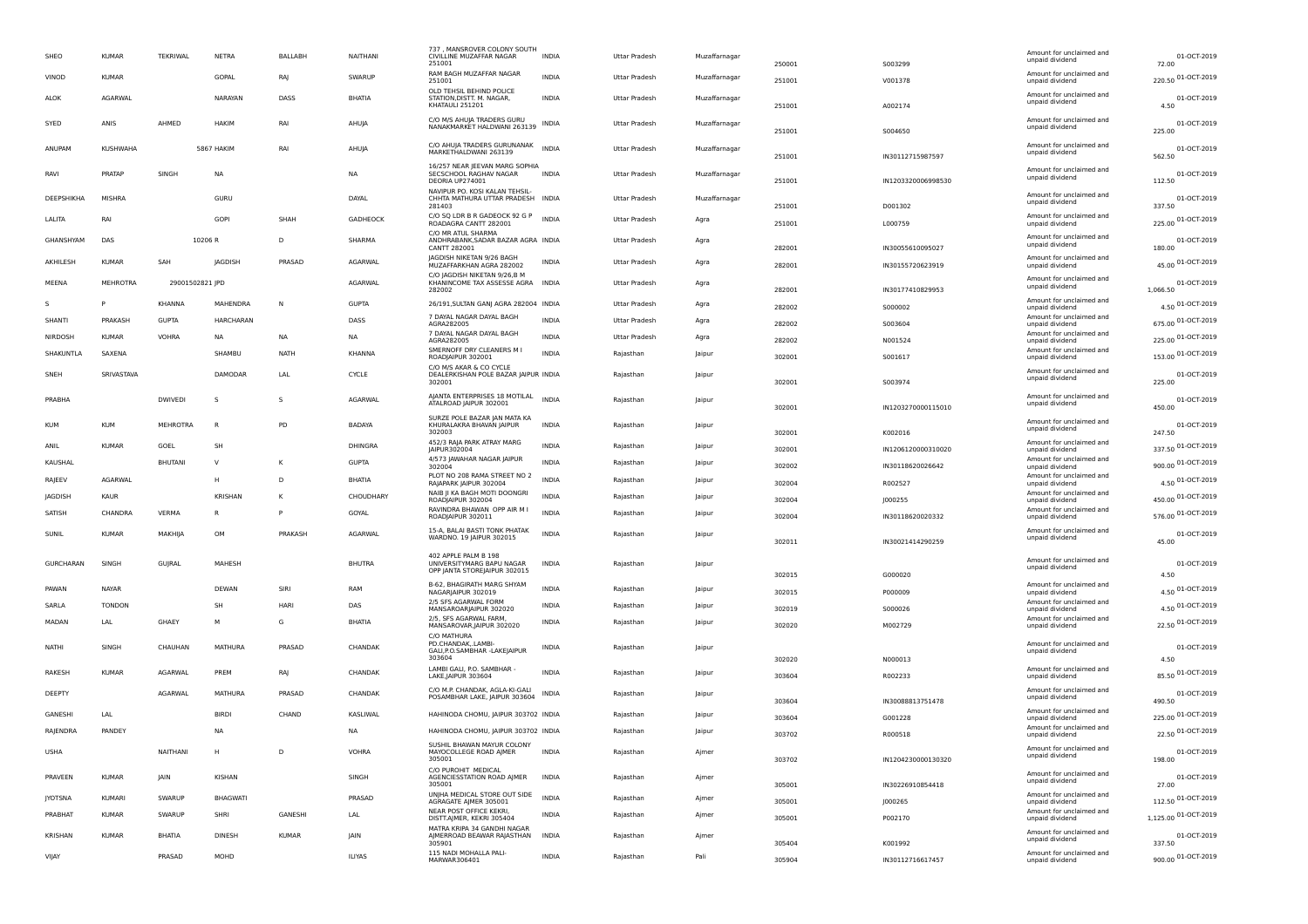| SHEO             | KUMAR           | TEKRIWAL        | NETRA           | <b>BALLABH</b> | NAITHANI       | 737, MANSROVER COLONY SOUTH<br>CIVILLINE MUZAFFAR NAGAR<br>251001                 | <b>INDIA</b> | Uttar Pradesh        | Muzaffarnagar | 250001           | S003299            | Amount for unclaimed and<br>unpaid dividend | 01-OCT-2019<br>72.00      |
|------------------|-----------------|-----------------|-----------------|----------------|----------------|-----------------------------------------------------------------------------------|--------------|----------------------|---------------|------------------|--------------------|---------------------------------------------|---------------------------|
| VINOD            | KUMAR           |                 | GOPAL           | RAJ            | SWARUP         | RAM BAGH MUZAFFAR NAGAR<br>251001                                                 | <b>INDIA</b> | Uttar Pradesh        | Muzaffarnagar | 251001           | V001378            | Amount for unclaimed and<br>unpaid dividend | 220.50 01-OCT-2019        |
| ALOK             | AGARWAL         |                 | NARAYAN         | DASS           | BHATIA         | OLD TEHSIL BEHIND POLICE<br>STATION, DISTT. M. NAGAR,<br>KHATAULI 251201          | <b>INDIA</b> | Uttar Pradesh        | Muzaffarnagar | 251001           | A002174            | Amount for unclaimed and<br>unpaid dividend | 01-OCT-2019<br>4.50       |
| SYED             | ANIS            | AHMED           | <b>HAKIM</b>    | RAI            | AHUJA          | C/O M/S AHUJA TRADERS GURU<br>NANAKMARKET HALDWANI 263139                         | <b>INDIA</b> | Uttar Pradesh        | Muzaffarnagar | 251001           | S004650            | Amount for unclaimed and<br>unpaid dividend | 01-OCT-2019<br>225.00     |
| ANUPAM           | KUSHWAHA        |                 | 5867 HAKIM      | RAI            | AHUIA          | C/O AHUJA TRADERS GURUNANAK<br>MARKETHALDWANI 263139                              | <b>INDIA</b> | <b>Uttar Pradesh</b> | Muzaffarnagar | 251001           | IN30112715987597   | Amount for unclaimed and<br>unpaid dividend | 01-OCT-2019<br>562.50     |
| RAVI             | PRATAF          | SINGH           | NA              |                | <b>NA</b>      | 16/257 NEAR JEEVAN MARG SOPHIA<br>SECSCHOOL RAGHAV NAGAR<br>DEORIA UP274001       | <b>INDIA</b> | Uttar Pradesh        | Muzaffarnagar | 251001           | IN1203320006998530 | Amount for unclaimed and<br>unpaid dividend | 01-OCT-2019<br>112.50     |
| DEEPSHIKHA       | MISHRA          |                 | GURU            |                | DAYAL          | NAVIPUR PO. KOSI KALAN TEHSIL-<br>CHHTA MATHURA UTTAR PRADESH INDIA<br>281403     |              | Uttar Pradesh        | Muzaffarnagar | 251001           | D001302            | Amount for unclaimed and<br>unpaid dividend | 01-OCT-2019<br>337.50     |
| LALITA           | RAI             |                 | <b>GOPI</b>     | SHAF           | GADHEOCK       | C/O SQ LDR B R GADEOCK 92 G P<br>ROADAGRA CANTT 282001                            | <b>INDIA</b> | Uttar Pradesh        | Agra          | 251001           | L000759            | Amount for unclaimed and<br>unpaid dividend | 225.00 01-OCT-2019        |
| GHANSHYAM        | DAS             |                 | 10206 R         | D              | SHARMA         | C/O MR ATUL SHARMA<br>ANDHRABANK, SADAR BAZAR AGRA INDIA<br>CANTT 282001          |              | Uttar Pradesh        | Agra          | 282001           | IN30055610095027   | Amount for unclaimed and<br>unpaid dividend | 01-OCT-2019<br>180.00     |
| AKHILESH         | <b>KUMAR</b>    | SAH             | <b>IAGDISH</b>  | PRASAD         | AGARWAL        | JAGDISH NIKETAN 9/26 BAGH<br>MUZAFFARKHAN AGRA 282002                             | <b>INDIA</b> | Uttar Pradesh        | Agra          | 282001           | IN30155720623919   | Amount for unclaimed and<br>unpaid dividend | 45.00 01-OCT-2019         |
| MEENA            | <b>MEHROTRA</b> | 29001502821 JPD |                 |                | AGARWAL        | C/O JAGDISH NIKETAN 9/26,B M<br>KHANINCOME TAX ASSESSE AGRA<br>282002             | <b>INDIA</b> | Uttar Pradesh        | Agra          | 282001           | IN30177410829953   | Amount for unclaimed and<br>unpaid dividend | 01-OCT-2019<br>1.066.50   |
| S                |                 | KHANNA          | MAHENDRA        | N              | <b>GUPTA</b>   | 26/191, SULTAN GANJ AGRA 282004 INDIA                                             |              | Uttar Pradesh        | Agra          | 282002           | S000002            | Amount for unclaimed and<br>unpaid dividend | 4.50 01-OCT-2019          |
| SHANTI           | PRAKASH         | <b>GUPTA</b>    | HARCHARAN       |                | DASS           | 7 DAYAL NAGAR DAYAL BAGH<br>AGRA282005                                            | <b>INDIA</b> | Uttar Pradesh        | Agra          | 282002           | S003604            | Amount for unclaimed and<br>unpaid dividend | 675.00 01-OCT-2019        |
| NIRDOSH          | <b>KUMAR</b>    | <b>VOHRA</b>    | NA              | <b>NA</b>      | <b>NA</b>      | 7 DAYAL NAGAR DAYAL BAGH                                                          | <b>INDIA</b> | Uttar Pradesh        | Agra          |                  |                    | Amount for unclaimed and                    | 225.00 01-OCT-2019        |
| SHAKUNTLA        | <b>SAXENA</b>   |                 | SHAMBL          | <b>NATH</b>    | KHANNA         | AGRA282005<br>SMERNOFF DRY CLEANERS M I                                           | <b>INDIA</b> | Rajasthan            | Jaipur        | 282002           | N001524            | unpaid dividend<br>Amount for unclaimed and |                           |
|                  |                 |                 |                 |                |                | ROADJAIPUR 302001<br>C/O M/S AKAR & CO CYCLE                                      |              |                      |               | 302001           | S001617            | unpaid dividend                             | 153.00 01-OCT-2019        |
| SNEH             | SRIVASTAVA      |                 | DAMODAR         | LAL            | CYCLE          | DEALERKISHAN POLE BAZAR JAIPUR INDIA<br>302001                                    |              | Rajasthan            | Jaipur        | 302001           | S003974            | Amount for unclaimed and<br>unpaid dividend | 01-OCT-2019<br>225.00     |
| PRABHA           |                 | <b>DWIVEDI</b>  | -S              | s              | <b>AGARWAL</b> | AJANTA ENTERPRISES 18 MOTILAL<br>ATALROAD JAIPUR 302001                           | <b>INDIA</b> | Rajasthan            | Jaipur        | 302001           | IN1203270000115010 | Amount for unclaimed and<br>unpaid dividend | 01-OCT-2019<br>450.00     |
| <b>KUM</b>       | <b>KUM</b>      | <b>MEHROTRA</b> | $\overline{R}$  | PD             | <b>BADAYA</b>  | SURZE POLE BAZAR JAN MATA KA<br>KHURALAKRA BHAVAN JAIPUR<br>302003                | <b>INDIA</b> | Rajasthan            | Jaipur        | 302001           | K002016            | Amount for unclaimed and<br>unpaid dividend | 01-OCT-2019<br>247.50     |
| ANIL             | <b>KUMAR</b>    | GOEL            | SH              |                | DHINGRA        | 452/3 RAJA PARK ATRAY MARG<br>JAIPUR302004                                        | <b>INDIA</b> | Rajasthan            | Jaipur        | 302001           | IN1206120000310020 | Amount for unclaimed and<br>unpaid dividend | 337.50 01-OCT-2019        |
| KAUSHAL          |                 | <b>BHUTANI</b>  | $\vee$          | K              | <b>GUPTA</b>   | 4/573 JAWAHAR NAGAR JAIPUR<br>302004                                              | <b>INDIA</b> | Rajasthan            | Jaipur        | 302002           | IN30118620026642   | Amount for unclaimed and<br>unpaid dividend | 900.00 01-OCT-2019        |
| RAJEEV           | AGARWAI         |                 | н               | D              | <b>BHATIA</b>  | PLOT NO 208 RAMA STREET NO 2                                                      | <b>INDIA</b> | Rajasthan            | Jaipur        |                  |                    | Amount for unclaimed and                    | 4.50 01-OCT-2019          |
| JAGDISH          | KAUR            |                 | KRISHAN         | Κ              | CHOUDHARY      | RAJAPARK JAIPUR 302004<br>NAIB JI KA BAGH MOTI DOONGRI                            | <b>INDIA</b> | Rajasthan            |               | 302004           | R002527            | unpaid dividend<br>Amount for unclaimed and |                           |
|                  |                 |                 |                 |                |                | ROADJAIPUR 302004<br>RAVINDRA BHAWAN OPP AIR M I                                  |              |                      | Jaipur        | 302004           | J000255            | unpaid dividend<br>Amount for unclaimed and | 450.00 01-OCT-2019        |
| SATISH           | CHANDRA         | VERMA           | R               | P              | GOYAL          | ROADJAIPUR 302011                                                                 | <b>INDIA</b> | Rajasthan            | Jaipur        | 302004           | IN30118620020332   | unpaid dividend                             | 576.00 01-OCT-2019        |
| SUNIL            | <b>KUMAR</b>    | MAKHIJA         | OM              | PRAKASH        | AGARWAL        | 15-A, BALAI BASTI TONK PHATAK<br>WARDNO. 19 JAIPUR 302015                         | <b>INDIA</b> | Rajasthan            | Jaipur        | 302011           | IN30021414290259   | Amount for unclaimed and<br>unpaid dividend | 01-OCT-2019<br>45.00      |
| <b>GURCHARAN</b> | SINGH           | GUJRAL          | MAHESH          |                | <b>BHUTRA</b>  | 402 APPLE PALM B 198<br>UNIVERSITYMARG BAPU NAGAR<br>OPP JANTA STOREJAIPUR 302015 | <b>INDIA</b> | Rajasthan            | Jaipur        | 302015           | G000020            | Amount for unclaimed and<br>unpaid dividend | 01-OCT-2019<br>4.50       |
| PAWAN            | NAYAR           |                 | DEWAN           | SIRI           | RAM            | B-62, BHAGIRATH MARG SHYAM                                                        | <b>INDIA</b> | Rajasthan            | Jaipur        |                  |                    | Amount for unclaimed and                    | 4.50 01-OCT-2019          |
| SARLA            | <b>TONDON</b>   |                 | SH              | HARI           | DAS            | NAGARJAIPUR 302019<br>2/5 SFS AGARWAL FORM                                        | <b>INDIA</b> |                      |               | 302015           | P000009            | unpaid dividend<br>Amount for unclaimed and |                           |
|                  |                 |                 |                 |                |                | MANSAROARJAIPUR 302020<br>2/5, SFS AGARWAL FARM,                                  |              | Rajasthan            | Jaipur        | 302019           | S000026            | unpaid dividend<br>Amount for unclaimed and | 4.50 01-OCT-2019          |
| MADAN            | LAL             | GHAEY           | М               | G              | <b>BHATIA</b>  | MANSAROVAR, JAIPUR 302020                                                         | INDIA        | Rajasthan            | Jaipur        | 302020           | M002729            | unpaid dividend                             | 22.50 01-OCT-2019         |
| NATHI            | SINGH           | CHAUHAN         | MATHURA         | PRASAD         | CHANDAK        | C/O MATHURA<br>PD.CHANDAK, LAMBI-<br>GALI, P.O. SAMBHAR - LAKEJAIPUR              | <b>INDIA</b> | Rajasthan            | Jaipur        |                  |                    | Amount for unclaimed and<br>unpaid dividend | 01-OCT-2019               |
| RAKESH           | <b>KUMAR</b>    | <b>AGARWAL</b>  | PREM            | RAJ            | CHANDAK        | 303604<br>LAMBI GALI, P.O. SAMBHAR<br>LAKE, JAIPUR 303604                         | <b>INDIA</b> | Rajasthan            | Jaipur        | 302020<br>303604 | N000013<br>R002233 | Amount for unclaimed and<br>unpaid dividend | 4.50<br>85.50 01-OCT-2019 |
| DEEPTY           |                 | <b>AGARWAL</b>  | MATHURA         | PRASAD         | CHANDAK        | C/O M.P. CHANDAK, AGLA-KI-GALI<br>POSAMBHAR LAKE, JAIPUR 303604                   | <b>INDIA</b> | Rajasthan            | Jaipur        | 303604           | IN30088813751478   | Amount for unclaimed and<br>unpaid dividend | 01-OCT-2019<br>490.50     |
| GANESHI          | LAL             |                 | <b>BIRDI</b>    | CHAND          | KASLIWAL       | HAHINODA CHOMU, JAIPUR 303702 INDIA                                               |              | Rajasthan            | Jaipur        | 303604           | G001228            | Amount for unclaimed and<br>unpaid dividend | 225.00 01-OCT-2019        |
| RAJENDRA         | <b>PANDEY</b>   |                 | <b>NA</b>       |                | <b>NA</b>      | HAHINODA CHOMU, JAIPUR 303702 INDIA                                               |              | Rajasthan            | Jaipur        |                  |                    | Amount for unclaimed and                    | 22.50 01-OCT-2019         |
|                  |                 |                 |                 |                |                | SUSHIL BHAWAN MAYUR COLONY                                                        |              |                      |               | 303702           | R000518            | unpaid dividend                             |                           |
| USHA             |                 | NAITHANI        | H               | D              | <b>VOHRA</b>   | MAYOCOLLEGE ROAD AJMER<br>305001<br>C/O PUROHIT MEDICAL                           | INDIA        | Rajasthan            | Ajmer         | 303702           | IN1204230000130320 | Amount for unclaimed and<br>unpaid dividend | 01-OCT-2019<br>198.00     |
| PRAVEEN          | <b>KUMAR</b>    | <b>JAIN</b>     | KISHAN          |                | SINGH          | AGENCIESSTATION ROAD AJMER<br>305001                                              | INDIA        | Rajasthan            | Ajmer         | 305001           | IN30226910854418   | Amount for unclaimed and<br>unpaid dividend | 01-OCT-2019<br>27.00      |
| <b>JYOTSNA</b>   | <b>KUMARI</b>   | SWARUP          | <b>BHAGWATI</b> |                | PRASAD         | UNJHA MEDICAL STORE OUT SIDE<br>AGRAGATE AJMER 305001                             | <b>INDIA</b> | Rajasthan            | Ajmer         | 305001           | J000265            | Amount for unclaimed and<br>unpaid dividend | 112.50 01-OCT-2019        |
| PRABHAT          | <b>KUMAR</b>    | SWARUP          | SHRI            | GANESHI        | LAL            | NEAR POST OFFICE KEKRI,<br>DISTT.AJMER, KEKRI 305404                              | <b>INDIA</b> | Rajasthan            | Ajmer         | 305001           | P002170            | Amount for unclaimed and<br>unpaid dividend | 1,125.00 01-OCT-2019      |
| KRISHAN          | <b>KUMAR</b>    | <b>BHATIA</b>   | DINESH          | <b>KUMAR</b>   | <b>JAIN</b>    | MATRA KRIPA 34 GANDHI NAGAR<br>AJMERROAD BEAWAR RAJASTHAN                         | <b>INDIA</b> | Rajasthan            | Ajmer         |                  |                    | Amount for unclaimed and<br>unpaid dividend | 01-OCT-2019               |
|                  |                 |                 |                 |                |                | 305901<br>115 NADI MOHALLA PALI-                                                  |              |                      |               | 305404           | K001992            | Amount for unclaimed and                    | 337.50                    |
| VIJAY            |                 | PRASAD          | MOHD            |                | <b>ILIYAS</b>  | MARWAR306401                                                                      | <b>INDIA</b> | Rajasthan            | Pali          | 305904           | IN30112716617457   | unpaid dividend                             | 900.00 01-OCT-2019        |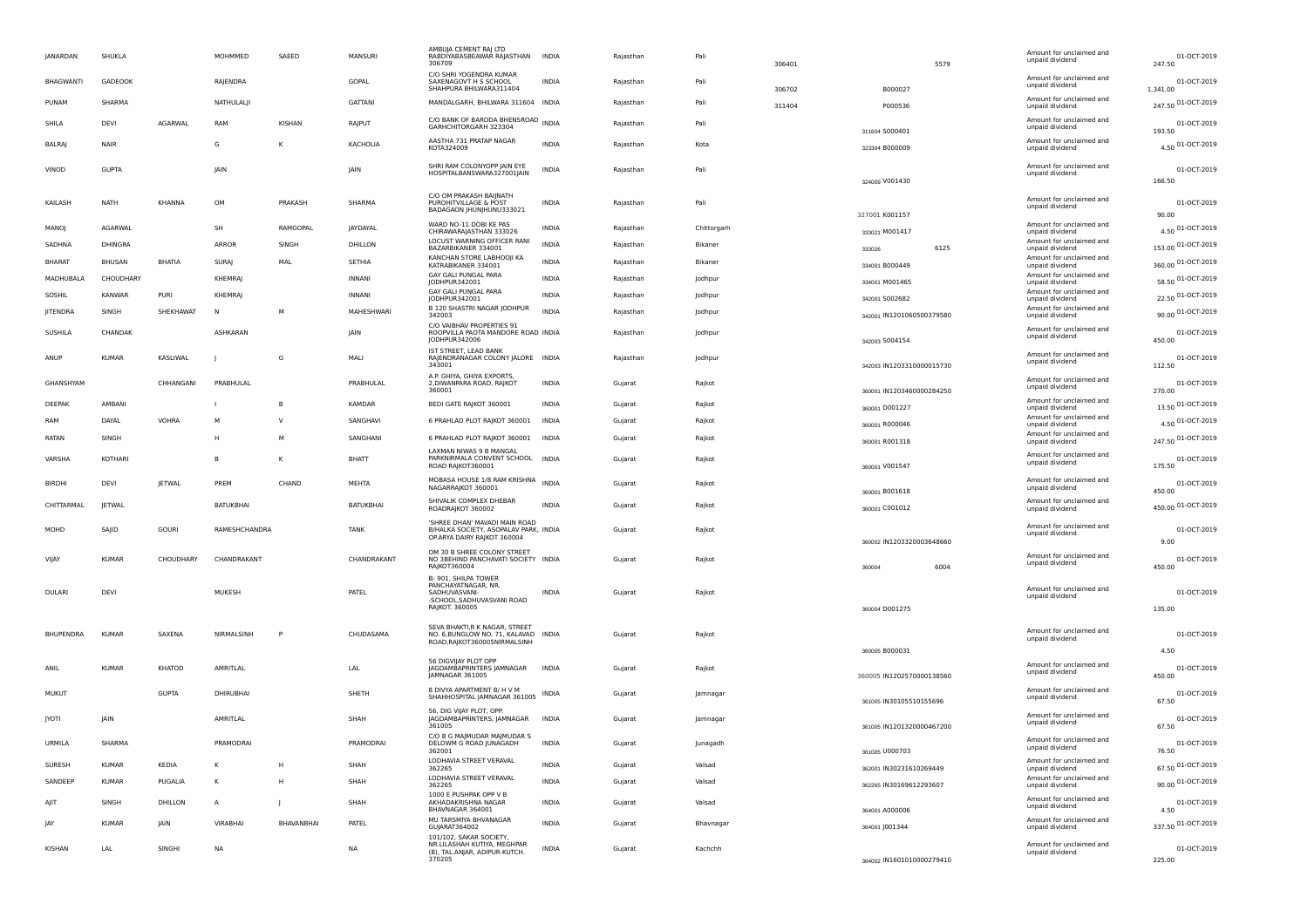| JANARDAN      | SHUKLA         |               | MOHMMED         | SAEED        | MANSURI         | AMBUJA CEMENT RAJ LTD<br>RABDIYABASBEAWAR RAJASTHAN<br>306709                                               | INDIA        | Rajasthan | Pali        | 306401 | 5579                                        | Amount for unclaimed and<br>unpaid dividend | 01-OCT-2019<br>247.50         |
|---------------|----------------|---------------|-----------------|--------------|-----------------|-------------------------------------------------------------------------------------------------------------|--------------|-----------|-------------|--------|---------------------------------------------|---------------------------------------------|-------------------------------|
| BHAGWANTI     | GADEOOK        |               | RAJENDRA        |              | GOPAL           | C/O SHRI YOGENDRA KUMAR<br>SAXENAGOVT H S SCHOOL<br>SHAHPURA BHILWARA311404                                 | <b>INDIA</b> | Rajasthan | Pali        | 306702 | B000027                                     | Amount for unclaimed and<br>unpaid dividend | 01-OCT-2019<br>1,341.00       |
| PUNAM         | SHARMA         |               | NATHULALJI      |              | GATTANI         | MANDALGARH, BHILWARA 311604 INDIA                                                                           |              | Rajasthan | Pali        | 311404 | P000536                                     | Amount for unclaimed and<br>unpaid dividend | 247.50 01-OCT-2019            |
| SHILA         | DEVI           | AGARWAL       | RAM             | KISHAN       | RAJPUT          | C/O BANK OF BARODA BHENSROAD INDIA<br>GARHCHITORGARH 323304                                                 |              | Rajasthan | Pali        |        | 311604 S000401                              | Amount for unclaimed and<br>unpaid dividend | 01-OCT-2019<br>193.50         |
| <b>BALRAJ</b> | NAIR           |               | G               | к            | KACHOLIA        | AASTHA 731 PRATAP NAGAR<br>KOTA324009                                                                       | <b>INDIA</b> | Rajasthan | Kota        |        | 323304 B000009                              | Amount for unclaimed and<br>unpaid dividend | 4.50 01-OCT-2019              |
| VINOD         | <b>GUPTA</b>   |               | <b>JAIN</b>     |              | <b>JAIN</b>     | SHRI RAM COLONYOPP JAIN EYE<br>HOSPITALBANSWARA327001JAIN                                                   | <b>INDIA</b> | Raiasthan | Pali        |        | 324009 V001430                              | Amount for unclaimed and<br>unpaid dividend | 01-OCT-2019<br>166.50         |
| KAILASH       | NATH           | KHANNA        | OM              | PRAKASH      | SHARMA          | C/O OM PRAKASH BAIJNATH<br>PUROHITVILLAGE & POST<br>BADAGAON JHUNJHUNU333021                                | INDIA        | Rajasthan | Pali        |        | 327001 K001157                              | Amount for unclaimed and<br>unpaid dividend | 01-OCT-2019<br>90.00          |
| MANOJ         | AGARWAL        |               | SH              | RAMGOPAL     | <b>JAYDAYAL</b> | WARD NO-11 DOBI KE PAS<br>CHIRAWARAJASTHAN 333026                                                           | <b>INDIA</b> | Rajasthan | Chittorgarh |        | 333021 M001417                              | Amount for unclaimed and<br>unpaid dividend | 4.50 01-OCT-2019              |
| SADHNA        | DHINGRA        |               | ARROR           | SINGH        | DHILLON         | LOCUST WARNING OFFICER RANI<br>BAZARBIKANER 334001                                                          | <b>INDIA</b> | Rajasthan | Bikaner     |        | 6125<br>333026                              | Amount for unclaimed and<br>unpaid dividend | 153.00 01-OCT-2019            |
| <b>BHARAT</b> | BHUSAN         | <b>BHATIA</b> | SURAJ           | MAL          | SETHIA          | KANCHAN STORE LABHOOJI KA<br>KATRABIKANER 334001                                                            | <b>INDIA</b> | Rajasthan | Bikaner     |        | 334001 B000449                              | Amount for unclaimed and<br>unpaid dividend | 360.00 01-OCT-2019            |
| MADHUBALA     | CHOUDHARY      |               | <b>KHEMRA</b>   |              | <b>INNANI</b>   | GAY GALI PUNGAL PARA<br>JODHPUR342001                                                                       | <b>INDIA</b> | Rajasthan | Jodhpur     |        | 334001 M001465                              | Amount for unclaimed and<br>unpaid dividend | 58.50 01-OCT-2019             |
| SOSHIL        | <b>KANWAR</b>  | PURI          | <b>KHEMRA</b>   |              | <b>INNANI</b>   | GAY GALI PUNGAL PARA<br>JODHPUR342001                                                                       | <b>INDIA</b> | Rajasthan | Jodhpur     |        | 342001 S002682                              | Amount for unclaimed and<br>unpaid dividend | 22.50 01-OCT-2019             |
| JITENDRA      | SINGH          | SHEKHAWAT     | <b>N</b>        | М            | MAHESHWARI      | B 120 SHASTRI NAGAR JODHPUR<br>342003                                                                       | <b>INDIA</b> | Rajasthan | Jodhpur     |        | 342001 IN1201060500379580                   | Amount for unclaimed and<br>unpaid dividend | 90.00 01-OCT-2019             |
| SUSHILA       | CHANDAK        |               | <b>ASHKARAN</b> |              | <b>JAIN</b>     | C/O VAIBHAV PROPERTIES 91<br>ROOPVILLA PAOTA MANDORE ROAD INDIA<br>JODHPUR342006                            |              | Rajasthan | Jodhpur     |        | 342003 S004154                              | Amount for unclaimed and<br>unpaid dividend | 01-OCT-2019<br>450.00         |
| ANUP          | <b>KUMAR</b>   | KASLIWAL      |                 | G            | MALI            | IST STREET, LEAD BANK<br>RAJENDRANAGAR COLONY JALORE INDIA<br>343001                                        |              | Rajasthan | Jodhpur     |        | 342003 IN1203310000015730                   | Amount for unclaimed and<br>unpaid dividend | 01-OCT-2019<br>112.50         |
| GHANSHYAM     |                | CHHANGANI     | PRABHULAL       |              | PRABHULAL       | A.P. GHIYA, GHIYA EXPORTS,<br>2, DIWANPARA ROAD, RAJKOT<br>360001                                           | <b>INDIA</b> | Gujarat   | Raikot      |        | 360001 IN1203460000284250                   | Amount for unclaimed and<br>unpaid dividend | 01-OCT-2019<br>270.00         |
| DEEPAK        | AMBANI         |               |                 | <b>B</b>     | KAMDAR          | BEDI GATE RAJKOT 360001                                                                                     | <b>INDIA</b> | Gujarat   | Rajkot      |        | 360001 D001227                              | Amount for unclaimed and<br>unpaid dividend | 13.50 01-OCT-2019             |
| RAM           | DAYAL          | <b>VOHRA</b>  | M               | $\vee$       | SANGHAVI        | 6 PRAHLAD PLOT RAJKOT 360001                                                                                | <b>INDIA</b> | Gujarat   | Rajkot      |        | 360001 R000046                              | Amount for unclaimed and<br>unpaid dividend | 4.50 01-OCT-2019              |
| RATAN         | SINGH          |               | H               | M            | SANGHANI        | 6 PRAHLAD PLOT RAJKOT 360001                                                                                | INDIA        | Gujarat   | Rajkot      |        | 360001 R001318                              | Amount for unclaimed and<br>unpaid dividend | 247.50 01-OCT-2019            |
| VARSHA        | <b>KOTHARI</b> |               | <b>B</b>        | к            | BHATT           | LAXMAN NIWAS 9 B MANGAL<br>PARKNIRMALA CONVENT SCHOOL INDIA<br>ROAD RAJKOT360001                            |              | Gujarat   | Rajkot      |        | 360001 V001547                              | Amount for unclaimed and<br>unpaid dividend | 01-OCT-2019<br>175.50         |
| <b>BIRDHI</b> | DEVI           | <b>JETWAL</b> | PREM            | CHAND        | MEHTA           | MOBASA HOUSE 1/8 RAM KRISHNA<br>NAGARRAJKOT 360001                                                          | <b>INDIA</b> | Gujarat   | Rajkot      |        | 360001 B001618                              | Amount for unclaimed and<br>unpaid dividend | 01-OCT-2019<br>450.00         |
| CHITTARMAL    | <b>JETWAL</b>  |               | BATUKBHAI       |              | BATUKBHAI       | SHIVALIK COMPLEX DHEBAR<br>ROADRAJKOT 360002                                                                | <b>INDIA</b> | Gujarat   | Raikot      |        | 360001 C001012                              | Amount for unclaimed and<br>unpaid dividend | 450.00 01-OCT-2019            |
| MOHD          | SAJID          | <b>GOURI</b>  | RAMESHCHANDRA   |              | <b>TANK</b>     | 'SHREE DHAN' MAVADI MAIN ROAD<br>B/HALKA SOCIETY, ASOPALAV PARK, INDIA<br>OP.ARYA DAIRY RAJKOT 360004       |              | Gujarat   | Rajkot      |        | 360002 IN1203320003648660                   | Amount for unclaimed and<br>unpaid dividend | 01-OCT-2019<br>9.00           |
| VIJAY         | <b>KUMAR</b>   | CHOUDHARY     | CHANDRAKANT     |              | CHANDRAKANT     | OM 30 B SHREE COLONY STREET<br>NO 3BEHIND PANCHAVATI SOCIETY INDIA<br>RAJKOT360004                          |              | Gujarat   | Rajkot      |        | 6004<br>360004                              | Amount for unclaimed and<br>unpaid dividend | 01-OCT-2019<br>450.00         |
| <b>DULARI</b> | DEVI           |               | MUKESH          |              | PATEL           | B-901, SHILPA TOWER<br>PANCHAYATNAGAR, NR.<br>SADHUVASVANI-<br>-SCHOOL, SADHUVASVANI ROAD<br>RAJKOT. 360005 | <b>INDIA</b> | Gujarat   | Rajkot      |        | 360004 D001275                              | Amount for unclaimed and<br>unpaid dividend | 01-OCT-2019<br>135.00         |
|               |                |               |                 |              |                 | SEVA BHAKTI, R K NAGAR, STREET                                                                              |              |           |             |        |                                             |                                             |                               |
| BHUPENDRA     | <b>KUMAR</b>   | SAXENA        | NIRMALSINH      |              | CHUDASAMA       | NO. 6, BUNGLOW NO. 71, KALAVAD INDIA<br>ROAD, RAJKOT360005NIRMALSINH                                        |              | Gujarat   | Rajkot      |        |                                             | Amount for unclaimed and<br>unpaid dividend | 01-OCT-2019                   |
| ANIL          | <b>KUMAR</b>   | KHATOD        | AMRITLAL        |              | LAL             | 56 DIGVIJAY PLOT OPP<br>JAGDAMBAPRINTERS JAMNAGAR<br>JAMNAGAR 361005                                        | <b>INDIA</b> | Gujarat   | Rajkot      |        | 360005 B000031<br>360005 IN1202570000138560 | Amount for unclaimed and<br>unpaid dividend | 4.50<br>01-OCT-2019<br>450.00 |
| <b>MUKUT</b>  |                | <b>GUPTA</b>  | DHIRUBHAI       |              | SHETH           | 8 DIVYA APARTMENT B/ H V M<br>SHAHHOSPITAL JAMNAGAR 361005                                                  | INDIA        | Gujarat   | Jamnagar    |        | 361005 IN30105510155696                     | Amount for unclaimed and<br>unpaid dividend | 01-OCT-2019<br>67.50          |
| <b>JYOTI</b>  | <b>JAIN</b>    |               | AMRITLAL        |              | SHAH            | 56, DIG VIJAY PLOT, OPP.<br>JAGDAMBAPRINTERS, JAMNAGAR<br>361005                                            | <b>INDIA</b> | Gujarat   | Jamnagar    |        | 361005 IN1201320000467200                   | Amount for unclaimed and<br>unpaid dividend | 01-OCT-2019<br>67.50          |
| URMILA        | SHARMA         |               | PRAMODRAI       |              | PRAMODRAI       | C/O B G MAJMUDAR MAJMUDAR S<br>DELOWM G ROAD JUNAGADH<br>362001                                             | INDIA        | Gujarat   | Junagadh    |        | 361005 U000703                              | Amount for unclaimed and<br>unpaid dividend | 01-OCT-2019<br>76.50          |
| SURESH        | <b>KUMAR</b>   | KEDIA         | к               | H            | SHAH            | LODHAVIA STREET VERAVAL<br>362265                                                                           | INDIA        | Gujarat   | Valsad      |        | 362001 IN30231610269449                     | Amount for unclaimed and<br>unpaid dividend | 67.50 01-OCT-2019             |
| SANDEEP       | <b>KUMAR</b>   | PUGALIA       |                 | H            | SHAH            | LODHAVIA STREET VERAVAL<br>362265                                                                           | INDIA        | Gujarat   | Valsad      |        | 362265 IN30169612293607                     | Amount for unclaimed and<br>unpaid dividend | 90.00 01-OCT-2019             |
| AJIT          | SINGH          | DHILLON       | A               | $\mathbf{I}$ | SHAH            | 1000 E PUSHPAK OPP V B<br>AKHADAKRISHNA NAGAR                                                               | INDIA        | Gujarat   | Valsad      |        |                                             | Amount for unclaimed and<br>unpaid dividend | 01-OCT-2019                   |
| JAY           | <b>KUMAR</b>   | JAIN          | VIRABHAI        | BHAVANBHAI   | PATEL           | BHAVNAGAR 364001<br>MU TARSMIYA BHVANAGAR<br>GUJARAT364002                                                  | INDIA        | Gujarat   | Bhavnagar   |        | 364001 A000006<br>364001 J001344            | Amount for unclaimed and<br>unpaid dividend | 4.50<br>337.50 01-OCT-2019    |
| KISHAN        | LAL            | SINGHI        | NA              |              | NA              | 101/102, SAKAR SOCIETY,<br>NR.LILASHAH KUTIYA, MEGHPAR<br>(B), TAL.ANJAR, ADIPUR-KUTCH.<br>370205           | <b>INDIA</b> | Gujarat   | Kachchh     |        | 364002 IN1601010000279410                   | Amount for unclaimed and<br>unpaid dividend | 01-OCT-2019<br>225.00         |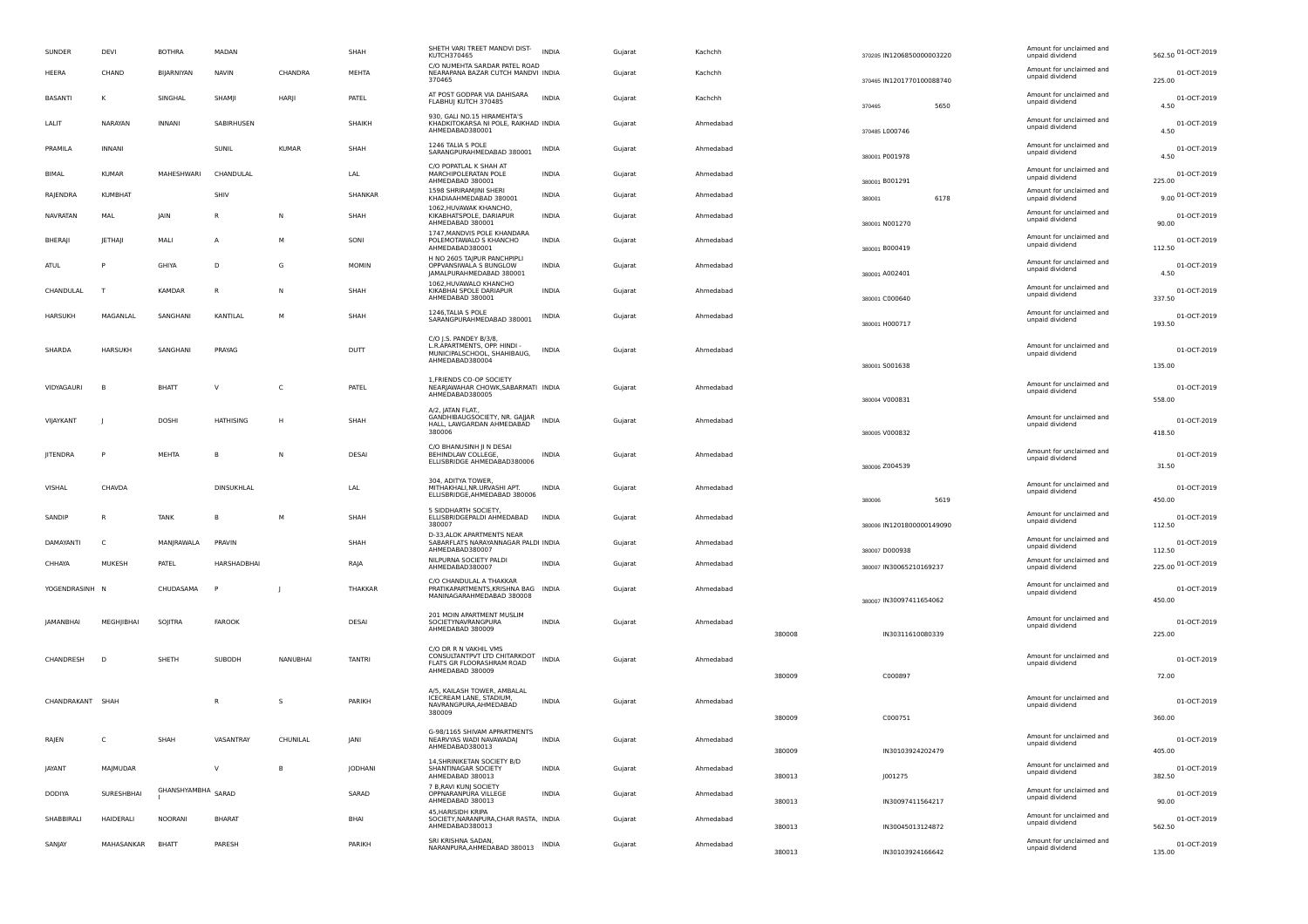| SUNDER           | DEVI             | <b>BOTHRA</b>      | MADAN            |              | SHAH           | SHETH VARI TREET MANDVI DIST-<br><b>KUTCH370465</b>                                    | <b>INDIA</b> | Gujarat | Kachchh   |        | 370205 IN1206850000003220                 |      | Amount for unclaimed and<br>unpaid dividend | 562.50 01-OCT-2019              |
|------------------|------------------|--------------------|------------------|--------------|----------------|----------------------------------------------------------------------------------------|--------------|---------|-----------|--------|-------------------------------------------|------|---------------------------------------------|---------------------------------|
| HEERA            | CHAND            | BIIARNIYAN         | <b>NAVIN</b>     | CHANDRA      | <b>MEHTA</b>   | C/O NUMEHTA SARDAR PATEL ROAD<br>NEARAPANA BAZAR CUTCH MANDVI INDIA<br>370465          |              | Gujarat | Kachchh   |        | 370465 IN1201770100088740                 |      | Amount for unclaimed and<br>unpaid dividend | 01-OCT-2019<br>225.00           |
| <b>BASANTI</b>   |                  | SINGHAL            | SHAMII           | HARI         | PATEL          | AT POST GODPAR VIA DAHISARA<br>FLABHUJ KUTCH 370485                                    | <b>INDIA</b> | Gujarat | Kachchh   |        | 370465                                    | 5650 | Amount for unclaimed and<br>unpaid dividend | 01-OCT-2019<br>4.50             |
| LALIT            | NARAYAN          | <b>INNANI</b>      | SABIRHUSEN       |              | SHAIKH         | 930. GALI NO.15 HIRAMEHTA'S<br>KHADKITOKARSA NI POLE, RAIKHAD INDIA<br>AHMEDABAD380001 |              | Gujarat | Ahmedabad |        | 370485 L000746                            |      | Amount for unclaimed and<br>unpaid dividend | 01-OCT-2019<br>4.50             |
| PRAMILA          | <b>INNANI</b>    |                    | SUNIL            | <b>KUMAR</b> | SHAH           | 1246 TALIA S POLE<br>SARANGPURAHMEDABAD 380001                                         | INDIA        | Gujarat | Ahmedabad |        | 380001 P001978                            |      | Amount for unclaimed and<br>unpaid dividend | 01-OCT-2019<br>4.50             |
| <b>BIMAL</b>     | <b>KUMAR</b>     | MAHESHWARI         | CHANDULAL        |              | LAL            | C/O POPATLAL K SHAH AT<br><b>MARCHIPOLERATAN POLE</b><br>AHMEDABAD 380001              | <b>INDIA</b> | Gujarat | Ahmedabad |        | 380001 B001291                            |      | Amount for unclaimed and<br>unpaid dividend | 01-OCT-2019<br>225.00           |
| RAJENDRA         | <b>KUMBHAT</b>   |                    | SHIV             |              | SHANKAR        | 1598 SHRIRAMIINI SHERI<br>KHADIAAHMEDABAD 380001                                       | INDIA        | Gujarat | Ahmedabad |        | 380001                                    | 6178 | Amount for unclaimed and<br>unpaid dividend | 9.00 01-OCT-2019                |
| <b>NAVRATAN</b>  | MAL              | JAIN               | R                | N            | SHAH           | 1062, HUVAWAK KHANCHO,<br>KIKABHATSPOLE, DARIAPUR<br>AHMEDABAD 380001                  | <b>INDIA</b> | Gujarat | Ahmedabad |        | 380001 N001270                            |      | Amount for unclaimed and<br>unpaid dividend | 01-OCT-2019<br>90.00            |
| BHERAJI          | <b>IETHAI</b>    | MALI               | A                | M            | SONI           | 1747 MANDVIS POLE KHANDARA<br>POLEMOTAWALO S KHANCHO<br>AHMEDABAD380001                | <b>INDIA</b> | Guiarat | Ahmedabad |        | 380001 B000419                            |      | Amount for unclaimed and<br>unpaid dividend | 01-OCT-2019<br>112.50           |
| ATUL             |                  | <b>GHIYA</b>       | D.               | G            | <b>MOMIN</b>   | H NO 2605 TAJPUR PANCHPIPLI<br>OPPVANSIWALA S BUNGLOW<br>JAMALPURAHMEDABAD 380001      | <b>INDIA</b> | Guiarat | Ahmedahad |        | 380001 A002401                            |      | Amount for unclaimed and<br>unpaid dividend | 01-OCT-2019<br>4.50             |
| CHANDULAL        | $\tau$           | KAMDAR             | $\mathsf{R}$     | ${\sf N}$    | SHAH           | 1062, HUVAWALO KHANCHO<br>KIKABHAI SPOLE DARIAPUR<br>AHMEDABAD 380001                  | <b>INDIA</b> | Gujarat | Ahmedabad |        | 380001 C000640                            |      | Amount for unclaimed and<br>unpaid dividend | 01-OCT-2019<br>337.50           |
| <b>HARSUKH</b>   | MAGANLAL         | SANGHANI           | KANTILAL         | M            | SHAH           | 1246, TALIA S POLE<br>SARANGPURAHMEDABAD 380001                                        | <b>INDIA</b> | Gujarat | Ahmedabad |        | 380001 H000717                            |      | Amount for unclaimed and<br>unpaid dividend | 01-OCT-2019<br>193.50           |
| SHARDA           | <b>HARSUKH</b>   | SANGHANI           | PRAYAG           |              | <b>DUTT</b>    | C/O J.S. PANDEY B/3/8,<br>L.R. APARTMENTS, OPP. HINDI -<br>MUNICIPALSCHOOL, SHAHIBAUG, | <b>INDIA</b> | Gujarat | Ahmedabad |        |                                           |      | Amount for unclaimed and<br>unpaid dividend | 01-OCT-2019                     |
|                  |                  |                    |                  |              |                | AHMEDABAD380004                                                                        |              |         |           |        | 380001 5001638                            |      |                                             | 135.00                          |
| VIDYAGAURI       |                  | BHATT              | $\vee$           | C            | PATEL          | 1. FRIENDS CO-OP SOCIETY<br>NEARJAWAHAR CHOWK, SABARMATI INDIA<br>AHMEDABAD380005      |              | Guiarat | Ahmedabad |        | 380004 V000831                            |      | Amount for unclaimed and<br>unpaid dividend | 01-OCT-2019<br>558.00           |
|                  |                  |                    |                  |              |                | A/2, JATAN FLAT.,<br>GANDHIBAUGSOCIETY, NR. GAJJAR                                     |              |         |           |        |                                           |      | Amount for unclaimed and                    |                                 |
| VIIAYKANT        |                  | <b>DOSHI</b>       | <b>HATHISING</b> | H            | SHAH           | HALL, LAWGARDAN AHMEDABAD<br>380006                                                    | <b>INDIA</b> | Gujarat | Ahmedabad |        | 380005 V000832                            |      | unpaid dividend                             | 01-OCT-2019<br>418.50           |
| <b>IITENDRA</b>  |                  | MEHTA              | B                | $\mathsf{N}$ | DESAI          | C/O BHANUSINH JI N DESAI<br>BEHINDLAW COLLEGE,<br>ELLISBRIDGE AHMEDABAD380006          | <b>INDIA</b> | Gujarat | Ahmedabad |        | 380006 Z004539                            |      | Amount for unclaimed and<br>unpaid dividend | 01-OCT-2019<br>31.50            |
| VISHAL           | CHAVDA           |                    | DINSUKHI AI      |              | I AI           | 304, ADITYA TOWER,<br>MITHAKHALI, NR.URVASHI APT.<br>ELLISBRIDGE, AHMEDABAD 380006     | <b>INDIA</b> | Guiarat | Ahmedahad |        |                                           |      | Amount for unclaimed and<br>unpaid dividend | 01-OCT-2019                     |
| SANDIP           |                  | <b>TANK</b>        | B                | M            | SHAH           | 5 SIDDHARTH SOCIETY.<br>ELLISBRIDGEPALDI AHMEDABAD<br>380007                           | <b>INDIA</b> | Guiarat | Ahmedabad |        | 380006<br>380006 IN1201800000149090       | 5619 | Amount for unclaimed and<br>unpaid dividend | 450.00<br>01-OCT-2019<br>112.50 |
| DAMAYANTI        | $\mathsf{C}$     | MANIRAWALA         | PRAVIN           |              | SHAH           | D-33, ALOK APARTMENTS NEAR<br>SABARFLATS NARAYANNAGAR PALDI INDIA                      |              | Gujarat | Ahmedahad |        |                                           |      | Amount for unclaimed and<br>unpaid dividend | 01-OCT-2019                     |
| CHHAYA           | MUKESH           | PATEL              | HARSHADBHAI      |              | RAIA           | AHMEDABAD380007<br>NILPURNA SOCIETY PALDI<br>AHMEDABAD380007                           | <b>INDIA</b> | Guiarat | Ahmedabad |        | 380007 D000938<br>380007 IN30065210169237 |      | Amount for unclaimed and<br>unpaid dividend | 112.50<br>225.00 01-OCT-2019    |
| YOGENDRASINH     | - N              | CHUDASAMA          | P                |              | THAKKAR        | C/O CHANDULAL A THAKKAR<br>PRATIKAPARTMENTS KRISHNA BAG INDIA                          |              | Guiarat | Ahmedahad |        |                                           |      | Amount for unclaimed and<br>unpaid dividend | 01-OCT-2019                     |
|                  |                  |                    |                  |              |                | MANINAGARAHMEDABAD 380008                                                              |              |         |           |        | 380007 IN30097411654062                   |      |                                             | 450.00                          |
| JAMANBHAI        | MEGHJIBHAI       | SOJITRA            | FAROOK           |              | DESAI          | 201 MOIN APARTMENT MUSLIM<br>SOCIETYNAVRANGPURA<br>AHMEDABAD 380009                    | INDIA        | Gujarat | Ahmedabad | 380008 | IN30311610080339                          |      | Amount for unclaimed and<br>unpaid dividend | 01-OCT-2019<br>225.00           |
|                  |                  |                    |                  |              |                | C/O DR R N VAKHIL VMS<br>CONSULTANTPVT LTD CHITARKOOT                                  |              |         |           |        |                                           |      | Amount for unclaimed and                    |                                 |
| CHANDRESH        | D                | SHETH              | SUBODH           | NANUBHAI     | <b>TANTRI</b>  | FLATS GR FLOORASHRAM ROAD<br>AHMEDABAD 380009                                          | <b>INDIA</b> | Gujarat | Ahmedabad | 380009 | C000897                                   |      | unpaid dividend                             | 01-OCT-2019                     |
|                  |                  |                    |                  |              |                | A/5, KAILASH TOWER, AMBALAL                                                            |              |         |           |        |                                           |      |                                             | 72.00                           |
| CHANDRAKANT SHAH |                  |                    | R                | s            | PARIKH         | ICECREAM LANE, STADIUM,<br>NAVRANGPURA, AHMEDABAD<br>380009                            | <b>INDIA</b> | Guiarat | Ahmedabad |        |                                           |      | Amount for unclaimed and<br>unpaid dividend | 01-OCT-2019                     |
|                  |                  |                    |                  |              |                |                                                                                        |              |         |           | 380009 | C000751                                   |      |                                             | 360.00                          |
| RAJEN            |                  | SHAH               | VASANTRAY        | CHUNILAL     | <b>IANI</b>    | G-98/1165 SHIVAM APPARTMENTS<br>NEARVYAS WADI NAVAWADAJ<br>AHMEDABAD380013             | <b>INDIA</b> | Gujarat | Ahmedabad | 380009 | IN30103924202479                          |      | Amount for unclaimed and<br>unpaid dividend | 01-OCT-2019<br>405.00           |
| <b>IAYANT</b>    | MAIMUDAR         |                    | V                | B            | <b>IODHANI</b> | 14, SHRINIKETAN SOCIETY B/D<br>SHANTINAGAR SOCIETY<br>AHMEDABAD 380013                 | <b>INDIA</b> | Gujarat | Ahmedabad | 380013 | J001275                                   |      | Amount for unclaimed and<br>unpaid dividend | 01-OCT-2019<br>382.50           |
| <b>DODIYA</b>    | SURESHBHAI       | GHANSHYAMBHA SARAD |                  |              | SARAD          | 7 B.RAVI KUNI SOCIETY<br>OPPNARANPURA VILLEGE<br>AHMEDABAD 380013                      | <b>INDIA</b> | Guiarat | Ahmedabad | 380013 | IN30097411564217                          |      | Amount for unclaimed and<br>unpaid dividend | 01-OCT-2019<br>90.00            |
| SHABBIRALL       | <b>HAIDERALI</b> | <b>NOORANI</b>     | <b>BHARAT</b>    |              | <b>BHAI</b>    | 45, HARISIDH KRIPA<br>SOCIETY.NARANPURA.CHAR RASTA. INDIA<br>AHMEDABAD380013           |              | Guiarat | Ahmedabad | 380013 | IN30045013124872                          |      | Amount for unclaimed and<br>unpaid dividend | 01-OCT-2019<br>562.50           |
| SANJAY           | MAHASANKAR       | <b>BHATT</b>       | PARESH           |              | PARIKH         | SRI KRISHNA SADAN.<br>NARANPURA, AHMEDABAD 380013                                      | INDIA        | Gujarat | Ahmedabad | 380013 | IN30103924166642                          |      | Amount for unclaimed and<br>unpaid dividend | 01-OCT-2019<br>135.00           |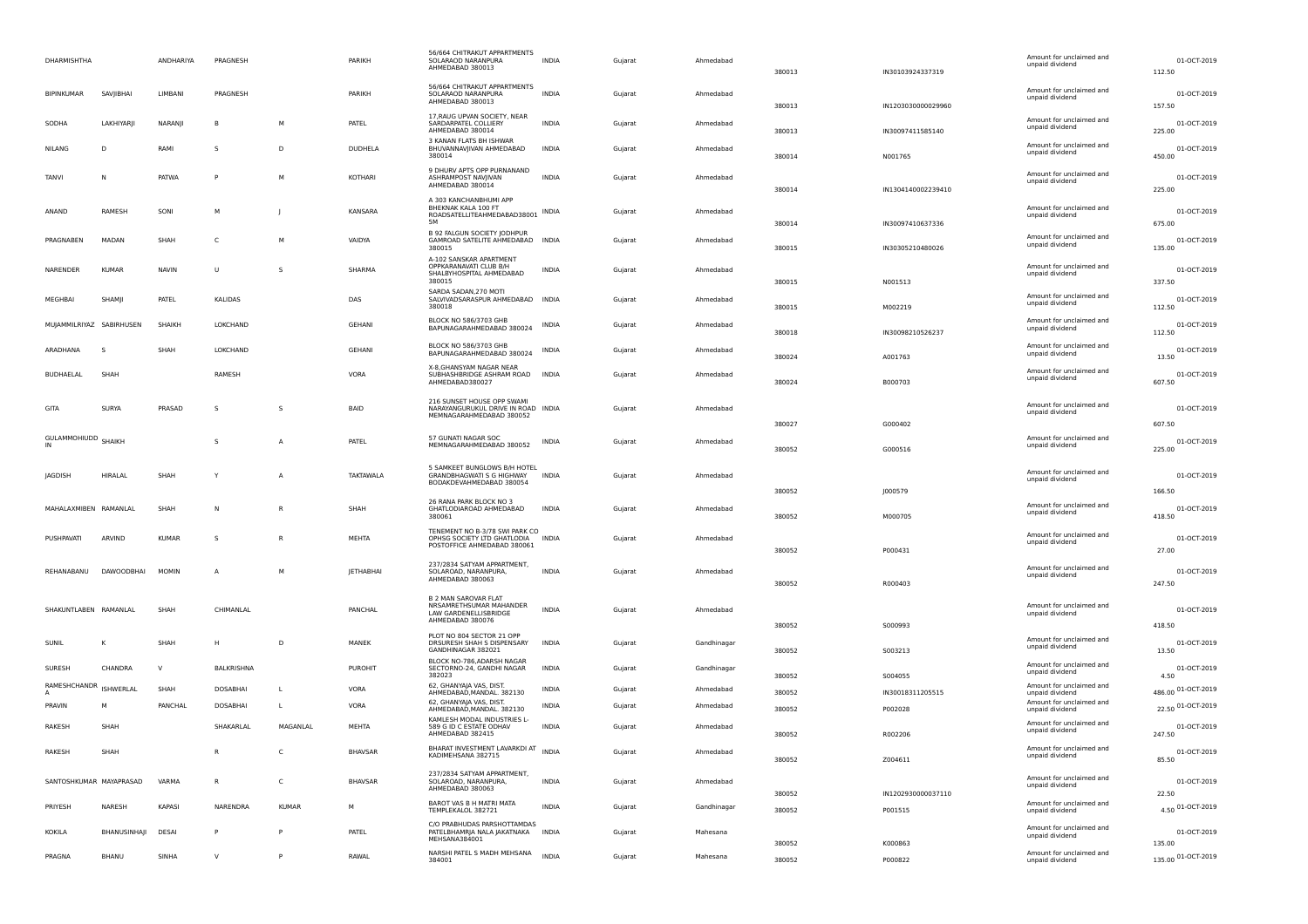| <b>DHARMISHTHA</b>       |              | ANDHARIYA    | PRAGNESH        |              | PARIKH         | 56/664 CHITRAKUT APPARTMENTS<br>SOLARAOD NARANPURA<br>AHMEDABAD 380013                                 | <b>INDIA</b> | Gujarat | Ahmedabad   | 380013           | IN30103924337319              | Amount for unclaimed and<br>unpaid dividend | 01-OCT-2019<br>112.50           |
|--------------------------|--------------|--------------|-----------------|--------------|----------------|--------------------------------------------------------------------------------------------------------|--------------|---------|-------------|------------------|-------------------------------|---------------------------------------------|---------------------------------|
| BIPINKUMAR               | SAVJIBHAI    | LIMBANI      | PRAGNESH        |              | PARIKH         | 56/664 CHITRAKUT APPARTMENTS<br>SOLARAOD NARANPURA<br>AHMEDABAD 380013                                 | INDIA        | Gujarat | Ahmedabad   | 380013           | IN1203030000029960            | Amount for unclaimed and<br>unpaid dividend | 01-OCT-2019<br>157.50           |
| SODHA                    | LAKHIYARJI   | NARANJI      | B               | M            | PATEL          | 17, RAUG UPVAN SOCIETY, NEAR<br>SARDARPATEL COLLIERY<br>AHMEDABAD 380014                               | <b>INDIA</b> | Gujarat | Ahmedabad   | 380013           | IN30097411585140              | Amount for unclaimed and<br>unpaid dividend | 01-OCT-2019<br>225.00           |
| NILANG                   | D            | RAMI         | S               | D            | DUDHELA        | 3 KANAN FLATS BH ISHWAR<br>BHUVANNAVJIVAN AHMEDABAD<br>380014                                          | <b>INDIA</b> | Gujarat | Ahmedabad   | 380014           | N001765                       | Amount for unclaimed and<br>unpaid dividend | 01-OCT-2019<br>450.00           |
| TANVI                    | N            | PATWA        | p               | М            | KOTHARI        | 9 DHURV APTS OPP PURNANAND<br>ASHRAMPOST NAVJIVAN<br>AHMEDABAD 380014                                  | INDIA        | Gujarat | Ahmedabad   | 380014           | IN1304140002239410            | Amount for unclaimed and<br>unpaid dividend | 01-OCT-2019<br>225.00           |
| ANAND                    | RAMESH       | SONI         | м               |              | KANSARA        | A 303 KANCHANBHUMI APP<br><b>BHFKNAK KALA 100 FT</b><br>ROADSATELLITEAHMEDABAD38001 INDIA<br><b>5M</b> |              | Gujarat | Ahmedabad   | 380014           | IN30097410637336              | Amount for unclaimed and<br>unpaid dividend | 01-OCT-2019<br>675.00           |
| PRAGNABEN                | MADAN        | SHAH         | C               | М            | VAIDYA         | B 92 FALGUN SOCIETY JODHPUR<br>GAMROAD SATELITE AHMEDABAD INDIA<br>380015                              |              | Gujarat | Ahmedabad   | 380015           | IN30305210480026              | Amount for unclaimed and<br>unpaid dividend | 01-OCT-2019<br>135.00           |
| NARENDER                 | <b>KUMAR</b> | <b>NAVIN</b> | U               | S            | SHARMA         | A-102 SANSKAR APARTMENT<br>OPPKARANAVATI CLUB B/H<br>SHALBYHOSPITAL AHMEDABAD<br>380015                | INDIA        | Gujarat | Ahmedabad   | 380015           | N001513                       | Amount for unclaimed and<br>unpaid dividend | 01-OCT-2019<br>337.50           |
| MEGHBAI                  | SHAMJI       | PATEL        | KALIDAS         |              | DAS            | SARDA SADAN, 270 MOTI<br>SALVIVADSARASPUR AHMEDABAD INDIA<br>380018                                    |              | Gujarat | Ahmedabad   | 380015           | M002219                       | Amount for unclaimed and<br>unpaid dividend | 01-OCT-2019<br>112.50           |
| MUJAMMILRIYAZ SABIRHUSEN |              | SHAIKH       | LOKCHAND        |              | GEHANI         | BLOCK NO 586/3703 GHB<br>BAPUNAGARAHMEDABAD 380024                                                     | INDIA        | Gujarat | Ahmedabad   | 380018           | IN30098210526237              | Amount for unclaimed and<br>unpaid dividend | 01-OCT-2019<br>112.50           |
| ARADHANA                 | -S           | SHAH         | LOKCHAND        |              | <b>GEHANI</b>  | BLOCK NO 586/3703 GHB<br>BAPUNAGARAHMEDABAD 380024                                                     | INDIA        | Gujarat | Ahmedabad   | 380024           | A001763                       | Amount for unclaimed and<br>unpaid dividend | 01-OCT-2019<br>13.50            |
| <b>BUDHAELAL</b>         | SHAH         |              | RAMESH          |              | VORA           | X-8, GHANSYAM NAGAR NEAR<br>SUBHASHBRIDGE ASHRAM ROAD<br>AHMEDABAD380027                               | <b>INDIA</b> | Gujarat | Ahmedabad   | 380024           | B000703                       | Amount for unclaimed and<br>unpaid dividend | 01-OCT-2019<br>607.50           |
| GITA                     | <b>SURYA</b> | PRASAD       | s               | s            | BAID           | 216 SUNSET HOUSE OPP SWAMI<br>NARAYANGURUKUL DRIVE IN ROAD INDIA<br>MEMNAGARAHMEDABAD 380052           |              | Gujarat | Ahmedabad   |                  |                               | Amount for unclaimed and<br>unpaid dividend | 01-OCT-2019                     |
| GULAMMOHIUDD SHAIKH      |              |              | S               | A            | PATEL          | 57 GUNATI NAGAR SOC<br>MEMNAGARAHMEDABAD 380052                                                        | INDIA        | Gujarat | Ahmedabad   | 380027<br>380052 | G000402<br>G000516            | Amount for unclaimed and<br>unpaid dividend | 607.50<br>01-OCT-2019<br>225.00 |
| <b>JAGDISH</b>           | HIRALAL      | SHAH         | Y               | А            | TAKTAWALA      | 5 SAMKEET BUNGLOWS B/H HOTEL<br>GRANDBHAGWATI S G HIGHWAY<br>BODAKDEVAHMEDABAD 380054                  | <b>INDIA</b> | Gujarat | Ahmedabad   |                  |                               | Amount for unclaimed and<br>unpaid dividend | 01-OCT-2019                     |
| MAHALAXMIBEN RAMANLAL    |              | SHAH         | N               | R            | SHAH           | 26 RANA PARK BLOCK NO 3<br>GHATLODIAROAD AHMEDABAD                                                     | INDIA        | Gujarat | Ahmedabad   | 380052           | J000579                       | Amount for unclaimed and                    | 166.50<br>01-OCT-2019           |
|                          |              |              |                 |              |                | 380061<br>TENEMENT NO B-3/78 SWI PARK CO                                                               |              |         |             | 380052           | M000705                       | unpaid dividend<br>Amount for unclaimed and | 418.50                          |
| <b>PUSHPAVATI</b>        | ARVIND       | <b>KUMAR</b> | s               | R            | MEHTA          | OPHSG SOCIETY LTD GHATLODIA<br>POSTOFFICE AHMEDABAD 380061                                             | <b>INDIA</b> | Gujarat | Ahmedabad   | 380052           | P000431                       | unpaid dividend                             | 01-OCT-2019<br>27.00            |
| REHANABANU               | DAWOODBHAI   | <b>MOMIN</b> | A               | М            | JETHABHAI      | 237/2834 SATYAM APPARTMENT,<br>SOLAROAD, NARANPURA,<br>AHMEDABAD 380063                                | INDIA        | Gujarat | Ahmedabad   | 380052           | R000403                       | Amount for unclaimed and<br>unpaid dividend | 01-OCT-2019<br>247.50           |
| SHAKUNTLABEN RAMANLAL    |              | SHAH         | CHIMANLAL       |              | PANCHAL        | <b>B 2 MAN SAROVAR FLAT</b><br>NRSAMRETHSUMAR MAHANDER<br>LAW GARDENELLISBRIDGE<br>AHMEDABAD 380076    | <b>INDIA</b> | Gujarat | Ahmedabad   |                  |                               | Amount for unclaimed and<br>unpaid dividend | 01-OCT-2019                     |
| SUNIL                    | к            | SHAH         | Н               | D            | MANEK          | PLOT NO 804 SECTOR 21 OPP<br>DRSURESH SHAH S DISPENSARY                                                | <b>INDIA</b> | Gujarat | Gandhinagar | 380052           | S000993                       | Amount for unclaimed and<br>unpaid dividend | 418.50<br>01-OCT-2019           |
| SURESH                   | CHANDRA      | $\vee$       | BALKRISHNA      |              | PUROHIT        | GANDHINAGAR 382021<br>BLOCK NO-786.ADARSH NAGAR<br>SECTORNO-24, GANDHI NAGAR                           | INDIA        | Gujarat | Gandhinagar | 380052           | 5003213                       | Amount for unclaimed and<br>unpaid dividend | 13.50<br>01-OCT-2019            |
| RAMESHCHANDR             | ISHWERLAL    | SHAH         | <b>DOSABHAI</b> | L            | VORA           | 382023<br>62, GHANYAJA VAS, DIST.<br>AHMEDABAD, MANDAL. 382130                                         | INDIA        | Gujarat | Ahmedabad   | 380052<br>380052 | S004055<br>IN30018311205515   | Amount for unclaimed and<br>unpaid dividend | 4.50<br>486.00 01-OCT-2019      |
| PRAVIN                   | м            | PANCHAL      | DOSABHAI        | L            | VORA           | 62, GHANYAJA VAS, DIST.<br>AHMEDABAD, MANDAL. 382130                                                   | INDIA        | Gujarat | Ahmedabad   | 380052           | P002028                       | Amount for unclaimed and<br>unpaid dividend | 22.50 01-OCT-2019               |
| RAKESH                   | SHAH         |              | SHAKARLAL       | MAGANLAL     | MEHTA          | KAMLESH MODAL INDUSTRIES L-<br>589 G ID C ESTATE ODHAV<br>AHMEDABAD 382415                             | <b>INDIA</b> | Gujarat | Ahmedabad   | 380052           | R002206                       | Amount for unclaimed and<br>unpaid dividend | 01-OCT-2019<br>247.50           |
| RAKESH                   | SHAH         |              |                 | c            | <b>BHAVSAR</b> | BHARAT INVESTMENT LAVARKDI AT INDIA<br>KADIMEHSANA 382715                                              |              | Gujarat | Ahmedabad   | 380052           | Z004611                       | Amount for unclaimed and<br>unpaid dividend | 01-OCT-2019<br>85.50            |
| SANTOSHKUMAR MAYAPRASAD  |              | VARMA        | R               | $\mathsf{C}$ | <b>BHAVSAR</b> | 237/2834 SATYAM APPARTMENT,<br>SOLAROAD, NARANPURA,<br>AHMEDABAD 380063                                | <b>INDIA</b> | Gujarat | Ahmedabad   |                  |                               | Amount for unclaimed and<br>unpaid dividend | 01-OCT-2019                     |
| PRIYESH                  | NARESH       | KAPASI       | NARENDRA        | <b>KUMAR</b> | M              | BAROT VAS B H MATRI MATA<br>TEMPLEKALOL 382721                                                         | <b>INDIA</b> | Gujarat | Gandhinagar | 380052<br>380052 | IN1202930000037110<br>P001515 | Amount for unclaimed and<br>unpaid dividend | 22.50<br>4.50 01-OCT-2019       |
| KOKILA                   | BHANUSINHAJI | DESAI        | P               | P            | PATEL          | C/O PRABHUDAS PARSHOTTAMDAS<br>PATELBHAMRJA NALA JAKATNAKA INDIA<br>MEHSANA384001                      |              | Gujarat | Mahesana    |                  |                               | Amount for unclaimed and<br>unpaid dividend | 01-OCT-2019                     |
| PRAGNA                   | BHANU        | SINHA        | $\vee$          | P            | RAWAL          | NARSHI PATEL S MADH MEHSANA                                                                            | <b>INDIA</b> |         | Mahesana    | 380052           | K000863                       | Amount for unclaimed and                    | 135.00<br>135.00 01-OCT-2019    |
|                          |              |              |                 |              |                | 384001                                                                                                 |              | Gujarat |             | 380052           | P000822                       | unpaid dividend                             |                                 |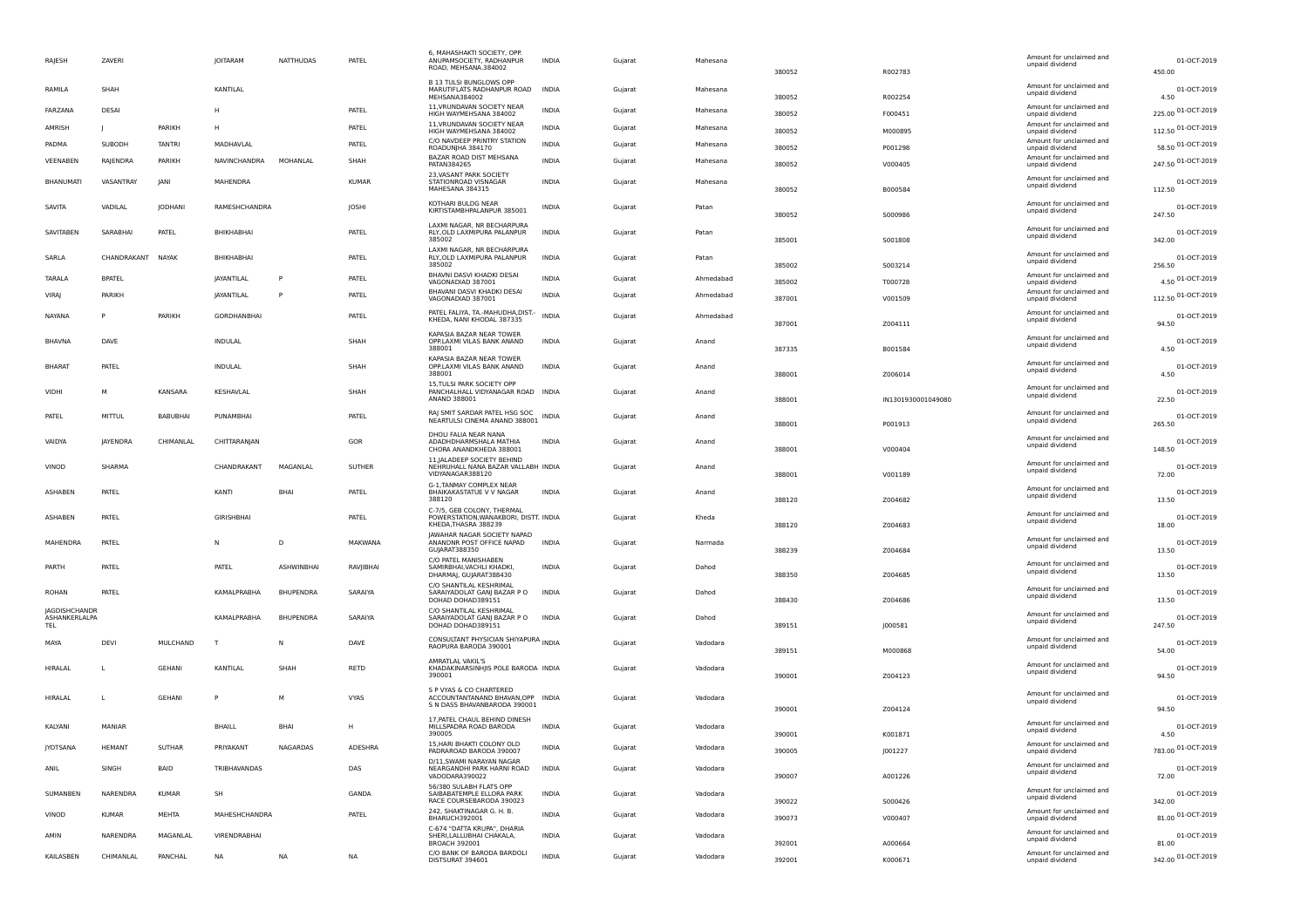| RAJESH                                | ZAVERI          |                | <b>JOITARAM</b>     | <b>NATTHUDAS</b>  | PATEL          | 6. MAHASHAKTI SOCIETY. OPI<br>ANUPAMSOCIETY, RADHANPUR<br>ROAD, MEHSANA.384002               | INDIA        | Gujarat | Mahesana  | 380052           | R002783            | Amount for unclaimed and<br>unpaid dividend | 01-OCT-2019<br>450.00       |
|---------------------------------------|-----------------|----------------|---------------------|-------------------|----------------|----------------------------------------------------------------------------------------------|--------------|---------|-----------|------------------|--------------------|---------------------------------------------|-----------------------------|
| RAMILA                                | SHAH            |                | KANTILAL            |                   |                | <b>B 13 TULSI BUNGLOWS OPP</b><br>MARUTIFLATS RADHANPUR ROAD                                 | <b>INDIA</b> | Guiarat | Mahesana  |                  |                    | Amount for unclaimed and<br>unpaid dividend | 01-OCT-2019                 |
| FARZANA                               | DESAI           |                | H                   |                   | PATEL          | MEHSANA384002<br>11, VRUNDAVAN SOCIETY NEAR<br>HIGH WAYMEHSANA 384002                        | <b>INDIA</b> | Gujarat | Mahesana  | 380052<br>380052 | R002254<br>F000451 | Amount for unclaimed and<br>unpaid dividend | 4.50<br>225.00 01-OCT-2019  |
| AMRISH                                |                 | PARIKH         | н                   |                   | PATEL          | 11. VRUNDAVAN SOCIETY NEAR<br>HIGH WAYMEHSANA 384002                                         | <b>INDIA</b> | Guiarat | Mahesana  | 380052           | M000895            | Amount for unclaimed and<br>unpaid dividend | 112.50 01-OCT-2019          |
| PADMA                                 | SUBODH          | <b>TANTRI</b>  | MADHAVLAL           |                   | PATEL          | C/O NAVDEEP PRINTRY STATION<br>ROADUN HA 384170                                              | <b>INDIA</b> | Gujarat | Mahesana  | 380052           | P001298            | Amount for unclaimed and<br>unpaid dividend | 58.50 01-OCT-2019           |
| VEENABEN                              | RAIENDRA        | PARIKH         | NAVINCHANDRA        | MOHANLAL          | SHAH           | BAZAR ROAD DIST MEHSANA<br>PATAN384265                                                       | <b>INDIA</b> | Gujarat | Mahesana  | 380052           | V000405            | Amount for unclaimed and<br>unpaid dividend | 247.50 01-OCT-2019          |
| <b>BHANUMATI</b>                      | VASANTRAY       | <b>JANI</b>    | <b>MAHFNDRA</b>     |                   | KUMAR          | 23, VASANT PARK SOCIETY<br>STATIONROAD VISNAGAR                                              | <b>INDIA</b> | Gujarat | Mahesana  |                  |                    | Amount for unclaimed and<br>unpaid dividend | 01-OCT-2019                 |
| SAVITA                                | VADILAL         | <b>JODHANI</b> | RAMESHCHANDRA       |                   | <b>JOSHI</b>   | MAHESANA 384315<br>KOTHARI BULDG NEAR<br>KIRTISTAMBHPALANPUR 385001                          | INDIA        | Gujarat | Patan     | 380052           | B000584            | Amount for unclaimed and<br>unpaid dividend | 112.50<br>01-OCT-2019       |
| SAVITABEN                             | SARABHAI        | PATEL          | BHIKHABHAI          |                   | PATEL          | LAXMI NAGAR, NR BECHARPURA<br>RLY., OLD LAXMIPURA PALANPUR                                   | <b>INDIA</b> | Gujarat | Patan     | 380052           | 5000986            | Amount for unclaimed and<br>unpaid dividend | 247.50<br>01-OCT-2019       |
|                                       |                 |                |                     |                   |                | 385002<br><b>LAXMLNAGAR, NR RECHARPURA</b>                                                   |              |         |           | 385001           | S001808            | Amount for unclaimed and                    | 342.00                      |
| SARLA                                 | CHANDRAKANT     | NAYAK          | BHIKHABHAI          |                   | PATEL          | RLY., OLD LAXMIPURA PALANPUR<br>385002                                                       | <b>INDIA</b> | Gujarat | Patan     | 385002           | S003214            | unpaid dividend                             | 01-OCT-2019<br>256.50       |
| TARALA                                | <b>BPATEL</b>   |                | <b>IAYANTILAL</b>   |                   | PATEL          | BHAVNI DASVI KHADKI DESAI<br>VAGONADIAD 387001                                               | <b>INDIA</b> | Gujarat | Ahmedabad | 385002           | T000728            | Amount for unclaimed and<br>unpaid dividend | 4.50 01-OCT-2019            |
| <b>VIRAI</b>                          | PARIKH          |                | <b>IAYANTILAL</b>   | P                 | PATEL          | BHAVANI DASVI KHADKI DESAI<br>VAGONADIAD 387001                                              | <b>INDIA</b> | Gujarat | Ahmedabad | 387001           | V001509            | Amount for unclaimed and<br>unpaid dividend | 112.50 01-OCT-2019          |
| NAYANA                                |                 | PARIKH         | <b>GORDHANBHAI</b>  |                   | PATEL          | PATEL FALIYA, TA.-MAHUDHA, DIST.-<br>KHEDA, NANI KHODAL 387335                               | <b>INDIA</b> | Gujarat | Ahmedabad | 387001           | Z004111            | Amount for unclaimed and<br>unpaid dividend | 01-OCT-2019<br>94.50        |
| <b>BHAVNA</b>                         | DAVE            |                | INDULAL             |                   | SHAH           | KAPASIA BAZAR NEAR TOWER<br>OPP.LAXMI VILAS BANK ANAND<br>388001                             | <b>INDIA</b> | Gujarat | Anand     | 387335           | B001584            | Amount for unclaimed and<br>unpaid dividend | 01-OCT-2019<br>4.50         |
| <b>BHARAT</b>                         | PATEL           |                | <b>INDULAL</b>      |                   | SHAH           | KAPASIA BAZAR NEAR TOWER<br>OPP.LAXMI VILAS BANK ANAND<br>388001                             | <b>INDIA</b> | Guiarat | Anand     | 388001           | Z006014            | Amount for unclaimed and<br>unpaid dividend | 01-OCT-2019<br>4.50         |
| VIDHI                                 | м               | <b>KANSARA</b> | KESHAVLAL           |                   | SHAH           | 15, TULSI PARK SOCIETY OPP<br>PANCHALHALL VIDYANAGAR ROAD INDIA<br>ANAND 388001              |              | Gujarat | Anand     | 388001           | IN1301930001049080 | Amount for unclaimed and<br>unpaid dividend | 01-OCT-2019<br>22.50        |
| PATEL                                 | MITTUL          | BABUBHAI       | PUNAMBHAI           |                   | PATEL          | <b>RALSMIT SARDAR PATEL HSG SOC</b><br>NEARTULSI CINEMA ANAND 388001 INDIA                   |              | Gujarat | Anand     | 388001           | P001913            | Amount for unclaimed and<br>unpaid dividend | 01-OCT-2019<br>265.50       |
| VAIDYA                                | <b>IAYENDRA</b> | CHIMANLAL      | CHITTARANIAN        |                   | GOR            | DHOLLFALIA NEAR NANA<br>ADADHDHARMSHALA MATHIA<br>CHORA ANANDKHEDA 388001                    | <b>INDIA</b> | Gujarat | Anand     | 388001           | V000404            | Amount for unclaimed and<br>unpaid dividend | 01-OCT-2019<br>148.50       |
| VINOD                                 | SHARMA          |                | CHANDRAKANT         | MAGANI AI         | SUTHER         | 11 IAI ADEEP SOCIETY REHIND<br>NEHRUHALL NANA BAZAR VALLABH INDIA<br>VIDYANAGAR388120        |              | Gujarat | Anand     | 388001           | V001189            | Amount for unclaimed and<br>unpaid dividend | 01-OCT-2019<br>72.00        |
| <b>ASHABEN</b>                        | PATEL           |                | KANTI               | BHA               | PATEL          | G-1, TANMAY COMPLEX NEAR<br>BHAIKAKASTATUE V V NAGAR                                         | <b>INDIA</b> | Gujarat | Anand     |                  |                    | Amount for unclaimed and                    | 01-OCT-2019                 |
|                                       |                 |                |                     |                   |                | 388120<br>C-7/5, GEB COLONY, THERMAL                                                         |              |         |           | 388120           | 7004682            | unpaid dividend<br>Amount for unclaimed and | 13.50                       |
| ASHABEN                               | PATEL           |                | <b>GIRISHBHAI</b>   |                   | PATEL          | POWERSTATION, WANAKBORI, DISTT. INDIA<br>KHEDA, THASRA 388239<br>JAWAHAR NAGAR SOCIETY NAPAD |              | Gujarat | Kheda     | 388120           | Z004683            | unpaid dividend                             | 01-OCT-2019<br>18.00        |
| MAHENDRA                              | PATEL           |                | N                   | D                 | MAKWANA        | ANANDNR POST OFFICE NAPAD<br>GUJARAT388350                                                   | <b>INDIA</b> | Gujarat | Narmada   | 388239           | Z004684            | Amount for unclaimed and<br>unpaid dividend | 01-OCT-2019<br>13.50        |
| PARTH                                 | PATEL           |                | PATEL               | <b>ASHWINBHAI</b> | RAVIIBHAI      | C/O PATEL MANISHABEN<br>SAMIRBHAI, VACHLI KHADKI,<br>DHARMAJ, GUJARAT388430                  | <b>INDIA</b> | Guiarat | Dahod     | 388350           | Z004685            | Amount for unclaimed and<br>unpaid dividend | 01-OCT-2019<br>13.50        |
| ROHAN                                 | PATFI           |                | <b>KAMAI PRABHA</b> | <b>BHUPFNDRA</b>  | SARAIYA        | C/O SHANTILAL KESHRIMAL<br>SARAIYADOLAT GAN  BAZAR P O<br>DOHAD DOHAD389151                  | <b>INDIA</b> | Gujarat | Dahod     | 388430           | 7004686            | Amount for unclaimed and<br>unpaid dividend | 01-OCT-2019<br>13.50        |
| JAGDISHCHANDR<br>ASHANKERLALPA<br>TEL |                 |                | KAMALPRABHA         | BHUPENDRA         | SARAIYA        | C/O SHANTILAL KESHRIMAL<br>SARAIYADOLAT GANJ BAZAR P O<br>DOHAD DOHAD389151                  | <b>INDIA</b> | Gujarat | Dahod     | 389151           | J000581            | Amount for unclaimed and<br>unpaid dividend | 01-OCT-2019<br>247.50       |
| MAYA                                  | DEVI            | MULCHAND       | T                   | N                 | DAVE           | CONSULTANT PHYSICIAN SHIYAPURA INDIA<br>RAOPURA BARODA 390001                                |              | Gujarat | Vadodara  | 389151           | M000868            | Amount for unclaimed and<br>unpaid dividend | 01-OCT-2019<br>54.00        |
| <b>HIRALAL</b>                        | L.              | <b>GEHANI</b>  | KANTILAL            | SHAH              | RETD           | AMRATLAL VAKIL'S<br>KHADAKINARSINHJIS POLE BARODA INDIA<br>390001                            |              | Guiarat | Vadodara  | 390001           | Z004123            | Amount for unclaimed and<br>unpaid dividend | 01-OCT-2019<br>94.50        |
| <b>HIRALAL</b>                        | L               | <b>GEHANI</b>  | P                   | M                 | VYAS           | S P VYAS & CO CHARTERED<br>ACCOUNTANTANAND BHAVAN, OPP INDIA<br>S N DASS BHAVANBARODA 390001 |              | Gujarat | Vadodara  | 390001           | Z004124            | Amount for unclaimed and<br>unpaid dividend | 01-OCT-2019<br>94.50        |
| KALYANI                               | MANIAR          |                | <b>BHAILL</b>       | BHA               | H              | 17, PATEL CHAUL BEHIND DINESH<br>MILLSPADRA ROAD BARODA<br>390005                            | <b>INDIA</b> | Gujarat | Vadodara  | 390001           | K001871            | Amount for unclaimed and<br>unpaid dividend | 01-OCT-2019<br>4.50         |
| <b>JYOTSANA</b>                       | <b>HEMANT</b>   | SUTHAR         | PRIYAKANT           | NAGARDAS          | <b>ADESHRA</b> | 15 HARLBHAKTLCOLONY OLD<br>PADRAROAD BARODA 390007                                           | <b>INDIA</b> | Gujarat | Vadodara  | 390005           | J001227            | Amount for unclaimed and<br>unpaid dividend | 783.00 01-OCT-2019          |
| ANII                                  | SINGH           | <b>BAID</b>    | TRIBHAVANDAS        |                   | DAS            | D/11. SWAMI NARAYAN NAGAR<br>NEARGANDHI PARK HARNI ROAD<br>VADODARA390022                    | <b>INDIA</b> | Gujarat | Vadodara  | 390007           | A001226            | Amount for unclaimed and<br>unpaid dividend | 01-OCT-2019<br>72.00        |
| SUMANBEN                              | <b>NARENDRA</b> | <b>KUMAR</b>   | SH                  |                   | GANDA          | 56/380 SULABH FLATS OPP<br>SAIBABATEMPLE ELLORA PARK<br>RACE COURSEBARODA 390023             | INDIA        | Gujarat | Vadodara  | 390022           | 5000426            | Amount for unclaimed and<br>unpaid dividend | 01-OCT-2019<br>342.00       |
| VINOD                                 | <b>KUMAR</b>    | <b>MEHTA</b>   | MAHESHCHANDRA       |                   | PATEL          | 242, SHAKTINAGAR G. H. B.<br>BHARUCH392001                                                   | <b>INDIA</b> | Gujarat | Vadodara  | 390073           | V000407            | Amount for unclaimed and<br>unpaid dividend | 81.00 01-OCT-2019           |
| AMIN                                  | NARENDRA        | MAGANLAL       | VIRENDRABHA         |                   |                | C-674 "DATTA KRUPA", DHARIA<br>SHERI, LALLUBHAI CHAKALA,                                     | <b>INDIA</b> | Gujarat | Vadodara  |                  |                    | Amount for unclaimed and<br>unpaid dividend | 01-OCT-2019                 |
| KAILASBEN                             | CHIMANLAL       | PANCHAL        | <b>NA</b>           | <b>NA</b>         | <b>NA</b>      | <b>BROACH 392001</b><br>C/O BANK OF BARODA BARDOLI<br>DISTSURAT 394601                       | <b>INDIA</b> | Gujarat | Vadodara  | 392001<br>392001 | A000664<br>K000671 | Amount for unclaimed and<br>unpaid dividend | 81.00<br>342.00 01-OCT-2019 |
|                                       |                 |                |                     |                   |                |                                                                                              |              |         |           |                  |                    |                                             |                             |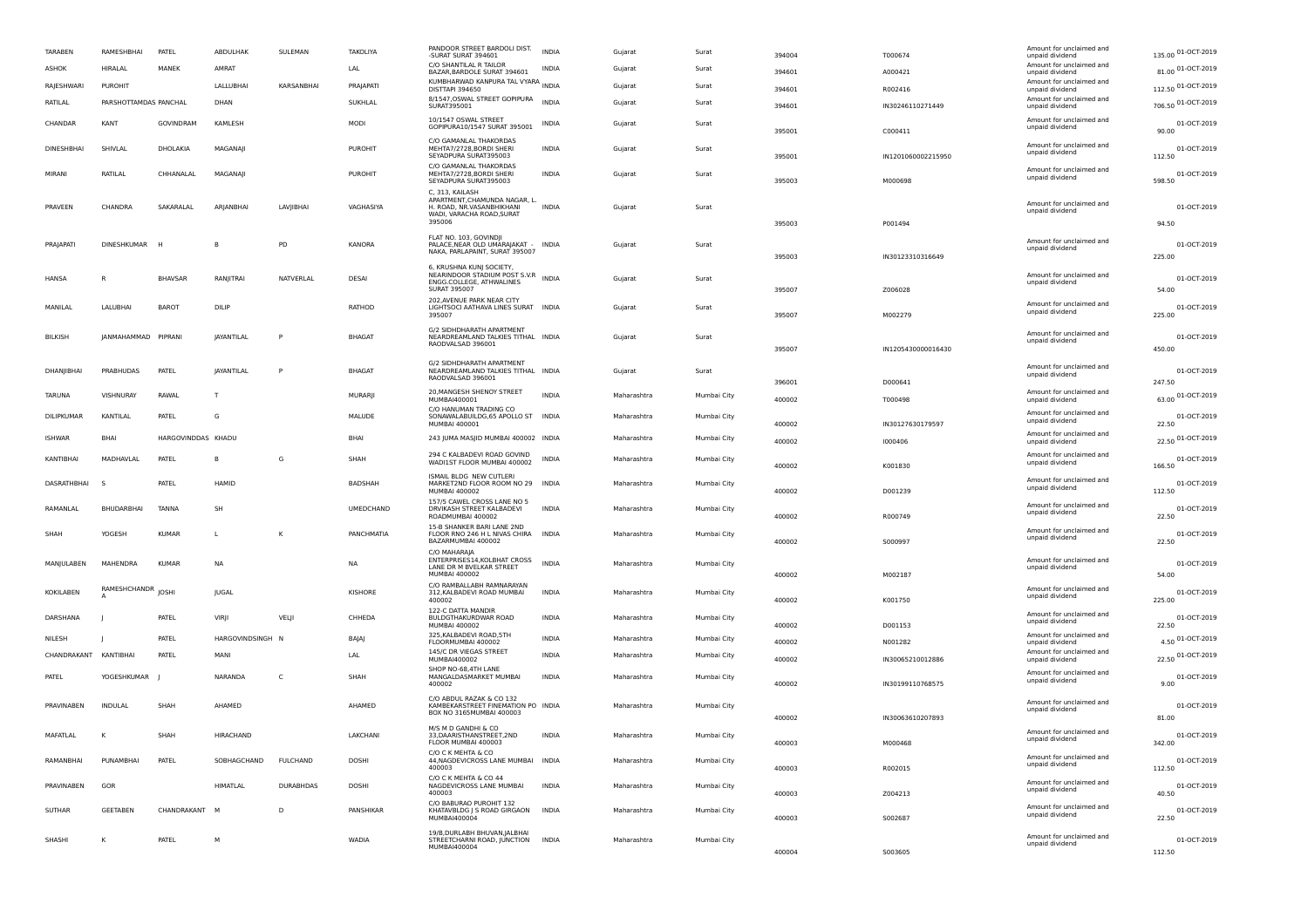| <b>TARABEN</b>        | RAMESHBHAI            | PATEL              | ABDULHAK          | SULEMAN          | TAKOLIYA        | PANDOOR STREET BARDOLI DIST.<br>-SURAT SURAT 394601                                                                                                    | <b>INDIA</b> | Gujarat     | Surat       | 394004 | T000674            | Amount for unclaimed and<br>unpaid dividend | 135.00 01-OCT-2019    |
|-----------------------|-----------------------|--------------------|-------------------|------------------|-----------------|--------------------------------------------------------------------------------------------------------------------------------------------------------|--------------|-------------|-------------|--------|--------------------|---------------------------------------------|-----------------------|
| <b>ASHOK</b>          | <b>HIRALAL</b>        | MANEK              | AMRAT             |                  | LAL             | C/O SHANTILAL R TAILOR<br>BAZAR, BARDOLE SURAT 394601                                                                                                  | <b>INDIA</b> | Gujarat     | Surat       | 394601 | A000421            | Amount for unclaimed and<br>unpaid dividend | 81.00 01-OCT-2019     |
| RAJESHWARI            | PUROHIT               |                    | LALLUBHAI         | KARSANBHAI       | PRAJAPATI       | KUMBHARWAD KANPURA TAL VYARA INDIA<br><b>DISTTAPI 394650</b>                                                                                           |              | Guiarat     | Surat       | 394601 | R002416            | Amount for unclaimed and<br>unpaid dividend | 112.50 01-OCT-2019    |
| RATILAL               | PARSHOTTAMDAS PANCHAL |                    | DHAN              |                  | SUKHLAL         | 8/1547, OSWAL STREET GOPIPURA<br>SURAT395001                                                                                                           | <b>INDIA</b> | Guiarat     | Surat       | 394601 | IN30246110271449   | Amount for unclaimed and<br>unpaid dividend | 706.50 01-OCT-2019    |
| CHANDAR               | KANT                  | GOVINDRAM          | KAMLESH           |                  | MODI            | 10/1547 OSWAL STREET<br>GOPIPURA10/1547 SURAT 395001                                                                                                   | INDIA        | Gujarat     | Surat       | 395001 | C000411            | Amount for unclaimed and<br>unpaid dividend | 01-OCT-2019<br>90.00  |
| <b>DINESHBHAI</b>     | SHIVLAL               | DHOLAKIA           | MAGANAII          |                  | <b>PUROHIT</b>  | C/O GAMANLAL THAKORDAS<br>MEHTA7/2728.BORDI SHERI<br>SEYADPURA SURAT395003<br>C/O GAMANLAL THAKORDAS                                                   | <b>INDIA</b> | Guiarat     | Surat       | 395001 | IN1201060002215950 | Amount for unclaimed and<br>unpaid dividend | 01-OCT-2019<br>112.50 |
| MIRANI                | RATILAL               | CHHANALAL          | MAGANAJI          |                  | <b>PUROHIT</b>  | MEHTA7/2728.BORDI SHERI<br>SEYADPURA SURAT395003<br>C. 313. KAILASH                                                                                    | <b>INDIA</b> | Gujarat     | Surat       | 395003 | M000698            | Amount for unclaimed and<br>unpaid dividend | 01-OCT-2019<br>598.50 |
| PRAVEEN               | CHANDRA               | SAKARALAL          | ARIANBHAI         | LAVIIBHAI        | VAGHASIYA       | APARTMENT, CHAMUNDA NAGAR, L.<br>H. ROAD, NR.VASANBHIKHANI<br>WADI, VARACHA ROAD, SURAT<br>395006                                                      | <b>INDIA</b> | Gujarat     | Surat       | 395003 | P001494            | Amount for unclaimed and<br>unpaid dividend | 01-OCT-2019<br>94.50  |
| PRAIAPAT              | <b>DINESHKUMAR</b>    |                    |                   | PD               | KANORA          | FLAT NO. 103, GOVINDJI<br>PALACE, NEAR OLD UMARAJAKAT -<br>NAKA, PARLAPAINT, SURAT 395007                                                              | <b>INDIA</b> | Gujarat     | Surat       | 395003 | IN30123310316649   | Amount for unclaimed and<br>unpaid dividend | 01-OCT-2019<br>225.00 |
| HANSA                 | R                     | <b>BHAVSAR</b>     | RANIITRAI         | NATVERI AI       | DESAI           | 6. KRUSHNA KUNI SOCIETY.<br><b>D, NRUSHIWA NUIS JOULETT, S.V.R</b><br>NEARINDOOR STADIUM POST S.V.R<br>ENGG.COLLEGE, ATHWALINES<br><b>SURAT 395007</b> |              | Gujarat     | Surat       | 395007 | Z006028            | Amount for unclaimed and<br>unpaid dividend | 01-OCT-2019<br>54.00  |
| MANILAL               | LALUBHAI              | <b>BAROT</b>       | DILIP             |                  | RATHOD          | 202, AVENUE PARK NEAR CITY<br>LIGHTSOCI AATHAVA LINES SURAT INDIA<br>395007                                                                            |              | Gujarat     | Surat       | 395007 | M002279            | Amount for unclaimed and<br>unpaid dividend | 01-OCT-2019<br>225.00 |
| <b>BILKISH</b>        | JANMAHAMMAD           | PIPRANI            | JAYANTILAL        | P                | <b>BHAGAT</b>   | G/2 SIDHDHARATH APARTMENT<br>NEARDREAMLAND TALKIES TITHAL INDIA<br>RAODVALSAD 396001                                                                   |              | Gujarat     | Surat       | 395007 | IN1205430000016430 | Amount for unclaimed and<br>unpaid dividend | 01-OCT-2019<br>450.00 |
| DHANIIBHAI            | PRABHUDAS             | PATEL              | <b>JAYANTILAL</b> | P                | <b>BHAGAT</b>   | <b>G/2 SIDHDHARATH APARTMENT</b><br>NEARDREAMLAND TALKIES TITHAL INDIA<br>RAODVALSAD 396001                                                            |              | Guiarat     | Surat       | 396001 | D000641            | Amount for unclaimed and<br>unpaid dividend | 01-OCT-2019<br>247.50 |
| <b>TARUNA</b>         | VISHNURAY             | RAWAI              |                   |                  | <b>MURARII</b>  | 20, MANGESH SHENOY STREET<br>MUMBAI400001                                                                                                              | <b>INDIA</b> | Maharashtra | Mumbai City | 400002 | T000498            | Amount for unclaimed and<br>unpaid dividend | 63.00 01-OCT-2019     |
| DILIPKUMAR            | <b>KANTILAL</b>       | PATEL              | G                 |                  | MALUDE          | C/O HANUMAN TRADING CO<br>SONAWALABUILDG, 65 APOLLO ST INDIA<br>MUMBAI 400001                                                                          |              | Maharashtra | Mumbai City | 400002 | IN30127630179597   | Amount for unclaimed and<br>unpaid dividend | 01-OCT-2019<br>22.50  |
| <b>ISHWAR</b>         | <b>BHAI</b>           | HARGOVINDDAS KHADU |                   |                  | BHAI            | 243 JUMA MASJID MUMBAI 400002 INDIA                                                                                                                    |              | Maharashtra | Mumbai City | 400002 | 1000406            | Amount for unclaimed and<br>unpaid dividend | 22.50 01-OCT-2019     |
| KANTIRHAI             | MADHAVI AI            | PATEL              | B                 | G                | SHAH            | 294 C KAI BADEVI ROAD GOVIND<br>WADI1ST FLOOR MUMBAI 400002                                                                                            | <b>INDIA</b> | Maharashtra | Mumbai City | 400002 | K001830            | Amount for unclaimed and<br>unpaid dividend | 01-OCT-2019<br>166.50 |
| DASRATHBHAI           | S                     | PATEL              | HAMID             |                  | BADSHAH         | ISMAIL BLDG NEW CUTLERI<br>MARKET2ND FLOOR ROOM NO 29<br>MUMBAI 400002                                                                                 | <b>INDIA</b> | Maharashtra | Mumbai City | 400002 | D001239            | Amount for unclaimed and<br>unpaid dividend | 01-OCT-2019<br>112.50 |
| RAMANLAL              | BHUDARBHAI            | <b>TANNA</b>       | SH                |                  | UMEDCHAND       | 157/5 CAWEL CROSS LANE NO 5<br>DRVIKASH STREET KALBADEVI<br>ROADMUMBAI 400002                                                                          | <b>INDIA</b> | Maharashtra | Mumbai City | 400002 | R000749            | Amount for unclaimed and<br>unpaid dividend | 01-OCT-2019<br>22.50  |
| SHAH                  | <b>YOGESH</b>         | KUMAR              | $\mathbf{L}$      | К                | PANCHMATIA      | 15-B SHANKER BARI LANE 2ND<br>FLOOR RNO 246 H L NIVAS CHIRA<br>BAZARMUMBAI 400002                                                                      | <b>INDIA</b> | Maharashtra | Mumbai City | 400002 | S000997            | Amount for unclaimed and<br>unpaid dividend | 01-OCT-2019<br>22.50  |
| MANJULABEN            | MAHENDRA              | <b>KUMAR</b>       | <b>NA</b>         |                  | <b>NA</b>       | C/O MAHARAIA<br>ENTERPRISES14, KOLBHAT CROSS<br>LANE DR M BVELKAR STREET<br><b>MUMBAI 400002</b>                                                       | <b>INDIA</b> | Maharashtra | Mumbai City | 400002 | M002187            | Amount for unclaimed and<br>unpaid dividend | 01-OCT-2019<br>54.00  |
| <b>KOKILABEN</b>      | RAMESHCHANDR JOSHI    |                    | <b>IUGAL</b>      |                  | KISHORE         | C/O RAMBALLABH RAMNARAYAN<br>312, KALBADEVI ROAD MUMBAI<br>400002                                                                                      | <b>INDIA</b> | Maharashtra | Mumbai City | 400002 | K001750            | Amount for unclaimed and<br>unpaid dividend | 01-OCT-2019<br>225.00 |
| DARSHANA              |                       | PATFI              | VIRI              | VELII            | CHHEDA          | 122-C DATTA MANDIR<br>BULDGTHAKURDWAR ROAD<br>MUMBAI 400002                                                                                            | <b>INDIA</b> | Maharashtra | Mumbai City | 400002 | D001153            | Amount for unclaimed and<br>unpaid dividend | 01-OCT-2019<br>22.50  |
| NILESH                |                       | PATEL              | HARGOVINDSINGH N  |                  | BAJAJ           | 325, KALBADEVI ROAD, 5TH<br>FLOORMUMBAL 400002                                                                                                         | INDIA        | Maharashtra | Mumbai City | 400002 | N001282            | Amount for unclaimed and<br>unpaid dividend | 4.50 01-OCT-2019      |
| CHANDRAKANT KANTIBHAI |                       | PATEL              | MANI              |                  | LAL             | 145/C DR VIEGAS STREET<br>MUMBAI400002                                                                                                                 | INDIA        | Maharashtra | Mumbai City | 400002 | IN30065210012886   | Amount for unclaimed and<br>unpaid dividend | 22.50 01-OCT-2019     |
| PATEL                 | YOGESHKUMAR           |                    | NARANDA           | C                | SHAH            | SHOP NO-68,4TH LANE<br>MANGALDASMARKET MUMBAI<br>400002                                                                                                | INDIA        | Maharashtra | Mumbai City | 400002 | IN30199110768575   | Amount for unclaimed and<br>unpaid dividend | 01-OCT-2019<br>9.00   |
| PRAVINABEN            | INDULAL               | SHAH               | AHAMED            |                  | AHAMED          | C/O ABDUL RAZAK & CO 132<br>KAMBEKARSTREET FINEMATION PO INDIA<br>BOX NO 3165MUMBAI 400003                                                             |              | Maharashtra | Mumbai City | 400002 | IN30063610207893   | Amount for unclaimed and<br>unpaid dividend | 01-OCT-2019<br>81.00  |
| MAFATLAL              | к                     | SHAH               | <b>HIRACHAND</b>  |                  | <b>LAKCHANI</b> | M/S M D GANDHI & CO<br>33.DAARISTHANSTREET.2ND<br>FLOOR MUMBAI 400003                                                                                  | <b>INDIA</b> | Maharashtra | Mumbai City | 400003 | M000468            | Amount for unclaimed and<br>unpaid dividend | 01-OCT-2019<br>342.00 |
| RAMANBHAI             | PUNAMBHAI             | PATEL              | SOBHAGCHAND       | FULCHAND         | <b>DOSHI</b>    | C/O C K MEHTA & CO<br>44, NAGDEVICROSS LANE MUMBAI<br>400003<br>C/O C K MEHTA & CO 44                                                                  | <b>INDIA</b> | Maharashtra | Mumbai City | 400003 | R002015            | Amount for unclaimed and<br>unpaid dividend | 01-OCT-2019<br>112.50 |
| PRAVINABEN            | GOP                   |                    | <b>HIMATLAL</b>   | <b>DURABHDAS</b> | DOSHI           | NAGDEVICROSS LANE MUMBAI<br>400003                                                                                                                     | <b>INDIA</b> | Maharashtra | Mumbai City | 400003 | Z004213            | Amount for unclaimed and<br>unpaid dividend | 01-OCT-2019<br>40.50  |
| SUTHAR                | <b>GEFTABEN</b>       | CHANDRAKANT        | <b>M</b>          | D.               | PANSHIKAR       | C/O BABURAO PUROHIT 132<br>KHATAVBLDG J S ROAD GIRGAON<br>MUMBAI40000                                                                                  | <b>INDIA</b> | Maharashtra | Mumbai City | 400003 | S002687            | Amount for unclaimed and<br>unpaid dividend | 01-OCT-2019<br>22.50  |
| SHASHI                | K                     | PATEL              | M                 |                  | WADIA           | 19/B.DURLABH BHUVAN.IALBHAI<br>STREETCHARNI ROAD, JUNCTION<br>MUMBAI400004                                                                             | <b>INDIA</b> | Maharashtra | Mumbai City | 400004 | S003605            | Amount for unclaimed and<br>unnaid dividend | 01-OCT-2019<br>112.50 |
|                       |                       |                    |                   |                  |                 |                                                                                                                                                        |              |             |             |        |                    |                                             |                       |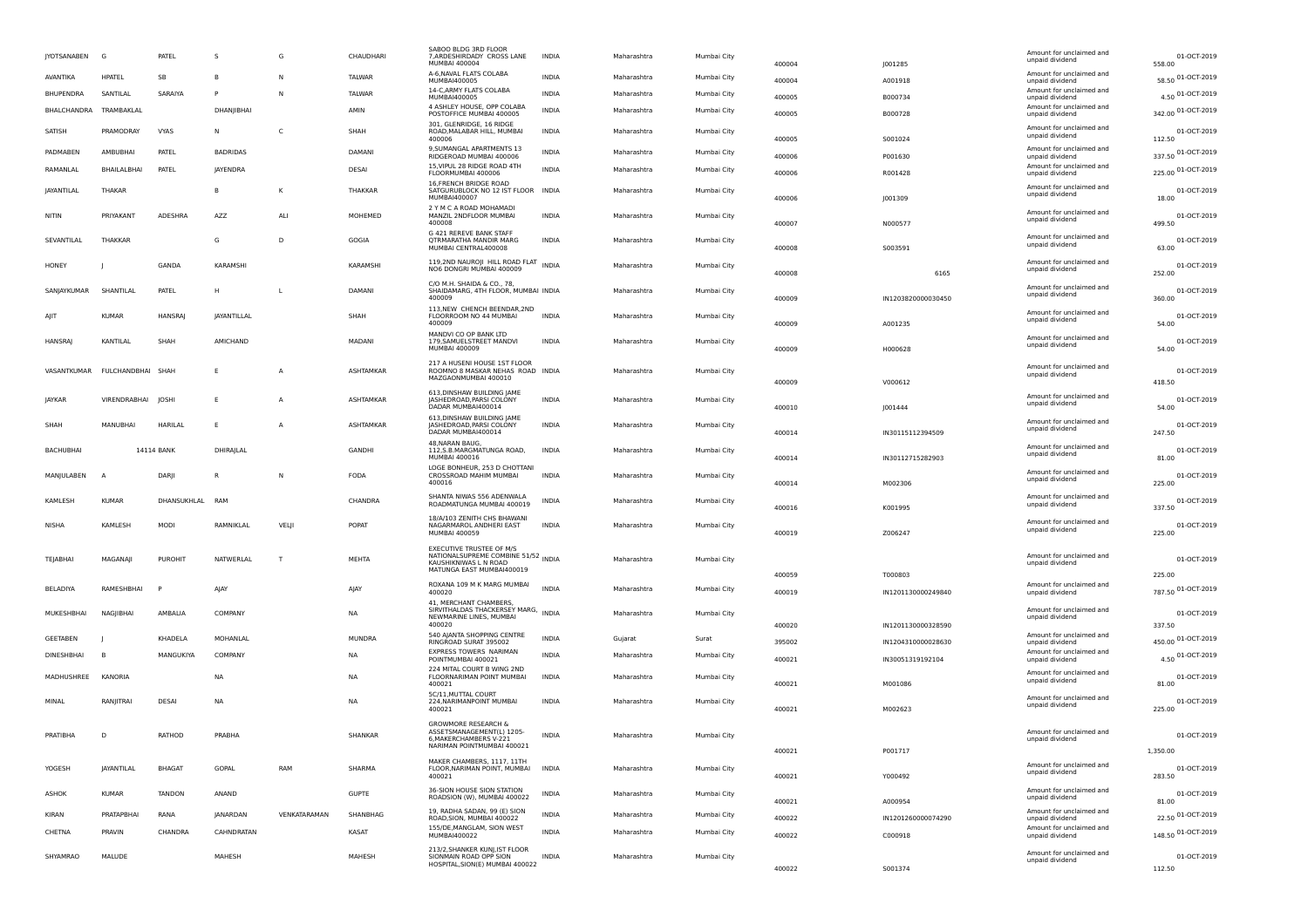| JYOTSANABEN       | G                 | PATEL           | s                  | G              | CHAUDHARI     | SABOO BLDG 3RD FLOOR<br>7, ARDESHIRDADY CROSS LANE<br>MUMBAI 400004                                                   | INDIA        | Maharashtra | Mumbai City | 400004 | J001285            | Amount for unclaimed and<br>unpaid dividend | 01-OCT-2019<br>558.00        |
|-------------------|-------------------|-----------------|--------------------|----------------|---------------|-----------------------------------------------------------------------------------------------------------------------|--------------|-------------|-------------|--------|--------------------|---------------------------------------------|------------------------------|
| AVANTIKA          | <b>HPATEL</b>     | SB              | В                  | N              | <b>TALWAR</b> | A-6, NAVAL FLATS COLABA<br>MUMBAI400005                                                                               | INDIA        | Maharashtra | Mumbai City | 400004 | A001918            | Amount for unclaimed and<br>unpaid dividend | 58.50 01-OCT-2019            |
| BHUPENDRA         | SANTILAL          | SARAIYA         | P                  | N              | TALWAR        | 14-C, ARMY FLATS COLABA<br>MUMBAI400005                                                                               | <b>INDIA</b> | Maharashtra | Mumbai City | 400005 | B000734            | Amount for unclaimed and<br>unpaid dividend | 4.50 01-OCT-2019             |
| BHALCHANDRA       | TRAMBAKLAL        |                 | DHANIIBHAI         |                | AMIN          | 4 ASHLEY HOUSE, OPP COLABA<br>POSTOFFICE MUMBAI 400005                                                                | <b>INDIA</b> | Maharashtra | Mumbai City | 400005 | B000728            | Amount for unclaimed and<br>unpaid dividend | 342.00 01-OCT-2019           |
| SATISH            | PRAMODRAY         | VYAS            | N                  | C              | SHAH          | 301, GLENRIDGE, 16 RIDGE<br>ROAD, MALABAR HILL, MUMBAI<br>400006                                                      | <b>INDIA</b> | Maharashtra | Mumbai City | 400005 | S001024            | Amount for unclaimed and<br>unpaid dividend | 01-OCT-2019<br>112.50        |
| PADMABEN          | AMBUBHAI          | PATEL           | <b>BADRIDAS</b>    |                | DAMANI        | 9, SUMANGAL APARTMENTS 13<br>RIDGEROAD MUMBAI 400006                                                                  | <b>INDIA</b> | Maharashtra | Mumbai City | 400006 | P001630            | Amount for unclaimed and<br>unpaid dividend | 337.50 01-OCT-2019           |
| RAMANLAL          | BHAILALBHAI       | PATEL           | <b>JAYENDRA</b>    |                | DESAI         | 15, VIPUL 28 RIDGE ROAD 4TH<br>FLOORMUMBAI 400006                                                                     | <b>INDIA</b> | Maharashtra | Mumbai City | 400006 | R001428            | Amount for unclaimed and<br>unpaid dividend | 225.00 01-OCT-2019           |
| <b>JAYANTILAL</b> | THAKAR            |                 | B                  | К              | THAKKAR       | 16, FRENCH BRIDGE ROAD<br>SATGURUBLOCK NO 12 IST FLOOR INDIA<br>MUMBAI400007                                          |              | Maharashtra | Mumbai City | 400006 | J001309            | Amount for unclaimed and<br>unpaid dividend | 01-OCT-2019<br>18.00         |
| <b>NITIN</b>      | PRIYAKANT         | ADESHRA         | AZZ                | ALI            | MOHEMED       | 2 Y M C A ROAD MOHAMADI<br>MANZIL 2NDFLOOR MUMBAI<br>400008                                                           | <b>INDIA</b> | Maharashtra | Mumbai City | 400007 | N000577            | Amount for unclaimed and<br>unpaid dividend | 01-OCT-2019<br>499.50        |
| SEVANTILAL        | THAKKAR           |                 | G                  | D              | GOGIA         | G 421 REREVE BANK STAFF<br>QTRMARATHA MANDIR MARG<br>MUMBAI CENTRAL400008                                             | <b>INDIA</b> | Maharashtra | Mumbai City | 400008 | S003591            | Amount for unclaimed and<br>unpaid dividend | 01-OCT-2019<br>63.00         |
| HONEY             |                   | GANDA           | KARAMSHI           |                | KARAMSHI      | 119,2ND NAUROJI HILL ROAD FLAT INDIA<br>NO6 DONGRI MUMBAI 400009                                                      |              | Maharashtra | Mumbai City | 400008 | 6165               | Amount for unclaimed and<br>unpaid dividend | 01-OCT-2019<br>252.00        |
| SANJAYKUMAR       | SHANTILAL         | PATEL           | н                  | L              | <b>DAMANI</b> | C/O M.H. SHAIDA & CO., 78,<br>SHAIDAMARG, 4TH FLOOR, MUMBAI INDIA<br>400009                                           |              | Maharashtra | Mumbai City | 400009 | IN1203820000030450 | Amount for unclaimed and<br>unpaid dividend | 01-OCT-2019<br>360.00        |
| AIIT              | <b>KUMAR</b>      | <b>HANSRAJ</b>  | <b>JAYANTILLAL</b> |                | SHAH          | 113, NEW CHENCH BEENDAR, 2ND<br>FLOORROOM NO 44 MUMBAI<br>400009                                                      | <b>INDIA</b> | Maharashtra | Mumbai City | 400009 | A001235            | Amount for unclaimed and<br>unpaid dividend | 01-OCT-2019<br>54.00         |
| <b>HANSRA</b>     | KANTILAL          | SHAH            | AMICHAND           |                | MADANI        | MANDVI CO OP BANK LTD<br>179, SAMUELSTREET MANDVI<br>MUMBAI 400009                                                    | <b>INDIA</b> | Maharashtra | Mumbai City | 400009 | H000628            | Amount for unclaimed and<br>unpaid dividend | 01-OCT-2019<br>54.00         |
| VASANTKUMAR       | FULCHANDBHAI SHAH |                 | E                  | A              | ASHTAMKAR     | 217 A HUSENI HOUSE 1ST FLOOR<br>ROOMNO 8 MASKAR NEHAS ROAD INDIA<br>MAZGAONMUMBAI 400010                              |              | Maharashtra | Mumbai City | 400009 | V000612            | Amount for unclaimed and<br>unpaid dividend | 01-OCT-2019<br>418.50        |
| <b>IAYKAR</b>     | VIRENDRABHAI      | <b>IOSHI</b>    | E                  | $\overline{A}$ | ASHTAMKAR     | 613, DINSHAW BUILDING JAME<br>JASHEDROAD, PARSI COLONY<br>DADAR MUMBAI400014                                          | INDIA        | Maharashtra | Mumbai City | 400010 | J001444            | Amount for unclaimed and<br>unpaid dividend | 01-OCT-2019<br>54.00         |
| SHAH              | MANUBHAI          | HARILAL         | E                  | $\overline{A}$ | ASHTAMKAR     | 613, DINSHAW BUILDING JAME<br><b>JASHEDROAD, PARSI COLONY</b><br>DADAR MUMBAI400014                                   | <b>INDIA</b> | Maharashtra | Mumbai City | 400014 | IN30115112394509   | Amount for unclaimed and<br>unpaid dividend | 01-OCT-2019<br>247.50        |
| BACHUBHAI         |                   | 14114 BANK      | DHIRAJLAL          |                | GANDHI        | 48, NARAN BAUG<br>112, S.B. MARGMATUNGA ROAD,<br>MUMBAI 400016                                                        | <b>INDIA</b> | Maharashtra | Mumbai City | 400014 | IN30112715282903   | Amount for unclaimed and<br>unpaid dividend | 01-OCT-2019<br>81.00         |
| MANJULABEN        |                   | DARJI           | R                  | N              | FODA          | LOGE BONHEUR, 253 D CHOTTANI<br>CROSSROAD MAHIM MUMBAI<br>400016                                                      | <b>INDIA</b> | Maharashtra | Mumbai City | 400014 | M002306            | Amount for unclaimed and<br>unpaid dividend | 01-OCT-2019<br>225.00        |
| KAMLESH           | <b>KUMAR</b>      | DHANSUKHLAL RAM |                    |                | CHANDRA       | SHANTA NIWAS 556 ADENWALA<br>ROADMATUNGA MUMBAI 400019<br>18/A/103 ZENITH CHS BHAWANI                                 | <b>INDIA</b> | Maharashtra | Mumbai City | 400016 | K001995            | Amount for unclaimed and<br>unpaid dividend | 01-OCT-2019<br>337.50        |
| <b>NISHA</b>      | KAMLESH           | MODI            | RAMNIKLAL          | VELJI          | POPAT         | NAGARMAROL ANDHERI EAST<br><b>MUMBAI 400059</b>                                                                       | <b>INDIA</b> | Maharashtra | Mumbai City | 400019 | Z006247            | Amount for unclaimed and<br>unpaid dividend | 01-OCT-2019<br>225.00        |
| TEJABHAI          | MAGANAJI          | <b>PUROHIT</b>  | NATWERLAL          | $\mathsf{T}$   | MEHTA         | EXECUTIVE TRUSTEE OF M/S<br>NATIONALSUPREME COMBINE 51/52 INDIA<br>KAUSHIKNIWAS L N ROAD<br>MATUNGA EAST MUMBAI400019 |              | Maharashtra | Mumbai City |        |                    | Amount for unclaimed and<br>unpaid dividend | 01-OCT-2019                  |
| BELADIYA          | RAMESHBHAI        |                 | AJAY               |                | AJAY          | ROXANA 109 M K MARG MUMBAI                                                                                            | <b>INDIA</b> | Maharashtra | Mumbai City | 400059 | T000803            | Amount for unclaimed and                    | 225.00<br>787.50 01-OCT-2019 |
| MUKESHBHAI        | <b>NAGIIBHAI</b>  | AMBALIA         | COMPANY            |                | <b>NA</b>     | 400020<br>41, MERCHANT CHAMBERS,<br>SIRVITHALDAS THACKERSEY MARG, INDIA                                               |              | Maharashtra | Mumbai City | 400019 | IN1201130000249840 | unpaid dividend<br>Amount for unclaimed and | 01-OCT-2019                  |
|                   |                   |                 |                    |                |               | NEWMARINE LINES, MUMBAI<br>400020                                                                                     |              |             |             | 400020 | IN1201130000328590 | unpaid dividend                             | 337.50                       |
| GEETABEN          |                   | KHADELA         | MOHANLAL           |                | <b>MUNDRA</b> | 540 AJANTA SHOPPING CENTRE<br>RINGROAD SURAT 395002                                                                   | <b>INDIA</b> | Gujarat     | Surat       | 395002 | IN1204310000028630 | Amount for unclaimed and<br>unpaid dividend | 450.00 01-OCT-2019           |
| DINESHBHAI        |                   | MANGUKIYA       | COMPANY            |                | <b>NA</b>     | <b>FXPRESS TOWERS NARIMAN</b><br>POINTMUMBAI 400021                                                                   | <b>INDIA</b> | Maharashtra | Mumbai City | 400021 | IN30051319192104   | Amount for unclaimed and<br>unpaid dividend | 4.50 01-OCT-2019             |
| MADHUSHREE        | KANORIA           |                 | NA                 |                | <b>NA</b>     | 224 MITAL COURT B WING 2ND<br>FLOORNARIMAN POINT MUMBAI<br>400021                                                     | <b>INDIA</b> | Maharashtra | Mumbai City | 400021 | M001086            | Amount for unclaimed and<br>unpaid dividend | 01-OCT-2019<br>81.00         |
| MINAL             | RANJITRAI         | DESAI           | NA                 |                | <b>NA</b>     | 5C/11, MUTTAL COURT<br>224, NARIMANPOINT MUMBAI<br>400021                                                             | <b>INDIA</b> | Maharashtra | Mumbai City | 400021 | M002623            | Amount for unclaimed and<br>unpaid dividend | 01-OCT-2019<br>225.00        |
| PRATIBHA          | D                 | RATHOD          | PRABHA             |                | SHANKAR       | <b>GROWMORE RESEARCH &amp;</b><br>ASSETSMANAGEMENT(L) 1205-<br>6, MAKERCHAMBERS V-221<br>NARIMAN POINTMUMBAI 400021   | INDIA        | Maharashtra | Mumbai City | 400021 | P001717            | Amount for unclaimed and<br>unpaid dividend | 01-OCT-2019<br>1,350.00      |
| YOGESH            | JAYANTILAL        | <b>BHAGAT</b>   | GOPAL              | RAM            | SHARMA        | MAKER CHAMBERS, 1117, 11TH<br>FLOOR, NARIMAN POINT, MUMBAI<br>400021                                                  | <b>INDIA</b> | Maharashtra | Mumbai City | 400021 | Y000492            | Amount for unclaimed and<br>unpaid dividend | 01-OCT-2019<br>283.50        |
| ASHOK             | <b>KUMAR</b>      | <b>TANDON</b>   | ANAND              |                | <b>GUPTE</b>  | 36-SION HOUSE SION STATION<br>ROADSION (W), MUMBAI 400022                                                             | INDIA        | Maharashtra | Mumbai City | 400021 | A000954            | Amount for unclaimed and<br>unpaid dividend | 01-OCT-2019<br>81.00         |
| KIRAN             | PRATAPBHAI        | RANA            | JANARDAN           | VENKATARAMAN   | SHANBHAG      | 19, RADHA SADAN, 99 (E) SION<br>ROAD, SION, MUMBAI 400022                                                             | <b>INDIA</b> | Maharashtra | Mumbai City | 400022 | IN1201260000074290 | Amount for unclaimed and<br>unpaid dividend | 22.50 01-OCT-2019            |
| CHETNA            | PRAVIN            | CHANDRA         | CAHNDRATAN         |                | KASAT         | 155/DE, MANGLAM, SION WEST<br>MUMBAI400022                                                                            | INDIA        | Maharashtra | Mumbai City | 400022 | C000918            | Amount for unclaimed and<br>unpaid dividend | 148.50 01-OCT-2019           |
| SHYAMRAO          | MALUDE            |                 | MAHESH             |                | MAHESH        | 213/2, SHANKER KUNJ, IST FLOOR<br>SIONMAIN ROAD OPP SION<br>HOSPITAL, SION(E) MUMBAI 400022                           | <b>INDIA</b> | Maharashtra | Mumbai City |        |                    | Amount for unclaimed and<br>unpaid dividend | 01-OCT-2019                  |
|                   |                   |                 |                    |                |               |                                                                                                                       |              |             |             | 400022 | S001374            |                                             | 112.50                       |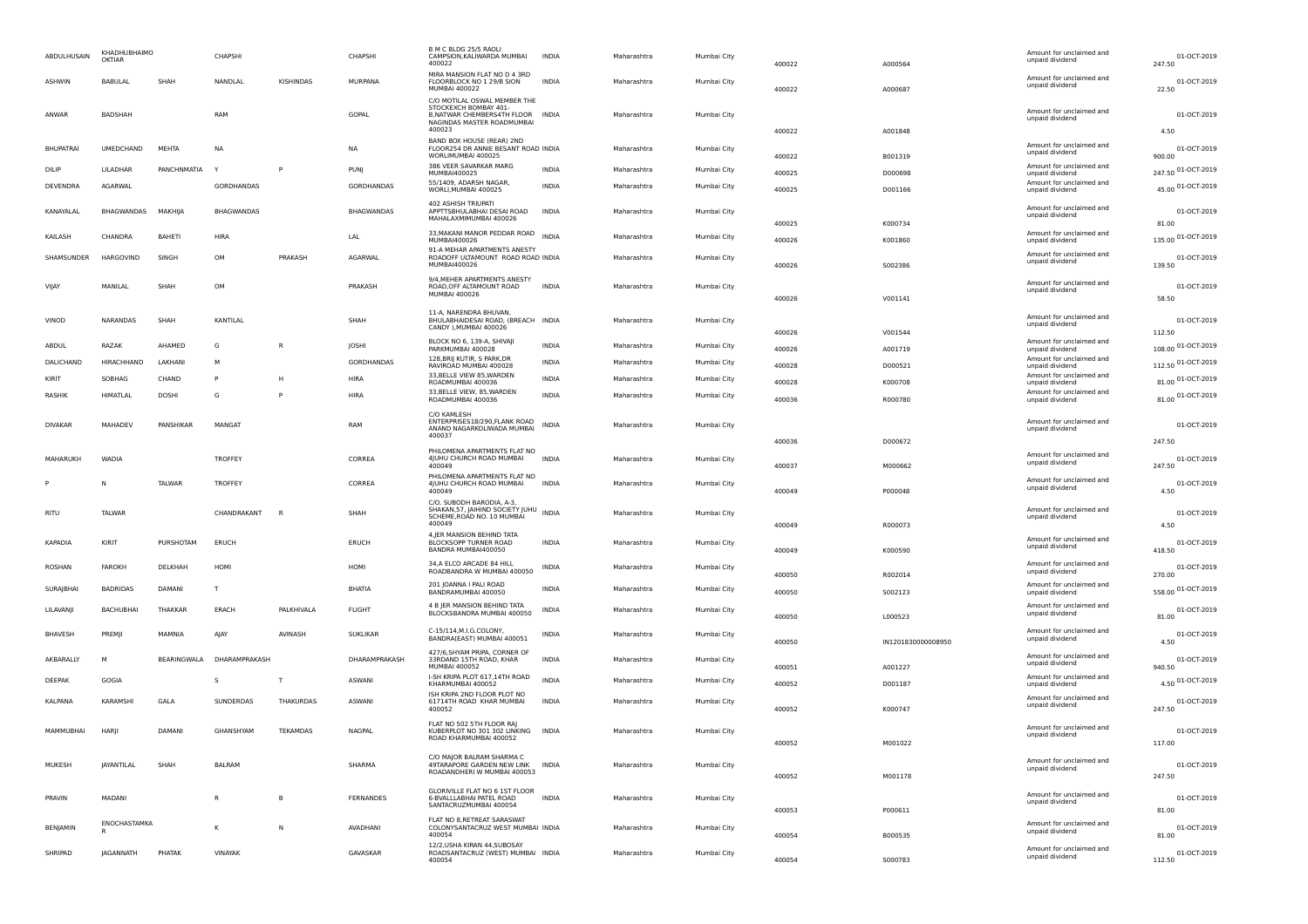| ABDULHUSAIN      | KHADHUBHAIMO<br>OKTIAR |                    | CHAPSHI        |                  | CHAPSHI         | B M C BLDG 25/5 RAOLI<br>CAMPSION, KALIWARDA MUMBAI<br>400022                                                                     | <b>INDIA</b> | Maharashtra | Mumbai City | 400022 | A000564            | Amount for unclaimed and<br>unpaid dividend                    | 01-OCT-2019<br>247.50       |
|------------------|------------------------|--------------------|----------------|------------------|-----------------|-----------------------------------------------------------------------------------------------------------------------------------|--------------|-------------|-------------|--------|--------------------|----------------------------------------------------------------|-----------------------------|
| <b>ASHWIN</b>    | BABULAL                | SHAH               | NANDLAL        | KISHINDAS        | MURPANA         | MIRA MANSION FLAT NO D 4 3RD<br>FLOORBLOCK NO 1 29/B SION<br>MUMBAI 400022                                                        | <b>INDIA</b> | Maharashtra | Mumbai City | 400022 | A000687            | Amount for unclaimed and<br>unpaid dividend                    | 01-OCT-2019<br>22.50        |
| ANWAR            | BADSHAH                |                    | RAM            |                  | GOPAL           | C/O MOTILAL OSWAL MEMBER THE<br>STOCKEXCH BOMBAY 401-<br>B.NATWAR CHEMBERS4TH FLOOR INDIA<br>NAGINDAS MASTER ROADMUMBAI<br>400023 |              | Maharashtra | Mumbai City | 400022 | A001848            | Amount for unclaimed and<br>unpaid dividend                    | 01-OCT-2019<br>4.50         |
| <b>BHUPATRAI</b> | UMEDCHAND              | MEHTA              | NA             |                  | NA              | BAND BOX HOUSE (REAR) 2ND<br>FLOOR254 DR ANNIE BESANT ROAD INDIA<br>WORLIMUMBAI 400025                                            |              | Maharashtra | Mumbai City | 400022 | B001319            | Amount for unclaimed and<br>unpaid dividend                    | 01-OCT-2019<br>900.00       |
| DILIP            | LILADHAR               | PANCHNMATIA        |                | P                | PUNJ            | 386 VEER SAVARKAR MARG<br>MUMBAI400025                                                                                            | <b>INDIA</b> | Maharashtra | Mumbai City | 400025 | D000698            | Amount for unclaimed and                                       | 247.50 01-OCT-2019          |
| DEVENDRA         | <b>AGARWAL</b>         |                    | GORDHANDAS     |                  | GORDHANDAS      | 55/1409, ADARSH NAGAR,                                                                                                            | <b>INDIA</b> | Maharashtra | Mumbai City |        |                    | unpaid dividend<br>Amount for unclaimed and                    | 45.00 01-OCT-2019           |
| KANAYALAL        | BHAGWANDAS             | MAKHIJA            | BHAGWANDAS     |                  | BHAGWANDAS      | WORLI, MUMBAI 400025<br>402 ASHISH TRIUPATI<br>APPTTSBHULABHAI DESAI ROAD                                                         | <b>INDIA</b> | Maharashtra | Mumbai City | 400025 | D001166            | unpaid dividend<br>Amount for unclaimed and<br>unpaid dividend | 01-OCT-2019                 |
| KAILASH          | CHANDRA                | <b>BAHETI</b>      | <b>HIRA</b>    |                  | LAL             | MAHALAXMIMUMBAI 400026<br>33, MAKANI MANOR PEDDAR ROAD INDIA                                                                      |              | Maharashtra | Mumbai City | 400025 | K000734            | Amount for unclaimed and                                       | 81.00<br>135.00 01-OCT-2019 |
|                  |                        |                    |                |                  |                 | MUMBAI400026<br>91-A MEHAR APARTMENTS ANESTY                                                                                      |              |             |             | 400026 | K001860            | unpaid dividend                                                |                             |
| SHAMSUNDER       | HARGOVIND              | SINGH              | OM             | PRAKASH          | AGARWAL         | ROADOFF ULTAMOUNT ROAD ROAD INDIA<br>MUMBAI400026                                                                                 |              | Maharashtra | Mumbai City | 400026 | 5002386            | Amount for unclaimed and<br>unpaid dividend                    | 01-OCT-2019<br>139.50       |
| <b>VIIA</b> Y    | MANILAL                | SHAH               | OM             |                  | PRAKASH         | 9/4, MEHER APARTMENTS ANESTY<br>ROAD, OFF ALTAMOUNT ROAD<br><b>MUMBAI 400026</b>                                                  | <b>INDIA</b> | Maharashtra | Mumbai City | 400026 | V001141            | Amount for unclaimed and<br>unpaid dividend                    | 01-OCT-2019<br>58.50        |
|                  |                        |                    |                |                  |                 | 11-A, NARENDRA BHUVAN,                                                                                                            |              |             |             |        |                    | Amount for unclaimed and                                       |                             |
| VINOD            | NARANDAS               | SHAH               | KANTILAL       |                  | SHAH            | BHULABHAIDESAI ROAD, (BREACH INDIA<br>CANDY ), MUMBAI 400026                                                                      |              | Maharashtra | Mumbai City | 400026 | V001544            | unpaid dividend                                                | 01-OCT-2019<br>112.50       |
| ABDUL            | RAZAK                  | AHAMED             | G              | R                | JOSHI           | BLOCK NO 6, 139-A, SHIVAJI<br>PARKMUMBAI 400028                                                                                   | <b>INDIA</b> | Maharashtra | Mumbai City | 400026 | A001719            | Amount for unclaimed and<br>unpaid dividend                    | 108.00 01-OCT-2019          |
| DALICHAND        | HIRACHHAND             | LAKHANI            | M              |                  | GORDHANDAS      | 128, BRIJ KUTIR, S PARK, DR<br>RAVIROAD MUMBAI 400028                                                                             | INDIA        | Maharashtra | Mumbai City | 400028 | D000521            | Amount for unclaimed and                                       | 112.50 01-OCT-2019          |
| KIRIT            | SOBHAG                 | CHAND              | P              | н                | HIRA            | 33, BELLE VIEW 85, WARDEN                                                                                                         | <b>INDIA</b> | Maharashtra | Mumbai City | 400028 | K000708            | unpaid dividend<br>Amount for unclaimed and                    | 81.00 01-OCT-2019           |
| <b>RASHIK</b>    | HIMATLAL               | <b>DOSHI</b>       | G              | P                | <b>HIRA</b>     | ROADMUMBAI 400036<br>33, BELLE VIEW, 85, WARDEN                                                                                   | <b>INDIA</b> | Maharashtra | Mumbai City |        |                    | unpaid dividend<br>Amount for unclaimed and                    | 81.00 01-OCT-2019           |
|                  |                        |                    |                |                  |                 | ROADMUMBAL 400036                                                                                                                 |              |             |             | 400036 | R000780            | unpaid dividend                                                |                             |
| <b>DIVAKAR</b>   | MAHADEV                | PANSHIKAR          | MANGAT         |                  | RAM             | C/O KAMLESH<br>ENTERPRISES18/290, FLANK ROAD<br>ANAND NAGARKOLIWADA MUMBAI<br>400037                                              | <b>INDIA</b> | Maharashtra | Mumbai City | 400036 | D000672            | Amount for unclaimed and<br>unpaid dividend                    | 01-OCT-2019<br>247.50       |
|                  |                        |                    |                |                  |                 | PHILOMENA APARTMENTS FLAT NO                                                                                                      |              |             |             |        |                    | Amount for unclaimed and                                       |                             |
| MAHARUKH         | WADIA                  |                    | TROFFEY        |                  | CORREA          | 4JUHU CHURCH ROAD MUMBAI<br>400049                                                                                                | <b>INDIA</b> | Maharashtra | Mumbai City | 400037 | M000662            | unpaid dividend                                                | 01-OCT-2019<br>247.50       |
|                  | Ν                      | TALWAR             | <b>TROFFEY</b> |                  | CORREA          | PHILOMENA APARTMENTS FLAT NO<br>4JUHU CHURCH ROAD MUMBAI<br>400049                                                                | <b>INDIA</b> | Maharashtra | Mumbai City | 400049 | P000048            | Amount for unclaimed and<br>unpaid dividend                    | 01-OCT-2019<br>4.50         |
| <b>RITU</b>      | <b>TALWAR</b>          |                    | CHANDRAKANT    | - R              | SHAH            | C/O. SUBODH BARODIA, A-3,<br>SHAKAN, 57, JAIHIND SOCIETY JUHU<br>SCHEME, ROAD NO. 10 MUMBAI<br>400049                             | <b>INDIA</b> | Maharashtra | Mumbai City | 400049 | R000073            | Amount for unclaimed and<br>unpaid dividend                    | 01-OCT-2019<br>4.50         |
| KAPADIA          | KIRIT                  | PURSHOTAM          | ERUCH          |                  | ERUCH           | 4, JER MANSION BEHIND TATA<br>BLOCKSOPP TURNER ROAD<br>BANDRA MUMBAI400050                                                        | <b>INDIA</b> | Maharashtra | Mumbai City | 400049 | K000590            | Amount for unclaimed and<br>unpaid dividend                    | 01-OCT-2019<br>418.50       |
| ROSHAN           | FAROKH                 | DELKHAH            | HOMI           |                  | HOMI            | 34, A ELCO ARCADE 84 HILL<br>ROADBANDRA W MUMBAI 400050                                                                           | INDIA        | Maharashtra | Mumbai City | 400050 | R002014            | Amount for unclaimed and<br>unpaid dividend                    | 01-OCT-2019<br>270.00       |
| SURAJBHAI        | BADRIDAS               | DAMANI             | т              |                  | BHATIA          | 201 JOANNA I PALI ROAD<br>BANDRAMUMBAI 400050                                                                                     | <b>INDIA</b> | Maharashtra | Mumbai City | 400050 | 5002123            | Amount for unclaimed and<br>unpaid dividend                    | 558.00 01-OCT-2019          |
| LILAVANJI        | BACHUBHAI              | THAKKAR            | ERACH          | PALKHIVALA       | FLIGHT          | 4 B JER MANSION BEHIND TATA                                                                                                       | INDIA        | Maharashtra | Mumbai City |        |                    | Amount for unclaimed and                                       | 01-OCT-2019                 |
|                  |                        |                    |                |                  |                 | BLOCKSBANDRA MUMBAI 400050                                                                                                        |              |             |             | 400050 | L000523            | unpaid dividend                                                | 81.00                       |
| BHAVESH          | PREMJI                 | MAMNIA             | AJAY           | AVINASH          | <b>SUKLIKAR</b> | C-15/114, M.I.G.COLONY,<br>BANDRA(EAST) MUMBAI 400051                                                                             | INDIA        | Maharashtra | Mumbai City | 400050 | IN1201830000008950 | Amount for unclaimed and<br>unpaid dividend                    | 01-OCT-2019<br>4.50         |
| AKBARALLY        | M                      | <b>BEARINGWALA</b> | DHARAMPRAKASH  |                  | DHARAMPRAKASH   | 427/6, SHYAM PRIPA, CORNER OF<br>33RDAND 15TH ROAD, KHAR<br>MUMBAI 400052                                                         | <b>INDIA</b> | Maharashtra | Mumbai City | 400051 | A001227            | Amount for unclaimed and<br>unpaid dividend                    | 01-OCT-2019<br>940.50       |
| DEEPAK           | GOGIA                  |                    | s              | $\mathsf{T}$     | <b>ASWANI</b>   | I-SH KRIPA PLOT 617,14TH ROAD<br>KHARMUMBAI 400052                                                                                | <b>INDIA</b> | Maharashtra | Mumbai City | 400052 | D001187            | Amount for unclaimed and<br>unpaid dividend                    | 4.50 01-OCT-2019            |
| KALPANA          | <b>KARAMSHI</b>        | GALA               | SUNDERDAS      | <b>THAKURDAS</b> | <b>ASWANI</b>   | ISH KRIPA 2ND FLOOR PLOT NO<br>61714TH ROAD KHAR MUMBAI<br>400052                                                                 | <b>INDIA</b> | Maharashtra | Mumbai City | 400052 | K000747            | Amount for unclaimed and<br>unpaid dividend                    | 01-OCT-2019<br>247.50       |
| MAMMUBHAI        | <b>HARII</b>           | DAMANI             | GHANSHYAM      | TEKAMDAS         | NAGPAL          | FLAT NO 502 5TH FLOOR RAJ<br>KUBERPLOT NO 301 302 LINKING<br>ROAD KHARMUMBAI 400052                                               | <b>INDIA</b> | Maharashtra | Mumbai City | 400052 | M001022            | Amount for unclaimed and<br>unpaid dividend                    | 01-OCT-2019<br>117.00       |
| MUKESH           | <b>JAYANTILAL</b>      | SHAH               | <b>BALRAM</b>  |                  | SHARMA          | C/O MAJOR BALRAM SHARMA C<br>49TARAPORE GARDEN NEW LINK INDIA<br>ROADANDHERI W MUMBAI 400053                                      |              | Maharashtra | Mumbai City | 400052 |                    | Amount for unclaimed and<br>unpaid dividend                    | 01-OCT-2019<br>247.50       |
| PRAVIN           | MADANI                 |                    | R              | В                | FERNANDES       | GLORIVILLE FLAT NO 6 1ST FLOOR<br>6-BVALLLABHAI PATEL ROAD<br>SANTACRUZMUMBAI 400054                                              | <b>INDIA</b> | Maharashtra | Mumbai City |        | M001178            | Amount for unclaimed and<br>unpaid dividend                    | 01-OCT-2019                 |
| <b>BENIAMIN</b>  | ENOCHASTAMKA<br>R      |                    | к              | N                | AVADHANI        | FLAT NO 8, RETREAT SARASWAT<br>COLONYSANTACRUZ WEST MUMBAI INDIA                                                                  |              | Maharashtra | Mumbai City | 400053 | P000611            | Amount for unclaimed and<br>unpaid dividend                    | 81.00<br>01-OCT-2019        |
|                  |                        |                    |                |                  |                 | 400054<br>12/2, USHA KIRAN 44, SUBOSAY                                                                                            |              |             |             | 400054 | B000535            | Amount for unclaimed and                                       | 81.00                       |
| SHRIPAD          | <b>JAGANNATH</b>       | PHATAK             | VINAYAK        |                  | GAVASKAR        | ROADSANTACRUZ (WEST) MUMBAI INDIA<br>400054                                                                                       |              | Maharashtra | Mumbai City | 400054 | S000783            | unpaid dividend                                                | 01-OCT-2019<br>112.50       |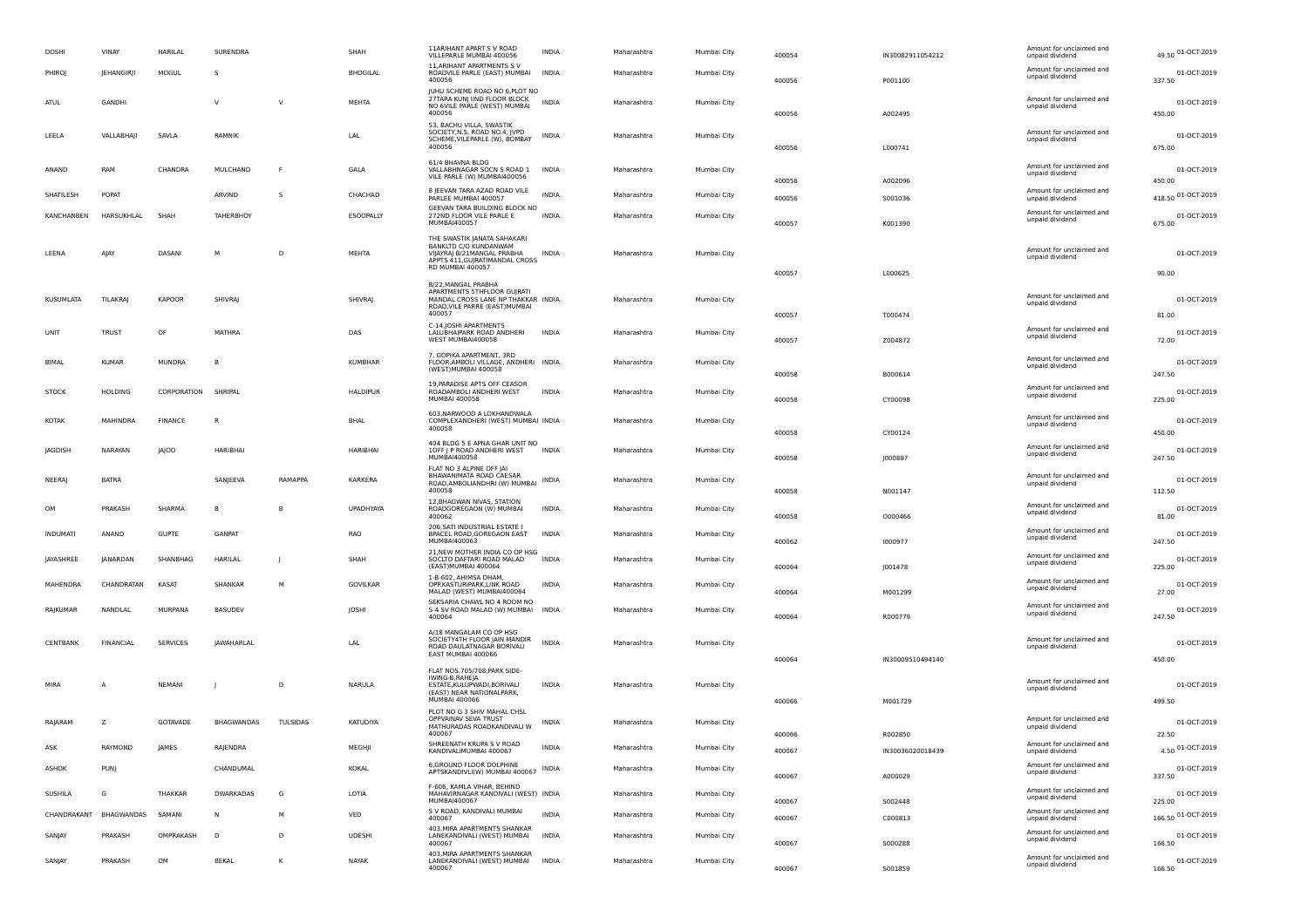| <b>DOSHI</b>  | VINAY            | HARILAL             | SURENDRA          |              | SHAH             | <b>11ARIHANT APART S V ROAD</b><br>VILLEPARLE MUMBAI 400056                                                                              | INDIA        | Maharashtra | Mumbai City | 400054 | IN30082911054212 | Amount for unclaimed and<br>unpaid dividend | 49.50 01-OCT-2019     |
|---------------|------------------|---------------------|-------------------|--------------|------------------|------------------------------------------------------------------------------------------------------------------------------------------|--------------|-------------|-------------|--------|------------------|---------------------------------------------|-----------------------|
| PHIROJ        | JEHANGIRJI       | MOGUL               | s                 |              | BHOGILAL         | 11. ARIHANT APARTMENTS SV<br>ROADVILE PARLE (EAST) MUMBAI<br>400056                                                                      | <b>INDIA</b> | Maharashtra | Mumbai City | 400056 | P001100          | Amount for unclaimed and<br>unpaid dividend | 01-OCT-2019<br>337.50 |
| ATUL          | GANDHI           |                     | $\vee$            | $\vee$       | MEHTA            | JUHU SCHEME ROAD NO 6, PLOT NO<br>27TARA KUNJ IIND FLOOR BLOCK<br>NO 6VILE PARLE (WEST) MUMBAI<br>400056                                 | <b>INDIA</b> | Maharashtra | Mumbai City | 400056 | A002495          | Amount for unclaimed and<br>unpaid dividend | 01-OCT-2019<br>450.00 |
| LEELA         | VALLABHAJI       | SAVLA               | RAMNIK            |              | LAL              | 53, BACHU VILLA, SWASTIK<br>SOCIETY, N.S., ROAD NO.4, JVPD<br>SCHEME, VILEPARLE (W), BOMBAY<br>400056                                    | INDIA        | Maharashtra | Mumbai City | 400056 | L000741          | Amount for unclaimed and<br>unpaid dividend | 01-OCT-2019<br>675.00 |
| ANAND         | RAM              | CHANDRA             | MULCHAND          | F            | GALA             | 61/4 BHAVNA BLDG<br>VALLABHNAGAR SOCN S ROAD 1<br>VILE PARLE (W) MUMBAI400056                                                            | <b>INDIA</b> | Maharashtra | Mumbai City | 400056 | A002096          | Amount for unclaimed and<br>unpaid dividend | 01-OCT-2019<br>450.00 |
| SHATILESH     | POPAT            |                     | ARVIND            | s            | CHACHAD          | 8 JEEVAN TARA AZAD ROAD VILE<br>PARLEE MUMBAI 400057                                                                                     | <b>INDIA</b> | Maharashtra | Mumbai City | 400056 | S001036          | Amount for unclaimed and<br>unpaid dividend | 418.50 01-OCT-2019    |
| KANCHANBEN    | HARSUKHLAL       | SHAH                | TAHERBHOY         |              | ESOOPALLY        | GEEVAN TARA BUILDING BLOCK NO<br>272ND FLOOR VILE PARLE E<br>MUMBAI400057                                                                | INDIA        | Maharashtra | Mumbai City | 400057 | K001390          | Amount for unclaimed and<br>unpaid dividend | 01-OCT-2019<br>675.00 |
| LEENA         | AJAY             | DASANI              | M                 | D            | MEHTA            | THE SWASTIK JANATA SAHAKARI<br>BANKLTD C/O KUNDANWAM<br>VIJAYRAJ B/21MANGAL PRABHA<br>APPTS 411, GUIRATIMANDAL CROSS<br>RD MUMBAI 400057 | <b>INDIA</b> | Maharashtra | Mumbai City | 400057 | L000625          | Amount for unclaimed and<br>unpaid dividend | 01-OCT-2019<br>90.00  |
|               |                  |                     |                   |              |                  | B/22, MANGAL PRABHA<br>APARTMENTS 5THFLOOR GUJRATI                                                                                       |              |             |             |        |                  | Amount for unclaimed and                    |                       |
| KUSUMLATA     | <b>TILAKRAJ</b>  | KAPOOR              | SHIVRAJ           |              | SHIVRAJ          | MANDAL CROSS LANE NP THAKKAR INDIA<br>ROAD, VILE PARRE (EAST) MUMBAI<br>400057                                                           |              | Maharashtra | Mumbai City | 400057 | T000474          | unpaid dividend                             | 01-OCT-2019<br>81.00  |
| UNIT          | <b>TRUST</b>     | OF                  | MATHRA            |              | DAS              | C-14, JOSHI APARTMENTS<br>LALUBHAIPARK ROAD ANDHERI<br>WEST MUMBAI400058                                                                 | <b>INDIA</b> | Maharashtra | Mumbai City | 400057 | Z004872          | Amount for unclaimed and<br>unpaid dividend | 01-OCT-2019<br>72.00  |
| BIMAL         | <b>KUMAR</b>     | <b>MUNDRA</b>       | B                 |              | <b>KUMBHAR</b>   | 7, GOPIKA APARTMENT, 3RD<br>FLOOR, AMBOLI VILLAGE, ANDHERI INDIA<br>(WEST) MUMBAI 400058                                                 |              | Maharashtra | Mumbai City | 400058 | B000614          | Amount for unclaimed and<br>unpaid dividend | 01-OCT-2019<br>247.50 |
| <b>STOCK</b>  | <b>HOLDING</b>   | CORPORATION SHRIPAL |                   |              | <b>HALDIPUR</b>  | 19, PARADISE APTS OFF CEASOR<br>ROADAMBOLI ANDHERI WEST<br><b>MUMBAI 400058</b>                                                          | <b>INDIA</b> | Maharashtra | Mumbai City | 400058 | CY00098          | Amount for unclaimed and<br>unpaid dividend | 01-OCT-2019<br>225.00 |
| KOTAK         | MAHINDRA         | <b>FINANCE</b>      | R                 |              | BHAL             | 603, NARWOOD A LOKHANDWALA<br>COMPLEXANDHERI (WEST) MUMBAI INDIA<br>400058                                                               |              | Maharashtra | Mumbai City | 400058 | CY00124          | Amount for unclaimed and<br>unpaid dividend | 01-OCT-2019<br>450.00 |
| JAGDISH       | NARAYAN          | <b>JAJOO</b>        | HARIBHAI          |              | HARIBHAI         | 404 BLDG 5 E APNA GHAR UNIT NO<br>10FF   P ROAD ANDHERI WEST<br><b>MUMBAI400058</b>                                                      | <b>INDIA</b> | Maharashtra | Mumbai City | 400058 | J000897          | Amount for unclaimed and<br>unpaid dividend | 01-OCT-2019<br>247.50 |
| <b>NEERAJ</b> | <b>BATRA</b>     |                     | SANJEEVA          | RAMAPPA      | KARKERA          | FLAT NO 3 ALPINE OFF JAI<br>BHAWANIMATA ROAD CAESAR<br>ROAD, AMBOLIANDHRI (W) MUMBAI INDIA<br>400058                                     |              | Maharashtra | Mumbai City | 400058 | N001147          | Amount for unclaimed and<br>unpaid dividend | 01-OCT-2019<br>112.50 |
| OM            | PRAKASH          | SHARMA              | B                 | B            | <b>UPADHYAYA</b> | 12, BHAGWAN NIVAS, STATION<br>ROADGOREGAON (W) MUMBAI<br>400062                                                                          | <b>INDIA</b> | Maharashtra | Mumbai City | 400058 | 0000466          | Amount for unclaimed and<br>unpaid dividend | 01-OCT-2019<br>81.00  |
| INDUMATI      | ANAND            | <b>GUPTE</b>        | GANPAT            |              | RAO              | 206, SATI INDUSTRIAL ESTATE I<br>BPACEL ROAD, GOREGAON EAST<br>MUMBAI400063                                                              | INDIA        | Maharashtra | Mumbai City | 400062 | 1000977          | Amount for unclaimed and<br>unpaid dividend | 01-OCT-2019<br>247.50 |
| JAYASHREE     | JANARDAN         | SHANBHAG            | HARILAL           | $\mathbf{I}$ | SHAH             | 21, NEW MOTHER INDIA CO OP HSG<br>SOCLTD DAFTARI ROAD MALAD<br>(EAST)MUMBAI 400064                                                       | <b>INDIA</b> | Maharashtra | Mumbai City | 400064 | J001478          | Amount for unclaimed and<br>unpaid dividend | 01-OCT-2019<br>225.00 |
| MAHENDRA      | CHANDRATAN       | KASAT               | SHANKAR           | M            | GOVILKAR         | 1-B-602, AHIMSA DHAM,<br>OPP.KASTURIPARK,LINK ROAD<br>MALAD (WEST) MUMBAI400064                                                          | INDIA        | Maharashtra | Mumbai City | 400064 | M001299          | Amount for unclaimed and<br>unpaid dividend | 01-OCT-2019<br>27.00  |
| RAJKUMAR      | NANDLAL          | MURPANA             | <b>BASUDEV</b>    |              | JOSHI            | SEKSARIA CHAWL NO 4 ROOM NO<br>S-4 SV ROAD MALAD (W) MUMBAI INDIA<br>400064                                                              |              | Maharashtra | Mumbai City | 400064 | R000779          | Amount for unclaimed and<br>unpaid dividend | 01-OCT-2019<br>247.50 |
| CENTBANK      | <b>FINANCIAL</b> | SERVICES            | <b>IAWAHARLAL</b> |              | LAL              | A/18 MANGALAM CO OP HSG<br>SOCIETY4TH FLOOR JAIN MANDIR<br>ROAD DAULATNAGAR BORIVALI<br>EAST MUMBAI 400066                               | <b>INDIA</b> | Maharashtra | Mumbai City |        |                  | Amount for unclaimed and<br>unpaid dividend | 01-OCT-2019           |
| MIRA          |                  | <b>NEMANI</b>       |                   | D            | <b>NARULA</b>    | FLAT NOS.705/708, PARK SIDE-<br>IWING-B, RAHEJA<br>ESTATE, KULUPWADI, BORIVALI<br>(EAST) NEAR NATIONALPARK,<br><b>MUMBAI 400066</b>      | <b>INDIA</b> | Maharashtra | Mumbai City | 400064 | IN30009510494140 | Amount for unclaimed and<br>unpaid dividend | 450.00<br>01-OCT-2019 |
| RAJARAM       | z                | GOTAVADE            | BHAGWANDAS        | TULSIDAS     | KATUDIYA         | PLOT NO G 3 SHIV MAHAL CHSL<br>OPPVAINAV SEVA TRUST                                                                                      | INDIA        | Maharashtra | Mumbai City | 400066 | M001729          | Amount for unclaimed and                    | 499.50<br>01-OCT-2019 |
|               |                  |                     |                   |              |                  | MATHURADAS ROADKANDIVALI W<br>400067<br>SHREENATH KRUPA S V ROAD                                                                         |              |             |             | 400066 | R002850          | unpaid dividend<br>Amount for unclaimed and | 22.50                 |
| ASK           | RAYMOND          | JAMES               | RAJENDRA          |              | MEGHJI           | KANDIVALIMUMBAI 400067                                                                                                                   | <b>INDIA</b> | Maharashtra | Mumbai City | 400067 | IN30036020018439 | unpaid dividend                             | 4.50 01-OCT-2019      |
| ASHOK         | PUNJ             |                     | CHANDUMAL         |              | KOKAL            | 6, GROUND FLOOR DOLPHINE<br>APTSKANDIVLI(W) MUMBAI 400067 INDIA                                                                          |              | Maharashtra | Mumbai City | 400067 | A000029          | Amount for unclaimed and<br>unpaid dividend | 01-OCT-2019<br>337.50 |
| SUSHILA       | G                | THAKKAR             | <b>DWARKADAS</b>  | G            | LOTIA            | F-606, KAMLA VIHAR, BEHIND<br>MAHAVIRNAGAR KANDIVALI (WEST) INDIA<br>MUMBAI400067                                                        |              | Maharashtra | Mumbai City | 400067 | S002448          | Amount for unclaimed and<br>unpaid dividend | 01-OCT-2019<br>225.00 |
| CHANDRAKANT   | BHAGWANDAS       | SAMANI              | N                 | M            | VED              | S V ROAD, KANDIVALI MUMBAI<br>400067                                                                                                     | INDIA        | Maharashtra | Mumbai City | 400067 | C000813          | Amount for unclaimed and<br>unpaid dividend | 166.50 01-OCT-2019    |
| SANJAY        | PRAKASH          | OMPRAKASH           | $\mathsf{D}$      | D            | <b>UDESHI</b>    | 403, MIRA APARTMENTS SHANKAR<br>LANEKANDIVALI (WEST) MUMBAI<br>400067                                                                    | <b>INDIA</b> | Maharashtra | Mumbai City | 400067 | S000288          | Amount for unclaimed and<br>unpaid dividend | 01-OCT-2019<br>166.50 |
| SANJAY        | PRAKASH          | OM                  | <b>BEKAL</b>      | к            | NAYAK            | 403, MIRA APARTMENTS SHANKAR<br>LANEKANDIVALI (WEST) MUMBAI<br>400067                                                                    | <b>INDIA</b> | Maharashtra | Mumbai City | 400067 | S001859          | Amount for unclaimed and<br>unpaid dividend | 01-OCT-2019<br>166.50 |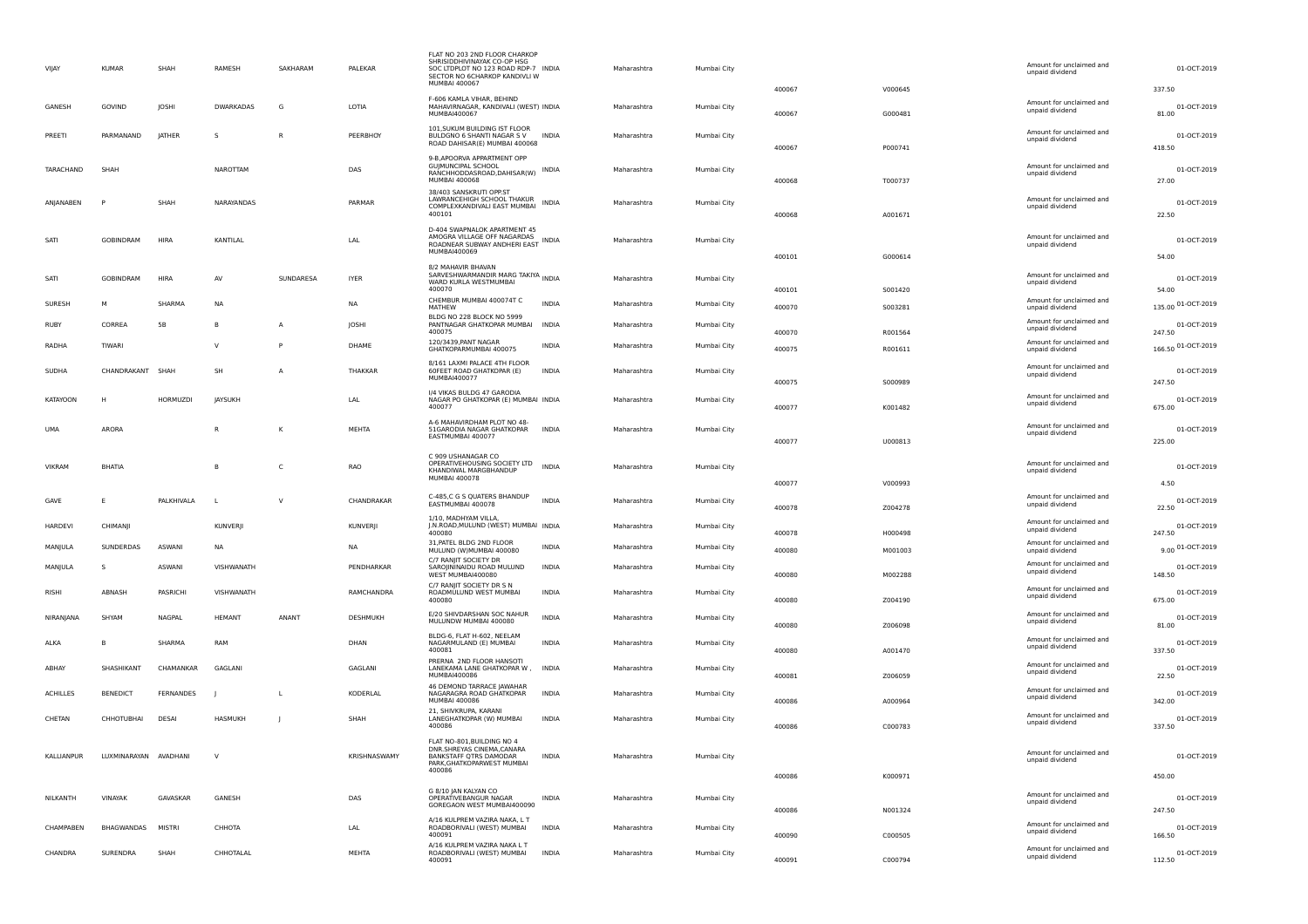| VIIAY             | <b>KUMAR</b>           | SHAH            | RAMESH           | SAKHARAM       | PALEKAR                     | FLAT NO 203 2ND FLOOR CHARKOF<br>SHRISIDDHIVINAYAK CO-OP HSG<br>SOC LTDPLOT NO 123 ROAD RDP-7 INDIA<br>SECTOR NO 6CHARKOP KANDIVLI W<br>MUMBAI 400067 |              | Maharashtra | Mumbai City | 400067           | V000645            | Amount for unclaimed and<br>unpaid dividend | 01-OCT-2019<br>337.50        |
|-------------------|------------------------|-----------------|------------------|----------------|-----------------------------|-------------------------------------------------------------------------------------------------------------------------------------------------------|--------------|-------------|-------------|------------------|--------------------|---------------------------------------------|------------------------------|
| GANESH            | GOVIND                 | JOSHI           | <b>DWARKADAS</b> | G              | LOTIA                       | F-606 KAMLA VIHAR, BEHIND<br>MAHAVIRNAGAR, KANDIVALI (WEST) INDIA<br>MUMBAI400067                                                                     |              | Maharashtra | Mumbai City | 400067           | G000481            | Amount for unclaimed and<br>unpaid dividend | 01-OCT-2019<br>81.00         |
| PREETI            | PARMANAND              | JATHER          | s                | $\mathsf{R}$   | PEERBHOY                    | 101, SUKUM BUILDING IST FLOOR<br>BULDGNO 6 SHANTI NAGAR S V<br>ROAD DAHISAR(E) MUMBAI 400068                                                          | INDIA        | Maharashtra | Mumbai City | 400067           | P000741            | Amount for unclaimed and<br>unpaid dividend | 01-OCT-2019<br>418.50        |
| TARACHAND         | SHAH                   |                 | NAROTTAM         |                | DAS                         | 9-B, APOORVA APPARTMENT OPP<br><b>GUJMUNCIPAL SCHOOL</b><br>RANCHHODDASROAD, DAHISAR(W)<br><b>MUMBAI 400068</b>                                       | <b>INDIA</b> | Maharashtra | Mumbai City | 400068           | T000737            | Amount for unclaimed and<br>unpaid dividend | 01-OCT-2019<br>27.00         |
| ANIANABEN         | P                      | SHAH            | NARAYANDAS       |                | PARMAR                      | 38/403 SANSKRUTI OPP.ST<br><b>I AWRANCEHIGH SCHOOL THAKUR</b><br>COMPLEXKANDIVALI EAST MUMBAI<br>400101                                               | INDIA        | Maharashtra | Mumbai City | 400068           | A001671            | Amount for unclaimed and<br>unpaid dividend | 01-OCT-2019<br>22.50         |
| SATI              | GOBINDRAM              | <b>HIRA</b>     | KANTILAL         |                | $\ensuremath{\mathsf{LAL}}$ | D-404 SWAPNALOK APARTMENT 45<br>AMOGRA VILLAGE OFF NAGARDAS<br>ROADNEAR SUBWAY ANDHERI EAST INDIA<br>MUMBAI400069                                     |              | Maharashtra | Mumbai City | 400101           | G000614            | Amount for unclaimed and<br>unpaid dividend | 01-OCT-2019<br>54.00         |
| SATI              | <b>GOBINDRAM</b>       | <b>HIRA</b>     | AV               | SUNDARESA      | <b>IYER</b>                 | 8/2 MAHAVIR RHAVAN<br>8/2 MAHAVIR BUAVAIN<br>SARVESHWARMANDIR MARG TAKIYA INDIA<br>WARD KURLA WESTMUMBAI<br>400070                                    |              | Maharashtra | Mumbai City | 400101           | 5001420            | Amount for unclaimed and<br>unpaid dividend | 01-OCT-2019<br>54.00         |
| SURESH            | M                      | SHARMA          | <b>NA</b>        |                | <b>NA</b>                   | CHEMBUR MUMBAI 400074T C<br>MATHEW                                                                                                                    | <b>INDIA</b> | Maharashtra | Mumbai City | 400070           | 5003281            | Amount for unclaimed and<br>unpaid dividend | 135.00 01-OCT-2019           |
| <b>RUBY</b>       | CORREA                 | <b>5B</b>       | $\overline{B}$   | $\overline{A}$ | JOSHI                       | BLDG NO 228 BLOCK NO 5999<br>PANTNAGAR GHATKOPAR MUMBAI                                                                                               | <b>INDIA</b> | Maharashtra | Mumbai City |                  |                    | Amount for unclaimed and<br>unpaid dividend | 01-OCT-2019                  |
| RADHA             | TIWARI                 |                 | $\mathsf{v}$     | P              | DHAME                       | 400075<br>120/3439, PANT NAGAR                                                                                                                        | <b>INDIA</b> | Maharashtra | Mumbai City | 400070<br>400075 | R001564<br>R001611 | Amount for unclaimed and                    | 247.50<br>166.50 01-OCT-2019 |
|                   |                        |                 |                  |                |                             | GHATKOPARMUMBAI 400075<br>8/161 LAXMI PALACE 4TH FLOOR                                                                                                |              |             |             |                  |                    | unpaid dividend<br>Amount for unclaimed and |                              |
| <b>SUDHA</b>      | CHANDRAKANT SHAH       |                 | SH               | $\overline{A}$ | THAKKAR                     | 60FEET ROAD GHATKOPAR (E)<br><b>MUMBAI400077</b>                                                                                                      | <b>INDIA</b> | Maharashtra | Mumbai City | 400075           | S000989            | unpaid dividend                             | 01-OCT-2019<br>247.50        |
| <b>KATAYOON</b>   | H                      | <b>HORMUZDI</b> | <b>IAYSUKH</b>   |                | LAL                         | 1/4 VIKAS BULDG 47 GARODIA<br>NAGAR PO GHATKOPAR (E) MUMBAI INDIA<br>400077                                                                           |              | Maharashtra | Mumbai City | 400077           | K001482            | Amount for unclaimed and<br>unpaid dividend | 01-OCT-2019<br>675.00        |
| <b>UMA</b>        | ARORA                  |                 |                  | $\mathsf{K}$   | MEHTA                       | A-6 MAHAVIRDHAM PLOT NO 48-<br>51GARODIA NAGAR GHATKOPAR<br>EASTMUMBAI 400077                                                                         | <b>INDIA</b> | Maharashtra | Mumbai City | 400077           | U000813            | Amount for unclaimed and<br>unpaid dividend | 01-OCT-2019<br>225.00        |
| <b>VIKRAM</b>     | <b>BHATIA</b>          |                 |                  | $\mathsf{C}$   | RAO                         | C 909 USHANAGAR CO<br>OPERATIVEHOUSING SOCIETY LTD<br>KHANDIWAL MARGBHANDUP<br>MUMBAI 400078                                                          | <b>INDIA</b> | Maharashtra | Mumbai City |                  |                    | Amount for unclaimed and<br>unpaid dividend | 01-OCT-2019                  |
|                   |                        |                 |                  |                |                             | C-485,C G S QUATERS BHANDUP                                                                                                                           |              |             |             | 400077           | V000993            | Amount for unclaimed and                    | 4.50                         |
| GAVE              | E                      | PALKHIVALA      | $\mathbf{L}$     | $\vee$         | CHANDRAKAR                  | EASTMUMBAI 400078<br>1/10, MADHYAM VILLA,                                                                                                             | <b>INDIA</b> | Maharashtra | Mumbai City | 400078           | Z004278            | unpaid dividend                             | 01-OCT-2019<br>22.50         |
| <b>HARDEVI</b>    | CHIMANII               |                 | <b>KUNVERII</b>  |                | KUNVERII                    | J.N.ROAD, MULUND (WEST) MUMBAI INDIA<br>400080                                                                                                        |              | Maharashtra | Mumbai City | 400078           | H000498            | Amount for unclaimed and<br>unpaid dividend | 01-OCT-2019<br>247.50        |
| MANIULA           | SUNDERDAS              | <b>ASWANI</b>   | <b>NA</b>        |                | <b>NA</b>                   | 31, PATEL BLDG 2ND FLOOR<br>MULUND (W)MUMBAI 400080                                                                                                   | <b>INDIA</b> | Maharashtra | Mumbai City | 400080           | M001003            | Amount for unclaimed and<br>unpaid dividend | 9.00 01-OCT-2019             |
| MANJULA           | S                      | ASWANI          | VISHWANATH       |                | PENDHARKAR                  | C/7 RANIIT SOCIETY DR<br>SAROJININAIDU ROAD MULUND<br>WEST MUMBAI400080                                                                               | <b>INDIA</b> | Maharashtra | Mumbai City | 400080           | M002288            | Amount for unclaimed and<br>unpaid dividend | 01-OCT-2019<br>148.50        |
| <b>RISHI</b>      | ABNASH                 | PASRICHI        | VISHWANATH       |                | RAMCHANDRA                  | C/7 RANIIT SOCIETY DR S N<br>ROADMULUND WEST MUMBAI<br>400080                                                                                         | <b>INDIA</b> | Maharashtra | Mumbai City | 400080           | Z004190            | Amount for unclaimed and<br>unpaid dividend | 01-OCT-2019<br>675.00        |
| NIRANIANA         | SHYAM                  | <b>NAGPAI</b>   | <b>HFMANT</b>    | ANANT          | <b>DESHMUKH</b>             | E/20 SHIVDARSHAN SOC NAHUR<br>MULUNDW MUMBAI 400080                                                                                                   | <b>INDIA</b> | Maharashtra | Mumbai City | 400080           | 7006098            | Amount for unclaimed and<br>unpaid dividend | 01-OCT-2019<br>81.00         |
| ALKA              | B                      | SHARMA          | RAM              |                | DHAN                        | BLDG-6, FLAT H-602, NEELAM<br>NAGARMULAND (E) MUMBAI<br>400081                                                                                        | INDIA        | Maharashtra | Mumbai City | 400080           | A001470            | Amount for unclaimed and<br>unpaid dividend | 01-OCT-2019<br>337.50        |
| ABHAY             | SHASHIKANT             | CHAMANKAR       | GAGLANI          |                | GAGLANI                     | PRERNA 2ND FLOOR HANSOTI<br>LANEKAMA LANE GHATKOPAR W,<br>MUMBAI400086                                                                                | INDIA        | Maharashtra | Mumbai City | 400081           | Z006059            | Amount for unclaimed and<br>unpaid dividend | 01-OCT-2019<br>22.50         |
| <b>ACHILLES</b>   | <b>BENEDICT</b>        | FERNANDES       |                  | <b>L</b>       | KODERLAL                    | 46 DEMOND TARRACE JAWAHAR<br>NAGARAGRA ROAD GHATKOPAR<br>MUMBAI 400086                                                                                | <b>INDIA</b> | Maharashtra | Mumbai City | 400086           | A000964            | Amount for unclaimed and<br>unpaid dividend | 01-OCT-2019<br>342.00        |
| CHETAN            | CHHOTURHAL             | <b>DESAI</b>    | HASMUKH          | l.             | SHAH                        | 21, SHIVKRUPA, KARANI<br>LANEGHATKOPAR (W) MUMBAI<br>400086                                                                                           | <b>INDIA</b> | Maharashtra | Mumbai City | 400086           | C000783            | Amount for unclaimed and<br>unpaid dividend | 01-OCT-2019<br>337.50        |
| <b>KALLIANPUR</b> | I UXMINARAYAN AVADHANI |                 | $\mathsf{v}$     |                | KRISHNASWAMY                | FLAT NO-801, BUILDING NO 4<br>DNR.SHREYAS CINEMA, CANARA<br><b>BANKSTAFF OTRS DAMODAR</b><br>PARK, GHATKOPARWEST MUMBAI<br>400086                     | <b>INDIA</b> | Maharashtra | Mumbai City |                  |                    | Amount for unclaimed and<br>unpaid dividend | 01-OCT-2019                  |
|                   |                        |                 |                  |                |                             | G 8/10 IAN KALYAN CO                                                                                                                                  |              |             |             | 400086           | K000971            |                                             | 450.00                       |
| NILKANTH          | VINAYAK                | GAVASKAR        | GANESH           |                | DAS                         | OPERATIVEBANGUR NAGAR<br>GOREGAON WEST MUMBAI400090                                                                                                   | <b>INDIA</b> | Maharashtra | Mumbai City | 400086           | N001324            | Amount for unclaimed and<br>unpaid dividend | 01-OCT-2019<br>247.50        |
| CHAMPABEN         | <b>BHAGWANDAS</b>      | MISTRI          | CHHOTA           |                | LAL                         | A/16 KULPREM VAZIRA NAKA, L T<br>ROADBORIVALI (WEST) MUMBAI<br>400091                                                                                 | <b>INDIA</b> | Maharashtra | Mumbai City | 400090           | C000505            | Amount for unclaimed and<br>unpaid dividend | 01-OCT-2019<br>166.50        |
| CHANDRA           | SURENDRA               | SHAH            | CHHOTALAL        |                | <b>MEHTA</b>                | A/16 KULPREM VAZIRA NAKA L T<br>ROADBORIVALI (WEST) MUMBAI<br>400091                                                                                  | <b>INDIA</b> | Maharashtra | Mumbai City | 400091           | C000794            | Amount for unclaimed and<br>unpaid dividend | 01-OCT-2019<br>112.50        |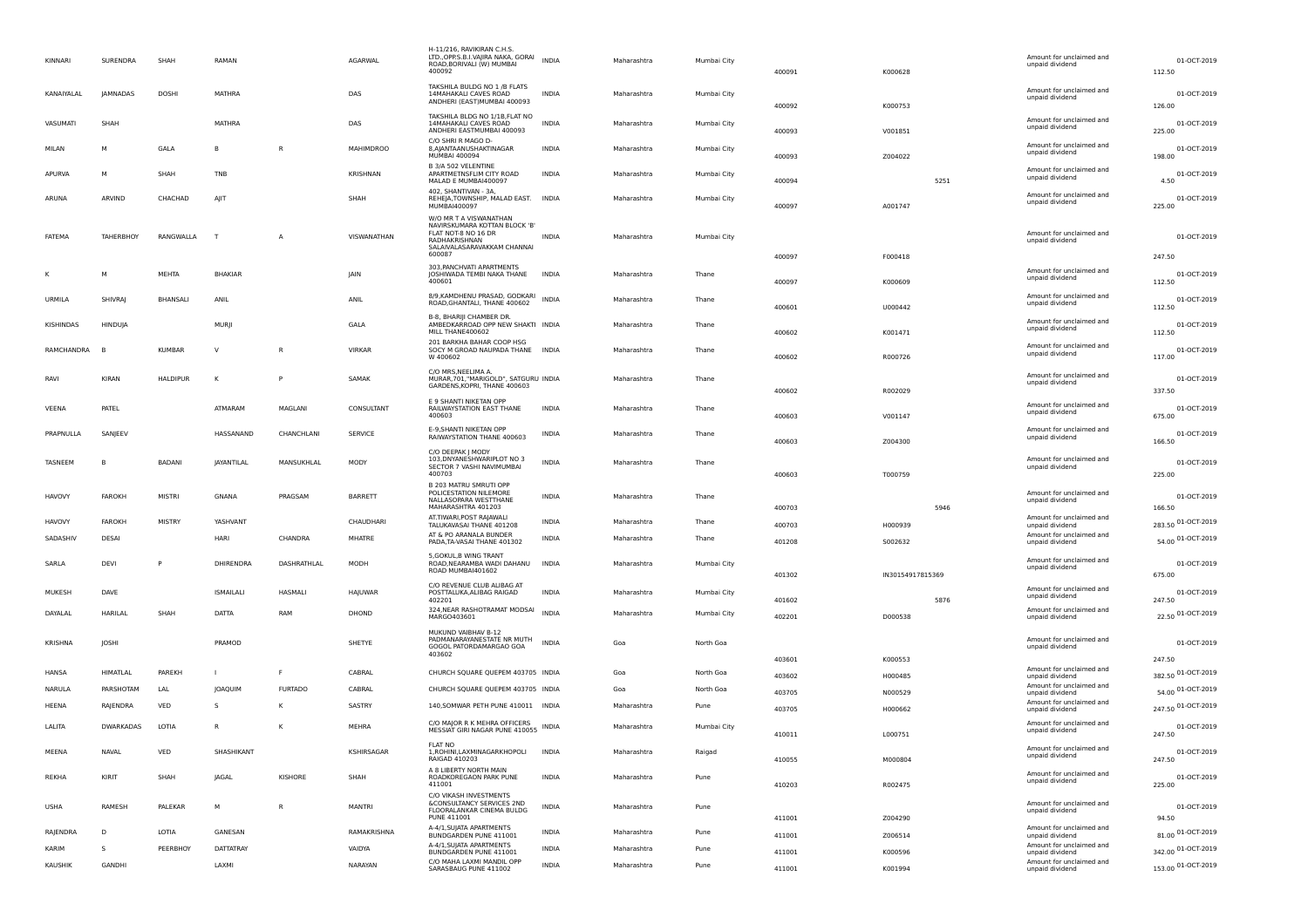| KINNARI        | SURENDRA         | SHAH            | RAMAN            |                | AGARWAL          | H-11/216, RAVIKIRAN C.H.S.<br>LTD., OPP.S.B.I.VAJIRA NAKA, GORAI<br>ROAD,BORIVALI (W) MUMBAI<br>400092                                   | <b>INDIA</b> | Maharashtra | Mumbai City | 400091 | K000628          | Amount for unclaimed and<br>unpaid dividend                    | 01-OCT-2019<br>112.50 |
|----------------|------------------|-----------------|------------------|----------------|------------------|------------------------------------------------------------------------------------------------------------------------------------------|--------------|-------------|-------------|--------|------------------|----------------------------------------------------------------|-----------------------|
| KANAIYALAL     | <b>JAMNADAS</b>  | DOSHI           | MATHRA           |                | DAS              | TAKSHILA BULDG NO 1 /B FLATS<br>14MAHAKALI CAVES ROAD<br>ANDHERI (EAST)MUMBAI 400093                                                     | <b>INDIA</b> | Maharashtra | Mumbai City | 400092 | K000753          | Amount for unclaimed and<br>unpaid dividend                    | 01-OCT-2019<br>126.00 |
| VASUMATI       | SHAH             |                 | MATHRA           |                | DAS              | TAKSHILA BLDG NO 1/1B, FLAT NO<br>14MAHAKALI CAVES ROAD<br>ANDHERI EASTMUMBAI 400093                                                     | <b>INDIA</b> | Maharashtra | Mumbai City | 400093 | V001851          | Amount for unclaimed and<br>unpaid dividend                    | 01-OCT-2019<br>225.00 |
| MILAN          | M                | GALA            | B                | R              | <b>MAHIMDROO</b> | C/O SHRI R MAGO D-<br>8, AJANTAANUSHAKTINAGAR<br><b>MUMBAI 400094</b>                                                                    | <b>INDIA</b> | Maharashtra | Mumbai City | 400093 | Z004022          | Amount for unclaimed and<br>unpaid dividend                    | 01-OCT-2019<br>198.00 |
| APURVA         | M                | SHAH            | TNB              |                | KRISHNAN         | B 3/A 502 VELENTINE<br>APARTMETNSFLIM CITY ROAD<br>MALAD E MUMBAI400097                                                                  | <b>INDIA</b> | Maharashtra | Mumbai City | 400094 | 5251             | Amount for unclaimed and<br>unpaid dividend                    | 01-OCT-2019<br>4.50   |
| ARUNA          | ARVIND           | CHACHAD         | AJIT             |                | SHAH             | 402, SHANTIVAN - 3A,<br>REHEJA, TOWNSHIP, MALAD EAST.<br>MUMBAI400097                                                                    | INDIA        | Maharashtra | Mumbai City | 400097 | A001747          | Amount for unclaimed and<br>unpaid dividend                    | 01-OCT-2019<br>225.00 |
| FATEMA         | TAHERBHOY        | RANGWALLA       | $\top$           | A              | VISWANATHAN      | W/O MR T A VISWANATHAN<br>NAVIRSKUMARA KOTTAN BLOCK 'B'<br>FLAT NOT-8 NO 16 DR<br>RADHAKRISHNAN<br>SALAIVALASARAVAKKAM CHANNAI<br>600087 | <b>INDIA</b> | Maharashtra | Mumbai City | 400097 | F000418          | Amount for unclaimed and<br>unpaid dividend                    | 01-OCT-2019<br>247.50 |
|                | M                | MEHTA           | <b>BHAKIAR</b>   |                | <b>JAIN</b>      | 303. PANCHVATI APARTMENTS<br>JOSHIWADA TEMBI NAKA THANE<br>400601                                                                        | <b>INDIA</b> | Maharashtra | Thane       | 400097 | K000609          | Amount for unclaimed and<br>unpaid dividend                    | 01-OCT-2019<br>112.50 |
| URMILA         | SHIVRAI          | BHANSALI        | ANIL             |                | ANIL             | 8/9, KAMDHENU PRASAD, GODKARI<br>ROAD, GHANTALI, THANE 400602                                                                            | <b>INDIA</b> | Maharashtra | Thane       | 400601 | U000442          | Amount for unclaimed and<br>unpaid dividend                    | 01-OCT-2019<br>112.50 |
| KISHINDAS      | HINDUJA          |                 | MURJI            |                | GALA             | B-8, BHARIJI CHAMBER DR.<br>AMBEDKARROAD OPP NEW SHAKTI INDIA<br>MILL THANE400602                                                        |              | Maharashtra | Thane       | 400602 | K001471          | Amount for unclaimed and<br>unpaid dividend                    | 01-OCT-2019<br>112.50 |
| RAMCHANDRA     |                  | <b>KUMBAR</b>   | V                | R              | <b>VIRKAR</b>    | 201 BARKHA BAHAR COOP HSG<br>SOCY M GROAD NAUPADA THANE INDIA<br>W 400602                                                                |              | Maharashtra | Thane       | 400602 | R000726          | Amount for unclaimed and<br>unpaid dividend                    | 01-OCT-2019<br>117.00 |
| RAVI           | KIRAN            | <b>HALDIPUR</b> | к                | P              | SAMAK            | C/O MRS, NEELIMA A.<br>MURAR, 701, "MARIGOLD", SATGURU INDIA<br>GARDENS, KOPRI, THANE 400603                                             |              | Maharashtra | Thane       | 400602 | R002029          | Amount for unclaimed and<br>unpaid dividend                    | 01-OCT-2019<br>337.50 |
| VEENA          | PATEL            |                 | ATMARAM          | MAGLANI        | CONSULTANT       | E 9 SHANTI NIKETAN OPP<br>RAILWAYSTATION EAST THANE<br>400603                                                                            | <b>INDIA</b> | Maharashtra | Thane       | 400603 | V001147          | Amount for unclaimed and<br>unpaid dividend                    | 01-OCT-2019<br>675.00 |
| PRAPNULLA      | SANJEEV          |                 | HASSANAND        | CHANCHLANI     | SERVICE          | <b>F-9.SHANTI NIKETAN OPP</b><br>RAIWAYSTATION THANE 400603                                                                              | INDIA        | Maharashtra | Thane       | 400603 | Z004300          | Amount for unclaimed and<br>unpaid dividend                    | 01-OCT-2019<br>166.50 |
| <b>TASNEEM</b> | - B              | <b>BADANI</b>   | JAYANTILAL       | MANSUKHLAL     | MODY             | C/O DEEPAK J MODY<br>103, DNYANESHWARIPLOT NO 3<br>SECTOR 7 VASHI NAVIMUMBAI<br>400703                                                   | <b>INDIA</b> | Maharashtra | Thane       | 400603 | T000759          | Amount for unclaimed and<br>unpaid dividend                    | 01-OCT-2019<br>225.00 |
| <b>HAVOVY</b>  | <b>FAROKH</b>    | <b>MISTRI</b>   | GNANA            | PRAGSAM        | BARRETT          | B 203 MATRU SMRUTI OPP<br>POLICESTATION NILEMORE<br>NALLASOPARA WESTTHANE<br>MAHARASHTRA 401203                                          | INDIA        | Maharashtra | Thane       | 400703 | 5946             | Amount for unclaimed and<br>unpaid dividend                    | 01-OCT-2019<br>166.50 |
| <b>HAVOVY</b>  | <b>FAROKH</b>    | MISTRY          | YASHVANT         |                | CHAUDHARI        | AT.TIWARI, POST RAJAWALI<br>TALUKAVASAI THANE 401208                                                                                     | INDIA        | Maharashtra | Thane       | 400703 | H000939          | Amount for unclaimed and<br>unpaid dividend                    | 283.50 01-OCT-2019    |
| SADASHIV       | DESAI            |                 | HARI             | CHANDRA        | MHATRE           | AT & PO ARANALA BUNDER<br>PADA, TA-VASAI THANE 401302                                                                                    | <b>INDIA</b> | Maharashtra | Thane       | 401208 | 5002632          | Amount for unclaimed and<br>unpaid dividend                    | 54.00 01-OCT-2019     |
| SARLA          | DEVI             | P               | DHIRENDRA        | DASHRATHLAL    | MODH             | 5, GOKUL, B WING TRANT<br>ROAD, NEARAMBA WADI DAHANU<br>ROAD MUMBAI401602                                                                | <b>INDIA</b> | Maharashtra | Mumbai City | 401302 | IN30154917815369 | Amount for unclaimed and<br>unpaid dividend                    | 01-OCT-2019<br>675.00 |
| MUKESH         | DAVE             |                 | <b>ISMAILALI</b> | HASMALI        | HAJUWAR          | C/O REVENUE CLUB ALIBAG AT<br>POSTTALUKA, ALIBAG RAIGAD<br>402201                                                                        | <b>INDIA</b> | Maharashtra | Mumbai City | 401602 | 5876             | Amount for unclaimed and<br>unpaid dividend                    | 01-OCT-2019<br>247.50 |
| DAYALAL        | HARILAL          | SHAH            | DATTA            | RAM            | DHOND            | 324, NEAR RASHOTRAMAT MODSAI<br>MARG0403601                                                                                              | <b>INDIA</b> | Maharashtra | Mumbai City | 402201 | D000538          | Amount for unclaimed and<br>unpaid dividend                    | 22.50 01-OCT-2019     |
| KRISHNA        | JOSHI            |                 | PRAMOD           |                | SHETYE           | MUKUND VAIBHAV B-12<br>PADMANARAYANESTATE NR MUTH                                                                                        | <b>INDIA</b> | Goa         | North Goa   |        |                  | Amount for unclaimed and                                       | 01-OCT-2019           |
|                |                  |                 |                  |                |                  | GOGOL PATORDAMARGAO GOA<br>403602                                                                                                        |              |             |             | 403601 | K000553          | unpaid dividend                                                | 247.50                |
| HANSA          | HIMATLAL         | PAREKH          |                  | F              | CABRAL           | CHURCH SQUARE QUEPEM 403705 INDIA                                                                                                        |              | Goa         | North Goa   | 403602 | H000485          | Amount for unclaimed and<br>unpaid dividend                    | 382.50 01-OCT-2019    |
| NARULA         | PARSHOTAM        | LAL             | JOAQUIM          | <b>FURTADO</b> | CABRAL           | CHURCH SQUARE QUEPEM 403705 INDIA                                                                                                        |              | Goa         | North Goa   | 403705 | N000529          | Amount for unclaimed and<br>unpaid dividend                    | 54.00 01-OCT-2019     |
| HEENA          | RAJENDRA         | VED             | s                | К              | SASTRY           | 140, SOMWAR PETH PUNE 410011 INDIA                                                                                                       |              | Maharashtra | Pune        | 403705 | H000662          | Amount for unclaimed and                                       | 247.50 01-OCT-2019    |
| LALITA         | <b>DWARKADAS</b> | LOTIA           | R                | К              | MEHRA            | C/O MAJOR R K MEHRA OFFICERS<br>MESSIAT GIRI NAGAR PUNE 410055                                                                           | <b>INDIA</b> | Maharashtra | Mumbai City | 410011 | L000751          | unpaid dividend<br>Amount for unclaimed and<br>unpaid dividend | 01-OCT-2019<br>247.50 |
| MEENA          | NAVAL            | VED             | SHASHIKANT       |                | KSHIRSAGAR       | FI AT NC<br>1, ROHINI, LAXMINAGARKHOPOLI<br>RAIGAD 410203                                                                                | INDIA        | Maharashtra | Raigad      | 410055 | M000804          | Amount for unclaimed and<br>unpaid dividend                    | 01-OCT-2019<br>247.50 |
| REKHA          | KIRIT            | SHAH            | <b>JAGAL</b>     | KISHORE        | SHAH             | A 8 LIBERTY NORTH MAIN<br>ROADKOREGAON PARK PUNE<br>411001                                                                               | <b>INDIA</b> | Maharashtra | Pune        | 410203 | R002475          | Amount for unclaimed and<br>unpaid dividend                    | 01-OCT-2019<br>225.00 |
| <b>USHA</b>    | RAMESH           | PALEKAR         | M                | $\mathsf{R}$   | <b>MANTRI</b>    | C/O VIKASH INVESTMENTS<br><b>&amp;CONSULTANCY SERVICES 2ND</b><br>FLOORALANKAR CINEMA BULDG<br>PUNE 411001                               | <b>INDIA</b> | Maharashtra | Pune        |        | Z004290          | Amount for unclaimed and<br>unpaid dividend                    | 01-OCT-2019<br>94.50  |
| RAJENDRA       | D                | LOTIA           | GANESAN          |                | RAMAKRISHNA      | A-4/1, SUJATA APARTMENTS                                                                                                                 | <b>INDIA</b> | Maharashtra | Pune        | 411001 |                  | Amount for unclaimed and                                       | 81.00 01-OCT-2019     |
| KARIM          | s                | PEERBHOY        | <b>DATTATRAY</b> |                | VAIDYA           | BUNDGARDEN PUNE 411001<br>A-4/1, SUJATA APARTMENTS                                                                                       | <b>INDIA</b> | Maharashtra | Pune        | 411001 | Z006514          | unpaid dividend<br>Amount for unclaimed and                    | 342.00 01-OCT-2019    |
| KAUSHIK        | GANDHI           |                 | LAXMI            |                | NARAYAN          | BUNDGARDEN PUNE 411001<br>C/O MAHA LAXMI MANDIL OPP                                                                                      | <b>INDIA</b> | Maharashtra | Pune        | 411001 | K000596          | unpaid dividend<br>Amount for unclaimed and                    | 153.00 01-OCT-2019    |
|                |                  |                 |                  |                |                  | SARASBAUG PUNE 411002                                                                                                                    |              |             |             | 411001 | K001994          | unpaid dividend                                                |                       |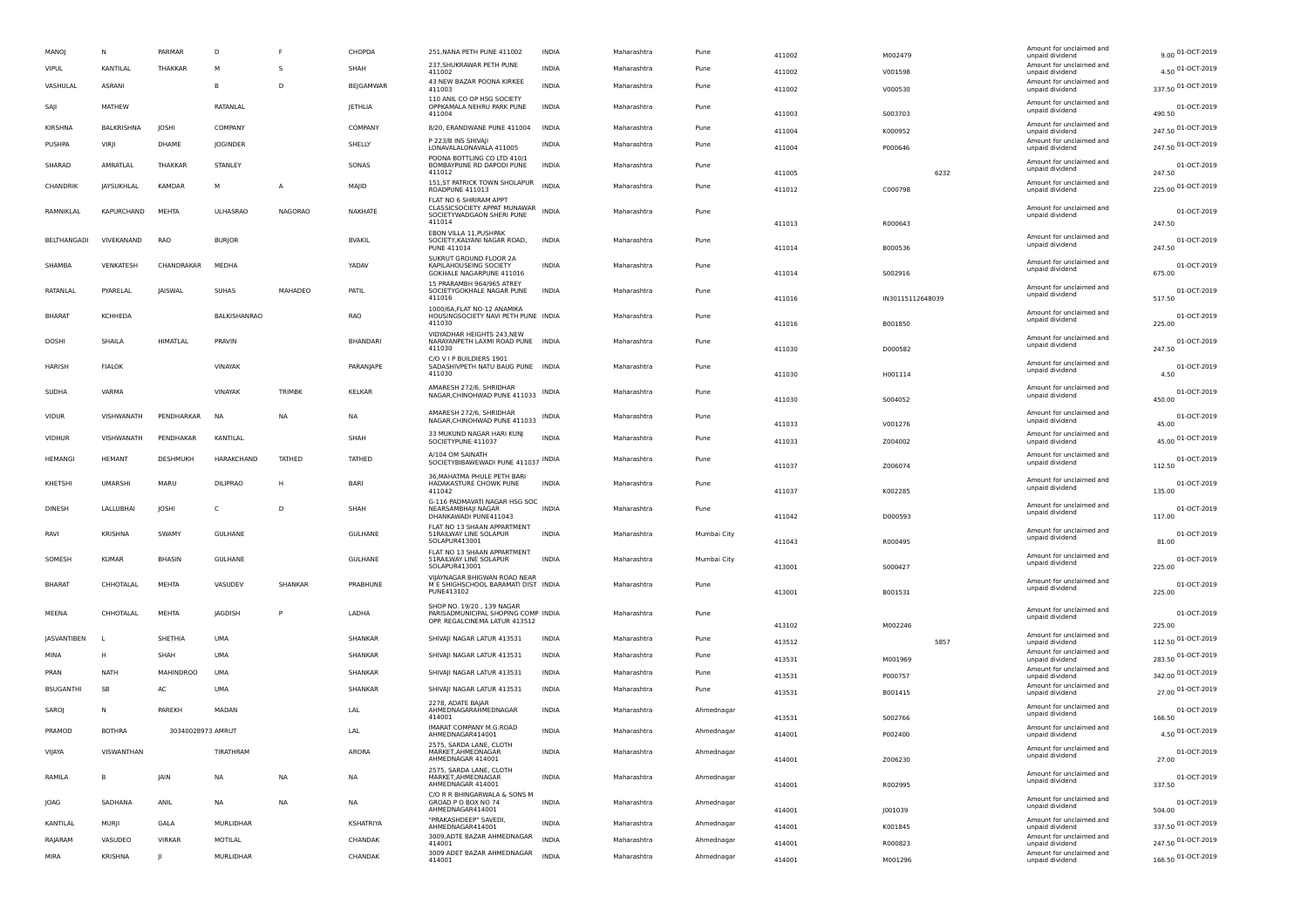| MANOJ            | N                 | PARMAR            | D                   |                | CHOPDA          | 251, NANA PETH PUNE 411002                                                                          | INDIA        | Maharashtra | Pune        | 411002 | M002479          | Amount for unclaimed and<br>unpaid dividend | 9.00 01-OCT-2019      |
|------------------|-------------------|-------------------|---------------------|----------------|-----------------|-----------------------------------------------------------------------------------------------------|--------------|-------------|-------------|--------|------------------|---------------------------------------------|-----------------------|
| VIPUL            | KANTILAL          | THAKKAR           | М                   | s              | SHAH            | 237, SHUKRAWAR PETH PUNE<br>411002                                                                  | INDIA        | Maharashtra | Pune        | 411002 | V001598          | Amount for unclaimed and<br>unpaid dividend | 4.50 01-OCT-2019      |
| VASHULAL         | ASRANI            |                   | B                   | D              | BEJGAMWAR       | 43 NEW BAZAR POONA KIRKEE<br>411003                                                                 | <b>INDIA</b> | Maharashtra | Pune        | 411002 | V000530          | Amount for unclaimed and<br>unpaid dividend | 337.50 01-OCT-2019    |
| SAJI             | MATHEW            |                   | RATANLAL            |                | JETHLIA         | 110 ANIL CO OP HSG SOCIETY<br>OPPKAMALA NEHRU PARK PUNE<br>411004                                   | <b>INDIA</b> | Maharashtra | Pune        | 411003 | S003703          | Amount for unclaimed and<br>unpaid dividend | 01-OCT-2019<br>490.50 |
| KIRSHNA          | <b>BALKRISHNA</b> | JOSHI             | COMPANY             |                | COMPANY         | 8/20, ERANDWANE PUNE 411004                                                                         | <b>INDIA</b> | Maharashtra | Pune        | 411004 | K000952          | Amount for unclaimed and<br>unpaid dividend | 247.50 01-OCT-2019    |
| PUSHPA           | VIRJI             | DHAME             | <b>JOGINDER</b>     |                | SHELLY          | P 223/B INS SHIVAJI<br>LONAVALALONAVALA 411005                                                      | <b>INDIA</b> | Maharashtra | Pune        | 411004 | P000646          | Amount for unclaimed and<br>unpaid dividend | 247.50 01-OCT-2019    |
| SHARAD           | AMRATLAL          | THAKKAR           | STANLEY             |                | SONAS           | POONA BOTTLING CO LTD 410/1<br>BOMBAYPUNE RD DAPODI PUNE<br>411012                                  | <b>INDIA</b> | Maharashtra | Pune        | 411005 | 6232             | Amount for unclaimed and<br>unpaid dividend | 01-OCT-2019<br>247.50 |
| CHANDRIK         | <b>JAYSUKHLAL</b> | <b>KAMDAR</b>     | м                   | A              | MAJID           | 151, ST PATRICK TOWN SHOLAPUR<br>ROADPUNE 411013                                                    | <b>INDIA</b> | Maharashtra | Pune        | 411012 | C000798          | Amount for unclaimed and<br>unpaid dividend | 225.00 01-OCT-2019    |
| RAMNIKLAL        | KAPURCHAND        | MEHTA             | <b>ULHASRAO</b>     | <b>NAGORAO</b> | NAKHATE         | FLAT NO 6 SHRIRAM APPT<br>CLASSICSOCIETY APPAT MUNAWAR INDIA<br>SOCIETYWADGAON SHERI PUNE<br>411014 |              | Maharashtra | Pune        | 411013 | R000643          | Amount for unclaimed and<br>unpaid dividend | 01-OCT-2019<br>247.50 |
| BELTHANGADI      | VIVEKANAND        | RAO               | <b>BURJOR</b>       |                | <b>BVAKIL</b>   | EBON VILLA 11, PUSHPAK<br>SOCIETY, KALYANI NAGAR ROAD,<br>PUNE 411014                               | INDIA        | Maharashtra | Pune        | 411014 | B000536          | Amount for unclaimed and<br>unpaid dividend | 01-OCT-2019<br>247.50 |
| SHAMBA           | VENKATESH         | CHANDRAKAR        | MEDHA               |                | YADAV           | SUKRUT GROUND FLOOR 2A<br>KAPII AHOUSEING SOCIETY<br>GOKHALE NAGARPUNE 411016                       | <b>INDIA</b> | Maharashtra | Pune        | 411014 | S002916          | Amount for unclaimed and<br>unpaid dividend | 01-OCT-2019<br>675.00 |
| RATANLAL         | PYARELAL          | <b>JAISWAL</b>    | <b>SUHAS</b>        | MAHADEO        | PATIL           | 15 PRARAMBH 964/965 ATREY<br>SOCIETYGOKHALE NAGAR PUNE<br>411016                                    | <b>INDIA</b> | Maharashtra | Pune        | 411016 | IN30115112648039 | Amount for unclaimed and<br>unpaid dividend | 01-OCT-2019<br>517.50 |
| <b>BHARAT</b>    | KCHHEDA           |                   | <b>BALKISHANRAO</b> |                | <b>RAO</b>      | 1000/6A, FLAT NO-12 ANAMIKA<br>HOUSINGSOCIETY NAVI PETH PUNE INDIA<br>411030                        |              | Maharashtra | Pune        | 411016 | B001850          | Amount for unclaimed and<br>unpaid dividend | 01-OCT-2019<br>225.00 |
| DOSHI            | SHAILA            | HIMATLAL          | PRAVIN              |                | <b>BHANDARI</b> | VIDYADHAR HEIGHTS 243, NEW<br>NARAYANPETH LAXMI ROAD PUNE INDIA<br>411030                           |              | Maharashtra | Pune        | 411030 | D000582          | Amount for unclaimed and<br>unpaid dividend | 01-OCT-2019<br>247.50 |
| HARISH           | <b>FIALOK</b>     |                   | VINAYAK             |                | PARANJAPE       | C/O V I P BUILDIERS 1901<br>SADASHIVPETH NATU BAUG PUNE INDIA<br>411030                             |              | Maharashtra | Pune        | 411030 | H001114          | Amount for unclaimed and<br>unpaid dividend | 01-OCT-2019<br>4.50   |
| SUDHA            | VARMA             |                   | VINAYAK             | TRIMBK         | <b>KELKAR</b>   | AMARESH 272/6, SHRIDHAR<br>NAGAR, CHINOHWAD PUNE 411033                                             | INDIA        | Maharashtra | Pune        | 411030 | S004052          | Amount for unclaimed and<br>unpaid dividend | 01-OCT-2019<br>450.00 |
| <b>VIDUR</b>     | VISHWANATH        | PENDHARKAR        | NA                  | <b>NA</b>      | <b>NA</b>       | AMARESH 272/6, SHRIDHAR<br>NAGAR, CHINOHWAD PUNE 411033                                             | INDIA        | Maharashtra | Pune        | 411033 | V001276          | Amount for unclaimed and<br>unpaid dividend | 01-OCT-2019<br>45.00  |
| <b>VIDHUR</b>    | VISHWANATH        | PENDHAKAR         | KANTILAL            |                | SHAH            | 33 MUKUND NAGAR HARI KUNJ<br>SOCIETYPUNE 411037                                                     | <b>INDIA</b> | Maharashtra | Pune        | 411033 | Z004002          | Amount for unclaimed and<br>unpaid dividend | 45.00 01-OCT-2019     |
| HEMANGI          | <b>HEMANT</b>     | DESHMUKH          | HARAKCHAND          | TATHED         | TATHED          | A/104 OM SAINATH<br>SOCIETYBIBAWEWADI PUNE 411037 INDIA                                             |              | Maharashtra | Pune        | 411037 | Z006074          | Amount for unclaimed and<br>unpaid dividend | 01-OCT-2019<br>112.50 |
| KHETSHI          | <b>UMARSHI</b>    | MARU              | <b>DILIPRAO</b>     | H              | <b>BARI</b>     | 36, MAHATMA PHULE PETH BARI<br>HADAKASTURE CHOWK PUNE<br>411042                                     | <b>INDIA</b> | Maharashtra | Pune        | 411037 | K002285          | Amount for unclaimed and<br>unpaid dividend | 01-OCT-2019<br>135.00 |
| <b>DINESH</b>    | LALLUBHAI         | JOSHI             | C                   | D              | SHAH            | G-116 PADMAVATI NAGAR HSG SOC<br>NEARSAMBHAJI NAGAR<br>DHANKAWADI PUNE411043                        | <b>INDIA</b> | Maharashtra | Pune        | 411042 | D000593          | Amount for unclaimed and<br>unpaid dividend | 01-OCT-2019<br>117.00 |
| RAVI             | KRISHNA           | SWAMY             | GULHANE             |                | <b>GULHANE</b>  | FLAT NO 13 SHAAN APPARTMENT<br>51RAILWAY LINE SOLAPUR<br>SOLAPUR413001                              | <b>INDIA</b> | Maharashtra | Mumbai City | 411043 | R000495          | Amount for unclaimed and<br>unpaid dividend | 01-OCT-2019<br>81.00  |
| SOMESH           | <b>KUMAR</b>      | <b>BHASIN</b>     | <b>GULHANE</b>      |                | <b>GULHANE</b>  | FLAT NO 13 SHAAN APPARTMENT<br>51RAILWAY LINE SOLAPUR<br>SOLAPUR413001                              | <b>INDIA</b> | Maharashtra | Mumbai City | 413001 | S000427          | Amount for unclaimed and<br>unpaid dividend | 01-OCT-2019<br>225.00 |
| <b>BHARAT</b>    | CHHOTALAL         | MEHTA             | VASUDEV             | SHANKAR        | PRABHUNE        | VIJAYNAGAR BHIGWAN ROAD NEAR<br>M E SHIGHSCHOOL BARAMATI DIST INDIA<br>PUNE413102                   |              | Maharashtra | Pune        | 413001 | B001531          | Amount for unclaimed and<br>unpaid dividend | 01-OCT-2019<br>225.00 |
| MEENA            | CHHOTALAL         | MEHTA             | JAGDISH             | P              | LADHA           | SHOP NO. 19/20, 139 NAGAR<br>PARISADMUNICIPAL SHOPING COMP INDIA<br>OPP. REGALCINEMA LATUR 413512   |              | Maharashtra | Pune        | 413102 | M002246          | Amount for unclaimed and<br>unpaid dividend | 01-OCT-2019<br>225.00 |
| JASVANTIBEN      |                   | SHETHIA           | UMA                 |                | SHANKAR         | SHIVAJI NAGAR LATUR 413531                                                                          | INDIA        | Maharashtra | Pune        | 413512 | 5857             | Amount for unclaimed and<br>unpaid dividend | 112.50 01-OCT-2019    |
| MINA             | H                 | SHAH              | UMA                 |                | SHANKAR         | SHIVAJI NAGAR LATUR 413531                                                                          | INDIA        | Maharashtra | Pune        | 413531 | M001969          | Amount for unclaimed and<br>unpaid dividend | 283.50 01-OCT-2019    |
| PRAN             | <b>NATH</b>       | <b>MAHINDROO</b>  | UMA                 |                | SHANKAR         | SHIVAJI NAGAR LATUR 413531                                                                          | INDIA        | Maharashtra | Pune        | 413531 | P000757          | Amount for unclaimed and<br>unpaid dividend | 342.00 01-OCT-2019    |
| <b>BSUGANTHI</b> | SB                | AC                | <b>UMA</b>          |                | SHANKAR         | SHIVAJI NAGAR LATUR 413531                                                                          | <b>INDIA</b> | Maharashtra | Pune        | 413531 | B001415          | Amount for unclaimed and<br>unpaid dividend | 27.00 01-OCT-2019     |
| <b>SARO</b>      | N                 | PAREKH            | MADAN               |                | LAL             | 2278, ADATE BAJAR<br>AHMEDNAGARAHMEDNAGAR<br>414001                                                 | <b>INDIA</b> | Maharashtra | Ahmednagar  | 413531 | S002766          | Amount for unclaimed and<br>unpaid dividend | 01-OCT-2019<br>166.50 |
| PRAMOD           | <b>BOTHRA</b>     | 30340028973 AMRUT |                     |                | LAL             | IMARAT COMPANY M.G.ROAD<br>AHMEDNAGAR414001                                                         | <b>INDIA</b> | Maharashtra | Ahmednagar  | 414001 | P002400          | Amount for unclaimed and<br>unpaid dividend | 4.50 01-OCT-2019      |
| VIJAYA           | VISWANTHAN        |                   | TIRATHRAM           |                | ARORA           | 2575, SARDA LANE, CLOTH<br>MARKET, AHMEDNAGAR<br>AHMEDNAGAR 414001                                  | <b>INDIA</b> | Maharashtra | Ahmednagar  | 414001 | Z006230          | Amount for unclaimed and<br>unpaid dividend | 01-OCT-2019<br>27.00  |
| RAMILA           |                   | <b>JAIN</b>       | <b>NA</b>           | <b>NA</b>      | <b>NA</b>       | 2575, SARDA LANE, CLOTH<br>MARKET, AHMEDNAGAR<br>AHMEDNAGAR 414001                                  | <b>INDIA</b> | Maharashtra | Ahmednagar  | 414001 | R002995          | Amount for unclaimed and<br>unpaid dividend | 01-OCT-2019<br>337.50 |
| JOAG             | SADHANA           | ANIL              | NA                  | <b>NA</b>      | <b>NA</b>       | C/O R R BHINGARWALA & SONS M<br>GROAD P O BOX NO 74<br>AHMEDNAGAR414001                             | <b>INDIA</b> | Maharashtra | Ahmednagar  | 414001 | J001039          | Amount for unclaimed and<br>unpaid dividend | 01-OCT-2019<br>504.00 |
| KANTILAL         | MURJI             | GALA              | MURLIDHAR           |                | KSHATRIYA       | "PRAKASHDEEP" SAVEDI,<br>AHMEDNAGAR414001                                                           | INDIA        | Maharashtra | Ahmednagar  | 414001 | K001845          | Amount for unclaimed and<br>unpaid dividend | 337.50 01-OCT-2019    |
| RAJARAM          | VASUDEO           | <b>VIRKAR</b>     | MOTILAL             |                | CHANDAK         | 3009, ADTE BAZAR AHMEDNAGAR<br>414001                                                               | <b>INDIA</b> | Maharashtra | Ahmednagar  | 414001 | R000823          | Amount for unclaimed and<br>unpaid dividend | 247.50 01-OCT-2019    |
| MIRA             | <b>KRISHNA</b>    | ш                 | MURLIDHAR           |                | CHANDAK         | 3009 ADET BAZAR AHMEDNAGAR<br>414001                                                                | <b>INDIA</b> | Maharashtra | Ahmednagar  | 414001 | M001296          | Amount for unclaimed and<br>unpaid dividend | 166.50 01-OCT-2019    |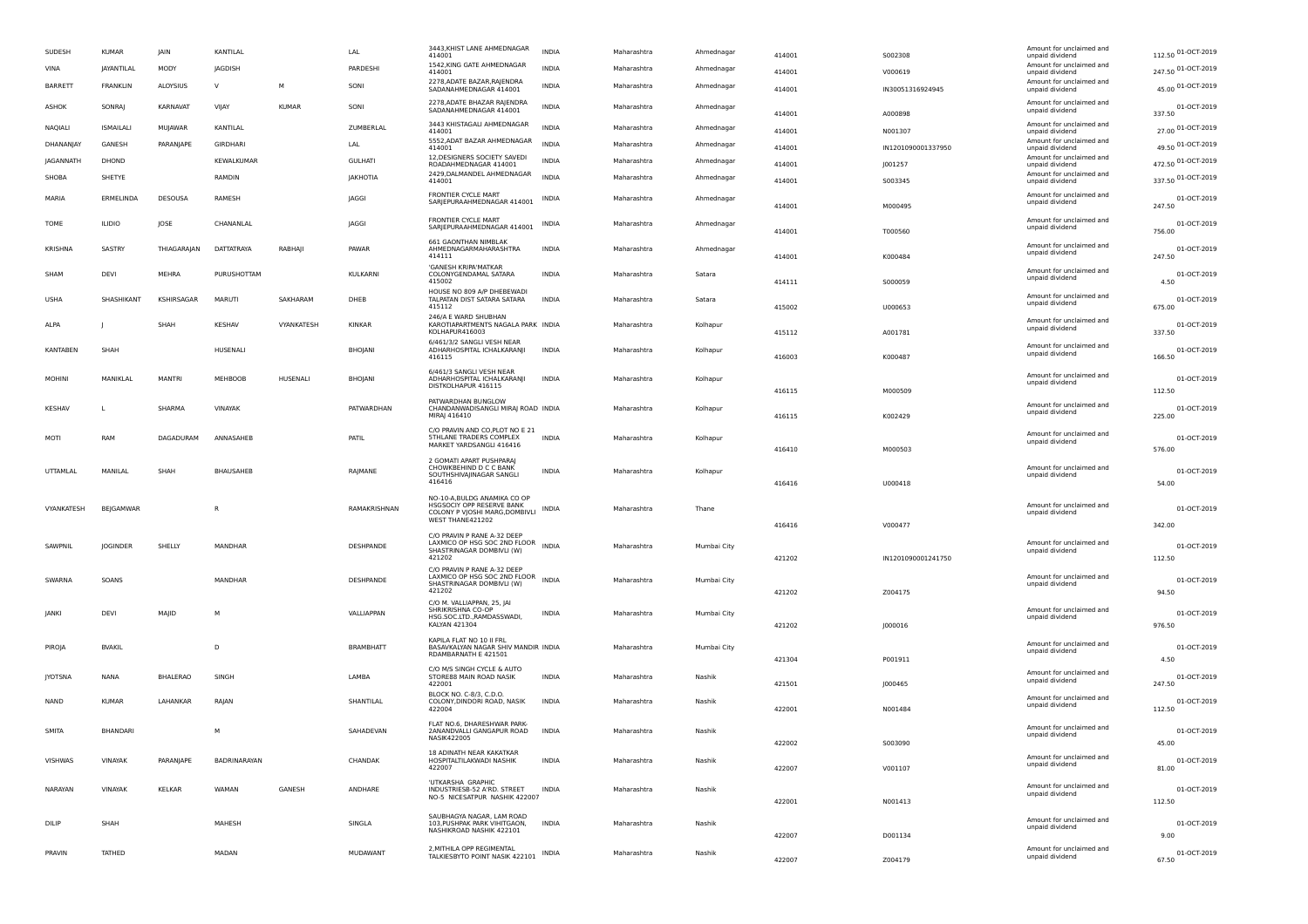| SUDESH          | <b>KUMAR</b>     | JAIN            | KANTILAL        |              | LAL              | 3443, KHIST LANE AHMEDNAGAR<br>414001                                                       | <b>INDIA</b> | Maharashtra | Ahmednagar  | 414001           | 5002308            | Amount for unclaimed and<br>unpaid dividend | 112.50 01-OCT-2019          |
|-----------------|------------------|-----------------|-----------------|--------------|------------------|---------------------------------------------------------------------------------------------|--------------|-------------|-------------|------------------|--------------------|---------------------------------------------|-----------------------------|
| VINA            | JAYANTILAL       | MODY            | JAGDISH         |              | PARDESHI         | 1542, KING GATE AHMEDNAGAR<br>414001                                                        | <b>INDIA</b> | Maharashtra | Ahmednagar  | 414001           | V000619            | Amount for unclaimed and<br>unpaid dividend | 247.50 01-OCT-2019          |
| <b>BARRETT</b>  | FRANKLIN         | ALOYSIUS        | <b>V</b>        | M            | SONI             | 2278, ADATE BAZAR, RAJENDRA<br>SADANAHMEDNAGAR 414001                                       | <b>INDIA</b> | Maharashtra | Ahmednagar  | 414001           | IN30051316924945   | Amount for unclaimed and<br>unpaid dividend | 45.00 01-OCT-2019           |
| ASHOK           | SONRAJ           | KARNAVAT        | VIJAY           | <b>KUMAR</b> | SONI             | 2278, ADATE BHAZAR RAJENDRA<br>SADANAHMEDNAGAR 414001                                       | <b>INDIA</b> | Maharashtra | Ahmednagar  |                  |                    | Amount for unclaimed and<br>unpaid dividend | 01-OCT-2019                 |
| <b>NAQIALI</b>  | <b>ISMAILALI</b> | MUJAWAR         | KANTILAL        |              | ZUMBERLAL        | 3443 KHISTAGALI AHMEDNAGAR<br>414001                                                        | <b>INDIA</b> | Maharashtra | Ahmednagar  | 414001<br>414001 | A000898<br>N001307 | Amount for unclaimed and<br>unpaid dividend | 337.50<br>27.00 01-OCT-2019 |
| DHANANJAY       | GANESH           | PARANJAPE       | <b>GIRDHARI</b> |              | LAL              | 5552, ADAT BAZAR AHMEDNAGAR<br>414001                                                       | <b>INDIA</b> | Maharashtra | Ahmednagar  | 414001           | IN1201090001337950 | Amount for unclaimed and<br>unpaid dividend | 49.50 01-OCT-2019           |
| JAGANNATH       | DHOND            |                 | KEWALKUMAR      |              | <b>GULHATI</b>   | 12, DESIGNERS SOCIETY SAVEDI                                                                | <b>INDIA</b> | Maharashtra | Ahmednagar  |                  |                    | Amount for unclaimed and                    | 472.50 01-OCT-2019          |
| SHOBA           | SHETYE           |                 | RAMDIN          |              | JAKHOTIA         | ROADAHMEDNAGAR 414001<br>2429, DALMANDEL AHMEDNAGAR                                         | <b>INDIA</b> | Maharashtra | Ahmednagar  | 414001           | J001257            | unpaid dividend<br>Amount for unclaimed and | 337.50 01-OCT-2019          |
|                 |                  |                 |                 |              |                  | 414001<br>FRONTIER CYCLE MART                                                               |              |             |             | 414001           | S003345            | unpaid dividend                             |                             |
| MARIA           | ERMELINDA        | DESOUSA         | RAMESH          |              | JAGGI            | SARJEPURAAHMEDNAGAR 414001                                                                  | INDIA        | Maharashtra | Ahmednagar  | 414001           | M000495            | Amount for unclaimed and<br>unpaid dividend | 01-OCT-2019<br>247.50       |
| TOME            | <b>ILIDIO</b>    | JOSE            | CHANANLAL       |              | JAGGI            | FRONTIER CYCLE MART<br>SARJEPURAAHMEDNAGAR 414001                                           | INDIA        | Maharashtra | Ahmednagar  | 414001           | T000560            | Amount for unclaimed and<br>unpaid dividend | 01-OCT-2019<br>756.00       |
| <b>KRISHNA</b>  | SASTRY           | THIAGARAJAN     | DATTATRAYA      | RABHAJI      | PAWAR            | 661 GAONTHAN NIMBLAK<br>AHMEDNAGARMAHARASHTRA<br>414111                                     | <b>INDIA</b> | Maharashtra | Ahmednagar  | 414001           | K000484            | Amount for unclaimed and<br>unpaid dividend | 01-OCT-2019<br>247.50       |
| SHAM            | DEVI             | MEHRA           | PURUSHOTTAM     |              | KULKARNI         | 'GANESH KRIPA'MATKAR<br>COLONYGENDAMAL SATARA<br>415002                                     | <b>INDIA</b> | Maharashtra | Satara      |                  |                    | Amount for unclaimed and<br>unpaid dividend | 01-OCT-2019                 |
|                 |                  |                 |                 |              |                  | HOUSE NO 809 A/P DHEBEWADI                                                                  |              |             |             | 414111           | S000059            | Amount for unclaimed and                    | 4.50                        |
| <b>USHA</b>     | SHASHIKANT       | KSHIRSAGAR      | MARUTI          | SAKHARAM     | DHEB             | TALPATAN DIST SATARA SATARA<br>415112                                                       | <b>INDIA</b> | Maharashtra | Satara      | 415002           | U000653            | unpaid dividend                             | 01-OCT-2019<br>675.00       |
| ALPA            | П                | SHAH            | <b>KESHAV</b>   | VYANKATESH   | KINKAR           | 246/A E WARD SHUBHAN<br>KAROTIAPARTMENTS NAGALA PARK INDIA<br>KOLHAPUR416003                |              | Maharashtra | Kolhapur    | 415112           | A001781            | Amount for unclaimed and<br>unpaid dividend | 01-OCT-2019<br>337.50       |
| <b>KANTABEN</b> | SHAH             |                 | HUSENALI        |              | BHOJANI          | 6/461/3/2 SANGLI VESH NEAR<br>ADHARHOSPITAL ICHALKARANJI                                    | <b>INDIA</b> | Maharashtra | Kolhapur    |                  |                    | Amount for unclaimed and                    | 01-OCT-2019                 |
|                 |                  |                 |                 |              |                  | 416115                                                                                      |              |             |             | 416003           | K000487            | unpaid dividend                             | 166.50                      |
| <b>MOHINI</b>   | MANIKLAL         | <b>MANTRI</b>   | MEHBOOB         | HUSENALI     | <b>BHOJANI</b>   | 6/461/3 SANGLI VESH NEAR<br>ADHARHOSPITAL ICHALKARANJI                                      | <b>INDIA</b> | Maharashtra | Kolhapur    |                  |                    | Amount for unclaimed and                    | 01-OCT-2019                 |
|                 |                  |                 |                 |              |                  | DISTKOLHAPUR 416115                                                                         |              |             |             | 416115           | M000509            | unpaid dividend                             | 112.50                      |
| KESHAV          | L                | SHARMA          | VINAYAK         |              | PATWARDHAN       | PATWARDHAN BUNGLOW<br>CHANDANWADISANGLI MIRAJ ROAD INDIA<br>MIRAJ 416410                    |              | Maharashtra | Kolhapur    | 416115           | K002429            | Amount for unclaimed and<br>unpaid dividend | 01-OCT-2019<br>225.00       |
|                 |                  |                 |                 |              |                  | C/O PRAVIN AND CO, PLOT NO E 21                                                             |              |             |             |                  |                    | Amount for unclaimed and                    |                             |
| MOTI            | RAM              | DAGADURAM       | ANNASAHEB       |              | PATIL            | <b>STHLANE TRADERS COMPLEX</b><br>MARKET YARDSANGLI 416416                                  | <b>INDIA</b> | Maharashtra | Kolhapur    | 416410           | M000503            | unpaid dividend                             | 01-OCT-2019<br>576.00       |
|                 |                  |                 |                 |              |                  | 2 GOMATI APART PUSHPARAJ<br>CHOWKBEHIND D C C BANK                                          |              |             |             |                  |                    |                                             |                             |
| UTTAMLAL        | MANILAL          | SHAH            | BHAUSAHEB       |              | RAJMANE          | SOUTHSHIVAJINAGAR SANGLI<br>416416                                                          | <b>INDIA</b> | Maharashtra | Kolhapur    |                  |                    | Amount for unclaimed and<br>unpaid dividend | 01-OCT-2019                 |
|                 |                  |                 |                 |              |                  |                                                                                             |              |             |             | 416416           | U000418            |                                             | 54.00                       |
| VYANKATESH      | <b>BEJGAMWAR</b> |                 | R               |              | RAMAKRISHNAN     | NO-10-A, BULDG ANAMIKA CO OP<br>HSGSOCIY OPP RESERVE BANK<br>COLONY P VJOSHI MARG, DOMBIVLI | <b>INDIA</b> | Maharashtra | Thane       |                  |                    | Amount for unclaimed and<br>unpaid dividend | 01-OCT-2019                 |
|                 |                  |                 |                 |              |                  | WEST THANE421202                                                                            |              |             |             | 416416           | V000477            |                                             | 342.00                      |
|                 |                  |                 |                 |              |                  | C/O PRAVIN P RANE A-32 DEEP<br>LAXMICO OP HSG SOC 2ND FLOOR                                 |              |             |             |                  |                    | Amount for unclaimed and                    |                             |
| SAWPNIL         | <b>JOGINDER</b>  | SHELLY          | MANDHAR         |              | DESHPANDE        | SHASTRINAGAR DOMBIVLI (W)<br>421202                                                         | <b>INDIA</b> | Maharashtra | Mumbai City | 421202           | IN1201090001241750 | unpaid dividend                             | 01-OCT-2019<br>112.50       |
|                 |                  |                 |                 |              |                  | C/O PRAVIN P RANE A-32 DEEP                                                                 |              |             |             |                  |                    |                                             |                             |
| SWARNA          | SOANS            |                 | MANDHAR         |              | DESHPANDE        | LAXMICO OP HSG SOC 2ND FLOOR INDIA<br>SHASTRINAGAR DOMBIVLI (W)<br>421202                   |              | Maharashtra | Mumbai City |                  |                    | Amount for unclaimed and<br>unpaid dividend | 01-OCT-2019                 |
|                 |                  |                 |                 |              |                  | C/O M. VALLIAPPAN, 25, JAI                                                                  |              |             |             | 421202           | Z004175            |                                             | 94.50                       |
| JANKI           | DEVI             | MAJID           | м               |              | VALLIAPPAN       | SHRIKRISHNA CO-OP<br>HSG.SOC.LTD., RAMDASSWADI,                                             | INDIA        | Maharashtra | Mumbai City |                  |                    | Amount for unclaimed and<br>unpaid dividend | 01-OCT-2019                 |
|                 |                  |                 |                 |              |                  | KALYAN 421304                                                                               |              |             |             | 421202           | 1000016            |                                             | 976.50                      |
| PIROJA          | <b>BVAKIL</b>    |                 | D               |              | <b>BRAMBHATT</b> | KAPILA FLAT NO 10 II FRL<br>BASAVKALYAN NAGAR SHIV MANDIR INDIA                             |              | Maharashtra | Mumbai City |                  |                    | Amount for unclaimed and<br>unpaid dividend | 01-OCT-2019                 |
|                 |                  |                 |                 |              |                  | RDAMBARNATH E 421501<br>C/O M/S SINGH CYCLE & AUTO                                          |              |             |             | 421304           | P001911            |                                             | 4.50                        |
| <b>JYOTSNA</b>  | NANA             | <b>BHALERAO</b> | SINGH           |              | LAMBA            | STORE88 MAIN ROAD NASIK<br>422001                                                           | <b>INDIA</b> | Maharashtra | Nashik      | 421501           |                    | Amount for unclaimed and<br>unpaid dividend | 01-OCT-2019<br>247.50       |
|                 |                  |                 |                 |              |                  | BLOCK NO. C-8/3, C.D.O.                                                                     |              |             |             |                  | J000465            | Amount for unclaimed and                    |                             |
| <b>NAND</b>     | <b>KUMAR</b>     | LAHANKAR        | RAJAN           |              | SHANTILAL        | COLONY, DINDORI ROAD, NASIK<br>422004                                                       | <b>INDIA</b> | Maharashtra | Nashik      | 422001           | N001484            | unpaid dividend                             | 01-OCT-2019<br>112.50       |
| SMITA           | BHANDARI         |                 |                 |              |                  | FLAT NO.6, DHARESHWAR PARK-                                                                 |              |             |             |                  |                    | Amount for unclaimed and                    |                             |
|                 |                  |                 |                 |              | SAHADEVAN        | 2ANANDVALLI GANGAPUR ROAD<br><b>NASIK422005</b>                                             | INDIA        | Maharashtra | Nashik      | 422002           | S003090            | unpaid dividend                             | 01-OCT-2019<br>45.00        |
| VISHWAS         | VINAYAK          | PARANJAPE       | BADRINARAYAN    |              | CHANDAK          | 18 ADINATH NEAR KAKATKAR<br>HOSPITALTILAKWADI NASHIK                                        | <b>INDIA</b> | Maharashtra | Nashik      |                  |                    | Amount for unclaimed and                    | 01-OCT-2019                 |
|                 |                  |                 |                 |              |                  | 422007                                                                                      |              |             |             | 422007           | V001107            | unpaid dividend                             | 81.00                       |
| NARAYAN         | VINAYAK          | KELKAR          | WAMAN           | GANESH       | ANDHARE          | 'UTKARSHA GRAPHIC<br>INDUSTRIESB-52 A'RD. STREET                                            | <b>INDIA</b> | Maharashtra | Nashik      |                  |                    | Amount for unclaimed and                    | 01-OCT-2019                 |
|                 |                  |                 |                 |              |                  | NO-5 NICESATPUR NASHIK 422007                                                               |              |             |             | 422001           | N001413            | unpaid dividend                             | 112.50                      |
| DILIP           | SHAH             |                 | MAHESH          |              | SINGLA           | SAUBHAGYA NAGAR, LAM ROAD<br>103, PUSHPAK PARK VIHITGAON,                                   | <b>INDIA</b> | Maharashtra | Nashik      |                  |                    | Amount for unclaimed and                    | 01-OCT-2019                 |
|                 |                  |                 |                 |              |                  | NASHIKROAD NASHIK 422101                                                                    |              |             |             | 422007           | D001134            | unpaid dividend                             | 9.00                        |
| PRAVIN          | TATHED           |                 | MADAN           |              | MUDAWANT         | 2, MITHILA OPP REGIMENTAL<br>TALKIESBYTO POINT NASIK 422101                                 | INDIA        | Maharashtra | Nashik      |                  |                    | Amount for unclaimed and<br>unpaid dividend | 01-OCT-2019                 |
|                 |                  |                 |                 |              |                  |                                                                                             |              |             |             | 422007           | Z004179            |                                             | 67.50                       |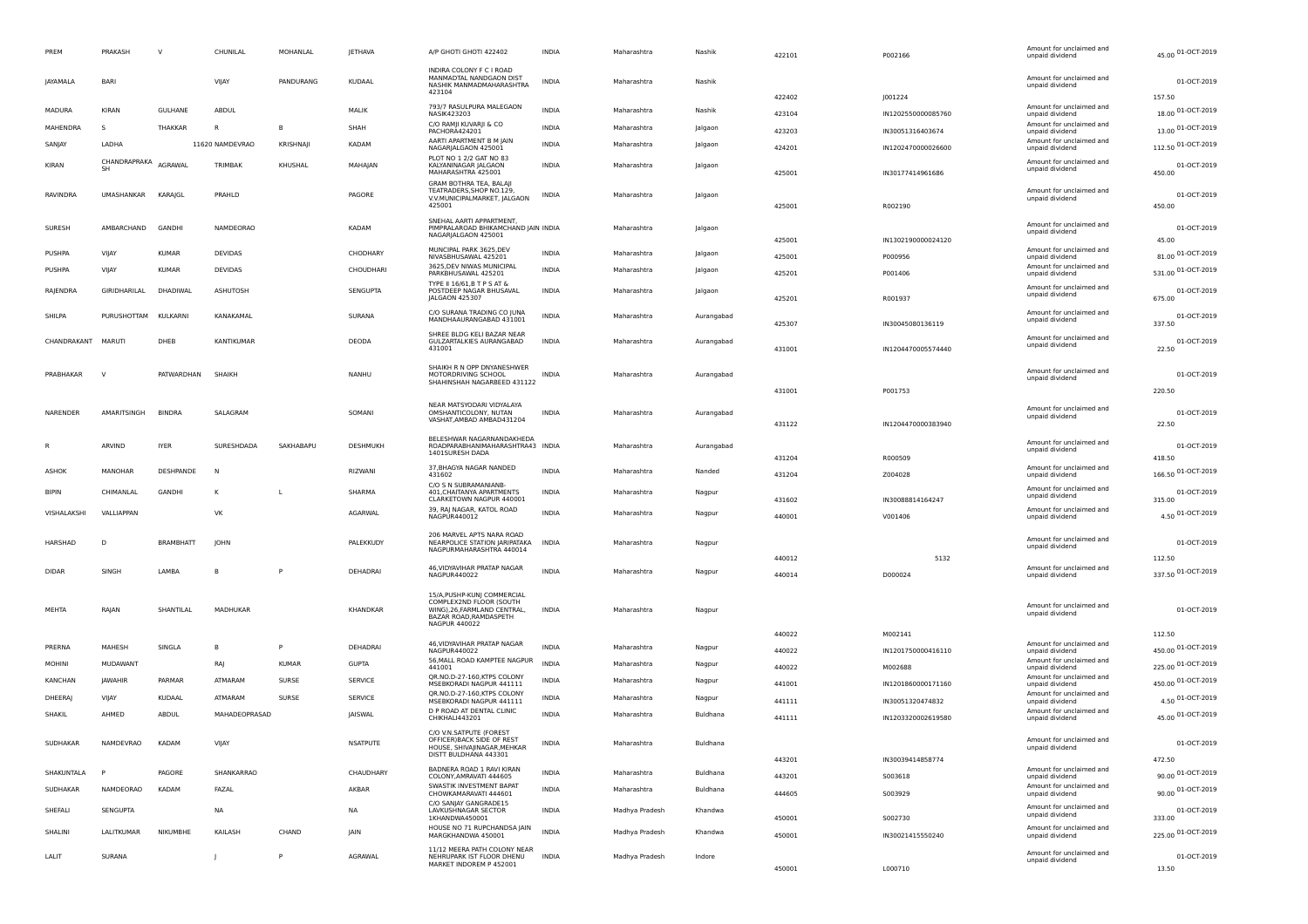| PREM          | PRAKASH            | $\vee$           | CHUNILAL          | MOHANLAL     | <b>JETHAVA</b>  | A/P GHOTI GHOTI 422402                                                                                                                   | <b>INDIA</b> | Maharashtra    | Nashik     | 422101 | P002166            | Amount for unclaimed and<br>unpaid dividend | 45.00 01-OCT-2019            |
|---------------|--------------------|------------------|-------------------|--------------|-----------------|------------------------------------------------------------------------------------------------------------------------------------------|--------------|----------------|------------|--------|--------------------|---------------------------------------------|------------------------------|
| JAYAMALA      | BARI               |                  | VIJAY             | PANDURANG    | KUDAAL          | INDIRA COLONY F C I ROAD<br>MANMADTAL NANDGAON DIST<br>NASHIK MANMADMAHARASHTRA<br>423104                                                | INDIA        | Maharashtra    | Nashik     |        |                    | Amount for unclaimed and<br>unpaid dividend | 01-OCT-2019                  |
| <b>MADURA</b> | KIRAN              | GULHANE          | ABDUL             |              | MALIK           | 793/7 RASULPURA MALEGAON                                                                                                                 | <b>INDIA</b> | Maharashtra    | Nashik     | 422402 | J001224            | Amount for unclaimed and                    | 157.50<br>18.00 01-OCT-2019  |
| MAHENDRA      | s                  | THAKKAR          | <b>R</b>          | B            | SHAH            | NASIK423203<br>C/O RAMJI KUVARJI & CO                                                                                                    | <b>INDIA</b> | Maharashtra    |            | 423104 | IN1202550000085760 | unpaid dividend<br>Amount for unclaimed and |                              |
|               |                    |                  |                   |              |                 | PACHORA424201<br>AARTI APARTMENT B M JAIN                                                                                                |              |                | Jalgaon    | 423203 | IN30051316403674   | unpaid dividend<br>Amount for unclaimed and | 13.00 01-OCT-2019            |
| SANJAY        | LADHA              |                  | 11620 NAMDEVRAO   | KRISHNAJI    | KADAM           | NAGARJALGAON 425001<br>PLOT NO 1 2/2 GAT NO 83                                                                                           | INDIA        | Maharashtra    | Jalgaon    | 424201 | IN1202470000026600 | unpaid dividend                             | 112.50 01-OCT-2019           |
| KIRAN         | CHANDRAPRAKA<br>SH | <b>AGRAWA</b>    | TRIMBAK           | KHUSHAL      | MAHAJAN         | KALYANINAGAR JALGAON<br>MAHARASHTRA 425001<br>GRAM BOTHRA TEA, BALAJI                                                                    | INDIA        | Maharashtra    | Jalgaon    | 425001 | IN30177414961686   | Amount for unclaimed and<br>unpaid dividend | 01-OCT-2019<br>450.00        |
| RAVINDRA      | UMASHANKAR         | KARAJGL          | PRAHLD            |              | PAGORE          | TEATRADERS, SHOP NO.129,<br>V.V.MUNICIPALMARKET, JALGAON<br>425001                                                                       | INDIA        | Maharashtra    | Jalgaon    | 425001 | R002190            | Amount for unclaimed and<br>unpaid dividend | 01-OCT-2019<br>450.00        |
| <b>SURESH</b> | AMBARCHAND         | GANDHI           | NAMDEORAO         |              | KADAM           | SNEHAL AARTI APPARTMENT,<br>PIMPRALAROAD BHIKAMCHAND JAIN INDIA<br>NAGARJALGAON 425001                                                   |              | Maharashtra    | Jalgaon    | 425001 | IN1302190000024120 | Amount for unclaimed and<br>unpaid dividend | 01-OCT-2019<br>45.00         |
| <b>PUSHPA</b> | VIJAY              | <b>KUMAR</b>     | <b>DEVIDAS</b>    |              | CHODHARY        | MUNCIPAL PARK 3625, DEV<br>NIVASBHUSAWAL 425201                                                                                          | <b>INDIA</b> | Maharashtra    | Jalgaon    | 425001 | P000956            | Amount for unclaimed and<br>unpaid dividend | 81.00 01-OCT-2019            |
| PUSHPA        | VIJAY              | <b>KUMAR</b>     | <b>DEVIDAS</b>    |              | CHOUDHARI       | 3625.DEV NIWAS MUNICIPAL<br>PARKBHUSAWAL 425201                                                                                          | INDIA        | Maharashtra    | Jalgaon    | 425201 | P001406            | Amount for unclaimed and<br>unpaid dividend | 531.00 01-OCT-2019           |
| RAJENDRA      | GIRIDHARILAL       | DHADIWAL         | ASHUTOSH          |              | SENGUPTA        | TYPE II 16/61, B T P S AT &<br>POSTDEEP NAGAR BHUSAVAL<br>JALGAON 425307                                                                 | INDIA        | Maharashtra    | Jalgaon    | 425201 | R001937            | Amount for unclaimed and<br>unpaid dividend | 01-OCT-2019<br>675.00        |
| SHILPA        | PURUSHOTTAM        | KULKARNI         | KANAKAMAL         |              | SURANA          | C/O SURANA TRADING CO JUNA                                                                                                               | INDIA        | Maharashtra    |            |        |                    | Amount for unclaimed and                    | 01-OCT-2019                  |
|               |                    |                  |                   |              |                 | MANDHAAURANGABAD 431001                                                                                                                  |              |                | Aurangabad | 425307 | IN30045080136119   | unpaid dividend                             | 337.50                       |
| CHANDRAKANT   | MARUT              | DHEB             | <b>KANTIKUMAR</b> |              | DEODA           | SHREE BLDG KELI BAZAR NEAR<br>GULZARTALKIES AURANGABAD<br>431001                                                                         | <b>INDIA</b> | Maharashtra    | Aurangabad | 431001 | IN1204470005574440 | Amount for unclaimed and<br>unpaid dividend | 01-OCT-2019<br>22.50         |
| PRABHAKAR     | <sup>V</sup>       | PATWARDHAN       | SHAIKH            |              | NANHU           | SHAIKH R N OPP DNYANESHWER<br>MOTORDRIVING SCHOOL<br>SHAHINSHAH NAGARBEED 431122                                                         | <b>INDIA</b> | Maharashtra    | Aurangabad |        |                    | Amount for unclaimed and<br>unpaid dividend | 01-OCT-2019                  |
|               |                    |                  |                   |              |                 |                                                                                                                                          |              |                |            | 431001 | P001753            |                                             | 220.50                       |
| NARENDER      | AMARITSINGH        | <b>BINDRA</b>    | SALAGRAM          |              | SOMANI          | NEAR MATSYODARI VIDYALAYA<br>OMSHANTICOLONY, NUTAN<br>VASHAT, AMBAD AMBAD431204                                                          | INDIA        | Maharashtra    | Aurangabad | 431122 | IN1204470000383940 | Amount for unclaimed and<br>unpaid dividend | 01-OCT-2019<br>22.50         |
|               | ARVIND             | <b>IYER</b>      | SURESHDADA        | SAKHABAPU    | DESHMUKH        | BELESHWAR NAGARNANDAKHEDA<br>ROADPARABHANIMAHARASHTRA43 INDIA<br>1401SURESH DADA                                                         |              | Maharashtra    | Aurangabad | 431204 | R000509            | Amount for unclaimed and<br>unpaid dividend | 01-OCT-2019<br>418.50        |
| ASHOK         | MANOHAR            | DESHPANDE        | <b>N</b>          |              | RIZWANI         | 37, BHAGYA NAGAR NANDED<br>431602                                                                                                        | <b>INDIA</b> | Maharashtra    | Nanded     | 431204 | Z004028            | Amount for unclaimed and<br>unpaid dividend | 166.50 01-OCT-2019           |
| <b>BIPIN</b>  | CHIMANLAL          | GANDHI           | K                 |              | SHARMA          | C/O S N SUBRAMANIANB-<br>401, CHAITANYA APARTMENTS                                                                                       | INDIA        | Maharashtra    | Nagpur     |        |                    | Amount for unclaimed and<br>unpaid dividend | 01-OCT-2019                  |
| VISHALAKSHI   | VALLIAPPAN         |                  | VK                |              | AGARWAL         | CLARKETOWN NAGPUR 440001<br>39, RAJ NAGAR, KATOL ROAD                                                                                    | <b>INDIA</b> | Maharashtra    | Nagpur     | 431602 | IN30088814164247   | Amount for unclaimed and                    | 315.00<br>4.50 01-OCT-2019   |
|               |                    |                  |                   |              |                 | NAGPUR440012                                                                                                                             |              |                |            | 440001 | V001406            | unpaid dividend                             |                              |
| HARSHAD       | D                  | <b>BRAMBHATT</b> | <b>IOHN</b>       |              | PALEKKUDY       | 206 MARVEL APTS NARA ROAD<br>NEARPOLICE STATION JARIPATAKA<br>NAGPURMAHARASHTRA 440014                                                   | <b>INDIA</b> | Maharashtra    | Nagpur     |        |                    | Amount for unclaimed and<br>unpaid dividend | 01-OCT-2019                  |
| <b>DIDAR</b>  | SINGH              | LAMBA            |                   |              | DEHADRAI        | 46, VIDYAVIHAR PRATAP NAGAR                                                                                                              | INDIA        | Maharashtra    | Nagpur     | 440012 | 5132               | Amount for unclaimed and                    | 112.50<br>337.50 01-OCT-2019 |
|               |                    |                  |                   |              |                 | NAGPUR440022                                                                                                                             |              |                |            | 440014 | D000024            | unpaid dividend                             |                              |
| MEHTA         | RAJAN              | SHANTILAL        | MADHUKAR          |              | KHANDKAR        | 15/A, PUSHP-KUN  COMMERCIAL<br>COMPLEX2ND FLOOR (SOUTH<br>WING), 26, FARMLAND CENTRAL,<br>BAZAR ROAD, RAMDASPETH<br><b>NAGPUR 440022</b> | <b>INDIA</b> | Maharashtra    | Nagpur     |        |                    | Amount for unclaimed and<br>unpaid dividend | 01-OCT-2019                  |
|               |                    |                  |                   |              |                 | 46, VIDYAVIHAR PRATAP NAGAR                                                                                                              |              |                |            | 440022 | M002141            | Amount for unclaimed and                    | 112.50                       |
| PRERNA        | MAHESH             | SINGLA           | B                 | P            | DEHADRAI        | NAGPUR440022<br>56, MALL ROAD KAMPTEE NAGPUR                                                                                             | INDIA        | Maharashtra    | Nagpur     | 440022 | IN1201750000416110 | unpaid dividend<br>Amount for unclaimed and | 450.00 01-OCT-2019           |
| MOHINI        | MUDAWANT           |                  | RAJ               | <b>KUMAR</b> | <b>GUPTA</b>    | 441001<br>QR.NO.D-27-160,KTPS COLONY                                                                                                     | <b>INDIA</b> | Maharashtra    | Nagpur     | 440022 | M002688            | unpaid dividend<br>Amount for unclaimed and | 225.00 01-OCT-2019           |
| KANCHAN       | <b>JAWAHIR</b>     | PARMAR           | ATMARAM           | SURSE        | <b>SERVICE</b>  | MSEBKORADI NAGPUR 441111                                                                                                                 | <b>INDIA</b> | Maharashtra    | Nagpur     | 441001 | IN1201860000171160 | unpaid dividend                             | 450.00 01-OCT-2019           |
| DHEERAJ       | VIJAY              | KUDAAL           | ATMARAM           | SURSE        | <b>SERVICE</b>  | QR.NO.D-27-160,KTPS COLONY<br>MSEBKORADI NAGPUR 441111                                                                                   | INDIA        | Maharashtra    | Nagpur     | 441111 | IN30051320474832   | Amount for unclaimed and<br>unpaid dividend | 4.50 01-OCT-2019             |
| SHAKIL        | AHMED              | ABDUL            | MAHADEOPRASAD     |              | JAISWAL         | D P ROAD AT DENTAL CLINIC<br>CHIKHALI443201                                                                                              | <b>INDIA</b> | Maharashtra    | Buldhana   | 441111 | IN1203320002619580 | Amount for unclaimed and<br>unpaid dividend | 45.00 01-OCT-2019            |
| SUDHAKAR      | NAMDEVRAO          | KADAM            | VIJAY             |              | <b>NSATPUTE</b> | C/O V.N.SATPUTE (FOREST<br>OFFICERIBACK SIDE OF REST<br>HOUSE, SHIVAJINAGAR, MEHKAR<br>DISTT BULDHANA 443301                             | <b>INDIA</b> | Maharashtra    | Buldhana   |        |                    | Amount for unclaimed and<br>unpaid dividend | 01-OCT-2019                  |
|               |                    |                  |                   |              |                 | BADNERA ROAD 1 RAVI KIRAN                                                                                                                |              |                |            | 443201 | IN30039414858774   | Amount for unclaimed and                    | 472.50                       |
| SHAKUNTALA    | P                  | PAGORE           | SHANKARRAO        |              | CHAUDHARY       | COLONY, AMRAVATI 444605<br><b>SWASTIK INVESTMENT BAPAT</b>                                                                               | <b>INDIA</b> | Maharashtra    | Buldhana   | 443201 | 5003618            | unpaid dividend<br>Amount for unclaimed and | 90.00 01-OCT-2019            |
| SUDHAKAR      | NAMDEORAO          | KADAM            | FAZAL             |              | AKBAR           | CHOWKAMARAVATI 444601                                                                                                                    | <b>INDIA</b> | Maharashtra    | Buldhana   | 444605 | S003929            | unpaid dividend                             | 90.00 01-OCT-2019            |
| SHEFALI       | SENGUPTA           |                  | NA                |              | <b>NA</b>       | C/O SANJAY GANGRADE15<br>LAVKUSHNAGAR SECTOR<br>1KHANDWA450001                                                                           | <b>INDIA</b> | Madhya Pradesh | Khandwa    | 450001 | S002730            | Amount for unclaimed and<br>unpaid dividend | 01-OCT-2019<br>333.00        |
| SHALINI       | LALITKUMAR         | NIKUMBHE         | KAILASH           | CHAND        | <b>JAIN</b>     | HOUSE NO 71 RUPCHANDSA JAIN<br>MARGKHANDWA 450001                                                                                        | <b>INDIA</b> | Madhya Pradesh | Khandwa    | 450001 | IN30021415550240   | Amount for unclaimed and<br>unpaid dividend | 225.00 01-OCT-2019           |
| LALIT         | SURANA             |                  | - I               | P            | AGRAWAL         | 11/12 MEERA PATH COLONY NEAR<br>NEHRUPARK IST FLOOR DHENU<br>MARKET INDOREM P 452001                                                     | <b>INDIA</b> | Madhya Pradesh | Indore     | 450001 | L000710            | Amount for unclaimed and<br>unpaid dividend | 01-OCT-2019<br>13.50         |
|               |                    |                  |                   |              |                 |                                                                                                                                          |              |                |            |        |                    |                                             |                              |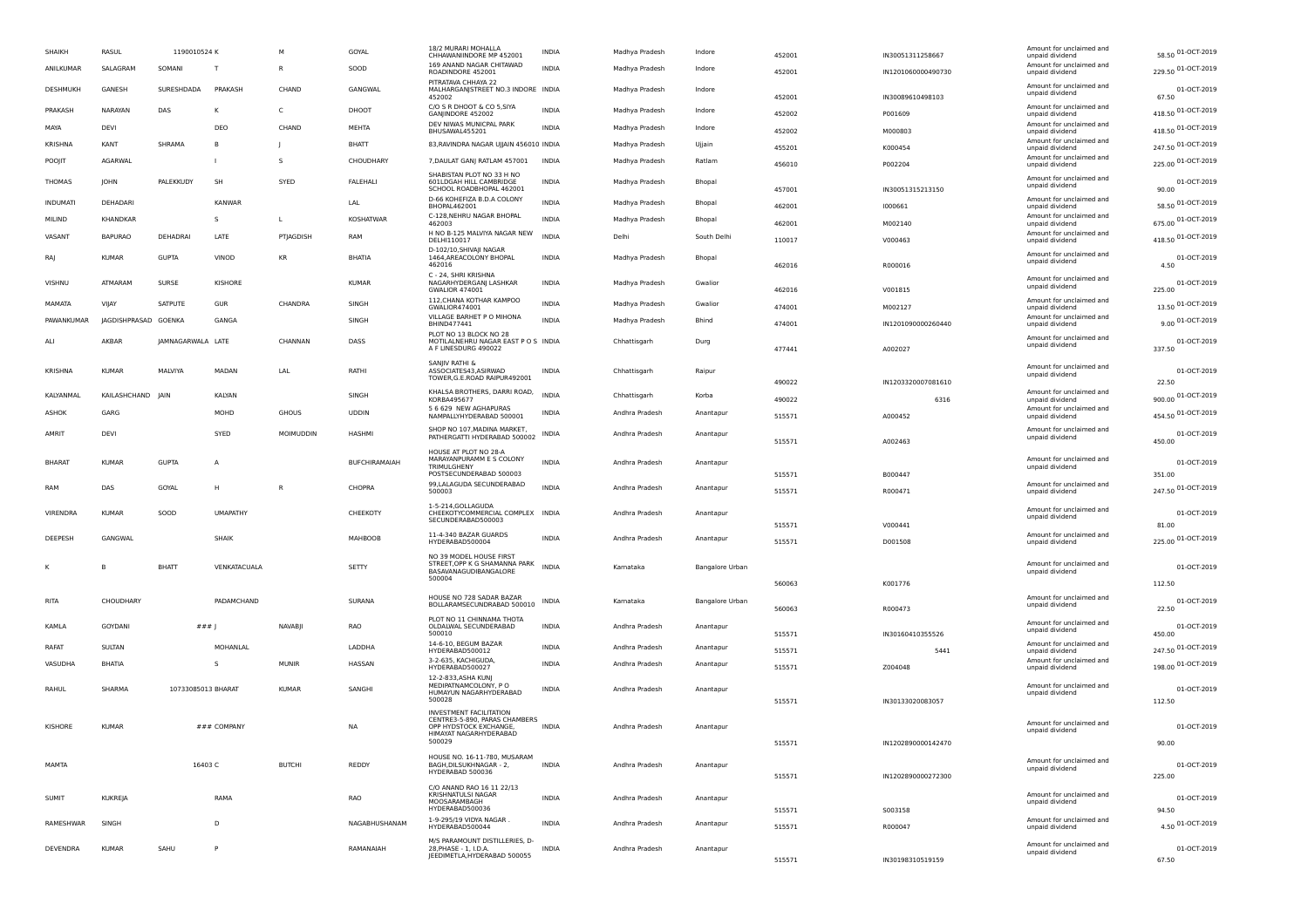| SHAIKH        |                 | RASUL                | 1190010524 K       |                 | M              | GOYAL            | 18/2 MURARI MOHALLA<br>CHHAWANIINDORE MP 452001                                                    | INDIA        | Madhya Pradesh | Indore          | 452001 | IN30051311258667   | Amount for unclaimed and<br>unpaid dividend | 58.50 01-OCT-2019     |
|---------------|-----------------|----------------------|--------------------|-----------------|----------------|------------------|----------------------------------------------------------------------------------------------------|--------------|----------------|-----------------|--------|--------------------|---------------------------------------------|-----------------------|
|               | ANILKUMAR       | SALAGRAM             | SOMANI             | T               | R              | SOOD             | 169 ANAND NAGAR CHITAWAD<br>ROADINDORE 452001                                                      | <b>INDIA</b> | Madhya Pradesh | Indore          | 452001 | IN1201060000490730 | Amount for unclaimed and<br>unpaid dividend | 229.50 01-OCT-2019    |
|               | DESHMUKH        | GANESH               | SURESHDADA         | PRAKASH         | CHAND          | GANGWAL          | PITRATAVA CHHAYA 22<br>MALHARGANJSTREET NO.3 INDORE INDIA<br>452002                                |              | Madhya Pradesh | Indore          | 452001 | IN30089610498103   | Amount for unclaimed and<br>unpaid dividend | 01-OCT-2019<br>67.50  |
|               | PRAKASH         | NARAYAN              | DAS                | к               | C              | DHOOT            | C/O S R DHOOT & CO 5, SIYA<br>GANJINDORE 452002                                                    | <b>INDIA</b> | Madhya Pradesh | Indore          | 452002 | P001609            | Amount for unclaimed and<br>unpaid dividend | 418.50 01-OCT-2019    |
| MAYA          |                 | DEVI                 |                    | DEO             | CHAND          | MEHTA            | DEV NIWAS MUNICPAL PARK<br>BHUSAWAL455201                                                          | INDIA        | Madhya Pradesh | Indore          | 452002 | M000803            | Amount for unclaimed and<br>unpaid dividend | 418.50 01-OCT-2019    |
|               | <b>KRISHNA</b>  | KANT                 | SHRAMA             | B               |                | <b>BHATT</b>     | 83, RAVINDRA NAGAR UJJAIN 456010 INDIA                                                             |              | Madhya Pradesh | Ujjain          | 455201 | K000454            | Amount for unclaimed and<br>unpaid dividend | 247.50 01-OCT-2019    |
| POOJIT        |                 | AGARWAL              |                    |                 | s              | CHOUDHARY        | 7, DAULAT GANJ RATLAM 457001                                                                       | <b>INDIA</b> | Madhya Pradesh | Ratlam          | 456010 | P002204            | Amount for unclaimed and<br>unpaid dividend | 225.00 01-OCT-2019    |
|               | <b>THOMAS</b>   | <b>JOHN</b>          | PALEKKUDY          | SH              | SYED           | <b>FALEHALI</b>  | SHABISTAN PLOT NO 33 H NO<br>601LDGAH HILL CAMBRIDGE                                               | <b>INDIA</b> |                |                 |        |                    | Amount for unclaimed and                    | 01-OCT-2019           |
|               |                 |                      |                    |                 |                |                  | SCHOOL ROADBHOPAL 462001                                                                           |              | Madhya Pradesh | Bhopal          | 457001 | IN30051315213150   | unpaid dividend                             | 90.00                 |
|               | <b>INDUMATI</b> | DEHADARI             |                    | <b>KANWAR</b>   |                | LAL              | D-66 KOHEFIZA B.D.A COLONY<br>BHOPAL462001                                                         | <b>INDIA</b> | Madhya Pradesh | Bhopal          | 462001 | 1000661            | Amount for unclaimed and<br>unpaid dividend | 58.50 01-OCT-2019     |
| MILIND        |                 | KHANDKAR             |                    | -S              | L              | <b>KOSHATWAR</b> | C-128, NEHRU NAGAR BHOPAL<br>462003                                                                | <b>INDIA</b> | Madhya Pradesh | Bhopal          | 462001 | M002140            | Amount for unclaimed and<br>unpaid dividend | 675.00 01-OCT-2019    |
| VASANT        |                 | <b>BAPURAO</b>       | DEHADRAI           | LATE            | PTJAGDISH      | RAM              | H NO B-125 MALVIYA NAGAR NEW<br>DELHI110017                                                        | <b>INDIA</b> | Delhi          | South Delhi     | 110017 | V000463            | Amount for unclaimed and<br>unpaid dividend | 418.50 01-OCT-2019    |
| RAJ           |                 | <b>KUMAR</b>         | <b>GUPTA</b>       | VINOD           | KR             | <b>BHATIA</b>    | D-102/10, SHIVAJI NAGAR<br>1464, AREACOLONY BHOPAL<br>462016                                       | <b>INDIA</b> | Madhya Pradesh | Bhopal          | 462016 | R000016            | Amount for unclaimed and<br>unpaid dividend | 01-OCT-2019<br>4.50   |
| VISHNU        |                 | ATMARAM              | SURSE              | KISHORE         |                | KUMAR            | C - 24, SHRI KRISHNA<br>NAGARHYDERGANJ LASHKAR<br><b>GWALIOR 474001</b>                            | <b>INDIA</b> | Madhya Pradesh | Gwalion         | 462016 | V001815            | Amount for unclaimed and<br>unpaid dividend | 01-OCT-2019<br>225.00 |
|               | MAMATA          | VIIAY                | SATPUTE            | GUR             | CHANDRA        | SINGH            | 112, CHANA KOTHAR KAMPOO<br>GWALIOR474001                                                          | INDIA        | Madhya Pradesh | Gwalion         | 474001 | M002127            | Amount for unclaimed and<br>unpaid dividend | 13.50 01-OCT-2019     |
|               | PAWANKUMAR      | JAGDISHPRASAD GOENKA |                    | GANGA           |                | SINGH            | VILLAGE BARHET P O MIHONA<br>BHIND477441                                                           | <b>INDIA</b> | Madhya Pradesh | Bhind           | 474001 | IN1201090000260440 | Amount for unclaimed and<br>unpaid dividend | 9.00 01-OCT-2019      |
| ALI           |                 | AKBAR                | JAMNAGARWALA LATE  |                 | CHANNAN        | DASS             | PLOT NO 13 BLOCK NO 28<br>MOTILALNEHRU NAGAR EAST P O S INDIA<br>A F LINESDURG 490022              |              | Chhattisgarh   | Durg            | 477441 | A002027            | Amount for unclaimed and<br>unpaid dividend | 01-OCT-2019<br>337.50 |
|               | KRISHNA         | <b>KUMAR</b>         | MALVIYA            | MADAN           | LAL            | RATHI            | SANJIV RATHI &<br>ASSOCIATES43, ASIRWAD                                                            | <b>INDIA</b> | Chhattisgarh   | Raipur          |        |                    | Amount for unclaimed and                    | 01-OCT-2019           |
|               |                 |                      |                    |                 |                |                  | TOWER, G.E.ROAD RAIPUR492001                                                                       |              |                |                 | 490022 | IN1203320007081610 | unpaid dividend                             | 22.50                 |
|               | KALYANMAL       | KAILASHCHAND JAIN    |                    | KALYAN          |                | SINGH            | KHALSA BROTHERS, DARRI ROAD,<br>KORBA495677                                                        | INDIA        | Chhattisgarh   | Korba           | 490022 | 6316               | Amount for unclaimed and<br>unpaid dividend | 900.00 01-OCT-2019    |
| ASHOK         |                 | GARG                 |                    | MOHD            | <b>GHOUS</b>   | <b>UDDIN</b>     | 5 6 629 NEW AGHAPURAS<br>NAMPALLYHYDERABAD 500001                                                  | <b>INDIA</b> | Andhra Pradesh | Anantapur       | 515571 | A000452            | Amount for unclaimed and<br>unpaid dividend | 454.50 01-OCT-2019    |
| AMRIT         |                 | DEVI                 |                    | SYED            | MOIMUDDIN      | <b>HASHMI</b>    | SHOP NO 107, MADINA MARKET,<br>PATHERGATTI HYDERABAD 500002                                        | <b>INDIA</b> | Andhra Pradesh | Anantapur       | 515571 | A002463            | Amount for unclaimed and<br>unpaid dividend | 01-OCT-2019<br>450.00 |
| <b>BHARAT</b> |                 | <b>KUMAR</b>         | <b>GUPTA</b>       | А               |                | BUFCHIRAMAIAH    | HOUSE AT PLOT NO 28-A<br>MARAYANPURAMM E S COLONY<br><b>TRIMULGHENY</b><br>POSTSECUNDERABAD 500003 | INDIA        | Andhra Pradesh | Anantapur       | 515571 | B000447            | Amount for unclaimed and<br>unpaid dividend | 01-OCT-2019<br>351.00 |
| RAM           |                 | DAS                  | GOYAL              | H               | R              | CHOPRA           | 99, LALAGUDA SECUNDERABAD<br>500003                                                                | INDIA        | Andhra Pradesh | Anantapur       | 515571 | R000471            | Amount for unclaimed and                    | 247.50 01-OCT-2019    |
|               |                 |                      |                    |                 |                |                  | 1-5-214, GOLLAGUDA                                                                                 |              |                |                 |        |                    | unpaid dividend<br>Amount for unclaimed and |                       |
|               | VIRENDRA        | <b>KUMAR</b>         | SOOD               | <b>UMAPATHY</b> |                | CHEEKOTY         | CHEEKOTYCOMMERCIAL COMPLEX INDIA<br>SECUNDERABAD500003                                             |              | Andhra Pradesh | Anantapur       | 515571 | V000441            | unpaid dividend                             | 01-OCT-2019<br>81.00  |
|               | DEEPESH         | GANGWAL              |                    | SHAIK           |                | MAHBOOB          | 11-4-340 BAZAR GUARDS<br>HYDERABAD500004                                                           | INDIA        | Andhra Pradesh | Anantapur       | 515571 | D001508            | Amount for unclaimed and<br>unpaid dividend | 225.00 01-OCT-2019    |
|               |                 |                      |                    |                 |                |                  | NO 39 MODEL HOUSE FIRST<br>STREET, OPP K G SHAMANNA PARK                                           |              |                |                 |        |                    | Amount for unclaimed and                    |                       |
|               |                 |                      | BHATT              | VENKATACUALA    |                | SETTY            | BASAVANAGUDIBANGALORE<br>500004                                                                    | <b>INDIA</b> | Karnataka      | Bangalore Urban |        |                    | unpaid dividend                             | 01-OCT-2019           |
|               |                 |                      |                    |                 |                |                  |                                                                                                    |              |                |                 | 560063 | K001776            |                                             | 112.50                |
| <b>RITA</b>   |                 | CHOUDHARY            |                    | PADAMCHAND      |                | SURANA           | HOUSE NO 728 SADAR BAZAR<br>BOLLARAMSECUNDRABAD 500010                                             | INDIA        | Kamataka       | Bangalore Urban | 560063 | R000473            | Amount for unclaimed and<br>unpaid dividend | 01-OCT-2019<br>22.50  |
| KAMLA         |                 | <b>GOYDANI</b>       | ###                |                 | <b>NAVABII</b> | <b>RAO</b>       | PLOT NO 11 CHINNAMA THOTA<br>OLDALWAL SECUNDERABAD                                                 | INDIA        | Andhra Pradesh | Anantapur       |        |                    | Amount for unclaimed and<br>unpaid dividend | 01-OCT-2019           |
| RAFAT         |                 | SULTAN               |                    | MOHANLAL        |                | LADDHA           | 500010<br>14-6-10, BEGUM BAZAR                                                                     | INDIA        | Andhra Pradesh | Anantapur       | 515571 | IN30160410355526   | Amount for unclaimed and                    | 450.00                |
|               |                 |                      |                    |                 |                |                  | HYDERABAD500012<br>3-2-635, KACHIGUDA,                                                             |              |                |                 | 515571 | 5441               | unpaid dividend<br>Amount for unclaimed and | 247.50 01-OCT-2019    |
|               | VASUDHA         | <b>BHATIA</b>        |                    | S               | <b>MUNIR</b>   | HASSAN           | HYDERABAD500027<br>12-2-833, ASHA KUNJ                                                             | <b>INDIA</b> | Andhra Pradesh | Anantapur       | 515571 | Z004048            | unpaid dividend                             | 198.00 01-OCT-2019    |
| RAHUL         |                 | SHARMA               | 10733085013 BHARAT |                 | <b>KUMAR</b>   | SANGHI           | MEDIPATNAMCOLONY, P O<br>HUMAYUN NAGARHYDERABAD<br>500028                                          | INDIA        | Andhra Pradesh | Anantapur       | 515571 | IN30133020083057   | Amount for unclaimed and<br>unpaid dividend | 01-OCT-2019<br>112.50 |
|               |                 |                      |                    |                 |                |                  | <b>INVESTMENT FACILITATION</b><br>CENTRE3-5-890, PARAS CHAMBERS                                    |              |                |                 |        |                    |                                             |                       |
|               | KISHORE         | <b>KUMAR</b>         |                    | ### COMPANY     |                | <b>NA</b>        | OPP HYDSTOCK EXCHANGE,<br>HIMAYAT NAGARHYDERABAD                                                   | <b>INDIA</b> | Andhra Pradesh | Anantapur       |        |                    | Amount for unclaimed and<br>unpaid dividend | 01-OCT-2019           |
|               |                 |                      |                    |                 |                |                  | 500029                                                                                             |              |                |                 | 515571 | IN1202890000142470 |                                             | 90.00                 |
| MAMTA         |                 |                      | 16403 C            |                 | <b>BUTCHI</b>  | REDDY            | HOUSE NO. 16-11-780, MUSARAM<br>BAGH, DILSUKHNAGAR - 2,<br>HYDERABAD 500036                        | <b>INDIA</b> | Andhra Pradesh | Anantapur       | 515571 | IN1202890000272300 | Amount for unclaimed and<br>unpaid dividend | 01-OCT-2019<br>225.00 |
| <b>SUMIT</b>  |                 | <b>KUKREJA</b>       |                    | RAMA            |                | RAO              | C/O ANAND RAO 16 11 22/13<br>KRISHNATULSI NAGAR<br>MOOSARAMBAGH                                    | INDIA        | Andhra Pradesh | Anantapur       |        |                    | Amount for unclaimed and<br>unpaid dividend | 01-OCT-2019           |
|               |                 |                      |                    |                 |                |                  | HYDERABAD500036<br>1-9-295/19 VIDYA NAGAR                                                          |              |                |                 | 515571 | S003158            | Amount for unclaimed and                    | 94.50                 |
|               | RAMESHWAR       | SINGH                |                    | $\mathsf{D}$    |                | NAGABHUSHANAM    | HYDERABAD500044                                                                                    | <b>INDIA</b> | Andhra Pradesh | Anantapur       | 515571 | R000047            | unpaid dividend                             | 4.50 01-OCT-2019      |
|               | DEVENDRA        | <b>KUMAR</b>         | SAHU               | $\mathsf{P}$    |                | RAMANAIAH        | M/S PARAMOUNT DISTILLERIES, D-<br>28.PHASE - 1. I.D.A.<br>JEEDIMETLA, HYDERABAD 500055             | INDIA        | Andhra Pradesh | Anantapur       | 515571 | IN30198310519159   | Amount for unclaimed and<br>unpaid dividend | 01-OCT-2019<br>67.50  |
|               |                 |                      |                    |                 |                |                  |                                                                                                    |              |                |                 |        |                    |                                             |                       |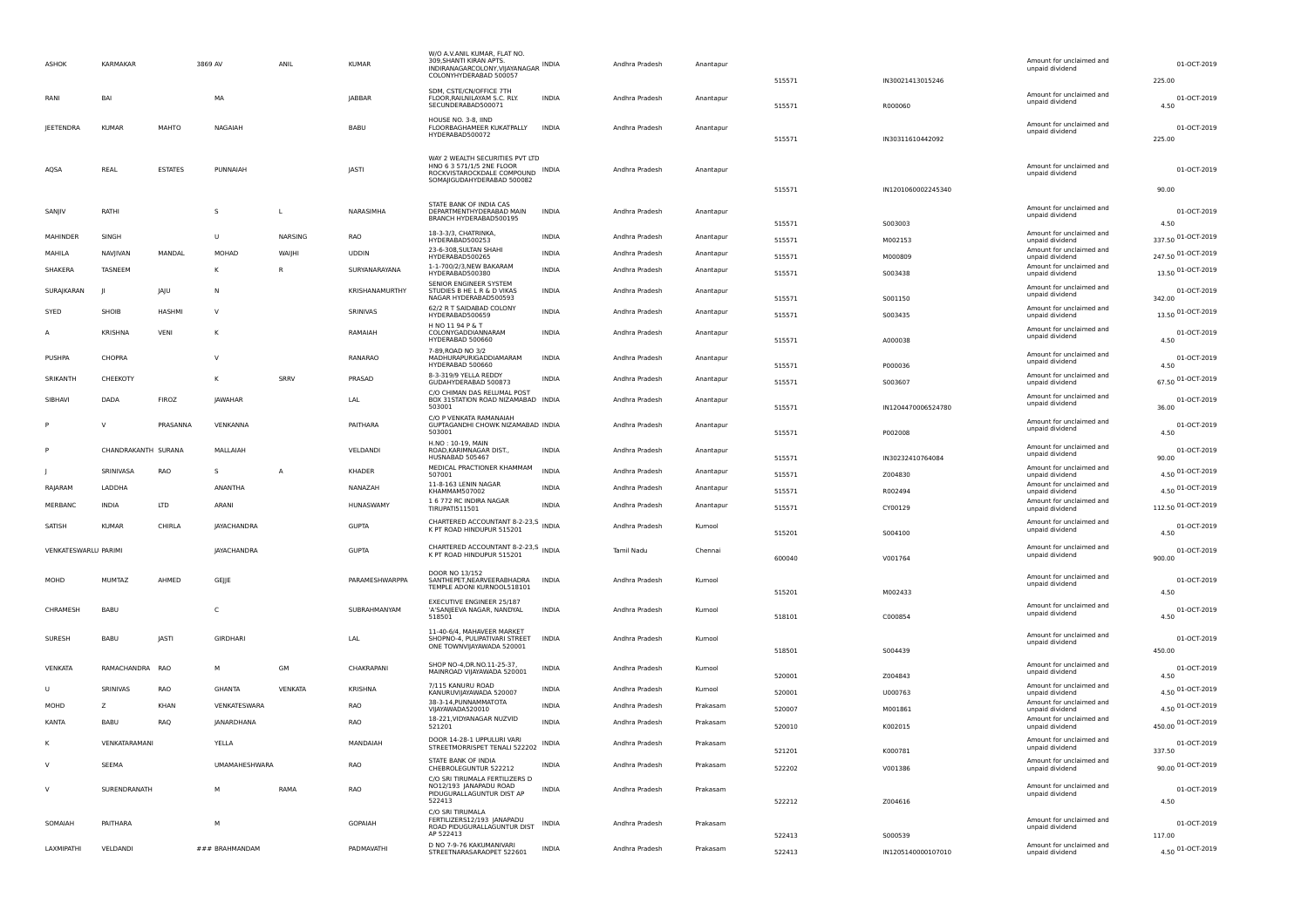| <b>ASHOK</b>         | KARMAKAR            |                | 3869 AV            | ANIL           | <b>KUMAR</b>   | W/O A.V.ANIL KUMAR, FLAT NO.<br>309, SHANTI KIRAN APTS.<br>INDIRANAGARCOLONY, VIJAYANAGAR INDIA<br>COLONYHYDERABAD 500057      |              | Andhra Pradesh | Anantapur | 515571           | IN30021413015246              | Amount for unclaimed and<br>unpaid dividend                    | 01-OCT-2019<br>225.00      |
|----------------------|---------------------|----------------|--------------------|----------------|----------------|--------------------------------------------------------------------------------------------------------------------------------|--------------|----------------|-----------|------------------|-------------------------------|----------------------------------------------------------------|----------------------------|
| RANI                 | BAI                 |                | MA                 |                | JABBAR         | SDM, CSTE/CN/OFFICE 7TH<br>FLOOR, RAILNILAYAM S.C. RLY.<br>SECUNDERABAD500071                                                  | INDIA        | Andhra Pradesh | Anantapur | 515571           | R000060                       | Amount for unclaimed and<br>unpaid dividend                    | 01-OCT-2019<br>4.50        |
| <b>JEETENDRA</b>     | <b>KUMAR</b>        | MAHTO          | NAGAIAH            |                | BABU           | HOUSE NO. 3-8, IIND<br>FLOORBAGHAMEER KUKATPALLY<br>HYDERABAD500072                                                            | <b>INDIA</b> | Andhra Pradesh | Anantapur | 515571           | IN30311610442092              | Amount for unclaimed and<br>unpaid dividend                    | 01-OCT-2019<br>225.00      |
| AQSA                 | REAL                | <b>ESTATES</b> | PUNNAIAH           |                | JASTI          | WAY 2 WEALTH SECURITIES PVT LTD<br>HNO 6 3 571/1/5 2NE FLOOR<br>ROCKVISTAROCKDALE COMPOUND INDIA<br>SOMAJIGUDAHYDERABAD 500082 |              | Andhra Pradesh | Anantapur |                  |                               | Amount for unclaimed and<br>unpaid dividend                    | 01-OCT-2019                |
| SANJIV               | RATHI               |                | s                  | L              | NARASIMHA      | STATE BANK OF INDIA CAS<br>DEPARTMENTHYDERABAD MAIN<br>BRANCH HYDERABAD500195                                                  | <b>INDIA</b> | Andhra Pradesh | Anantapur | 515571           | IN1201060002245340            | Amount for unclaimed and<br>unpaid dividend                    | 90.00<br>01-OCT-2019       |
| MAHINDER             | SINGH               |                | U                  | NARSING        | RAO            | 18-3-3/3, CHATRINKA,                                                                                                           | <b>INDIA</b> | Andhra Pradesh | Anantapur | 515571           | S003003                       | Amount for unclaimed and                                       | 4.50<br>337.50 01-OCT-2019 |
| MAHILA               | NAVJIVAN            | MANDAL         | MOHAD              | WAIJHI         | <b>UDDIN</b>   | HYDERABAD500253<br>23-6-308, SULTAN SHAHI                                                                                      | <b>INDIA</b> | Andhra Pradesh | Anantapur | 515571           | M002153                       | unpaid dividend<br>Amount for unclaimed and                    | 247.50 01-OCT-2019         |
| SHAKERA              | TASNEEM             |                | к                  | R              | SURYANARAYANA  | HYDERABAD500265<br>1-1-700/2/3, NEW BAKARAM                                                                                    | <b>INDIA</b> | Andhra Pradesh | Anantapur | 515571           | M000809                       | unpaid dividend<br>Amount for unclaimed and                    | 13.50 01-OCT-2019          |
|                      |                     |                |                    |                |                | HYDERABAD500380<br>SENIOR ENGINEER SYSTEM                                                                                      |              |                |           | 515571           | 5003438                       | unpaid dividend<br>Amount for unclaimed and                    |                            |
| SURAJKARAN           |                     | JAJU           | N                  |                | KRISHANAMURTHY | STUDIES B HE L R & D VIKAS<br>NAGAR HYDERABAD500593                                                                            | <b>INDIA</b> | Andhra Pradesh | Anantapur | 515571           | S001150                       | unpaid dividend                                                | 01-OCT-2019<br>342.00      |
| SYED                 | SHOIB               | <b>HASHMI</b>  | v                  |                | SRINIVAS       | 62/2 R T SAIDABAD COLONY<br>HYDERABAD500659                                                                                    | <b>INDIA</b> | Andhra Pradesh | Anantapur | 515571           | S003435                       | Amount for unclaimed and<br>unpaid dividend                    | 13.50 01-OCT-2019          |
|                      | <b>KRISHNA</b>      | VENI           | к                  |                | RAMAIAH        | H NO 11 94 P & T<br>COLONYGADDIANNARAM<br>HYDERABAD 500660                                                                     | <b>INDIA</b> | Andhra Pradesh | Anantapur | 515571           | A000038                       | Amount for unclaimed and<br>unpaid dividend                    | 01-OCT-2019<br>4.50        |
| PUSHPA               | CHOPRA              |                | v                  |                | RANARAO        | 7-89, ROAD NO 3/2<br>MADHURAPURIGADDIAMARAM<br>HYDERABAD 500660                                                                | <b>INDIA</b> | Andhra Pradesh | Anantapur |                  |                               | Amount for unclaimed and<br>unpaid dividend                    | 01-OCT-2019<br>4.50        |
| SRIKANTH             | CHEEKOTY            |                | ĸ                  | SRRV           | PRASAD         | 8-3-319/9 YELLA REDDY                                                                                                          | <b>INDIA</b> | Andhra Pradesh | Anantapur | 515571           | P000036                       | Amount for unclaimed and                                       | 67.50 01-OCT-2019          |
| SIBHAVI              | DADA                | FIROZ          | <b>JAWAHAR</b>     |                | LAL            | GUDAHYDERABAD 500873<br>C/O CHIMAN DAS RELUMAL POST<br>BOX 31STATION ROAD NIZAMABAD INDIA<br>503001                            |              | Andhra Pradesh | Anantapur | 515571<br>515571 | S003607<br>IN1204470006524780 | unpaid dividend<br>Amount for unclaimed and<br>unpaid dividend | 01-OCT-2019<br>36.00       |
|                      | $\vee$              | PRASANNA       | VENKANNA           |                | PAITHARA       | C/O P VENKATA RAMANAIAH                                                                                                        |              | Andhra Pradesh |           |                  |                               | Amount for unclaimed and                                       | 01-OCT-2019                |
|                      |                     |                |                    |                |                | GUPTAGANDHI CHOWK NIZAMABAD INDIA<br>503001                                                                                    |              |                | Anantapur | 515571           | P002008                       | unpaid dividend                                                | 4.50                       |
|                      | CHANDRAKANTH SURANA |                | MALLAIAH           |                | VELDANDI       | H.NO: 10-19, MAIN<br>ROAD, KARIMNAGAR DIST.,<br>HUSNABAD 505467                                                                | <b>INDIA</b> | Andhra Pradesh | Anantapur | 515571           | IN30232410764084              | Amount for unclaimed and<br>unpaid dividend                    | 01-OCT-2019<br>90.00       |
|                      | SRINIVASA           | RAO            | s                  | А              | KHADER         | MEDICAL PRACTIONER KHAMMAM<br>507001                                                                                           | <b>INDIA</b> | Andhra Pradesh | Anantapur | 515571           | Z004830                       | Amount for unclaimed and<br>unpaid dividend                    | 4.50 01-OCT-2019           |
| RAJARAM              | LADDHA              |                | ANANTHA            |                | NANAZAH        | 11-8-163 LENIN NAGAR<br>KHAMMAM507002                                                                                          | <b>INDIA</b> | Andhra Pradesh | Anantapur | 515571           | R002494                       | Amount for unclaimed and<br>unpaid dividend                    | 4.50 01-OCT-2019           |
| MERBANC              | <b>INDIA</b>        | <b>LTD</b>     | ARANI              |                | HUNASWAMY      | 1 6 772 RC INDIRA NAGAR<br>TIRUPATI511501                                                                                      | <b>INDIA</b> | Andhra Pradesh | Anantapur | 515571           | CY00129                       | Amount for unclaimed and<br>unpaid dividend                    | 112.50 01-OCT-2019         |
| SATISH               | <b>KUMAR</b>        | CHIRLA         | <b>JAYACHANDRA</b> |                | <b>GUPTA</b>   | CHARTERED ACCOUNTANT 8-2-23.5 INDIA<br>K PT ROAD HINDUPUR 515201                                                               |              | Andhra Pradesh | Kurnool   | 515201           | S004100                       | Amount for unclaimed and<br>unpaid dividend                    | 01-OCT-2019<br>4.50        |
| VENKATESWARLU PARIMI |                     |                | JAYACHANDRA        |                | <b>GUPTA</b>   | CHARTERED ACCOUNTANT 8-2-23,5 INDIA<br>K PT ROAD HINDUPUR 515201                                                               |              | Tamil Nadu     | Chennai   | 600040           | V001764                       | Amount for unclaimed and<br>unpaid dividend                    | 01-OCT-2019<br>900.00      |
| MOHD                 | MUMTAZ              | AHMED          | GEJJE              |                | PARAMESHWARPPA | DOOR NO 13/152<br>SANTHEPET, NEARVEERABHADRA<br>TEMPLE ADONI KURNOOL518101                                                     | INDIA        | Andhra Pradesh | Kurnool   | 515201           | M002433                       | Amount for unclaimed and<br>unpaid dividend                    | 01-OCT-2019<br>4.50        |
| CHRAMESH             | BABU                |                | C                  |                | SUBRAHMANYAM   | EXECUTIVE ENGINEER 25/187<br>'A'SANJEEVA NAGAR, NANDYAL<br>518501                                                              | <b>INDIA</b> | Andhra Pradesh | Kurnool   | 518101           | C000854                       | Amount for unclaimed and<br>unpaid dividend                    | 01-OCT-2019<br>4.50        |
| SURESH               | BABU                | JASTI          | GIRDHARI           |                | LAL            | 11-40-6/4, MAHAVEER MARKET<br>SHOPNO-4, PULIPATIVARI STREET                                                                    | <b>INDIA</b> | Andhra Pradesh | Kurnool   |                  |                               | Amount for unclaimed and<br>unpaid dividend                    | 01-OCT-2019                |
|                      |                     |                |                    |                |                | ONE TOWNVIJAYAWADA 520001                                                                                                      |              |                |           | 518501           | S004439                       |                                                                | 450.00                     |
| VENKATA              | RAMACHANDRA RAO     |                | м                  | <b>GM</b>      | CHAKRAPANI     | SHOP NO-4, DR.NO.11-25-37,<br>MAINROAD VIJAYAWADA 520001                                                                       | INDIA        | Andhra Pradesh | Kurnool   | 520001           | Z004843                       | Amount for unclaimed and<br>unpaid dividend                    | 01-OCT-2019<br>4.50        |
| - U                  | <b>SRINIVAS</b>     | RAO            | <b>GHANTA</b>      | <b>VENKATA</b> | <b>KRISHNA</b> | 7/115 KANURU ROAD<br>KANURUVIJAYAWADA 520007                                                                                   | <b>INDIA</b> | Andhra Pradesh | Kurnool   | 520001           | U000763                       | Amount for unclaimed and<br>unpaid dividend                    | 4.50 01-OCT-2019           |
| MOHD                 | z                   | KHAN           | VENKATESWARA       |                | RAO            | 38-3-14, PUNNAMMATOTA<br>VIIAYAWADA520010                                                                                      | INDIA        | Andhra Pradesh | Prakasam  | 520007           | M001861                       | Amount for unclaimed and<br>unpaid dividend                    | 4.50 01-OCT-2019           |
| KANTA                | BABU                | RAQ            | JANARDHANA         |                | RAO            | 18-221, VIDYANAGAR NUZVID<br>521201                                                                                            | <b>INDIA</b> | Andhra Pradesh | Prakasam  | 520010           | K002015                       | Amount for unclaimed and<br>unpaid dividend                    | 450.00 01-OCT-2019         |
|                      | VENKATARAMANI       |                | YELLA              |                | MANDAIAH       | DOOR 14-28-1 UPPULURI VARI                                                                                                     | INDIA        | Andhra Pradesh | Prakasam  |                  |                               | Amount for unclaimed and                                       | 01-OCT-2019                |
|                      |                     |                |                    |                |                | STREETMORRISPET TENALI 522202<br>STATE BANK OF INDIA                                                                           |              |                |           | 521201           | K000781                       | unpaid dividend<br>Amount for unclaimed and                    | 337.50                     |
| <sub>V</sub>         | SEEMA               |                | UMAMAHESHWARA      |                | RAO            | CHEBROLEGUNTUR 522212<br>C/O SRI TIRUMALA FERTILIZERS D                                                                        | INDIA        | Andhra Pradesh | Prakasam  | 522202           | V001386                       | unpaid dividend                                                | 90.00 01-OCT-2019          |
| $\vee$               | SURENDRANATH        |                | м                  | RAMA           | RAO            | NO12/193 IANAPADU ROAD<br>PIDUGURALLAGUNTUR DIST AP<br>522413                                                                  | INDIA        | Andhra Pradesh | Prakasam  | 522212           | Z004616                       | Amount for unclaimed and<br>unpaid dividend                    | 01-OCT-2019<br>4.50        |
| SOMAIAH              | PAITHARA            |                | M                  |                | GOPAIAH        | C/O SRI TIRUMALA<br>FERTILIZERS12/193 JANAPADU<br>ROAD PIDUGURALLAGUNTUR DIST<br>AP 522413                                     | INDIA        | Andhra Pradesh | Prakasam  |                  |                               | Amount for unclaimed and<br>unpaid dividend                    | 01-OCT-2019                |
| LAXMIPATHI           | VELDANDI            |                | ### BRAHMANDAM     |                | PADMAVATHI     | D NO 7-9-76 KAKUMANIVARI<br>STREETNARASARAOPET 522601                                                                          | <b>INDIA</b> | Andhra Pradesh | Prakasam  | 522413           | S000539                       | Amount for unclaimed and                                       | 117.00<br>4.50 01-OCT-2019 |
|                      |                     |                |                    |                |                |                                                                                                                                |              |                |           | 522413           | IN1205140000107010            | unpaid dividend                                                |                            |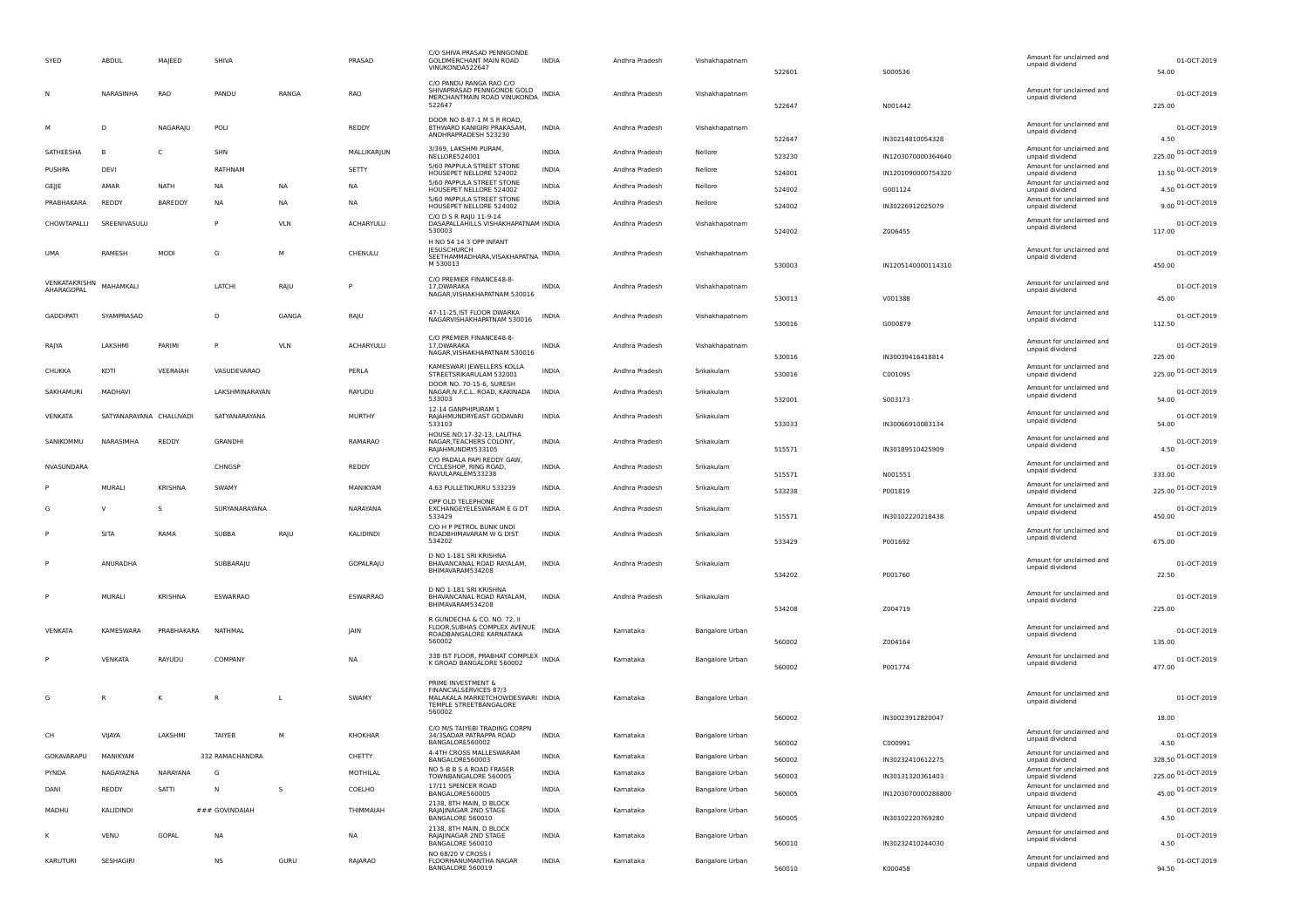| SYED                        | ABDUL                   | MAJEED         | SHIVA           |            | PRASAD           | C/O SHIVA PRASAD PENNGONDE<br>GOLDMERCHANT MAIN ROAD<br>VINUKONDA522647                                    | <b>INDIA</b> | Andhra Pradesh | Vishakhapatnam  | 522601           | S000536            | Amount for unclaimed and<br>unpaid dividend | 01-OCT-2019<br>54.00            |
|-----------------------------|-------------------------|----------------|-----------------|------------|------------------|------------------------------------------------------------------------------------------------------------|--------------|----------------|-----------------|------------------|--------------------|---------------------------------------------|---------------------------------|
|                             | NARASINHA               | RAO            | PANDU           | RANGA      | RAO              | C/O PANDU RANGA RAO C/O<br>SHIVAPRASAD PENNGONDE GOLD<br>MERCHANTMAIN ROAD VINUKONDA INDIA<br>522647       |              | Andhra Pradesh | Vishakhapatnam  | 522647           | N001442            | Amount for unclaimed and<br>unpaid dividend | 01-OCT-2019<br>225.00           |
|                             | D                       | NAGARAJU       | POLI            |            | REDDY            | DOOR NO 8-87-1 M S R ROAD,<br>8THWARD KANIGIRI PRAKASAM,<br>ANDHRAPRADESH 523230                           | INDIA        | Andhra Pradesh | Vishakhapatnam  | 522647           | IN30214810054328   | Amount for unclaimed and<br>unpaid dividend | 01-OCT-2019<br>4.50             |
| SATHEESHA                   | B                       | C              | SHN             |            | MALLIKARJUN      | 3/369, LAKSHMI PURAM,<br>NELLORE524001                                                                     | INDIA        | Andhra Pradesh | Nellore         | 523230           | IN1203070000364640 | Amount for unclaimed and<br>unpaid dividend | 225.00 01-OCT-2019              |
| PUSHPA                      | DEVI                    |                | RATHNAM         |            | SETTY            | 5/60 PAPPULA STREET STONE<br>HOUSEPET NELLORE 524002                                                       | INDIA        | Andhra Pradesh | Nellore         | 524001           | IN1201090000754320 | Amount for unclaimed and<br>unpaid dividend | 13.50 01-OCT-2019               |
| GEJJE                       | AMAR                    | <b>NATH</b>    | <b>NA</b>       | <b>NA</b>  | <b>NA</b>        | 5/60 PAPPULA STREET STONE<br>HOUSEPET NELLORE 524002                                                       | <b>INDIA</b> | Andhra Pradesh | Nellore         | 524002           | G001124            | Amount for unclaimed and<br>unpaid dividend | 4.50 01-OCT-2019                |
| PRABHAKARA                  | REDDY                   | BAREDDY        | NA              | <b>NA</b>  | <b>NA</b>        | 5/60 PAPPULA STREET STONE<br>HOUSEPET NELLORE 524002                                                       | <b>INDIA</b> | Andhra Pradesh | Nellore         | 524002           | IN30226912025079   | Amount for unclaimed and<br>unpaid dividend | 9.00 01-OCT-2019                |
| CHOWTAPALLI                 | SREENIVASULU            |                | P               | <b>VLN</b> | <b>ACHARYULU</b> | C/O D S R RAJU 11-9-14<br>DASAPALLAHILLS VISHAKHAPATNAM INDIA<br>530003                                    |              | Andhra Pradesh | Vishakhapatnam  | 524002           | Z006455            | Amount for unclaimed and<br>unpaid dividend | 01-OCT-2019<br>117.00           |
| <b>UMA</b>                  | RAMESH                  | MODI           | G               | M          | CHENULU          | H NO 54 14 3 OPP INFANT<br><b>IESUSCHURCH</b><br>SEETHAMMADHARA, VISAKHAPATNA INDIA<br>M 530013            |              | Andhra Pradesh | Vishakhapatnam  | 530003           | IN1205140000114310 | Amount for unclaimed and<br>unpaid dividend | 01-OCT-2019<br>450.00           |
| VENKATAKRISHN<br>AHARAGOPAL | MAHAMKALI               |                | LATCHI          | RAJU       | P                | C/O PREMIER FINANCE48-8-<br>17. DWARAKA<br>NAGAR, VISHAKHAPATNAM 530016                                    | <b>INDIA</b> | Andhra Pradesh | Vishakhapatnam  | 530013           | V001388            | Amount for unclaimed and<br>unpaid dividend | 01-OCT-2019<br>45.00            |
| <b>GADDIPATI</b>            | SYAMPRASAD              |                | D               | GANGA      | RAJU             | 47-11-25, IST FLOOR DWARKA<br>NAGARVISHAKHAPATNAM 530016                                                   | <b>INDIA</b> | Andhra Pradesh | Vishakhapatnam  | 530016           | G000879            | Amount for unclaimed and<br>unpaid dividend | 01-OCT-2019<br>112.50           |
| RAJYA                       | LAKSHMI                 | PARIMI         | P               | <b>VLN</b> | ACHARYULU        | C/O PREMIER FINANCE48-8-<br>17. DWARAKA<br>NAGAR, VISHAKHAPATNAM 530016                                    | INDIA        | Andhra Pradesh | Vishakhapatnam  | 530016           | IN30039416418814   | Amount for unclaimed and<br>unpaid dividend | 01-OCT-2019<br>225.00           |
| CHUKKA                      | KOTI                    | VEERAIAH       | VASUDEVARAO     |            | PERLA            | KAMESWARI JEWELLERS KOLLA<br>STREETSRIKARULAM 532001                                                       | <b>INDIA</b> | Andhra Pradesh | Srikakulam      | 530016           | C001095            | Amount for unclaimed and<br>unpaid dividend | 225.00 01-OCT-2019              |
| SAKHAMURI                   | MADHAVI                 |                | LAKSHMINARAYAN  |            | RAYUDU           | DOOR NO. 70-15-6. SURESH<br>NAGAR, N.F.C.L. ROAD, KAKINADA<br>533003                                       | <b>INDIA</b> | Andhra Pradesh | Srikakulam      | 532001           | S003173            | Amount for unclaimed and<br>unpaid dividend | 01-OCT-2019<br>54.00            |
| <b>VENKATA</b>              | SATYANARAYANA CHALUVADI |                | SATYANARAYANA   |            | <b>MURTHY</b>    | 12-14 GANPHIPURAM 1<br>RAJAHMUNDRYEAST GODAVARI<br>533103                                                  | <b>INDIA</b> | Andhra Pradesh | Srikakulam      | 533033           | IN30066910083134   | Amount for unclaimed and<br>unpaid dividend | 01-OCT-2019<br>54.00            |
| SANIKOMMU                   | NARASIMHA               | REDDY          | GRANDHI         |            | RAMARAO          | HOUSE.NO:17-32-13, LALITHA<br>NAGAR, TEACHERS COLONY,<br>RAJAHMUNDRY533105                                 | INDIA        | Andhra Pradesh | Srikakulam      | 515571           | IN30189510425909   | Amount for unclaimed and<br>unpaid dividend | 01-OCT-2019<br>4.50             |
| NVASUNDARA                  |                         |                | CHNGSP          |            | REDDY            | C/O PADALA PAPI REDDY GAW,<br>CYCLESHOP, RING ROAD,<br>RAVULAPALEM533238                                   | INDIA        | Andhra Pradesh | Srikakulam      | 515571           | N001551            | Amount for unclaimed and<br>unpaid dividend | 01-OCT-2019<br>333.00           |
|                             | MURALI                  | KRISHNA        | SWAMY           |            | MANIKYAM         | 4.63 PULLETIKURRU 533239                                                                                   | INDIA        | Andhra Pradesh | Srikakulam      | 533238           | P001819            | Amount for unclaimed and<br>unpaid dividend | 225.00 01-OCT-2019              |
|                             | V                       | s              | SURYANARAYANA   |            | NARAYANA         | OPP OLD TELEPHONE<br>EXCHANGEYELESWARAM E G DT<br>533429                                                   | INDIA        | Andhra Pradesh | Srikakulam      | 515571           | IN30102220218438   | Amount for unclaimed and<br>unpaid dividend | 01-OCT-2019<br>450.00           |
|                             | SITA                    | RAMA           | SUBBA           | RAJU       | KALIDINDI        | C/O H P PETROL BUNK UNDI<br>ROADBHIMAVARAM W G DIST<br>534202                                              | INDIA        | Andhra Pradesh | Srikakulam      | 533429           | P001692            | Amount for unclaimed and<br>unpaid dividend | 01-OCT-2019<br>675.00           |
|                             | ANURADHA                |                | SUBBARAJU       |            | <b>GOPALRAJU</b> | D NO 1-181 SRI KRISHNA<br>BHAVANCANAL ROAD RAYALAM,<br>BHIMAVARAM534208                                    | <b>INDIA</b> | Andhra Pradesh | Srikakulam      | 534202           | P001760            | Amount for unclaimed and<br>unpaid dividend | 01-OCT-2019<br>22.50            |
|                             | MURALI                  | <b>KRISHNA</b> | ESWARRAO        |            | ESWARRAO         | D NO 1-181 SRI KRISHNA<br>BHAVANCANAL ROAD RAYALAM,<br>BHIMAVARAM534208                                    | INDIA        | Andhra Pradesh | Srikakulam      | 534208           | Z004719            | Amount for unclaimed and<br>unpaid dividend | 01-OCT-2019<br>225.00           |
| <b>VENKATA</b>              | <b>KAMESWARA</b>        | PRABHAKARA     | NATHMAL         |            | JAIN             | R GUNDECHA & CO. NO. 72, II<br>FLOOR, SUBHAS COMPLEX AVENUE<br>ROADBANGALORE KARNATAKA                     | <b>INDIA</b> | Kamataka       | Bangalore Urban |                  |                    | Amount for unclaimed and<br>unpaid dividend | 01-OCT-2019                     |
|                             | VENKATA                 | RAYUDU         | COMPANY         |            | NA               | 560002<br>338 IST FLOOR, PRABHAT COMPLEX INDIA<br>K GROAD BANGALORE 560002                                 |              | Kamataka       | Bangalore Urban | 560002<br>560002 | Z004164<br>P001774 | Amount for unclaimed and<br>unpaid dividend | 135.00<br>01-OCT-2019<br>477.00 |
|                             | R                       | κ              | R               |            | SWAMY            | PRIME INVESTMENT &<br>FINANCIALSERVICES 87/3<br>MALAKALA MARKETCHOWDESWARI INDIA<br>TEMPLE STREETBANGALORE |              | Kamataka       | Bangalore Urban |                  |                    | Amount for unclaimed and<br>unpaid dividend | 01-OCT-2019                     |
|                             |                         |                |                 |            |                  | 560002                                                                                                     |              |                |                 | 560002           | IN30023912820047   |                                             | 18.00                           |
| CH                          | VIJAYA                  | LAKSHMI        | TAIYEB          | M          | KHOKHAR          | C/O M/S TAIYEBI TRADING CORPN<br>34/3SADAR PATRAPPA ROAD<br>BANGALORE560002                                | <b>INDIA</b> | Kamataka       | Bangalore Urban | 560002           | C000991            | Amount for unclaimed and<br>unpaid dividend | 01-OCT-2019<br>4.50             |
| GOKAVARAPU                  | MANIKYAM                |                | 332 RAMACHANDRA |            | CHETTY           | 4-4TH CROSS MALLESWARAM<br>BANGALORE560003                                                                 | INDIA        | Kamataka       | Bangalore Urban | 560002           | IN30232410612275   | Amount for unclaimed and<br>unpaid dividend | 328.50 01-OCT-2019              |
| PYNDA                       | NAGAYAZNA               | NARAYANA       | G               |            | MOTHILAL         | NO 5-B B S A ROAD FRASER<br>TOWNBANGALORE 560005                                                           | INDIA        | Karnataka      | Bangalore Urban | 560003           | IN30131320361403   | Amount for unclaimed and<br>unpaid dividend | 225.00 01-OCT-2019              |
| DANI                        | REDDY                   | SATTI          | N               | s          | COELHO           | 17/11 SPENCER ROAD<br>BANGALORE560005                                                                      | <b>INDIA</b> | Kamataka       | Bangalore Urban | 560005           | IN1203070000286800 | Amount for unclaimed and<br>unpaid dividend | 45.00 01-OCT-2019               |
| MADHU                       | KALIDINDI               |                | ### GOVINDAIAH  |            | THIMMAIAH        | 2138, 8TH MAIN, D BLOCK<br>RAIAIINAGAR 2ND STAGE<br>BANGALORE 560010                                       | <b>INDIA</b> | Kamataka       | Bangalore Urban | 560005           | IN30102220769280   | Amount for unclaimed and<br>unpaid dividend | 01-OCT-2019<br>4.50             |
|                             | VENU                    | GOPAL          | NA              |            | <b>NA</b>        | 2138, 8TH MAIN, D BLOCK<br>RAJAJINAGAR 2ND STAGE<br>BANGALORE 560010                                       | <b>INDIA</b> | Kamataka       | Bangalore Urban | 560010           | IN30232410244030   | Amount for unclaimed and<br>unpaid dividend | 01-OCT-2019<br>4.50             |
| KARUTURI                    | SESHAGIRI               |                | NS              | GURU       | RAJARAO          | NO 68/20 V CROSS I<br>FLOORHANUMANTHA NAGAR<br>BANGALORE 560019                                            | <b>INDIA</b> | Kamataka       | Bangalore Urban | 560010           | K000458            | Amount for unclaimed and<br>unpaid dividend | 01-OCT-2019<br>94.50            |
|                             |                         |                |                 |            |                  |                                                                                                            |              |                |                 |                  |                    |                                             |                                 |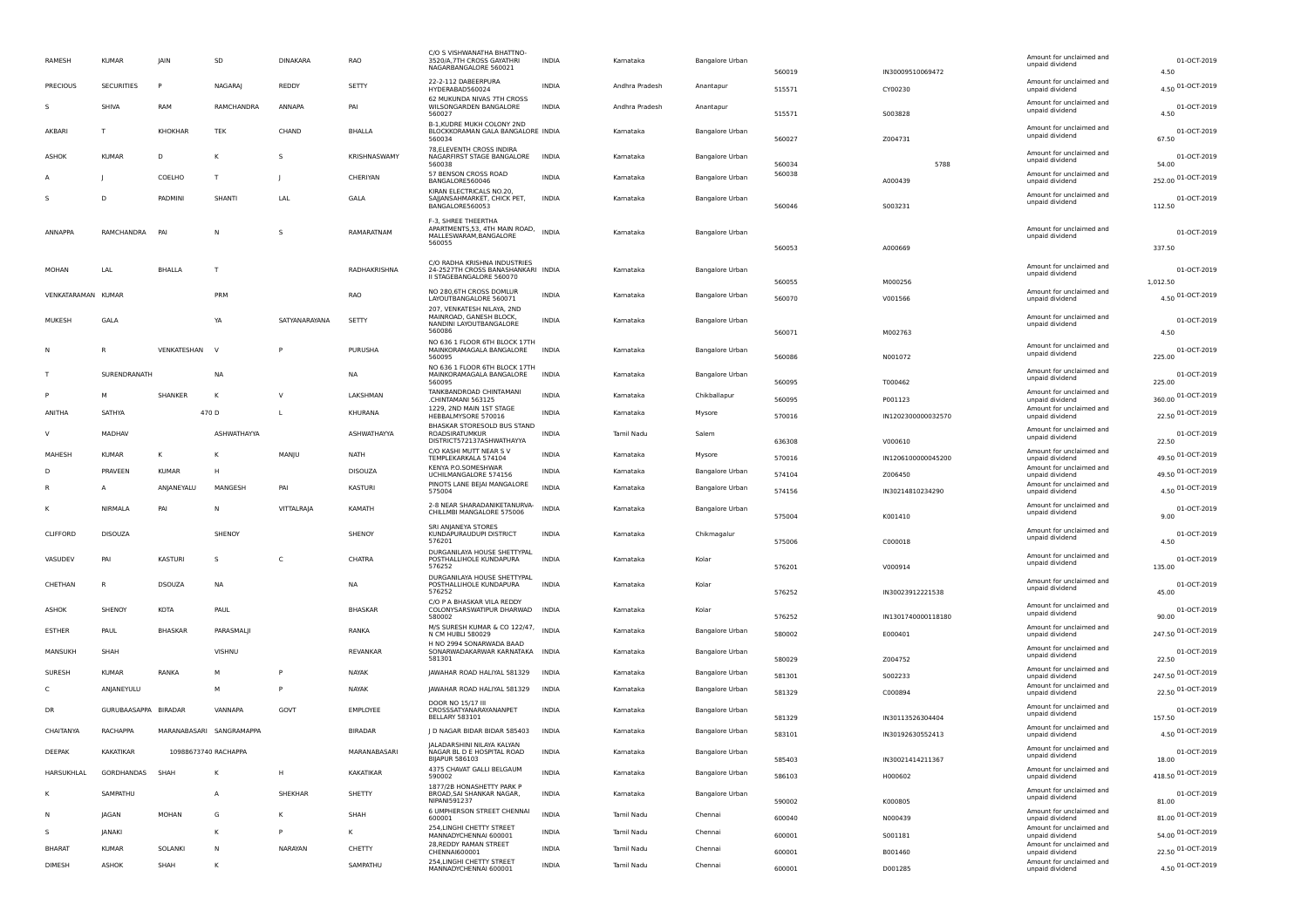| RAMESH             | <b>KUMAR</b>         | IAIN           | SD                       | <b>DINAKARA</b> | <b>RAO</b>     | C/O S VISHWANATHA BHATTNO-<br>3520/A.7TH CROSS GAYATHRI<br>NAGARBANGALORE 560021           | <b>INDIA</b> | Kamataka       | <b>Bangalore Urban</b> | 560019           | IN30009510069472              | Amount for unclaimed and<br>unpaid dividend | 01-OCT-2019<br>4.50          |
|--------------------|----------------------|----------------|--------------------------|-----------------|----------------|--------------------------------------------------------------------------------------------|--------------|----------------|------------------------|------------------|-------------------------------|---------------------------------------------|------------------------------|
| PRECIOUS           | <b>SECURITIES</b>    | P              | NAGARAJ                  | REDDY           | SETTY          | 22-2-112 DABEERPURA<br>HYDERABAD560024                                                     | <b>INDIA</b> | Andhra Pradesh | Anantapur              | 515571           | CY00230                       | Amount for unclaimed and<br>unpaid dividend | 4.50 01-OCT-2019             |
| -S                 | SHIVA                | RAM            | RAMCHANDRA               | ANNAPA          | PAI            | 62 MUKUNDA NIVAS 7TH CROSS<br>WILSONGARDEN BANGALORE<br>560027                             | <b>INDIA</b> | Andhra Pradesh | Anantapur              | 515571           | S003828                       | Amount for unclaimed and<br>unpaid dividend | 01-OCT-2019<br>4.50          |
| AKBARI             | $\mathsf{T}$         | <b>KHOKHAR</b> | TEK                      | CHAND           | <b>BHALLA</b>  | B-1, KUDRE MUKH COLONY 2ND<br>BLOCKKORAMAN GALA BANGALORE INDIA<br>560034                  |              | Kamataka       | <b>Bangalore Urban</b> | 560027           | Z004731                       | Amount for unclaimed and<br>unpaid dividend | 01-OCT-2019<br>67.50         |
| ASHOK              | <b>KUMAR</b>         | D              | к                        | s               | KRISHNASWAMY   | 78.ELEVENTH CROSS INDIRA<br>NAGARFIRST STAGE BANGALORE                                     | <b>INDIA</b> | Kamataka       | Bangalore Urban        |                  |                               | Amount for unclaimed and<br>unpaid dividend | 01-OCT-2019                  |
|                    |                      | COELHO         | T                        |                 | CHERIYAN       | 560038<br>57 BENSON CROSS ROAD<br>BANGALORE560046                                          | <b>INDIA</b> | Kamataka       | <b>Bangalore Urban</b> | 560034<br>560038 | 5788<br>A000439               | Amount for unclaimed and<br>unpaid dividend | 54.00<br>252.00 01-OCT-2019  |
|                    | D                    | PADMIN         | SHANTI                   | LAL             | GALA           | KIRAN ELECTRICALS NO.20,<br>SAJJANSAHMARKET, CHICK PET,<br>BANGALORE560053                 | INDIA        | Kamataka       | <b>Bangalore Urban</b> | 560046           | S003231                       | Amount for unclaimed and<br>unpaid dividend | 01-OCT-2019<br>112.50        |
| ANNAPPA            | RAMCHANDRA           | PAI            | N                        | S               | RAMARATNAM     | F-3. SHREE THEERTHA<br>APARTMENTS, 53, 4TH MAIN ROAD,<br>MALLESWARAM, BANGALORE<br>560055  | <b>INDIA</b> | Kamataka       | Bangalore Urban        | 560053           |                               | Amount for unclaimed and<br>unpaid dividend | 01-OCT-2019<br>337.50        |
|                    |                      |                |                          |                 |                | C/O RADHA KRISHNA INDUSTRIES                                                               |              |                |                        |                  | A000669                       | Amount for unclaimed and                    |                              |
| MOHAN              | LAL                  | <b>BHALLA</b>  | T                        |                 | RADHAKRISHNA   | 24-2527TH CROSS BANASHANKARI INDIA<br>II STAGEBANGALORE 560070                             |              | Kamataka       | <b>Bangalore Urban</b> | 560055           | M000256                       | unpaid dividend                             | 01-OCT-2019<br>1.012.50      |
| VENKATARAMAN KUMAR |                      |                | PRM                      |                 | RAO            | NO 280,6TH CROSS DOMLUR<br>LAYOUTBANGALORE 560071                                          | <b>INDIA</b> | Karnataka      | Bangalore Urban        | 560070           | V001566                       | Amount for unclaimed and<br>unpaid dividend | 4.50 01-OCT-2019             |
| MUKESH             | GALA                 |                | YA                       | SATYANARAYANA   | SETTY          | 207, VENKATESH NILAYA, 2ND<br>MAINROAD, GANESH BLOCK,<br>NANDINI LAYOUTBANGALORE<br>560086 | <b>INDIA</b> | Kamataka       | Bangalore Urban        | 560071           | M002763                       | Amount for unclaimed and<br>unpaid dividend | 01-OCT-2019<br>4.50          |
|                    |                      | VENKATESHAN    | <b>V</b>                 |                 | PURUSHA        | NO 636 1 FLOOR 6TH BLOCK 17TH<br>MAINKORAMAGALA BANGALORE<br>560095                        | <b>INDIA</b> | Kamataka       | <b>Bangalore Urban</b> | 560086           | N001072                       | Amount for unclaimed and<br>unpaid dividend | 01-OCT-2019<br>225.00        |
|                    | SURENDRANATH         |                | <b>NA</b>                |                 | <b>NA</b>      | NO 636 1 FLOOR 6TH BLOCK 17TH<br>MAINKORAMAGALA BANGALORE<br>560095                        | INDIA        | Kamataka       | Bangalore Urban        |                  |                               | Amount for unclaimed and<br>unpaid dividend | 01-OCT-2019                  |
|                    |                      | SHANKER        | K                        | $\vee$          | LAKSHMAN       | TANKBANDROAD CHINTAMANI<br>.CHINTAMANI 563125                                              | <b>INDIA</b> | Kamataka       | Chikballapur           | 560095<br>560095 | T000462<br>P001123            | Amount for unclaimed and<br>unpaid dividend | 225.00<br>360.00 01-OCT-2019 |
| ANITHA             | SATHYA               |                | 470 D                    | L               | KHURANA        | 1229, 2ND MAIN 1ST STAGE<br>HEBBALMYSORE 570016                                            | <b>INDIA</b> | Kamataka       | Mysore                 | 570016           | IN1202300000032570            | Amount for unclaimed and<br>unpaid dividend | 22.50 01-OCT-2019            |
| $\mathbf{v}$       | MADHAV               |                | ASHWATHAYYA              |                 | ASHWATHAYYA    | BHASKAR STORESOLD BUS STAND<br><b>ROADSIRATUMKUR</b>                                       | <b>INDIA</b> | Tamil Nadu     | Salem                  |                  |                               | Amount for unclaimed and<br>unpaid dividend | 01-OCT-2019                  |
| MAHESH             | <b>KUMAR</b>         | κ              | к                        | MANJU           | <b>NATH</b>    | DISTRICT572137ASHWATHAYYA<br>C/O KASHI MUTT NEAR S V<br>TEMPLEKARKALA 574104               | <b>INDIA</b> | Kamataka       | Mysore                 | 636308<br>570016 | V000610<br>IN1206100000045200 | Amount for unclaimed and<br>unpaid dividend | 22.50<br>49.50 01-OCT-2019   |
|                    | PRAVEEN              | <b>KUMAR</b>   | н                        |                 | <b>DISOUZA</b> | KENYA P.O.SOMESHWAR<br>UCHILMANGALORE 574156                                               | <b>INDIA</b> | Kamataka       | <b>Bangalore Urbar</b> | 574104           | Z006450                       | Amount for unclaimed and<br>unpaid dividend | 49.50 01-OCT-2019            |
|                    |                      | ANJANEYALU     | MANGESH                  | PAI             | <b>KASTURI</b> | PINOTS LANE BEJAI MANGALORE<br>575004                                                      | INDIA        | Kamataka       | Bangalore Urban        | 574156           | IN30214810234290              | Amount for unclaimed and<br>unpaid dividend | 4.50 01-OCT-2019             |
|                    | NIRMALA              | PAI            | N                        | VITTALRAJA      | KAMATH         | 2-8 NEAR SHARADANIKETANURVA-<br>CHILLMBI MANGALORE 575006                                  | <b>INDIA</b> | Karnataka      | <b>Bangalore Urbar</b> | 575004           | K001410                       | Amount for unclaimed and<br>unpaid dividend | 01-OCT-2019<br>9.00          |
| CLIFFORD           | <b>DISOUZA</b>       |                | SHENOY                   |                 | SHENOY         | SRI ANIANEYA STORES<br>KUNDAPURAUDUPI DISTRICT<br>576201                                   | INDIA        | Kamataka       | Chikmagalur            | 575006           | C000018                       | Amount for unclaimed and<br>unpaid dividend | 01-OCT-2019<br>4.50          |
| VASUDEV            | PAI                  | <b>KASTURI</b> | s                        | C               | CHATRA         | DURGANILAYA HOUSE SHETTYPAL<br>POSTHALLIHOLE KUNDAPURA<br>576252                           | INDIA        | Kamataka       | Kolar                  | 576201           | V000914                       | Amount for unclaimed and<br>unpaid dividend | 01-OCT-2019<br>135.00        |
| CHETHAN            | R                    | <b>DSOUZA</b>  | <b>NA</b>                |                 | <b>NA</b>      | DURGANILAYA HOUSE SHETTYPAL<br>POSTHALLIHOLE KUNDAPURA<br>576252                           | <b>INDIA</b> | Kamataka       | Kolar                  | 576252           | IN30023912221538              | Amount for unclaimed and<br>unpaid dividend | 01-OCT-2019<br>45.00         |
| ASHOK              | SHENOY               | <b>KOTA</b>    | PAUL                     |                 | <b>BHASKAR</b> | C/O P A BHASKAR VILA REDDY<br>COLONYSARSWATIPUR DHARWAD<br>580002                          | <b>INDIA</b> | Kamataka       | Kolar                  | 576252           | IN1301740000118180            | Amount for unclaimed and<br>unpaid dividend | 01-OCT-2019<br>90.00         |
| <b>ESTHER</b>      | PAUL                 | <b>BHASKAR</b> | PARASMALJI               |                 | RANKA          | M/S SURESH KUMAR & CO 122/47,<br>N CM HUBLI 580029                                         | INDIA        | Karnataka      | Bangalore Urban        | 580002           | E000401                       | Amount for unclaimed and<br>unpaid dividend | 247.50 01-OCT-2019           |
| MANSUKH            | SHAH                 |                | VISHNU                   |                 | REVANKAR       | H NO 2994 SONARWADA BAAD<br>SONARWADAKARWAR KARNATAKA                                      | <b>INDIA</b> | Kamataka       | <b>Bangalore Urban</b> |                  |                               | Amount for unclaimed and<br>unpaid dividend | 01-OCT-2019                  |
| SURESH             | <b>KUMAF</b>         | RANKA          | M                        | P               | NAYAK          | 581301<br>JAWAHAR ROAD HALIYAL 581329                                                      | <b>INDIA</b> | Kamataka       | Bangalore Urban        | 580029<br>581301 | Z004752<br>S002233            | Amount for unclaimed and<br>unpaid dividend | 22.50<br>247.50 01-OCT-2019  |
|                    | ANJANEYULU           |                | M                        | P               | NAYAK          | JAWAHAR ROAD HALIYAL 581329                                                                | <b>INDIA</b> | Kamataka       | <b>Bangalore Urban</b> | 581329           | C000894                       | Amount for unclaimed and<br>unpaid dividend | 22.50 01-OCT-2019            |
| <b>DR</b>          | GURUBAASAPPA BIRADAR |                | VANNAPA                  | GOVT            | EMPLOYEE       | DOOR NO 15/17 III<br>CROSSSATYANARAYANANPET<br><b>BELLARY 583101</b>                       | <b>INDIA</b> | Kamataka       | <b>Bangalore Urbar</b> | 581329           | IN30113526304404              | Amount for unclaimed and<br>unpaid dividend | 01-OCT-2019<br>157.50        |
| CHAITANYA          | RACHAPPA             |                | MARANABASARI SANGRAMAPPA |                 | <b>BIRADAR</b> | J D NAGAR BIDAR BIDAR 585403                                                               | <b>INDIA</b> | Kamataka       | <b>Bangalore Urban</b> | 583101           | IN30192630552413              | Amount for unclaimed and<br>unpaid dividend | 4.50 01-OCT-2019             |
| DEEPAK             | KAKATIKAR            |                | 10988673740 RACHAPPA     |                 | MARANABASARI   | JALADARSHINI NILAYA KALYAN<br>NAGAR BL D E HOSPITAL ROAD<br><b>BIJAPUR 586103</b>          | INDIA        | Kamataka       | <b>Bangalore Urban</b> | 585403           | IN30021414211367              | unclaimed and<br>unpaid dividend            | 01-OCT-2019<br>18.00         |
| HARSUKHLAL         | GORDHANDAS           | SHAH           | к                        | H               | KAKATIKAR      | 4375 CHAVAT GALLI BELGAUM<br>590002                                                        | <b>INDIA</b> | Kamataka       | Bangalore Urban        | 586103           | H000602                       | Amount for unclaimed and<br>unpaid dividend | 418.50 01-OCT-2019           |
|                    | SAMPATHU             |                | $\mathsf{A}$             | SHEKHAR         | SHETTY         | 1877/2B HONASHETTY PARK P<br>BROAD, SAI SHANKAR NAGAR,<br>NIPANI591237                     | INDIA        | Kamataka       | Bangalore Urban        | 590002           | K000805                       | Amount for unclaimed and<br>unpaid dividend | 01-OCT-2019<br>81.00         |
|                    | <b>JAGAN</b>         | MOHAN          | G                        | к               | SHAH           | 6 UMPHERSON STREET CHENNAI<br>600001                                                       | INDIA        | Tamil Nadu     | Chennai                | 600040           | N000439                       | Amount for unclaimed and<br>unpaid dividend | 81.00 01-OCT-2019            |
| -S.                | JANAKI               |                | κ                        | P               | Κ              | 254, LINGHI CHETTY STREET<br>MANNADYCHENNAI 600001                                         | <b>INDIA</b> | Tamil Nadu     | Chennai                | 600001           | S001181                       | Amount for unclaimed and<br>unpaid dividend | 54.00 01-OCT-2019            |
| <b>BHARAT</b>      | <b>KUMAR</b>         | SOLANKI        | N                        | NARAYAN         | CHETTY         | 28, REDDY RAMAN STREET<br>CHENNAI600001                                                    | <b>INDIA</b> | Tamil Nadu     | Chennai                | 600001           | B001460                       | Amount for unclaimed and<br>unpaid dividend | 22.50 01-OCT-2019            |
| DIMESH             | ASHOK                | SHAH           | Κ                        |                 | SAMPATHU       | 254, LINGHI CHETTY STREET<br>MANNADYCHENNAI 600001                                         | INDIA        | Tamil Nadu     | Chennai                | 600001           | D001285                       | Amount for unclaimed and<br>unpaid dividend | 4.50 01-OCT-2019             |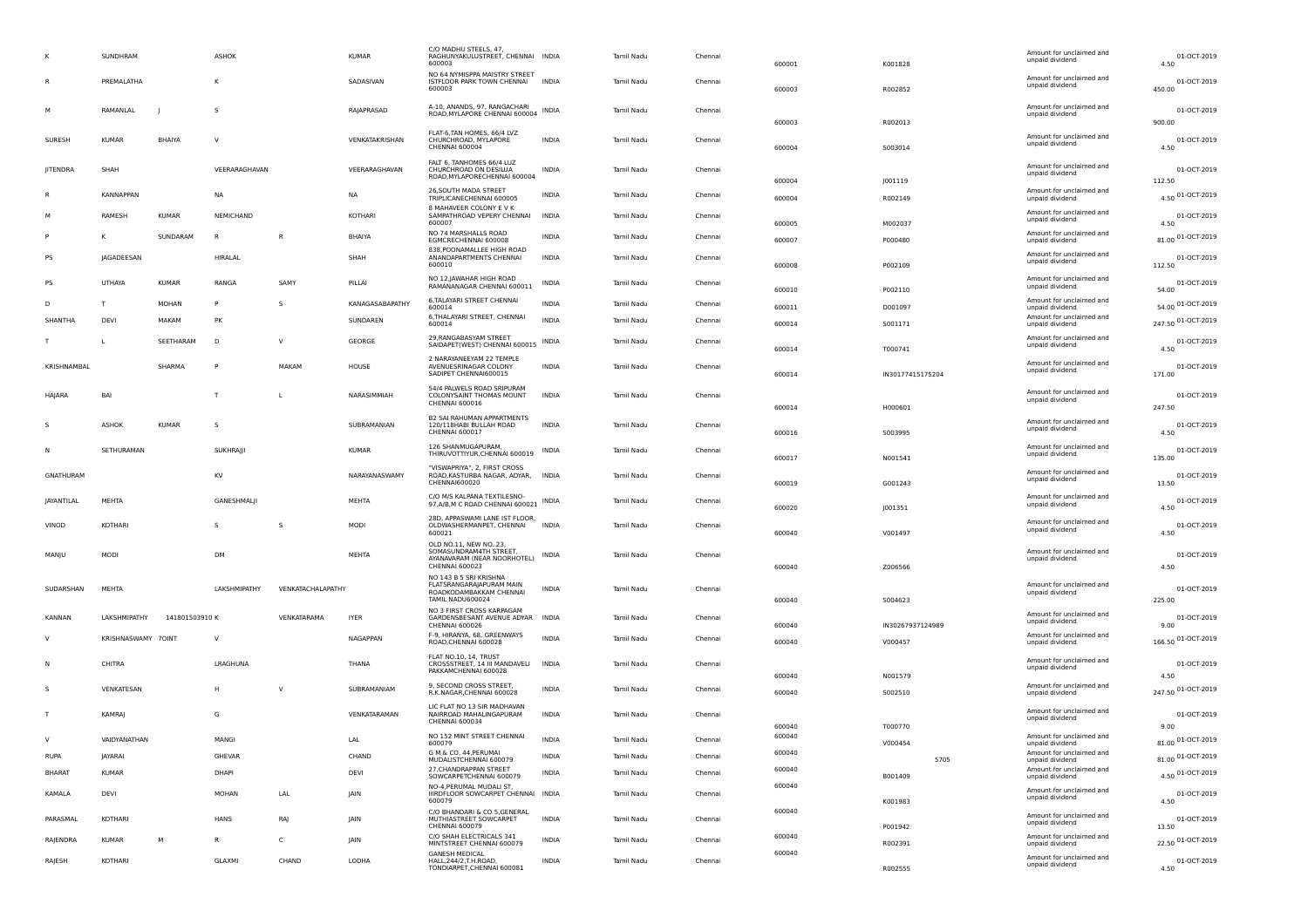|               | SUNDHRAM           |               | ASHOK         |                   | <b>KUMAR</b>    | C/O MADHU STEELS, 47,<br>RAGHUNYAKULUSTREET, CHENNAI INDIA<br>600003                                  |              | Tamil Nadu | Chennai | 600001 | K001828          | Amount for unclaimed and<br>unpaid dividend | 01-OCT-2019<br>4.50   |
|---------------|--------------------|---------------|---------------|-------------------|-----------------|-------------------------------------------------------------------------------------------------------|--------------|------------|---------|--------|------------------|---------------------------------------------|-----------------------|
|               | PREMALATHA         |               | к             |                   | SADASIVAN       | NO 64 NYMISPPA MAISTRY STREET<br>ISTFLOOR PARK TOWN CHENNAI<br>600003                                 | <b>INDIA</b> | Tamil Nadu | Chennai | 600003 | R002852          | Amount for unclaimed and<br>unpaid dividend | 01-OCT-2019<br>450.00 |
|               | RAMANLAL           |               | s             |                   | RAJAPRASAD      | A-10, ANANDS, 97, RANGACHARI<br>ROAD, MYLAPORE CHENNAI 600004                                         | INDIA        | Tamil Nadu | Chennai | 600003 | R002013          | Amount for unclaimed and<br>unpaid dividend | 01-OCT-2019<br>900.00 |
| SURESH        | <b>KUMAR</b>       | BHAIYA        | $\vee$        |                   | VENKATAKRISHAN  | FLAT-6, TAN HOMES, 66/4 LVZ<br>CHURCHROAD, MYLAPORE<br><b>CHENNAI 600004</b>                          | <b>INDIA</b> | Tamil Nadu | Chennai | 600004 | S003014          | Amount for unclaimed and<br>unpaid dividend | 01-OCT-2019<br>4.50   |
| JITENDRA      | SHAH               |               | VEERARAGHAVAN |                   | VEERARAGHAVAN   | FALT 6, TANHOMES 66/4 LUZ<br>CHURCHROAD ON DESILUA<br>ROAD, MYLAPORECHENNAI 600004                    | INDIA        | Tamil Nadu | Chennai | 600004 | J001119          | Amount for unclaimed and<br>unpaid dividend | 01-OCT-2019<br>112.50 |
|               | <b>KANNAPPAN</b>   |               | <b>NA</b>     |                   | <b>NA</b>       | 26, SOUTH MADA STREET<br>TRIPLICANECHENNAI 600005                                                     | <b>INDIA</b> | Tamil Nadu | Chennai | 600004 | R002149          | Amount for unclaimed and<br>unpaid dividend | 4.50 01-OCT-2019      |
|               | RAMESH             | KUMAR         | NEMICHAND     |                   | KOTHARI         | 8 MAHAVEER COLONY E V K<br>SAMPATHROAD VEPERY CHENNAI<br>600007                                       | <b>INDIA</b> | Tamil Nadu | Chennai | 600005 | M002037          | Amount for unclaimed and<br>unpaid dividend | 01-OCT-2019<br>4.50   |
|               | к                  | SUNDARAM      | R             | R                 | <b>BHAIYA</b>   | NO 74 MARSHALLS ROAD<br>EGMCRECHENNAI 600008                                                          | <b>INDIA</b> | Tamil Nadu | Chennai | 600007 | P000480          | Amount for unclaimed and<br>unpaid dividend | 81.00 01-OCT-2019     |
| PS            | JAGADEESAN         |               | HIRALAL       |                   | SHAH            | 838, POONAMALLEE HIGH ROAD<br>ANANDAPARTMENTS CHENNAI<br>600010                                       | INDIA        | Tamil Nadu | Chennai | 600008 | P002109          | Amount for unclaimed and<br>unpaid dividend | 01-OCT-2019<br>112.50 |
| PS            | UTHAYA             | <b>KUMAR</b>  | RANGA         | SAMY              | PILLAI          | NO 12, JAWAHAR HIGH ROAD<br>RAMANANAGAR CHENNAI 600011                                                | INDIA        | Tamil Nadu | Chennai | 600010 | P002110          | Amount for unclaimed and<br>unpaid dividend | 01-OCT-2019<br>54.00  |
| D             | $\mathsf{T}$       | <b>MOHAN</b>  | P             | -S.               | KANAGASABAPATHY | 6, TALAYARI STREET CHENNAI<br>600014                                                                  | <b>INDIA</b> | Tamil Nadu | Chennai | 600011 | D001097          | Amount for unclaimed and<br>unpaid dividend | 54.00 01-OCT-2019     |
| SHANTHA       | DEVI               | MAKAM         | PK            |                   | SUNDAREN        | 6, THALAYARI STREET, CHENNAI<br>600014                                                                | <b>INDIA</b> | Tamil Nadu | Chennai | 600014 | 5001171          | Amount for unclaimed and<br>unpaid dividend | 247.50 01-OCT-2019    |
|               |                    | SEETHARAM     | D             | $\vee$            | GEORGE          | 29, RANGABASYAM STREET<br>SAIDAPET(WEST) CHENNAI 600015 INDIA                                         |              | Tamil Nadu | Chennai | 600014 | T000741          | Amount for unclaimed and<br>unpaid dividend | 01-OCT-2019<br>4.50   |
| KRISHNAMBAL   |                    | SHARMA        | $\mathsf{P}$  | MAKAM             | HOUSE           | 2 NARAYANEEYAM 22 TEMPLE<br>AVENUESRINAGAR COLONY<br>SADIPET CHENNAI600015                            | <b>INDIA</b> | Tamil Nadu | Chennai | 600014 | IN30177415175204 | Amount for unclaimed and<br>unpaid dividend | 01-OCT-2019<br>171.00 |
| HAJARA        | BAI                |               | T             |                   | NARASIMMIAH     | 54/4 PALWELS ROAD SRIPURAM<br>COLONYSAINT THOMAS MOUNT<br>CHENNAI 600016                              | <b>INDIA</b> | Tamil Nadu | Chennai | 600014 | H000601          | Amount for unclaimed and<br>unpaid dividend | 01-OCT-2019<br>247.50 |
|               | ASHOK              | <b>KUMAR</b>  | s             |                   | SUBRAMANIAN     | B2 SAI RAHUMAN APPARTMENTS<br>120/118HABI BULLAH ROAD<br>CHENNAI 600017                               | INDIA        | Tamil Nadu | Chennai | 600016 | S003995          | Amount for unclaimed and<br>unpaid dividend | 01-OCT-2019<br>4.50   |
|               | SETHURAMAN         |               | SUKHRAJJI     |                   | <b>KUMAR</b>    | 126 SHANMUGAPURAM,<br>THIRUVOTTIYUR, CHENNAI 600019                                                   | INDIA        | Tamil Nadu | Chennai | 600017 | N001541          | Amount for unclaimed and<br>unpaid dividend | 01-OCT-2019<br>135.00 |
| GNATHURAM     |                    |               | KV            |                   | NARAYANASWAMY   | "VISWAPRIYA", 2, FIRST CROSS<br>ROAD, KASTURBA NAGAR, ADYAR, INDIA<br>CHENNAI600020                   |              | Tamil Nadu | Chennai | 600019 | G001243          | Amount for unclaimed and<br>unpaid dividend | 01-OCT-2019<br>13.50  |
| JAYANTILAL    | MEHTA              |               | GANESHMALJI   |                   | MEHTA           | C/O M/S KALPANA TEXTILESNO-<br>97, A/B, M C ROAD CHENNAI 600021 INDIA                                 |              | Tamil Nadu | Chennai | 600020 | J001351          | Amount for unclaimed and<br>unpaid dividend | 01-OCT-2019<br>4.50   |
| VINOD         | KOTHARI            |               | s             | s                 | <b>MODI</b>     | 28D, APPASWAMI LANE IST FLOOR,<br>OLDWASHERMANPET, CHENNAI<br>600021                                  | <b>INDIA</b> | Tamil Nadu | Chennai | 600040 | V001497          | Amount for unclaimed and<br>unpaid dividend | 01-OCT-2019<br>4.50   |
| MANJU         | MODI               |               | DM            |                   | MEHTA           | OLD NO.11, NEW NO23,<br>SOMASUNDRAM4TH STREET<br>AYANAVARAM (NEAR NOORHOTEL)<br><b>CHENNAI 600023</b> | INDIA        | Tamil Nadu | Chennai | 600040 | Z006566          | Amount for unclaimed and<br>unpaid dividend | 01-OCT-2019<br>4.50   |
| SUDARSHAN     | MEHTA              |               | LAKSHMIPATHY  | VENKATACHALAPATHY |                 | NO 143 B 5 SRI KRISHNA<br>FLATSRANGARAJAPURAM MAIN<br>ROADKODAMBAKKAM CHENNAI<br>TAMIL NADU600024     | INDIA        | Tamil Nadu | Chennai | 600040 | 5004623          | Amount for unclaimed and<br>unpaid dividend | 01-OCT-2019<br>225.00 |
| KANNAN        | LAKSHMIPATHY       | 141801503910K |               | VENKATARAMA       | <b>IYER</b>     | NO 3 FIRST CROSS KARPAGAM<br>GARDENSBESANT AVENUE ADYAR                                               | <b>INDIA</b> | Tamil Nadu | Chennai |        |                  | Amount for unclaimed and                    | 01-OCT-2019           |
|               |                    |               |               |                   |                 | CHENNAI 600026<br>F-9, HIRANYA, 68, GREENWAYS                                                         |              |            |         | 600040 | IN30267937124989 | unpaid dividend<br>Amount for unclaimed and | 9.00                  |
|               | KRISHNASWAMY 70INT |               | $\vee$        |                   | <b>NAGAPPAN</b> | ROAD, CHENNAI 600028                                                                                  | <b>INDIA</b> | Tamil Nadu | Chennai | 600040 | V000457          | unpaid dividend                             | 166.50 01-OCT-2019    |
|               | CHITRA             |               | LRAGHUNA      |                   | THANA           | FLAT NO.10, 14, TRUST<br>CROSSSTREET, 14 III MANDAVELI INDIA<br>PAKKAMCHENNAI 600028                  |              | Tamil Nadu | Chennai | 600040 | N001579          | Amount for unclaimed and<br>unpaid dividend | 01-OCT-2019<br>4.50   |
|               | VENKATESAN         |               | H             | $\vee$            | SUBRAMANIAM     | 9, SECOND CROSS STREET,<br>R.K.NAGAR, CHENNAI 600028                                                  | INDIA        | Tamil Nadu | Chennai | 600040 | S002510          | Amount for unclaimed and<br>unpaid dividend | 247.50 01-OCT-2019    |
|               | KAMRAJ             |               | G             |                   | VENKATARAMAN    | LIC FLAT NO 13 SIR MADHAVAN<br>NAIRROAD MAHALINGAPURAM<br>CHENNAI 600034                              | <b>INDIA</b> | Tamil Nadu | Chenna  | 600040 | T000770          | Amount for unclaimed and<br>unpaid dividend | 01-OCT-2019<br>9.00   |
| <b>V</b>      | VAIDYANATHAN       |               | MANGI         |                   | LAL             | NO 152 MINT STREET CHENNAI<br>600079                                                                  | <b>INDIA</b> | Tamil Nadu | Chennai | 600040 | V000454          | Amount for unclaimed and<br>unpaid dividend | 01-OCT-2019<br>81.00  |
| RUPA          | JAYARAI            |               | GHEVAR        |                   | CHAND           | G M & CO, 44, PERUMAI<br>MUDALISTCHENNAI 600079                                                       | INDIA        | Tamil Nadu | Chennai | 600040 | 5705             | Amount for unclaimed and<br>unpaid dividend | 81.00 01-OCT-2019     |
| <b>BHARAT</b> | <b>KUMAR</b>       |               | DHAPI         |                   | DEVI            | 27, CHANDRAPPAN STREET<br>SOWCARPETCHENNAI 600079                                                     | <b>INDIA</b> | Tamil Nadu | Chennai | 600040 | B001409          | Amount for unclaimed and<br>unpaid dividend | 4.50 01-OCT-2019      |
| KAMALA        | DEVI               |               | MOHAN         | LAL               | JAIN            | NO-4, PERUMAL MUDALI ST,<br>IIIRDFLOOR SOWCARPET CHENNAI INDIA<br>600079                              |              | Tamil Nadu | Chennai | 600040 | K001983          | Amount for unclaimed and<br>unpaid dividend | 01-OCT-2019<br>4.50   |
| PARASMAL      | KOTHARI            |               | HANS          | RAJ               | JAIN            | C/O BHANDARI & CO 5, GENERAL<br>MUTHIASTREET SOWCARPET<br>CHENNAI 600079                              | <b>INDIA</b> | Tamil Nadu | Chennai | 600040 | P001942          | Amount for unclaimed and<br>unpaid dividend | 01-OCT-2019<br>13.50  |
| RAJENDRA      | KUMAR              | м             | R             | C                 | JAIN            | C/O SHAH ELECTRICALS 341<br>MINTSTREET CHENNAI 600079                                                 | INDIA        | Tamil Nadu | Chennai | 600040 | R002391          | Amount for unclaimed and<br>unpaid dividend | 22.50 01-OCT-2019     |
| RAJESH        | KOTHARI            |               | GLAXMI        | CHAND             | LODHA           | <b>GANESH MEDICAL</b><br>HALL, 244/2, T.H. ROAD,                                                      | INDIA        | Tamil Nadu | Chennai | 600040 |                  | Amount for unclaimed and<br>unpaid dividend | 01-OCT-2019           |
|               |                    |               |               |                   |                 | TONDIARPET, CHENNAI 600081                                                                            |              |            |         |        | R002555          |                                             | 4.50                  |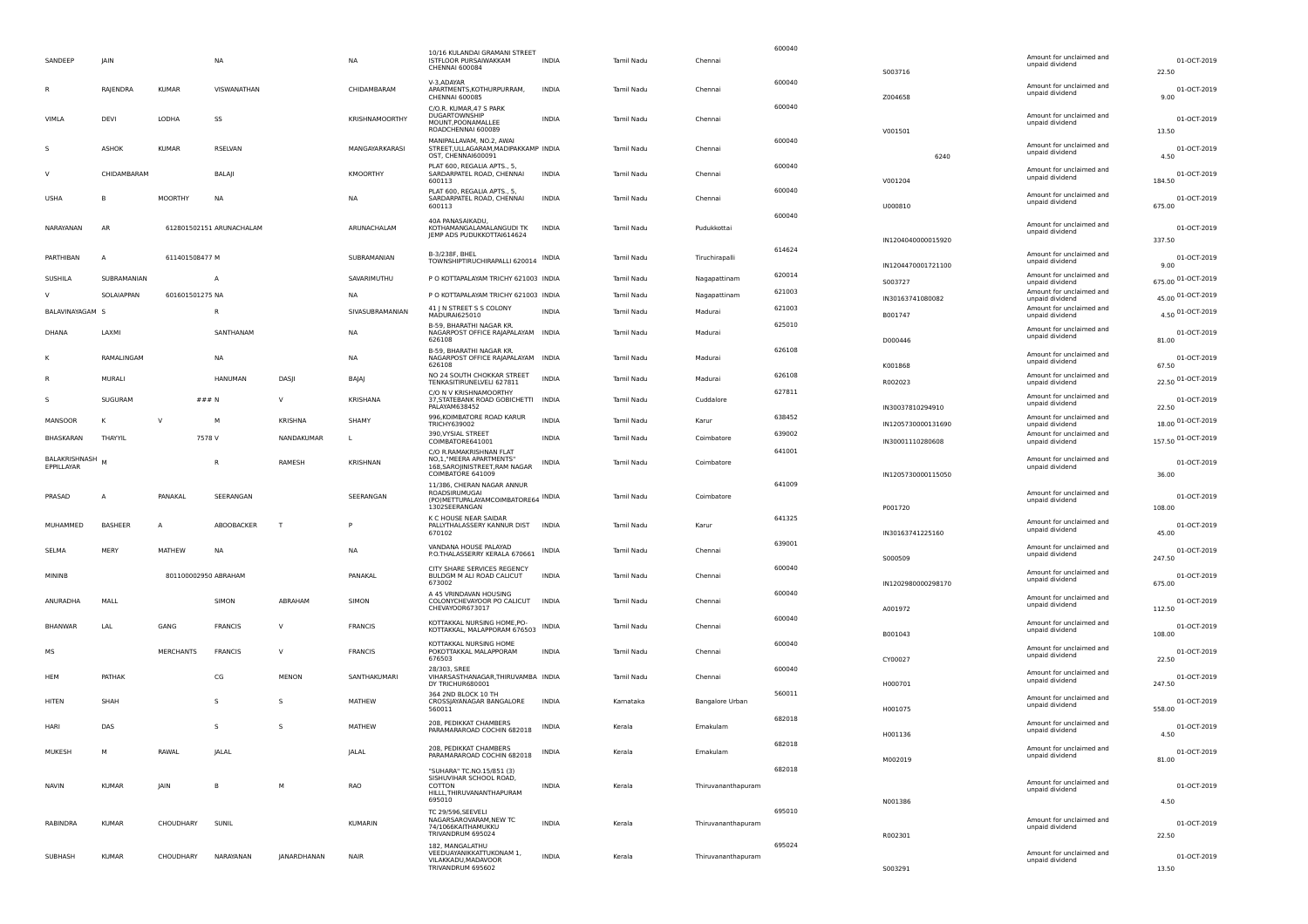|                             |                |                 |                          |              |                 |                                                                                                              |              |                   |                        | 600040 |                                          |                                             |                               |
|-----------------------------|----------------|-----------------|--------------------------|--------------|-----------------|--------------------------------------------------------------------------------------------------------------|--------------|-------------------|------------------------|--------|------------------------------------------|---------------------------------------------|-------------------------------|
| SANDEEP                     | <b>IAIN</b>    |                 | <b>NA</b>                |              | <b>NA</b>       | 10/16 KULANDAI GRAMANI STREET<br>ISTFLOOR PURSAIWAKKAM<br>CHENNAL 600084                                     | <b>INDIA</b> | Tamil Nadu        | Chennai                |        | 5003716                                  | Amount for unclaimed and<br>unpaid dividend | 01-OCT-2019<br>22.50          |
|                             | RAJENDRA       | <b>KUMAR</b>    | VISWANATHAN              |              | CHIDAMBARAM     | V-3.ADAYAR<br>APARTMENTS, KOTHURPURRAM,<br>CHENNAI 600085                                                    | <b>INDIA</b> | <b>Tamil Nadu</b> | Chennai                | 600040 | Z004658                                  | Amount for unclaimed and<br>unpaid dividend | 01-OCT-2019<br>9.00           |
| VIMLA                       | DEVI           | LODHA           | SS                       |              | KRISHNAMOORTHY  | C/O.R. KUMAR, 47 S PARK<br>DUGARTOWNSHIP<br>MOUNT, POONAMALLEE                                               | <b>INDIA</b> | <b>Tamil Nadu</b> | Chennai                | 600040 |                                          | Amount for unclaimed and<br>unpaid dividend | 01-OCT-2019                   |
|                             | ASHOK          | KUMAR           | RSELVAN                  |              | MANGAYARKARASI  | ROADCHENNAI 600089<br>MANIPALLAVAM, NO.2, AWAI<br>STREET, ULLAGARAM, MADIPAKKAMP INDIA<br>OST, CHENNAI600091 |              | Tamil Nadu        | Chennai                | 600040 | V001501<br>6240                          | Amount for unclaimed and<br>unpaid dividend | 13.50<br>01-OCT-2019<br>4.50  |
|                             | CHIDAMBARAM    |                 | BALAJI                   |              | KMOORTHY        | PLAT 600, REGALIA APTS., 5,<br>SARDARPATEL ROAD, CHENNAI<br>600113                                           | <b>INDIA</b> | Tamil Nadu        | Chennai                | 600040 | V001204                                  | Amount for unclaimed and<br>unpaid dividend | 01-OCT-2019<br>184.50         |
| USHA                        | B              | <b>MOORTHY</b>  | NA                       |              | NΑ              | PLAT 600, REGALIA APTS., 5,<br>SARDARPATEL ROAD, CHENNAI<br>600113                                           | INDIA        | Tamil Nadu        | Chennai                | 600040 | U000810                                  | Amount for unclaimed and<br>unpaid dividend | 01-OCT-2019<br>675.00         |
| NARAYANAN                   | AR             |                 | 612801502151 ARUNACHALAM |              | ARUNACHALAM     | 40A PANASAIKADU,<br>KOTHAMANGALAMALANGUDI TK<br>JEMP ADS PUDUKKOTTAI614624                                   | <b>INDIA</b> | Tamil Nadu        | Pudukkottai            | 600040 |                                          | Amount for unclaimed and<br>unpaid dividend | 01-OCT-2019                   |
| PARTHIBAN                   | A              | 611401508477 M  |                          |              | SUBRAMANIAN     | B-3/238F, BHEL<br>TOWNSHIPTIRUCHIRAPALLI 620014                                                              | INDIA        | Tamil Nadu        | Tiruchirapalli         | 614624 | IN1204040000015920<br>IN1204470001721100 | Amount for unclaimed and<br>unpaid dividend | 337.50<br>01-OCT-2019<br>9.00 |
| SUSHILA                     | SUBRAMANIAN    |                 | A                        |              | SAVARIMUTHU     | P O KOTTAPALAYAM TRICHY 621003 INDIA                                                                         |              | Tamil Nadu        | Nagapattinam           | 620014 |                                          | Amount for unclaimed and                    | 675.00 01-OCT-2019            |
| $\mathbf{v}$                | SOLAIAPPAN     | 601601501275 NA |                          |              | <b>NA</b>       | P O KOTTAPALAYAM TRICHY 621003 INDIA                                                                         |              | Tamil Nadu        | Nagapattinam           | 621003 | S003727                                  | unpaid dividend<br>Amount for unclaimed and | 45.00 01-OCT-2019             |
|                             |                |                 |                          |              |                 | 41 J N STREET S S COLONY                                                                                     |              |                   |                        | 621003 | IN30163741080082                         | unpaid dividend<br>Amount for unclaimed and |                               |
| BALAVINAYAGAM               |                |                 | R                        |              | SIVASUBRAMANIAN | MADURAI625010                                                                                                | <b>INDIA</b> | Tamil Nadu        | Madurai                |        | B001747                                  | unpaid dividend                             | 4.50 01-OCT-2019              |
| DHANA                       | LAXMI          |                 | SANTHANAM                |              | <b>NA</b>       | B-59, BHARATHI NAGAR KR.<br>NAGARPOST OFFICE RAJAPALAYAM INDIA<br>626108                                     |              | Tamil Nadu        | Madurai                | 625010 | D000446                                  | Amount for unclaimed and<br>unpaid dividend | 01-OCT-2019<br>81.00          |
|                             | RAMALINGAM     |                 | <b>NA</b>                |              | <b>NA</b>       | B-59, BHARATHI NAGAR KR.<br>NAGARPOST OFFICE RAJAPALAYAM INDIA<br>626108                                     |              | Tamil Nadu        | Madurai                | 626108 |                                          | Amount for unclaimed and<br>unpaid dividend | 01-OCT-2019                   |
|                             | MURALI         |                 | <b>HANUMAN</b>           | DASJI        | BAJAJ           | NO 24 SOUTH CHOKKAR STREET<br>TENKASITIRUNELVELI 627811                                                      | <b>INDIA</b> | Tamil Nadu        | Madurai                | 626108 | K001868<br>R002023                       | Amount for unclaimed and<br>unpaid dividend | 67.50<br>22.50 01-OCT-2019    |
|                             | SUGURAM        |                 | ### N                    | V            | KRISHANA        | C/O N V KRISHNAMOORTHY<br>37, STATEBANK ROAD GOBICHETTI<br>PALAYAM638452                                     | INDIA        | Tamil Nadu        | Cuddalore              | 627811 | IN30037810294910                         | Amount for unclaimed and<br>unpaid dividend | 01-OCT-2019<br>22.50          |
| MANSOOR                     | К              | <b>V</b>        | М                        | KRISHNA      | SHAMY           | 996, KOIMBATORE ROAD KARUR<br><b>TRICHY639002</b>                                                            | <b>INDIA</b> | Tamil Nadu        | Karur                  | 638452 | IN1205730000131690                       | Amount for unclaimed and<br>unpaid dividend | 18.00 01-OCT-2019             |
| BHASKARAN                   | THAYYIL        |                 | 7578 V                   | NANDAKUMAR   | L.              | 390. VYSIAL STREET<br>COIMBATORE641001                                                                       | INDIA        | Tamil Nadu        | Coimbatore             | 639002 | IN30001110280608                         | Amount for unclaimed and<br>unpaid dividend | 157.50 01-OCT-2019            |
| BALAKRISHNASH<br>EPPILLAYAR |                |                 | R                        | RAMESH       | KRISHNAN        | C/O R.RAMAKRISHNAN FLAT<br>NO.1."MEERA APARTMENTS"<br>168.SAROIINISTREET.RAM NAGAR<br>COIMBATORE 641009      | INDIA        | Tamil Nadu        | Coimbatore             | 641001 | IN1205730000115050                       | Amount for unclaimed and<br>unpaid dividend | 01-OCT-2019<br>36.00          |
|                             |                |                 |                          |              |                 | 11/386, CHERAN NAGAR ANNUR                                                                                   |              |                   |                        | 641009 |                                          |                                             |                               |
| PRASAD                      | $\overline{A}$ | PANAKAL         | SEERANGAN                |              | SEERANGAN       | ROADSIRUMUGAI<br>(PO) METTUPALAYAMCOIMBATORE64 INDIA<br>1302SEERANGAN                                        |              | <b>Tamil Nadu</b> | Coimbatore             |        | P001720                                  | Amount for unclaimed and<br>unpaid dividend | 01-OCT-2019<br>108.00         |
| MUHAMMED                    | BASHEER        | A               | ABOOBACKER               | $\mathsf{T}$ |                 | K C HOUSE NEAR SAIDAR<br>PALLYTHALASSERY KANNUR DIST<br>670102                                               | <b>INDIA</b> | Tamil Nadu        | Karur                  | 641325 | IN30163741225160                         | Amount for unclaimed and<br>unpaid dividend | 01-OCT-2019<br>45.00          |
| SELMA                       | MERY           | MATHEW          | NA                       |              | <b>NA</b>       | VANDANA HOUSE PALAYAD<br>P.O.THALASSERRY KERALA 670661                                                       | INDIA        | Tamil Nadu        | Chennai                | 639001 | S000509                                  | Amount for unclaimed and<br>unpaid dividend | 01-OCT-2019<br>247.50         |
| MININB                      |                |                 | 801100002950 ABRAHAM     |              | PANAKAL         | CITY SHARE SERVICES REGENCY<br>BULDGM M ALI ROAD CALICUT<br>673002                                           | <b>INDIA</b> | Tamil Nadu        | Chennai                | 600040 | IN1202980000298170                       | Amount for unclaimed and<br>unpaid dividend | 01-OCT-2019<br>675.00         |
| ANURADHA                    | MALL           |                 | SIMON                    | ABRAHAM      | SIMON           | A 45 VRINDAVAN HOUSING<br>COLONYCHEVAYOOR PO CALICUT<br>CHEVAYOOR673017                                      | <b>INDIA</b> | <b>Tamil Nadu</b> | Chennai                | 600040 | A001972                                  | Amount for unclaimed and<br>unpaid dividend | 01-OCT-2019<br>112.50         |
| <b>BHANWAR</b>              | LAL            | GANG            | <b>FRANCIS</b>           | $\vee$       | <b>FRANCIS</b>  | KOTTAKKAL NURSING HOME, PO-<br>KOTTAKKAL, MALAPPORAM 676503                                                  | INDIA        | Tamil Nadu        | Chennai                | 600040 | B001043                                  | Amount for unclaimed and<br>unpaid dividend | 01-OCT-2019<br>108.00         |
| мs                          |                | MERCHANTS       | <b>FRANCIS</b>           | $\vee$       | <b>FRANCIS</b>  | KOTTAKKAL NURSING HOME<br>POKOTTAKKAL MALAPPORAM<br>676503                                                   | INDIA        | Tamil Nadu        | Chennai                | 600040 | CY00027                                  | Amount for unclaimed and<br>unpaid dividend | 01-OCT-2019<br>22.50          |
| <b>HFM</b>                  | PATHAK         |                 | CG                       | <b>MENON</b> | SANTHAKUMARI    | 28/303, SREE<br>VIHARSASTHANAGAR, THIRUVAMBA INDIA<br>DY TRICHUR680001                                       |              | Tamil Nadu        | Chennai                | 600040 | H000701                                  | Amount for unclaimed and<br>unpaid dividend | 01-OCT-2019<br>247.50         |
| HITEN                       | SHAH           |                 | s                        | S.           | MATHEW          | 364 2ND BLOCK 10 TH<br>CROSSJAYANAGAR BANGALORE<br>560011                                                    | <b>INDIA</b> | Kamataka          | <b>Bangalore Urban</b> | 560011 | H001075                                  | Amount for unclaimed and<br>unpaid dividend | 01-OCT-2019<br>558.00         |
| HARI                        | DAS            |                 | s                        | -S           | MATHEW          | 208, PEDIKKAT CHAMBERS<br>PARAMARAROAD COCHIN 682018                                                         | <b>INDIA</b> | Kerala            | Ernakulam              | 682018 | H001136                                  | Amount for unclaimed and<br>unpaid dividend | 01-OCT-2019<br>4.50           |
| MUKESH                      | м              | RAWAL           | JALAL                    |              | JALAL           | 208, PEDIKKAT CHAMBERS<br>PARAMARAROAD COCHIN 682018                                                         | INDIA        | Kerala            | Ernakulam              | 682018 | M002019                                  | Amount for unclaimed and<br>unpaid dividend | 01-OCT-2019<br>81.00          |
| <b>NAVIN</b>                | <b>KUMAR</b>   | <b>IAIN</b>     | В                        | M            | RAO             | "SUHARA" TC.NO.15/851 (3)<br>SISHUVIHAR SCHOOL ROAD,<br>COTTON<br>HILLL, THIRUVANANTHAPURAM<br>695010        | INDIA        | Kerala            | Thiruvananthapuram     | 682018 | N001386                                  | Amount for unclaimed and<br>unpaid dividend | 01-OCT-2019<br>4.50           |
| RABINDRA                    | <b>KUMAR</b>   | CHOUDHARY       | SUNIL                    |              | KUMARIN         | <b>TC 29/596, SEEVELI</b><br>NAGARSAROVARAM, NEW TC<br>74/1066KAITHAMUKKU<br>TRIVANDRUM 695024               | INDIA        | Kerala            | Thiruvananthapuram     | 695010 | R002301                                  | Amount for unclaimed and<br>unpaid dividend | 01-OCT-2019<br>22.50          |
| SUBHASH                     | <b>KUMAR</b>   | CHOUDHARY       | NARAYANAN                | JANARDHANAN  | <b>NAIR</b>     | 182. MANGALATHU<br>VEEDUAYANIKKATTUKONAM 1,<br>VII AKKADU.MADAVOOR<br>TRIVANDRUM 695602                      | <b>INDIA</b> | Kerala            | Thiruvananthapuram     | 695024 | S003291                                  | Amount for unclaimed and<br>unpaid dividend | 01-OCT-2019<br>13.50          |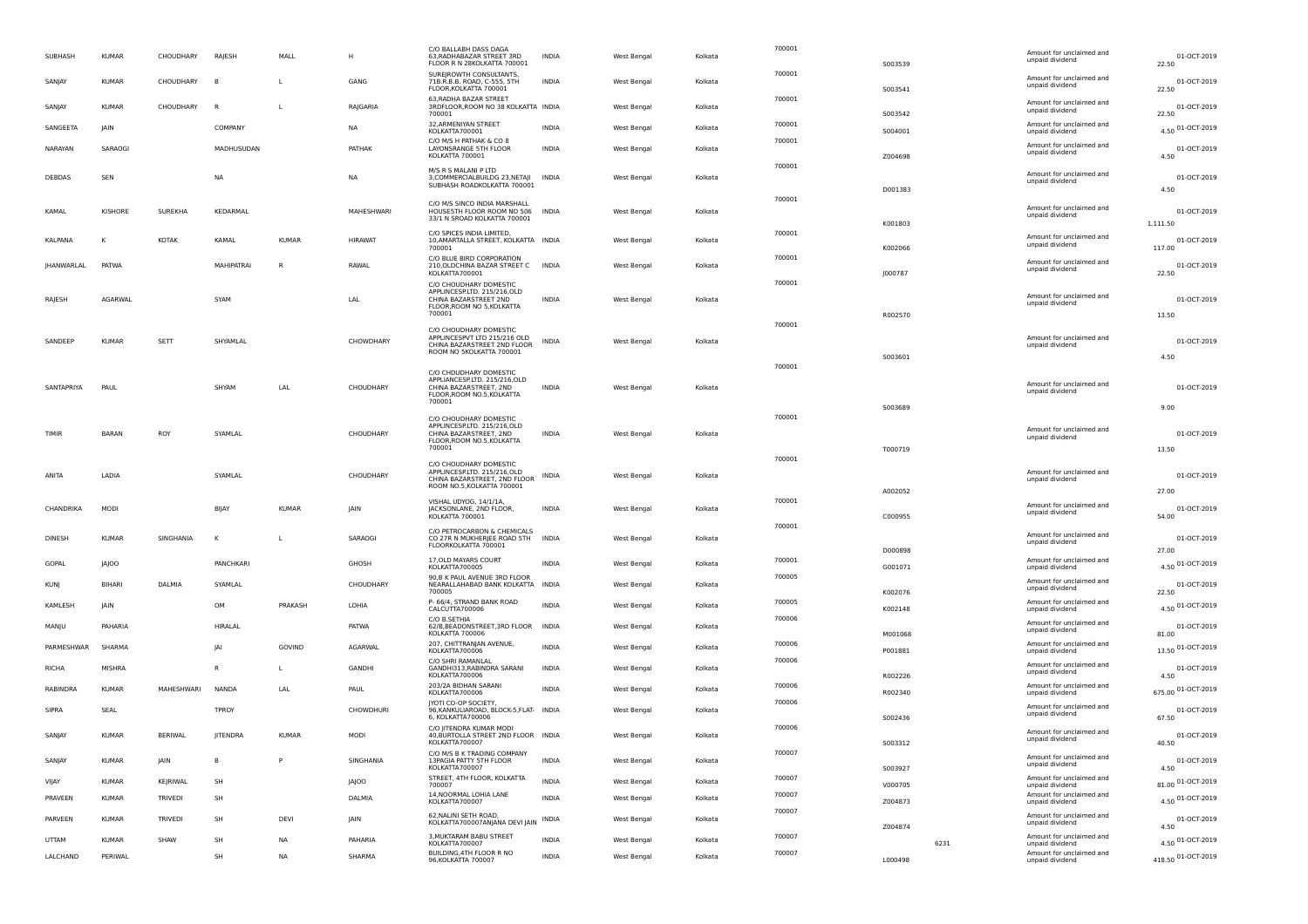| SUBHASH      | <b>KUMAR</b>  | CHOUDHARY      | RAJESH          | MALL         | н                | C/O BALLABH DASS DAGA<br>63, RADHABAZAR STREET 3RD<br>FLOOR R N 28KOLKATTA 700001         | INDIA        | West Bengal        | Kolkata | 700001           | S003539 |      | Amount for unclaimed and<br>unpaid dividend | 01-OCT-2019<br>22.50       |
|--------------|---------------|----------------|-----------------|--------------|------------------|-------------------------------------------------------------------------------------------|--------------|--------------------|---------|------------------|---------|------|---------------------------------------------|----------------------------|
| SANJAY       | <b>KUMAR</b>  | CHOUDHARY      | B               | л.           | GANG             | SUREJROWTH CONSULTANTS,<br>71B.R.B.B. ROAD, C-555, 5TH<br>FLOOR, KOLKATTA 700001          | <b>INDIA</b> | West Bengal        | Kolkata | 700001           | S003541 |      | Amount for unclaimed and<br>unpaid dividend | 01-OCT-2019<br>22.50       |
| SANJAY       | <b>KUMAR</b>  | CHOUDHARY      | R               | L            | RAJGARIA         | 63, RADHA BAZAR STREET<br>3RDFLOOR, ROOM NO 38 KOLKATTA INDIA<br>700001                   |              | West Bengal        | Kolkata | 700001           | S003542 |      | Amount for unclaimed and<br>unpaid dividend | 01-OCT-2019<br>22.50       |
| SANGEETA     | <b>JAIN</b>   |                | COMPANY         |              | NA               | 32, ARMENIYAN STREET<br>KOLKATTA700001                                                    | <b>INDIA</b> | West Bengal        | Kolkata | 700001           | S004001 |      | Amount for unclaimed and<br>unpaid dividend | 4.50 01-OCT-2019           |
| NARAYAN      | SARAOGI       |                | MADHUSUDAN      |              | PATHAK           | C/O M/S H PATHAK & CO 8<br>LAYONSRANGE 5TH FLOOR                                          | <b>INDIA</b> | West Bengal        | Kolkata | 700001           |         |      | Amount for unclaimed and<br>unpaid dividend | 01-OCT-2019                |
|              |               |                |                 |              |                  | KOLKATTA 700001<br>M/S R S MALANI P LTD                                                   |              |                    |         | 700001           | Z004698 |      |                                             | 4.50                       |
| DEBDAS       | SEN           |                | <b>NA</b>       |              | <b>NA</b>        | 3, COMMERCIALBUILDG 23, NETAJI<br>SUBHASH ROADKOLKATTA 700001                             | <b>INDIA</b> | West Bengal        | Kolkata |                  |         |      | Amount for unclaimed and<br>unpaid dividend | 01-OCT-2019                |
|              |               |                |                 |              |                  | C/O M/S SINCO INDIA MARSHALL                                                              |              |                    |         | 700001           | D001383 |      |                                             | 4.50                       |
| KAMAL        | KISHORE       | SUREKHA        | KEDARMAL        |              | MAHESHWARI       | HOUSESTH FLOOR ROOM NO 506<br>33/1 N SROAD KOLKATTA 700001                                | <b>INDIA</b> | West Bengal        | Kolkata |                  | K001803 |      | Amount for unclaimed and<br>unpaid dividend | 01-OCT-2019<br>1,111.50    |
| KALPANA      |               | KOTAK          | KAMAL           | <b>KUMAR</b> | <b>HIRAWAT</b>   | C/O SPICES INDIA LIMITED,<br>10, AMARTALLA STREET, KOLKATTA INDIA                         |              | West Bengal        | Kolkata | 700001           |         |      | Amount for unclaimed and                    | 01-OCT-2019                |
|              |               |                |                 |              |                  | 700001<br>C/O BLUE BIRD CORPORATION                                                       |              |                    |         | 700001           | K002066 |      | unpaid dividend                             | 117.00                     |
| JHANWARLAL   | <b>PATWA</b>  |                | MAHIPATRAI      | $\mathsf{R}$ | RAWAL            | 210, OLDCHINA BAZAR STREET C INDIA<br>KOLKATTA700001                                      |              | <b>West Bengal</b> | Kolkata |                  | J000787 |      | Amount for unclaimed and<br>unpaid dividend | 01-OCT-2019<br>22.50       |
|              |               |                |                 |              |                  | C/O CHOUDHARY DOMESTIC<br>APPLINCESP.LTD. 215/216,OLD                                     |              |                    |         | 700001           |         |      |                                             |                            |
| RAJESH       | AGARWAL       |                | SYAM            |              | LAL              | CHINA BAZARSTREET 2ND<br>FLOOR, ROOM NO 5, KOLKATTA                                       | <b>INDIA</b> | West Bengal        | Kolkata |                  |         |      | Amount for unclaimed and<br>unpaid dividend | 01-OCT-2019                |
|              |               |                |                 |              |                  | 700001                                                                                    |              |                    |         | 700001           | R002570 |      |                                             | 13.50                      |
| SANDEEP      | <b>KUMAR</b>  | SETT           | SHYAMLAL        |              | CHOWDHARY        | C/O CHOUDHARY DOMESTIC<br>APPLINCESPVT LTD 215/216 OLD<br>CHINA BAZARSTREET 2ND FLOOR     | <b>INDIA</b> | West Bengal        | Kolkata |                  |         |      | Amount for unclaimed and<br>unpaid dividend | 01-OCT-2019                |
|              |               |                |                 |              |                  | ROOM NO 5KOLKATTA 700001                                                                  |              |                    |         |                  | S003601 |      |                                             | 4.50                       |
|              |               |                |                 |              |                  | C/O CHDUDHARY DOMESTIC<br>APPLIANCESP.LTD. 215/216,OLD                                    |              |                    |         | 700001           |         |      |                                             |                            |
| SANTAPRIYA   | PAUL          |                | SHYAM           | LAL          | CHOUDHARY        | CHINA BAZARSTREET, 2ND<br>FLOOR, ROOM NO.5, KOLKATTA                                      | <b>INDIA</b> | West Bengal        | Kolkata |                  |         |      | Amount for unclaimed and<br>unpaid dividend | 01-OCT-2019                |
|              |               |                |                 |              |                  | 700001                                                                                    |              |                    |         |                  | 5003689 |      |                                             | 9.00                       |
| TIMIR        | BARAN         | ROY            | SYAMLAL         |              | CHOUDHARY        | C/O CHOUDHARY DOMESTIC<br>APPLINCESP.LTD. 215/216,OLD<br>CHINA BAZARSTREET, 2ND           | INDIA        | West Bengal        | Kolkata | 700001           |         |      | Amount for unclaimed and                    | 01-OCT-2019                |
|              |               |                |                 |              |                  | FLOOR, ROOM NO.5, KOLKATTA<br>700001                                                      |              |                    |         |                  | T000719 |      | unpaid dividend                             | 13.50                      |
|              |               |                |                 |              |                  | C/O CHOUDHARY DOMESTIC                                                                    |              |                    |         | 700001           |         |      |                                             |                            |
| ANITA        | LADIA         |                | SYAMLAL         |              | CHOUDHARY        | APPLINCESP.LTD, 215/216.OLD<br>CHINA BAZARSTREET, 2ND FLOOR<br>ROOM NO.5, KOLKATTA 700001 | INDIA        | West Bengal        | Kolkata |                  |         |      | Amount for unclaimed and<br>unpaid dividend | 01-OCT-2019                |
|              |               |                |                 |              |                  | VISHAL UDYOG, 14/1/1A,                                                                    |              |                    |         | 700001           | A002052 |      | Amount for unclaimed and                    | 27.00                      |
| CHANDRIKA    | MODI          |                | BIJAY           | <b>KUMAR</b> | <b>IAIN</b>      | JACKSONLANE, 2ND FLOOR,<br>KOLKATTA 700001                                                | <b>INDIA</b> | West Bengal        | Kolkata |                  | C000955 |      | unpaid dividend                             | 01-OCT-2019<br>54.00       |
| DINESH       | <b>KUMAR</b>  | SINGHANIA      | K               | L            | SARAOGI          | C/O PETROCARBON & CHEMICALS<br>CO 27R N MUKHERJEE ROAD 5TH                                | <b>INDIA</b> | West Bengal        | Kolkata | 700001           |         |      | Amount for unclaimed and<br>unpaid dividend | 01-OCT-2019                |
|              |               |                |                 |              |                  | FLOORKOLKATTA 700001                                                                      |              |                    |         |                  | D000898 |      |                                             | 27.00                      |
| GOPAL        | JAJOO         |                | PANCHKARI       |              | GHOSH            | 17, OLD MAYARS COURT<br>KOLKATTA700005                                                    | <b>INDIA</b> | West Bengal        | Kolkata | 700001<br>700005 | G001071 |      | Amount for unclaimed and<br>unpaid dividend | 4.50 01-OCT-2019           |
| <b>KUNI</b>  | <b>BIHARI</b> | DALMIA         | SYAMLAL         |              | CHOUDHARY        | 90, B K PAUL AVENUE 3RD FLOOR<br>NEARALLAHABAD BANK KOLKATTA INDIA<br>700005              |              | West Bengal        | Kolkata |                  | K002076 |      | Amount for unclaimed and<br>unpaid dividend | 01-OCT-2019<br>22.50       |
| KAMLESH      | <b>JAIN</b>   |                | OM              | PRAKASH      | LOHIA            | P- 66/4, STRAND BANK ROAD<br>CALCUTTA700006                                               | <b>INDIA</b> | West Bengal        | Kolkata | 700005           | K002148 |      | Amount for unclaimed and<br>unpaid dividend | 4.50 01-OCT-2019           |
| MANJU        | PAHARIA       |                | HIRALAL         |              | PATWA            | C/O B SETHIA<br>62/B, BEADONSTREET, 3RD FLOOR INDIA                                       |              | West Bengal        | Kolkata | 700006           |         |      | Amount for unclaimed and<br>unpaid dividend | 01-OCT-2019                |
| PARMESHWAR   | SHARMA        |                | IAI             | GOVIND       | AGARWAL          | KOLKATTA 700006<br>207, CHITTRANJAN AVENUE,                                               | <b>INDIA</b> | West Bengal        | Kolkata | 700006           | M001068 |      | Amount for unclaimed and                    | 81.00<br>13.50 01-OCT-2019 |
|              |               |                |                 |              |                  | KOLKATTA700006<br>C/O SHRI RAMANLAL                                                       |              |                    |         | 700006           | P001881 |      | unpaid dividend<br>Amount for unclaimed and |                            |
| <b>RICHA</b> | MISHRA        |                | R               | L            | <b>GANDHI</b>    | GANDHI313, RABINDRA SARANI<br>KOLKATTA700006                                              | <b>INDIA</b> | West Bengal        | Kolkata |                  | R002226 |      | unpaid dividend                             | 01-OCT-2019<br>4.50        |
| RABINDRA     | <b>KUMAR</b>  | MAHESHWARI     | <b>NANDA</b>    | LAL          | PAUL             | 203/2A BIDHAN SARANI<br>KOLKATTA700006                                                    | <b>INDIA</b> | West Bengal        | Kolkata | 700006           | R002340 |      | Amount for unclaimed and<br>unpaid dividend | 675.00 01-OCT-2019         |
| SIPRA        | SEAL          |                | TPROY           |              | <b>CHOWDHURI</b> | JYOTI CO-OP SOCIETY,<br>96,KANKULIAROAD, BLOCK-5,FLAT- INDIA<br>6, KOLKATTA700006         |              | West Bengal        | Kolkata | 700006           | S002436 |      | Amount for unclaimed and<br>unpaid dividend | 01-OCT-2019<br>67.50       |
| SANJAY       | <b>KUMAR</b>  | <b>BERIWAL</b> | <b>JITENDRA</b> | <b>KUMAR</b> | MODI             | C/O IITENDRA KUMAR MODI<br>40, BURTOLLA STREET 2ND FLOOR INDIA                            |              | West Bengal        | Kolkata | 700006           |         |      | Amount for unclaimed and<br>unpaid dividend | 01-OCT-2019                |
|              |               |                |                 |              |                  | KOLKATTA700007<br>C/O M/S B K TRADING COMPANY                                             |              |                    |         | 700007           | S003312 |      | Amount for unclaimed and                    | 40.50                      |
| SANJAY       | <b>KUMAR</b>  | JAIN           | B               | P            | SINGHANIA        | 13PAGIA PATTY 5TH FLOOR<br>KOLKATTA700007                                                 | <b>INDIA</b> | West Bengal        | Kolkata |                  | 5003927 |      | unpaid dividend                             | 01-OCT-2019<br>4.50        |
| VIJAY        | <b>KUMAR</b>  | KEJRIWAL       | SH              |              | <b>JAJOO</b>     | STREET, 4TH FLOOR, KOLKATTA<br>700007                                                     | <b>INDIA</b> | West Bengal        | Kolkata | 700007           | V000705 |      | Amount for unclaimed and<br>unpaid dividend | 81.00 01-OCT-2019          |
| PRAVEEN      | <b>KUMAR</b>  | TRIVEDI        | SH              |              | DALMIA           | 14, NOORMAL LOHIA LANE<br>KOLKATTA700007                                                  | <b>INDIA</b> | West Bengal        | Kolkata | 700007<br>700007 | Z004873 |      | Amount for unclaimed and<br>unpaid dividend | 4.50 01-OCT-2019           |
| PARVEEN      | <b>KUMAR</b>  | TRIVEDI        | SH              | DEVI         | <b>JAIN</b>      | 62, NALINI SETH ROAD,<br>KOLKATTA700007ANJANA DEVI JAIN INDIA                             |              | West Bengal        | Kolkata |                  | Z004874 |      | Amount for unclaimed and<br>unpaid dividend | 01-OCT-2019<br>4.50        |
| <b>UTTAM</b> | <b>KUMAR</b>  | SHAW           | SH              | <b>NA</b>    | PAHARIA          | 3, MUKTARAM BABU STREET<br>KOLKATTA700007                                                 | <b>INDIA</b> | West Bengal        | Kolkata | 700007           |         | 6231 | Amount for unclaimed and<br>unpaid dividend | 4.50 01-OCT-2019           |
| LALCHAND     | PERIWAL       |                | SH              | NA           | SHARMA           | BUILDING, 4TH FLOOR R NO<br>96, KOLKATTA 700007                                           | INDIA        | West Bengal        | Kolkata | 700007           | L000498 |      | Amount for unclaimed and<br>unpaid dividend | 418.50 01-OCT-2019         |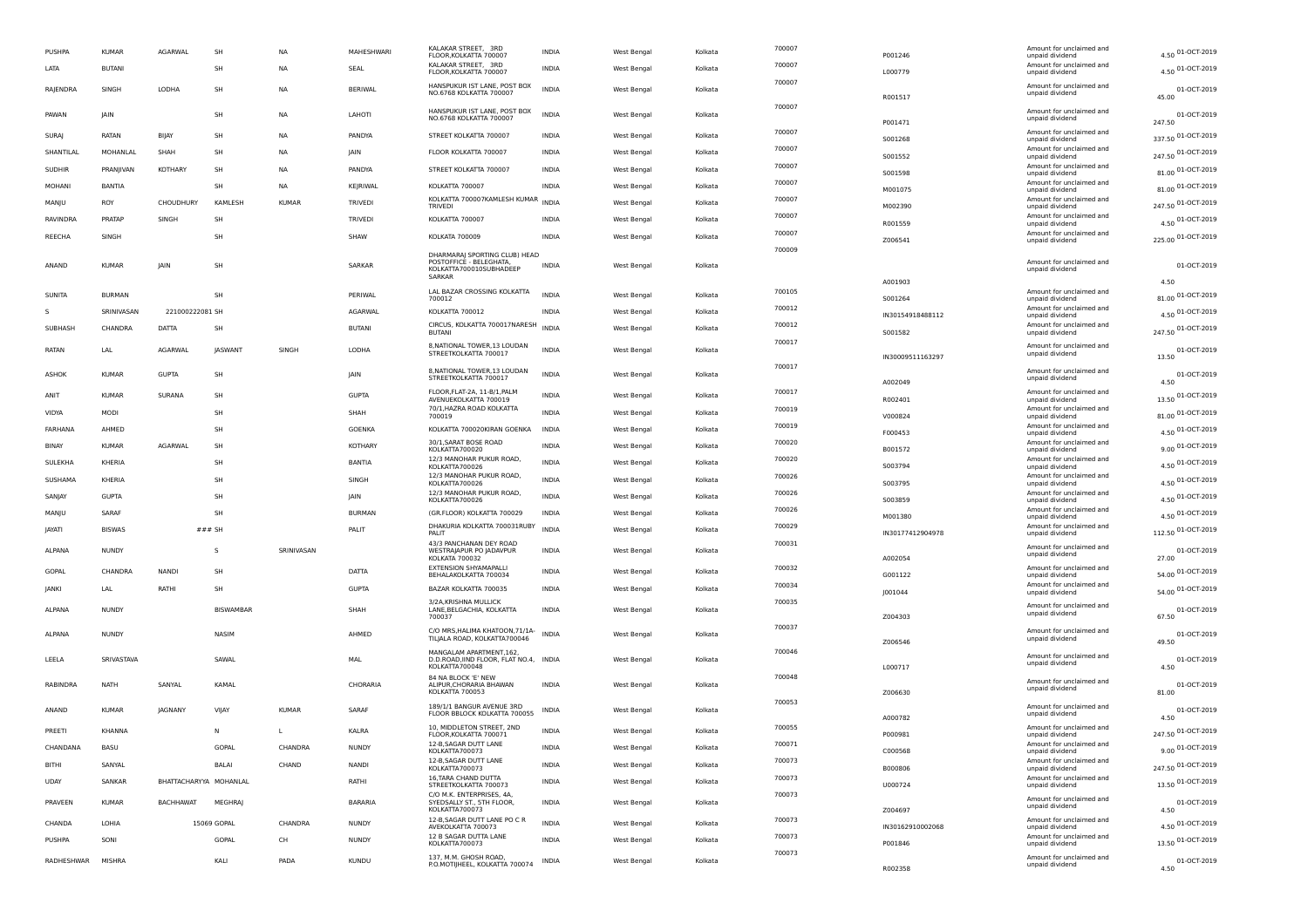| PUSHPA            | <b>KUMAR</b>  | <b>AGARWAL</b>         | SH               | <b>NA</b>    | MAHESHWARI     | KALAKAR STREET, 3RD<br>FLOOR, KOLKATTA 700007                                                 | <b>INDIA</b> | West Bengal | Kolkata | 700007 | P001246          | Amount for unclaimed and<br>unpaid dividend | 4.50 01-OCT-2019             |
|-------------------|---------------|------------------------|------------------|--------------|----------------|-----------------------------------------------------------------------------------------------|--------------|-------------|---------|--------|------------------|---------------------------------------------|------------------------------|
| LATA              | <b>BUTANI</b> |                        | SH               | <b>NA</b>    | SEAL           | KALAKAR STREET, 3RD<br>FLOOR, KOLKATTA 700007                                                 | <b>INDIA</b> | West Bengal | Kolkata | 700007 | L000779          | Amount for unclaimed and<br>unpaid dividend | 4.50 01-OCT-2019             |
| RAJENDRA          | SINGH         | LODHA                  | SH               | <b>NA</b>    | <b>BERIWAL</b> | HANSPUKUR IST LANE, POST BOX<br>NO.6768 KOLKATTA 700007                                       | <b>INDIA</b> | West Bengal | Kolkata | 700007 | R001517          | Amount for unclaimed and<br>unpaid dividend | 01-OCT-2019<br>45.00         |
| PAWAN             | <b>JAIN</b>   |                        | SH               | <b>NA</b>    | LAHOTI         | HANSPUKUR IST LANE, POST BOX<br>NO.6768 KOLKATTA 700007                                       | <b>INDIA</b> | West Bengal | Kolkata | 700007 |                  | Amount for unclaimed and<br>unpaid dividend | 01-OCT-2019                  |
| SURAJ             | RATAN         | BIJAY                  | SH               | <b>NA</b>    | PANDYA         | STREET KOLKATTA 700007                                                                        | <b>INDIA</b> | West Bengal | Kolkata | 700007 | P001471          | Amount for unclaimed and                    | 247.50<br>337.50 01-OCT-2019 |
| SHANTILAL         | MOHANLAL      | SHAH                   | SH               | <b>NA</b>    | <b>IAIN</b>    | FLOOR KOLKATTA 700007                                                                         | <b>INDIA</b> | West Bengal | Kolkata | 700007 | S001268          | unpaid dividend<br>Amount for unclaimed and | 247.50 01-OCT-2019           |
| <b>SUDHIR</b>     | PRANJIVAN     | <b>KOTHARY</b>         | SH               | NA           | PANDYA         | STREET KOLKATTA 700007                                                                        | INDIA        | West Bengal | Kolkata | 700007 | S001552          | unpaid dividend<br>Amount for unclaimed and | 81.00 01-OCT-2019            |
| MOHANI            | BANTIA        |                        | SH               | NA           | KEJRIWAL       | KOLKATTA 700007                                                                               | INDIA        | West Bengal | Kolkata | 700007 | S001598          | unpaid dividend<br>Amount for unclaimed and | 81.00 01-OCT-2019            |
| MANJU             | ROY           | CHOUDHURY              | <b>KAMLESH</b>   | <b>KUMAR</b> | TRIVEDI        | KOLKATTA 700007KAMLESH KUMAR                                                                  | <b>INDIA</b> | West Bengal | Kolkata | 700007 | M001075          | unpaid dividend<br>Amount for unclaimed and |                              |
|                   |               |                        |                  |              |                | <b>TRIVEDI</b>                                                                                |              |             |         | 700007 | M002390          | unpaid dividend<br>Amount for unclaimed and | 247.50 01-OCT-2019           |
| RAVINDRA          | PRATAP        | SINGH                  | SH               |              | <b>TRIVEDI</b> | KOLKATTA 700007                                                                               | <b>INDIA</b> | West Bengal | Kolkata | 700007 | R001559          | unpaid dividend<br>Amount for unclaimed and | 4.50 01-OCT-2019             |
| REECHA            | SINGH         |                        | SH               |              | SHAW           | KOLKATA 700009                                                                                | <b>INDIA</b> | West Bengal | Kolkata | 700009 | Z006541          | unpaid dividend                             | 225.00 01-OCT-2019           |
| ANAND             | <b>KUMAR</b>  | <b>IAIN</b>            | SH               |              | SARKAR         | DHARMARAJ SPORTING CLUB) HEAD<br>POSTOFFICE - BELEGHATA,<br>KOLKATTA700010SUBHADEEP<br>SARKAR | <b>INDIA</b> | West Bengal | Kolkata |        |                  | Amount for unclaimed and<br>unpaid dividend | 01-OCT-2019                  |
|                   |               |                        | SH               |              | PFRIWAL        | LAL BAZAR CROSSING KOLKATTA                                                                   | <b>INDIA</b> |             |         | 700105 | A001903          | Amount for unclaimed and                    | 4.50                         |
| SUNITA            | <b>BURMAN</b> |                        |                  |              |                | 700012                                                                                        |              | West Bengal | Kolkata | 700012 | S001264          | unpaid dividend<br>Amount for unclaimed and | 81.00 01-OCT-2019            |
| s                 | SRINIVASAN    | 221000222081 SH        |                  |              | AGARWAL        | KOLKATTA 700012<br>CIRCUS, KOLKATTA 700017NARESH                                              | <b>INDIA</b> | West Bengal | Kolkata | 700012 | IN30154918488112 | unpaid dividend<br>Amount for unclaimed and | 4.50 01-OCT-2019             |
| SUBHASH           | CHANDRA       | DATTA                  | SH               |              | BUTANI         | <b>BUTANI</b>                                                                                 | <b>INDIA</b> | West Bengal | Kolkata | 700017 | S001582          | unpaid dividend                             | 247.50 01-OCT-2019           |
| RATAN             | LAL           | <b>AGARWAL</b>         | <b>IASWANT</b>   | SINGH        | LODHA          | 8, NATIONAL TOWER, 13 LOUDAN<br>STREETKOLKATTA 700017                                         | <b>INDIA</b> | West Bengal | Kolkata |        | IN30009511163297 | Amount for unclaimed and<br>unpaid dividend | 01-OCT-2019<br>13.50         |
| ASHOK             | <b>KUMAR</b>  | <b>GUPTA</b>           | SH               |              | JAIN           | 8, NATIONAL TOWER, 13 LOUDAN                                                                  | <b>INDIA</b> | West Bengal | Kolkata | 700017 |                  | Amount for unclaimed and                    | 01-OCT-2019                  |
|                   |               |                        |                  |              |                | STREETKOLKATTA 700017<br>FLOOR.FLAT-2A. 11-B/1.PALM                                           |              |             |         |        | A002049          | unpaid dividend                             | 4.50                         |
| ANIT              | <b>KUMAR</b>  | SURANA                 | SH               |              | <b>GUPTA</b>   | AVENUEKOLKATTA 700019                                                                         | INDIA        | West Bengal | Kolkata | 700017 | R002401          | Amount for unclaimed and<br>unpaid dividend | 13.50 01-OCT-2019            |
| VIDYA             | MODI          |                        | SH               |              | SHAH           | 70/1, HAZRA ROAD KOLKATTA<br>700019                                                           | <b>INDIA</b> | West Bengal | Kolkata | 700019 | V000824          | Amount for unclaimed and<br>unpaid dividend | 81.00 01-OCT-2019            |
| FARHANA           | AHMED         |                        | SH               |              | GOENKA         | KOLKATTA 700020KIRAN GOENKA                                                                   | <b>INDIA</b> | West Bengal | Kolkata | 700019 | F000453          | Amount for unclaimed and<br>unpaid dividend | 4.50 01-OCT-2019             |
| BINAY             | <b>KUMAR</b>  | AGARWAI                | SH               |              | KOTHARY        | 30/1, SARAT BOSE ROAD<br>KOLKATTA700020                                                       | <b>INDIA</b> | West Bengal | Kolkata | 700020 | B001572          | Amount for unclaimed and<br>unpaid dividend | 9.00 01-OCT-2019             |
| SULEKHA           | KHERIA        |                        | SH               |              | <b>BANTIA</b>  | 12/3 MANOHAR PUKUR ROAD,<br>KOLKATTA700026                                                    | <b>INDIA</b> | West Bengal | Kolkata | 700020 | S003794          | Amount for unclaimed and<br>unpaid dividend | 4.50 01-OCT-2019             |
| SUSHAMA           | KHERIA        |                        | <b>SH</b>        |              | SINGH          | 12/3 MANOHAR PUKUR ROAD,<br>KOLKATTA700026                                                    | <b>INDIA</b> | West Bengal | Kolkata | 700026 | S003795          | Amount for unclaimed and<br>unpaid dividend | 4.50 01-OCT-2019             |
| SANJAY            | <b>GUPTA</b>  |                        | SH               |              | JAIN           | 12/3 MANOHAR PUKUR ROAD,<br>KOLKATTA700026                                                    | <b>INDIA</b> | West Bengal | Kolkata | 700026 | 5003859          | Amount for unclaimed and<br>unpaid dividend | 4.50 01-OCT-2019             |
| MANJU             | SARAF         |                        | SH               |              | <b>BURMAN</b>  | (GR.FLOOR) KOLKATTA 700029                                                                    | <b>INDIA</b> | West Bengal | Kolkata | 700026 | M001380          | Amount for unclaimed and<br>unpaid dividend | 4.50 01-OCT-2019             |
| <b>JAYATI</b>     | <b>BISWAS</b> | $###$ SH               |                  |              | PALIT          | DHAKURIA KOLKATTA 700031RUBY<br>PALIT                                                         | <b>INDIA</b> | West Bengal | Kolkata | 700029 | IN30177412904978 | Amount for unclaimed and<br>unpaid dividend | 112.50 01-OCT-2019           |
| ALPANA            | <b>NUNDY</b>  |                        | s                | SRINIVASAN   |                | 43/3 PANCHANAN DEY ROAD<br>WESTRAJAPUR PO JADAVPUR<br>KOLKATA 700032                          | <b>INDIA</b> | West Bengal | Kolkata | 700031 | A002054          | Amount for unclaimed and<br>unpaid dividend | 01-OCT-2019<br>27.00         |
| GOPAL             | CHANDRA       | <b>NANDI</b>           | SH               |              | DATTA          | EXTENSION SHYAMAPALLI<br>BEHALAKOLKATTA 700034                                                | <b>INDIA</b> | West Bengal | Kolkata | 700032 | G001122          | Amount for unclaimed and<br>unpaid dividend | 54.00 01-OCT-2019            |
| <b>JANKI</b>      | LAL           | RATHI                  | SH               |              | <b>GUPTA</b>   | BAZAR KOLKATTA 700035                                                                         | <b>INDIA</b> | West Bengal | Kolkata | 700034 | J001044          | Amount for unclaimed and<br>unpaid dividend | 54.00 01-OCT-2019            |
| ALPANA            | <b>NUNDY</b>  |                        | <b>BISWAMBAR</b> |              | SHAH           | 3/2A, KRISHNA MULLICK<br>LANE, BELGACHIA, KOLKATTA<br>700037                                  | <b>INDIA</b> | West Bengal | Kolkata | 700035 | Z004303          | Amount for unclaimed and<br>unpaid dividend | 01-OCT-2019<br>67.50         |
| ALPANA            | <b>NUNDY</b>  |                        | NASIM            |              | AHMED          | C/O MRS, HALIMA KHATOON, 71/1A-<br>TILJALA ROAD, KOLKATTA700046                               | <b>INDIA</b> | West Bengal | Kolkata | 700037 |                  | Amount for unclaimed and<br>unpaid dividend | 01-OCT-2019                  |
|                   |               |                        |                  |              |                | MANGALAM APARTMENT, 162,                                                                      |              |             |         | 700046 | Z006546          |                                             | 49.50                        |
| LEELA             | SRIVASTAVA    |                        | SAWAL            |              | MAL            | D.D.ROAD, IIND FLOOR, FLAT NO.4, INDIA<br>KOLKATTA700048                                      |              | West Bengal | Kolkata |        | L000717          | Amount for unclaimed and<br>unpaid dividend | 01-OCT-2019<br>4.50          |
| RABINDRA          | <b>NATH</b>   | SANYAL                 | KAMAL            |              | CHORARIA       | 84 NA BLOCK 'E' NEW<br>ALIPUR, CHORARIA BHAWAN<br>KOLKATTA 700053                             | <b>INDIA</b> | West Bengal | Kolkata | 700048 | Z006630          | Amount for unclaimed and<br>unpaid dividend | 01-OCT-2019<br>81.00         |
| ANAND             | <b>KUMAR</b>  | JAGNANY                | VIJAY            | <b>KUMAR</b> | SARAF          | 189/1/1 BANGUR AVENUE 3RD<br>FLOOR BBLOCK KOLKATTA 700055                                     | INDIA        | West Bengal | Kolkata | 700053 | A000782          | Amount for unclaimed and<br>unpaid dividend | 01-OCT-2019<br>4.50          |
| PREETI            | KHANNA        |                        | N                | L            | KALRA          | 10, MIDDLETON STREET, 2ND<br>FLOOR, KOLKATTA 700071                                           | <b>INDIA</b> | West Bengal | Kolkata | 700055 | P000981          | Amount for unclaimed and<br>unpaid dividend | 247.50 01-OCT-2019           |
| CHANDANA          | BASU          |                        | GOPAL            | CHANDRA      | <b>NUNDY</b>   | 12-B,SAGAR DUTT LANI<br>KOLKATTA700073                                                        | <b>INDIA</b> | West Bengal | Kolkata | 700071 | C000568          | Amount for unclaimed and<br>unpaid dividend | 9.00 01-OCT-2019             |
| BITHI             | SANYAL        |                        | BALAI            | CHAND        | <b>NANDI</b>   | 12-B, SAGAR DUTT LANE<br>KOLKATTA700073                                                       | <b>INDIA</b> | West Bengal | Kolkata | 700073 | B000806          | Amount for unclaimed and<br>unpaid dividend | 247.50 01-OCT-2019           |
| <b>UDAY</b>       | SANKAR        | BHATTACHARYYA MOHANLAL |                  |              | RATHI          | 16, TARA CHAND DUTTA<br>STREETKOLKATTA 700073                                                 | <b>INDIA</b> | West Bengal | Kolkata | 700073 | U000724          | Amount for unclaimed and<br>unpaid dividend | 13.50 01-OCT-2019            |
| PRAVEEN           | <b>KUMAR</b>  | <b>BACHHAWAT</b>       | <b>MEGHRAJ</b>   |              | <b>BARARIA</b> | C/O M.K. ENTERPRISES, 4A,<br>SYEDSALLY ST., 5TH FLOOR,<br>KOLKATTA700073                      | <b>INDIA</b> | West Bengal | Kolkata | 700073 | Z004697          | Amount for unclaimed and<br>unpaid dividend | 01-OCT-2019<br>4.50          |
| CHANDA            | LOHIA         |                        | 15069 GOPAL      | CHANDRA      | <b>NUNDY</b>   | 12-B, SAGAR DUTT LANE PO C R<br>AVEKOLKATTA 700073                                            | <b>INDIA</b> | West Bengal | Kolkata | 700073 | IN30162910002068 | Amount for unclaimed and<br>unpaid dividend | 4.50 01-OCT-2019             |
| PUSHPA            | SONI          |                        | GOPAL            | CH           | <b>NUNDY</b>   | 12 B SAGAR DUTTA LANE<br>KOLKATTA700073                                                       | <b>INDIA</b> | West Bengal | Kolkata | 700073 | P001846          | Amount for unclaimed and<br>unpaid dividend | 13.50 01-OCT-2019            |
| RADHESHWAR MISHRA |               |                        | KALI             | PADA         | <b>KUNDU</b>   | 137, M.M. GHOSH ROAD,<br>P.O.MOTIJHEEL, KOLKATTA 700074                                       | INDIA        | West Bengal | Kolkata | 700073 |                  | Amount for unclaimed and<br>unpaid dividend | 01-OCT-2019                  |
|                   |               |                        |                  |              |                |                                                                                               |              |             |         |        | R002358          |                                             | 4.50                         |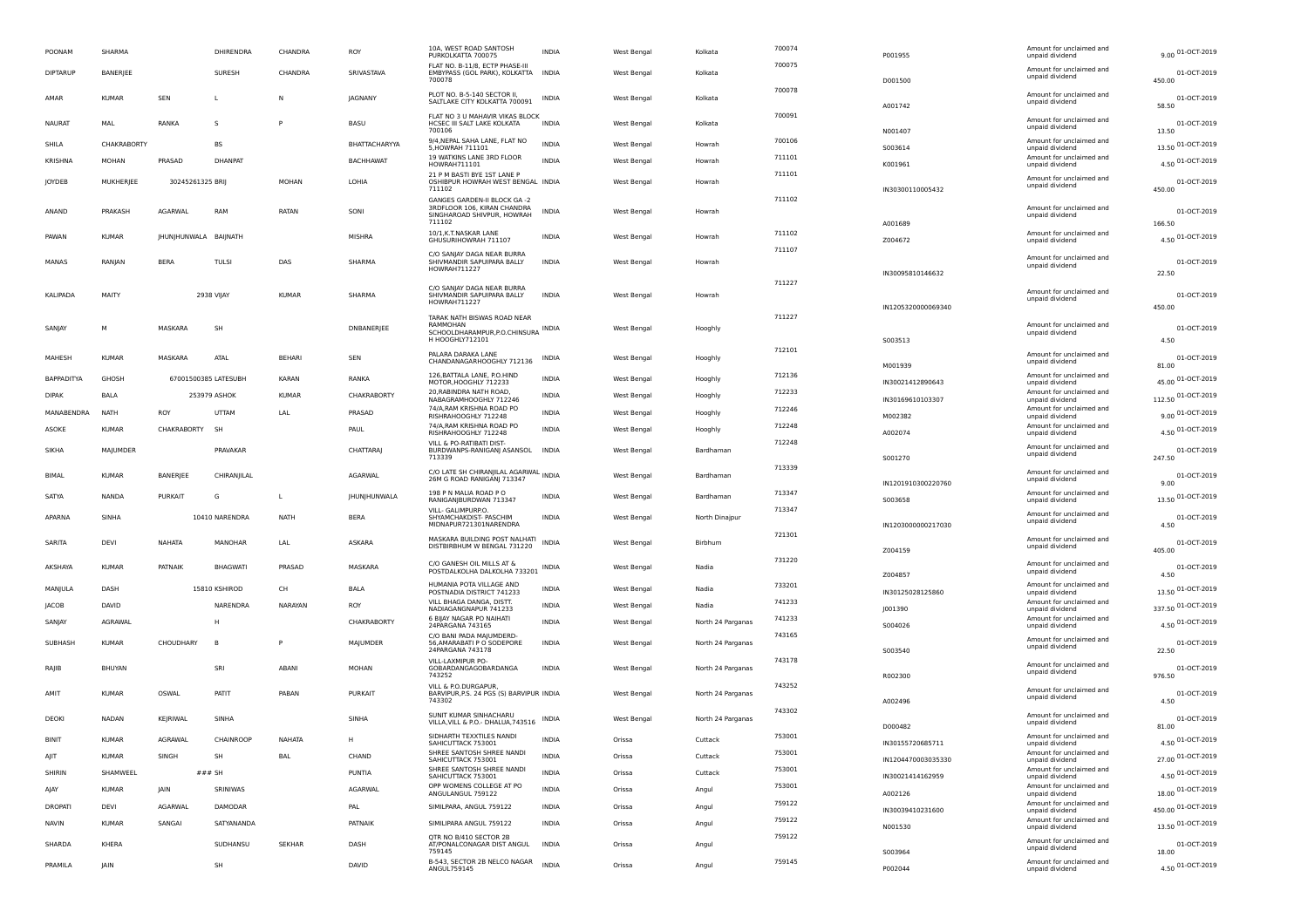| POONAM            | SHARMA       |                  | DHIRENDRA            | CHANDRA       | ROY              | 10A, WEST ROAD SANTOSH<br>PURKOLKATTA 700075                                                               | <b>INDIA</b> | West Bengal        | Kolkata           | 700074 | P001955            | Amount for unclaimed and<br>unpaid dividend | 9.00 01-OCT-2019      |
|-------------------|--------------|------------------|----------------------|---------------|------------------|------------------------------------------------------------------------------------------------------------|--------------|--------------------|-------------------|--------|--------------------|---------------------------------------------|-----------------------|
| <b>DIPTARUP</b>   | BANERJEE     |                  | SURESH               | CHANDRA       | SRIVASTAVA       | FLAT NO. B-11/8. ECTP PHASE-II<br>EMBYPASS (GOL PARK), KOLKATTA<br>700078                                  | <b>INDIA</b> | West Bengal        | Kolkata           | 700075 | D001500            | Amount for unclaimed and<br>unpaid dividend | 01-OCT-2019<br>450.00 |
| AMAR              | <b>KUMAR</b> | <b>SEN</b>       | L                    | N             | <b>IAGNANY</b>   | PLOT NO. B-5-140 SECTOR II<br>SALTLAKE CITY KOLKATTA 700091                                                | <b>INDIA</b> | West Bengal        | Kolkata           | 700078 | A001742            | Amount for unclaimed and<br>unpaid dividend | 01-OCT-2019<br>58.50  |
| <b>NAURAT</b>     | MAL          | RANKA            | s                    | P             | <b>BASU</b>      | FLAT NO 3 U MAHAVIR VIKAS BLOCK<br>HCSEC III SALT LAKE KOLKATA<br>700106                                   | <b>INDIA</b> | West Bengal        | Kolkata           | 700091 | N001407            | Amount for unclaimed and<br>unpaid dividend | 01-OCT-2019<br>13.50  |
| SHILA             | CHAKRABORTY  |                  | <b>BS</b>            |               | BHATTACHARYYA    | 9/4, NEPAL SAHA LANE, FLAT NO<br>5, HOWRAH 711101                                                          | <b>INDIA</b> | West Bengal        | Howrah            | 700106 | S003614            | Amount for unclaimed and<br>unpaid dividend | 13.50 01-OCT-2019     |
| <b>KRISHNA</b>    | <b>MOHAN</b> | PRASAD           | <b>DHANPAT</b>       |               | <b>BACHHAWAT</b> | 19 WATKINS LANE 3RD FLOOR<br>HOWRAH711101                                                                  | <b>INDIA</b> | West Bengal        | Howrah            | 711101 | K001961            | Amount for unclaimed and<br>unpaid dividend | 4.50 01-OCT-2019      |
| JOYDEB            | MUKHERIEE    | 30245261325 BRIJ |                      | MOHAN         | LOHIA            | 21 P M BASTI BYE 1ST LANE P<br>OSHIBPUR HOWRAH WEST BENGAL INDIA                                           |              | West Bengal        | Howrah            | 711101 |                    | Amount for unclaimed and                    | 01-OCT-2019           |
|                   |              |                  |                      |               |                  | 711102                                                                                                     |              |                    |                   |        | IN30300110005432   | unpaid dividend                             | 450.00                |
| ANAND             | PRAKASH      | <b>AGARWAL</b>   | RAM                  | RATAN         | SONI             | <b>GANGES GARDEN-II BLOCK GA -2</b><br>3RDFLOOR 106, KIRAN CHANDRA<br>SINGHAROAD SHIVPUR, HOWRAH<br>711102 | <b>INDIA</b> | West Bengal        | Howrah            | 711102 | A001689            | Amount for unclaimed and<br>unpaid dividend | 01-OCT-2019<br>166.50 |
| PAWAN             | KUMAR        | JHUNJHUNWALA     | BAIJNATH             |               | <b>MISHRA</b>    | 10/1, K.T. NASKAR LANE<br>GHUSURIHOWRAH 711107                                                             | INDIA        | West Bengal        | Howrah            | 711102 | Z004672            | Amount for unclaimed and<br>unpaid dividend | 4.50 01-OCT-2019      |
|                   |              |                  |                      |               |                  | C/O SANJAY DAGA NEAR BURRA                                                                                 |              |                    |                   | 711107 |                    |                                             |                       |
| MANAS             | RANJAN       | <b>BERA</b>      | <b>TULSI</b>         | DAS           | SHARMA           | SHIVMANDIR SAPUIPARA BALLY<br>HOWRAH711227                                                                 | <b>INDIA</b> | West Bengal        | Howrah            |        |                    | Amount for unclaimed and<br>unpaid dividend | 01-OCT-2019           |
|                   |              |                  |                      |               |                  | C/O SANJAY DAGA NEAR BURRA                                                                                 |              |                    |                   | 711227 | IN30095810146632   |                                             | 22.50                 |
| KALIPADA          | MAITY        |                  | 2938 VIJAY           | <b>KUMAR</b>  | SHARMA           | SHIVMANDIR SAPUIPARA BALLY<br>HOWRAH711227                                                                 | <b>INDIA</b> | West Bengal        | Howrah            |        |                    | Amount for unclaimed and<br>unpaid dividend | 01-OCT-2019           |
|                   |              |                  |                      |               |                  | TARAK NATH BISWAS ROAD NEAR                                                                                |              |                    |                   | 711227 | IN1205320000069340 |                                             | 450.00                |
| SANIAY            | м            | MASKARA          | SH                   |               | DNBANERJEE       | RAMMOHAN<br>SCHOOLDHARAMPUR, P.O. CHINSURA INDIA                                                           |              | West Bengal        | Hooghly           |        |                    | Amount for unclaimed and<br>unpaid dividend | 01-OCT-2019           |
|                   |              |                  |                      |               |                  | H HOOGHLY712101                                                                                            |              |                    |                   | 712101 | S003513            |                                             | 4.50                  |
| MAHESH            | <b>KUMAR</b> | MASKARA          | ATAL                 | <b>BEHARI</b> | <b>SEN</b>       | PALARA DARAKA LANE<br>CHANDANAGARHOOGHLY 712136                                                            | <b>INDIA</b> | West Bengal        | Hooghly           |        | M001939            | Amount for unclaimed and<br>unpaid dividend | 01-OCT-2019<br>81.00  |
| <b>BAPPADITYA</b> | GHOSH        |                  | 67001500385 LATESUBH | KARAN         | RANKA            | 126, BATTALA LANE, P.O.HIND<br>MOTOR, HOOGHLY 712233                                                       | <b>INDIA</b> | West Bengal        | Hooghly           | 712136 | IN30021412890643   | Amount for unclaimed and<br>unpaid dividend | 45.00 01-OCT-2019     |
| <b>DIPAK</b>      | BALA         |                  | 253979 ASHOK         | <b>KUMAR</b>  | CHAKRABORTY      | 20, RABINDRA NATH ROAD,<br>NABAGRAMHOOGHLY 712246                                                          | <b>INDIA</b> | West Bengal        | Hooghly           | 712233 | IN30169610103307   | Amount for unclaimed and<br>unpaid dividend | 112.50 01-OCT-2019    |
| MANABENDRA        | <b>NATH</b>  | ROY              | UTTAM                | LAL           | PRASAD           | 74/A.RAM KRISHNA ROAD PO<br>RISHRAHOOGHLY 712248                                                           | <b>INDIA</b> | West Bengal        | Hooghly           | 712246 | M002382            | Amount for unclaimed and<br>unpaid dividend | 9.00 01-OCT-2019      |
| ASOKE             | <b>KUMAR</b> | CHAKRABORTY      | -SF                  |               | PAUL             | 74/A, RAM KRISHNA ROAD PO                                                                                  | <b>INDIA</b> | <b>West Bengal</b> | Hooghly           | 712248 |                    | Amount for unclaimed and                    | 4.50 01-OCT-2019      |
|                   |              |                  |                      |               |                  | RISHRAHOOGHLY 712248<br>VILL & PO-RATIBATI DIST-                                                           |              |                    |                   | 712248 | A002074            | unpaid dividend<br>Amount for unclaimed and |                       |
| SIKHA             | MAJUMDER     |                  | PRAVAKAR             |               | CHATTARAJ        | BURDWANPS-RANIGANJ ASANSOL<br>713339                                                                       | <b>INDIA</b> | West Bengal        | Bardhaman         |        | S001270            | unpaid dividend                             | 01-OCT-2019<br>247.50 |
| BIMAL             | <b>KUMAR</b> | BANERJEE         | CHIRANJILAL          |               | AGARWAL          | C/O LATE SH CHIRANJILAL AGARWAL INDIA<br>26M G ROAD RANIGANJ 713347                                        |              | West Bengal        | Bardhaman         | 713339 |                    | Amount for unclaimed and<br>unpaid dividend | 01-OCT-2019           |
|                   |              |                  |                      |               |                  | 198 P N MALIA ROAD P O                                                                                     |              |                    |                   | 713347 | IN1201910300220760 | Amount for unclaimed and                    | 9.00                  |
| SATYA             | NANDA        | <b>PURKAIT</b>   | G                    | L             | JHUNJHUNWALA     | RANIGANJBURDWAN 713347<br>VILL- GALIMPURP.O.                                                               | INDIA        | West Bengal        | Bardhaman         | 713347 | S003658            | unpaid dividend                             | 13.50 01-OCT-2019     |
| APARNA            | SINHA        |                  | 10410 NARENDRA       | <b>NATH</b>   | <b>BERA</b>      | SHYAMCHAKDIST- PASCHIM<br>MIDNAPUR721301NARENDRA                                                           | <b>INDIA</b> | West Bengal        | North Dinajpur    | 721301 | IN1203000000217030 | Amount for unclaimed and<br>unpaid dividend | 01-OCT-2019<br>4.50   |
| SARITA            | DEVI         | NAHATA           | MANOHAR              | LAL           | ASKARA           | MASKARA BUILDING POST NALHATI<br>DISTBIRBHUM W BENGAL 731220                                               | <b>INDIA</b> | West Bengal        | Birbhum           |        | Z004159            | Amount for unclaimed and<br>unpaid dividend | 01-OCT-2019<br>405.00 |
| AKSHAYA           | <b>KUMAR</b> | PATNAIK          | <b>BHAGWATI</b>      | PRASAD        | MASKARA          | C/O GANESH OIL MILLS AT &                                                                                  | <b>INDIA</b> | West Bengal        | Nadia             | 731220 |                    | Amount for unclaimed and                    | 01-OCT-2019           |
|                   |              |                  |                      |               |                  | POSTDALKOLHA DALKOLHA 733201                                                                               |              |                    |                   |        | Z004857            | unpaid dividend                             | 4.50                  |
| MANJULA           | DASH         |                  | 15810 KSHIROD        | CH            | <b>BALA</b>      | HUMANIA POTA VILLAGE AND<br>POSTNADIA DISTRICT 741233                                                      | <b>INDIA</b> | West Bengal        | Nadia             | 733201 | IN30125028125860   | Amount for unclaimed and<br>unpaid dividend | 13.50 01-OCT-2019     |
| <b>JACOB</b>      | DAVID        |                  | NARENDRA             | NARAYAN       | ROY              | VILL BHAGA DANGA, DISTT.<br>NADIAGANGNAPUR 741233                                                          | <b>INDIA</b> | West Bengal        | Nadia             | 741233 | J001390            | Amount for unclaimed and<br>unpaid dividend | 337.50 01-OCT-2019    |
| SANIAY            | AGRAWAI      |                  | Н                    |               | CHAKRABORTY      | 6 BIJAY NAGAR PO NAIHATI<br>24PARGANA 743165                                                               | <b>INDIA</b> | <b>West Bengal</b> | North 24 Parganas | 741233 | S004026            | Amount for unclaimed and<br>unpaid dividend | 4.50 01-OCT-2019      |
| SUBHASH           | <b>KUMAR</b> | CHOUDHARY        | B <sub>1</sub>       | P             | MAJUMDER         | C/O BANI PADA MAJUMDERD-<br>56, AMARABATI P O SODEPORE<br>24PARGANA 743178                                 | <b>INDIA</b> | West Bengal        | North 24 Parganas | 743165 | S003540            | Amount for unclaimed and<br>unpaid dividend | 01-OCT-2019<br>22.50  |
| RAIIB             | BHUYAN       |                  | SRI                  | ABANI         | MOHAN            | VILL-LAXMIPUR PO-<br>GOBARDANGAGOBARDANGA<br>743252                                                        | <b>INDIA</b> | West Bengal        | North 24 Parganas | 743178 | R002300            | Amount for unclaimed and<br>unpaid dividend | 01-OCT-2019<br>976.50 |
| AMIT              | <b>KUMAR</b> | OSWAL            | PATIT                | PABAN         | PURKAIT          | VILL & P.O.DURGAPUR<br>BARVIPUR, P.S. 24 PGS (S) BARVIPUR INDIA<br>743302                                  |              | West Bengal        | North 24 Parganas | 743252 | A002496            | Amount for unclaimed and<br>unpaid dividend | 01-OCT-2019<br>4.50   |
| DEOKI             | NADAN        | KEJRIWAL         | SINHA                |               | SINHA            | SUNIT KUMAR SINHACHARU<br>VILLA, VILL & P.O. - DHALUA, 743516                                              | INDIA        | <b>West Bengal</b> | North 24 Parganas | 743302 | D000482            | Amount for unclaimed and<br>unpaid dividend | 01-OCT-2019<br>81.00  |
| <b>BINIT</b>      | <b>KIMAD</b> | AGRAWAL          | CHAINDOOD            | <b>NAHATA</b> | н                | SIDHARTH TEXXTILES NANDI<br>SAHICUTTACK 753001                                                             | <b>INDIA</b> | Orissa             | Cuttack           | 753001 | IN30155720685711   | Amount for unclaimed and<br>unpaid dividend | 01-OCT-2019<br>4.50   |
| AJIT              | <b>KUMAR</b> | SINGH            | SH                   | BAL           | CHAND            | SHREE SANTOSH SHREE NANDI<br>SAHICUTTACK 753001                                                            | <b>INDIA</b> | Orissa             | Cuttack           | 753001 | IN1204470003035330 | Amount for unclaimed and<br>unpaid dividend | 27.00 01-OCT-2019     |
| SHIRIN            | SHAMWEEL     |                  | $###$ SH             |               | PUNTIA           | SHREE SANTOSH SHREE NANDI<br>SAHICUTTACK 753001                                                            | <b>INDIA</b> | Orissa             | Cuttack           | 753001 | IN30021414162959   | Amount for unclaimed and<br>unpaid dividend | 4.50 01-OCT-2019      |
| AJAY              | <b>KUMAR</b> | JAIN             | SRINIWAS             |               | <b>AGARWAL</b>   | OPP WOMENS COLLEGE AT PO                                                                                   | <b>INDIA</b> | Orissa             | Angul             | 753001 |                    | Amount for unclaimed and                    | 18.00 01-OCT-2019     |
| <b>DROPATI</b>    | DEVI         | AGARWAL          | DAMODAR              |               | PAL              | ANGULANGUL 759122<br>SIMILPARA, ANGUL 759122                                                               | INDIA        | Orissa             | Angul             | 759122 | A002126            | unpaid dividend<br>Amount for unclaimed and | 450.00 01-OCT-2019    |
| <b>NAVIN</b>      | KUMAR        | SANGAI           | SATYANANDA           |               | PATNAIK          | SIMILIPARA ANGUL 759122                                                                                    | INDIA        | Orissa             | Angul             | 759122 | IN30039410231600   | unpaid dividend<br>Amount for unclaimed and | 13.50 01-OCT-2019     |
|                   |              |                  |                      |               |                  | QTR NO B/410 SECTOR 2B                                                                                     |              |                    |                   | 759122 | N001530            | unpaid dividend<br>Amount for unclaimed and |                       |
| SHARDA            | KHERA        |                  | SUDHANSU             | SEKHAR        | DASH             | AT/PONALCONAGAR DIST ANGUL<br>759145                                                                       | <b>INDIA</b> | Orissa             | Angul             |        | S003964            | unpaid dividend                             | 01-OCT-2019<br>18.00  |
| PRAMILA           | JAIN         |                  | SH                   |               | DAVID            | B-543, SECTOR 2B NELCO NAGAR<br>ANGUL759145                                                                | <b>INDIA</b> | Orissa             | Angul             | 759145 | P002044            | Amount for unclaimed and<br>unpaid dividend | 4.50 01-OCT-2019      |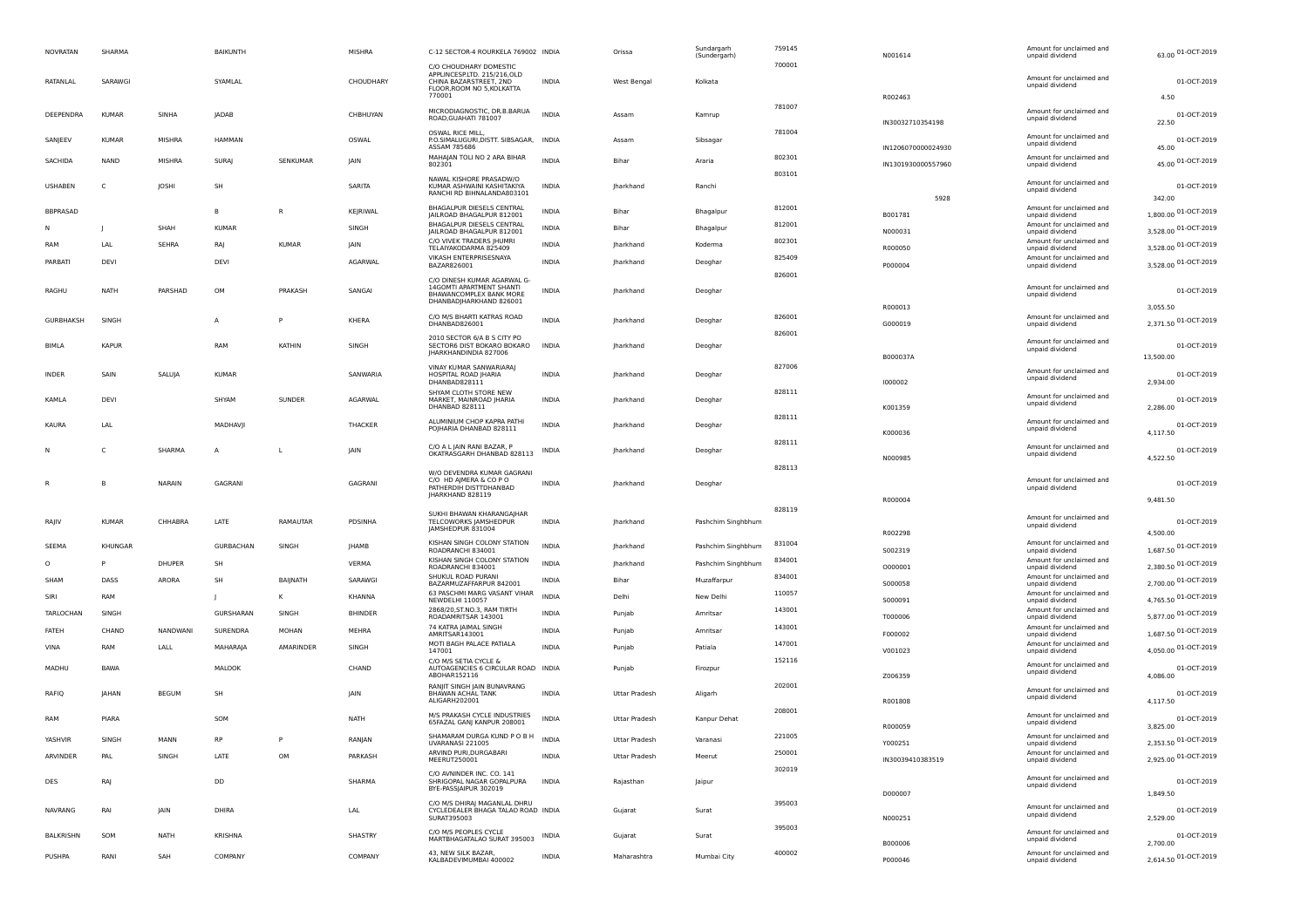| <b>NOVRATAN</b> | SHARMA       |              | BAIKUNTH     |               | <b>MISHRA</b>  | C-12 SECTOR-4 ROURKELA 769002 INDIA                                                                                  |              | Orissa           | Sundargarh<br>(Sundergarh) | 759145 | N001614            | Amount for unclaimed and<br>unpaid dividend | 63.00 01-OCT-2019                |
|-----------------|--------------|--------------|--------------|---------------|----------------|----------------------------------------------------------------------------------------------------------------------|--------------|------------------|----------------------------|--------|--------------------|---------------------------------------------|----------------------------------|
|                 |              |              |              |               |                | C/O CHOUDHARY DOMESTIC<br>APPLINCESP.LTD. 215/216,OLD                                                                |              |                  |                            | 700001 |                    |                                             |                                  |
| RATANLAL        | SARAWGI      |              | SYAMLAL      |               | CHOUDHARY      | CHINA BAZARSTREET, 2ND<br>FLOOR, ROOM NO 5, KOLKATTA                                                                 | <b>INDIA</b> | West Bengal      | Kolkata                    |        |                    | Amount for unclaimed and<br>unpaid dividend | 01-OCT-2019                      |
|                 |              |              |              |               |                | 770001                                                                                                               |              |                  |                            | 781007 | R002463            |                                             | 4.50                             |
| DEEPENDRA       | <b>KUMAR</b> | SINHA        | <b>JADAB</b> |               | CHBHUYAN       | MICRODIAGNOSTIC, DR.B.BARUA<br>ROAD, GUAHATI 781007                                                                  | <b>INDIA</b> | Assam            | Kamrup                     |        | IN30032710354198   | Amount for unclaimed and<br>unpaid dividend | 01-OCT-2019<br>22.50             |
| SANJEEV         | <b>KUMAR</b> | MISHRA       | HAMMAN       |               | OSWAL          | <b>OSWAL RICE MILL,</b><br>P.O.SIMALUGURI, DISTT. SIBSAGAR, INDIA                                                    |              | Assam            | Sibsagar                   | 781004 |                    | Amount for unclaimed and                    | 01-OCT-2019                      |
|                 |              |              |              |               |                | ASSAM 785686<br>MAHAJAN TOLI NO 2 ARA BIHAR                                                                          |              |                  |                            | 802301 | IN1206070000024930 | unpaid dividend<br>Amount for unclaimed and | 45.00                            |
| SACHIDA         | <b>NAND</b>  | MISHRA       | SURAJ        | SENKUMAR      | <b>JAIN</b>    | 802301                                                                                                               | <b>INDIA</b> | Bihar            | Araria                     | 803101 | IN1301930000557960 | unpaid dividend                             | 45.00 01-OCT-2019                |
| <b>USHABEN</b>  | C            | JOSHI        | <b>SH</b>    |               | SARITA         | NAWAL KISHORE PRASADW/O<br>KUMAR ASHWAINI KASHITAKIYA<br>RANCHI RD BIHNALANDA803101                                  | <b>INDIA</b> | Jharkhand        | Ranchi                     |        | 5928               | Amount for unclaimed and<br>unpaid dividend | 01-OCT-2019<br>342.00            |
| BBPRASAD        |              |              | в            | $\mathsf{R}$  | KEJRIWAL       | BHAGALPUR DIESELS CENTRAL<br>JAILROAD BHAGALPUR 812001                                                               | <b>INDIA</b> | Bihar            | Bhagalpur                  | 812001 | B001781            | Amount for unclaimed and<br>unpaid dividend | 1,800.00 01-OCT-2019             |
|                 |              | SHAH         | <b>KUMAR</b> |               | SINGH          | BHAGALPUR DIESELS CENTRAL<br>JAILROAD BHAGALPUR 812001                                                               | <b>INDIA</b> | Bihar            | Bhagalpur                  | 812001 | N000031            | Amount for unclaimed and<br>unpaid dividend | 3,528.00 01-OCT-2019             |
| RAM             | LAL          | SEHRA        | RAJ          | <b>KUMAR</b>  | JAIN           | C/O VIVEK TRADERS JHUMRI                                                                                             | <b>INDIA</b> | lharkhand        | Koderma                    | 802301 |                    | Amount for unclaimed and                    | 3,528.00 01-OCT-2019             |
| PARBATI         | DEVI         |              | DEVI         |               | AGARWAL        | TELAIYAKODARMA 825409<br>VIKASH ENTERPRISESNAYA                                                                      | <b>INDIA</b> | <b>Jharkhand</b> | Deoghar                    | 825409 | R000050            | unpaid dividend<br>Amount for unclaimed and |                                  |
|                 |              |              |              |               |                | BAZAR826001                                                                                                          |              |                  |                            | 826001 | P000004            | unpaid dividend                             | 3,528.00 01-OCT-2019             |
| RAGHU           | <b>NATH</b>  | PARSHAD      | OM           | PRAKASH       | SANGAI         | C/O DINESH KUMAR AGARWAL G-<br>14GOMTI APARTMENT SHANTI<br><b>BHAWANCOMPLEX BANK MORE</b><br>DHANBADJHARKHAND 826001 | <b>INDIA</b> | Jharkhand        | Deoghar                    |        |                    | Amount for unclaimed and<br>unpaid dividend | 01-OCT-2019                      |
|                 |              |              |              |               |                | C/O M/S BHARTI KATRAS ROAD                                                                                           |              |                  |                            | 826001 | R000013            | Amount for unclaimed and                    | 3,055.50                         |
| GURBHAKSH       | SINGH        |              | А            |               | KHERA          | DHANBAD826001                                                                                                        | <b>INDIA</b> | Jharkhand        | Deoghar                    | 826001 | G000019            | unpaid dividend                             | 2,371.50 01-OCT-2019             |
| BIMLA           | <b>KAPUR</b> |              | RAM          | <b>KATHIN</b> | SINGH          | 2010 SECTOR 6/A B S CITY PO<br>SECTOR6 DIST BOKARO BOKARO                                                            | <b>INDIA</b> | lharkhand        | Deoghar                    |        |                    | Amount for unclaimed and                    | 01-OCT-2019                      |
|                 |              |              |              |               |                | <b>IHARKHANDINDIA 827006</b>                                                                                         |              |                  |                            |        | B000037A           | unpaid dividend                             | 13,500.00                        |
| <b>INDER</b>    | SAIN         | SALUJA       | <b>KUMAR</b> |               | SANWARIA       | VINAY KUMAR SANWARIARAJ<br>HOSPITAL ROAD JHARIA                                                                      | <b>INDIA</b> | Jharkhand        | Deoghar                    | 827006 |                    | Amount for unclaimed and<br>unpaid dividend | 01-OCT-2019                      |
|                 |              |              |              |               |                | DHANBAD828111<br>SHYAM CLOTH STORE NEW                                                                               |              |                  |                            | 828111 | 1000002            |                                             | 2,934.00                         |
| KAMLA           | DEVI         |              | SHYAM        | SUNDER        | AGARWAL        | MARKET, MAINROAD JHARIA<br>DHANBAD 828111                                                                            | INDIA        | Jharkhand        | Deoghar                    |        | K001359            | Amount for unclaimed and<br>unpaid dividend | 01-OCT-2019<br>2,286.00          |
| KAURA           | LAL          |              | MADHAVJI     |               | THACKER        | ALUMINIUM CHOP KAPRA PATHI                                                                                           | <b>INDIA</b> | Jharkhand        |                            | 828111 |                    | Amount for unclaimed and                    | 01-OCT-2019                      |
|                 |              |              |              |               |                | POJHARIA DHANBAD 828111                                                                                              |              |                  | Deoghar                    |        | K000036            | unpaid dividend                             | 4,117.50                         |
|                 | C            | SHARMA       | $\mathsf{A}$ | <b>L</b>      | JAIN           | C/O A L JAIN RANI BAZAR, P<br>OKATRASGARH DHANBAD 828113                                                             | INDIA        | <b>Jharkhand</b> | Deoghar                    | 828111 |                    | Amount for unclaimed and<br>unpaid dividend | 01-OCT-2019                      |
|                 |              |              |              |               |                |                                                                                                                      |              |                  |                            | 828113 | N000985            |                                             | 4,522.50                         |
|                 | В            | NARAIN       | GAGRANI      |               | GAGRANI        | W/O DEVENDRA KUMAR GAGRANI<br>C/O HD AIMERA & CO PO                                                                  | <b>INDIA</b> | Jharkhand        | Deoghar                    |        |                    | Amount for unclaimed and                    | 01-OCT-2019                      |
|                 |              |              |              |               |                | PATHERDIH DISTTDHANBAD<br>JHARKHAND 828119                                                                           |              |                  |                            |        | R000004            | unpaid dividend                             | 9,481.50                         |
|                 |              |              |              |               |                | SUKHI BHAWAN KHARANGAJHAR                                                                                            |              |                  |                            | 828119 |                    |                                             |                                  |
| RAJIV           | <b>KUMAR</b> | CHHABRA      | LATE         | RAMAUTAR      | PDSINHA        | TELCOWORKS JAMSHEDPUR<br>JAMSHEDPUR 831004                                                                           | INDIA        | Jharkhand        | Pashchim Singhbhum         |        | R002298            | Amount for unclaimed and<br>unpaid dividend | 01-OCT-2019<br>4,500.00          |
| SEEMA           | KHUNGAR      |              | GURBACHAN    | SINGH         | <b>JHAMB</b>   | KISHAN SINGH COLONY STATION                                                                                          | <b>INDIA</b> | Jharkhand        | Pashchim Singhbhum         | 831004 |                    | Amount for unclaimed and                    | 1,687.50 01-OCT-2019             |
| $\circ$         | P            | DHUPER       | <b>SH</b>    |               | VERMA          | ROADRANCHI 834001<br>KISHAN SINGH COLONY STATION                                                                     | INDIA        | Jharkhand        | Pashchim Singhbhum         | 834001 | 5002319            | unpaid dividend<br>Amount for unclaimed and |                                  |
|                 |              |              |              |               |                | ROADRANCHI 834001<br>SHUKUL ROAD PURANI                                                                              |              |                  |                            | 834001 | 0000001            | unpaid dividend<br>Amount for unclaimed and | 2,380.50 01-OCT-2019             |
| SHAM            | DASS         | ARORA        | SH           | BAIJNATH      | SARAWGI        | BAZARMUZAFFARPUR 842001<br>63 PASCHMI MARG VASANT VIHAR                                                              | <b>INDIA</b> | Bihar            | Muzaffarpur                | 110057 | S000058            | unpaid dividend<br>Amount for unclaimed and | 2,700.00 01-OCT-2019             |
| SIRI            | RAM          |              |              | K             | <b>KHANNA</b>  | NEWDELHI 110057                                                                                                      | <b>INDIA</b> | Delhi            | New Delhi                  |        | S000091            | unpaid dividend                             | 4,765.50 01-OCT-2019             |
| TARLOCHAN       | SINGH        |              | GURSHARAN    | SINGH         | <b>BHINDER</b> | 2868/20, ST.NO.3, RAM TIRTH<br>ROADAMRITSAR 143001                                                                   | INDIA        | Punjab           | Amritsar                   | 143001 | T000006            | Amount for unclaimed and<br>unpaid dividend | 5,877.00 01-OCT-2019             |
| FATEH           | CHAND        | NANDWANI     | SURENDRA     | MOHAN         | MEHRA          | 74 KATRA JAIMAL SINGH<br>AMRITSAR143001                                                                              | INDIA        | Punjab           | Amritsar                   | 143001 | F000002            | Amount for unclaimed and<br>unpaid dividend | 1,687.50 01-OCT-2019             |
| <b>VINA</b>     | RAM          | LALL         | MAHARAJA     | AMARINDER     | SINGH          | MOTI BAGH PALACE PATIALA<br>147001                                                                                   | <b>INDIA</b> | Punjab           | Patiala                    | 147001 | V001023            | Amount for unclaimed and<br>unpaid dividend | 4,050.00 01-OCT-2019             |
| MADHU           | BAWA         |              | MALOOK       |               | CHAND          | C/O M/S SETIA CYCLE &<br>AUTOAGENCIES 6 CIRCULAR ROAD INDIA                                                          |              | Punjab           | Firozpur                   | 152116 |                    | Amount for unclaimed and                    | 01-OCT-2019                      |
|                 |              |              |              |               |                | ABOHAR152116<br>RANJIT SINGH JAIN BUNAVRANG                                                                          |              |                  |                            | 202001 | Z006359            | unpaid dividend                             | 4,086.00                         |
| RAFIQ           | JAHAN        | <b>BEGUM</b> | SH           |               | JAIN           | BHAWAN ACHAL TANK<br>ALIGARH202001                                                                                   | <b>INDIA</b> | Uttar Pradesh    | Aligarh                    |        | R001808            | Amount for unclaimed and<br>unpaid dividend | 01-OCT-2019<br>4,117.50          |
| RAM             | PIARA        |              | SOM          |               | NATH           | M/S PRAKASH CYCLE INDUSTRIES                                                                                         | <b>INDIA</b> |                  |                            | 208001 |                    | Amount for unclaimed and                    | 01-OCT-2019                      |
|                 |              |              |              |               |                | 65FAZAL GAN  KANPUR 208001                                                                                           |              | Uttar Pradesh    | Kanpur Dehat               |        | R000059            | unpaid dividend                             | 3,825.00                         |
| YASHVIR         | SINGH        | MANN         | <b>RP</b>    | P             | RANJAN         | SHAMARAM DURGA KUND POBH<br>UVARANASI 221005                                                                         | INDIA        | Uttar Pradesh    | Varanasi                   | 221005 | Y000251            | Amount for unclaimed and<br>unpaid dividend | 2,353.50 01-OCT-2019             |
| ARVINDER        | PAL          | SINGH        | LATE         | OM            | PARKASH        | ARVIND PURI, DURGABARI<br>MEERUT250001                                                                               | <b>INDIA</b> | Uttar Pradesh    | Meerut                     | 250001 | IN30039410383519   | Amount for unclaimed and<br>unpaid dividend | 2,925.00 01-OCT-2019             |
|                 |              |              |              |               |                | C/O AVNINDER INC. CO. 141                                                                                            |              |                  |                            | 302019 |                    | Amount for unclaimed and                    |                                  |
| DES             | RAJ          |              | DD           |               | SHARMA         | SHRIGOPAL NAGAR GOPALPURA<br>BYE-PASSJAIPUR 302019                                                                   | <b>INDIA</b> | Rajasthan        | Jaipur                     |        | D000007            | unpaid dividend                             | 01-OCT-2019<br>1,849.50          |
| <b>NAVRANG</b>  | RAI          | JAIN         | DHIRA        |               | LAL            | C/O M/S DHIRAJ MAGANLAL DHRU<br>CYCLEDEALER BHAGA TALAO ROAD INDIA                                                   |              | Gujarat          | Surat                      | 395003 |                    | Amount for unclaimed and                    | 01-OCT-2019                      |
|                 |              |              |              |               |                | SURAT395003                                                                                                          |              |                  |                            |        | N000251            | unpaid dividend                             | 2,529.00                         |
| BALKRISHN       | SOM          | NATH         | KRISHNA      |               | SHASTRY        | C/O M/S PEOPLES CYCLE<br>MARTBHAGATALAO SURAT 395003                                                                 | INDIA        | Gujarat          | Surat                      | 395003 |                    | Amount for unclaimed and<br>unpaid dividend | 01-OCT-2019                      |
| PUSHPA          | RANI         | SAH          | COMPANY      |               | COMPANY        | 43. NEW SILK BAZAR.                                                                                                  | INDIA        | Maharashtra      | Mumbai City                | 400002 | B000006            | Amount for unclaimed and                    | 2,700.00<br>2,614.50 01-OCT-2019 |
|                 |              |              |              |               |                | KALBADEVIMUMBAI 400002                                                                                               |              |                  |                            |        | P000046            | unpaid dividend                             |                                  |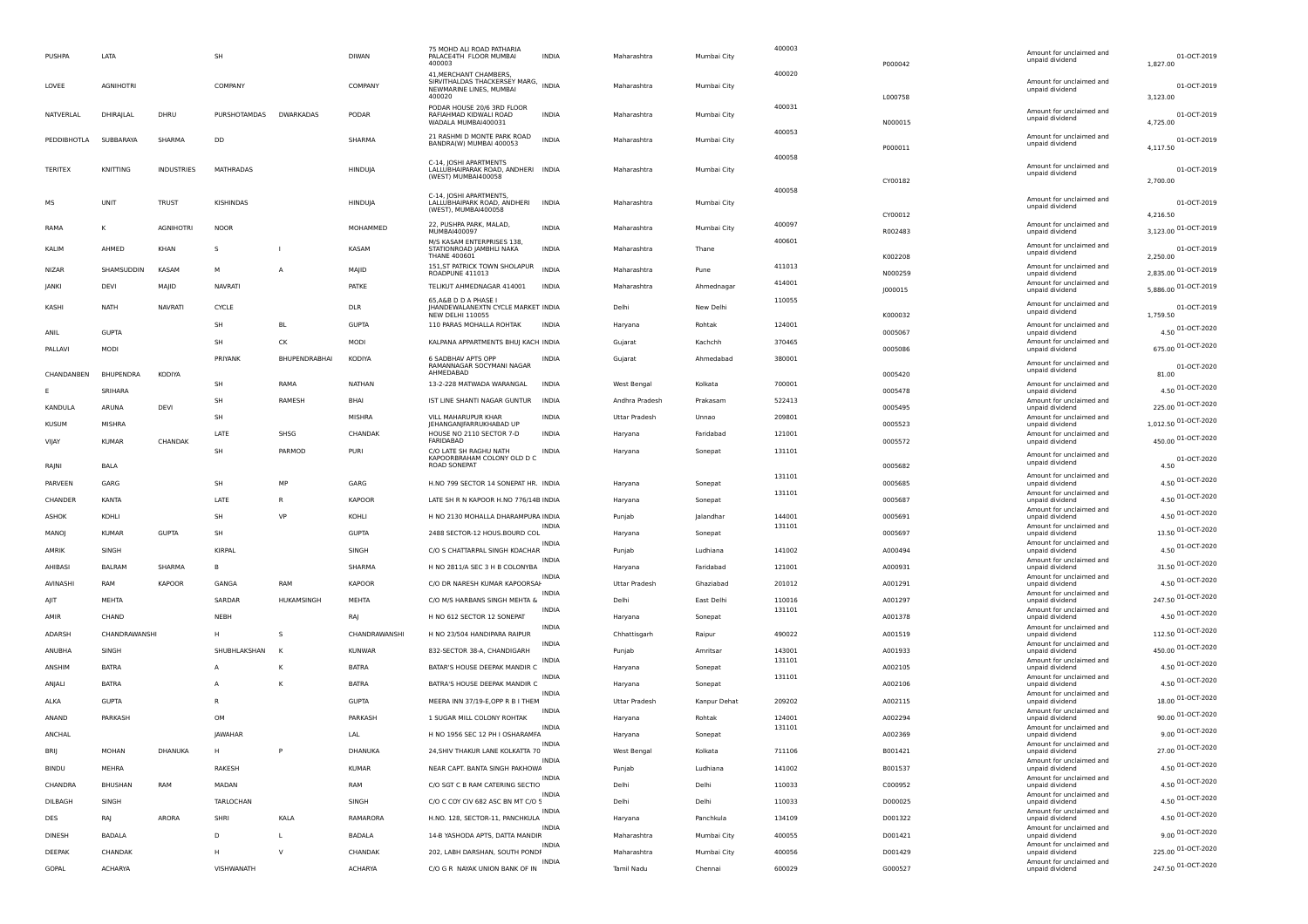| PUSHPA          | LATA             |                   | SH             |                | <b>DIWAN</b>   | 75 MOHD ALI ROAD PATHARIA<br>PALACE4TH FLOOR MUMBAI<br>400003                                     | <b>INDIA</b> | Maharashtra                   | Mumbai City  | 400003 | P000042            | Amount for unclaimed and<br>unpaid dividend | 01-OCT-2019<br>1,827.00          |
|-----------------|------------------|-------------------|----------------|----------------|----------------|---------------------------------------------------------------------------------------------------|--------------|-------------------------------|--------------|--------|--------------------|---------------------------------------------|----------------------------------|
| LOVEE           | <b>AGNIHOTRI</b> |                   | COMPANY        |                | COMPANY        | 41. MERCHANT CHAMBERS<br>SIRVITHALDAS THACKERSEY MARG, INDIA<br>NEWMARINE LINES, MUMBAI<br>400020 |              | Maharashtra                   | Mumbai City  | 400020 | L000758            | Amount for unclaimed and<br>unpaid dividend | 01-OCT-2019<br>3,123.00          |
| NATVERLAL       | DHIRAJLAL        | DHRU              | PURSHOTAMDAS   | DWARKADAS      | PODAR          | PODAR HOUSE 20/6 3RD FLOOR<br>RAFIAHMAD KIDWALI ROAD<br>WADALA MUMBAI400031                       | <b>INDIA</b> | Maharashtra                   | Mumbai City  | 400031 | N000015            | Amount for unclaimed and<br>unpaid dividend | 01-OCT-2019<br>4,725.00          |
| PEDDIBHOTLA     | <b>SUBBARAYA</b> | SHARMA            | DD             |                | SHARMA         | 21 RASHMI D MONTE PARK ROAD<br>BANDRA(W) MUMBAI 400053                                            | <b>INDIA</b> | Maharashtra                   | Mumbai City  | 400053 | P000011            | Amount for unclaimed and<br>unpaid dividend | 01-OCT-2019<br>4,117.50          |
| <b>TERITEX</b>  | KNITTING         | <b>INDUSTRIES</b> | MATHRADAS      |                | HINDUJA        | C-14, JOSHI APARTMENTS<br>LALLUBHAIPARAK ROAD, ANDHERI INDIA<br>(WEST) MUMBAI400058               |              | Maharashtra                   | Mumbai City  | 400058 | CY00182            | Amount for unclaimed and<br>unpaid dividend | 01-OCT-2019<br>2,700.00          |
| мs              | <b>UNIT</b>      | <b>TRUST</b>      | KISHINDAS      |                | HINDUJA        | C-14, JOSHI APARTMENTS,<br>LALLUBHAIPARK ROAD, ANDHERI<br>(WEST), MUMBAI400058                    | <b>INDIA</b> | Maharashtra                   | Mumbai City  | 400058 |                    | Amount for unclaimed and<br>unpaid dividend | 01-OCT-2019                      |
| RAMA            |                  | <b>AGNIHOTRI</b>  | <b>NOOR</b>    |                | MOHAMMED       | 22, PUSHPA PARK, MALAD,<br>MUMBAI400097                                                           | <b>INDIA</b> | Maharashtra                   | Mumbai City  | 400097 | CY00012<br>R002483 | Amount for unclaimed and<br>unpaid dividend | 4,216.50<br>3,123.00 01-OCT-2019 |
| KALIM           | AHMED            | KHAN              | s              |                | KASAM          | M/S KASAM ENTERPRISES 138,<br>STATIONROAD JAMBHLI NAKA<br><b>THANE 400601</b>                     | <b>INDIA</b> | Maharashtra                   | Thane        | 400601 |                    | Amount for unclaimed and<br>unpaid dividend | 01-OCT-2019<br>2,250.00          |
| <b>NIZAR</b>    | SHAMSUDDIN       | KASAM             | M              | $\overline{A}$ | MAJID          | 151, ST PATRICK TOWN SHOLAPUR<br>ROADPUNE 411013                                                  | <b>INDIA</b> | Maharashtra                   | Pune         | 411013 | K002208<br>N000259 | Amount for unclaimed and<br>unpaid dividend | 2,835.00 01-OCT-2019             |
| <b>JANKI</b>    | DEVI             | MAJID             | <b>NAVRATI</b> |                | PATKE          | TELIKUT AHMEDNAGAR 414001                                                                         | <b>INDIA</b> | Maharashtra                   | Ahmednagar   | 414001 | J000015            | Amount for unclaimed and<br>unpaid dividend | 5,886.00 01-OCT-2019             |
| KASHI           | NATH             | <b>NAVRAT</b>     | <b>CYCLE</b>   |                | <b>DLR</b>     | 65, A&B D D A PHASE I<br>JHANDEWALANEXTN CYCLE MARKET INDIA                                       |              | Delhi                         | New Delhi    | 110055 |                    | Amount for unclaimed and<br>unpaid dividend | 01-OCT-2019                      |
|                 |                  |                   | SH             | BL             | <b>GUPTA</b>   | <b>NEW DELHI 110055</b><br>110 PARAS MOHALLA ROHTAK                                               | <b>INDIA</b> | Haryana                       | Rohtak       | 124001 | K000032            | Amount for unclaimed and                    | 1,759.50<br>4.50 01-OCT-2020     |
| ANIL<br>PALLAVI | <b>GUPTA</b>     |                   | SH             | CK             | MODI           | KALPANA APPARTMENTS BHUJ KACH INDIA                                                               |              | Gujarat                       | Kachchh      | 370465 | 0005067<br>0005086 | unpaid dividend<br>Amount for unclaimed and | 675.00 01-OCT-2020               |
|                 | MODI             |                   | PRIYANK        | BHUPENDRABHAI  | KODIYA         | 6 SADBHAV APTS OPP<br>RAMANNAGAR SOCYMANI NAGAR                                                   | INDIA        | Gujarat                       | Ahmedabad    | 380001 |                    | unpaid dividend<br>Amount for unclaimed and | 01-OCT-2020                      |
| CHANDANBEN      | BHUPENDRA        | KODIYA            | SH             | RAMA           | <b>NATHAN</b>  | AHMEDABAD<br>13-2-228 MATWADA WARANGAL                                                            | <b>INDIA</b> |                               | Kolkata      | 700001 | 0005420            | unpaid dividend<br>Amount for unclaimed and | 81.00                            |
|                 | SRIHARA          |                   | SH             | RAMESH         | BHAI           | IST LINE SHANTI NAGAR GUNTUR                                                                      | <b>INDIA</b> | West Bengal<br>Andhra Pradesh | Prakasam     | 522413 | 0005478            | unpaid dividend<br>Amount for unclaimed and | 4.50 01-OCT-2020                 |
| KANDULA         | ARUNA            | <b>DEVI</b>       | SH             |                | <b>MISHRA</b>  | VII I MAHARUPUR KHAR                                                                              | <b>INDIA</b> | Uttar Pradesh                 | Unnao        | 209801 | 0005495            | unpaid dividend<br>Amount for unclaimed and | 225.00 01-OCT-2020               |
| <b>KUSUM</b>    | <b>MISHRA</b>    |                   | LATE           | SHSG           | CHANDAK        | IEHANGANIFARRUKHABAD UF<br>HOUSE NO 2110 SECTOR 7-D                                               | <b>INDIA</b> | Haryana                       | Faridabad    | 121001 | 0005523            | unpaid dividend<br>Amount for unclaimed and | 1,012.50 01-OCT-2020             |
| VIJAY           | <b>KUMAR</b>     | CHANDAK           | SH             | PARMOD         | <b>PURI</b>    | FARIDABAD<br>C/O LATE SH RAGHU NATH                                                               | INDIA        | Haryana                       | Sonepat      | 131101 | 0005572            | unpaid dividend                             | 450.00 01-OCT-2020               |
| RAJNI           | BALA             |                   |                |                |                | KAPOORBRAHAM COLONY OLD D C<br>ROAD SONEPAT                                                       |              |                               |              |        | 0005682            | Amount for unclaimed and<br>unpaid dividend | 01-OCT-2020<br>4.50              |
| PARVEEN         | GARG             |                   | SH             | MP             | GARG           | H.NO 799 SECTOR 14 SONEPAT HR. INDIA                                                              |              | Haryana                       | Sonepat      | 131101 | 0005685            | Amount for unclaimed and<br>unpaid dividend | 4.50 01-OCT-2020                 |
| CHANDER         | <b>KANTA</b>     |                   | LATE           | R              | <b>KAPOOR</b>  | LATE SH R N KAPOOR H.NO 776/14B INDIA                                                             |              | Haryana                       | Sonepat      | 131101 | 0005687            | Amount for unclaimed and<br>unpaid dividend | 4.50 01-OCT-2020                 |
| ASHOK           | KOHLI            |                   | SH             | VP             | KOHLI          | H NO 2130 MOHALLA DHARAMPURA INDIA                                                                |              | Punjab                        | lalandhar    | 144001 | 0005691            | Amount for unclaimed and<br>unpaid dividend | 4.50 01-OCT-2020                 |
| MANOJ           | <b>KUMAR</b>     | <b>GUPTA</b>      | SH             |                | <b>GUPTA</b>   | 2488 SECTOR-12 HOUS.BOURD COL                                                                     | INDIA        | Haryana                       | Sonepat      | 131101 | 0005697            | Amount for unclaimed and<br>unpaid dividend | 13.50 01-OCT-2020                |
| AMRIK           | SINGH            |                   | KIRPAI         |                | SINGH          | C/O S CHATTARPAL SINGH KOACHAR                                                                    | <b>INDIA</b> | Punjab                        | Ludhiana     | 141002 | A000494            | Amount for unclaimed and<br>unpaid dividend | 4.50 01-OCT-2020                 |
| AHIBASI         | <b>BALRAM</b>    | SHARMA            |                |                | SHARMA         | H NO 2811/A SEC 3 H B COLONYBA                                                                    | <b>INDI</b>  | Haryana                       | Faridabad    | 121001 | A000931            | Amount for unclaimed and<br>unpaid dividend | 31.50 01-OCT-2020                |
| AVINASHI        | RAM              | KAPOOR            | GANGA          | RAM            | <b>KAPOOR</b>  | C/O DR NARESH KUMAR KAPOORSAH                                                                     | <b>INDI</b>  | <b>Uttar Pradesh</b>          | Ghaziabad    | 201012 | A001291            | Amount for unclaimed and<br>unpaid dividend | 4.50 01-OCT-2020                 |
| AIIT            | MEHTA            |                   | SARDAR         | HUKAMSINGH     | MEHTA          | C/O M/S HARBANS SINGH MEHTA &                                                                     | INDIA        | Delhi                         | East Delhi   | 110016 | A001297            | Amount for unclaimed and<br>unpaid dividend | 247.50 01-OCT-2020               |
| AMIR            | CHAND            |                   | NEBH           |                | RAJ            | H NO 612 SECTOR 12 SONEPAT                                                                        | INDIA        | Haryana                       | Sonepat      | 131101 | A001378            | Amount for unclaimed and<br>unpaid dividend | 4.50 01-OCT-2020                 |
| ADARSH          | CHANDRAWANSHI    |                   | н              | s              | CHANDRAWANSH   | H NO 23/504 HANDIPARA RAIPUR                                                                      | <b>INDIA</b> | Chhattisgarh                  | Raipur       | 490022 | A001519            | Amount for unclaimed and<br>unpaid dividend | 112.50 01-OCT-2020               |
| ANUBHA          | SINGH            |                   | SHUBHLAKSHAN   | <b>K</b>       | <b>KUNWAR</b>  | 832-SECTOR 38-A, CHANDIGARH                                                                       | INDIA        | Punjab                        | Amritsar     | 143001 | A001933            | Amount for unclaimed and<br>unpaid dividend | 450.00 01-OCT-2020               |
| ANSHIM          | <b>BATRA</b>     |                   | A              | K              | <b>BATRA</b>   | BATAR'S HOUSE DEEPAK MANDIR C                                                                     | INDIA        | Haryana                       | Sonepat      | 131101 | A002105            | Amount for unclaimed and<br>unpaid dividend | 4.50 01-OCT-2020                 |
| ANJALI          | <b>BATRA</b>     |                   | A              | K              | <b>BATRA</b>   | BATRA'S HOUSE DEEPAK MANDIR C                                                                     | <b>INDIA</b> | Haryana                       | Sonepat      | 131101 | A002106            | Amount for unclaimed and<br>unpaid dividend | 4.50 01-OCT-2020                 |
| ALKA            | <b>GUPTA</b>     |                   | R              |                | GUPTA          | MEERA INN 37/19-E, OPP R B I THEM                                                                 | INDIA        | Uttar Pradesh                 | Kanpur Dehat | 209202 | A002115            | Amount for unclaimed and<br>unpaid dividend | 18.00 01-OCT-2020                |
| ANAND           | PARKASH          |                   | OM             |                | PARKASH        | 1 SUGAR MILL COLONY ROHTAK                                                                        | <b>INDIA</b> | Haryana                       | Rohtak       | 124001 | A002294            | Amount for unclaimed and<br>unpaid dividend | 90.00 01-OCT-2020                |
| ANCHAL          |                  |                   | JAWAHAR        |                | LAL            | H NO 1956 SEC 12 PH I OSHARAMFA                                                                   | INDIA        | Haryana                       | Sonepat      | 131101 | A002369            | Amount for unclaimed and<br>unpaid dividend | 9.00 01-OCT-2020                 |
| BRIJ            | MOHAN            | DHANUKA           | н              | $\, {\sf P}$   | DHANUKA        | 24, SHIV THAKUR LANE KOLKATTA 70                                                                  |              | West Bengal                   | Kolkata      | 711106 | B001421            | Amount for unclaimed and<br>unpaid dividend | 27.00 01-OCT-2020                |
| <b>BINDU</b>    | MEHRA            |                   | RAKESH         |                | <b>KUMAR</b>   | NEAR CAPT. BANTA SINGH PAKHOWA                                                                    | <b>INDIA</b> | Punjab                        | Ludhiana     | 141002 | B001537            | Amount for unclaimed and<br>unpaid dividend | 4.50 01-OCT-2020                 |
| CHANDRA         | <b>BHUSHAN</b>   | RAM               | MADAN          |                | RAM            | C/O SGT C B RAM CATERING SECTIO                                                                   | INDIA        | Delhi                         | Delhi        | 110033 | C000952            | Amount for unclaimed and<br>unpaid dividend | 4.50 01-OCT-2020                 |
| DILBAGH         | SINGH            |                   | TARLOCHAN      |                | SINGH          | C/O C COY CIV 682 ASC BN MT C/O 5                                                                 | INDIA        | Delhi                         | Delhi        | 110033 | D000025            | Amount for unclaimed and<br>unpaid dividend | 4.50 01-OCT-2020                 |
| DES             | RAJ              | ARORA             | SHRI           | KALA           | RAMARORA       | H.NO. 128, SECTOR-11, PANCHKULA                                                                   | INDIA        | Haryana                       | Panchkula    | 134109 | D001322            | Amount for unclaimed and<br>unpaid dividend | 4.50 01-OCT-2020                 |
| DINESH          | <b>BADALA</b>    |                   | D              | L              | <b>BADALA</b>  | 14-B YASHODA APTS, DATTA MANDIR                                                                   | INDIA        | Maharashtra                   | Mumbai City  | 400055 | D001421            | Amount for unclaimed and<br>unpaid dividend | 9.00 01-OCT-2020                 |
| DEEPAK          | CHANDAK          |                   | H              | $\vee$         | CHANDAK        | 202, LABH DARSHAN, SOUTH PONDF                                                                    | INDIA        | Maharashtra                   | Mumbai City  | 400056 | D001429            | Amount for unclaimed and<br>unpaid dividend | 225.00 01-OCT-2020               |
| GOPAL           | ACHARYA          |                   | VISHWANATH     |                | <b>ACHARYA</b> | C/O G R NAYAK UNION BANK OF IN                                                                    | INDIA        | Tamil Nadu                    | Chennai      | 600029 | G000527            | Amount for unclaimed and<br>unpaid dividend | 247.50 01-OCT-2020               |
|                 |                  |                   |                |                |                |                                                                                                   |              |                               |              |        |                    |                                             |                                  |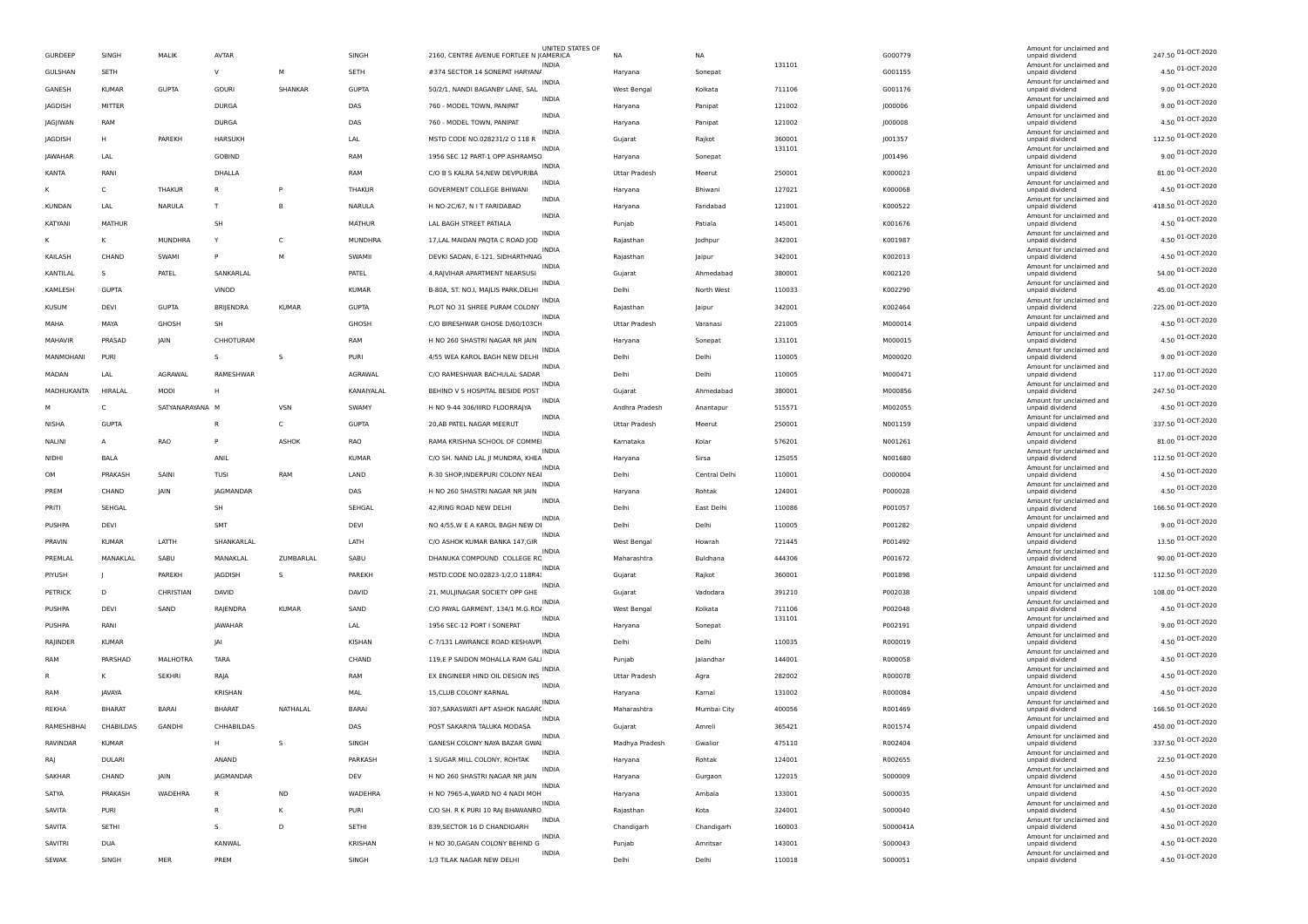| GURDEEP       | SINGH         | MALIK           | <b>AVTAR</b>   |              | SINGH         | 2160, CENTRE AVENUE FORTLEE N JIAMERICA | UNITED STATES OF | NA             | <b>NA</b>     |                  | G000779  | Amount for unclaimed and<br>unpaid dividend | 247.50 01-OCT-2020 |
|---------------|---------------|-----------------|----------------|--------------|---------------|-----------------------------------------|------------------|----------------|---------------|------------------|----------|---------------------------------------------|--------------------|
| GULSHAN       | SETH          |                 | V              | M            | SETH          | #374 SECTOR 14 SONEPAT HARYAN/          | <b>INDIA</b>     | Haryana        | Sonepat       | 131101           | G001155  | Amount for unclaimed and<br>unpaid dividend | 4.50 01-OCT-2020   |
| GANESH        | <b>KUMAR</b>  | <b>GUPTA</b>    | <b>GOURI</b>   | SHANKAR      | <b>GUPTA</b>  | 50/2/1, NANDI BAGANBY LANE, SAL         | INDIA            | West Bengal    | Kolkata       | 711106           | G001176  | Amount for unclaimed and<br>unpaid dividend | 9.00 01-OCT-2020   |
| JAGDISH       | MITTER        |                 | <b>DURGA</b>   |              | DAS           | 760 - MODEL TOWN, PANIPAT               | INDIA            | Haryana        | Panipat       | 121002           | J000006  | Amount for unclaimed and<br>unpaid dividend | 9.00 01-OCT-2020   |
| JAGJIWAN      | RAM           |                 | <b>DURGA</b>   |              | DAS           | 760 - MODEL TOWN, PANIPAT               | INDIA            | Haryana        | Panipat       | 121002           | J000008  | Amount for unclaimed and<br>unpaid dividend | 4.50 01-OCT-2020   |
| JAGDISH       | H             | PAREKH          | HARSUKH        |              | LAL           | MSTD CODE NO.028231/2 O 118             | <b>INDIA</b>     | Gujarat        | Rajkot        | 360001           | J001357  | Amount for unclaimed and<br>unpaid dividend | 112.50 01-OCT-2020 |
| JAWAHAR       | LAL           |                 | GOBIND         |              | RAM           | 1956 SEC 12 PART-1 OPP ASHRAMSC         | <b>INDIA</b>     | Haryana        | Sonepat       | 131101           | J001496  | Amount for unclaimed and<br>unpaid dividend | 9.00 01-OCT-2020   |
| KANTA         | RANI          |                 | DHALLA         |              | RAM           | C/O B S KALRA 54, NEW DEVPURIBA         | INDIA            | Uttar Pradesh  | Meerut        | 250001           | K000023  | Amount for unclaimed and<br>unpaid dividend | 81.00 01-OCT-2020  |
| ĸ             | C             | THAKUR          | R              | P            | THAKUR        | <b>GOVERMENT COLLEGE BHIWANI</b>        | INDIA            | Haryana        | Bhiwani       | 127021           | K000068  | Amount for unclaimed and<br>unpaid dividend | 4.50 01-OCT-2020   |
| <b>KUNDAN</b> | LAL           | NARULA          | T              | B            | NARULA        | H NO-2C/67, N I T FARIDABAD             | INDIA            |                | Faridabad     | 121001           | K000522  | Amount for unclaimed and<br>unpaid dividend | 418.50 01-OCT-2020 |
|               |               |                 |                |              |               |                                         | <b>INDIA</b>     | Haryana        |               |                  |          | Amount for unclaimed and                    | 4.50 01-OCT-2020   |
| KATYANI       | <b>MATHUR</b> |                 | SH             |              | <b>MATHUR</b> | LAL BAGH STREET PATIALA                 | <b>INDIA</b>     | Punjab         | Patiala       | 145001           | K001676  | unpaid dividend<br>Amount for unclaimed and | 4.50 01-OCT-2020   |
| ĸ             | к             | MUNDHRA         | Y              | C            | MUNDHRA       | 17, LAL MAIDAN PAQTA C ROAD JOD         | INDIA            | Rajasthan      | Jodhpur       | 342001           | K001987  | unpaid dividend<br>Amount for unclaimed and | 4.50 01-OCT-2020   |
| KAILASH       | CHAND         | SWAMI           | P              | M            | SWAMII        | DEVKI SADAN, E-121, SIDHARTHNAG         | INDIA            | Rajasthan      | Jaipur        | 342001           | K002013  | unpaid dividend<br>Amount for unclaimed and | 54.00 01-OCT-2020  |
| KANTILAL      | s             | PATEL           | SANKARLAL      |              | PATEL         | 4, RAJVIHAR APARTMENT NEARSUSI          | <b>INDIA</b>     | Gujarat        | Ahmedabad     | 380001           | K002120  | unpaid dividend<br>Amount for unclaimed and |                    |
| KAMLESH       | <b>GUPTA</b>  |                 | VINOD          |              | KUMAR         | B-80A, ST. NO.I, MAJLIS PARK, DELHI     | <b>INDIA</b>     | Delhi          | North West    | 110033           | K002290  | unpaid dividend<br>Amount for unclaimed and | 45.00 01-OCT-2020  |
| <b>KUSUM</b>  | DEVI          | <b>GUPTA</b>    | BRIJENDRA      | <b>KUMAR</b> | <b>GUPTA</b>  | PLOT NO 31 SHREE PURAM COLONY           | <b>INDIA</b>     | Rajasthan      | Jaipur        | 342001           | K002464  | unpaid dividend<br>Amount for unclaimed and | 225.00 01-OCT-2020 |
| MAHA          | MAYA          | GHOSH           | SH             |              | GHOSH         | C/O BIRESHWAR GHOSE D/60/103CH          | INDIA            | Uttar Pradesh  | Varanasi      | 221005           | M000014  | unpaid dividend<br>Amount for unclaimed and | 4.50 01-OCT-2020   |
| MAHAVIR       | PRASAD        | JAIN            | CHHOTURAM      |              | RAM           | H NO 260 SHASTRI NAGAR NR JAIN          | INDIA            | Haryana        | Sonepat       | 131101           | M000015  | unpaid dividend<br>Amount for unclaimed and | 4.50 01-OCT-2020   |
| MANMOHANI     | PURI          |                 | s              | s            | PURI          | 4/55 WEA KAROL BAGH NEW DELHI           |                  | Delhi          | Delhi         | 110005           | M000020  | unpaid dividend                             | 9.00 01-OCT-2020   |
| MADAN         | LAL           | AGRAWAL         | RAMESHWAR      |              | AGRAWAL       | C/O RAMESHWAR BACHULAL SADAR            | <b>INDIA</b>     | Delhi          | Delhi         | 110005           | M000471  | Amount for unclaimed and<br>unpaid dividend | 117.00 01-OCT-2020 |
| MADHUKANTA    | HIRALAL       | MODI            | н              |              | KANAIYALAL    | BEHIND V S HOSPITAL BESIDE POST         | <b>INDIA</b>     | Gujarat        | Ahmedabad     | 380001           | M000856  | Amount for unclaimed and<br>unpaid dividend | 247.50 01-OCT-2020 |
| м             | C             | SATYANARAYANA M |                | VSN          | SWAMY         | H NO 9-44 306/IIIRD FLOORRAJYA          | <b>INDIA</b>     | Andhra Pradesh | Anantapur     | 515571           | M002055  | Amount for unclaimed and<br>unpaid dividend | 4.50 01-OCT-2020   |
| <b>NISHA</b>  | <b>GUPTA</b>  |                 | R              | C            | <b>GUPTA</b>  | 20, AB PATEL NAGAR MEERUT               | INDIA            | Uttar Pradesh  | Meerut        | 250001           | N001159  | Amount for unclaimed and<br>unpaid dividend | 337.50 01-OCT-2020 |
| NALINI        | А             | RAO             | P              | ASHOK        | RAO           | RAMA KRISHNA SCHOOL OF COMME            | INDIA            | Kamataka       | Kolar         | 576201           | N001261  | Amount for unclaimed and<br>unpaid dividend | 81.00 01-OCT-2020  |
| <b>NIDH</b>   | BALA          |                 | ANIL           |              | <b>KUMAR</b>  | C/O SH. NAND LAL JI MUNDRA, KHEA        | <b>INDIA</b>     | Haryana        | Sirsa         | 125055           | N001680  | Amount for unclaimed and<br>unpaid dividend | 112.50 01-OCT-2020 |
| OM            | PRAKASH       | SAINI           | TUSI           | RAM          | LAND          | R-30 SHOP, INDERPURI COLONY NEAI        | <b>INDIA</b>     | Delhi          | Central Delhi | 110001           | 0000004  | Amount for unclaimed and<br>unpaid dividend | 4.50 01-OCT-2020   |
| PREM          | CHAND         | JAIN            | JAGMANDAR      |              | DAS           | H NO 260 SHASTRI NAGAR NR JAIN          | <b>INDIA</b>     | Haryana        | Rohtak        | 124001           | P000028  | Amount for unclaimed and<br>unpaid dividend | 4.50 01-OCT-2020   |
| PRITI         | SEHGAL        |                 | SH             |              | SEHGAL        | 42, RING ROAD NEW DELHI                 | <b>INDIA</b>     | Delhi          | East Delhi    | 110086           | P001057  | Amount for unclaimed and<br>unpaid dividend | 166.50 01-OCT-2020 |
| PUSHPA        | DEVI          |                 | SMT            |              | DEVI          | NO 4/55, W E A KAROL BAGH NEW DI        | <b>INDIA</b>     | Delhi          | Delhi         | 110005           | P001282  | Amount for unclaimed and<br>unpaid dividend | 9.00 01-OCT-2020   |
| PRAVIN        | <b>KUMAR</b>  | LATTH           | SHANKARLAL     |              | LATH          | C/O ASHOK KUMAR BANKA 147,GIR           | <b>INDIA</b>     | West Bengal    | Howrah        | 721445           | P001492  | Amount for unclaimed and<br>unpaid dividend | 13.50 01-OCT-2020  |
| PREMLAL       | MANAKLAL      | SABU            | MANAKLAL       | ZUMBARLAL    | SABU          | DHANUKA COMPOUND COLLEGE RC             | <b>INDIA</b>     | Maharashtra    | Buldhana      | 444306           | P001672  | Amount for unclaimed and                    | 90.00 01-OCT-2020  |
| PIYUSH        |               | PAREKH          | JAGDISH        | s            | PAREKH        | MSTD.CODE NO.02823-1/2,0 118R4.         | <b>INDIA</b>     |                |               | 360001           |          | unpaid dividend<br>Amount for unclaimed and | 112.50 01-OCT-2020 |
|               |               |                 |                |              |               |                                         | INDIA            | Gujarat        | Rajkot        |                  | P001898  | unpaid dividend<br>Amount for unclaimed and | 108.00 01-OCT-2020 |
| PETRICK       | D             | CHRISTIAN       | DAVID          |              | DAVID         | 21, MULJINAGAR SOCIETY OPP GHE          | <b>INDIA</b>     | Gujarat        | Vadodara      | 391210           | P002038  | unpaid dividend<br>Amount for unclaimed and | 4.50 01-OCT-2020   |
| PUSHPA        | DEVI          | SAND            | RAJENDRA       | KUMAR        | SAND          | C/O PAYAL GARMENT, 134/1 M.G.RO/        | <b>INDIA</b>     | West Bengal    | Kolkata       | 711106<br>131101 | P002048  | unpaid dividend<br>Amount for unclaimed and | 9.00 01-OCT-2020   |
| PUSHPA        | RANI          |                 | JAWAHAR        |              | LAL           | 1956 SEC-12 PORT I SONEPAT              | <b>INDIA</b>     | Haryana        | Sonepat       |                  | P002191  | unpaid dividend<br>Amount for unclaimed and |                    |
| RAJINDER      | <b>KUMAR</b>  |                 | <b>JA</b>      |              | KISHAN        | C-7/131 LAWRANCE ROAD KESHAVPI          | <b>INDIA</b>     | Delhi          | Delhi         | 110035           | R000019  | unpaid dividend<br>Amount for unclaimed and | 4.50 01-OCT-2020   |
| RAM           | PARSHAD       | <b>MALHOTRA</b> | <b>TARA</b>    |              | CHAND         | 119,E P SAIDON MOHALLA RAM GAL          | INDIA            | Punjab         | Jalandhar     | 144001           | R000058  | unpaid dividend<br>Amount for unclaimed and | 4.50 01-OCT-2020   |
|               | κ             | <b>SEKHRI</b>   | RAJA           |              | RAM           | EX ENGINEER HIND OIL DESIGN INS         | INDIA            | Uttar Pradesh  | Agra          | 282002           | R000078  | unpaid dividend<br>Amount for unclaimed and | 4.50 01-OCT-2020   |
| RAM           | JAVAYA        |                 | <b>KRISHAN</b> |              | MAL           | 15, CLUB COLONY KARNAL                  | <b>INDIA</b>     | Haryana        | Kamal         | 131002           | R000084  | unpaid dividend<br>Amount for unclaimed and | 4.50 01-OCT-2020   |
| REKHA         | <b>BHARAT</b> | <b>BARAI</b>    | <b>BHARAT</b>  | NATHALAL     | <b>BARAI</b>  | 307, SARASWATI APT ASHOK NAGARO         |                  | Maharashtra    | Mumbai City   | 400056           | R001469  | unpaid dividend                             | 166.50 01-OCT-2020 |
| RAMESHBHAI    | CHABILDAS     | GANDHI          | CHHABILDAS     |              | DAS           | POST SAKARIYA TALUKA MODASA             |                  | Gujarat        | Amreli        | 365421           | R001574  | Amount for unclaimed and<br>unpaid dividend | 450.00 01-OCT-2020 |
| RAVINDAR      | <b>KIIMAR</b> |                 |                | $\leq$       | SINGH         | GANESH COLONY NAYA BAZAR GWAI           | <b>INDIA</b>     | Madhya Pradesh | Gwalior       | 475110           | R002404  | Amount for unclaimed and<br>unpaid div      | 337.50 01-OCT-2020 |
| RAJ           | DULARI        |                 | ANAND          |              | PARKASH       | 1 SUGAR MILL COLONY, ROHTAK             | INDIA            | Haryana        | Rohtak        | 124001           | R002655  | Amount for unclaimed and<br>unpaid dividend | 22.50 01-OCT-2020  |
| SAKHAR        | CHAND         | JAIN            | JAGMANDAR      |              | DEV           | H NO 260 SHASTRI NAGAR NR JAIN          | INDIA            | Haryana        | Gurgaon       | 122015           | S000009  | Amount for unclaimed and<br>unpaid dividend | 4.50 01-OCT-2020   |
| SATYA         | PRAKASH       | WADEHRA         | R              | <b>ND</b>    | WADEHRA       | H NO 7965-A, WARD NO 4 NADI MOH         | INDIA            | Haryana        | Ambala        | 133001           | 5000035  | Amount for unclaimed and<br>unpaid dividend | 4.50 01-OCT-2020   |
| SAVITA        | PURI          |                 | R              | к            | PURI          | C/O SH. R K PURI 10 RAJ BHAWANRO        | <b>INDIA</b>     | Rajasthan      | Kota          | 324001           | S000040  | Amount for unclaimed and<br>unpaid dividend | 4.50 01-OCT-2020   |
| SAVITA        | SETHI         |                 | s              | D            | SETHI         | 839, SECTOR 16 D CHANDIGARH             | <b>INDIA</b>     | Chandigarh     | Chandigarh    | 160003           | S000041A | Amount for unclaimed and<br>unpaid dividend | 4.50 01-OCT-2020   |
| SAVITRI       | <b>DUA</b>    |                 | KANWAL         |              | KRISHAN       | H NO 30, GAGAN COLONY BEHIND G          | INDIA            | Punjab         | Amritsar      | 143001           | S000043  | Amount for unclaimed and<br>unpaid dividend | 4.50 01-OCT-2020   |
| <b>SEWAK</b>  | SINGH         | MER             | PREM           |              | SINGH         | 1/3 TILAK NAGAR NEW DELHI               | INDIA            | Delhi          | Delhi         | 110018           | S000051  | Amount for unclaimed and<br>unpaid dividend | 4.50 01-OCT-2020   |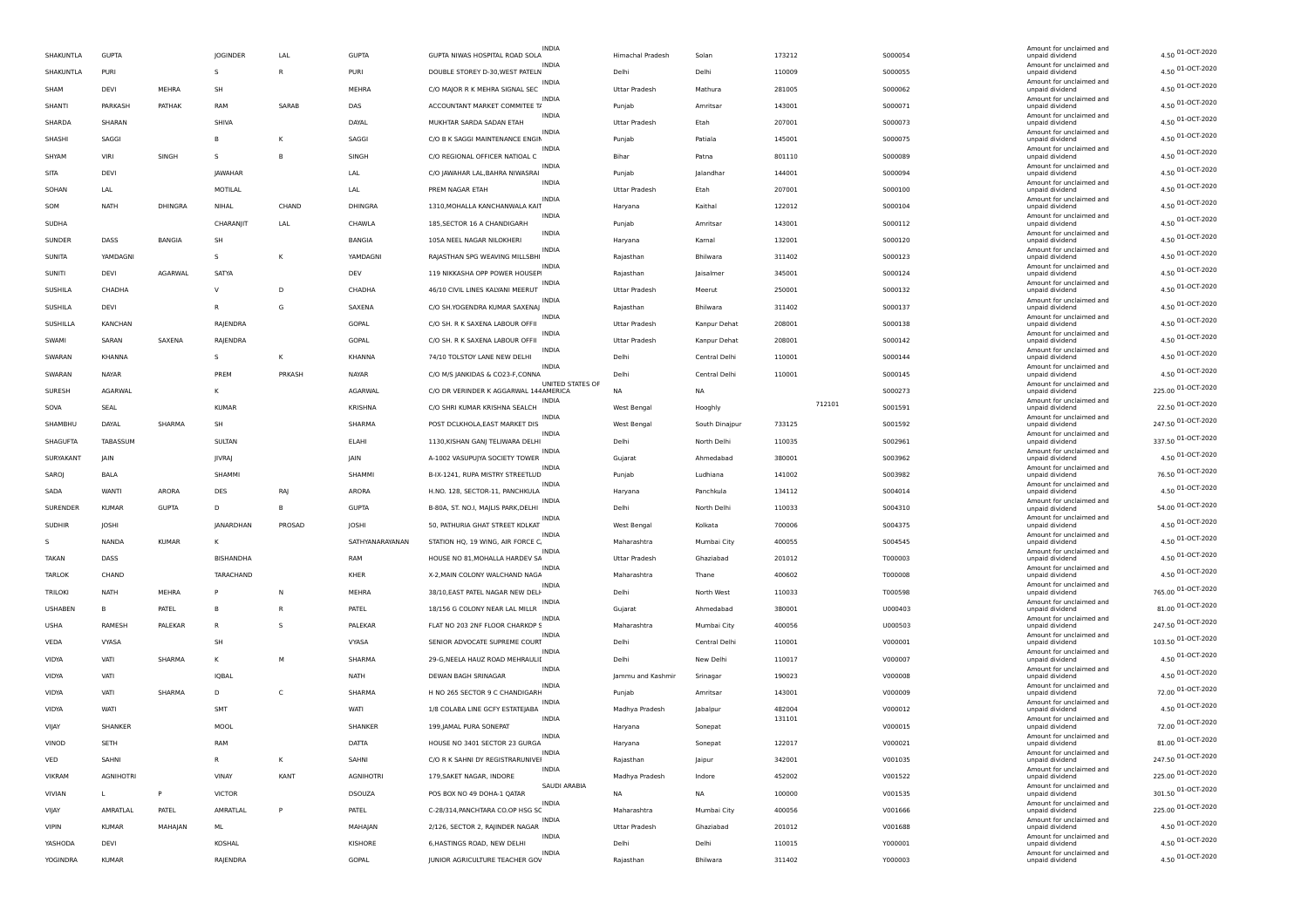|                |                  |              |               |              |                  | <b>INDIA</b>                                              |                      |                |                  |         | Amount for unclaimed and                    |                    |
|----------------|------------------|--------------|---------------|--------------|------------------|-----------------------------------------------------------|----------------------|----------------|------------------|---------|---------------------------------------------|--------------------|
| SHAKUNTLA      | <b>GUPTA</b>     |              | JOGINDER      | LAL          | <b>GUPTA</b>     | GUPTA NIWAS HOSPITAL ROAD SOLA                            | Himachal Pradesh     | Solan          | 173212           | S000054 | unpaid dividend                             | 4.50 01-OCT-2020   |
| SHAKUNTLA      | PURI             |              | s             | $\mathsf{R}$ | PURI             | <b>INDIA</b><br>DOUBLE STOREY D-30, WEST PATELN           | Delhi                | Delhi          | 110009           | S000055 | Amount for unclaimed and<br>unpaid dividend | 4.50 01-OCT-2020   |
| SHAM           | DEVI             | MEHRA        | SH            |              | MEHRA            | <b>INDIA</b><br>C/O MAIOR R K MEHRA SIGNAL SEC            | <b>Uttar Pradesh</b> | Mathura        | 281005           | S000062 | Amount for unclaimed and<br>unpaid dividend | 4.50 01-OCT-2020   |
| SHANTI         | PARKASH          | PATHAK       | RAM           | SARAB        | DAS              | <b>INDIA</b><br>ACCOUNTANT MARKET COMMITEE T/             | Punjab               | Amritsar       | 143001           | S000071 | Amount for unclaimed and<br>unpaid dividend | 4.50 01-OCT-2020   |
| SHARDA         | SHARAN           |              | SHIVA         |              | DAYAL            | <b>INDIA</b><br>MUKHTAR SARDA SADAN ETAH                  | <b>Uttar Pradesh</b> | Etah           | 207001           | S000073 | Amount for unclaimed and<br>unpaid dividend | 4.50 01-OCT-2020   |
| SHASHI         | SAGGI            |              | B             | К            | SAGGI            | <b>INDIA</b><br>C/O B K SAGGI MAINTENANCE ENGIN           | Punjab               | Patiala        | 145001           | S000075 | Amount for unclaimed and<br>unpaid dividend | 4.50 01-OCT-2020   |
| SHYAM          | VIRI             | SINGH        | S             | B            | SINGH            | INDIA<br>C/O REGIONAL OFFICER NATIOAL C                   | Bihar                | Patna          | 801110           | S000089 | Amount for unclaimed and<br>unpaid dividend | 4.50 01-OCT-2020   |
| SITA           | DEVI             |              | JAWAHAR       |              | LAL              | <b>INDIA</b><br>C/O JAWAHAR LAL, BAHRA NIWASRAI           | Punjab               | Jalandhar      | 144001           | S000094 | Amount for unclaimed and<br>unpaid dividend | 4.50 01-OCT-2020   |
|                |                  |              |               |              |                  | INDIA                                                     |                      |                | 207001           |         | Amount for unclaimed and                    | 4.50 01-OCT-2020   |
| SOHAN          | LAL              |              | MOTILAL       |              | LAL              | PREM NAGAR ETAH<br>INDIA                                  | <b>Uttar Pradesh</b> | Etah           |                  | S000100 | unpaid dividend<br>Amount for unclaimed and | 4.50 01-OCT-2020   |
| SOM            | NATH             | DHINGRA      | NIHAL         | CHAND        | DHINGRA          | 1310, MOHALLA KANCHANWALA KAIT<br>INDIA                   | Haryana              | Kaithal        | 122012           | S000104 | unpaid dividend<br>Amount for unclaimed and | 4.50 01-OCT-2020   |
| SUDHA          |                  |              | CHARANJIT     | LAL          | CHAWLA           | 185, SECTOR 16 A CHANDIGARH<br>INDIA                      | Punjab               | Amritsar       | 143001           | S000112 | unpaid dividend<br>Amount for unclaimed and | 4.50 01-OCT-2020   |
| SUNDER         | DASS             | BANGIA       | SH            |              | BANGIA           | 105A NEEL NAGAR NILOKHERI<br><b>INDIA</b>                 | Haryana              | Kamal          | 132001           | S000120 | unpaid dividend<br>Amount for unclaimed and |                    |
| SUNITA         | YAMDAGNI         |              | S             | к            | YAMDAGNI         | RAJASTHAN SPG WEAVING MILLSBHI<br><b>INDIA</b>            | Rajasthan            | Bhilwara       | 311402           | 5000123 | unpaid dividend<br>Amount for unclaimed and | 4.50 01-OCT-2020   |
| SUNITI         | DEVI             | AGARWAL      | SATYA         |              | DEV              | 119 NIKKASHA OPP POWER HOUSEP                             | Rajasthan            | Jaisalmer      | 345001           | S000124 | unpaid dividend<br>Amount for unclaimed and | 4.50 01-OCT-2020   |
| SUSHILA        | CHADHA           |              | $\mathsf{V}$  | D            | CHADHA           | 46/10 CIVIL LINES KALYANI MEERUT<br><b>INDIA</b>          | <b>Uttar Pradesh</b> | Meerut         | 250001           | S000132 | unpaid dividend                             | 4.50 01-OCT-2020   |
| SUSHILA        | DEVI             |              | R             | G            | SAXENA           | C/O SH. YOGENDRA KUMAR SAXENAJ                            | Rajasthan            | Bhilwara       | 311402           | S000137 | Amount for unclaimed and<br>unpaid dividend | 4.50 01-OCT-2020   |
| SUSHILLA       | KANCHAN          |              | RAJENDRA      |              | GOPAL            | <b>INDIA</b><br>C/O SH. R K SAXENA LABOUR OFFII           | <b>Uttar Pradesh</b> | Kanpur Dehat   | 208001           | S000138 | Amount for unclaimed and<br>unpaid dividend | 4.50 01-OCT-2020   |
| SWAMI          | SARAN            | SAXENA       | RAJENDRA      |              | GOPAL            | <b>INDIA</b><br>C/O SH. R K SAXENA LABOUR OFFII           | <b>Uttar Pradesh</b> | Kanpur Dehat   | 208001           | S000142 | Amount for unclaimed and<br>unpaid dividend | 4.50 01-OCT-2020   |
| SWARAN         | KHANNA           |              | s             | Κ            | <b>KHANNA</b>    | INDIA<br>74/10 TOLSTOY LANE NEW DELHI                     | Delhi                | Central Delhi  | 110001           | S000144 | Amount for unclaimed and<br>unpaid dividend | 4.50 01-OCT-2020   |
| SWARAN         | NAYAR            |              | PREM          | PRKASH       | NAYAR            | <b>INDIA</b><br>C/O M/S JANKIDAS & CO23-F, CONNA          | Delhi                | Central Delhi  | 110001           | S000145 | Amount for unclaimed and<br>unpaid dividend | 4.50 01-OCT-2020   |
| SURESH         | AGARWAL          |              | ĸ             |              | <b>AGARWAL</b>   | UNITED STATES OF<br>C/O DR VERINDER K AGGARWAL 144AMERICA | <b>NA</b>            | <b>NA</b>      |                  | S000273 | Amount for unclaimed and<br>unpaid dividend | 225.00 01-OCT-2020 |
| SOVA           | SEAL             |              | <b>KUMAR</b>  |              | KRISHNA          | INDIA<br>C/O SHRI KUMAR KRISHNA SEALCH                    | West Bengal          | Hooghly        | 712101           | S001591 | Amount for unclaimed and<br>unpaid dividend | 22.50 01-OCT-2020  |
| SHAMBHU        | DAYAL            | SHARMA       | SH            |              | SHARMA           | <b>INDIA</b><br>POST DCLKHOLA, EAST MARKET DIS            | West Bengal          | South Dinajpur | 733125           | S001592 | Amount for unclaimed and                    | 247.50 01-OCT-2020 |
|                |                  |              |               |              |                  | <b>INDIA</b>                                              |                      |                |                  |         | unpaid dividend<br>Amount for unclaimed and | 337.50 01-OCT-2020 |
| SHAGUFTA       | TABASSUM         |              | SULTAN        |              | <b>ELAHI</b>     | 1130, KISHAN GANJ TELIWARA DELHI                          | Delhi                | North Delhi    | 110035           | S002961 | unpaid dividend<br>Amount for unclaimed and | 4.50 01-OCT-2020   |
| SURYAKANT      | JAIN             |              | JIVRAJ        |              | JAIN             | A-1002 VASUPUJYA SOCIETY TOWER<br><b>INDIA</b>            | Gujarat              | Ahmedabad      | 380001           | S003962 | unpaid dividend<br>Amount for unclaimed and |                    |
| SAROJ          | BALA             |              | SHAMMI        |              | SHAMMI           | B-IX-1241, RUPA MISTRY STREETLUD<br><b>INDIA</b>          | Punjab               | Ludhiana       | 141002           | S003982 | unpaid dividend<br>Amount for unclaimed and | 76.50 01-OCT-2020  |
| SADA           | <b>WANTI</b>     | ARORA        | DES           | RAJ          | ARORA            | H.NO. 128, SECTOR-11, PANCHKULA<br><b>INDIA</b>           | Haryana              | Panchkula      | 134112           | S004014 | unpaid dividend<br>Amount for unclaimed and | 4.50 01-OCT-2020   |
| SURENDER       | <b>KUMAR</b>     | <b>GUPTA</b> | D             | B            | <b>GUPTA</b>     | B-80A, ST. NO.I, MAJLIS PARK, DELHI<br><b>INDIA</b>       | Delhi                | North Delhi    | 110033           | 5004310 | unpaid dividend<br>Amount for unclaimed and | 54.00 01-OCT-2020  |
| <b>SUDHIR</b>  | JOSHI            |              | JANARDHAN     | PROSAD       | JOSHI            | 50, PATHURIA GHAT STREET KOLKAT                           | West Bengal          | Kolkata        | 700006           | S004375 | unpaid dividend                             | 4.50 01-OCT-2020   |
| -S             | NANDA            | <b>KUMAR</b> | κ             |              | SATHYANARAYANAN  | INDIA<br>STATION HQ, 19 WING, AIR FORCE C.                | Maharashtra          | Mumbai City    | 400055           | S004545 | Amount for unclaimed and<br>unpaid dividend | 4.50 01-OCT-2020   |
| TAKAN          | DASS             |              | BISHANDHA     |              | RAM              | <b>INDIA</b><br>HOUSE NO 81, MOHALLA HARDEV SA            | <b>Uttar Pradesh</b> | Ghaziabad      | 201012           | T000003 | Amount for unclaimed and<br>unpaid dividend | 4.50 01-OCT-2020   |
| <b>TARLOK</b>  | CHAND            |              | TARACHAND     |              | KHER             | INDIA<br>X-2, MAIN COLONY WALCHAND NAGA                   | Maharashtra          | Thane          | 400602           | T000008 | Amount for unclaimed and<br>unpaid dividend | 4.50 01-OCT-2020   |
| TRILOKI        | <b>NATH</b>      | MEHRA        | P             | N            | MEHRA            | <b>INDIA</b><br>38/10, EAST PATEL NAGAR NEW DELH          | Delhi                | North West     | 110033           | T000598 | Amount for unclaimed and<br>unpaid dividend | 765.00 01-OCT-2020 |
| <b>USHABEN</b> | B                | PATEL        | B             | R            | PATEL            | <b>INDIA</b><br>18/156 G COLONY NEAR LAL MILLR            | Gujarat              | Ahmedabad      | 380001           | U000403 | Amount for unclaimed and<br>unpaid dividend | 81.00 01-OCT-2020  |
| <b>USHA</b>    | RAMESH           | PALEKAP      | $\mathsf R$   | s            | PALEKAR          | INDIA<br>FLAT NO 203 2NF FLOOR CHARKOP S                  | Maharashtra          | Mumbai City    | 400056           | U000503 | Amount for unclaimed and<br>unpaid dividend | 247.50 01-OCT-2020 |
| VEDA           | VYASA            |              | SH            |              | VYASA            | <b>INDIA</b><br>SENIOR ADVOCATE SUPREME COURT             | Delhi                | Central Delhi  | 110001           | V000001 | Amount for unclaimed and<br>unpaid dividend | 103.50 01-OCT-2020 |
| VIDYA          | VATI             | SHARMA       | к             | M            | SHARMA           | INDIA<br>29-G, NEELA HAUZ ROAD MEHRAULI                   | Delhi                | New Delhi      | 110017           | V000007 | Amount for unclaimed and<br>unpaid dividend | 4.50 01-OCT-2020   |
| VIDYA          | VATI             |              | <b>IQBAL</b>  |              | <b>NATH</b>      | <b>INDIA</b><br>DEWAN BAGH SRINAGAR                       | Jammu and Kashmir    |                | 190023           | V000008 | Amount for unclaimed and                    | 4.50 01-OCT-2020   |
|                |                  |              |               |              |                  | <b>INDIA</b>                                              |                      | Srinagar       |                  |         | unpaid dividend<br>Amount for unclaimed and | 72.00 01-OCT-2020  |
| VIDYA          | VATI             | SHARMA       | D             | c            | SHARMA           | H NO 265 SECTOR 9 C CHANDIGARH<br><b>INDIA</b>            | Punjab               | Amritsar       | 143001           | V000009 | unpaid dividend<br>Amount for unclaimed and | 4.50 01-OCT-2020   |
| VIDYA          | WAT              |              | <b>SMT</b>    |              | WATI             | 1/8 COLABA LINE GCFY ESTATEJABA<br>INDIA                  | Madhya Pradesh       | Jabalpur       | 482004<br>131101 | V000012 | unpaid dividend<br>Amount for unclaimed and |                    |
| VIJAY          | SHANKEF          |              | MOOL          |              | SHANKER          | 199, JAMAL PURA SONEPAT<br><b>INDIA</b>                   | Haryana              | Sonepat        |                  | V000015 | unpaid dividend<br>Amount for unclaimed and | 72.00 01-OCT-2020  |
| VINOD          | SETH             |              | RAM           |              | DATTA            | HOUSE NO 3401 SECTOR 23 GURGA<br><b>INDIA</b>             | Haryana              | Sonepat        | 122017           | V000021 | unpaid dividend<br>Amount for unclaimed and | 81.00 01-OCT-2020  |
| VED            | SAHNI            |              | $\mathsf{R}$  | Κ            | SAHNI            | C/O R K SAHNI DY REGISTRARUNIVEI<br>INDIA                 | Rajasthan            | Jaipur         | 342001           | V001035 | unpaid dividend<br>Amount for unclaimed and | 247.50 01-OCT-2020 |
| <b>VIKRAM</b>  | <b>AGNIHOTRI</b> |              | VINAY         | KANT         | <b>AGNIHOTRI</b> | 179, SAKET NAGAR, INDORE                                  | Madhya Pradesh       | Indore         | 452002           | V001522 | unpaid dividend                             | 225.00 01-OCT-2020 |
| VIVIAN         |                  | P            | <b>VICTOR</b> |              | <b>DSOUZA</b>    | SAUDI ARABIA<br>POS BOX NO 49 DOHA-1 QATAR                | ΝA                   | NA             | 100000           | V001535 | Amount for unclaimed and<br>unpaid dividend | 301.50 01-OCT-2020 |
| VIJAY          | AMRATLAL         | PATEL        | AMRATLAL      | P            | PATEL            | INDIA<br>C-28/314, PANCHTARA CO.OP HSG SC                 | Maharashtra          | Mumbai City    | 400056           | V001666 | Amount for unclaimed and<br>unpaid dividend | 225.00 01-OCT-2020 |
| <b>VIPIN</b>   | <b>KUMAR</b>     | MAHAJAN      | ML            |              | MAHAJAN          | INDIA<br>2/126, SECTOR 2, RAJINDER NAGAR                  | <b>Uttar Pradesh</b> | Ghaziabad      | 201012           | V001688 | Amount for unclaimed and<br>unpaid dividend | 4.50 01-OCT-2020   |
| YASHODA        | DEVI             |              | KOSHAL        |              | KISHORE          | INDIA<br>6, HASTINGS ROAD, NEW DELHI                      | Delhi                | Delhi          | 110015           | Y000001 | Amount for unclaimed and<br>unpaid dividend | 4.50 01-OCT-2020   |
| YOGINDRA       | <b>KUMAR</b>     |              | RAJENDRA      |              | GOPAL            | INDIA<br>JUNIOR AGRICULTURE TEACHER GOV                   | Rajasthan            | Bhilwara       | 311402           | Y000003 | Amount for unclaimed and<br>unpaid dividend | 4.50 01-OCT-2020   |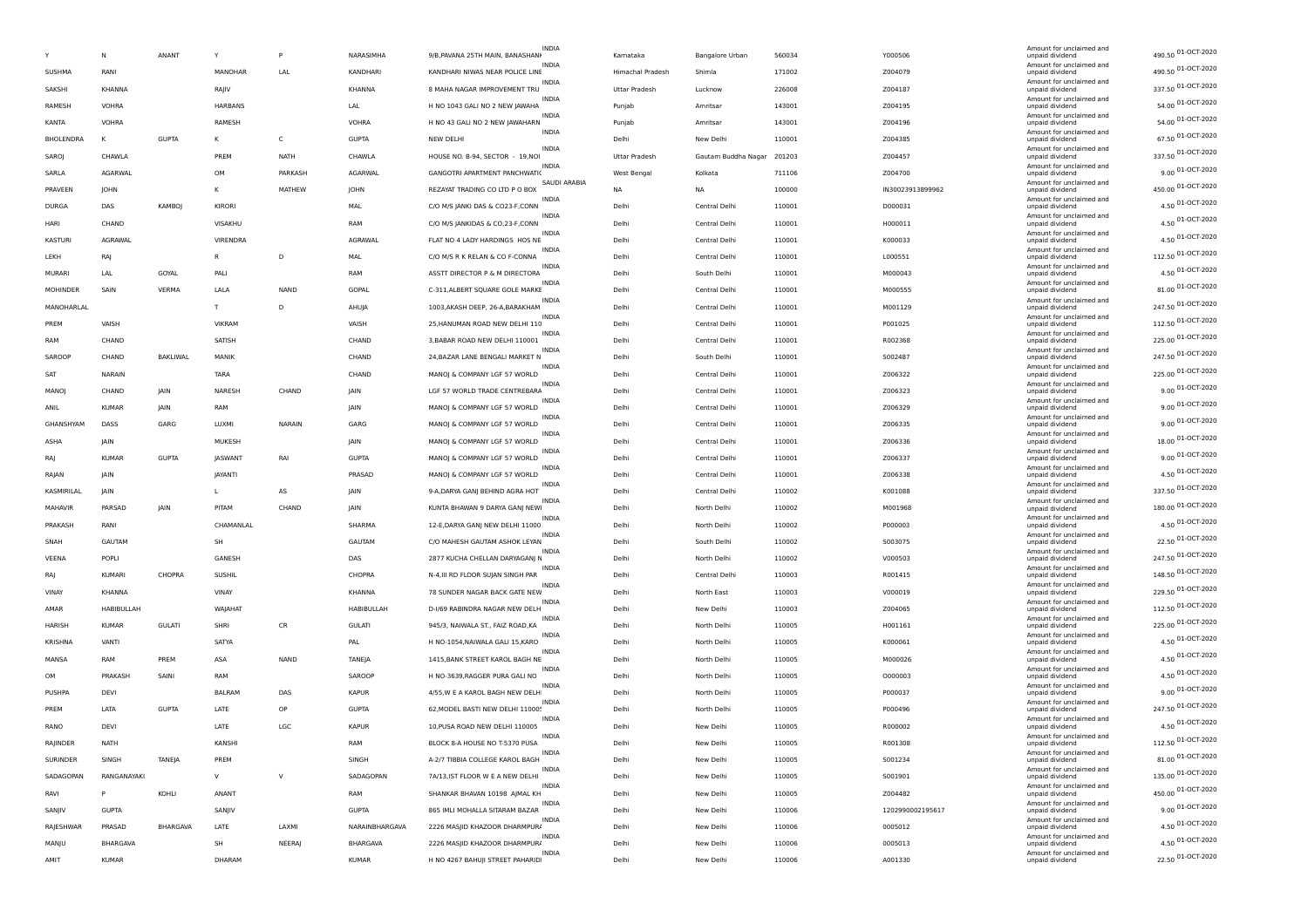|                  | Ν                 | ANANT         | Y              | P            | NARASIMHA      | <b>INDIA</b><br>9/B, PAVANA 25TH MAIN, BANASHANI  | Kamataka         | Bangalore Urban        | 560034 | Y000506          | Amount for unclaimed and<br>unpaid dividend                    | 490.50 01-OCT-2020 |
|------------------|-------------------|---------------|----------------|--------------|----------------|---------------------------------------------------|------------------|------------------------|--------|------------------|----------------------------------------------------------------|--------------------|
| SUSHMA           | RANI              |               | MANOHAR        | LAL          | KANDHARI       | INDI/<br>KANDHARI NIWAS NEAR POLICE LINE          | Himachal Pradesh | Shimla                 | 171002 | Z004079          | Amount for unclaimed and<br>unpaid dividend                    | 490.50 01-OCT-2020 |
| SAKSHI           | KHANNA            |               | RAJIV          |              | KHANNA         | <b>INDIA</b><br>8 MAHA NAGAR IMPROVEMENT TRU      | Uttar Pradesh    | Lucknow                | 226008 | Z004187          | Amount for unclaimed and<br>unpaid dividend                    | 337.50 01-OCT-2020 |
| RAMESH           | VOHRA             |               | HARBANS        |              | LAL            | <b>INDIA</b><br>H NO 1043 GALI NO 2 NEW JAWAHA    | Punjab           | Amritsar               | 143001 | Z004195          | Amount for unclaimed and<br>unpaid dividend                    | 54.00 01-OCT-2020  |
| KANTA            | VOHRA             |               | RAMESH         |              | <b>VOHRA</b>   | INDIA<br>H NO 43 GALI NO 2 NEW JAWAHARN           | Puniab           | Amritsar               | 143001 | Z004196          | Amount for unclaimed and<br>unpaid dividend                    | 54.00 01-OCT-2020  |
| <b>BHOLENDRA</b> | к                 | <b>GUPTA</b>  | к              | $\mathsf{C}$ | <b>GUPTA</b>   | INDIA<br><b>NEW DELHI</b>                         | Delhi            | New Delhi              | 110001 | Z004385          | Amount for unclaimed and<br>unpaid dividend                    | 67.50 01-OCT-2020  |
| SAROJ            | CHAWLA            |               | PREM           | <b>NATH</b>  | CHAWLA         | <b>INDIA</b><br>HOUSE NO. B-94, SECTOR - 19,NOI   | Uttar Pradesh    | Gautam Buddha Nagar    | 201203 | Z004457          | Amount for unclaimed and<br>unpaid dividend                    | 337.50 01-OCT-2020 |
| SARLA            | AGARWAL           |               | OM             | PARKASH      | AGARWAL        | <b>INDIA</b><br>GANGOTRI APARTMENT PANCHWATI(     | West Bengal      | Kolkata                | 711106 | Z004700          | Amount for unclaimed and<br>unpaid dividend                    | 9.00 01-OCT-2020   |
| PRAVEEN          | JOHN              |               | К              | MATHEW       | JOHN           | SAUDI ARABIA<br>REZAYAT TRADING CO LTD P O BOX    | <b>NA</b>        | <b>NA</b>              | 100000 | IN30023913899962 | Amount for unclaimed and<br>unpaid dividend                    | 450.00 01-OCT-2020 |
| <b>DURGA</b>     | DAS               | KAMBOJ        | KIRORI         |              | MAL            | INDIA<br>C/O M/S JANKI DAS & CO23-F,CONN          | Delhi            | Central Delhi          | 110001 | D000031          | Amount for unclaimed and<br>unpaid dividend                    | 4.50 01-OCT-2020   |
| HARI             | CHAND             |               | VISAKHU        |              | <b>RAM</b>     | <b>INDIA</b><br>C/O M/S JANKIDAS & CO,23-F,CONN   | Delhi            | Central Delhi          | 110001 | H000011          | Amount for unclaimed and<br>unpaid dividend                    | 4.50 01-OCT-2020   |
| KASTURI          | AGRAWAL           |               | VIRENDRA       |              | AGRAWAL        | <b>INDIA</b><br>FLAT NO 4 LADY HARDINGS HOS NE    | Delhi            | Central Delhi          | 110001 | K000033          | Amount for unclaimed and                                       | 4.50 01-OCT-2020   |
| LEKH             | RAJ               |               | R              | D            | MAL            | INDI/<br>C/O M/S R K RELAN & CO F-CONNA           | Delhi            | Central Delhi          | 110001 | L000551          | unpaid dividend<br>Amount for unclaimed and<br>unpaid dividend | 112.50 01-OCT-2020 |
| <b>MURARI</b>    | LAL               | GOYAL         |                |              | RAM            | <b>INDIA</b><br>ASSTT DIRECTOR P & M DIRECTORA    | Delhi            |                        |        |                  | Amount for unclaimed and                                       | 4.50 01-OCT-2020   |
|                  |                   |               | PALI           |              |                | <b>INDIA</b>                                      |                  | South Delhi            | 110001 | M000043          | unpaid dividend<br>Amount for unclaimed and                    | 81.00 01-OCT-2020  |
| <b>MOHINDER</b>  | SAIN              | VERMA         | LALA           | <b>NAND</b>  | GOPAL          | C-311, ALBERT SQUARE GOLE MARKE<br><b>INDIA</b>   | Delhi            | Central Delhi          | 110001 | M000555          | unpaid dividend<br>Amount for unclaimed and                    | 247.50 01-OCT-2020 |
| MANOHARLAL       |                   |               | T.             | D            | AHUJA          | 1003, AKASH DEEP, 26-A, BARAKHAM<br><b>INDIA</b>  | Delhi            | Central Delhi          | 110001 | M001129          | unpaid dividend<br>Amount for unclaimed and                    | 112.50 01-OCT-2020 |
| PREM             | VAISH             |               | VIKRAM         |              | VAISH          | 25, HANUMAN ROAD NEW DELHI 110<br><b>INDIA</b>    | Delhi            | Central Delhi          | 110001 | P001025          | unpaid dividend<br>Amount for unclaimed and                    | 225.00 01-OCT-2020 |
| RAM              | CHAND             |               | SATISH         |              | CHAND          | 3, BABAR ROAD NEW DELHI 110001<br><b>INDIA</b>    | Delhi            | Central Delhi          | 110001 | R002368          | unpaid dividend<br>Amount for unclaimed and                    |                    |
| SAROOF           | CHAND             | BAKLIWAL      | MANIK          |              | CHAND          | 24, BAZAR LANE BENGALI MARKET N<br>INDIA          | Delhi            | South Delhi            | 110001 | S002487          | unpaid dividend<br>Amount for unclaimed and                    | 247.50 01-OCT-2020 |
| SAT              | NARAIN            |               | <b>TARA</b>    |              | CHAND          | MANOJ & COMPANY LGF 57 WORLD<br><b>INDIA</b>      | Delhi            | Central Delhi          | 110001 | Z006322          | unpaid dividend<br>Amount for unclaimed and                    | 225.00 01-OCT-2020 |
| MANOJ            | CHAND             | JAIN          | NARESH         | CHAND        | JAIN           | LGF 57 WORLD TRADE CENTREBARA<br><b>INDIA</b>     | Delhi            | Central Delhi          | 110001 | Z006323          | unpaid dividend<br>Amount for unclaimed and                    | 9.00 01-OCT-2020   |
| ANIL             | <b>KUMAR</b>      | JAIN          | RAM            |              | JAIN           | MANOJ & COMPANY LGF 57 WORLD<br>INDI/             | Delhi            | Central Delhi          | 110001 | Z006329          | unpaid dividend<br>Amount for unclaimed and                    | 9.00 01-OCT-2020   |
| GHANSHYAM        | DASS              | GARG          | LUXMI          | NARAIN       | GARG           | MANOJ & COMPANY LGF 57 WORLD<br><b>INDIA</b>      | Delhi            | Central Delhi          | 110001 | Z006335          | unpaid dividend<br>Amount for unclaimed and                    | 9.00 01-OCT-2020   |
| ASHA             | <b>IAIN</b>       |               | MUKESH         |              | JAIN           | MANOJ & COMPANY LGF 57 WORLD                      | Delhi            | Central Delhi          | 110001 | Z006336          | unpaid dividend<br>Amount for unclaimed and                    | 18.00 01-OCT-2020  |
| RAI              | <b>KUMAR</b>      | <b>GUPTA</b>  | <b>JASWANT</b> | RAI          | <b>GUPTA</b>   | INDIA<br>MANOJ & COMPANY LGF 57 WORLD             | Delhi            | Central Delhi          | 110001 | Z006337          | unpaid dividend<br>Amount for unclaimed and                    | 9.00 01-OCT-2020   |
| RAJAN            | <b>IAIN</b>       |               | JAYANTI        |              | PRASAD         | <b>INDIA</b><br>MANOJ & COMPANY LGF 57 WORLD      | Delhi            | Central Delhi          | 110001 | Z006338          | unpaid dividend                                                | 4.50 01-OCT-2020   |
| KASMIRILAL       | <b>IAIN</b>       |               | L              | AS           | JAIN           | <b>INDIA</b><br>9-A, DARYA GANJ BEHIND AGRA HOT   | Delhi            | Central Delhi          | 110002 | K001088          | Amount for unclaimed and<br>unpaid dividend                    | 337.50 01-OCT-2020 |
| MAHAVIR          | PARSAD            | <b>JAIN</b>   | PITAM          | CHAND        | JAIN           | <b>INDIA</b><br>KUNTA BHAWAN 9 DARYA GANJ NEWI    | Delhi            | North Delhi            | 110002 | M001968          | Amount for unclaimed and<br>unpaid dividend                    | 180.00 01-OCT-2020 |
| PRAKASH          | RANI              |               | CHAMANLAL      |              | SHARMA         | <b>INDIA</b><br>12-E, DARYA GANJ NEW DELHI 11000  | Delhi            | North Delhi            | 110002 | P000003          | Amount for unclaimed and<br>unpaid dividend                    | 4.50 01-OCT-2020   |
| SNAH             | <b>GAUTAM</b>     |               | SH             |              | GAUTAM         | INDIA<br>C/O MAHESH GAUTAM ASHOK LEYAN            | Delhi            | South Delhi            | 110002 | S003075          | Amount for unclaimed and<br>unpaid dividend                    | 22.50 01-OCT-2020  |
| VEENA            | POPLI             |               | GANESH         |              | DAS            | <b>INDIA</b><br>2877 KUCHA CHELLAN DARYAGANJ N    | Delhi            | North Delhi            | 110002 | V000503          | Amount for unclaimed and<br>unpaid dividend                    | 247.50 01-OCT-2020 |
| RAI              | <b>KUMARI</b>     | CHOPRA        | SUSHIL         |              | CHOPRA         | <b>INDIA</b><br>N-4, III RD FLOOR SUJAN SINGH PAR | Delhi            | Central Delhi          | 110003 | R001415          | Amount for unclaimed and<br>unpaid dividend                    | 148.50 01-OCT-2020 |
| VINAY            | KHANNA            |               | VINAY          |              | KHANNA         | <b>INDIA</b><br>78 SUNDER NAGAR BACK GATE NEW     | Delhi            | North East             | 110003 | V000019          | Amount for unclaimed and<br>unpaid dividend                    | 229.50 01-OCT-2020 |
| AMAR             | <b>HABIBULLAH</b> |               | WAJAHAT        |              | HABIBULLAH     | <b>INDIA</b><br>D-I/69 RABINDRA NAGAR NEW DELH    | Delhi            | New Delhi              | 110003 | Z004065          | Amount for unclaimed and<br>unpaid dividend                    | 112.50 01-OCT-2020 |
| HARISH           | <b>KUMAR</b>      | <b>GULATI</b> | SHRI           | CR           | <b>GULATI</b>  | INDIA<br>945/3, NAIWALA ST., FAIZ ROAD, KA        | Delhi            | North Delhi            | 110005 | H001161          | Amount for unclaimed and<br>unpaid dividend                    | 225.00 01-OCT-2020 |
| <b>KRISHNA</b>   | VANTI             |               | SATYA          |              | PAL            | <b>INDIA</b><br>H NO-1054, NAIWALA GALI 15, KARO  | Delhi            | North Delhi            | 110005 | K000061          | Amount for unclaimed and<br>unpaid dividend                    | 4.50 01-OCT-2020   |
| MANSA            | RAM               | PREM          | ASA            | NAND         | TANEJA         | <b>INDIA</b><br>1415, BANK STREET KAROL BAGH NE   | Delhi            | North Delhi            | 110005 | M000026          | Amount for unclaimed and<br>unpaid dividend                    | 4.50 01-OCT-2020   |
| OM               | PRAKASH           | SAINI         | RAM            |              | SAROOP         | INDI/<br>H NO-3639, RAGGER PURA GALI NO           | Delhi            | North Delhi            | 110005 | 0000003          | Amount for unclaimed and<br>unpaid dividend                    | 4.50 01-OCT-2020   |
| PUSHPA           | DEVI              |               | <b>BALRAM</b>  | DAS          | <b>KAPUR</b>   | <b>INDIA</b><br>4/55, W E A KAROL BAGH NEW DELH   | Delhi            | North Delhi            | 110005 | P000037          | Amount for unclaimed and<br>unpaid dividend                    | 9.00 01-OCT-2020   |
| PREM             | LATA              | <b>GUPTA</b>  | LATE           | OP           | <b>GUPTA</b>   | <b>INDIA</b><br>62. MODEL BASTI NEW DELHI 11000!  | Delhi            | North Delhi            | 110005 | P000496          | Amount for unclaimed and<br>unpaid dividend                    | 247.50 01-OCT-2020 |
| RANO             | DEVI              |               | LATE           | LGC          | <b>KAPUR</b>   | <b>INDIA</b><br>10, PUSA ROAD NEW DELHI 110005    | Delhi            | New Delhi              | 110005 | R000002          | Amount for unclaimed and<br>unpaid dividend                    | 4.50 01-OCT-2020   |
| RAJINDER         | NATH              |               | KANSHI         |              | RAM            | INDIA<br>BLOCK 8-A HOUSE NO T-5370 PUSA           | Delhi            | New Delhi              | 110005 | R001308          | Amount for unclaimed and<br>unpaid dividend                    | 112.50 01-OCT-2020 |
| SURINDER         | SINGH             | TANEJA        | PREM           |              | SINGH          | <b>INDIA</b><br>A-2/7 TIBBIA COLLEGE KAROL BAGH   | Delhi            | New Delhi              | 110005 | S001234          | Amount for unclaimed and<br>unpaid dividend                    | 81.00 01-OCT-2020  |
| SADAGOPAN        | RANGANAYAKI       |               | V              | $\vee$       | SADAGOPAN      | INDIA<br>7A/13, IST FLOOR W E A NEW DELHI         |                  |                        |        | S001901          | Amount for unclaimed and                                       | 135.00 01-OCT-2020 |
| RAVI             | P                 |               | ANANT          |              | RAM            | INDIA                                             | Delhi<br>Delhi   | New Delhi<br>New Delhi | 110005 | Z004482          | unpaid dividend<br>Amount for unclaimed and                    | 450.00 01-OCT-2020 |
|                  |                   | KOHLI         |                |              |                | SHANKAR BHAVAN 10198 AJMAL KH<br>INDIA            |                  |                        | 110005 |                  | unpaid dividend<br>Amount for unclaimed and                    | 9.00 01-OCT-2020   |
| SANJIV           | <b>GUPTA</b>      |               | SANJIV         |              | <b>GUPTA</b>   | 865 IMLI MOHALLA SITARAM BAZAR<br><b>INDIA</b>    | Delhi            | New Delhi              | 110006 | 1202990002195617 | unpaid dividend<br>Amount for unclaimed and                    | 4.50 01-OCT-2020   |
| RAJESHWAR        | PRASAD            | BHARGAVA      | LATE           | LAXMI        | NARAINBHARGAVA | 2226 MASJID KHAZOOR DHARMPURJ<br><b>INDIA</b>     | Delhi            | New Delhi              | 110006 | 0005012          | unpaid dividend<br>Amount for unclaimed and                    | 4.50 01-OCT-2020   |
| MANJU            | BHARGAVA          |               | SH             | NEERAJ       | BHARGAVA       | 2226 MASJID KHAZOOR DHARMPURJ<br>INDIA            | Delhi            | New Delhi              | 110006 | 0005013          | unpaid dividend<br>Amount for unclaimed and                    | 22.50 01-OCT-2020  |
| AMIT             | KUMAR             |               | DHARAM         |              | <b>KUMAR</b>   | H NO 4267 BAHUJI STREET PAHARID                   | Delhi            | New Delhi              | 110006 | A001330          | unpaid dividend                                                |                    |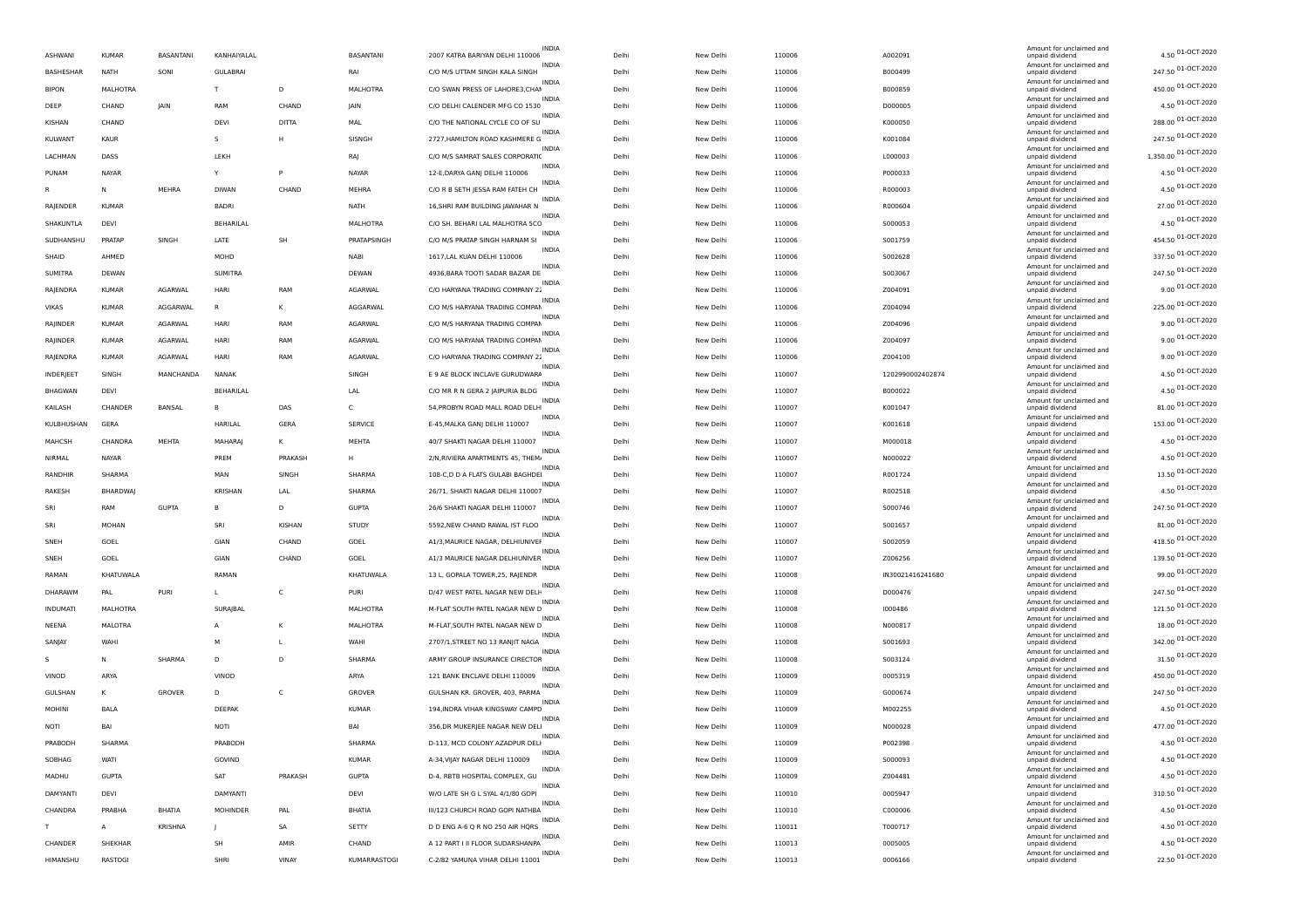|                |                |                |                 |              |                 |                                  | <b>INDIA</b> |       |           |        |                  | Amount for unclaimed and                                       |                      |
|----------------|----------------|----------------|-----------------|--------------|-----------------|----------------------------------|--------------|-------|-----------|--------|------------------|----------------------------------------------------------------|----------------------|
| <b>ASHWANI</b> | <b>KUMAF</b>   | BASANTANI      | KANHAIYALAL     |              | BASANTANI       | 2007 KATRA BARIYAN DELHI 110006  |              | Delh  | New Delhi | 110006 | A002091          | unpaid dividend<br>Amount for unclaimed and                    | 4.50 01-OCT-2020     |
| BASHESHAR      | NATH           | SONI           | <b>GULABRAI</b> |              | RAI             | C/O M/S UTTAM SINGH KALA SINGH   |              | Delhi | New Delhi | 110006 | B000499          | unpaid dividend                                                | 247.50 01-OCT-2020   |
| <b>BIPON</b>   | MALHOTRA       |                | т               | D            | MALHOTRA        | C/O SWAN PRESS OF LAHORE3, CHAI  | <b>INDIA</b> | Delhi | New Delhi | 110006 | B000859          | Amount for unclaimed and<br>unpaid dividend                    | 450.00 01-OCT-2020   |
| DEEP           | CHAND          | IAIN           | RAM             | CHAND        | JAIN            | C/O DELHI CALENDER MFG CO 1530   | <b>INDIA</b> | Delh  | New Delhi | 110006 | D000005          | Amount for unclaimed and<br>unpaid dividend                    | 4.50 01-OCT-2020     |
| KISHAN         | CHAND          |                | DEVI            | <b>DITTA</b> | <b>MAL</b>      | C/O THE NATIONAL CYCLE CO OF SU  | INDIA        | Delhi | New Delhi | 110006 | K000050          | Amount for unclaimed and<br>unpaid dividend                    | 288.00 01-OCT-2020   |
| KULWANT        | <b>KAUR</b>    |                | s               | H            | SISNGH          | 2727, HAMILTON ROAD KASHMERE G   | <b>INDIA</b> | Delh  | New Delhi | 110006 | K001084          | Amount for unclaimed and<br>unpaid dividend                    | 247.50 01-OCT-2020   |
| LACHMAN        | DASS           |                | LEKH            |              | RAJ             | C/O M/S SAMRAT SALES CORPORATIO  | <b>INDIA</b> | Delh  | New Delhi | 110006 | L000003          | Amount for unclaimed and<br>unpaid dividend                    | 1,350.00 01-OCT-2020 |
| PUNAM          | NAYAR          |                | Υ               | P            | <b>NAYAR</b>    | 12-E, DARYA GANJ DELHI 110006    | <b>INDIA</b> | Delhi | New Delhi | 110006 | P000033          | Amount for unclaimed and<br>unpaid dividend                    | 4.50 01-OCT-2020     |
|                | N              | MEHRA          | <b>DIWAN</b>    | CHAND        | <b>MEHRA</b>    | C/O R B SETH JESSA RAM FATEH CH  | <b>INDIA</b> | Delh  | New Delhi | 110006 | R000003          | Amount for unclaimed and<br>unpaid dividend                    | 4.50 01-OCT-2020     |
| RAJENDER       | <b>KUMAF</b>   |                | BADRI           |              | <b>NATH</b>     | 16, SHRI RAM BUILDING JAWAHAR N  | INDIA        | Delh  | New Delhi | 110006 | R000604          | Amount for unclaimed and<br>unpaid dividend                    | 27.00 01-OCT-2020    |
|                |                |                |                 |              |                 | C/O SH. BEHARI LAL MALHOTRA 5CC  | <b>INDIA</b> | Delh  |           |        |                  | Amount for unclaimed and                                       | 4.50 01-OCT-2020     |
| SHAKUNTLA      | DEVI           |                | BEHARILAL       |              | MALHOTRA        |                                  | <b>INDIA</b> |       | New Delhi | 110006 | S000053          | unpaid dividend<br>Amount for unclaimed and                    | 454.50 01-OCT-2020   |
| SUDHANSHU      | PRATAP         | SINGH          | LATE            | <b>SH</b>    | PRATAPSINGH     | C/O M/S PRATAP SINGH HARNAM SI   | <b>INDIA</b> | Delhi | New Delhi | 110006 | S001759          | unpaid dividend<br>Amount for unclaimed and                    | 337.50 01-OCT-2020   |
| SHAID          | AHMED          |                | MOHD            |              | NABI            | 1617, LAL KUAN DELHI 110006      | <b>INDIA</b> | Delhi | New Delhi | 110006 | S002628          | unpaid dividend<br>Amount for unclaimed and                    |                      |
| <b>SUMITRA</b> | <b>DEWAN</b>   |                | <b>SUMITRA</b>  |              | DEWAN           | 4936, BARA TOOTI SADAR BAZAR DE  | <b>INDIA</b> | Delh  | New Delhi | 110006 | S003067          | unpaid dividend<br>Amount for unclaimed and                    | 247.50 01-OCT-2020   |
| RAJENDRA       | <b>KUMAR</b>   | AGARWAL        | HARI            | RAM          | AGARWAL         | C/O HARYANA TRADING COMPANY 22   | <b>INDIA</b> | Delhi | New Delhi | 110006 | Z004091          | unpaid dividend<br>Amount for unclaimed and                    | 9.00 01-OCT-2020     |
| VIKAS          | <b>KUMAR</b>   | AGGARWAL       | R               | к            | AGGARWAL        | C/O M/S HARYANA TRADING COMPAN   | <b>INDIA</b> | Delh  | New Delhi | 110006 | Z004094          | unpaid dividend<br>Amount for unclaimed and                    | 225.00 01-OCT-2020   |
| RAJINDER       | <b>KUMAR</b>   | AGARWAL        | HARI            | RAM          | AGARWAL         | C/O M/S HARYANA TRADING COMPAN   |              | Delh  | New Delhi | 110006 | Z004096          | unpaid dividend<br>Amount for unclaimed and                    | 9.00 01-OCT-2020     |
| RAJINDER       | <b>KUMAR</b>   | AGARWAL        | HARI            | RAM          | AGARWAL         | C/O M/S HARYANA TRADING COMPAN   |              | Delh  | New Delhi | 110006 | Z004097          | unpaid dividend                                                | 9.00 01-OCT-2020     |
| RAJENDRA       | <b>KUMAR</b>   | <b>AGARWAL</b> | <b>HARI</b>     | RAM          | AGARWAL         | C/O HARYANA TRADING COMPANY 22   | <b>INDIA</b> | Delh  | New Delhi | 110006 | Z004100          | Amount for unclaimed and<br>unpaid dividend                    | 9.00 01-OCT-2020     |
| INDERJEET      | SINGH          | MANCHANDA      | NANAK           |              | SINGH           | E 9 AE BLOCK INCLAVE GURUDWARA   | INDIA        | Delh  | New Delhi | 110007 | 1202990002402874 | Amount for unclaimed and<br>unpaid dividend                    | 4.50 01-OCT-2020     |
| <b>BHAGWAN</b> | DEVI           |                | BEHARILAL       |              | LAL             | C/O MR R N GERA 2 JAIPURIA BLDG  | <b>INDIA</b> | Delh  | New Delhi | 110007 | B000022          | Amount for unclaimed and<br>unpaid dividend                    | 4.50 01-OCT-2020     |
| KAILASH        | CHANDER        | BANSAL         | в               | DAS          | c               | 54, PROBYN ROAD MALL ROAD DELH   | <b>INDIA</b> | Delhi | New Delhi | 110007 | K001047          | Amount for unclaimed and<br>unpaid dividend                    | 81.00 01-OCT-2020    |
| KULBHUSHAN     | GERA           |                | HARILAL         | GERA         | <b>SERVICE</b>  | E-45, MALKA GANJ DELHI 110007    | <b>INDIA</b> | Delhi | New Delhi | 110007 | K001618          | Amount for unclaimed and<br>unpaid dividend                    | 153.00 01-OCT-2020   |
| MAHCSH         | <b>CHANDRA</b> | MEHTA          | MAHARAJ         | к            | <b>MEHTA</b>    | 40/7 SHAKTI NAGAR DELHI 110007   | <b>INDIA</b> | Delh  | New Delhi | 110007 | M000018          | Amount for unclaimed and<br>unpaid dividend                    | 4.50 01-OCT-2020     |
| NIRMAL         | NAYAR          |                | PREM            | PRAKASH      | Н.              | 2/N.RIVIERA APARTMENTS 45. THEM  | INDIA        | Delhi | New Delhi | 110007 | N000022          | Amount for unclaimed and<br>unpaid dividend                    | 4.50 01-OCT-2020     |
| RANDHIR        | SHARMA         |                | MAN             | SINGH        | SHARMA          | 108-C,D D A FLATS GULABI BAGHDEI | <b>INDIA</b> | Delh  | New Delhi | 110007 | R001724          | Amount for unclaimed and<br>unpaid dividend                    | 13.50 01-OCT-2020    |
| RAKESH         | <b>BHARDWA</b> |                | <b>KRISHAN</b>  | LAL          | SHARMA          | 26/71, SHAKTI NAGAR DELHI 110007 | <b>INDIA</b> | Delh  | New Delhi | 110007 | R002518          | Amount for unclaimed and<br>unpaid dividend                    | 4.50 01-OCT-2020     |
| SRI            | RAM            | <b>GUPTA</b>   | B               | D            | <b>GUPTA</b>    | 26/6 SHAKTI NAGAR DELHI 110007   |              | Delhi | New Delhi | 110007 | S000746          | Amount for unclaimed and<br>unpaid dividend                    | 247.50 01-OCT-2020   |
| SRI            |                |                | SRI             |              |                 | 5592, NEW CHAND RAWAL IST FLOO   | <b>INDIA</b> | Delh  |           |        |                  | Amount for unclaimed and                                       | 81.00 01-OCT-2020    |
|                | MOHAN          |                |                 | KISHAN       | <b>STUDY</b>    |                                  | INDIA        |       | New Delhi | 110007 | S001657          | unpaid dividend<br>Amount for unclaimed and                    | 418.50 01-OCT-2020   |
| SNEH           | GOEL           |                | GIAN            | CHAND        | GOEL            | A1/3, MAURICE NAGAR, DELHIUNIVEI | <b>INDIA</b> | Delh  | New Delhi | 110007 | S002059          | unpaid dividend<br>Amount for unclaimed and                    | 139.50 01-OCT-2020   |
| SNEH           | GOEL           |                | GIAN            | CHAND        | GOEL            | A1/3 MAURICE NAGAR DELHIUNIVER   | <b>INDIA</b> | Delh  | New Delhi | 110007 | Z006256          | unpaid dividend<br>Amount for unclaimed and                    | 99.00 01-OCT-2020    |
| RAMAN          | KHATUWALA      |                | RAMAN           |              | KHATUWALA       | 13 L, GOPALA TOWER, 25, RAJENDR  |              | Delh  | New Delhi | 110008 | IN30021416241680 | unpaid dividend<br>Amount for unclaimed and                    |                      |
| DHARAWM        | PAL            | <b>PURI</b>    | L               | C            | PURI            | D/47 WEST PATEL NAGAR NEW DELH   | <b>INDIA</b> | Delhi | New Delhi | 110008 | D000476          | unpaid dividend<br>Amount for unclaimed and                    | 247.50 01-OCT-2020   |
| INDUMATI       | MALHOTRA       |                | SURAJBAL        |              | <b>MALHOTRA</b> | M-FLAT SOUTH PATEL NAGAR NEW D   | <b>INDIA</b> | Delh  | New Delhi | 110008 | 1000486          | unpaid dividend<br>Amount for unclaimed and                    | 121.50 01-OCT-2020   |
| NEENA          | MALOTRA        |                | A               | К            | <b>MALHOTRA</b> | M-FLAT, SOUTH PATEL NAGAR NEW D  | INDIA        | Delhi | New Delhi | 110008 | N000817          | unpaid dividend<br>Amount for unclaimed and                    | 18.00 01-OCT-2020    |
| SANJAY         | WAHI           |                | м               | L            | WAHI            | 2707/1, STREET NO 13 RANJIT NAGA | <b>INDIA</b> | Delh  | New Delhi | 110008 | S001693          | unpaid dividend                                                | 342.00 01-OCT-2020   |
| -S             | N              | SHARMA         | D               | D            | SHARMA          | ARMY GROUP INSURANCE CIRECTOR    |              | Delh  | New Delhi | 110008 | S003124          | Amount for unclaimed and<br>unpaid dividend                    | 31.50 01-OCT-2020    |
| VINOD          | ARYA           |                | VINOD           |              | ARYA            | 121 BANK ENCLAVE DELHI 110009    |              | Delh  | New Delhi | 110009 | 0005319          | Amount for unclaimed and<br>unpaid dividend                    | 450.00 01-OCT-2020   |
| <b>GULSHAN</b> | К              | GROVER         | D               | C            | GROVER          | GULSHAN KR. GROVER, 403, PARMA   | <b>INDIA</b> | Delh  | New Delhi | 110009 | G000674          | Amount for unclaimed and<br>unpaid dividend                    | 247.50 01-OCT-2020   |
| MOHINI         | BALA           |                | DEEPAK          |              | <b>KUMAR</b>    | 194, INDRA VIHAR KINGSWAY CAMPD  | <b>INDIA</b> | Delh  | New Delhi | 110009 | M002255          | Amount for unclaimed and<br>unpaid dividend                    | 4.50 01-OCT-2020     |
| NOTI           | <b>BAI</b>     |                | <b>NOTI</b>     |              | <b>BAI</b>      | 356, DR MUKERJEE NAGAR NEW DEL   | <b>INDIA</b> | Delh  | New Delhi | 110009 | N000028          | Amount for unclaimed and<br>unpaid dividend                    | 477.00 01-OCT-2020   |
| PRABODH        | SHARMA         |                | PRABODH         |              | SHARMA          | D-113, MCD COLONY AZADPUR DELI   | INDIA        | Delhi | New Delhi | 110009 | P002398          | Amount for unclaimed and<br>unpaid dividend                    | 4.50 01-OCT-2020     |
| SOBHAG         | WATI           |                | GOVIND          |              | KUMAR           | A-34, VIJAY NAGAR DELHI 110009   | <b>INDIA</b> | Delhi | New Delhi | 110009 | S000093          | Amount for unclaimed and<br>unpaid dividend                    | 4.50 01-OCT-2020     |
| MADHU          | <b>GUPTA</b>   |                | SAT             | PRAKASH      | <b>GUPTA</b>    | D-4, RBTB HOSPITAL COMPLEX, GU   | INDIA        | Delhi | New Delhi | 110009 | Z004481          | Amount for unclaimed and<br>unpaid dividend                    | 4.50 01-OCT-2020     |
| DAMYANTI       | DEVI           |                | DAMYANTI        |              | DEVI            | W/O LATE SH G L SYAL 4/1/80 GOPI | INDIA        | Delhi | New Delhi | 110010 | 0005947          | Amount for unclaimed and<br>unpaid dividend                    | 310.50 01-OCT-2020   |
| CHANDRA        | PRABHA         | BHATIA         | <b>MOHINDER</b> | PAL          | BHATIA          | III/123 CHURCH ROAD GOPI NATHBA  | INDIA        | Delhi | New Delhi | 110010 | C000006          | Amount for unclaimed and                                       | 4.50 01-OCT-2020     |
| T              |                |                |                 |              |                 |                                  | <b>INDIA</b> |       |           |        |                  | unpaid dividend<br>Amount for unclaimed and<br>unpaid dividend | 4.50 01-OCT-2020     |
|                | А              | KRISHNA        |                 | SA           | SETTY           | D D ENG A-6 Q R NO 250 AIR HQRS  |              | Delhi | New Delhi | 110011 | T000717          | Amount for unclaimed and                                       | 4.50 01-OCT-2020     |
| CHANDER        | SHEKHAR        |                | SH              | AMIR         | CHAND           | A 12 PART I II FLOOR SUDARSHANPA | INDIA        | Delhi | New Delhi | 110013 | 0005005          | unpaid dividend<br>Amount for unclaimed and                    | 22.50 01-OCT-2020    |
| HIMANSHU       | RASTOGI        |                | SHRI            | VINAY        | KUMARRASTOGI    | C-2/82 YAMUNA VIHAR DELHI 11001  |              | Delhi | New Delhi | 110013 | 0006166          | unpaid dividend                                                |                      |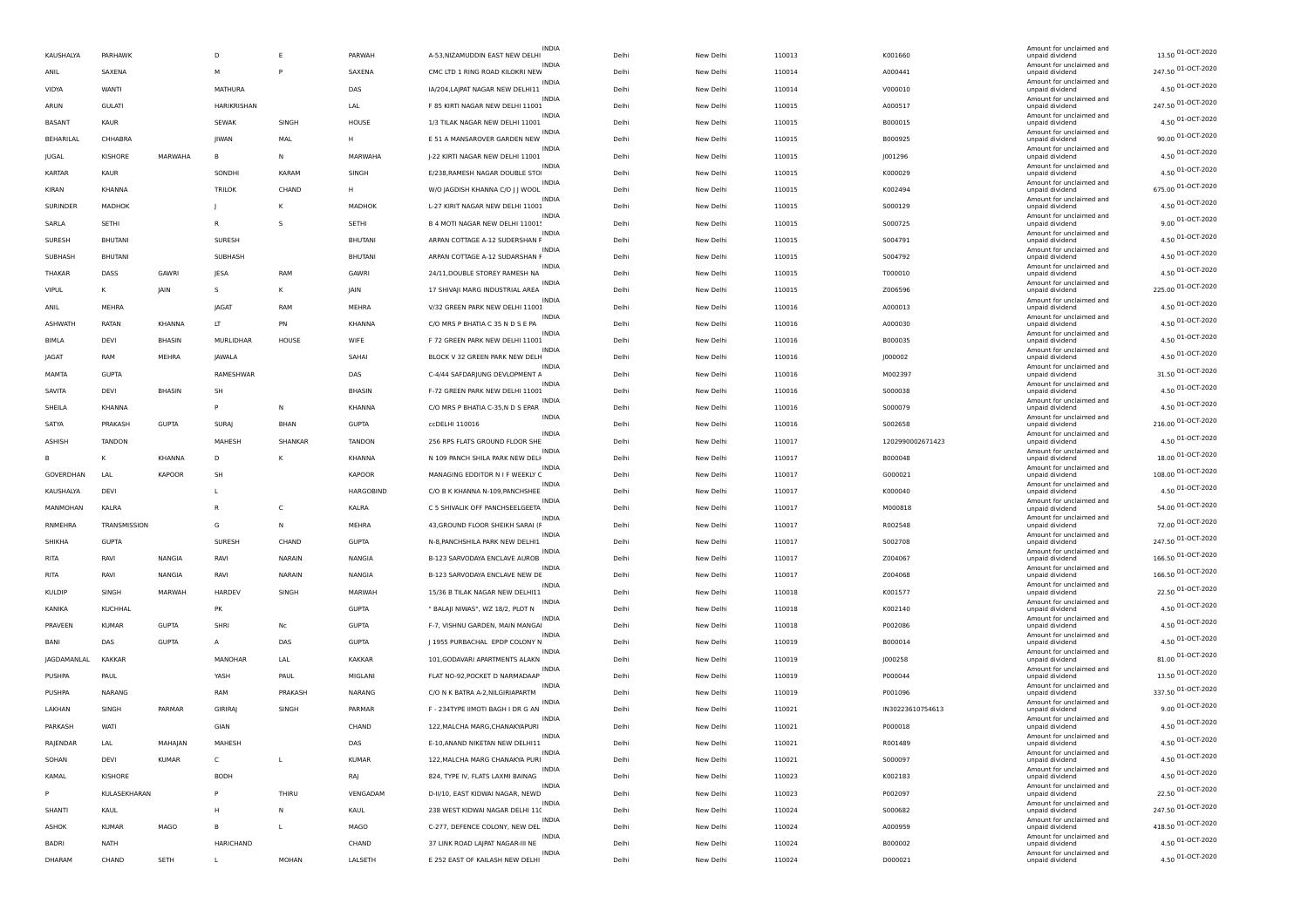| KAUSHALYA      | PARHAWK        |              | D              | Ε              | PARWAH           | INDIA<br>A-53, NIZAMUDDIN EAST NEW DELHI          | Delhi | New Delhi | 110013 | K001660          | Amount for unclaimed and<br>unpaid dividend | 13.50 01-OCT-2020  |
|----------------|----------------|--------------|----------------|----------------|------------------|---------------------------------------------------|-------|-----------|--------|------------------|---------------------------------------------|--------------------|
| ANIL           | SAXENA         |              | M              | P              | SAXENA           | <b>INDIA</b><br>CMC LTD 1 RING ROAD KILOKRI NEW   | Delhi | New Delhi | 110014 | A000441          | Amount for unclaimed and<br>unpaid dividend | 247.50 01-OCT-2020 |
| VIDYA          | WANTI          |              | <b>MATHURA</b> |                | DAS              | <b>INDIA</b><br>IA/204, LAJPAT NAGAR NEW DELHI11  | Delhi | New Delhi | 110014 | V000010          | Amount for unclaimed and<br>unpaid dividend | 4.50 01-OCT-2020   |
| ARUN           | <b>GULATI</b>  |              | HARIKRISHAN    |                | LAL              | INDIA<br>F 85 KIRTI NAGAR NEW DELHI 11001         | Delhi | New Delhi | 110015 | A000517          | Amount for unclaimed and<br>unpaid dividend | 247.50 01-OCT-2020 |
| BASANT         | KAUR           |              | SEWAK          | SINGH          | HOUSE            | <b>INDIA</b><br>1/3 TILAK NAGAR NEW DELHI 11001   | Delhi | New Delhi | 110015 | B000015          | Amount for unclaimed and<br>unpaid dividend | 4.50 01-OCT-2020   |
| BEHARILAL      | CHHABRA        |              | <b>IIWAN</b>   | MAL            | н                | <b>INDIA</b><br>E 51 A MANSAROVER GARDEN NEW      | Delh  | New Delhi | 110015 | B000925          | Amount for unclaimed and<br>unpaid dividend | 90.00 01-OCT-2020  |
| JUGAL          | KISHORE        | MARWAHA      | B              | N              | MARWAHA          | INDIA<br>J-22 KIRTI NAGAR NEW DELHI 11001         | Delhi | New Delhi | 110015 | J001296          | Amount for unclaimed and<br>unpaid dividend | 4.50 01-OCT-2020   |
| <b>KARTAR</b>  | KAUR           |              | SONDHI         | KARAM          | SINGH            | INDIA<br>E/238, RAMESH NAGAR DOUBLE STO           | Delhi | New Delhi | 110015 | K000029          | Amount for unclaimed and<br>unpaid dividend | 4.50 01-OCT-2020   |
| KIRAN          | KHANNA         |              | <b>TRILOK</b>  | CHAND          | н                | INDIA<br>W/O JAGDISH KHANNA C/O J J WOOL          | Delh  | New Delhi | 110015 | K002494          | Amount for unclaimed and<br>unpaid dividend | 675.00 01-OCT-2020 |
| SURINDER       | MADHOK         |              |                | κ              | MADHOK           | <b>INDIA</b><br>L-27 KIRIT NAGAR NEW DELHI 11001  | Delhi | New Delhi | 110015 |                  | Amount for unclaimed and                    | 4.50 01-OCT-2020   |
|                |                |              | R              | s              |                  | INDIA                                             |       |           |        | S000129          | unpaid dividend<br>Amount for unclaimed and | 9.00 01-OCT-2020   |
| SARLA          | SETHI          |              |                |                | SETHI            | B 4 MOTI NAGAR NEW DELHI 11001!<br>INDIA          | Delhi | New Delhi | 110015 | S000725          | unpaid dividend<br>Amount for unclaimed and | 4.50 01-OCT-2020   |
| SURESH         | <b>BHUTANI</b> |              | SURESH         |                | BHUTANI          | ARPAN COTTAGE A-12 SUDERSHAN F<br><b>INDIA</b>    | Delhi | New Delhi | 110015 | S004791          | unpaid dividend<br>Amount for unclaimed and | 4.50 01-OCT-2020   |
| SUBHASH        | <b>BHUTANI</b> |              | SUBHASH        |                | <b>BHUTANI</b>   | ARPAN COTTAGE A-12 SUDARSHAN F<br>INDIA           | Delhi | New Delhi | 110015 | S004792          | unpaid dividend<br>Amount for unclaimed and | 4.50 01-OCT-2020   |
| THAKAR         | DASS           | GAWRI        | JESA           | RAM            | GAWRI            | 24/11, DOUBLE STOREY RAMESH NA<br><b>INDIA</b>    | Delhi | New Delhi | 110015 | T000010          | unpaid dividend<br>Amount for unclaimed and |                    |
| VIPUL          | к              | JAIN         | s              | κ              | JAIN             | 17 SHIVAJI MARG INDUSTRIAL AREA<br>INDIA          | Delhi | New Delhi | 110015 | Z006596          | unpaid dividend<br>Amount for unclaimed and | 225.00 01-OCT-2020 |
| ANIL           | MEHRA          |              | IAGA1          | RAM            | MEHRA            | V/32 GREEN PARK NEW DELHI 1100!<br><b>INDIA</b>   | Delh  | New Delhi | 110016 | A000013          | unpaid dividend<br>Amount for unclaimed and | 4.50 01-OCT-2020   |
| <b>ASHWATH</b> | RATAN          | KHANNA       | LT             | PN             | KHANNA           | C/O MRS P BHATIA C 35 N D S E PA<br><b>INDIA</b>  | Delhi | New Delhi | 110016 | A000030          | unpaid dividend<br>Amount for unclaimed and | 4.50 01-OCT-2020   |
| <b>BIMLA</b>   | DEVI           | BHASIN       | MURLIDHAR      | HOUSE          | WIFE             | F 72 GREEN PARK NEW DELHI 11001<br>INDIA          | Delhi | New Delhi | 110016 | B000035          | unpaid dividend<br>Amount for unclaimed and | 4.50 01-OCT-2020   |
| JAGAT          | RAM            | MEHRA        | JAWALA         |                | SAHA             | BLOCK V 32 GREEN PARK NEW DELH<br><b>INDIA</b>    | Delhi | New Delhi | 110016 | J000002          | unpaid dividend<br>Amount for unclaimed and | 4.50 01-OCT-2020   |
| MAMTA          | <b>GUPTA</b>   |              | RAMESHWAR      |                | DAS              | C-4/44 SAFDARJUNG DEVLOPMENT A<br><b>INDIA</b>    | Delhi | New Delhi | 110016 | M002397          | unpaid dividend<br>Amount for unclaimed and | 31.50 01-OCT-2020  |
| SAVITA         | DEVI           | BHASIN       | SH             |                | BHASIN           | F-72 GREEN PARK NEW DELHI 11001                   | Delh  | New Delhi | 110016 | S000038          | unpaid dividend<br>Amount for unclaimed and | 4.50 01-OCT-2020   |
| SHEILA         | KHANNA         |              | P              | N              | KHANNA           | INDIA<br>C/O MRS P BHATIA C-35,N D S EPAR         | Delhi | New Delhi | 110016 | S000079          | unpaid dividend                             | 4.50 01-OCT-2020   |
| SATYA          | PRAKASH        | <b>GUPTA</b> | SURAJ          | BHAN           | <b>GUPTA</b>     | <b>INDIA</b><br>ccDELHI 110016                    | Delhi | New Delhi | 110016 | S002658          | Amount for unclaimed and<br>unpaid dividend | 216.00 01-OCT-2020 |
| ASHISH         | <b>TANDON</b>  |              | <b>MAHESH</b>  | <b>SHANKAR</b> | <b>TANDON</b>    | INDIA<br>256 RPS FLATS GROUND FLOOR SHE           | Delh  | New Delhi | 110017 | 1202990002671423 | Amount for unclaimed and<br>unpaid dividend | 4.50 01-OCT-2020   |
| в              |                | KHANNA       | D              | κ              | KHANNA           | N 109 PANCH SHILA PARK NEW DELH                   | Delhi | New Delhi | 110017 | B000048          | Amount for unclaimed and<br>unpaid dividend | 18.00 01-OCT-2020  |
| GOVERDHAN      | LAL            | KAPOOR       | SH             |                | <b>KAPOOR</b>    | INDIA<br>MANAGING EDDITOR N I F WEEKLY C          | Delhi | New Delhi | 110017 | G000021          | Amount for unclaimed and<br>unpaid dividend | 108.00 01-OCT-2020 |
| KAUSHALYA      | DEVI           |              | L              |                | <b>HARGOBIND</b> | INDIA<br>C/O B K KHANNA N-109, PANCHSHEE          | Delhi | New Delhi | 110017 | K000040          | Amount for unclaimed and<br>unpaid dividend | 4.50 01-OCT-2020   |
| MANMOHAN       | KALRA          |              | R              | $\mathsf{C}$   | KALRA            | INDIA<br>C 5 SHIVALIK OFF PANCHSEELGEETA          | Delhi | New Delhi | 110017 | M000818          | Amount for unclaimed and<br>unpaid dividend | 54.00 01-OCT-2020  |
| RNMEHRA        | TRANSMISSION   |              | G              | N              | MEHRA            | INDIA<br>43, GROUND FLOOR SHEIKH SARAI (F         | Delhi | New Delhi | 110017 | R002548          | Amount for unclaimed and<br>unpaid dividend | 72.00 01-OCT-2020  |
| SHIKHA         | <b>GUPTA</b>   |              | SURESH         | CHAND          | <b>GUPTA</b>     | <b>INDIA</b><br>N-8, PANCHSHILA PARK NEW DELHI1   | Delhi | New Delhi | 110017 | S002708          | Amount for unclaimed and<br>unpaid dividend | 247.50 01-OCT-2020 |
| <b>RITA</b>    | RAVI           | NANGIA       | RAVI           | NARAIN         | NANGIA           | <b>INDIA</b><br>B-123 SARVODAYA ENCLAVE AUROB     | Delh  | New Delhi | 110017 | Z004067          | Amount for unclaimed and<br>unpaid dividend | 166.50 01-OCT-2020 |
| RITA           | RAVI           | NANGIA       | RAVI           | NARAIN         | NANGIA           | INDIA<br>B-123 SARVODAYA ENCLAVE NEW DE           | Delhi | New Delhi | 110017 | Z004068          | Amount for unclaimed and<br>unpaid dividend | 166.50 01-OCT-2020 |
| <b>KULDIP</b>  | SINGH          | MARWAH       | HARDEV         | SINGH          | MARWAH           | <b>INDIA</b><br>15/36 B TILAK NAGAR NEW DELHI11   | Delhi | New Delhi | 110018 | K001577          | Amount for unclaimed and<br>unpaid dividend | 22.50 01-OCT-2020  |
| KANIKA         | KUCHHAL        |              | PK             |                | <b>GUPTA</b>     | INDIA<br>" BALAJI NIWAS", WZ 18/2, PLOT N         | Delhi | New Delhi | 110018 | K002140          | Amount for unclaimed and<br>unpaid dividend | 4.50 01-OCT-2020   |
| PRAVEEN        | <b>KUMAR</b>   | <b>GUPTA</b> | SHRI           | No             | <b>GUPTA</b>     | F-7, VISHNU GARDEN, MAIN MANGA                    | Delhi | New Delhi | 110018 | P002086          | Amount for unclaimed and<br>unpaid dividend | 4.50 01-OCT-2020   |
| BANI           | DAS            | <b>GUPTA</b> | A              | DAS            | <b>GUPTA</b>     | INDIA<br>J 1955 PURBACHAL EPDP COLONY N           | Delh  | New Delhi | 110019 | B000014          | Amount for unclaimed and<br>unpaid dividend | 4.50 01-OCT-2020   |
| JAGDAMANLAL    | <b>KAKKAR</b>  |              | MANOHAR        | LAL            | KAKKAR           | INDIA<br>101, GODAVARI APARTMENTS ALAKN           | Delhi | New Delhi | 110019 | J000258          | Amount for unclaimed and                    | 81.00 01-OCT-2020  |
|                |                |              |                |                |                  | INDIA<br>FLAT NO-92, POCKET D NARMADAAP           | Delhi |           |        |                  | unpaid dividend<br>Amount for unclaimed and | 13.50 01-OCT-2020  |
| PUSHPA         | PAUL           |              | YASH           | PAUL           | MIGLANI          | INDIA                                             |       | New Delhi | 110019 | P000044          | unpaid dividend<br>Amount for unclaimed and | 337.50 01-OCT-2020 |
| PUSHPA         | NARANG         |              | RAM            | PRAKASH        | NARANG           | C/O N K BATRA A-2, NILGIRIAPARTM<br><b>INDIA</b>  | Delh  | New Delhi | 110019 | P001096          | unpaid dividend<br>Amount for unclaimed and | 9.00 01-OCT-2020   |
| LAKHAN         | SINGH          | PARMAR       | <b>GIRIRAJ</b> | SINGH          | PARMAR           | F - 234TYPE IIMOTI BAGH I DR G AN<br><b>INDIA</b> | Delhi | New Delhi | 110021 | IN30223610754613 | unpaid dividend<br>Amount for unclaimed and | 4.50 01-OCT-2020   |
| PARKASH        | WATI           |              | GIAN           |                | CHAND            | 122, MALCHA MARG, CHANAKYAPURI                    | Delh  | New Delhi | 110021 | P000018          | unpaid dividend<br>Amount for unclaimed and |                    |
| RAJENDAR       | LAL            | MAHAJAN      | MAHESH         |                | DAS              | E-10, ANAND NIKETAN NEW DELHI11<br>INDIA          | Delhi | New Delhi | 110021 | R001489          | unpaid dividend<br>Amount for unclaimed and | 4.50 01-OCT-2020   |
| SOHAN          | DEVI           | <b>KUMAR</b> | $\mathsf{C}$   | $\mathsf{L}$   | <b>KUMAR</b>     | 122, MALCHA MARG CHANAKYA PURI<br>INDIA           | Delhi | New Delhi | 110021 | S000097          | unpaid dividend<br>Amount for unclaimed and | 4.50 01-OCT-2020   |
| KAMAL          | KISHORE        |              | <b>BODH</b>    |                | RAJ              | 824, TYPE IV, FLATS LAXMI BAINAG<br><b>INDIA</b>  | Delhi | New Delhi | 110023 | K002183          | unpaid dividend<br>Amount for unclaimed and | 4.50 01-OCT-2020   |
| P              | KULASEKHARAN   |              | P              | THIRU          | VENGADAM         | D-II/10, EAST KIDWAI NAGAR, NEWD                  | Delhi | New Delhi | 110023 | P002097          | unpaid dividend<br>Amount for unclaimed and | 22.50 01-OCT-2020  |
| SHANTI         | KAUL           |              | н              | Ν              | KAUL             | 238 WEST KIDWAI NAGAR DELHI 11(<br>INDIA          | Delhi | New Delhi | 110024 | S000682          | unpaid dividend<br>Amount for unclaimed and | 247.50 01-OCT-2020 |
| ASHOK          | <b>KUMAR</b>   | MAGO         | B              | L              | MAGO             | C-277, DEFENCE COLONY, NEW DEL<br>INDIA           | Delhi | New Delhi | 110024 | A000959          | unpaid dividend<br>Amount for unclaimed and | 418.50 01-OCT-2020 |
| <b>BADRI</b>   | NATH           |              | HARICHAND      |                | CHAND            | 37 LINK ROAD LAJPAT NAGAR-III NE                  | Delhi | New Delhi | 110024 | B000002          | unpaid dividend                             | 4.50 01-OCT-2020   |
| DHARAM         | CHAND          | SETH         |                | MOHAN          | LALSETH          | INDIA<br>E 252 EAST OF KAILASH NEW DELHI          | Delhi | New Delhi | 110024 | D000021          | Amount for unclaimed and<br>unpaid dividend | 4.50 01-OCT-2020   |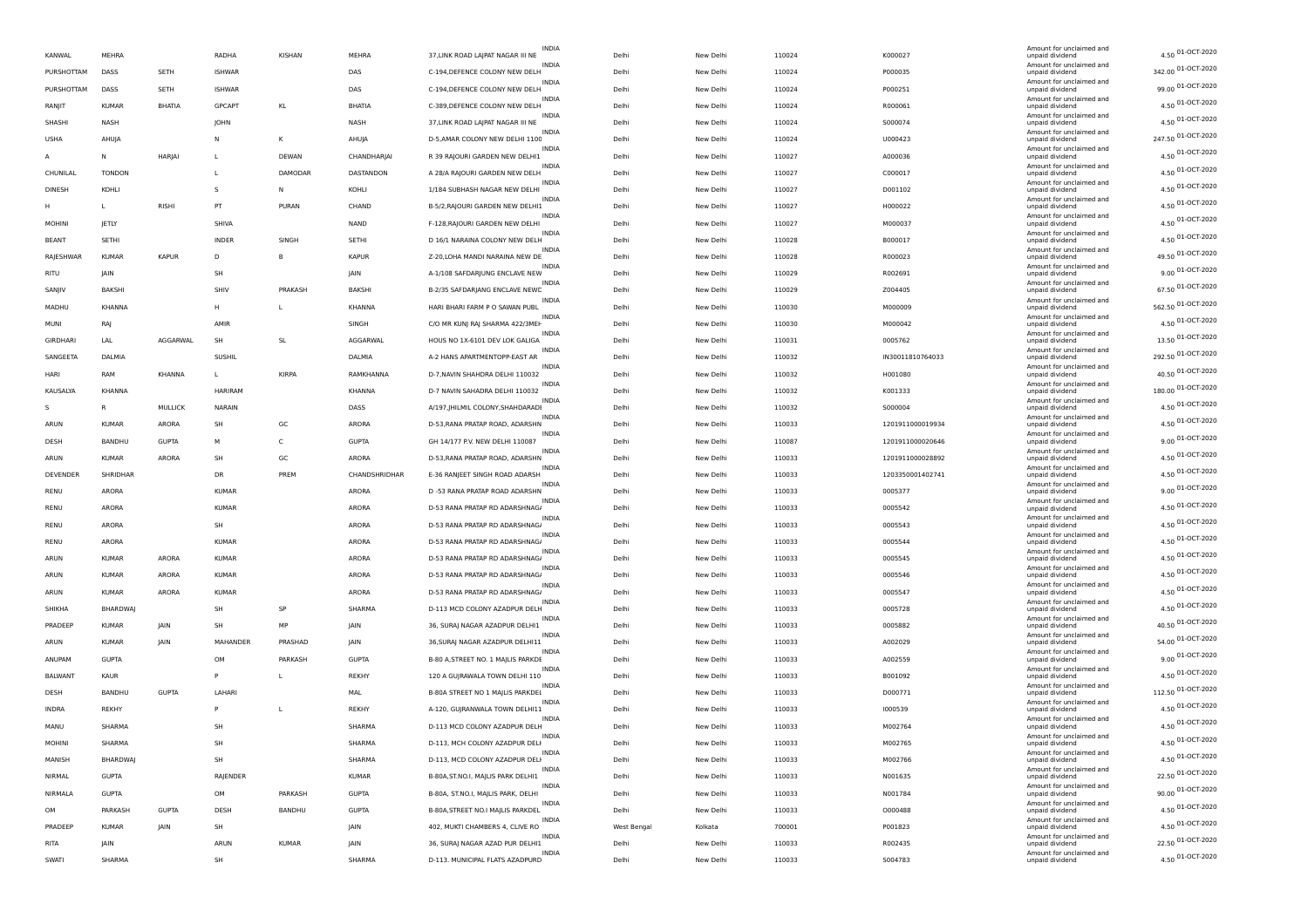| KANWAL          | MEHRA           |                | RADHA         | KISHAN        | MEHRA         | INDIA<br>37, LINK ROAD LAJPAT NAGAR III NE        | Delh        | New Delhi | 110024 | K000027          | Amount for unclaimed and<br>unpaid dividend | 4.50 01-OCT-2020    |
|-----------------|-----------------|----------------|---------------|---------------|---------------|---------------------------------------------------|-------------|-----------|--------|------------------|---------------------------------------------|---------------------|
| PURSHOTTAM      | DASS            | SETH           | <b>ISHWAR</b> |               | DAS           | <b>INDIA</b><br>C-194, DEFENCE COLONY NEW DELH    | Delh        | New Delhi | 110024 | P000035          | Amount for unclaimed and<br>unpaid dividend | 342.00 01-OCT-2020  |
| PURSHOTTAM      | DASS            | SETH           | <b>ISHWAR</b> |               | DAS           | <b>INDIA</b><br>C-194, DEFENCE COLONY NEW DELH    | Delh        | New Delhi | 110024 | P000251          | Amount for unclaimed and<br>unpaid dividend | 99.00 01-OCT-2020   |
| RANJIT          | <b>KUMAR</b>    | BHATIA         | GPCAPT        | KL            | BHATIA        | <b>INDIA</b><br>C-389, DEFENCE COLONY NEW DELH    | Delhi       | New Delhi | 110024 | R000061          | Amount for unclaimed and<br>unpaid dividend | 4.50 01-OCT-2020    |
| SHASHI          | <b>NASH</b>     |                | JOHN          |               | <b>NASH</b>   | <b>INDIA</b><br>37, LINK ROAD LAJPAT NAGAR III NE | Delh        | New Delhi | 110024 | S000074          | Amount for unclaimed and<br>unpaid dividend | 4.50 01-OCT-2020    |
| <b>USHA</b>     | AHUIA           |                | N             | к             | AHUJA         | <b>INDIA</b><br>D-5, AMAR COLONY NEW DELHI 1100   | Delh        | New Delhi | 110024 | U000423          | Amount for unclaimed and<br>unpaid dividend | 247.50 01-OCT-2020  |
| A               | Ν               | HARJAI         | L             | DEWAN         | CHANDHARJAI   | <b>INDIA</b><br>R 39 RAJOURI GARDEN NEW DELHI1    | Delh        | New Delhi | 110027 | A000036          | Amount for unclaimed and<br>unpaid dividend | 4.50 01-OCT-2020    |
| CHUNILAL        | <b>TONDON</b>   |                | L             | DAMODAR       | DASTANDON     | <b>INDIA</b><br>A 28/A RAJOURI GARDEN NEW DELH    | Delhi       | New Delhi | 110027 | C000017          | Amount for unclaimed and<br>unpaid dividend | 4.50 01-OCT-2020    |
| DINESH          | KOHLI           |                | s             | N             | KOHLI         | INDIA<br>1/184 SUBHASH NAGAR NEW DELHI            | Delhi       | New Delhi | 110027 | D001102          | Amount for unclaimed and<br>unpaid dividend | 4.50 01-OCT-2020    |
| н               |                 | RISHI          | PT            | PURAN         | CHAND         | <b>INDIA</b><br>B-5/2, RAJOURI GARDEN NEW DELHIJ  | Delh        | New Delhi | 110027 | H000022          | Amount for unclaimed and<br>unpaid dividend | 4.50 01-OCT-2020    |
| <b>MOHINI</b>   | JETLY           |                | SHIVA         |               | NAND          | INDIA<br>F-128, RAJOURI GARDEN NEW DELHI          | Delh        | New Delhi | 110027 | M000037          | Amount for unclaimed and<br>unpaid dividend | 4.50 01-OCT-2020    |
| <b>BEANT</b>    | SETHI           |                | <b>INDER</b>  | SINGH         | SETHI         | <b>INDIA</b><br>D 16/1 NARAINA COLONY NEW DELH    | Delh        | New Delhi | 110028 | B000017          | Amount for unclaimed and<br>unpaid dividend | 4.50 01-OCT-2020    |
| RAJESHWAR       | <b>KUMAR</b>    | <b>KAPUR</b>   | D             | <b>B</b>      | <b>KAPUR</b>  | INDIA<br>Z-20, LOHA MANDI NARAINA NEW DE          | Delh        | New Delhi | 110028 | R000023          | Amount for unclaimed and<br>unpaid dividend | 49.50 01-OCT-2020   |
| RITU            | JAIN            |                | SH            |               | JAIN          | INDIA<br>A-1/108 SAFDARJUNG ENCLAVE NEW           | Delhi       | New Delhi | 110029 | R002691          | Amount for unclaimed and<br>unpaid dividend | 9.00 01-OCT-2020    |
| SANJIV          | <b>BAKSHI</b>   |                | SHIV          | PRAKASH       | BAKSHI        | <b>INDIA</b><br>B-2/35 SAFDARJANG ENCLAVE NEWE    | Delhi       | New Delhi | 110029 | Z004405          | Amount for unclaimed and<br>unpaid dividend | 67.50 01-OCT-2020   |
| MADHU           | KHANNA          |                | H             | L             | KHANNA        | INDIA<br>HARI BHARI FARM P O SAWAN PUBL           | Delh        | New Delhi | 110030 | M000009          | Amount for unclaimed and                    | 562.50 01-OCT-2020  |
|                 |                 |                | AMIR          |               |               | <b>INDIA</b>                                      |             |           |        |                  | unpaid dividend<br>Amount for unclaimed and | 4.50 01-OCT-2020    |
| MUNI            | RAJ             |                |               |               | SINGH         | C/O MR KUNJ RAJ SHARMA 422/3MEH<br><b>INDIA</b>   | Delh        | New Delhi | 110030 | M000042          | unpaid dividend<br>Amount for unclaimed and | 13.50 01-OCT-2020   |
| <b>GIRDHARI</b> | LAL             | AGGARWAL       | <b>SH</b>     | <b>SL</b>     | AGGARWAL      | HOUS NO 1X-6101 DEV LOK GALIGA<br>INDIA           | Delh        | New Delhi | 110031 | 0005762          | unpaid dividend<br>Amount for unclaimed and | 292.50 01-OCT-2020  |
| SANGEETA        | DALMIA          |                | SUSHII        |               | DALMIA        | A-2 HANS APARTMENTOPP-EAST AR<br><b>INDIA</b>     | Delhi       | New Delhi | 110032 | IN30011810764033 | unpaid dividend<br>Amount for unclaimed and | 40.50 01-OCT-2020   |
| HARI            | RAM             | <b>KHANNA</b>  | L             | <b>KIRPA</b>  | RAMKHANNA     | D-7, NAVIN SHAHDRA DELHI 110032<br>INDIA          | Delh        | New Delhi | 110032 | H001080          | unpaid dividend<br>Amount for unclaimed and | 180.00 01-OCT-2020  |
| KAUSALYA        | KHANNA          |                | HARIRAM       |               | KHANNA        | D-7 NAVIN SAHADRA DELHI 110032<br><b>INDIA</b>    | Delh        | New Delhi | 110032 | K001333          | unpaid dividend<br>Amount for unclaimed and | 4.50 01-OCT-2020    |
| S.              | R               | <b>MULLICK</b> | NARAIN        |               | DASS          | A/197,  HILMIL COLONY, SHAHDARADI<br>INDIA        | Delh        | New Delhi | 110032 | S000004          | unpaid dividend<br>Amount for unclaimed and | 4.50 01-OCT-2020    |
| ARUN            | <b>KUMAR</b>    | ARORA          | <b>SH</b>     | GC            | ARORA         | D-53, RANA PRATAP ROAD, ADARSHN<br>INDIA          | Delh        | New Delhi | 110033 | 1201911000019934 | unpaid dividend<br>Amount for unclaimed and |                     |
| DESH            | BANDHU          | <b>GUPTA</b>   | М             | C             | <b>GUPTA</b>  | GH 14/177 P.V. NEW DELHI 110087<br><b>INDIA</b>   | Delhi       | New Delhi | 110087 | 1201911000020646 | unpaid dividend<br>Amount for unclaimed and | 9.00 01-OCT-2020    |
| ARUN            | <b>KUMAR</b>    | ARORA          | SH            | GC            | ARORA         | D-53, RANA PRATAP ROAD, ADARSHN<br><b>INDIA</b>   | Delh        | New Delhi | 110033 | 1201911000028892 | unpaid dividend<br>Amount for unclaimed and | 4.50 01-OCT-2020    |
| <b>DEVENDER</b> | SHRIDHAR        |                | DR            | PREM          | CHANDSHRIDHAR | E-36 RANJEET SINGH ROAD ADARSH<br><b>INDIA</b>    | Delh        | New Delhi | 110033 | 1203350001402741 | unpaid dividend<br>Amount for unclaimed and | 4.50 01-OCT-2020    |
| RENU            | ARORA           |                | <b>KUMAR</b>  |               | ARORA         | D -53 RANA PRATAP ROAD ADARSHN<br><b>INDIA</b>    | Delh        | New Delhi | 110033 | 0005377          | unpaid dividend<br>Amount for unclaimed and | 9.00 01-OCT-2020    |
| RENU            | ARORA           |                | <b>KUMAR</b>  |               | ARORA         | D-53 RANA PRATAP RD ADARSHNAG/<br><b>INDIA</b>    | Delh        | New Delhi | 110033 | 0005542          | unpaid dividend<br>Amount for unclaimed and | 4.50 01-OCT-2020    |
| RENU            | ARORA           |                | SH            |               | ARORA         | D-53 RANA PRATAP RD ADARSHNAG/<br><b>INDIA</b>    | Delhi       | New Delhi | 110033 | 0005543          | unpaid dividend<br>Amount for unclaimed and | 4.50 01-OCT-2020    |
| RENU            | ARORA           |                | KUMAR         |               | ARORA         | D-53 RANA PRATAP RD ADARSHNAG/<br>INDIA           | Delhi       | New Delhi | 110033 | 0005544          | unpaid dividend<br>Amount for unclaimed and | 4.50 01-OCT-2020    |
| ARUN            | <b>KUMAR</b>    | ARORA          | <b>KUMAR</b>  |               | ARORA         | D-53 RANA PRATAP RD ADARSHNAG/<br>INDIA           | Delh        | New Delhi | 110033 | 0005545          | unpaid dividend<br>Amount for unclaimed and | 4.50 01-OCT-2020    |
| ARUN            | <b>KUMAR</b>    | ARORA          | <b>KUMAR</b>  |               | ARORA         | D-53 RANA PRATAP RD ADARSHNAG/<br><b>INDIA</b>    | Delh        | New Delhi | 110033 | 0005546          | unpaid dividend<br>Amount for unclaimed and | 4.50 01-OCT-2020    |
| ARUN            | <b>KUMAR</b>    | ARORA          | <b>KUMAR</b>  |               | ARORA         | D-53 RANA PRATAP RD ADARSHNAG/<br>INDIA           | Delh        | New Delhi | 110033 | 0005547          | unpaid dividend<br>Amount for unclaimed and | 4.50 01-OCT-2020    |
| SHIKHA          | BHARDWAJ        |                | SH            | SP            | SHARMA        | D-113 MCD COLONY AZADPUR DELH<br><b>INDIA</b>     | Delhi       | New Delhi | 110033 | 0005728          | unpaid dividend<br>Amount for unclaimed and | 4.50 01-OCT-2020    |
| PRADEEP         | <b>KUMAR</b>    | JAIN           | <b>SH</b>     | MP            | JAIN          | 36, SURAJ NAGAR AZADPUR DELHI1<br><b>INDIA</b>    | Delh        | New Delhi | 110033 | 0005882          | unpaid dividend<br>Amount for unclaimed and | 40.50 01-OCT-2020   |
| ARUN            | <b>KUMAR</b>    | <b>JAIN</b>    | MAHANDER      | PRASHAD       | <b>IAIN</b>   | 36, SURAJ NAGAR AZADPUR DELHI11<br><b>INDIA</b>   | Delh        | New Delhi | 110033 | A002029          | unpaid dividend<br>Amount for unclaimed and | 54.00 01-OCT-2020   |
| ANUPAM          | <b>GUPTA</b>    |                | OM            | PARKASH       | <b>GUPTA</b>  | B-80 A, STREET NO. 1 MAJLIS PARKDE                | Delh        | New Delhi | 110033 | A002559          | unpaid dividend                             | $9.00\,01-OCT-2020$ |
| <b>BALWANT</b>  | KAUR            |                | P             | L             | REKHY         | INDIA<br>120 A GUJRAWALA TOWN DELHI 110           | Delh        | New Delhi | 110033 | B001092          | Amount for unclaimed and<br>unpaid dividend | 4.50 01-OCT-2020    |
| DESH            | BANDHU          | <b>GUPTA</b>   | LAHARI        |               | MAL           | <b>INDIA</b><br>B-80A STREET NO 1 MAJLIS PARKDEL  | Delhi       | New Delhi | 110033 | D000771          | Amount for unclaimed and<br>unpaid dividend | 112.50 01-OCT-2020  |
| INDRA           | REKHY           |                | P             | L             | REKHY         | <b>INDIA</b><br>A-120, GUIRANWALA TOWN DELHI11    | Delh        | New Delhi | 110033 | 1000539          | Amount for unclaimed and<br>unpaid dividend | 4.50 01-OCT-2020    |
| MANU            | SHARMA          |                | SH            |               | SHARMA        | D-113 MCD COLONY AZADPUR DELH                     | Delhi       | New Delhi | 110033 | M002764          | Amount for unclaimed and<br>unpaid dividend | 4.50 01-OCT-2020    |
| MOHINI          | SHARMA          |                | $H$           |               | SHARMA        | <b>INDIA</b><br>D-113, MCH COLONY AZADPUR DELH    | Delhi       | New Delhi | 110033 | M002765          | Amount for unclaimed and<br>unpaid div      | 4.50 01-OCT-2020    |
| MANISH          | <b>BHARDWAJ</b> |                | SH            |               | SHARMA        | INDIA<br>D-113, MCD COLONY AZADPUR DELI           | Delhi       | New Delhi | 110033 | M002766          | Amount for unclaimed and<br>unpaid dividend | 4.50 01-OCT-2020    |
| NIRMAL          | <b>GUPTA</b>    |                | RAJENDER      |               | KUMAR         | B-80A, ST. NO.I, MAJLIS PARK DELHI1               | Delhi       | New Delhi | 110033 | N001635          | Amount for unclaimed and<br>unpaid dividend | 22.50 01-OCT-2020   |
| NIRMALA         | <b>GUPTA</b>    |                | OM            | PARKASH       | <b>GUPTA</b>  | INDIA<br>B-80A, ST.NO.I, MAJLIS PARK, DELHI       | Delhi       | New Delhi | 110033 | N001784          | Amount for unclaimed and<br>unpaid dividend | 90.00 01-OCT-2020   |
| OM              | PARKASH         | <b>GUPTA</b>   | DESH          | <b>BANDHU</b> | <b>GUPTA</b>  | <b>INDIA</b><br>B-80A, STREET NO.I MAJLIS PARKDEL | Delhi       | New Delhi | 110033 | 0000488          | Amount for unclaimed and<br>unpaid dividend | 4.50 01-OCT-2020    |
| PRADEEP         | <b>KUMAR</b>    | JAIN           | SH            |               | JAIN          | INDIA<br>402, MUKTI CHAMBERS 4, CLIVE RO          | West Bengal | Kolkata   | 700001 | P001823          | Amount for unclaimed and<br>unpaid dividend | 4.50 01-OCT-2020    |
| RITA            | JAIN            |                | ARUN          | <b>KUMAR</b>  | JAIN          | INDIA<br>36, SURAJ NAGAR AZAD PUR DELHI1          | Delh        | New Delhi | 110033 | R002435          | Amount for unclaimed and<br>unpaid dividend | 22.50 01-OCT-2020   |
| SWATI           | SHARMA          |                | SH            |               | SHARMA        | D-113. MUNICIPAL FLATS AZADPURD                   | Delhi       | New Delhi | 110033 | S004783          | Amount for unclaimed and<br>unpaid dividend | 4.50 01-OCT-2020    |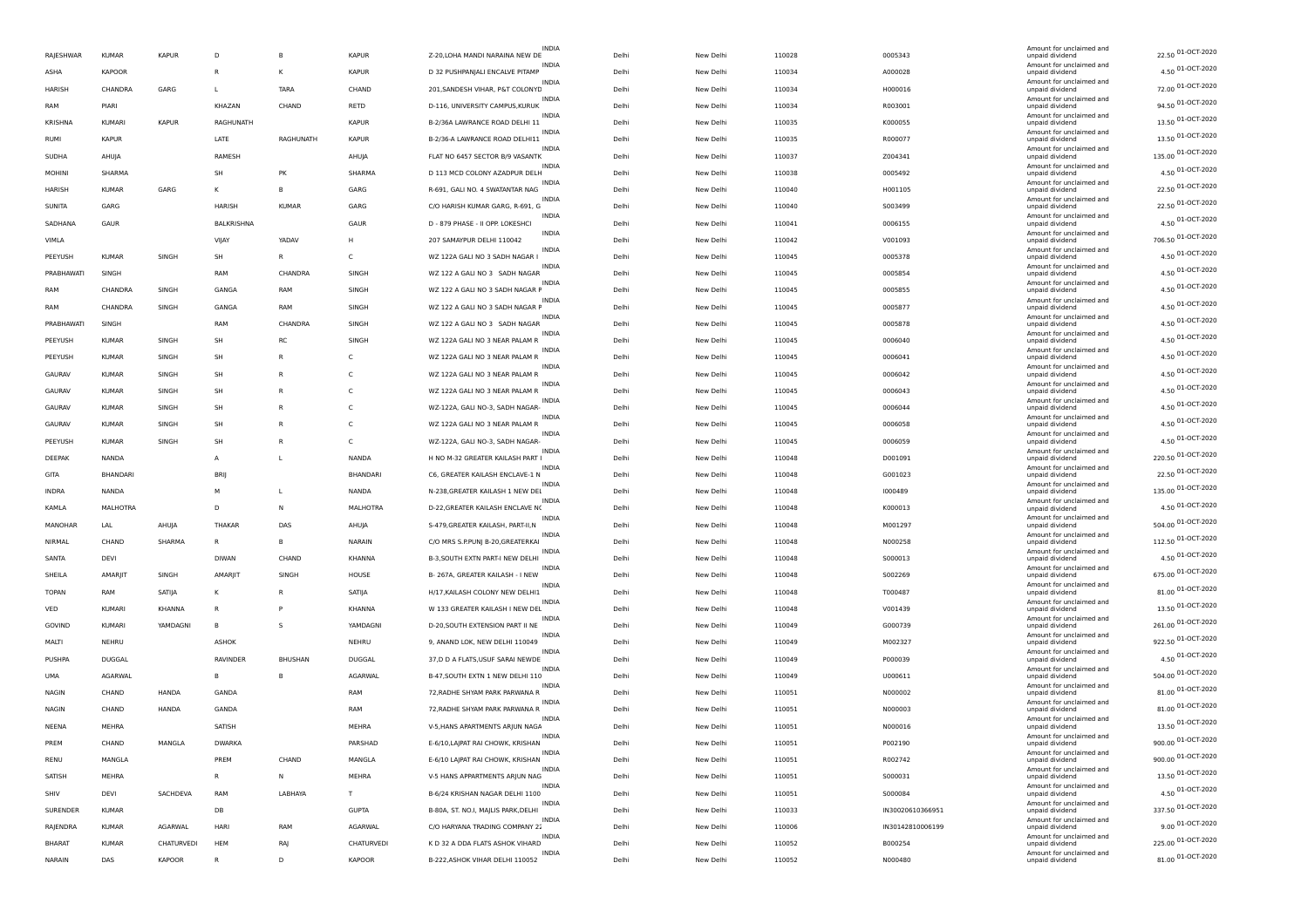|               |                |               |               |                |                 |                                                 |       |           |        |                  | Amount for unclaimed and                    |                    |
|---------------|----------------|---------------|---------------|----------------|-----------------|-------------------------------------------------|-------|-----------|--------|------------------|---------------------------------------------|--------------------|
| RAJESHWAR     | <b>KUMAR</b>   | <b>KAPUR</b>  | D             | В              | <b>KAPUR</b>    | <b>INDIA</b><br>Z-20, LOHA MANDI NARAINA NEW DE | Delhi | New Delhi | 110028 | 0005343          | unpaid dividend                             | 22.50 01-OCT-2020  |
| ASHA          | <b>KAPOOR</b>  |               | $\mathsf R$   | К              | <b>KAPUR</b>    | D 32 PUSHPANJALI ENCALVE PITAMP                 | Delhi | New Delhi | 110034 | A000028          | Amount for unclaimed and<br>unpaid dividend | 4.50 01-OCT-2020   |
| HARISH        | CHANDRA        | GARG          | L             | TARA           | CHAND           | 201, SANDESH VIHAR, P&T COLONYD                 | Delhi | New Delhi | 110034 | H000016          | Amount for unclaimed and<br>unpaid dividend | 72.00 01-OCT-2020  |
| RAM           | PIARI          |               | KHAZAN        | CHAND          | RETD            | <b>INDIA</b><br>D-116, UNIVERSITY CAMPUS, KURUK | Delhi | New Delhi | 110034 | R003001          | Amount for unclaimed and<br>unpaid dividend | 94.50 01-OCT-2020  |
| KRISHNA       | <b>KUMARI</b>  | <b>KAPUR</b>  | RAGHUNATH     |                | <b>KAPUR</b>    | <b>INDIA</b><br>B-2/36A LAWRANCE ROAD DELHI 11  | Delhi | New Delhi | 110035 | K000055          | Amount for unclaimed and<br>unpaid dividend | 13.50 01-OCT-2020  |
| <b>RUMI</b>   | <b>KAPUR</b>   |               | LATE          | RAGHUNATH      | <b>KAPUR</b>    | <b>INDIA</b><br>B-2/36-A LAWRANCE ROAD DELHI11  | Delhi | New Delhi | 110035 | R000077          | Amount for unclaimed and<br>unpaid dividend | 13.50 01-OCT-2020  |
| SUDHA         | AHUJA          |               | RAMESH        |                | AHUJA           | <b>INDIA</b><br>FLAT NO 6457 SECTOR B/9 VASANTK | Delhi | New Delhi | 110037 | Z004341          | Amount for unclaimed and<br>unpaid dividend | 135.00 01-OCT-2020 |
|               |                |               |               |                |                 |                                                 |       |           |        |                  | Amount for unclaimed and                    | 4.50 01-OCT-2020   |
| <b>MOHINI</b> | SHARMA         |               | SH            | PK             | SHARMA          | D 113 MCD COLONY AZADPUR DELH<br><b>INDIA</b>   | Delhi | New Delhi | 110038 | 0005492          | unpaid dividend<br>Amount for unclaimed and | 22.50 01-OCT-2020  |
| HARISH        | <b>KUMAR</b>   | GARG          | κ             | B              | GARG            | R-691, GALI NO. 4 SWATANTAR NAG<br>INDIA        | Delhi | New Delhi | 110040 | H001105          | unpaid dividend<br>Amount for unclaimed and | 22.50 01-OCT-2020  |
| SUNITA        | GARG           |               | <b>HARISH</b> | <b>KUMAR</b>   | GARG            | C/O HARISH KUMAR GARG, R-691, G<br><b>INDIA</b> | Delhi | New Delhi | 110040 | S003499          | unpaid dividend<br>Amount for unclaimed and |                    |
| SADHANA       | GAUR           |               | BALKRISHNA    |                | GAUR            | D - 879 PHASE - II OPP. LOKESHCI<br>INDIA       | Delhi | New Delhi | 110041 | 0006155          | unpaid dividend<br>Amount for unclaimed and | 4.50 01-OCT-2020   |
| VIMLA         |                |               | VIJAY         | YADAV          | н               | 207 SAMAYPUR DELHI 110042<br><b>INDIA</b>       | Delhi | New Delhi | 110042 | V001093          | unpaid dividend<br>Amount for unclaimed and | 706.50 01-OCT-2020 |
| PEEYUSH       | <b>KUMAF</b>   | SINGH         | SH            | R              | C               | WZ 122A GALI NO 3 SADH NAGAR I<br><b>INDIA</b>  | Delhi | New Delhi | 110045 | 0005378          | unpaid dividend<br>Amount for unclaimed and | 4.50 01-OCT-2020   |
| PRABHAWATI    | SINGH          |               | RAM           | CHANDRA        | SINGH           | WZ 122 A GALI NO 3 SADH NAGAR                   | Delhi | New Delhi | 110045 | 0005854          | unpaid dividend                             | 4.50 01-OCT-2020   |
| RAM           | CHANDRA        | SINGH         | GANGA         | RAM            | SINGH           | INDIA<br>WZ 122 A GALI NO 3 SADH NAGAR F        | Delhi | New Delhi | 110045 | 0005855          | Amount for unclaimed and<br>unpaid dividend | 4.50 01-OCT-2020   |
| RAM           | CHANDRA        | SINGH         | GANGA         | RAM            | SINGH           | <b>INDIA</b><br>WZ 122 A GALI NO 3 SADH NAGAR F | Delhi | New Delhi | 110045 | 0005877          | Amount for unclaimed and<br>unpaid dividend | 4.50 01-OCT-2020   |
| PRABHAWATI    | SINGH          |               | RAM           | CHANDRA        | SINGH           | <b>INDIA</b><br>WZ 122 A GALI NO 3 SADH NAGAR   | Delhi | New Delhi | 110045 | 0005878          | Amount for unclaimed and<br>unpaid dividend | 4.50 01-OCT-2020   |
| PEEYUSH       | <b>KUMAR</b>   | SINGH         | SH            | RC             | SINGH           | INDIA<br>WZ 122A GALI NO 3 NEAR PALAM R         | Delhi | New Delhi | 110045 | 0006040          | Amount for unclaimed and<br>unpaid dividend | 4.50 01-OCT-2020   |
| PEEYUSH       | <b>KUMAF</b>   | SINGH         | SH            | $\mathsf{R}$   | Ċ               | <b>INDIA</b><br>WZ 122A GALI NO 3 NEAR PALAM R  | Delhi | New Delhi | 110045 | 0006041          | Amount for unclaimed and<br>unpaid dividend | 4.50 01-OCT-2020   |
| GAURAV        | <b>KUMAR</b>   | SINGH         | SH            | R              | C               | <b>INDIA</b><br>WZ 122A GALI NO 3 NEAR PALAM R  | Delhi | New Delhi | 110045 | 0006042          | Amount for unclaimed and<br>unpaid dividend | 4.50 01-OCT-2020   |
| GAURAV        | <b>KUMAF</b>   | SINGH         | SH            | R              | C               | <b>INDIA</b><br>WZ 122A GALI NO 3 NEAR PALAM R  | Delhi | New Delhi | 110045 | 0006043          | Amount for unclaimed and<br>unpaid dividend | 4.50 01-OCT-2020   |
| GAURAV        | <b>KUMAR</b>   | SINGH         | SH            | $\mathsf{R}$   | c               | <b>INDIA</b><br>WZ-122A, GALI NO-3, SADH NAGAR- | Delhi | New Delhi | 110045 | 0006044          | Amount for unclaimed and<br>unpaid dividend | 4.50 01-OCT-2020   |
|               |                |               | SH            | R              | c               | INDIA<br>WZ 122A GALI NO 3 NEAR PALAM R         |       |           |        |                  | Amount for unclaimed and                    | 4.50 01-OCT-2020   |
| GAURAV        | KUMAR          | SINGH         |               |                |                 | <b>INDIA</b>                                    | Delhi | New Delhi | 110045 | 0006058          | unpaid dividend<br>Amount for unclaimed and | 4.50 01-OCT-2020   |
| PEEYUSH       | <b>KUMAF</b>   | SINGH         | SH            | R              | C               | WZ-122A, GALI NO-3, SADH NAGAR-<br>INDIA        | Delhi | New Delhi | 110045 | 0006059          | unpaid dividend<br>Amount for unclaimed and | 220.50 01-OCT-2020 |
| DEEPAK        | <b>NANDA</b>   |               | A             | L              | NANDA           | H NO M-32 GREATER KAILASH PART<br><b>INDIA</b>  | Delhi | New Delhi | 110048 | D001091          | unpaid dividend<br>Amount for unclaimed and |                    |
| GITA          | BHANDARI       |               | <b>BRIJ</b>   |                | <b>BHANDARI</b> | C6, GREATER KAILASH ENCLAVE-1 N<br>INDIA        | Delhi | New Delhi | 110048 | G001023          | unpaid dividend<br>Amount for unclaimed and | 22.50 01-OCT-2020  |
| <b>INDRA</b>  | NANDA          |               | М             | L              | <b>NANDA</b>    | N-238, GREATER KAILASH 1 NEW DEI<br>INDIA       | Delhi | New Delhi | 110048 | 1000489          | unpaid dividend<br>Amount for unclaimed and | 135.00 01-OCT-2020 |
| KAMLA         | MALHOTRA       |               | D             | N              | MALHOTRA        | D-22, GREATER KAILASH ENCLAVE NO<br>INDIA       | Delhi | New Delhi | 110048 | K000013          | unpaid dividend<br>Amount for unclaimed and | 4.50 01-OCT-2020   |
| MANOHAR       | LAL            | AHUJA         | <b>THAKAF</b> | DAS            | AHUJA           | S-479, GREATER KAILASH, PART-II, N              | Delhi | New Delhi | 110048 | M001297          | unpaid dividend                             | 504.00 01-OCT-2020 |
| NIRMAL        | CHAND          | SHARMA        | $\mathsf{R}$  | В              | NARAIN          | INDIA<br>C/O MRS S.P.PUNJ B-20, GREATERKAI      | Delhi | New Delhi | 110048 | N000258          | Amount for unclaimed and<br>unpaid dividend | 112.50 01-OCT-2020 |
| SANTA         | DEVI           |               | <b>DIWAN</b>  | CHAND          | KHANNA          | INDIA<br>B-3, SOUTH EXTN PART-I NEW DELHI       | Delhi | New Delhi | 110048 | S000013          | Amount for unclaimed and<br>unpaid dividend | 4.50 01-OCT-2020   |
| SHEILA        | <b>AMARIIT</b> | SINGH         | <b>AMARII</b> | SINGH          | HOUSE           | INDIA<br>B- 267A, GREATER KAILASH - I NEW       | Delhi | New Delhi | 110048 | S002269          | Amount for unclaimed and<br>unpaid dividend | 675.00 01-OCT-2020 |
| TOPAN         | RAM            | SATIJA        | κ             | R              | SATIJA          | H/17, KAILASH COLONY NEW DELHI1                 | Delhi | New Delhi | 110048 | T000487          | Amount for unclaimed and<br>unpaid dividend | 81.00 01-OCT-2020  |
| VED           | KUMARI         | <b>KHANNA</b> | R             | P              | <b>KHANNA</b>   | <b>INDIA</b><br>W 133 GREATER KAILASH I NEW DEL | Delhi | New Delhi | 110048 | V001439          | Amount for unclaimed and<br>unpaid dividend | 13.50 01-OCT-2020  |
| GOVIND        | <b>KUMARI</b>  | YAMDAGNI      | B             | s              | YAMDAGNI        | INDIA<br>D-20, SOUTH EXTENSION PART II NE       | Delhi | New Delhi | 110049 | G000739          | Amount for unclaimed and<br>unpaid dividend | 261.00 01-OCT-2020 |
| MALTI         | NEHRU          |               | <b>ASHOK</b>  |                | <b>NEHRU</b>    | <b>INDIA</b><br>9, ANAND LOK, NEW DELHI 110049  | Delhi | New Delhi | 110049 | M002327          | Amount for unclaimed and<br>unpaid dividend | 922.50 01-OCT-2020 |
| PUSHPA        | <b>DUGGAL</b>  |               | RAVINDER      | <b>BHUSHAN</b> | DUGGAL          | INDIA<br>37,D D A FLATS, USUF SARAI NEWDE       | Delhi | New Delhi | 110049 | P000039          | Amount for unclaimed and<br>unpaid dividend | 4.50 01-OCT-2020   |
| UMA           | AGARWAL        |               | B             | В              | AGARWAL         | INDIA<br>B-47, SOUTH EXTN 1 NEW DELHI 110       | Delhi | New Delhi | 110049 | U000611          | Amount for unclaimed and                    | 504.00 01-OCT-2020 |
|               |                |               |               |                |                 | <b>INDIA</b>                                    |       |           |        |                  | unpaid dividend<br>Amount for unclaimed and | 81.00 01-OCT-2020  |
| <b>NAGIN</b>  | CHAND          | HANDA         | GANDA         |                | RAM             | 72, RADHE SHYAM PARK PARWANA R<br><b>INDIA</b>  | Delhi | New Delhi | 110051 | N000002          | unpaid dividend<br>Amount for unclaimed and | 81.00 01-OCT-2020  |
| NAGIN         | CHAND          | HANDA         | GANDA         |                | RAM             | 72, RADHE SHYAM PARK PARWANA R<br><b>INDIA</b>  | Delhi | New Delhi | 110051 | N000003          | unpaid dividend<br>Amount for unclaimed and |                    |
| NEENA         | MEHRA          |               | SATISH        |                | <b>MEHRA</b>    | V-5, HANS APARTMENTS ARJUN NAGA<br>INDIA        | Delhi | New Delhi | 110051 | N000016          | unpaid dividend<br>Amount for unclaimed and | 13.50 01-OCT-2020  |
| PREM          | CHAND          | MANGLA        | <b>DWARKA</b> |                | PARSHAD         | E-6/10, LAJPAT RAI CHOWK, KRISHAN               | Delhi | New Delhi | 110051 | P002190          | unpaid dividend<br>Amount for unclaimed and | 900.00 01-OCT-2020 |
| RENU          | MANGLA         |               | PREM          | CHAND          | MANGLA          | E-6/10 LAJPAT RAI CHOWK, KRISHAN<br>INDIA       | Delhi | New Delhi | 110051 | R002742          | unpaid dividend<br>Amount for unclaimed and | 900.00 01-OCT-2020 |
| SATISH        | MEHRA          |               | $\mathsf{R}$  | N              | MEHRA           | V-5 HANS APPARTMENTS ARJUN NAG                  | Delhi | New Delhi | 110051 | 5000031          | unpaid dividend                             | 13.50 01-OCT-2020  |
| SHIV          | DEVI           | SACHDEVA      | RAM           | LABHAYA        | T.              | INDIA<br>B-6/24 KRISHAN NAGAR DELHI 1100        | Delhi | New Delhi | 110051 | S000084          | Amount for unclaimed and<br>unpaid dividend | 4.50 01-OCT-2020   |
| SURENDER      | <b>KUMAR</b>   |               | DB            |                | <b>GUPTA</b>    | INDIA<br>B-80A, ST. NO.I, MAJLIS PARK, DELHI    | Delhi | New Delhi | 110033 | IN30020610366951 | Amount for unclaimed and<br>unpaid dividend | 337.50 01-OCT-2020 |
| RAJENDRA      | <b>KUMAR</b>   | AGARWAL       | HARI          | RAM            | AGARWAL         | <b>INDIA</b><br>C/O HARYANA TRADING COMPANY 2.  | Delhi | New Delhi | 110006 | IN30142810006199 | Amount for unclaimed and<br>unpaid dividend | 9.00 01-OCT-2020   |
| <b>BHARAT</b> | <b>KUMAR</b>   | CHATURVEDI    | HEM           | RAJ            | CHATURVEDI      | K D 32 A DDA FLATS ASHOK VIHARD                 | Delhi | New Delhi | 110052 | B000254          | Amount for unclaimed and<br>unpaid dividend | 225.00 01-OCT-2020 |
| NARAIN        | DAS            | KAPOOR        | R             | D              | <b>KAPOOR</b>   | INDIA<br>B-222, ASHOK VIHAR DELHI 110052        | Delhi | New Delhi | 110052 | N000480          | Amount for unclaimed and<br>unpaid dividend | 81.00 01-OCT-2020  |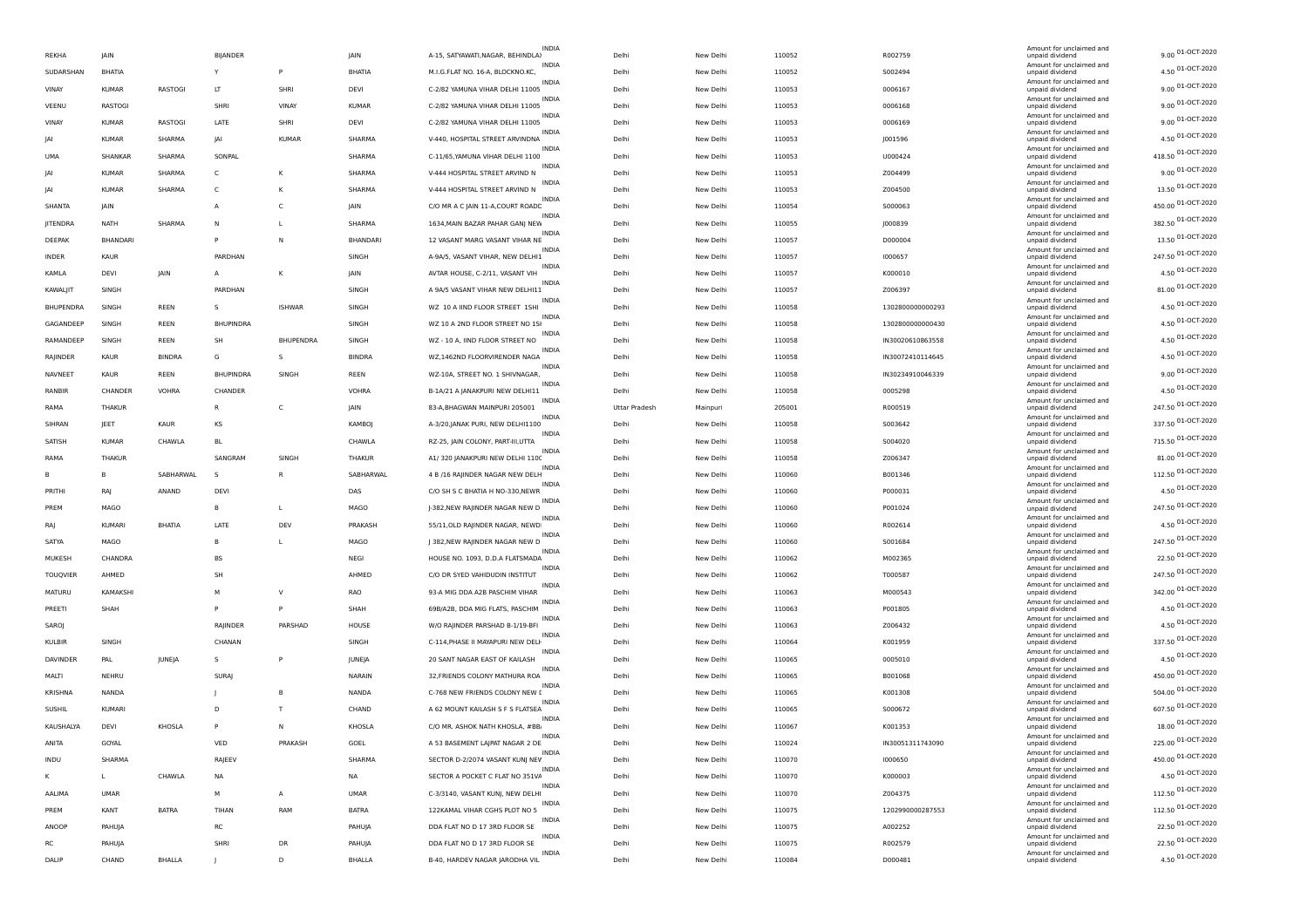|                 |               |               |                  |               |               |                                                                    |               |           |        |                  | Amount for unclaimed and                    |                    |
|-----------------|---------------|---------------|------------------|---------------|---------------|--------------------------------------------------------------------|---------------|-----------|--------|------------------|---------------------------------------------|--------------------|
| REKHA           | <b>JAIN</b>   |               | <b>BIJANDER</b>  |               | JAIN          | <b>INDIA</b><br>A-15, SATYAWATI, NAGAR, BEHINDLA)                  | Delh          | New Delhi | 110052 | R002759          | unpaid dividend                             | 9.00 01-OCT-2020   |
| SUDARSHAN       | BHATIA        |               | Υ                | P             | BHATIA        | M.I.G.FLAT NO. 16-A, BLOCKNO.KC,                                   | Delhi         | New Delhi | 110052 | S002494          | Amount for unclaimed and<br>unpaid dividend | 4.50 01-OCT-2020   |
| VINAY           | <b>KUMAR</b>  | RASTOGI       | LT               | SHRI          | DEVI          | <b>INDIA</b><br>C-2/82 YAMUNA VIHAR DELHI 11005                    | Delhi         | New Delhi | 110053 | 0006167          | Amount for unclaimed and<br>unpaid dividend | 9.00 01-OCT-2020   |
| VEENU           | <b>RASTOG</b> |               | SHRI             | VINAY         | <b>KUMAR</b>  | <b>INDIA</b><br>C-2/82 YAMUNA VIHAR DELHI 11005                    | Delh          | New Delhi | 110053 | 0006168          | Amount for unclaimed and<br>unpaid dividend | 9.00 01-OCT-2020   |
| VINAY           | <b>KUMAR</b>  | RASTOGI       | LATE             | SHRI          | DEVI          | <b>INDIA</b><br>C-2/82 YAMUNA VIHAR DELHI 11005                    | Delhi         | New Delhi | 110053 | 0006169          | Amount for unclaimed and<br>unpaid dividend | 9.00 01-OCT-2020   |
| IAI             | <b>KUMAR</b>  | SHARMA        | JAI              | <b>KUMAR</b>  | SHARMA        | INDIA<br>V-440, HOSPITAL STREET ARVINDNA                           | Delh          | New Delhi | 110053 | J001596          | Amount for unclaimed and<br>unpaid dividend | 4.50 01-OCT-2020   |
| <b>UMA</b>      | SHANKAR       | SHARMA        | SONPAL           |               | SHARMA        | INDIA<br>C-11/65, YAMUNA VIHAR DELHI 1100                          | Delhi         | New Delhi | 110053 | U000424          | Amount for unclaimed and<br>unpaid dividend | 418.50 01-OCT-2020 |
| IAI             | KUMAR         | SHARMA        | C                | к             | SHARMA        | <b>INDIA</b><br>V-444 HOSPITAL STREET ARVIND N                     | Delh          | New Delhi | 110053 | Z004499          | Amount for unclaimed and<br>unpaid dividend | 9.00 01-OCT-2020   |
| IAI             | <b>KUMAR</b>  | SHARMA        | C                | К             | SHARMA        | <b>INDIA</b><br>V-444 HOSPITAL STREET ARVIND N                     | Delh          | New Delhi | 110053 | Z004500          | Amount for unclaimed and<br>unpaid dividend | 13.50 01-OCT-2020  |
|                 |               |               |                  |               |               | INDIA                                                              |               |           |        |                  | Amount for unclaimed and                    | 450.00 01-OCT-2020 |
| SHANTA          | <b>IAIN</b>   |               | A                | C             | <b>IAIN</b>   | C/O MR A C JAIN 11-A, COURT ROADE<br><b>INDIA</b>                  | Delh          | New Delhi | 110054 | S000063          | unpaid dividend<br>Amount for unclaimed and | 382.50 01-OCT-2020 |
| JITENDRA        | <b>NATH</b>   | SHARMA        | Ν                | L             | SHARMA        | 1634, MAIN BAZAR PAHAR GANJ NEW<br><b>INDIA</b>                    | Delh          | New Delhi | 110055 | J000839          | unpaid dividend<br>Amount for unclaimed and | 13.50 01-OCT-2020  |
| DEEPAK          | BHANDARI      |               |                  | N             | BHANDARI      | 12 VASANT MARG VASANT VIHAR NE<br><b>INDIA</b>                     | Delhi         | New Delhi | 110057 | D000004          | unpaid dividend<br>Amount for unclaimed and |                    |
| INDER           | KAUR          |               | PARDHAN          |               | SINGH         | A-9A/5, VASANT VIHAR, NEW DELHI1<br>INDIA                          | Delhi         | New Delhi | 110057 | 1000657          | unpaid dividend<br>Amount for unclaimed and | 247.50 01-OCT-2020 |
| KAMLA           | DEVI          | JAIN          | A                | К             | JAIN          | AVTAR HOUSE, C-2/11, VASANT VIH<br><b>INDIA</b>                    | Delh          | New Delhi | 110057 | K000010          | unpaid dividend<br>Amount for unclaimed and | 4.50 01-OCT-2020   |
| KAWALJIT        | SINGH         |               | PARDHAN          |               | SINGH         | A 9A/5 VASANT VIHAR NEW DELHI11<br><b>INDIA</b>                    | Delh          | New Delhi | 110057 | Z006397          | unpaid dividend<br>Amount for unclaimed and | 81.00 01-OCT-2020  |
| BHUPENDRA       | SINGH         | REEN          | s                | <b>ISHWAF</b> | SINGH         | WZ 10 A IIND FLOOR STREET 1SHI<br><b>INDIA</b>                     | Delh          | New Delhi | 110058 | 1302800000000293 | unpaid dividend                             | 4.50 01-OCT-2020   |
| GAGANDEEP       | SINGH         | REEN          | <b>BHUPINDRA</b> |               | SINGH         | WZ 10 A 2ND FLOOR STREET NO 1SI                                    | Delhi         | New Delhi | 110058 | 1302800000000430 | Amount for unclaimed and<br>unpaid dividend | 4.50 01-OCT-2020   |
| RAMANDEEP       | SINGH         | REEN          | SH               | BHUPENDRA     | SINGH         | WZ - 10 A, IIND FLOOR STREET NO                                    | Delhi         | New Delhi | 110058 | IN30020610863558 | Amount for unclaimed and<br>unpaid dividend | 4.50 01-OCT-2020   |
| RAJINDER        | KAUR          | <b>BINDRA</b> | G                | s             | <b>BINDRA</b> | <b>INDIA</b><br>WZ,1462ND FLOORVIRENDER NAGA                       | Delh          | New Delhi | 110058 | IN30072410114645 | Amount for unclaimed and<br>unpaid dividend | 4.50 01-OCT-2020   |
| NAVNEET         | <b>KAUR</b>   | REEN          | <b>BHUPINDRA</b> | SINGH         | REEN          | <b>INDIA</b><br>WZ-10A, STREET NO. 1 SHIVNAGAR,                    | Delh          | New Delhi | 110058 | IN30234910046339 | Amount for unclaimed and<br>unpaid dividend | 9.00 01-OCT-2020   |
| RANBIR          | CHANDER       | <b>VOHRA</b>  | CHANDER          |               | <b>VOHRA</b>  | <b>INDIA</b><br>B-1A/21 A JANAKPURI NEW DELHI11                    | Delh          | New Delhi | 110058 | 0005298          | Amount for unclaimed and<br>unpaid dividend | 4.50 01-OCT-2020   |
| RAMA            | THAKUR        |               | R                | C             | JAIN          | <b>INDIA</b><br>83-A, BHAGWAN MAINPURI 205001                      | Uttar Pradesh | Mainpuri  | 205001 | R000519          | Amount for unclaimed and<br>unpaid dividend | 247.50 01-OCT-2020 |
| SIHRAN          | JEET          | KAUR          | KS               |               | <b>KAMBOJ</b> | <b>INDIA</b><br>A-3/20, JANAK PURI, NEW DELHI1100                  | Delh          | New Delhi | 110058 | S003642          | Amount for unclaimed and<br>unpaid dividend | 337.50 01-OCT-2020 |
| SATISH          | <b>KUMAR</b>  | CHAWLA        | <b>BL</b>        |               | CHAWLA        | <b>INDIA</b><br>RZ-25, JAIN COLONY, PART-III,UTTA                  | Delh          | New Delhi | 110058 | S004020          | Amount for unclaimed and<br>unpaid dividend | 715.50 01-OCT-2020 |
| RAMA            | THAKUR        |               | SANGRAM          | SINGH         | <b>THAKUR</b> | INDIA<br>A1/ 320 JANAKPURI NEW DELHI 1100                          | Delh          | New Delhi | 110058 | Z006347          | Amount for unclaimed and<br>unpaid dividend | 81.00 01-OCT-2020  |
|                 |               | SABHARWAL     | s                | R             | SABHARWAL     | <b>INDIA</b><br>4 B /16 RAJINDER NAGAR NEW DELH                    |               |           |        |                  | Amount for unclaimed and                    | 112.50 01-OCT-2020 |
| PRITHI          | в             | ANAND         | DEVI             |               |               | <b>INDIA</b>                                                       | Delh          | New Delhi | 110060 | B001346          | unpaid dividend<br>Amount for unclaimed and | 4.50 01-OCT-2020   |
|                 | RAJ           |               |                  |               | DAS           | C/O SH S C BHATIA H NO-330, NEWR                                   | Delh          | New Delhi | 110060 | P000031          | unpaid dividend<br>Amount for unclaimed and | 247.50 01-OCT-2020 |
| PREM            | MAGO          |               | в                | L             | MAGO          | J-382, NEW RAJINDER NAGAR NEW D<br><b>INDIA</b>                    | Delhi         | New Delhi | 110060 | P001024          | unpaid dividend<br>Amount for unclaimed and | 4.50 01-OCT-2020   |
| RAJ             | <b>KUMARI</b> | <b>BHATIA</b> | LATE             | DEV           | PRAKASH       | 55/11, OLD RAJINDER NAGAR, NEWD<br>INDIA                           | Delh          | New Delhi | 110060 | R002614          | unpaid dividend<br>Amount for unclaimed and |                    |
| SATYA           | MAGO          |               | B                | L             | MAGO          | J 382, NEW RAJINDER NAGAR NEW D<br><b>INDIA</b>                    | Delh          | New Delhi | 110060 | S001684          | unpaid dividend<br>Amount for unclaimed and | 247.50 01-OCT-2020 |
| MUKESH          | CHANDRA       |               | <b>BS</b>        |               | NEGI          | HOUSE NO. 1093, D.D.A FLATSMADA<br>INDIA                           | Delh          | New Delhi | 110062 | M002365          | unpaid dividend<br>Amount for unclaimed and | 22.50 01-OCT-2020  |
| <b>TOUQVIER</b> | AHMED         |               | SH               |               | AHMED         | C/O DR SYED VAHIDUDIN INSTITUT                                     | Delh          | New Delhi | 110062 | T000587          | unpaid dividend<br>Amount for unclaimed and | 247.50 01-OCT-2020 |
| MATURU          | KAMAKSHI      |               | M                | $\vee$        | RAO           | 93-A MIG DDA A2B PASCHIM VIHAR<br><b>INDIA</b>                     | Delhi         | New Delhi | 110063 | M000543          | unpaid dividend                             | 342.00 01-OCT-2020 |
| PREETI          | SHAH          |               | P                | P             | SHAH          | 69B/A2B, DDA MIG FLATS, PASCHIM                                    | Delh          | New Delhi | 110063 | P001805          | Amount for unclaimed and<br>unpaid dividend | 4.50 01-OCT-2020   |
| SAROJ           |               |               | RAJINDER         | PARSHAD       | HOUSE         | INDIA<br>W/O RAJINDER PARSHAD B-1/19-BFI                           | Delhi         | New Delhi | 110063 | Z006432          | Amount for unclaimed and<br>unpaid dividend | 4.50 01-OCT-2020   |
| <b>KULBIR</b>   | SINGH         |               | CHANAN           |               | SINGH         | INDIA<br>C-114, PHASE II MAYAPURI NEW DELI                         | Delh          | New Delhi | 110064 | K001959          | Amount for unclaimed and<br>unpaid dividend | 337.50 01-OCT-2020 |
| DAVINDER        | PAL           | JUNEJA        | s                | P             | JUNEJA        | <b>INDIA</b><br>20 SANT NAGAR EAST OF KAILASH                      | Delhi         | New Delhi | 110065 | 0005010          | Amount for unclaimed and<br>unpaid dividend | 4.50 01-OCT-2020   |
| MALTI           | NEHRU         |               | <b>SURAJ</b>     |               | NARAIN        | <b>INDIA</b><br>32, FRIENDS COLONY MATHURA ROA                     | Delh          | New Delhi | 110065 | B001068          | Amount for unclaimed and<br>unpaid dividend | 450.00 01-OCT-2020 |
| <b>KRISHNA</b>  | NANDA         |               |                  | B             | NANDA         | <b>INDIA</b><br>C-768 NEW FRIENDS COLONY NEW I                     | Delh          | New Delhi | 110065 | K001308          | Amount for unclaimed and<br>unpaid dividend | 504.00 01-OCT-2020 |
| SUSHIL          | <b>KUMARI</b> |               | D                | $\mathbf{I}$  | CHAND         | INDIA<br>A 62 MOUNT KAILASH S F S FLATSEA                          | Delh          | New Delhi | 110065 | S000672          | Amount for unclaimed and<br>unpaid dividend | 607.50 01-OCT-2020 |
| KAUSHALYA       | <b>DEVI</b>   | KHOSLA        | P                | N             | KHOSLA        | <b>INDIA</b><br>C/O MR. ASHOK NATH KHOSLA, #BB,                    | Delh          | New Delhi | 110067 | K001353          | Amount for unclaimed and<br>unpaid dividend | 18.00 01-OCT-2020  |
|                 |               |               | VED              |               | GOEL          | INDIA                                                              |               |           |        |                  | Amount for unclaimed and                    | 225.00 01-OCT-2020 |
| ANITA           | GOYAL         |               |                  | PRAKASH       | SHARMA        | A 53 BASEMENT LAJPAT NAGAR 2 DE<br>SECTOR D-2/2074 VASANT KUNJ NEV | Delhi         | New Delhi | 110024 | IN30051311743090 | unpaid dividend<br>Amount for unclaimed and | 450.00 01-OCT-2020 |
| INDU            | SHARMA        |               | RAJEEV           |               |               | INDIA                                                              | Delhi         | New Delhi | 110070 | 1000650          | unpaid dividend<br>Amount for unclaimed and | 4.50 01-OCT-2020   |
|                 | L             | CHAWLA        | NA               |               | NA            | SECTOR A POCKET C FLAT NO 351VA<br>INDIA                           | Delhi         | New Delhi | 110070 | K000003          | unpaid dividend<br>Amount for unclaimed and |                    |
| AALIMA          | <b>UMAR</b>   |               | M                | A             | <b>UMAR</b>   | C-3/3140, VASANT KUNJ, NEW DELHI<br>INDIA                          | Delhi         | New Delhi | 110070 | Z004375          | unpaid dividend<br>Amount for unclaimed and | 112.50 01-OCT-2020 |
| PREM            | KANT          | <b>BATRA</b>  | TIHAN            | RAM           | <b>BATRA</b>  | 122KAMAL VIHAR CGHS PLOT NO 5<br>INDIA                             | Delhi         | New Delhi | 110075 | 1202990000287553 | unpaid dividend<br>Amount for unclaimed and | 112.50 01-OCT-2020 |
| ANOOP           | PAHUJA        |               | RC               |               | PAHUJA        | DDA FLAT NO D 17 3RD FLOOR SE<br><b>INDIA</b>                      | Delhi         | New Delhi | 110075 | A002252          | unpaid dividend<br>Amount for unclaimed and | 22.50 01-OCT-2020  |
| RC              | PAHUJA        |               | SHRI             | DR            | PAHUJA        | DDA FLAT NO D 17 3RD FLOOR SE<br>INDIA                             | Delhi         | New Delhi | 110075 | R002579          | unpaid dividend<br>Amount for unclaimed and | 22.50 01-OCT-2020  |
| DALIP           | CHAND         | <b>BHALLA</b> |                  | D             | <b>BHALLA</b> | B-40, HARDEV NAGAR JARODHA VIL                                     | Delhi         | New Delhi | 110084 | D000481          | unpaid dividend                             | 4.50 01-OCT-2020   |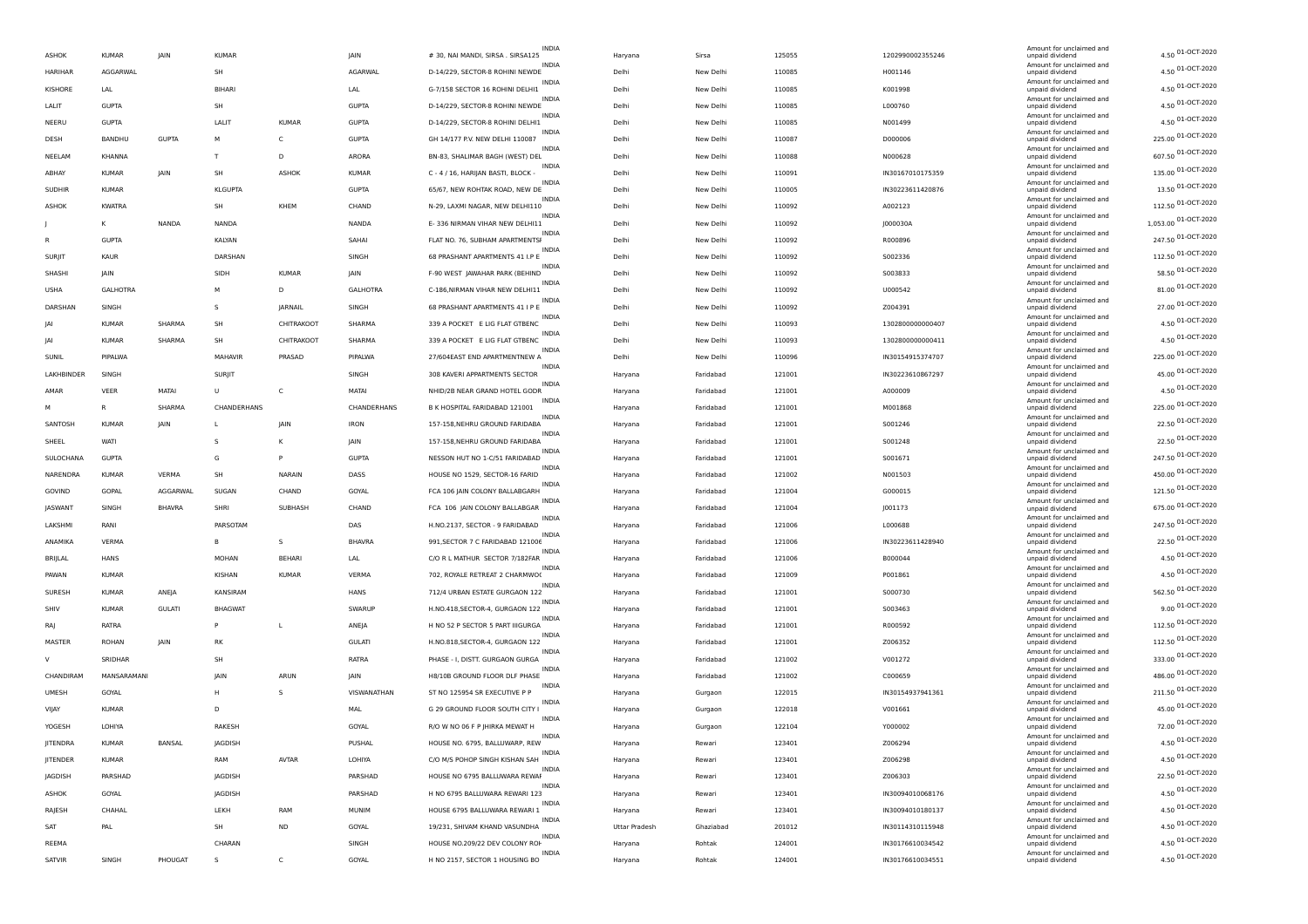| <b>ASHOK</b>    | <b>KUMAR</b>    | <b>IAIN</b>   | <b>KUMAR</b>   |               | <b>JAIN</b>     | INDIA<br># 30, NAI MANDI, SIRSA . SIRSA125       | Haryana              | Sirsa     | 125055 | 1202990002355246 | Amount for unclaimed and<br>unpaid dividend | 4.50 01-OCT-2020     |
|-----------------|-----------------|---------------|----------------|---------------|-----------------|--------------------------------------------------|----------------------|-----------|--------|------------------|---------------------------------------------|----------------------|
| HARIHAR         | AGGARWAL        |               | SH             |               | AGARWAL         | INDIA<br>D-14/229, SECTOR-8 ROHINI NEWDE         | Delhi                | New Delhi | 110085 | H001146          | Amount for unclaimed and<br>unpaid dividend | 4.50 01-OCT-2020     |
| <b>KISHORE</b>  | LAL             |               | <b>BIHAR</b>   |               | LAL             | INDIA<br>G-7/158 SECTOR 16 ROHINI DELHI1         | Delhi                | New Delhi | 110085 | K001998          | Amount for unclaimed and<br>unpaid dividend | 4.50 01-OCT-2020     |
|                 |                 |               |                |               |                 | INDIA                                            |                      |           |        |                  | Amount for unclaimed and                    | 4.50 01-OCT-2020     |
| LALIT           | <b>GUPTA</b>    |               | SH             |               | <b>GUPTA</b>    | D-14/229, SECTOR-8 ROHINI NEWDE<br><b>INDIA</b>  | Delhi                | New Delhi | 110085 | L000760          | unpaid dividend<br>Amount for unclaimed and | 4.50 01-OCT-2020     |
| NEERU           | <b>GUPTA</b>    |               | LALIT          | <b>KUMAR</b>  | <b>GUPTA</b>    | D-14/229, SECTOR-8 ROHINI DELHI1<br>INDIA        | Delhi                | New Delhi | 110085 | N001499          | unpaid dividend<br>Amount for unclaimed and |                      |
| DESH            | BANDHU          | <b>GUPTA</b>  | м              | $\mathsf{C}$  | <b>GUPTA</b>    | GH 14/177 P.V. NEW DELHI 110087<br>INDIA         | Delhi                | New Delhi | 110087 | D000006          | unpaid dividend<br>Amount for unclaimed and | 225.00 01-OCT-2020   |
| NEELAM          | KHANNA          |               | T              | D             | ARORA           | BN-83, SHALIMAR BAGH (WEST) DEL                  | Delhi                | New Delhi | 110088 | N000628          | unpaid dividend                             | 607.50 01-OCT-2020   |
| ABHAY           | <b>KUMAR</b>    | JAIN          | SH             | <b>ASHOK</b>  | <b>KUMAR</b>    | INDIA<br>C - 4 / 16, HARIJAN BASTI, BLOCK -      | Delhi                | New Delhi | 110091 | IN30167010175359 | Amount for unclaimed and<br>unpaid dividend | 135.00 01-OCT-2020   |
| <b>SUDHIR</b>   | <b>KUMAR</b>    |               | <b>KLGUPTA</b> |               | <b>GUPTA</b>    | INDIA<br>65/67, NEW ROHTAK ROAD, NEW DE          | Delhi                | New Delhi | 110005 | IN30223611420876 | Amount for unclaimed and<br>unpaid dividend | 13.50 01-OCT-2020    |
| <b>ASHOK</b>    | <b>KWATRA</b>   |               | SH             | KHEM          | CHAND           | <b>INDIA</b><br>N-29, LAXMI NAGAR, NEW DELHI110  | Delhi                | New Delhi | 110092 | A002123          | Amount for unclaimed and<br>unpaid dividend | 112.50 01-OCT-2020   |
|                 | к               | NANDA         | <b>NANDA</b>   |               | NANDA           | INDIA<br>E- 336 NIRMAN VIHAR NEW DELHI11         | Delhi                | New Delhi | 110092 | J000030A         | Amount for unclaimed and<br>unpaid dividend | 1,053.00 01-OCT-2020 |
|                 | <b>GUPTA</b>    |               | KALYAN         |               | SAHAI           | <b>INDIA</b><br>FLAT NO. 76, SUBHAM APARTMENTSI  | Delhi                | New Delhi | 110092 | R000896          | Amount for unclaimed and<br>unpaid dividend | 247.50 01-OCT-2020   |
| SURJIT          | KAUR            |               | DARSHAN        |               | SINGH           | INDIA<br>68 PRASHANT APARTMENTS 41 I.P E         | Delhi                | New Delhi | 110092 | S002336          | Amount for unclaimed and<br>unpaid dividend | 112.50 01-OCT-2020   |
| SHASHI          | <b>IAIN</b>     |               | SIDH           | <b>KUMAR</b>  | JAIN            | INDIA<br>F-90 WEST JAWAHAR PARK (BEHIND          | Delhi                | New Delhi | 110092 | 5003833          | Amount for unclaimed and<br>unpaid dividend | 58.50 01-OCT-2020    |
|                 |                 |               |                |               |                 | <b>INDIA</b>                                     |                      |           |        |                  | Amount for unclaimed and                    | 81.00 01-OCT-2020    |
| <b>USHA</b>     | <b>GALHOTRA</b> |               | M              | D             | <b>GALHOTRA</b> | C-186, NIRMAN VIHAR NEW DELHI11<br>INDIA         | Delhi                | New Delhi | 110092 | U000542          | unpaid dividend<br>Amount for unclaimed and | 27.00 01-OCT-2020    |
| DARSHAN         | SINGH           |               | s              | JARNAIL       | SINGH           | 68 PRASHANT APARTMENTS 41 I P<br>INDIA           | Delhi                | New Delhi | 110092 | Z004391          | unpaid dividend<br>Amount for unclaimed and |                      |
| IAI             | <b>KUMAR</b>    | SHARMA        | SH             | CHITRAKOOT    | SHARMA          | 339 A POCKET E LIG FLAT GTBENC<br>INDIA          | Delhi                | New Delhi | 110093 | 1302800000000407 | unpaid dividend<br>Amount for unclaimed and | 4.50 01-OCT-2020     |
| IAI             | <b>KUMAR</b>    | SHARMA        | SH             | CHITRAKOOT    | SHARMA          | 339 A POCKET E LIG FLAT GTBENC                   | Delhi                | New Delhi | 110093 | 1302800000000411 | unpaid dividend                             | 4.50 01-OCT-2020     |
| SUNIL           | PIPALWA         |               | MAHAVIR        | PRASAD        | PIPALWA         | <b>INDIA</b><br>27/604EAST END APARTMENTNEW A    | Delhi                | New Delhi | 110096 | IN30154915374707 | Amount for unclaimed and<br>unpaid dividend | 225.00 01-OCT-2020   |
| LAKHBINDER      | SINGH           |               | <b>SURJIT</b>  |               | SINGH           | <b>INDIA</b><br>308 KAVERI APPARTMENTS SECTOR    | Haryana              | Faridabad | 121001 | IN30223610867297 | Amount for unclaimed and<br>unpaid dividend | 45.00 01-OCT-2020    |
| AMAR            | VEER            | MATAI         | U              | c             | MATAI           | INDIA<br>NHID/2B NEAR GRAND HOTEL GODR           | Haryana              | Faridabad | 121001 | A000009          | Amount for unclaimed and<br>unpaid dividend | 4.50 01-OCT-2020     |
| м               | <b>R</b>        | SHARMA        | CHANDERHANS    |               | CHANDERHANS     | INDIA<br>B K HOSPITAL FARIDABAD 121001           | Haryana              | Faridabad | 121001 | M001868          | Amount for unclaimed and<br>unpaid dividend | 225.00 01-OCT-2020   |
| SANTOSH         | <b>KUMAR</b>    | JAIN          | L              | JAIN          | <b>IRON</b>     | INDIA<br>157-158, NEHRU GROUND FARIDABA          | Haryana              | Faridabad | 121001 | S001246          | Amount for unclaimed and<br>unpaid dividend | 22.50 01-OCT-2020    |
| SHEEL           | <b>WATI</b>     |               | S              | К             | JAIN            | INDIA<br>157-158, NEHRU GROUND FARIDABA          | Haryana              | Faridabad | 121001 | S001248          | Amount for unclaimed and<br>unpaid dividend | 22.50 01-OCT-2020    |
|                 |                 |               |                |               |                 | <b>INDIA</b>                                     |                      |           |        |                  | Amount for unclaimed and                    | 247.50 01-OCT-2020   |
| SULOCHANA       | <b>GUPTA</b>    |               | G              | P             | <b>GUPTA</b>    | NESSON HUT NO 1-C/51 FARIDABAD<br>INDIA          | Haryana              | Faridabad | 121001 | S001671          | unpaid dividend<br>Amount for unclaimed and | 450.00 01-OCT-2020   |
| NARENDRA        | <b>KUMAR</b>    | VERMA         | SH             | <b>NARAIN</b> | DASS            | HOUSE NO 1529, SECTOR-16 FARID<br><b>INDIA</b>   | Haryana              | Faridabad | 121002 | N001503          | unpaid dividend<br>Amount for unclaimed and |                      |
| GOVIND          | GOPAL           | AGGARWAL      | SUGAN          | CHAND         | GOYAL           | FCA 106 JAIN COLONY BALLABGARH<br>INDIA          | Haryana              | Faridabad | 121004 | G000015          | unpaid dividend<br>Amount for unclaimed and | 121.50 01-OCT-2020   |
| JASWANT         | SINGH           | <b>BHAVRA</b> | SHRI           | SUBHASH       | CHAND           | FCA 106 JAIN COLONY BALLABGAR                    | Haryana              | Faridabad | 121004 | J001173          | unpaid dividend                             | 675.00 01-OCT-2020   |
| LAKSHMI         | RANI            |               | PARSOTAM       |               | DAS             | INDIA<br>H.NO.2137, SECTOR - 9 FARIDABAD         | Haryana              | Faridabad | 121006 | L000688          | Amount for unclaimed and<br>unpaid dividend | 247.50 01-OCT-2020   |
| ANAMIKA         | VERMA           |               | в              | s             | <b>BHAVRA</b>   | <b>INDIA</b><br>991, SECTOR 7 C FARIDABAD 121006 | Haryana              | Faridabad | 121006 | IN30223611428940 | Amount for unclaimed and<br>unpaid dividend | 22.50 01-OCT-2020    |
| BRIJLAL         | <b>HANS</b>     |               | <b>MOHAN</b>   | <b>BEHARI</b> | LAL             | INDIA<br>C/O R L MATHUR SECTOR 7/182FAR          | Haryana              | Faridabad | 121006 | B000044          | Amount for unclaimed and<br>unpaid dividend | 4.50 01-OCT-2020     |
| PAWAN           | <b>KUMAR</b>    |               | KISHAN         | <b>KUMAR</b>  | VERMA           | <b>INDIA</b><br>702, ROYALE RETREAT 2 CHARMWO(   | Haryana              | Faridabad | 121009 | P001861          | Amount for unclaimed and<br>unpaid dividend | 4.50 01-OCT-2020     |
| SURESH          | <b>KUMAR</b>    | ANEJA         | KANSIRAM       |               | HANS            | INDIA<br>712/4 URBAN ESTATE GURGAON 122          | Haryana              | Faridabad | 121001 | S000730          | Amount for unclaimed and<br>unpaid dividend | 562.50 01-OCT-2020   |
| SHIV            | <b>KUMAR</b>    | <b>GULATI</b> | <b>BHAGWAT</b> |               | SWARUP          | INDIA<br>H.NO.418, SECTOR-4, GURGAON 122         | Haryana              | Faridabad | 121001 | S003463          | Amount for unclaimed and<br>unpaid dividend | 9.00 01-OCT-2020     |
|                 |                 |               |                |               |                 | <b>INDIA</b>                                     |                      |           |        |                  | Amount for unclaimed and                    | 112.50 01-OCT-2020   |
| <b>RAJ</b>      | RATRA           |               |                | L             | ANEJA           | H NO 52 P SECTOR 5 PART IIIGURGA<br>INDIA        | Haryana              | Faridabad | 121001 | R000592          | unpaid dividend<br>Amount for unclaimed and | 112.50 01-OCT-2020   |
| MASTER          | <b>ROHAN</b>    | <b>IAIN</b>   | RK             |               | <b>GULATI</b>   | H.NO.818, SECTOR-4, GURGAON 122<br><b>INDIA</b>  | Haryana              | Faridabad | 121001 | Z006352          | unpaid dividend<br>Amount for unclaimed and |                      |
| V               | SRIDHAR         |               | SH             |               | RATRA           | PHASE - I, DISTT. GURGAON GURGA<br>INDIA         | Haryana              | Faridabad | 121002 | V001272          | unpaid dividend<br>Amount for unclaimed and | 333.00 01-OCT-2020   |
| CHANDIRAM       | MANSARAMANI     |               | <b>JAIN</b>    | ARUN          | JAIN            | H8/10B GROUND FLOOR DLF PHASE<br>INDIA           | Haryana              | Faridabad | 121002 | C000659          | unpaid dividend<br>Amount for unclaimed and | 486.00 01-OCT-2020   |
| <b>UMESH</b>    | GOYAL           |               | н              | s             | VISWANATHAN     | ST NO 125954 SR EXECUTIVE P P                    | Haryana              | Gurgaon   | 122015 | IN30154937941361 | unpaid dividend                             | 211.50 01-OCT-2020   |
| VIJAY           | <b>KUMAR</b>    |               | D              |               | <b>MAL</b>      | <b>INDIA</b><br>G 29 GROUND FLOOR SOUTH CITY I   | Haryana              | Gurgaon   | 122018 | V001661          | Amount for unclaimed and<br>unpaid dividend | 45.00 01-OCT-2020    |
| YOGESH          | LOHIYA          |               | RAKESH         |               | GOYAL           | INDIA<br>R/O W NO 06 F P JHIRKA MEWAT H          | Haryana              | Gurgaon   | 122104 | Y000002          | Amount for unclaimed and<br>unpaid dividend | 72.00 01-OCT-2020    |
| <b>JITENDRA</b> | KIJMAR          | BANSAL        | JAGDISH        |               | PUSHAL          | <b>INDIA</b><br>HOUSE NO. 6795, BALLUWARP, REW   | Haryana              | Rewari    | 123401 | Z006294          | Amount for unclaimed and<br>unpaid dividen  | 4.50 01-OCT-2020     |
| JITENDER        | <b>KUMAR</b>    |               | RAM            | <b>AVTAR</b>  | LOHIYA          | INDIA<br>C/O M/S POHOP SINGH KISHAN SAH          | Haryana              | Rewari    | 123401 | Z006298          | Amount for unclaimed and<br>unpaid dividend | 4.50 01-OCT-2020     |
| JAGDISH         | PARSHAD         |               | JAGDISH        |               | PARSHAD         | INDIA<br>HOUSE NO 6795 BALLUWARA REWAI           | Haryana              | Rewari    | 123401 | Z006303          | Amount for unclaimed and<br>unpaid dividend | 22.50 01-OCT-2020    |
|                 |                 |               |                |               |                 | INDIA                                            |                      |           |        |                  | Amount for unclaimed and                    | 4.50 01-OCT-2020     |
| ASHOK           | GOYAL           |               | JAGDISH        |               | PARSHAD         | H NO 6795 BALLUWARA REWARI 123<br>INDIA          | Haryana              | Rewari    | 123401 | IN30094010068176 | unpaid dividend<br>Amount for unclaimed and | 4.50 01-OCT-2020     |
| RAJESH          | CHAHAL          |               | LEKH           | RAM           | MUNIM           | HOUSE 6795 BALLUWARA REWARI 1<br><b>INDIA</b>    | Haryana              | Rewari    | 123401 | IN30094010180137 | unpaid dividend<br>Amount for unclaimed and |                      |
| SAT             | PAL             |               | SH             | $\sf ND$      | GOYAL           | 19/231, SHIVAM KHAND VASUNDHA<br>INDIA           | <b>Uttar Pradesh</b> | Ghaziabad | 201012 | IN30114310115948 | unpaid dividend<br>Amount for unclaimed and | 4.50 01-OCT-2020     |
| REEMA           |                 |               | CHARAN         |               | SINGH           | HOUSE NO.209/22 DEV COLONY ROH                   | Haryana              | Rohtak    | 124001 | IN30176610034542 | unpaid dividend                             | 4.50 01-OCT-2020     |
| SATVIR          | SINGH           | PHOUGAT       | s              | $\mathsf{C}$  | GOYAL           | INDIA<br>H NO 2157, SECTOR 1 HOUSING BO          | Haryana              | Rohtak    | 124001 | IN30176610034551 | Amount for unclaimed and<br>unpaid dividend | 4.50 01-OCT-2020     |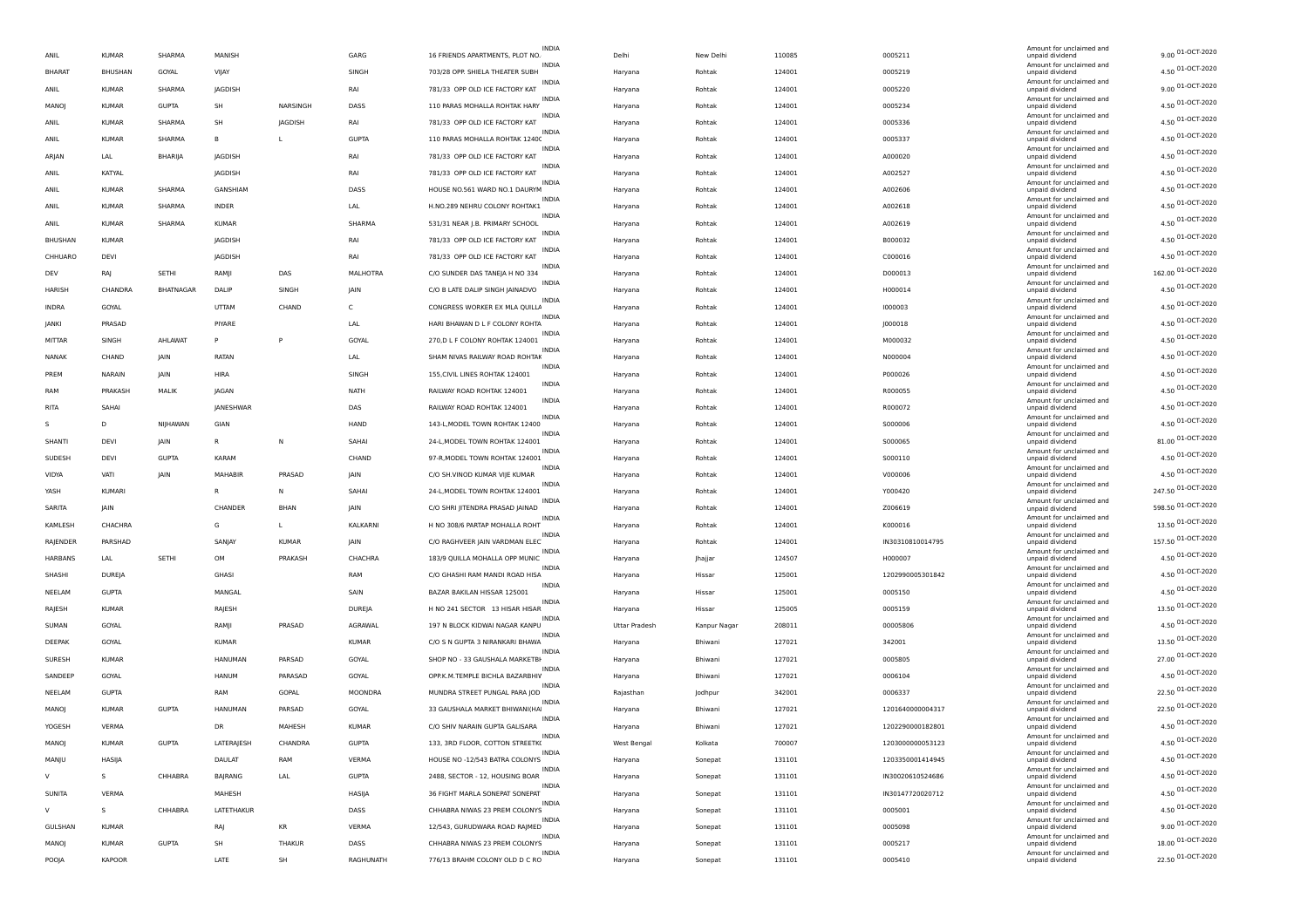| ANIL          | <b>KUMAR</b>        | SHARMA       | MANISH         |             | GARG         | INDIA<br>16 FRIENDS APARTMENTS, PLOT NO.        | Delhi                | New Delhi    | 110085 | 0005211          | Amount for unclaimed and<br>unpaid dividend | 9.00 01-OCT-2020   |
|---------------|---------------------|--------------|----------------|-------------|--------------|-------------------------------------------------|----------------------|--------------|--------|------------------|---------------------------------------------|--------------------|
| <b>BHARAT</b> | BHUSHAN             | GOYAL        | VIJAY          |             | SINGH        | INDIA<br>703/28 OPP. SHIELA THEATER SUBH        | Haryana              | Rohtak       | 124001 | 0005219          | Amount for unclaimed and<br>unpaid dividend | 4.50 01-OCT-2020   |
| ANIL          | <b>KUMAR</b>        | SHARMA       | <b>JAGDISH</b> |             | RAI          | <b>INDIA</b><br>781/33 OPP OLD ICE FACTORY KAT  | Haryana              | Rohtak       | 124001 | 0005220          | Amount for unclaimed and<br>unpaid dividend | 9.00 01-OCT-2020   |
| MANOJ         | <b>KUMAR</b>        | <b>GUPTA</b> | SH             | NARSINGH    | DASS         | <b>INDIA</b><br>110 PARAS MOHALLA ROHTAK HARY   | Haryana              | Rohtak       | 124001 | 0005234          | Amount for unclaimed and<br>unpaid dividend | 4.50 01-OCT-2020   |
|               |                     |              |                |             |              | INDIA                                           |                      |              |        |                  | Amount for unclaimed and                    | 4.50 01-OCT-2020   |
| ANIL          | <b>KUMAR</b>        | SHARMA       | SH             | JAGDISH     | RAI          | 781/33 OPP OLD ICE FACTORY KAT<br><b>INDIA</b>  | Haryana              | Rohtak       | 124001 | 0005336          | unpaid dividend<br>Amount for unclaimed and | 4.50 01-OCT-2020   |
| ANIL          | <b>KUMAR</b>        | SHARMA       | B              | L           | <b>GUPTA</b> | 110 PARAS MOHALLA ROHTAK 12400<br>INDIA         | Haryana              | Rohtak       | 124001 | 0005337          | unpaid dividend<br>Amount for unclaimed and | 4.50 01-OCT-2020   |
| ARJAN         | LAL                 | BHARIJA      | JAGDISH        |             | RAI          | 781/33 OPP OLD ICE FACTORY KAT<br><b>INDIA</b>  | Haryana              | Rohtak       | 124001 | A000020          | unpaid dividend<br>Amount for unclaimed and |                    |
| ANIL          | KATYAL              |              | JAGDISH        |             | RAI          | 781/33 OPP OLD ICE FACTORY KAT<br>INDIA         | Haryana              | Rohtak       | 124001 | A002527          | unpaid dividend<br>Amount for unclaimed and | 4.50 01-OCT-2020   |
| ANIL          | <b>KUMAR</b>        | SHARMA       | GANSHIAM       |             | DASS         | HOUSE NO.561 WARD NO.1 DAURYM<br><b>INDIA</b>   | Haryana              | Rohtak       | 124001 | A002606          | unpaid dividend<br>Amount for unclaimed and | 4.50 01-OCT-2020   |
| ANIL          | <b>KUMAR</b>        | SHARMA       | <b>INDER</b>   |             | LAL          | H.NO.289 NEHRU COLONY ROHTAK1                   | Haryana              | Rohtak       | 124001 | A002618          | unpaid dividend                             | 4.50 01-OCT-2020   |
| ANIL          | <b>KUMAR</b>        | SHARMA       | <b>KUMAR</b>   |             | SHARMA       | <b>INDIA</b><br>531/31 NEAR J.B. PRIMARY SCHOOL | Haryana              | Rohtak       | 124001 | A002619          | Amount for unclaimed and<br>unpaid dividend | 4.50 01-OCT-2020   |
| BHUSHAN       | <b>KUMAR</b>        |              | JAGDISH        |             | RAI          | INDIA<br>781/33 OPP OLD ICE FACTORY KAT         | Haryana              | Rohtak       | 124001 | B000032          | Amount for unclaimed and<br>unpaid dividend | 4.50 01-OCT-2020   |
|               | CHHUARO<br>DEVI     |              | JAGDISH        |             | RAI          | <b>INDIA</b><br>781/33 OPP OLD ICE FACTORY KAT  | Haryana              | Rohtak       | 124001 | C000016          | Amount for unclaimed and<br>unpaid dividend | 4.50 01-OCT-2020   |
| DEV           | RAJ                 | SETHI        | RAMJI          | DAS         | MALHOTRA     | INDIA<br>C/O SUNDER DAS TANEJA H NO 334         | Haryana              | Rohtak       | 124001 | D000013          | Amount for unclaimed and<br>unpaid dividend | 162.00 01-OCT-2020 |
| HARISH        | CHANDRA             | BHATNAGAR    | DALIP          | SINGH       | JAIN         | C/O B LATE DALIP SINGH JAINADVO                 | Haryana              | Rohtak       | 124001 | H000014          | Amount for unclaimed and<br>unpaid dividend | 4.50 01-OCT-2020   |
| <b>INDRA</b>  | GOYAL               |              | UTTAM          | CHAND       | c            | INDIA<br>CONGRESS WORKER EX MLA QUILLA          | Haryana              | Rohtak       | 124001 | 1000003          | Amount for unclaimed and<br>unpaid dividend | 4.50 01-OCT-2020   |
| <b>JANKI</b>  | PRASAD              |              | PIYARE         |             | LAL          | INDIA                                           |                      | Rohtak       |        |                  | Amount for unclaimed and                    | 4.50 01-OCT-2020   |
|               |                     |              |                |             |              | HARI BHAWAN D L F COLONY ROHTA<br><b>INDIA</b>  | Haryana              |              | 124001 | J000018          | unpaid dividend<br>Amount for unclaimed and | 4.50 01-OCT-2020   |
| MITTAR        | SINGH               | AHLAWAT      | P              | P           | GOYAL        | 270, D L F COLONY ROHTAK 124001<br>INDIA        | Haryana              | Rohtak       | 124001 | M000032          | unpaid dividend<br>Amount for unclaimed and | 4.50 01-OCT-2020   |
| <b>NANAK</b>  | CHAND               | JAIN         | <b>RATAN</b>   |             | LAL          | SHAM NIVAS RAILWAY ROAD ROHTAK<br>INDIA         | Haryana              | Rohtak       | 124001 | N000004          | unpaid dividend<br>Amount for unclaimed and |                    |
| PREM          | NARAIN              | JAIN         | HIRA           |             | SINGH        | 155, CIVIL LINES ROHTAK 124001<br>INDIA         | Haryana              | Rohtak       | 124001 | P000026          | unpaid dividend<br>Amount for unclaimed and | 4.50 01-OCT-2020   |
| RAM           | PRAKASH             | MALIK        | JAGAN          |             | NATH         | RAILWAY ROAD ROHTAK 124001<br>INDIA             | Haryana              | Rohtak       | 124001 | R000055          | unpaid dividend<br>Amount for unclaimed and | 4.50 01-OCT-2020   |
| RITA          | SAHAI               |              | JANESHWAR      |             | DAS          | RAILWAY ROAD ROHTAK 124001                      | Haryana              | Rohtak       | 124001 | R000072          | unpaid dividend                             | 4.50 01-OCT-2020   |
|               | D                   | NIJHAWAN     | GIAN           |             | HAND         | <b>INDIA</b><br>143-L, MODEL TOWN ROHTAK 12400  | Haryana              | Rohtak       | 124001 | S000006          | Amount for unclaimed and<br>unpaid dividend | 4.50 01-OCT-2020   |
| SHANTI        | DEVI                | <b>JAIN</b>  | R              | N           | SAHAI        | <b>INDIA</b><br>24-L, MODEL TOWN ROHTAK 124001  | Haryana              | Rohtak       | 124001 | S000065          | Amount for unclaimed and<br>unpaid dividend | 81.00 01-OCT-2020  |
| SUDESH        | DEVI                | <b>GUPTA</b> | KARAM          |             | CHAND        | <b>INDIA</b><br>97-R, MODEL TOWN ROHTAK 124001  | Haryana              | Rohtak       | 124001 | 5000110          | Amount for unclaimed and<br>unpaid dividend | 4.50 01-OCT-2020   |
| VIDYA         | VATI                | JAIN         | MAHABIF        | PRASAD      | JAIN         | INDIA<br>C/O SH.VINOD KUMAR VIJE KUMAR          | Haryana              | Rohtak       | 124001 | V000006          | Amount for unclaimed and<br>unpaid dividend | 4.50 01-OCT-2020   |
| YASH          | <b>KUMARI</b>       |              | R              | N           | SAHAI        | INDIA<br>24-L, MODEL TOWN ROHTAK 124001         | Haryana              | Rohtak       | 124001 | Y000420          | Amount for unclaimed and<br>unpaid dividend | 247.50 01-OCT-2020 |
| SARITA        | JAIN                |              | CHANDER        | <b>BHAN</b> | JAIN         | INDIA<br>C/O SHRI JITENDRA PRASAD JAINAD        | Haryana              | Rohtak       | 124001 | Z006619          | Amount for unclaimed and                    | 598.50 01-OCT-2020 |
|               |                     |              |                |             |              | <b>INDIA</b>                                    |                      |              |        |                  | unpaid dividend<br>Amount for unclaimed and | 13.50 01-OCT-2020  |
| KAMLESH       | CHACHRA             |              | G              | L           | KALKARNI     | H NO 308/6 PARTAP MOHALLA ROHT                  | Haryana              | Rohtak       | 124001 | K000016          | unpaid dividend<br>Amount for unclaimed and | 157.50 01-OCT-2020 |
|               | RAJENDER<br>PARSHAD |              | SANJAY         | KUMAR       | JAIN         | C/O RAGHVEER JAIN VARDMAN ELEC<br>INDIA         | Haryana              | Rohtak       | 124001 | IN30310810014795 | unpaid dividend<br>Amount for unclaimed and |                    |
|               | HARBANS<br>LAL      | SETHI        | OM             | PRAKASH     | CHACHRA      | 183/9 QUILLA MOHALLA OPP MUNIC<br>INDIA         | Haryana              | Jhajjar      | 124507 | H000007          | unpaid dividend<br>Amount for unclaimed and | 4.50 01-OCT-2020   |
| SHASHI        | DUREJA              |              | GHASI          |             | RAM          | C/O GHASHI RAM MANDI ROAD HISA<br><b>INDIA</b>  | Haryana              | Hissar       | 125001 | 1202990005301842 | unpaid dividend<br>Amount for unclaimed and | 4.50 01-OCT-2020   |
| NEELAM        | <b>GUPTA</b>        |              | MANGAL         |             | SAIN         | BAZAR BAKILAN HISSAR 125001                     | Haryana              | Hissar       | 125001 | 0005150          | unpaid dividend                             | 4.50 01-OCT-2020   |
| RAJESH        | <b>KUMAR</b>        |              | RAJESH         |             | DUREJA       | INDIA<br>H NO 241 SECTOR 13 HISAR HISAR         | Haryana              | Hissar       | 125005 | 0005159          | Amount for unclaimed and<br>unpaid dividend | 13.50 01-OCT-2020  |
| SUMAN         | GOYAL               |              | RAMJI          | PRASAD      | AGRAWAL      | 197 N BLOCK KIDWAI NAGAR KANPU                  | <b>Uttar Pradesh</b> | Kanpur Nagar | 208011 | 00005806         | Amount for unclaimed and<br>unpaid dividend | 4.50 01-OCT-2020   |
| DEEPAK        | GOYAL               |              | <b>KUMAR</b>   |             | <b>KUMAR</b> | <b>INDIA</b><br>C/O S N GUPTA 3 NIRANKARI BHAWA | Haryana              | Bhiwani      | 127021 | 342001           | Amount for unclaimed and<br>unpaid dividend | 13.50 01-OCT-2020  |
| SURESH        | <b>KUMAR</b>        |              | HANUMAN        | PARSAD      | GOYAL        | <b>INDIA</b><br>SHOP NO - 33 GAUSHALA MARKETBI  | Haryana              | Bhiwani      | 127021 | 0005805          | Amount for unclaimed and<br>unpaid dividend | 27.00 01-OCT-2020  |
| SANDEEP       | GOYAL               |              | HANUM          | PARASAD     | GOYAL        | <b>INDIA</b><br>OPP.K.M.TEMPLE BICHLA BAZARBHIV | Haryana              | Bhiwani      | 127021 | 0006104          | Amount for unclaimed and<br>unpaid dividend | 4.50 01-OCT-2020   |
| NEELAM        | GUPTA               |              | RAM            | GOPAL       | MOONDRA      | <b>INDIA</b><br>MUNDRA STREET PUNGAL PARA JOD   |                      |              | 342001 | 0006337          | Amount for unclaimed and                    | 22.50 01-OCT-2020  |
|               |                     |              |                |             |              | <b>INDIA</b>                                    | Rajasthan            | Jodhpur      |        |                  | unpaid dividend<br>Amount for unclaimed and | 22.50 01-OCT-2020  |
| MANOJ         | <b>KUMAR</b>        | <b>GUPTA</b> | <b>HANUMAN</b> | PARSAD      | GOYAL        | 33 GAUSHALA MARKET BHIWANI(HA<br><b>INDIA</b>   | Haryana              | Bhiwani      | 127021 | 1201640000004317 | unpaid dividend<br>Amount for unclaimed and | 4.50 01-OCT-2020   |
| YOGESH        | VERMA               |              | DR             | MAHESH      | <b>KUMAR</b> | C/O SHIV NARAIN GUPTA GALISARA                  | Haryana              | Bhiwani      | 127021 | 1202290000182801 | unpaid dividend<br>Amount for unclaimed and |                    |
| MANOJ         | KUMAR               | <b>GUPTA</b> | LATERAJESH     | CHANDRA     | <b>GUPTA</b> | 133, 3RD FLOOR, COTTON STREETK(                 | West Bengal          | Kolkata      | 700007 | 1203000000053123 | unpaid dividend<br>Amount for unclaimed and | 4.50 01-OCT-2020   |
| MANJU         | HASIJA              |              | DAULAT         | RAM         | VERMA        | HOUSE NO -12/543 BATRA COLONYS<br><b>INDIA</b>  | Haryana              | Sonepat      | 131101 | 1203350001414945 | unpaid dividend                             | 4.50 01-OCT-2020   |
| $\vee$        | S.                  | CHHABRA      | BAJRANG        | LAL         | <b>GUPTA</b> | 2488, SECTOR - 12, HOUSING BOAR                 | Haryana              | Sonepat      | 131101 | IN30020610524686 | Amount for unclaimed and<br>unpaid dividend | 4.50 01-OCT-2020   |
| SUNITA        | VERMA               |              | MAHESH         |             | HASIJA       | 36 FIGHT MARLA SONEPAT SONEPAT                  | Haryana              | Sonepat      | 131101 | IN30147720020712 | Amount for unclaimed and<br>unpaid dividend | 4.50 01-OCT-2020   |
| v             | s                   | CHHABRA      | LATETHAKUR     |             | DASS         | INDIA<br>CHHABRA NIWAS 23 PREM COLONYS          | Haryana              | Sonepat      | 131101 | 0005001          | Amount for unclaimed and<br>unpaid dividend | 4.50 01-OCT-2020   |
| GULSHAN       | <b>KUMAR</b>        |              | RAJ            | KR          | VERMA        | <b>INDIA</b><br>12/543, GURUDWARA ROAD RAJMED   | Haryana              | Sonepat      | 131101 | 0005098          | Amount for unclaimed and<br>unpaid dividend | 9.00 01-OCT-2020   |
| MANOJ         | <b>KUMAR</b>        | <b>GUPTA</b> | SH             | THAKUR      | DASS         | INDIA<br>CHHABRA NIWAS 23 PREM COLONYS          | Haryana              | Sonepat      | 131101 | 0005217          | Amount for unclaimed and<br>unpaid dividend | 18.00 01-OCT-2020  |
| POOJA         | <b>KAPOOR</b>       |              | LATE           | SH          | RAGHUNATH    | <b>INDIA</b><br>776/13 BRAHM COLONY OLD D C RO  | Haryana              | Sonepat      | 131101 | 0005410          | Amount for unclaimed and<br>unpaid dividend | 22.50 01-OCT-2020  |
|               |                     |              |                |             |              |                                                 |                      |              |        |                  |                                             |                    |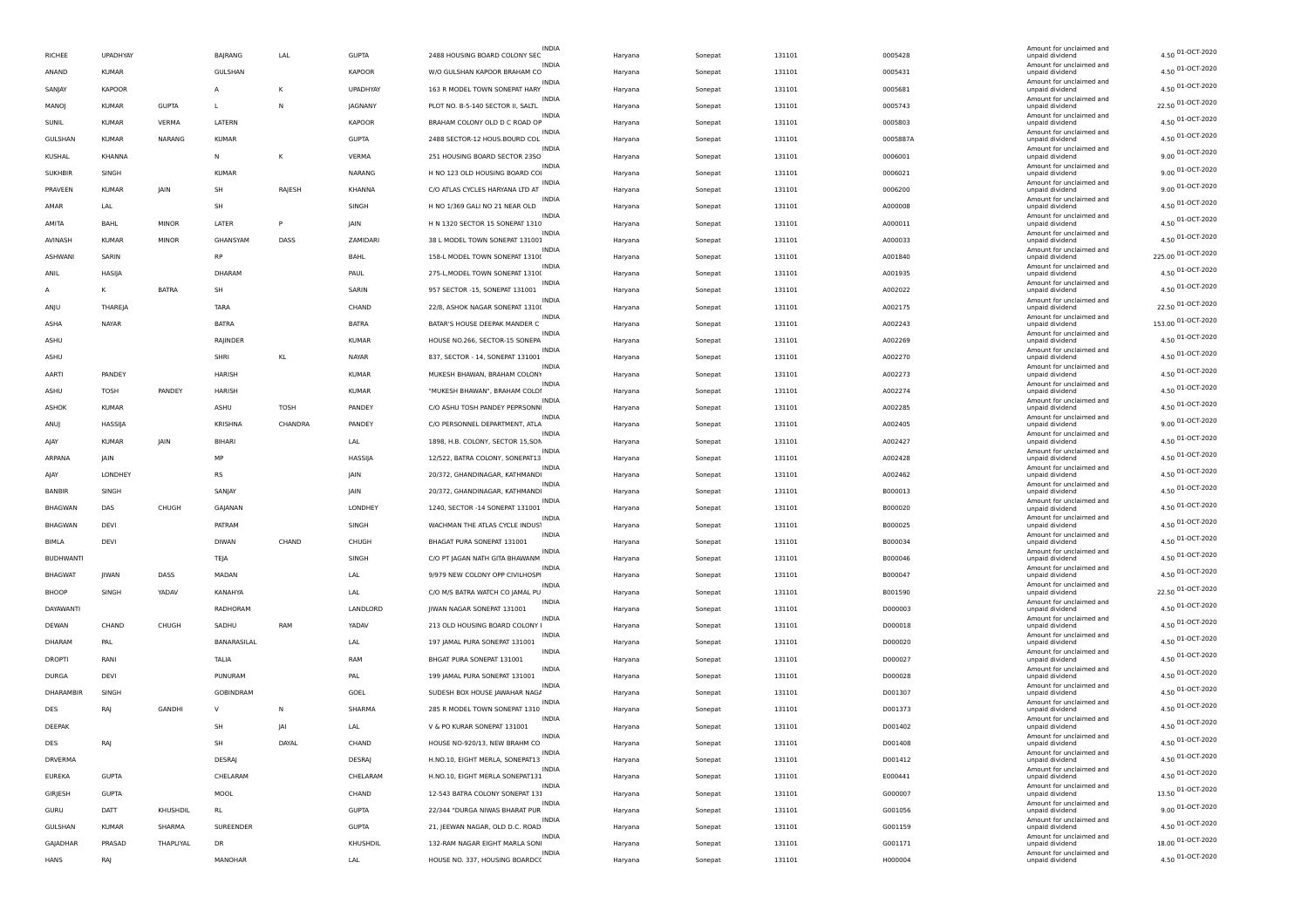| RICHEE           | UPADHYAY      |               | BAJRANG      | LAL     | <b>GUPTA</b>  | INDIA<br>2488 HOUSING BOARD COLONY SEC            | Haryana | Sonepat | 131101 | 0005428  | Amount for unclaimed and<br>unpaid dividend | 4.50 01-OCT-2020   |
|------------------|---------------|---------------|--------------|---------|---------------|---------------------------------------------------|---------|---------|--------|----------|---------------------------------------------|--------------------|
| ANAND            | KUMAR         |               | GULSHAN      |         | <b>KAPOOR</b> | W/O GULSHAN KAPOOR BRAHAM CO                      | Haryana | Sonepat | 131101 | 0005431  | Amount for unclaimed and<br>unpaid dividend | 4.50 01-OCT-2020   |
| SANJAY           | <b>KAPOOR</b> |               | А            | К       | UPADHYAY      | 163 R MODEL TOWN SONEPAT HARY                     | Haryana | Sonepat | 131101 | 0005681  | Amount for unclaimed and<br>unpaid dividend | 4.50 01-OCT-2020   |
| MANOJ            | <b>KUMAR</b>  | <b>GUPTA</b>  | L.           | N       | JAGNANY       | <b>INDIA</b><br>PLOT NO. B-5-140 SECTOR II, SALTL | Haryana | Sonepat | 131101 | 0005743  | Amount for unclaimed and<br>unpaid dividend | 22.50 01-OCT-2020  |
| SUNIL            | <b>KUMAR</b>  | VERMA         | LATERN       |         | <b>KAPOOR</b> | INDIA<br>BRAHAM COLONY OLD D C ROAD OP            | Haryana | Sonepat | 131101 | 0005803  | Amount for unclaimed and<br>unpaid dividend | 4.50 01-OCT-2020   |
| GULSHAN          | KUMAR         | <b>NARANG</b> | <b>KUMAR</b> |         | <b>GUPTA</b>  | <b>INDIA</b><br>2488 SECTOR-12 HOUS.BOURD COL     |         |         | 131101 | 0005887A | Amount for unclaimed and                    | 4.50 01-OCT-2020   |
|                  |               |               |              |         |               | <b>INDIA</b>                                      | Haryana | Sonepat |        |          | unpaid dividend<br>Amount for unclaimed and | 9.00 01-OCT-2020   |
| <b>KUSHAL</b>    | KHANNA        |               | N            | K       | VERMA         | 251 HOUSING BOARD SECTOR 2350                     | Haryana | Sonepat | 131101 | 0006001  | unpaid dividend<br>Amount for unclaimed and | 9.00 01-OCT-2020   |
| <b>SUKHBIR</b>   | SINGH         |               | <b>KUMAR</b> |         | NARANG        | H NO 123 OLD HOUSING BOARD COI<br><b>INDIA</b>    | Haryana | Sonepat | 131101 | 0006021  | unpaid dividend<br>Amount for unclaimed and |                    |
| PRAVEEN          | <b>KUMAR</b>  | JAIN          | SH           | RAJESH  | KHANNA        | C/O ATLAS CYCLES HARYANA LTD AT<br>INDIA          | Haryana | Sonepat | 131101 | 0006200  | unpaid dividend<br>Amount for unclaimed and | 9.00 01-OCT-2020   |
| AMAR             | LAL           |               | SH           |         | SINGH         | H NO 1/369 GALI NO 21 NEAR OLD<br>INDIA           | Haryana | Sonepat | 131101 | A000008  | unpaid dividend<br>Amount for unclaimed and | 4.50 01-OCT-2020   |
| AMITA            | BAHL          | <b>MINOR</b>  | LATER        | P       | JAIN          | H N 1320 SECTOR 15 SONEPAT 1310<br>INDIA          | Haryana | Sonepat | 131101 | A000011  | unpaid dividend                             | 4.50 01-OCT-2020   |
| AVINASH          | <b>KUMAR</b>  | <b>MINOR</b>  | GHANSYAM     | DASS    | ZAMIDARI      | 38 L MODEL TOWN SONEPAT 131001                    | Haryana | Sonepat | 131101 | A000033  | Amount for unclaimed and<br>unpaid dividend | 4.50 01-OCT-2020   |
| ASHWANI          | SARIN         |               | <b>RP</b>    |         | BAHL          | 158-L MODEL TOWN SONEPAT 1310(                    | Haryana | Sonepat | 131101 | A001840  | Amount for unclaimed and<br>unpaid dividend | 225.00 01-OCT-2020 |
| ANIL             | HASIJA        |               | DHARAM       |         | PAUL          | <b>INDIA</b><br>275-L, MODEL TOWN SONEPAT 1310(   | Haryana | Sonepat | 131101 | A001935  | Amount for unclaimed and<br>unpaid dividend | 4.50 01-OCT-2020   |
| A                | к             | <b>BATRA</b>  | SH           |         | SARIN         | INDIA<br>957 SECTOR -15, SONEPAT 131001           | Haryana | Sonepat | 131101 | A002022  | Amount for unclaimed and<br>unpaid dividend | 4.50 01-OCT-2020   |
| ANJU             | THAREJA       |               | <b>TARA</b>  |         | CHAND         | <b>INDIA</b><br>22/8, ASHOK NAGAR SONEPAT 1310(   | Haryana | Sonepat | 131101 | A002175  | Amount for unclaimed and<br>unpaid dividend | 22.50 01-OCT-2020  |
| ASHA             | NAYAR         |               | BATRA        |         | <b>BATRA</b>  | INDIA<br>BATAR'S HOUSE DEEPAK MANDER C            | Haryana | Sonepat | 131101 | A002243  | Amount for unclaimed and<br>unpaid dividend | 153.00 01-OCT-2020 |
|                  |               |               |              |         |               | INDIA<br>HOUSE NO.266, SECTOR-15 SONEPA           |         |         |        |          | Amount for unclaimed and                    | 4.50 01-OCT-2020   |
| ASHU             |               |               | RAJINDER     |         | KUMAR         | <b>INDIA</b>                                      | Haryana | Sonepat | 131101 | A002269  | unpaid dividend<br>Amount for unclaimed and | 4.50 01-OCT-2020   |
| ASHU             |               |               | SHRI         | KL      | <b>NAYAR</b>  | 837, SECTOR - 14, SONEPAT 131001<br>INDIA         | Haryana | Sonepat | 131101 | A002270  | unpaid dividend<br>Amount for unclaimed and |                    |
| AARTI            | PANDEY        |               | HARISH       |         | <b>KUMAR</b>  | MUKESH BHAWAN, BRAHAM COLONY<br><b>INDIA</b>      | Haryana | Sonepat | 131101 | A002273  | unpaid dividend<br>Amount for unclaimed and | 4.50 01-OCT-2020   |
| ASHU             | TOSH          | PANDEY        | HARISH       |         | KUMAR         | "MUKESH BHAWAN", BRAHAM COLOI<br>INDIA            | Haryana | Sonepat | 131101 | A002274  | unpaid dividend<br>Amount for unclaimed and | 4.50 01-OCT-2020   |
| <b>ASHOK</b>     | <b>KUMAR</b>  |               | ASHU         | TOSH    | PANDEY        | C/O ASHU TOSH PANDEY PEPRSONN<br>INDIA            | Haryana | Sonepat | 131101 | A002285  | unpaid dividend<br>Amount for unclaimed and | 4.50 01-OCT-2020   |
| ANUJ             | HASSIJA       |               | KRISHNA      | CHANDRA | PANDEY        | C/O PERSONNEL DEPARTMENT, ATLA                    | Haryana | Sonepat | 131101 | A002405  | unpaid dividend                             | 9.00 01-OCT-2020   |
| AJAY             | <b>KUMAR</b>  | JAIN          | BIHARI       |         | LAL           | <b>INDIA</b><br>1898, H.B. COLONY, SECTOR 15,SON  | Haryana | Sonepat | 131101 | A002427  | Amount for unclaimed and<br>unpaid dividend | 4.50 01-OCT-2020   |
| ARPANA           | JAIN          |               | MP           |         | HASSIJA       | INDIA<br>12/522, BATRA COLONY, SONEPAT13          | Haryana | Sonepat | 131101 | A002428  | Amount for unclaimed and<br>unpaid dividend | 4.50 01-OCT-2020   |
| AJAY             | LONDHEY       |               | <b>RS</b>    |         | JAIN          | <b>INDIA</b><br>20/372, GHANDINAGAR, KATHMANDI    | Haryana | Sonepat | 131101 | A002462  | Amount for unclaimed and<br>unpaid dividend | 4.50 01-OCT-2020   |
| BANBIR           | SINGH         |               | SANJAY       |         | JAIN          | INDIA<br>20/372, GHANDINAGAR, KATHMANDI           | Haryana | Sonepat | 131101 | B000013  | Amount for unclaimed and<br>unpaid dividend | 4.50 01-OCT-2020   |
| <b>BHAGWAN</b>   | DAS           | CHUGH         | GAJANAN      |         | LONDHEY       | INDIA<br>1240, SECTOR -14 SONEPAT 131001          | Haryana | Sonepat | 131101 | B000020  | Amount for unclaimed and<br>unpaid dividend | 4.50 01-OCT-2020   |
| <b>BHAGWAN</b>   | DEVI          |               | PATRAM       |         | SINGH         | <b>INDIA</b><br>WACHMAN THE ATLAS CYCLE INDUS'    | Haryana | Sonepat | 131101 | B000025  | Amount for unclaimed and<br>unpaid dividend | 4.50 01-OCT-2020   |
|                  |               |               |              |         |               | INDIA                                             |         |         |        |          | Amount for unclaimed and                    | 4.50 01-OCT-2020   |
| BIMLA            | DEVI          |               | <b>DIWAN</b> | CHAND   | CHUGH         | BHAGAT PURA SONEPAT 131001<br><b>INDIA</b>        | Haryana | Sonepat | 131101 | B000034  | unpaid dividend<br>Amount for unclaimed and | 4.50 01-OCT-2020   |
| <b>BUDHWANTI</b> |               |               | TEJA         |         | SINGH         | C/O PT JAGAN NATH GITA BHAWANM<br>INDIA           | Haryana | Sonepat | 131101 | B000046  | unpaid dividend<br>Amount for unclaimed and |                    |
| <b>BHAGWAT</b>   | JIWAN         | DASS          | MADAN        |         | LAL           | 9/979 NEW COLONY OPP CIVILHOSPI<br><b>INDIA</b>   | Haryana | Sonepat | 131101 | B000047  | unpaid dividend<br>Amount for unclaimed and | 4.50 01-OCT-2020   |
| BHOOP            | SINGH         | YADAV         | KANAHYA      |         | LAL           | C/O M/S BATRA WATCH CO JAMAL PU<br>INDIA          | Haryana | Sonepat | 131101 | B001590  | unpaid dividend<br>Amount for unclaimed and | 22.50 01-OCT-2020  |
| DAYAWANTI        |               |               | RADHORAM     |         | LANDLORD      | JIWAN NAGAR SONEPAT 131001                        | Haryana | Sonepat | 131101 | D000003  | unpaid dividend                             | 4.50 01-OCT-2020   |
| DEWAN            | CHAND         | CHUGH         | SADHU        | RAM     | YADAV         | INDIA<br>213 OLD HOUSING BOARD COLONY I           | Haryana | Sonepat | 131101 | D000018  | Amount for unclaimed and<br>unpaid dividend | 4.50 01-OCT-2020   |
| DHARAM           | PAL           |               | BANARASILAL  |         | LAL           | <b>INDIA</b><br>197 JAMAL PURA SONEPAT 131001     | Haryana | Sonepat | 131101 | D000020  | Amount for unclaimed and<br>unpaid dividend | 4.50 01-OCT-2020   |
| DROPTI           | RANI          |               | TALIA        |         | RAM           | INDIA<br>BHGAT PURA SONEPAT 131001                | Haryana | Sonepat | 131101 | D000027  | Amount for unclaimed and<br>unpaid dividend | 4.50 01-OCT-2020   |
| DURGA            | DEVI          |               | PUNURAM      |         | PAL           | INDIA<br>199 JAMAL PURA SONEPAT 131001            | Haryana | Sonepat | 131101 | D000028  | Amount for unclaimed and<br>unpaid dividend | 4.50 01-OCT-2020   |
| DHARAMBIR        | SINGH         |               | GOBINDRAM    |         | GOEL          | INDIA<br>SUDESH BOX HOUSE JAWAHAR NAG/            | Haryana | Sonepat | 131101 | D001307  | Amount for unclaimed and<br>unpaid dividend | 4.50 01-OCT-2020   |
| DES              | RA            | GANDHI        | $\mathsf{v}$ | N       | SHARMA        | INDIA<br>285 R MODEL TOWN SONEPAT 1310            | Haryana | Sonepat | 131101 | D001373  | Amount for unclaimed and<br>unpaid dividend | 4.50 01-OCT-2020   |
| DEEPAK           |               |               | <b>SH</b>    | IAI     |               | <b>INDIA</b>                                      |         |         |        |          | Amount for unclaimed and                    | 4.50 01-OCT-2020   |
|                  |               |               |              |         | LAL           | V & PO KURAR SONEPAT 131001<br>INDIA              | Haryana | Sonepat | 131101 | D001402  | unpaid dividend<br>Amount for unclaimed and | 4.50 01-OCT-2020   |
| DES              | RAJ           |               | SH           | DAYAL   | CHAND         | HOUSE NO-920/13, NEW BRAHM CO                     | Haryana | Sonepat | 131101 | D001408  | unpaid dividend<br>Amount for unclaimed and |                    |
| DRVERMA          |               |               | DESRAJ       |         | DESRAJ        | H.NO.10, EIGHT MERLA, SONEPAT13<br>INDIA          | Haryana | Sonepat | 131101 | D001412  | unpaid dividend<br>Amount for unclaimed and | 4.50 01-OCT-2020   |
| <b>EUREKA</b>    | <b>GUPTA</b>  |               | CHELARAM     |         | CHELARAM      | H.NO.10, EIGHT MERLA SONEPAT131<br>INDIA          | Haryana | Sonepat | 131101 | E000441  | unpaid dividend<br>Amount for unclaimed and | 4.50 01-OCT-2020   |
| GIRJESH          | <b>GUPTA</b>  |               | MOOL         |         | CHAND         | 12-543 BATRA COLONY SONEPAT 131<br>INDIA          | Haryana | Sonepat | 131101 | G000007  | unpaid dividend<br>Amount for unclaimed and | 13.50 01-OCT-2020  |
| GURU             | DATT          | KHUSHDIL      | RL.          |         | <b>GUPTA</b>  | 22/344 "DURGA NIWAS BHARAT PUR                    | Haryana | Sonepat | 131101 | G001056  | unpaid dividend                             | 9.00 01-OCT-2020   |
| GULSHAN          | <b>KUMAR</b>  | SHARMA        | SUREENDER    |         | <b>GUPTA</b>  | INDIA<br>21, JEEWAN NAGAR, OLD D.C. ROAD          | Haryana | Sonepat | 131101 | G001159  | Amount for unclaimed and<br>unpaid dividend | 4.50 01-OCT-2020   |
| GAJADHAR         | PRASAD        | THAPLIYAL     | DR           |         | KHUSHDIL      | <b>INDIA</b><br>132-RAM NAGAR EIGHT MARLA SONI    | Haryana | Sonepat | 131101 | G001171  | Amount for unclaimed and<br>unpaid dividend | 18.00 01-OCT-2020  |
| HANS             | RAJ           |               | MANOHAR      |         | LAL           | INDIA<br>HOUSE NO. 337, HOUSING BOARDC(           | Haryana | Sonepat | 131101 | H000004  | Amount for unclaimed and<br>unpaid dividend | 4.50 01-OCT-2020   |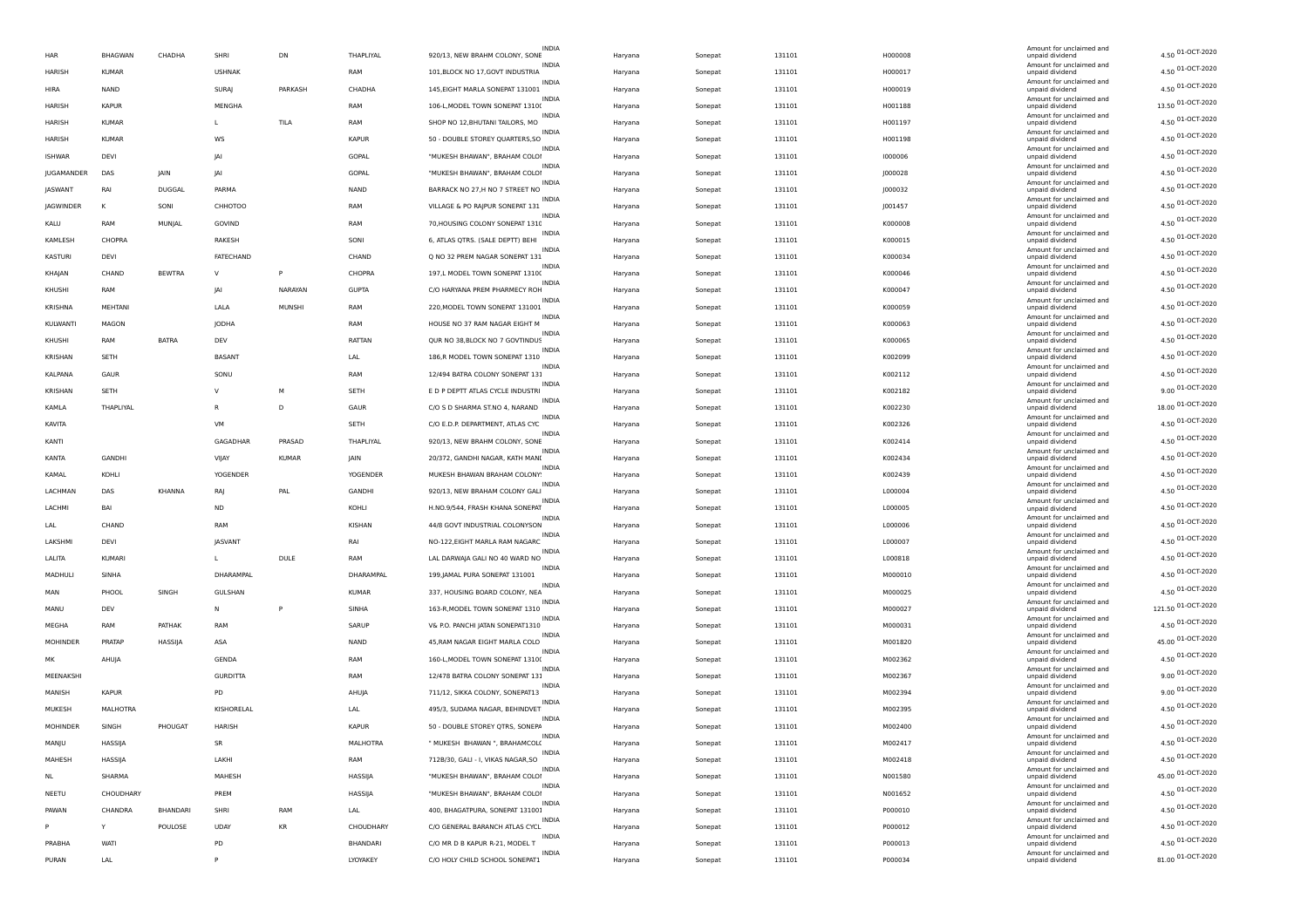| HAR             | BHAGWAN       | CHADHA          | SHRI            | DN            | THAPLIYAL    | INDIA<br>920/13, NEW BRAHM COLONY, SONE          | Haryana | Sonepat | 131101 | H000008 | Amount for unclaimed and<br>unpaid dividend | 4.50 01-OCT-2020   |
|-----------------|---------------|-----------------|-----------------|---------------|--------------|--------------------------------------------------|---------|---------|--------|---------|---------------------------------------------|--------------------|
| HARISH          | <b>KUMAR</b>  |                 | <b>USHNAK</b>   |               | RAM          | 101, BLOCK NO 17, GOVT INDUSTRIA                 | Haryana | Sonepat | 131101 | H000017 | Amount for unclaimed and<br>unpaid dividend | 4.50 01-OCT-2020   |
| HIRA            | NAND          |                 | SURAJ           | PARKASH       | CHADHA       | 145, EIGHT MARLA SONEPAT 131001                  | Haryana | Sonepat | 131101 | H000019 | Amount for unclaimed and<br>unpaid dividend | 4.50 01-OCT-2020   |
| HARISH          | <b>KAPUR</b>  |                 | MENGHA          |               | RAM          | <b>INDIA</b><br>106-L, MODEL TOWN SONEPAT 1310(  | Haryana | Sonepat | 131101 | H001188 | Amount for unclaimed and<br>unpaid dividend | 13.50 01-OCT-2020  |
| HARISH          | <b>KUMAR</b>  |                 | L               | TILA          | RAM          | INDIA<br>SHOP NO 12, BHUTANI TAILORS, MO         | Haryana | Sonepat | 131101 | H001197 | Amount for unclaimed and<br>unpaid dividend | 4.50 01-OCT-2020   |
| HARISH          | <b>KUMAR</b>  |                 | ws              |               | <b>KAPUR</b> | <b>INDIA</b><br>50 - DOUBLE STOREY QUARTERS, SO  | Haryana | Sonepat | 131101 | H001198 | Amount for unclaimed and<br>unpaid dividend | 4.50 01-OCT-2020   |
| <b>ISHWAR</b>   | DEVI          |                 | <b>JAI</b>      |               | GOPAL        | INDIA<br>"MUKESH BHAWAN", BRAHAM COLOI           | Haryana | Sonepat | 131101 | 1000006 | Amount for unclaimed and<br>unpaid dividend | 4.50 01-OCT-2020   |
| JUGAMANDER      | DAS           | JAIN            | <b>JAI</b>      |               | GOPAL        | "MUKESH BHAWAN", BRAHAM COLOI                    | Haryana | Sonepat | 131101 | J000028 | Amount for unclaimed and<br>unpaid dividend | 4.50 01-OCT-2020   |
|                 | RAI           |                 |                 |               |              | INDIA<br>BARRACK NO 27, H NO 7 STREET NO         |         |         |        |         | Amount for unclaimed and                    | 4.50 01-OCT-2020   |
| JASWANT         |               | <b>DUGGAL</b>   | PARMA           |               | NAND         | INDIA                                            | Haryana | Sonepat | 131101 | J000032 | unpaid dividend<br>Amount for unclaimed and | 4.50 01-OCT-2020   |
| JAGWINDER       | К             | SONI            | СННОТОО         |               | RAM          | VILLAGE & PO RAJPUR SONEPAT 131<br>INDIA         | Haryana | Sonepat | 131101 | J001457 | unpaid dividend<br>Amount for unclaimed and | 4.50 01-OCT-2020   |
| KALU            | RAM           | MUNJAL          | GOVIND          |               | RAM          | 70, HOUSING COLONY SONEPAT 1310<br>INDIA         | Haryana | Sonepat | 131101 | K000008 | unpaid dividend<br>Amount for unclaimed and | 4.50 01-OCT-2020   |
| KAMLESH         | CHOPRA        |                 | RAKESH          |               | SONI         | 6, ATLAS QTRS. (SALE DEPTT) BEHI<br>INDIA        | Haryana | Sonepat | 131101 | K000015 | unpaid dividend<br>Amount for unclaimed and |                    |
| KASTURI         | DEVI          |                 | FATECHAND       |               | CHAND        | Q NO 32 PREM NAGAR SONEPAT 131<br><b>INDIA</b>   | Haryana | Sonepat | 131101 | K000034 | unpaid dividend<br>Amount for unclaimed and | 4.50 01-OCT-2020   |
| KHAJAN          | CHAND         | <b>BEWTRA</b>   | v               | P             | CHOPRA       | 197,L MODEL TOWN SONEPAT 1310(<br>INDIA          | Haryana | Sonepat | 131101 | K000046 | unpaid dividend<br>Amount for unclaimed and | 4.50 01-OCT-2020   |
| KHUSHI          | RAM           |                 | JAI             | NARAYAN       | <b>GUPTA</b> | C/O HARYANA PREM PHARMECY ROH<br>INDIA           | Haryana | Sonepat | 131101 | K000047 | unpaid dividend<br>Amount for unclaimed and | 4.50 01-OCT-2020   |
| KRISHNA         | MEHTANI       |                 | LALA            | <b>MUNSHI</b> | RAM          | 220, MODEL TOWN SONEPAT 131001<br>INDIA          | Haryana | Sonepat | 131101 | K000059 | unpaid dividend                             | 4.50 01-OCT-2020   |
| KULWANTI        | MAGON         |                 | JODHA           |               | RAM          | HOUSE NO 37 RAM NAGAR EIGHT M                    | Haryana | Sonepat | 131101 | K000063 | Amount for unclaimed and<br>unpaid dividend | 4.50 01-OCT-2020   |
| KHUSHI          | RAM           | <b>BATRA</b>    | DEV             |               | RATTAN       | INDIA<br>QUR NO 38, BLOCK NO 7 GOVTINDUS         | Haryana | Sonepat | 131101 | K000065 | Amount for unclaimed and<br>unpaid dividend | 4.50 01-OCT-2020   |
| KRISHAN         | SETH          |                 | BASANT          |               | LAL          | <b>INDIA</b><br>186,R MODEL TOWN SONEPAT 1310    | Haryana | Sonepat | 131101 | K002099 | Amount for unclaimed and<br>unpaid dividend | 4.50 01-OCT-2020   |
| KALPANA         | GAUR          |                 | SONU            |               | RAM          | INDIA<br>12/494 BATRA COLONY SONEPAT 131         | Haryana | Sonepat | 131101 | K002112 | Amount for unclaimed and<br>unpaid dividend | 4.50 01-OCT-2020   |
| KRISHAN         | SETH          |                 | v               | M             | SETH         | INDIA<br>E D P DEPTT ATLAS CYCLE INDUSTRI        | Haryana | Sonepat | 131101 | K002182 | Amount for unclaimed and<br>unpaid dividend | 9.00 01-OCT-2020   |
| KAMLA           | THAPLIYAL     |                 | R               | D             | GAUR         | INDIA<br>C/O S D SHARMA ST.NO 4, NARAND          | Haryana | Sonepat | 131101 | K002230 | Amount for unclaimed and<br>unpaid dividend | 18.00 01-OCT-2020  |
| KAVITA          |               |                 | VM              |               | SETH         | INDIA<br>C/O E.D.P. DEPARTMENT, ATLAS CYC        | Haryana | Sonepat | 131101 | K002326 | Amount for unclaimed and<br>unpaid dividend | 4.50 01-OCT-2020   |
| KANTI           |               |                 | GAGADHAR        | PRASAD        | THAPLIYAL    | INDIA<br>920/13, NEW BRAHM COLONY, SONE          | Haryana | Sonepat | 131101 | K002414 | Amount for unclaimed and<br>unpaid dividend | 4.50 01-OCT-2020   |
| KANTA           | GANDHI        |                 | VIJAY           | <b>KUMAR</b>  | JAIN         | INDIA<br>20/372, GANDHI NAGAR, KATH MANI         | Haryana | Sonepat | 131101 | K002434 | Amount for unclaimed and<br>unpaid dividend | 4.50 01-OCT-2020   |
| KAMAL           | KOHLI         |                 | <b>YOGENDER</b> |               | YOGENDER     | INDIA<br>MUKESH BHAWAN BRAHAM COLONY             | Haryana | Sonepat | 131101 | K002439 | Amount for unclaimed and<br>unpaid dividend | 4.50 01-OCT-2020   |
| LACHMAN         | DAS           | KHANNA          | RAJ             | PAL           | GANDHI       | INDIA<br>920/13, NEW BRAHAM COLONY GALI          | Haryana | Sonepat | 131101 | L000004 | Amount for unclaimed and<br>unpaid dividend | 4.50 01-OCT-2020   |
| LACHMI          | BAI           |                 | ND              |               | KOHLI        | H.NO.9/544, FRASH KHANA SONEPAT                  |         | Sonepat | 131101 | L000005 | Amount for unclaimed and                    | 4.50 01-OCT-2020   |
|                 | CHAND         |                 |                 |               |              | <b>INDIA</b>                                     | Haryana |         |        |         | unpaid dividend<br>Amount for unclaimed and | 4.50 01-OCT-2020   |
| LAL             |               |                 | RAM             |               | KISHAN       | 44/8 GOVT INDUSTRIAL COLONYSON<br>INDIA          | Haryana | Sonepat | 131101 | L000006 | unpaid dividend<br>Amount for unclaimed and | 4.50 01-OCT-2020   |
| LAKSHMI         | DEVI          |                 | JASVANT         |               | RAI          | NO-122, EIGHT MARLA RAM NAGARC<br>INDIA          | Haryana | Sonepat | 131101 | L000007 | unpaid dividend<br>Amount for unclaimed and | 4.50 01-OCT-2020   |
| LALITA          | <b>KUMARI</b> |                 | L               | DULE          | RAM          | LAL DARWAJA GALI NO 40 WARD NO<br>INDIA          | Haryana | Sonepat | 131101 | L000818 | unpaid dividend<br>Amount for unclaimed and | 4.50 01-OCT-2020   |
| MADHULI         | SINHA         |                 | DHARAMPAL       |               | DHARAMPAL    | 199, JAMAL PURA SONEPAT 131001<br>INDIA          | Haryana | Sonepat | 131101 | M000010 | unpaid dividend<br>Amount for unclaimed and |                    |
| MAN             | PHOOL         | SINGH           | GULSHAN         |               | <b>KUMAR</b> | 337, HOUSING BOARD COLONY, NEA<br><b>INDIA</b>   | Haryana | Sonepat | 131101 | M000025 | unpaid dividend<br>Amount for unclaimed and | 4.50 01-OCT-2020   |
| MANU            | DEV           |                 | N               | P             | SINHA        | 163-R, MODEL TOWN SONEPAT 1310<br>INDIA          | Haryana | Sonepat | 131101 | M000027 | unpaid dividend<br>Amount for unclaimed and | 121.50 01-OCT-2020 |
| MEGHA           | RAM           | PATHAK          | RAM             |               | SARUP        | V& P.O. PANCHI JATAN SONEPAT1310<br><b>INDIA</b> | Haryana | Sonepat | 131101 | M000031 | unpaid dividend<br>Amount for unclaimed and | 4.50 01-OCT-2020   |
| <b>MOHINDER</b> | PRATAP        | HASSIJA         | ASA             |               | NAND         | 45, RAM NAGAR EIGHT MARLA COLO<br>INDIA          | Haryana | Sonepat | 131101 | M001820 | unpaid dividend                             | 45.00 01-OCT-2020  |
| MΚ              | AHUJA         |                 | GENDA           |               | RAM          | 160-L, MODEL TOWN SONEPAT 1310(                  | Haryana | Sonepat | 131101 | M002362 | Amount for unclaimed and<br>unpaid dividend | 4.50 01-OCT-2020   |
| MEENAKSHI       |               |                 | <b>GURDITTA</b> |               | RAM          | INDIA<br>12/478 BATRA COLONY SONEPAT 131         | Haryana | Sonepat | 131101 | M002367 | Amount for unclaimed and<br>unpaid dividend | 9.00 01-OCT-2020   |
| MANISH          | <b>KAPUR</b>  |                 | PD              |               | AHUJA        | INDIA<br>711/12, SIKKA COLONY, SONEPAT13         | Haryana | Sonepat | 131101 | M002394 | Amount for unclaimed and<br>unpaid dividend | 9.00 01-OCT-2020   |
| MUKESH          | MALHOTRA      |                 | KISHORELAL      |               | LAL          | INDIA<br>495/3, SUDAMA NAGAR, BEHINDVET          | Haryana | Sonepat | 131101 | M002395 | Amount for unclaimed and<br>unpaid dividend | 4.50 01-OCT-2020   |
| MOHINDER        | SINGH         | PHOUGAT         | HARISH          |               | <b>KAPUR</b> | 50 - DOUBLE STOREY QTRS, SONEPA                  | Haryana | Sonepat | 131101 | M002400 | Amount for unclaimed and<br>unpaid dividend | 4.50 01-OCT-2020   |
| MANJU           | HASSIJA       |                 | SR              |               | MALHOTRA     | INDIA<br>" MUKESH BHAWAN ", BRAHAMCOL(           | Haryana | Sonepat | 131101 | M002417 | Amount for unclaimed and<br>unpaid dividend | 4.50 01-OCT-2020   |
| MAHESH          | HASSIJA       |                 | LAKHI           |               | RAM          | 712B/30, GALI - I, VIKAS NAGAR, SO               | Haryana | Sonepat | 131101 | M002418 | Amount for unclaimed and<br>unpaid dividend | 4.50 01-OCT-2020   |
| <b>NL</b>       | SHARMA        |                 | MAHESH          |               | HASSIJA      | INDIA<br>"MUKESH BHAWAN", BRAHAM COLOI           | Haryana | Sonepat | 131101 | N001580 | Amount for unclaimed and<br>unpaid dividend | 45.00 01-OCT-2020  |
| NEETU           | CHOUDHARY     |                 | PREM            |               | HASSIJA      | INDIA<br>"MUKESH BHAWAN", BRAHAM COLOI           | Haryana | Sonepat | 131101 | N001652 | Amount for unclaimed and<br>unpaid dividend | 4.50 01-OCT-2020   |
| PAWAN           | CHANDRA       | <b>BHANDARI</b> | SHRI            | RAM           | LAL          | INDIA<br>400, BHAGATPURA, SONEPAT 131001         | Haryana | Sonepat | 131101 | P000010 | Amount for unclaimed and<br>unpaid dividend | 4.50 01-OCT-2020   |
|                 | Y             | POULOSE         | <b>UDAY</b>     | KR            | CHOUDHARY    | <b>INDIA</b><br>C/O GENERAL BARANCH ATLAS CYCL   | Haryana | Sonepat | 131101 | P000012 | Amount for unclaimed and<br>unpaid dividend | 4.50 01-OCT-2020   |
| PRABHA          | WATI          |                 | PD              |               | BHANDARI     | INDIA<br>C/O MR D B KAPUR R-21, MODEL T          | Haryana | Sonepat | 131101 | P000013 | Amount for unclaimed and<br>unpaid dividend | 4.50 01-OCT-2020   |
| PURAN           |               |                 | P               |               | LYOYAKEY     | INDIA<br>C/O HOLY CHILD SCHOOL SONEPAT1          |         |         | 131101 | P000034 | Amount for unclaimed and                    | 81.00 01-OCT-2020  |
|                 | LAL           |                 |                 |               |              |                                                  | Haryana | Sonepat |        |         | unpaid dividend                             |                    |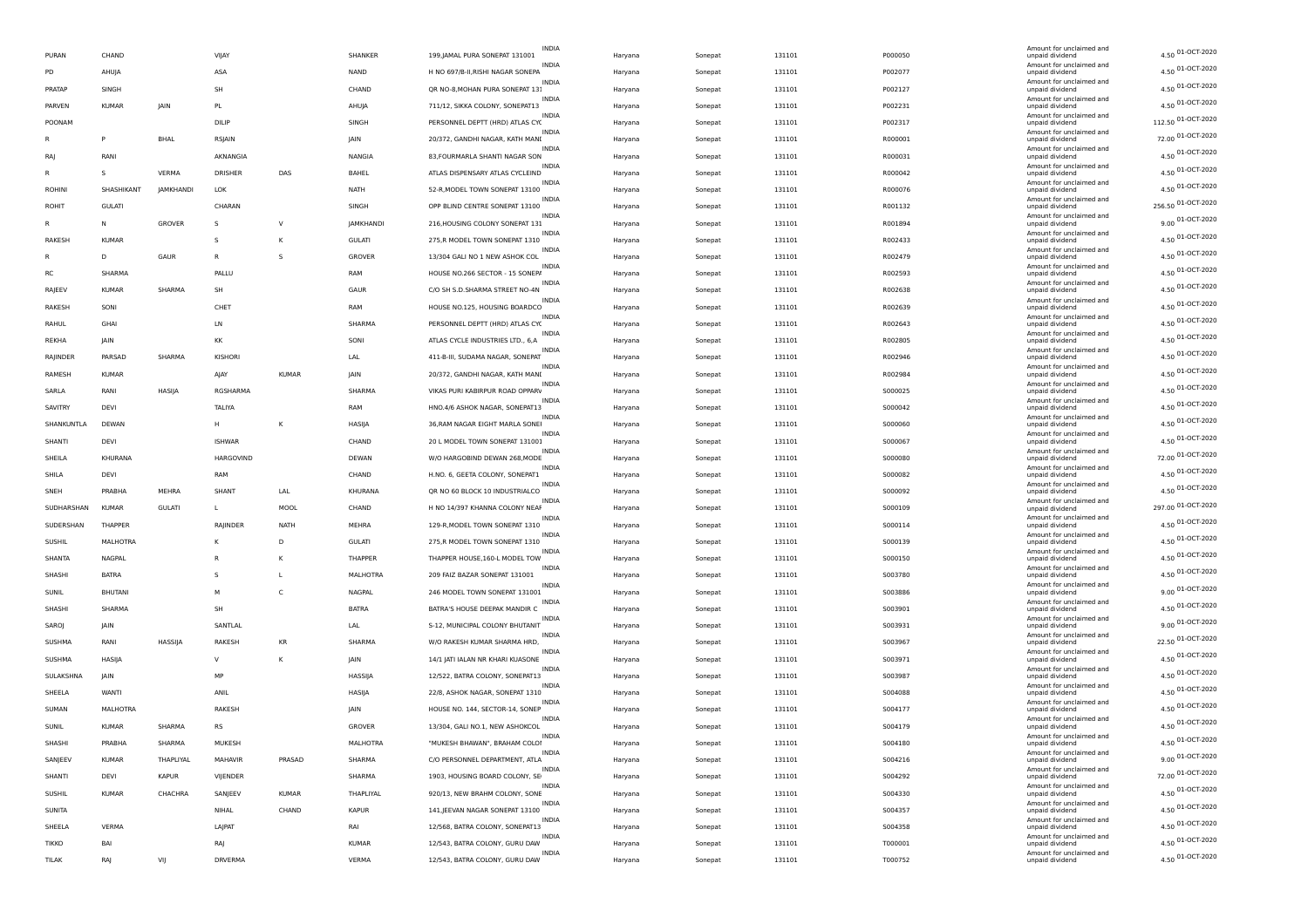| PURAN         | CHAND          |               | VIJAY          |              | SHANKER         | <b>INDIA</b><br>199, JAMAL PURA SONEPAT 131001    | Haryana | Sonepat | 131101 | P000050 | Amount for unclaimed and<br>unpaid dividend | 4.50 01-OCT-2020   |
|---------------|----------------|---------------|----------------|--------------|-----------------|---------------------------------------------------|---------|---------|--------|---------|---------------------------------------------|--------------------|
| PD            | AHUJA          |               | ASA            |              | NAND            | <b>INDIA</b><br>H NO 697/B-II, RISHI NAGAR SONEPA | Haryana | Sonepat | 131101 | P002077 | Amount for unclaimed and<br>unpaid dividend | 4.50 01-OCT-2020   |
| PRATAP        | SINGH          |               | <b>SH</b>      |              | CHAND           | INDIA<br>QR NO-8, MOHAN PURA SONEPAT 13:          | Haryana | Sonepat | 131101 | P002127 | Amount for unclaimed and<br>unpaid dividend | 4.50 01-OCT-2020   |
| PARVEN        | <b>KUMAR</b>   | JAIN          | PL             |              | AHUJA           | <b>INDIA</b><br>711/12, SIKKA COLONY, SONEPAT13   | Haryana | Sonepat | 131101 | P002231 | Amount for unclaimed and<br>unpaid dividend | 4.50 01-OCT-2020   |
| POONAM        |                |               | DILIP          |              | SINGH           | <b>INDIA</b><br>PERSONNEL DEPTT (HRD) ATLAS CY(   | Haryana | Sonepat | 131101 | P002317 | Amount for unclaimed and<br>unpaid dividend | 112.50 01-OCT-2020 |
|               | P              | <b>BHAL</b>   | RSJAIN         |              | JAIN            | INDIA<br>20/372, GANDHI NAGAR, KATH MANI          | Haryana | Sonepat | 131101 | R000001 | Amount for unclaimed and<br>unpaid dividend | 72.00 01-OCT-2020  |
|               | RANI           |               |                |              | NANGIA          | <b>INDIA</b>                                      |         |         | 131101 |         | Amount for unclaimed and                    | 4.50 01-OCT-2020   |
| RA            |                |               | AKNANGIA       |              |                 | 83, FOURMARLA SHANTI NAGAR SON<br><b>INDIA</b>    | Haryana | Sonepat |        | R000031 | unpaid dividend<br>Amount for unclaimed and | 4.50 01-OCT-2020   |
| R             | s              | VERMA         | DRISHER        | DAS          | BAHEL           | ATLAS DISPENSARY ATLAS CYCLEIND<br><b>INDIA</b>   | Haryana | Sonepat | 131101 | R000042 | unpaid dividend<br>Amount for unclaimed and | 4.50 01-OCT-2020   |
| <b>ROHINI</b> | SHASHIKANT     | JAMKHANDI     | <b>LOK</b>     |              | NATH            | 52-R, MODEL TOWN SONEPAT 13100<br><b>INDIA</b>    | Haryana | Sonepat | 131101 | R000076 | unpaid dividend<br>Amount for unclaimed and |                    |
| ROHIT         | <b>GULATI</b>  |               | CHARAN         |              | SINGH           | OPP BLIND CENTRE SONEPAT 13100<br>INDIA           | Haryana | Sonepat | 131101 | R001132 | unpaid dividend<br>Amount for unclaimed and | 256.50 01-OCT-2020 |
| R             | N              | GROVER        | -S             | $\vee$       | JAMKHANDI       | 216, HOUSING COLONY SONEPAT 131<br><b>INDIA</b>   | Haryana | Sonepat | 131101 | R001894 | unpaid dividend<br>Amount for unclaimed and | 9.00 01-OCT-2020   |
| RAKESH        | <b>KUMAR</b>   |               | s              | К            | <b>GULATI</b>   | 275, R MODEL TOWN SONEPAT 1310<br><b>INDIA</b>    | Haryana | Sonepat | 131101 | R002433 | unpaid dividend<br>Amount for unclaimed and | 4.50 01-OCT-2020   |
|               | D              | GAUR          | R              | s.           | GROVER          | 13/304 GALI NO 1 NEW ASHOK COL<br><b>INDIA</b>    | Haryana | Sonepat | 131101 | R002479 | unpaid dividend<br>Amount for unclaimed and | 4.50 01-OCT-2020   |
| <b>RC</b>     | SHARMA         |               | PALLU          |              | RAM             | HOUSE NO.266 SECTOR - 15 SONEP/                   | Haryana | Sonepat | 131101 | R002593 | unpaid dividend                             | 4.50 01-OCT-2020   |
| RAJEEV        | <b>KUMAR</b>   | SHARMA        | SH             |              | GAUR            | <b>INDIA</b><br>C/O SH S.D.SHARMA STREET NO-4N    | Haryana | Sonepat | 131101 | R002638 | Amount for unclaimed and<br>unpaid dividend | 4.50 01-OCT-2020   |
| RAKESH        | SONI           |               | CHET           |              | RAM             | <b>INDIA</b><br>HOUSE NO.125, HOUSING BOARDCO     | Haryana | Sonepat | 131101 | R002639 | Amount for unclaimed and<br>unpaid dividend | 4.50 01-OCT-2020   |
| RAHUL         | GHAI           |               | LN             |              | SHARMA          | <b>INDIA</b><br>PERSONNEL DEPTT (HRD) ATLAS CY(   | Haryana | Sonepat | 131101 | R002643 | Amount for unclaimed and<br>unpaid dividend | 4.50 01-OCT-2020   |
| REKHA         | JAIN           |               | KK             |              | SONI            | <b>INDIA</b><br>ATLAS CYCLE INDUSTRIES LTD., 6,A  | Haryana | Sonepat | 131101 | R002805 | Amount for unclaimed and<br>unpaid dividend | 4.50 01-OCT-2020   |
| RAJINDER      | PARSAD         | SHARMA        | KISHORI        |              | LAL             | INDIA<br>411-B-III, SUDAMA NAGAR, SONEPAT         | Haryana | Sonepat | 131101 | R002946 | Amount for unclaimed and<br>unpaid dividend | 4.50 01-OCT-2020   |
| RAMESH        | <b>KUMAR</b>   |               | AJAY           | <b>KUMAR</b> | JAIN            | <b>INDIA</b><br>20/372, GANDHI NAGAR, KATH MANI   | Haryana | Sonepat | 131101 | R002984 | Amount for unclaimed and<br>unpaid dividend | 4.50 01-OCT-2020   |
| SARLA         | RANI           | HASIJA        | RGSHARMA       |              | SHARMA          | INDIA<br>VIKAS PURI KABIRPUR ROAD OPPARV          | Haryana | Sonepat | 131101 | S000025 | Amount for unclaimed and<br>unpaid dividend | 4.50 01-OCT-2020   |
| SAVITRY       | DEVI           |               | TALIYA         |              | RAM             | <b>INDIA</b><br>HNO.4/6 ASHOK NAGAR, SONEPAT13    | Haryana | Sonepat | 131101 | S000042 | Amount for unclaimed and<br>unpaid dividend | 4.50 01-OCT-2020   |
| SHANKUNTLA    | DEWAN          |               | H              | к            | HASIJA          | INDIA<br>36, RAM NAGAR EIGHT MARLA SONEI          | Haryana | Sonepat | 131101 | S000060 | Amount for unclaimed and<br>unpaid dividend | 4.50 01-OCT-2020   |
| SHANTI        | DEVI           |               | <b>ISHWAR</b>  |              | CHAND           | <b>INDIA</b><br>20 L MODEL TOWN SONEPAT 131001    | Haryana | Sonepat | 131101 | S000067 | Amount for unclaimed and<br>unpaid dividend | 4.50 01-OCT-2020   |
| SHEILA        | KHURANA        |               | HARGOVIND      |              | DEWAN           | <b>INDIA</b><br>W/O HARGOBIND DEWAN 268, MODE     |         |         | 131101 | S000080 | Amount for unclaimed and<br>unpaid dividend | 72.00 01-OCT-2020  |
|               |                |               | RAM            |              |                 | INDIA                                             | Haryana | Sonepat |        |         | Amount for unclaimed and                    | 4.50 01-OCT-2020   |
| SHILA         | DEVI           |               |                |              | CHAND           | H.NO. 6, GEETA COLONY, SONEPAT1<br><b>INDIA</b>   | Haryana | Sonepat | 131101 | S000082 | unpaid dividend<br>Amount for unclaimed and | 4.50 01-OCT-2020   |
| SNEH          | PRABHA         | MEHRA         | SHANT          | LAL          | KHURANA         | QR NO 60 BLOCK 10 INDUSTRIALCO<br>INDIA           | Haryana | Sonepat | 131101 | S000092 | unpaid dividend<br>Amount for unclaimed and | 297.00 01-OCT-2020 |
| SUDHARSHAN    | <b>KUMAR</b>   | <b>GULATI</b> | L.             | MOOL         | CHAND           | H NO 14/397 KHANNA COLONY NEAF<br><b>INDIA</b>    | Haryana | Sonepat | 131101 | S000109 | unpaid dividend<br>Amount for unclaimed and | 4.50 01-OCT-2020   |
| SUDERSHAN     | THAPPER        |               | RAJINDER       | NATH         | MEHRA           | 129-R, MODEL TOWN SONEPAT 1310<br><b>INDIA</b>    | Haryana | Sonepat | 131101 | S000114 | unpaid dividend<br>Amount for unclaimed and |                    |
| <b>SUSHIL</b> | MALHOTRA       |               | К              | D            | <b>GULATI</b>   | 275, R MODEL TOWN SONEPAT 1310<br>INDIA           | Haryana | Sonepat | 131101 | S000139 | unpaid dividend<br>Amount for unclaimed and | 4.50 01-OCT-2020   |
| SHANTA        | NAGPAL         |               | R              | к            | THAPPER         | THAPPER HOUSE, 160-L MODEL TOW<br><b>INDIA</b>    | Haryana | Sonepat | 131101 | S000150 | unpaid dividend<br>Amount for unclaimed and | 4.50 01-OCT-2020   |
| SHASHI        | <b>BATRA</b>   |               | $\mathsf{s}$   | L            | <b>MALHOTRA</b> | 209 FAIZ BAZAR SONEPAT 131001<br>INDIA            | Haryana | Sonepat | 131101 | S003780 | unpaid dividend<br>Amount for unclaimed and | 4.50 01-OCT-2020   |
| SUNIL         | <b>BHUTANI</b> |               | M              | C            | NAGPAL          | 246 MODEL TOWN SONEPAT 131001<br><b>INDIA</b>     | Haryana | Sonepat | 131101 | S003886 | unpaid dividend<br>Amount for unclaimed and | 9.00 01-OCT-2020   |
| SHASHI        | SHARMA         |               | SH             |              | <b>BATRA</b>    | BATRA'S HOUSE DEEPAK MANDIR C                     | Haryana | Sonepat | 131101 | S003901 | unpaid dividend                             | 4.50 01-OCT-2020   |
| SAROJ         | JAIN           |               | SANTLAL        |              | LAL             | <b>INDIA</b><br>S-12, MUNICIPAL COLONY BHUTANIT   | Haryana | Sonepat | 131101 | S003931 | Amount for unclaimed and<br>unpaid dividend | 9.00 01-OCT-2020   |
| SUSHMA        | RANI           | HASSIJA       | RAKESH         | KR           | SHARMA          | INDIA<br>W/O RAKESH KUMAR SHARMA HRD,             | Haryana | Sonepat | 131101 | S003967 | Amount for unclaimed and<br>unpaid dividend | 22.50 01-OCT-2020  |
| SUSHMA        | HASIJA         |               | $\vee$         | к            | JAIN            | <b>INDIA</b><br>14/1 JATI IALAN NR KHARI KUASONE  | Haryana | Sonepat | 131101 | S003971 | Amount for unclaimed and<br>unpaid dividend | 4.50 01-OCT-2020   |
| SULAKSHNA     | JAIN           |               | MP             |              | HASSIJA         | INDIA<br>12/522, BATRA COLONY, SONEPAT13          | Haryana | Sonepat | 131101 | S003987 | Amount for unclaimed and<br>unpaid dividend | 4.50 01-OCT-2020   |
| SHEELA        | WANTI          |               | ANIL           |              | HASIJA          | <b>INDIA</b><br>22/8, ASHOK NAGAR, SONEPAT 1310   | Haryana | Sonepat | 131101 | S004088 | Amount for unclaimed and<br>unpaid dividend | 4.50 01-OCT-2020   |
| SUMAN         | MALHOTRA       |               | RAKESH         |              | JAIN            | <b>INDIA</b><br>HOUSE NO. 144, SECTOR-14, SONEP   | Haryana | Sonepat | 131101 | S004177 | Amount for unclaimed and<br>unpaid dividend | 4.50 01-OCT-2020   |
| SUNIL         | <b>KUMAR</b>   | SHARMA        | <b>RS</b>      |              | GROVER          | 13/304, GALI NO.1, NEW ASHOKCOL                   | Haryana | Sonepat | 131101 | S004179 | Amount for unclaimed and<br>unpaid dividend | 4.50 01-OCT-2020   |
| SHASHI        | PRABHA         | SHARMA        | MUKESH         |              | MALHOTRA        | <b>INDIA</b><br>"MUKESH BHAWAN", BRAHAM COLOI     | Haryana | Sonepat | 131101 | S004180 | Amount for unclaimed and<br>unpaid div      | 4.50 01-OCT-2020   |
| SANJEEV       | KUMAR          | THAPLIYAL     | MAHAVIR        | PRASAD       | SHARMA          | INDIA<br>C/O PERSONNEL DEPARTMENT, ATLA           | Haryana | Sonepat | 131101 | S004216 | Amount for unclaimed and<br>unpaid dividend | 9.00 01-OCT-2020   |
| SHANTI        | DEVI           | <b>KAPUR</b>  | VIJENDER       |              | SHARMA          | 1903, HOUSING BOARD COLONY, SE                    | Haryana | Sonepat | 131101 | S004292 | Amount for unclaimed and<br>unpaid dividend | 72.00 01-OCT-2020  |
| <b>SUSHIL</b> | <b>KUMAR</b>   | CHACHRA       | SANJEEV        | <b>KUMAR</b> | THAPLIYAL       | INDIA<br>920/13, NEW BRAHM COLONY, SONE           | Haryana | Sonepat | 131101 | 5004330 | Amount for unclaimed and<br>unpaid dividend | 4.50 01-OCT-2020   |
| SUNITA        |                |               | NIHAL          | CHAND        | <b>KAPUR</b>    | <b>INDIA</b><br>141, JEEVAN NAGAR SONEPAT 13100   |         |         | 131101 | S004357 | Amount for unclaimed and                    | 4.50 01-OCT-2020   |
|               |                |               |                |              |                 | <b>INDIA</b>                                      | Haryana | Sonepat |        |         | unpaid dividend<br>Amount for unclaimed and | 4.50 01-OCT-2020   |
| SHEELA        | VERMA          |               | LAJPAT         |              | RAI             | 12/568, BATRA COLONY, SONEPAT13<br>INDIA          | Haryana | Sonepat | 131101 | S004358 | unpaid dividend<br>Amount for unclaimed and | 4.50 01-OCT-2020   |
| <b>TIKKO</b>  | BAI            |               | RAJ            |              | <b>KUMAR</b>    | 12/543, BATRA COLONY, GURU DAW                    | Haryana | Sonepat | 131101 | T000001 | unpaid dividend<br>Amount for unclaimed and | 4.50 01-OCT-2020   |
| TILAK         | RAJ            | VIJ           | <b>DRVERMA</b> |              | VERMA           | 12/543, BATRA COLONY, GURU DAW                    | Haryana | Sonepat | 131101 | T000752 | unpaid dividend                             |                    |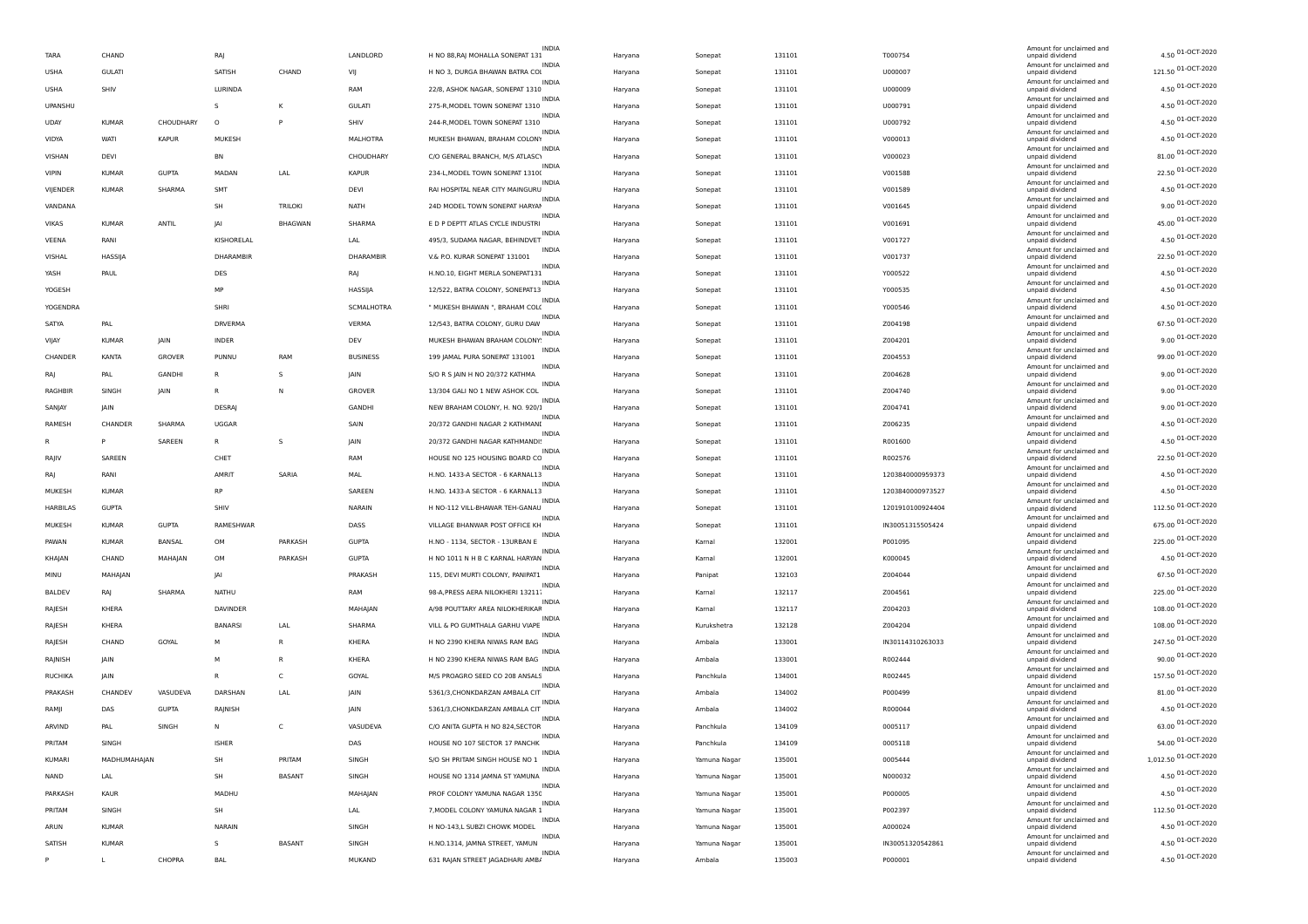| TARA          | CHAND         |               | RAJ            |                | LANDLORD        | <b>INDIA</b><br>H NO 88, RAJ MOHALLA SONEPAT 131  | Haryana | Sonepat      | 131101 | T000754          | Amount for unclaimed and<br>unpaid dividend | 4.50 01-OCT-2020     |
|---------------|---------------|---------------|----------------|----------------|-----------------|---------------------------------------------------|---------|--------------|--------|------------------|---------------------------------------------|----------------------|
| <b>USHA</b>   | <b>GULATI</b> |               | SATISH         | CHAND          | VIJ             | H NO 3, DURGA BHAWAN BATRA COI                    | Haryana | Sonepat      | 131101 | U000007          | Amount for unclaimed and<br>unpaid dividend | 121.50 01-OCT-2020   |
| <b>USHA</b>   | SHIV          |               | LURINDA        |                | RAM             | 22/8, ASHOK NAGAR, SONEPAT 1310                   | Haryana | Sonepat      | 131101 | U000009          | Amount for unclaimed and<br>unpaid dividend | 4.50 01-OCT-2020     |
| UPANSHU       |               |               | s              | К              | <b>GULATI</b>   | <b>INDIA</b><br>275-R, MODEL TOWN SONEPAT 1310    | Haryana | Sonepat      | 131101 | U000791          | Amount for unclaimed and<br>unpaid dividend | 4.50 01-OCT-2020     |
| <b>UDAY</b>   | <b>KUMAR</b>  | CHOUDHARY     | $\circ$        | P              | SHIV            | <b>INDIA</b><br>244-R.MODEL TOWN SONEPAT 1310     | Haryana | Sonepat      | 131101 | U000792          | Amount for unclaimed and<br>unpaid dividend | 4.50 01-OCT-2020     |
| VIDYA         | WATI          | <b>KAPUR</b>  | MUKESH         |                | <b>MALHOTRA</b> | <b>INDIA</b><br>MUKESH BHAWAN, BRAHAM COLONY      | Haryana | Sonepat      | 131101 | V000013          | Amount for unclaimed and<br>unpaid dividend | 4.50 01-OCT-2020     |
| VISHAN        | DEVI          |               | BN             |                | CHOUDHARY       | <b>INDIA</b><br>C/O GENERAL BRANCH, M/S ATLASC\   | Haryana | Sonepat      | 131101 | V000023          | Amount for unclaimed and<br>unpaid dividend | 81.00 01-OCT-2020    |
| <b>VIPIN</b>  | KUMAR         | <b>GUPTA</b>  | MADAN          | LAL            | <b>KAPUR</b>    | 234-L, MODEL TOWN SONEPAT 1310(                   | Haryana | Sonepat      | 131101 | V001588          | Amount for unclaimed and<br>unpaid dividend | 22.50 01-OCT-2020    |
| VIJENDER      | <b>KUMAR</b>  | SHARMA        | <b>SMT</b>     |                | DEVI            | <b>INDIA</b><br>RAI HOSPITAL NEAR CITY MAINGURU   | Haryana | Sonepat      | 131101 | V001589          | Amount for unclaimed and<br>unpaid dividend | 4.50 01-OCT-2020     |
| VANDANA       |               |               | SH             | TRILOKI        | <b>NATH</b>     | INDIA<br>24D MODEL TOWN SONEPAT HARYAN            | Haryana | Sonepat      | 131101 | V001645          | Amount for unclaimed and<br>unpaid dividend | 9.00 01-OCT-2020     |
|               |               | <b>ANTIL</b>  | <b>JA</b>      | <b>BHAGWAN</b> | SHARMA          | <b>INDIA</b><br>E D P DEPTT ATLAS CYCLE INDUSTRI  |         |              |        |                  | Amount for unclaimed and                    | 45.00 01-OCT-2020    |
| VIKAS         | <b>KUMAR</b>  |               |                |                |                 | INDIA                                             | Haryana | Sonepat      | 131101 | V001691          | unpaid dividend<br>Amount for unclaimed and | 4.50 01-OCT-2020     |
| VEENA         | RANI          |               | KISHORELAL     |                | LAL             | 495/3, SUDAMA NAGAR, BEHINDVET<br><b>INDIA</b>    | Haryana | Sonepat      | 131101 | V001727          | unpaid dividend<br>Amount for unclaimed and | 22.50 01-OCT-2020    |
| VISHAL        | HASSIJA       |               | DHARAMBIR      |                | DHARAMBIR       | V.& P.O. KURAR SONEPAT 131001<br><b>INDIA</b>     | Haryana | Sonepat      | 131101 | V001737          | unpaid dividend<br>Amount for unclaimed and | 4.50 01-OCT-2020     |
| YASH          | PAUL          |               | DES            |                | RAJ             | H.NO.10, EIGHT MERLA SONEPAT131<br><b>INDIA</b>   | Haryana | Sonepat      | 131101 | Y000522          | unpaid dividend<br>Amount for unclaimed and |                      |
| YOGESH        |               |               | MP             |                | HASSIJA         | 12/522, BATRA COLONY, SONEPAT13<br>INDIA          | Haryana | Sonepat      | 131101 | Y000535          | unpaid dividend<br>Amount for unclaimed and | 4.50 01-OCT-2020     |
| YOGENDRA      |               |               | SHRI           |                | SCMALHOTRA      | " MUKESH BHAWAN ", BRAHAM COL(<br><b>INDIA</b>    | Haryana | Sonepat      | 131101 | Y000546          | unpaid dividend<br>Amount for unclaimed and | 4.50 01-OCT-2020     |
| SATYA         | PAL           |               | DRVERMA        |                | VERMA           | 12/543, BATRA COLONY, GURU DAW<br><b>INDIA</b>    | Haryana | Sonepat      | 131101 | Z004198          | unpaid dividend<br>Amount for unclaimed and | 67.50 01-OCT-2020    |
| VIJAY         | <b>KUMAR</b>  | JAIN          | <b>INDER</b>   |                | DEV             | MUKESH BHAWAN BRAHAM COLONY                       | Haryana | Sonepat      | 131101 | Z004201          | unpaid dividend                             | 9.00 01-OCT-2020     |
| CHANDER       | KANTA         | GROVER        | PUNNU          | RAM            | <b>BUSINESS</b> | <b>INDIA</b><br>199 JAMAL PURA SONEPAT 131001     | Haryana | Sonepat      | 131101 | Z004553          | Amount for unclaimed and<br>unpaid dividend | 99.00 01-OCT-2020    |
| RAJ           | PAL           | <b>GANDHI</b> | R              | s              | <b>JAIN</b>     | <b>INDIA</b><br>S/O R S JAIN H NO 20/372 KATHMA   | Haryana | Sonepat      | 131101 | Z004628          | Amount for unclaimed and<br>unpaid dividend | 9.00 01-OCT-2020     |
| RAGHBIF       | SINGH         | IAIN          | R              | N              | GROVER          | INDIA<br>13/304 GALI NO 1 NEW ASHOK COL           | Haryana | Sonepat      | 131101 | Z004740          | Amount for unclaimed and<br>unpaid dividend | 9.00 01-OCT-2020     |
| SANJAY        | JAIN          |               | DESRAJ         |                | GANDHI          | INDIA<br>NEW BRAHAM COLONY, H. NO. 920/           | Haryana | Sonepat      | 131101 | Z004741          | Amount for unclaimed and<br>unpaid dividend | 9.00 01-OCT-2020     |
| RAMESH        | CHANDER       | SHARMA        | UGGAR          |                | SAIN            | 20/372 GANDHI NAGAR 2 KATHMANI                    | Haryana | Sonepat      | 131101 | Z006235          | Amount for unclaimed and<br>unpaid dividend | 4.50 01-OCT-2020     |
|               |               | SAREEN        | R              | s              | JAIN            | <b>INDIA</b><br>20/372 GANDHI NAGAR KATHMANDI!    | Haryana | Sonepat      | 131101 | R001600          | Amount for unclaimed and<br>unpaid dividend | 4.50 01-OCT-2020     |
| RAIIV         | SAREEN        |               | CHET           |                | RAM             | INDIA<br>HOUSE NO 125 HOUSING BOARD CC            | Haryana | Sonepat      | 131101 | R002576          | Amount for unclaimed and<br>unpaid dividend | 22.50 01-OCT-2020    |
| RA            | RANI          |               | AMRIT          | SARIA          | MAL             | <b>INDIA</b><br>H.NO. 1433-A SECTOR - 6 KARNAL13  | Haryana | Sonepat      | 131101 | 1203840000959373 | Amount for unclaimed and<br>unpaid dividend | 4.50 01-OCT-2020     |
| MUKESH        | KUMAR         |               | <b>RP</b>      |                | SAREEN          | <b>INDIA</b><br>H.NO. 1433-A SECTOR - 6 KARNAL13  | Haryana | Sonepat      | 131101 | 1203840000973527 | Amount for unclaimed and<br>unpaid dividend | 4.50 01-OCT-2020     |
| HARBILAS      | <b>GUPTA</b>  |               | SHIV           |                | NARAIN          | H NO-112 VILL-BHAWAR TEH-GANAU                    | Haryana | Sonepat      | 131101 | 1201910100924404 | Amount for unclaimed and<br>unpaid dividend | 112.50 01-OCT-2020   |
| MUKESH        | <b>KUMAR</b>  | <b>GUPTA</b>  | RAMESHWAP      |                | DASS            | <b>INDIA</b><br>VILLAGE BHANWAR POST OFFICE KH    | Haryana | Sonepat      | 131101 | IN30051315505424 | Amount for unclaimed and<br>unpaid dividend | 675.00 01-OCT-2020   |
|               |               |               |                |                |                 | <b>INDIA</b>                                      |         |              |        |                  | Amount for unclaimed and                    | 225.00 01-OCT-2020   |
| PAWAN         | <b>KUMAR</b>  | BANSAL        | OM             | PARKASH        | <b>GUPTA</b>    | H.NO - 1134, SECTOR - 13URBAN E<br><b>INDIA</b>   | Haryana | Kamal        | 132001 | P001095          | unpaid dividend<br>Amount for unclaimed and | 4.50 01-OCT-2020     |
| KHAJAN        | CHAND         | MAHAJAN       | OM             | PARKASH        | <b>GUPTA</b>    | H NO 1011 N H B C KARNAL HARYAN<br>INDIA          | Haryana | Kamal        | 132001 | K000045          | unpaid dividend<br>Amount for unclaimed and | 67.50 01-OCT-2020    |
| MINU          | MAHAJAN       |               | <b>JA</b>      |                | PRAKASH         | 115, DEVI MURTI COLONY, PANIPAT1                  | Haryana | Panipat      | 132103 | Z004044          | unpaid dividend<br>Amount for unclaimed and | 225.00 01-OCT-2020   |
| <b>BALDEV</b> | RAJ           | SHARMA        | NATHU          |                | RAM             | 98-A, PRESS AERA NILOKHERI 13211.<br><b>INDIA</b> | Haryana | Kamal        | 132117 | Z004561          | unpaid dividend<br>Amount for unclaimed and |                      |
| RAJESH        | KHERA         |               | DAVINDER       |                | MAHAJAN         | A/98 POUTTARY AREA NILOKHERIKAF<br>INDIA          | Haryana | Kamal        | 132117 | Z004203          | unpaid dividend<br>Amount for unclaimed and | 108.00 01-OCT-2020   |
| RAJESH        | KHERA         |               | <b>BANARSI</b> | LAL            | SHARMA          | VILL & PO GUMTHALA GARHU VIAPE<br>INDIA           | Haryana | Kurukshetra  | 132128 | Z004204          | unpaid dividend<br>Amount for unclaimed and | 108.00 01-OCT-2020   |
| RAJESH        | CHAND         | GOYAL         | M              | $\mathsf{R}$   | KHERA           | H NO 2390 KHERA NIWAS RAM BAG<br><b>INDIA</b>     | Haryana | Ambala       | 133001 | IN30114310263033 | unpaid dividend<br>Amount for unclaimed and | 247.50 01-OCT-2020   |
| RAJNISH       | JAIN          |               | M              | $\mathsf{R}$   | KHERA           | H NO 2390 KHERA NIWAS RAM BAG                     | Haryana | Ambala       | 133001 | R002444          | unpaid dividend<br>Amount for unclaimed and | 90.00 01-OCT-2020    |
| RUCHIKA       | JAIN          |               | R              | C              | GOYAL           | M/S PROAGRO SEED CO 208 ANSALS                    | Haryana | Panchkula    | 134001 | R002445          | unpaid dividend                             | 157.50 01-OCT-2020   |
| PRAKASH       | CHANDEV       | VASUDEVA      | DARSHAN        | LAL            | JAIN            | INDIA<br>5361/3, CHONKDARZAN AMBALA CIT           | Haryana | Ambala       | 134002 | P000499          | Amount for unclaimed and<br>unpaid dividend | 81.00 01-OCT-2020    |
| RAMJI         | DAS           | <b>GUPTA</b>  | RAJNISH        |                | <b>JAIN</b>     | INDIA<br>5361/3, CHONKDARZAN AMBALA CIT           | Haryana | Ambala       | 134002 | R000044          | Amount for unclaimed and<br>unpaid dividend | 4.50 01-OCT-2020     |
| ARVIND        | PAI           | SINGH         | N              | $\epsilon$     | VASUDEVA        | <b>INDIA</b><br>C/O ANITA GUPTA H NO 824, SECTOR  | Haryana | Panchkula    | 134109 | 0005117          | Amount for unclaimed and<br>unpaid dividend | 63.00 01-OCT-2020    |
| PRITAM        | SINGH         |               | <b>ISHER</b>   |                | DAS             | INDIA<br>HOUSE NO 107 SECTOR 17 PANCHK            | Haryana | Panchkula    | 134109 | 0005118          | Amount for unclaimed and<br>unpaid dividend | 54.00 01-OCT-2020    |
| KUMARI        | MADHUMAHAJAN  |               | SH             | PRITAM         | SINGH           | <b>INDIA</b><br>S/O SH PRITAM SINGH HOUSE NO 1    | Haryana | Yamuna Nagar | 135001 | 0005444          | Amount for unclaimed and<br>unpaid dividend | 1,012.50 01-OCT-2020 |
| NAND          | LAL           |               | SH             | BASANT         | SINGH           | INDIA<br>HOUSE NO 1314 JAMNA ST YAMUNA            | Haryana | Yamuna Nagar | 135001 | N000032          | Amount for unclaimed and<br>unpaid dividend | 4.50 01-OCT-2020     |
| PARKASH       | <b>KAUR</b>   |               | MADHU          |                | MAHAJAN         | INDIA<br>PROF COLONY YAMUNA NAGAR 1350            | Haryana | Yamuna Nagar | 135001 | P000005          | Amount for unclaimed and<br>unpaid dividend | 4.50 01-OCT-2020     |
| PRITAM        | SINGH         |               | SH             |                | LAL             | INDIA<br>7, MODEL COLONY YAMUNA NAGAR 1           | Haryana | Yamuna Nagar | 135001 | P002397          | Amount for unclaimed and<br>unpaid dividend | 112.50 01-OCT-2020   |
| ARUN          | <b>KUMAR</b>  |               | NARAIN         |                | SINGH           | INDIA<br>H NO-143,L SUBZI CHOWK MODEL             | Haryana | Yamuna Nagar | 135001 | A000024          | Amount for unclaimed and<br>unpaid dividend | 4.50 01-OCT-2020     |
| SATISH        | KUMAR         |               | s              | BASANT         | SINGH           | <b>INDIA</b><br>H.NO.1314, JAMNA STREET, YAMUN    | Haryana | Yamuna Nagar | 135001 | IN30051320542861 | Amount for unclaimed and<br>unpaid dividend | 4.50 01-OCT-2020     |
|               |               | CHOPRA        | <b>BAL</b>     |                | MUKAND          | INDIA<br>631 RAJAN STREET JAGADHARI AMB/          | Haryana | Ambala       | 135003 | P000001          | Amount for unclaimed and<br>unpaid dividend | 4.50 01-OCT-2020     |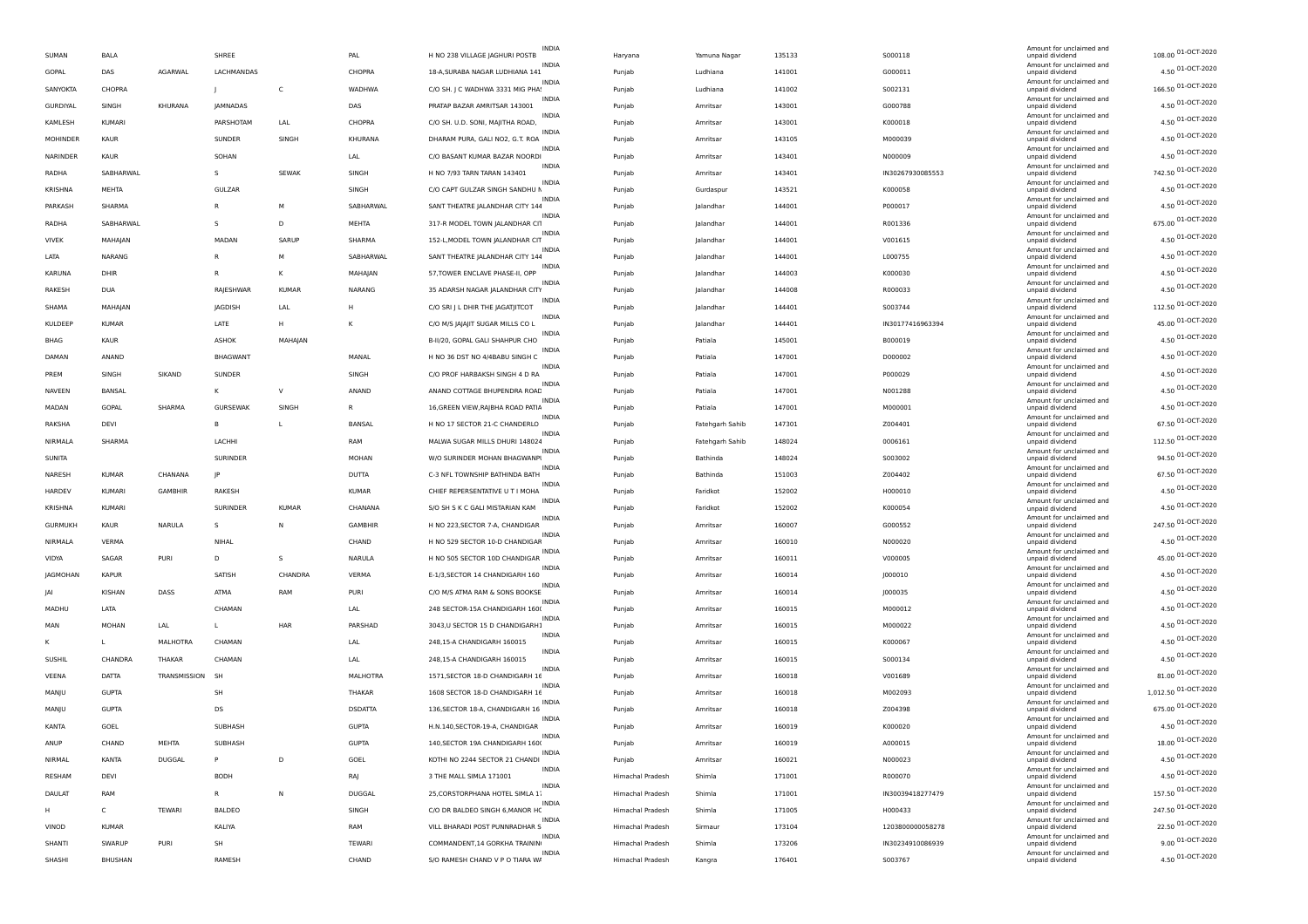| H NO 238 VILLAGE JAGHURI POSTB<br>SUMAN<br>BALA<br>SHREE<br>PAL<br>Yamuna Nagar<br>135133<br>S000118<br>unpaid dividend<br>Haryana<br>Amount for unclaimed and<br><b>INDIA</b><br>4.50 01-OCT-2020<br>GOPAL<br>DAS<br>AGARWAL<br>LACHMANDAS<br>CHOPRA<br>18-A, SURABA NAGAR LUDHIANA 141<br>141001<br>G000011<br>Ludhiana<br>Punjab<br>unpaid dividend<br>Amount for unclaimed and<br><b>INDIA</b><br>166.50 01-OCT-2020<br>SANYOKTA<br>CHOPRA<br>$\mathsf{C}$<br>WADHWA<br>C/O SH. J C WADHWA 3331 MIG PHA:<br>141002<br>5002131<br>Ludhiana<br>Punjab<br>unpaid dividend<br>INDIA<br>Amount for unclaimed and<br>4.50 01-OCT-2020<br>GURDIYAL<br>KHURANA<br><b>JAMNADAS</b><br>DAS<br>PRATAP BAZAR AMRITSAR 143001<br>143001<br>G000788<br>SINGH<br>Punjab<br>Amritsar<br>unpaid dividend<br>Amount for unclaimed and<br>INDIA<br>4.50 01-OCT-2020<br>C/O SH. U.D. SONI, MAJITHA ROAD,<br>KAMLESH<br>KUMARI<br>PARSHOTAM<br>LAL<br>CHOPRA<br>Punjab<br>Amritsar<br>143001<br>K000018<br>unpaid dividend<br><b>INDIA</b><br>Amount for unclaimed and<br>4.50 01-OCT-2020<br>MOHINDER<br>KHURANA<br>DHARAM PURA, GALI NO2, G.T. ROA<br>M000039<br>KAUR<br>SUNDER<br>SINGH<br>Punjab<br>Amritsar<br>143105<br>unpaid dividend<br>INDIA<br>Amount for unclaimed and<br>4.50 01-OCT-2020<br>NARINDER<br>SOHAN<br>LAL<br>C/O BASANT KUMAR BAZAR NOORDI<br>143401<br>N000009<br>KAUR<br>Amritsar<br>Punjab<br>unpaid dividend<br><b>INDIA</b><br>Amount for unclaimed and<br>742.50 01-OCT-2020<br>RADHA<br>SEWAK<br>SINGH<br>H NO 7/93 TARN TARAN 143401<br>143401<br>IN30267930085553<br>SABHARWAL<br>s<br>Punjab<br>Amritsar<br>unpaid dividend<br>INDIA<br>Amount for unclaimed and<br>4.50 01-OCT-2020<br>GULZAR<br>C/O CAPT GULZAR SINGH SANDHU M<br>143521<br>KRISHNA<br>MEHTA<br>SINGH<br>K000058<br>Punjab<br>Gurdaspur<br>unpaid dividend<br>Amount for unclaimed and<br>INDIA<br>4.50 01-OCT-2020<br>SANT THEATRE JALANDHAR CITY 144<br>PARKASH<br>SHARMA<br>R<br>м<br>SABHARWAL<br>Jalandhar<br>144001<br>P000017<br>Punjab<br>unpaid dividend<br>Amount for unclaimed and<br>INDIA<br>675.00 01-OCT-2020<br>317-R MODEL TOWN JALANDHAR CIT<br>RADHA<br>SABHARWAL<br>S<br>D<br>MEHTA<br>Punjab<br>Jalandhar<br>144001<br>R001336<br>unpaid dividend<br>INDIA<br>Amount for unclaimed and<br>4.50 01-OCT-2020<br><b>VIVEK</b><br>MADAN<br>SARUP<br>SHARMA<br>152-L, MODEL TOWN JALANDHAR CIT<br>144001<br>V001615<br>MAHAJAN<br>lalandhar<br>Punjab<br>unpaid dividend<br>Amount for unclaimed and<br><b>INDIA</b><br>4.50 01-OCT-2020<br>LATA<br>SABHARWAL<br>SANT THEATRE JALANDHAR CITY 144<br>144001<br>L000755<br>NARANG<br>R<br>M<br>Jalandhar<br>Punjab<br>unpaid dividend<br>INDIA<br>Amount for unclaimed and<br>4.50 01-OCT-2020<br>57, TOWER ENCLAVE PHASE-II, OPP<br><b>KARUNA</b><br>DHIR<br>R<br>К<br>MAHAJAN<br>144003<br>K000030<br>Punjab<br>Jalandhar<br>unpaid dividend<br>INDIA<br>Amount for unclaimed and<br>4.50 01-OCT-2020<br>RAKESH<br><b>DUA</b><br>RAJESHWAR<br>KUMAR<br>NARANG<br>35 ADARSH NAGAR JALANDHAR CITY<br>Jalandhar<br>144008<br>R000033<br>Punjab<br>unpaid dividend<br>Amount for unclaimed and<br>INDIA<br>112.50 01-OCT-2020<br>C/O SRI J L DHIR THE JAGATJITCOT<br>SHAMA<br>MAHAJAN<br>JAGDISH<br>LAL<br>Н<br>Punjab<br>Jalandhar<br>144401<br>S003744<br>unpaid dividend<br><b>INDIA</b><br>Amount for unclaimed and<br>45.00 01-OCT-2020<br>KULDEEP<br>LATE<br>C/O M/S JAJAJIT SUGAR MILLS CO L<br>144401<br>IN30177416963394<br><b>KUMAR</b><br>H<br>lalandhar<br>К<br>Punjab<br>unpaid dividend<br><b>INDIA</b><br>Amount for unclaimed and<br>4.50 01-OCT-2020<br>BHAG<br>KAUR<br>ASHOK<br>B-II/20, GOPAL GALI SHAHPUR CHO<br>145001<br>B000019<br>MAHAJAN<br>Patiala<br>Punjab<br>unpaid dividend<br>INDIA<br>Amount for unclaimed and<br>4.50 01-OCT-2020<br>BHAGWANT<br>MANAL<br>H NO 36 DST NO 4/4BABU SINGH C<br>147001<br>DAMAN<br>D000002<br>ANAND<br>Punjab<br>Patiala<br>unpaid dividend<br>INDIA<br>Amount for unclaimed and<br>4.50 01-OCT-2020<br>C/O PROF HARBAKSH SINGH 4 D RA<br>147001<br>PREM<br>SINGH<br>SIKAND<br>SUNDER<br>SINGH<br>Punjab<br>Patiala<br>P000029<br>unpaid dividend<br>Amount for unclaimed and<br><b>INDIA</b><br>4.50 01-OCT-2020<br>NAVEEN<br>ANAND<br>ANAND COTTAGE BHUPENDRA ROAC<br>147001<br>BANSAL<br>K<br>V<br>Punjab<br>Patiala<br>N001288<br>unpaid dividend<br>INDIA<br>Amount for unclaimed and<br>4.50 01-OCT-2020<br>MADAN<br>GOPAL<br>SHARMA<br><b>GURSEWAK</b><br>SINGH<br>16, GREEN VIEW, RAJBHA ROAD PATIA<br>147001<br>M000001<br>R.<br>Patiala<br>Punjab<br>unpaid dividend<br><b>INDIA</b><br>Amount for unclaimed and<br>67.50 01-OCT-2020<br>RAKSHA<br><b>BANSAL</b><br>H NO 17 SECTOR 21-C CHANDERLO<br>147301<br>Z004401<br>DEVI<br>B<br>Fatehgarh Sahib<br>L<br>Punjab<br>unpaid dividend<br>INDIA<br>Amount for unclaimed and<br>112.50 01-OCT-2020<br>LACHHI<br>MALWA SUGAR MILLS DHURI 148024<br>NIRMALA<br><b>SHARMA</b><br>RAM<br>148024<br>0006161<br>Punjab<br>Fatehgarh Sahib<br>unpaid dividend<br>Amount for unclaimed and<br>94.50 01-OCT-2020<br>SUNITA<br>SURINDER<br>MOHAN<br>W/O SURINDER MOHAN BHAGWANPI<br>Bathinda<br>148024<br>S003002<br>Punjab<br>unpaid dividend<br>Amount for unclaimed and<br>INDIA<br>67.50 01-OCT-2020<br>DUTTA<br>C-3 NFL TOWNSHIP BATHINDA BATH<br>NARESH<br><b>KUMAR</b><br>CHANANA<br>JP.<br>Punjab<br>Bathinda<br>151003<br>Z004402<br>unpaid dividend<br>INDIA<br>Amount for unclaimed and<br>4.50 01-OCT-2020<br>HARDEV<br><b>GAMBHIR</b><br>KUMAR<br>CHIEF REPERSENTATIVE U T I MOHA<br>152002<br>H000010<br><b>KUMARI</b><br><b>RAKESH</b><br>Punjab<br>Faridkot<br>unpaid dividend<br><b>INDIA</b><br>Amount for unclaimed and<br>4.50 01-OCT-2020<br>KRISHNA<br>KUMARI<br>SURINDER<br><b>KUMAR</b><br>CHANANA<br>S/O SH S K C GALI MISTARIAN KAM<br>152002<br>K000054<br>Faridkot<br>Punjab<br>unpaid dividend<br>INDIA<br>Amount for unclaimed and<br>247.50 01-OCT-2020<br>NARULA<br>GAMBHIR<br>H NO 223, SECTOR 7-A, CHANDIGAR<br>160007<br><b>GURMUKH</b><br>KAUR<br>s<br>N<br>G000552<br>Punjab<br>Amritsar<br>unpaid dividend<br>Amount for unclaimed and<br><b>INDIA</b><br>4.50 01-OCT-2020<br>H NO 529 SECTOR 10-D CHANDIGAR<br>NIRMALA<br>VERMA<br>NIHAL<br>CHAND<br>Amritsar<br>160010<br>N000020<br>Punjab<br>unpaid dividend<br>Amount for unclaimed and<br><b>INDIA</b><br>45.00 01-OCT-2020<br>PURI<br>NARULA<br>H NO 505 SECTOR 10D CHANDIGAR<br>VIDYA<br>SAGAR<br>D<br>s<br>Punjab<br>Amritsar<br>160011<br>V000005<br>unpaid dividend<br>INDIA<br>Amount for unclaimed and<br>4.50 01-OCT-2020<br>SATISH<br>CHANDRA<br>VERMA<br>E-1/3, SECTOR 14 CHANDIGARH 160<br>JAGMOHAN<br><b>KAPUR</b><br>Punjab<br>Amritsar<br>160014<br>J000010<br>unpaid dividend<br>Amount for unclaimed and<br><b>INDIA</b><br>4.50 01-OCT-2020<br>KISHAN<br>DASS<br>ATMA<br>PURI<br>C/O M/S ATMA RAM & SONS BOOKSE<br>160014<br>J000035<br>RAM<br>Amritsar<br>IAI<br>Punjab<br>unpaid dividend<br>INDIA<br>Amount for unclaimed and<br>4.50 01-OCT-2020<br>LATA<br>248 SECTOR-15A CHANDIGARH 1600<br>M000012<br>MADHU<br>CHAMAN<br>LAL<br>160015<br>Punjab<br>Amritsar<br>unpaid dividend<br><b>INDIA</b><br>Amount for unclaimed and<br>4.50 01-OCT-2020<br>3043, U SECTOR 15 D CHANDIGARH1<br>MAN<br>MOHAN<br>LAL<br>HAR<br>PARSHAD<br>Punjab<br>Amritsar<br>160015<br>M000022<br>Г<br>unpaid dividend<br>INDIA<br>Amount for unclaimed and<br>4.50 01-OCT-2020<br>248,15-A CHANDIGARH 160015<br>MALHOTRA<br>CHAMAN<br>LAL<br>Punjab<br>Amritsar<br>160015<br>K000067<br>unpaid dividend<br>INDIA<br>Amount for unclaimed and<br>4.50 01-OCT-2020<br>SUSHIL<br>CHANDRA<br>THAKAR<br>CHAMAN<br>248,15-A CHANDIGARH 160015<br>160015<br>S000134<br>LAL<br>Amritsar<br>Punjab<br>unpaid dividend<br><b>INDIA</b><br>Amount for unclaimed and<br>81.00 01-OCT-2020<br>VEENA<br>DATTA<br>TRANSMISSION<br>MALHOTRA<br>1571, SECTOR 18-D CHANDIGARH 16<br>160018<br>V001689<br>- SH<br>Amritsar<br>Punjab<br>unpaid dividend<br>INDIA<br>Amount for unclaimed and<br>1,012.50 01-OCT-2020<br>1608 SECTOR 18-D CHANDIGARH 16<br>MANJU<br><b>GUPTA</b><br>SH<br>160018<br>M002093<br>THAKAR<br>Punjab<br>Amritsar<br>unpaid dividend<br>Amount for unclaimed and<br><b>INDIA</b><br>675.00 01-OCT-2020<br>MANJU<br><b>GUPTA</b><br>DS<br><b>DSDATTA</b><br>136, SECTOR 18-A, CHANDIGARH 16<br>Amritsar<br>160018<br>Z004398<br>Punjab<br>unpaid dividend<br>Amount for unclaimed and<br>INDIA<br>4.50 01-OCT-2020<br>KANTA<br><b>GUPTA</b><br>H.N.140, SECTOR-19-A, CHANDIGAR<br>GOEL<br>SUBHASH<br>Punjab<br>Amritsar<br>160019<br>K000020<br>unpaid dividend<br>Amount for unclaimed and<br>18.00 01-OCT-2020<br>ANUP<br>MEHTA<br>SUBHASH<br><b>GUPTA</b><br>160019<br>A000015<br>CHAND<br>140, SECTOR 19A CHANDIGARH 1600<br>Amritsar<br>Punjab<br>unpaid dividend<br>Amount for unclaimed and<br>INDIA<br>4.50 01-OCT-2020<br>NIRMAL<br>KANTA<br><b>DUGGAL</b><br>P<br>D<br>GOEL<br>KOTHI NO 2244 SECTOR 21 CHANDI<br>160021<br>N000023<br>Amritsar<br>Punjab<br>unpaid dividend<br>INDIA<br>Amount for unclaimed and<br>4.50 01-OCT-2020<br>DEVI<br><b>BODH</b><br>RAJ<br>3 THE MALL SIMLA 171001<br>171001<br>R000070<br>RESHAM<br>Shimla<br>Himachal Pradesh<br>unpaid dividend<br>INDIA<br>Amount for unclaimed and<br>157.50 01-OCT-2020<br>N<br>DUGGAL<br>DAULAT<br>RAM<br>R<br>25, CORSTORPHANA HOTEL SIMLA 1.<br>Himachal Pradesh<br>Shimla<br>171001<br>IN30039418277479<br>unpaid dividend<br>Amount for unclaimed and<br>INDIA<br>247.50 01-OCT-2020<br>TEWARI<br>BALDEO<br>SINGH<br>C/O DR BALDEO SINGH 6, MANOR HC<br>Himachal Pradesh<br>171005<br>C<br>Shimla<br>H000433<br>unpaid dividend<br>INDIA<br>Amount for unclaimed and<br>22.50 01-OCT-2020<br>VINOD<br><b>KUMAR</b><br>KALIYA<br>RAM<br>VILL BHARADI POST PUNNRADHAR S<br>Himachal Pradesh<br>173104<br>1203800000058278<br>Sirmaur<br>unpaid dividend<br>Amount for unclaimed and<br>INDIA<br>9.00 01-OCT-2020<br>SHANTI<br>SWARUP<br>PURI<br>SH<br>TEWARI<br>COMMANDENT, 14 GORKHA TRAININ<br>173206<br>IN30234910086939<br>Himachal Pradesh<br>Shimla<br>unpaid dividend<br>INDIA<br>Amount for unclaimed and<br>4.50 01-OCT-2020<br>S/O RAMESH CHAND V P O TIARA W/<br>SHASHI<br>RAMESH<br>CHAND<br>176401<br>S003767<br>BHUSHAN<br>Himachal Pradesh<br>Kangra<br>unpaid dividend |  |  |  |              |  |  |                          |                    |
|--------------------------------------------------------------------------------------------------------------------------------------------------------------------------------------------------------------------------------------------------------------------------------------------------------------------------------------------------------------------------------------------------------------------------------------------------------------------------------------------------------------------------------------------------------------------------------------------------------------------------------------------------------------------------------------------------------------------------------------------------------------------------------------------------------------------------------------------------------------------------------------------------------------------------------------------------------------------------------------------------------------------------------------------------------------------------------------------------------------------------------------------------------------------------------------------------------------------------------------------------------------------------------------------------------------------------------------------------------------------------------------------------------------------------------------------------------------------------------------------------------------------------------------------------------------------------------------------------------------------------------------------------------------------------------------------------------------------------------------------------------------------------------------------------------------------------------------------------------------------------------------------------------------------------------------------------------------------------------------------------------------------------------------------------------------------------------------------------------------------------------------------------------------------------------------------------------------------------------------------------------------------------------------------------------------------------------------------------------------------------------------------------------------------------------------------------------------------------------------------------------------------------------------------------------------------------------------------------------------------------------------------------------------------------------------------------------------------------------------------------------------------------------------------------------------------------------------------------------------------------------------------------------------------------------------------------------------------------------------------------------------------------------------------------------------------------------------------------------------------------------------------------------------------------------------------------------------------------------------------------------------------------------------------------------------------------------------------------------------------------------------------------------------------------------------------------------------------------------------------------------------------------------------------------------------------------------------------------------------------------------------------------------------------------------------------------------------------------------------------------------------------------------------------------------------------------------------------------------------------------------------------------------------------------------------------------------------------------------------------------------------------------------------------------------------------------------------------------------------------------------------------------------------------------------------------------------------------------------------------------------------------------------------------------------------------------------------------------------------------------------------------------------------------------------------------------------------------------------------------------------------------------------------------------------------------------------------------------------------------------------------------------------------------------------------------------------------------------------------------------------------------------------------------------------------------------------------------------------------------------------------------------------------------------------------------------------------------------------------------------------------------------------------------------------------------------------------------------------------------------------------------------------------------------------------------------------------------------------------------------------------------------------------------------------------------------------------------------------------------------------------------------------------------------------------------------------------------------------------------------------------------------------------------------------------------------------------------------------------------------------------------------------------------------------------------------------------------------------------------------------------------------------------------------------------------------------------------------------------------------------------------------------------------------------------------------------------------------------------------------------------------------------------------------------------------------------------------------------------------------------------------------------------------------------------------------------------------------------------------------------------------------------------------------------------------------------------------------------------------------------------------------------------------------------------------------------------------------------------------------------------------------------------------------------------------------------------------------------------------------------------------------------------------------------------------------------------------------------------------------------------------------------------------------------------------------------------------------------------------------------------------------------------------------------------------------------------------------------------------------------------------------------------------------------------------------------------------------------------------------------------------------------------------------------------------------------------------------------------------------------------------------------------------------------------------------------------------------------------------------------------------------------------------------------------------------------------------------------------------------------------------------------------------------------------------------------------------------------------------------------------------------------------------------------------------------------------------------------------------------------------------------------------------------------------------------------------------------------------------------------------------------------------------------------------------------------------------------------------------------------------------------------------------------------------------------------------------------------------------------------------------------------------------------------------------------------------------------------------------------------------------------------------------------------------------------------------------------------------------------------------------------------------------------------------------------------------------------------------------------------------------------------------------------------------------------------------------------------------------------------------------------------------------------------------------------------------------------------------------------------------------------------------------------------------------------------------------------------------------------------------------------------------------------------------------------------------------------------------------------------------------------------------------------------------------------------------------------------------------------------------------------------------------------------------------------------------------------------------------------------------------------------------------------------------------------------------------------------------------------------------------------------------------------------------------------------------------------------------------------------------------------------------------------------------------------------------------------------------------------------------------------------------------------------------------------------------------------------------------------------------------------------------------------------------------------------------------------------------------------------------------------------------------------------------------------------------------------------------------------------------------------------------------------------------------------------------------------------------------------------------------------------------------------------------------------------------------------------------------------------------------------------------------------------------------------------------|--|--|--|--------------|--|--|--------------------------|--------------------|
|                                                                                                                                                                                                                                                                                                                                                                                                                                                                                                                                                                                                                                                                                                                                                                                                                                                                                                                                                                                                                                                                                                                                                                                                                                                                                                                                                                                                                                                                                                                                                                                                                                                                                                                                                                                                                                                                                                                                                                                                                                                                                                                                                                                                                                                                                                                                                                                                                                                                                                                                                                                                                                                                                                                                                                                                                                                                                                                                                                                                                                                                                                                                                                                                                                                                                                                                                                                                                                                                                                                                                                                                                                                                                                                                                                                                                                                                                                                                                                                                                                                                                                                                                                                                                                                                                                                                                                                                                                                                                                                                                                                                                                                                                                                                                                                                                                                                                                                                                                                                                                                                                                                                                                                                                                                                                                                                                                                                                                                                                                                                                                                                                                                                                                                                                                                                                                                                                                                                                                                                                                                                                                                                                                                                                                                                                                                                                                                                                                                                                                                                                                                                                                                                                                                                                                                                                                                                                                                                                                                                                                                                                                                                                                                                                                                                                                                                                                                                                                                                                                                                                                                                                                                                                                                                                                                                                                                                                                                                                                                                                                                                                                                                                                                                                                                                                                                                                                                                                                                                                                                                                                                                                                                                                                                                                                                                                                                                                                                                                                                                                                                                                                                                                                                                                                                                                                                                                                                                                                                                                                                                                                                                                                                                                                                                                                                                                                                                                                                                                                                                                                                                                                                                                                                                                                                                                                                                      |  |  |  | <b>INDIA</b> |  |  | Amount for unclaimed and | 108.00 01-OCT-2020 |
|                                                                                                                                                                                                                                                                                                                                                                                                                                                                                                                                                                                                                                                                                                                                                                                                                                                                                                                                                                                                                                                                                                                                                                                                                                                                                                                                                                                                                                                                                                                                                                                                                                                                                                                                                                                                                                                                                                                                                                                                                                                                                                                                                                                                                                                                                                                                                                                                                                                                                                                                                                                                                                                                                                                                                                                                                                                                                                                                                                                                                                                                                                                                                                                                                                                                                                                                                                                                                                                                                                                                                                                                                                                                                                                                                                                                                                                                                                                                                                                                                                                                                                                                                                                                                                                                                                                                                                                                                                                                                                                                                                                                                                                                                                                                                                                                                                                                                                                                                                                                                                                                                                                                                                                                                                                                                                                                                                                                                                                                                                                                                                                                                                                                                                                                                                                                                                                                                                                                                                                                                                                                                                                                                                                                                                                                                                                                                                                                                                                                                                                                                                                                                                                                                                                                                                                                                                                                                                                                                                                                                                                                                                                                                                                                                                                                                                                                                                                                                                                                                                                                                                                                                                                                                                                                                                                                                                                                                                                                                                                                                                                                                                                                                                                                                                                                                                                                                                                                                                                                                                                                                                                                                                                                                                                                                                                                                                                                                                                                                                                                                                                                                                                                                                                                                                                                                                                                                                                                                                                                                                                                                                                                                                                                                                                                                                                                                                                                                                                                                                                                                                                                                                                                                                                                                                                                                                                                      |  |  |  |              |  |  |                          |                    |
|                                                                                                                                                                                                                                                                                                                                                                                                                                                                                                                                                                                                                                                                                                                                                                                                                                                                                                                                                                                                                                                                                                                                                                                                                                                                                                                                                                                                                                                                                                                                                                                                                                                                                                                                                                                                                                                                                                                                                                                                                                                                                                                                                                                                                                                                                                                                                                                                                                                                                                                                                                                                                                                                                                                                                                                                                                                                                                                                                                                                                                                                                                                                                                                                                                                                                                                                                                                                                                                                                                                                                                                                                                                                                                                                                                                                                                                                                                                                                                                                                                                                                                                                                                                                                                                                                                                                                                                                                                                                                                                                                                                                                                                                                                                                                                                                                                                                                                                                                                                                                                                                                                                                                                                                                                                                                                                                                                                                                                                                                                                                                                                                                                                                                                                                                                                                                                                                                                                                                                                                                                                                                                                                                                                                                                                                                                                                                                                                                                                                                                                                                                                                                                                                                                                                                                                                                                                                                                                                                                                                                                                                                                                                                                                                                                                                                                                                                                                                                                                                                                                                                                                                                                                                                                                                                                                                                                                                                                                                                                                                                                                                                                                                                                                                                                                                                                                                                                                                                                                                                                                                                                                                                                                                                                                                                                                                                                                                                                                                                                                                                                                                                                                                                                                                                                                                                                                                                                                                                                                                                                                                                                                                                                                                                                                                                                                                                                                                                                                                                                                                                                                                                                                                                                                                                                                                                                                                      |  |  |  |              |  |  |                          |                    |
|                                                                                                                                                                                                                                                                                                                                                                                                                                                                                                                                                                                                                                                                                                                                                                                                                                                                                                                                                                                                                                                                                                                                                                                                                                                                                                                                                                                                                                                                                                                                                                                                                                                                                                                                                                                                                                                                                                                                                                                                                                                                                                                                                                                                                                                                                                                                                                                                                                                                                                                                                                                                                                                                                                                                                                                                                                                                                                                                                                                                                                                                                                                                                                                                                                                                                                                                                                                                                                                                                                                                                                                                                                                                                                                                                                                                                                                                                                                                                                                                                                                                                                                                                                                                                                                                                                                                                                                                                                                                                                                                                                                                                                                                                                                                                                                                                                                                                                                                                                                                                                                                                                                                                                                                                                                                                                                                                                                                                                                                                                                                                                                                                                                                                                                                                                                                                                                                                                                                                                                                                                                                                                                                                                                                                                                                                                                                                                                                                                                                                                                                                                                                                                                                                                                                                                                                                                                                                                                                                                                                                                                                                                                                                                                                                                                                                                                                                                                                                                                                                                                                                                                                                                                                                                                                                                                                                                                                                                                                                                                                                                                                                                                                                                                                                                                                                                                                                                                                                                                                                                                                                                                                                                                                                                                                                                                                                                                                                                                                                                                                                                                                                                                                                                                                                                                                                                                                                                                                                                                                                                                                                                                                                                                                                                                                                                                                                                                                                                                                                                                                                                                                                                                                                                                                                                                                                                                                      |  |  |  |              |  |  |                          |                    |
|                                                                                                                                                                                                                                                                                                                                                                                                                                                                                                                                                                                                                                                                                                                                                                                                                                                                                                                                                                                                                                                                                                                                                                                                                                                                                                                                                                                                                                                                                                                                                                                                                                                                                                                                                                                                                                                                                                                                                                                                                                                                                                                                                                                                                                                                                                                                                                                                                                                                                                                                                                                                                                                                                                                                                                                                                                                                                                                                                                                                                                                                                                                                                                                                                                                                                                                                                                                                                                                                                                                                                                                                                                                                                                                                                                                                                                                                                                                                                                                                                                                                                                                                                                                                                                                                                                                                                                                                                                                                                                                                                                                                                                                                                                                                                                                                                                                                                                                                                                                                                                                                                                                                                                                                                                                                                                                                                                                                                                                                                                                                                                                                                                                                                                                                                                                                                                                                                                                                                                                                                                                                                                                                                                                                                                                                                                                                                                                                                                                                                                                                                                                                                                                                                                                                                                                                                                                                                                                                                                                                                                                                                                                                                                                                                                                                                                                                                                                                                                                                                                                                                                                                                                                                                                                                                                                                                                                                                                                                                                                                                                                                                                                                                                                                                                                                                                                                                                                                                                                                                                                                                                                                                                                                                                                                                                                                                                                                                                                                                                                                                                                                                                                                                                                                                                                                                                                                                                                                                                                                                                                                                                                                                                                                                                                                                                                                                                                                                                                                                                                                                                                                                                                                                                                                                                                                                                                                      |  |  |  |              |  |  |                          |                    |
|                                                                                                                                                                                                                                                                                                                                                                                                                                                                                                                                                                                                                                                                                                                                                                                                                                                                                                                                                                                                                                                                                                                                                                                                                                                                                                                                                                                                                                                                                                                                                                                                                                                                                                                                                                                                                                                                                                                                                                                                                                                                                                                                                                                                                                                                                                                                                                                                                                                                                                                                                                                                                                                                                                                                                                                                                                                                                                                                                                                                                                                                                                                                                                                                                                                                                                                                                                                                                                                                                                                                                                                                                                                                                                                                                                                                                                                                                                                                                                                                                                                                                                                                                                                                                                                                                                                                                                                                                                                                                                                                                                                                                                                                                                                                                                                                                                                                                                                                                                                                                                                                                                                                                                                                                                                                                                                                                                                                                                                                                                                                                                                                                                                                                                                                                                                                                                                                                                                                                                                                                                                                                                                                                                                                                                                                                                                                                                                                                                                                                                                                                                                                                                                                                                                                                                                                                                                                                                                                                                                                                                                                                                                                                                                                                                                                                                                                                                                                                                                                                                                                                                                                                                                                                                                                                                                                                                                                                                                                                                                                                                                                                                                                                                                                                                                                                                                                                                                                                                                                                                                                                                                                                                                                                                                                                                                                                                                                                                                                                                                                                                                                                                                                                                                                                                                                                                                                                                                                                                                                                                                                                                                                                                                                                                                                                                                                                                                                                                                                                                                                                                                                                                                                                                                                                                                                                                                                      |  |  |  |              |  |  |                          |                    |
|                                                                                                                                                                                                                                                                                                                                                                                                                                                                                                                                                                                                                                                                                                                                                                                                                                                                                                                                                                                                                                                                                                                                                                                                                                                                                                                                                                                                                                                                                                                                                                                                                                                                                                                                                                                                                                                                                                                                                                                                                                                                                                                                                                                                                                                                                                                                                                                                                                                                                                                                                                                                                                                                                                                                                                                                                                                                                                                                                                                                                                                                                                                                                                                                                                                                                                                                                                                                                                                                                                                                                                                                                                                                                                                                                                                                                                                                                                                                                                                                                                                                                                                                                                                                                                                                                                                                                                                                                                                                                                                                                                                                                                                                                                                                                                                                                                                                                                                                                                                                                                                                                                                                                                                                                                                                                                                                                                                                                                                                                                                                                                                                                                                                                                                                                                                                                                                                                                                                                                                                                                                                                                                                                                                                                                                                                                                                                                                                                                                                                                                                                                                                                                                                                                                                                                                                                                                                                                                                                                                                                                                                                                                                                                                                                                                                                                                                                                                                                                                                                                                                                                                                                                                                                                                                                                                                                                                                                                                                                                                                                                                                                                                                                                                                                                                                                                                                                                                                                                                                                                                                                                                                                                                                                                                                                                                                                                                                                                                                                                                                                                                                                                                                                                                                                                                                                                                                                                                                                                                                                                                                                                                                                                                                                                                                                                                                                                                                                                                                                                                                                                                                                                                                                                                                                                                                                                                                      |  |  |  |              |  |  |                          |                    |
|                                                                                                                                                                                                                                                                                                                                                                                                                                                                                                                                                                                                                                                                                                                                                                                                                                                                                                                                                                                                                                                                                                                                                                                                                                                                                                                                                                                                                                                                                                                                                                                                                                                                                                                                                                                                                                                                                                                                                                                                                                                                                                                                                                                                                                                                                                                                                                                                                                                                                                                                                                                                                                                                                                                                                                                                                                                                                                                                                                                                                                                                                                                                                                                                                                                                                                                                                                                                                                                                                                                                                                                                                                                                                                                                                                                                                                                                                                                                                                                                                                                                                                                                                                                                                                                                                                                                                                                                                                                                                                                                                                                                                                                                                                                                                                                                                                                                                                                                                                                                                                                                                                                                                                                                                                                                                                                                                                                                                                                                                                                                                                                                                                                                                                                                                                                                                                                                                                                                                                                                                                                                                                                                                                                                                                                                                                                                                                                                                                                                                                                                                                                                                                                                                                                                                                                                                                                                                                                                                                                                                                                                                                                                                                                                                                                                                                                                                                                                                                                                                                                                                                                                                                                                                                                                                                                                                                                                                                                                                                                                                                                                                                                                                                                                                                                                                                                                                                                                                                                                                                                                                                                                                                                                                                                                                                                                                                                                                                                                                                                                                                                                                                                                                                                                                                                                                                                                                                                                                                                                                                                                                                                                                                                                                                                                                                                                                                                                                                                                                                                                                                                                                                                                                                                                                                                                                                                                      |  |  |  |              |  |  |                          |                    |
|                                                                                                                                                                                                                                                                                                                                                                                                                                                                                                                                                                                                                                                                                                                                                                                                                                                                                                                                                                                                                                                                                                                                                                                                                                                                                                                                                                                                                                                                                                                                                                                                                                                                                                                                                                                                                                                                                                                                                                                                                                                                                                                                                                                                                                                                                                                                                                                                                                                                                                                                                                                                                                                                                                                                                                                                                                                                                                                                                                                                                                                                                                                                                                                                                                                                                                                                                                                                                                                                                                                                                                                                                                                                                                                                                                                                                                                                                                                                                                                                                                                                                                                                                                                                                                                                                                                                                                                                                                                                                                                                                                                                                                                                                                                                                                                                                                                                                                                                                                                                                                                                                                                                                                                                                                                                                                                                                                                                                                                                                                                                                                                                                                                                                                                                                                                                                                                                                                                                                                                                                                                                                                                                                                                                                                                                                                                                                                                                                                                                                                                                                                                                                                                                                                                                                                                                                                                                                                                                                                                                                                                                                                                                                                                                                                                                                                                                                                                                                                                                                                                                                                                                                                                                                                                                                                                                                                                                                                                                                                                                                                                                                                                                                                                                                                                                                                                                                                                                                                                                                                                                                                                                                                                                                                                                                                                                                                                                                                                                                                                                                                                                                                                                                                                                                                                                                                                                                                                                                                                                                                                                                                                                                                                                                                                                                                                                                                                                                                                                                                                                                                                                                                                                                                                                                                                                                                                                      |  |  |  |              |  |  |                          |                    |
|                                                                                                                                                                                                                                                                                                                                                                                                                                                                                                                                                                                                                                                                                                                                                                                                                                                                                                                                                                                                                                                                                                                                                                                                                                                                                                                                                                                                                                                                                                                                                                                                                                                                                                                                                                                                                                                                                                                                                                                                                                                                                                                                                                                                                                                                                                                                                                                                                                                                                                                                                                                                                                                                                                                                                                                                                                                                                                                                                                                                                                                                                                                                                                                                                                                                                                                                                                                                                                                                                                                                                                                                                                                                                                                                                                                                                                                                                                                                                                                                                                                                                                                                                                                                                                                                                                                                                                                                                                                                                                                                                                                                                                                                                                                                                                                                                                                                                                                                                                                                                                                                                                                                                                                                                                                                                                                                                                                                                                                                                                                                                                                                                                                                                                                                                                                                                                                                                                                                                                                                                                                                                                                                                                                                                                                                                                                                                                                                                                                                                                                                                                                                                                                                                                                                                                                                                                                                                                                                                                                                                                                                                                                                                                                                                                                                                                                                                                                                                                                                                                                                                                                                                                                                                                                                                                                                                                                                                                                                                                                                                                                                                                                                                                                                                                                                                                                                                                                                                                                                                                                                                                                                                                                                                                                                                                                                                                                                                                                                                                                                                                                                                                                                                                                                                                                                                                                                                                                                                                                                                                                                                                                                                                                                                                                                                                                                                                                                                                                                                                                                                                                                                                                                                                                                                                                                                                                                      |  |  |  |              |  |  |                          |                    |
|                                                                                                                                                                                                                                                                                                                                                                                                                                                                                                                                                                                                                                                                                                                                                                                                                                                                                                                                                                                                                                                                                                                                                                                                                                                                                                                                                                                                                                                                                                                                                                                                                                                                                                                                                                                                                                                                                                                                                                                                                                                                                                                                                                                                                                                                                                                                                                                                                                                                                                                                                                                                                                                                                                                                                                                                                                                                                                                                                                                                                                                                                                                                                                                                                                                                                                                                                                                                                                                                                                                                                                                                                                                                                                                                                                                                                                                                                                                                                                                                                                                                                                                                                                                                                                                                                                                                                                                                                                                                                                                                                                                                                                                                                                                                                                                                                                                                                                                                                                                                                                                                                                                                                                                                                                                                                                                                                                                                                                                                                                                                                                                                                                                                                                                                                                                                                                                                                                                                                                                                                                                                                                                                                                                                                                                                                                                                                                                                                                                                                                                                                                                                                                                                                                                                                                                                                                                                                                                                                                                                                                                                                                                                                                                                                                                                                                                                                                                                                                                                                                                                                                                                                                                                                                                                                                                                                                                                                                                                                                                                                                                                                                                                                                                                                                                                                                                                                                                                                                                                                                                                                                                                                                                                                                                                                                                                                                                                                                                                                                                                                                                                                                                                                                                                                                                                                                                                                                                                                                                                                                                                                                                                                                                                                                                                                                                                                                                                                                                                                                                                                                                                                                                                                                                                                                                                                                                                      |  |  |  |              |  |  |                          |                    |
|                                                                                                                                                                                                                                                                                                                                                                                                                                                                                                                                                                                                                                                                                                                                                                                                                                                                                                                                                                                                                                                                                                                                                                                                                                                                                                                                                                                                                                                                                                                                                                                                                                                                                                                                                                                                                                                                                                                                                                                                                                                                                                                                                                                                                                                                                                                                                                                                                                                                                                                                                                                                                                                                                                                                                                                                                                                                                                                                                                                                                                                                                                                                                                                                                                                                                                                                                                                                                                                                                                                                                                                                                                                                                                                                                                                                                                                                                                                                                                                                                                                                                                                                                                                                                                                                                                                                                                                                                                                                                                                                                                                                                                                                                                                                                                                                                                                                                                                                                                                                                                                                                                                                                                                                                                                                                                                                                                                                                                                                                                                                                                                                                                                                                                                                                                                                                                                                                                                                                                                                                                                                                                                                                                                                                                                                                                                                                                                                                                                                                                                                                                                                                                                                                                                                                                                                                                                                                                                                                                                                                                                                                                                                                                                                                                                                                                                                                                                                                                                                                                                                                                                                                                                                                                                                                                                                                                                                                                                                                                                                                                                                                                                                                                                                                                                                                                                                                                                                                                                                                                                                                                                                                                                                                                                                                                                                                                                                                                                                                                                                                                                                                                                                                                                                                                                                                                                                                                                                                                                                                                                                                                                                                                                                                                                                                                                                                                                                                                                                                                                                                                                                                                                                                                                                                                                                                                                                      |  |  |  |              |  |  |                          |                    |
|                                                                                                                                                                                                                                                                                                                                                                                                                                                                                                                                                                                                                                                                                                                                                                                                                                                                                                                                                                                                                                                                                                                                                                                                                                                                                                                                                                                                                                                                                                                                                                                                                                                                                                                                                                                                                                                                                                                                                                                                                                                                                                                                                                                                                                                                                                                                                                                                                                                                                                                                                                                                                                                                                                                                                                                                                                                                                                                                                                                                                                                                                                                                                                                                                                                                                                                                                                                                                                                                                                                                                                                                                                                                                                                                                                                                                                                                                                                                                                                                                                                                                                                                                                                                                                                                                                                                                                                                                                                                                                                                                                                                                                                                                                                                                                                                                                                                                                                                                                                                                                                                                                                                                                                                                                                                                                                                                                                                                                                                                                                                                                                                                                                                                                                                                                                                                                                                                                                                                                                                                                                                                                                                                                                                                                                                                                                                                                                                                                                                                                                                                                                                                                                                                                                                                                                                                                                                                                                                                                                                                                                                                                                                                                                                                                                                                                                                                                                                                                                                                                                                                                                                                                                                                                                                                                                                                                                                                                                                                                                                                                                                                                                                                                                                                                                                                                                                                                                                                                                                                                                                                                                                                                                                                                                                                                                                                                                                                                                                                                                                                                                                                                                                                                                                                                                                                                                                                                                                                                                                                                                                                                                                                                                                                                                                                                                                                                                                                                                                                                                                                                                                                                                                                                                                                                                                                                                                      |  |  |  |              |  |  |                          |                    |
|                                                                                                                                                                                                                                                                                                                                                                                                                                                                                                                                                                                                                                                                                                                                                                                                                                                                                                                                                                                                                                                                                                                                                                                                                                                                                                                                                                                                                                                                                                                                                                                                                                                                                                                                                                                                                                                                                                                                                                                                                                                                                                                                                                                                                                                                                                                                                                                                                                                                                                                                                                                                                                                                                                                                                                                                                                                                                                                                                                                                                                                                                                                                                                                                                                                                                                                                                                                                                                                                                                                                                                                                                                                                                                                                                                                                                                                                                                                                                                                                                                                                                                                                                                                                                                                                                                                                                                                                                                                                                                                                                                                                                                                                                                                                                                                                                                                                                                                                                                                                                                                                                                                                                                                                                                                                                                                                                                                                                                                                                                                                                                                                                                                                                                                                                                                                                                                                                                                                                                                                                                                                                                                                                                                                                                                                                                                                                                                                                                                                                                                                                                                                                                                                                                                                                                                                                                                                                                                                                                                                                                                                                                                                                                                                                                                                                                                                                                                                                                                                                                                                                                                                                                                                                                                                                                                                                                                                                                                                                                                                                                                                                                                                                                                                                                                                                                                                                                                                                                                                                                                                                                                                                                                                                                                                                                                                                                                                                                                                                                                                                                                                                                                                                                                                                                                                                                                                                                                                                                                                                                                                                                                                                                                                                                                                                                                                                                                                                                                                                                                                                                                                                                                                                                                                                                                                                                                                      |  |  |  |              |  |  |                          |                    |
|                                                                                                                                                                                                                                                                                                                                                                                                                                                                                                                                                                                                                                                                                                                                                                                                                                                                                                                                                                                                                                                                                                                                                                                                                                                                                                                                                                                                                                                                                                                                                                                                                                                                                                                                                                                                                                                                                                                                                                                                                                                                                                                                                                                                                                                                                                                                                                                                                                                                                                                                                                                                                                                                                                                                                                                                                                                                                                                                                                                                                                                                                                                                                                                                                                                                                                                                                                                                                                                                                                                                                                                                                                                                                                                                                                                                                                                                                                                                                                                                                                                                                                                                                                                                                                                                                                                                                                                                                                                                                                                                                                                                                                                                                                                                                                                                                                                                                                                                                                                                                                                                                                                                                                                                                                                                                                                                                                                                                                                                                                                                                                                                                                                                                                                                                                                                                                                                                                                                                                                                                                                                                                                                                                                                                                                                                                                                                                                                                                                                                                                                                                                                                                                                                                                                                                                                                                                                                                                                                                                                                                                                                                                                                                                                                                                                                                                                                                                                                                                                                                                                                                                                                                                                                                                                                                                                                                                                                                                                                                                                                                                                                                                                                                                                                                                                                                                                                                                                                                                                                                                                                                                                                                                                                                                                                                                                                                                                                                                                                                                                                                                                                                                                                                                                                                                                                                                                                                                                                                                                                                                                                                                                                                                                                                                                                                                                                                                                                                                                                                                                                                                                                                                                                                                                                                                                                                                                      |  |  |  |              |  |  |                          |                    |
|                                                                                                                                                                                                                                                                                                                                                                                                                                                                                                                                                                                                                                                                                                                                                                                                                                                                                                                                                                                                                                                                                                                                                                                                                                                                                                                                                                                                                                                                                                                                                                                                                                                                                                                                                                                                                                                                                                                                                                                                                                                                                                                                                                                                                                                                                                                                                                                                                                                                                                                                                                                                                                                                                                                                                                                                                                                                                                                                                                                                                                                                                                                                                                                                                                                                                                                                                                                                                                                                                                                                                                                                                                                                                                                                                                                                                                                                                                                                                                                                                                                                                                                                                                                                                                                                                                                                                                                                                                                                                                                                                                                                                                                                                                                                                                                                                                                                                                                                                                                                                                                                                                                                                                                                                                                                                                                                                                                                                                                                                                                                                                                                                                                                                                                                                                                                                                                                                                                                                                                                                                                                                                                                                                                                                                                                                                                                                                                                                                                                                                                                                                                                                                                                                                                                                                                                                                                                                                                                                                                                                                                                                                                                                                                                                                                                                                                                                                                                                                                                                                                                                                                                                                                                                                                                                                                                                                                                                                                                                                                                                                                                                                                                                                                                                                                                                                                                                                                                                                                                                                                                                                                                                                                                                                                                                                                                                                                                                                                                                                                                                                                                                                                                                                                                                                                                                                                                                                                                                                                                                                                                                                                                                                                                                                                                                                                                                                                                                                                                                                                                                                                                                                                                                                                                                                                                                                                                      |  |  |  |              |  |  |                          |                    |
|                                                                                                                                                                                                                                                                                                                                                                                                                                                                                                                                                                                                                                                                                                                                                                                                                                                                                                                                                                                                                                                                                                                                                                                                                                                                                                                                                                                                                                                                                                                                                                                                                                                                                                                                                                                                                                                                                                                                                                                                                                                                                                                                                                                                                                                                                                                                                                                                                                                                                                                                                                                                                                                                                                                                                                                                                                                                                                                                                                                                                                                                                                                                                                                                                                                                                                                                                                                                                                                                                                                                                                                                                                                                                                                                                                                                                                                                                                                                                                                                                                                                                                                                                                                                                                                                                                                                                                                                                                                                                                                                                                                                                                                                                                                                                                                                                                                                                                                                                                                                                                                                                                                                                                                                                                                                                                                                                                                                                                                                                                                                                                                                                                                                                                                                                                                                                                                                                                                                                                                                                                                                                                                                                                                                                                                                                                                                                                                                                                                                                                                                                                                                                                                                                                                                                                                                                                                                                                                                                                                                                                                                                                                                                                                                                                                                                                                                                                                                                                                                                                                                                                                                                                                                                                                                                                                                                                                                                                                                                                                                                                                                                                                                                                                                                                                                                                                                                                                                                                                                                                                                                                                                                                                                                                                                                                                                                                                                                                                                                                                                                                                                                                                                                                                                                                                                                                                                                                                                                                                                                                                                                                                                                                                                                                                                                                                                                                                                                                                                                                                                                                                                                                                                                                                                                                                                                                                                      |  |  |  |              |  |  |                          |                    |
|                                                                                                                                                                                                                                                                                                                                                                                                                                                                                                                                                                                                                                                                                                                                                                                                                                                                                                                                                                                                                                                                                                                                                                                                                                                                                                                                                                                                                                                                                                                                                                                                                                                                                                                                                                                                                                                                                                                                                                                                                                                                                                                                                                                                                                                                                                                                                                                                                                                                                                                                                                                                                                                                                                                                                                                                                                                                                                                                                                                                                                                                                                                                                                                                                                                                                                                                                                                                                                                                                                                                                                                                                                                                                                                                                                                                                                                                                                                                                                                                                                                                                                                                                                                                                                                                                                                                                                                                                                                                                                                                                                                                                                                                                                                                                                                                                                                                                                                                                                                                                                                                                                                                                                                                                                                                                                                                                                                                                                                                                                                                                                                                                                                                                                                                                                                                                                                                                                                                                                                                                                                                                                                                                                                                                                                                                                                                                                                                                                                                                                                                                                                                                                                                                                                                                                                                                                                                                                                                                                                                                                                                                                                                                                                                                                                                                                                                                                                                                                                                                                                                                                                                                                                                                                                                                                                                                                                                                                                                                                                                                                                                                                                                                                                                                                                                                                                                                                                                                                                                                                                                                                                                                                                                                                                                                                                                                                                                                                                                                                                                                                                                                                                                                                                                                                                                                                                                                                                                                                                                                                                                                                                                                                                                                                                                                                                                                                                                                                                                                                                                                                                                                                                                                                                                                                                                                                                                      |  |  |  |              |  |  |                          |                    |
|                                                                                                                                                                                                                                                                                                                                                                                                                                                                                                                                                                                                                                                                                                                                                                                                                                                                                                                                                                                                                                                                                                                                                                                                                                                                                                                                                                                                                                                                                                                                                                                                                                                                                                                                                                                                                                                                                                                                                                                                                                                                                                                                                                                                                                                                                                                                                                                                                                                                                                                                                                                                                                                                                                                                                                                                                                                                                                                                                                                                                                                                                                                                                                                                                                                                                                                                                                                                                                                                                                                                                                                                                                                                                                                                                                                                                                                                                                                                                                                                                                                                                                                                                                                                                                                                                                                                                                                                                                                                                                                                                                                                                                                                                                                                                                                                                                                                                                                                                                                                                                                                                                                                                                                                                                                                                                                                                                                                                                                                                                                                                                                                                                                                                                                                                                                                                                                                                                                                                                                                                                                                                                                                                                                                                                                                                                                                                                                                                                                                                                                                                                                                                                                                                                                                                                                                                                                                                                                                                                                                                                                                                                                                                                                                                                                                                                                                                                                                                                                                                                                                                                                                                                                                                                                                                                                                                                                                                                                                                                                                                                                                                                                                                                                                                                                                                                                                                                                                                                                                                                                                                                                                                                                                                                                                                                                                                                                                                                                                                                                                                                                                                                                                                                                                                                                                                                                                                                                                                                                                                                                                                                                                                                                                                                                                                                                                                                                                                                                                                                                                                                                                                                                                                                                                                                                                                                                                      |  |  |  |              |  |  |                          |                    |
|                                                                                                                                                                                                                                                                                                                                                                                                                                                                                                                                                                                                                                                                                                                                                                                                                                                                                                                                                                                                                                                                                                                                                                                                                                                                                                                                                                                                                                                                                                                                                                                                                                                                                                                                                                                                                                                                                                                                                                                                                                                                                                                                                                                                                                                                                                                                                                                                                                                                                                                                                                                                                                                                                                                                                                                                                                                                                                                                                                                                                                                                                                                                                                                                                                                                                                                                                                                                                                                                                                                                                                                                                                                                                                                                                                                                                                                                                                                                                                                                                                                                                                                                                                                                                                                                                                                                                                                                                                                                                                                                                                                                                                                                                                                                                                                                                                                                                                                                                                                                                                                                                                                                                                                                                                                                                                                                                                                                                                                                                                                                                                                                                                                                                                                                                                                                                                                                                                                                                                                                                                                                                                                                                                                                                                                                                                                                                                                                                                                                                                                                                                                                                                                                                                                                                                                                                                                                                                                                                                                                                                                                                                                                                                                                                                                                                                                                                                                                                                                                                                                                                                                                                                                                                                                                                                                                                                                                                                                                                                                                                                                                                                                                                                                                                                                                                                                                                                                                                                                                                                                                                                                                                                                                                                                                                                                                                                                                                                                                                                                                                                                                                                                                                                                                                                                                                                                                                                                                                                                                                                                                                                                                                                                                                                                                                                                                                                                                                                                                                                                                                                                                                                                                                                                                                                                                                                                                      |  |  |  |              |  |  |                          |                    |
|                                                                                                                                                                                                                                                                                                                                                                                                                                                                                                                                                                                                                                                                                                                                                                                                                                                                                                                                                                                                                                                                                                                                                                                                                                                                                                                                                                                                                                                                                                                                                                                                                                                                                                                                                                                                                                                                                                                                                                                                                                                                                                                                                                                                                                                                                                                                                                                                                                                                                                                                                                                                                                                                                                                                                                                                                                                                                                                                                                                                                                                                                                                                                                                                                                                                                                                                                                                                                                                                                                                                                                                                                                                                                                                                                                                                                                                                                                                                                                                                                                                                                                                                                                                                                                                                                                                                                                                                                                                                                                                                                                                                                                                                                                                                                                                                                                                                                                                                                                                                                                                                                                                                                                                                                                                                                                                                                                                                                                                                                                                                                                                                                                                                                                                                                                                                                                                                                                                                                                                                                                                                                                                                                                                                                                                                                                                                                                                                                                                                                                                                                                                                                                                                                                                                                                                                                                                                                                                                                                                                                                                                                                                                                                                                                                                                                                                                                                                                                                                                                                                                                                                                                                                                                                                                                                                                                                                                                                                                                                                                                                                                                                                                                                                                                                                                                                                                                                                                                                                                                                                                                                                                                                                                                                                                                                                                                                                                                                                                                                                                                                                                                                                                                                                                                                                                                                                                                                                                                                                                                                                                                                                                                                                                                                                                                                                                                                                                                                                                                                                                                                                                                                                                                                                                                                                                                                                                      |  |  |  |              |  |  |                          |                    |
|                                                                                                                                                                                                                                                                                                                                                                                                                                                                                                                                                                                                                                                                                                                                                                                                                                                                                                                                                                                                                                                                                                                                                                                                                                                                                                                                                                                                                                                                                                                                                                                                                                                                                                                                                                                                                                                                                                                                                                                                                                                                                                                                                                                                                                                                                                                                                                                                                                                                                                                                                                                                                                                                                                                                                                                                                                                                                                                                                                                                                                                                                                                                                                                                                                                                                                                                                                                                                                                                                                                                                                                                                                                                                                                                                                                                                                                                                                                                                                                                                                                                                                                                                                                                                                                                                                                                                                                                                                                                                                                                                                                                                                                                                                                                                                                                                                                                                                                                                                                                                                                                                                                                                                                                                                                                                                                                                                                                                                                                                                                                                                                                                                                                                                                                                                                                                                                                                                                                                                                                                                                                                                                                                                                                                                                                                                                                                                                                                                                                                                                                                                                                                                                                                                                                                                                                                                                                                                                                                                                                                                                                                                                                                                                                                                                                                                                                                                                                                                                                                                                                                                                                                                                                                                                                                                                                                                                                                                                                                                                                                                                                                                                                                                                                                                                                                                                                                                                                                                                                                                                                                                                                                                                                                                                                                                                                                                                                                                                                                                                                                                                                                                                                                                                                                                                                                                                                                                                                                                                                                                                                                                                                                                                                                                                                                                                                                                                                                                                                                                                                                                                                                                                                                                                                                                                                                                                                      |  |  |  |              |  |  |                          |                    |
|                                                                                                                                                                                                                                                                                                                                                                                                                                                                                                                                                                                                                                                                                                                                                                                                                                                                                                                                                                                                                                                                                                                                                                                                                                                                                                                                                                                                                                                                                                                                                                                                                                                                                                                                                                                                                                                                                                                                                                                                                                                                                                                                                                                                                                                                                                                                                                                                                                                                                                                                                                                                                                                                                                                                                                                                                                                                                                                                                                                                                                                                                                                                                                                                                                                                                                                                                                                                                                                                                                                                                                                                                                                                                                                                                                                                                                                                                                                                                                                                                                                                                                                                                                                                                                                                                                                                                                                                                                                                                                                                                                                                                                                                                                                                                                                                                                                                                                                                                                                                                                                                                                                                                                                                                                                                                                                                                                                                                                                                                                                                                                                                                                                                                                                                                                                                                                                                                                                                                                                                                                                                                                                                                                                                                                                                                                                                                                                                                                                                                                                                                                                                                                                                                                                                                                                                                                                                                                                                                                                                                                                                                                                                                                                                                                                                                                                                                                                                                                                                                                                                                                                                                                                                                                                                                                                                                                                                                                                                                                                                                                                                                                                                                                                                                                                                                                                                                                                                                                                                                                                                                                                                                                                                                                                                                                                                                                                                                                                                                                                                                                                                                                                                                                                                                                                                                                                                                                                                                                                                                                                                                                                                                                                                                                                                                                                                                                                                                                                                                                                                                                                                                                                                                                                                                                                                                                                                      |  |  |  |              |  |  |                          |                    |
|                                                                                                                                                                                                                                                                                                                                                                                                                                                                                                                                                                                                                                                                                                                                                                                                                                                                                                                                                                                                                                                                                                                                                                                                                                                                                                                                                                                                                                                                                                                                                                                                                                                                                                                                                                                                                                                                                                                                                                                                                                                                                                                                                                                                                                                                                                                                                                                                                                                                                                                                                                                                                                                                                                                                                                                                                                                                                                                                                                                                                                                                                                                                                                                                                                                                                                                                                                                                                                                                                                                                                                                                                                                                                                                                                                                                                                                                                                                                                                                                                                                                                                                                                                                                                                                                                                                                                                                                                                                                                                                                                                                                                                                                                                                                                                                                                                                                                                                                                                                                                                                                                                                                                                                                                                                                                                                                                                                                                                                                                                                                                                                                                                                                                                                                                                                                                                                                                                                                                                                                                                                                                                                                                                                                                                                                                                                                                                                                                                                                                                                                                                                                                                                                                                                                                                                                                                                                                                                                                                                                                                                                                                                                                                                                                                                                                                                                                                                                                                                                                                                                                                                                                                                                                                                                                                                                                                                                                                                                                                                                                                                                                                                                                                                                                                                                                                                                                                                                                                                                                                                                                                                                                                                                                                                                                                                                                                                                                                                                                                                                                                                                                                                                                                                                                                                                                                                                                                                                                                                                                                                                                                                                                                                                                                                                                                                                                                                                                                                                                                                                                                                                                                                                                                                                                                                                                                                                      |  |  |  |              |  |  |                          |                    |
|                                                                                                                                                                                                                                                                                                                                                                                                                                                                                                                                                                                                                                                                                                                                                                                                                                                                                                                                                                                                                                                                                                                                                                                                                                                                                                                                                                                                                                                                                                                                                                                                                                                                                                                                                                                                                                                                                                                                                                                                                                                                                                                                                                                                                                                                                                                                                                                                                                                                                                                                                                                                                                                                                                                                                                                                                                                                                                                                                                                                                                                                                                                                                                                                                                                                                                                                                                                                                                                                                                                                                                                                                                                                                                                                                                                                                                                                                                                                                                                                                                                                                                                                                                                                                                                                                                                                                                                                                                                                                                                                                                                                                                                                                                                                                                                                                                                                                                                                                                                                                                                                                                                                                                                                                                                                                                                                                                                                                                                                                                                                                                                                                                                                                                                                                                                                                                                                                                                                                                                                                                                                                                                                                                                                                                                                                                                                                                                                                                                                                                                                                                                                                                                                                                                                                                                                                                                                                                                                                                                                                                                                                                                                                                                                                                                                                                                                                                                                                                                                                                                                                                                                                                                                                                                                                                                                                                                                                                                                                                                                                                                                                                                                                                                                                                                                                                                                                                                                                                                                                                                                                                                                                                                                                                                                                                                                                                                                                                                                                                                                                                                                                                                                                                                                                                                                                                                                                                                                                                                                                                                                                                                                                                                                                                                                                                                                                                                                                                                                                                                                                                                                                                                                                                                                                                                                                                                                      |  |  |  |              |  |  |                          |                    |
|                                                                                                                                                                                                                                                                                                                                                                                                                                                                                                                                                                                                                                                                                                                                                                                                                                                                                                                                                                                                                                                                                                                                                                                                                                                                                                                                                                                                                                                                                                                                                                                                                                                                                                                                                                                                                                                                                                                                                                                                                                                                                                                                                                                                                                                                                                                                                                                                                                                                                                                                                                                                                                                                                                                                                                                                                                                                                                                                                                                                                                                                                                                                                                                                                                                                                                                                                                                                                                                                                                                                                                                                                                                                                                                                                                                                                                                                                                                                                                                                                                                                                                                                                                                                                                                                                                                                                                                                                                                                                                                                                                                                                                                                                                                                                                                                                                                                                                                                                                                                                                                                                                                                                                                                                                                                                                                                                                                                                                                                                                                                                                                                                                                                                                                                                                                                                                                                                                                                                                                                                                                                                                                                                                                                                                                                                                                                                                                                                                                                                                                                                                                                                                                                                                                                                                                                                                                                                                                                                                                                                                                                                                                                                                                                                                                                                                                                                                                                                                                                                                                                                                                                                                                                                                                                                                                                                                                                                                                                                                                                                                                                                                                                                                                                                                                                                                                                                                                                                                                                                                                                                                                                                                                                                                                                                                                                                                                                                                                                                                                                                                                                                                                                                                                                                                                                                                                                                                                                                                                                                                                                                                                                                                                                                                                                                                                                                                                                                                                                                                                                                                                                                                                                                                                                                                                                                                                                      |  |  |  |              |  |  |                          |                    |
|                                                                                                                                                                                                                                                                                                                                                                                                                                                                                                                                                                                                                                                                                                                                                                                                                                                                                                                                                                                                                                                                                                                                                                                                                                                                                                                                                                                                                                                                                                                                                                                                                                                                                                                                                                                                                                                                                                                                                                                                                                                                                                                                                                                                                                                                                                                                                                                                                                                                                                                                                                                                                                                                                                                                                                                                                                                                                                                                                                                                                                                                                                                                                                                                                                                                                                                                                                                                                                                                                                                                                                                                                                                                                                                                                                                                                                                                                                                                                                                                                                                                                                                                                                                                                                                                                                                                                                                                                                                                                                                                                                                                                                                                                                                                                                                                                                                                                                                                                                                                                                                                                                                                                                                                                                                                                                                                                                                                                                                                                                                                                                                                                                                                                                                                                                                                                                                                                                                                                                                                                                                                                                                                                                                                                                                                                                                                                                                                                                                                                                                                                                                                                                                                                                                                                                                                                                                                                                                                                                                                                                                                                                                                                                                                                                                                                                                                                                                                                                                                                                                                                                                                                                                                                                                                                                                                                                                                                                                                                                                                                                                                                                                                                                                                                                                                                                                                                                                                                                                                                                                                                                                                                                                                                                                                                                                                                                                                                                                                                                                                                                                                                                                                                                                                                                                                                                                                                                                                                                                                                                                                                                                                                                                                                                                                                                                                                                                                                                                                                                                                                                                                                                                                                                                                                                                                                                                                      |  |  |  |              |  |  |                          |                    |
|                                                                                                                                                                                                                                                                                                                                                                                                                                                                                                                                                                                                                                                                                                                                                                                                                                                                                                                                                                                                                                                                                                                                                                                                                                                                                                                                                                                                                                                                                                                                                                                                                                                                                                                                                                                                                                                                                                                                                                                                                                                                                                                                                                                                                                                                                                                                                                                                                                                                                                                                                                                                                                                                                                                                                                                                                                                                                                                                                                                                                                                                                                                                                                                                                                                                                                                                                                                                                                                                                                                                                                                                                                                                                                                                                                                                                                                                                                                                                                                                                                                                                                                                                                                                                                                                                                                                                                                                                                                                                                                                                                                                                                                                                                                                                                                                                                                                                                                                                                                                                                                                                                                                                                                                                                                                                                                                                                                                                                                                                                                                                                                                                                                                                                                                                                                                                                                                                                                                                                                                                                                                                                                                                                                                                                                                                                                                                                                                                                                                                                                                                                                                                                                                                                                                                                                                                                                                                                                                                                                                                                                                                                                                                                                                                                                                                                                                                                                                                                                                                                                                                                                                                                                                                                                                                                                                                                                                                                                                                                                                                                                                                                                                                                                                                                                                                                                                                                                                                                                                                                                                                                                                                                                                                                                                                                                                                                                                                                                                                                                                                                                                                                                                                                                                                                                                                                                                                                                                                                                                                                                                                                                                                                                                                                                                                                                                                                                                                                                                                                                                                                                                                                                                                                                                                                                                                                                                      |  |  |  |              |  |  |                          |                    |
|                                                                                                                                                                                                                                                                                                                                                                                                                                                                                                                                                                                                                                                                                                                                                                                                                                                                                                                                                                                                                                                                                                                                                                                                                                                                                                                                                                                                                                                                                                                                                                                                                                                                                                                                                                                                                                                                                                                                                                                                                                                                                                                                                                                                                                                                                                                                                                                                                                                                                                                                                                                                                                                                                                                                                                                                                                                                                                                                                                                                                                                                                                                                                                                                                                                                                                                                                                                                                                                                                                                                                                                                                                                                                                                                                                                                                                                                                                                                                                                                                                                                                                                                                                                                                                                                                                                                                                                                                                                                                                                                                                                                                                                                                                                                                                                                                                                                                                                                                                                                                                                                                                                                                                                                                                                                                                                                                                                                                                                                                                                                                                                                                                                                                                                                                                                                                                                                                                                                                                                                                                                                                                                                                                                                                                                                                                                                                                                                                                                                                                                                                                                                                                                                                                                                                                                                                                                                                                                                                                                                                                                                                                                                                                                                                                                                                                                                                                                                                                                                                                                                                                                                                                                                                                                                                                                                                                                                                                                                                                                                                                                                                                                                                                                                                                                                                                                                                                                                                                                                                                                                                                                                                                                                                                                                                                                                                                                                                                                                                                                                                                                                                                                                                                                                                                                                                                                                                                                                                                                                                                                                                                                                                                                                                                                                                                                                                                                                                                                                                                                                                                                                                                                                                                                                                                                                                                                                      |  |  |  |              |  |  |                          |                    |
|                                                                                                                                                                                                                                                                                                                                                                                                                                                                                                                                                                                                                                                                                                                                                                                                                                                                                                                                                                                                                                                                                                                                                                                                                                                                                                                                                                                                                                                                                                                                                                                                                                                                                                                                                                                                                                                                                                                                                                                                                                                                                                                                                                                                                                                                                                                                                                                                                                                                                                                                                                                                                                                                                                                                                                                                                                                                                                                                                                                                                                                                                                                                                                                                                                                                                                                                                                                                                                                                                                                                                                                                                                                                                                                                                                                                                                                                                                                                                                                                                                                                                                                                                                                                                                                                                                                                                                                                                                                                                                                                                                                                                                                                                                                                                                                                                                                                                                                                                                                                                                                                                                                                                                                                                                                                                                                                                                                                                                                                                                                                                                                                                                                                                                                                                                                                                                                                                                                                                                                                                                                                                                                                                                                                                                                                                                                                                                                                                                                                                                                                                                                                                                                                                                                                                                                                                                                                                                                                                                                                                                                                                                                                                                                                                                                                                                                                                                                                                                                                                                                                                                                                                                                                                                                                                                                                                                                                                                                                                                                                                                                                                                                                                                                                                                                                                                                                                                                                                                                                                                                                                                                                                                                                                                                                                                                                                                                                                                                                                                                                                                                                                                                                                                                                                                                                                                                                                                                                                                                                                                                                                                                                                                                                                                                                                                                                                                                                                                                                                                                                                                                                                                                                                                                                                                                                                                                                      |  |  |  |              |  |  |                          |                    |
|                                                                                                                                                                                                                                                                                                                                                                                                                                                                                                                                                                                                                                                                                                                                                                                                                                                                                                                                                                                                                                                                                                                                                                                                                                                                                                                                                                                                                                                                                                                                                                                                                                                                                                                                                                                                                                                                                                                                                                                                                                                                                                                                                                                                                                                                                                                                                                                                                                                                                                                                                                                                                                                                                                                                                                                                                                                                                                                                                                                                                                                                                                                                                                                                                                                                                                                                                                                                                                                                                                                                                                                                                                                                                                                                                                                                                                                                                                                                                                                                                                                                                                                                                                                                                                                                                                                                                                                                                                                                                                                                                                                                                                                                                                                                                                                                                                                                                                                                                                                                                                                                                                                                                                                                                                                                                                                                                                                                                                                                                                                                                                                                                                                                                                                                                                                                                                                                                                                                                                                                                                                                                                                                                                                                                                                                                                                                                                                                                                                                                                                                                                                                                                                                                                                                                                                                                                                                                                                                                                                                                                                                                                                                                                                                                                                                                                                                                                                                                                                                                                                                                                                                                                                                                                                                                                                                                                                                                                                                                                                                                                                                                                                                                                                                                                                                                                                                                                                                                                                                                                                                                                                                                                                                                                                                                                                                                                                                                                                                                                                                                                                                                                                                                                                                                                                                                                                                                                                                                                                                                                                                                                                                                                                                                                                                                                                                                                                                                                                                                                                                                                                                                                                                                                                                                                                                                                                                      |  |  |  |              |  |  |                          |                    |
|                                                                                                                                                                                                                                                                                                                                                                                                                                                                                                                                                                                                                                                                                                                                                                                                                                                                                                                                                                                                                                                                                                                                                                                                                                                                                                                                                                                                                                                                                                                                                                                                                                                                                                                                                                                                                                                                                                                                                                                                                                                                                                                                                                                                                                                                                                                                                                                                                                                                                                                                                                                                                                                                                                                                                                                                                                                                                                                                                                                                                                                                                                                                                                                                                                                                                                                                                                                                                                                                                                                                                                                                                                                                                                                                                                                                                                                                                                                                                                                                                                                                                                                                                                                                                                                                                                                                                                                                                                                                                                                                                                                                                                                                                                                                                                                                                                                                                                                                                                                                                                                                                                                                                                                                                                                                                                                                                                                                                                                                                                                                                                                                                                                                                                                                                                                                                                                                                                                                                                                                                                                                                                                                                                                                                                                                                                                                                                                                                                                                                                                                                                                                                                                                                                                                                                                                                                                                                                                                                                                                                                                                                                                                                                                                                                                                                                                                                                                                                                                                                                                                                                                                                                                                                                                                                                                                                                                                                                                                                                                                                                                                                                                                                                                                                                                                                                                                                                                                                                                                                                                                                                                                                                                                                                                                                                                                                                                                                                                                                                                                                                                                                                                                                                                                                                                                                                                                                                                                                                                                                                                                                                                                                                                                                                                                                                                                                                                                                                                                                                                                                                                                                                                                                                                                                                                                                                                                      |  |  |  |              |  |  |                          |                    |
|                                                                                                                                                                                                                                                                                                                                                                                                                                                                                                                                                                                                                                                                                                                                                                                                                                                                                                                                                                                                                                                                                                                                                                                                                                                                                                                                                                                                                                                                                                                                                                                                                                                                                                                                                                                                                                                                                                                                                                                                                                                                                                                                                                                                                                                                                                                                                                                                                                                                                                                                                                                                                                                                                                                                                                                                                                                                                                                                                                                                                                                                                                                                                                                                                                                                                                                                                                                                                                                                                                                                                                                                                                                                                                                                                                                                                                                                                                                                                                                                                                                                                                                                                                                                                                                                                                                                                                                                                                                                                                                                                                                                                                                                                                                                                                                                                                                                                                                                                                                                                                                                                                                                                                                                                                                                                                                                                                                                                                                                                                                                                                                                                                                                                                                                                                                                                                                                                                                                                                                                                                                                                                                                                                                                                                                                                                                                                                                                                                                                                                                                                                                                                                                                                                                                                                                                                                                                                                                                                                                                                                                                                                                                                                                                                                                                                                                                                                                                                                                                                                                                                                                                                                                                                                                                                                                                                                                                                                                                                                                                                                                                                                                                                                                                                                                                                                                                                                                                                                                                                                                                                                                                                                                                                                                                                                                                                                                                                                                                                                                                                                                                                                                                                                                                                                                                                                                                                                                                                                                                                                                                                                                                                                                                                                                                                                                                                                                                                                                                                                                                                                                                                                                                                                                                                                                                                                                                      |  |  |  |              |  |  |                          |                    |
|                                                                                                                                                                                                                                                                                                                                                                                                                                                                                                                                                                                                                                                                                                                                                                                                                                                                                                                                                                                                                                                                                                                                                                                                                                                                                                                                                                                                                                                                                                                                                                                                                                                                                                                                                                                                                                                                                                                                                                                                                                                                                                                                                                                                                                                                                                                                                                                                                                                                                                                                                                                                                                                                                                                                                                                                                                                                                                                                                                                                                                                                                                                                                                                                                                                                                                                                                                                                                                                                                                                                                                                                                                                                                                                                                                                                                                                                                                                                                                                                                                                                                                                                                                                                                                                                                                                                                                                                                                                                                                                                                                                                                                                                                                                                                                                                                                                                                                                                                                                                                                                                                                                                                                                                                                                                                                                                                                                                                                                                                                                                                                                                                                                                                                                                                                                                                                                                                                                                                                                                                                                                                                                                                                                                                                                                                                                                                                                                                                                                                                                                                                                                                                                                                                                                                                                                                                                                                                                                                                                                                                                                                                                                                                                                                                                                                                                                                                                                                                                                                                                                                                                                                                                                                                                                                                                                                                                                                                                                                                                                                                                                                                                                                                                                                                                                                                                                                                                                                                                                                                                                                                                                                                                                                                                                                                                                                                                                                                                                                                                                                                                                                                                                                                                                                                                                                                                                                                                                                                                                                                                                                                                                                                                                                                                                                                                                                                                                                                                                                                                                                                                                                                                                                                                                                                                                                                                                      |  |  |  |              |  |  |                          |                    |
|                                                                                                                                                                                                                                                                                                                                                                                                                                                                                                                                                                                                                                                                                                                                                                                                                                                                                                                                                                                                                                                                                                                                                                                                                                                                                                                                                                                                                                                                                                                                                                                                                                                                                                                                                                                                                                                                                                                                                                                                                                                                                                                                                                                                                                                                                                                                                                                                                                                                                                                                                                                                                                                                                                                                                                                                                                                                                                                                                                                                                                                                                                                                                                                                                                                                                                                                                                                                                                                                                                                                                                                                                                                                                                                                                                                                                                                                                                                                                                                                                                                                                                                                                                                                                                                                                                                                                                                                                                                                                                                                                                                                                                                                                                                                                                                                                                                                                                                                                                                                                                                                                                                                                                                                                                                                                                                                                                                                                                                                                                                                                                                                                                                                                                                                                                                                                                                                                                                                                                                                                                                                                                                                                                                                                                                                                                                                                                                                                                                                                                                                                                                                                                                                                                                                                                                                                                                                                                                                                                                                                                                                                                                                                                                                                                                                                                                                                                                                                                                                                                                                                                                                                                                                                                                                                                                                                                                                                                                                                                                                                                                                                                                                                                                                                                                                                                                                                                                                                                                                                                                                                                                                                                                                                                                                                                                                                                                                                                                                                                                                                                                                                                                                                                                                                                                                                                                                                                                                                                                                                                                                                                                                                                                                                                                                                                                                                                                                                                                                                                                                                                                                                                                                                                                                                                                                                                                                      |  |  |  |              |  |  |                          |                    |
|                                                                                                                                                                                                                                                                                                                                                                                                                                                                                                                                                                                                                                                                                                                                                                                                                                                                                                                                                                                                                                                                                                                                                                                                                                                                                                                                                                                                                                                                                                                                                                                                                                                                                                                                                                                                                                                                                                                                                                                                                                                                                                                                                                                                                                                                                                                                                                                                                                                                                                                                                                                                                                                                                                                                                                                                                                                                                                                                                                                                                                                                                                                                                                                                                                                                                                                                                                                                                                                                                                                                                                                                                                                                                                                                                                                                                                                                                                                                                                                                                                                                                                                                                                                                                                                                                                                                                                                                                                                                                                                                                                                                                                                                                                                                                                                                                                                                                                                                                                                                                                                                                                                                                                                                                                                                                                                                                                                                                                                                                                                                                                                                                                                                                                                                                                                                                                                                                                                                                                                                                                                                                                                                                                                                                                                                                                                                                                                                                                                                                                                                                                                                                                                                                                                                                                                                                                                                                                                                                                                                                                                                                                                                                                                                                                                                                                                                                                                                                                                                                                                                                                                                                                                                                                                                                                                                                                                                                                                                                                                                                                                                                                                                                                                                                                                                                                                                                                                                                                                                                                                                                                                                                                                                                                                                                                                                                                                                                                                                                                                                                                                                                                                                                                                                                                                                                                                                                                                                                                                                                                                                                                                                                                                                                                                                                                                                                                                                                                                                                                                                                                                                                                                                                                                                                                                                                                                                      |  |  |  |              |  |  |                          |                    |
|                                                                                                                                                                                                                                                                                                                                                                                                                                                                                                                                                                                                                                                                                                                                                                                                                                                                                                                                                                                                                                                                                                                                                                                                                                                                                                                                                                                                                                                                                                                                                                                                                                                                                                                                                                                                                                                                                                                                                                                                                                                                                                                                                                                                                                                                                                                                                                                                                                                                                                                                                                                                                                                                                                                                                                                                                                                                                                                                                                                                                                                                                                                                                                                                                                                                                                                                                                                                                                                                                                                                                                                                                                                                                                                                                                                                                                                                                                                                                                                                                                                                                                                                                                                                                                                                                                                                                                                                                                                                                                                                                                                                                                                                                                                                                                                                                                                                                                                                                                                                                                                                                                                                                                                                                                                                                                                                                                                                                                                                                                                                                                                                                                                                                                                                                                                                                                                                                                                                                                                                                                                                                                                                                                                                                                                                                                                                                                                                                                                                                                                                                                                                                                                                                                                                                                                                                                                                                                                                                                                                                                                                                                                                                                                                                                                                                                                                                                                                                                                                                                                                                                                                                                                                                                                                                                                                                                                                                                                                                                                                                                                                                                                                                                                                                                                                                                                                                                                                                                                                                                                                                                                                                                                                                                                                                                                                                                                                                                                                                                                                                                                                                                                                                                                                                                                                                                                                                                                                                                                                                                                                                                                                                                                                                                                                                                                                                                                                                                                                                                                                                                                                                                                                                                                                                                                                                                                                      |  |  |  |              |  |  |                          |                    |
|                                                                                                                                                                                                                                                                                                                                                                                                                                                                                                                                                                                                                                                                                                                                                                                                                                                                                                                                                                                                                                                                                                                                                                                                                                                                                                                                                                                                                                                                                                                                                                                                                                                                                                                                                                                                                                                                                                                                                                                                                                                                                                                                                                                                                                                                                                                                                                                                                                                                                                                                                                                                                                                                                                                                                                                                                                                                                                                                                                                                                                                                                                                                                                                                                                                                                                                                                                                                                                                                                                                                                                                                                                                                                                                                                                                                                                                                                                                                                                                                                                                                                                                                                                                                                                                                                                                                                                                                                                                                                                                                                                                                                                                                                                                                                                                                                                                                                                                                                                                                                                                                                                                                                                                                                                                                                                                                                                                                                                                                                                                                                                                                                                                                                                                                                                                                                                                                                                                                                                                                                                                                                                                                                                                                                                                                                                                                                                                                                                                                                                                                                                                                                                                                                                                                                                                                                                                                                                                                                                                                                                                                                                                                                                                                                                                                                                                                                                                                                                                                                                                                                                                                                                                                                                                                                                                                                                                                                                                                                                                                                                                                                                                                                                                                                                                                                                                                                                                                                                                                                                                                                                                                                                                                                                                                                                                                                                                                                                                                                                                                                                                                                                                                                                                                                                                                                                                                                                                                                                                                                                                                                                                                                                                                                                                                                                                                                                                                                                                                                                                                                                                                                                                                                                                                                                                                                                                                      |  |  |  |              |  |  |                          |                    |
|                                                                                                                                                                                                                                                                                                                                                                                                                                                                                                                                                                                                                                                                                                                                                                                                                                                                                                                                                                                                                                                                                                                                                                                                                                                                                                                                                                                                                                                                                                                                                                                                                                                                                                                                                                                                                                                                                                                                                                                                                                                                                                                                                                                                                                                                                                                                                                                                                                                                                                                                                                                                                                                                                                                                                                                                                                                                                                                                                                                                                                                                                                                                                                                                                                                                                                                                                                                                                                                                                                                                                                                                                                                                                                                                                                                                                                                                                                                                                                                                                                                                                                                                                                                                                                                                                                                                                                                                                                                                                                                                                                                                                                                                                                                                                                                                                                                                                                                                                                                                                                                                                                                                                                                                                                                                                                                                                                                                                                                                                                                                                                                                                                                                                                                                                                                                                                                                                                                                                                                                                                                                                                                                                                                                                                                                                                                                                                                                                                                                                                                                                                                                                                                                                                                                                                                                                                                                                                                                                                                                                                                                                                                                                                                                                                                                                                                                                                                                                                                                                                                                                                                                                                                                                                                                                                                                                                                                                                                                                                                                                                                                                                                                                                                                                                                                                                                                                                                                                                                                                                                                                                                                                                                                                                                                                                                                                                                                                                                                                                                                                                                                                                                                                                                                                                                                                                                                                                                                                                                                                                                                                                                                                                                                                                                                                                                                                                                                                                                                                                                                                                                                                                                                                                                                                                                                                                                                      |  |  |  |              |  |  |                          |                    |
|                                                                                                                                                                                                                                                                                                                                                                                                                                                                                                                                                                                                                                                                                                                                                                                                                                                                                                                                                                                                                                                                                                                                                                                                                                                                                                                                                                                                                                                                                                                                                                                                                                                                                                                                                                                                                                                                                                                                                                                                                                                                                                                                                                                                                                                                                                                                                                                                                                                                                                                                                                                                                                                                                                                                                                                                                                                                                                                                                                                                                                                                                                                                                                                                                                                                                                                                                                                                                                                                                                                                                                                                                                                                                                                                                                                                                                                                                                                                                                                                                                                                                                                                                                                                                                                                                                                                                                                                                                                                                                                                                                                                                                                                                                                                                                                                                                                                                                                                                                                                                                                                                                                                                                                                                                                                                                                                                                                                                                                                                                                                                                                                                                                                                                                                                                                                                                                                                                                                                                                                                                                                                                                                                                                                                                                                                                                                                                                                                                                                                                                                                                                                                                                                                                                                                                                                                                                                                                                                                                                                                                                                                                                                                                                                                                                                                                                                                                                                                                                                                                                                                                                                                                                                                                                                                                                                                                                                                                                                                                                                                                                                                                                                                                                                                                                                                                                                                                                                                                                                                                                                                                                                                                                                                                                                                                                                                                                                                                                                                                                                                                                                                                                                                                                                                                                                                                                                                                                                                                                                                                                                                                                                                                                                                                                                                                                                                                                                                                                                                                                                                                                                                                                                                                                                                                                                                                                                      |  |  |  |              |  |  |                          |                    |
|                                                                                                                                                                                                                                                                                                                                                                                                                                                                                                                                                                                                                                                                                                                                                                                                                                                                                                                                                                                                                                                                                                                                                                                                                                                                                                                                                                                                                                                                                                                                                                                                                                                                                                                                                                                                                                                                                                                                                                                                                                                                                                                                                                                                                                                                                                                                                                                                                                                                                                                                                                                                                                                                                                                                                                                                                                                                                                                                                                                                                                                                                                                                                                                                                                                                                                                                                                                                                                                                                                                                                                                                                                                                                                                                                                                                                                                                                                                                                                                                                                                                                                                                                                                                                                                                                                                                                                                                                                                                                                                                                                                                                                                                                                                                                                                                                                                                                                                                                                                                                                                                                                                                                                                                                                                                                                                                                                                                                                                                                                                                                                                                                                                                                                                                                                                                                                                                                                                                                                                                                                                                                                                                                                                                                                                                                                                                                                                                                                                                                                                                                                                                                                                                                                                                                                                                                                                                                                                                                                                                                                                                                                                                                                                                                                                                                                                                                                                                                                                                                                                                                                                                                                                                                                                                                                                                                                                                                                                                                                                                                                                                                                                                                                                                                                                                                                                                                                                                                                                                                                                                                                                                                                                                                                                                                                                                                                                                                                                                                                                                                                                                                                                                                                                                                                                                                                                                                                                                                                                                                                                                                                                                                                                                                                                                                                                                                                                                                                                                                                                                                                                                                                                                                                                                                                                                                                                                      |  |  |  |              |  |  |                          |                    |
|                                                                                                                                                                                                                                                                                                                                                                                                                                                                                                                                                                                                                                                                                                                                                                                                                                                                                                                                                                                                                                                                                                                                                                                                                                                                                                                                                                                                                                                                                                                                                                                                                                                                                                                                                                                                                                                                                                                                                                                                                                                                                                                                                                                                                                                                                                                                                                                                                                                                                                                                                                                                                                                                                                                                                                                                                                                                                                                                                                                                                                                                                                                                                                                                                                                                                                                                                                                                                                                                                                                                                                                                                                                                                                                                                                                                                                                                                                                                                                                                                                                                                                                                                                                                                                                                                                                                                                                                                                                                                                                                                                                                                                                                                                                                                                                                                                                                                                                                                                                                                                                                                                                                                                                                                                                                                                                                                                                                                                                                                                                                                                                                                                                                                                                                                                                                                                                                                                                                                                                                                                                                                                                                                                                                                                                                                                                                                                                                                                                                                                                                                                                                                                                                                                                                                                                                                                                                                                                                                                                                                                                                                                                                                                                                                                                                                                                                                                                                                                                                                                                                                                                                                                                                                                                                                                                                                                                                                                                                                                                                                                                                                                                                                                                                                                                                                                                                                                                                                                                                                                                                                                                                                                                                                                                                                                                                                                                                                                                                                                                                                                                                                                                                                                                                                                                                                                                                                                                                                                                                                                                                                                                                                                                                                                                                                                                                                                                                                                                                                                                                                                                                                                                                                                                                                                                                                                                                      |  |  |  |              |  |  |                          |                    |
|                                                                                                                                                                                                                                                                                                                                                                                                                                                                                                                                                                                                                                                                                                                                                                                                                                                                                                                                                                                                                                                                                                                                                                                                                                                                                                                                                                                                                                                                                                                                                                                                                                                                                                                                                                                                                                                                                                                                                                                                                                                                                                                                                                                                                                                                                                                                                                                                                                                                                                                                                                                                                                                                                                                                                                                                                                                                                                                                                                                                                                                                                                                                                                                                                                                                                                                                                                                                                                                                                                                                                                                                                                                                                                                                                                                                                                                                                                                                                                                                                                                                                                                                                                                                                                                                                                                                                                                                                                                                                                                                                                                                                                                                                                                                                                                                                                                                                                                                                                                                                                                                                                                                                                                                                                                                                                                                                                                                                                                                                                                                                                                                                                                                                                                                                                                                                                                                                                                                                                                                                                                                                                                                                                                                                                                                                                                                                                                                                                                                                                                                                                                                                                                                                                                                                                                                                                                                                                                                                                                                                                                                                                                                                                                                                                                                                                                                                                                                                                                                                                                                                                                                                                                                                                                                                                                                                                                                                                                                                                                                                                                                                                                                                                                                                                                                                                                                                                                                                                                                                                                                                                                                                                                                                                                                                                                                                                                                                                                                                                                                                                                                                                                                                                                                                                                                                                                                                                                                                                                                                                                                                                                                                                                                                                                                                                                                                                                                                                                                                                                                                                                                                                                                                                                                                                                                                                                                      |  |  |  |              |  |  |                          |                    |
|                                                                                                                                                                                                                                                                                                                                                                                                                                                                                                                                                                                                                                                                                                                                                                                                                                                                                                                                                                                                                                                                                                                                                                                                                                                                                                                                                                                                                                                                                                                                                                                                                                                                                                                                                                                                                                                                                                                                                                                                                                                                                                                                                                                                                                                                                                                                                                                                                                                                                                                                                                                                                                                                                                                                                                                                                                                                                                                                                                                                                                                                                                                                                                                                                                                                                                                                                                                                                                                                                                                                                                                                                                                                                                                                                                                                                                                                                                                                                                                                                                                                                                                                                                                                                                                                                                                                                                                                                                                                                                                                                                                                                                                                                                                                                                                                                                                                                                                                                                                                                                                                                                                                                                                                                                                                                                                                                                                                                                                                                                                                                                                                                                                                                                                                                                                                                                                                                                                                                                                                                                                                                                                                                                                                                                                                                                                                                                                                                                                                                                                                                                                                                                                                                                                                                                                                                                                                                                                                                                                                                                                                                                                                                                                                                                                                                                                                                                                                                                                                                                                                                                                                                                                                                                                                                                                                                                                                                                                                                                                                                                                                                                                                                                                                                                                                                                                                                                                                                                                                                                                                                                                                                                                                                                                                                                                                                                                                                                                                                                                                                                                                                                                                                                                                                                                                                                                                                                                                                                                                                                                                                                                                                                                                                                                                                                                                                                                                                                                                                                                                                                                                                                                                                                                                                                                                                                                                      |  |  |  |              |  |  |                          |                    |
|                                                                                                                                                                                                                                                                                                                                                                                                                                                                                                                                                                                                                                                                                                                                                                                                                                                                                                                                                                                                                                                                                                                                                                                                                                                                                                                                                                                                                                                                                                                                                                                                                                                                                                                                                                                                                                                                                                                                                                                                                                                                                                                                                                                                                                                                                                                                                                                                                                                                                                                                                                                                                                                                                                                                                                                                                                                                                                                                                                                                                                                                                                                                                                                                                                                                                                                                                                                                                                                                                                                                                                                                                                                                                                                                                                                                                                                                                                                                                                                                                                                                                                                                                                                                                                                                                                                                                                                                                                                                                                                                                                                                                                                                                                                                                                                                                                                                                                                                                                                                                                                                                                                                                                                                                                                                                                                                                                                                                                                                                                                                                                                                                                                                                                                                                                                                                                                                                                                                                                                                                                                                                                                                                                                                                                                                                                                                                                                                                                                                                                                                                                                                                                                                                                                                                                                                                                                                                                                                                                                                                                                                                                                                                                                                                                                                                                                                                                                                                                                                                                                                                                                                                                                                                                                                                                                                                                                                                                                                                                                                                                                                                                                                                                                                                                                                                                                                                                                                                                                                                                                                                                                                                                                                                                                                                                                                                                                                                                                                                                                                                                                                                                                                                                                                                                                                                                                                                                                                                                                                                                                                                                                                                                                                                                                                                                                                                                                                                                                                                                                                                                                                                                                                                                                                                                                                                                                                      |  |  |  |              |  |  |                          |                    |
|                                                                                                                                                                                                                                                                                                                                                                                                                                                                                                                                                                                                                                                                                                                                                                                                                                                                                                                                                                                                                                                                                                                                                                                                                                                                                                                                                                                                                                                                                                                                                                                                                                                                                                                                                                                                                                                                                                                                                                                                                                                                                                                                                                                                                                                                                                                                                                                                                                                                                                                                                                                                                                                                                                                                                                                                                                                                                                                                                                                                                                                                                                                                                                                                                                                                                                                                                                                                                                                                                                                                                                                                                                                                                                                                                                                                                                                                                                                                                                                                                                                                                                                                                                                                                                                                                                                                                                                                                                                                                                                                                                                                                                                                                                                                                                                                                                                                                                                                                                                                                                                                                                                                                                                                                                                                                                                                                                                                                                                                                                                                                                                                                                                                                                                                                                                                                                                                                                                                                                                                                                                                                                                                                                                                                                                                                                                                                                                                                                                                                                                                                                                                                                                                                                                                                                                                                                                                                                                                                                                                                                                                                                                                                                                                                                                                                                                                                                                                                                                                                                                                                                                                                                                                                                                                                                                                                                                                                                                                                                                                                                                                                                                                                                                                                                                                                                                                                                                                                                                                                                                                                                                                                                                                                                                                                                                                                                                                                                                                                                                                                                                                                                                                                                                                                                                                                                                                                                                                                                                                                                                                                                                                                                                                                                                                                                                                                                                                                                                                                                                                                                                                                                                                                                                                                                                                                                                                      |  |  |  |              |  |  |                          |                    |
|                                                                                                                                                                                                                                                                                                                                                                                                                                                                                                                                                                                                                                                                                                                                                                                                                                                                                                                                                                                                                                                                                                                                                                                                                                                                                                                                                                                                                                                                                                                                                                                                                                                                                                                                                                                                                                                                                                                                                                                                                                                                                                                                                                                                                                                                                                                                                                                                                                                                                                                                                                                                                                                                                                                                                                                                                                                                                                                                                                                                                                                                                                                                                                                                                                                                                                                                                                                                                                                                                                                                                                                                                                                                                                                                                                                                                                                                                                                                                                                                                                                                                                                                                                                                                                                                                                                                                                                                                                                                                                                                                                                                                                                                                                                                                                                                                                                                                                                                                                                                                                                                                                                                                                                                                                                                                                                                                                                                                                                                                                                                                                                                                                                                                                                                                                                                                                                                                                                                                                                                                                                                                                                                                                                                                                                                                                                                                                                                                                                                                                                                                                                                                                                                                                                                                                                                                                                                                                                                                                                                                                                                                                                                                                                                                                                                                                                                                                                                                                                                                                                                                                                                                                                                                                                                                                                                                                                                                                                                                                                                                                                                                                                                                                                                                                                                                                                                                                                                                                                                                                                                                                                                                                                                                                                                                                                                                                                                                                                                                                                                                                                                                                                                                                                                                                                                                                                                                                                                                                                                                                                                                                                                                                                                                                                                                                                                                                                                                                                                                                                                                                                                                                                                                                                                                                                                                                                                      |  |  |  |              |  |  |                          |                    |
|                                                                                                                                                                                                                                                                                                                                                                                                                                                                                                                                                                                                                                                                                                                                                                                                                                                                                                                                                                                                                                                                                                                                                                                                                                                                                                                                                                                                                                                                                                                                                                                                                                                                                                                                                                                                                                                                                                                                                                                                                                                                                                                                                                                                                                                                                                                                                                                                                                                                                                                                                                                                                                                                                                                                                                                                                                                                                                                                                                                                                                                                                                                                                                                                                                                                                                                                                                                                                                                                                                                                                                                                                                                                                                                                                                                                                                                                                                                                                                                                                                                                                                                                                                                                                                                                                                                                                                                                                                                                                                                                                                                                                                                                                                                                                                                                                                                                                                                                                                                                                                                                                                                                                                                                                                                                                                                                                                                                                                                                                                                                                                                                                                                                                                                                                                                                                                                                                                                                                                                                                                                                                                                                                                                                                                                                                                                                                                                                                                                                                                                                                                                                                                                                                                                                                                                                                                                                                                                                                                                                                                                                                                                                                                                                                                                                                                                                                                                                                                                                                                                                                                                                                                                                                                                                                                                                                                                                                                                                                                                                                                                                                                                                                                                                                                                                                                                                                                                                                                                                                                                                                                                                                                                                                                                                                                                                                                                                                                                                                                                                                                                                                                                                                                                                                                                                                                                                                                                                                                                                                                                                                                                                                                                                                                                                                                                                                                                                                                                                                                                                                                                                                                                                                                                                                                                                                                                                      |  |  |  |              |  |  |                          |                    |
|                                                                                                                                                                                                                                                                                                                                                                                                                                                                                                                                                                                                                                                                                                                                                                                                                                                                                                                                                                                                                                                                                                                                                                                                                                                                                                                                                                                                                                                                                                                                                                                                                                                                                                                                                                                                                                                                                                                                                                                                                                                                                                                                                                                                                                                                                                                                                                                                                                                                                                                                                                                                                                                                                                                                                                                                                                                                                                                                                                                                                                                                                                                                                                                                                                                                                                                                                                                                                                                                                                                                                                                                                                                                                                                                                                                                                                                                                                                                                                                                                                                                                                                                                                                                                                                                                                                                                                                                                                                                                                                                                                                                                                                                                                                                                                                                                                                                                                                                                                                                                                                                                                                                                                                                                                                                                                                                                                                                                                                                                                                                                                                                                                                                                                                                                                                                                                                                                                                                                                                                                                                                                                                                                                                                                                                                                                                                                                                                                                                                                                                                                                                                                                                                                                                                                                                                                                                                                                                                                                                                                                                                                                                                                                                                                                                                                                                                                                                                                                                                                                                                                                                                                                                                                                                                                                                                                                                                                                                                                                                                                                                                                                                                                                                                                                                                                                                                                                                                                                                                                                                                                                                                                                                                                                                                                                                                                                                                                                                                                                                                                                                                                                                                                                                                                                                                                                                                                                                                                                                                                                                                                                                                                                                                                                                                                                                                                                                                                                                                                                                                                                                                                                                                                                                                                                                                                                                                      |  |  |  |              |  |  |                          |                    |
|                                                                                                                                                                                                                                                                                                                                                                                                                                                                                                                                                                                                                                                                                                                                                                                                                                                                                                                                                                                                                                                                                                                                                                                                                                                                                                                                                                                                                                                                                                                                                                                                                                                                                                                                                                                                                                                                                                                                                                                                                                                                                                                                                                                                                                                                                                                                                                                                                                                                                                                                                                                                                                                                                                                                                                                                                                                                                                                                                                                                                                                                                                                                                                                                                                                                                                                                                                                                                                                                                                                                                                                                                                                                                                                                                                                                                                                                                                                                                                                                                                                                                                                                                                                                                                                                                                                                                                                                                                                                                                                                                                                                                                                                                                                                                                                                                                                                                                                                                                                                                                                                                                                                                                                                                                                                                                                                                                                                                                                                                                                                                                                                                                                                                                                                                                                                                                                                                                                                                                                                                                                                                                                                                                                                                                                                                                                                                                                                                                                                                                                                                                                                                                                                                                                                                                                                                                                                                                                                                                                                                                                                                                                                                                                                                                                                                                                                                                                                                                                                                                                                                                                                                                                                                                                                                                                                                                                                                                                                                                                                                                                                                                                                                                                                                                                                                                                                                                                                                                                                                                                                                                                                                                                                                                                                                                                                                                                                                                                                                                                                                                                                                                                                                                                                                                                                                                                                                                                                                                                                                                                                                                                                                                                                                                                                                                                                                                                                                                                                                                                                                                                                                                                                                                                                                                                                                                                                      |  |  |  |              |  |  |                          |                    |
|                                                                                                                                                                                                                                                                                                                                                                                                                                                                                                                                                                                                                                                                                                                                                                                                                                                                                                                                                                                                                                                                                                                                                                                                                                                                                                                                                                                                                                                                                                                                                                                                                                                                                                                                                                                                                                                                                                                                                                                                                                                                                                                                                                                                                                                                                                                                                                                                                                                                                                                                                                                                                                                                                                                                                                                                                                                                                                                                                                                                                                                                                                                                                                                                                                                                                                                                                                                                                                                                                                                                                                                                                                                                                                                                                                                                                                                                                                                                                                                                                                                                                                                                                                                                                                                                                                                                                                                                                                                                                                                                                                                                                                                                                                                                                                                                                                                                                                                                                                                                                                                                                                                                                                                                                                                                                                                                                                                                                                                                                                                                                                                                                                                                                                                                                                                                                                                                                                                                                                                                                                                                                                                                                                                                                                                                                                                                                                                                                                                                                                                                                                                                                                                                                                                                                                                                                                                                                                                                                                                                                                                                                                                                                                                                                                                                                                                                                                                                                                                                                                                                                                                                                                                                                                                                                                                                                                                                                                                                                                                                                                                                                                                                                                                                                                                                                                                                                                                                                                                                                                                                                                                                                                                                                                                                                                                                                                                                                                                                                                                                                                                                                                                                                                                                                                                                                                                                                                                                                                                                                                                                                                                                                                                                                                                                                                                                                                                                                                                                                                                                                                                                                                                                                                                                                                                                                                                                      |  |  |  |              |  |  |                          |                    |
|                                                                                                                                                                                                                                                                                                                                                                                                                                                                                                                                                                                                                                                                                                                                                                                                                                                                                                                                                                                                                                                                                                                                                                                                                                                                                                                                                                                                                                                                                                                                                                                                                                                                                                                                                                                                                                                                                                                                                                                                                                                                                                                                                                                                                                                                                                                                                                                                                                                                                                                                                                                                                                                                                                                                                                                                                                                                                                                                                                                                                                                                                                                                                                                                                                                                                                                                                                                                                                                                                                                                                                                                                                                                                                                                                                                                                                                                                                                                                                                                                                                                                                                                                                                                                                                                                                                                                                                                                                                                                                                                                                                                                                                                                                                                                                                                                                                                                                                                                                                                                                                                                                                                                                                                                                                                                                                                                                                                                                                                                                                                                                                                                                                                                                                                                                                                                                                                                                                                                                                                                                                                                                                                                                                                                                                                                                                                                                                                                                                                                                                                                                                                                                                                                                                                                                                                                                                                                                                                                                                                                                                                                                                                                                                                                                                                                                                                                                                                                                                                                                                                                                                                                                                                                                                                                                                                                                                                                                                                                                                                                                                                                                                                                                                                                                                                                                                                                                                                                                                                                                                                                                                                                                                                                                                                                                                                                                                                                                                                                                                                                                                                                                                                                                                                                                                                                                                                                                                                                                                                                                                                                                                                                                                                                                                                                                                                                                                                                                                                                                                                                                                                                                                                                                                                                                                                                                                                      |  |  |  |              |  |  |                          |                    |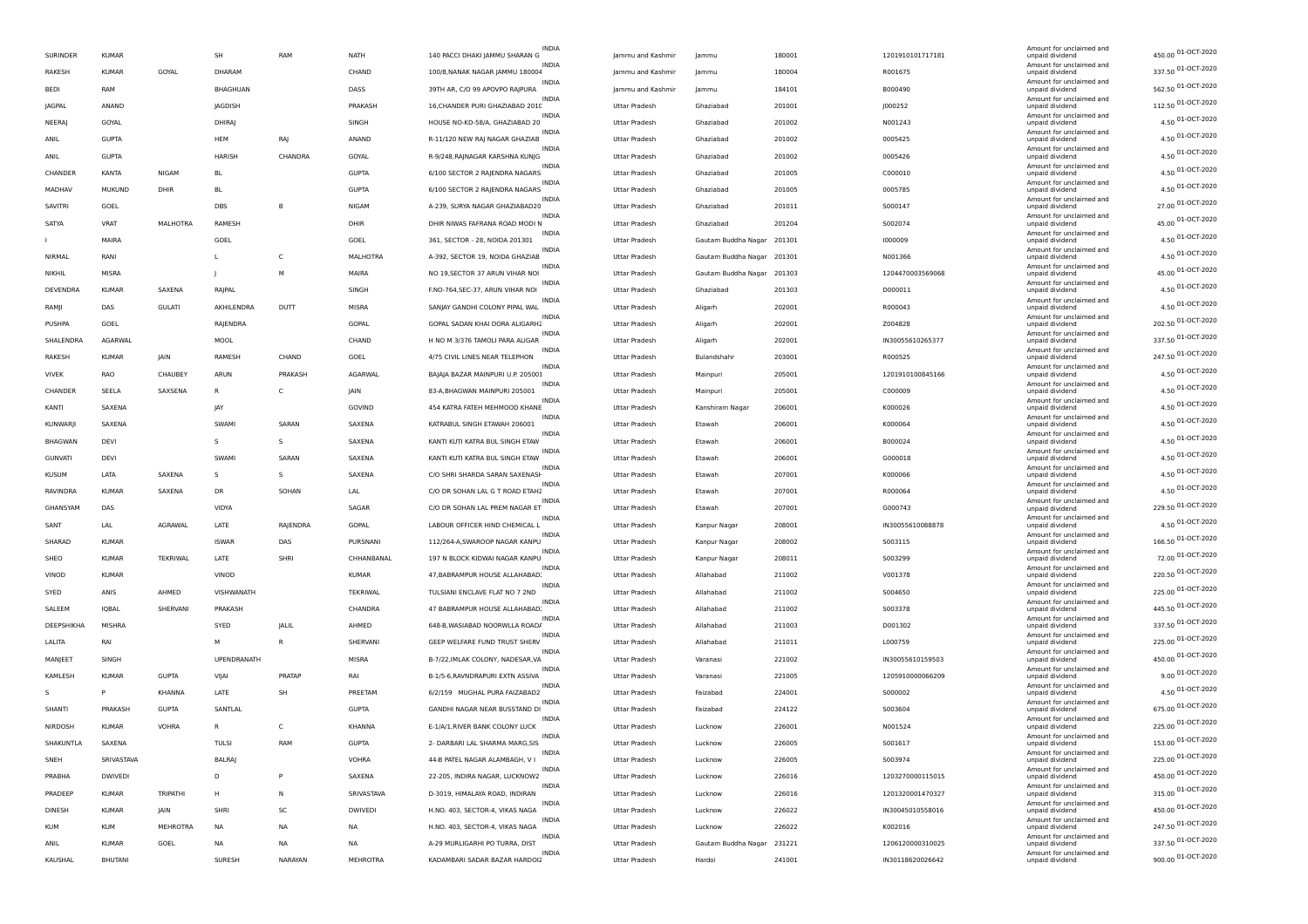| SURINDER       | <b>KUMAR</b>   |                 | SH                   | RAM          | NATH           | <b>INDIA</b><br>140 PACCI DHAKI JAMMU SHARAN G    | Jammu and Kashmin                     | lammu                      | 180001           | 1201910101717181 | Amount for unclaimed and<br>unpaid dividend | 450.00 01-OCT-2020 |
|----------------|----------------|-----------------|----------------------|--------------|----------------|---------------------------------------------------|---------------------------------------|----------------------------|------------------|------------------|---------------------------------------------|--------------------|
| RAKESH         | <b>KUMAR</b>   | GOYAL           | DHARAM               |              | CHAND          | <b>INDIA</b><br>100/8, NANAK NAGAR JAMMU 180004   | Jammu and Kashmir                     | lammu                      | 180004           | R001675          | Amount for unclaimed and<br>unpaid dividend | 337.50 01-OCT-2020 |
| BEDI           | RAM            |                 | BHAGHUAN             |              | DASS           | INDIA<br>39TH AR, C/O 99 APOVPO RAJPURA           | Jammu and Kashmin                     | lammu                      | 184101           | B000490          | Amount for unclaimed and<br>unpaid dividend | 562.50 01-OCT-2020 |
| JAGPAL         | ANAND          |                 | JAGDISH              |              | PRAKASH        | INDIA<br>16, CHANDER PURI GHAZIABAD 2010          | Uttar Pradesh                         | Ghaziabad                  | 201001           | J000252          | Amount for unclaimed and<br>unpaid dividend | 112.50 01-OCT-2020 |
| NEERAJ         | GOYAL          |                 | DHIRAJ               |              | SINGH          | <b>INDIA</b><br>HOUSE NO-KD-58/A, GHAZIABAD 20    | Uttar Pradesh                         | Ghaziabad                  | 201002           | N001243          | Amount for unclaimed and<br>unpaid dividend | 4.50 01-OCT-2020   |
| ANIL           | <b>GUPTA</b>   |                 | HEM                  | RAJ          | ANAND          | <b>INDIA</b><br>R-11/120 NEW RAJ NAGAR GHAZIAB    | <b>Uttar Pradesh</b>                  | Ghaziabad                  | 201002           | 0005425          | Amount for unclaimed and<br>unpaid dividend | 4.50 01-OCT-2020   |
| ANIL           | <b>GUPTA</b>   |                 | <b>HARISH</b>        | CHANDRA      | GOYAL          | <b>INDIA</b><br>R-9/248, RAJNAGAR KARSHNA KUNJG   | <b>Uttar Pradesh</b>                  | Ghaziabad                  | 201002           | 0005426          | Amount for unclaimed and<br>unpaid dividend | 4.50 01-OCT-2020   |
| CHANDER        | <b>KANTA</b>   | NIGAM           | BL                   |              | <b>GUPTA</b>   | <b>INDIA</b><br>6/100 SECTOR 2 RAJENDRA NAGARS    | Uttar Pradesh                         | Ghaziabad                  | 201005           | C000010          | Amount for unclaimed and<br>unpaid dividend | 4.50 01-OCT-2020   |
| MADHAV         | <b>MUKUND</b>  | DHIR            | BL                   |              | <b>GUPTA</b>   | INDIA<br>6/100 SECTOR 2 RAJENDRA NAGARS           | Uttar Pradesh                         | Ghaziabad                  | 201005           | 0005785          | Amount for unclaimed and<br>unpaid dividend | 4.50 01-OCT-2020   |
| SAVITRI        | GOEL           |                 | DBS                  | B            | NIGAM          | <b>INDIA</b><br>A-239, SURYA NAGAR GHAZIABAD20    | Uttar Pradesh                         | Ghaziabad                  | 201011           | S000147          | Amount for unclaimed and<br>unpaid dividend | 27.00 01-OCT-2020  |
| SATYA          | VRAT           | <b>MALHOTRA</b> | RAMESH               |              | DHIR           | <b>INDIA</b><br>DHIR NIWAS FAFRANA ROAD MODI N    | Uttar Pradesh                         | Ghaziabad                  | 201204           | S002074          | Amount for unclaimed and<br>unpaid dividend | 45.00 01-OCT-2020  |
|                | MAIRA          |                 |                      |              |                | <b>INDIA</b><br>361, SECTOR - 28, NOIDA 201301    |                                       |                            |                  |                  | Amount for unclaimed and                    | 4.50 01-OCT-2020   |
| NIRMAL         |                |                 | GOEL<br>$\mathsf{L}$ | C            | GOEL           | INDIA                                             | Uttar Pradesh<br><b>Uttar Pradesh</b> | Gautam Buddha Nagar        | 201301<br>201301 | 1000009          | unpaid dividend<br>Amount for unclaimed and | 4.50 01-OCT-2020   |
|                | RANI           |                 |                      |              | MALHOTRA       | A-392, SECTOR 19, NOIDA GHAZIAB<br>INDIA          |                                       | Gautam Buddha Nagar        |                  | N001366          | unpaid dividend<br>Amount for unclaimed and | 45.00 01-OCT-2020  |
| NIKHIL         | MISRA          |                 |                      | M            | MAIRA          | NO 19, SECTOR 37 ARUN VIHAR NOI<br><b>INDIA</b>   | Uttar Pradesh                         | Gautam Buddha Nagar 201303 |                  | 1204470003569068 | unpaid dividend<br>Amount for unclaimed and | 4.50 01-OCT-2020   |
| DEVENDRA       | <b>KUMAR</b>   | SAXENA          | RAJPAL               |              | SINGH          | F.NO-764, SEC-37, ARUN VIHAR NOI<br><b>INDIA</b>  | Uttar Pradesh                         | Ghaziabad                  | 201303           | D000011          | unpaid dividend<br>Amount for unclaimed and | 4.50 01-OCT-2020   |
| RAMJI          | DAS            | <b>GULATI</b>   | AKHILENDRA           | DUTT         | MISRA          | SANJAY GANDHI COLONY PIPAL WAL<br><b>INDIA</b>    | <b>Uttar Pradesh</b>                  | Aligarh                    | 202001           | R000043          | unpaid dividend<br>Amount for unclaimed and | 202.50 01-OCT-2020 |
| PUSHPA         | GOEL           |                 | RAJENDRA             |              | GOPAL          | GOPAL SADAN KHAI DORA ALIGARH2<br>INDIA           | Uttar Pradesh                         | Aligarh                    | 202001           | Z004828          | unpaid dividend<br>Amount for unclaimed and |                    |
| SHALENDRA      | AGARWAL        |                 | MOOL                 |              | CHAND          | H NO M 3/376 TAMOLI PARA ALIGAR<br>INDIA          | Uttar Pradesh                         | Aligarh                    | 202001           | IN30055610265377 | unpaid dividend<br>Amount for unclaimed and | 337.50 01-OCT-2020 |
| RAKESH         | <b>KUMAR</b>   | JAIN            | RAMESH               | CHAND        | GOEL           | 4/75 CIVIL LINES NEAR TELEPHON<br><b>INDIA</b>    | Uttar Pradesh                         | Bulandshahr                | 203001           | R000525          | unpaid dividend<br>Amount for unclaimed and | 247.50 01-OCT-2020 |
| <b>VIVEK</b>   | RAO            | CHAUBEY         | ARUN                 | PRAKASH      | AGARWAL        | BAJAJA BAZAR MAINPURI U.P. 20500!<br><b>INDIA</b> | Uttar Pradesh                         | Mainpuri                   | 205001           | 1201910100845166 | unpaid dividend<br>Amount for unclaimed and | 4.50 01-OCT-2020   |
| CHANDER        | SEELA          | SAXSENA         | R                    | C            | <b>JAIN</b>    | 83-A, BHAGWAN MAINPURI 205001<br><b>INDIA</b>     | <b>Uttar Pradesh</b>                  | Mainpuri                   | 205001           | C000009          | unpaid dividend<br>Amount for unclaimed and | 4.50 01-OCT-2020   |
| KANTI          | SAXENA         |                 | JAY                  |              | GOVIND         | 454 KATRA FATEH MEHMOOD KHANE<br>INDIA            | Uttar Pradesh                         | Kanshiram Nagar            | 206001           | K000026          | unpaid dividend<br>Amount for unclaimed and | 4.50 01-OCT-2020   |
| KUNWARJI       | SAXENA         |                 | SWAMI                | SARAN        | SAXENA         | KATRABUL SINGH ETAWAH 206001                      | Uttar Pradesh                         | Etawah                     | 206001           | K000064          | unpaid dividend                             | 4.50 01-OCT-2020   |
| <b>BHAGWAN</b> | DEVI           |                 | s                    | s            | SAXENA         | INDIA<br>KANTI KUTI KATRA BUL SINGH ETAW          | Uttar Pradesh                         | Etawah                     | 206001           | B000024          | Amount for unclaimed and<br>unpaid dividend | 4.50 01-OCT-2020   |
| <b>GUNVATI</b> | DEVI           |                 | SWAMI                | SARAN        | SAXENA         | <b>INDIA</b><br>KANTI KUTI KATRA BUL SINGH ETAW   | Uttar Pradesh                         | Etawah                     | 206001           | G000018          | Amount for unclaimed and<br>unpaid dividend | 4.50 01-OCT-2020   |
| <b>KUSUM</b>   | LATA           | SAXENA          | -S                   | s            | SAXENA         | <b>INDIA</b><br>C/O SHRI SHARDA SARAN SAXENASH    | <b>Uttar Pradesh</b>                  | Etawah                     | 207001           | K000066          | Amount for unclaimed and<br>unpaid dividend | 4.50 01-OCT-2020   |
| RAVINDRA       | <b>KUMAR</b>   | SAXENA          | DR                   | SOHAN        | LAL            | <b>INDIA</b><br>C/O DR SOHAN LAL G T ROAD ETAH2   | <b>Uttar Pradesh</b>                  | Etawah                     | 207001           | R000064          | Amount for unclaimed and<br>unpaid dividend | 4.50 01-OCT-2020   |
| GHANSYAM       | DAS            |                 | VIDYA                |              | SAGAR          | INDIA<br>C/O DR SOHAN LAL PREM NAGAR ET           | Uttar Pradesh                         | Etawah                     | 207001           | G000743          | Amount for unclaimed and<br>unpaid dividend | 229.50 01-OCT-2020 |
| SANT           | LAL            | AGRAWAL         | LATE                 | RAJENDRA     | GOPAL          | INDIA<br>LABOUR OFFICER HIND CHEMICAL L           | Uttar Pradesh                         | Kanpur Nagar               | 208001           | IN30055610088878 | Amount for unclaimed and<br>unpaid dividend | 4.50 01-OCT-2020   |
| SHARAD         | <b>KUMAR</b>   |                 | <b>ISWAR</b>         | DAS          | PURSNANI       | <b>INDIA</b><br>112/264-A, SWAROOP NAGAR KANPU    | Uttar Pradesh                         | Kanpur Nagar               | 208002           | S003115          | Amount for unclaimed and<br>unpaid dividend | 166.50 01-OCT-2020 |
| SHEO           | <b>KUMAR</b>   | <b>TEKRIWAL</b> | LATE                 | SHRI         | CHHANBANAL     | <b>INDIA</b><br>197 N BLOCK KIDWAI NAGAR KANPU    | <b>Uttar Pradesh</b>                  | Kanpur Nagar               | 208011           | S003299          | Amount for unclaimed and<br>unpaid dividend | 72.00 01-OCT-2020  |
| VINOD          | <b>KUMAR</b>   |                 | VINOD                |              | <b>KUMAR</b>   | <b>INDIA</b><br>47, BABRAMPUR HOUSE ALLAHABAD.    | Uttar Pradesh                         | Allahabad                  | 211002           | V001378          | Amount for unclaimed and<br>unpaid dividend | 220.50 01-OCT-2020 |
| SYED           | ANIS           | AHMED           | VISHWANATH           |              | TEKRIWAL       | INDIA<br>TULSIANI ENCLAVE FLAT NO 7 2ND           | Uttar Pradesh                         | Allahabad                  | 211002           | S004650          | Amount for unclaimed and<br>unpaid dividend | 225.00 01-OCT-2020 |
| SALEEM         | IQBAL          | SHERVANI        | PRAKASH              |              | CHANDRA        | INDIA<br>47 BABRAMPUR HOUSE ALLAHABAD.            | Uttar Pradesh                         | Allahabad                  | 211002           | S003378          | Amount for unclaimed and<br>unpaid dividend | 445.50 01-OCT-2020 |
| DEEPSHIKHA     | MISHRA         |                 | SYED                 | JALIL        | AHMED          | <b>INDIA</b><br>648-B, WASIABAD NOORWLLA ROAD/    | Uttar Pradesh                         | Allahabad                  | 211003           | D001302          | Amount for unclaimed and<br>unpaid dividend | 337.50 01-OCT-2020 |
| LALITA         | RAI            |                 | M                    | R            | SHERVANI       | <b>INDIA</b><br>GEEP WELFARE FUND TRUST SHERV     | <b>Uttar Pradesh</b>                  | Allahabad                  | 211011           | L000759          | Amount for unclaimed and<br>unpaid dividend | 225.00 01-OCT-2020 |
| MANJEET        | SINGH          |                 | UPENDRANATH          |              | MISRA          | <b>INDIA</b><br>B-7/22, IMLAK COLONY, NADESAR, VA | Uttar Pradesh                         | Varanasi                   | 221002           | IN30055610159503 | Amount for unclaimed and<br>unpaid dividend | 450.00 01-OCT-2020 |
| KAMLESH        | <b>KUMAR</b>   | <b>GUPTA</b>    | VIJAI                | PRATAP       | RAI            | <b>INDIA</b><br>B-1/5-6, RAVNDRAPURI EXTN ASSIVA  | Uttar Pradesh                         | Varanasi                   | 221005           | 1205910000066209 | Amount for unclaimed and<br>unpaid dividend | 9.00 01-OCT-2020   |
| s              | P              | KHANNA          | LATE                 | SH           | PREETAM        | <b>INDIA</b><br>6/2/159 MUGHAL PURA FAIZABAD2     | Uttar Pradesh                         | Faizabad                   | 224001           | S000002          | Amount for unclaimed and<br>unpaid dividend | 4.50 01-OCT-2020   |
| SHANTI         | PRAKASH        | <b>GUPTA</b>    | SANTLAL              |              | <b>GUPTA</b>   | <b>INDIA</b><br>GANDHI NAGAR NEAR BUSSTAND DI     | Uttar Pradesh                         | Faizabad                   | 224122           | S003604          | Amount for unclaimed and<br>unpaid dividend | 675.00 01-OCT-2020 |
| NIRDOSH        | <b>KUMAR</b>   | <b>VOHRA</b>    | R                    | $\mathsf{C}$ | KHANNA         | E-1/A/1, RIVER BANK COLONY LUCK                   | <b>Uttar Pradesh</b>                  | Lucknow                    | 226001           | N001524          | Amount for unclaimed and<br>unpaid dividend | 225.00 01-OCT-2020 |
| SHAKUNTLA      | SAXENA         |                 | TULSI                | RAM          | <b>GUPTA</b>   | <b>INDIA</b><br>2- DARBARI LAL SHARMA MARG, SIS   | <b>Uttar Pradesh</b>                  | Lucknow                    | 226005           | 5001617          | Amount for unclaimed and                    | 153.00 01-OCT-2020 |
|                | SRIVASTAVA     |                 |                      |              | <b>VOHRA</b>   | INDIA<br>44-B PATEL NAGAR ALAMBAGH, V I           |                                       |                            | 226005           | 5003974          | Amount for unclaimed and                    | 225.00 01-OCT-2020 |
| SNEH           |                |                 | BALRAJ               | P            |                | INDIA<br>22-205, INDIRA NAGAR, LUCKNOW2           | Uttar Pradesh                         | Lucknow                    |                  |                  | unpaid dividend<br>Amount for unclaimed and | 450.00 01-OCT-2020 |
| PRABHA         | <b>DWIVEDI</b> |                 | D                    |              | SAXENA         | <b>INDIA</b>                                      | Uttar Pradesh                         | Lucknow                    | 226016           | 1203270000115015 | unpaid dividend<br>Amount for unclaimed and | 315.00 01-OCT-2020 |
| PRADEEP        | <b>KUMAR</b>   | TRIPATHI        | н                    | N            | SRIVASTAVA     | D-3019, HIMALAYA ROAD, INDIRAN<br><b>INDIA</b>    | Uttar Pradesh                         | Lucknow                    | 226016           | 1201320001470327 | unpaid dividend<br>Amount for unclaimed and | 450.00 01-OCT-2020 |
| DINESH         | <b>KUMAR</b>   | <b>JAIN</b>     | SHRI                 | SC           | <b>DWIVEDI</b> | H.NO. 403, SECTOR-4, VIKAS NAGA<br><b>INDIA</b>   | <b>Uttar Pradesh</b>                  | Lucknow                    | 226022           | IN30045010558016 | unpaid dividend<br>Amount for unclaimed and | 247.50 01-OCT-2020 |
| <b>KUM</b>     | <b>KUM</b>     | MEHROTRA        | <b>NA</b>            | <b>NA</b>    | NA             | H.NO. 403, SECTOR-4, VIKAS NAGA<br>INDIA          | Uttar Pradesh                         | Lucknow                    | 226022           | K002016          | unpaid dividend<br>Amount for unclaimed and | 337.50 01-OCT-2020 |
| ANIL           | <b>KUMAR</b>   | GOEL            | <b>NA</b>            | <b>NA</b>    | NA             | A-29 MURLIGARHI PO TURRA, DIST                    | <b>Uttar Pradesh</b>                  | Gautam Buddha Nagar        | 231221           | 1206120000310025 | unpaid dividend<br>Amount for unclaimed and |                    |
| KAUSHAL        | BHUTANI        |                 | SURESH               | NARAYAN      | MEHROTRA       | KADAMBARI SADAR BAZAR HARDOI2                     | Uttar Pradesh                         | Hardoi                     | 241001           | IN30118620026642 | unpaid dividend                             | 900.00 01-OCT-2020 |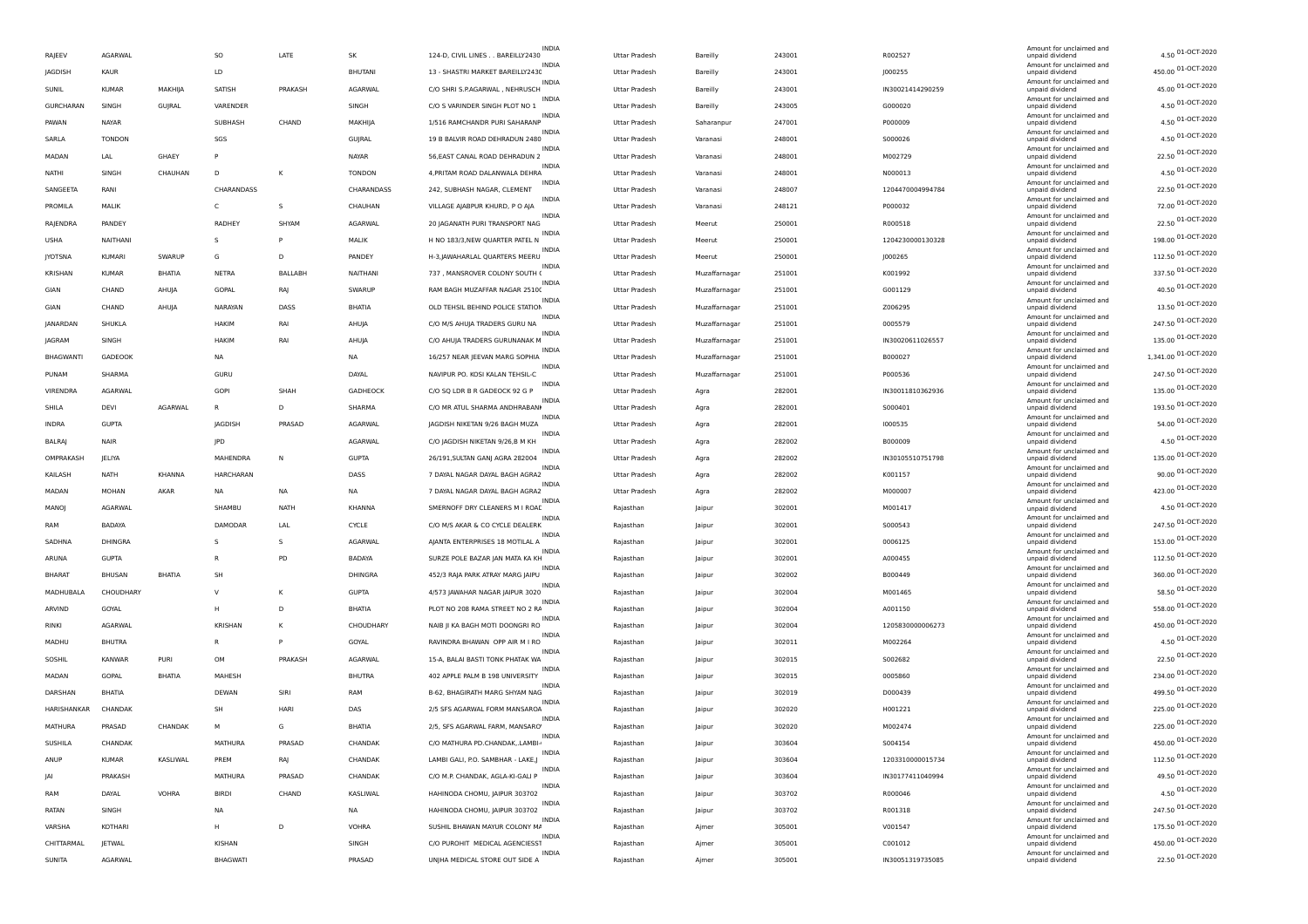|                  |               |               |                  |             |                | <b>INDIA</b>                                      |                      |                 |        |                  | Amount for unclaimed and                    |                      |
|------------------|---------------|---------------|------------------|-------------|----------------|---------------------------------------------------|----------------------|-----------------|--------|------------------|---------------------------------------------|----------------------|
| RAJEEV           | AGARWAL       |               | SO               | LATE        | SK             | 124-D, CIVIL LINES BAREILLY2430                   | Uttar Pradesh        | <b>Bareilly</b> | 243001 | R002527          | unpaid dividend                             | 4.50 01-OCT-2020     |
| JAGDISH          | KAUR          |               | LD               |             | <b>BHUTANI</b> | INDI/<br>13 - SHASTRI MARKET BAREILLY2430         | Uttar Pradesh        | Bareilly        | 243001 | J000255          | Amount for unclaimed and<br>unpaid dividend | 450.00 01-OCT-2020   |
| SUNIL            | <b>KUMAR</b>  | MAKHIJA       | SATISH           | PRAKASH     | AGARWAL        | <b>INDIA</b><br>C/O SHRI S.P.AGARWAL, NEHRUSCH    | Uttar Pradesh        | Bareilly        | 243001 | IN30021414290259 | Amount for unclaimed and<br>unpaid dividend | 45.00 01-OCT-2020    |
| <b>GURCHARAN</b> | SINGH         | GUJRAL        | VARENDER         |             | SINGH          | <b>INDIA</b><br>C/O S VARINDER SINGH PLOT NO 1    | Uttar Pradesh        | Bareilly        | 243005 | G000020          | Amount for unclaimed and<br>unpaid dividend | 4.50 01-OCT-2020     |
| PAWAN            | NAYAR         |               | SUBHASH          | CHAND       | MAKHIJA        | <b>INDIA</b><br>1/516 RAMCHANDR PURI SAHARANP     | <b>Uttar Pradesh</b> | Saharanpur      | 247001 | P000009          | Amount for unclaimed and<br>unpaid dividend | 4.50 01-OCT-2020     |
| SARLA            | <b>TONDON</b> |               | SGS              |             | GUJRAL         | <b>INDIA</b><br>19 B BALVIR ROAD DEHRADUN 2480    | <b>Uttar Pradesh</b> | Varanasi        | 248001 | S000026          | Amount for unclaimed and<br>unpaid dividend | 4.50 01-OCT-2020     |
| MADAN            | LAL           | GHAEY         |                  |             | NAYAR          | <b>INDIA</b><br>56, EAST CANAL ROAD DEHRADUN 2    | Uttar Pradesh        | Varanasi        | 248001 | M002729          | Amount for unclaimed and<br>unpaid dividend | 22.50 01-OCT-2020    |
| NATHI            | SINGH         | CHAUHAN       | D                | K           | <b>TONDON</b>  | <b>INDIA</b><br>4, PRITAM ROAD DALANWALA DEHRA    | Uttar Pradesh        | Varanasi        | 248001 | N000013          | Amount for unclaimed and<br>unpaid dividend | 4.50 01-OCT-2020     |
| SANGEETA         | RAN           |               | CHARANDASS       |             | CHARANDASS     | <b>INDIA</b><br>242, SUBHASH NAGAR, CLEMENT       | Uttar Pradesh        | Varanasi        | 248007 | 1204470004994784 | Amount for unclaimed and<br>unpaid dividend | 22.50 01-OCT-2020    |
| PROMILA          | MALIK         |               | C                | s           | CHAUHAN        | INDIA<br>VILLAGE AJABPUR KHURD, PO AJA            | Uttar Pradesh        | Varanasi        | 248121 | P000032          | Amount for unclaimed and<br>unpaid dividend | 72.00 01-OCT-2020    |
| RAJENDRA         | PANDEY        |               | RADHEY           | SHYAM       | AGARWAL        | <b>INDIA</b><br>20 JAGANATH PURI TRANSPORT NAG    | <b>Uttar Pradesh</b> | Meerut          | 250001 | R000518          | Amount for unclaimed and                    | 22.50 01-OCT-2020    |
|                  |               |               |                  | p           |                | <b>INDIA</b>                                      |                      |                 |        |                  | unpaid dividend<br>Amount for unclaimed and | 198.00 01-OCT-2020   |
| USHA             | NAITHANI      |               | s                |             | MALIK          | H NO 183/3, NEW QUARTER PATEL N<br><b>INDIA</b>   | Uttar Pradesh        | Meerut          | 250001 | 1204230000130328 | unpaid dividend<br>Amount for unclaimed and | 112.50 01-OCT-2020   |
| <b>JYOTSNA</b>   | KUMARI        | SWARUP        | G                | D           | PANDEY         | H-3, JAWAHARLAL QUARTERS MEERU<br><b>INDIA</b>    | Uttar Pradesh        | Meerut          | 250001 | J000265          | unpaid dividend<br>Amount for unclaimed and |                      |
| KRISHAN          | <b>KUMAR</b>  | BHATIA        | <b>NETRA</b>     | BALLABH     | NAITHANI       | 737, MANSROVER COLONY SOUTH (<br>INDIA            | Uttar Pradesh        | Muzaffarnagar   | 251001 | K001992          | unpaid dividend<br>Amount for unclaimed and | 337.50 01-OCT-2020   |
| GIAN             | CHAND         | AHUJA         | GOPAL            | RAJ         | SWARUP         | RAM BAGH MUZAFFAR NAGAR 25100<br><b>INDIA</b>     | Uttar Pradesh        | Muzaffarnagar   | 251001 | G001129          | unpaid dividend<br>Amount for unclaimed and | 40.50 01-OCT-2020    |
| GIAN             | CHAND         | AHUJA         | NARAYAN          | DASS        | BHATIA         | OLD TEHSIL BEHIND POLICE STATION<br><b>INDIA</b>  | <b>Uttar Pradesh</b> | Muzaffarnagar   | 251001 | Z006295          | unpaid dividend<br>Amount for unclaimed and | 13.50 01-OCT-2020    |
| JANARDAN         | SHUKLA        |               | HAKIM            | RA          | AHUJA          | C/O M/S AHUJA TRADERS GURU NA<br><b>INDIA</b>     | Uttar Pradesh        | Muzaffarnagar   | 251001 | 0005579          | unpaid dividend<br>Amount for unclaimed and | 247.50 01-OCT-2020   |
| JAGRAM           | SINGH         |               | HAKIM            | RAI         | AHUJA          | C/O AHUJA TRADERS GURUNANAK M                     | Uttar Pradesh        | Muzaffarnagar   | 251001 | IN30020611026557 | unpaid dividend                             | 135.00 01-OCT-2020   |
| <b>BHAGWANTI</b> | GADEOOK       |               | <b>NA</b>        |             | <b>NA</b>      | <b>INDIA</b><br>16/257 NEAR JEEVAN MARG SOPHIA    | Uttar Pradesh        | Muzaffarnagar   | 251001 | B000027          | Amount for unclaimed and<br>unpaid dividend | 1,341.00 01-OCT-2020 |
| PUNAM            | SHARMA        |               | GURU             |             | DAYAL          | INDIA<br>NAVIPUR PO. KOSI KALAN TEHSIL-C          | Uttar Pradesh        | Muzaffarnagar   | 251001 | P000536          | Amount for unclaimed and<br>unpaid dividend | 247.50 01-OCT-2020   |
| VIRENDRA         | AGARWAL       |               | <b>GOPI</b>      | SHAH        | GADHEOCK       | <b>INDIA</b><br>C/O SQ LDR B R GADEOCK 92 G P     | <b>Uttar Pradesh</b> | Agra            | 282001 | IN30011810362936 | Amount for unclaimed and<br>unpaid dividend | 135.00 01-OCT-2020   |
| SHILA            | DEVI          | AGARWAL       |                  | D           | SHARMA         | <b>INDIA</b><br>C/O MR ATUL SHARMA ANDHRABANI     | <b>Uttar Pradesh</b> | Agra            | 282001 | S000401          | Amount for unclaimed and<br>unpaid dividend | 193.50 01-OCT-2020   |
| INDRA            | <b>GUPTA</b>  |               | JAGDISH          | PRASAD      | AGARWAL        | <b>INDIA</b><br>JAGDISH NIKETAN 9/26 BAGH MUZA    | Uttar Pradesh        | Agra            | 282001 | 1000535          | Amount for unclaimed and<br>unpaid dividend | 54.00 01-OCT-2020    |
| <b>BALRAJ</b>    | NAIP          |               | JPD              |             | AGARWAL        | <b>INDIA</b><br>C/O JAGDISH NIKETAN 9/26,B M KH   | Uttar Pradesh        | Agra            | 282002 | B000009          | Amount for unclaimed and<br>unpaid dividend | 4.50 01-OCT-2020     |
| OMPRAKASH        | <b>IELIYA</b> |               | MAHENDRA         | N           | <b>GUPTA</b>   | INDIA<br>26/191, SULTAN GANJ AGRA 282004          | <b>Uttar Pradesh</b> | Agra            | 282002 | IN30105510751798 | Amount for unclaimed and<br>unpaid dividend | 135.00 01-OCT-2020   |
| KAILASH          | NATH          | <b>KHANNA</b> | <b>HARCHARAN</b> |             | DASS           | <b>INDIA</b><br>7 DAYAL NAGAR DAYAL BAGH AGRA2    | <b>Uttar Pradesh</b> | Agra            | 282002 | K001157          | Amount for unclaimed and<br>unpaid dividend | 90.00 01-OCT-2020    |
| MADAN            | MOHAN         | AKAR          | <b>NA</b>        | NA          | <b>NA</b>      | <b>INDIA</b><br>7 DAYAL NAGAR DAYAL BAGH AGRA2    | <b>Uttar Pradesh</b> | Agra            | 282002 | M000007          | Amount for unclaimed and<br>unpaid dividend | 423.00 01-OCT-2020   |
| MANOJ            | AGARWAL       |               | SHAMBU           | <b>NATH</b> | KHANNA         | <b>INDIA</b><br>SMERNOFF DRY CLEANERS M I ROAD    | Rajasthan            | Jaipur          | 302001 | M001417          | Amount for unclaimed and                    | 4.50 01-OCT-2020     |
| RAM              | <b>BADAYA</b> |               | DAMODAR          |             | CYCLE          | <b>INDIA</b>                                      |                      |                 |        |                  | unpaid dividend<br>Amount for unclaimed and | 247.50 01-OCT-2020   |
|                  |               |               |                  | LAL         |                | C/O M/S AKAR & CO CYCLE DEALERK<br>INDIA          | Rajasthan            | <b>Jaipur</b>   | 302001 | S000543          | unpaid dividend<br>Amount for unclaimed and | 153.00 01-OCT-2020   |
| SADHNA           | DHINGRA       |               | S                | s           | AGARWAL        | AJANTA ENTERPRISES 18 MOTILAL A<br><b>INDIA</b>   | Rajasthan            | <b>Jaipur</b>   | 302001 | 0006125          | unpaid dividend<br>Amount for unclaimed and | 112.50 01-OCT-2020   |
| ARUNA            | <b>GUPTA</b>  |               | R                | PD          | <b>BADAYA</b>  | SURZE POLE BAZAR JAN MATA KA KH<br><b>INDIA</b>   | Rajasthan            | Jaipur          | 302001 | A000455          | unpaid dividend<br>Amount for unclaimed and | 360.00 01-OCT-2020   |
| <b>BHARAT</b>    | <b>BHUSAN</b> | BHATIA        | SH               |             | DHINGRA        | 452/3 RAJA PARK ATRAY MARG JAIPU                  | Rajasthan            | Jaipur          | 302002 | B000449          | unpaid dividend<br>Amount for unclaimed and |                      |
| MADHUBALA        | CHOUDHARY     |               | v                | Κ           | <b>GUPTA</b>   | 4/573 JAWAHAR NAGAR JAIPUR 3020<br><b>INDIA</b>   | Rajasthan            | Jaipur          | 302004 | M001465          | unpaid dividend<br>Amount for unclaimed and | 58.50 01-OCT-2020    |
| ARVIND           | GOYAL         |               | н                | D           | BHATIA         | PLOT NO 208 RAMA STREET NO 2 RA<br>INDIA          | Rajasthan            | <b>Jaipur</b>   | 302004 | A001150          | unpaid dividend<br>Amount for unclaimed and | 558.00 01-OCT-2020   |
| RINKI            | AGARWAL       |               | <b>KRISHAN</b>   | K           | CHOUDHARY      | NAIB JI KA BAGH MOTI DOONGRI RO<br><b>INDIA</b>   | Rajasthan            | Jaipur          | 302004 | 1205830000006273 | unpaid dividend<br>Amount for unclaimed and | 450.00 01-OCT-2020   |
| MADHU            | <b>BHUTRA</b> |               | R                | P           | GOYAL          | RAVINDRA BHAWAN OPP AIR M I RO                    | Rajasthan            | Jaipur          | 302011 | M002264          | unpaid dividend                             | 4.50 01-OCT-2020     |
| SOSHIL           | <b>KANWAR</b> | PURI          | OM               | PRAKASH     | AGARWAL        | <b>INDIA</b><br>15-A, BALAI BASTI TONK PHATAK WA  | Rajasthan            | Jaipur          | 302015 | S002682          | Amount for unclaimed and<br>unpaid dividend | 22.50 01-OCT-2020    |
| MADAN            | GOPAL         | BHATIA        | MAHESH           |             | <b>BHUTRA</b>  | <b>INDIA</b><br>402 APPLE PALM B 198 UNIVERSITY   | Rajasthan            | Jaipur          | 302015 | 0005860          | Amount for unclaimed and<br>unpaid dividend | 234.00 01-OCT-2020   |
| DARSHAN          | <b>BHATIA</b> |               | <b>DEWAN</b>     | SIRI        | RAM            | <b>INDIA</b><br>B-62, BHAGIRATH MARG SHYAM NAG    | Rajasthan            | <b>Jaipur</b>   | 302019 | D000439          | Amount for unclaimed and<br>unpaid dividend | 499.50 01-OCT-2020   |
| HARISHANKAR      | CHANDAK       |               | SH               | HARI        | DAS            | <b>INDIA</b><br>2/5 SFS AGARWAL FORM MANSAROA     | Rajasthan            | laipur          | 302020 | H001221          | Amount for unclaimed and<br>unpaid dividend | 225.00 01-OCT-2020   |
| <b>MATHURA</b>   | PRASAD        | CHANDAK       | M                | G           | <b>BHATIA</b>  | <b>INDIA</b><br>2/5, SFS AGARWAL FARM, MANSARO    | Rajasthan            | Jaipur          | 302020 | M002474          | Amount for unclaimed and<br>unpaid dividend | 225.00 01-OCT-2020   |
| SUSHILA          | CHANDAK       |               | MATHURA          | PRASAD      | CHANDAK        | INDIA<br>C/O MATHURA PD.CHANDAK,.LAMBI-           | Rajasthan            | Jaipur          | 303604 | S004154          | Amount for unclaimed and<br>unpaid dividend | 450.00 01-OCT-2020   |
| ANUP             | <b>KUMAR</b>  | KASLIWAL      | PREM             | RAJ         | CHANDAK        | <b>INDIA</b><br>LAMBI GALI, P.O. SAMBHAR - LAKE,J | Rajasthan            | Jaipur          | 303604 | 1203310000015734 | Amount for unclaimed and<br>unpaid dividend | 112.50 01-OCT-2020   |
| JAI              | PRAKASH       |               | MATHURA          | PRASAD      | CHANDAK        | INDIA<br>C/O M.P. CHANDAK, AGLA-KI-GALI P         | Rajasthan            | Jaipur          | 303604 | IN30177411040994 | Amount for unclaimed and<br>unpaid dividend | 49.50 01-OCT-2020    |
| RAM              | DAYAL         | <b>VOHRA</b>  | <b>BIRDI</b>     | CHAND       | KASLIWAL       | INDIA<br>HAHINODA CHOMU, JAIPUR 303702            | Rajasthan            | <b>Jaipur</b>   | 303702 | R000046          | Amount for unclaimed and                    | 4.50 01-OCT-2020     |
|                  |               |               |                  |             |                | <b>INDIA</b>                                      |                      |                 |        |                  | unpaid dividend<br>Amount for unclaimed and | 247.50 01-OCT-2020   |
| RATAN            | SINGH         |               | NA               |             | <b>NA</b>      | HAHINODA CHOMU, JAIPUR 303702<br><b>INDIA</b>     | Rajasthan            | Jaipur          | 303702 | R001318          | unpaid dividend<br>Amount for unclaimed and | 175.50 01-OCT-2020   |
| VARSHA           | KOTHARI       |               | н                | D           | VOHRA          | SUSHIL BHAWAN MAYUR COLONY M/<br><b>INDIA</b>     | Rajasthan            | Ajmer           | 305001 | V001547          | unpaid dividend<br>Amount for unclaimed and | 450.00 01-OCT-2020   |
| CHITTARMAL       | <b>JETWAL</b> |               | KISHAN           |             | SINGH          | C/O PUROHIT MEDICAL AGENCIESS1<br>INDIA           | Rajasthan            | Ajmer           | 305001 | C001012          | unpaid dividend<br>Amount for unclaimed and |                      |
| SUNITA           | AGARWAL       |               | BHAGWATI         |             | PRASAD         | UNJHA MEDICAL STORE OUT SIDE A                    | Rajasthan            | Ajmer           | 305001 | IN30051319735085 | unpaid dividend                             | 22.50 01-OCT-2020    |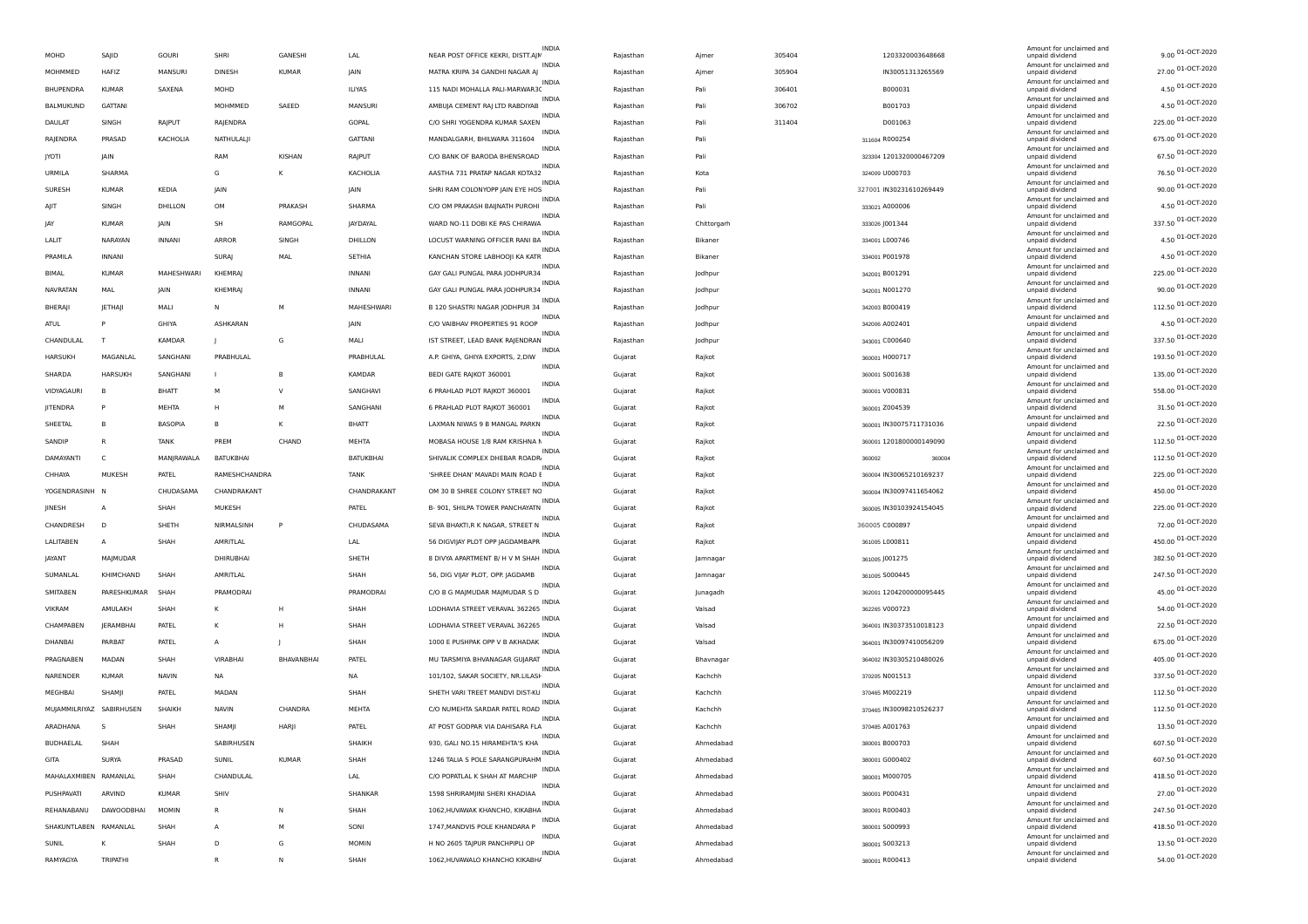| MOHD                  | SAJID                    | <b>GOURI</b>  | SHRI            | GANESHI      | LAL            | NEAR POST OFFICE KEKRI, DISTT.AJN | INDIA          | Rajasthan | Ajmer       | 305404 | 1203320003648668        | Amount for unclaimed and<br>unpaid dividend                             | 9.00 01-OCT-2020                       |
|-----------------------|--------------------------|---------------|-----------------|--------------|----------------|-----------------------------------|----------------|-----------|-------------|--------|-------------------------|-------------------------------------------------------------------------|----------------------------------------|
| MOHMMED               | HAFIZ                    | MANSURI       | <b>DINESH</b>   | <b>KUMAR</b> | <b>IAIN</b>    | MATRA KRIPA 34 GANDHI NAGAR AJ    | INDIA          | Rajasthan | Ajmer       | 305904 | IN30051313265569        | Amount for unclaimed and<br>unpaid dividend                             | 27.00 01-OCT-2020                      |
| BHUPENDRA             | <b>KUMAR</b>             | SAXENA        | MOHD            |              | <b>ILIYAS</b>  | 115 NADI MOHALLA PALI-MARWAR30    | INDIA          | Rajasthan | Pali        | 306401 | B000031                 | Amount for unclaimed and<br>unpaid dividend                             | 4.50 01-OCT-2020                       |
|                       |                          |               |                 |              |                |                                   | INDIA          |           |             |        |                         | Amount for unclaimed and                                                | 4.50 01-OCT-2020                       |
| BALMUKUND             | <b>GATTANI</b>           |               | MOHMMED         | SAEED        | MANSURI        | AMBUJA CEMENT RAJ LTD RABDIYAB    | <b>INDIA</b>   | Rajasthan | Pali        | 306702 | B001703                 | unpaid dividend<br>Amount for unclaimed and                             |                                        |
| DAULAT                | SINGH                    | RAJPUT        | RAJENDRA        |              | GOPAL          | C/O SHRI YOGENDRA KUMAR SAXEN     | INDIA          | Rajasthan | Pali        | 311404 | D001063                 | unpaid dividend<br>Amount for unclaimed and                             | 225.00 01-OCT-2020                     |
| RAJENDRA              | PRASAD                   | KACHOLIA      | NATHULALJI      |              | <b>GATTANI</b> | MANDALGARH, BHILWARA 311604       |                | Rajasthan | Pali        |        | 311604 R000254          | unpaid dividend                                                         | 675.00 01-OCT-2020                     |
| <b>JYOTI</b>          | JAIN                     |               | RAM             | KISHAN       | RAJPUT         | C/O BANK OF BARODA BHENSROAD      | <b>INDIA</b>   | Rajasthan | Pali        |        | 323304 1201320000467209 | Amount for unclaimed and<br>unpaid dividend                             | 67.50 01-OCT-2020                      |
| URMILA                | SHARMA                   |               | G               | К            | KACHOLIA       | AASTHA 731 PRATAP NAGAR KOTA32    | INDIA          | Rajasthan | Kota        |        | 324009 U000703          | Amount for unclaimed and<br>unpaid dividend                             | 76.50 01-OCT-2020                      |
| <b>SURESH</b>         | <b>KUMAR</b>             | KEDIA         | <b>JAIN</b>     |              | <b>IAIN</b>    | SHRI RAM COLONYOPP JAIN EYE HOS   | INDIA          | Rajasthan | Pali        |        | 327001 IN30231610269449 | Amount for unclaimed and<br>unpaid dividend                             | 90.00 01-OCT-2020                      |
| AJIT                  | SINGH                    | DHILLON       | OM              | PRAKASH      | SHARMA         | C/O OM PRAKASH BAIJNATH PUROHI    | <b>INDIA</b>   | Rajasthan | Pali        |        | 333021 A000006          | Amount for unclaimed and<br>unpaid dividend                             | 4.50 01-OCT-2020                       |
| IAY                   | <b>KUMAR</b>             | <b>JAIN</b>   | <b>SH</b>       | RAMGOPAL     | JAYDAYAL       | WARD NO-11 DOBI KE PAS CHIRAWA    | INDIA          |           |             |        |                         | Amount for unclaimed and                                                | 337.50 01-OCT-2020                     |
|                       |                          |               |                 |              |                |                                   | <b>INDIA</b>   | Rajasthan | Chittorgarh |        | 333026 J001344          | unpaid dividend<br>Amount for unclaimed and                             | 4.50 01-OCT-2020                       |
| LALIT                 | NARAYAN                  | <b>INNANI</b> | <b>ARROR</b>    | SINGH        | DHILLON        | LOCUST WARNING OFFICER RANI BA    | INDIA          | Rajasthan | Bikaner     |        | 334001 L000746          | unpaid dividend<br>Amount for unclaimed and                             |                                        |
| PRAMILA               | INNANI                   |               | SURAJ           | MAL          | SETHIA         | KANCHAN STORE LABHOOJI KA KATR    | INDIA          | Rajasthan | Bikaner     |        | 334001 P001978          | unpaid dividend<br>Amount for unclaimed and                             | 4.50 01-OCT-2020                       |
| BIMAL                 | <b>KUMAR</b>             | MAHESHWARI    | KHEMRAJ         |              | <b>INNANI</b>  | GAY GALI PUNGAL PARA JODHPUR34    |                | Rajasthan | Jodhpur     |        | 342001 B001291          | unpaid dividend                                                         | 225.00 01-OCT-2020                     |
| <b>NAVRATAN</b>       | MAL                      | <b>JAIN</b>   | <b>KHEMRAJ</b>  |              | <b>INNANI</b>  | GAY GALI PUNGAL PARA JODHPUR34    | <b>INDIA</b>   | Rajasthan | Jodhpur     |        | 342001 N001270          | Amount for unclaimed and<br>unpaid dividend                             | 90.00 01-OCT-2020                      |
| BHERAJI               | JETHAJI                  | MALI          | N               | M            | MAHESHWARI     | B 120 SHASTRI NAGAR JODHPUR 34    | INDIA          | Rajasthan | Jodhpur     |        | 342003 B000419          | Amount for unclaimed and<br>unpaid dividend                             | 112.50 01-OCT-2020                     |
| ATUL                  | p                        | GHIYA         | ASHKARAN        |              | JAIN           | C/O VAIBHAV PROPERTIES 91 ROOP    | INDIA          | Rajasthan | Jodhpur     |        | 342006 A002401          | Amount for unclaimed and<br>unpaid dividend                             | 4.50 01-OCT-2020                       |
| CHANDULAL             | T                        | KAMDAR        |                 | G            | MALI           | IST STREET, LEAD BANK RAJENDRAN   | INDIA          | Rajasthan | Jodhpur     |        | 343001 C000640          | Amount for unclaimed and<br>unpaid dividend                             | 337.50 01-OCT-2020                     |
| <b>HARSUKH</b>        | MAGANLAL                 | SANGHANI      | PRABHULAL       |              | PRABHULAL      | A.P. GHIYA, GHIYA EXPORTS, 2, DIW | INDIA          | Gujarat   | Rajkot      |        | 360001 H000717          | Amount for unclaimed and<br>unpaid dividend                             | 193.50 01-OCT-2020                     |
|                       |                          |               |                 |              |                |                                   | <b>INDIA</b>   |           |             |        |                         | Amount for unclaimed and                                                | 135.00 01-OCT-2020                     |
| SHARDA                | <b>HARSUKH</b>           | SANGHANI      | $\mathbf{I}$    | B            | KAMDAR         | BEDI GATE RAJKOT 360001           | <b>INDIA</b>   | Gujarat   | Rajkot      |        | 360001 S001638          | unpaid dividend<br>Amount for unclaimed and                             |                                        |
| VIDYAGAURI            | B                        | <b>BHATT</b>  | M               | $\vee$       | SANGHAVI       | 6 PRAHLAD PLOT RAJKOT 360001      | <b>INDIA</b>   | Gujarat   | Rajkot      |        | 360001 V000831          | unpaid dividend<br>Amount for unclaimed and                             | 558.00 01-OCT-2020                     |
| JITENDRA              | P                        | MEHTA         | н               | M            | SANGHANI       | 6 PRAHLAD PLOT RAJKOT 360001      | INDIA          | Gujarat   | Rajkot      |        | 360001 Z004539          | unpaid dividend<br>Amount for unclaimed and                             | 31.50 01-OCT-2020                      |
| SHEETAL               | B                        | BASOPIA       | в               |              | BHATT          | LAXMAN NIWAS 9 B MANGAL PARKN     |                | Gujarat   | Rajkot      |        | 360001 IN30075711731036 | unpaid dividend                                                         | 22.50 01-OCT-2020                      |
| SANDIP                | R                        | <b>TANK</b>   | PREM            | CHAND        | MEHTA          | MOBASA HOUSE 1/8 RAM KRISHNA M    | INDIA          | Gujarat   | Rajkot      |        | 360001 1201800000149090 | Amount for unclaimed and<br>unpaid dividend                             | 112.50 01-OCT-2020                     |
| DAMAYANTI             | C                        | MANJRAWALA    | BATUKBHAI       |              | BATUKBHAI      | SHIVALIK COMPLEX DHEBAR ROADR     | <b>INDIA</b>   | Gujarat   | Rajkot      |        | 360002<br>360004        | Amount for unclaimed and<br>unpaid dividend                             | 112.50 01-OCT-2020                     |
| CHHAYA                | MUKESH                   | PATEL         | RAMESHCHANDRA   |              | <b>TANK</b>    | 'SHREE DHAN' MAVADI MAIN ROAD E   | INDIA          | Gujarat   | Rajkot      |        | 360004 IN30065210169237 | Amount for unclaimed and<br>unpaid dividend                             | 225.00 01-OCT-2020                     |
| YOGENDRASINH          | - N                      | CHUDASAMA     | CHANDRAKANT     |              | CHANDRAKANT    | OM 30 B SHREE COLONY STREET NC    | <b>INDIA</b>   | Gujarat   | Rajkot      |        | 360004 IN30097411654062 | Amount for unclaimed and<br>unpaid dividend                             | 450.00 01-OCT-2020                     |
|                       |                          |               |                 |              |                |                                   | INDIA          |           |             |        |                         | Amount for unclaimed and                                                | 225.00 01-OCT-2020                     |
| JINESH                | A                        | SHAH          | MUKESH          |              | PATEL          | B- 901, SHILPA TOWER PANCHAYATN   | INDIA          | Gujarat   | Rajkot      |        | 360005 IN30103924154045 | unpaid dividend<br>Amount for unclaimed and                             | 72.00 01-OCT-2020                      |
| CHANDRESH             | D                        | SHETH         | NIRMALSINH      | P            | CHUDASAMA      | SEVA BHAKTI, R K NAGAR, STREET N  | <b>INDIA</b>   | Gujarat   | Rajkot      |        | 360005 C000897          | unpaid dividend<br>Amount for unclaimed and                             |                                        |
| LALITABEN             | A                        | SHAH          | AMRITLAL        |              | LAL            | 56 DIGVIJAY PLOT OPP JAGDAMBAPR   | INDIA          | Gujarat   | Rajkot      |        | 361005 L000811          | unpaid dividend<br>Amount for unclaimed and                             | 450.00 01-OCT-2020                     |
| <b>IAYANT</b>         | MAJMUDAR                 |               | DHIRUBHAI       |              | SHETH          | 8 DIVYA APARTMENT B/ H V M SHAH   |                | Gujarat   | Jamnagar    |        | 361005 J001275          | unpaid dividend                                                         | 382.50 01-OCT-2020                     |
| SUMANLAL              | KHIMCHAND                | SHAH          | AMRITLAL        |              | SHAH           | 56, DIG VIJAY PLOT, OPP. JAGDAMB  | <b>INDIA</b>   | Gujarat   | Jamnagar    |        | 361005 S000445          | Amount for unclaimed and<br>unpaid dividend                             | 247.50 01-OCT-2020                     |
| SMITABEN              | PARESHKUMAR              | SHAH          | PRAMODRAI       |              | PRAMODRAI      | C/O B G MAJMUDAR MAJMUDAR S D     | INDIA          | Gujarat   | Junagadh    |        | 362001 1204200000095445 | Amount for unclaimed and<br>unpaid dividend                             | 45.00 01-OCT-2020                      |
| VIKRAM                | AMULAKH                  | SHAH          | к               |              | SHAH           | LODHAVIA STREET VERAVAL 362265    | INDIA          | Gujarat   | Valsad      |        | 362265 V000723          | Amount for unclaimed and<br>unpaid dividend                             | 54.00 01-OCT-2020                      |
| CHAMPABEN             | <b>JERAMBHAI</b>         | PATEL         | к               |              | SHAH           | LODHAVIA STREET VERAVAL 362265    | <b>INDIA</b>   | Gujarat   | Valsad      |        | 364001 IN30373510018123 | Amount for unclaimed and<br>unpaid dividend                             | 22.50 01-OCT-2020                      |
| DHANBAI               | PARBAT                   | PATEL         | А               |              | SHAH           | 1000 E PUSHPAK OPP V B AKHADAK    | <b>INDIA</b>   | Gujarat   | Valsad      |        | 364001 IN30097410056209 | Amount for unclaimed and                                                | 675.00 01-OCT-2020                     |
|                       |                          |               |                 |              |                |                                   |                |           |             |        |                         | unpaid dividend                                                         |                                        |
|                       |                          |               |                 |              |                |                                   | <b>INDIA</b>   |           |             |        |                         | Amount for unclaimed and                                                |                                        |
| PRAGNABEN             | MADAN                    | SHAH          | <b>VIRABHAI</b> | BHAVANBHAI   | PATEL          | MU TARSMIYA BHVANAGAR GUJARAT     | INDIA          | Gujarat   | Bhavnaga    |        | 364002 IN30305210480026 | unpaid dividend<br>Amount for unclaimed and                             | 405.00 01-OCT-2020                     |
| NARENDER              | <b>KUMAR</b>             | <b>NAVIN</b>  | NA              |              | <b>NA</b>      | 101/102, SAKAR SOCIETY, NR.LILASH |                | Gujarat   | Kachchh     |        | 370205 N001513          | unpaid dividend                                                         | 337.50 01-OCT-2020                     |
| MEGHBAI               | SHAMJI                   | PATEL         | MADAN           |              | SHAH           | SHETH VARI TREET MANDVI DIST-KU   | INDIA          | Gujarat   | Kachchh     |        | 370465 M002219          | Amount for unclaimed and<br>unpaid dividend                             | 112.50 01-OCT-2020                     |
|                       | MUJAMMILRIYAZ SABIRHUSEN | SHAIKH        | <b>NAVIN</b>    | CHANDRA      | MEHTA          | C/O NUMEHTA SARDAR PATEL ROAD     | <b>INDIA</b>   | Gujarat   | Kachchh     |        | 370465 IN30098210526237 | Amount for unclaimed and<br>unpaid dividend                             | 112.50 01-OCT-2020                     |
| ARADHANA              | - S                      | SHAH          | SHAMIL          | HARJI        | PATEL          | AT POST GODPAR VIA DAHISARA FLA   | <b>INDIA</b>   | Gujarat   | Kachchh     |        | 370485 A001763          | Amount for unclaimed and<br>unpaid dividend                             | 13.50 01-OCT-2020                      |
| BUDHAELAL             | SHAH                     |               | SABIRHUSEN      |              | <b>SHAIKH</b>  | 930, GALI NO.15 HIRAMEHTA'S KHA   | <b>INDIA</b>   | Gujarat   | Ahmedabar   |        | 380001 B000703          | Amount for unclaimed and                                                |                                        |
|                       |                          |               |                 |              |                |                                   | <b>INDIA</b>   |           |             |        |                         | Amount for unclaimed and                                                | 607.50 01-OCT-2020                     |
| GITA                  | <b>SURYA</b>             | PRASAD        | SUNIL           | KUMAR        | SHAH           | 1246 TALIA S POLE SARANGPURAHM    | <b>INDIA</b>   | Gujarat   | Ahmedabad   |        | 380001 G000402          | unpaid dividend<br>Amount for unclaimed and                             | 607.50 01-OCT-2020                     |
| MAHALAXMIBEN RAMANLAL |                          | SHAH          | CHANDULAL       |              | LAL            | C/O POPATLAL K SHAH AT MARCHIP    | INDIA          | Gujarat   | Ahmedabad   |        | 380001 M000705          | unpaid dividend<br>Amount for unclaimed and                             | 418.50 01-OCT-2020                     |
| PUSHPAVATI            | ARVIND                   | <b>KUMAR</b>  | SHIV            |              | SHANKAR        | 1598 SHRIRAMJINI SHERI KHADIAA    | <b>INDIA</b>   | Gujarat   | Ahmedabad   |        | 380001 P000431          | unpaid dividend<br>Amount for unclaimed and                             | 27.00 01-OCT-2020                      |
| REHANARANU            | DAWOODBHAI               | <b>MOMIN</b>  | R               | N            | SHAH           | 1062, HUVAWAK KHANCHO, KIKABHA    | <b>INDIA</b>   | Gujarat   | Ahmedabad   |        | 380001 R000403          | unpaid dividend<br>Amount for unclaimed and                             | 247.50 01-OCT-2020                     |
| SHAKUNTLABEN RAMANLAL |                          | SHAH          | А               | м            | SONI           | 1747, MANDVIS POLE KHANDARA P     |                | Gujarat   | Ahmedabad   |        | 380001 S000993          | unpaid dividend                                                         | 418.50 01-OCT-2020                     |
| <b>SUNIL</b>          | κ                        | SHAH          | D               | G            | <b>MOMIN</b>   | H NO 2605 TAJPUR PANCHPIPLI OP    | INDIA<br>INDIA | Gujarat   | Ahmedabad   |        | 380001 S003213          | Amount for unclaimed and<br>unpaid dividend<br>Amount for unclaimed and | 13.50 01-OCT-2020<br>54.00 01-OCT-2020 |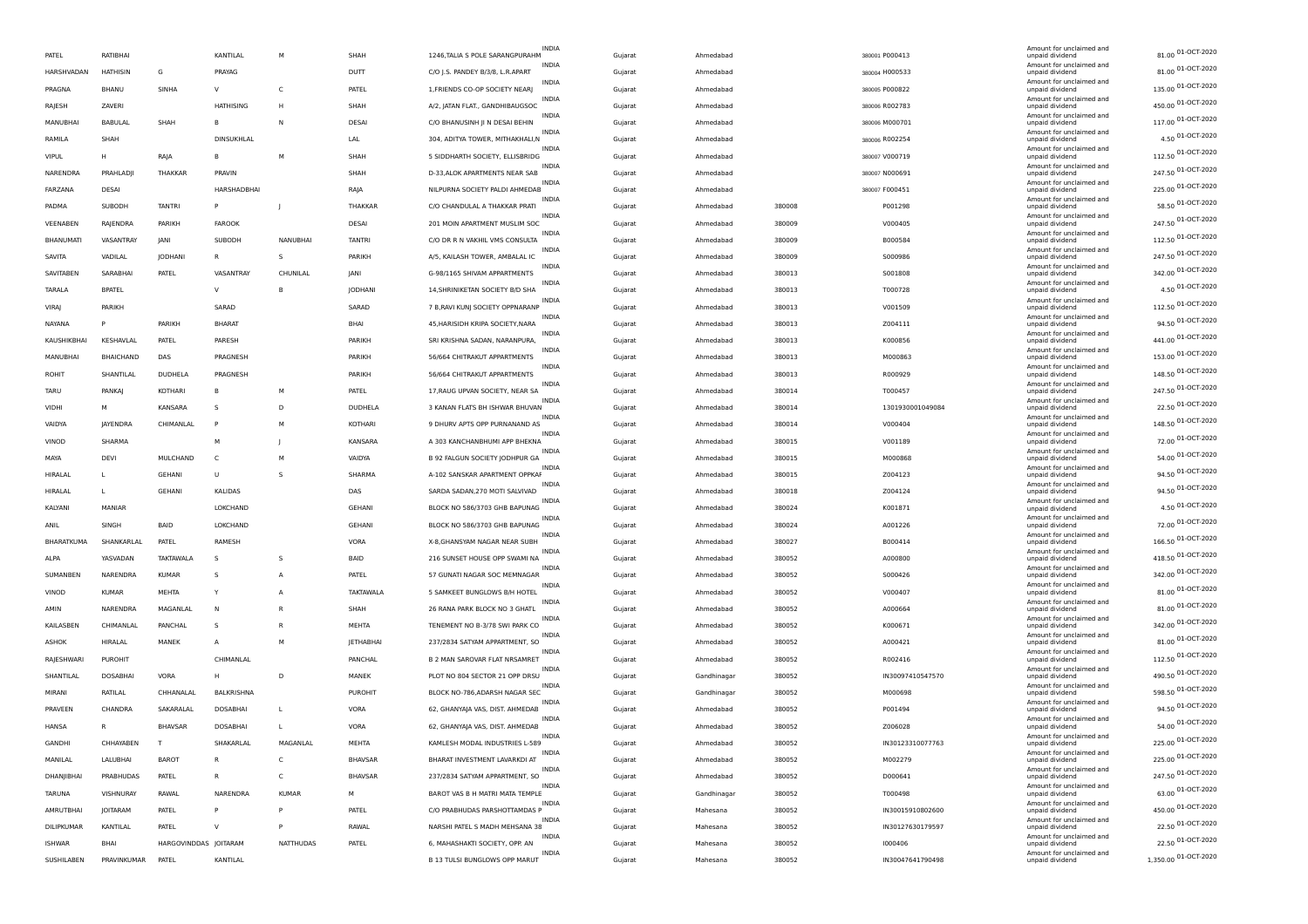|                   |                  |                       |                  |                  |                  | INDIA                                                |         |             |        |                  | Amount for unclaimed and                    |                      |
|-------------------|------------------|-----------------------|------------------|------------------|------------------|------------------------------------------------------|---------|-------------|--------|------------------|---------------------------------------------|----------------------|
| PATEL             | RATIBHAI         |                       | KANTILAL         | M                | SHAH             | 1246, TALIA S POLE SARANGPURAHM                      | Gujarat | Ahmedabad   |        | 380001 P000413   | unpaid dividend                             | 81.00 01-OCT-2020    |
| HARSHVADAN        | <b>HATHISIN</b>  | G                     | PRAYAG           |                  | <b>DUTT</b>      | INDIA<br>C/O J.S. PANDEY B/3/8, L.R.APART            | Guiarat | Ahmedabad   |        | 380004 H000533   | Amount for unclaimed and<br>unpaid dividend | 81.00 01-OCT-2020    |
| PRAGNA            | <b>BHANU</b>     | SINHA                 |                  | C                | PATEL            | <b>INDIA</b><br>1, FRIENDS CO-OP SOCIETY NEARJ       | Gujarat | Ahmedabad   |        | 380005 P000822   | Amount for unclaimed and<br>unpaid dividend | 135.00 01-OCT-2020   |
|                   |                  |                       |                  |                  |                  | <b>INDIA</b>                                         |         |             |        |                  | Amount for unclaimed and                    | 450.00 01-OCT-2020   |
| RAJESH            | <b>ZAVERI</b>    |                       | <b>HATHISING</b> | н                | SHAH             | A/2, JATAN FLAT., GANDHIBAUGSOC<br>INDIA             | Gujarat | Ahmedabad   |        | 380006 R002783   | unpaid dividend<br>Amount for unclaimed and |                      |
| MANUBHAI          | BABULAL          | SHAH                  |                  | N                | DESAI            | C/O BHANUSINH JI N DESAI BEHIN<br><b>INDIA</b>       | Gujarat | Ahmedabad   |        | 380006 M000701   | unpaid dividend<br>Amount for unclaimed and | 117.00 01-OCT-2020   |
| RAMILA            | SHAH             |                       | DINSUKHLAL       |                  | LAL              | 304, ADITYA TOWER, MITHAKHALI, N                     | Gujarat | Ahmedabad   |        | 380006 R002254   | unpaid dividend                             | 4.50 01-OCT-2020     |
| <b>VIPUL</b>      | н                | RAJA                  |                  | M                | SHAH             | INDIA<br>5 SIDDHARTH SOCIETY, ELLISBRIDG             | Gujarat | Ahmedabad   |        | 380007 V000719   | Amount for unclaimed and<br>unpaid dividend | 112.50 01-OCT-2020   |
| NARENDRA          | PRAHLADJI        | THAKKAR               | PRAVIN           |                  | SHAH             | <b>INDIA</b><br>D-33, ALOK APARTMENTS NEAR SAB       | Gujarat | Ahmedabad   |        | 380007 N000691   | Amount for unclaimed and<br>unpaid dividend | 247.50 01-OCT-2020   |
| FARZANA           | <b>DESAI</b>     |                       | HARSHADBHAI      |                  | RAJA             | <b>INDIA</b><br>NILPURNA SOCIETY PALDI AHMEDAB       | Gujarat | Ahmedabad   |        | 380007 F000451   | Amount for unclaimed and<br>unpaid dividend | 225.00 01-OCT-2020   |
|                   |                  |                       |                  |                  |                  | <b>INDIA</b>                                         |         |             |        |                  | Amount for unclaimed and                    | 58.50 01-OCT-2020    |
| PADMA             | SUBODH           | <b>TANTRI</b>         | P                |                  | THAKKAR          | C/O CHANDULAL A THAKKAR PRATI<br><b>INDIA</b>        | Gujarat | Ahmedabad   | 380008 | P001298          | unpaid dividend<br>Amount for unclaimed and |                      |
| VEENABEN          | RAJENDRA         | PARIKH                | FAROOK           |                  | DESAI            | 201 MOIN APARTMENT MUSLIM SOC<br><b>INDIA</b>        | Gujarat | Ahmedabad   | 380009 | V000405          | unpaid dividend<br>Amount for unclaimed and | 247.50 01-OCT-2020   |
| BHANUMATI         | VASANTRAY        | <b>JANI</b>           | SUBODH           | NANUBHAI         | <b>TANTRI</b>    | C/O DR R N VAKHIL VMS CONSULTA                       | Gujarat | Ahmedabad   | 380009 | B000584          | unpaid dividend                             | 112.50 01-OCT-2020   |
| SAVITA            | VADILAL          | <b>JODHANI</b>        |                  | s                | PARIKH           | <b>INDIA</b><br>A/5, KAILASH TOWER, AMBALAL IC       | Gujarat | Ahmedabad   | 380009 | S000986          | Amount for unclaimed and<br>unpaid dividend | 247.50 01-OCT-2020   |
| SAVITABEN         | SARABHAI         | PATEL                 | <b>VASANTRAY</b> | CHUNILAL         | JANI             | <b>INDIA</b><br>G-98/1165 SHIVAM APPARTMENTS         | Gujarat | Ahmedabad   | 380013 | S001808          | Amount for unclaimed and<br>unpaid dividend | 342.00 01-OCT-2020   |
|                   |                  |                       | $\vee$           | в                |                  | <b>INDIA</b><br>14, SHRINIKETAN SOCIETY B/D SHA      |         |             |        |                  | Amount for unclaimed and                    | 4.50 01-OCT-2020     |
| TARALA            | <b>BPATEL</b>    |                       |                  |                  | JODHANI          | <b>INDIA</b>                                         | Gujarat | Ahmedabad   | 380013 | T000728          | unpaid dividend<br>Amount for unclaimed and |                      |
| <b>VIRAJ</b>      | PARIKH           |                       | SARAD            |                  | SARAD            | 7 B, RAVI KUNJ SOCIETY OPPNARANP<br><b>INDIA</b>     | Gujarat | Ahmedabad   | 380013 | V001509          | unpaid dividend<br>Amount for unclaimed and | 112.50 01-OCT-2020   |
| NAYANA            | P                | PARIKH                | <b>BHARAT</b>    |                  | BHAI             | 45, HARISIDH KRIPA SOCIETY, NARA                     | Gujarat | Ahmedabad   | 380013 | Z004111          | unpaid dividend                             | 94.50 01-OCT-2020    |
| KAUSHIKBHAI       | KESHAVLAL        | PATEL                 | PARESH           |                  | PARIKH           | <b>INDIA</b><br>SRI KRISHNA SADAN, NARANPURA         | Gujarat | Ahmedabad   | 380013 | K000856          | Amount for unclaimed and<br>unpaid dividend | 441.00 01-OCT-2020   |
| MANUBHAI          | <b>BHAICHAND</b> | DAS                   | PRAGNESH         |                  | PARIKH           | <b>INDIA</b><br>56/664 CHITRAKUT APPARTMENTS         | Gujarat | Ahmedabad   | 380013 | M000863          | Amount for unclaimed and<br>unpaid dividend | 153.00 01-OCT-2020   |
| ROHIT             | SHANTILAL        | DUDHELA               | PRAGNESH         |                  | PARIKH           | <b>INDIA</b><br>56/664 CHITRAKUT APPARTMENTS         | Gujarat | Ahmedabad   | 380013 | R000929          | Amount for unclaimed and<br>unpaid dividend | 148.50 01-OCT-2020   |
|                   |                  |                       |                  |                  |                  | <b>INDIA</b>                                         |         |             |        |                  | Amount for unclaimed and                    | 247.50 01-OCT-2020   |
| <b>TARU</b>       | PANKAI           | KOTHARI               | B                | M                | PATEL            | 17, RAUG UPVAN SOCIETY, NEAR SA<br><b>INDIA</b>      | Gujarat | Ahmedabad   | 380014 | T000457          | unpaid dividend<br>Amount for unclaimed and |                      |
| VIDHI             | М                | KANSARA               | -S               | D                | <b>DUDHELA</b>   | 3 KANAN FLATS BH ISHWAR BHUVAN<br><b>INDIA</b>       | Guiarat | Ahmedabad   | 380014 | 1301930001049084 | unpaid dividend<br>Amount for unclaimed and | 22.50 01-OCT-2020    |
| VAIDYA            | <b>JAYENDRA</b>  | CHIMANLAL             |                  |                  | KOTHARI          | 9 DHURV APTS OPP PURNANAND AS                        | Gujarat | Ahmedabad   | 380014 | V000404          | unpaid dividend                             | 148.50 01-OCT-2020   |
| VINOD             | SHARMA           |                       | M                |                  | KANSARA          | <b>INDIA</b><br>A 303 KANCHANBHUMI APP BHEKNA        | Gujarat | Ahmedabad   | 380015 | V001189          | Amount for unclaimed and<br>unpaid dividend | 72.00 01-OCT-2020    |
| MAYA              | DEVI             | MULCHAND              | C.               | M                | VAIDYA           | <b>INDIA</b><br>B 92 FALGUN SOCIETY JODHPUR GA       | Gujarat | Ahmedabad   | 380015 | M000868          | Amount for unclaimed and<br>unpaid dividend | 54.00 01-OCT-2020    |
|                   |                  |                       |                  |                  |                  | INDIA                                                |         |             |        |                  | Amount for unclaimed and                    | 94.50 01-OCT-2020    |
| <b>HIRALAI</b>    | L                | <b>GEHANI</b>         | U                |                  | SHARMA           | A-102 SANSKAR APARTMENT OPPKAF<br>INDIA              | Gujarat | Ahmedabad   | 380015 | Z004123          | unpaid dividend<br>Amount for unclaimed and |                      |
| HIRALAL           | L                | GEHANI                | <b>KALIDAS</b>   |                  | DAS              | SARDA SADAN, 270 MOTI SALVIVAD<br><b>INDIA</b>       | Gujarat | Ahmedabad   | 380018 | Z004124          | unpaid dividend<br>Amount for unclaimed and | 94.50 01-OCT-2020    |
| KALYANI           | MANIAR           |                       | LOKCHAND         |                  | GEHANI           | BLOCK NO 586/3703 GHB BAPUNAG                        | Gujarat | Ahmedabad   | 380024 | K001871          | unpaid dividend                             | 4.50 01-OCT-2020     |
| ANIL              | SINGH            | <b>BAID</b>           | LOKCHAND         |                  | GEHANI           | <b>INDIA</b><br>BLOCK NO 586/3703 GHB BAPUNAG        | Gujarat | Ahmedabad   | 380024 | A001226          | Amount for unclaimed and<br>unpaid dividend | 72.00 01-OCT-2020    |
| BHARATKUMA        | SHANKARLAL       | PATEL                 | RAMESH           |                  | VORA             | <b>INDIA</b><br>X-8, GHANSYAM NAGAR NEAR SUBH        | Gujarat | Ahmedabad   | 380027 | B000414          | Amount for unclaimed and<br>unpaid dividend | 166.50 01-OCT-2020   |
| <b>ALPA</b>       | YASVADAN         | <b>TAKTAWALA</b>      | -S               | s                | <b>BAID</b>      | <b>INDIA</b><br>216 SUNSET HOUSE OPP SWAMI NA        |         |             |        |                  | Amount for unclaimed and                    | 418.50 01-OCT-2020   |
|                   |                  |                       |                  |                  |                  | <b>INDIA</b>                                         | Gujarat | Ahmedabad   | 380052 | A000800          | unpaid dividend<br>Amount for unclaimed and | 342.00 01-OCT-2020   |
| <b>SUMANBEN</b>   | NARENDRA         | <b>KUMAR</b>          | -S               | $\overline{A}$   | PATEL            | 57 GUNATI NAGAR SOC MEMNAGAR<br><b>INDIA</b>         | Gujarat | Ahmedabad   | 380052 | S000426          | unpaid dividend<br>Amount for unclaimed and |                      |
| VINOD             | <b>KUMAR</b>     | MEHTA                 |                  | А                | <b>TAKTAWALA</b> | 5 SAMKEET BUNGLOWS B/H HOTEL                         | Gujarat | Ahmedabad   | 380052 | V000407          | unpaid dividend                             | 81.00 01-OCT-2020    |
| AMIN              | NARENDRA         | MAGANLAL              | N                | R                | SHAH             | <b>INDIA</b><br>26 RANA PARK BLOCK NO 3 GHATL        | Gujarat | Ahmedabad   | 380052 | A000664          | Amount for unclaimed and<br>unpaid dividend | 81.00 01-OCT-2020    |
| KAILASBEN         | CHIMANLAL        | PANCHAL               | -S               | R                | MEHTA            | <b>INDIA</b><br>TENEMENT NO B-3/78 SWI PARK CO       | Gujarat | Ahmedabad   | 380052 | K000671          | Amount for unclaimed and<br>unpaid dividend | 342.00 01-OCT-2020   |
| ASHOK             | HIRALAL          | MANEK                 |                  | M                | JETHABHAI        | <b>INDIA</b><br>237/2834 SATYAM APPARTMENT, SO       | Gujarat | Ahmedabad   | 380052 | A000421          | Amount for unclaimed and<br>unpaid dividend | 81.00 01-OCT-2020    |
|                   |                  |                       |                  |                  |                  | INDIA                                                |         |             |        |                  | Amount for unclaimed and                    | 112.50 01-OCT-2020   |
| RAJESHWARI        | PUROHIT          |                       | CHIMANLAL        |                  | PANCHAL          | <b>B 2 MAN SAROVAR FLAT NRSAMRET</b><br><b>INDIA</b> | Gujarat | Ahmedabad   | 380052 | R002416          | unpaid dividend<br>Amount for unclaimed and | 490.50 01-OCT-2020   |
| SHANTILAL         | <b>DOSABHAI</b>  | VORA                  | H                | D                | MANEK            | PLOT NO 804 SECTOR 21 OPP DRSU<br><b>INDIA</b>       | Gujarat | Gandhinagar | 380052 | IN30097410547570 | unpaid dividend<br>Amount for unclaimed and |                      |
| MIRANI            | RATILAL          | CHHANALAL             | BALKRISHNA       |                  | <b>PUROHIT</b>   | BLOCK NO-786, ADARSH NAGAR SEC                       | Gujarat | Gandhinagar | 380052 | M000698          | unpaid dividend                             | 598.50 01-OCT-2020   |
| PRAVEEN           | CHANDRA          | SAKARALAL             | DOSABHAI         |                  | <b>VORA</b>      | 62, GHANYAJA VAS, DIST. AHMEDAB                      | Gujarat | Ahmedabad   | 380052 | P001494          | Amount for unclaimed and<br>unpaid dividend | 94.50 01-OCT-2020    |
| HANSA             | R                | <b>BHAVSAR</b>        | <b>DOSABHAI</b>  |                  | <b>VORA</b>      | <b>INDIA</b><br>62, GHANYAJA VAS, DIST. AHMEDAB      | Gujarat | Ahmedabad   | 380052 | Z006028          | Amount for unclaimed and<br>unpaid dividend | 54.00 01-OCT-2020    |
| GANDHI            | CHHAYABEN        | T                     | SHAKARLAL        | MAGANLAL         | MEHTA            | KAMLESH MODAL INDUSTRIES L-589                       |         | Ahmedabad   | 380052 | IN30123310077763 | Amount for unclaimed and<br>unpaid dividend | 225.00 01-OCT-2020   |
|                   |                  |                       |                  |                  |                  | INDIA                                                | Gujarat |             |        |                  | Amount for unclaimed and                    | 225.00 01-OCT-2020   |
| MANILAL           | LALUBHAI         | <b>BAROT</b>          | $\mathsf{R}$     | C                | BHAVSAR          | BHARAT INVESTMENT LAVARKDI AT<br><b>INDIA</b>        | Gujarat | Ahmedabad   | 380052 | M002279          | unpaid dividend<br>Amount for unclaimed and |                      |
| DHANJIBHAI        | PRABHUDAS        | PATEL                 | R                | c                | BHAVSAR          | 237/2834 SATYAM APPARTMENT, SO<br><b>INDIA</b>       | Gujarat | Ahmedabad   | 380052 | D000641          | unpaid dividend<br>Amount for unclaimed and | 247.50 01-OCT-2020   |
| TARUNA            | VISHNURAY        | RAWAL                 | NARENDRA         | <b>KUMAR</b>     | М                | BAROT VAS B H MATRI MATA TEMPLE                      | Gujarat | Gandhinagar | 380052 | T000498          | unpaid dividend                             | 63.00 01-OCT-2020    |
| AMRUTBHAI         | <b>JOITARAM</b>  | PATEL                 |                  | P                | PATEL            | INDIA<br>C/O PRABHUDAS PARSHOTTAMDAS P               | Gujarat | Mahesana    | 380052 | IN30015910802600 | Amount for unclaimed and<br>unpaid dividend | 450.00 01-OCT-2020   |
| <b>DILIPKUMAR</b> | KANTILAL         | PATEL                 | $\mathsf{v}$     | P                | RAWAL            | INDIA<br>NARSHI PATEL S MADH MEHSANA 38              | Gujarat | Mahesana    | 380052 | IN30127630179597 | Amount for unclaimed and<br>unpaid dividend | 22.50 01-OCT-2020    |
| <b>ISHWAR</b>     | BHAI             | HARGOVINDDAS JOITARAM |                  | <b>NATTHUDAS</b> | PATEL            | INDIA<br>6, MAHASHAKTI SOCIETY, OPP. AN              | Gujarat | Mahesana    | 380052 | 1000406          | Amount for unclaimed and                    | 22.50 01-OCT-2020    |
|                   |                  |                       |                  |                  |                  | INDIA                                                |         |             |        |                  | unpaid dividend<br>Amount for unclaimed and | 1,350.00 01-OCT-2020 |
| SUSHILABEN        | PRAVINKUMAR      | PATEL                 | KANTILAL         |                  |                  | B 13 TULSI BUNGLOWS OPP MARUT                        | Gujarat | Mahesana    | 380052 | IN30047641790498 | unpaid dividend                             |                      |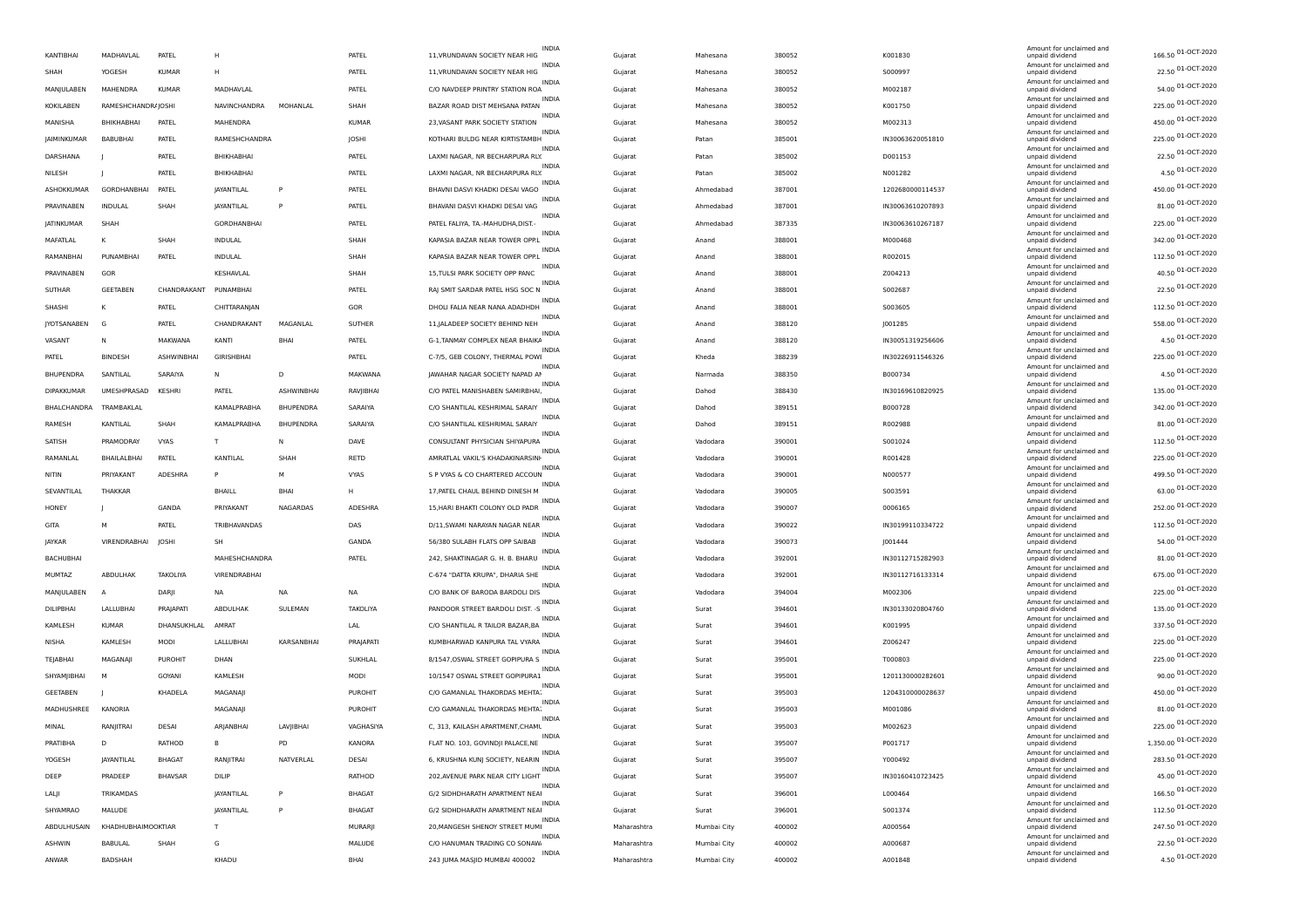|                    |                    |                       |                     |            |                |                                   | <b>INDIA</b> |             |             |        |                  | Amount for unclaimed and                    |                                          |
|--------------------|--------------------|-----------------------|---------------------|------------|----------------|-----------------------------------|--------------|-------------|-------------|--------|------------------|---------------------------------------------|------------------------------------------|
| KANTIBHAI          | MADHAVLAL          | PATEL                 | н                   |            | PATEL          | 11, VRUNDAVAN SOCIETY NEAR HIG    | INDIA        | Gujarat     | Mahesana    | 380052 | K001830          | unpaid dividend<br>Amount for unclaimed and | 166.50 01-OCT-2020                       |
| SHAH               | YOGESH             | <b>KUMAR</b>          | H                   |            | PATEL          | 11, VRUNDAVAN SOCIETY NEAR HIG    | <b>INDIA</b> | Gujarat     | Mahesana    | 380052 | S000997          | unpaid dividend<br>Amount for unclaimed and | 22.50 01-OCT-2020                        |
| MANJULABEN         | MAHENDRA           | <b>KUMAR</b>          | MADHAVLAL           |            | PATEL          | C/O NAVDEEP PRINTRY STATION ROA   | <b>INDIA</b> | Gujarat     | Mahesana    | 380052 | M002187          | unpaid dividend<br>Amount for unclaimed and | 54.00 01-OCT-2020                        |
| <b>KOKILABEN</b>   | RAMESHCHANDRAJOSHI |                       | <b>NAVINCHANDRA</b> | MOHANLAL   | SHAH           | BAZAR ROAD DIST MEHSANA PATAN     |              | Gujarat     | Mahesana    | 380052 | K001750          | unpaid dividend<br>Amount for unclaimed and | 225.00 01-OCT-2020                       |
| MANISHA            | BHIKHABHAI         | PATEL                 | MAHENDRA            |            | <b>KUMAR</b>   | 23, VASANT PARK SOCIETY STATION   | INDIA        | Guiarat     | Mahesana    | 380052 | M002313          | unpaid dividend                             | 450.00 01-OCT-2020                       |
| <b>IAIMINKUMAR</b> | <b>BABURHAL</b>    | PATEL                 | RAMESHCHANDRA       |            | <b>JOSHI</b>   | KOTHARI BULDG NEAR KIRTISTAMBH    | <b>INDIA</b> | Gujarat     | Patan       | 385001 | IN30063620051810 | Amount for unclaimed and<br>unpaid dividend | 225.00 01-OCT-2020                       |
| DARSHANA           |                    | PATEL                 | BHIKHABHAI          |            | PATEL          | LAXMI NAGAR, NR BECHARPURA RLY.   | INDIA        | Gujarat     | Patar       | 385002 | D001153          | Amount for unclaimed and<br>unpaid dividend | 22.50 01-OCT-2020                        |
| NILESH             |                    | PATEL                 | BHIKHABHAI          |            | PATEL          | LAXMI NAGAR, NR BECHARPURA RLY.   | INDIA        | Gujarat     | Patan       | 385002 | N001282          | Amount for unclaimed and<br>unpaid dividend | 4.50 01-OCT-2020                         |
| <b>ASHOKKUMAR</b>  | GORDHANBHAI        | PATEL                 | JAYANTILAL          |            | PATEL          | BHAVNI DASVI KHADKI DESAI VAGO    | INDIA        | Gujarat     | Ahmedabad   | 387001 | 1202680000114537 | Amount for unclaimed and<br>unpaid dividend | 450.00 01-OCT-2020                       |
| PRAVINABEN         | INDULAL            | SHAH                  | <b>JAYANTILAL</b>   |            | PATEL          | BHAVANI DASVI KHADKI DESAI VAG    | INDIA        | Guiarat     | Ahmedabad   | 387001 | IN30063610207893 | Amount for unclaimed and<br>unpaid dividend | 81.00 01-OCT-2020                        |
| <b>IATINKUMAR</b>  | SHAH               |                       | GORDHANBHAI         |            | PATEL          | PATFI FAI IYA. TA - MAHUDHA DIST. | <b>INDIA</b> | Gujarat     | Ahmedabad   | 387335 | IN30063610267187 | Amount for unclaimed and<br>unpaid dividend | 225.00 01-OCT-2020                       |
| MAFATLAL           |                    | SHAH                  | INDULAL             |            | SHAH           | KAPASIA BAZAR NEAR TOWER OPP.L    | <b>INDIA</b> | Gujarat     | Anand       | 388001 | M000468          | Amount for unclaimed and<br>unpaid dividend | 342.00 01-OCT-2020                       |
| RAMANBHAI          | PUNAMBHA           | PATEL                 | INDULAL             |            | SHAH           | KAPASIA BAZAR NEAR TOWER OPP.L    | <b>INDIA</b> | Gujarat     | Anand       | 388001 | R002015          | Amount for unclaimed and<br>unpaid dividend | 112.50 01-OCT-2020                       |
| PRAVINABEN         | GOR                |                       | KESHAVLAL           |            | SHAH           | 15, TULSI PARK SOCIETY OPP PANC   | <b>INDIA</b> | Gujarat     | Anand       | 388001 | Z004213          | Amount for unclaimed and<br>unpaid dividend | 40.50 01-OCT-2020                        |
| SUTHAR             | GEETABEN           | CHANDRAKANT PUNAMBHAI |                     |            | PATEL          | RAJ SMIT SARDAR PATEL HSG SOC N   | <b>INDIA</b> | Guiarat     | Anand       | 388001 | S002687          | Amount for unclaimed and<br>unpaid dividend | 22.50 01-OCT-2020                        |
| SHASHI             | к                  | PATEL                 | CHITTARANJAN        |            | GOR            | DHOLI FALIA NEAR NANA ADADHDH     | <b>INDIA</b> | Gujarat     | Anand       | 388001 | S003605          | Amount for unclaimed and<br>unpaid dividend | 112.50 01-OCT-2020                       |
| JYOTSANABEN        | G                  | PATEL                 | CHANDRAKANT         | MAGANLAL   | SUTHER         | 11, JALADEEP SOCIETY BEHIND NEH   | <b>INDIA</b> | Gujarat     | Anand       | 388120 | J001285          | Amount for unclaimed and<br>unpaid dividend | 558.00 01-OCT-2020                       |
| VASANT             | N                  | MAKWANA               | KANTI               | BHA        | PATEL          | G-1, TANMAY COMPLEX NEAR BHAIKA   | INDIA        | Gujarat     | Anand       | 388120 | IN30051319256606 | Amount for unclaimed and<br>unpaid dividend | 4.50 01-OCT-2020                         |
| PATEL              | <b>BINDESH</b>     | <b>ASHWINBHA</b>      | GIRISHBHAI          |            | PATEL          | C-7/5, GEB COLONY, THERMAL POWI   | <b>INDIA</b> | Gujarat     | Kheda       | 388239 | IN30226911546326 | Amount for unclaimed and<br>unpaid dividend | 225.00 01-OCT-2020                       |
| <b>BHUPENDRA</b>   | SANTILAL           | SARAIYA               | N                   | D.         | MAKWANA        | JAWAHAR NAGAR SOCIETY NAPAD AI    | INDIA        | Guiarat     | Narmada     | 388350 | B000734          | Amount for unclaimed and<br>unpaid dividend | 4.50 01-OCT-2020                         |
| <b>DIPAKKUMAR</b>  | UMESHPRASAD        | <b>KFSHRI</b>         | PATEL               | ASHWINBHAI | RAVJIBHAI      | C/O PATEL MANISHABEN SAMIRBHAI    | <b>INDIA</b> | Gujarat     | Dahod       | 388430 | IN30169610820925 | Amount for unclaimed and<br>unpaid dividend | 135.00 01-OCT-2020                       |
| BHALCHANDRA        | TRAMBAKLAL         |                       | KAMALPRABHA         | BHUPENDRA  | SARAIYA        | C/O SHANTILAL KESHRIMAL SARAIY    | <b>INDIA</b> | Gujarat     | Dahod       | 389151 | B000728          | Amount for unclaimed and<br>unpaid dividend | 342.00 01-OCT-2020                       |
| RAMESH             | KANTILAL           | SHAH                  | KAMALPRABHA         | BHUPENDRA  | SARAIYA        | C/O SHANTILAL KESHRIMAL SARAIY    | INDIA        | Gujarat     | Dahod       | 389151 | R002988          | Amount for unclaimed and<br>unpaid dividend | 81.00 01-OCT-2020                        |
| SATISH             | PRAMODRAY          | <b>VYAS</b>           | T                   |            | DAVE           | CONSULTANT PHYSICIAN SHIYAPURA    | <b>INDIA</b> | Gujarat     | Vadodara    | 390001 | S001024          | Amount for unclaimed and<br>unpaid dividend | 112.50 01-OCT-2020                       |
| RAMANLAL           | BHAILALBHAI        | PATEL                 | KANTILAL            | SHAH       | RETD           | AMRATLAL VAKIL'S KHADAKINARSINH   | INDIA        | Guiarat     | Vadodara    | 390001 | R001428          | Amount for unclaimed and<br>unpaid dividend | 225.00 01-OCT-2020                       |
| NITIN              | <b>PRIYAKANT</b>   | <b>ADESHRA</b>        | P                   | M          | <b>VYAS</b>    | S P VYAS & CO CHARTERED ACCOUN    | <b>INDIA</b> | Gujarat     | Vadodara    | 390001 | N000577          | Amount for unclaimed and<br>unpaid dividend | 499.50 01-OCT-2020                       |
| SEVANTILAL         | THAKKAP            |                       | <b>BHAILL</b>       | <b>RHA</b> | н              | 17, PATEL CHAUL BEHIND DINESH M   | INDIA        | Gujarat     | Vadodara    | 390005 | S003591          | Amount for unclaimed and<br>unpaid dividend | 63.00 01-OCT-2020                        |
| HONEY              |                    | GANDA                 | PRIYAKANT           | NAGARDAS   | ADESHRA        | 15, HARI BHAKTI COLONY OLD PADR   | INDIA        | Gujarat     | Vadodara    | 390007 | 0006165          | Amount for unclaimed and<br>unpaid dividend | 252.00 01-OCT-2020                       |
| GITA               | M                  | PATEL                 | TRIBHAVANDAS        |            | DAS            | D/11, SWAMI NARAYAN NAGAR NEAR    | <b>INDIA</b> | Gujarat     | Vadodara    | 390022 | IN30199110334722 | Amount for unclaimed and<br>unpaid dividend | 112.50 01-OCT-2020                       |
| <b>JAYKAR</b>      | VIRENDRABHAI       | JOSHI                 | <b>SH</b>           |            | GANDA          | 56/380 SULABH FLATS OPP SAIBAB    | INDIA        | Guiarat     | Vadodara    | 390073 | J001444          | Amount for unclaimed and<br>unpaid dividend | 54.00 01-OCT-2020                        |
| BACHUBHAI          |                    |                       | MAHESHCHANDRA       |            | PATEL          | 242, SHAKTINAGAR G. H. B. BHARU   | <b>INDIA</b> | Gujarat     | Vadodara    | 392001 | IN30112715282903 | Amount for unclaimed and<br>unpaid dividend | 81.00 01-OCT-2020                        |
| MUMTAZ             | <b>ARDUI HAK</b>   | <b>TAKOLIYA</b>       | VIRENDRABHAI        |            |                | C-674 "DATTA KRUPA", DHARIA SHE   | <b>INDIA</b> | Gujarat     | Vadodara    | 392001 | IN30112716133314 | Amount for unclaimed and<br>unpaid dividend | 675.00 01-OCT-2020                       |
| MANJULABEN         |                    | DARJI                 | ΝA                  | <b>NA</b>  | NA             | C/O BANK OF BARODA BARDOLI DIS    | <b>INDIA</b> | Gujarat     | Vadodara    | 394004 | M002306          | Amount for unclaimed and<br>unpaid dividend | 225.00 01-OCT-2020                       |
| DILIPBHAI          | LALLUBHA           | PRAJAPATI             | ABDULHAK            | SULEMAN    | TAKOLIYA       | PANDOOR STREET BARDOLI DIST. -S   | <b>INDIA</b> | Gujarat     | Surat       | 394601 | IN30133020804760 | Amount for unclaimed and<br>unpaid dividend | 135.00 01-OCT-2020                       |
| KAMLESH            | <b>KUMAR</b>       | DHANSUKHLAL           | AMRAT               |            | LAL            | C/O SHANTILAL R TAILOR BAZAR, BA  | INDIA        | Guiarat     | Surat       | 394601 | K001995          | Amount for unclaimed and<br>unpaid dividend | 337.50 01-OCT-2020                       |
| NISHA              | KAMLESH            | MODI                  | <b>LALLUBHAI</b>    | KARSANBHAI | PRAJAPATI      | KUMBHARWAD KANPURA TAI VYARA      | <b>INDIA</b> | Gujarat     | Surat       | 394601 | Z006247          | Amount for unclaimed and<br>unpaid dividend | 225.00 01-OCT-2020                       |
| TEJABHAI           | MAGANAJI           | <b>PUROHIT</b>        | DHAN                |            | SUKHLAL        | 8/1547, OSWAL STREET GOPIPURA S   | <b>INDIA</b> | Gujarat     | Surat       | 395001 | T000803          | Amount for unclaimed and<br>unpaid dividend | 225.00 01-OCT-2020                       |
| SHYAMJIBHAI        | м                  | GOYANI                | KAMLESH             |            | MODI           | 10/1547 OSWAL STREET GOPIPURA1    | INDIA        | Gujarat     | Surat       | 395001 | 1201130000282601 | Amount for unclaimed and<br>unpaid dividend | 90.00 01-OCT-2020                        |
|                    |                    |                       |                     |            | <b>PUROHIT</b> | C/O GAMANLAL THAKORDAS MEHTA:     | INDIA        |             |             |        |                  | Amount for unclaimed and                    | 450.00 01-OCT-2020                       |
| GEETABEN           |                    | KHADELA               | MAGANAJI            |            |                | C/O GAMANLAL THAKORDAS MEHTA      | INDIA        | Gujarat     | Surat       | 395003 | 1204310000028637 | unpaid dividend<br>Amount for unclaimed and | 81.00 01-OCT-2020                        |
| MADHUSHREE         | KANORIA            |                       | MAGANAJI            |            | PUROHIT        |                                   | <b>INDIA</b> | Guiarat     | Surat       | 395003 | M001086          | unpaid dividend<br>Amount for unclaimed and | 225.00 01-OCT-2020                       |
| MINAI              | RANJITRAI          | DESAI                 | ARIANBHAI           | LAVIIBHAI  | VAGHASIYA      | C, 313, KAILASH APARTMENT, CHAML  | <b>INDIA</b> | Gujarat     | Surat       | 395003 | M002623          | unpaid dividend<br>Amount for unclaimed and | 1,350.00 01-OCT-2020                     |
| PRATIBHA           | D                  | RATHOD                | в                   | PD         | KANORA         | FLAT NO. 103, GOVINDJI PALACE, NE | INDIA        | Gujarat     | Surat       | 395007 | P001717          | unpaid dividend<br>Amount for unclaimed and | 283.50 01-OCT-2020                       |
| YOGESH             | JAYANTILAL         | <b>BHAGAT</b>         | RANJITRAI           | NATVERLAL  | DESAI          | 6, KRUSHNA KUNJ SOCIETY, NEARIN   | INDIA        | Gujarat     | Surat       | 395007 | Y000492          | unpaid dividend<br>Amount for unclaimed and | 45.00 01-OCT-2020                        |
| DEEP               | PRADEEP            | <b>BHAVSAR</b>        | DILIP               |            | RATHOD         | 202, AVENUE PARK NEAR CITY LIGHT  | INDIA        | Gujarat     | Surat       | 395007 | IN30160410723425 | unpaid dividend<br>Amount for unclaimed and |                                          |
| LALJI              | TRIKAMDAS          |                       | <b>JAYANTILAL</b>   | P          | <b>BHAGAT</b>  | G/2 SIDHDHARATH APARTMENT NEAI    | INDIA        | Gujarat     | Surat       | 396001 | L000464          | unpaid dividend<br>Amount for unclaimed and | 166.50 01-OCT-2020                       |
| SHYAMRAO           | MALUDE             |                       | JAYANTILAL          | P          | <b>BHAGAT</b>  | G/2 SIDHDHARATH APARTMENT NEAI    | INDIA        | Gujarat     | Surat       | 396001 | S001374          | unpaid dividend<br>Amount for unclaimed and | 112.50 01-OCT-2020<br>247.50 01-OCT-2020 |
| ABDULHUSAIN        | KHADHUBHAIMOOKTIAR |                       | т                   |            | MURARJI        | 20, MANGESH SHENOY STREET MUMI    | INDIA        | Maharashtra | Mumbai City | 400002 | A000564          | unpaid dividend<br>Amount for unclaimed and | 22.50 01-OCT-2020                        |
| ASHWIN             | BABULAL            | SHAH                  | G                   |            | MALUDE         | C/O HANUMAN TRADING CO SONAW.     | <b>INDIA</b> | Maharashtra | Mumbai City | 400002 | A000687          | unpaid dividend<br>Amount for unclaimed and |                                          |
| ANWAR              | <b>BADSHAH</b>     |                       | KHADU               |            | BHAI           | 243 JUMA MASJID MUMBAI 400002     |              | Maharashtra | Mumbai City | 400002 | A001848          | unpaid dividend                             | 4.50 01-OCT-2020                         |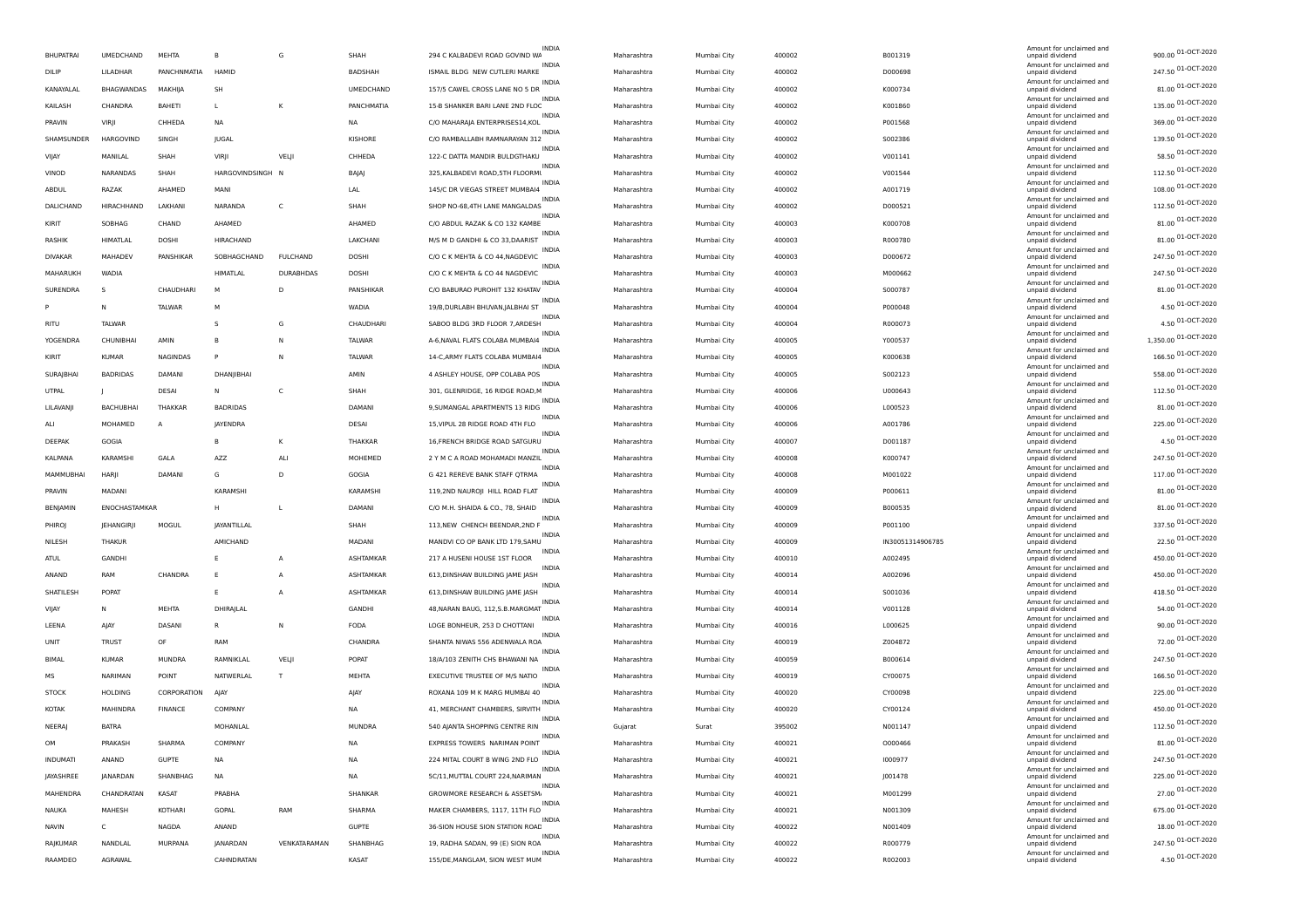| <b>BHUPATRAI</b> | UMEDCHAND              | MEHTA           | B                    | G                | SHAH              | 294 C KALBADEVI ROAD GOVIND WA    | <b>INDIA</b>            | Maharashtra<br>Mumbai City | 400002           | B001319          | Amount for unclaimed and<br>unpaid dividend | 900.00 01-OCT-2020   |
|------------------|------------------------|-----------------|----------------------|------------------|-------------------|-----------------------------------|-------------------------|----------------------------|------------------|------------------|---------------------------------------------|----------------------|
| DILIP            | LILADHAR               | PANCHNMATIA     | <b>HAMID</b>         |                  | BADSHAH           | ISMAIL BLDG NEW CUTLERI MARKE     | INDIA                   | Mumbai City<br>Maharashtra | 400002           | D000698          | Amount for unclaimed and<br>unpaid dividend | 247.50 01-OCT-2020   |
| KANAYALAL        | BHAGWANDAS             | MAKHIJA         | SH                   |                  | UMEDCHAND         | 157/5 CAWEL CROSS LANE NO 5 DR    | <b>INDIA</b>            | Maharashtra<br>Mumbai City | 400002           | K000734          | Amount for unclaimed and<br>unpaid dividend | 81.00 01-OCT-2020    |
| KAILASH          | CHANDRA                | <b>BAHETI</b>   | <b>L</b>             | K                | PANCHMATIA        | 15-B SHANKER BARI LANE 2ND FLOC   | <b>INDIA</b>            | Maharashtra<br>Mumbai City | 400002           | K001860          | Amount for unclaimed and<br>unpaid dividend | 135.00 01-OCT-2020   |
| PRAVIN           | VIRJI                  | CHHEDA          | <b>NA</b>            |                  | <b>NA</b>         | C/O MAHARAIA ENTERPRISES14.KOL    | INDIA                   | Mumbai City<br>Maharashtra | 400002           | P001568          | Amount for unclaimed and<br>unpaid dividend | 369.00 01-OCT-2020   |
| SHAMSUNDER       | HARGOVIND              | SINGH           | JUGAL                |                  | KISHORE           | C/O RAMBALLABH RAMNARAYAN 312     | <b>INDIA</b>            | Maharashtra<br>Mumbai City | 400002           | S002386          | Amount for unclaimed and<br>unpaid dividend | 139.50 01-OCT-2020   |
| VIJAY            | MANILAL                | SHAH            | VIRJI                | VELJI            | CHHEDA            | 122-C DATTA MANDIR BULDGTHAKU     | <b>INDIA</b>            | Mumbai City<br>Maharashtra | 400002           | V001141          | Amount for unclaimed and<br>unpaid dividend | 58.50 01-OCT-2020    |
| VINOD            | NARANDAS               | SHAH            | HARGOVINDSINGH N     |                  | BAJAJ             | 325, KALBADEVI ROAD, 5TH FLOORML  | <b>INDIA</b>            | Mumbai City<br>Maharashtra | 400002           | V001544          | Amount for unclaimed and<br>unpaid dividend | 112.50 01-OCT-2020   |
| ABDUL            | RAZAK                  | AHAMED          | MANI                 |                  | LAL               | 145/C DR VIEGAS STREET MUMBAI4    | <b>INDIA</b>            | Maharashtra<br>Mumbai City | 400002           | A001719          | Amount for unclaimed and<br>unpaid dividend | 108.00 01-OCT-2020   |
| DALICHAND        | HIRACHHAND             | LAKHANI         | NARANDA              | C                | SHAH              | SHOP NO-68.4TH LANE MANGALDAS     | INDIA                   |                            | 400002           | D000521          | Amount for unclaimed and                    | 112.50 01-OCT-2020   |
|                  |                        |                 |                      |                  |                   |                                   | <b>INDIA</b>            | Mumbai City<br>Maharashtra |                  |                  | unpaid dividend<br>Amount for unclaimed and | 81.00 01-OCT-2020    |
| KIRIT            | SOBHAG                 | CHAND           | AHAMED               |                  | AHAMED            | C/O ABDUL RAZAK & CO 132 KAMBE    | <b>INDIA</b>            | Maharashtra<br>Mumbai City | 400003           | K000708          | unpaid dividend<br>Amount for unclaimed and | 81.00 01-OCT-2020    |
| RASHIK           | HIMATLAL               | DOSHI           | <b>HIRACHAND</b>     |                  | LAKCHANI          | M/S M D GANDHI & CO 33, DAARIST   | INDIA                   | Mumbai City<br>Maharashtra | 400003           | R000780          | unpaid dividend<br>Amount for unclaimed and |                      |
| DIVAKAR          | MAHADEV                | PANSHIKAR       | SOBHAGCHAND          | <b>FULCHAND</b>  | DOSHI             | C/O C K MEHTA & CO 44, NAGDEVIC   | INDIA                   | Mumbai City<br>Maharashtra | 400003           | D000672          | unpaid dividend<br>Amount for unclaimed and | 247.50 01-OCT-2020   |
| MAHARUKH         | WADIA                  |                 | <b>HIMATLAL</b>      | <b>DURABHDAS</b> | DOSHI             | C/O C K MEHTA & CO 44 NAGDEVIC    | INDIA                   | Maharashtra<br>Mumbai City | 400003           | M000662          | unpaid dividend<br>Amount for unclaimed and | 247.50 01-OCT-2020   |
| SURENDRA         | S                      | CHAUDHARI       | M                    | D                | PANSHIKAR         | C/O BABURAO PUROHIT 132 KHATAV    | INDIA                   | Mumbai City<br>Maharashtra | 400004           | S000787          | unpaid dividend<br>Amount for unclaimed and | 81.00 01-OCT-2020    |
|                  | N                      | <b>TALWAR</b>   | м                    |                  | WADIA             | 19/B, DURLABH BHUVAN, JALBHAI ST  | <b>INDIA</b>            | Maharashtra<br>Mumbai City | 400004           | P000048          | unpaid dividend<br>Amount for unclaimed and | 4.50 01-OCT-2020     |
| <b>RITU</b>      | TALWAR                 |                 | -S                   | G                | CHAUDHARI         | SABOO BLDG 3RD FLOOR 7, ARDESH    |                         | Mumbai City<br>Maharashtra | 400004           | R000073          | unpaid dividend                             | 4.50 01-OCT-2020     |
| YOGENDRA         | CHUNIBHAI              | AMIN            | B                    | N                | TALWAR            | A-6, NAVAL FLATS COLABA MUMBAI4   |                         | Maharashtra<br>Mumbai City | 400005           | Y000537          | Amount for unclaimed and<br>unpaid dividend | 1,350.00 01-OCT-2020 |
| KIRIT            | <b>KUMAR</b>           | <b>NAGINDAS</b> | P                    | N                | TALWAR            | 14-C, ARMY FLATS COLABA MUMBAI4   | <b>INDIA</b>            | Maharashtra<br>Mumbai City | 400005           | K000638          | Amount for unclaimed and<br>unpaid dividend | 166.50 01-OCT-2020   |
| <b>SURAJBHAI</b> | <b>BADRIDAS</b>        | DAMANI          | DHANJIBHAI           |                  | AMIN              | 4 ASHLEY HOUSE, OPP COLABA POS    | INDIA                   | Mumbai City<br>Maharashtra | 400005           | S002123          | Amount for unclaimed and<br>unpaid dividend | 558.00 01-OCT-2020   |
| UTPAL            |                        | <b>DESAI</b>    | N                    | C                | SHAH              | 301, GLENRIDGE, 16 RIDGE ROAD, M  | <b>INDIA</b>            | Maharashtra<br>Mumbai City | 400006           | U000643          | Amount for unclaimed and<br>unpaid dividend | 112.50 01-OCT-2020   |
| LILAVANJI        | <b>BACHUBHAI</b>       | THAKKAR         | <b>BADRIDAS</b>      |                  | DAMANI            | 9, SUMANGAL APARTMENTS 13 RIDG    | <b>INDIA</b>            | Maharashtra<br>Mumbai City | 400006           | L000523          | Amount for unclaimed and<br>unpaid dividend | 81.00 01-OCT-2020    |
| ALI              | MOHAMED                | А               | JAYENDRA             |                  | DESAI             | 15, VIPUL 28 RIDGE ROAD 4TH FLO   | INDIA                   | Mumbai City<br>Maharashtra | 400006           | A001786          | Amount for unclaimed and<br>unpaid dividend | 225.00 01-OCT-2020   |
| DEEPAK           | GOGIA                  |                 |                      | K                | <b>THAKKAR</b>    | 16, FRENCH BRIDGE ROAD SATGURU    | <b>INDIA</b>            | Maharashtra<br>Mumbai City | 400007           | D001187          | Amount for unclaimed and<br>unpaid dividend | 4.50 01-OCT-2020     |
| KALPANA          | <b>KARAMSHI</b>        | GALA            | AZZ                  | ALI              | MOHEMED           | 2 Y M C A ROAD MOHAMADI MANZIL    | INDIA                   | Mumbai City<br>Maharashtra | 400008           | K000747          | Amount for unclaimed and<br>unpaid dividend | 247.50 01-OCT-2020   |
| MAMMUBHAI        |                        | DAMANI          |                      | D                |                   | G 421 REREVE BANK STAFF QTRMA     | INDIA                   |                            |                  |                  | Amount for unclaimed and                    | 117.00 01-OCT-2020   |
| PRAVIN           | HARJI<br><b>MADANI</b> |                 | G<br><b>KARAMSHI</b> |                  | GOGIA<br>KARAMSHI |                                   | <b>INDIA</b>            | Maharashtra<br>Mumbai City | 400008<br>400009 | M001022          | unpaid dividend<br>Amount for unclaimed and | 81.00 01-OCT-2020    |
|                  |                        |                 |                      |                  |                   | 119,2ND NAUROJI HILL ROAD FLAT    | INDIA                   | Maharashtra<br>Mumbai City |                  | P000611          | unpaid dividend<br>Amount for unclaimed and | 81.00 01-OCT-2020    |
| BENJAMIN         | ENOCHASTAMKAR          |                 | н                    | L                | DAMANI            | C/O M.H. SHAIDA & CO., 78, SHAID  | <b>INDIA</b>            | Maharashtra<br>Mumbai City | 400009           | B000535          | unpaid dividend<br>Amount for unclaimed and | 337.50 01-OCT-2020   |
| PHIROJ           | JEHANGIRJI             | MOGUL           | JAYANTILLAL          |                  | SHAH              | 113, NEW CHENCH BEENDAR, 2ND F    | INDIA                   | Maharashtra<br>Mumbai City | 400009           | P001100          | unpaid dividend<br>Amount for unclaimed and |                      |
| NILESH           | THAKUR                 |                 | AMICHAND             |                  | MADANI            | MANDVI CO OP BANK LTD 179, SAMU   | <b>INDIA</b>            | Mumbai City<br>Maharashtra | 400009           | IN30051314906785 | unpaid dividend<br>Amount for unclaimed and | 22.50 01-OCT-2020    |
| ATUL             | <b>GANDHI</b>          |                 |                      | Α                | ASHTAMKAR         | 217 A HUSENI HOUSE 1ST FLOOR      | <b>INDIA</b>            | Maharashtra<br>Mumbai City | 400010           | A002495          | unpaid dividend<br>Amount for unclaimed and | 450.00 01-OCT-2020   |
| ANAND            | RAM                    | CHANDRA         | -F                   | A                | ASHTAMKAR         | 613, DINSHAW BUILDING JAME JASH   | <b>INDI</b>             | Maharashtra<br>Mumbai City | 400014           | A002096          | unpaid dividend<br>Amount for unclaimed and | 450.00 01-OCT-2020   |
| SHATILESH        | POPAT                  |                 | E                    | Α                | ASHTAMKAR         | 613, DINSHAW BUILDING JAME JASH   | <b>INDIA</b>            | Mumbai City<br>Maharashtra | 400014           | S001036          | unpaid dividend                             | 418.50 01-OCT-2020   |
| VIJAY            | N                      | <b>MEHTA</b>    | DHIRAJLAL            |                  | <b>GANDHI</b>     | 48, NARAN BAUG, 112, S.B. MARGMAT |                         | Maharashtra<br>Mumbai City | 400014           | V001128          | Amount for unclaimed and<br>unpaid dividend | 54.00 01-OCT-2020    |
| LEENA            | AJAY                   | DASANI          | $\mathbb{R}$         | N                | FODA              | LOGE BONHEUR, 253 D CHOTTANI      | INDIA                   | Mumbai City<br>Maharashtra | 400016           | L000625          | Amount for unclaimed and<br>unpaid dividend | 90.00 01-OCT-2020    |
| UNIT             | <b>TRUST</b>           | OF              | RAM                  |                  | CHANDRA           | SHANTA NIWAS 556 ADENWALA ROA     | <b>INDIA</b>            | Maharashtra<br>Mumbai City | 400019           | Z004872          | Amount for unclaimed and<br>unpaid dividend | 72.00 01-OCT-2020    |
| BIMAL            | <b>KUMAR</b>           | MUNDRA          | RAMNIKLAL            | VELJI            | POPAT             | 18/A/103 ZENITH CHS BHAWANI NA    | <b>INDIA</b>            | Mumbai City<br>Maharashtra | 400059           | B000614          | Amount for unclaimed and<br>unpaid dividend | 247.50 01-OCT-2020   |
| мs               | NARIMAN                | POINT           | NATWERLAL            | T                | MEHTA             | EXECUTIVE TRUSTEE OF M/S NATIO    | INDIA                   | Mumbai City<br>Maharashtra | 400019           | CY00075          | Amount for unclaimed and<br>unpaid dividend | 166.50 01-OCT-2020   |
| <b>STOCK</b>     | HOLDING                | CORPORATION     | AIAY                 |                  | AJAY              | ROXANA 109 M K MARG MUMBAI 40     | <b>INDIA</b>            | Maharashtra<br>Mumbai City | 400020           | CY00098          | Amount for unclaimed and<br>unpaid dividend | 225.00 01-OCT-2020   |
| KOTAK            | MAHINDRA               | <b>FINANCE</b>  | COMPANY              |                  | <b>NA</b>         | 41, MERCHANT CHAMBERS, SIRVITH    | INDIA                   | Mumbai City<br>Maharashtra | 400020           | CY00124          | Amount for unclaimed and<br>unpaid dividend | 450.00 01-OCT-2020   |
| <b>NEERAJ</b>    | <b>BATRA</b>           |                 | MOHANLAL             |                  | MUNDRA            | 540 AJANTA SHOPPING CENTRE RIN    | <b>INDIA</b><br>Gujarat | Surat                      | 395002           | N001147          | Amount for unclaimed and<br>unpaid dividend | 112.50 01-OCT-2020   |
| <b>OM</b>        | PRAKASH                | SHARMA          | COMPANY              |                  | <b>NA</b>         | EXPRESS TOWERS NARIMAN POINT      | INDIA                   | Maharashtra<br>Mumbai City | 400021           | 0000466          | Amount for unclaimed and<br>unpaid dividend | 81.00 01-OCT-2020    |
| INDUMATI         | ANAND                  | <b>GUPTE</b>    | NA                   |                  | <b>NA</b>         | 224 MITAL COURT B WING 2ND FLO    | <b>INDIA</b>            | Maharashtra<br>Mumbai City | 400021           | 1000977          | Amount for unclaimed and<br>unpaid dividend | 247.50 01-OCT-2020   |
|                  |                        |                 |                      |                  |                   |                                   | INDIA                   |                            |                  |                  | Amount for unclaimed and                    | 225.00 01-OCT-2020   |
| JAYASHREE        | <b>JANARDAN</b>        | SHANBHAG        | <b>NA</b>            |                  | <b>NA</b>         | 5C/11, MUTTAL COURT 224, NARIMAN  | INDIA                   | Maharashtra<br>Mumbai City | 400021           | J001478          | unpaid dividend<br>Amount for unclaimed and | 27.00 01-OCT-2020    |
| MAHENDRA         | CHANDRATAN             | KASAT           | PRABHA               |                  | SHANKAR           | GROWMORE RESEARCH & ASSETSM.      | <b>INDIA</b>            | Mumbai City<br>Maharashtra | 400021           | M001299          | unpaid dividend<br>Amount for unclaimed and | 675.00 01-OCT-2020   |
| NAUKA            | MAHESH                 | KOTHARI         | GOPAL                | RAM              | SHARMA            | MAKER CHAMBERS, 1117, 11TH FLO    | <b>INDIA</b>            | Maharashtra<br>Mumbai City | 400021           | N001309          | unpaid dividend<br>Amount for unclaimed and |                      |
| NAVIN            | C                      | NAGDA           | ANAND                |                  | <b>GUPTE</b>      | 36-SION HOUSE SION STATION ROAD   |                         | Maharashtra<br>Mumbai City | 400022           | N001409          | unpaid dividend<br>Amount for unclaimed and | 18.00 01-OCT-2020    |
| RAJKUMAR         | NANDLAL                | MURPANA         | JANARDAN             | VENKATARAMAN     | SHANBHAG          | 19, RADHA SADAN, 99 (E) SION ROA  | INDIA                   | Maharashtra<br>Mumbai City | 400022           | R000779          | unpaid dividend<br>Amount for unclaimed and | 247.50 01-OCT-2020   |
| RAAMDEO          | AGRAWAL                |                 | CAHNDRATAN           |                  | KASAT             | 155/DE, MANGLAM, SION WEST MUM    |                         | Maharashtra<br>Mumbai City | 400022           | R002003          | unpaid dividend                             | 4.50 01-OCT-2020     |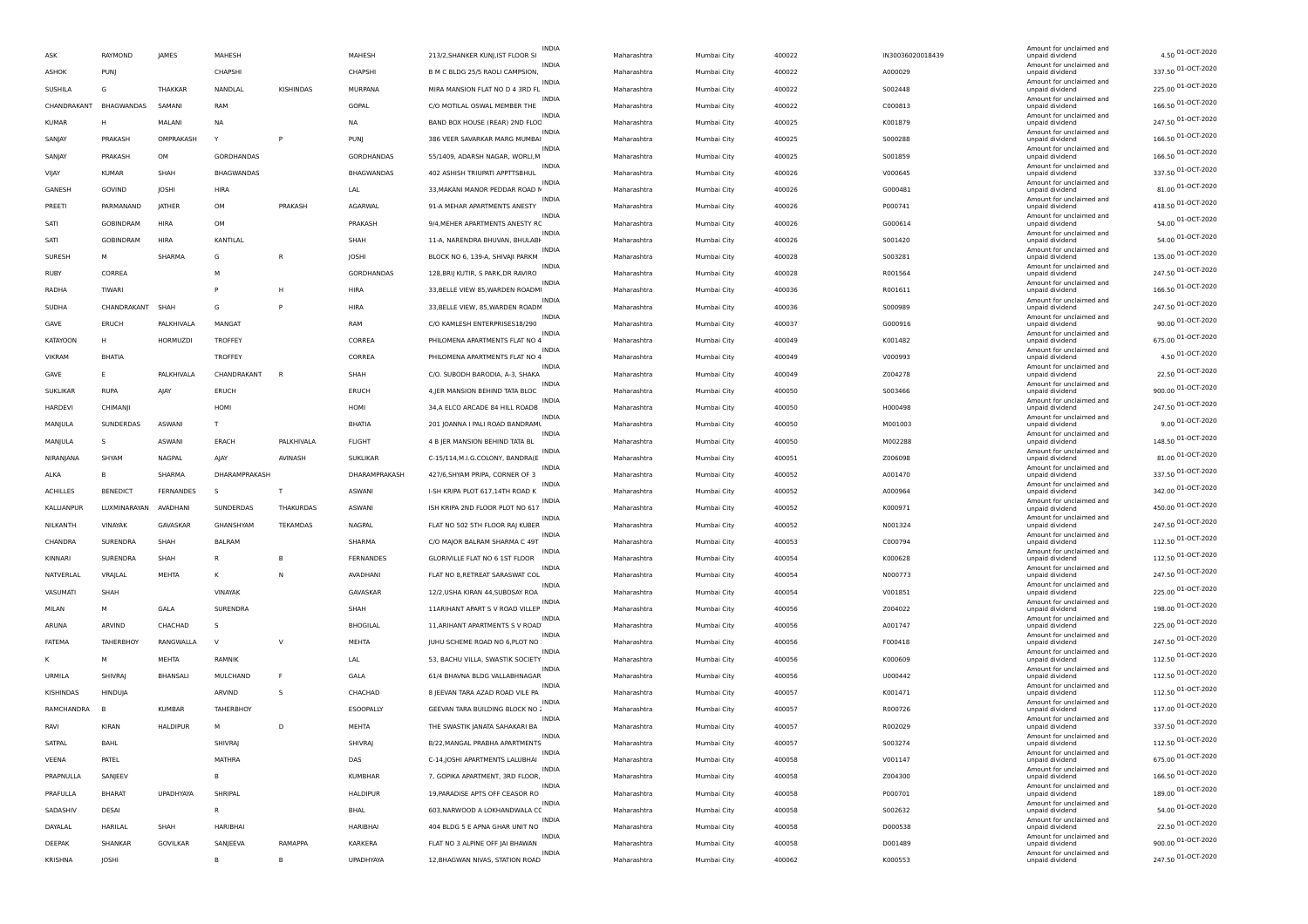| ASK               | RAYMOND          | <b>JAMES</b>    | MAHESH                |              | MAHESH            | INDIA<br>213/2, SHANKER KUNJ, IST FLOOR SI         | Maharashtra | Mumbai City | 400022 | IN30036020018439 | Amount for unclaimed and<br>unpaid dividend | 4.50 01-OCT-2020   |
|-------------------|------------------|-----------------|-----------------------|--------------|-------------------|----------------------------------------------------|-------------|-------------|--------|------------------|---------------------------------------------|--------------------|
| <b>ASHOK</b>      | PUNJ             |                 | CHAPSHI               |              | CHAPSHI           | <b>INDIA</b><br>B M C BLDG 25/5 RAOLI CAMPSION,    | Maharashtra | Mumbai City | 400022 | A000029          | Amount for unclaimed and<br>unpaid dividend | 337.50 01-OCT-2020 |
| SUSHILA           | G                | THAKKAR         | NANDLAL               | KISHINDAS    | MURPANA           | INDIA<br>MIRA MANSION FLAT NO D 4 3RD FL           | Maharashtra | Mumbai City | 400022 | S002448          | Amount for unclaimed and<br>unpaid dividend | 225.00 01-OCT-2020 |
| CHANDRAKANT       | BHAGWANDAS       | SAMANI          | RAM                   |              | GOPAL             | INDIA<br>C/O MOTILAL OSWAL MEMBER THE              | Maharashtra | Mumbai City | 400022 | C000813          | Amount for unclaimed and<br>unpaid dividend | 166.50 01-OCT-2020 |
| <b>KUMAR</b>      | H                | MALANI          | <b>NA</b>             |              | NA                | <b>INDIA</b><br>BAND BOX HOUSE (REAR) 2ND FLOC     | Maharashtra | Mumbai City | 400025 | K001879          | Amount for unclaimed and<br>unpaid dividend | 247.50 01-OCT-2020 |
| SANJAY            | PRAKASH          | OMPRAKASH       |                       | P            | PUNJ              | <b>INDIA</b><br>386 VEER SAVARKAR MARG MUMBAI      | Maharashtra | Mumbai City | 400025 | S000288          | Amount for unclaimed and<br>unpaid dividend | 166.50 01-OCT-2020 |
|                   | PRAKASH          | OM              | GORDHANDAS            |              | <b>GORDHANDAS</b> | <b>INDIA</b><br>55/1409, ADARSH NAGAR, WORLI, M    |             |             | 400025 |                  | Amount for unclaimed and                    | 166.50 01-OCT-2020 |
| SANJAY            | <b>KUMAR</b>     | SHAH            |                       |              |                   | INDIA                                              | Maharashtra | Mumbai City |        | S001859          | unpaid dividend<br>Amount for unclaimed and | 337.50 01-OCT-2020 |
| VIJAY             |                  |                 | BHAGWANDAS            |              | BHAGWANDAS        | 402 ASHISH TRIUPATI APPTTSBHUL<br>INDIA            | Maharashtra | Mumbai City | 400026 | V000645          | unpaid dividend<br>Amount for unclaimed and | 81.00 01-OCT-2020  |
| GANESH            | GOVIND           | JOSHI           | HIRA                  |              | LAL               | 33, MAKANI MANOR PEDDAR ROAD N<br><b>INDIA</b>     | Maharashtra | Mumbai City | 400026 | G000481          | unpaid dividend<br>Amount for unclaimed and | 418.50 01-OCT-2020 |
| PREETI            | PARMANAND        | <b>JATHER</b>   | OM                    | PRAKASH      | AGARWAL           | 91-A MEHAR APARTMENTS ANESTY<br>INDIA              | Maharashtra | Mumbai City | 400026 | P000741          | unpaid dividend<br>Amount for unclaimed and |                    |
| SATI              | GOBINDRAM        | <b>HIRA</b>     | OM                    |              | PRAKASH           | 9/4.MEHER APARTMENTS ANESTY RC<br>INDIA            | Maharashtra | Mumbai City | 400026 | G000614          | unpaid dividend<br>Amount for unclaimed and | 54.00 01-OCT-2020  |
| SATI              | <b>GOBINDRAM</b> | HIRA            | KANTILAL              |              | SHAH              | 11-A, NARENDRA BHUVAN, BHULABH<br>INDIA            | Maharashtra | Mumbai City | 400026 | S001420          | unpaid dividend<br>Amount for unclaimed and | 54.00 01-OCT-2020  |
| SURESH            | M                | SHARMA          | G                     | R            | JOSHI             | BLOCK NO 6, 139-A, SHIVAJI PARKM<br>INDIA          | Maharashtra | Mumbai City | 400028 | 5003281          | unpaid dividend<br>Amount for unclaimed and | 135.00 01-OCT-2020 |
| RUBY              | CORREA           |                 | M                     |              | GORDHANDAS        | 128, BRIJ KUTIR, S PARK, DR RAVIRO<br><b>INDIA</b> | Maharashtra | Mumbai City | 400028 | R001564          | unpaid dividend<br>Amount for unclaimed and | 247.50 01-OCT-2020 |
| RADHA             | TIWARI           |                 |                       | H            | <b>HIRA</b>       | 33, BELLE VIEW 85, WARDEN ROADM<br><b>INDIA</b>    | Maharashtra | Mumbai City | 400036 | R001611          | unpaid dividend<br>Amount for unclaimed and | 166.50 01-OCT-2020 |
| SUDHA             | CHANDRAKANT      | SHAH            | G                     | P            | <b>HIRA</b>       | 33, BELLE VIEW, 85, WARDEN ROADN<br><b>INDIA</b>   | Maharashtra | Mumbai City | 400036 | S000989          | unpaid dividend<br>Amount for unclaimed and | 247.50 01-OCT-2020 |
| GAVE              | ERUCH            | PALKHIVALA      | MANGAT                |              | RAM               | C/O KAMLESH ENTERPRISES18/290                      | Maharashtra | Mumbai City | 400037 | G000916          | unpaid dividend                             | 90.00 01-OCT-2020  |
| <b>KATAYOON</b>   | H                | HORMUZDI        | TROFFEY               |              | CORREA            | INDIA<br>PHILOMENA APARTMENTS FLAT NO 4            | Maharashtra | Mumbai City | 400049 | K001482          | Amount for unclaimed and<br>unpaid dividend | 675.00 01-OCT-2020 |
| VIKRAM            | BHATIA           |                 | <b>TROFFEY</b>        |              | CORREA            | INDIA<br>PHILOMENA APARTMENTS FLAT NO 4            | Maharashtra | Mumbai City | 400049 | V000993          | Amount for unclaimed and<br>unpaid dividend | 4.50 01-OCT-2020   |
| GAVE              | Ε                | PALKHIVALA      | CHANDRAKANT           | $\mathsf{R}$ | SHAH              | <b>INDIA</b><br>C/O. SUBODH BARODIA, A-3, SHAKA    | Maharashtra | Mumbai City | 400049 | Z004278          | Amount for unclaimed and<br>unpaid dividend | 22.50 01-OCT-2020  |
| <b>SUKLIKAR</b>   | <b>RUPA</b>      | AIAY            | ERUCH                 |              | ERUCH             | <b>INDIA</b><br>4, JER MANSION BEHIND TATA BLOC    | Maharashtra | Mumbai City | 400050 | S003466          | Amount for unclaimed and<br>unpaid dividend | 900.00 01-OCT-2020 |
| <b>HARDEVI</b>    | CHIMANII         |                 | HOMI                  |              | HOMI              | <b>INDIA</b><br>34, A ELCO ARCADE 84 HILL ROADB    | Maharashtra | Mumbai City | 400050 | H000498          | Amount for unclaimed and<br>unpaid dividend | 247.50 01-OCT-2020 |
| MANJULA           | SUNDERDAS        | ASWANI          | T                     |              | <b>BHATIA</b>     | INDIA<br>201 JOANNA I PALI ROAD BANDRAML           | Maharashtra | Mumbai City | 400050 | M001003          | Amount for unclaimed and<br>unpaid dividend | 9.00 01-OCT-2020   |
| MANJULA           | s                | ASWANI          | ERACH                 | PALKHIVALA   | FLIGHT            | <b>INDIA</b><br>4 B JER MANSION BEHIND TATA BL     | Maharashtra | Mumbai City | 400050 | M002288          | Amount for unclaimed and<br>unpaid dividend | 148.50 01-OCT-2020 |
|                   |                  |                 |                       |              |                   |                                                    |             |             |        |                  |                                             |                    |
|                   | SHYAM            |                 |                       |              |                   | <b>INDIA</b>                                       |             |             |        |                  | Amount for unclaimed and                    |                    |
| NIRANJANA<br>ALKA | B                | NAGPAL          | AJAY<br>DHARAMPRAKASH | AVINASH      | <b>SUKLIKAR</b>   | C-15/114, M.I.G.COLONY, BANDRA(E<br><b>INDIA</b>   | Maharashtra | Mumbai City | 400051 | Z006098          | unpaid dividend<br>Amount for unclaimed and | 81.00 01-OCT-2020  |
|                   |                  | SHARMA          | -S                    | $\mathsf{T}$ | DHARAMPRAKASH     | 427/6, SHYAM PRIPA, CORNER OF 3<br><b>INDIA</b>    | Maharashtra | Mumbai City | 400052 | A001470          | unpaid dividend<br>Amount for unclaimed and | 337.50 01-OCT-2020 |
| <b>ACHILLES</b>   | <b>BENEDICT</b>  | FERNANDES       |                       |              | ASWANI            | I-SH KRIPA PLOT 617,14TH ROAD K<br>INDIA           | Maharashtra | Mumbai City | 400052 | A000964          | unpaid dividend<br>Amount for unclaimed and | 342.00 01-OCT-2020 |
| KALLIANPUR        | LUXMINARAYAN     | AVADHANI        | SUNDERDAS             | THAKURDAS    | <b>ASWANI</b>     | ISH KRIPA 2ND FLOOR PLOT NO 617<br>INDIA           | Maharashtra | Mumbai City | 400052 | K000971          | unpaid dividend<br>Amount for unclaimed and | 450.00 01-OCT-2020 |
| NILKANTH          | VINAYAK          | GAVASKAR        | GHANSHYAM             | TEKAMDAS     | NAGPAL            | FLAT NO 502 5TH FLOOR RAJ KUBER<br>INDIA           | Maharashtra | Mumbai City | 400052 | N001324          | unpaid dividend<br>Amount for unclaimed and | 247.50 01-OCT-2020 |
| CHANDRA           | SURENDRA         | SHAH            | <b>BALRAM</b>         |              | SHARMA            | C/O MAJOR BALRAM SHARMA C 49T<br><b>INDIA</b>      | Maharashtra | Mumbai City | 400053 | C000794          | unpaid dividend<br>Amount for unclaimed and | 112.50 01-OCT-2020 |
| KINNARI           | SURENDRA         | SHAH            | R                     | B            | FERNANDES         | GLORIVILLE FLAT NO 6 1ST FLOOR<br><b>INDIA</b>     | Maharashtra | Mumbai City | 400054 | K000628          | unpaid dividend<br>Amount for unclaimed and | 112.50 01-OCT-2020 |
| NATVERLAL         | VRAJLAL          | MEHTA           | к                     | N            | AVADHANI          | FLAT NO 8, RETREAT SARASWAT COL<br>INDIA           | Maharashtra | Mumbai City | 400054 | N000773          | unpaid dividend<br>Amount for unclaimed and | 247.50 01-OCT-2020 |
| VASUMATI          | SHAH             |                 | VINAYAK               |              | GAVASKAR          | 12/2, USHA KIRAN 44, SUBOSAY ROA<br>INDIA          | Maharashtra | Mumbai City | 400054 | V001851          | unpaid dividend<br>Amount for unclaimed and | 225.00 01-OCT-2020 |
| MILAN             | м                | GALA            | SURENDRA              |              | SHAH              | 11ARIHANT APART S V ROAD VILLEP<br><b>INDIA</b>    | Maharashtra | Mumbai City | 400056 | Z004022          | unpaid dividend<br>Amount for unclaimed and | 198.00 01-OCT-2020 |
| ARUNA             | ARVIND           | CHACHAD         |                       |              | BHOGILAL          | 11, ARIHANT APARTMENTS S V ROAD<br><b>INDIA</b>    | Maharashtra | Mumbai City | 400056 | A001747          | unpaid dividend<br>Amount for unclaimed and | 225.00 01-OCT-2020 |
| <b>FATEMA</b>     | TAHERBHOY        | RANGWALLA       | $\mathsf{v}$          | $\vee$       | MEHTA             | JUHU SCHEME ROAD NO 6, PLOT NO<br><b>INDIA</b>     | Maharashtra | Mumbai City | 400056 | F000418          | unpaid dividend<br>Amount for unclaimed and | 247.50 01-OCT-2020 |
| к                 | M                | MEHTA           | <b>RAMNIK</b>         |              | LAL               | 53, BACHU VILLA, SWASTIK SOCIETY                   | Maharashtra | Mumbai City | 400056 | K000609          | unpaid dividend                             | 112.50 01-OCT-2020 |
| URMILA            | SHIVRAI          | BHANSALI        | MULCHAND              | F            | GALA              | INDIA<br>61/4 BHAVNA BLDG VALLABHNAGAR             | Maharashtra | Mumbai City | 400056 | U000442          | Amount for unclaimed and<br>unpaid dividend | 112.50 01-OCT-2020 |
| KISHINDAS         | HINDUJA          |                 | ARVIND                | s            | CHACHAD           | INDIA<br>8 JEEVAN TARA AZAD ROAD VILE PA           | Maharashtra | Mumbai City | 400057 | K001471          | Amount for unclaimed and<br>unpaid dividend | 112.50 01-OCT-2020 |
| RAMCHANDRA        | B                | <b>KUMBAR</b>   | TAHERBHOY             |              | ESOOPALLY         | <b>INDIA</b><br>GEEVAN TARA BUILDING BLOCK NO :    | Maharashtra | Mumbai City | 400057 | R000726          | Amount for unclaimed and<br>unpaid dividend | 117.00 01-OCT-2020 |
| RAVI              | KIRAN            | <b>HALDIPUR</b> | M                     | D            | MEHTA             | THE SWASTIK JANATA SAHAKARI BA                     | Maharashtra | Mumbai City | 400057 | R002029          | Amount for unclaimed and<br>unpaid dividend | 337.50 01-OCT-2020 |
| SATPAL            | BAHL             |                 | SHIVRAJ               |              | SHIVRAJ           | <b>INDIA</b><br>B/22, MANGAL PRABHA APARTMENTS     | Maharashtra | Mumbai City | 400057 | S003274          | Amount for unclaimed and<br>unpaid di       | 112.50 01-OCT-2020 |
| VEENA             | PATEL            |                 | MATHRA                |              | DAS               | INDIA<br>C-14, JOSHI APARTMENTS LALUBHAI           | Maharashtra | Mumbai City | 400058 | V001147          | Amount for unclaimed and<br>unpaid dividend | 675.00 01-OCT-2020 |
| PRAPNULLA         | SANJEEV          |                 | в                     |              | KUMBHAR           | INDIA<br>7, GOPIKA APARTMENT, 3RD FLOOR,           | Maharashtra | Mumbai City | 400058 | Z004300          | Amount for unclaimed and<br>unpaid dividend | 166.50 01-OCT-2020 |
| PRAFULLA          | <b>BHARAT</b>    | UPADHYAYA       | SHRIPAL               |              | HALDIPUR          | INDIA<br>19, PARADISE APTS OFF CEASOR RO           | Maharashtra | Mumbai City | 400058 | P000701          | Amount for unclaimed and<br>unpaid dividend | 189.00 01-OCT-2020 |
| SADASHIV          | DESAI            |                 | R                     |              | BHAL              | <b>INDIA</b><br>603, NARWOOD A LOKHANDWALA CC      | Maharashtra | Mumbai City | 400058 | 5002632          | Amount for unclaimed and<br>unpaid dividend | 54.00 01-OCT-2020  |
| DAYALAL           | HARILAL          | SHAH            | HARIBHAI              |              | HARIBHAI          | INDIA<br>404 BLDG 5 E APNA GHAR UNIT NO            | Maharashtra | Mumbai City | 400058 | D000538          | Amount for unclaimed and<br>unpaid dividend | 22.50 01-OCT-2020  |
| DEEPAK            | SHANKAR          | GOVILKAR        | SANJEEVA              | RAMAPPA      | KARKERA           | INDIA<br>FLAT NO 3 ALPINE OFF JAI BHAWAN           | Maharashtra | Mumbai City | 400058 | D001489          | Amount for unclaimed and<br>unpaid dividend | 900.00 01-OCT-2020 |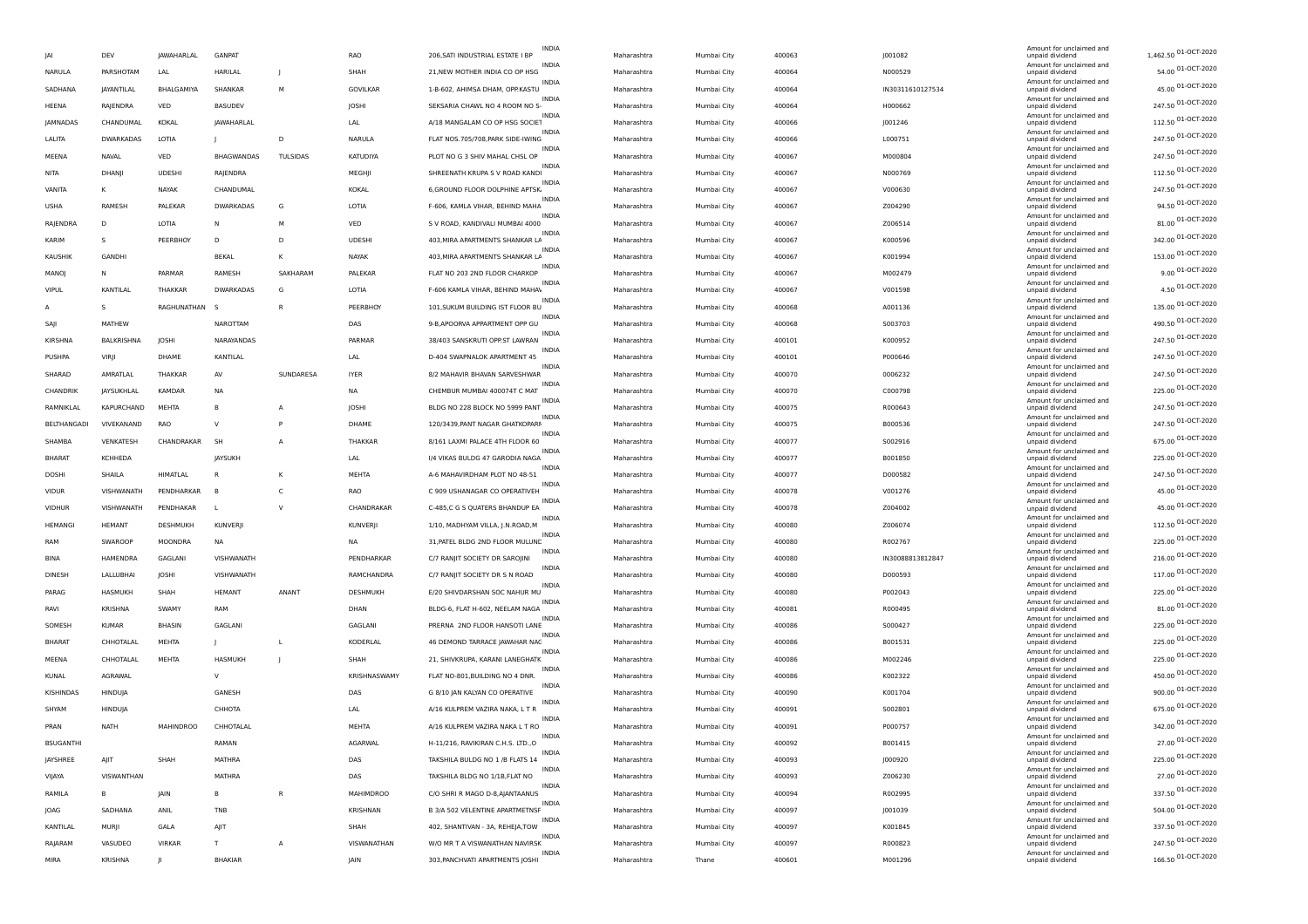|                  |                   |                   |                   |                |                  | <b>INDIA</b>                                      |             |             |        |                  | Amount for unclaimed and                    |                      |
|------------------|-------------------|-------------------|-------------------|----------------|------------------|---------------------------------------------------|-------------|-------------|--------|------------------|---------------------------------------------|----------------------|
| IAI              | DEV               | <b>IAWAHARLAL</b> | <b>GANPAT</b>     |                | RAO              | 206, SATI INDUSTRIAL ESTATE I BP                  | Maharashtra | Mumbai City | 400063 | J001082          | unpaid dividend<br>Amount for unclaimed and | 1,462.50 01-OCT-2020 |
| NARULA           | PARSHOTAM         | LAL               | HARILAL           | $\blacksquare$ | SHAH             | <b>INDIA</b><br>21, NEW MOTHER INDIA CO OP HSG    | Maharashtra | Mumbai City | 400064 | N000529          | unpaid dividend                             | 54.00 01-OCT-2020    |
| SADHANA          | JAYANTILAL        | BHALGAMIYA        | SHANKAR           | M              | GOVILKAR         | <b>INDIA</b><br>1-B-602, AHIMSA DHAM, OPP.KASTU   | Maharashtra | Mumbai City | 400064 | IN30311610127534 | Amount for unclaimed and<br>unpaid dividend | 45.00 01-OCT-2020    |
| HEENA            | RAJENDRA          | VED               | <b>BASUDEV</b>    |                | JOSHI            | <b>INDIA</b><br>SEKSARIA CHAWL NO 4 ROOM NO S-    | Maharashtra | Mumbai City | 400064 | H000662          | Amount for unclaimed and<br>unpaid dividend | 247.50 01-OCT-2020   |
| <b>JAMNADAS</b>  | CHANDUMAL         | KOKAL             | <b>JAWAHARLAL</b> |                | LAL              | INDIA<br>A/18 MANGALAM CO OP HSG SOCIET           | Maharashtra | Mumbai City | 400066 | J001246          | Amount for unclaimed and<br>unpaid dividend | 112.50 01-OCT-2020   |
| LALITA           | <b>DWARKADAS</b>  | LOTIA             |                   | D              | NARULA           | <b>INDIA</b><br>FLAT NOS.705/708, PARK SIDE-IWING | Maharashtra | Mumbai City | 400066 | L000751          | Amount for unclaimed and<br>unpaid dividend | 247.50 01-OCT-2020   |
| MEENA            | NAVAL             | VED               | BHAGWANDAS        | TULSIDAS       | KATUDIYA         | <b>INDIA</b><br>PLOT NO G 3 SHIV MAHAL CHSL OP    | Maharashtra | Mumbai City | 400067 | M000804          | Amount for unclaimed and<br>unpaid dividend | 247.50 01-OCT-2020   |
| NITA             | DHANJI            | <b>UDESHI</b>     | RAJENDRA          |                | MEGHJI           | <b>INDIA</b><br>SHREENATH KRUPA S V ROAD KANDI    | Maharashtra | Mumbai City | 400067 | N000769          | Amount for unclaimed and<br>unpaid dividend | 112.50 01-OCT-2020   |
| VANITA           | K                 | NAYAK             | CHANDUMAL         |                | KOKAL            | <b>INDIA</b><br>6, GROUND FLOOR DOLPHINE APTSK    | Maharashtra | Mumbai City | 400067 | V000630          | Amount for unclaimed and<br>unpaid dividend | 247.50 01-OCT-2020   |
| <b>USHA</b>      | RAMESH            | PALEKAR           | DWARKADAS         | G              | LOTIA            | INDIA<br>F-606, KAMLA VIHAR, BEHIND MAHA          | Maharashtra | Mumbai City | 400067 | Z004290          | Amount for unclaimed and<br>unpaid dividend | 94.50 01-OCT-2020    |
| RAJENDRA         | D                 | LOTIA             | N                 | M              | VED              | <b>INDIA</b><br>S V ROAD, KANDIVALI MUMBAI 4000   | Maharashtra | Mumbai City | 400067 | Z006514          | Amount for unclaimed and<br>unpaid dividend | 81.00 01-OCT-2020    |
| KARIM            | s                 | PEERBHOY          | D                 | D              | <b>UDESHI</b>    | <b>INDIA</b><br>403, MIRA APARTMENTS SHANKAR LA   | Maharashtra | Mumbai City | 400067 | K000596          | Amount for unclaimed and<br>unpaid dividend | 342.00 01-OCT-2020   |
| KAUSHIK          | <b>GANDHI</b>     |                   | <b>BEKAL</b>      | K              | NAYAK            | <b>INDIA</b><br>403, MIRA APARTMENTS SHANKAR LA   | Maharashtra | Mumbai City | 400067 | K001994          | Amount for unclaimed and<br>unpaid dividend | 153.00 01-OCT-2020   |
| MANOJ            | N                 | PARMAR            | RAMESH            | SAKHARAM       | PALEKAR          | <b>INDIA</b><br>FLAT NO 203 2ND FLOOR CHARKOP     | Maharashtra | Mumbai City | 400067 | M002479          | Amount for unclaimed and<br>unpaid dividend | 9.00 01-OCT-2020     |
|                  |                   |                   |                   | G              |                  | INDIA                                             |             |             |        |                  | Amount for unclaimed and                    | 4.50 01-OCT-2020     |
| <b>VIPUL</b>     | KANTILAL          | THAKKAR           | <b>DWARKADAS</b>  |                | LOTIA            | F-606 KAMLA VIHAR, BEHIND MAHA\<br><b>INDIA</b>   | Maharashtra | Mumbai City | 400067 | V001598          | unpaid dividend<br>Amount for unclaimed and | 135.00 01-OCT-2020   |
| А                | s                 | RAGHUNATHAN S     |                   | R              | PEERBHOY         | 101, SUKUM BUILDING IST FLOOR BU<br><b>INDIA</b>  | Maharashtra | Mumbai City | 400068 | A001136          | unpaid dividend<br>Amount for unclaimed and | 490.50 01-OCT-2020   |
| SAII             | MATHEW            |                   | NAROTTAM          |                | DAS              | 9-B.APOORVA APPARTMENT OPP GU<br><b>INDIA</b>     | Maharashtra | Mumbai City | 400068 | S003703          | unpaid dividend<br>Amount for unclaimed and | 247.50 01-OCT-2020   |
| KIRSHNA          | BALKRISHNA        | JOSHI             | NARAYANDAS        |                | PARMAR           | 38/403 SANSKRUTI OPP.ST LAWRAN<br><b>INDIA</b>    | Maharashtra | Mumbai City | 400101 | K000952          | unpaid dividend<br>Amount for unclaimed and |                      |
| PUSHPA           | VIRJI             | DHAME             | KANTILAL          |                | LAL              | D-404 SWAPNALOK APARTMENT 45<br>INDIA             | Maharashtra | Mumbai City | 400101 | P000646          | unpaid dividend<br>Amount for unclaimed and | 247.50 01-OCT-2020   |
| SHARAD           | AMRATLAL          | THAKKAR           | AV                | SUNDARESA      | <b>IYER</b>      | 8/2 MAHAVIR BHAVAN SARVESHWAR<br><b>INDIA</b>     | Maharashtra | Mumbai City | 400070 | 0006232          | unpaid dividend<br>Amount for unclaimed and | 247.50 01-OCT-2020   |
| CHANDRIK         | <b>JAYSUKHLAI</b> | <b>KAMDAR</b>     | <b>NA</b>         |                | ΝA               | CHEMBUR MUMBAI 400074T C MAT<br><b>INDIA</b>      | Maharashtra | Mumbai City | 400070 | C000798          | unpaid dividend<br>Amount for unclaimed and | 225.00 01-OCT-2020   |
| RAMNIKLAL        | <b>KAPURCHAND</b> | MEHTA             |                   |                | JOSHI            | BLDG NO 228 BLOCK NO 5999 PANT<br><b>INDIA</b>    | Maharashtra | Mumbai City | 400075 | R000643          | unpaid dividend<br>Amount for unclaimed and | 247.50 01-OCT-2020   |
| BELTHANGADI      | VIVEKANAND        | <b>RAO</b>        | $\mathbf{v}$      | P              | DHAME            | 120/3439, PANT NAGAR GHATKOPARI<br><b>INDIA</b>   | Maharashtra | Mumbai City | 400075 | B000536          | unpaid dividend                             | 247.50 01-OCT-2020   |
| SHAMBA           | VENKATESH         | CHANDRAKAR        | <b>SH</b>         | $\overline{A}$ | <b>THAKKAR</b>   | 8/161 LAXMI PALACE 4TH FLOOR 60                   | Maharashtra | Mumbai City | 400077 | S002916          | Amount for unclaimed and<br>unpaid dividend | 675.00 01-OCT-2020   |
| <b>BHARAT</b>    | <b>KCHHEDA</b>    |                   | <b>JAYSUKH</b>    |                | LAL              | INDIA<br>I/4 VIKAS BULDG 47 GARODIA NAGA          | Maharashtra | Mumbai City | 400077 | B001850          | Amount for unclaimed and<br>unpaid dividend | 225.00 01-OCT-2020   |
| DOSHI            | SHAILA            | HIMATLAL          | R                 | K              | MEHTA            | <b>INDIA</b><br>A-6 MAHAVIRDHAM PLOT NO 48-51     | Maharashtra | Mumbai City | 400077 | D000582          | Amount for unclaimed and<br>unpaid dividend | 247.50 01-OCT-2020   |
| <b>VIDUR</b>     | VISHWANATH        | PENDHARKAR        |                   | C              | RAO              | <b>INDIA</b><br>C 909 USHANAGAR CO OPERATIVEH     | Maharashtra | Mumbai City | 400078 | V001276          | Amount for unclaimed and<br>unpaid dividend | 45.00 01-OCT-2020    |
| <b>VIDHUR</b>    | VISHWANATH        | PENDHAKAR         |                   | <sup>V</sup>   | CHANDRAKAR       | <b>INDIA</b><br>C-485,C G S QUATERS BHANDUP EA    | Maharashtra | Mumbai City | 400078 | Z004002          | Amount for unclaimed and<br>unpaid dividend | 45.00 01-OCT-2020    |
| <b>HEMANGI</b>   | <b>HEMANT</b>     | DESHMUKH          | KUNVERJI          |                | KUNVERJI         | <b>INDIA</b><br>1/10, MADHYAM VILLA, J.N.ROAD,M   | Maharashtra | Mumbai City | 400080 | Z006074          | Amount for unclaimed and<br>unpaid dividend | 112.50 01-OCT-2020   |
| RAM              | SWAROOP           | MOONDRA           | <b>NA</b>         |                | <b>NA</b>        | INDIA<br>31, PATEL BLDG 2ND FLOOR MULUNE          | Maharashtra | Mumbai City | 400080 | R002767          | Amount for unclaimed and<br>unpaid dividend | 225.00 01-OCT-2020   |
| BINA             | HAMENDRA          | GAGLANI           | VISHWANATH        |                | PENDHARKAR       | <b>INDIA</b><br>C/7 RANJIT SOCIETY DR SAROJINI    | Maharashtra | Mumbai City | 400080 | IN30088813812847 | Amount for unclaimed and<br>unpaid dividend | 216.00 01-OCT-2020   |
| <b>DINESH</b>    | <b>LALLUBHAI</b>  | JOSHI             | VISHWANATH        |                | RAMCHANDRA       | <b>INDIA</b><br>C/7 RANIIT SOCIETY DR S N ROAD    | Maharashtra | Mumbai City | 400080 | D000593          | Amount for unclaimed and<br>unpaid dividend | 117.00 01-OCT-2020   |
| PARAG            | HASMUKH           | SHAH              | <b>HEMANT</b>     | ANANT          | DESHMUKH         | <b>INDIA</b><br>E/20 SHIVDARSHAN SOC NAHUR MU     | Maharashtra | Mumbai City | 400080 | P002043          | Amount for unclaimed and<br>unpaid dividend | 225.00 01-OCT-2020   |
| RAVI             | <b>KRISHNA</b>    | SWAMY             | RAM               |                | DHAN             | <b>INDIA</b><br>BLDG-6, FLAT H-602, NEELAM NAGA   | Maharashtra | Mumbai City | 400081 | R000495          | Amount for unclaimed and<br>unpaid dividend | 81.00 01-OCT-2020    |
| SOMESH           | <b>KUMAR</b>      | <b>BHASIN</b>     | GAGLANI           |                | GAGLANI          | INDIA<br>PRERNA 2ND FLOOR HANSOTI LANE            | Maharashtra | Mumbai City | 400086 | S000427          | Amount for unclaimed and<br>unpaid dividend | 225.00 01-OCT-2020   |
| <b>BHARAT</b>    | CHHOTALAL         | MEHTA             |                   | $\mathbf{I}$   | KODERLAL         | <b>INDIA</b><br>46 DEMOND TARRACE JAWAHAR NAC     | Maharashtra | Mumbai City | 400086 | B001531          | Amount for unclaimed and<br>unpaid dividend | 225.00 01-OCT-2020   |
| MEENA            | CHHOTALAL         | MEHTA             | HASMUKH           |                | SHAH             | <b>INDIA</b><br>21, SHIVKRUPA, KARANI LANEGHATK   | Maharashtra | Mumbai City | 400086 | M002246          | Amount for unclaimed and<br>unpaid dividend | 225.00 01-OCT-2020   |
| KUNAL            | AGRAWAL           |                   | $\vee$            |                | KRISHNASWAMY     | <b>INDIA</b><br>FLAT NO-801, BUILDING NO 4 DNR.   | Maharashtra | Mumbai City | 400086 | K002322          | Amount for unclaimed and<br>unpaid dividend | 450.00 01-OCT-2020   |
| KISHINDAS        | HINDUJA           |                   | GANESH            |                | DAS              | INDIA<br>G 8/10 JAN KALYAN CO OPERATIVE           | Maharashtra | Mumbai City | 400090 | K001704          | Amount for unclaimed and<br>unpaid dividend | 900.00 01-OCT-2020   |
| SHYAM            | HINDUJA           |                   | CHHOTA            |                | LAL              | INDIA<br>A/16 KULPREM VAZIRA NAKA, L T R          | Maharashtra | Mumbai City | 400091 | S002801          | Amount for unclaimed and<br>unpaid dividend | 675.00 01-OCT-2020   |
| PRAN             |                   | MAHINDROO         |                   |                |                  | <b>INDIA</b>                                      |             |             |        |                  | Amount for unclaimed and                    | 342.00 01-OCT-2020   |
|                  | <b>NATH</b>       |                   | CHHOTALAL         |                | MEHTA            | A/16 KULPREM VAZIRA NAKA L T RO<br>INDIA          | Maharashtra | Mumbai City | 400091 | P000757          | unpaid dividend<br>Amount for unclaimed and | 27.00 01-OCT-2020    |
| <b>BSUGANTHI</b> |                   |                   | RAMAN             |                | AGARWAL          | H-11/216, RAVIKIRAN C.H.S. LTD.,O<br><b>INDIA</b> | Maharashtra | Mumbai City | 400092 | B001415          | unpaid dividend<br>Amount for unclaimed and | 225.00 01-OCT-2020   |
| JAYSHREE         | AJIT              | SHAH              | MATHRA            |                | DAS              | TAKSHILA BULDG NO 1 /B FLATS 14<br>INDIA          | Maharashtra | Mumbai City | 400093 | J000920          | unpaid dividend<br>Amount for unclaimed and | 27.00 01-OCT-2020    |
| VIJAYA           | VISWANTHAN        |                   | MATHRA            |                | DAS              | TAKSHILA BLDG NO 1/1B, FLAT NO<br>INDIA           | Maharashtra | Mumbai City | 400093 | Z006230          | unpaid dividend<br>Amount for unclaimed and |                      |
| RAMILA           | B                 | <b>JAIN</b>       | B                 | $\mathsf{R}$   | <b>MAHIMDROO</b> | C/O SHRI R MAGO D-8.AIANTAANUS<br>INDIA           | Maharashtra | Mumbai City | 400094 | R002995          | unpaid dividend<br>Amount for unclaimed and | 337.50 01-OCT-2020   |
| JOAG             | SADHANA           | ANIL              | TNB               |                | KRISHNAN         | B 3/A 502 VELENTINE APARTMETNSF<br><b>INDIA</b>   | Maharashtra | Mumbai City | 400097 | J001039          | unpaid dividend<br>Amount for unclaimed and | 504.00 01-OCT-2020   |
| KANTILAL         | MURJI             | GALA              | AJIT              |                | SHAH             | 402, SHANTIVAN - 3A, REHEJA, TOW<br><b>INDIA</b>  | Maharashtra | Mumbai City | 400097 | K001845          | unpaid dividend<br>Amount for unclaimed and | 337.50 01-OCT-2020   |
| RAJARAM          | VASUDEO           | VIRKAR            | T                 | Α              | VISWANATHAN      | W/O MR T A VISWANATHAN NAVIRSK<br>INDIA           | Maharashtra | Mumbai City | 400097 | R000823          | unpaid dividend<br>Amount for unclaimed and | 247.50 01-OCT-2020   |
| MIRA             | KRISHNA           |                   | <b>BHAKIAR</b>    |                | JAIN             | 303, PANCHVATI APARTMENTS JOSHI                   | Maharashtra | Thane       | 400601 | M001296          | unpaid dividend                             | 166.50 01-OCT-2020   |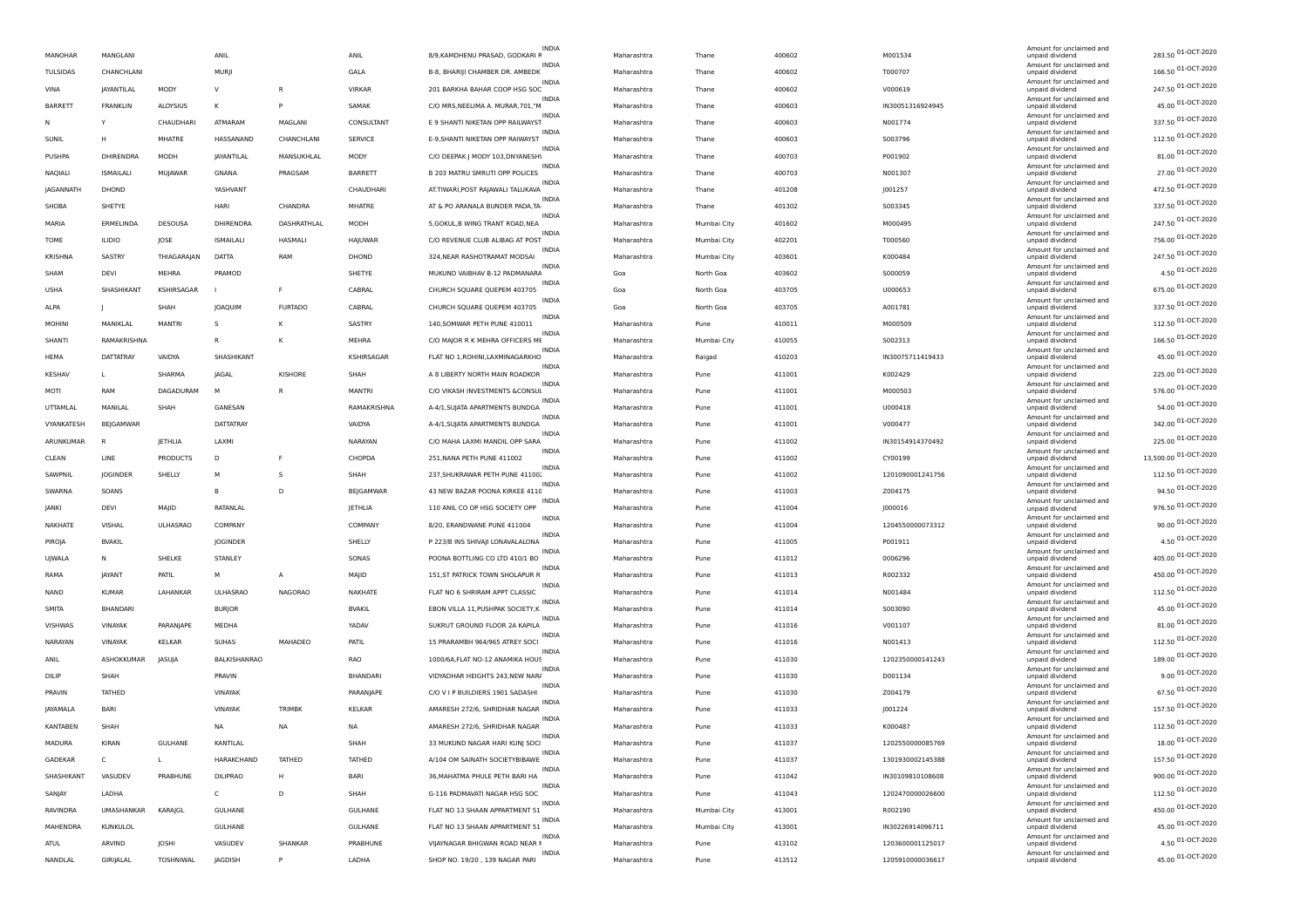|                 |                  |                 |                  |                |                | <b>INDIA</b>                                       |             |             |        |                  | Amount for unclaimed and                    |                       |
|-----------------|------------------|-----------------|------------------|----------------|----------------|----------------------------------------------------|-------------|-------------|--------|------------------|---------------------------------------------|-----------------------|
| <b>MANOHAR</b>  | MANGLANI         |                 | ANIL             |                | ANIL           | 8/9, KAMDHENU PRASAD, GODKARI F                    | Maharashtra | Thane       | 400602 | M001534          | unpaid dividend                             | 283.50 01-OCT-2020    |
| TULSIDAS        | CHANCHLANI       |                 | MURJI            |                | GALA           | <b>INDIA</b><br>B-8, BHARIJI CHAMBER DR. AMBEDK    | Maharashtra | Thane       | 400602 | T000707          | Amount for unclaimed and<br>unpaid dividend | 166.50 01-OCT-2020    |
| VINA            | JAYANTILAL       | MODY            | $\vee$           | R              | VIRKAR         | INDI/<br>201 BARKHA BAHAR COOP HSG SOC             | Maharashtra | Thane       | 400602 | V000619          | Amount for unclaimed and<br>unpaid dividend | 247.50 01-OCT-2020    |
| BARRETT         | <b>FRANKLIN</b>  | ALOYSIUS        | к                | P              | SAMAK          | <b>INDIA</b><br>C/O MRS, NEELIMA A. MURAR, 701, "M | Maharashtra | Thane       | 400603 | IN30051316924945 | Amount for unclaimed and<br>unpaid dividend | 45.00 01-OCT-2020     |
| N               | Y                | CHAUDHARI       | ATMARAM          | MAGLANI        | CONSULTANT     | INDIA<br>E 9 SHANTI NIKETAN OPP RAILWAYST          | Maharashtra | Thane       | 400603 | N001774          | Amount for unclaimed and<br>unpaid dividend | 337.50 01-OCT-2020    |
| SUNIL           | н                | MHATRE          | HASSANAND        | CHANCHLANI     | <b>SERVICE</b> | <b>INDIA</b><br>E-9, SHANTI NIKETAN OPP RAIWAYST   | Maharashtra | Thane       | 400603 | S003796          | Amount for unclaimed and<br>unpaid dividend | 112.50 01-OCT-2020    |
| PUSHPA          | DHIRENDRA        | MODH            | JAYANTILAL       | MANSUKHLAL     | MODY           | <b>INDIA</b><br>C/O DEEPAK J MODY 103, DNYANESHI   | Maharashtra | Thane       | 400703 | P001902          | Amount for unclaimed and<br>unpaid dividend | 81.00 01-OCT-2020     |
| NAQIALI         | <b>ISMAILALI</b> | MUJAWAR         | GNANA            | PRAGSAM        | BARRETT        | <b>INDIA</b><br>B 203 MATRU SMRUTI OPP POLICES     | Maharashtra | Thane       | 400703 | N001307          | Amount for unclaimed and<br>unpaid dividend | 27.00 01-OCT-2020     |
| JAGANNATH       | DHOND            |                 | YASHVANT         |                | CHAUDHARI      | <b>INDIA</b><br>AT.TIWARI, POST RAJAWALI TALUKAVA  | Maharashtra | Thane       | 401208 | J001257          | Amount for unclaimed and<br>unpaid dividend | 472.50 01-OCT-2020    |
| SHOBA           | SHETYE           |                 | HARI             | CHANDRA        | MHATRE         | INDIA<br>AT & PO ARANALA BUNDER PADA.TA            | Maharashtra | Thane       | 401302 | S003345          | Amount for unclaimed and<br>unpaid dividend | 337.50 01-OCT-2020    |
| MARIA           | ERMELINDA        | DESOUSA         | DHIRENDRA        | DASHRATHLAL    | MODH           | <b>INDIA</b><br>5, GOKUL, B WING TRANT ROAD, NEA   | Maharashtra | Mumbai City | 401602 | M000495          | Amount for unclaimed and                    | 247.50 01-OCT-2020    |
|                 |                  |                 |                  |                |                | <b>INDIA</b>                                       |             |             |        |                  | unpaid dividend<br>Amount for unclaimed and | 756.00 01-OCT-2020    |
| TOME            | <b>ILIDIO</b>    | JOSE            | <b>ISMAILALI</b> | HASMALI        | HAJUWAR        | C/O REVENUE CLUB ALIBAG AT POST<br><b>INDIA</b>    | Maharashtra | Mumbai City | 402201 | T000560          | unpaid dividend<br>Amount for unclaimed and | 247.50 01-OCT-2020    |
| KRISHNA         | SASTRY           | THIAGARAJAN     | DATTA            | RAM            | DHOND          | 324, NEAR RASHOTRAMAT MODSAI<br><b>INDIA</b>       | Maharashtra | Mumbai City | 403601 | K000484          | unpaid dividend<br>Amount for unclaimed and | 4.50 01-OCT-2020      |
| SHAM            | <b>DEVI</b>      | MEHRA           | PRAMOD           |                | SHETYE         | MUKUND VAIBHAV B-12 PADMANARA<br>INDIA             | Goa         | North Goa   | 403602 | S000059          | unpaid dividend<br>Amount for unclaimed and |                       |
| <b>USHA</b>     | SHASHIKANT       | KSHIRSAGAR      |                  | F.             | CABRAL         | CHURCH SQUARE QUEPEM 403705<br><b>INDIA</b>        | Goa         | North Goa   | 403705 | U000653          | unpaid dividend<br>Amount for unclaimed and | 675.00 01-OCT-2020    |
| ALPA            |                  | SHAH            | JOAQUIM          | <b>FURTADO</b> | CABRAL         | CHURCH SQUARE QUEPEM 403705<br><b>INDIA</b>        | Goa         | North Goa   | 403705 | A001781          | unpaid dividend<br>Amount for unclaimed and | 337.50 01-OCT-2020    |
| MOHINI          | MANIKLAL         | <b>MANTR</b>    | -S               | K              | SASTRY         | 140, SOMWAR PETH PUNE 410011<br><b>INDIA</b>       | Maharashtra | Pune        | 410011 | M000509          | unpaid dividend<br>Amount for unclaimed and | 112.50 01-OCT-2020    |
| SHANTI          | RAMAKRISHNA      |                 | $\mathsf R$      | к              | MEHRA          | C/O MAJOR R K MEHRA OFFICERS ME                    | Maharashtra | Mumbai City | 410055 | S002313          | unpaid dividend                             | 166.50 01-OCT-2020    |
| HEMA            | <b>DATTATRAY</b> | VAIDYA          | SHASHIKANT       |                | KSHIRSAGAR     | <b>INDIA</b><br>FLAT NO 1, ROHINI, LAXMINAGARKHO   | Maharashtra | Raigad      | 410203 | IN30075711419433 | Amount for unclaimed and<br>unpaid dividend | 45.00 01-OCT-2020     |
| <b>KESHAV</b>   | L                | SHARMA          | <b>IAGAL</b>     | KISHORE        | SHAH           | INDIA<br>A 8 LIBERTY NORTH MAIN ROADKOR            | Maharashtra | Pune        | 411001 | K002429          | Amount for unclaimed and<br>unpaid dividend | 225.00 01-OCT-2020    |
| MOTI            | RAM              | DAGADURAM       |                  | R              | <b>MANTRI</b>  | <b>INDIA</b><br>C/O VIKASH INVESTMENTS &CONSUL     | Maharashtra | Pune        | 411001 | M000503          | Amount for unclaimed and<br>unpaid dividend | 576.00 01-OCT-2020    |
| UTTAMLAL        | MANILAL          | SHAH            | GANESAN          |                | RAMAKRISHNA    | <b>INDIA</b><br>A-4/1, SUJATA APARTMENTS BUNDGA    | Maharashtra | Pune        | 411001 | U000418          | Amount for unclaimed and<br>unpaid dividend | 54.00 01-OCT-2020     |
| VYANKATESH      | BEJGAMWAR        |                 | DATTATRAY        |                | VAIDYA         | <b>INDIA</b><br>A-4/1, SUJATA APARTMENTS BUNDGA    | Maharashtra | Pune        | 411001 | V000477          | Amount for unclaimed and<br>unpaid dividend | 342.00 01-OCT-2020    |
| ARUNKUMAR       | B                | <b>IETHLIA</b>  | LAXM             |                | NARAYAN        | <b>INDIA</b><br>C/O MAHA LAXMI MANDIL OPP SARA     | Maharashtra | Pune        | 411002 | IN30154914370492 | Amount for unclaimed and<br>unpaid dividend | 225.00 01-OCT-2020    |
| CLEAN           | LINE             | <b>PRODUCTS</b> | D                |                | CHOPDA         | <b>INDIA</b><br>251, NANA PETH PUNE 411002         | Maharashtra | Pune        | 411002 | CY00199          | Amount for unclaimed and<br>unpaid dividend | 13,500.00 01-OCT-2020 |
| SAWPNIL         | JOGINDER         | SHELLY          | M                | s              | SHAH           | <b>INDIA</b><br>237, SHUKRAWAR PETH PUNE 41100.    | Maharashtra | Pune        | 411002 | 1201090001241756 | Amount for unclaimed and<br>unpaid dividend | 112.50 01-OCT-2020    |
| SWARNA          | SOANS            |                 |                  | D              | BEJGAMWAR      | <b>INDIA</b><br>43 NEW BAZAR POONA KIRKEE 4110     | Maharashtra | Pune        | 411003 | Z004175          | Amount for unclaimed and<br>unpaid dividend | 94.50 01-OCT-2020     |
| JANKI           | DEVI             | MAJID           | RATANLAL         |                | JETHLIA        | <b>INDIA</b><br>110 ANIL CO OP HSG SOCIETY OPP     | Maharashtra | Pune        | 411004 | J000016          | Amount for unclaimed and<br>unpaid dividend | 976.50 01-OCT-2020    |
|                 |                  |                 | COMPANY          |                | COMPANY        | <b>INDIA</b><br>8/20, ERANDWANE PUNE 411004        |             |             |        |                  | Amount for unclaimed and                    | 90.00 01-OCT-2020     |
| NAKHATE         | VISHAL           | <b>ULHASRAO</b> |                  |                |                | INDIA                                              | Maharashtra | Pune        | 411004 | 1204550000073312 | unpaid dividend<br>Amount for unclaimed and | 4.50 01-OCT-2020      |
| PIROJA          | <b>BVAKIL</b>    |                 | <b>JOGINDER</b>  |                | SHELLY         | P 223/B INS SHIVAII LONAVALALONA<br><b>INDIA</b>   | Maharashtra | Pune        | 411005 | P001911          | unpaid dividend<br>Amount for unclaimed and | 405.00 01-OCT-2020    |
| UJWALA          | Ν                | SHELKE          | STANLEY          |                | SONAS          | POONA BOTTLING CO LTD 410/1 BO<br><b>INDIA</b>     | Maharashtra | Pune        | 411012 | 0006296          | unpaid dividend<br>Amount for unclaimed and | 450.00 01-OCT-2020    |
| RAMA            | <b>IAYANT</b>    | PATIL           | M                | Α              | MAJID          | 151, ST PATRICK TOWN SHOLAPUR R<br><b>INDIA</b>    | Maharashtra | Pune        | 411013 | R002332          | unpaid dividend<br>Amount for unclaimed and |                       |
| NAND            | <b>KUMAR</b>     | LAHANKAR        | <b>ULHASRAO</b>  | NAGORAO        | NAKHATE        | FLAT NO 6 SHRIRAM APPT CLASSIC<br><b>INDIA</b>     | Maharashtra | Pune        | 411014 | N001484          | unpaid dividend<br>Amount for unclaimed and | 112.50 01-OCT-2020    |
| <b>SMITA</b>    | <b>BHANDAR</b>   |                 | <b>BURJOR</b>    |                | <b>BVAKIL</b>  | EBON VILLA 11, PUSHPAK SOCIETY, K<br><b>INDIA</b>  | Maharashtra | Pune        | 411014 | 5003090          | unpaid dividend<br>Amount for unclaimed and | 45.00 01-OCT-2020     |
| VISHWAS         | VINAYAK          | PARANJAPE       | MEDHA            |                | YADAV          | SUKRUT GROUND FLOOR 2A KAPILA<br><b>INDIA</b>      | Maharashtra | Pune        | 411016 | V001107          | unpaid dividend<br>Amount for unclaimed and | 81.00 01-OCT-2020     |
| NARAYAN         | VINAYAK          | <b>KELKAR</b>   | SUHAS            | MAHADEO        | PATIL          | 15 PRARAMBH 964/965 ATREY SOCI                     | Maharashtra | Pune        | 411016 | N001413          | unpaid dividend                             | 112.50 01-OCT-2020    |
| ANIL            | ASHOKKUMAR       | JASUJA          | BALKISHANRAO     |                | RAO            | <b>INDIA</b><br>1000/6A, FLAT NO-12 ANAMIKA HOUS   | Maharashtra | Pune        | 411030 | 1202350000141243 | Amount for unclaimed and<br>unpaid dividend | 189.00 01-OCT-2020    |
| DILIP           | SHAH             |                 | PRAVIN           |                | BHANDARI       | <b>INDIA</b><br>VIDYADHAR HEIGHTS 243, NEW NARJ    | Maharashtra | Pune        | 411030 | D001134          | Amount for unclaimed and<br>unpaid dividend | 9.00 01-OCT-2020      |
| PRAVIN          | <b>TATHED</b>    |                 | VINAYAK          |                | PARANJAPE      | <b>INDIA</b><br>C/O V I P BUILDIERS 1901 SADASHI   | Maharashtra | Pune        | 411030 | Z004179          | Amount for unclaimed and<br>unpaid dividend | 67.50 01-OCT-2020     |
| <b>JAYAMALA</b> | <b>BARI</b>      |                 | VINAYAK          | TRIMBK         | KELKAR         | INDIA<br>AMARESH 272/6, SHRIDHAR NAGAR             | Maharashtra | Pune        | 411033 | J001224          | Amount for unclaimed and<br>unpaid dividend | 157.50 01-OCT-2020    |
| <b>KANTABEN</b> | SHAH             |                 | <b>NA</b>        | <b>NA</b>      | <b>NA</b>      | <b>INDIA</b><br>AMARESH 272/6, SHRIDHAR NAGAR      | Maharashtra | Pune        | 411033 | K000487          | Amount for unclaimed and<br>unpaid dividend | 112.50 01-OCT-2020    |
| MADURA          | KIRAN            | GULHANE         | KANTILAL         |                | SHAH           | INDIA<br>33 MUKUND NAGAR HARI KUNJ SOCI            | Maharashtra | Pune        | 411037 | 1202550000085769 | Amount for unclaimed and<br>unpaid dividend | 18.00 01-OCT-2020     |
| GADEKAR         | C                | Г               | HARAKCHAND       | TATHED         | TATHED         | <b>INDIA</b><br>A/104 OM SAINATH SOCIETYBIBAWE     | Maharashtra | Pune        | 411037 | 1301930002145388 | Amount for unclaimed and<br>unpaid dividend | 157.50 01-OCT-2020    |
| SHASHIKANT      | VASUDEV          | PRABHUNE        | <b>DILIPRAO</b>  | H              | BARI           | INDIA<br>36, MAHATMA PHULE PETH BARI HA            | Maharashtra | Pune        | 411042 | IN30109810108608 | Amount for unclaimed and<br>unpaid dividend | 900.00 01-OCT-2020    |
| SANJAY          | LADHA            |                 | $\mathsf{C}$     | D              | SHAH           | INDIA<br>G-116 PADMAVATI NAGAR HSG SOC             | Maharashtra | Pune        | 411043 | 1202470000026600 | Amount for unclaimed and<br>unpaid dividend | 112.50 01-OCT-2020    |
| RAVINDRA        | UMASHANKAR       | KARAJGL         | <b>GULHANE</b>   |                | <b>GULHANE</b> | <b>INDIA</b><br>FLAT NO 13 SHAAN APPARTMENT 51     | Maharashtra | Mumbai City | 413001 | R002190          | Amount for unclaimed and                    | 450.00 01-OCT-2020    |
|                 |                  |                 |                  |                |                | <b>INDIA</b>                                       |             |             |        |                  | unpaid dividend<br>Amount for unclaimed and | 45.00 01-OCT-2020     |
| MAHENDRA        | <b>KUNKULOL</b>  |                 | GULHANE          |                | <b>GULHANE</b> | FLAT NO 13 SHAAN APPARTMENT 51<br><b>INDIA</b>     | Maharashtra | Mumbai City | 413001 | IN30226914096711 | unpaid dividend<br>Amount for unclaimed and | 4.50 01-OCT-2020      |
| ATUL            | ARVIND           | JOSHI           | VASUDEV          | SHANKAR        | PRABHUNE       | VIJAYNAGAR BHIGWAN ROAD NEAR I<br>INDIA            | Maharashtra | Pune        | 413102 | 1203600001125017 | unpaid dividend<br>Amount for unclaimed and | 45.00 01-OCT-2020     |
| NANDLAL         | GIRIJALAL        | TOSHNIWAL       | JAGDISH          | P              | LADHA          | SHOP NO. 19/20, 139 NAGAR PARI                     | Maharashtra | Pune        | 413512 | 1205910000036617 | unpaid dividend                             |                       |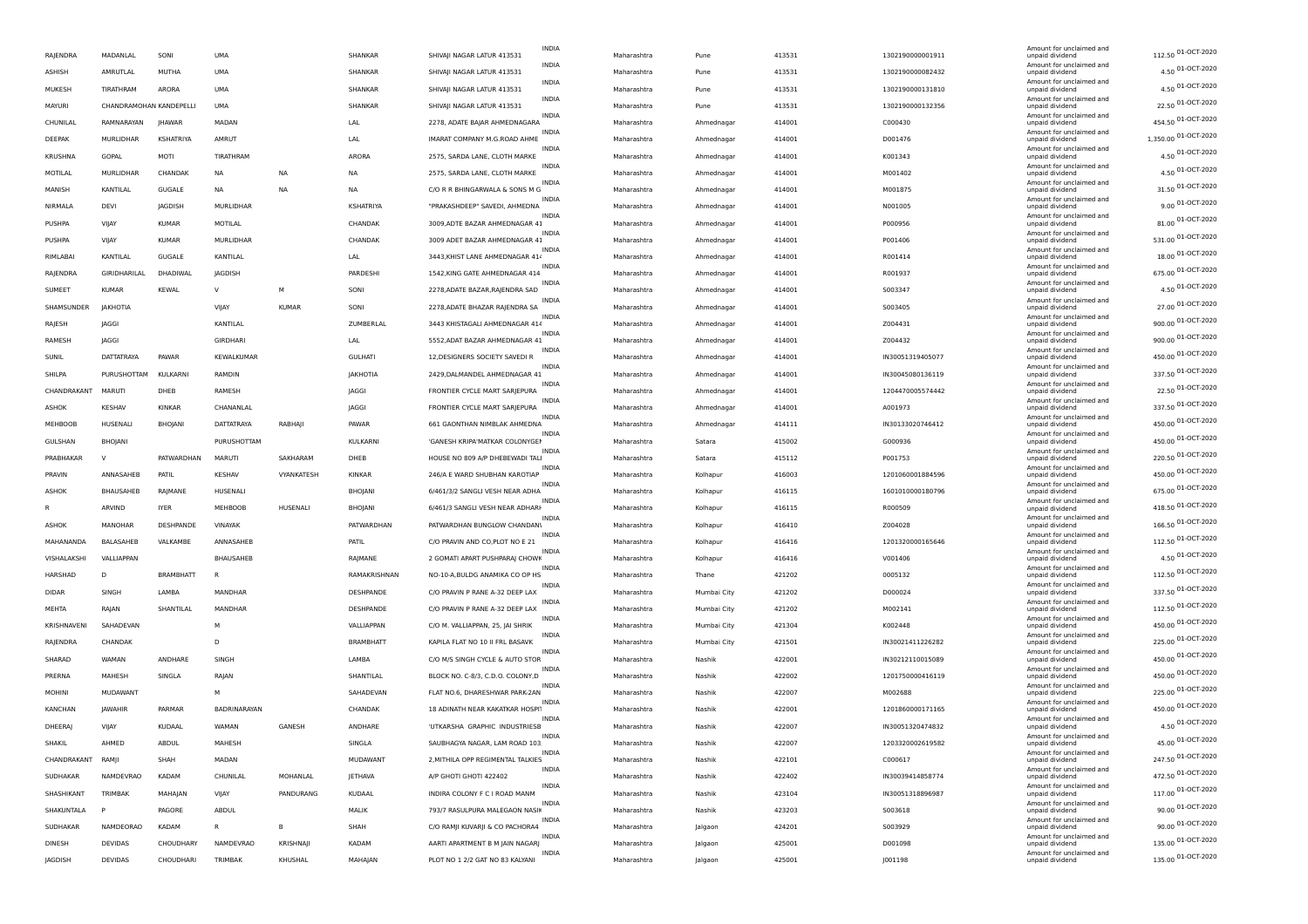|   | RAJENDRA          | MADANLAL                | SONI             | UMA              |              | SHANKAR          | SHIVAJI NAGAR LATUR 413531        | INDIA        | Maharashtra | Pune        | 413531 | 1302190000001911 | Amount for unclaimed and<br>unpaid dividend | 112.50 01-OCT-2020   |
|---|-------------------|-------------------------|------------------|------------------|--------------|------------------|-----------------------------------|--------------|-------------|-------------|--------|------------------|---------------------------------------------|----------------------|
|   | ASHISH            | AMRUTLAL                | MUTHA            | <b>UMA</b>       |              | SHANKAR          | SHIVAJI NAGAR LATUR 413531        | <b>INDIA</b> | Maharashtra | Pune        | 413531 | 1302190000082432 | Amount for unclaimed and<br>unpaid dividend | 4.50 01-OCT-2020     |
|   | MUKESH            | TIRATHRAM               | ARORA            | <b>UMA</b>       |              | SHANKAR          | SHIVAJI NAGAR LATUR 413531        | <b>INDIA</b> | Maharashtra | Pune        | 413531 | 1302190000131810 | Amount for unclaimed and<br>unpaid dividend | 4.50 01-OCT-2020     |
|   | <b>MAYURI</b>     | CHANDRAMOHAN KANDEPELLI |                  | UMA              |              | SHANKAR          | SHIVAJI NAGAR LATUR 413531        | <b>INDIA</b> | Maharashtra | Pune        | 413531 | 1302190000132356 | Amount for unclaimed and<br>unpaid dividend | 22.50 01-OCT-2020    |
|   | CHUNILAL          | RAMNARAYAN              | <b>IHAWAR</b>    | MADAN            |              | LAL              | 2278, ADATE BAJAR AHMEDNAGARA     | INDIA        | Maharashtra | Ahmednagar  | 414001 | C000430          | Amount for unclaimed and<br>unpaid dividend | 454.50 01-OCT-2020   |
|   | DEEPAK            | MURLIDHAF               | <b>KSHATRIYA</b> | AMRUT            |              | LAL              | IMARAT COMPANY M.G.ROAD AHME      | INDIA        | Maharashtra | Ahmednagar  | 414001 | D001476          | Amount for unclaimed and<br>unpaid dividend | 1,350.00 01-OCT-2020 |
|   | KRUSHNA           | GOPAL                   | MOTI             | TIRATHRAM        |              | ARORA            | 2575, SARDA LANE, CLOTH MARKE     | INDIA        | Maharashtra | Ahmednagar  | 414001 | K001343          | Amount for unclaimed and                    | 4.50 01-OCT-2020     |
|   | MOTILAL           | MURLIDHAR               | CHANDAK          | <b>NA</b>        | <b>NA</b>    |                  | 2575, SARDA LANE, CLOTH MARKE     | INDIA        |             |             | 414001 | M001402          | unpaid dividend<br>Amount for unclaimed and | 4.50 01-OCT-2020     |
|   |                   |                         |                  |                  |              | NA               |                                   | INDIA        | Maharashtra | Ahmednagar  |        |                  | unpaid dividend<br>Amount for unclaimed and | 31.50 01-OCT-2020    |
|   | MANISH            | KANTILAL                | GUGALE           | <b>NA</b>        | <b>NA</b>    | NA.              | C/O R R BHINGARWALA & SONS M G    | INDIA        | Maharashtra | Ahmednagar  | 414001 | M001875          | unpaid dividend<br>Amount for unclaimed and | 9.00 01-OCT-2020     |
|   | NIRMALA           | DEVI                    | JAGDISH          | MURLIDHAR        |              | KSHATRIYA        | "PRAKASHDEEP" SAVEDI, AHMEDNA     | INDIA        | Maharashtra | Ahmednagar  | 414001 | N001005          | unpaid dividend<br>Amount for unclaimed and |                      |
|   | PUSHPA            | VIJAY                   | <b>KUMAR</b>     | MOTILAL          |              | CHANDAK          | 3009, ADTE BAZAR AHMEDNAGAR 41    | <b>INDIA</b> | Maharashtra | Ahmednagar  | 414001 | P000956          | unpaid dividend<br>Amount for unclaimed and | 81.00 01-OCT-2020    |
|   | PUSHPA            | VIJAY                   | <b>KUMAR</b>     | MURLIDHAR        |              | CHANDAK          | 3009 ADET BAZAR AHMEDNAGAR 41     | <b>INDIA</b> | Maharashtra | Ahmednagar  | 414001 | P001406          | unpaid dividend<br>Amount for unclaimed and | 531.00 01-OCT-2020   |
|   | RIMLABAI          | KANTILAL                | GUGALE           | KANTILAL         |              | LAL              | 3443, KHIST LANE AHMEDNAGAR 414   | INDIA        | Maharashtra | Ahmednagar  | 414001 | R001414          | unpaid dividend<br>Amount for unclaimed and | 18.00 01-OCT-2020    |
|   | RAJENDRA          | GIRIDHARILAL            | DHADIWAL         | <b>IAGDISH</b>   |              | PARDESHI         | 1542, KING GATE AHMEDNAGAR 414    |              | Maharashtra | Ahmednagar  | 414001 | R001937          | unpaid dividend                             | 675.00 01-OCT-2020   |
|   | SUMEET            | <b>KUMAR</b>            | <b>KEWAL</b>     | <b>V</b>         | M            | SONI             | 2278, ADATE BAZAR, RAJENDRA SAD   | INDIA        | Maharashtra | Ahmednagar  | 414001 | S003347          | Amount for unclaimed and<br>unpaid dividend | 4.50 01-OCT-2020     |
|   | SHAMSUNDER        | JAKHOTIA                |                  | VIJAY            | <b>KUMAR</b> | SON              | 2278, ADATE BHAZAR RAJENDRA SA    | <b>INDIA</b> | Maharashtra | Ahmednagar  | 414001 | S003405          | Amount for unclaimed and<br>unpaid dividend | 27.00 01-OCT-2020    |
|   | RAJESH            | <b>JAGGI</b>            |                  | KANTILAL         |              | ZUMBERLAL        | 3443 KHISTAGALI AHMEDNAGAR 414    | <b>INDIA</b> | Maharashtra | Ahmednagar  | 414001 | Z004431          | Amount for unclaimed and<br>unpaid dividend | 900.00 01-OCT-2020   |
|   | RAMESH            | JAGGI                   |                  | GIRDHARI         |              | LAL              | 5552, ADAT BAZAR AHMEDNAGAR 41    | <b>INDIA</b> | Maharashtra | Ahmednagar  | 414001 | Z004432          | Amount for unclaimed and<br>unpaid dividend | 900.00 01-OCT-2020   |
|   | SUNIL             | DATTATRAYA              | PAWAR            | KEWALKUMAR       |              | <b>GULHATI</b>   | 12, DESIGNERS SOCIETY SAVEDIR     | INDIA        | Maharashtra | Ahmednagar  | 414001 | IN30051319405077 | Amount for unclaimed and<br>unpaid dividend | 450.00 01-OCT-2020   |
|   | SHILPA            | PURUSHOTTAM             | KULKARNI         | RAMDIN           |              | JAKHOTIA         | 2429, DALMANDEL AHMEDNAGAR 41     | INDIA        | Maharashtra | Ahmednagar  | 414001 | IN30045080136119 | Amount for unclaimed and<br>unpaid dividend | 337.50 01-OCT-2020   |
|   | CHANDRAKANT       | MARUTI                  | DHEB             | RAMESH           |              | JAGGI            | FRONTIER CYCLE MART SARJEPURA     | INDIA        | Maharashtra | Ahmednagar  | 414001 | 1204470005574442 | Amount for unclaimed and<br>unpaid dividend | 22.50 01-OCT-2020    |
|   |                   |                         |                  |                  |              |                  |                                   | INDIA        |             |             |        |                  | Amount for unclaimed and                    | 337.50 01-OCT-2020   |
|   | ASHOK             | <b>KESHAV</b>           | KINKAR           | CHANANLAL        |              | JAGGI            | FRONTIER CYCLE MART SARJEPURA     | <b>INDIA</b> | Maharashtra | Ahmednagar  | 414001 | A001973          | unpaid dividend<br>Amount for unclaimed and | 450.00 01-OCT-2020   |
|   | <b>MEHBOOB</b>    | HUSENALI                | BHOJANI          | DATTATRAYA       | RABHAJI      | PAWAR            | 661 GAONTHAN NIMBLAK AHMEDNA      | INDIA        | Maharashtra | Ahmednagar  | 414111 | IN30133020746412 | unpaid dividend<br>Amount for unclaimed and | 450.00 01-OCT-2020   |
|   | GULSHAN           | BHOJANI                 |                  | PURUSHOTTAM      |              | KULKARNI         | 'GANESH KRIPA'MATKAR COLONYGEI    | INDIA        | Maharashtra | Satara      | 415002 | G000936          | unpaid dividend<br>Amount for unclaimed and |                      |
|   | PRABHAKAR         | V                       | PATWARDHAN       | MARUTI           | SAKHARAM     | DHEB             | HOUSE NO 809 A/P DHEBEWADI TALI   | INDIA        | Maharashtra | Satara      | 415112 | P001753          | unpaid dividend<br>Amount for unclaimed and | 220.50 01-OCT-2020   |
|   | PRAVIN            | ANNASAHEB               | PATIL            | <b>KESHAV</b>    | VYANKATESH   | <b>KINKAR</b>    | 246/A E WARD SHUBHAN KAROTIAP     | INDIA        | Maharashtra | Kolhapur    | 416003 | 1201060001884596 | unpaid dividend<br>Amount for unclaimed and | 450.00 01-OCT-2020   |
|   | <b>ASHOK</b>      | BHAUSAHEB               | RAJMANE          | HUSENALI         |              | BHOJANI          | 6/461/3/2 SANGLI VESH NEAR ADHA   | <b>INDIA</b> | Maharashtra | Kolhapur    | 416115 | 1601010000180796 | unpaid dividend<br>Amount for unclaimed and | 675.00 01-OCT-2020   |
| R |                   | ARVIND                  | <b>IYER</b>      | MEHBOOB          | HUSENALI     | BHOJANI          | 6/461/3 SANGLI VESH NEAR ADHARI   |              | Maharashtra | Kolhapur    | 416115 | R000509          | unpaid dividend                             | 418.50 01-OCT-2020   |
|   | <b>ASHOK</b>      | MANOHAR                 | DESHPANDE        | VINAYAK          |              | PATWARDHAN       | PATWARDHAN BUNGLOW CHANDANI       | INDIA        | Maharashtra | Kolhapur    | 416410 | Z004028          | Amount for unclaimed and<br>unpaid dividend | 166.50 01-OCT-2020   |
|   | MAHANANDA         | BALASAHEB               | VALKAMBE         | ANNASAHEB        |              | PATIL            | C/O PRAVIN AND CO, PLOT NO E 21   | INDIA        | Maharashtra | Kolhapur    | 416416 | 1201320000165646 | Amount for unclaimed and<br>unpaid dividend | 112.50 01-OCT-2020   |
|   | VISHALAKSH        | VALLIAPPAN              |                  | <b>BHAUSAHEB</b> |              | RAJMANE          | 2 GOMATI APART PUSHPARAJ CHOWK    | <b>INDIA</b> | Maharashtra | Kolhapur    | 416416 | V001406          | Amount for unclaimed and<br>unpaid dividend | 4.50 01-OCT-2020     |
|   | HARSHAD           | D                       | <b>BRAMBHATT</b> |                  |              | RAMAKRISHNAN     | NO-10-A, BULDG ANAMIKA CO OP HS   | INDIA        | Maharashtra | Thane       | 421202 | 0005132          | Amount for unclaimed and<br>unpaid dividend | 112.50 01-OCT-2020   |
|   | <b>DIDAR</b>      | SINGH                   | LAMBA            | MANDHAR          |              | DESHPANDE        | C/O PRAVIN P RANE A-32 DEEP LAX   | <b>INDIA</b> | Maharashtra | Mumbai City | 421202 | D000024          | Amount for unclaimed and<br>unpaid dividend | 337.50 01-OCT-2020   |
|   | <b>MEHTA</b>      | RAJAN                   | SHANTILAL        | MANDHAR          |              | DESHPANDE        | C/O PRAVIN P RANE A-32 DEEP LAX   | INDIA        | Maharashtra | Mumbai City | 421202 | M002141          | Amount for unclaimed and<br>unpaid dividend | 112.50 01-OCT-2020   |
|   | KRISHNAVENI       | SAHADEVAN               |                  | M                |              | VALLIAPPAN       | C/O M. VALLIAPPAN, 25, JAI SHRIK  | INDIA        | Maharashtra | Mumbai City | 421304 | K002448          | Amount for unclaimed and<br>unpaid dividend | 450.00 01-OCT-2020   |
|   | RAJENDRA          | CHANDAK                 |                  | D                |              | <b>BRAMBHATT</b> | KAPILA FLAT NO 10 II FRL BASAVK   | INDIA        | Maharashtra | Mumbai City | 421501 | IN30021411226282 | Amount for unclaimed and<br>unpaid dividend | 225.00 01-OCT-2020   |
|   | SHARAD            | WAMAN                   | ANDHARE          | SINGH            |              | LAMBA            | C/O M/S SINGH CYCLE & AUTO STOR   | INDIA        |             | Nashik      | 422001 | IN30212110015089 | Amount for unclaimed and                    | 450.00 01-OCT-2020   |
|   |                   |                         |                  |                  |              |                  | BLOCK NO. C-8/3, C.D.O. COLONY.D  | <b>INDIA</b> | Maharashtra |             |        |                  | unpaid dividend<br>Amount for unclaimed and | 450.00 01-OCT-2020   |
|   | PRERNA            | MAHESH                  | SINGLA           | RAJAN            |              | SHANTILAL        |                                   | INDIA        | Maharashtra | Nashik      | 422002 | 1201750000416119 | unpaid dividend<br>Amount for unclaimed and | 225.00 01-OCT-2020   |
|   | <b>MOHINI</b>     | <b>MUDAWANT</b>         |                  | м                |              | SAHADEVAN        | FLAT NO.6, DHARESHWAR PARK-2AN    | INDIA        | Maharashtra | Nashik      | 422007 | M002688          | unpaid dividend<br>Amount for unclaimed and |                      |
|   | KANCHAN           | <b>IAWAHIR</b>          | PARMAR           | BADRINARAYAN     |              | CHANDAK          | 18 ADINATH NEAR KAKATKAR HOSPI"   | INDIA        | Maharashtra | Nashik      | 422001 | 1201860000171165 | unpaid dividend<br>Amount for unclaimed and | 450.00 01-OCT-2020   |
|   | DHEERAJ           | VIJAY                   | KUDAAL           | <b>WAMAN</b>     | GANESH       | ANDHARE          | 'UTKARSHA GRAPHIC INDUSTRIESB     |              | Maharashtra | Nashik      | 422007 | IN30051320474832 | unpaid dividend<br>Amount for unclaimed and | 4.50 01-OCT-2020     |
|   | SHAKIL            | AHMED                   | ABDUL            | MAHESH           |              | SINGLA           | SAUBHAGYA NAGAR, LAM ROAD 103     | <b>INDIA</b> | Maharashtra | Nashik      | 422007 | 1203320002619582 | unpaid dividend<br>Amount for unclaimed and | 45.00 01-OCT-2020    |
|   | CHANDRAKANT RAMJI |                         | SHAH             | MADAN            |              | MUDAWANT         | 2, MITHILA OPP REGIMENTAL TALKIES |              | Maharashtra | Nashik      | 422101 | C000617          | unpaid dividend                             | 247.50 01-OCT-2020   |
|   | <b>SUDHAKAR</b>   | NAMDEVRAO               | KADAM            | CHUNILAL         | MOHANLAL     | JETHAVA          | A/P GHOTI GHOTI 422402            | <b>INDIA</b> | Maharashtra | Nashik      | 422402 | IN30039414858774 | Amount for unclaimed and<br>unpaid dividend | 472.50 01-OCT-2020   |
|   | SHASHIKANT        | TRIMBAK                 | MAHAJAN          | VIJAY            | PANDURANG    | KUDAAL           | INDIRA COLONY F C I ROAD MANM     | INDIA        | Maharashtra | Nashik      | 423104 | IN30051318896987 | Amount for unclaimed and<br>unpaid dividend | 117.00 01-OCT-2020   |
|   | SHAKUNTALA        | P                       | PAGORE           | ABDUL            |              | MALIK            | 793/7 RASULPURA MALEGAON NASIK    | INDIA        | Maharashtra | Nashik      | 423203 | S003618          | Amount for unclaimed and<br>unpaid dividend | 90.00 01-OCT-2020    |
|   | SUDHAKAR          | NAMDEORAO               | KADAM            | R                | B            | SHAH             | C/O RAMJI KUVARJI & CO PACHORA4   | INDIA        | Maharashtra | Jalgaon     | 424201 | S003929          | Amount for unclaimed and<br>unpaid dividend | 90.00 01-OCT-2020    |
|   | <b>DINESH</b>     | DEVIDAS                 | CHOUDHARY        | NAMDEVRAO        | KRISHNAJI    | KADAM            | AARTI APARTMENT B M JAIN NAGARJ   | <b>INDIA</b> | Maharashtra | Jalgaon     | 425001 | D001098          | Amount for unclaimed and<br>unpaid dividend | 135.00 01-OCT-2020   |
|   | JAGDISH           | DEVIDAS                 | CHOUDHARI        | TRIMBAK          | KHUSHAL      | MAHAJAN          | PLOT NO 1 2/2 GAT NO 83 KALYANI   | INDIA        | Maharashtra | Jalgaon     | 425001 | J001198          | Amount for unclaimed and<br>unpaid dividend | 135.00 01-OCT-2020   |
|   |                   |                         |                  |                  |              |                  |                                   |              |             |             |        |                  |                                             |                      |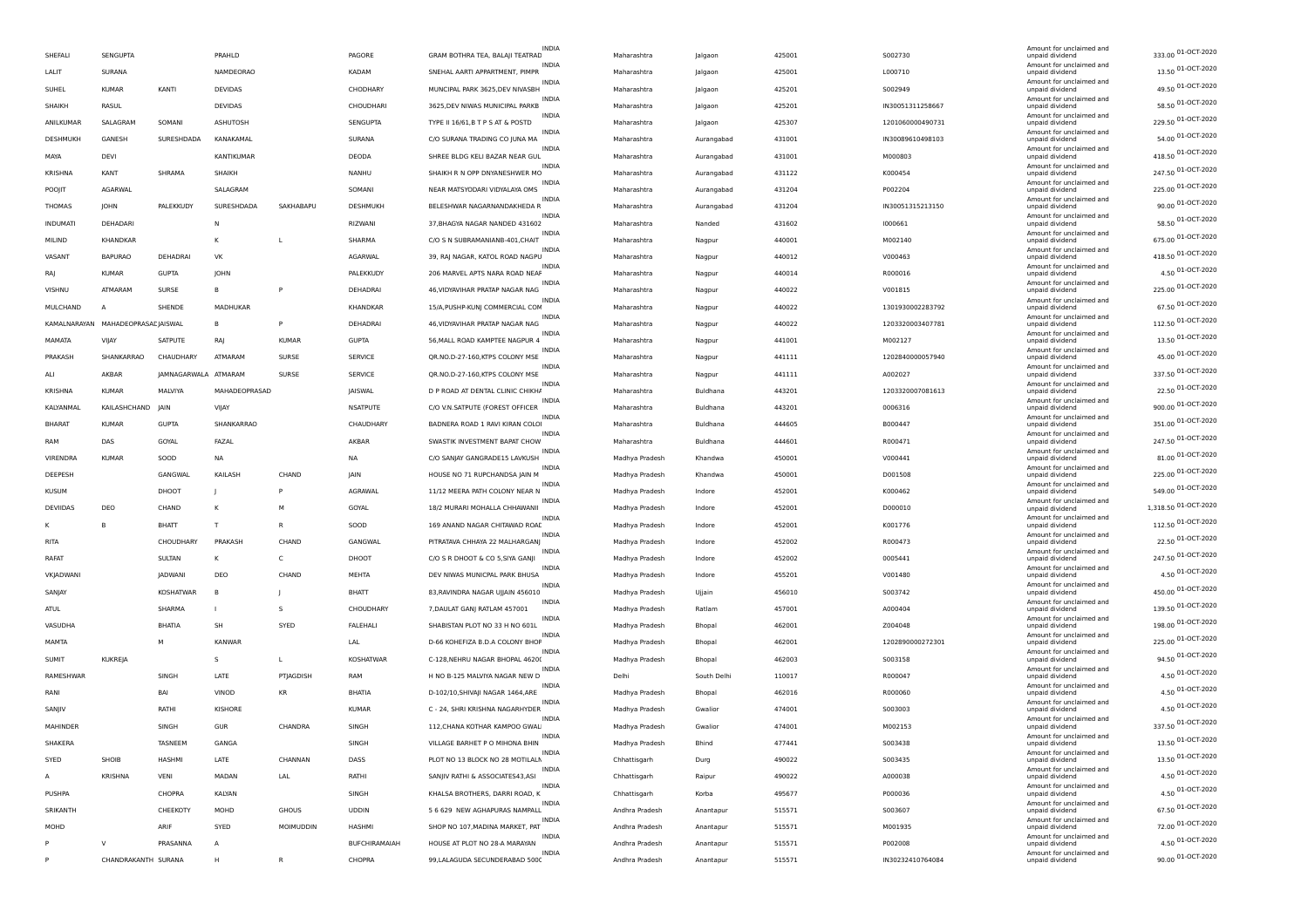| SHEFALI         | SENGUPTA                          |                      | PRAHLD         |              | PAGORE          | <b>INDIA</b><br>GRAM BOTHRA TEA, BALAJI TEATRAD  | Maharashtra    | Jalgaon     | 425001 | 5002730          | Amount for unclaimed and<br>unpaid dividend | 333.00 01-OCT-2020   |
|-----------------|-----------------------------------|----------------------|----------------|--------------|-----------------|--------------------------------------------------|----------------|-------------|--------|------------------|---------------------------------------------|----------------------|
| LALIT           | SURANA                            |                      | NAMDEORAO      |              | KADAM           | INDIA<br>SNEHAL AARTI APPARTMENT, PIMPR          | Maharashtra    | Jalgaon     | 425001 | L000710          | Amount for unclaimed and<br>unpaid dividend | 13.50 01-OCT-2020    |
| SUHEL           | <b>KUMAR</b>                      | KANTI                | DEVIDAS        |              | CHODHARY        | INDIA<br>MUNCIPAL PARK 3625, DEV NIVASBH         | Maharashtra    | Jalgaon     | 425201 | S002949          | Amount for unclaimed and<br>unpaid dividend | 49.50 01-OCT-2020    |
| SHAIKH          | RASUL                             |                      | <b>DEVIDAS</b> |              | CHOUDHARI       | INDIA<br>3625, DEV NIWAS MUNICIPAL PARKB         | Maharashtra    | Jalgaon     | 425201 | IN30051311258667 | Amount for unclaimed and<br>unpaid dividend | 58.50 01-OCT-2020    |
| ANILKUMAR       | SALAGRAM                          | SOMANI               | ASHUTOSH       |              | SENGUPTA        | INDIA<br>TYPE II 16/61, B T P S AT & POSTD       | Maharashtra    | Jalgaon     | 425307 | 1201060000490731 | Amount for unclaimed and<br>unpaid dividend | 229.50 01-OCT-2020   |
| DESHMUKH        | GANESH                            | SURESHDADA           | KANAKAMAL      |              | SURANA          | <b>INDIA</b><br>C/O SURANA TRADING CO JUNA MA    | Maharashtra    | Aurangabad  | 431001 | IN30089610498103 | Amount for unclaimed and<br>unpaid dividend | 54.00 01-OCT-2020    |
| MAYA            | DEVI                              |                      | KANTIKUMAR     |              | DEODA           | <b>INDIA</b><br>SHREE BLDG KELI BAZAR NEAR GUL   | Maharashtra    | Aurangabad  | 431001 | M000803          | Amount for unclaimed and<br>unpaid dividend | 418.50 01-OCT-2020   |
| KRISHNA         | KANT                              | SHRAMA               | SHAIKH         |              | NANHU           | INDIA<br>SHAIKH R N OPP DNYANESHWER MO           | Maharashtra    | Aurangabad  | 431122 | K000454          | Amount for unclaimed and<br>unpaid dividend | 247.50 01-OCT-2020   |
| POOJIT          | <b>AGARWAL</b>                    |                      | SALAGRAM       |              | SOMANI          | <b>INDIA</b><br>NEAR MATSYODARI VIDYALAYA OMS    | Maharashtra    | Aurangabad  | 431204 | P002204          | Amount for unclaimed and<br>unpaid dividend | 225.00 01-OCT-2020   |
| THOMAS          | <b>JOHN</b>                       | PALEKKUDY            | SURESHDADA     | SAKHABAPU    | DESHMUKH        | INDIA<br>BELESHWAR NAGARNANDAKHEDA R             | Maharashtra    | Aurangabad  | 431204 | IN30051315213150 | Amount for unclaimed and<br>unpaid dividend | 90.00 01-OCT-2020    |
| <b>INDUMATI</b> | DEHADARI                          |                      | <b>N</b>       |              | RIZWANI         | INDIA<br>37, BHAGYA NAGAR NANDED 431602          | Maharashtra    | Nanded      | 431602 | 1000661          | Amount for unclaimed and<br>unpaid dividend | 58.50 01-OCT-2020    |
| MILIND          | KHANDKAR                          |                      | к              |              | SHARMA          | INDIA<br>C/O S N SUBRAMANIANB-401, CHAIT         | Maharashtra    |             | 440001 | M002140          | Amount for unclaimed and<br>unpaid dividend | 675.00 01-OCT-2020   |
| VASANT          | <b>BAPURAO</b>                    | DEHADRAI             | VK             |              | AGARWAL         | INDIA<br>39, RAJ NAGAR, KATOL ROAD NAGPU         | Maharashtra    | Nagpur      | 440012 | V000463          | Amount for unclaimed and                    | 418.50 01-OCT-2020   |
|                 | <b>KUMAR</b>                      |                      | <b>IOHN</b>    |              |                 | INDIA<br>206 MARVEL APTS NARA ROAD NEAF          |                | Nagpur      |        |                  | unpaid dividend<br>Amount for unclaimed and | 4.50 01-OCT-2020     |
| RAJ             |                                   | <b>GUPTA</b>         |                |              | PALEKKUDY       | INDIA                                            | Maharashtra    | Nagpur      | 440014 | R000016          | unpaid dividend<br>Amount for unclaimed and | 225.00 01-OCT-2020   |
| VISHNU          | ATMARAM                           | SURSE                | <b>B</b>       |              | DEHADRAI        | 46, VIDYAVIHAR PRATAP NAGAR NAG<br>INDIA         | Maharashtra    | Nagpur      | 440022 | V001815          | unpaid dividend<br>Amount for unclaimed and | 67.50 01-OCT-2020    |
| MULCHAND        | A                                 | SHENDE               | MADHUKAR       |              | KHANDKAR        | 15/A, PUSHP-KUNJ COMMERCIAL COM<br>INDIA         | Maharashtra    | Nagpur      | 440022 | 1301930002283792 | unpaid dividend<br>Amount for unclaimed and | 112.50 01-OCT-2020   |
|                 | KAMALNARAYAN MAHADEOPRASADJAISWAL |                      | <b>B</b>       |              | DEHADRAI        | 46, VIDYAVIHAR PRATAP NAGAR NAG<br>INDIA         | Maharashtra    | Nagpur      | 440022 | 1203320003407781 | unpaid dividend<br>Amount for unclaimed and | 13.50 01-OCT-2020    |
| MAMATA          | VIJAY                             | SATPUTE              | RAJ            | <b>KUMAR</b> | <b>GUPTA</b>    | 56, MALL ROAD KAMPTEE NAGPUR 4<br><b>INDIA</b>   | Maharashtra    | Nagpur      | 441001 | M002127          | unpaid dividend<br>Amount for unclaimed and |                      |
| PRAKASH         | SHANKARRAO                        | CHAUDHARY            | ATMARAM        | SURSE        | SERVICE         | QR.NO.D-27-160, KTPS COLONY MSE<br>INDIA         | Maharashtra    | Nagpur      | 441111 | 1202840000057940 | unpaid dividend<br>Amount for unclaimed and | 45.00 01-OCT-2020    |
| ALI             | AKBAR                             | IAMNAGARWALA ATMARAM |                | SURSE        | SERVICE         | QR.NO.D-27-160, KTPS COLONY MSE<br><b>INDIA</b>  | Maharashtra    | Nagpur      | 441111 | A002027          | unpaid dividend<br>Amount for unclaimed and | 337.50 01-OCT-2020   |
| KRISHNA         | <b>KUMAR</b>                      | MALVIYA              | MAHADEOPRASAD  |              | JAISWAL         | D P ROAD AT DENTAL CLINIC CHIKHA<br>INDIA        | Maharashtra    | Buldhana    | 443201 | 1203320007081613 | unpaid dividend<br>Amount for unclaimed and | 22.50 01-OCT-2020    |
| KALYANMAL       | KAILASHCHAND                      | <b>JAIN</b>          | VIJAY          |              | NSATPUTE        | C/O V.N.SATPUTE (FOREST OFFICER<br>INDIA         | Maharashtra    | Buldhana    | 443201 | 0006316          | unpaid dividend<br>Amount for unclaimed and | 900.00 01-OCT-2020   |
| BHARAT          | <b>KUMAR</b>                      | <b>GUPTA</b>         | SHANKARRAO     |              | CHAUDHARY       | BADNERA ROAD 1 RAVI KIRAN COLOI<br>INDIA         | Maharashtra    | Buldhana    | 444605 | B000447          | unpaid dividend<br>Amount for unclaimed and | 351.00 01-OCT-2020   |
| RAM             | DAS                               | GOYAL                | FAZAL          |              | AKBAR           | SWASTIK INVESTMENT BAPAT CHOW<br>INDIA           | Maharashtra    | Buldhana    | 444601 | R000471          | unpaid dividend<br>Amount for unclaimed and | 247.50 01-OCT-2020   |
| <b>VIRENDRA</b> | <b>KUMAR</b>                      | SOOD                 | <b>NA</b>      |              | <b>NA</b>       | C/O SANJAY GANGRADE15 LAVKUSH<br>INDIA           | Madhya Pradesh | Khandwa     | 450001 | V000441          | unpaid dividend<br>Amount for unclaimed and | 81.00 01-OCT-2020    |
| DEEPESH         |                                   | GANGWAL              | KAILASH        | CHAND        | JAIN            | HOUSE NO 71 RUPCHANDSA JAIN M<br>INDIA           | Madhya Pradesh | Khandwa     | 450001 | D001508          | unpaid dividend<br>Amount for unclaimed and | 225.00 01-OCT-2020   |
| <b>KUSUM</b>    |                                   | DHOOT                | J.             |              | AGRAWAL         | 11/12 MEERA PATH COLONY NEAR N                   | Madhya Pradesh | Indore      | 452001 | K000462          | unpaid dividend                             | 549.00 01-OCT-2020   |
| DEVIIDAS        | DEO                               | CHAND                | к              | м            | GOYAL           | INDIA<br>18/2 MURARI MOHALLA CHHAWANII           | Madhya Pradesh | Indore      | 452001 | D000010          | Amount for unclaimed and<br>unpaid dividend | 1,318.50 01-OCT-2020 |
|                 | B                                 | <b>BHATT</b>         | T              |              | SOOD            | <b>INDIA</b><br>169 ANAND NAGAR CHITAWAD ROAD    | Madhya Pradesh | Indore      | 452001 | K001776          | Amount for unclaimed and<br>unpaid dividend | 112.50 01-OCT-2020   |
| RITA            |                                   | CHOUDHARY            | PRAKASH        | CHAND        | GANGWAL         | INDIA<br>PITRATAVA CHHAYA 22 MALHARGANI          | Madhya Pradesh | Indore      | 452002 | R000473          | Amount for unclaimed and<br>unpaid dividend | 22.50 01-OCT-2020    |
| <b>RAFAT</b>    |                                   | SULTAN               | к              | C            | DHOOT           | <b>INDIA</b><br>C/O S R DHOOT & CO 5, SIYA GANJI | Madhya Pradesh | Indore      | 452002 | 0005441          | Amount for unclaimed and<br>unpaid dividend | 247.50 01-OCT-2020   |
| VKJADWANI       |                                   | JADWANI              | DEO            | CHAND        | MEHTA           | INDIA<br>DEV NIWAS MUNICPAL PARK BHUSA           | Madhya Pradesh | Indore      | 455201 | V001480          | Amount for unclaimed and<br>unpaid dividend | 4.50 01-OCT-2020     |
| SANJAY          |                                   | KOSHATWAR            | B              |              | BHATT           | <b>INDIA</b><br>83, RAVINDRA NAGAR UJJAIN 456010 | Madhya Pradesh | Ujjain      | 456010 | S003742          | Amount for unclaimed and<br>unpaid dividend | 450.00 01-OCT-2020   |
| <b>ATUL</b>     |                                   | SHARMA               |                | -S           | CHOUDHARY       | INDIA<br>7, DAULAT GANJ RATLAM 457001            | Madhya Pradesh | Ratlam      | 457001 | A000404          | Amount for unclaimed and<br>unpaid dividend | 139.50 01-OCT-2020   |
| VASUDHA         |                                   | BHATIA               | SH             | SYED         | <b>FALEHALI</b> | <b>INDIA</b><br>SHABISTAN PLOT NO 33 H NO 601L   | Madhya Pradesh | Bhopal      | 462001 | Z004048          | Amount for unclaimed and<br>unpaid dividend | 198.00 01-OCT-2020   |
| MAMTA           |                                   |                      | <b>KANWAR</b>  |              | LAL             | <b>INDIA</b><br>D-66 KOHEFIZA B.D.A COLONY BHOF  | Madhya Pradesh | Bhopal      | 462001 | 1202890000272301 | Amount for unclaimed and<br>unpaid dividend | 225.00 01-OCT-2020   |
| SUMIT           | KUKREJA                           |                      | s              | L.           | KOSHATWAR       | <b>INDIA</b><br>C-128, NEHRU NAGAR BHOPAL 46200  | Madhya Pradesh | Bhopal      | 462003 | S003158          | Amount for unclaimed and<br>unpaid dividend | 94.50 01-OCT-2020    |
| RAMESHWAR       |                                   | SINGH                | LATE           | PTJAGDISH    | RAM             | INDIA<br>H NO B-125 MALVIYA NAGAR NEW D          | Delhi          | South Delhi | 110017 | R000047          | Amount for unclaimed and<br>unpaid dividend | 4.50 01-OCT-2020     |
| RANI            |                                   | BAI                  | VINOD          | <b>KR</b>    | <b>BHATIA</b>   | INDIA<br>D-102/10, SHIVAJI NAGAR 1464, ARE       | Madhya Pradesh | Bhopal      | 462016 | R000060          | Amount for unclaimed and<br>unpaid dividend | 4.50 01-OCT-2020     |
| SANJIV          |                                   | RATHI                | KISHORE        |              | <b>KUMAR</b>    | INDIA<br>C - 24, SHRI KRISHNA NAGARHYDER         | Madhya Pradesh | Gwalion     | 474001 | 5003003          | Amount for unclaimed and<br>unpaid dividend | 4.50 01-OCT-2020     |
| MAHINDER        |                                   | SINGH                | GUR            | CHANDRA      | SINGH           | <b>INDIA</b><br>112, CHANA KOTHAR KAMPOO GWAL    | Madhya Pradesh | Gwalion     | 474001 | M002153          | Amount for unclaimed and<br>unpaid dividend | 337.50 01-OCT-2020   |
| SHAKERA         |                                   | TASNEEM              | GANGA          |              | SINGH           | <b>INDIA</b><br>VILLAGE BARHET P O MIHONA BHIN   | Madhya Pradesh | Bhind       | 477441 | S003438          | Amount for unclaimed and<br>unpaid dividend | 13.50 01-OCT-2020    |
| SYED            | SHOIB                             | HASHMI               | LATE           | CHANNAN      | DASS            | INDIA<br>PLOT NO 13 BLOCK NO 28 MOTILALN         | Chhattisgarh   | Durg        | 490022 | S003435          | Amount for unclaimed and<br>unpaid dividend | 13.50 01-OCT-2020    |
| A               | KRISHNA                           | VENI                 | MADAN          | LAL          | RATHI           | INDIA<br>SANJIV RATHI & ASSOCIATES43,ASI         | Chhattisgarh   | Raipur      | 490022 | A000038          | Amount for unclaimed and<br>unpaid dividend | 4.50 01-OCT-2020     |
| PUSHPA          |                                   | CHOPRA               | KALYAN         |              | SINGH           | INDIA<br>KHALSA BROTHERS, DARRI ROAD, K          |                | Korba       | 495677 | P000036          | Amount for unclaimed and                    | 4.50 01-OCT-2020     |
|                 |                                   |                      |                |              |                 | INDIA                                            | Chhattisgarh   |             |        |                  | unpaid dividend<br>Amount for unclaimed and | 67.50 01-OCT-2020    |
| SRIKANTH        |                                   | CHEEKOTY             | MOHD           | GHOUS        | <b>UDDIN</b>    | 5 6 629 NEW AGHAPURAS NAMPALL<br>INDIA           | Andhra Pradesh | Anantapur   | 515571 | S003607          | unpaid dividend<br>Amount for unclaimed and | 72.00 01-OCT-2020    |
| MOHD            |                                   | ARIF                 | SYED           | MOIMUDDIN    | HASHMI          | SHOP NO 107, MADINA MARKET, PAT<br>INDIA         | Andhra Pradesh | Anantapur   | 515571 | M001935          | unpaid dividend<br>Amount for unclaimed and | 4.50 01-OCT-2020     |
|                 | V                                 | PRASANNA             | A              |              | BUFCHIRAMAIAH   | HOUSE AT PLOT NO 28-A MARAYAN<br>INDIA           | Andhra Pradesh | Anantapur   | 515571 | P002008          | unpaid dividend<br>Amount for unclaimed and |                      |
|                 | CHANDRAKANTH SURANA               |                      |                |              | CHOPRA          | 99, LALAGUDA SECUNDERABAD 5000                   | Andhra Pradesh | Anantapur   | 515571 | IN30232410764084 | unpaid dividend                             | 90.00 01-OCT-2020    |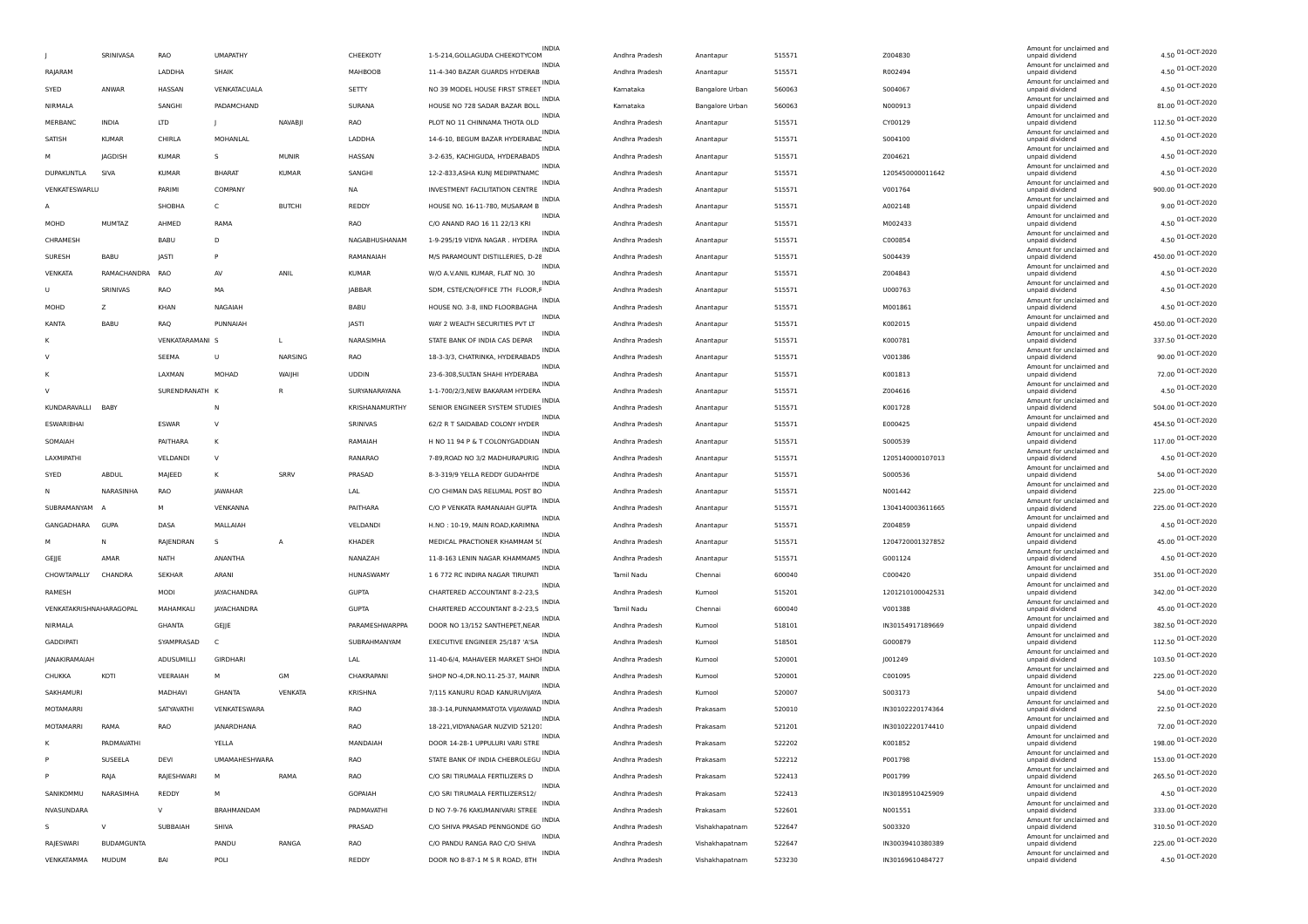|                         |                   |                 |                    |                |                |                                    | <b>INDIA</b> |                |                 |        |                  | Amount for unclaimed and                    |                    |
|-------------------------|-------------------|-----------------|--------------------|----------------|----------------|------------------------------------|--------------|----------------|-----------------|--------|------------------|---------------------------------------------|--------------------|
|                         | SRINIVASA         | RAO             | <b>UMAPATHY</b>    |                | CHEEKOTY       | 1-5-214, GOLLAGUDA CHEEKOTYCOM     |              | Andhra Pradesh | Anantapur       | 515571 | Z004830          | unpaid dividend                             | 4.50 01-OCT-2020   |
| RAJARAM                 |                   | LADDHA          | SHAIK              |                | MAHBOOB        | 11-4-340 BAZAR GUARDS HYDERAB      | <b>INDIA</b> | Andhra Pradesh | Anantapur       | 515571 | R002494          | Amount for unclaimed and<br>unpaid dividend | 4.50 01-OCT-2020   |
| SYED                    | ANWAR             | HASSAN          | VENKATACUALA       |                | SETTY          | NO 39 MODEL HOUSE FIRST STREET     | <b>INDIA</b> | Kamataka       | Bangalore Urban | 560063 | S004067          | Amount for unclaimed and<br>unpaid dividend | 4.50 01-OCT-2020   |
| NIRMALA                 |                   | SANGHI          | PADAMCHAND         |                | SURANA         | HOUSE NO 728 SADAR BAZAR BOLL      | <b>INDIA</b> | Karnataka      | Bangalore Urban | 560063 | N000913          | Amount for unclaimed and<br>unpaid dividend | 81.00 01-OCT-2020  |
| MERBANC                 | <b>INDIA</b>      | <b>LTD</b>      | -                  | <b>NAVABII</b> | RAO            | PLOT NO 11 CHINNAMA THOTA OLD      | INDIA        | Andhra Pradesh | Anantapur       | 515571 | CY00129          | Amount for unclaimed and<br>unpaid dividend | 112.50 01-OCT-2020 |
| SATISH                  | <b>KUMAR</b>      | CHIRLA          | MOHANLAL           |                | LADDHA         | 14-6-10. BEGUM BAZAR HYDERABAE     | <b>INDIA</b> | Andhra Pradesh | Anantapur       | 515571 | S004100          | Amount for unclaimed and<br>unpaid dividend | 4.50 01-OCT-2020   |
|                         | <b>IAGDISH</b>    | <b>KUMAR</b>    | s                  | MUNIR          | HASSAN         | 3-2-635, KACHIGUDA, HYDERABAD5     | <b>INDIA</b> | Andhra Pradesh | Anantapur       | 515571 | Z004621          | Amount for unclaimed and<br>unpaid dividend | 4.50 01-OCT-2020   |
| DUPAKUNTLA              | <b>SIVA</b>       | KUMAR           | BHARAT             | <b>KUMAR</b>   | SANGHI         | 12-2-833, ASHA KUNJ MEDIPATNAMC    | <b>INDIA</b> | Andhra Pradesh | Anantapur       | 515571 | 1205450000011642 | Amount for unclaimed and<br>unpaid dividend | 4.50 01-OCT-2020   |
| VENKATESWARLU           |                   | PARIMI          | COMPANY            |                | NA             | INVESTMENT FACILITATION CENTRE     | <b>INDIA</b> | Andhra Pradesh | Anantapur       | 515571 | V001764          | Amount for unclaimed and<br>unpaid dividend | 900.00 01-OCT-2020 |
| А                       |                   | SHOBHA          | C                  | <b>BUTCHI</b>  | REDDY          | HOUSE NO. 16-11-780, MUSARAM B     | INDIA        | Andhra Pradesh | Anantapur       | 515571 | A002148          | Amount for unclaimed and                    | 9.00 01-OCT-2020   |
|                         | <b>MUMTAZ</b>     |                 |                    |                |                |                                    | INDIA        |                |                 | 515571 |                  | unpaid dividend<br>Amount for unclaimed and | 4.50 01-OCT-2020   |
| MOHD                    |                   | AHMED           | RAMA               |                | RAO            | C/O ANAND RAO 16 11 22/13 KRI      | <b>INDIA</b> | Andhra Pradesh | Anantapur       |        | M002433          | unpaid dividend<br>Amount for unclaimed and | 4.50 01-OCT-2020   |
| CHRAMESH                |                   | BABU            | D                  |                | NAGABHUSHANAM  | 1-9-295/19 VIDYA NAGAR. HYDERA     | <b>INDIA</b> | Andhra Pradesh | Anantapur       | 515571 | C000854          | unpaid dividend<br>Amount for unclaimed and | 450.00 01-OCT-2020 |
| <b>SURESH</b>           | BABU              | JASTI           | P                  |                | RAMANAIAH      | M/S PARAMOUNT DISTILLERIES, D-28   | <b>INDIA</b> | Andhra Pradesh | Anantapur       | 515571 | S004439          | unpaid dividend<br>Amount for unclaimed and | 4.50 01-OCT-2020   |
| VENKATA                 | RAMACHANDRA       | <b>RAO</b>      | AV                 | ANIL           | <b>KUMAR</b>   | W/O A.V.ANIL KUMAR, FLAT NO. 30    | <b>INDIA</b> | Andhra Pradesh | Anantapur       | 515571 | Z004843          | unpaid dividend<br>Amount for unclaimed and |                    |
| U                       | SRINIVAS          | RAO             | MA                 |                | <b>JABBAR</b>  | SDM, CSTE/CN/OFFICE 7TH FLOOR, F   | <b>INDIA</b> | Andhra Pradesh | Anantapur       | 515571 | U000763          | unpaid dividend<br>Amount for unclaimed and | 4.50 01-OCT-2020   |
| MOHD                    | z                 | <b>KHAN</b>     | NAGAIAH            |                | BABU           | HOUSE NO. 3-8, IIND FLOORBAGHA     | <b>INDIA</b> | Andhra Pradesh | Anantapur       | 515571 | M001861          | unpaid dividend<br>Amount for unclaimed and | 4.50 01-OCT-2020   |
| KANTA                   | BABU              | RAQ             | PUNNAIAH           |                | JASTI          | WAY 2 WEALTH SECURITIES PVT LT     |              | Andhra Pradesh | Anantapur       | 515571 | K002015          | unpaid dividend                             | 450.00 01-OCT-2020 |
| κ                       |                   | VENKATARAMANI S |                    | L.             | NARASIMHA      | STATE BANK OF INDIA CAS DEPAR      | <b>INDIA</b> | Andhra Pradesh | Anantapur       | 515571 | K000781          | Amount for unclaimed and<br>unpaid dividend | 337.50 01-OCT-2020 |
| $\vee$                  |                   | SEEMA           | U                  | NARSING        | RAO            | 18-3-3/3, CHATRINKA, HYDERABAD5    | <b>INDIA</b> | Andhra Pradesh | Anantapur       | 515571 | V001386          | Amount for unclaimed and<br>unpaid dividend | 90.00 01-OCT-2020  |
|                         |                   | LAXMAN          | MOHAD              | WAIJHI         | <b>UDDIN</b>   | 23-6-308.SULTAN SHAHI HYDERABA     | INDIA        | Andhra Pradesh | Anantapur       | 515571 | K001813          | Amount for unclaimed and<br>unpaid dividend | 72.00 01-OCT-2020  |
| v                       |                   | SURENDRANATH K  |                    | R              | SURYANARAYANA  | 1-1-700/2/3, NEW BAKARAM HYDERA    | <b>INDIA</b> | Andhra Pradesh | Anantapur       | 515571 | Z004616          | Amount for unclaimed and<br>unpaid dividend | 4.50 01-OCT-2020   |
| KUNDARAVALLI            | <b>BAB</b>        |                 | N                  |                | KRISHANAMURTHY | SENIOR ENGINEER SYSTEM STUDIES     | <b>INDIA</b> | Andhra Pradesh | Anantapur       | 515571 | K001728          | Amount for unclaimed and<br>unpaid dividend | 504.00 01-OCT-2020 |
| ESWARIBHAI              |                   | ESWAR           | V                  |                | SRINIVAS       | 62/2 R T SAIDABAD COLONY HYDER     | <b>INDIA</b> | Andhra Pradesh | Anantapur       | 515571 | E000425          | Amount for unclaimed and<br>unpaid dividend | 454.50 01-OCT-2020 |
| SOMAIAH                 |                   | PAITHARA        | К                  |                | RAMAIAH        | H NO 11 94 P & T COLONYGADDIAN     | <b>INDIA</b> | Andhra Pradesh | Anantapur       | 515571 | S000539          | Amount for unclaimed and<br>unpaid dividend | 117.00 01-OCT-2020 |
| LAXMIPATHI              |                   | VELDANDI        | $\vee$             |                | RANARAO        | 7-89, ROAD NO 3/2 MADHURAPURIG     | INDIA        | Andhra Pradesh | Anantapur       | 515571 | 1205140000107013 | Amount for unclaimed and<br>unpaid dividend | 4.50 01-OCT-2020   |
| SYED                    | ABDUL             | MAJEED          | к                  | SRRV           | PRASAD         | 8-3-319/9 YELLA REDDY GUDAHYDE     | <b>INDIA</b> | Andhra Pradesh | Anantapur       | 515571 | S000536          | Amount for unclaimed and<br>unpaid dividend | 54.00 01-OCT-2020  |
| Ν                       | NARASINHA         | <b>RAO</b>      | JAWAHAR            |                | LAL            | C/O CHIMAN DAS RELUMAL POST BO     | <b>INDIA</b> | Andhra Pradesh | Anantapur       | 515571 | N001442          | Amount for unclaimed and<br>unpaid dividend | 225.00 01-OCT-2020 |
| SUBRAMANYAM             |                   | м               | VENKANNA           |                | PAITHARA       | C/O P VENKATA RAMANAIAH GUPTA      | <b>INDIA</b> | Andhra Pradesh | Anantapur       | 515571 | 1304140003611665 | Amount for unclaimed and                    | 225.00 01-OCT-2020 |
|                         |                   |                 |                    |                |                |                                    | <b>INDIA</b> |                |                 |        |                  | unpaid dividend<br>Amount for unclaimed and | 4.50 01-OCT-2020   |
| GANGADHARA              | GUPA              | DASA            | MALLAIAH           |                | VELDANDI       | H.NO: 10-19, MAIN ROAD, KARIMNA    | <b>INDIA</b> | Andhra Pradesh | Anantapur       | 515571 | Z004859          | unpaid dividend<br>Amount for unclaimed and | 45.00 01-OCT-2020  |
|                         | N                 | RAJENDRAN       | s                  | $\overline{A}$ | KHADER         | MEDICAL PRACTIONER KHAMMAM 5(      | <b>INDIA</b> | Andhra Pradesh | Anantapur       | 515571 | 1204720001327852 | unpaid dividend<br>Amount for unclaimed and |                    |
| GEJJE                   | AMAR              | NATH            | ANANTHA            |                | NANAZAH        | 11-8-163 LENIN NAGAR KHAMMAM5      | <b>INDIA</b> | Andhra Pradesh | Anantapur       | 515571 | G001124          | unpaid dividend<br>Amount for unclaimed and | 4.50 01-OCT-2020   |
| CHOWTAPALLY             | CHANDRA           | <b>SEKHAR</b>   | ARANI              |                | HUNASWAMY      | 1 6 772 RC INDIRA NAGAR TIRUPATI   | <b>INDIA</b> | Tamil Nadu     | Chennai         | 600040 | C000420          | unpaid dividend<br>Amount for unclaimed and | 351.00 01-OCT-2020 |
| RAMESH                  |                   | MODI            | JAYACHANDRA        |                | <b>GUPTA</b>   | CHARTERED ACCOUNTANT 8-2-23,5      | <b>INDIA</b> | Andhra Pradesh | Kurnool         | 515201 | 1201210100042531 | unpaid dividend<br>Amount for unclaimed and | 342.00 01-OCT-2020 |
| VENKATAKRISHNAHARAGOPAL |                   | MAHAMKALI       | <b>IAYACHANDRA</b> |                | <b>GUPTA</b>   | CHARTERED ACCOUNTANT 8-2-23,S      | INDIA        | Tamil Nadu     | Chennai         | 600040 | V001388          | unpaid dividend<br>Amount for unclaimed and | 45.00 01-OCT-2020  |
| NIRMALA                 |                   | GHANTA          | GEJJE              |                | PARAMESHWARPPA | DOOR NO 13/152 SANTHEPET, NEAR     | <b>INDIA</b> | Andhra Pradesh | Kurnool         | 518101 | IN30154917189669 | unpaid dividend<br>Amount for unclaimed and | 382.50 01-OCT-2020 |
| <b>GADDIPATI</b>        |                   | SYAMPRASAD      | C.                 |                | SUBRAHMANYAM   | EXECUTIVE ENGINEER 25/187 'A'SA    |              | Andhra Pradesh | Kurnool         | 518501 | G000879          | unpaid dividend                             | 112.50 01-OCT-2020 |
| JANAKIRAMAIAH           |                   | ADUSUMILLI      | <b>GIRDHAR</b>     |                | LAL            | 11-40-6/4, MAHAVEER MARKET SHOI    | <b>INDIA</b> | Andhra Pradesh | Kurnool         | 520001 | J001249          | Amount for unclaimed and<br>unpaid dividend | 103.50 01-OCT-2020 |
| CHUKKA                  | KOTI              | VEERAIAH        | м                  | GM             | CHAKRAPANI     | SHOP NO-4, DR. NO. 11-25-37, MAINR | <b>INDIA</b> | Andhra Pradesh | Kurnool         | 520001 | C001095          | Amount for unclaimed and<br>unpaid dividend | 225.00 01-OCT-2020 |
| SAKHAMURI               |                   | MADHAVI         | <b>GHANTA</b>      | <b>VENKATA</b> | <b>KRISHNA</b> | 7/115 KANURU ROAD KANURUVIJAYA     | <b>INDIA</b> | Andhra Pradesh | Kurnool         | 520007 | S003173          | Amount for unclaimed and<br>unpaid dividend | 54.00 01-OCT-2020  |
| MOTAMARRI               |                   | SATYAVATHI      | VENKATESWARA       |                | RAO            | 38-3-14, PUNNAMMATOTA VIJAYAWAD    | <b>INDIA</b> | Andhra Pradesh | Prakasam        | 520010 | IN30102220174364 | Amount for unclaimed and<br>unpaid dividend | 22.50 01-OCT-2020  |
| MOTAMARRI               | RAMA              | <b>RAO</b>      | JANARDHANA         |                | RAO            | 18-221, VIDYANAGAR NUZVID 52120    | <b>INDIA</b> | Andhra Pradesh | Prakasam        | 521201 | IN30102220174410 | Amount for unclaimed and<br>unpaid dividend | 72.00 01-OCT-2020  |
|                         | PADMAVATHI        |                 | YELLA              |                | MANDAIAH       | DOOR 14-28-1 UPPULURI VARI STRE    | <b>INDIA</b> | Andhra Pradesh | Prakasam        | 522202 | K001852          | Amount for unclaimed and<br>unpaid dividend | 198.00 01-OCT-2020 |
|                         | SUSEELA           | DEVI            | UMAMAHESHWARA      |                | RAO            | STATE BANK OF INDIA CHEBROLEGU     | <b>INDIA</b> | Andhra Pradesh | Prakasam        | 522212 | P001798          | Amount for unclaimed and<br>unpaid dividend | 153.00 01-OCT-2020 |
|                         | RAJA              | RAJESHWARI      | M                  | RAMA           | RAO            | C/O SRI TIRUMALA FERTILIZERS D     | INDIA        | Andhra Pradesh | Prakasam        | 522413 | P001799          | Amount for unclaimed and<br>unpaid dividend | 265.50 01-OCT-2020 |
| SANIKOMMU               | NARASIMHA         | REDDY           | M                  |                | GOPAIAH        | C/O SRI TIRUMALA FERTILIZERS12/    | INDIA        | Andhra Pradesh | Prakasam        | 522413 | IN30189510425909 | Amount for unclaimed and                    | 4.50 01-OCT-2020   |
|                         |                   |                 |                    |                |                |                                    | INDIA        |                |                 |        |                  | unpaid dividend<br>Amount for unclaimed and | 333.00 01-OCT-2020 |
| NVASUNDARA              |                   | V               | BRAHMANDAM         |                | PADMAVATHI     | D NO 7-9-76 KAKUMANIVARI STREE     | <b>INDIA</b> | Andhra Pradesh | Prakasam        | 522601 | N001551          | unpaid dividend<br>Amount for unclaimed and | 310.50 01-OCT-2020 |
| s                       | V                 | SUBBAIAH        | SHIVA              |                | PRASAD         | C/O SHIVA PRASAD PENNGONDE GO      | <b>INDIA</b> | Andhra Pradesh | Vishakhapatnam  | 522647 | S003320          | unpaid dividend<br>Amount for unclaimed and | 225.00 01-OCT-2020 |
| RAJESWARI               | <b>BUDAMGUNTA</b> |                 | PANDU              | RANGA          | RAO            | C/O PANDU RANGA RAO C/O SHIVA      | INDIA        | Andhra Pradesh | Vishakhapatnam  | 522647 | IN30039410380389 | unpaid dividend<br>Amount for unclaimed and |                    |
| VENKATAMMA              | <b>MUDUM</b>      | BAI             | POLI               |                | REDDY          | DOOR NO 8-87-1 M S R ROAD, 8TH     |              | Andhra Pradesh | Vishakhapatnam  | 523230 | IN30169610484727 | unpaid dividend                             | 4.50 01-OCT-2020   |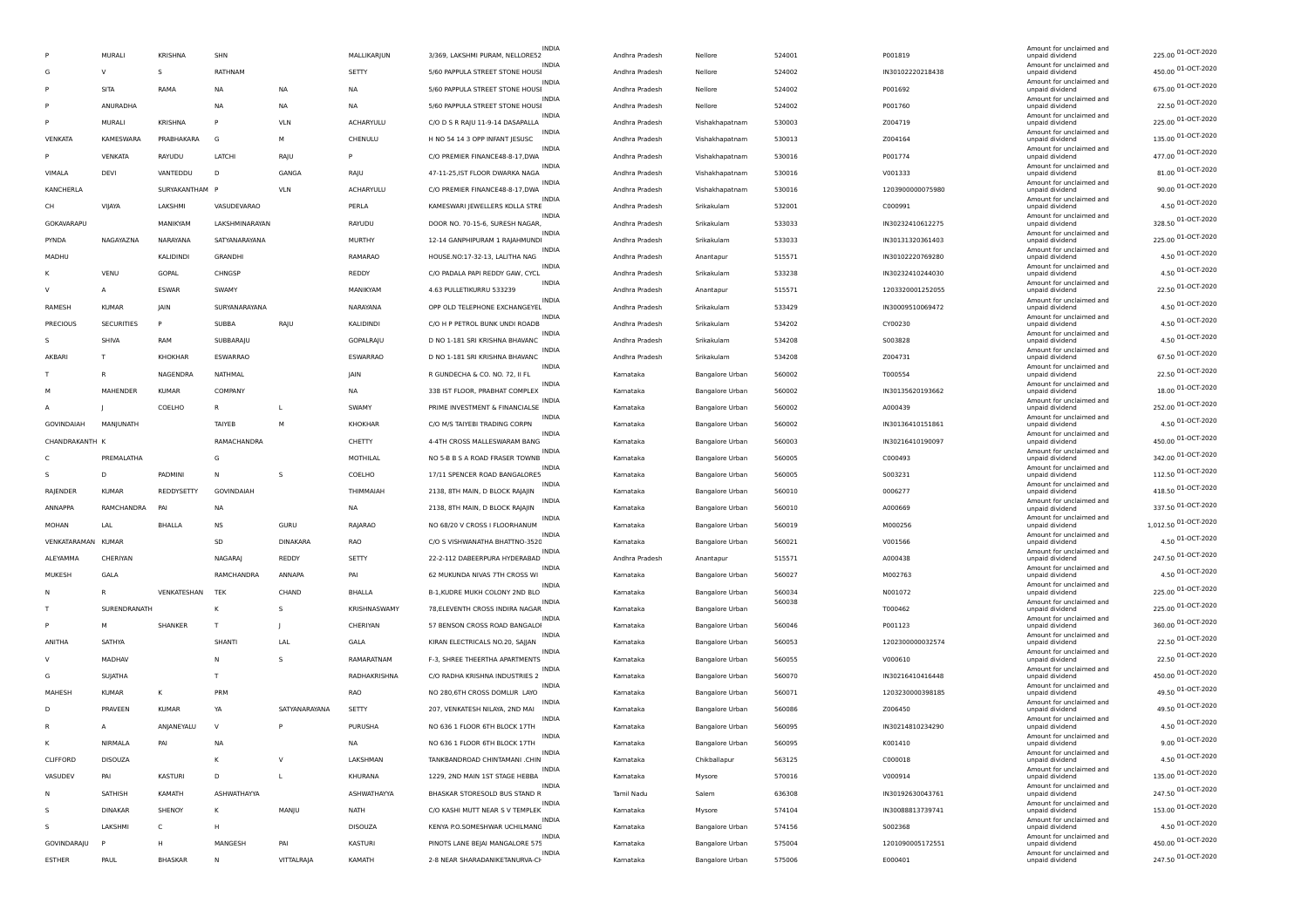|                    |                   |                |                   |                 |                  |                                  | <b>INDIA</b> |                |                        |                  |                  | Amount for unclaimed and                    |                      |
|--------------------|-------------------|----------------|-------------------|-----------------|------------------|----------------------------------|--------------|----------------|------------------------|------------------|------------------|---------------------------------------------|----------------------|
|                    | MURALI            | <b>KRISHNA</b> | SHN               |                 | MALLIKARJUN      | 3/369, LAKSHMI PURAM, NELLORE52  |              | Andhra Pradesh | Nellore                | 524001           | P001819          | unpaid dividend                             | 225.00 01-OCT-2020   |
| G                  | v                 | s              | RATHNAM           |                 | SETTY            | 5/60 PAPPULA STREET STONE HOUSI  | INDIA        | Andhra Pradesh | Nellore                | 524002           | IN30102220218438 | Amount for unclaimed and<br>unpaid dividend | 450.00 01-OCT-2020   |
| P                  | SITA              | RAMA           | NA                | <b>NA</b>       | NA               | 5/60 PAPPULA STREET STONE HOUSI  | <b>INDIA</b> | Andhra Pradesh | Nellore                | 524002           | P001692          | Amount for unclaimed and<br>unpaid dividend | 675.00 01-OCT-2020   |
|                    | ANURADHA          |                | NA                | <b>NA</b>       | <b>NA</b>        | 5/60 PAPPULA STREET STONE HOUSI  | <b>INDIA</b> | Andhra Pradesh | Nellore                | 524002           | P001760          | Amount for unclaimed and<br>unpaid dividend | 22.50 01-OCT-2020    |
|                    | MURALI            | <b>KRISHNA</b> | P                 | <b>VLN</b>      | <b>ACHARYULU</b> | C/O D S R RAJU 11-9-14 DASAPALLA | INDIA        | Andhra Pradesh | Vishakhapatnam         | 530003           | Z004719          | Amount for unclaimed and<br>unpaid dividend | 225.00 01-OCT-2020   |
| VENKATA            | <b>KAMESWARA</b>  | PRABHAKARA     | G                 | M               | CHENULU          | H NO 54 14 3 OPP INFANT JESUSC   | INDIA        | Andhra Pradesh | Vishakhapatnam         | 530013           | Z004164          | Amount for unclaimed and<br>unpaid dividend | 135.00 01-OCT-2020   |
| p                  | VENKATA           | RAYUDU         | LATCHI            | RAJU            | P                | C/O PREMIER FINANCE48-8-17, DWA  | <b>INDIA</b> | Andhra Pradesh | Vishakhapatnam         | 530016           | P001774          | Amount for unclaimed and<br>unpaid dividend | 477.00 01-OCT-2020   |
| VIMALA             | DEVI              | VANTEDDU       | D                 | GANGA           | RAJU             | 47-11-25, IST FLOOR DWARKA NAGA  | INDIA        | Andhra Pradesh | Vishakhapatnam         | 530016           | V001333          | Amount for unclaimed and<br>unpaid dividend | 81.00 01-OCT-2020    |
| KANCHERLA          |                   | SURYAKANTHAM   |                   | <b>VLN</b>      | <b>ACHARYULU</b> | C/O PREMIER FINANCE48-8-17, DWA  | <b>INDIA</b> | Andhra Pradesh | Vishakhapatnam         | 530016           | 1203900000075980 | Amount for unclaimed and<br>unpaid dividend | 90.00 01-OCT-2020    |
| CH                 | VIJAYA            | LAKSHMI        | VASUDEVARAO       |                 | PERLA            | KAMESWARI JEWELLERS KOLLA STRE   | INDIA        | Andhra Pradesh | Srikakulam             | 532001           | C000991          | Amount for unclaimed and<br>unpaid dividend | 4.50 01-OCT-2020     |
| GOKAVARAPU         |                   | MANIKYAM       | LAKSHMINARAYAN    |                 | RAYUDU           | DOOR NO. 70-15-6, SURESH NAGAR   | <b>INDIA</b> | Andhra Pradesh | Srikakulam             | 533033           | IN30232410612275 | Amount for unclaimed and                    | 328.50 01-OCT-2020   |
|                    |                   |                |                   |                 |                  |                                  | INDIA        |                |                        |                  |                  | unpaid dividend<br>Amount for unclaimed and | 225.00 01-OCT-2020   |
| PYNDA              | NAGAYAZNA         | NARAYANA       | SATYANARAYANA     |                 | MURTHY           | 12-14 GANPHIPURAM 1 RAJAHMUNDI   | INDIA        | Andhra Pradesh | Srikakulam             | 533033           | IN30131320361403 | unpaid dividend<br>Amount for unclaimed and | 4.50 01-OCT-2020     |
| MADHU              |                   | KALIDINDI      | <b>GRANDHI</b>    |                 | RAMARAO          | HOUSE.NO:17-32-13, LALITHA NAG   | <b>INDIA</b> | Andhra Pradesh | Anantapur              | 515571           | IN30102220769280 | unpaid dividend<br>Amount for unclaimed and | 4.50 01-OCT-2020     |
|                    | VENU              | GOPAL          | CHNGSP            |                 | REDDY            | C/O PADALA PAPI REDDY GAW, CYCL  | <b>INDIA</b> | Andhra Pradesh | Srikakulam             | 533238           | IN30232410244030 | unpaid dividend<br>Amount for unclaimed and |                      |
| v                  | $\mathsf{A}$      | <b>ESWAR</b>   | SWAMY             |                 | MANIKYAM         | 4.63 PULLETIKURRU 533239         | <b>INDIA</b> | Andhra Pradesh | Anantapur              | 515571           | 1203320001252055 | unpaid dividend<br>Amount for unclaimed and | 22.50 01-OCT-2020    |
| RAMESH             | <b>KUMAR</b>      | <b>JAIN</b>    | SURYANARAYANA     |                 | NARAYANA         | OPP OLD TELEPHONE EXCHANGEYEL    | INDIA        | Andhra Pradesh | Srikakulam             | 533429           | IN30009510069472 | unpaid dividend<br>Amount for unclaimed and | 4.50 01-OCT-2020     |
| PRECIOUS           | <b>SECURITIES</b> | P              | SUBBA             | RAJU            | KALIDINDI        | C/O H P PETROL BUNK UNDI ROADB   | INDIA        | Andhra Pradesh | Srikakulam             | 534202           | CY00230          | unpaid dividend<br>Amount for unclaimed and | 4.50 01-OCT-2020     |
| s                  | SHIVA             | RAM            | SUBBARAJU         |                 | GOPALRAJU        | D NO 1-181 SRI KRISHNA BHAVANC   | <b>INDIA</b> | Andhra Pradesh | Srikakulam             | 534208           | 5003828          | unpaid dividend<br>Amount for unclaimed and | 4.50 01-OCT-2020     |
| AKBARI             | т                 | <b>KHOKHAR</b> | ESWARRAO          |                 | ESWARRAO         | D NO 1-181 SRI KRISHNA BHAVANC   |              | Andhra Pradesh | Srikakulam             | 534208           | Z004731          | unpaid dividend                             | 67.50 01-OCT-2020    |
|                    | R                 | NAGENDRA       | NATHMAL           |                 | <b>IAIN</b>      | R GUNDECHA & CO. NO. 72, II FL   | INDIA        | Kamataka       | Bangalore Urban        | 560002           | T000554          | Amount for unclaimed and<br>unpaid dividend | 22.50 01-OCT-2020    |
| M                  | MAHENDER          | <b>KUMAR</b>   | COMPANY           |                 | NA               | 338 IST FLOOR, PRABHAT COMPLEX   | INDIA        | Kamataka       | Bangalore Urban        | 560002           | IN30135620193662 | Amount for unclaimed and<br>unpaid dividend | 18.00 01-OCT-2020    |
|                    |                   | COELHO         | R                 | <b>L</b>        | SWAMY            | PRIME INVESTMENT & FINANCIALSE   | <b>INDIA</b> | Kamataka       | Bangalore Urban        | 560002           | A000439          | Amount for unclaimed and<br>unpaid dividend | 252.00 01-OCT-2020   |
| GOVINDAIAH         | MANJUNATH         |                | TAIYEB            | M               | KHOKHAR          | C/O M/S TAIYEBI TRADING CORPN    | INDIA        | Kamataka       | Bangalore Urban        | 560002           | IN30136410151861 | Amount for unclaimed and<br>unpaid dividend | 4.50 01-OCT-2020     |
| CHANDRAKANTH K     |                   |                | RAMACHANDRA       |                 | CHETTY           | 4-4TH CROSS MALLESWARAM BANG     | <b>INDIA</b> | Kamataka       | Bangalore Urban        | 560003           | IN30216410190097 | Amount for unclaimed and<br>unpaid dividend | 450.00 01-OCT-2020   |
| C                  | PREMALATHA        |                | G                 |                 | MOTHILAL         | NO 5-B B S A ROAD FRASER TOWNB   | INDIA        | Kamataka       | Bangalore Urban        | 560005           | C000493          | Amount for unclaimed and<br>unpaid dividend | 342.00 01-OCT-2020   |
| s                  | D                 | PADMINI        | N.                | -S              | COELHO           | 17/11 SPENCER ROAD BANGALORES    | <b>INDIA</b> | Kamataka       | Bangalore Urban        | 560005           | 5003231          | Amount for unclaimed and<br>unpaid dividend | 112.50 01-OCT-2020   |
| RAJENDER           | KUMAR             | REDDYSETTY     | <b>GOVINDAIAH</b> |                 | THIMMAIAH        | 2138, 8TH MAIN, D BLOCK RAJAJIN  | INDIA        | Kamataka       | <b>Bangalore Urban</b> | 560010           | 0006277          | Amount for unclaimed and<br>unpaid dividend | 418.50 01-OCT-2020   |
| ANNAPPA            | RAMCHANDRA        | PAI            | NA                |                 | NA               | 2138, 8TH MAIN, D BLOCK RAJAJIN  | INDIA        | Kamataka       | Bangalore Urban        | 560010           | A000669          | Amount for unclaimed and<br>unpaid dividend | 337.50 01-OCT-2020   |
| <b>MOHAN</b>       | LAL               | <b>BHALLA</b>  | <b>NS</b>         | GURU            | RAJARAO          | NO 68/20 V CROSS I FLOORHANUM    | <b>INDIA</b> | Kamataka       | Bangalore Urban        | 560019           | M000256          | Amount for unclaimed and<br>unpaid dividend | 1,012.50 01-OCT-2020 |
| VENKATARAMAN KUMAR |                   |                | SD                | <b>DINAKARA</b> | RAO              | C/O S VISHWANATHA BHATTNO-3520   | INDIA        | Kamataka       | Bangalore Urban        | 560021           | V001566          | Amount for unclaimed and<br>unpaid dividend | 4.50 01-OCT-2020     |
| ALEYAMMA           | CHERIYAN          |                | <b>NAGARA</b>     | REDDY           | SETTY            | 22-2-112 DABEERPURA HYDERABAD    | <b>INDIA</b> | Andhra Pradesh | Anantapur              | 515571           | A000438          | Amount for unclaimed and<br>unpaid dividend | 247.50 01-OCT-2020   |
| MUKESH             | GALA              |                | RAMCHANDRA        | ANNAPA          | PAI              | 62 MUKUNDA NIVAS 7TH CROSS WI    | INDIA        | Kamataka       | <b>Bangalore Urban</b> | 560027           | M002763          | Amount for unclaimed and<br>unpaid dividend | 4.50 01-OCT-2020     |
| N                  | R                 |                |                   | CHAND           |                  | B-1, KUDRE MUKH COLONY 2ND BLO   | <b>INDIA</b> |                |                        |                  |                  | Amount for unclaimed and                    | 225.00 01-OCT-2020   |
|                    |                   | VENKATESHAN    | TEK               |                 | BHALLA           |                                  | <b>INDIA</b> | Kamataka       | Bangalore Urban        | 560034<br>560038 | N001072          | unpaid dividend<br>Amount for unclaimed and | 225.00 01-OCT-2020   |
| T                  | SURENDRANATH      |                |                   |                 | KRISHNASWAMY     | 78, ELEVENTH CROSS INDIRA NAGAR  | INDIA        | Kamataka       | Bangalore Urban        |                  | T000462          | unpaid dividend<br>Amount for unclaimed and | 360.00 01-OCT-2020   |
|                    | M                 | SHANKER        | T                 |                 | CHERIYAN         | 57 BENSON CROSS ROAD BANGALOI    | INDIA        | Kamataka       | Bangalore Urban        | 560046           | P001123          | unpaid dividend<br>Amount for unclaimed and | 22.50 01-OCT-2020    |
| ANITHA             | SATHYA            |                | SHANT             | LAL             | GALA             | KIRAN ELECTRICALS NO.20, SAJJAN  | <b>INDIA</b> | Kamataka       | <b>Bangalore Urban</b> | 560053           | 1202300000032574 | unpaid dividend<br>Amount for unclaimed and |                      |
| V                  | MADHAV            |                | <b>N</b>          | -S              | RAMARATNAM       | F-3, SHREE THEERTHA APARTMENTS   | INDIA        | Kamataka       | Bangalore Urban        | 560055           | V000610          | unpaid dividend<br>Amount for unclaimed and | 22.50 01-OCT-2020    |
| G                  | SUJATHA           |                | T                 |                 | RADHAKRISHNA     | C/O RADHA KRISHNA INDUSTRIES 2   | INDIA        | Kamataka       | Bangalore Urban        | 560070           | IN30216410416448 | unpaid dividend<br>Amount for unclaimed and | 450.00 01-OCT-2020   |
| MAHESH             | <b>KUMAR</b>      | К              | PRM               |                 | <b>RAO</b>       | NO 280,6TH CROSS DOMLUR LAYO     | INDIA        | Kamataka       | Bangalore Urban        | 560071           | 1203230000398185 | unpaid dividend<br>Amount for unclaimed and | 49.50 01-OCT-2020    |
| D                  | PRAVEEN           | <b>KUMAR</b>   | YA                | SATYANARAYANA   | SETTY            | 207, VENKATESH NILAYA, 2ND MAI   | <b>INDIA</b> | Kamataka       | Bangalore Urban        | 560086           | Z006450          | unpaid dividend<br>Amount for unclaimed and | 49.50 01-OCT-2020    |
| R                  | A                 | ANJANEYALU     | $\mathbf{v}$      |                 | <b>PURUSHA</b>   | NO 636 1 FLOOR 6TH BLOCK 17TH    | INDIA        | Kamataka       | <b>Bangalore Urban</b> | 560095           | IN30214810234290 | unpaid dividend                             | 4.50 01-OCT-2020     |
| к                  | NIRMALA           | PAI            | NA                |                 | NA               | NO 636 1 FLOOR 6TH BLOCK 17TH    |              | Kamataka       | Bangalore Urban        | 560095           | K001410          | Amount for unclaimed and<br>unpaid dividend | 9.00 01-OCT-2020     |
| CLIFFORD           | <b>DISOUZA</b>    |                | к                 | $\vee$          | LAKSHMAN         | TANKBANDROAD CHINTAMANI .CHIN    | INDIA        | Kamataka       | Chikballapur           | 563125           | C000018          | Amount for unclaimed and<br>unpaid dividend | 4.50 01-OCT-2020     |
| VASUDEV            | PAI               | KASTURI        | D                 | L.              | KHURANA          | 1229, 2ND MAIN 1ST STAGE HEBBA   | INDIA        | Kamataka       | Mysore                 | 570016           | V000914          | Amount for unclaimed and<br>unpaid dividend | 135.00 01-OCT-2020   |
| N                  | SATHISH           | KAMATH         | ASHWATHAYYA       |                 | ASHWATHAYYA      | BHASKAR STORESOLD BUS STAND R    | INDIA        | Tamil Nadu     | Salem                  | 636308           | IN30192630043761 | Amount for unclaimed and<br>unpaid dividend | 247.50 01-OCT-2020   |
| s                  | <b>DINAKAR</b>    | SHENOY         | к                 | MANJU           | NATH             | C/O KASHI MUTT NEAR S V TEMPLEK  | INDIA        | Kamataka       | Mysore                 | 574104           | IN30088813739741 | Amount for unclaimed and<br>unpaid dividend | 153.00 01-OCT-2020   |
| s                  | LAKSHMI           | C              | H                 |                 | DISOUZA          | KENYA P.O.SOMESHWAR UCHILMANG    | INDIA        | Kamataka       | Bangalore Urban        | 574156           | S002368          | Amount for unclaimed and<br>unpaid dividend | 4.50 01-OCT-2020     |
| GOVINDARAJU        | P                 | н              | MANGESH           | PAI             | KASTURI          | PINOTS LANE BEJAI MANGALORE 575  | INDIA        | Kamataka       | Bangalore Urban        | 575004           | 1201090005172551 | Amount for unclaimed and<br>unpaid dividend | 450.00 01-OCT-2020   |
| <b>ESTHER</b>      | PAUL              | <b>BHASKAR</b> | N                 | VITTALRAJA      | KAMATH           | 2-8 NEAR SHARADANIKETANURVA-CH   | INDIA        | Kamataka       | Bangalore Urban        | 575006           | E000401          | Amount for unclaimed and<br>unpaid dividend | 247.50 01-OCT-2020   |
|                    |                   |                |                   |                 |                  |                                  |              |                |                        |                  |                  |                                             |                      |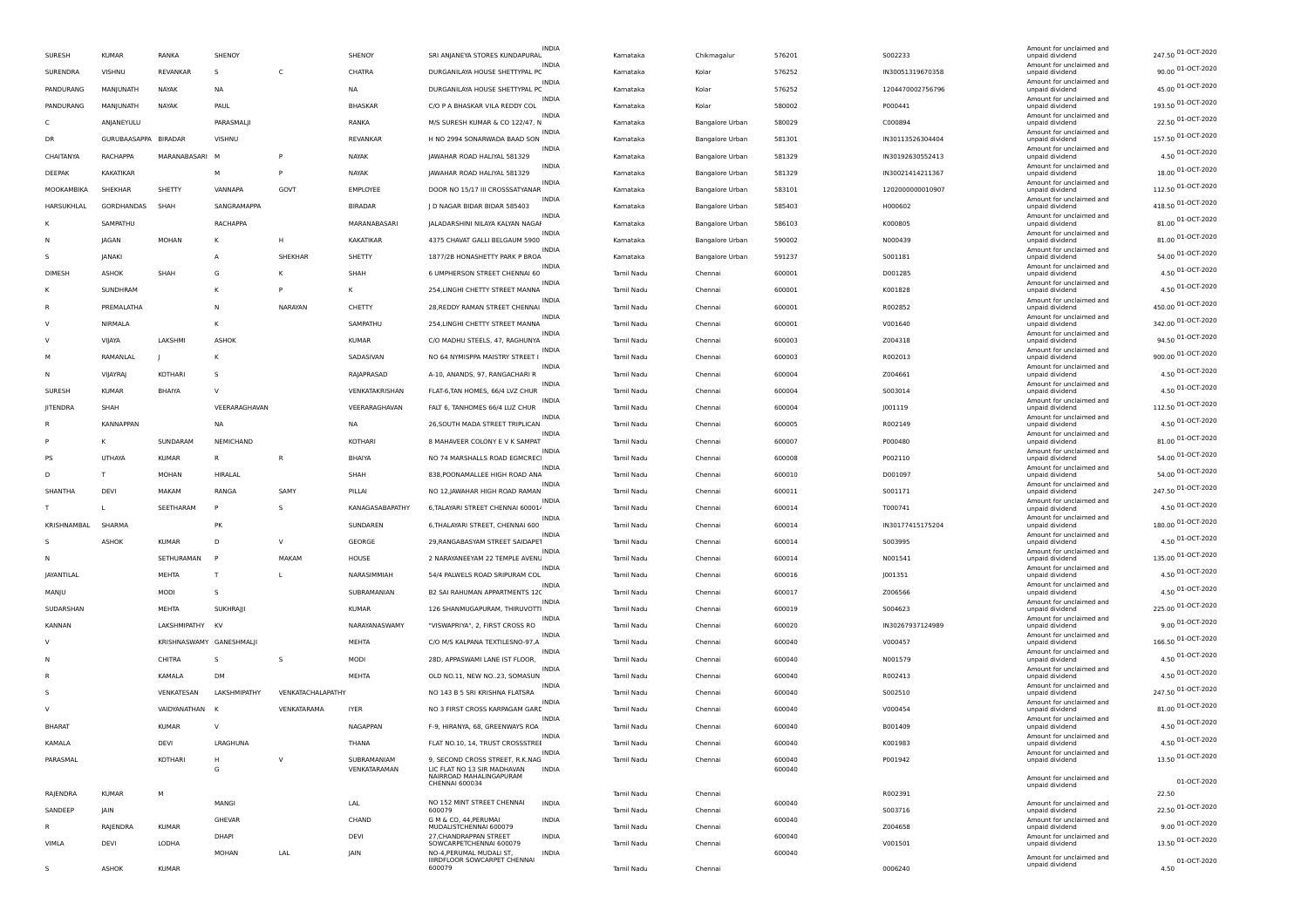| SURESH        | <b>KUMAR</b>         | RANKA                    | SHENOY              |                   | SHENOY          | SRI ANJANEYA STORES KUNDAPURAL                                           | <b>INDIA</b> | Kamataka   | Chikmagalur            | 576201 | S002233          | Amount for unclaimed and<br>unpaid dividend | 247.50 01-OCT-2020 |
|---------------|----------------------|--------------------------|---------------------|-------------------|-----------------|--------------------------------------------------------------------------|--------------|------------|------------------------|--------|------------------|---------------------------------------------|--------------------|
| SURENDRA      | VISHNU               | REVANKAR                 | -S                  | C                 | CHATRA          | DURGANILAYA HOUSE SHETTYPAL PC                                           | INDIA        | Kamataka   | Kolar                  | 576252 | IN30051319670358 | Amount for unclaimed and<br>unpaid dividend | 90.00 01-OCT-2020  |
| PANDURANG     | MANJUNATH            | NAYAK                    | NA                  |                   | NA              | DURGANILAYA HOUSE SHETTYPAL PC                                           | <b>INDIA</b> | Kamataka   | Kolar                  | 576252 | 1204470002756796 | Amount for unclaimed and<br>unpaid dividend | 45.00 01-OCT-2020  |
| PANDURANG     | MANJUNATH            | NAYAK                    | PAUL                |                   | BHASKAR         | C/O P A BHASKAR VILA REDDY COL                                           | <b>INDIA</b> | Kamataka   | Kolar                  | 580002 | P000441          | Amount for unclaimed and<br>unpaid dividend | 193.50 01-OCT-2020 |
| C             | ANJANEYULU           |                          | PARASMALJI          |                   | RANKA           | M/S SURESH KUMAR & CO 122/47. N                                          | INDIA        | Kamataka   | Bangalore Urban        | 580029 | C000894          | Amount for unclaimed and                    | 22.50 01-OCT-2020  |
|               |                      |                          |                     |                   |                 |                                                                          | <b>INDIA</b> |            |                        |        |                  | unpaid dividend<br>Amount for unclaimed and | 157.50 01-OCT-2020 |
| <b>DR</b>     | GURUBAASAPPA BIRADAR |                          | VISHNU              |                   | <b>REVANKAR</b> | H NO 2994 SONARWADA BAAD SON                                             | <b>INDIA</b> | Kamataka   | <b>Bangalore Urban</b> | 581301 | IN30113526304404 | unpaid dividend<br>Amount for unclaimed and | 4.50 01-OCT-2020   |
| CHAITANYA     | RACHAPPA             | MARANABASARI             |                     |                   | NAYAK           | JAWAHAR ROAD HALIYAL 581329                                              | INDIA        | Kamataka   | Bangalore Urban        | 581329 | IN30192630552413 | unpaid dividend<br>Amount for unclaimed and | 18.00 01-OCT-2020  |
| DEEPAK        | KAKATIKAR            |                          | M                   | P                 | NAYAK           | JAWAHAR ROAD HALIYAL 581329                                              | <b>INDIA</b> | Kamataka   | Bangalore Urban        | 581329 | IN30021414211367 | unpaid dividend<br>Amount for unclaimed and |                    |
| MOOKAMBIKA    | <b>SHEKHAR</b>       | SHETTY                   | VANNAPA             | GOVT              | EMPLOYEE        | DOOR NO 15/17 III CROSSSATYANAR                                          | INDIA        | Kamataka   | Bangalore Urban        | 583101 | 1202000000010907 | unpaid dividend<br>Amount for unclaimed and | 112.50 01-OCT-2020 |
| HARSUKHLAL    | GORDHANDAS           | SHAH                     | SANGRAMAPPA         |                   | <b>BIRADAR</b>  | D NAGAR BIDAR BIDAR 585403                                               | <b>INDIA</b> | Kamataka   | Bangalore Urban        | 585403 | H000602          | unpaid dividend<br>Amount for unclaimed and | 418.50 01-OCT-2020 |
| К             | SAMPATHU             |                          | RACHAPPA            |                   | MARANABASARI    | JALADARSHINI NILAYA KALYAN NAGAI                                         | INDIA        | Kamataka   | <b>Bangalore Urban</b> | 586103 | K000805          | unpaid dividend                             | 81.00 01-OCT-2020  |
| N             | JAGAN                | MOHAN                    | к                   | H                 | KAKATIKAR       | 4375 CHAVAT GALLI BELGAUM 5900                                           |              | Kamataka   | <b>Bangalore Urban</b> | 590002 | N000439          | Amount for unclaimed and<br>unpaid dividend | 81.00 01-OCT-2020  |
| s             | JANAKI               |                          | $\mathsf{A}$        | SHEKHAR           | SHETTY          | 1877/2B HONASHETTY PARK P BROA                                           | <b>INDIA</b> | Kamataka   | Bangalore Urban        | 591237 | <b>S001181</b>   | Amount for unclaimed and<br>unpaid dividend | 54.00 01-OCT-2020  |
| DIMESH        | <b>ASHOK</b>         | SHAH                     | G                   | К                 | SHAH            | 6 UMPHERSON STREET CHENNAI 60                                            | <b>INDIA</b> | Tamil Nadu | Chennai                | 600001 | D001285          | Amount for unclaimed and<br>unpaid dividend | 4.50 01-OCT-2020   |
| к             | SUNDHRAM             |                          | к                   |                   | к               | 254, LINGHI CHETTY STREET MANNA                                          | INDIA        | Tamil Nadu | Chennai                | 600001 | K001828          | Amount for unclaimed and<br>unpaid dividend | 4.50 01-OCT-2020   |
| R             | PREMALATHA           |                          | N                   | NARAYAN           | CHETTY          | 28, REDDY RAMAN STREET CHENNAI                                           | <b>INDIA</b> | Tamil Nadu | Chennai                | 600001 | R002852          | Amount for unclaimed and<br>unpaid dividend | 450.00 01-OCT-2020 |
| ν             | NIRMALA              |                          | к                   |                   | SAMPATHU        | 254, LINGHI CHETTY STREET MANNA                                          | INDIA        | Tamil Nadu | Chennai                | 600001 | V001640          | Amount for unclaimed and<br>unpaid dividend | 342.00 01-OCT-2020 |
| ν             | VIJAYA               | LAKSHMI                  | <b>ASHOK</b>        |                   | KUMAR           | C/O MADHU STEELS, 47, RAGHUNYA                                           | <b>INDIA</b> | Tamil Nadu | Chennai                | 600003 | Z004318          | Amount for unclaimed and<br>unpaid dividend | 94.50 01-OCT-2020  |
| M             | RAMANLAL             |                          |                     |                   | SADASIVAN       | NO 64 NYMISPPA MAISTRY STREET I                                          | <b>INDIA</b> | Tamil Nadu | Chennai                | 600003 | R002013          | Amount for unclaimed and<br>unpaid dividend | 900.00 01-OCT-2020 |
| N             | <b>VIJAYRAJ</b>      | KOTHARI                  | -S                  |                   | RAJAPRASAD      | A-10, ANANDS, 97, RANGACHARI R                                           | INDIA        | Tamil Nadu | Chennai                | 600004 | Z004661          | Amount for unclaimed and<br>unpaid dividend | 4.50 01-OCT-2020   |
| SURESH        | <b>KUMAR</b>         | <b>BHAIYA</b>            | $\mathbf{v}$        |                   |                 | FLAT-6, TAN HOMES, 66/4 LVZ CHUR                                         | <b>INDIA</b> |            |                        | 600004 |                  | Amount for unclaimed and                    | 4.50 01-OCT-2020   |
|               |                      |                          |                     |                   | VENKATAKRISHAN  |                                                                          | <b>INDIA</b> | Tamil Nadu | Chennai                |        | S003014          | unpaid dividend<br>Amount for unclaimed and | 112.50 01-OCT-2020 |
| JITENDRA      | SHAH                 |                          | VFFRARAGHAVAN       |                   | VEERARAGHAVAN   | FALT 6, TANHOMES 66/4 LUZ CHUR                                           | INDIA        | Tamil Nadu | Chennai                | 600004 | J001119          | unpaid dividend<br>Amount for unclaimed and | 4.50 01-OCT-2020   |
| R             | <b>KANNAPPAN</b>     |                          | NA                  |                   | NA              | 26, SOUTH MADA STREET TRIPLICAN                                          | <b>INDIA</b> | Tamil Nadu | Chennai                | 600005 | R002149          | unpaid dividend<br>Amount for unclaimed and |                    |
|               | K                    | SUNDARAM                 | NEMICHAND           |                   | KOTHARI         | 8 MAHAVEER COLONY E V K SAMPAT                                           | INDIA        | Tamil Nadu | Chennai                | 600007 | P000480          | unpaid dividend<br>Amount for unclaimed and | 81.00 01-OCT-2020  |
| PS            | UTHAYA               | <b>KUMAR</b>             | R                   | $\mathsf{R}$      | BHAIYA          | NO 74 MARSHALLS ROAD EGMCREC                                             | <b>INDIA</b> | Tamil Nadu | Chennai                | 600008 | P002110          | unpaid dividend<br>Amount for unclaimed and | 54.00 01-OCT-2020  |
| D             | T                    | <b>MOHAN</b>             | HIRALAL             |                   | SHAH            | 838, POONAMALLEE HIGH ROAD ANA                                           | INDIA        | Tamil Nadu | Chennai                | 600010 | D001097          | unpaid dividend<br>Amount for unclaimed and | 54.00 01-OCT-2020  |
| SHANTHA       | DEV                  | MAKAM                    | RANGA               | SAMY              | PILLAI          | NO 12, JAWAHAR HIGH ROAD RAMAN                                           |              | Tamil Nadu | Chennai                | 600011 | S001171          | unpaid dividend                             | 247.50 01-OCT-2020 |
| т             | L.                   | SEETHARAM                | P                   | -S                | KANAGASABAPATHY | 6, TALAYARI STREET CHENNAI 600014                                        | INDIA        | Tamil Nadu | Chennai                | 600014 | T000741          | Amount for unclaimed and<br>unpaid dividend | 4.50 01-OCT-2020   |
| KRISHNAMBAL   | SHARMA               |                          | <b>PK</b>           |                   | SUNDAREN        | 6, THALAYARI STREET, CHENNAI 600                                         | INDIA        | Tamil Nadu | Chennai                | 600014 | IN30177415175204 | Amount for unclaimed and<br>unpaid dividend | 180.00 01-OCT-2020 |
|               | ASHOK                | <b>KUMAR</b>             | D                   | $\vee$            | GEORGE          | 29, RANGABASYAM STREET SAIDAPET                                          | INDIA        | Tamil Nadu | Chennai                | 600014 | 5003995          | Amount for unclaimed and<br>unpaid dividend | 4.50 01-OCT-2020   |
| N             |                      | SETHURAMAN               | P                   | MAKAM             | HOUSE           | 2 NARAYANEEYAM 22 TEMPLE AVENU                                           | <b>INDIA</b> | Tamil Nadu | Chennai                | 600014 | N001541          | Amount for unclaimed and<br>unpaid dividend | 135.00 01-OCT-2020 |
| JAYANTILAL    |                      | MEHTA                    | T                   | $\mathbf{L}$      | NARASIMMIAH     | 54/4 PALWELS ROAD SRIPURAM COL                                           | INDIA        | Tamil Nadu | Chennai                | 600016 | J001351          | Amount for unclaimed and<br>unpaid dividend | 4.50 01-OCT-2020   |
| MANJU         |                      | MODI                     | -S                  |                   | SUBRAMANIAN     | B2 SAI RAHUMAN APPARTMENTS 120                                           | <b>INDIA</b> | Tamil Nadu | Chennai                | 600017 | Z006566          | Amount for unclaimed and<br>unpaid dividend | 4.50 01-OCT-2020   |
| SUDARSHAN     |                      | MEHTA                    | SUKHRAJJI           |                   | <b>KUMAR</b>    | 126 SHANMUGAPURAM, THIRUVOTTI                                            | <b>INDIA</b> | Tamil Nadu | Chennai                | 600019 | S004623          | Amount for unclaimed and<br>unpaid dividend | 225.00 01-OCT-2020 |
| KANNAN        |                      | LAKSHMIPATHY KV          |                     |                   | NARAYANASWAMY   | "VISWAPRIYA", 2, FIRST CROSS RO                                          | INDIA        | Tamil Nadu | Chennai                | 600020 | IN30267937124989 | Amount for unclaimed and<br>unpaid dividend | 9.00 01-OCT-2020   |
| $\mathbf v$   |                      | KRISHNASWAMY GANESHMALJI |                     |                   | MEHTA           | C/O M/S KALPANA TEXTILESNO-97,A                                          | <b>INDIA</b> | Tamil Nadu | Chennai                | 600040 | V000457          | Amount for unclaimed and                    | 166.50 01-OCT-2020 |
|               |                      |                          |                     |                   |                 |                                                                          | INDIA        |            |                        |        |                  | unpaid dividend<br>Amount for unclaimed and | 4.50 01-OCT-2020   |
| N             |                      | CHITRA                   | -S                  |                   | MODI            | 28D, APPASWAMI LANE IST FLOOR,                                           | <b>INDIA</b> | Tamil Nadu | Chennai                | 600040 | N001579          | unpaid dividend<br>Amount for unclaimed and | 4.50 01-OCT-2020   |
| R             |                      | KAMALA                   | <b>DM</b>           |                   | MEHTA           | OLD NO.11, NEW NO23, SOMASUN                                             | INDIA        | Tamil Nadu | Chennai                | 600040 | R002413          | unpaid dividend<br>Amount for unclaimed and | 247.50 01-OCT-2020 |
| s             |                      | VENKATESAN               | <b>LAKSHMIPATHY</b> | VENKATACHALAPATHY |                 | NO 143 B 5 SRI KRISHNA FLATSRA                                           | INDIA        | Tamil Nadu | Chennai                | 600040 | S002510          | unpaid dividend<br>Amount for unclaimed and |                    |
| $\vee$        |                      | VAIDYANATHAN             | K                   | VENKATARAMA       | <b>IYER</b>     | NO 3 FIRST CROSS KARPAGAM GARE                                           | <b>INDIA</b> | Tamil Nadu | Chennai                | 600040 | V000454          | unpaid dividend<br>Amount for unclaimed and | 81.00 01-OCT-2020  |
| <b>BHARAT</b> |                      | <b>KUMAR</b>             |                     |                   | <b>NAGAPPAN</b> | F-9, HIRANYA, 68, GREENWAYS ROA                                          | <b>INDIA</b> | Tamil Nadu | Chennai                | 600040 | B001409          | unpaid dividend<br>Amount for unclaimed and | 4.50 01-OCT-2020   |
| KAMALA        |                      | DEVI                     | LRAGHUNA            |                   | THANA           | FLAT NO.10, 14, TRUST CROSSSTREE                                         | INDIA        | Tamil Nadu | Chennai                | 600040 | K001983          | unpaid dividend<br>Amount for unclaimed and | 4.50 01-OCT-2020   |
| PARASMAL      |                      | KOTHARI                  | H                   | V                 | SUBRAMANIAM     | 9, SECOND CROSS STREET, R.K.NAG                                          |              | Tamil Nadu | Chennai                | 600040 | P001942          | unpaid dividend                             | 13.50 01-OCT-2020  |
|               |                      |                          | G                   |                   | VENKATARAMAN    | LIC FLAT NO 13 SIR MADHAVAN<br>NAIRROAD MAHALINGAPURAM<br>CHENNAI 600034 | <b>INDIA</b> |            |                        | 600040 |                  | Amount for unclaimed and                    | 01-OCT-2020        |
| RAJENDRA      | <b>KUMAR</b>         | M                        |                     |                   |                 |                                                                          |              | Tamil Nadu | Chennai                |        | R002391          | unpaid dividend                             | 22.50              |
| SANDEEP       | JAIN                 |                          | MANGI               |                   | LAL             | NO 152 MINT STREET CHENNAI<br>600079                                     | <b>INDIA</b> | Tamil Nadu | Chennai                | 600040 | S003716          | Amount for unclaimed and<br>unpaid dividend | 22.50 01-OCT-2020  |
|               | RAJENDRA             | KUMAR                    | GHEVAR              |                   | CHAND           | G M & CO, 44, PERUMAI<br>MUDALISTCHENNAI 600079                          | <b>INDIA</b> | Tamil Nadu | Chennai                | 600040 | Z004658          | Amount for unclaimed and<br>unpaid dividend | 9.00 01-OCT-2020   |
| VIMLA         | DEVI                 | LODHA                    | DHAPI               |                   | DEVI            | 27, CHANDRAPPAN STREET<br>SOWCARPETCHENNAI 600079                        | <b>INDIA</b> | Tamil Nadu | Chennai                | 600040 | V001501          | Amount for unclaimed and<br>unpaid dividend | 13.50 01-OCT-2020  |
|               |                      |                          | MOHAN               | LAL               | JAIN            | NO-4, PERUMAL MUDALI ST,<br>IIIRDFLOOR SOWCARPET CHENNAI                 | INDIA        |            |                        | 600040 |                  | Amount for unclaimed and                    | 01-OCT-2020        |
|               | ASHOK                | <b>KUMAR</b>             |                     |                   |                 | 600079                                                                   |              | Tamil Nadu | Chennai                |        | 0006240          | unpaid dividend                             | 4.50               |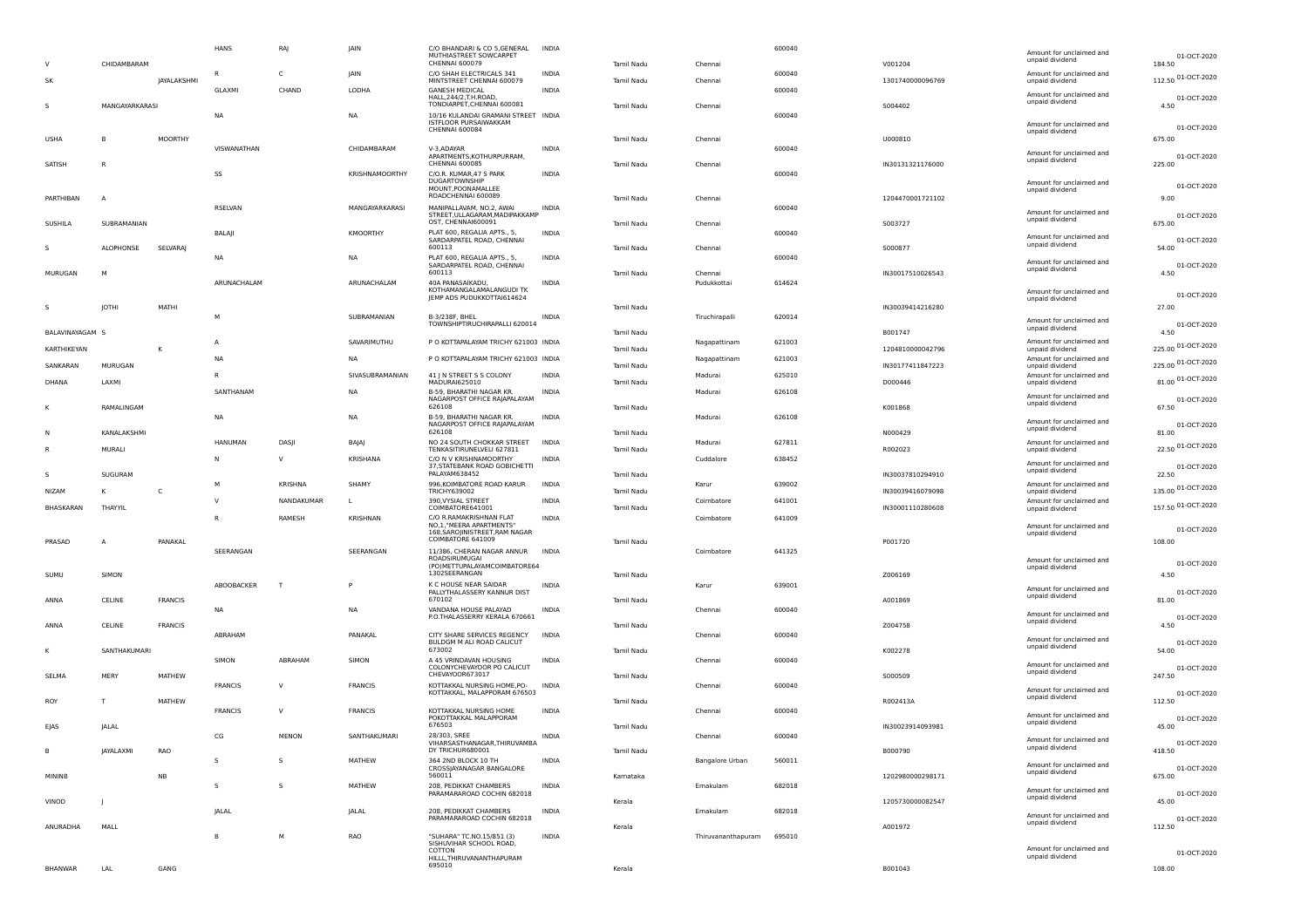|   |                 | CHIDAMBARAM      |                    | HANS           | RAJ          | JAIN            | C/O BHANDARI & CO 5, GENERAL<br>MUTHIASTREET SOWCARPET<br><b>CHENNAI 600079</b>               | <b>INDIA</b> | Tamil Nadu        | Chennai                | 600040 | V001204          | Amount for unclaimed and<br>unpaid dividend | 01-OCT-2020<br>184.50 |
|---|-----------------|------------------|--------------------|----------------|--------------|-----------------|-----------------------------------------------------------------------------------------------|--------------|-------------------|------------------------|--------|------------------|---------------------------------------------|-----------------------|
|   | <b>SK</b>       |                  |                    | R              | C            | JAIN            | C/O SHAH ELECTRICALS 341                                                                      | <b>INDIA</b> |                   |                        | 600040 |                  | Amount for unclaimed and                    | 112.50 01-OCT-2020    |
|   |                 |                  | <b>JAYALAKSHMI</b> | <b>GLAXMI</b>  | CHAND        | LODHA           | MINTSTREET CHENNAI 600079<br><b>GANESH MEDICAL</b>                                            | <b>INDIA</b> | Tamil Nadu        | Chennai                | 600040 | 1301740000096769 | unpaid dividend<br>Amount for unclaimed and | 01-OCT-2020           |
|   |                 | MANGAYARKARASI   |                    | <b>NA</b>      |              | <b>NA</b>       | HALL, 244/2, T. H. ROAD,<br>TONDIARPET, CHENNAI 600081<br>10/16 KULANDAI GRAMANI STREET INDIA |              | Tamil Nadu        | Chennai                | 600040 | S004402          | unpaid dividend                             | 4.50                  |
|   | <b>USHA</b>     | B                | MOORTHY            |                |              |                 | ISTFLOOR PURSAIWAKKAM<br><b>CHENNAI 600084</b>                                                |              | Tamil Nadu        | Chennai                |        | U000810          | Amount for unclaimed and<br>unpaid dividend | 01-OCT-2020<br>675.00 |
|   |                 |                  |                    | VISWANATHAN    |              | CHIDAMBARAM     | V-3.ADAYAR                                                                                    | INDIA        |                   |                        | 600040 |                  | Amount for unclaimed and                    |                       |
|   | SATISH          | R                |                    |                |              |                 | APARTMENTS, KOTHURPURRAM,<br>CHENNAI 600085                                                   |              | Tamil Nadu        | Chennai                |        | IN30131321176000 | unpaid dividend                             | 01-OCT-2020<br>225.00 |
|   |                 |                  |                    | SS             |              | KRISHNAMOORTHY  | C/O.R. KUMAR, 47 S PARK<br><b>DUGARTOWNSHIP</b><br>MOUNT.POONAMALLEE                          | <b>INDIA</b> |                   |                        | 600040 |                  | Amount for unclaimed and<br>unpaid dividend | 01-OCT-2020           |
|   | PARTHIBAN       | A                |                    | RSELVAN        |              | MANGAYARKARASI  | ROADCHENNAI 600089<br>MANIPALLAVAM, NO.2, AWAI                                                | INDIA        | Tamil Nadu        | Chennai                | 600040 | 1204470001721102 |                                             | 9.00                  |
|   | SUSHILA         | SUBRAMANIAN      |                    |                |              |                 | STREET, ULLAGARAM, MADIPAKKAMP<br>OST, CHENNAI600091                                          |              | Tamil Nadu        | Chennai                |        | 5003727          | Amount for unclaimed and<br>unpaid dividend | 01-OCT-2020<br>675.00 |
|   |                 | ALOPHONSE        | <b>SELVARAJ</b>    | BALAJI         |              | KMOORTHY        | PLAT 600, REGALIA APTS., 5,<br>SARDARPATEL ROAD, CHENNAI<br>600113                            | <b>INDIA</b> | Tamil Nadu        | Chennai                | 600040 | S000877          | Amount for unclaimed and<br>unpaid dividend | 01-OCT-2020<br>54.00  |
|   |                 |                  |                    | <b>NA</b>      |              | N/              | PLAT 600, REGALIA APTS., 5.<br>SARDARPATEL ROAD, CHENNAI                                      | <b>INDIA</b> |                   |                        | 600040 |                  | Amount for unclaimed and                    | 01-OCT-2020           |
|   | MURUGAN         | M                |                    |                |              |                 | 600113                                                                                        |              | Tamil Nadu        | Chennai                |        | IN30017510026543 | unpaid dividend                             | 4.50                  |
|   |                 |                  |                    | ARUNACHALAM    |              | ARUNACHALAM     | 40A PANASAIKADU,<br>KOTHAMANGALAMALANGUDI TK<br>JEMP ADS PUDUKKOTTAI614624                    | INDIA        |                   | Pudukkottai            | 614624 |                  | Amount for unclaimed and                    | 01-OCT-2020           |
|   |                 | JOTHI            | MATHI              |                |              |                 |                                                                                               |              | Tamil Nadu        |                        |        | IN30039414216280 | unpaid dividend                             | 27.00                 |
|   |                 |                  |                    | M              |              | SUBRAMANIAN     | B-3/238F, BHEL<br>TOWNSHIPTIRUCHIRAPALLI 620014                                               | INDIA        |                   | Tiruchirapalli         | 620014 |                  | Amount for unclaimed and                    | 01-OCT-2020           |
|   | BALAVINAYAGAM S |                  |                    |                |              |                 |                                                                                               |              | Tamil Nadu        |                        |        | B001747          | unpaid dividend                             | 4.50                  |
|   | KARTHIKEYAN     |                  | к                  | A              |              | SAVARIMUTHU     | P O KOTTAPALAYAM TRICHY 621003 INDIA                                                          |              | Tamil Nadu        | Nagapattinam           | 621003 | 1204810000042796 | Amount for unclaimed and<br>unpaid dividend | 225.00 01-OCT-2020    |
|   | SANKARAN        | MURUGAN          |                    | <b>NA</b>      |              | <b>NA</b>       | P O KOTTAPALAYAM TRICHY 621003 INDIA                                                          |              | Tamil Nadu        | Nagapattinam           | 621003 | IN30177411847223 | Amount for unclaimed and<br>unpaid dividend | 225.00 01-OCT-2020    |
|   | DHANA           | LAXMI            |                    | $\mathsf R$    |              | SIVASUBRAMANIAN | 41 J N STREET S S COLONY<br>MADURAI625010                                                     | <b>INDIA</b> | Tamil Nadu        | Madurai                | 625010 | D000446          | Amount for unclaimed and                    | 81.00 01-OCT-2020     |
|   |                 |                  |                    | SANTHANAM      |              | <b>NA</b>       | B-59, BHARATHI NAGAR KR.                                                                      | <b>INDIA</b> |                   | Madurai                | 626108 |                  | unpaid dividend<br>Amount for unclaimed and |                       |
|   |                 | RAMALINGAM       |                    |                |              |                 | NAGARPOST OFFICE RAJAPALAYAM<br>626108                                                        |              | Tamil Nadu        |                        |        | K001868          | unpaid dividend                             | 01-OCT-2020<br>67.50  |
|   |                 |                  |                    | <b>NA</b>      |              | <b>NA</b>       | B-59, BHARATHI NAGAR KR.<br>NAGARPOST OFFICE RAJAPALAYAM                                      | INDIA        |                   | Madurai                | 626108 |                  | Amount for unclaimed and                    | 01-OCT-2020           |
|   |                 | KANALAKSHMI      |                    |                |              |                 | 626108                                                                                        |              | Tamil Nadu        |                        |        | N000429          | unpaid dividend                             | 81.00                 |
|   |                 | MURALI           |                    | <b>HANUMAN</b> | DASJI        | BAJAJ           | NO 24 SOUTH CHOKKAR STREET<br>TENKASITIRUNELVELI 627811                                       | <b>INDIA</b> | Tamil Nadu        | Madurai                | 627811 | R002023          | Amount for unclaimed and<br>unpaid dividend | 22.50 01-OCT-2020     |
|   | s               | SUGURAM          |                    | N              | $\vee$       | KRISHANA        | C/O N V KRISHNAMOORTHY<br>37, STATEBANK ROAD GOBICHETTI<br>PALAYAM638452                      | INDIA        | Tamil Nadu        | Cuddalore              | 638452 | IN30037810294910 | Amount for unclaimed and<br>unpaid dividend | 01-OCT-2020<br>22.50  |
|   |                 |                  |                    | M              | KRISHNA      | SHAMY           | 996, KOIMBATORE ROAD KARUR                                                                    | <b>INDIA</b> |                   | Karur                  | 639002 |                  | Amount for unclaimed and                    | 135.00 01-OCT-2020    |
|   | <b>NIZAM</b>    | к                | C                  | $\mathsf{v}$   | NANDAKUMAR   | L               | <b>TRICHY639002</b><br>390, VYSIAL STREET                                                     | <b>INDIA</b> | Tamil Nadu        | Coimbatore             | 641001 | IN30039416079098 | unpaid dividend<br>Amount for unclaimed and |                       |
|   | BHASKARAN       | THAYYIL          |                    | R              | RAMESH       | <b>KRISHNAN</b> | COIMBATORE641001<br>C/O R.RAMAKRISHNAN FLAT                                                   | <b>INDIA</b> | Tamil Nadu        | Coimbatore             | 641009 | IN30001110280608 | unpaid dividend                             | 157.50 01-OCT-2020    |
|   | PRASAD          |                  | PANAKAL            |                |              |                 | NO,1,"MEERA APARTMENTS'<br>168, SAROJINISTREET, RAM NAGAR<br>COIMBATORE 641009                |              | Tamil Nadu        |                        |        | P001720          | Amount for unclaimed and<br>unpaid dividend | 01-OCT-2020<br>108.00 |
|   |                 | $\mathsf{A}$     |                    | SEERANGAN      |              | SEERANGAN       | 11/386, CHERAN NAGAR ANNUR                                                                    | <b>INDIA</b> |                   | Coimbatore             | 641325 |                  |                                             |                       |
|   |                 |                  |                    |                |              |                 | ROADSIRUMUGAI<br>(PO) METTUPALAYAMCOIMBATORE64                                                |              |                   |                        |        |                  | Amount for unclaimed and<br>unpaid dividend | 01-OCT-2020           |
|   | SUMU            | SIMON            |                    |                |              |                 | 1302SEERANGAN                                                                                 |              | Tamil Nadu        |                        |        | Z006169          |                                             | 4.50                  |
|   |                 |                  |                    | ABOOBACKER     | T            | P               | K C HOUSE NEAR SAIDAR<br>PALLYTHALASSERY KANNUR DIST                                          | INDIA        |                   | Karur                  | 639001 |                  | Amount for unclaimed and<br>unpaid dividend | 01-OCT-2020           |
|   | ANNA            | CELINE           | <b>FRANCIS</b>     | <b>NA</b>      |              | <b>NA</b>       | 670102<br>VANDANA HOUSE PALAYAD                                                               | INDIA        | Tamil Nadu        | Chennai                | 600040 | A001869          |                                             | 81.00                 |
|   | ANNA            | CELINE           | <b>FRANCIS</b>     |                |              |                 | P.O.THALASSERRY KERALA 670661                                                                 |              | Tamil Nadu        |                        |        | Z004758          | Amount for unclaimed and<br>unpaid dividend | 01-OCT-2020<br>4.50   |
|   |                 |                  |                    | ABRAHAM        |              | PANAKAL         | CITY SHARE SERVICES REGENCY                                                                   | <b>INDIA</b> |                   | Chennai                | 600040 |                  | Amount for unclaimed and                    |                       |
|   |                 | SANTHAKUMARI     |                    |                |              |                 | BULDGM M ALI ROAD CALICUT<br>673002                                                           |              | Tamil Nadu        |                        |        | K002278          | unpaid dividend                             | 01-OCT-2020<br>54.00  |
|   |                 |                  |                    | SIMON          | ABRAHAM      | SIMON           | A 45 VRINDAVAN HOUSING<br>COLONYCHEVAYOOR PO CALICUT                                          | <b>INDIA</b> |                   | Chennai                | 600040 |                  | Amount for unclaimed and                    | 01-OCT-2020           |
|   | SELMA           | MERY             | MATHEW             |                |              |                 | CHEVAYOOR673017                                                                               |              | Tamil Nadu        |                        |        | S000509          | unpaid dividend                             | 247.50                |
|   |                 |                  |                    | <b>FRANCIS</b> | <sup>V</sup> | <b>FRANCIS</b>  | KOTTAKKAL NURSING HOME, PO-<br>KOTTAKKAL, MALAPPORAM 676503                                   | <b>INDIA</b> |                   | Chennai                | 600040 |                  | Amount for unclaimed and<br>unpaid dividend | 01-OCT-2020           |
|   | ROY             | т                | MATHEW             | <b>FRANCIS</b> | $\vee$       | <b>FRANCIS</b>  | KOTTAKKAL NURSING HOME                                                                        | <b>INDIA</b> | Tamil Nadu        | Chennai                | 600040 | R002413A         |                                             | 112.50                |
|   | EJAS            | <b>JALAL</b>     |                    |                |              |                 | POKOTTAKKAL MALAPPORAM<br>676503                                                              |              | <b>Tamil Nadu</b> |                        |        | IN30023914093981 | Amount for unclaimed and<br>unpaid dividend | 01-OCT-2020<br>45.00  |
|   |                 |                  |                    | CG             | <b>MENON</b> | SANTHAKUMARI    | 28/303, SREE                                                                                  | <b>INDIA</b> |                   | Chennai                | 600040 |                  | Amount for unclaimed and                    |                       |
| B |                 | <b>JAYALAXMI</b> | RAO                |                |              |                 | VIHARSASTHANAGAR.THIRUVAMBA<br>DY TRICHUR680001                                               |              | Tamil Nadu        |                        |        | B000790          | unpaid dividend                             | 01-OCT-2020<br>418.50 |
|   |                 |                  |                    | $\mathsf{s}$   | $\mathsf{s}$ | MATHEW          | 364 2ND BLOCK 10 TH<br>CROSSJAYANAGAR BANGALORE                                               | <b>INDIA</b> |                   | <b>Bangalore Urban</b> | 560011 |                  | Amount for unclaimed and                    | 01-OCT-2020           |
|   | MININB          |                  | <b>NB</b>          |                |              |                 | 560011                                                                                        |              | Kamataka          |                        |        | 1202980000298171 | unpaid dividend                             | 675.00                |
|   |                 |                  |                    | $\mathsf{s}$   | $\mathsf{s}$ | MATHEW          | 208, PEDIKKAT CHAMBERS<br>PARAMARAROAD COCHIN 682018                                          | INDIA        |                   | Ernakulam              | 682018 |                  | Amount for unclaimed and<br>unpaid dividend | 01-OCT-2020           |
|   | VINOD           | -                |                    | JALAL          |              | JALAL           | 208, PEDIKKAT CHAMBERS                                                                        | INDIA        | Kerala            | Ernakulam              | 682018 | 1205730000082547 |                                             | 45.00                 |
|   | ANURADHA        | MALL             |                    |                |              |                 | PARAMARAROAD COCHIN 682018                                                                    |              | Kerala            |                        |        | A001972          | Amount for unclaimed and<br>unpaid dividend | 01-OCT-2020<br>112.50 |
|   |                 |                  |                    | B              | M            | RAO             | "SUHARA" TC.NO.15/851 (3)                                                                     | INDIA        |                   | Thiruvananthapuram     | 695010 |                  |                                             |                       |
|   |                 |                  |                    |                |              |                 | SISHUVIHAR SCHOOL ROAD,<br>COTTON<br>HILLL, THIRUVANANTHAPURAM                                |              |                   |                        |        |                  | Amount for unclaimed and<br>unpaid dividend | 01-OCT-2020           |
|   | <b>BHANWAR</b>  | LAL              | GANG               |                |              |                 | 695010                                                                                        |              | Kerala            |                        |        | B001043          |                                             | 108.00                |
|   |                 |                  |                    |                |              |                 |                                                                                               |              |                   |                        |        |                  |                                             |                       |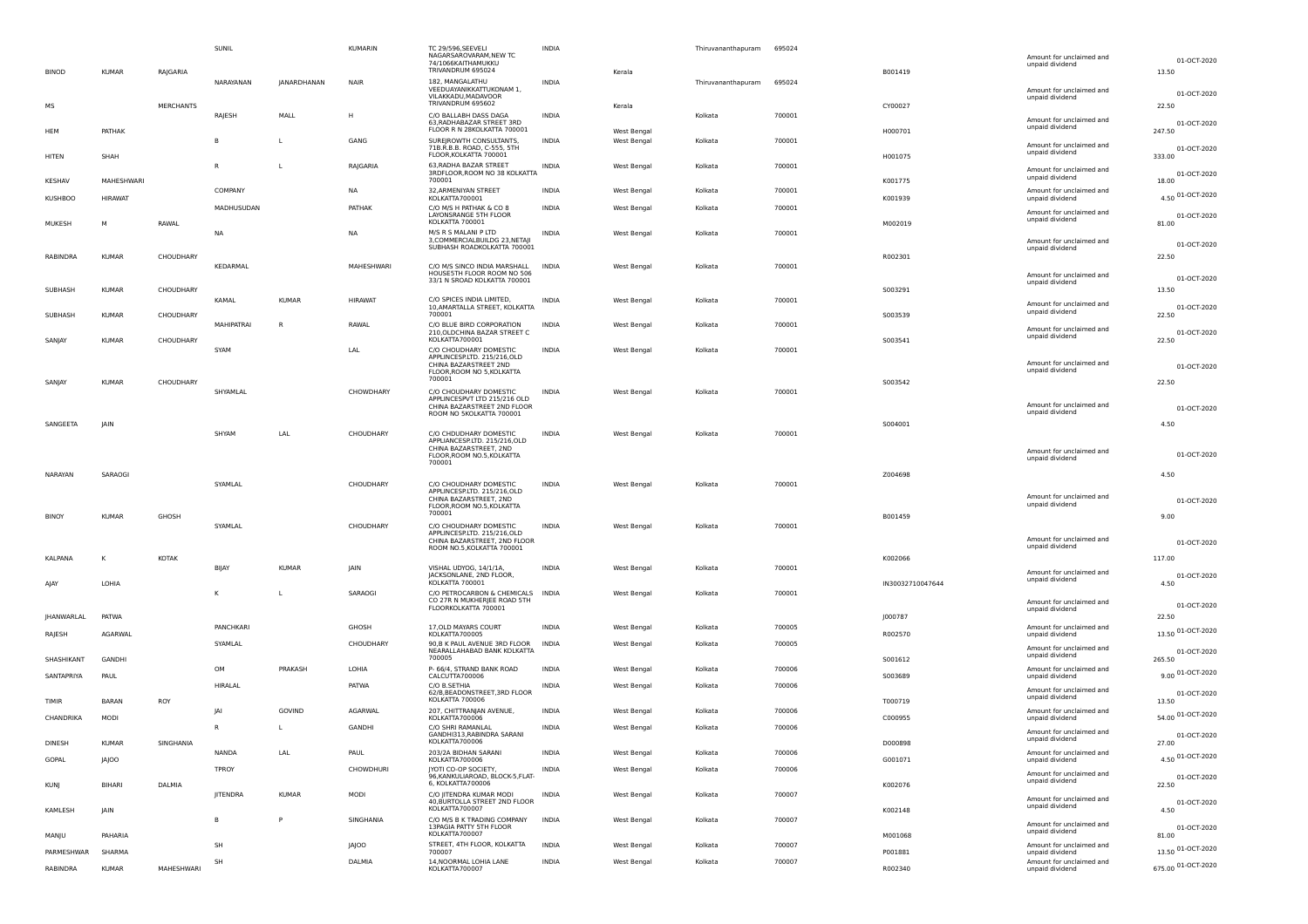|                |                     |                  | SUNIL              |                    | KUMARIN           | <b>TC 29/596.SEEVELI</b><br>NAGARSAROVARAM, NEW TC<br>74/1066KAITHAMUKKU<br>TRIVANDRUM 695024 | INDIA                        |                            | Thiruvananthapuram | 695024           |                  | Amount for unclaimed and<br>unpaid dividend                    | 01-OCT-2020           |
|----------------|---------------------|------------------|--------------------|--------------------|-------------------|-----------------------------------------------------------------------------------------------|------------------------------|----------------------------|--------------------|------------------|------------------|----------------------------------------------------------------|-----------------------|
| <b>BINOD</b>   | KUMAR               | RAJGARIA         | NARAYANAN          | <b>JANARDHANAN</b> | <b>NAIR</b>       | 182, MANGALATHU<br>VEEDUAYANIKKATTUKONAM 1,<br>VILAKKADU, MADAVOOR                            | INDIA                        | Kerala                     | Thiruvananthapuram | 695024           | B001419          | Amount for unclaimed and<br>unpaid dividend                    | 13.50<br>01-OCT-2020  |
| <b>MS</b>      |                     | <b>MERCHANTS</b> |                    |                    |                   | TRIVANDRUM 695602                                                                             |                              | Kerala                     |                    |                  | CY00027          |                                                                | 22.50                 |
| HEM            | PATHAK              |                  | RAJESH             | MALL               | H                 | C/O BALLABH DASS DAGA<br>63, RADHABAZAR STREET 3RD<br>FLOOR R N 28KOLKATTA 700001             | <b>INDIA</b>                 | West Bengal                | Kolkata            | 700001           | H000701          | Amount for unclaimed and<br>unpaid dividend                    | 01-OCT-2020<br>247.50 |
| HITEN          | SHAH                |                  |                    |                    | GANG              | SUREJROWTH CONSULTANTS,<br>71B.R.B.B. ROAD, C-555, 5TH<br>FLOOR, KOLKATTA 700001              | <b>INDIA</b>                 | West Bengal                | Kolkata            | 700001           | H001075          | Amount for unclaimed and<br>unpaid dividend                    | 01-OCT-2020<br>333.00 |
| KESHAV         | MAHESHWARI          |                  |                    |                    | RAJGARIA          | 63, RADHA BAZAR STREET<br>3RDFLOOR, ROOM NO 38 KOLKATTA<br>700001                             | <b>INDIA</b>                 | West Bengal                | Kolkata            | 700001           | K001775          | Amount for unclaimed and<br>unpaid dividend                    | 01-OCT-2020<br>18.00  |
|                |                     |                  | COMPANY            |                    | NA                | 32, ARMENIYAN STREET<br>KOLKATTA700001                                                        | <b>INDIA</b>                 | West Bengal                | Kolkata            | 700001           |                  | Amount for unclaimed and                                       | 4.50 01-OCT-2020      |
| <b>KUSHBOO</b> | <b>HIRAWAT</b><br>M |                  | MADHUSUDAN         |                    | PATHAK            | C/O M/S H PATHAK & CO 8<br>LAYONSRANGE 5TH FLOOR<br>KOLKATTA 700001                           | <b>INDIA</b>                 | West Bengal                | Kolkata            | 700001           | K001939          | unpaid dividend<br>Amount for unclaimed and<br>unpaid dividend | 01-OCT-2020           |
| MUKESH         |                     | RAWAL            | <b>NA</b>          |                    | NA                | M/S R S MALANI P LTD<br>3, COMMERCIALBUILDG 23, NETAJI<br>SUBHASH ROADKOLKATTA 700001         | INDIA                        | West Bengal                | Kolkata            | 700001           | M002019          | Amount for unclaimed and                                       | 81.00<br>01-OCT-2020  |
| RABINDRA       | <b>KUMAR</b>        | CHOUDHARY        | KEDARMAL           |                    | MAHESHWARI        | C/O M/S SINCO INDIA MARSHALL                                                                  | <b>INDIA</b>                 | West Bengal                | Kolkata            | 700001           | R002301          | unpaid dividend                                                | 22.50                 |
| SUBHASH        | <b>KUMAR</b>        | CHOUDHARY        |                    |                    |                   | HOUSESTH FLOOR ROOM NO 506<br>33/1 N SROAD KOLKATTA 700001                                    |                              |                            |                    |                  | 5003291          | Amount for unclaimed and<br>unpaid dividend                    | 01-OCT-2020<br>13.50  |
| SUBHASH        | <b>KUMAR</b>        | CHOUDHARY        | KAMAL              | <b>KUMAR</b>       | <b>HIRAWAT</b>    | C/O SPICES INDIA LIMITED,<br>10, AMARTALLA STREET, KOLKATTA<br>700001                         | INDIA                        | West Bengal                | Kolkata            | 700001           | S003539          | Amount for unclaimed and<br>unpaid dividend                    | 01-OCT-2020<br>22.50  |
| SANJAY         | <b>KUMAR</b>        | CHOUDHARY        | <b>MAHIPATRAI</b>  | R                  | RAWAI             | C/O BLUE BIRD CORPORATION<br>210, OLDCHINA BAZAR STREET C<br>KOLKATTA700001                   | <b>INDIA</b>                 | West Bengal                | Kolkata            | 700001           | S003541          | Amount for unclaimed and<br>unpaid dividend                    | 01-OCT-2020<br>22.50  |
|                |                     |                  | SYAM               |                    | LAL               | C/O CHOUDHARY DOMESTIC<br>APPLINCESP.LTD, 215/216.OLD                                         | <b>INDIA</b>                 | West Bengal                | Kolkata            | 700001           |                  |                                                                |                       |
|                |                     |                  |                    |                    |                   | CHINA BAZARSTREET 2ND<br>FLOOR, ROOM NO 5, KOLKATTA                                           |                              |                            |                    |                  |                  | Amount for unclaimed and<br>unpaid dividend                    | 01-OCT-2020           |
| SANJAY         | <b>KUMAR</b>        | CHOUDHARY        | SHYAMLAL           |                    | CHOWDHARY         | 700001<br>C/O CHOUDHARY DOMESTIC                                                              | <b>INDIA</b>                 | West Bengal                | Kolkata            | 700001           | S003542          |                                                                | 22.50                 |
|                |                     |                  |                    |                    |                   | APPLINCESPVT LTD 215/216 OLD<br>CHINA BAZARSTREET 2ND FLOOR<br>ROOM NO 5KOLKATTA 700001       |                              |                            |                    |                  |                  | Amount for unclaimed and<br>unpaid dividend                    | 01-OCT-2020           |
| SANGEETA       | JAIN                |                  | SHYAM              | LAL                | CHOUDHARY         | C/O CHDUDHARY DOMESTIC                                                                        | <b>INDIA</b>                 |                            | Kolkata            | 700001           | S004001          |                                                                | 4.50                  |
|                |                     |                  |                    |                    |                   | APPLIANCESP.LTD. 215/216,OLD<br>CHINA BAZARSTREET, 2ND<br>FLOOR, ROOM NO.5, KOLKATTA          |                              | West Bengal                |                    |                  |                  | Amount for unclaimed and<br>unpaid dividend                    | 01-OCT-2020           |
| NARAYAN        | SARAOGI             |                  |                    |                    |                   | 700001                                                                                        |                              |                            |                    |                  | Z004698          |                                                                | 4.50                  |
|                |                     |                  | SYAMLAL            |                    | CHOUDHARY         | C/O CHOUDHARY DOMESTIC<br>APPLINCESP.LTD. 215/216,OLD<br>CHINA BAZARSTREET, 2ND               | INDIA                        | West Bengal                | Kolkata            | 700001           |                  | Amount for unclaimed and                                       | 01-OCT-2020           |
| <b>BINOY</b>   | KUMAR               | GHOSH            |                    |                    |                   | FLOOR, ROOM NO.5, KOLKATTA<br>700001                                                          |                              |                            |                    |                  | B001459          | unpaid dividend                                                | 9.00                  |
|                |                     |                  | SYAMLAL            |                    | CHOUDHARY         | C/O CHOUDHARY DOMESTIC<br>APPLINCESP.LTD. 215/216,OLD<br>CHINA BAZARSTREET, 2ND FLOOR         | INDIA                        | West Bengal                | Kolkata            | 700001           |                  | Amount for unclaimed and<br>unpaid dividend                    | 01-OCT-2020           |
| KALPANA        | κ                   | KOTAK            |                    |                    |                   | ROOM NO.5, KOLKATTA 700001                                                                    |                              |                            |                    |                  | K002066          |                                                                | 117.00                |
| AIAY           | LOHIA               |                  | BIJAY              | <b>KUMAR</b>       | JAIN              | VISHAL UDYOG, 14/1/1A,<br>JACKSONLANE, 2ND FLOOR,<br>KOLKATTA 700001                          | INDIA                        | West Bengal                | Kolkata            | 700001           | IN30032710047644 | Amount for unclaimed and<br>unpaid dividend                    | 01-OCT-2020<br>4.50   |
|                |                     |                  | к                  |                    | SARAOGI           | C/O PETROCARBON & CHEMICALS INDIA<br>CO 27R N MUKHERJEE ROAD 5TH                              |                              | West Bengal                | Kolkata            | 700001           |                  | Amount for unclaimed and                                       |                       |
| JHANWARLAL     | PATWA               |                  |                    |                    |                   | FLOORKOLKATTA 700001                                                                          |                              |                            |                    |                  | J000787          | unpaid dividend                                                | 01-OCT-2020<br>22.50  |
| RAJESH         | AGARWAL             |                  | PANCHKARI          |                    | GHOSH             | 17, OLD MAYARS COURT<br>KOLKATTA700005                                                        | INDIA                        | West Bengal                | Kolkata            | 700005           | R002570          | Amount for unclaimed and<br>unpaid dividend                    | 13.50 01-OCT-2020     |
|                |                     |                  | SYAMLAL            |                    | CHOUDHARY         | 90, B K PAUL AVENUE 3RD FLOOR INDIA                                                           |                              | West Bengal                | Kolkata            | 700005           |                  | Amount for unclaimed and                                       |                       |
| SHASHIKANT     | GANDHI              |                  |                    |                    |                   | NEARALLAHABAD BANK KOLKATTA<br>700005                                                         |                              |                            |                    |                  | S001612          | unpaid dividend                                                | 01-OCT-2020<br>265.50 |
| SANTAPRIYA     | PAUL                |                  | OM<br>HIRALAL      | PRAKASH            | LOHIA<br>PATWA    | P- 66/4, STRAND BANK ROAD<br>CALCUTTA700006<br>C/O B.SETHIA                                   | <b>INDIA</b><br><b>INDIA</b> | West Bengal<br>West Bengal | Kolkata<br>Kolkata | 700006<br>700006 | S003689          | Amount for unclaimed and<br>unpaid dividend                    | 9.00 01-OCT-2020      |
| <b>TIMIR</b>   | <b>BARAN</b>        | ROY              |                    |                    |                   | 62/B, BEADONSTREET, 3RD FLOOR<br>KOLKATTA 700006                                              |                              |                            |                    |                  | T000719          | Amount for unclaimed and<br>unpaid dividend                    | 01-OCT-2020<br>13.50  |
| CHANDRIKA      | MODI                |                  | IA<br>$\mathsf{R}$ | GOVIND             | AGARWAL<br>GANDHI | 207, CHITTRANJAN AVENUE,<br>KOLKATTA700006<br>C/O SHRI RAMANLAL                               | <b>INDIA</b><br><b>INDIA</b> | West Bengal<br>West Bengal | Kolkata<br>Kolkata | 700006<br>700006 | C000955          | Amount for unclaimed and<br>unpaid dividend                    | 54.00 01-OCT-2020     |
| DINESH         | <b>KUMAR</b>        | SINGHANIA        |                    |                    |                   | GANDHI313, RABINDRA SARANI<br>KOLKATTA700006                                                  |                              |                            |                    |                  | D000898          | Amount for unclaimed and<br>unpaid dividend                    | 01-OCT-2020<br>27.00  |
| GOPAL          | JAJOO               |                  | NANDA              | LAL                | PAUL              | 203/2A BIDHAN SARANI<br>KOLKATTA700006                                                        | <b>INDIA</b>                 | West Bengal                | Kolkata            | 700006           | G001071          | Amount for unclaimed and<br>unpaid dividend                    | 4.50 01-OCT-2020      |
| <b>KUNJ</b>    | BIHARI              | DALMIA           | TPROY              |                    | CHOWDHURI         | IYOTI CO-OP SOCIETY,<br>96, KANKULIAROAD, BLOCK-5, FLAT-<br>6. KOLKATTA700006                 | <b>INDIA</b>                 | West Bengal                | Kolkata            | 700006           | K002076          | Amount for unclaimed and<br>unpaid dividend                    | 01-OCT-2020<br>22.50  |
| KAMLESH        | JAIN                |                  | JITENDRA           | <b>KUMAR</b>       | MODI              | C/O JITENDRA KUMAR MODI<br>40, BURTOLLA STREET 2ND FLOOR<br>KOLKATTA700007                    | INDIA                        | West Bengal                | Kolkata            | 700007           | K002148          | Amount for unclaimed and<br>unpaid dividend                    | 01-OCT-2020<br>4.50   |
| MANJU          | PAHARIA             |                  |                    |                    | SINGHANIA         | C/O M/S B K TRADING COMPANY<br>13PAGIA PATTY 5TH FLOOR<br>KOLKATTA700007                      | INDIA                        | West Bengal                | Kolkata            | 700007           | M001068          | Amount for unclaimed and<br>unpaid dividend                    | 01-OCT-2020<br>81.00  |
|                |                     |                  | SH                 |                    | <b>JAJOO</b>      | STREET, 4TH FLOOR, KOLKATTA                                                                   | INDIA                        | West Bengal                | Kolkata            | 700007           |                  | Amount for unclaimed and                                       | 13.50 01-OCT-2020     |
| PARMESHWAR     | SHARMA              |                  | SH                 |                    | DALMIA            | 700007<br>14, NOORMAL LOHIA LANE                                                              | INDIA                        | West Bengal                | Kolkata            | 700007           | P001881          | unpaid dividend<br>Amount for unclaimed and                    | 675.00 01-OCT-2020    |
| RABINDRA       | <b>KUMAR</b>        | MAHESHWARI       |                    |                    |                   | KOLKATTA700007                                                                                |                              |                            |                    |                  | R002340          | unpaid dividend                                                |                       |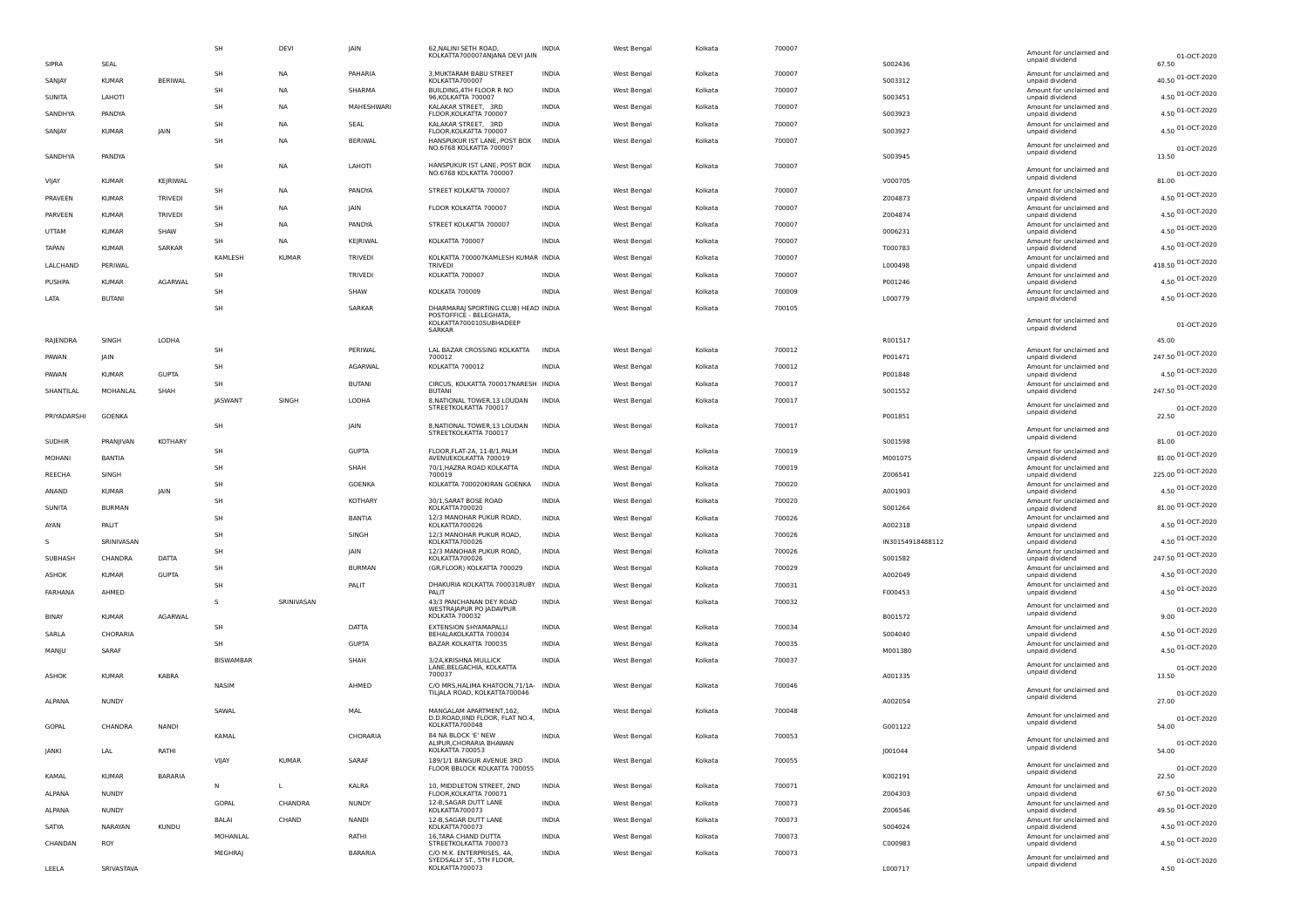|       |               |               |                | SH               | DEVI         | JAIN           | 62, NALINI SETH ROAD,<br>KOLKATTA700007ANJANA DEVI JAIN               | <b>INDIA</b> | West Bengal | Kolkata | 700007 |                  | Amount for unclaimed and<br>unpaid dividend | 01-OCT-2020                |
|-------|---------------|---------------|----------------|------------------|--------------|----------------|-----------------------------------------------------------------------|--------------|-------------|---------|--------|------------------|---------------------------------------------|----------------------------|
|       | SIPRA         | SEAL          |                | SH               | NA           | PAHARIA        | 3, MUKTARAM BABU STREET                                               | INDIA        | West Bengal | Kolkata | 700007 | 5002436          | Amount for unclaimed and                    | 67.50<br>40.50 01-OCT-2020 |
|       | SANJAY        | <b>KUMAR</b>  | <b>BERIWAL</b> | SH               | <b>NA</b>    | SHARMA         | KOLKATTA700007<br>BUILDING, 4TH FLOOR R NO                            | <b>INDIA</b> | West Bengal | Kolkata | 700007 | 5003312          | unpaid dividend<br>Amount for unclaimed and | 4.50 01-OCT-2020           |
|       | SUNITA        | LAHOTI        |                | SH               | NA           | MAHESHWARI     | 96, KOLKATTA 700007<br>KALAKAR STREET, 3RD                            | <b>INDIA</b> | West Bengal | Kolkata | 700007 | S003451          | unpaid dividend<br>Amount for unclaimed and |                            |
|       | SANDHYA       | PANDYA        |                | SH               | <b>NA</b>    | SEAL           | FLOOR, KOLKATTA 700007<br>KALAKAR STREET, 3RD                         | <b>INDIA</b> | West Bengal | Kolkata | 700007 | 5003923          | unpaid dividend<br>Amount for unclaimed and | 4.50 01-OCT-2020           |
|       | SANJAY        | <b>KUMAR</b>  | <b>JAIN</b>    | <b>SH</b>        | NA           | BERIWAL        | FLOOR, KOLKATTA 700007                                                |              |             | Kolkata | 700007 | S003927          | unpaid dividend                             | 4.50 01-OCT-2020           |
|       | SANDHYA       | PANDYA        |                |                  |              |                | HANSPUKUR IST LANE, POST BOX INDIA<br>NO.6768 KOLKATTA 700007         |              | West Bengal |         |        |                  | Amount for unclaimed and<br>unpaid dividend | 01-OCT-2020<br>13.50       |
|       |               |               |                | SH               | <b>NA</b>    | LAHOTI         | HANSPUKUR IST LANE, POST BOX                                          | <b>INDIA</b> | West Bengal | Kolkata | 700007 | S003945          | Amount for unclaimed and                    |                            |
| VIJAY |               | <b>KUMAR</b>  | KEJRIWAL       |                  |              |                | NO.6768 KOLKATTA 700007                                               |              |             |         |        | V000705          | unpaid dividend                             | 01-OCT-2020<br>81.00       |
|       | PRAVEEN       | <b>KUMAR</b>  | <b>TRIVEDI</b> | SH               | <b>NA</b>    | PANDYA         | STREET KOLKATTA 700007                                                | <b>INDIA</b> | West Bengal | Kolkata | 700007 | Z004873          | Amount for unclaimed and<br>unpaid dividend | 4.50 01-OCT-2020           |
|       | PARVEEN       | <b>KUMAR</b>  | TRIVEDI        | SH               | <b>NA</b>    | <b>IAIN</b>    | FLOOR KOLKATTA 700007                                                 | <b>INDIA</b> | West Bengal | Kolkata | 700007 | Z004874          | Amount for unclaimed and<br>unpaid dividend | 4.50 01-OCT-2020           |
|       | UTTAM         | <b>KUMAR</b>  | SHAW           | SH               | NA           | PANDYA         | STREET KOLKATTA 700007                                                | <b>INDIA</b> | West Bengal | Kolkata | 700007 | 0006231          | Amount for unclaimed and<br>unpaid dividend | 4.50 01-OCT-2020           |
|       |               |               |                | SH               | NA           | KEJRIWAL       | KOLKATTA 700007                                                       | INDIA        | West Bengal | Kolkata | 700007 |                  | Amount for unclaimed and                    | 4.50 01-OCT-2020           |
|       | TAPAN         | <b>KUMAR</b>  | SARKAR         | <b>KAMLESH</b>   | <b>KUMAR</b> | TRIVEDI        | KOLKATTA 700007KAMLESH KUMAR INDIA                                    |              | West Bengal | Kolkata | 700007 | T000783          | unpaid dividend<br>Amount for unclaimed and | 418.50 01-OCT-2020         |
|       | LALCHAND      | PERIWAL       |                | SH               |              | TRIVEDI        | <b>TRIVEDI</b><br>KOLKATTA 700007                                     | <b>INDIA</b> | West Bengal | Kolkata | 700007 | L000498          | unpaid dividend<br>Amount for unclaimed and |                            |
|       | PUSHPA        | <b>KUMAR</b>  | <b>AGARWAL</b> | SH               |              | SHAW           | KOLKATA 700009                                                        | <b>INDIA</b> | West Bengal | Kolkata | 700009 | P001246          | unpaid dividend<br>Amount for unclaimed and | 4.50 01-OCT-2020           |
| LATA  |               | <b>BUTANI</b> |                | SH               |              | <b>SARKAR</b>  | DHARMARAJ SPORTING CLUB) HEAD INDIA                                   |              | West Bengal | Kolkata | 700105 | L000779          | unpaid dividend                             | 4.50 01-OCT-2020           |
|       |               |               |                |                  |              |                | POSTOFFICE - BELEGHATA,<br>KOLKATTA700010SUBHADEEP                    |              |             |         |        |                  | Amount for unclaimed and                    | 01-OCT-2020                |
|       | RAJENDRA      | SINGH         | LODHA          |                  |              |                | SARKAR                                                                |              |             |         |        | R001517          | unpaid dividend                             | 45.00                      |
|       |               |               |                | SH               |              | PERIWAL        | LAL BAZAR CROSSING KOLKATTA                                           | <b>INDIA</b> | West Bengal | Kolkata | 700012 |                  | Amount for unclaimed and                    | 247.50 01-OCT-2020         |
|       | PAWAN         | <b>IAIN</b>   |                | <b>SH</b>        |              | AGARWAL        | 700012<br>KOLKATTA 700012                                             | <b>INDIA</b> | West Bengal | Kolkata | 700012 | P001471          | unpaid dividend<br>Amount for unclaimed and |                            |
|       | PAWAN         | <b>KUMAR</b>  | <b>GUPTA</b>   | SH               |              | <b>BUTANI</b>  | CIRCUS, KOLKATTA 700017NARESH INDIA                                   |              | West Bengal | Kolkata | 700017 | P001848          | unpaid dividend<br>Amount for unclaimed and | 4.50 01-OCT-2020           |
|       | SHANTILAL     | MOHANLAL      | SHAH           | <b>IASWANT</b>   | SINGH        | LODHA          | <b>BUTANI</b><br>8, NATIONAL TOWER, 13 LOUDAN                         | <b>INDIA</b> | West Bengal | Kolkata | 700017 | S001552          | unpaid dividend                             | 247.50 01-OCT-2020         |
|       | PRIYADARSHI   | <b>GOENKA</b> |                |                  |              |                | STREETKOLKATTA 700017                                                 |              |             |         |        | P001851          | Amount for unclaimed and<br>unpaid dividend | 01-OCT-2020<br>22.50       |
|       |               |               |                | SH               |              | JAIN           | 8, NATIONAL TOWER, 13 LOUDAN                                          | <b>INDIA</b> | West Bengal | Kolkata | 700017 |                  | Amount for unclaimed and                    |                            |
|       | <b>SUDHIR</b> | PRANJIVAN     | KOTHARY        |                  |              |                | STREETKOLKATTA 700017                                                 |              |             |         |        | S001598          | unpaid dividend                             | 01-OCT-2020<br>81.00       |
|       | MOHANI        | BANTIA        |                | SH               |              | <b>GUPTA</b>   | FLOOR, FLAT-2A, 11-B/1, PALM<br>AVENUEKOLKATTA 700019                 | <b>INDIA</b> | West Bengal | Kolkata | 700019 | M001075          | Amount for unclaimed and<br>unpaid dividend | 81.00 01-OCT-2020          |
|       | REECHA        | SINGH         |                | SH               |              | SHAH           | 70/1, HAZRA ROAD KOLKATTA<br>700019                                   | <b>INDIA</b> | West Bengal | Kolkata | 700019 | Z006541          | Amount for unclaimed and<br>unpaid dividend | 225.00 01-OCT-2020         |
|       | ANAND         | <b>KUMAR</b>  | JAIN           | SH               |              | <b>GOENKA</b>  | KOLKATTA 700020KIRAN GOENKA                                           | <b>INDIA</b> | West Bengal | Kolkata | 700020 | A001903          | Amount for unclaimed and<br>unpaid dividend | 4.50 01-OCT-2020           |
|       | SUNITA        | <b>BURMAN</b> |                | SH               |              | KOTHARY        | 30/1, SARAT BOSE ROAD<br>KOLKATTA700020                               | <b>INDIA</b> | West Bengal | Kolkata | 700020 | S001264          | Amount for unclaimed and                    | 81.00 01-OCT-2020          |
|       |               |               |                | SH               |              | BANTIA         | 12/3 MANOHAR PUKUR ROAD,                                              | <b>INDIA</b> | West Bengal | Kolkata | 700026 |                  | unpaid dividend<br>Amount for unclaimed and | 4.50 01-OCT-2020           |
| AYAN  |               | PALIT         |                | <b>SH</b>        |              | SINGH          | KOLKATTA700026<br>12/3 MANOHAR PUKUR ROAD,                            | <b>INDIA</b> | West Bengal | Kolkata | 700026 | A002318          | unpaid dividend<br>Amount for unclaimed and | 4.50 01-OCT-2020           |
| s     |               | SRINIVASAN    |                | SH               |              | JAIN           | KOLKATTA700026<br>12/3 MANOHAR PUKUR ROAD,                            | <b>INDIA</b> | West Bengal | Kolkata | 700026 | IN30154918488112 | unpaid dividend<br>Amount for unclaimed and |                            |
|       | SUBHASH       | CHANDRA       | DATTA          | SH               |              | <b>BURMAN</b>  | KOLKATTA700026<br>(GR.FLOOR) KOLKATTA 700029                          | <b>INDIA</b> | West Bengal | Kolkata | 700029 | S001582          | unpaid dividend<br>Amount for unclaimed and | 247.50 01-OCT-2020         |
|       | ASHOK         | <b>KUMAR</b>  | <b>GUPTA</b>   | SH               |              | PALIT          | DHAKURIA KOLKATTA 700031RUBY INDIA                                    |              | West Bengal | Kolkata | 700031 | A002049          | unpaid dividend<br>Amount for unclaimed and | 4.50 01-OCT-2020           |
|       | FARHANA       | AHMED         |                | $\mathsf{s}$     |              |                | PAI IT                                                                | <b>INDIA</b> |             |         |        | F000453          | unpaid dividend                             | 4.50 01-OCT-2020           |
|       | BINAY         | <b>KUMAR</b>  | AGARWAL        |                  | SRINIVASAN   |                | 43/3 PANCHANAN DEY ROAD<br>WESTRAJAPUR PO JADAVPUR<br>KOLKATA 700032  |              | West Bengal | Kolkata | 700032 | B001572          | Amount for unclaimed and<br>unpaid dividend | 01-OCT-2020<br>9.00        |
|       |               |               |                | SH               |              | DATTA          | EXTENSION SHYAMAPALLI                                                 | <b>INDIA</b> | West Bengal | Kolkata | 700034 |                  | Amount for unclaimed and                    | 4.50 01-OCT-2020           |
|       | SARLA         | CHORARIA      |                | <b>SH</b>        |              | <b>GUPTA</b>   | BEHALAKOLKATTA 700034<br>BAZAR KOLKATTA 700035                        | <b>INDIA</b> | West Bengal | Kolkata | 700035 | S004040          | unpaid dividend<br>Amount for unclaimed and | 4.50 01-OCT-2020           |
|       | MANJU         | SARAF         |                | <b>BISWAMBAR</b> |              | SHAH           | 3/2A, KRISHNA MULLICK                                                 | <b>INDIA</b> | West Bengal | Kolkata | 700037 | M001380          | unpaid dividend                             |                            |
|       | ASHOK         | <b>KUMAR</b>  | KABRA          |                  |              |                | LANE, BELGACHIA, KOLKATTA<br>700037                                   |              |             |         |        | A001335          | Amount for unclaimed and<br>unpaid dividend | 01-OCT-2020<br>13.50       |
|       |               |               |                | NASIM            |              | AHMED          | C/O MRS, HALIMA KHATOON, 71/1A- INDIA<br>TILJALA ROAD, KOLKATTA700046 |              | West Bengal | Kolkata | 700046 |                  | Amount for unclaimed and                    | 01-OCT-2020                |
|       | ALPANA        | <b>NUNDY</b>  |                |                  |              |                |                                                                       |              |             |         |        | A002054          | unpaid dividend                             | 27.00                      |
|       |               |               |                | SAWAL            |              | <b>MAL</b>     | MANGALAM APARTMENT, 162,<br>D.D.ROAD, IIND FLOOR, FLAT NO.4,          | INDIA        | West Bengal | Kolkata | 700048 |                  | Amount for unclaimed and<br>unpaid dividend | 01-OCT-2020                |
|       | GOPAL         | CHANDRA       | <b>NANDI</b>   | KAMAL            |              | CHORARIA       | KOLKATTA700048<br>84 NA BLOCK 'E' NEW                                 | <b>INDIA</b> | West Bengal | Kolkata | 700053 | G001122          | Amount for unclaimed and                    | 54.00                      |
|       | JANKI         | LAL           | RATHI          |                  |              |                | ALIPUR.CHORARIA BHAWAN<br>KOLKATTA 700053                             |              |             |         |        | J001044          | unpaid dividend                             | 01-OCT-2020<br>54.00       |
|       |               |               |                | VIJAY            | KUMAR        | SARAF          | 189/1/1 BANGUR AVENUE 3RD<br>FLOOR BBLOCK KOLKATTA 700055             | INDIA        | West Bengal | Kolkata | 700055 |                  | Amount for unclaimed and                    | 01-OCT-2020                |
|       | KAMAL         | <b>KUMAR</b>  | <b>BARARIA</b> | N                | L            | KALRA          | 10, MIDDLETON STREET, 2ND                                             | <b>INDIA</b> |             |         |        | K002191          | unpaid dividend                             | 22.50                      |
|       | ALPANA        | <b>NUNDY</b>  |                |                  |              |                | FLOOR, KOLKATTA 700071                                                |              | West Bengal | Kolkata | 700071 | Z004303          | Amount for unclaimed and<br>unpaid dividend | 67.50 01-OCT-2020          |
|       | ALPANA        | <b>NUNDY</b>  |                | GOPAL            | CHANDRA      | <b>NUNDY</b>   | 12-B, SAGAR DUTT LANE<br>KOLKATTA700073                               | INDIA        | West Bengal | Kolkata | 700073 | Z006546          | Amount for unclaimed and<br>unpaid dividend | 49.50 01-OCT-2020          |
|       | SATYA         | NARAYAN       | <b>KUNDU</b>   | BALAI            | CHAND        | NANDI          | 12-B, SAGAR DUTT LANE<br>KOLKATTA700073                               | <b>INDIA</b> | West Bengal | Kolkata | 700073 | S004024          | Amount for unclaimed and<br>unpaid dividend | 4.50 01-OCT-2020           |
|       | CHANDAN       | ROY           |                | MOHANLAL         |              | RATHI          | 16, TARA CHAND DUTTA<br>STREETKOLKATTA 700073                         | <b>INDIA</b> | West Bengal | Kolkata | 700073 | C000983          | Amount for unclaimed and<br>unpaid dividend | 4.50 01-OCT-2020           |
|       |               |               |                | MEGHRAJ          |              | <b>BARARIA</b> | C/O M.K. ENTERPRISES, 4A,<br>SYEDSALLY ST., 5TH FLOOR,                | <b>INDIA</b> | West Bengal | Kolkata | 700073 |                  | Amount for unclaimed and                    | 01-OCT-2020                |
|       | LEELA         | SRIVASTAVA    |                |                  |              |                | KOLKATTA700073                                                        |              |             |         |        | L000717          | unpaid dividend                             | 4.50                       |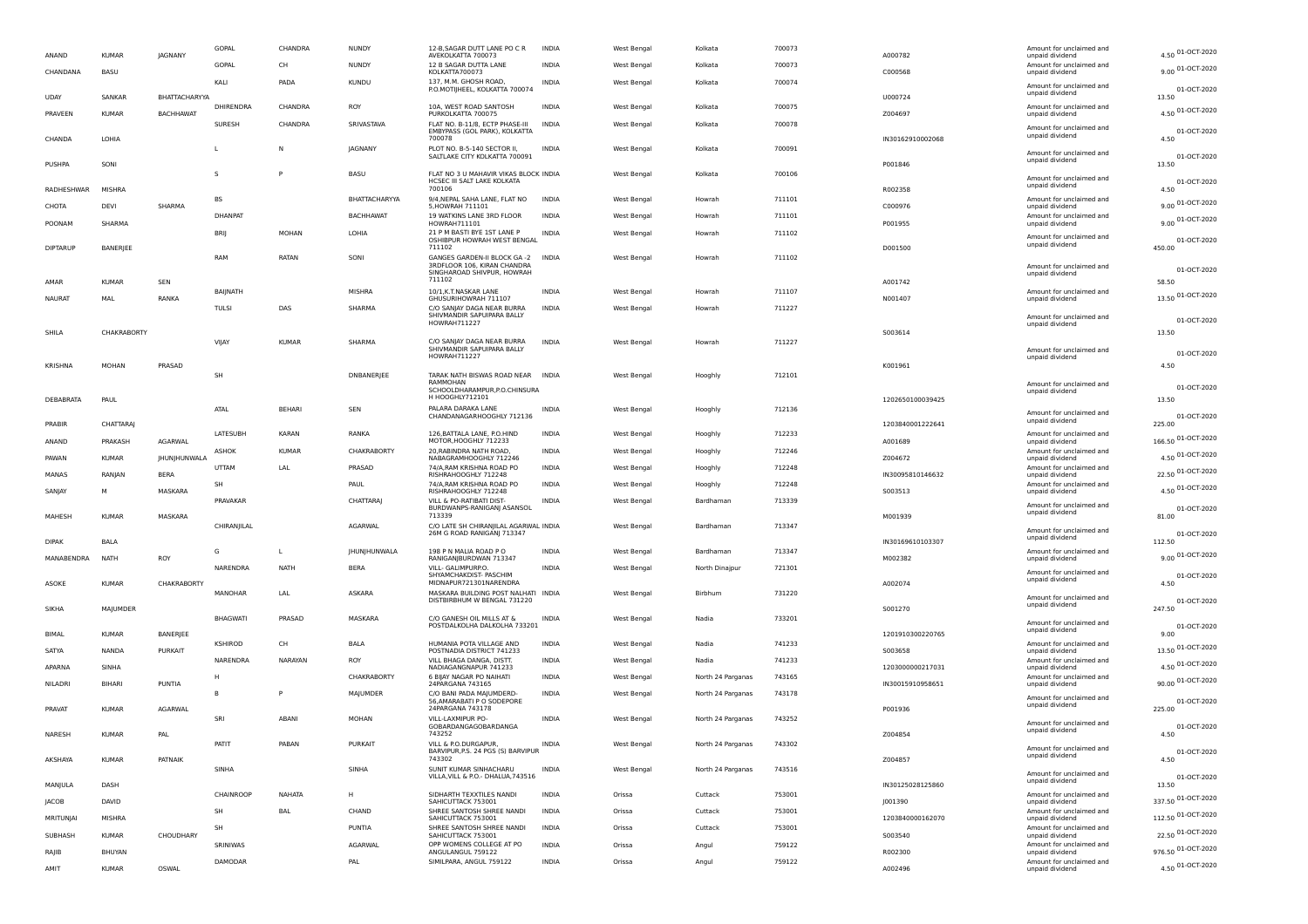| ANAND           | <b>KUMAR</b>    | <b>IAGNANY</b>       | GOPAL           | CHANDRA      | <b>NUNDY</b>     | 12-B, SAGAR DUTT LANE PO C R<br>AVEKOLKATTA 700073                   | <b>INDIA</b> | West Bengal        | Kolkata           | 700073 | A000782          | Amount for unclaimed and<br>unpaid dividend | 4.50 01-OCT-2020           |
|-----------------|-----------------|----------------------|-----------------|--------------|------------------|----------------------------------------------------------------------|--------------|--------------------|-------------------|--------|------------------|---------------------------------------------|----------------------------|
| CHANDANA        | BASU            |                      | GOPAL           | CH           | NUNDY            | 12 B SAGAR DUTTA LANE<br>KOLKATTA700073                              | <b>INDIA</b> | West Bengal        | Kolkata           | 700073 | C000568          | Amount for unclaimed and<br>unpaid dividend | 9.00 01-OCT-2020           |
|                 |                 |                      | KALI            | PADA         | <b>KUNDU</b>     | 137, M.M. GHOSH ROAD,<br>P.O.MOTIJHEEL, KOLKATTA 700074              | <b>INDIA</b> | West Bengal        | Kolkata           | 700074 |                  | Amount for unclaimed and<br>unpaid dividend | 01-OCT-2020                |
| <b>UDAY</b>     | SANKAP          | <b>BHATTACHARYYA</b> | DHIRENDRA       | CHANDRA      | ROY              | 10A, WEST ROAD SANTOSH                                               | <b>INDIA</b> | West Bengal        | Kolkata           | 700075 | U000724          | Amount for unclaimed and                    | 13.50<br>4.50 01-OCT-2020  |
| PRAVEEN         | <b>KUMAR</b>    | <b>BACHHAWAT</b>     | SURESH          | CHANDRA      | SRIVASTAVA       | PURKOLKATTA 700075<br>FLAT NO. B-11/8, ECTP PHASE-III                | <b>INDIA</b> | West Bengal        | Kolkata           | 700078 | Z004697          | unpaid dividend                             |                            |
| CHANDA          | LOHIA           |                      |                 |              |                  | EMBYPASS (GOL PARK), KOLKATTA<br>700078                              |              |                    |                   |        | IN30162910002068 | Amount for unclaimed and<br>unpaid dividend | 01-OCT-2020<br>4.50        |
| PUSHPA          | SONI            |                      |                 | N            | JAGNANY          | PLOT NO. B-5-140 SECTOR II,<br>SALTLAKE CITY KOLKATTA 700091         | INDIA        | West Bengal        | Kolkata           | 700091 | P001846          | Amount for unclaimed and<br>unpaid dividend | 01-OCT-2020<br>13.50       |
|                 |                 |                      | S               | P            | <b>BASU</b>      | FLAT NO 3 U MAHAVIR VIKAS BLOCK INDIA<br>HCSEC III SALT LAKE KOLKATA |              | <b>West Bengal</b> | Kolkata           | 700106 |                  | Amount for unclaimed and                    | 01-OCT-2020                |
| RADHESHWAR      | MISHRA          |                      |                 |              |                  | 700106                                                               |              |                    |                   |        | R002358          | unpaid dividend                             | 4.50                       |
| CHOTA           | DEVI            | SHARMA               | <b>BS</b>       |              | BHATTACHARYYA    | 9/4, NEPAL SAHA LANE, FLAT NO<br>5, HOWRAH 711101                    | <b>INDIA</b> | West Bengal        | Howrah            | 711101 | C000976          | Amount for unclaimed and<br>unpaid dividend | 9.00 01-OCT-2020           |
| POONAM          | SHARMA          |                      | <b>DHANPAT</b>  |              | <b>BACHHAWAT</b> | 19 WATKINS LANE 3RD FLOOR<br>HOWRAH711101                            | <b>INDIA</b> | West Bengal        | Howrah            | 711101 | P001955          | Amount for unclaimed and<br>unpaid dividend | 9.00 01-OCT-2020           |
| <b>DIPTARUP</b> | BANERJEE        |                      | <b>BRII</b>     | MOHAN        | LOHIA            | 21 P M BASTI BYE 1ST LANE P<br>OSHIBPUR HOWRAH WEST BENGAL<br>711102 | INDIA        | <b>West Bengal</b> | Howrah            | 711102 | D001500          | Amount for unclaimed and<br>unpaid dividend | 01-OCT-2020<br>450.00      |
|                 |                 |                      | RAM             | RATAN        | SONI             | GANGES GARDEN-II BLOCK GA -2<br>3RDFLOOR 106, KIRAN CHANDRA          | <b>INDIA</b> | West Bengal        | Howrah            | 711102 |                  | Amount for unclaimed and                    |                            |
|                 |                 |                      |                 |              |                  | SINGHAROAD SHIVPUR, HOWRAH<br>711102                                 |              |                    |                   |        |                  | unpaid dividend                             | 01-OCT-2020                |
| AMAR            | <b>KUMAR</b>    | SEN                  | BAIJNATH        |              | MISHRA           | 10/1, K.T. NASKAR LANE                                               | <b>INDIA</b> | West Bengal        | Howrah            | 711107 | A001742          | Amount for unclaimed and                    | 58.50<br>13.50 01-OCT-2020 |
| <b>NAURAT</b>   | MAL             | RANKA                | TULSI           | DAS          | SHARMA           | GHUSURIHOWRAH 711107<br>C/O SANJAY DAGA NEAR BURRA                   | <b>INDIA</b> | West Bengal        | Howrah            | 711227 | N001407          | unpaid dividend                             |                            |
|                 |                 |                      |                 |              |                  | SHIVMANDIR SAPUIPARA BALLY<br>HOWRAH711227                           |              |                    |                   |        |                  | Amount for unclaimed and<br>unpaid dividend | 01-OCT-2020                |
| SHILA           | CHAKRABORTY     |                      |                 |              |                  |                                                                      |              |                    |                   |        | S003614          |                                             | 13.50                      |
|                 |                 |                      | VIJAY           | <b>KUMAR</b> | SHARMA           | C/O SANJAY DAGA NEAR BURRA<br>SHIVMANDIR SAPUIPARA BALLY             | <b>INDIA</b> | <b>West Bengal</b> | Howrah            | 711227 |                  | Amount for unclaimed and                    | 01-OCT-2020                |
| <b>KRISHNA</b>  | MOHAN           | PRASAD               |                 |              |                  | HOWRAH711227                                                         |              |                    |                   |        | K001961          | unpaid dividend                             | 4.50                       |
|                 |                 |                      | SH              |              | DNBANERJEE       | TARAK NATH BISWAS ROAD NEAR INDIA<br>RAMMOHAN                        |              | West Bengal        | Hooghly           | 712101 |                  | Amount for unclaimed and                    |                            |
| DEBABRATA       | PAUL            |                      |                 |              |                  | SCHOOLDHARAMPUR, P.O. CHINSURA<br>H HOOGHLY712101                    |              |                    |                   |        | 1202650100039425 | unpaid dividend                             | 01-OCT-2020<br>13.50       |
|                 |                 |                      | ATAL            | BEHARI       | SEN              | PALARA DARAKA LANE                                                   | INDIA        | <b>West Bengal</b> | Hooghly           | 712136 |                  | Amount for unclaimed and                    |                            |
| PRABIR          | <b>CHATTARA</b> |                      |                 |              |                  | CHANDANAGARHOOGHLY 712136                                            |              |                    |                   |        | 1203840001222641 | unpaid dividend                             | 01-OCT-2020<br>225.00      |
| ANAND           | PRAKASH         | AGARWAL              | LATESUBH        | <b>KARAN</b> | RANKA            | 126, BATTALA LANE, P.O.HIND<br>MOTOR, HOOGHLY 712233                 | <b>INDIA</b> | West Bengal        | Hooghly           | 712233 | A001689          | Amount for unclaimed and<br>unpaid dividend | 166.50 01-OCT-2020         |
| PAWAN           | <b>KUMAR</b>    | JHUNJHUNWALA         | ASHOK           | <b>KUMAR</b> | CHAKRABORTY      | 20. RABINDRA NATH ROAD<br>NABAGRAMHOOGHLY 712246                     | INDIA        | West Bengal        | Hooghly           | 712246 | Z004672          | Amount for unclaimed and<br>unpaid dividend | 4.50 01-OCT-2020           |
| MANAS           |                 | <b>BERA</b>          | UTTAM           | LAL          | PRASAD           | 74/A, RAM KRISHNA ROAD PO                                            | <b>INDIA</b> | West Bengal        | Hooghly           | 712248 |                  | Amount for unclaimed and                    | 22.50 01-OCT-2020          |
|                 | RANJAN          |                      | SH              |              | PAUL             | RISHRAHOOGHLY 712248<br>74/A, RAM KRISHNA ROAD PO                    | <b>INDIA</b> | West Bengal        | Hooghly           | 712248 | IN30095810146632 | unpaid dividend<br>Amount for unclaimed and | 4.50 01-OCT-2020           |
| SANJAY          | M               | MASKARA              | PRAVAKAR        |              | <b>CHATTARA</b>  | RISHRAHOOGHLY 712248<br>VILL & PO-RATIBATI DIST-                     | <b>INDIA</b> | West Bengal        | Bardhaman         | 713339 | S003513          | unpaid dividend                             |                            |
| MAHESH          | <b>KUMAR</b>    | MASKARA              |                 |              |                  | BURDWANPS-RANIGANJ ASANSOL<br>713339                                 |              |                    |                   |        | M001939          | Amount for unclaimed and<br>unpaid dividend | 01-OCT-2020<br>81.00       |
|                 |                 |                      | CHIRANJILAL     |              | <b>AGARWAL</b>   | C/O LATE SH CHIRANJILAL AGARWAL INDIA<br>26M G ROAD RANIGANJ 713347  |              | West Bengal        | Bardhaman         | 713347 |                  | Amount for unclaimed and                    | 01-OCT-2020                |
| <b>DIPAK</b>    | BALA            |                      |                 |              |                  |                                                                      |              |                    |                   |        | IN30169610103307 | unpaid dividend                             | 112.50                     |
| MANABENDRA      | <b>NATH</b>     | ROY                  | G               | L            | JHUNJHUNWALA     | 198 P N MALIA ROAD P O<br>RANIGANJBURDWAN 713347                     | INDIA        | West Bengal        | Bardhaman         | 713347 | M002382          | Amount for unclaimed and<br>unpaid dividend | 9.00 01-OCT-2020           |
|                 |                 |                      | NARENDRA        | NATH         | <b>BERA</b>      | VILL- GALIMPURP.O.<br>SHYAMCHAKDIST- PASCHIM                         | <b>INDIA</b> | West Bengal        | North Dinajpur    | 721301 |                  | Amount for unclaimed and<br>unpaid dividend | 01-OCT-2020                |
| ASOKE           | <b>KUMAR</b>    | CHAKRABORTY          | MANOHAR         | LAL          | ASKARA           | MIDNAPUR721301NARENDRA<br>MASKARA BUILDING POST NALHATI INDIA        |              | West Benga         | Birbhum           | 731220 | A002074          |                                             | 4.50                       |
| SIKHA           | MAJUMDER        |                      |                 |              |                  | DISTBIRBHUM W BENGAL 731220                                          |              |                    |                   |        | S001270          | Amount for unclaimed and<br>unpaid dividend | 01-OCT-2020<br>247.50      |
|                 |                 |                      | <b>BHAGWATI</b> | PRASAD       | MASKARA          | C/O GANESH OIL MILLS AT &<br>POSTDALKOLHA DALKOLHA 733201            | INDIA        | West Bengal        | Nadia             | 733201 |                  | Amount for unclaimed and                    |                            |
| <b>BIMAL</b>    | <b>KUMAR</b>    | BANERJEE             |                 |              |                  |                                                                      |              |                    |                   |        | 1201910300220765 | unpaid dividend                             | 01-OCT-2020<br>9.00        |
| SATYA           | <b>NANDA</b>    | <b>PURKAIT</b>       | KSHIROD         | CH           | BALA             | HUMANIA POTA VILLAGE AND<br>POSTNADIA DISTRICT 741233                | INDIA        | West Bengal        | Nadia             | 741233 | S003658          | Amount for unclaimed and<br>unpaid dividend | 13.50 01-OCT-2020          |
| APARNA          | SINHA           |                      | NARENDRA        | NARAYAN      | ROY              | VII I BHAGA DANGA, DISTT.<br>NADIAGANGNAPUR 741233                   | INDIA        | West Bengal        | Nadia             | 741233 | 1203000000217031 | Amount for unclaimed and<br>unpaid dividend | 4.50 01-OCT-2020           |
| NILADRI         | <b>BIHARI</b>   | PUNTIA               |                 |              | CHAKRABORTY      | 6 BIJAY NAGAR PO NAIHATI<br>24PARGANA 743165                         | INDIA        | West Benga         | North 24 Parganas | 743165 | IN30015910958651 | Amount for unclaimed and<br>unpaid dividend | 90.00 01-OCT-2020          |
|                 |                 |                      | в               |              | MAJUMDER         | C/O BANI PADA MAJUMDERD-                                             | <b>INDIA</b> | West Bengal        | North 24 Parganas | 743178 |                  | Amount for unclaimed and                    |                            |
| PRAVAT          | <b>KUMAR</b>    | AGARWAL              |                 |              |                  | 56, AMARABATI P O SODEPORE<br>24PARGANA 743178                       |              |                    |                   |        | P001936          | unpaid dividend                             | 01-OCT-2020<br>225.00      |
|                 |                 |                      | SRI             | ABANI        | MOHAN            | VILL-LAXMIPUR PO-<br>GOBARDANGAGOBARDANGA                            | INDIA        | <b>West Bengal</b> | North 24 Parganas | 743252 |                  | Amount for unclaimed and                    | 01-OCT-2020                |
| NARESH          | KUMAR           | PAI                  | PATIT           | PABAN        | <b>PURKAI</b>    | 743252<br>VILL & P.O.DURGAPUR,                                       | <b>INDIA</b> | West Bengal        | North 24 Parganas | 743302 | Z004854          | unpaid dividend                             | 4.50                       |
| AKSHAYA         | <b>KUMAR</b>    | PATNAIK              |                 |              |                  | BARVIPUR, P.S. 24 PGS (S) BARVIPUR<br>743302                         |              |                    |                   |        | Z004857          | Amount for unclaimed and<br>unpaid dividend | 01-OCT-2020<br>4.50        |
|                 |                 |                      | SINHA           |              | SINHA            | SUNIT KUMAR SINHACHARU<br>VILLA, VILL & P.O. - DHALUA, 743516        | INDIA        | West Bengal        | North 24 Parganas | 743516 |                  | Amount for unclaimed and                    |                            |
| MANJULA         | DASH            |                      |                 |              |                  |                                                                      |              |                    |                   |        | IN30125028125860 | unpaid dividend                             | 01-OCT-2020<br>13.50       |
| <b>JACOB</b>    | DAVID           |                      | CHAINROOP       | NAHATA       | н.               | SIDHARTH TEXXTILES NANDI<br>SAHICUTTACK 753001                       | <b>INDIA</b> | Orissa             | Cuttack           | 753001 | J001390          | Amount for unclaimed and<br>unpaid dividend | 337.50 01-OCT-2020         |
| MRITUNJAI       | MISHRA          |                      | SH              | BAL          | CHAND            | SHREE SANTOSH SHREE NANDI<br>SAHICUTTACK 753001                      | INDIA        | Orissa             | Cuttack           | 753001 | 1203840000162070 | Amount for unclaimed and<br>unpaid dividend | 112.50 01-OCT-2020         |
| SUBHASH         | <b>KUMAR</b>    | CHOUDHARY            | SH              |              | PUNTIA           | SHREE SANTOSH SHREE NANDI<br>SAHICUTTACK 753001                      | <b>INDIA</b> | Orissa             | Cuttack           | 753001 | S003540          | Amount for unclaimed and<br>unpaid dividend | 22.50 01-OCT-2020          |
|                 |                 |                      | SRINIWAS        |              | AGARWAL          | OPP WOMENS COLLEGE AT PO                                             | <b>INDIA</b> | Orissa             | Angul             | 759122 |                  | Amount for unclaimed and                    | 976.50 01-OCT-2020         |
| RAJIB           | BHUYAN          |                      | DAMODAR         |              | PAL              | ANGULANGUL 759122<br>SIMILPARA, ANGUL 759122                         | INDIA        | Orissa             | Angul             | 759122 | R002300          | unpaid dividend<br>Amount for unclaimed and | 4.50 01-OCT-2020           |
| AMIT            | <b>KUMAR</b>    | OSWAL                |                 |              |                  |                                                                      |              |                    |                   |        | A002496          | unpaid dividend                             |                            |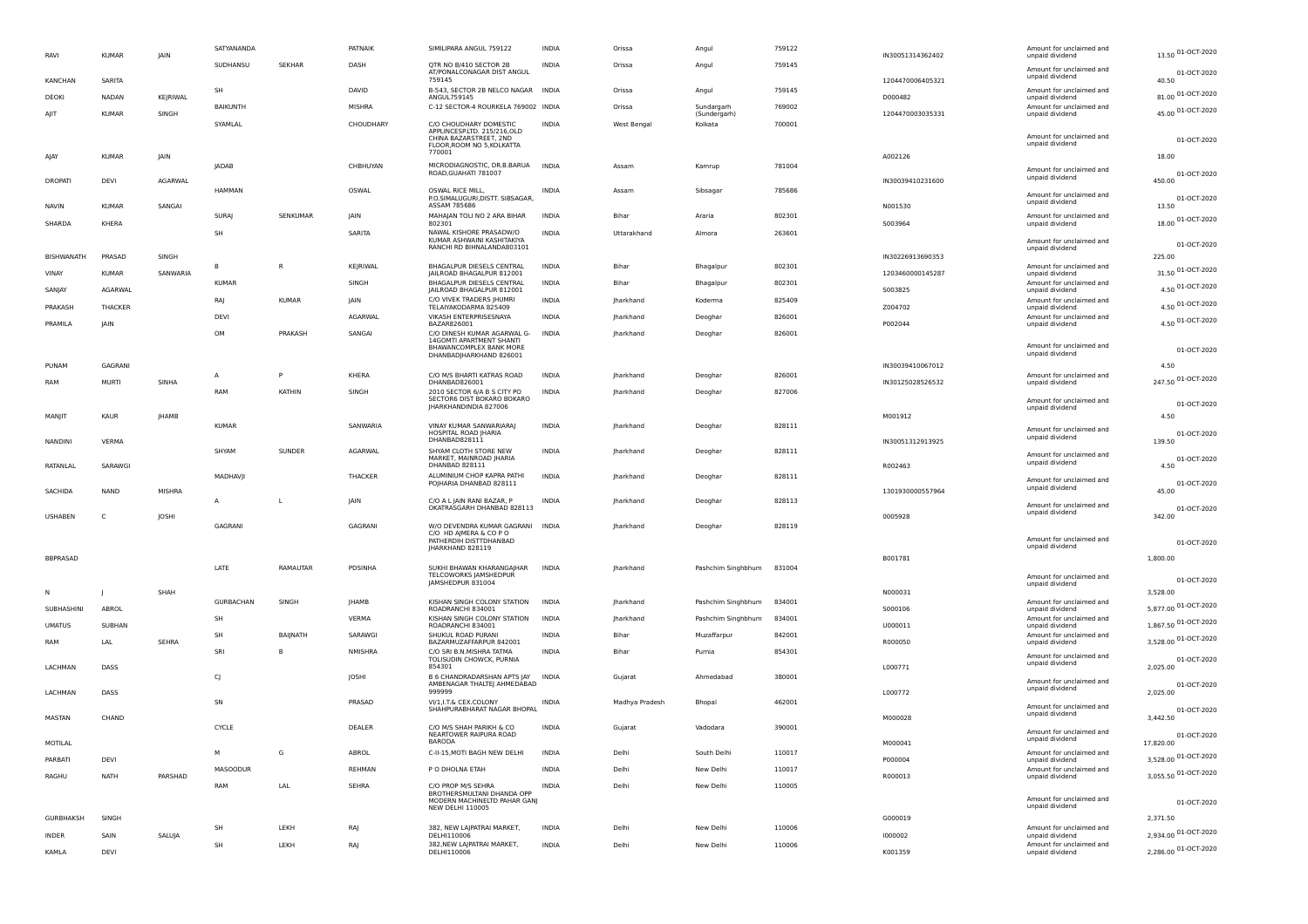| RAVI              | <b>KUMAR</b> | JAIN        | SATYANANDA      |                 | PATNAIK       | SIMILIPARA ANGUL 759122                                                               | <b>INDIA</b> | Orissa             | Angul                      | 759122 | IN30051314362402 | Amount for unclaimed and<br>unpaid dividend | 13.50 01-OCT-2020        |
|-------------------|--------------|-------------|-----------------|-----------------|---------------|---------------------------------------------------------------------------------------|--------------|--------------------|----------------------------|--------|------------------|---------------------------------------------|--------------------------|
|                   |              |             | SUDHANSU        | SEKHAR          | DASH          | OTR NO B/410 SECTOR 2B<br>AT/PONALCONAGAR DIST ANGUL                                  | <b>INDIA</b> | Orissa             | Angul                      | 759145 |                  | Amount for unclaimed and                    | 01-OCT-2020              |
| <b>KANCHAN</b>    | SARITA       |             |                 |                 | DAVID         | 759145                                                                                |              |                    |                            |        | 1204470006405321 | unpaid dividend                             | 40.50                    |
| DEOKI             | <b>NADAN</b> | KEJRIWAL    | <b>SH</b>       |                 |               | B-543, SECTOR 2B NELCO NAGAR INDIA<br>ANGUL759145                                     |              | Orissa             | Angul                      | 759145 | D000482          | Amount for unclaimed and<br>unpaid dividend | 81.00 01-OCT-2020        |
| AJIT              | <b>KUMAR</b> | SINGH       | BAIKUNTH        |                 | <b>MISHRA</b> | C-12 SECTOR-4 ROURKELA 769002 INDIA                                                   |              | Orissa             | Sundargarh<br>(Sundergarh) | 769002 | 1204470003035331 | Amount for unclaimed and<br>unpaid dividend | 45.00 01-OCT-2020        |
|                   |              |             | SYAMLAL         |                 | CHOUDHARY     | C/O CHOUDHARY DOMESTIC<br>APPLINCESP.LTD. 215/216,OLD                                 | <b>INDIA</b> | <b>West Bengal</b> | Kolkata                    | 700001 |                  |                                             |                          |
|                   |              |             |                 |                 |               | CHINA BAZARSTREET, 2ND<br>FLOOR, ROOM NO 5, KOLKATTA                                  |              |                    |                            |        |                  | Amount for unclaimed and<br>unpaid dividend | 01-OCT-2020              |
| AIAY              | <b>KUMAR</b> | <b>JAIN</b> | <b>JADAB</b>    |                 | CHBHUYAN      | 770001                                                                                | <b>INDIA</b> | Assam              | Kamrup                     | 781004 | A002126          |                                             | 18.00                    |
| <b>DROPATI</b>    | DEVI         | AGARWAI     |                 |                 |               | MICRODIAGNOSTIC, DR.B.BARUA<br>ROAD, GUAHATI 781007                                   |              |                    |                            |        | IN30039410231600 | Amount for unclaimed and<br>unpaid dividend | 01-OCT-2020<br>450.00    |
|                   |              |             | HAMMAN          |                 | OSWAL         | OSWAL RICE MILL,                                                                      | INDIA        | Assam              | Sibsagar                   | 785686 |                  | Amount for unclaimed and                    |                          |
| <b>NAVIN</b>      | KUMAR        | SANGAI      |                 |                 |               | P.O.SIMALUGURI, DISTT. SIBSAGAR,<br>ASSAM 785686                                      |              |                    |                            |        | N001530          | unpaid dividend                             | 01-OCT-2020<br>13.50     |
| SHARDA            | KHERA        |             | SURAI           | SENKUMAR        | <b>IAIN</b>   | MAHAJAN TOLI NO 2 ARA BIHAR<br>802301                                                 | <b>INDIA</b> | Bihar              | Araria                     | 802301 | S003964          | Amount for unclaimed and<br>unpaid dividend | 18.00 01-OCT-2020        |
|                   |              |             | <b>SH</b>       |                 | SARITA        | NAWAL KISHORE PRASADW/O<br>KUMAR ASHWAINI KASHITAKIYA                                 | <b>INDIA</b> | Uttarakhand        | Almora                     | 263601 |                  | Amount for unclaimed and                    |                          |
| <b>BISHWANATH</b> | PRASAD       | SINGH       |                 |                 |               | RANCHI RD BIHNALANDA803101                                                            |              |                    |                            |        | IN30226913690353 | unpaid dividend                             | 01-OCT-2020<br>225.00    |
|                   |              | SANWARIA    | $\mathbb{R}$    | R.              | KEJRIWAL      | BHAGALPUR DIESELS CENTRAL<br>JAILROAD BHAGALPUR 812001                                | <b>INDIA</b> | Bihar              | Bhagalpur                  | 802301 | 1203460000145287 | Amount for unclaimed and                    | 31.50 01-OCT-2020        |
| VINAY             | <b>KUMAR</b> |             | <b>KUMAR</b>    |                 | SINGH         | BHAGALPUR DIESELS CENTRAL                                                             | <b>INDIA</b> | Bihar              | Bhagalpur                  | 802301 |                  | unpaid dividend<br>Amount for unclaimed and | 4.50 01-OCT-2020         |
| SANJAY            | AGARWAI      |             | RAI             | <b>KUMAR</b>    | <b>IAIN</b>   | IAILROAD BHAGALPUR 812001<br>C/O VIVEK TRADERS  HUMRI                                 | INDIA        | Iharkhand          | Koderma                    | 825409 | S003825          | unpaid dividend<br>Amount for unclaimed and |                          |
| PRAKASH           | THACKER      |             | DEVI            |                 | AGARWAL       | TELAIYAKODARMA 825409<br>VIKASH ENTERPRISESNAYA                                       | <b>INDIA</b> | Iharkhand          | Deoghar                    | 826001 | Z004702          | unpaid dividend<br>Amount for unclaimed and | 4.50 01-OCT-2020         |
| PRAMILA           | IAIN         |             | OM              | PRAKASH         | SANGAL        | BAZAR826001<br>C/O DINESH KUMAR AGARWAL G-                                            | <b>INDIA</b> | Iharkhand          |                            | 826001 | P002044          | unpaid dividend                             | 4.50 01-OCT-2020         |
|                   |              |             |                 |                 |               | 14GOMTI APARTMENT SHANTI<br>BHAWANCOMPLEX BANK MORE                                   |              |                    | Deoghar                    |        |                  | Amount for unclaimed and                    |                          |
|                   |              |             |                 |                 |               | DHANBADJHARKHAND 826001                                                               |              |                    |                            |        |                  | unpaid dividend                             | 01-OCT-2020              |
| PUNAM             | GAGRANI      |             | A               | P               | KHERA         | C/O M/S BHARTI KATRAS ROAD<br>DHANBAD826001                                           | INDIA        | Jharkhand          | Deoghar                    | 826001 | IN30039410067012 | Amount for unclaimed and                    | 4.50                     |
| RAM               | MURTI        | SINHA       | RAM             | KATHIN          | SINGH         | 2010 SECTOR 6/A B S CITY PO                                                           | <b>INDIA</b> | Jharkhand          | Deoghar                    | 827006 | IN30125028526532 | unpaid dividend                             | 247.50 01-OCT-2020       |
|                   |              |             |                 |                 |               | SECTOR6 DIST BOKARO BOKARO<br>IHARKHANDINDIA 827006                                   |              |                    |                            |        |                  | Amount for unclaimed and<br>unpaid dividend | 01-OCT-2020              |
| MANJIT            | <b>KAUR</b>  | JHAMB       |                 |                 |               | VINAY KUMAR SANWARIARAJ                                                               |              |                    |                            |        | M001912          |                                             | 4.50                     |
|                   |              |             | KUMAR           |                 | SANWARIA      | HOSPITAL ROAD JHARIA<br>DHANBAD828111                                                 | <b>INDIA</b> | Iharkhand          | Deoghar                    | 828111 |                  | Amount for unclaimed and<br>unpaid dividend | 01-OCT-2020              |
| <b>NANDINI</b>    | <b>VERMA</b> |             | SHYAM           | SUNDER          | AGARWAL       | SHYAM CLOTH STORE NEW                                                                 | <b>INDIA</b> | Jharkhand          | Deoghar                    | 828111 | IN30051312913925 | Amount for unclaimed and                    | 139.50                   |
| RATANLAL          | SARAWGI      |             |                 |                 |               | MARKET, MAINROAD JHARIA<br>DHANBAD 828111                                             |              |                    |                            |        | R002463          | unpaid dividend                             | 01-OCT-2020<br>4.50      |
|                   |              |             | MADHAVII        |                 | THACKER       | ALUMINIUM CHOP KAPRA PATHI<br>POJHARIA DHANBAD 828111                                 | <b>INDIA</b> | Iharkhand          | Deoghar                    | 828111 |                  | Amount for unclaimed and                    | 01-OCT-2020              |
| <b>SACHIDA</b>    | <b>NAND</b>  | MISHRA      |                 |                 |               |                                                                                       |              |                    |                            |        | 1301930000557964 | unpaid dividend                             | 45.00                    |
|                   |              |             | A               | $\mathbf{I}$    | <b>IAIN</b>   | C/O A L JAIN RANI BAZAR, P<br>OKATRASGARH DHANBAD 828113                              | <b>INDIA</b> | Iharkhand          | Deoghar                    | 828113 |                  | Amount for unclaimed and<br>unpaid dividend | 01-OCT-2020              |
| <b>USHABEN</b>    | C            | JOSHI       | GAGRANI         |                 | GAGRANI       | W/O DEVENDRA KUMAR GAGRANI INDIA                                                      |              | Iharkhand          | Deoghar                    | 828119 | 0005928          |                                             | 342.00                   |
|                   |              |             |                 |                 |               | C/O HD AJMERA & CO PO<br>PATHERDIH DISTTDHANBAD<br>JHARKHAND 828119                   |              |                    |                            |        |                  | Amount for unclaimed and<br>unpaid dividend | 01-OCT-2020              |
| <b>BBPRASAD</b>   |              |             |                 |                 |               |                                                                                       |              |                    |                            |        | B001781          |                                             | 1.800.00                 |
|                   |              |             | LATE            | RAMAUTAR        | PDSINHA       | SUKHI BHAWAN KHARANGAJHAR<br>TFI COWORKS IAMSHEDPUR                                   | INDIA        | Jharkhand          | Pashchim Singhbhum         | 831004 |                  | Amount for unclaimed and                    |                          |
|                   |              | SHAH        |                 |                 |               | IAMSHEDPUR 831004                                                                     |              |                    |                            |        | N000031          | unpaid dividend                             | 01-OCT-2020<br>3,528.00  |
|                   |              |             | GURBACHAN       | SINGH           | <b>IHAMB</b>  | KISHAN SINGH COLONY STATION                                                           | <b>INDIA</b> | Iharkhand          | Pashchim Singhbhum         | 834001 |                  | Amount for unclaimed and                    | 5,877.00 01-OCT-2020     |
| SUBHASHINI        | ABROL        |             | <b>SH</b>       |                 | <b>VFRMA</b>  | ROADRANCHI 834001<br>KISHAN SINGH COLONY STATION                                      | <b>INDIA</b> | Iharkhand          | Pashchim Singhbhum         | 834001 | S000106          | unpaid dividend<br>Amount for unclaimed and |                          |
| <b>UMATUS</b>     | SUBHAN       |             | <b>SH</b>       | <b>BAIINATH</b> | SARAWGI       | ROADRANCHI 834001<br>SHUKUL ROAD PURANI                                               | <b>INDIA</b> | Bihar              | Muzaffarpur                | 842001 | U000011          | unpaid dividend<br>Amount for unclaimed and | 1,867.50 01-OCT-2020     |
| RAM               | LAL          | SEHRA       | SRI             | $\mathbb{R}$    | NMISHRA       | BAZARMUZAFFARPUR 842001<br>C/O SRI B.N.MISHRA TATMA                                   | <b>INDIA</b> | Bihar              | Purnia                     | 854301 | R000050          | unpaid dividend                             | 3,528.00 01-OCT-2020     |
| <b>LACHMAN</b>    | DASS         |             |                 |                 |               | TOLISUDIN CHOWCK, PURNIA<br>854301                                                    |              |                    |                            |        | L000771          | Amount for unclaimed and<br>unpaid dividend | 01-OCT-2020<br>2.025.00  |
|                   |              |             | C)              |                 | <b>IOSHI</b>  | B 6 CHANDRADARSHAN APTS JAY                                                           | <b>INDIA</b> | Gujarat            | Ahmedabad                  | 380001 |                  | Amount for unclaimed and                    |                          |
| LACHMAN           | DASS         |             |                 |                 |               | AMBENAGAR THALTEJ AHMEDABAD<br>999999                                                 |              |                    |                            |        | L000772          | unpaid dividend                             | 01-OCT-2020<br>2,025.00  |
|                   |              |             | SN              |                 | PRASAD        | VI/1, I.T.& CEX.COLONY<br>SHAHPURABHARAT NAGAR BHOPAL                                 | <b>INDIA</b> | Madhya Pradesh     | Bhopal                     | 462001 |                  | Amount for unclaimed and<br>unpaid dividend | 01-OCT-2020              |
| MASTAN            | CHAND        |             | CYCLE           |                 | DEALER        |                                                                                       | <b>INDIA</b> | Gujarat            | Vadodara                   | 390001 | M000028          |                                             | 3,442.50                 |
| MOTIL AL          |              |             |                 |                 |               | C/O M/S SHAH PARIKH & CO<br>NEARTOWER RAIPURA ROAD<br><b>BARODA</b>                   |              |                    |                            |        | M000041          | Amount for unclaimed and<br>unpaid dividend | 01-OCT-2020<br>17,820.00 |
| PARRATI           | DFVI         |             | M               | G               | ABROL         | C-II-15, MOTI BAGH NEW DELHI                                                          | <b>INDIA</b> | Delhi              | South Delhi                | 110017 | P000004          | Amount for unclaimed and<br>unpaid dividend | 3,528.00 01-OCT-2020     |
| RAGHU             | <b>NATH</b>  |             | <b>MASOODUR</b> |                 | REHMAN        | P O DHOLNA ETAH                                                                       | <b>INDIA</b> | Delhi              | New Delhi                  | 110017 |                  | Amount for unclaimed and                    | 3,055.50 01-OCT-2020     |
|                   |              | PARSHAD     | RAM             | LAL             | SEHRA         | C/O PROP M/S SEHRA                                                                    | <b>INDIA</b> | Delhi              | New Delhi                  | 110005 | R000013          | unpaid dividend                             |                          |
|                   |              |             |                 |                 |               | BROTHERSMULTANI DHANDA OPP<br>MODERN MACHINELTD PAHAR GANJ<br><b>NEW DELHI 110005</b> |              |                    |                            |        |                  | Amount for unclaimed and<br>unpaid dividend | 01-OCT-2020              |
| <b>GURBHAKSH</b>  | SINGH        |             |                 |                 |               |                                                                                       |              |                    |                            |        | G000019          |                                             | 2,371.50                 |
| <b>INDER</b>      | SAIN         | SALUJA      | <b>SH</b>       | LEKH            | RAJ           | 382, NEW LAJPATRAI MARKET,<br>DELHI110006                                             | <b>INDIA</b> | Delhi              | New Delhi                  | 110006 | 1000002          | Amount for unclaimed and<br>unpaid dividend | 2,934.00 01-OCT-2020     |
| KAMI A            | DFVI         |             | SH              | LEKH            | RAJ           | 382, NEW LAJPATRAI MARKET,<br>DELHI110006                                             | <b>INDIA</b> | Delhi              | New Delhi                  | 110006 | K001359          | Amount for unclaimed and<br>unpaid dividend | 2,286.00 01-OCT-2020     |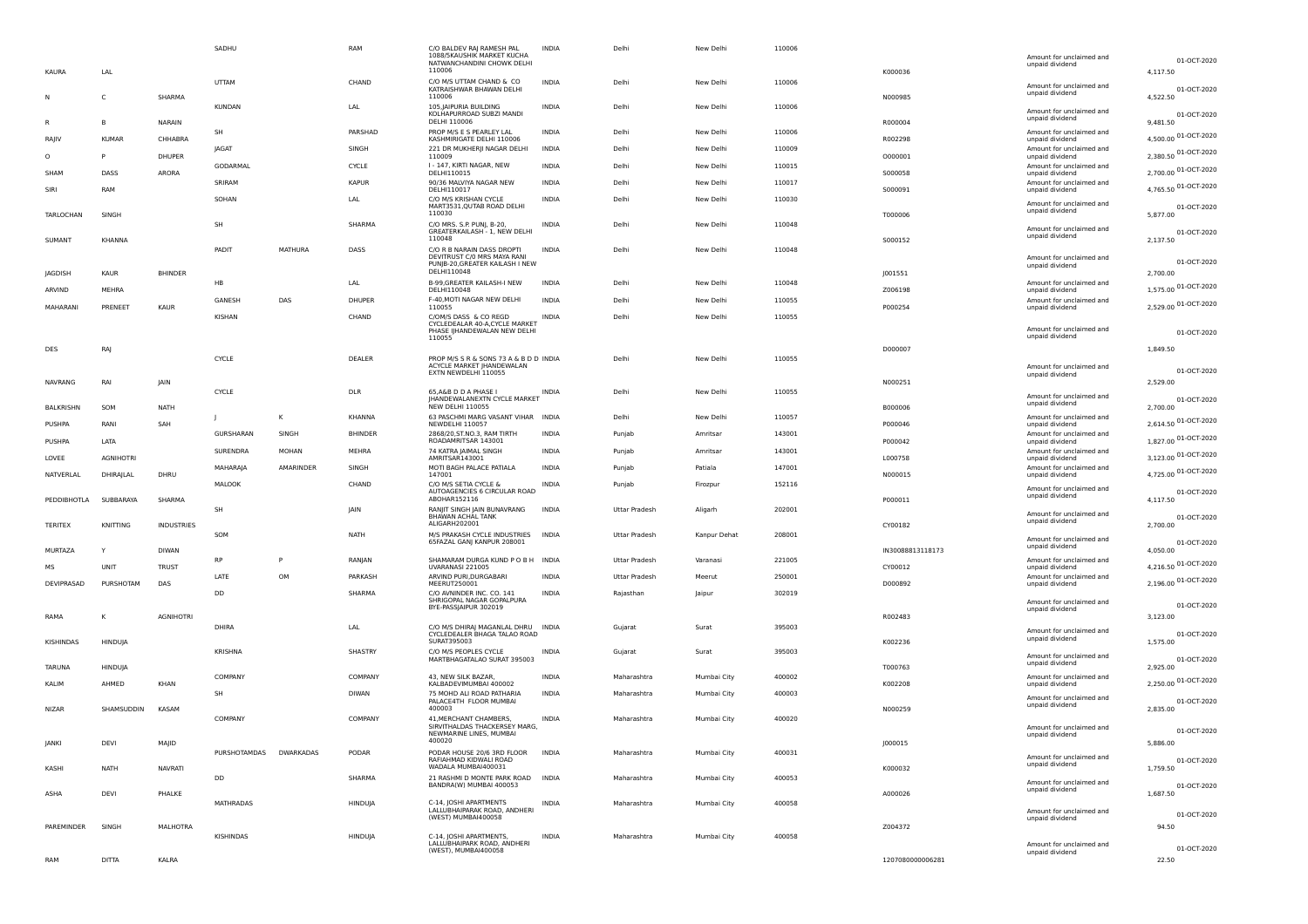|         |                  |                  |                   | SADHU                  |                | RAM            | C/O BALDEV RAJ RAMESH PAL<br>1088/5KAUSHIK MARKET KUCHA<br>NATWANCHANDINI CHOWK DELHI                       | INDIA        | Delhi                | New Delhi    | 110006 |                  | Amount for unclaimed and<br>unpaid dividend | 01-OCT-2020                         |
|---------|------------------|------------------|-------------------|------------------------|----------------|----------------|-------------------------------------------------------------------------------------------------------------|--------------|----------------------|--------------|--------|------------------|---------------------------------------------|-------------------------------------|
|         | <b>KAURA</b>     | LAL              |                   |                        |                |                | 110006                                                                                                      |              |                      |              |        | K000036          |                                             | 4,117.50                            |
|         |                  | C                | SHARMA            | <b>UTTAM</b>           |                | CHAND          | C/O M/S UTTAM CHAND & CO<br>KATRAISHWAR BHAWAN DELHI<br>110006                                              | <b>INDIA</b> | Delhi                | New Delhi    | 110006 | N000985          | Amount for unclaimed and<br>unpaid dividend | 01-OCT-2020<br>4,522.50             |
|         |                  |                  |                   | KUNDAN                 |                | LAL            | 105, JAIPURIA BUILDING<br>KOLHAPURROAD SUBZI MANDI<br>DELHI 110006                                          | INDIA        | Delhi                | New Delhi    | 110006 | R000004          | Amount for unclaimed and<br>unpaid dividend | 01-OCT-2020<br>9,481.50             |
|         |                  | -B               | NARAIN            | SH                     |                | PARSHAD        | PROP M/S E S PEARLEY LAL                                                                                    | INDIA        | Delhi                | New Delhi    | 110006 |                  | Amount for unclaimed and                    |                                     |
|         | RAJIV            | <b>KUMAR</b>     | CHHABRA           |                        |                |                | KASHMIRIGATE DELHI 110006                                                                                   |              |                      |              |        | R002298          | unpaid dividend                             | 4,500.00 01-OCT-2020                |
| $\circ$ |                  |                  | DHUPER            | JAGAT                  |                | SINGH          | 221 DR MUKHERJI NAGAR DELHI<br>110009                                                                       | <b>INDIA</b> | Delhi                | New Delhi    | 110009 | 0000001          | Amount for unclaimed and<br>unpaid dividend | 2,380.50 01-OCT-2020                |
|         | SHAM             | DASS             | ARORA             | GODARMAL               |                | CYCLE          | I - 147, KIRTI NAGAR, NEW<br>DELHI110015                                                                    | <b>INDIA</b> | Delhi                | New Delhi    | 110015 | S000058          | Amount for unclaimed and<br>unpaid dividend | 2,700.00 01-OCT-2020                |
|         |                  |                  |                   | SRIRAM                 |                | <b>KAPUR</b>   | 90/36 MALVIYA NAGAR NEW                                                                                     | <b>INDIA</b> | Delhi                | New Delhi    | 110017 |                  | Amount for unclaimed and                    |                                     |
|         | SIRI             | RAM              |                   | SOHAN                  |                | LAL            | DELHI110017<br>C/O M/S KRISHAN CYCLE<br>MART3531, QUTAB ROAD DELHI                                          | <b>INDIA</b> | Delhi                | New Delhi    | 110030 | S000091          | unpaid dividend<br>Amount for unclaimed and | 4,765.50 01-OCT-2020<br>01-OCT-2020 |
|         | TARLOCHAN        | SINGH            |                   | SH                     |                | SHARMA         | 110030<br>C/O MRS. S.P. PUNJ, B-20,<br>GREATERKAILASH - 1, NEW DELHI                                        | <b>INDIA</b> | Delhi                | New Delhi    | 110048 | T000006          | unpaid dividend<br>Amount for unclaimed and | 5,877.00                            |
|         | SUMANT           | KHANNA           |                   |                        |                |                | 110048                                                                                                      |              |                      |              |        | 5000152          | unpaid dividend                             | 01-OCT-2020<br>2,137.50             |
|         |                  |                  |                   | PADIT                  | <b>MATHURA</b> | DASS           | C/O R B NARAIN DASS DROPTI<br>DEVITRUST C/0 MRS MAYA RANI<br>PUNJB-20, GREATER KAILASH I NEW<br>DELHI110048 | <b>INDIA</b> | Delhi                | New Delhi    | 110048 |                  | Amount for unclaimed and<br>unpaid dividend | 01-OCT-2020                         |
|         | <b>JAGDISH</b>   | KAUR             | <b>BHINDER</b>    | <b>HB</b>              |                | LAL            | B-99, GREATER KAILASH-I NEW                                                                                 | <b>INDIA</b> | Delhi                | New Delhi    | 110048 | J001551          | Amount for unclaimed and                    | 2,700.00                            |
|         | ARVIND           | MEHRA            |                   |                        |                |                | DELHI110048                                                                                                 |              |                      |              |        | Z006198          | unpaid dividend                             | 1,575.00 01-OCT-2020                |
|         | MAHARANI         | PRENEET          | KAUR              | GANESH                 | DAS            | DHUPER         | F-40, MOTI NAGAR NEW DELHI<br>110055                                                                        | INDIA        | Delhi                | New Delhi    | 110055 | P000254          | Amount for unclaimed and<br>unpaid dividend | 2,529.00 01-OCT-2020                |
|         |                  |                  |                   | KISHAN                 |                | CHAND          | C/OM/S DASS & CO REGD<br>CYCLEDEALAR 40-A, CYCLE MARKET<br>PHASE IJHANDEWALAN NEW DELHI                     | INDIA        | Delhi                | New Delhi    | 110055 |                  | Amount for unclaimed and                    |                                     |
|         |                  |                  |                   |                        |                |                | 110055                                                                                                      |              |                      |              |        |                  | unpaid dividend                             | 01-OCT-2020                         |
|         | DES              | RAJ              |                   |                        |                |                |                                                                                                             |              |                      |              |        | D000007          |                                             | 1,849.50                            |
|         |                  |                  |                   | <b>CYCLE</b>           |                | DEALER         | PROP M/S S R & SONS 73 A & B D D INDIA<br>ACYCLE MARKET  HANDEWALAN                                         |              | Delhi                | New Delhi    | 110055 |                  | Amount for unclaimed and                    | 01-OCT-2020                         |
|         | <b>NAVRANG</b>   | RAI              | JAIN              |                        |                |                | EXTN NEWDELHI 110055                                                                                        |              |                      |              |        | N000251          | unpaid dividend                             | 2,529.00                            |
|         |                  |                  |                   | <b>CYCLE</b>           |                | DLR            | 65, A&B D D A PHASE I                                                                                       | <b>INDIA</b> | Delhi                | New Delhi    | 110055 |                  | Amount for unclaimed and                    |                                     |
|         | <b>BALKRISHN</b> | SOM              | <b>NATH</b>       |                        |                |                | <b>IHANDEWALANEXTN CYCLE MARKET</b><br><b>NEW DELHI 110055</b>                                              |              |                      |              |        | B000006          | unpaid dividend                             | 01-OCT-2020<br>2,700.00             |
|         |                  |                  |                   |                        | κ              | KHANNA         | 63 PASCHMI MARG VASANT VIHAR INDIA                                                                          |              | Delhi                | New Delhi    | 110057 |                  | Amount for unclaimed and                    | 2,614.50 01-OCT-2020                |
|         | PUSHPA           | RANI             | SAH               | GURSHARAN              | SINGH          | <b>BHINDER</b> | NEWDELHI 110057<br>2868/20, ST.NO.3, RAM TIRTH                                                              | <b>INDIA</b> | Punjab               | Amritsar     | 143001 | P000046          | unpaid dividend<br>Amount for unclaimed and |                                     |
|         | PUSHPA           | LATA             |                   |                        |                |                | ROADAMRITSAR 143001                                                                                         |              |                      |              |        | P000042          | unpaid dividend                             | 1,827.00 01-OCT-2020                |
|         | LOVEE            | <b>AGNIHOTRI</b> |                   | SURENDRA               | <b>MOHAN</b>   | MEHRA          | 74 KATRA JAIMAL SINGH<br>AMRITSAR143001                                                                     | <b>INDIA</b> | Punjab               | Amritsar     | 143001 | L000758          | Amount for unclaimed and<br>unpaid dividend | 3,123.00 01-OCT-2020                |
|         |                  |                  |                   | MAHARAJA               | AMARINDER      | SINGH          | MOTI BAGH PALACE PATIALA                                                                                    | INDIA        | Punjab               | Patiala      | 147001 |                  | Amount for unclaimed and                    | 4,725.00 01-OCT-2020                |
|         | NATVERLAL        | DHIRAJLAL        | DHRU              | MALOOK                 |                | CHAND          | 147001<br>C/O M/S SETIA CYCLE &                                                                             | INDIA        | Punjab               | Firozpur     | 152116 | N000015          | unpaid dividend                             |                                     |
|         | PEDDIBHOTLA      | SUBBARAYA        | SHARMA            |                        |                |                | AUTOAGENCIES 6 CIRCULAR ROAD<br>ABOHAR152116                                                                |              |                      |              |        | P000011          | Amount for unclaimed and<br>unpaid dividend | 01-OCT-2020<br>4,117.50             |
|         |                  |                  |                   | SH                     |                | JAIN           | RANJIT SINGH JAIN BUNAVRANG                                                                                 | <b>INDIA</b> | Uttar Pradesh        | Aligarh      | 202001 |                  |                                             |                                     |
|         | <b>TERITEX</b>   | KNITTING         | <b>INDUSTRIES</b> |                        |                |                | BHAWAN ACHAL TANK<br>ALIGARH202001                                                                          |              |                      |              |        | CY00182          | Amount for unclaimed and<br>unpaid dividend | 01-OCT-2020<br>2,700.00             |
|         |                  |                  |                   | SOM                    |                | <b>NATH</b>    | M/S PRAKASH CYCLE INDUSTRIES INDIA                                                                          |              | Uttar Pradesh        | Kanpur Dehat | 208001 |                  | Amount for unclaimed and                    |                                     |
|         | MURTAZA          |                  | <b>DIWAN</b>      |                        |                |                | 65FAZAL GANJ KANPUR 208001                                                                                  |              |                      |              |        | IN30088813118173 | unpaid dividend                             | 01-OCT-2020<br>4,050.00             |
|         |                  |                  |                   | <b>RP</b>              | P              | RANJAN         | SHAMARAM DURGA KUND PO B H INDIA                                                                            |              | <b>Uttar Pradesh</b> | Varanasi     | 221005 |                  | Amount for unclaimed and                    |                                     |
|         | <b>MS</b>        | UNIT             | <b>TRUST</b>      | LATE                   | OM             | PARKASH        | UVARANASI 221005<br>ARVIND PURI, DURGABARI                                                                  | <b>INDIA</b> | Uttar Pradesh        | Meerut       | 250001 | CY00012          | unpaid dividend<br>Amount for unclaimed and | 4,216.50 01-OCT-2020                |
|         | DEVIPRASAD       | PURSHOTAM        | DAS               |                        |                |                | MEERUT250001                                                                                                |              |                      |              |        | D000892          | unpaid dividend                             | 2,196.00 01-OCT-2020                |
|         |                  |                  |                   | <b>DD</b>              |                | SHARMA         | C/O AVNINDER INC. CO. 141<br>SHRIGOPAL NAGAR GOPALPURA                                                      | <b>INDIA</b> | Rajasthan            | Jaipur       | 302019 |                  | Amount for unclaimed and                    |                                     |
|         |                  |                  |                   |                        |                |                | BYE-PASSJAIPUR 302019                                                                                       |              |                      |              |        |                  | unpaid dividend                             | 01-OCT-2020                         |
|         | RAMA             |                  | <b>AGNIHOTRI</b>  | DHIRA                  |                | LAL            | C/O M/S DHIRAJ MAGANLAL DHRU INDIA                                                                          |              | Gujarat              | Surat        | 395003 | R002483          |                                             | 3,123.00                            |
|         |                  |                  |                   |                        |                |                | CYCLEDEALER BHAGA TALAO ROAD<br>SURAT395003                                                                 |              |                      |              |        |                  | Amount for unclaimed and<br>unpaid dividend | 01-OCT-2020                         |
|         | KISHINDAS        | HINDUJA          |                   | KRISHNA                |                | SHASTRY        | C/O M/S PEOPLES CYCLE                                                                                       | INDIA        | Gujarat              | Surat        | 395003 | K002236          |                                             | 1,575.00                            |
|         |                  |                  |                   |                        |                |                | MARTBHAGATALAO SURAT 395003                                                                                 |              |                      |              |        |                  | Amount for unclaimed and<br>unpaid dividend | 01-OCT-2020                         |
|         | <b>TARUNA</b>    | HINDUJA          |                   | COMPANY                |                | COMPANY        | 43, NEW SILK BAZAR,                                                                                         | <b>INDIA</b> | Maharashtra          | Mumbai City  | 400002 | T000763          | Amount for unclaimed and                    | 2,925.00                            |
|         | KALIM            | AHMED            | KHAN              |                        |                |                | KALBADEVIMUMBAI 400002                                                                                      |              |                      |              |        | K002208          | unpaid dividend                             | 2,250.00 01-OCT-2020                |
|         |                  |                  |                   | SH                     |                | DIWAN          | 75 MOHD ALI ROAD PATHARIA<br>PALACE4TH FLOOR MUMBAI                                                         | INDIA        | Maharashtra          | Mumbai City  | 400003 |                  | Amount for unclaimed and                    | 01-OCT-2020                         |
|         | <b>NIZAR</b>     | SHAMSUDDIN       | KASAM             |                        |                |                | 400003                                                                                                      |              |                      |              |        | N000259          | unpaid dividend                             | 2,835.00                            |
|         |                  |                  |                   | COMPANY                |                | COMPANY        | 41, MERCHANT CHAMBERS,<br>SIRVITHALDAS THACKERSEY MARG,                                                     | INDIA        | Maharashtra          | Mumbai City  | 400020 |                  | Amount for unclaimed and                    | 01-OCT-2020                         |
|         | <b>JANKI</b>     | DEVI             | MAJID             |                        |                |                | NEWMARINE LINES, MUMBAI<br>400020                                                                           |              |                      |              |        | J000015          | unpaid dividend                             | 5,886.00                            |
|         |                  |                  |                   | PURSHOTAMDAS DWARKADAS |                | PODAR          | PODAR HOUSE 20/6 3RD FLOOR                                                                                  | <b>INDIA</b> | Maharashtra          | Mumbai City  | 400031 |                  |                                             |                                     |
|         | KASHI            | NATH             | NAVRATI           |                        |                |                | RAFIAHMAD KIDWALI ROAD<br>WADALA MUMBAI400031                                                               |              |                      |              |        | K000032          | Amount for unclaimed and<br>unpaid dividend | 01-OCT-2020<br>1,759.50             |
|         |                  |                  |                   | DD                     |                | SHARMA         | 21 RASHMI D MONTE PARK ROAD INDIA                                                                           |              | Maharashtra          | Mumbai City  | 400053 |                  | Amount for unclaimed and                    |                                     |
|         | ASHA             | DEVI             | PHALKE            |                        |                |                | BANDRA(W) MUMBAI 400053                                                                                     |              |                      |              |        | A000026          | unpaid dividend                             | 01-OCT-2020<br>1,687.50             |
|         |                  |                  |                   | <b>MATHRADAS</b>       |                | HINDUJA        | C-14, JOSHI APARTMENTS                                                                                      | INDIA        | Maharashtra          | Mumbai City  | 400058 |                  |                                             |                                     |
|         |                  |                  |                   |                        |                |                | LALLUBHAIPARAK ROAD, ANDHERI<br>(WEST) MUMBAI400058                                                         |              |                      |              |        |                  | Amount for unclaimed and<br>unpaid dividend | 01-OCT-2020                         |
|         | PAREMINDER       | SINGH            | MALHOTRA          |                        |                |                |                                                                                                             |              |                      |              |        | Z004372          |                                             | 94.50                               |
|         |                  |                  |                   | KISHINDAS              |                | HINDUJA        | C-14, JOSHI APARTMENTS,<br>LALLUBHAIPARK ROAD, ANDHERI                                                      | INDIA        | Maharashtra          | Mumbai City  | 400058 |                  | Amount for unclaimed and                    |                                     |
|         | RAM              | <b>DITTA</b>     | KALRA             |                        |                |                | (WEST), MUMBAI400058                                                                                        |              |                      |              |        | 1207080000006281 | unpaid dividend                             | 01-OCT-2020<br>22.50                |
|         |                  |                  |                   |                        |                |                |                                                                                                             |              |                      |              |        |                  |                                             |                                     |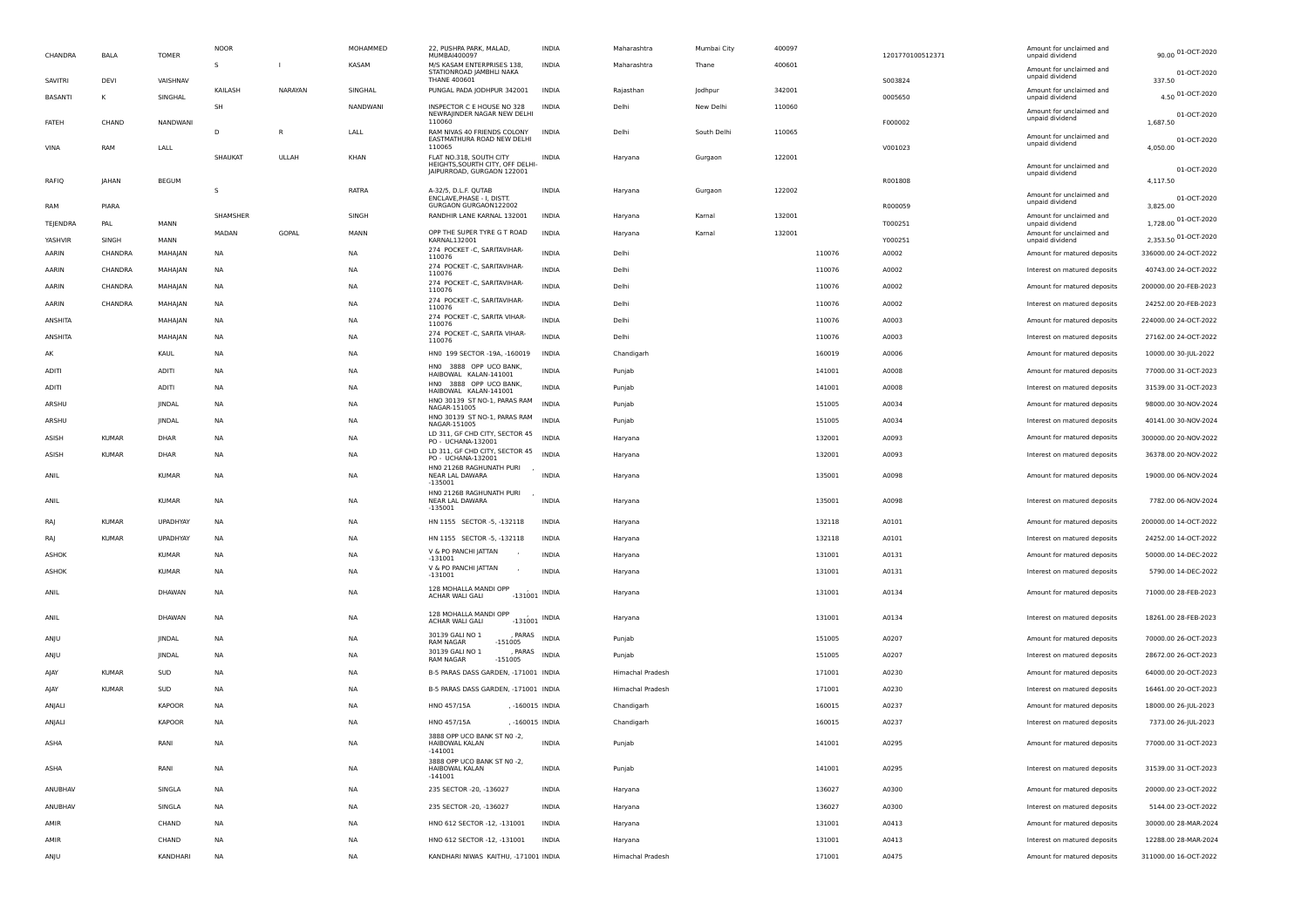| CHANDRA          | BALA             | <b>TOMER</b>    | <b>NOOR</b> |              | MOHAMMED  | 22, PUSHPA PARK, MALAD,<br>MUMBAI400097                                       | INDIA           | Maharashtra      | Mumbai City | 400097 |        | 1201770100512371 | Amount for unclaimed and<br>unpaid dividend    | 90.00 01-OCT-2020                |
|------------------|------------------|-----------------|-------------|--------------|-----------|-------------------------------------------------------------------------------|-----------------|------------------|-------------|--------|--------|------------------|------------------------------------------------|----------------------------------|
|                  |                  |                 | s           |              | KASAM     | M/S KASAM ENTERPRISES 138.<br>STATIONROAD JAMBHLI NAKA<br><b>THANE 400601</b> | <b>INDIA</b>    | Maharashtra      | Thane       | 400601 |        |                  | Amount for unclaimed and<br>unpaid dividend    | 01-OCT-2020                      |
| SAVITRI          | DEVI             | VAISHNAV        | KAILASH     | NARAYAN      | SINGHAL   | PUNGAL PADA JODHPUR 342001                                                    | <b>INDIA</b>    | Rajasthan        | Jodhpur     | 342001 |        | S003824          | Amount for unclaimed and                       | 337.50<br>4.50 01-OCT-2020       |
| <b>BASANTI</b>   |                  | SINGHAL         | SH          |              | NANDWANI  | INSPECTOR C E HOUSE NO 328                                                    | <b>INDIA</b>    | Delhi            | New Delhi   | 110060 |        | 0005650          | unpaid dividend<br>Amount for unclaimed and    |                                  |
| FATEH            | CHAND            | NANDWANI        |             |              |           | NEWRAJINDER NAGAR NEW DELHI<br>110060                                         |                 |                  |             |        |        | F000002          | unpaid dividend                                | 01-OCT-2020<br>1.687.50          |
| VINA             | RAM              | LALL            | D           | $\mathsf{R}$ | LALL      | RAM NIVAS 40 FRIENDS COLONY<br>EASTMATHURA ROAD NEW DELHI<br>110065           | <b>INDIA</b>    | Delhi            | South Delhi | 110065 |        | V001023          | Amount for unclaimed and<br>unpaid dividend    | 01-OCT-2020<br>4,050.00          |
|                  |                  |                 | SHAUKAT     | ULLAH        | KHAN      | FLAT NO.318, SOUTH CITY<br>HEIGHTS, SOURTH CITY, OFF DELHI-                   | INDIA           | Haryana          | Gurgaon     | 122001 |        |                  | Amount for unclaimed and                       |                                  |
| RAFIQ            | JAHAN            | <b>BEGUM</b>    |             |              |           | JAIPURROAD, GURGAON 122001                                                    |                 |                  |             |        |        | R001808          | unpaid dividend                                | 01-OCT-2020<br>4,117.50          |
|                  |                  |                 | s           |              | RATRA     | A-32/5, D.L.F. QUTAB<br>ENCLAVE, PHASE - I, DISTT.<br>GURGAON GURGAON122002   | INDIA           | Haryana          | Gurgaon     | 122002 |        |                  | Amount for unclaimed and<br>unpaid dividend    | 01-OCT-2020                      |
| RAM              | PIARA            |                 | SHAMSHER    |              | SINGH     | RANDHIR LANE KARNAL 132001                                                    | INDIA           | Haryana          | Kamal       | 132001 |        | R000059          | Amount for unclaimed and                       | 3,825.00<br>1,728.00 01-OCT-2020 |
| TEJENDRA         | PAL              | MANN            | MADAN       | GOPAL        | MANN      | OPP THE SUPER TYRE G T ROAD                                                   | <b>INDIA</b>    | Haryana          | Kamal       | 132001 |        | T000251          | unpaid dividend<br>Amount for unclaimed and    | 2,353.50 01-OCT-2020             |
| YASHVIR<br>AARIN | SINGH<br>CHANDRA | MANN<br>MAHAJAN | NA          |              | NA        | KARNAL132001<br>274 POCKET - C, SARITAVIHAR-                                  | INDIA           | Delhi            |             |        | 110076 | Y000251<br>A0002 | unpaid dividend<br>Amount for matured deposits | 336000.00 24-OCT-2022            |
| AARIN            | CHANDRA          | MAHAJAN         | NA          |              | <b>NA</b> | 110076<br>274 POCKET - C, SARITAVIHAR-                                        | INDIA           | Delhi            |             |        | 110076 | A0002            | Interest on matured deposits                   | 40743.00 24-OCT-2022             |
| AARIN            | CHANDRA          | MAHAJAN         | <b>NA</b>   |              | <b>NA</b> | 110076<br>274 POCKET - C, SARITAVIHAR-                                        | <b>INDIA</b>    | Delh             |             |        | 110076 | A0002            | Amount for matured deposits                    | 200000.00 20-FEB-2023            |
| AARIN            | CHANDRA          | MAHAJAN         | NA          |              | <b>NA</b> | 110076<br>274 POCKET - C, SARITAVIHAR-                                        | <b>INDIA</b>    | Delh             |             |        | 110076 | A0002            | Interest on matured deposits                   | 24252.00 20-FEB-2023             |
| ANSHITA          |                  | MAHAJAN         | NA          |              | NA        | 110076<br>274 POCKET - C, SARITA VIHAR-<br>110076                             | INDIA           | Delhi            |             |        | 110076 | A0003            | Amount for matured deposits                    | 224000.00 24-OCT-2022            |
| ANSHITA          |                  | MAHAJAN         | NA          |              | NA        | 274 POCKET - C, SARITA VIHAR-<br>110076                                       | <b>INDIA</b>    | Delhi            |             |        | 110076 | A0003            | Interest on matured deposits                   | 27162.00 24-OCT-2022             |
| AK               |                  | KAUL            | NA          |              | <b>NA</b> | HN0 199 SECTOR -19A, -160019                                                  | INDIA           | Chandigarh       |             |        | 160019 | A0006            | Amount for matured deposits                    | 10000.00 30-JUL-2022             |
| ADITI            |                  | <b>ADITI</b>    | <b>NA</b>   |              | <b>NA</b> | HNO 3888 OPP UCO BANK,<br>HAIBOWAL KALAN-141001                               | <b>INDIA</b>    | Punjab           |             |        | 141001 | A0008            | Amount for matured deposits                    | 77000.00 31-OCT-2023             |
| ADITI            |                  | <b>ADITI</b>    | <b>NA</b>   |              | <b>NA</b> | HNO 3888 OPP UCO BANK,<br>HAIBOWAL KALAN-141001                               | <b>INDIA</b>    | Punjab           |             |        | 141001 | A0008            | Interest on matured deposits                   | 31539.00 31-OCT-2023             |
| ARSHU            |                  | JINDAL          | NA          |              | NA        | HNO 30139 ST NO-1, PARAS RAM<br>NAGAR-151005                                  | <b>INDIA</b>    | Punjab           |             |        | 151005 | A0034            | Amount for matured deposits                    | 98000.00 30-NOV-2024             |
| ARSHU            |                  | JINDAL          | NA          |              | NA        | HNO 30139 ST NO-1, PARAS RAM<br>NAGAR-151005                                  | <b>INDIA</b>    | Punjab           |             |        | 151005 | A0034            | Interest on matured deposits                   | 40141.00 30-NOV-2024             |
| ASISH            | <b>KUMAR</b>     | DHAR            | NA          |              | <b>NA</b> | LD 311, GF CHD CITY, SECTOR 45<br>PO - UCHANA-132001                          | INDIA           | Haryana          |             |        | 132001 | A0093            | Amount for matured deposits                    | 300000.00 20-NOV-2022            |
| ASISH            | <b>KUMAR</b>     | DHAR            | <b>NA</b>   |              | <b>NA</b> | LD 311, GF CHD CITY, SECTOR 45<br>PO - UCHANA-132001                          | <b>INDIA</b>    | Haryana          |             |        | 132001 | A0093            | Interest on matured deposits                   | 36378.00 20-NOV-2022             |
| ANIL             |                  | <b>KUMAR</b>    | <b>NA</b>   |              | NA        | HNO 2126B RAGHUNATH PURI<br>NEAR LAL DAWARA<br>$-135001$                      | <b>INDIA</b>    | Haryana          |             |        | 135001 | A0098            | Amount for matured deposits                    | 19000.00 06-NOV-2024             |
| ANIL             |                  | <b>KUMAR</b>    | <b>NA</b>   |              | <b>NA</b> | HNO 2126B RAGHUNATH PURI<br>NEAR LAL DAWARA<br>$-135001$                      | <b>INDIA</b>    | Haryana          |             |        | 135001 | A0098            | Interest on matured deposits                   | 7782.00 06-NOV-2024              |
| RAI              | <b>KUMAR</b>     | UPADHYAY        | NA          |              | NA        | HN 1155 SECTOR -5, -132118                                                    | INDIA           | Haryana          |             |        | 132118 | A0101            | Amount for matured deposits                    | 200000.00 14-OCT-2022            |
| RA               | <b>KUMAR</b>     | UPADHYAY        | <b>NA</b>   |              | <b>NA</b> | HN 1155 SECTOR -5, -132118                                                    | <b>INDIA</b>    | Haryana          |             |        | 132118 | A0101            | Interest on matured deposits                   | 24252.00 14-OCT-2022             |
| ASHOK            |                  | <b>KUMAR</b>    | NA          |              | <b>NA</b> | V & PO PANCHI JATTAN<br>$-131001$                                             | <b>INDIA</b>    | Haryana          |             |        | 131001 | A0131            | Amount for matured deposits                    | 50000.00 14-DEC-2022             |
| <b>ASHOK</b>     |                  | <b>KUMAR</b>    | NA          |              | <b>NA</b> | V & PO PANCHI JATTAN<br>$-131001$                                             | <b>INDIA</b>    | Haryana          |             |        | 131001 | A0131            | Interest on matured deposits                   | 5790.00 14-DEC-2022              |
| ANIL             |                  | DHAWAN          | <b>NA</b>   |              | <b>NA</b> | 128 MOHALLA MANDI OPP<br>ACHAR WALI GALI<br>$-131001$                         | <b>INDIA</b>    | Haryana          |             |        | 131001 | A0134            | Amount for matured deposits                    | 71000.00 28-FEB-2023             |
| ANIL             |                  | DHAWAN          | NA          |              | <b>NA</b> | 128 MOHALLA MANDI OPP<br>ACHAR WALI GALI                                      | $-131001$ INDIA | Haryana          |             |        | 131001 | A0134            | Interest on matured deposits                   | 18261.00 28-FEB-2023             |
| ANJU             |                  | JINDAL          | NA          |              | <b>NA</b> | 30139 GALI NO 1<br>PARAS<br>RAM NAGAR<br>$-151005$                            | <b>INDIA</b>    | Punjab           |             |        | 151005 | A0207            | Amount for matured deposits                    | 70000.00 26-OCT-2023             |
| ANJU             |                  | JINDAL          | NA          |              | NA        | 30139 GALI NO 1<br>PARAS<br>$-151005$<br><b>RAM NAGAR</b>                     | <b>INDIA</b>    | Punjab           |             |        | 151005 | A0207            | Interest on matured deposits                   | 28672.00 26-OCT-2023             |
| AJAY             | <b>KUMAR</b>     | SUD             | NA          |              | NA        | B-5 PARAS DASS GARDEN, -171001 INDIA                                          |                 | Himachal Pradesh |             |        | 171001 | A0230            | Amount for matured deposits                    | 64000.00 20-OCT-2023             |
| AJAY             | <b>KUMAR</b>     | SUD             | NA          |              | <b>NA</b> | B-5 PARAS DASS GARDEN, -171001 INDIA                                          |                 | Himachal Pradesh |             |        | 171001 | A0230            | Interest on matured deposits                   | 16461.00 20-OCT-2023             |
| ANJALI           |                  | <b>KAPOOR</b>   | <b>NA</b>   |              | <b>NA</b> | <b>HNO 457/15A</b><br>, -160015 INDIA                                         |                 | Chandigarh       |             |        | 160015 | A0237            | Amount for matured deposits                    | 18000.00 26-JUL-2023             |
| ANJALI           |                  | <b>KAPOOR</b>   | <b>NA</b>   |              | <b>NA</b> | HNO 457/15A<br>, -160015 INDIA                                                |                 | Chandigarh       |             |        | 160015 | A0237            | Interest on matured deposits                   | 7373.00 26-JUL-2023              |
| ASHA             |                  | RANI            | NA          |              | NA        | 3888 OPP UCO BANK ST NO -2,<br>HAIBOWAL KALAN<br>-141001                      | INDIA           | Punjab           |             |        | 141001 | A0295            | Amount for matured deposits                    | 77000.00 31-OCT-2023             |
| ASHA             |                  | RANI            | NA          |              | NA        | 3888 OPP UCO BANK ST NO -2,<br>HAIBOWAL KALAN<br>$-141001$                    | INDIA           | Punjab           |             |        | 141001 | A0295            | Interest on matured deposits                   | 31539.00 31-OCT-2023             |
| ANUBHAV          |                  | SINGLA          | <b>NA</b>   |              | NA        | 235 SECTOR -20, -136027                                                       | INDIA           | Haryana          |             |        | 136027 | A0300            | Amount for matured deposits                    | 20000.00 23-OCT-2022             |
| ANUBHAV          |                  | SINGLA          | <b>NA</b>   |              | NA        | 235 SECTOR -20, -136027                                                       | <b>INDIA</b>    | Haryana          |             |        | 136027 | A0300            | Interest on matured deposits                   | 5144.00 23-OCT-2022              |
| AMIR             |                  | CHAND           | NA          |              | NA        | HNO 612 SECTOR -12, -131001                                                   | INDIA           | Haryana          |             |        | 131001 | A0413            | Amount for matured deposits                    | 30000.00 28-MAR-2024             |
| AMIR             |                  | CHAND           | NA          |              | NA        | HNO 612 SECTOR -12, -131001                                                   | INDIA           | Haryana          |             |        | 131001 | A0413            | Interest on matured deposits                   | 12288.00 28-MAR-2024             |
| ANJU             |                  | KANDHARI        | <b>NA</b>   |              | NA        | KANDHARI NIWAS KAITHU, -171001 INDIA                                          |                 | Himachal Pradesh |             |        | 171001 | A0475            | Amount for matured deposits                    | 311000.00 16-OCT-2022            |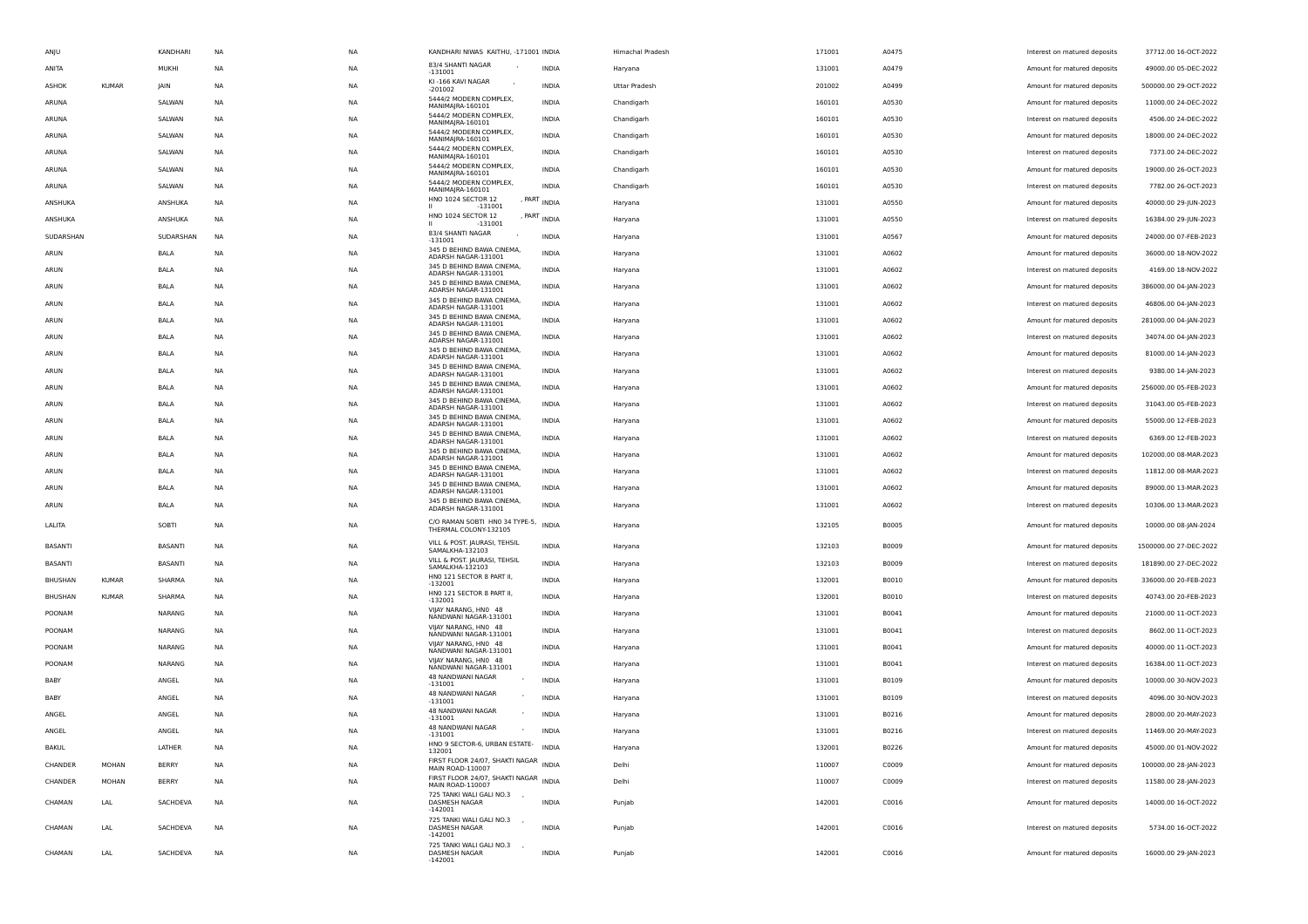| ANJU         |              | KANDHARI     | NA        | <b>NA</b> | KANDHARI NIWAS KAITHU, -171001 INDIA                      |                       | Himachal Pradesh | 171001 | A0475 | Interest on matured deposits | 37712.00 16-OCT-2022   |
|--------------|--------------|--------------|-----------|-----------|-----------------------------------------------------------|-----------------------|------------------|--------|-------|------------------------------|------------------------|
| ANITA        |              | MUKHI        | <b>NA</b> | <b>NA</b> | 83/4 SHANTI NAGAR<br>$-131001$                            | <b>INDIA</b>          | Haryana          | 131001 | A0479 | Amount for matured deposits  | 49000.00 05-DEC-2022   |
| ASHOK        | <b>KUMAR</b> | JAIN         | NA        | <b>NA</b> | KI-166 KAVI NAGAR<br>$-201002$                            | INDIA                 | Uttar Pradesh    | 201002 | A0499 | Amount for matured deposits  | 500000.00 29-OCT-2022  |
| ARUNA        |              | SALWAN       | NA        | <b>NA</b> | 5444/2 MODERN COMPLEX,<br>MANIMAJRA-160101                | <b>INDIA</b>          | Chandigarh       | 160101 | A0530 | Amount for matured deposits  | 11000.00 24-DEC-2022   |
| ARUNA        |              | SALWAN       | NA        | <b>NA</b> | 5444/2 MODERN COMPLEX,<br>MANIMAJRA-160101                | <b>INDIA</b>          | Chandigarh       | 160101 | A0530 | Interest on matured deposits | 4506.00 24-DEC-2022    |
| ARUNA        |              | SALWAN       | NA        | <b>NA</b> | 5444/2 MODERN COMPLEX,<br>MANIMAJRA-160101                | <b>INDIA</b>          | Chandigarh       | 160101 | A0530 | Amount for matured deposits  | 18000.00 24-DEC-2022   |
| ARUNA        |              | SALWAN       | NA        | ΝA        | 5444/2 MODERN COMPLEX,                                    | <b>INDIA</b>          | Chandigarh       | 160101 | A0530 | Interest on matured deposits | 7373.00 24-DEC-2022    |
| ARUNA        |              | SALWAN       | NA        | <b>NA</b> | MANIMAJRA-160101<br>5444/2 MODERN COMPLEX,                | INDIA                 | Chandigarh       | 160101 | A0530 | Amount for matured deposits  | 19000.00 26-OCT-2023   |
| ARUNA        |              | SALWAN       | NA        | <b>NA</b> | MANIMAJRA-160101<br>5444/2 MODERN COMPLEX,                | <b>INDIA</b>          | Chandigarh       | 160101 | A0530 | Interest on matured deposits | 7782.00 26-OCT-2023    |
| ANSHUKA      |              | ANSHUKA      | <b>NA</b> | <b>NA</b> | MANIMAJRA-160101<br>HNO 1024 SECTOR 12                    | , $PART$ INDIA        |                  | 131001 | A0550 | Amount for matured deposits  | 40000.00 29-JUN-2023   |
|              |              |              |           |           | $-131001$<br>HNO 1024 SECTOR 12                           | , PART INDIA          | Haryana          |        |       |                              |                        |
| ANSHUKA      |              | ANSHUKA      | NA        | <b>NA</b> | $-131001$<br>83/4 SHANTI NAGAR                            |                       | Haryana          | 131001 | A0550 | Interest on matured deposits | 16384.00 29-JUN-2023   |
| SUDARSHAN    |              | SUDARSHAN    | NA        | <b>NA</b> | $-131001$<br>345 D BEHIND BAWA CINEMA,                    | <b>INDIA</b>          | Haryana          | 131001 | A0567 | Amount for matured deposits  | 24000.00 07-FEB-2023   |
| ARUN         |              | BALA         | NA        | <b>NA</b> | ADARSH NAGAR-131001<br>345 D BEHIND BAWA CINEMA,          | <b>INDIA</b>          | Haryana          | 131001 | A0602 | Amount for matured deposits  | 36000.00 18-NOV-2022   |
| ARUN         |              | BALA         | NA        | <b>NA</b> | ADARSH NAGAR-131001                                       | <b>INDIA</b>          | Haryana          | 131001 | A0602 | Interest on matured deposits | 4169.00 18-NOV-2022    |
| ARUN         |              | BALA         | NA        | <b>NA</b> | 345 D BEHIND BAWA CINEMA,<br>ADARSH NAGAR-131001          | <b>INDIA</b>          | Haryana          | 131001 | A0602 | Amount for matured deposits  | 386000.00 04-JAN-2023  |
| ARUN         |              | <b>BALA</b>  | NA        | <b>NA</b> | 345 D BEHIND BAWA CINEMA,<br>ADARSH NAGAR-131001          | <b>INDIA</b>          | Haryana          | 131001 | A0602 | Interest on matured deposits | 46806.00 04-JAN-2023   |
| ARUN         |              | BALA         | NA        | <b>NA</b> | 345 D BEHIND BAWA CINEMA,<br>ADARSH NAGAR-131001          | INDIA                 | Haryana          | 131001 | A0602 | Amount for matured deposits  | 281000.00 04-JAN-2023  |
| ARUN         |              | BALA         | NA        | <b>NA</b> | 345 D BEHIND BAWA CINEMA,<br>ADARSH NAGAR-131001          | INDIA                 | Haryana          | 131001 | A0602 | Interest on matured deposits | 34074.00 04-JAN-2023   |
| ARUN         |              | BALA         | NA        | <b>NA</b> | 345 D BEHIND BAWA CINEMA,<br>ADARSH NAGAR-131001          | <b>INDIA</b>          | Haryana          | 131001 | A0602 | Amount for matured deposits  | 81000.00 14-JAN-2023   |
| ARUN         |              | BALA         | <b>NA</b> | <b>NA</b> | 345 D BEHIND BAWA CINEMA,<br>ADARSH NAGAR-131001          | <b>INDIA</b>          | Haryana          | 131001 | A0602 | Interest on matured deposits | 9380.00 14-JAN-2023    |
| ARUN         |              | BALA         | NA        | <b>NA</b> | 345 D BEHIND BAWA CINEMA,<br>ADARSH NAGAR-131001          | <b>INDIA</b>          | Haryana          | 131001 | A0602 | Amount for matured deposits  | 256000.00 05-FEB-2023  |
| ARUN         |              | BALA         | NA        | <b>NA</b> | 345 D BEHIND BAWA CINEMA,<br>ADARSH NAGAR-131001          | INDIA                 | Haryana          | 131001 | A0602 | Interest on matured deposits | 31043.00 05-FEB-2023   |
| ARUN         |              | BALA         | NA        | <b>NA</b> | 345 D BEHIND BAWA CINEMA,<br>ADARSH NAGAR-131001          | INDIA                 | Haryana          | 131001 | A0602 | Amount for matured deposits  | 55000.00 12-FEB-2023   |
| ARUN         |              | BALA         | NA        | <b>NA</b> | 345 D BEHIND BAWA CINEMA,                                 | <b>INDIA</b>          | Haryana          | 131001 | A0602 | Interest on matured deposits | 6369.00 12-FEB-2023    |
| ARUN         |              | BALA         | NA        | <b>NA</b> | ADARSH NAGAR-131001<br>345 D BEHIND BAWA CINEMA,          | <b>INDIA</b>          | Haryana          | 131001 | A0602 | Amount for matured deposits  | 102000.00 08-MAR-2023  |
| ARUN         |              | BALA         | NA        | <b>NA</b> | ADARSH NAGAR-131001<br>345 D BEHIND BAWA CINEMA,          | <b>INDIA</b>          | Haryana          | 131001 | A0602 | Interest on matured deposits | 11812.00 08-MAR-2023   |
|              |              |              |           |           | ADARSH NAGAR-131001<br>345 D BEHIND BAWA CINEMA,          |                       |                  |        |       | Amount for matured deposits  |                        |
| ARUN         |              | BALA         | NA        | <b>NA</b> | ADARSH NAGAR-131001<br>345 D BEHIND BAWA CINEMA,          | INDIA<br><b>INDIA</b> | Haryana          | 131001 | A0602 |                              | 89000.00 13-MAR-2023   |
| ARUN         |              | BALA         | NA        | <b>NA</b> | ADARSH NAGAR-131001                                       |                       | Haryana          | 131001 | A0602 | Interest on matured deposits | 10306.00 13-MAR-2023   |
| LALITA       |              | SOBTI        | NA        | <b>NA</b> | C/O RAMAN SOBTI HN0 34 TYPE-5,<br>THERMAL COLONY-132105   | <b>INDIA</b>          | Haryana          | 132105 | B0005 | Amount for matured deposits  | 10000.00 08-JAN-2024   |
| BASANTI      |              | BASANTI      | NA        | <b>NA</b> | VILL & POST. JAURASI, TEHSIL<br>SAMALKHA-132103           | INDIA                 | Haryana          | 132103 | B0009 | Amount for matured deposits  | 1500000.00 27-DEC-2022 |
| BASANTI      |              | BASANTI      | NA        | <b>NA</b> | VILL & POST. JAURASI, TEHSIL<br>SAMALKHA-132103           | INDIA                 | Haryana          | 132103 | B0009 | Interest on matured deposits | 181890.00 27-DEC-2022  |
| BHUSHAN      | <b>KUMAR</b> | SHARMA       | <b>NA</b> | <b>NA</b> | HNO 121 SECTOR 8 PART II,<br>$-132001$                    | <b>INDIA</b>          | Haryana          | 132001 | B0010 | Amount for matured deposits  | 336000.00 20-FEB-2023  |
| BHUSHAN      | <b>KUMAR</b> | SHARMA       | NA        | <b>NA</b> | HNO 121 SECTOR 8 PART II,                                 | <b>INDIA</b>          | Haryana          | 132001 | B0010 | Interest on matured deposits | 40743.00 20-FEB-2023   |
| POONAM       |              | NARANG       | NA        | <b>NA</b> | $-132001$<br>VIJAY NARANG, HNO 48                         | INDIA                 | Haryana          | 131001 | B0041 | Amount for matured deposits  | 21000.00 11-OCT-2023   |
| POONAM       |              | NARANG       | NA        | <b>NA</b> | NANDWANI NAGAR-131001<br>VIJAY NARANG, HNO 48             | INDIA                 | Haryana          | 131001 | B0041 | Interest on matured deposits | 8602.00 11-OCT-2023    |
| POONAM       |              | NARANG       | NA        | <b>NA</b> | NANDWANI NAGAR-131001<br>VIIAY NARANG, HNO 48             | INDIA                 | Haryana          | 131001 | B0041 | Amount for matured deposits  | 40000.00 11-OCT-2023   |
| POONAM       |              | NARANG       | NA        | <b>NA</b> | NANDWANI NAGAR-131001<br>VIJAY NARANG, HNO 48             | <b>INDIA</b>          |                  | 131001 | B0041 |                              | 16384.00 11-OCT-2023   |
|              |              |              |           |           | NANDWANI NAGAR-131001<br>48 NANDWANI NAGAR                |                       | Haryana          |        |       | Interest on matured deposits |                        |
| BABY         |              | ANGEL        | NA        | <b>NA</b> | $-131001$<br>48 NANDWANI NAGAR                            | <b>INDIA</b>          | Haryana          | 131001 | B0109 | Amount for matured deposits  | 10000.00 30-NOV-2023   |
| BABY         |              | ANGEL        | NA        | <b>NA</b> | $-131001$<br>48 NANDWANI NAGAR                            | <b>INDIA</b>          | Haryana          | 131001 | B0109 | Interest on matured deposits | 4096.00 30-NOV-2023    |
| ANGEL        |              | ANGEL        | NA        | <b>NA</b> | $-131001$<br>48 NANDWANI NAGAR                            | <b>INDIA</b>          | Haryana          | 131001 | B0216 | Amount for matured deposits  | 28000.00 20-MAY-2023   |
| ANGEL        |              | ANGEL        | <b>NA</b> | <b>NA</b> | $\mathcal{L}_{\mathcal{A}}$<br>$-131001$                  | <b>INDIA</b>          | Haryana          | 131001 | B0216 | Interest on matured deposits | 11469.00 20-MAY-2023   |
| <b>BAKUL</b> |              | LATHER       | NA        | <b>NA</b> | HNO 9 SECTOR-6, URBAN ESTATE- INDIA<br>132001             |                       | Haryana          | 132001 | B0226 | Amount for matured deposits  | 45000.00 01-NOV-2022   |
| CHANDER      | <b>MOHAN</b> | <b>BERRY</b> | NA        | <b>NA</b> | FIRST FLOOR 24/07, SHAKTI NAGAR INDIA<br>MAIN ROAD-110007 |                       | Delhi            | 110007 | C0009 | Amount for matured deposits  | 100000.00 28-JAN-2023  |
| CHANDER      | MOHAN        | <b>BERRY</b> | NA        | <b>NA</b> | FIRST FLOOR 24/07, SHAKTI NAGAR INDIA<br>MAIN ROAD-110007 |                       | Delhi            | 110007 | C0009 | Interest on matured deposits | 11580.00 28-JAN-2023   |
| CHAMAN       | LAL          | SACHDEVA     | <b>NA</b> | <b>NA</b> | 725 TANKI WALI GALI NO.3 ,<br>DASMESH NAGAR               | <b>INDIA</b>          | Punjab           | 142001 | C0016 | Amount for matured deposits  | 14000.00 16-OCT-2022   |
|              |              |              |           |           | $-142001$<br>725 TANKI WALI GALI NO.3 ,                   |                       |                  |        |       |                              |                        |
| CHAMAN       | LAL          | SACHDEVA     | NA        | NA        | DASMESH NAGAR<br>$-142001$                                | <b>INDIA</b>          | Punjab           | 142001 | C0016 | Interest on matured deposits | 5734.00 16-OCT-2022    |
| CHAMAN       | LAL          | SACHDEVA     | <b>NA</b> | <b>NA</b> | 725 TANKI WALI GALI NO.3<br>DASMESH NAGAR<br>$-142001$    | <b>INDIA</b>          | Punjab           | 142001 | C0016 | Amount for matured deposits  | 16000.00 29-JAN-2023   |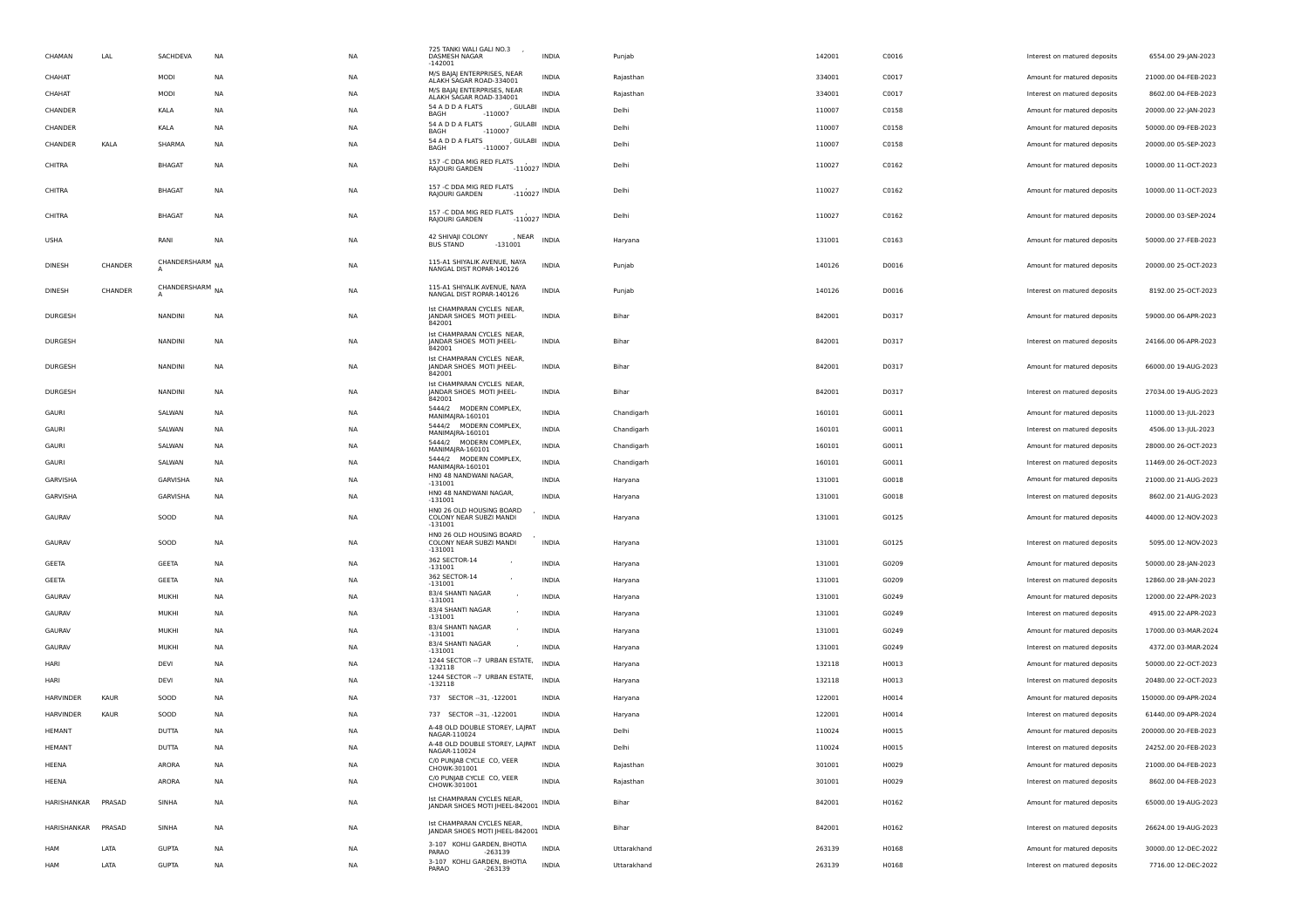| CHAMAN             | LAL     | SACHDEVA        | NA        | <b>NA</b> | 725 TANKI WALI GALI NO.3<br>DASMESH NAGAR<br>$-142001$                             | <b>INDIA</b> | Punjab      | 142001 | C0016 | Interest on matured deposits | 6554.00 29-JAN-2023   |
|--------------------|---------|-----------------|-----------|-----------|------------------------------------------------------------------------------------|--------------|-------------|--------|-------|------------------------------|-----------------------|
| CHAHAT             |         | MODI            | NA        | <b>NA</b> | M/S BAJAJ ENTERPRISES, NEAR<br>ALAKH SAGAR ROAD-334001                             | <b>INDIA</b> | Rajasthan   | 334001 | C0017 | Amount for matured deposits  | 21000.00 04-FEB-2023  |
| CHAHAT             |         | MODI            | <b>NA</b> | <b>NA</b> | M/S BAJAJ ENTERPRISES, NEAR<br>ALAKH SAGAR ROAD-334001                             | <b>INDIA</b> | Rajasthan   | 334001 | C0017 | Interest on matured deposits | 8602.00 04-FEB-2023   |
| CHANDER            |         | KALA            | <b>NA</b> | <b>NA</b> | 54 A D D A FLATS<br>, GULABI<br>$-110007$<br>BAGH                                  | <b>INDIA</b> | Delhi       | 110007 | C0158 | Amount for matured deposits  | 20000.00 22-JAN-2023  |
| CHANDER            |         | KALA            | NA        | <b>NA</b> | 54 A D D A FLATS<br>, GULABI<br>$-110007$<br>BAGH                                  | <b>INDIA</b> | Delhi       | 110007 | C0158 | Amount for matured deposits  | 50000.00 09-FEB-2023  |
| CHANDER            | KALA    | SHARMA          | NA        | <b>NA</b> | 54 A D D A FLATS<br>$S$ <sub>-110007</sub> , GULABI INDIA<br><b>BAGH</b>           |              | Delhi       | 110007 | C0158 | Amount for matured deposits  | 20000.00 05-SEP-2023  |
| CHITRA             |         | <b>BHAGAT</b>   | NA        | <b>NA</b> | 157 -C DDA MIG RED FLATS<br>$-110027$ INDIA<br>RAJOURI GARDEN                      |              | Delhi       | 110027 | C0162 | Amount for matured deposits  | 10000.00 11-OCT-2023  |
| CHITRA             |         | <b>BHAGAT</b>   | NA        | <b>NA</b> | 157 -C DDA MIG RED FLATS<br>$-110027$ INDIA<br>RAJOURI GARDEN                      |              | Delhi       | 110027 | C0162 | Amount for matured deposits  | 10000.00 11-OCT-2023  |
| CHITRA             |         | <b>BHAGAT</b>   | NA        | <b>NA</b> | 157 -C DDA MIG RED FLATS<br>$-110027$ INDIA<br>RAJOURI GARDEN                      |              | Delhi       | 110027 | C0162 | Amount for matured deposits  | 20000.00 03-SEP-2024  |
| USHA               |         | RANI            | <b>NA</b> | <b>NA</b> | 42 SHIVAJI COLONY<br>, NEAR<br><b>BUS STAND</b><br>$-131001$                       | <b>INDIA</b> | Haryana     | 131001 | C0163 | Amount for matured deposits  | 50000.00 27-FEB-2023  |
| <b>DINESH</b>      | CHANDER | CHANDERSHARM NA |           | <b>NA</b> | 115-A1 SHIYALIK AVENUE, NAYA<br>NANGAL DIST ROPAR-140126                           | <b>INDIA</b> | Punjab      | 140126 | D0016 | Amount for matured deposits  | 20000.00 25-OCT-2023  |
| DINESH             | CHANDER | CHANDERSHARM NA |           | NA        | 115-A1 SHIYALIK AVENUE, NAYA<br>NANGAL DIST ROPAR-140126                           | INDIA        | Punjab      | 140126 | D0016 | Interest on matured deposits | 8192.00 25-OCT-2023   |
| <b>DURGESH</b>     |         | NANDINI         | NA        | <b>NA</b> | Ist CHAMPARAN CYCLES NEAR,<br>JANDAR SHOES MOTI JHEEL-<br>842001                   | INDIA        | Bihar       | 842001 | D0317 | Amount for matured deposits  | 59000.00 06-APR-2023  |
| DURGESH            |         | NANDINI         | NA        | <b>NA</b> | Ist CHAMPARAN CYCLES NEAR,<br>JANDAR SHOES MOTI JHEEL-<br>842001                   | INDIA        | Bihar       | 842001 | D0317 | Interest on matured deposits | 24166.00 06-APR-2023  |
| DURGESH            |         | <b>NANDINI</b>  | NA        | <b>NA</b> | Ist CHAMPARAN CYCLES NEAR,<br>JANDAR SHOES MOTI JHEEL-<br>842001                   | <b>INDIA</b> | Bihar       | 842001 | D0317 | Amount for matured deposits  | 66000.00 19-AUG-2023  |
| <b>DURGESH</b>     |         | <b>NANDINI</b>  | NA        | <b>NA</b> | Ist CHAMPARAN CYCLES NEAR,<br>JANDAR SHOES MOTI JHEEL-<br>842001                   | <b>INDIA</b> | Bihar       | 842001 | D0317 | Interest on matured deposits | 27034.00 19-AUG-2023  |
| GAURI              |         | SALWAN          | NA        | <b>NA</b> | 5444/2 MODERN COMPLEX,<br>MANIMAJRA-160101                                         | <b>INDIA</b> | Chandigarh  | 160101 | G0011 | Amount for matured deposits  | 11000.00 13-JUL-2023  |
| GAURI              |         | SALWAN          | <b>NA</b> | <b>NA</b> | 5444/2 MODERN COMPLEX,<br>MANIMAJRA-160101                                         | <b>INDIA</b> | Chandigarh  | 160101 | G0011 | Interest on matured deposits | 4506.00 13-JUL-2023   |
| GAURI              |         | SALWAN          | NA        | <b>NA</b> | 5444/2 MODERN COMPLEX,<br>MANIMAJRA-160101                                         | INDIA        | Chandigarh  | 160101 | G0011 | Amount for matured deposits  | 28000.00 26-OCT-2023  |
| GAURI              |         | SALWAN          | NA        | <b>NA</b> | 5444/2 MODERN COMPLEX,<br>MANIMAJRA-160101                                         | INDIA        | Chandigarh  | 160101 | G0011 | Interest on matured deposits | 11469.00 26-OCT-2023  |
| GARVISHA           |         | GARVISHA        | NA        | <b>NA</b> | HNO 48 NANDWANI NAGAR<br>$-131001$                                                 | INDIA        | Haryana     | 131001 | G0018 | Amount for matured deposits  | 21000.00 21-AUG-2023  |
| GARVISHA           |         | GARVISHA        | NA        | <b>NA</b> | HNO 48 NANDWANI NAGAR,<br>$-131001$                                                | <b>INDIA</b> | Haryana     | 131001 | G0018 | Interest on matured deposits | 8602.00 21-AUG-2023   |
| GAURAV             |         | SOOD            | NA        | <b>NA</b> | HN0 26 OLD HOUSING BOARD<br>COLONY NEAR SUBZI MANDI<br>$-131001$                   | <b>INDIA</b> | Haryana     | 131001 | G0125 | Amount for matured deposits  | 44000.00 12-NOV-2023  |
| GAURAV             |         | SOOD            | NA        | NA        | HN0 26 OLD HOUSING BOARD<br>COLONY NEAR SUBZI MANDI<br>$-131001$                   | <b>INDIA</b> | Haryana     | 131001 | G0125 | Interest on matured deposits | 5095.00 12-NOV-2023   |
| GEETA              |         | GEETA           | NA        | <b>NA</b> | 362 SECTOR-14<br>$-131001$                                                         | INDIA        | Haryana     | 131001 | G0209 | Amount for matured deposits  | 50000.00 28-JAN-2023  |
| GEETA              |         | <b>GEETA</b>    | NA        | <b>NA</b> | 362 SECTOR-14<br>$-131001$                                                         | <b>INDIA</b> | Haryana     | 131001 | G0209 | Interest on matured deposits | 12860.00 28-JAN-2023  |
| GAURAV             |         | <b>MUKHI</b>    | NA        | <b>NA</b> | 83/4 SHANTI NAGAR<br>$-131001$                                                     | <b>INDIA</b> | Haryana     | 131001 | G0249 | Amount for matured deposits  | 12000.00 22-APR-2023  |
| GAURAV             |         | <b>MUKHI</b>    | <b>NA</b> | <b>NA</b> | 83/4 SHANTI NAGAR<br>$-131001$                                                     | <b>INDIA</b> | Haryana     | 131001 | G0249 | Interest on matured deposits | 4915.00 22-APR-2023   |
| GAURAV             |         | MUKHI           | NA        | <b>NA</b> | 83/4 SHANTI NAGAR<br>$-131001$                                                     | INDIA        | Haryana     | 131001 | G0249 | Amount for matured deposits  | 17000.00 03-MAR-2024  |
| GAURAV             |         | MUKHI           | NA        | <b>NA</b> | 83/4 SHANTI NAGAR<br>$-131001$                                                     | <b>INDIA</b> | Haryana     | 131001 | G0249 | Interest on matured deposits | 4372.00 03-MAR-2024   |
| HARI               |         | DEVI            | NA        | <b>NA</b> | 1244 SECTOR -- 7 URBAN ESTATE,                                                     | <b>INDIA</b> | Haryana     | 132118 | H0013 | Amount for matured deposits  | 50000.00 22-OCT-2023  |
| HARI               |         | DEVI            | NA        | ΝA        | $-132118$<br>1244 SECTOR -- 7 URBAN ESTATE,                                        | <b>INDIA</b> | Haryana     | 132118 | H0013 | Interest on matured deposits | 20480.00 22-OCT-2023  |
| <b>HARVINDER</b>   | KAUR    | SOOD            | <b>NA</b> | <b>NA</b> | $-132118$<br>737 SECTOR -- 31, -122001                                             | <b>INDIA</b> | Haryana     | 122001 | H0014 | Amount for matured deposits  | 150000.00 09-APR-2024 |
| <b>HARVINDER</b>   | KAUR    | SOOD            | NA        | <b>NA</b> | 737 SECTOR -- 31, -122001                                                          | INDIA        | Haryana     | 122001 | H0014 | Interest on matured deposits | 61440.00 09-APR-2024  |
| HEMANT             |         | DUTTA           | <b>NA</b> | <b>NA</b> | A-48 OLD DOUBLE STOREY, LAJPAT                                                     | <b>INDIA</b> | Delhi       | 110024 | H0015 | Amount for matured deposits  | 200000.00 20-FEB-2023 |
| <b>HEMANT</b>      |         | <b>DUTTA</b>    | <b>NA</b> | <b>NA</b> | NAGAR-110024<br>4-48 OLD DOUBLE STOREY, LAJPAT                                     | <b>INDIA</b> | Delhi       | 110024 | H0015 | Interest on matured deposits | 24252.00 20-FEB-2023  |
| HEENA              |         | ARORA           | NA        | <b>NA</b> | NAGAR-110024<br>C/O PUNJAB CYCLE CO, VEER                                          | <b>INDIA</b> | Rajasthan   | 301001 | H0029 | Amount for matured deposits  | 21000.00 04-FEB-2023  |
| HEENA              |         | ARORA           | <b>NA</b> | <b>NA</b> | CHOWK-301001<br>C/O PUNJAB CYCLE CO, VEER                                          | <b>INDIA</b> | Rajasthan   | 301001 | H0029 | Interest on matured deposits | 8602.00 04-FEB-2023   |
| HARISHANKAR PRASAD |         | SINHA           | NA        | <b>NA</b> | CHOWK-301001<br>Ist CHAMPARAN CYCLES NEAR,<br>JANDAR SHOES MOTI JHEEL-842001 INDIA |              | Bihar       | 842001 | H0162 | Amount for matured deposits  | 65000.00 19-AUG-2023  |
| HARISHANKAR        | PRASAD  | SINHA           | NA        | <b>NA</b> | Ist CHAMPARAN CYCLES NEAR,<br>JANDAR SHOES MOTI JHEEL-842001 INDIA                 |              | Bihar       | 842001 | H0162 | Interest on matured deposits | 26624.00 19-AUG-2023  |
| HAM                | LATA    | <b>GUPTA</b>    | NA        | NA        | 3-107 KOHLI GARDEN, BHOTIA<br>PARAO                                                | <b>INDIA</b> | Uttarakhand | 263139 | H0168 | Amount for matured deposits  | 30000.00 12-DEC-2022  |
| <b>HAM</b>         | LATA    | <b>GUPTA</b>    | <b>NA</b> | <b>NA</b> | -263139<br>3-107 KOHLI GARDEN, BHOTIA<br>PARAO<br>-263139                          | <b>INDIA</b> | Uttarakhand | 263139 | H0168 | Interest on matured deposits | 7716.00 12-DEC-2022   |
|                    |         |                 |           |           |                                                                                    |              |             |        |       |                              |                       |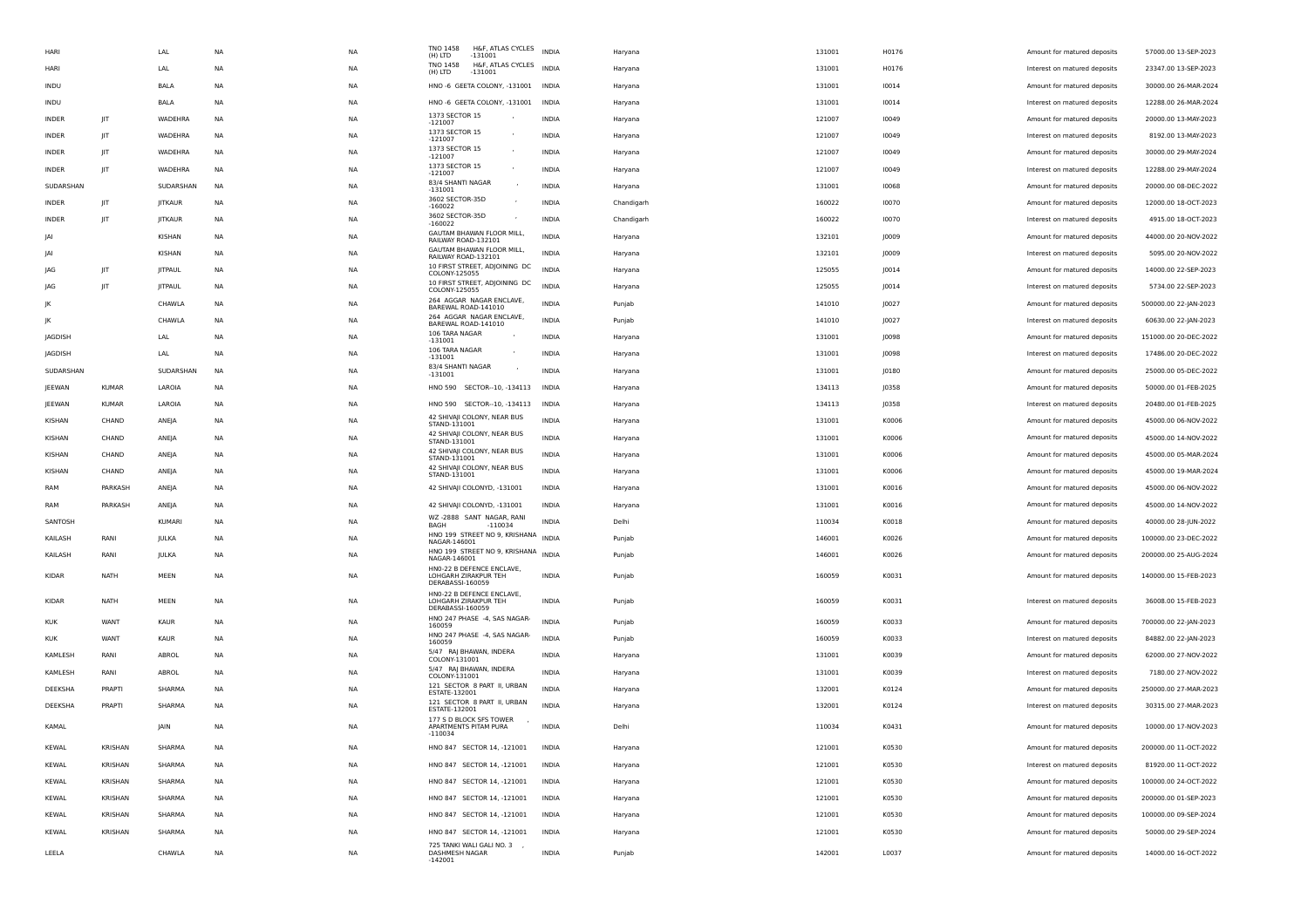| HARI             |                | LAL            | <b>NA</b> | <b>NA</b> | TNO 1458<br>H&F, ATLAS CYCLES<br>(H) LTD<br>$-131001$         | <b>INDIA</b> | Haryana    | 131001           | H0176          | Amount for matured deposits                                 | 57000.00 13-SEP-2023                         |
|------------------|----------------|----------------|-----------|-----------|---------------------------------------------------------------|--------------|------------|------------------|----------------|-------------------------------------------------------------|----------------------------------------------|
| HARI             |                | LAL            | <b>NA</b> | <b>NA</b> | TNO 1458<br>H&F, ATLAS CYCLES<br>(H) LTD<br>$-131001$         | <b>INDIA</b> | Haryana    | 131001           | H0176          | Interest on matured deposits                                | 23347.00 13-SEP-2023                         |
| INDU             |                | BALA           | NA        | NA        | HNO -6 GEETA COLONY, -131001                                  | INDIA        | Haryana    | 131001           | 10014          | Amount for matured deposits                                 | 30000.00 26-MAR-2024                         |
| INDU             |                | BALA           | NA        | NA        | HNO -6 GEETA COLONY, -131001                                  | INDIA        | Haryana    | 131001           | 10014          | Interest on matured deposits                                | 12288.00 26-MAR-2024                         |
| INDER            | JIT            | WADEHRA        | <b>NA</b> | NA        | 1373 SECTOR 15<br>$-121007$                                   | <b>INDIA</b> | Haryana    | 121007           | 10049          | Amount for matured deposits                                 | 20000.00 13-MAY-2023                         |
| <b>INDER</b>     | JIT            | WADEHRA        | <b>NA</b> | <b>NA</b> | 1373 SECTOR 15<br>$\overline{\phantom{a}}$<br>$-121007$       | <b>INDIA</b> | Haryana    | 121007           | 10049          | Interest on matured deposits                                | 8192.00 13-MAY-2023                          |
| <b>INDER</b>     | JIT            | WADEHRA        | <b>NA</b> | <b>NA</b> | 1373 SECTOR 15<br>$-121007$                                   | <b>INDIA</b> | Haryana    | 121007           | 10049          | Amount for matured deposits                                 | 30000.00 29-MAY-2024                         |
| INDER            | $\parallel$ T  | WADEHRA        | NA        | <b>NA</b> | 1373 SECTOR 15<br>$-121007$                                   | <b>INDIA</b> | Haryana    | 121007           | 10049          | Interest on matured deposits                                | 12288.00 29-MAY-2024                         |
| SUDARSHAN        |                | SUDARSHAN      | NA        | NA        | 83/4 SHANTI NAGAR<br>$-131001$                                | INDIA        | Haryana    | 131001           | 10068          | Amount for matured deposits                                 | 20000.00 08-DEC-2022                         |
| INDER            | JIT            | <b>JITKAUR</b> | <b>NA</b> | <b>NA</b> | 3602 SECTOR-35D<br>$-160022$                                  | INDIA        | Chandigarh | 160022           | 10070          | Amount for matured deposits                                 | 12000.00 18-OCT-2023                         |
| <b>INDER</b>     | JIT            | <b>JITKAUR</b> | <b>NA</b> | <b>NA</b> | 3602 SECTOR-35D<br>$-160022$                                  | <b>INDIA</b> | Chandigarh | 160022           | 10070          | Interest on matured deposits                                | 4915.00 18-OCT-2023                          |
| IAI              |                | KISHAN         | <b>NA</b> | <b>NA</b> | GAUTAM BHAWAN FLOOR MILL,<br>RAILWAY ROAD-132101              | <b>INDIA</b> | Haryana    | 132101           | J0009          | Amount for matured deposits                                 | 44000.00 20-NOV-2022                         |
| IAI              |                | KISHAN         | NA        | <b>NA</b> | GAUTAM BHAWAN FLOOR MILL,<br>RAILWAY ROAD-132101              | <b>INDIA</b> | Haryana    | 132101           | J0009          | Interest on matured deposits                                | 5095.00 20-NOV-2022                          |
| <b>JAG</b>       | JIT            | <b>JITPAUL</b> | NA        | NA        | 10 FIRST STREET, ADJOINING DC<br>COLONY-125055                | <b>INDIA</b> | Haryana    | 125055           | J0014          | Amount for matured deposits                                 | 14000.00 22-SEP-2023                         |
| JAG              | JIT            | <b>JITPAUL</b> | <b>NA</b> | NA        | 10 FIRST STREET, ADJOINING DC                                 | <b>INDIA</b> | Haryana    | 125055           | J0014          | Interest on matured deposits                                | 5734.00 22-SEP-2023                          |
| JK               |                | CHAWLA         | <b>NA</b> | <b>NA</b> | COLONY-125055<br>264 AGGAR NAGAR ENCLAVE,                     | <b>INDIA</b> | Punjab     | 141010           | J0027          | Amount for matured deposits                                 | 500000.00 22-JAN-2023                        |
| ΙK               |                | CHAWLA         | NA        | <b>NA</b> | BAREWAL ROAD-141010<br>264 AGGAR NAGAR ENCLAVE,               | <b>INDIA</b> | Punjab     | 141010           | J0027          | Interest on matured deposits                                | 60630.00 22-JAN-2023                         |
| JAGDISH          |                | LAL            | NA        | <b>NA</b> | BAREWAL ROAD-141010<br>106 TARA NAGAR                         | INDIA        | Haryana    | 131001           | J0098          | Amount for matured deposits                                 | 151000.00 20-DEC-2022                        |
| JAGDISH          |                | LAL            | NA        | NA        | $-131001$<br>106 TARA NAGAR                                   | INDIA        | Haryana    | 131001           | J0098          | Interest on matured deposits                                | 17486.00 20-DEC-2022                         |
| SUDARSHAN        |                | SUDARSHAN      | <b>NA</b> | NA        | $-131001$<br>83/4 SHANTI NAGAR<br>$\overline{\phantom{a}}$    | <b>INDIA</b> | Haryana    | 131001           | J0180          | Amount for matured deposits                                 | 25000.00 05-DEC-2022                         |
| JEEWAN           | <b>KUMAR</b>   | LAROIA         | <b>NA</b> | <b>NA</b> | $-131001$<br>HNO 590 SECTOR--10, -134113                      | INDIA        |            | 134113           | J0358          | Amount for matured deposits                                 | 50000.00 01-FEB-2025                         |
|                  | <b>KUMAR</b>   | LAROIA         |           | <b>NA</b> | HNO 590 SECTOR--10, -134113                                   | <b>INDIA</b> | Haryana    |                  |                |                                                             | 20480.00 01-FEB-2025                         |
| JEEWAN<br>KISHAN | CHAND          |                | NA<br>NA  | <b>NA</b> | 42 SHIVAJI COLONY, NEAR BUS                                   | <b>INDIA</b> | Haryana    | 134113<br>131001 | J0358<br>K0006 | Interest on matured deposits<br>Amount for matured deposits | 45000.00 06-NOV-2022                         |
|                  |                | ANEJA          |           |           | STAND-131001<br>42 SHIVAJI COLONY, NEAR BUS                   |              | Haryana    |                  |                |                                                             |                                              |
| KISHAN           | CHAND          | ANEJA          | NA        | NA        | STAND-131001<br>42 SHIVAJI COLONY, NEAR BUS                   | INDIA        | Haryana    | 131001           | K0006          | Amount for matured deposits                                 | 45000.00 14-NOV-2022<br>45000.00 05-MAR-2024 |
| KISHAN           | CHAND          | ANEJA          | <b>NA</b> | NA        | STAND-131001<br>42 SHIVAJI COLONY, NEAR BUS                   | <b>INDIA</b> | Haryana    | 131001           | K0006          | Amount for matured deposits                                 |                                              |
| KISHAN           | CHAND          | ANEJA          | <b>NA</b> | <b>NA</b> | STAND-131001                                                  | <b>INDIA</b> | Haryana    | 131001           | K0006          | Amount for matured deposits                                 | 45000.00 19-MAR-2024                         |
| RAM              | PARKASH        | ANEJA          | <b>NA</b> | <b>NA</b> | 42 SHIVAJI COLONYD, -131001                                   | <b>INDIA</b> | Haryana    | 131001           | K0016          | Amount for matured deposits                                 | 45000.00 06-NOV-2022                         |
| RAM              | PARKASH        | ANEJA          | NA        | <b>NA</b> | 42 SHIVAJI COLONYD, -131001<br>WZ -2888 SANT NAGAR, RANI      | INDIA        | Haryana    | 131001           | K0016          | Amount for matured deposits                                 | 45000.00 14-NOV-2022                         |
| SANTOSH          |                | KUMARI         | NA        | NA        | $-110034$<br>BAGH<br>HNO 199 STREET NO 9, KRISHANA            | INDIA        | Delhi      | 110034           | K0018          | Amount for matured deposits                                 | 40000.00 28-JUN-2022                         |
| KAILASH          | RANI           | JULKA          | NA        | NA        | NAGAR-146001<br>HNO 199 STREET NO 9, KRISHANA                 | <b>INDIA</b> | Punjab     | 146001           | K0026          | Amount for matured deposits                                 | 100000.00 23-DEC-2022                        |
| KAILASH          | RANI           | JULKA          | <b>NA</b> | <b>NA</b> | NAGAR-146001<br>HNO-22 B DEFENCE ENCLAVE,                     | <b>INDIA</b> | Punjab     | 146001           | K0026          | Amount for matured deposits                                 | 200000.00 25-AUG-2024                        |
| KIDAR            | NATH           | MEEN           | <b>NA</b> | <b>NA</b> | LOHGARH ZIRAKPUR TEH<br>DERABASSI-160059                      | <b>INDIA</b> | Punjab     | 160059           | K0031          | Amount for matured deposits                                 | 140000.00 15-FEB-2023                        |
| <b>KIDAR</b>     | NATH           | MEEN           | <b>NA</b> | <b>NA</b> | HN0-22 B DEFENCE ENCLAVE,<br>LOHGARH ZIRAKPUR TEH             | <b>INDIA</b> | Punjab     | 160059           | K0031          | Interest on matured deposits                                | 36008.00 15-FEB-2023                         |
|                  |                |                |           |           | DERABASSI-160059                                              |              |            |                  |                |                                                             |                                              |
| <b>KUK</b>       | WANT           | KAUR           | <b>NA</b> | NA        | HNO 247 PHASE -4, SAS NAGAR-<br>160059                        | <b>INDIA</b> | Punjab     | 160059           | K0033          | Amount for matured deposits                                 | 700000.00 22-JAN-2023                        |
| <b>KUK</b>       | WANT           | KAUR           | <b>NA</b> | <b>NA</b> | HNO 247 PHASE -4, SAS NAGAR-<br>160059                        | <b>INDIA</b> | Punjab     | 160059           | K0033          | Interest on matured deposits                                | 84882.00 22-JAN-2023                         |
| KAMLESH          | RANI           | ABROL          | <b>NA</b> | <b>NA</b> | 5/47 RAJ BHAWAN, INDERA<br>COLONY-131001                      | <b>INDIA</b> | Haryana    | 131001           | K0039          | Amount for matured deposits                                 | 62000.00 27-NOV-2022                         |
| KAMLESH          | RANI           | ABROL          | NA        | <b>NA</b> | 5/47 RAJ BHAWAN, INDERA<br>COLONY-131001                      | INDIA        | Haryana    | 131001           | K0039          | Interest on matured deposits                                | 7180.00 27-NOV-2022                          |
| DEEKSHA          | PRAPTI         | SHARMA         | NA        | NA        | 121 SECTOR 8 PART II, URBAN<br>ESTATE-132001                  | INDIA        | Haryana    | 132001           | K0124          | Amount for matured deposits                                 | 250000.00 27-MAR-2023                        |
| DEEKSHA          | PRAPTI         | SHARMA         | NA        | <b>NA</b> | 121 SECTOR 8 PART II, URBAN<br>ESTATE-132001                  | <b>INDIA</b> | Haryana    | 132001           | K0124          | Interest on matured deposits                                | 30315.00 27-MAR-2023                         |
| KAMAL            |                | <b>JAIN</b>    | <b>NA</b> | <b>NA</b> | 177 S D BLOCK SFS TOWER<br>APARTMENTS PITAM PURA<br>$-110034$ | <b>INDIA</b> | Delhi      | 110034           | K0431          | Amount for matured deposits                                 | 10000.00 17-NOV-2023                         |
| KEWAL            | KRISHAN        | SHARMA         | NA        | NA        | HNO 847 SECTOR 14, -121001                                    | INDIA        | Haryana    | 121001           | K0530          | Amount for matured deposits                                 | 200000.00 11-OCT-2022                        |
| KEWAL            | <b>KRISHAN</b> | SHARMA         | <b>NA</b> | <b>NA</b> | HNO 847 SECTOR 14, -121001                                    | <b>INDIA</b> | Haryana    | 121001           | K0530          | Interest on matured deposits                                | 81920.00 11-OCT-2022                         |
| KEWAL            | <b>KRISHAN</b> | SHARMA         | <b>NA</b> | <b>NA</b> | HNO 847 SECTOR 14, -121001                                    | <b>INDIA</b> | Haryana    | 121001           | K0530          | Amount for matured deposits                                 | 100000.00 24-OCT-2022                        |
| KEWAL            | KRISHAN        | SHARMA         | NA        | NA        | HNO 847 SECTOR 14, -121001                                    | <b>INDIA</b> | Haryana    | 121001           | K0530          | Amount for matured deposits                                 | 200000.00 01-SEP-2023                        |
| KEWAL            | KRISHAN        | SHARMA         | NA        | NA        | HNO 847 SECTOR 14, -121001                                    | INDIA        | Haryana    | 121001           | K0530          | Amount for matured deposits                                 | 100000.00 09-SEP-2024                        |
| KEWAL            | KRISHAN        | SHARMA         | NA        | NA        | HNO 847 SECTOR 14, -121001                                    | <b>INDIA</b> | Haryana    | 121001           | K0530          | Amount for matured deposits                                 | 50000.00 29-SEP-2024                         |
| LEELA            |                | CHAWLA         | NA        | NA        | 725 TANKI WALI GALI NO. 3<br>DASHMESH NAGAR<br>$-142001$      | <b>INDIA</b> | Punjab     | 142001           | L0037          | Amount for matured deposits                                 | 14000.00 16-OCT-2022                         |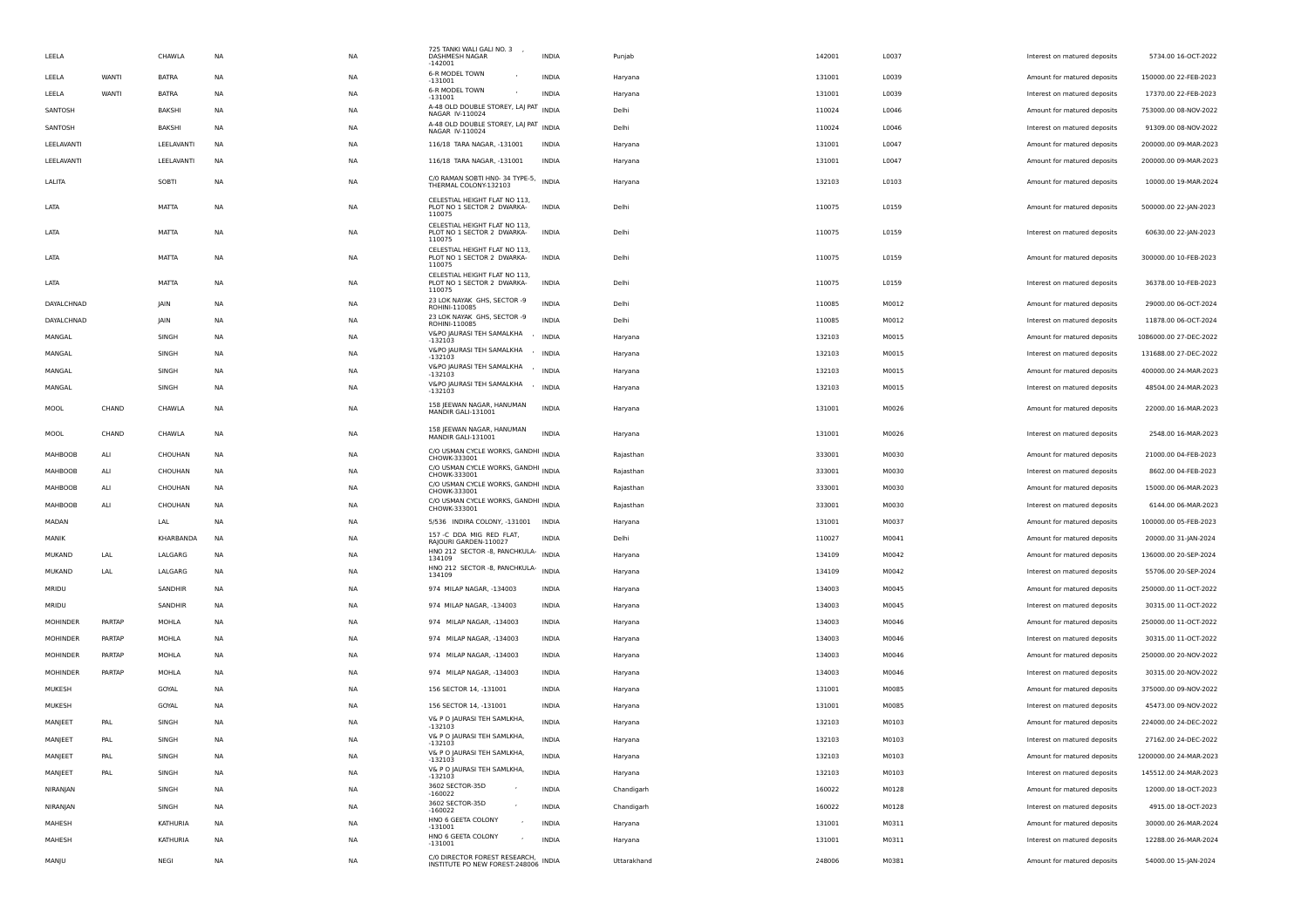| LEELA           |              | CHAWLA        | <b>NA</b> | <b>NA</b> | 725 TANKI WALI GALI NO. 3 ,<br>DASHMESH NAGAR<br>$-142001$      | INDIA        | Punjab      | 142001 | L0037 | Interest on matured deposits | 5734.00 16-OCT-2022    |
|-----------------|--------------|---------------|-----------|-----------|-----------------------------------------------------------------|--------------|-------------|--------|-------|------------------------------|------------------------|
| LEELA           | <b>WANTI</b> | <b>BATRA</b>  | NA        | NA        | 6-R MODEL TOWN<br>$\overline{\phantom{a}}$<br>$-131001$         | INDIA        | Haryana     | 131001 | L0039 | Amount for matured deposits  | 150000.00 22-FEB-2023  |
| LEELA           | WANTI        | <b>BATRA</b>  | NA        | <b>NA</b> | 6-R MODEL TOWN<br>$-131001$                                     | <b>INDIA</b> | Haryana     | 131001 | L0039 | Interest on matured deposits | 17370.00 22-FEB-2023   |
| SANTOSH         |              | <b>BAKSHI</b> | NA        | <b>NA</b> | A-48 OLD DOUBLE STOREY, LAJ PAT<br>NAGAR IV-110024              | INDIA        | Delhi       | 110024 | L0046 | Amount for matured deposits  | 753000.00 08-NOV-2022  |
| SANTOSH         |              | BAKSHI        | NA        | NA        | A-48 OLD DOUBLE STOREY, LAJ PAT INDIA<br>NAGAR IV-110024        |              | Delhi       | 110024 | L0046 | Interest on matured deposits | 91309.00 08-NOV-2022   |
| LEELAVANTI      |              | LEELAVANTI    | NA        | NA        | 116/18 TARA NAGAR, -131001                                      | INDIA        | Haryana     | 131001 | L0047 | Amount for matured deposits  | 200000.00 09-MAR-2023  |
| LEELAVANTI      |              | LEELAVANTI    | NA        | NA        | 116/18 TARA NAGAR, -131001                                      | <b>INDIA</b> | Haryana     | 131001 | L0047 | Amount for matured deposits  | 200000.00 09-MAR-2023  |
| LALITA          |              | SOBTI         | NA        | NA        | C/O RAMAN SOBTI HNO-34 TYPE-5, INDIA<br>THERMAL COLONY-132103   |              | Haryana     | 132103 | L0103 | Amount for matured deposits  | 10000.00 19-MAR-2024   |
|                 |              |               |           |           | CELESTIAL HEIGHT FLAT NO 113,                                   |              |             |        |       |                              |                        |
| LATA            |              | MATTA         | NA        | NA        | PLOT NO 1 SECTOR 2 DWARKA-<br>110075                            | INDIA        | Delhi       | 110075 | L0159 | Amount for matured deposits  | 500000.00 22-JAN-2023  |
| LATA            |              | MATTA         | <b>NA</b> | NA.       | CELESTIAL HEIGHT FLAT NO 113,<br>PLOT NO 1 SECTOR 2 DWARKA-     | <b>INDIA</b> | Delhi       | 110075 | L0159 | Interest on matured deposits | 60630.00 22-JAN-2023   |
|                 |              |               |           |           | 110075<br>CELESTIAL HEIGHT FLAT NO 113,                         |              |             |        |       |                              |                        |
| LATA            |              | MATTA         | NA        | NA        | PLOT NO 1 SECTOR 2 DWARKA-<br>110075                            | <b>INDIA</b> | Delhi       | 110075 | L0159 | Amount for matured deposits  | 300000.00 10-FEB-2023  |
| LATA            |              | MATTA         | NA        | <b>NA</b> | CELESTIAL HEIGHT FLAT NO 113,<br>PLOT NO 1 SECTOR 2 DWARKA-     | <b>INDIA</b> | Delhi       | 110075 | L0159 | Interest on matured deposits | 36378.00 10-FEB-2023   |
|                 |              |               |           |           | 110075<br>23 LOK NAYAK GHS, SECTOR -9                           |              |             |        |       |                              |                        |
| DAYALCHNAD      |              | IAIN          | NA        | NA        | ROHINI-110085<br>23 LOK NAYAK GHS, SECTOR -9                    | <b>INDIA</b> | Delhi       | 110085 | M0012 | Amount for matured deposits  | 29000.00 06-OCT-2024   |
| DAYALCHNAD      |              | <b>JAIN</b>   | <b>NA</b> | NA        | ROHINI-110085<br>V&PO JAURASI TEH SAMALKHA                      | <b>INDIA</b> | Delhi       | 110085 | M0012 | Interest on matured deposits | 11878.00 06-OCT-2024   |
| MANGAL          |              | SINGH         | <b>NA</b> | NA        | $-132103$                                                       | ' INDIA      | Haryana     | 132103 | M0015 | Amount for matured deposits  | 1086000.00 27-DEC-2022 |
| MANGAL          |              | SINGH         | NA        | NA        | V&PO JAURASI TEH SAMALKHA<br>$-132103$                          | ' INDIA      | Haryana     | 132103 | M0015 | Interest on matured deposits | 131688.00 27-DEC-2022  |
| MANGAL          |              | SINGH         | NA        | NA        | V&PO JAURASI TEH SAMALKHA<br>$-132103$                          | ' INDIA      | Haryana     | 132103 | M0015 | Amount for matured deposits  | 400000.00 24-MAR-2023  |
| MANGAL          |              | SINGH         | NA        | NA        | V&PO JAURASI TEH SAMALKHA / INDIA<br>$-132103$                  |              | Haryana     | 132103 | M0015 | Interest on matured deposits | 48504.00 24-MAR-2023   |
| MOOL            | CHAND        | CHAWLA        | NA        | <b>NA</b> | 158 JEEWAN NAGAR, HANUMAN<br>MANDIR GALI-131001                 | <b>INDIA</b> | Haryana     | 131001 | M0026 | Amount for matured deposits  | 22000.00 16-MAR-2023   |
| MOOL            | CHAND        | CHAWLA        | NA        | NA        | 158   EEWAN NAGAR, HANUMAN<br>MANDIR GALI-131001                | <b>INDIA</b> | Haryana     | 131001 | M0026 | Interest on matured deposits | 2548.00 16-MAR-2023    |
| MAHBOOB         | ALI          | CHOUHAN       | NA        | NA        | C/O USMAN CYCLE WORKS, GANDHI INDIA                             |              | Rajasthan   | 333001 | M0030 | Amount for matured deposits  | 21000.00 04-FEB-2023   |
| MAHBOOB         | ALI          | CHOUHAN       | NA        | NA        | CHOWK-333001<br>C/O USMAN CYCLE WORKS, GANDHI INDIA             |              | Rajasthan   | 333001 | M0030 | Interest on matured deposits | 8602.00 04-FEB-2023    |
|                 |              |               |           |           | CHOWK-333001<br>C/O USMAN CYCLE WORKS, GANDHI INDIA             |              |             |        |       |                              |                        |
| MAHBOOB         | ALI          | CHOUHAN       | <b>NA</b> | NA.       | CHOWK-333001<br>C/O USMAN CYCLE WORKS, GANDHI INDIA             |              | Rajasthan   | 333001 | M0030 | Amount for matured deposits  | 15000.00 06-MAR-2023   |
| MAHBOOB         | ALI          | CHOUHAN       | ΝA        | NA        | CHOWK-333001                                                    |              | Rajasthan   | 333001 | M0030 | Interest on matured deposits | 6144.00 06-MAR-2023    |
| MADAN           |              | LAL           | NA        | NA        | 5/536 INDIRA COLONY, -131001 INDIA                              |              | Haryana     | 131001 | M0037 | Amount for matured deposits  | 100000.00 05-FEB-2023  |
| MANIK           |              | KHARBANDA     | NA        | NA        | 157 -C DDA MIG RED FLAT,<br>RAJOURI GARDEN-110027               | <b>INDIA</b> | Delhi       | 110027 | M0041 | Amount for matured deposits  | 20000.00 31-JAN-2024   |
| <b>MUKAND</b>   | LAL          | LALGARG       | NA        | NA        | HNO 212 SECTOR -8, PANCHKULA- INDIA<br>134109                   |              | Haryana     | 134109 | M0042 | Amount for matured deposits  | 136000.00 20-SEP-2024  |
| <b>MUKAND</b>   | LAL          | LALGARG       | NA        | <b>NA</b> | HNO 212 SECTOR -8, PANCHKULA- INDIA<br>134109                   |              | Haryana     | 134109 | M0042 | Interest on matured deposits | 55706.00 20-SEP-2024   |
| MRIDU           |              | SANDHIR       | <b>NA</b> | NA        | 974 MILAP NAGAR, -134003                                        | INDIA        | Haryana     | 134003 | M0045 | Amount for matured deposits  | 250000.00 11-OCT-2022  |
| MRIDU           |              | SANDHIR       | NA        | NA        | 974 MILAP NAGAR, -134003                                        | INDIA        | Haryana     | 134003 | M0045 | Interest on matured deposits | 30315.00 11-OCT-2022   |
| MOHINDER        | PARTAP       | MOHLA         | NA        | NA        | 974 MILAP NAGAR, -134003                                        | INDIA        | Haryana     | 134003 | M0046 | Amount for matured deposits  | 250000.00 11-OCT-2022  |
| <b>MOHINDER</b> | PARTAP       | MOHLA         | NA        | <b>NA</b> | 974 MILAP NAGAR, -134003                                        | <b>INDIA</b> | Haryana     | 134003 | M0046 | Interest on matured deposits | 30315.00 11-OCT-2022   |
| <b>MOHINDER</b> | PARTAP       | MOHLA         | NA        | <b>NA</b> | 974 MILAP NAGAR, -134003                                        | INDIA        | Haryana     | 134003 | M0046 | Amount for matured deposits  | 250000.00 20-NOV-2022  |
| MOHINDER        | PARTAP       | MOHLA         | ΝA        | NA        | 974 MILAP NAGAR, -134003                                        | INDIA        | Haryana     | 134003 | M0046 | Interest on matured deposits | 30315.00 20-NOV-2022   |
| MUKESH          |              | GOYAL         | NA        | NA        | 156 SECTOR 14, -131001                                          | <b>INDIA</b> | Haryana     | 131001 | M0085 | Amount for matured deposits  | 375000.00 09-NOV-2022  |
|                 |              |               |           |           |                                                                 |              |             |        |       |                              | 45473.00 09-NOV-2022   |
| MUKESH          |              | GOYAL         | NA        | NA        | 156 SECTOR 14, -131001<br>V& P O JAURASI TEH SAMLKHA,           | INDIA        | Haryana     | 131001 | M0085 | Interest on matured deposits |                        |
| MANJEET         | PAL          | SINGH         | NA        | NA        | $-132103$<br>V& P O JAURASI TEH SAMLKHA,                        | <b>INDIA</b> | Haryana     | 132103 | M0103 | Amount for matured deposits  | 224000.00 24-DEC-2022  |
| MANJEET         | PAL          | SINGH         | <b>NA</b> | <b>NA</b> | -132103<br>V& P O JAURASI TEH SAMLKHA,                          | <b>INDIA</b> | Harvana     | 132103 | M0103 | Interest on matured deposits | 27162.00 24-DEC-2022   |
| MANJEET         | PAL          | SINGH         | NA        | NA        | $-132103$                                                       | INDIA        | Haryana     | 132103 | M0103 | Amount for matured deposits  | 1200000.00 24-MAR-2023 |
| MANJEET         | PAL          | SINGH         | NA        | NA        | V& P O JAURASI TEH SAMLKHA,<br>$-132103$                        | INDIA        | Haryana     | 132103 | M0103 | Interest on matured deposits | 145512.00 24-MAR-2023  |
| NIRANJAN        |              | SINGH         | NA        | NA        | 3602 SECTOR-35D<br>$-160022$                                    | INDIA        | Chandigarh  | 160022 | M0128 | Amount for matured deposits  | 12000.00 18-OCT-2023   |
| NIRANJAN        |              | SINGH         | NA        | NA        | 3602 SECTOR-35D<br>$-160022$                                    | <b>INDIA</b> | Chandigarh  | 160022 | M0128 | Interest on matured deposits | 4915.00 18-OCT-2023    |
| MAHESH          |              | KATHURIA      | NA        | <b>NA</b> | HNO 6 GEETA COLONY<br>$-131001$                                 | <b>INDIA</b> | Haryana     | 131001 | M0311 | Amount for matured deposits  | 30000.00 26-MAR-2024   |
| MAHESH          |              | KATHURIA      | <b>NA</b> | NA        | HNO 6 GEETA COLONY<br>$-131001$                                 | <b>INDIA</b> | Haryana     | 131001 | M0311 | Interest on matured deposits | 12288.00 26-MAR-2024   |
| MANJU           |              | NEGI          | NA        | NA        | C/0 DIRECTOR FOREST RESEARCH,<br>INSTITUTE PO NEW FOREST-248006 | INDIA        | Uttarakhand | 248006 | M0381 | Amount for matured deposits  | 54000.00 15-JAN-2024   |
|                 |              |               |           |           |                                                                 |              |             |        |       |                              |                        |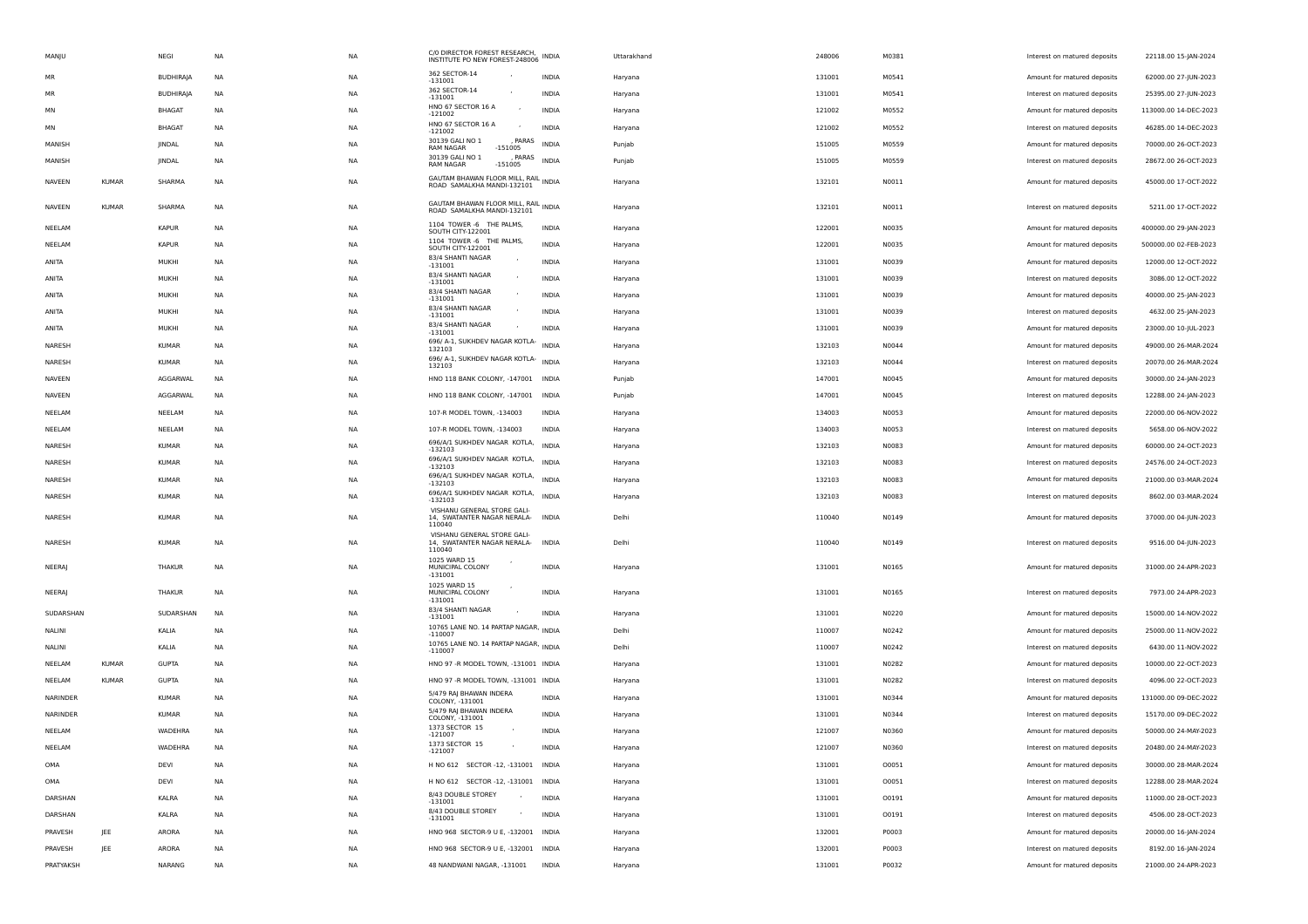| MANJU         |              | NEGI             | NA        | NA        | C/0 DIRECTOR FOREST RESEARCH,<br>INSTITUTE PO NEW FOREST-248006 INDIA |              | Uttarakhand | 248006 | M0381 | Interest on matured deposits | 22118.00 15-JAN-2024  |
|---------------|--------------|------------------|-----------|-----------|-----------------------------------------------------------------------|--------------|-------------|--------|-------|------------------------------|-----------------------|
| <b>MR</b>     |              | <b>BUDHIRAJA</b> | NA        | NA        | 362 SECTOR-14<br>-131001                                              | INDIA        | Haryana     | 131001 | M0541 | Amount for matured deposits  | 62000.00 27-JUN-2023  |
| MR            |              | <b>BUDHIRAJA</b> | NA        | <b>NA</b> | 362 SECTOR-14<br>$-131001$                                            | INDIA        | Haryana     | 131001 | M0541 | Interest on matured deposits | 25395.00 27-JUN-2023  |
| MN            |              | <b>BHAGAT</b>    | NA        | NA        | HNO 67 SECTOR 16 A<br>$\sim$<br>$-121002$                             | INDIA        | Haryana     | 121002 | M0552 | Amount for matured deposits  | 113000.00 14-DEC-2023 |
| MN            |              | <b>BHAGAT</b>    | <b>NA</b> | <b>NA</b> | HNO 67 SECTOR 16 A<br>$\overline{\phantom{a}}$<br>$-121002$           | <b>INDIA</b> | Haryana     | 121002 | M0552 | Interest on matured deposits | 46285.00 14-DEC-2023  |
| MANISH        |              | JINDAL           | NA        | NA        | 30139 GALI NO 1<br>PARAS<br><b>RAM NAGAR</b><br>$-151005$             | <b>INDIA</b> | Punjab      | 151005 | M0559 | Amount for matured deposits  | 70000.00 26-OCT-2023  |
| MANISH        |              | JINDAL           | NA        | NA        | 30139 GALI NO 1<br>, PARAS<br><b>RAM NAGAR</b><br>$-151005$           | <b>INDIA</b> | Punjab      | 151005 | M0559 | Interest on matured deposits | 28672.00 26-OCT-2023  |
| <b>NAVEEN</b> | <b>KUMAR</b> | SHARMA           | NA        | NA        | GAUTAM BHAWAN FLOOR MILL, RAIL INDIA                                  |              | Haryana     | 132101 | N0011 | Amount for matured deposits  | 45000.00 17-OCT-2022  |
|               |              |                  |           |           | ROAD SAMALKHA MANDI-132101                                            |              |             |        |       |                              |                       |
| NAVEEN        | <b>KUMAR</b> | SHARMA           | NA        | NA        | GAUTAM BHAWAN FLOOR MILL, RAIL INDIA<br>ROAD SAMALKHA MANDI-132101    |              | Haryana     | 132101 | N0011 | Interest on matured deposits | 5211.00 17-OCT-2022   |
| NEELAM        |              | <b>KAPUR</b>     | NA        | NA        | 1104 TOWER -6 THE PALMS,<br><b>SOUTH CITY-122001</b>                  | <b>INDIA</b> | Haryana     | 122001 | N0035 | Amount for matured deposits  | 400000.00 29-JAN-2023 |
| NEELAM        |              | <b>KAPUR</b>     | NA        | NA        | 1104 TOWER -6 THE PALMS,<br><b>SOUTH CITY-122001</b>                  | INDIA        | Haryana     | 122001 | N0035 | Amount for matured deposits  | 500000.00 02-FEB-2023 |
| ANITA         |              | MUKHI            | NA        | NA        | 83/4 SHANTI NAGAR<br>$-131001$                                        | INDIA        | Haryana     | 131001 | N0039 | Amount for matured deposits  | 12000.00 12-OCT-2022  |
| ANITA         |              | MUKHI            | <b>NA</b> | NA        | 83/4 SHANTI NAGAR<br>$-131001$                                        | <b>INDIA</b> | Haryana     | 131001 | N0039 | Interest on matured deposits | 3086.00 12-OCT-2022   |
| ANITA         |              | MUKHI            | <b>NA</b> | <b>NA</b> | 83/4 SHANTI NAGAR<br>$-131001$                                        | <b>INDIA</b> | Haryana     | 131001 | N0039 | Amount for matured deposits  | 40000.00 25-JAN-2023  |
| ANITA         |              | MUKHI            | NA        | NA        | 83/4 SHANTI NAGAR<br>$-131001$                                        | <b>INDIA</b> | Haryana     | 131001 | N0039 | Interest on matured deposits | 4632.00 25-JAN-2023   |
| ANITA         |              | MUKHI            | NA        | NA        | 83/4 SHANTI NAGAR<br>$-131001$                                        | INDIA        | Haryana     | 131001 | N0039 | Amount for matured deposits  | 23000.00 10-JUL-2023  |
| NARESH        |              | KUMAR            | <b>NA</b> | <b>NA</b> | 696/ A-1, SUKHDEV NAGAR KOTLA-<br>132103                              | <b>INDIA</b> | Haryana     | 132103 | N0044 | Amount for matured deposits  | 49000.00 26-MAR-2024  |
| NARESH        |              | KUMAR            | <b>NA</b> | NA        | 696/ A-1, SUKHDEV NAGAR KOTLA-<br>132103                              | <b>INDIA</b> | Haryana     | 132103 | N0044 | Interest on matured deposits | 20070.00 26-MAR-2024  |
| NAVEEN        |              | AGGARWAL         | NA        | <b>NA</b> | HNO 118 BANK COLONY, -147001 INDIA                                    |              | Punjab      | 147001 | N0045 | Amount for matured deposits  | 30000.00 24-JAN-2023  |
| NAVEEN        |              | AGGARWAL         | NA        | NA        | HNO 118 BANK COLONY, -147001 INDIA                                    |              | Punjab      | 147001 | N0045 | Interest on matured deposits | 12288.00 24-JAN-2023  |
| NEELAM        |              | NEELAM           | NA        | NA        | 107-R MODEL TOWN, -134003                                             | INDIA        | Haryana     | 134003 | N0053 | Amount for matured deposits  | 22000.00 06-NOV-2022  |
| NEELAM        |              | NEELAM           | NA        | <b>NA</b> | 107-R MODEL TOWN, -134003                                             | <b>INDIA</b> | Haryana     | 134003 | N0053 | Interest on matured deposits | 5658.00 06-NOV-2022   |
| NARESH        |              | <b>KUMAR</b>     | <b>NA</b> | NA        | 696/A/1 SUKHDEV NAGAR KOTLA, INDIA<br>$-132103$                       |              | Haryana     | 132103 | N0083 | Amount for matured deposits  | 60000.00 24-OCT-2023  |
| NARESH        |              | <b>KUMAR</b>     | <b>NA</b> | <b>NA</b> | 696/A/1 SUKHDEV NAGAR KOTLA, INDIA<br>$-132103$                       |              | Haryana     | 132103 | N0083 | Interest on matured deposits | 24576.00 24-OCT-2023  |
| NARESH        |              | <b>KUMAR</b>     | NA        | NA        | 696/A/1 SUKHDEV NAGAR KOTLA, INDIA<br>-132103                         |              | Haryana     | 132103 | N0083 | Amount for matured deposits  | 21000.00 03-MAR-2024  |
| NARESH        |              | KUMAR            | NA        | NA        | 696/A/1 SUKHDEV NAGAR KOTLA, INDIA<br>$-132103$                       |              | Haryana     | 132103 | N0083 | Interest on matured deposits | 8602.00 03-MAR-2024   |
|               |              |                  |           |           | VISHANU GENERAL STORE GALI-                                           |              |             |        |       |                              |                       |
| NARESH        |              | KUMAR            | NA        | NA        | 14, SWATANTER NAGAR NERALA-<br>110040                                 | INDIA        | Delhi       | 110040 | N0149 | Amount for matured deposits  | 37000.00 04-JUN-2023  |
| NARESH        |              | <b>KUMAR</b>     | NA        | NA        | VISHANU GENERAL STORE GALI-<br>14, SWATANTER NAGAR NERALA-<br>110040  | <b>INDIA</b> | Delhi       | 110040 | N0149 | Interest on matured deposits | 9516.00 04-JUN-2023   |
| <b>NEERAI</b> |              | THAKUR           | <b>NA</b> | <b>NA</b> | 1025 WARD 15<br>MUNICIPAL COLONY                                      | <b>INDIA</b> |             | 131001 | N0165 | Amount for matured deposits  | 31000.00 24-APR-2023  |
|               |              |                  |           |           | $-131001$                                                             |              | Haryana     |        |       |                              |                       |
| NEERAJ        |              | THAKUR           | <b>NA</b> | <b>NA</b> | 1025 WARD 15<br>MUNICIPAL COLONY<br>$-131001$                         | INDIA        | Haryana     | 131001 | N0165 | Interest on matured deposits | 7973.00 24-APR-2023   |
| SUDARSHAN     |              | SUDARSHAN        | <b>NA</b> | NA        | 83/4 SHANTI NAGAR<br>$-131001$                                        | <b>INDIA</b> | Haryana     | 131001 | N0220 | Amount for matured deposits  | 15000.00 14-NOV-2022  |
| NALINI        |              | KALIA            | <b>NA</b> | <b>NA</b> | 10765 LANE NO. 14 PARTAP NAGAR, INDIA<br>$-110007$                    |              | Delhi       | 110007 | N0242 | Amount for matured deposits  | 25000.00 11-NOV-2022  |
| NALINI        |              | KALIA            | NA        | NA        | 10765 LANE NO. 14 PARTAP NAGAR, INDIA<br>$-110007$                    |              | Delhi       | 110007 | N0242 | Interest on matured deposits | 6430.00 11-NOV-2022   |
| NEELAM        | <b>KUMAR</b> | <b>GUPTA</b>     | NA        | NA        | HNO 97 -R MODEL TOWN, -131001 INDIA                                   |              | Haryana     | 131001 | N0282 | Amount for matured deposits  | 10000.00 22-OCT-2023  |
| NEELAM        | <b>KUMAR</b> | <b>GUPTA</b>     | NA        | <b>NA</b> | HNO 97 -R MODEL TOWN, -131001 INDIA                                   |              | Haryana     | 131001 | N0282 | Interest on matured deposits | 4096.00 22-OCT-2023   |
| NARINDER      |              | <b>KUMAR</b>     | NA        | NA        | 5/479 RAJ BHAWAN INDERA<br>COLONY, -131001                            | <b>INDIA</b> | Haryana     | 131001 | N0344 | Amount for matured deposits  | 131000.00 09-DEC-2022 |
| NARINDER      |              | <b>KUMAR</b>     | <b>NA</b> | <b>NA</b> | 5/479 RAJ BHAWAN INDERA<br>COLONY, -131001                            | <b>INDIA</b> | Haryana     | 131001 | N0344 | Interest on matured deposits | 15170.00 09-DEC-2022  |
| NEELAM        |              | WADEHRA          | NA        | NA        | 1373 SECTOR 15<br>$-121007$                                           | <b>INDIA</b> | Haryana     | 121007 | N0360 | Amount for matured deposits  | 50000.00 24-MAY-2023  |
| NEELAM        |              | WADEHRA          | NA        | NΑ        | 1373 SECTOR 15<br>$-121007$                                           | <b>INDIA</b> | Haryana     | 121007 | N0360 | Interest on matured deposits | 20480.00 24-MAY-2023  |
| OMA           |              | DEVI             | <b>NA</b> | <b>NA</b> | H NO 612 SECTOR -12, -131001 INDIA                                    |              | Haryana     | 131001 | 00051 | Amount for matured deposits  | 30000.00 28-MAR-2024  |
| OMA           |              | DEVI             | <b>NA</b> | NA        | H NO 612 SECTOR -12, -131001 INDIA                                    |              | Haryana     | 131001 | 00051 | Interest on matured deposits | 12288.00 28-MAR-2024  |
| DARSHAN       |              | KALRA            | NA        | NA        | 8/43 DOUBLE STOREY<br>$\sim$<br>$-131001$                             | <b>INDIA</b> | Haryana     | 131001 | 00191 | Amount for matured deposits  | 11000.00 28-OCT-2023  |
| DARSHAN       |              | KALRA            | NA        | NA        | 8/43 DOUBLE STOREY<br>$\mathcal{L}_{\mathcal{A}}$<br>$-131001$        | <b>INDIA</b> | Haryana     | 131001 | 00191 | Interest on matured deposits | 4506.00 28-OCT-2023   |
| PRAVESH       | JEE          | ARORA            | NA        | NA        | HNO 968 SECTOR-9 U E, -132001 INDIA                                   |              | Haryana     | 132001 | P0003 | Amount for matured deposits  | 20000.00 16-JAN-2024  |
| PRAVESH       | JEE          | ARORA            | NA        | NA        | HNO 968 SECTOR-9 U E, -132001 INDIA                                   |              | Haryana     | 132001 | P0003 | Interest on matured deposits | 8192.00 16-JAN-2024   |
| PRATYAKSH     |              | NARANG           | <b>NA</b> | NA        | 48 NANDWANI NAGAR, -131001 INDIA                                      |              | Haryana     | 131001 | P0032 | Amount for matured deposits  | 21000.00 24-APR-2023  |
|               |              |                  |           |           |                                                                       |              |             |        |       |                              |                       |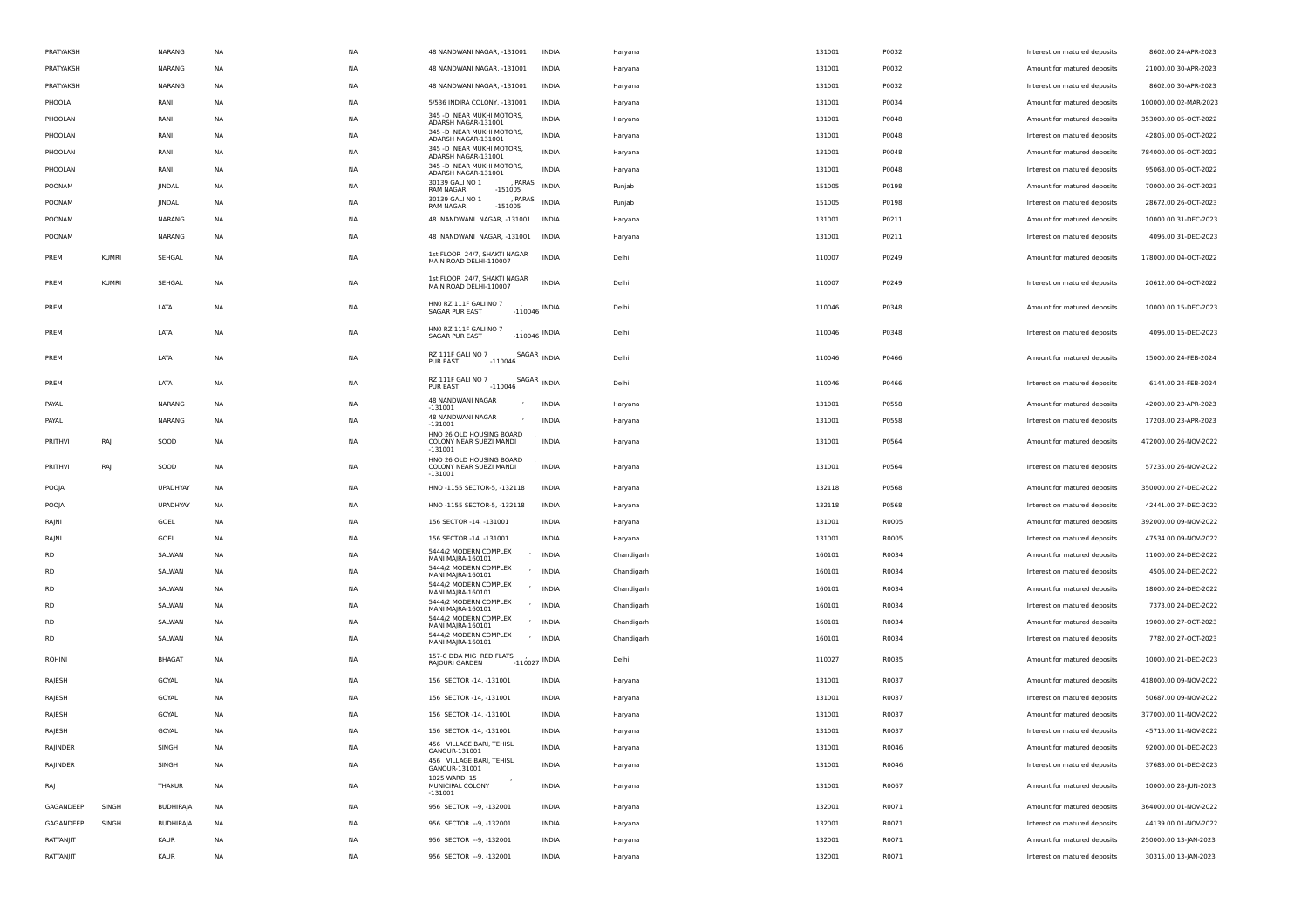| PRATYAKSH      |              | NARANG           | <b>NA</b> | <b>NA</b> | 48 NANDWANI NAGAR, -131001                                             | <b>INDIA</b> | Haryana    | 131001 | P0032 | Interest on matured deposits | 8602.00 24-APR-2023                          |
|----------------|--------------|------------------|-----------|-----------|------------------------------------------------------------------------|--------------|------------|--------|-------|------------------------------|----------------------------------------------|
| PRATYAKSH      |              | NARANG           | <b>NA</b> | <b>NA</b> | 48 NANDWANI NAGAR, -131001                                             | <b>INDIA</b> | Haryana    | 131001 | P0032 | Amount for matured deposits  | 21000.00 30-APR-2023                         |
| PRATYAKSH      |              | NARANG           | ΝA        | <b>NA</b> | 48 NANDWANI NAGAR, -131001                                             | <b>INDIA</b> | Haryana    | 131001 | P0032 | Interest on matured deposits | 8602.00 30-APR-2023                          |
| PHOOLA         |              | RANI             | NA        | <b>NA</b> | 5/536 INDIRA COLONY, -131001                                           | INDIA        | Haryana    | 131001 | P0034 | Amount for matured deposits  | 100000.00 02-MAR-2023                        |
| PHOOLAN        |              | RANI             | NA        | <b>NA</b> | 345 -D NEAR MUKHI MOTORS,<br>ADARSH NAGAR-131001                       | <b>INDIA</b> | Haryana    | 131001 | P0048 | Amount for matured deposits  | 353000.00 05-OCT-2022                        |
| PHOOLAN        |              | RANI             | <b>NA</b> | <b>NA</b> | 345 -D NEAR MUKHI MOTORS,<br>ADARSH NAGAR-131001                       | <b>INDIA</b> | Haryana    | 131001 | P0048 | Interest on matured deposits | 42805.00 05-OCT-2022                         |
| PHOOLAN        |              | RANI             | <b>NA</b> | <b>NA</b> | 345 -D NEAR MUKHI MOTORS,<br>ADARSH NAGAR-131001                       | <b>INDIA</b> | Haryana    | 131001 | P0048 | Amount for matured deposits  | 784000.00 05-OCT-2022                        |
| PHOOLAN        |              | RANI             | ΝA        | NA        | 345 -D NEAR MUKHI MOTORS,<br>ADARSH NAGAR-131001                       | <b>INDIA</b> | Haryana    | 131001 | P0048 | Interest on matured deposits | 95068.00 05-OCT-2022                         |
| POONAM         |              | JINDAL           | NA        | <b>NA</b> | 30139 GALI NO 1<br>PARAS<br><b>RAM NAGAR</b><br>$-151005$              | <b>INDIA</b> | Punjab     | 151005 | P0198 | Amount for matured deposits  | 70000.00 26-OCT-2023                         |
| POONAM         |              | JINDAL           | NA        | <b>NA</b> | 30139 GALI NO 1<br>, PARAS<br>$-151005$<br><b>RAM NAGAR</b>            | <b>INDIA</b> | Punjab     | 151005 | P0198 | Interest on matured deposits | 28672.00 26-OCT-2023                         |
| POONAM         |              | NARANG           | <b>NA</b> | <b>NA</b> | 48 NANDWANI NAGAR, -131001                                             | <b>INDIA</b> | Haryana    | 131001 | P0211 | Amount for matured deposits  | 10000.00 31-DEC-2023                         |
| POONAM         |              | NARANG           | <b>NA</b> | <b>NA</b> | 48 NANDWANI NAGAR, -131001 INDIA                                       |              | Haryana    | 131001 | P0211 | Interest on matured deposits | 4096.00 31-DEC-2023                          |
| PREM           | <b>KUMRI</b> | SEHGAL           | <b>NA</b> | <b>NA</b> | 1st FLOOR 24/7, SHAKTI NAGAR<br>MAIN ROAD DELHI-110007                 | <b>INDIA</b> | Delhi      | 110007 | P0249 | Amount for matured deposits  | 178000.00 04-OCT-2022                        |
| PREM           | <b>KUMRI</b> | SEHGAL           | <b>NA</b> | <b>NA</b> | 1st FLOOR 24/7, SHAKTI NAGAR<br>MAIN ROAD DELHI-110007                 | <b>INDIA</b> | Delhi      | 110007 | P0249 | Interest on matured deposits | 20612.00 04-OCT-2022                         |
| PREM           |              | LATA             | NA        | <b>NA</b> | HNO RZ 111F GALI NO 7<br>$-110046$ INDIA<br>SAGAR PUR EAST             |              | Delhi      | 110046 | P0348 | Amount for matured deposits  | 10000.00 15-DEC-2023                         |
| PREM           |              | LATA             | NA        | <b>NA</b> | HNO RZ 111F GALI NO 7<br>$-110046$ INDIA<br><b>SAGAR PUR EAST</b>      |              | Delhi      | 110046 | P0348 | Interest on matured deposits | 4096.00 15-DEC-2023                          |
| PREM           |              | LATA             | NA        | <b>NA</b> | RZ 111F GALI NO 7<br>SAGAR INDIA<br><b>PUR EAST</b><br>$-110046$       |              | Delhi      | 110046 | P0466 | Amount for matured deposits  | 15000.00 24-FEB-2024                         |
| PREM           |              | LATA             | NA        | <b>NA</b> | RZ 111F GALI NO 7<br>, SAGAR INDIA<br>PUR EAST<br>$-110046$            |              | Delhi      | 110046 | P0466 | Interest on matured deposits | 6144.00 24-FEB-2024                          |
| PAYAL          |              | NARANG           | NA        | NA        | 48 NANDWANI NAGAR<br>$-131001$                                         | <b>INDIA</b> | Haryana    | 131001 | P0558 | Amount for matured deposits  | 42000.00 23-APR-2023                         |
| PAYAL          |              | NARANG           | NA        | NA        | 48 NANDWANI NAGAR<br>$-131001$                                         | <b>INDIA</b> | Haryana    | 131001 | P0558 | Interest on matured deposits | 17203.00 23-APR-2023                         |
| <b>PRITHVI</b> | RAJ          | SOOD             | NA        | NA        | HNO 26 OLD HOUSING BOARD<br>COLONY NEAR SUBZI MANDI<br>$-131001$       | <b>INDIA</b> | Haryana    | 131001 | P0564 | Amount for matured deposits  | 472000.00 26-NOV-2022                        |
| PRITHVI        | RAJ          | SOOD             | NA        | <b>NA</b> | HNO 26 OLD HOUSING BOARD<br>COLONY NEAR SUBZI MANDI<br>$-131001$       | <b>INDIA</b> | Haryana    | 131001 | P0564 | Interest on matured deposits | 57235.00 26-NOV-2022                         |
| POOJA          |              | UPADHYAY         | NA        | <b>NA</b> | HNO -1155 SECTOR-5, -132118                                            | <b>INDIA</b> | Haryana    | 132118 | P0568 | Amount for matured deposits  | 350000.00 27-DEC-2022                        |
| POOJA          |              | UPADHYAY         | NA        | NA        | HNO -1155 SECTOR-5, -132118                                            | <b>INDIA</b> | Haryana    | 132118 | P0568 | Interest on matured deposits | 42441.00 27-DEC-2022                         |
| RAJNI          |              | GOEL             | NA        | <b>NA</b> | 156 SECTOR -14, -131001                                                | INDIA        | Haryana    | 131001 | R0005 | Amount for matured deposits  | 392000.00 09-NOV-2022                        |
| RAJNI          |              | GOEL             | NA        | <b>NA</b> | 156 SECTOR -14, -131001                                                | <b>INDIA</b> | Haryana    | 131001 | R0005 | Interest on matured deposits | 47534.00 09-NOV-2022                         |
| <b>RD</b>      |              | SALWAN           | <b>NA</b> | <b>NA</b> | 5444/2 MODERN COMPLEX<br>$\overline{\phantom{a}}$<br>MANI MAJRA-160101 | INDIA        | Chandigarh | 160101 | R0034 | Amount for matured deposits  | 11000.00 24-DEC-2022                         |
| <b>RD</b>      |              | SALWAN           | <b>NA</b> | <b>NA</b> | 5444/2 MODERN COMPLEX<br>$\sim$<br>MANI MAJRA-160101                   | INDIA        | Chandigarh | 160101 | R0034 | Interest on matured deposits | 4506.00 24-DEC-2022                          |
| <b>RD</b>      |              | SALWAN           | ΝA        | NA        | 5444/2 MODERN COMPLEX<br>MANI MAJRA-160101<br>5444/2 MODERN COMPLEX    | ' INDIA      | Chandigarh | 160101 | R0034 | Amount for matured deposits  | 18000.00 24-DEC-2022                         |
| <b>RD</b>      |              | SALWAN           | NA        | <b>NA</b> | $\sim$<br>MANI MAJRA-160101<br>5444/2 MODERN COMPLEX                   | <b>INDIA</b> | Chandigarh | 160101 | R0034 | Interest on matured deposits | 7373.00 24-DEC-2022                          |
| <b>RD</b>      |              | SALWAN           | NA        | <b>NA</b> | $\overline{\phantom{a}}$<br>MANI MAJRA-160101<br>5444/2 MODERN COMPLEX | INDIA        | Chandigarh | 160101 | R0034 | Amount for matured deposits  | 19000.00 27-OCT-2023                         |
| <b>RD</b>      |              | SALWAN           | <b>NA</b> | <b>NA</b> | $\sim$<br>MANI MAJRA-160101                                            | INDIA        | Chandigarh | 160101 | R0034 | Interest on matured deposits | 7782.00 27-OCT-2023                          |
| <b>ROHINI</b>  |              | <b>BHAGAT</b>    | <b>NA</b> | <b>NA</b> | 157-C DDA MIG RED FLATS<br>$-110027$ INDIA<br>RAJOURI GARDEN           |              | Delhi      | 110027 | R0035 | Amount for matured deposits  | 10000.00 21-DEC-2023                         |
| RAJESH         |              | GOYAL            | <b>NA</b> | <b>NA</b> | 156 SECTOR -14, -131001                                                | <b>INDIA</b> | Haryana    | 131001 | R0037 | Amount for matured deposits  | 418000.00 09-NOV-2022                        |
| RAJESH         |              | GOYAL            | <b>NA</b> | <b>NA</b> | 156 SECTOR -14, -131001                                                | <b>INDIA</b> | Haryana    | 131001 | R0037 | Interest on matured deposits | 50687.00 09-NOV-2022                         |
| RAJESH         |              | GOYAL            | NA        | <b>NA</b> | 156 SECTOR -14, -131001                                                | <b>INDIA</b> | Haryana    | 131001 | R0037 | Amount for matured deposits  | 377000.00 11-NOV-2022                        |
| RAJESH         |              | GOYAL            | NA        | <b>NA</b> | 156 SECTOR -14, -131001                                                | <b>INDIA</b> | Haryana    | 131001 | R0037 | Interest on matured deposits | 45715.00 11-NOV-2022                         |
| RAJINDER       |              | SINGH            | NA        | <b>NA</b> | 456 VILLAGE BARI, TEHISL<br>GANOUR-131001<br>456 VILLAGE BARI, TEHISL  | INDIA        | Haryana    | 131001 | R0046 | Amount for matured deposits  | 92000.00 01-DEC-2023                         |
| RAJINDER       |              | SINGH            | <b>NA</b> | <b>NA</b> | GANOUR-131001<br>1025 WARD 15                                          | <b>INDIA</b> | Haryana    | 131001 | R0046 | Interest on matured deposits | 37683.00 01-DEC-2023<br>10000.00 28-JUN-2023 |
| RAJ            |              | THAKUR           | <b>NA</b> | <b>NA</b> | MUNICIPAL COLONY<br>$-131001$                                          | <b>INDIA</b> | Haryana    | 131001 | R0067 | Amount for matured deposits  |                                              |
| GAGANDEEP      | SINGH        | <b>BUDHIRAJA</b> | NA        | <b>NA</b> | 956 SECTOR -- 9, -132001                                               | <b>INDIA</b> | Haryana    | 132001 | R0071 | Amount for matured deposits  | 364000.00 01-NOV-2022                        |
| GAGANDEEP      | SINGH        | <b>BUDHIRAJA</b> | <b>NA</b> | <b>NA</b> | 956 SECTOR -- 9, -132001                                               | <b>INDIA</b> | Haryana    | 132001 | R0071 | Interest on matured deposits | 44139.00 01-NOV-2022                         |
| RATTANJIT      |              | KAUR             | NA        | NA        | 956 SECTOR -- 9, -132001                                               | INDIA        | Haryana    | 132001 | R0071 | Amount for matured deposits  | 250000.00 13-JAN-2023                        |
| RATTANJIT      |              | KAUR             | NA        | NA        | 956 SECTOR -- 9, -132001                                               | INDIA        | Haryana    | 132001 | R0071 | Interest on matured deposits | 30315.00 13-JAN-2023                         |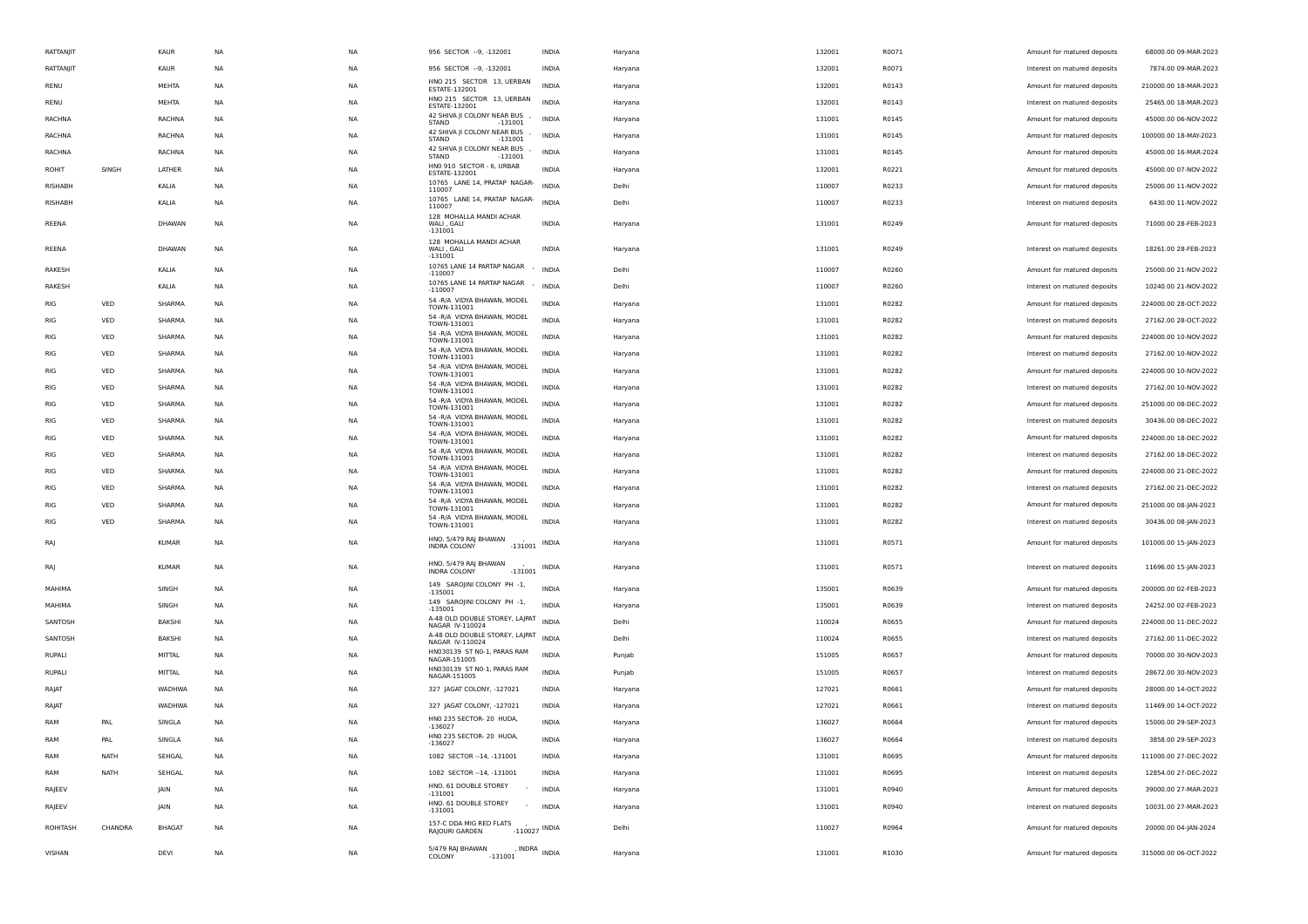| RATTANJIT       |         | KAUR          | NA        | NA        | 956 SECTOR -- 9, -132001                                 | INDIA           | Haryana | 132001 | R0071 | Amount for matured deposits  | 68000.00 09-MAR-2023  |
|-----------------|---------|---------------|-----------|-----------|----------------------------------------------------------|-----------------|---------|--------|-------|------------------------------|-----------------------|
| RATTANJIT       |         | KAUR          | NA        | NA        | 956 SECTOR -- 9, -132001                                 | INDIA           | Haryana | 132001 | R0071 | Interest on matured deposits | 7874.00 09-MAR-2023   |
| RENU            |         | MEHTA         | <b>NA</b> | <b>NA</b> | HNO 215 SECTOR 13, UERBAN<br>ESTATE-132001               | <b>INDIA</b>    | Haryana | 132001 | R0143 | Amount for matured deposits  | 210000.00 18-MAR-2023 |
| RENU            |         | MEHTA         | <b>NA</b> | <b>NA</b> | HNO 215 SECTOR 13, UERBAN<br>ESTATE-132001               | <b>INDIA</b>    | Haryana | 132001 | R0143 | Interest on matured deposits | 25465.00 18-MAR-2023  |
| RACHNA          |         | RACHNA        | NA        | NA        | 42 SHIVA JI COLONY NEAR BUS<br><b>STAND</b><br>$-131001$ | <b>INDIA</b>    | Haryana | 131001 | R0145 | Amount for matured deposits  | 45000.00 06-NOV-2022  |
| RACHNA          |         | RACHNA        | <b>NA</b> | NA        | 42 SHIVA JI COLONY NEAR BUS<br><b>STAND</b><br>-131001   | INDIA           | Haryana | 131001 | R0145 | Amount for matured deposits  | 100000.00 18-MAY-2023 |
| RACHNA          |         | RACHNA        | NA        | NA        | 42 SHIVA JI COLONY NEAR BUS<br>STAND<br>$-131001$        | INDIA           | Haryana | 131001 | R0145 | Amount for matured deposits  | 45000.00 16-MAR-2024  |
| ROHIT           | SINGH   | LATHER        | <b>NA</b> | <b>NA</b> | HNO 910 SECTOR - 6, URBAB<br>ESTATE-132001               | <b>INDIA</b>    | Haryana | 132001 | R0221 | Amount for matured deposits  | 45000.00 07-NOV-2022  |
| RISHABH         |         | KALIA         | <b>NA</b> | <b>NA</b> | 10765 LANE 14, PRATAP NAGAR-<br>110007                   | <b>INDIA</b>    | Delhi   | 110007 | R0233 | Amount for matured deposits  | 25000.00 11-NOV-2022  |
| <b>RISHABH</b>  |         | KALIA         | NA        | <b>NA</b> | 10765 LANE 14, PRATAP NAGAR-<br>110007                   | <b>INDIA</b>    | Delhi   | 110007 | R0233 | Interest on matured deposits | 6430.00 11-NOV-2022   |
| REENA           |         | DHAWAN        | <b>NA</b> | <b>NA</b> | 128 MOHALLA MANDI ACHAR<br>WALI, GALI<br>$-131001$       | <b>INDIA</b>    | Haryana | 131001 | R0249 | Amount for matured deposits  | 71000.00 28-FEB-2023  |
| REENA           |         | DHAWAN        | <b>NA</b> | <b>NA</b> | 128 MOHALLA MANDI ACHAR<br>WALI, GALI<br>$-131001$       | <b>INDIA</b>    | Haryana | 131001 | R0249 | Interest on matured deposits | 18261.00 28-FEB-2023  |
| RAKESH          |         | KALIA         | <b>NA</b> | <b>NA</b> | 10765 LANE 14 PARTAP NAGAR<br>$-110007$                  | <b>INDIA</b>    | Delhi   | 110007 | R0260 | Amount for matured deposits  | 25000.00 21-NOV-2022  |
| RAKESH          |         | KALIA         | NA        | NA        | 10765 LANE 14 PARTAP NAGAR<br>$-110007$                  | <b>INDIA</b>    | Delhi   | 110007 | R0260 | Interest on matured deposits | 10240.00 21-NOV-2022  |
| RIG             | VED     | SHARMA        | <b>NA</b> | NA        | 54 - R/A VIDYA BHAWAN, MODEL                             | <b>INDIA</b>    | Haryana | 131001 | R0282 | Amount for matured deposits  | 224000.00 28-OCT-2022 |
| RIG             | VED     | SHARMA        | NA        | NA        | TOWN-131001<br>54 - R/A VIDYA BHAWAN, MODEL              | <b>INDIA</b>    | Haryana | 131001 | R0282 | Interest on matured deposits | 27162.00 28-OCT-2022  |
| RIG             | VED     | SHARMA        | <b>NA</b> | <b>NA</b> | TOWN-131001<br>54 - R/A VIDYA BHAWAN, MODEL              | <b>INDIA</b>    | Haryana | 131001 | R0282 | Amount for matured deposits  | 224000.00 10-NOV-2022 |
| RIG             | VED     | SHARMA        | <b>NA</b> | <b>NA</b> | TOWN-131001<br>54 - R/A VIDYA BHAWAN, MODEL              | <b>INDIA</b>    | Haryana | 131001 | R0282 | Interest on matured deposits | 27162.00 10-NOV-2022  |
|                 | VED     | SHARMA        |           |           | TOWN-131001<br>54 - R/A VIDYA BHAWAN, MODEL              | <b>INDIA</b>    |         |        |       |                              |                       |
| RIG             |         |               | <b>NA</b> | NA        | TOWN-131001<br>54 - R/A VIDYA BHAWAN, MODEL              |                 | Haryana | 131001 | R0282 | Amount for matured deposits  | 224000.00 10-NOV-2022 |
| RIG             | VED     | SHARMA        | NA        | NA        | TOWN-131001<br>54 - R/A VIDYA BHAWAN, MODEL              | <b>INDIA</b>    | Haryana | 131001 | R0282 | Interest on matured deposits | 27162.00 10-NOV-2022  |
| RIG             | VED     | SHARMA        | NA        | NA        | TOWN-131001<br>54 - R/A VIDYA BHAWAN, MODEL              | <b>INDIA</b>    | Haryana | 131001 | R0282 | Amount for matured deposits  | 251000.00 08-DEC-2022 |
| RIG             | VED     | SHARMA        | <b>NA</b> | NA        | TOWN-131001<br>54 - R/A VIDYA BHAWAN, MODEL              | <b>INDIA</b>    | Haryana | 131001 | R0282 | Interest on matured deposits | 30436.00 08-DEC-2022  |
| RIG             | VED     | SHARMA        | <b>NA</b> | <b>NA</b> | TOWN-131001<br>54 - R/A VIDYA BHAWAN, MODEL              | <b>INDIA</b>    | Haryana | 131001 | R0282 | Amount for matured deposits  | 224000.00 18-DEC-2022 |
| RIG             | VED     | SHARMA        | <b>NA</b> | NA        | TOWN-131001                                              | <b>INDIA</b>    | Haryana | 131001 | R0282 | Interest on matured deposits | 27162.00 18-DEC-2022  |
| RIG             | VED     | SHARMA        | <b>NA</b> | NA        | 54 - R/A VIDYA BHAWAN, MODEL<br>TOWN-131001              | <b>INDIA</b>    | Haryana | 131001 | R0282 | Amount for matured deposits  | 224000.00 21-DEC-2022 |
| RIG             | VED     | SHARMA        | NA        | NA        | 54 - R/A VIDYA BHAWAN, MODEL<br>TOWN-131001              | <b>INDIA</b>    | Haryana | 131001 | R0282 | Interest on matured deposits | 27162.00 21-DEC-2022  |
| RIG             | VED     | SHARMA        | <b>NA</b> | <b>NA</b> | 54 - R/A VIDYA BHAWAN, MODEL<br>TOWN-131001              | <b>INDIA</b>    | Haryana | 131001 | R0282 | Amount for matured deposits  | 251000.00 08-JAN-2023 |
| <b>RIG</b>      | VED     | SHARMA        | <b>NA</b> | <b>NA</b> | 54 - R/A VIDYA BHAWAN, MODEL<br>TOWN-131001              | <b>INDIA</b>    | Haryana | 131001 | R0282 | Interest on matured deposits | 30436.00 08-JAN-2023  |
| RAJ             |         | <b>KUMAR</b>  | <b>NA</b> | <b>NA</b> | HNO. 5/479 RAJ BHAWAN<br>INDRA COLONY<br>$-131001$       | INDIA           | Haryana | 131001 | R0571 | Amount for matured deposits  | 101000.00 15-JAN-2023 |
| RAJ             |         | <b>KUMAR</b>  | NA        | NA        | HNO. 5/479 RAJ BHAWAN<br>$-131001$<br>INDRA COLONY       | INDIA           | Haryana | 131001 | R0571 | Interest on matured deposits | 11696.00 15-JAN-2023  |
| MAHIMA          |         | SINGH         | NA        | NA        | 149 SAROJINI COLONY PH -1,<br>$-135001$                  | <b>INDIA</b>    | Haryana | 135001 | R0639 | Amount for matured deposits  | 200000.00 02-FEB-2023 |
| MAHIMA          |         | SINGH         | <b>NA</b> | <b>NA</b> | 149 SAROJINI COLONY PH -1,<br>$-135001$                  | <b>INDIA</b>    | Haryana | 135001 | R0639 | Interest on matured deposits | 24252.00 02-FEB-2023  |
| SANTOSH         |         | <b>BAKSHI</b> | NA        | NA        | A-48 OLD DOUBLE STOREY, LAJPAT<br>NAGAR IV-110024        | <b>INDIA</b>    | Delhi   | 110024 | R0655 | Amount for matured deposits  | 224000.00 11-DEC-2022 |
| SANTOSH         |         | <b>BAKSHI</b> | NA        | NA        | A-48 OLD DOUBLE STOREY, LAJPAT<br>NAGAR IV-110024        | <b>INDIA</b>    | Delhi   | 110024 | R0655 | Interest on matured deposits | 27162.00 11-DEC-2022  |
| RUPALI          |         | MITTAL        | NA        | NA        | HN030139 ST N0-1, PARAS RAM<br>NAGAR-151005              | <b>INDIA</b>    | Punjab  | 151005 | R0657 | Amount for matured deposits  | 70000.00 30-NOV-2023  |
| RUPALI          |         | MITTAL        | <b>NA</b> | NA        | HN030139 ST N0-1, PARAS RAM<br>NAGAR-151005              | <b>INDIA</b>    | Punjab  | 151005 | R0657 | Interest on matured deposits | 28672.00 30-NOV-2023  |
| RAJAT           |         | WADHWA        | <b>NA</b> | <b>NA</b> | 327 JAGAT COLONY, -127021                                | <b>INDIA</b>    | Haryana | 127021 | R0661 | Amount for matured deposits  | 28000.00 14-OCT-2022  |
| RAJAT           |         | WADHWA        | <b>NA</b> | NA        | 327 JAGAT COLONY, -127021                                | INDIA           | Haryana | 127021 | R0661 | Interest on matured deposits | 11469.00 14-OCT-2022  |
| RAM             | PAL     | SINGLA        | <b>NA</b> | NA        | HNO 235 SECTOR- 20 HUDA,<br>$-136027$                    | <b>INDIA</b>    | Haryana | 136027 | R0664 | Amount for matured deposits  | 15000.00 29-SEP-2023  |
| RAM             | PAL     | SINGLA        | <b>NA</b> | <b>NA</b> | HN0 235 SECTOR- 20 HUDA,<br>-136027                      | <b>INDIA</b>    | Haryana | 136027 | R0664 | Interest on matured deposits | 3858.00 29-SEP-2023   |
| RAM             | NATH    | SEHGAL        | <b>NA</b> | NA        | 1082 SECTOR -- 14, -131001                               | INDIA           | Haryana | 131001 | R0695 | Amount for matured deposits  | 111000.00 27-DEC-2022 |
| RAM             | NATH    | SEHGAL        | <b>NA</b> | <b>NA</b> | 1082 SECTOR -- 14, -131001                               | <b>INDIA</b>    | Haryana | 131001 | R0695 | Interest on matured deposits | 12854.00 27-DEC-2022  |
| RAJEEV          |         | JAIN          | <b>NA</b> | NA        | HNO. 61 DOUBLE STOREY<br>$-131001$                       | <b>INDIA</b>    | Haryana | 131001 | R0940 | Amount for matured deposits  | 39000.00 27-MAR-2023  |
| RAJEEV          |         | JAIN          | <b>NA</b> | NA        | HNO. 61 DOUBLE STOREY<br>$\sim$<br>$-131001$             | <b>INDIA</b>    | Haryana | 131001 | R0940 | Interest on matured deposits | 10031.00 27-MAR-2023  |
| <b>ROHITASH</b> | CHANDRA | <b>BHAGAT</b> | NA        | NA        | 157-C DDA MIG RED FLATS<br>RAJOURI GARDEN                | $-110027$ INDIA | Delhi   | 110027 | R0964 | Amount for matured deposits  | 20000.00 04-JAN-2024  |
| VISHAN          |         | DEVI          | <b>NA</b> | NA        | 5/479 RAJ BHAWAN<br>COLONY<br>$-131001$                  | , INDRA INDIA   | Haryana | 131001 | R1030 | Amount for matured deposits  | 315000.00 06-OCT-2022 |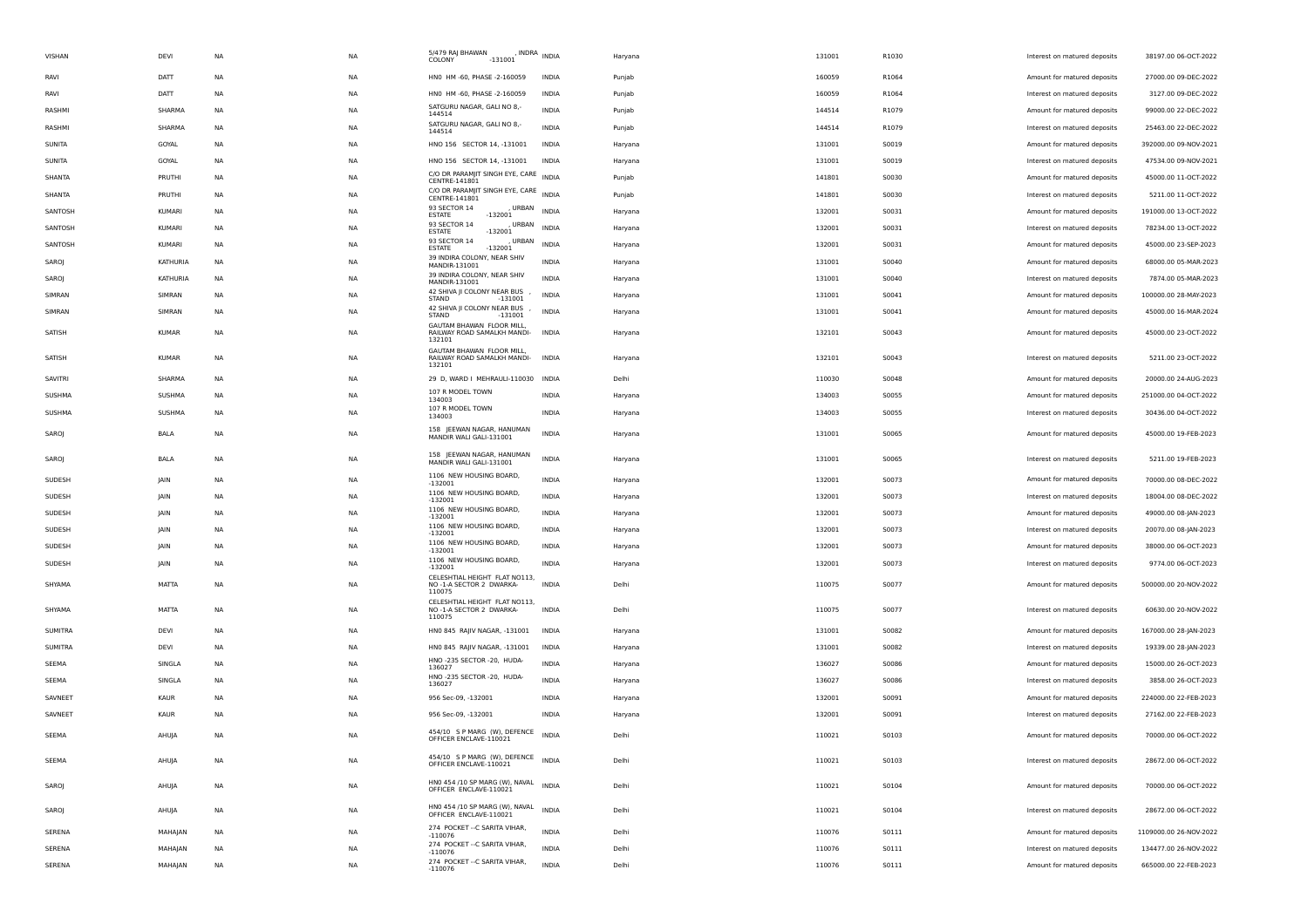| VISHAN         | DEVI         | NA        | <b>NA</b> | 5/479 RAJ BHAWAN<br>COLONY<br>$-131001$                   | , INDRA $_{\text{INDIA}}$ | Haryana | 131001 | R1030 | Interest on matured deposits | 38197.00 06-OCT-2022   |
|----------------|--------------|-----------|-----------|-----------------------------------------------------------|---------------------------|---------|--------|-------|------------------------------|------------------------|
| RAVI           | DATT         | NA        | NA        | HNO HM -60, PHASE -2-160059                               | INDIA                     | Punjab  | 160059 | R1064 | Amount for matured deposits  | 27000.00 09-DEC-2022   |
| RAVI           | DATT         | NA        | NA        | HNO HM-60, PHASE-2-160059                                 | INDIA                     | Punjab  | 160059 | R1064 | Interest on matured deposits | 3127.00 09-DEC-2022    |
| RASHMI         | SHARMA       | NA        | NA        | SATGURU NAGAR, GALI NO 8,-<br>144514                      | <b>INDIA</b>              | Punjab  | 144514 | R1079 | Amount for matured deposits  | 99000.00 22-DEC-2022   |
| RASHMI         | SHARMA       | NA        | <b>NA</b> | SATGURU NAGAR, GALI NO 8,-<br>144514                      | <b>INDIA</b>              | Punjab  | 144514 | R1079 | Interest on matured deposits | 25463.00 22-DEC-2022   |
| SUNITA         | GOYAL        | NA        | NA        | HNO 156 SECTOR 14, -131001                                | INDIA                     | Haryana | 131001 | S0019 | Amount for matured deposits  | 392000.00 09-NOV-2021  |
| SUNITA         | GOYAL        | NA        | NA        | HNO 156 SECTOR 14, -131001                                | INDIA                     | Haryana | 131001 | S0019 | Interest on matured deposits | 47534.00 09-NOV-2021   |
| SHANTA         | PRUTHI       | NA        | NA        | C/O DR PARAMJIT SINGH EYE, CARE INDIA<br>CENTRE-141801    |                           | Punjab  | 141801 | S0030 | Amount for matured deposits  | 45000.00 11-OCT-2022   |
| SHANTA         | PRUTHI       | NA        | NA        | C/O DR PARAMJIT SINGH EYE, CARE INDIA<br>CENTRE-141801    |                           | Punjab  | 141801 | S0030 | Interest on matured deposits | 5211.00 11-OCT-2022    |
| SANTOSH        | KUMARI       | NA        | <b>NA</b> | 93 SECTOR 14<br>URBAN<br><b>ESTATE</b><br>$-132001$       | <b>INDIA</b>              | Haryana | 132001 | S0031 | Amount for matured deposits  | 191000.00 13-OCT-2022  |
| SANTOSH        | KUMARI       | <b>NA</b> | NA        | 93 SECTOR 14<br>, URBAN<br><b>ESTATE</b><br>$-132001$     | <b>INDIA</b>              | Haryana | 132001 | S0031 | Interest on matured deposits | 78234.00 13-OCT-2022   |
| SANTOSH        | KUMARI       | NA        | NA        | 93 SECTOR 14<br>, URBAN<br>$-132001$<br><b>ESTATE</b>     | <b>INDIA</b>              | Haryana | 132001 | S0031 | Amount for matured deposits  | 45000.00 23-SEP-2023   |
| SAROJ          | KATHURIA     | NA        | NA        | 39 INDIRA COLONY, NEAR SHIV<br>MANDIR-131001              | <b>INDIA</b>              | Haryana | 131001 | S0040 | Amount for matured deposits  | 68000.00 05-MAR-2023   |
| SAROJ          | KATHURIA     | NA        | NA        | 39 INDIRA COLONY, NEAR SHIV<br>MANDIR-131001              | <b>INDIA</b>              | Haryana | 131001 | S0040 | Interest on matured deposits | 7874.00 05-MAR-2023    |
| SIMRAN         | SIMRAN       | NA        | <b>NA</b> | 42 SHIVA JI COLONY NEAR BUS<br>STAND<br>$-131001$         | <b>INDIA</b>              | Haryana | 131001 | S0041 | Amount for matured deposits  | 100000.00 28-MAY-2023  |
| SIMRAN         | SIMRAN       | NA        | NA        | 42 SHIVA JI COLONY NEAR BUS<br>STAND<br>$-131001$         | INDIA                     | Haryana | 131001 | S0041 | Amount for matured deposits  | 45000.00 16-MAR-2024   |
| SATISH         | KUMAR        | NA        | NA.       | GAUTAM BHAWAN FLOOR MILL,<br>RAILWAY ROAD SAMALKH MANDI-  | INDIA                     | Haryana | 132101 | S0043 | Amount for matured deposits  | 45000.00 23-OCT-2022   |
|                |              |           |           | 132101<br>GAUTAM BHAWAN FLOOR MILL.                       |                           |         |        |       |                              |                        |
| SATISH         | <b>KUMAR</b> | NA        | NA        | RAILWAY ROAD SAMALKH MANDI-<br>132101                     | <b>INDIA</b>              | Haryana | 132101 | S0043 | Interest on matured deposits | 5211.00 23-OCT-2022    |
| SAVITRI        | SHARMA       | NA        | <b>NA</b> | 29 D, WARD I MEHRAULI-110030 INDIA                        |                           | Delhi   | 110030 | S0048 | Amount for matured deposits  | 20000.00 24-AUG-2023   |
| SUSHMA         | SUSHMA       | NA        | NA        | 107 R MODEL TOWN<br>134003                                | INDIA                     | Haryana | 134003 | S0055 | Amount for matured deposits  | 251000.00 04-OCT-2022  |
| SUSHMA         | SUSHMA       | NA        | NA        | 107 R MODEL TOWN<br>134003                                | INDIA                     | Haryana | 134003 | S0055 | Interest on matured deposits | 30436.00 04-OCT-2022   |
| SAROJ          | BALA         | NA        | NA        | 158 IEEWAN NAGAR, HANUMAN<br>MANDIR WALI GALI-131001      | <b>INDIA</b>              | Haryana | 131001 | S0065 | Amount for matured deposits  | 45000.00 19-FEB-2023   |
|                |              |           |           |                                                           |                           |         |        |       |                              |                        |
| SAROJ          | BALA         | <b>NA</b> | <b>NA</b> | 158 JEEWAN NAGAR, HANUMAN<br>MANDIR WALI GALI-131001      | <b>INDIA</b>              | Haryana | 131001 | S0065 | Interest on matured deposits | 5211.00 19-FEB-2023    |
| SUDESH         | JAIN         | NA        | NA        | 1106 NEW HOUSING BOARD,<br>$-132001$                      | INDIA                     | Haryana | 132001 | S0073 | Amount for matured deposits  | 70000.00 08-DEC-2022   |
| SUDESH         | JAIN         | NA        | NA        | 1106 NEW HOUSING BOARD,<br>$-132001$                      | INDIA                     | Haryana | 132001 | S0073 | Interest on matured deposits | 18004.00 08-DEC-2022   |
| SUDESH         | <b>JAIN</b>  | NA        | NA        | 1106 NEW HOUSING BOARD,<br>$-132001$                      | <b>INDIA</b>              | Haryana | 132001 | S0073 | Amount for matured deposits  | 49000.00 08-JAN-2023   |
| SUDESH         | JAIN         | NA        | NA        | 1106 NEW HOUSING BOARD,<br>$-132001$                      | INDIA                     | Haryana | 132001 | S0073 | Interest on matured deposits | 20070.00 08-JAN-2023   |
| SUDESH         | <b>JAIN</b>  | <b>NA</b> | <b>NA</b> | 1106 NEW HOUSING BOARD,<br>$-132001$                      | <b>INDIA</b>              | Haryana | 132001 | S0073 | Amount for matured deposits  | 38000.00 06-OCT-2023   |
| SUDESH         | JAIN         | NA        | NA        | 1106 NEW HOUSING BOARD,<br>$-132001$                      | <b>INDIA</b>              | Haryana | 132001 | S0073 | Interest on matured deposits | 9774.00 06-OCT-2023    |
| SHYAMA         | MATTA        | NA        | NA.       | CELESHTIAL HEIGHT FLAT NO113,<br>NO -1-A SECTOR 2 DWARKA- | <b>INDIA</b>              | Delhi   | 110075 | S0077 | Amount for matured deposits  | 500000.00 20-NOV-2022  |
|                |              |           |           | 110075<br>CELESHTIAL HEIGHT FLAT NO113,                   |                           |         |        |       |                              |                        |
| SHYAMA         | MATTA        | NA        | NA        | NO -1-A SECTOR 2 DWARKA-<br>110075                        | <b>INDIA</b>              | Delhi   | 110075 | S0077 | Interest on matured deposits | 60630.00 20-NOV-2022   |
| <b>SUMITRA</b> | DEVI         | NA        | <b>NA</b> | HN0 845 RAJIV NAGAR, -131001                              | <b>INDIA</b>              | Haryana | 131001 | S0082 | Amount for matured deposits  | 167000.00 28-JAN-2023  |
| SUMITRA        | DEVI         | NA        | NA        | HN0 845 RAJIV NAGAR, -131001                              | INDIA                     | Haryana | 131001 | S0082 | Interest on matured deposits | 19339.00 28-JAN-2023   |
| SEEMA          | SINGLA       | NA        | NA        | HNO -235 SECTOR -20, HUDA-<br>136027                      | INDIA                     | Haryana | 136027 | S0086 | Amount for matured deposits  | 15000.00 26-OCT-2023   |
| SEEMA          | SINGLA       | NA        | NA        | HNO -235 SECTOR -20, HUDA-<br>136027                      | INDIA                     | Haryana | 136027 | S0086 | Interest on matured deposits | 3858.00 26-OCT-2023    |
| SAVNEET        | KAUR         | NA        | NA        | 956 Sec-09, -132001                                       | INDIA                     | Haryana | 132001 | S0091 | Amount for matured deposits  | 224000.00 22-FEB-2023  |
| SAVNEET        | KAUR         | NA        | <b>NA</b> | 956 Sec-09, -132001                                       | <b>INDIA</b>              | Haryana | 132001 | S0091 | Interest on matured deposits | 27162.00 22-FEB-2023   |
| SEEMA          | AHUJA        | NA        | NA        | 454/10 S P MARG (W), DEFENCE<br>OFFICER ENCLAVE-110021    | <b>INDIA</b>              | Delhi   | 110021 | S0103 | Amount for matured deposits  | 70000.00 06-OCT-2022   |
|                |              |           |           | 454/10 SP MARG (W), DEFENCE INDIA                         |                           |         |        |       |                              |                        |
| SEEMA          | AHUJA        | NA        | NA        | OFFICER ENCLAVE-110021                                    |                           | Delhi   | 110021 | S0103 | Interest on matured deposits | 28672.00 06-OCT-2022   |
| SAROJ          | AHUJA        | NA        | NA        | HNO 454 /10 SP MARG (W), NAVAL<br>OFFICER ENCLAVE-110021  | <b>INDIA</b>              | Delhi   | 110021 | S0104 | Amount for matured deposits  | 70000.00 06-OCT-2022   |
|                |              |           |           | HNO 454 /10 SP MARG (W), NAVAL                            |                           |         |        |       |                              |                        |
| SAROJ          | AHUJA        | NA        | NA        | OFFICER ENCLAVE-110021                                    | <b>INDIA</b>              | Delhi   | 110021 | S0104 | Interest on matured deposits | 28672.00 06-OCT-2022   |
| SERENA         | MAHAJAN      | NA        | NA        | 274 POCKET -- C SARITA VIHAR,<br>$-110076$                | <b>INDIA</b>              | Delhi   | 110076 | S0111 | Amount for matured deposits  | 1109000.00 26-NOV-2022 |
| SERENA         | MAHAJAN      | NA        | NA        | 274 POCKET -- C SARITA VIHAR,<br>$-110076$                | <b>INDIA</b>              | Delhi   | 110076 | S0111 | Interest on matured deposits | 134477.00 26-NOV-2022  |
| SERENA         | MAHAJAN      | NA        | NA        | 274 POCKET -- C SARITA VIHAR,<br>$-110076$                | <b>INDIA</b>              | Delhi   | 110076 | 50111 | Amount for matured deposits  | 665000.00 22-FEB-2023  |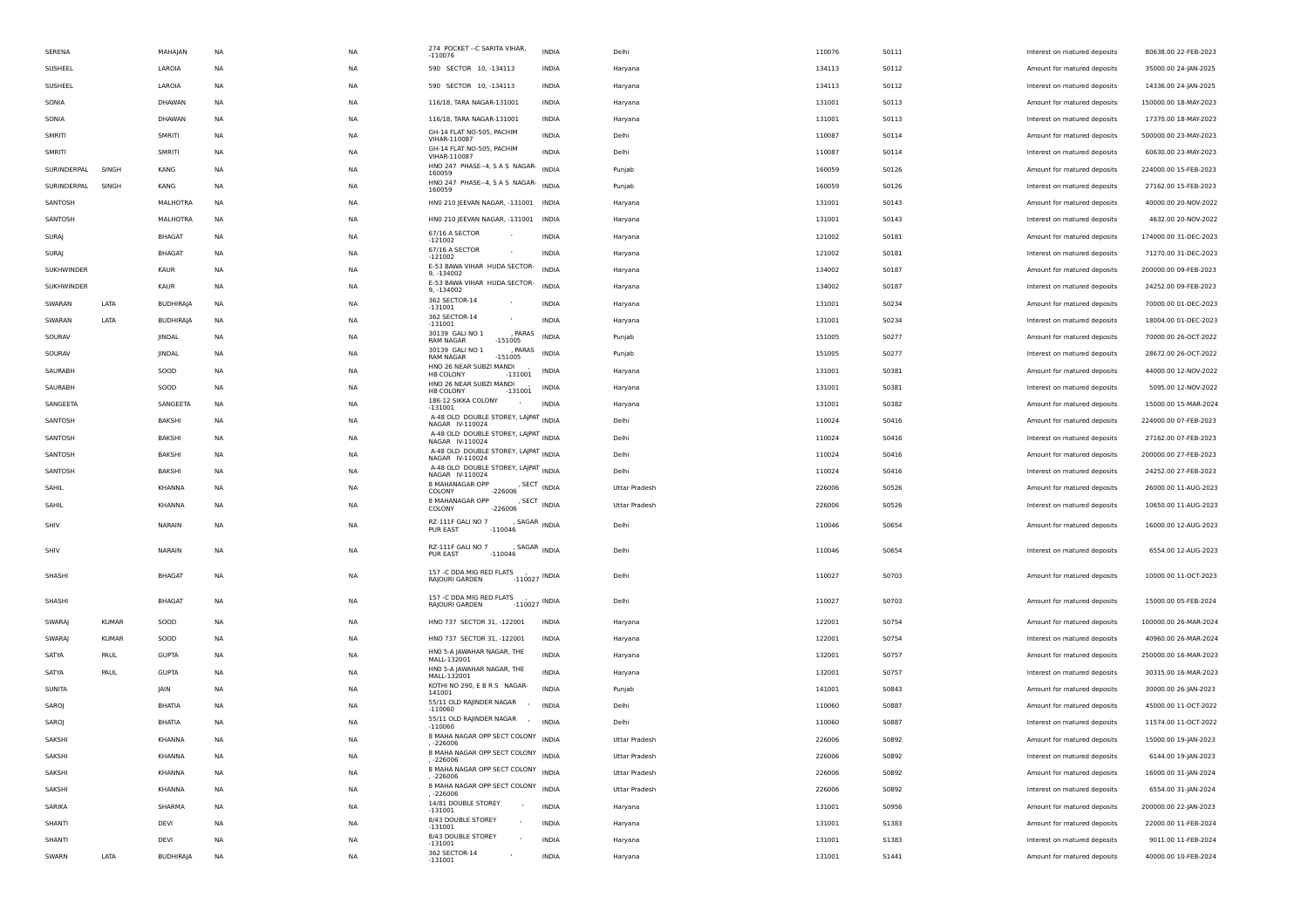| SERENA        |              | MAHAJAN          | NA        | NA        | 274 POCKET -- C SARITA VIHAR,<br>$-110076$                                                      | INDIA                                 | Delhi                | 110076 | 50111        | Interest on matured deposits                                | 80638.00 22-FEB-2023  |
|---------------|--------------|------------------|-----------|-----------|-------------------------------------------------------------------------------------------------|---------------------------------------|----------------------|--------|--------------|-------------------------------------------------------------|-----------------------|
| SUSHEEL       |              | LAROIA           | NA        | NA        | 590 SECTOR 10, -134113                                                                          | <b>INDIA</b>                          | Haryana              | 134113 | S0112        | Amount for matured deposits                                 | 35000.00 24-JAN-2025  |
| SUSHEEL       |              | LAROIA           | NA        | NA        | 590 SECTOR 10, -134113                                                                          | INDIA                                 | Haryana              | 134113 | S0112        | Interest on matured deposits                                | 14336.00 24-JAN-2025  |
| SONIA         |              | DHAWAN           | NA        | NA        | 116/18, TARA NAGAR-131001                                                                       | INDIA                                 | Haryana              | 131001 | <b>S0113</b> | Amount for matured deposits                                 | 150000.00 18-MAY-2023 |
| SONIA         |              | DHAWAN           | <b>NA</b> | <b>NA</b> | 116/18, TARA NAGAR-131001                                                                       | <b>INDIA</b>                          | Haryana              | 131001 | <b>S0113</b> | Interest on matured deposits                                | 17370.00 18-MAY-2023  |
| SMRITI        |              | SMRITI           | NA        | NA        | GH-14 FLAT NO-505, PACHIM<br>VIHAR-110087                                                       | <b>INDIA</b>                          | Delhi                | 110087 | S0114        | Amount for matured deposits                                 | 500000.00 23-MAY-2023 |
| SMRITI        |              | SMRITI           | <b>NA</b> | NA        | GH-14 FLAT NO-505, PACHIM<br>VIHAR-110087                                                       | <b>INDIA</b>                          | Delhi                | 110087 | S0114        | Interest on matured deposits                                | 60630.00 23-MAY-2023  |
| SURINDERPAL   | SINGH        | KANG             | NA        | NA        | HNO 247 PHASE-4, S A S NAGAR- INDIA<br>160059                                                   |                                       | Punjab               | 160059 | S0126        | Amount for matured deposits                                 | 224000.00 15-FEB-2023 |
| SURINDERPAL   | SINGH        | KANG             | NA        | NA        | HNO 247 PHASE-4, S A S NAGAR- INDIA<br>160059                                                   |                                       | Punjab               | 160059 | S0126        | Interest on matured deposits                                | 27162.00 15-FEB-2023  |
| SANTOSH       |              | MALHOTRA         | NA        | <b>NA</b> | HNO 210 JEEVAN NAGAR, -131001 INDIA                                                             |                                       | Haryana              | 131001 | S0143        | Amount for matured deposits                                 | 40000.00 20-NOV-2022  |
| SANTOSH       |              | MALHOTRA         | NA        | NA        | HNO 210 JEEVAN NAGAR, -131001 INDIA                                                             |                                       | Haryana              | 131001 | S0143        | Interest on matured deposits                                | 4632.00 20-NOV-2022   |
| SURAJ         |              | <b>BHAGAT</b>    | NA        | NA        | 67/16 A SECTOR<br>$-121002$                                                                     | <b>INDIA</b>                          | Haryana              | 121002 | <b>S0181</b> | Amount for matured deposits                                 | 174000.00 31-DEC-2023 |
| SURAJ         |              | <b>BHAGAT</b>    | NA        | NA        | 67/16 A SECTOR<br>$-121002$                                                                     | INDIA                                 | Haryana              | 121002 | <b>S0181</b> | Interest on matured deposits                                | 71270.00 31-DEC-2023  |
| SUKHWINDER    |              | KAUR             | NA        | NA        | E-53 BAWA VIHAR HUDA SECTOR-<br>9, -134002                                                      | <b>INDIA</b>                          | Haryana              | 134002 | S0187        | Amount for matured deposits                                 | 200000.00 09-FEB-2023 |
| SUKHWINDER    |              | KAUR             | <b>NA</b> | <b>NA</b> | E-53 BAWA VIHAR HUDA SECTOR-<br>9, -134002                                                      | <b>INDIA</b>                          | Haryana              | 134002 | S0187        | Interest on matured deposits                                | 24252.00 09-FEB-2023  |
| SWARAN        | LATA         | <b>BUDHIRAJA</b> | NA        | NA        | 362 SECTOR-14<br>$-131001$                                                                      | <b>INDIA</b>                          | Haryana              | 131001 | S0234        | Amount for matured deposits                                 | 70000.00 01-DEC-2023  |
| SWARAN        | LATA         | <b>BUDHIRAJA</b> | NA        | NA        | 362 SECTOR-14<br>$-131001$                                                                      | INDIA                                 | Haryana              | 131001 | S0234        | Interest on matured deposits                                | 18004.00 01-DEC-2023  |
| SOURAV        |              | JINDAL           | NA        | NA        | 30139 GALI NO 1<br>, PARAS<br>$-151005$<br><b>RAM NAGAR</b>                                     | INDIA                                 | Punjab               | 151005 | S0277        | Amount for matured deposits                                 | 70000.00 26-OCT-2022  |
| SOURAV        |              | JINDAL           | NA        | NA        | 30139 GALI NO 1<br>, PARAS<br>RAM NAGAR<br>$-151005$                                            | <b>INDIA</b>                          | Punjab               | 151005 | S0277        | Interest on matured deposits                                | 28672.00 26-OCT-2022  |
| SAURABH       |              | SOOD             | <b>NA</b> | <b>NA</b> | HNO 26 NEAR SUBZI MANDI<br>HB COLONY<br>$-131001$<br>HNO 26 NEAR SUBZI MANDI                    | <b>INDIA</b>                          | Haryana              | 131001 | S0381        | Amount for matured deposits                                 | 44000.00 12-NOV-2022  |
| SAURABH       |              | SOOD             | NA        | NA        | HB COLONY<br>$-131001$                                                                          | INDIA                                 | Haryana              | 131001 | S0381        | Interest on matured deposits                                | 5095.00 12-NOV-2022   |
| SANGEETA      |              | SANGEETA         | NA        | NA        | 186-12 SIKKA COLONY<br>$-131001$                                                                | <b>INDIA</b>                          | Haryana              | 131001 | S0382        | Amount for matured deposits                                 | 15000.00 15-MAR-2024  |
| SANTOSH       |              | BAKSHI           | NA        | NA        | A-48 OLD DOUBLE STOREY, LAJPAT INDIA<br>NAGAR IV-110024                                         |                                       | Delhi                | 110024 | S0416        | Amount for matured deposits                                 | 224000.00 07-FEB-2023 |
| SANTOSH       |              | BAKSHI           | NA        | NA        | A-48 OLD DOUBLE STOREY, LAJPAT INDIA<br>NAGAR IV-110024                                         |                                       | Delhi                | 110024 | S0416        | Interest on matured deposits                                | 27162.00 07-FEB-2023  |
| SANTOSH       |              | BAKSHI           | <b>NA</b> | <b>NA</b> | A-48 OLD DOUBLE STOREY, LAJPAT INDIA<br>NAGAR IV-110024<br>A-48 OLD DOUBLE STOREY, LAJPAT INDIA |                                       | Delhi                | 110024 | S0416        | Amount for matured deposits                                 | 200000.00 27-FEB-2023 |
| SANTOSH       |              | BAKSHI           | NA        | NA        | NAGAR IV-110024<br>8 MAHANAGAR OPP                                                              |                                       | Delhi                | 110024 | S0416        | Interest on matured deposits                                | 24252.00 27-FEB-2023  |
| SAHIL         |              | KHANNA           | NA        | NA        | COLONY<br>$-226006$<br>8 MAHANAGAR OPP                                                          | , SECT INDIA                          | Uttar Pradesh        | 226006 | S0526        | Amount for matured deposits                                 | 26000.00 11-AUG-2023  |
| SAHIL         |              | KHANNA           | NA        | NA        | $-226006$<br>COLONY                                                                             | , $\mathsf{SECTION}$ $\mathsf{INDIA}$ | Uttar Pradesh        | 226006 | S0526        | Interest on matured deposits                                | 10650.00 11-AUG-2023  |
| SHIV          |              | NARAIN           | NA        | NA        | RZ-111F GALI NO 7<br>PUR EAST<br>$-110046$                                                      | , SAGAR INDIA                         | Delhi                | 110046 | S0654        | Amount for matured deposits                                 | 16000.00 12-AUG-2023  |
| SHIV          |              | NARAIN           | NA        | NA        | RZ-111F GALI NO 7<br>PUR EAST<br>$-110046$                                                      | , SAGAR INDIA                         | Delhi                | 110046 | S0654        | Interest on matured deposits                                | 6554.00 12-AUG-2023   |
| SHASHI        |              | <b>BHAGAT</b>    | <b>NA</b> | NA        | 157 -C DDA MIG RED FLATS<br>RAJOURI GARDEN                                                      | $-110027$ INDIA                       | Delhi                | 110027 | S0703        | Amount for matured deposits                                 | 10000.00 11-OCT-2023  |
| SHASHI        |              | <b>BHAGAT</b>    | NA        | NA        | 157 -C DDA MIG RED FLATS<br>RAJOURI GARDEN                                                      | $-110027$ INDIA                       | Delhi                | 110027 | S0703        | Amount for matured deposits                                 | 15000.00 05-FEB-2024  |
| <b>SWARAJ</b> | <b>KUMAR</b> | SOOD             | <b>NA</b> | NA        | HNO 737 SECTOR 31, -122001                                                                      | <b>INDIA</b>                          |                      | 122001 | S0754        | Amount for matured deposits                                 | 100000.00 26-MAR-2024 |
| SWARAJ        | <b>KUMAR</b> | SOOD             | NA        | NA        | HNO 737 SECTOR 31, -122001                                                                      | INDIA                                 | Haryana              | 122001 | S0754        |                                                             | 40960.00 26-MAR-2024  |
| SATYA         | PAUL         | <b>GUPTA</b>     | <b>NA</b> | NA        | HNO 5-A JAWAHAR NAGAR, THE                                                                      | <b>INDIA</b>                          | Haryana<br>Haryana   | 132001 | S0757        | Interest on matured deposits<br>Amount for matured deposits | 250000.00 16-MAR-2023 |
| SATYA         | PAUL         | <b>GUPTA</b>     | NA        | NA        | MALL-132001<br>HNO 5-A JAWAHAR NAGAR, THE                                                       | INDIA                                 | Haryana              | 132001 | S0757        | Interest on matured deposits                                | 30315.00 16-MAR-2023  |
| SUNITA        |              | <b>JAIN</b>      | NA        | NA        | MALL-132001<br>KOTHI NO 290, E B R S NAGAR-                                                     | <b>INDIA</b>                          | Punjab               | 141001 | S0843        | Amount for matured deposits                                 | 30000.00 26-JAN-2023  |
| SAROJ         |              | BHATIA           | <b>NA</b> | <b>NA</b> | 141001<br>55/11 OLD RAJINDER NAGAR                                                              | <b>INDIA</b>                          | Delhi                | 110060 | S0887        | Amount for matured deposits                                 | 45000.00 11-OCT-2022  |
| SAROJ         |              | <b>BHATIA</b>    | NA        | NA        | $-110060$<br>55/11 OLD RAJINDER NAGAR ,                                                         | <b>INDIA</b>                          | Delhi                | 110060 | S0887        | Interest on matured deposits                                | 11574.00 11-OCT-2022  |
| SAKSHI        |              | KHANNA           | <b>NA</b> | <b>NA</b> | $-110060$<br>8 MAHA NAGAR OPP SECT COLONY INDIA                                                 |                                       | <b>Uttar Pradesh</b> | 226006 | 50892        | Amount for matured deposits                                 | 15000.00 19-JAN-2023  |
| SAKSHI        |              | KHANNA           | NA        | NA        | -226006<br>8 MAHA NAGAR OPP SECT COLONY INDIA                                                   |                                       | Uttar Pradesh        | 226006 | S0892        | Interest on matured deposits                                | 6144.00 19-JAN-2023   |
| SAKSHI        |              | KHANNA           | NA        | NA        | . -226006<br>8 MAHA NAGAR OPP SECT COLONY INDIA                                                 |                                       | <b>Uttar Pradesh</b> | 226006 | S0892        | Amount for matured deposits                                 | 16000.00 31-JAN-2024  |
| SAKSHI        |              | KHANNA           | <b>NA</b> | <b>NA</b> | , -226006<br>8 MAHA NAGAR OPP SECT COLONY INDIA                                                 |                                       | Uttar Pradesh        | 226006 | S0892        | Interest on matured deposits                                | 6554.00 31-JAN-2024   |
| SARIKA        |              | SHARMA           | NA        | NA        | , -226006<br>14/81 DOUBLE STOREY<br>$-131001$                                                   | <b>INDIA</b>                          | Haryana              | 131001 | S0956        | Amount for matured deposits                                 | 200000.00 22-JAN-2023 |
| SHANTI        |              | DEVI             | NA        | NA        | 8/43 DOUBLE STOREY<br>$-131001$                                                                 | <b>INDIA</b>                          | Haryana              | 131001 | S1383        | Amount for matured deposits                                 | 22000.00 11-FEB-2024  |
| SHANTI        |              | DEVI             | NA        | NA        | 8/43 DOUBLE STOREY<br>$-131001$                                                                 | INDIA                                 | Haryana              | 131001 | S1383        | Interest on matured deposits                                | 9011.00 11-FEB-2024   |
| SWARN         | LATA         | <b>BUDHIRAJA</b> | NA        | NA        | 362 SECTOR-14<br>$-131001$                                                                      | INDIA                                 | Haryana              | 131001 | <b>S1441</b> | Amount for matured deposits                                 | 40000.00 10-FEB-2024  |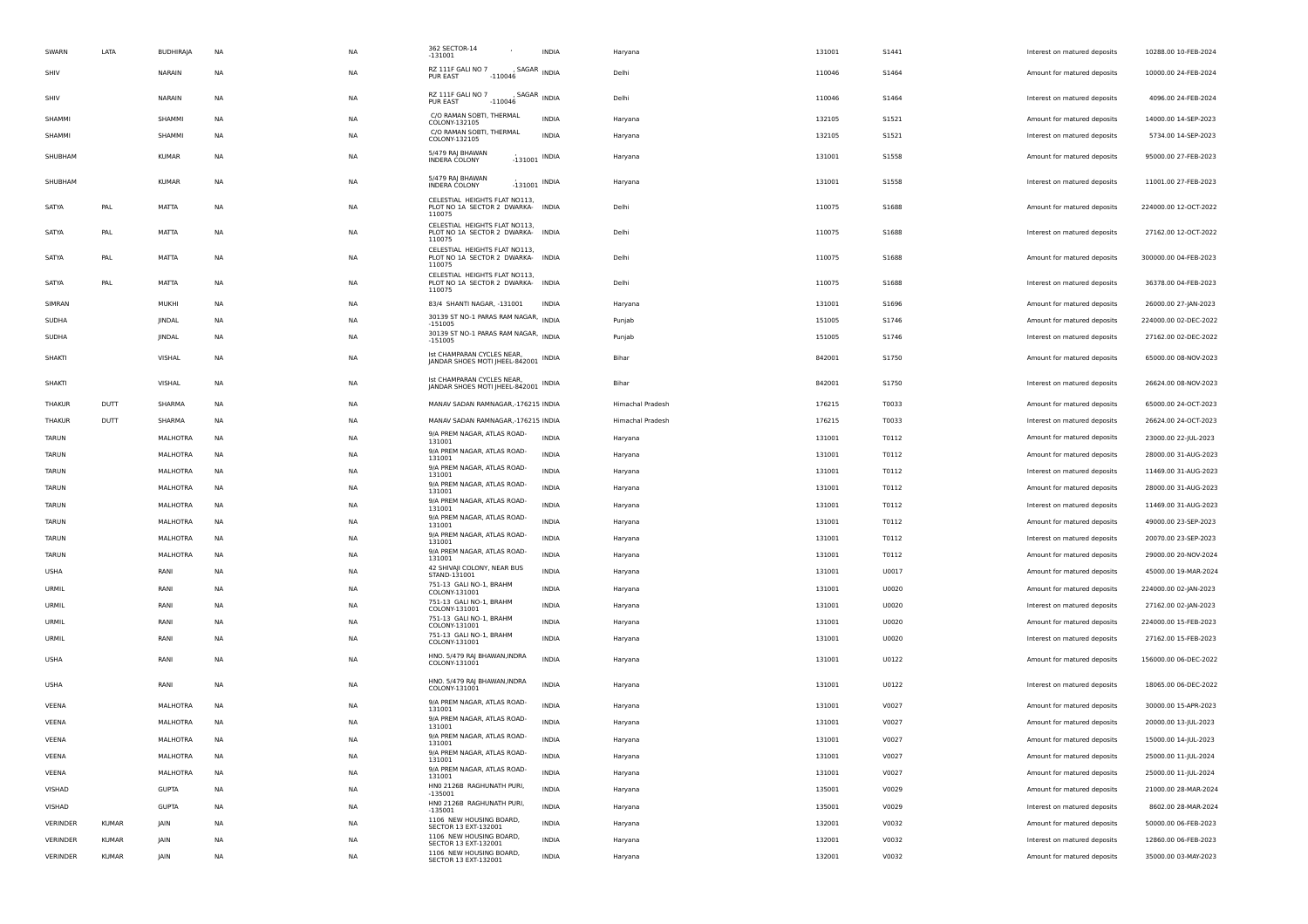| SWARN        | LATA         | <b>BUDHIRAIA</b> | <b>NA</b> | <b>NA</b> | 362 SECTOR-14<br>$-131001$                                                   | <b>INDIA</b>    | Haryana          | 131001 | S1441        | Interest on matured deposits | 10288.00 10-FEB-2024  |
|--------------|--------------|------------------|-----------|-----------|------------------------------------------------------------------------------|-----------------|------------------|--------|--------------|------------------------------|-----------------------|
| SHIV         |              | NARAIN           | <b>NA</b> | <b>NA</b> | RZ 111F GALI NO 7<br>PUR EAST<br>$-110046$                                   | , SAGAR INDIA   | Delhi            | 110046 | S1464        | Amount for matured deposits  | 10000.00 24-FEB-2024  |
| SHIV         |              | NARAIN           | <b>NA</b> | <b>NA</b> | RZ 111F GALI NO 7<br>PUR EAST<br>$-110046$                                   | , SAGAR INDIA   | Delhi            | 110046 | S1464        | Interest on matured deposits | 4096.00 24-FEB-2024   |
| SHAMMI       |              | SHAMMI           | NA        | <b>NA</b> | C/O RAMAN SOBTI, THERMAL<br>COLONY-132105                                    | <b>INDIA</b>    | Haryana          | 132105 | S1521        | Amount for matured deposits  | 14000.00 14-SEP-2023  |
| SHAMMI       |              | SHAMMI           | <b>NA</b> | <b>NA</b> | C/O RAMAN SOBTI, THERMAL<br>COLONY-132105                                    | <b>INDIA</b>    | Haryana          | 132105 | <b>S1521</b> | Interest on matured deposits | 5734.00 14-SEP-2023   |
| SHUBHAM      |              | <b>KUMAR</b>     | <b>NA</b> | <b>NA</b> | 5/479 RAJ BHAWAN<br>INDERA COLONY                                            | $-131001$ INDIA | Haryana          | 131001 | S1558        | Amount for matured deposits  | 95000.00 27-FEB-2023  |
| SHUBHAM      |              | <b>KUMAR</b>     | <b>NA</b> | <b>NA</b> | 5/479 RAI BHAWAN<br>INDERA COLONY                                            | $-131001$ INDIA | Haryana          | 131001 | <b>S1558</b> | Interest on matured deposits | 11001.00 27-FEB-2023  |
| SATYA        | PAL          | MATTA            | NA        | <b>NA</b> | CELESTIAL HEIGHTS FLAT NO113,<br>PLOT NO 1A SECTOR 2 DWARKA- INDIA<br>110075 |                 | Delhi            | 110075 | S1688        | Amount for matured deposits  | 224000.00 12-OCT-2022 |
| SATYA        | PAL          | MATTA            | NA        | <b>NA</b> | CELESTIAL HEIGHTS FLAT NO113,<br>PLOT NO 1A SECTOR 2 DWARKA- INDIA<br>110075 |                 | Delhi            | 110075 | S1688        | Interest on matured deposits | 27162.00 12-OCT-2022  |
| SATYA        | PAL          | MATTA            | <b>NA</b> | <b>NA</b> | CELESTIAL HEIGHTS FLAT NO113,<br>PLOT NO 1A SECTOR 2 DWARKA- INDIA<br>110075 |                 | Delhi            | 110075 | <b>S1688</b> | Amount for matured deposits  | 300000.00 04-FEB-2023 |
| SATYA        | PAL          | MATTA            | NA        | <b>NA</b> | CELESTIAL HEIGHTS FLAT NO113,<br>PLOT NO 1A SECTOR 2 DWARKA- INDIA<br>110075 |                 | Delhi            | 110075 | S1688        | Interest on matured deposits | 36378.00 04-FEB-2023  |
| SIMRAN       |              | MUKHI            | NA        | <b>NA</b> | 83/4 SHANTI NAGAR, -131001                                                   | <b>INDIA</b>    | Haryana          | 131001 | S1696        | Amount for matured deposits  | 26000.00 27-JAN-2023  |
| SUDHA        |              | JINDAL           | <b>NA</b> | <b>NA</b> | 30139 ST NO-1 PARAS RAM NAGAR, INDIA<br>$-151005$                            |                 | Punjab           | 151005 | S1746        | Amount for matured deposits  | 224000.00 02-DEC-2022 |
| <b>SUDHA</b> |              | JINDAL           | <b>NA</b> | <b>NA</b> | 30139 ST NO-1 PARAS RAM NAGAR, INDIA<br>$-151005$                            |                 | Punjab           | 151005 | S1746        | Interest on matured deposits | 27162.00 02-DEC-2022  |
| SHAKTI       |              | VISHAL           | NA        | <b>NA</b> | Ist CHAMPARAN CYCLES NEAR,<br>JANDAR SHOES MOTI JHEEL-842001 INDIA           |                 | Bihar            | 842001 | S1750        | Amount for matured deposits  | 65000.00 08-NOV-2023  |
| SHAKTI       |              | VISHAL           | NA        | <b>NA</b> | Ist CHAMPARAN CYCLES NEAR,<br>JANDAR SHOES MOTI JHEEL-842001 INDIA           |                 | Bihar            | 842001 | S1750        | Interest on matured deposits | 26624.00 08-NOV-2023  |
| THAKUR       | DUTT         | SHARMA           | <b>NA</b> | <b>NA</b> | MANAV SADAN RAMNAGAR,-176215 INDIA                                           |                 | Himachal Pradesh | 176215 | T0033        | Amount for matured deposits  | 65000.00 24-OCT-2023  |
| THAKUR       | DUTT         | SHARMA           | <b>NA</b> | <b>NA</b> | MANAV SADAN RAMNAGAR,-176215 INDIA                                           |                 | Himachal Pradesh | 176215 | T0033        | Interest on matured deposits | 26624.00 24-OCT-2023  |
| TARUN        |              | MALHOTRA         | NA        | <b>NA</b> | 9/A PREM NAGAR, ATLAS ROAD-<br>131001                                        | <b>INDIA</b>    | Haryana          | 131001 | T0112        | Amount for matured deposits  | 23000.00 22-JUL-2023  |
| <b>TARUN</b> |              | MALHOTRA         | <b>NA</b> | <b>NA</b> | 9/A PREM NAGAR, ATLAS ROAD-<br>131001                                        | <b>INDIA</b>    | Haryana          | 131001 | T0112        | Amount for matured deposits  | 28000.00 31-AUG-2023  |
| TARUN        |              | MALHOTRA         | NA        | <b>NA</b> | 9/A PREM NAGAR, ATLAS ROAD-<br>131001                                        | <b>INDIA</b>    | Haryana          | 131001 | T0112        | Interest on matured deposits | 11469.00 31-AUG-2023  |
| TARUN        |              | MALHOTRA         | NA        | <b>NA</b> | 9/A PREM NAGAR, ATLAS ROAD-<br>131001                                        | INDIA           | Haryana          | 131001 | T0112        | Amount for matured deposits  | 28000.00 31-AUG-2023  |
| TARUN        |              | MALHOTRA         | NA        | <b>NA</b> | 9/A PREM NAGAR, ATLAS ROAD-                                                  | <b>INDIA</b>    | Haryana          | 131001 | T0112        | Interest on matured deposits | 11469.00 31-AUG-2023  |
| TARUN        |              | MALHOTRA         | NA        | <b>NA</b> | 131001<br>9/A PREM NAGAR, ATLAS ROAD-                                        | <b>INDIA</b>    | Haryana          | 131001 | T0112        | Amount for matured deposits  | 49000.00 23-SEP-2023  |
| <b>TARUN</b> |              | MALHOTRA         | <b>NA</b> | <b>NA</b> | 131001<br>9/A PREM NAGAR, ATLAS ROAD-                                        | <b>INDIA</b>    |                  | 131001 | T0112        | Interest on matured deposits | 20070.00 23-SEP-2023  |
|              |              |                  |           |           | 131001<br>9/A PREM NAGAR, ATLAS ROAD-                                        | <b>INDIA</b>    | Haryana          |        |              |                              |                       |
| TARUN        |              | MALHOTRA         | NA        | <b>NA</b> | 131001<br>42 SHIVAJI COLONY, NEAR BUS                                        |                 | Haryana          | 131001 | T0112        | Amount for matured deposits  | 29000.00 20-NOV-2024  |
| USHA         |              | RANI             | <b>NA</b> | <b>NA</b> | STAND-131001<br>751-13 GALI NO-1, BRAHM                                      | <b>INDIA</b>    | Haryana          | 131001 | U0017        | Amount for matured deposits  | 45000.00 19-MAR-2024  |
| URMIL        |              | RANI             | <b>NA</b> | <b>NA</b> | COLONY-131001                                                                | INDIA           | Haryana          | 131001 | U0020        | Amount for matured deposits  | 224000.00 02-JAN-2023 |
| URMIL        |              | RANI             | NA        | <b>NA</b> | 751-13 GALI NO-1, BRAHM<br>COLONY-131001                                     | INDIA           | Haryana          | 131001 | U0020        | Interest on matured deposits | 27162.00 02-JAN-2023  |
| URMIL        |              | RANI             | <b>NA</b> | <b>NA</b> | 751-13 GALI NO-1, BRAHM<br>COLONY-131001                                     | <b>INDIA</b>    | Haryana          | 131001 | U0020        | Amount for matured deposits  | 224000.00 15-FEB-2023 |
| URMIL        |              | RANI             | <b>NA</b> | <b>NA</b> | 751-13 GALI NO-1, BRAHM<br>COLONY-131001                                     | <b>INDIA</b>    | Haryana          | 131001 | U0020        | Interest on matured deposits | 27162.00 15-FEB-2023  |
| USHA         |              | RANI             | <b>NA</b> | <b>NA</b> | HNO. 5/479 RAJ BHAWAN, INDRA<br>COLONY-131001                                | <b>INDIA</b>    | Haryana          | 131001 | U0122        | Amount for matured deposits  | 156000.00 06-DEC-2022 |
| <b>USHA</b>  |              | RANI             | <b>NA</b> | <b>NA</b> | HNO. 5/479 RAJ BHAWAN, INDRA<br>COLONY-131001                                | <b>INDIA</b>    | Haryana          | 131001 | U0122        | Interest on matured deposits | 18065.00 06-DEC-2022  |
| VEENA        |              | <b>MALHOTRA</b>  | <b>NA</b> | <b>NA</b> | 9/A PREM NAGAR, ATLAS ROAD-<br>131001                                        | <b>INDIA</b>    | Haryana          | 131001 | V0027        | Amount for matured deposits  | 30000.00 15-APR-2023  |
| VEENA        |              | MALHOTRA         | <b>NA</b> | <b>NA</b> | 9/A PREM NAGAR, ATLAS ROAD-<br>131001                                        | <b>INDIA</b>    | Haryana          | 131001 | V0027        | Amount for matured deposits  | 20000.00 13-JUL-2023  |
| VEENA        |              | MALHOTRA         | <b>NA</b> | NΔ        | 9/A PREM NAGAR, ATLAS ROAD-<br>131001                                        | INDIA           | Haryana          | 131001 | V0027        | Amount for matured deposits  | 15000.00 14-JUL-2023  |
| VEENA        |              | MALHOTRA         | NA        | <b>NA</b> | 9/A PREM NAGAR, ATLAS ROAD-<br>131001                                        | <b>INDIA</b>    | Haryana          | 131001 | V0027        | Amount for matured deposits  | 25000.00 11-JUL-2024  |
| VEENA        |              | MALHOTRA         | NA        | <b>NA</b> | 9/A PREM NAGAR, ATLAS ROAD-<br>131001                                        | <b>INDIA</b>    | Haryana          | 131001 | V0027        | Amount for matured deposits  | 25000.00 11-JUL-2024  |
| VISHAD       |              | <b>GUPTA</b>     | NA        | <b>NA</b> | HNO 2126B RAGHUNATH PURI,<br>$-135001$                                       | <b>INDIA</b>    | Haryana          | 135001 | V0029        | Amount for matured deposits  | 21000.00 28-MAR-2024  |
| VISHAD       |              | <b>GUPTA</b>     | NA        | <b>NA</b> | HNO 2126B RAGHUNATH PURI,<br>$-135001$                                       | <b>INDIA</b>    | Haryana          | 135001 | V0029        | Interest on matured deposits | 8602.00 28-MAR-2024   |
| VERINDER     | <b>KUMAR</b> | JAIN             | NA        | NA        | 1106 NEW HOUSING BOARD,<br>SECTOR 13 EXT-132001                              | <b>INDIA</b>    | Haryana          | 132001 | V0032        | Amount for matured deposits  | 50000.00 06-FEB-2023  |
| VERINDER     | <b>KUMAR</b> | JAIN             | NA        | <b>NA</b> | 1106 NEW HOUSING BOARD,                                                      | INDIA           | Haryana          | 132001 | V0032        | Interest on matured deposits | 12860.00 06-FEB-2023  |
| VERINDER     | <b>KUMAR</b> | JAIN             | NA        | <b>NA</b> | SECTOR 13 EXT-132001<br>1106 NEW HOUSING BOARD,<br>SECTOR 13 EXT-132001      | <b>INDIA</b>    | Haryana          | 132001 | V0032        | Amount for matured deposits  | 35000.00 03-MAY-2023  |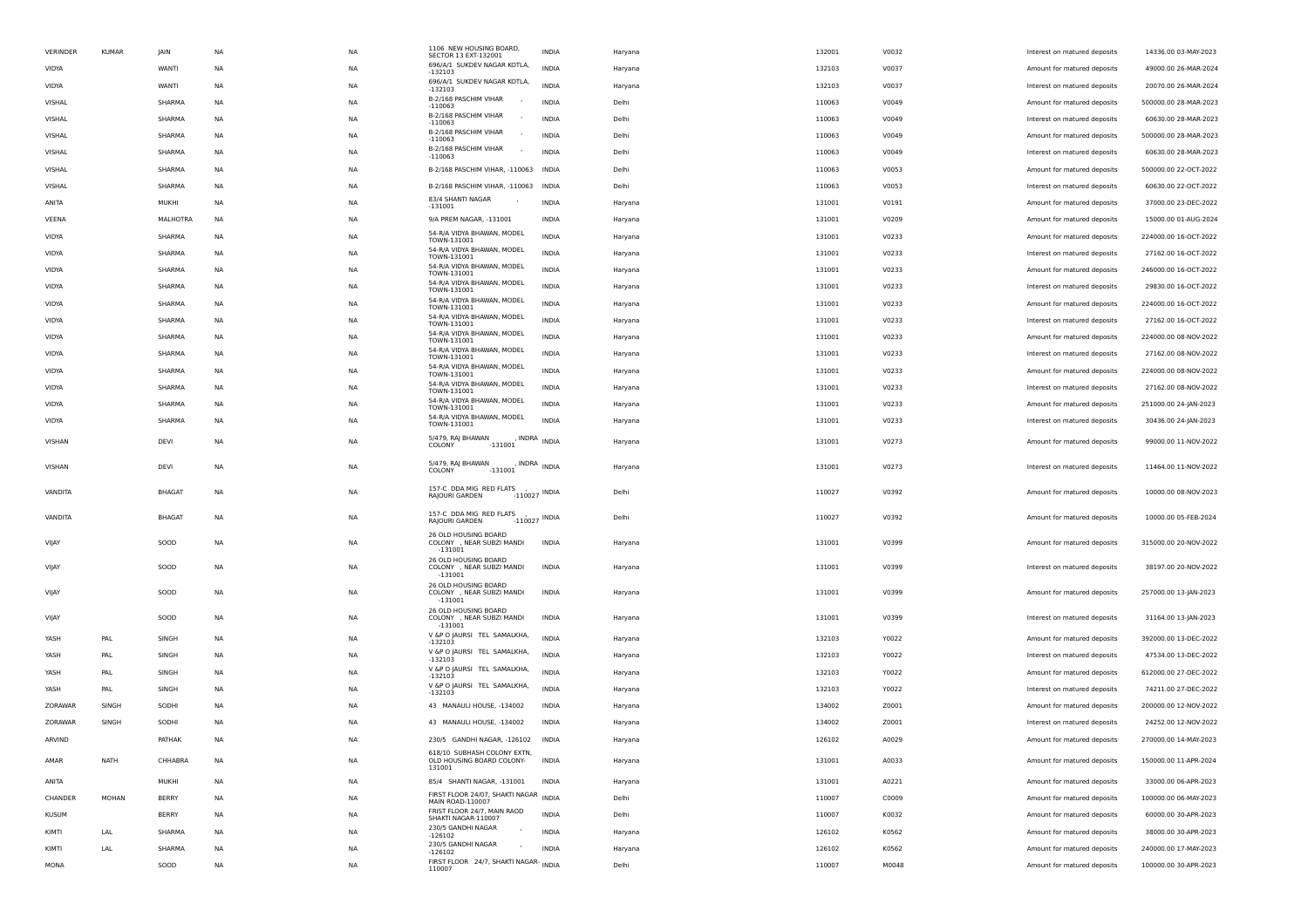| VERINDER     | <b>KUMAR</b> | <b>JAIN</b>     | <b>NA</b> | <b>NA</b> | 1106 NEW HOUSING BOARD,<br>SECTOR 13 EXT-132001                    | <b>INDIA</b> | Haryana | 132001 | V0032 | Interest on matured deposits | 14336.00 03-MAY-2023  |
|--------------|--------------|-----------------|-----------|-----------|--------------------------------------------------------------------|--------------|---------|--------|-------|------------------------------|-----------------------|
| <b>VIDYA</b> |              | WANTI           | <b>NA</b> | <b>NA</b> | 696/A/1 SUKDEV NAGAR KOTLA,<br>$-132103$                           | <b>INDIA</b> | Haryana | 132103 | V0037 | Amount for matured deposits  | 49000.00 26-MAR-2024  |
| VIDYA        |              | WANTI           | NA        | NA        | 696/A/1 SUKDEV NAGAR KOTLA,<br>$-132103$                           | <b>INDIA</b> | Haryana | 132103 | V0037 | Interest on matured deposits | 20070.00 26-MAR-2024  |
| VISHAL       |              | SHARMA          | NA        | NA        | B-2/168 PASCHIM VIHAR<br>$-110063$                                 | INDIA        | Delhi   | 110063 | V0049 | Amount for matured deposits  | 500000.00 28-MAR-2023 |
| VISHAL       |              | SHARMA          | NA        | <b>NA</b> | B-2/168 PASCHIM VIHAR<br>$-110063$                                 | <b>INDIA</b> | Delhi   | 110063 | V0049 | Interest on matured deposits | 60630.00 28-MAR-2023  |
| VISHAL       |              | SHARMA          | <b>NA</b> | <b>NA</b> | B-2/168 PASCHIM VIHAR<br>$-110063$                                 | <b>INDIA</b> | Delhi   | 110063 | V0049 | Amount for matured deposits  | 500000.00 28-MAR-2023 |
| VISHAL       |              | SHARMA          | <b>NA</b> | <b>NA</b> | B-2/168 PASCHIM VIHAR<br>$-110063$                                 | <b>INDIA</b> | Delhi   | 110063 | V0049 | Interest on matured deposits | 60630.00 28-MAR-2023  |
| VISHAL       |              | SHARMA          | NA        | NA        | B-2/168 PASCHIM VIHAR, -110063 INDIA                               |              | Delhi   | 110063 | V0053 | Amount for matured deposits  | 500000.00 22-OCT-2022 |
| VISHAL       |              | SHARMA          | NA        | NA        | B-2/168 PASCHIM VIHAR, -110063 INDIA                               |              | Delhi   | 110063 | V0053 | Interest on matured deposits | 60630.00 22-OCT-2022  |
| ANITA        |              | MUKHI           | NA        | <b>NA</b> | 83/4 SHANTI NAGAR<br>$-131001$                                     | <b>INDIA</b> | Haryana | 131001 | V0191 | Amount for matured deposits  | 37000.00 23-DEC-2022  |
| VEENA        |              | <b>MALHOTRA</b> | <b>NA</b> | <b>NA</b> | 9/A PREM NAGAR, -131001                                            | <b>INDIA</b> | Haryana | 131001 | V0209 | Amount for matured deposits  | 15000.00 01-AUG-2024  |
| VIDYA        |              | SHARMA          | <b>NA</b> | <b>NA</b> | 54-R/A VIDYA BHAWAN, MODEL<br>TOWN-131001                          | <b>INDIA</b> | Haryana | 131001 | V0233 | Amount for matured deposits  | 224000.00 16-OCT-2022 |
| VIDYA        |              | SHARMA          | NA        | NA        | 54-R/A VIDYA BHAWAN, MODEL<br>TOWN-131001                          | <b>INDIA</b> | Haryana | 131001 | V0233 | Interest on matured deposits | 27162.00 16-OCT-2022  |
| VIDYA        |              | SHARMA          | NA        | NA        | 54-R/A VIDYA BHAWAN, MODEL<br>TOWN-131001                          | INDIA        | Haryana | 131001 | V0233 | Amount for matured deposits  | 246000.00 16-OCT-2022 |
| VIDYA        |              | SHARMA          | <b>NA</b> | <b>NA</b> | 54-R/A VIDYA BHAWAN, MODEL<br>TOWN-131001                          | INDIA        | Haryana | 131001 | V0233 | Interest on matured deposits | 29830.00 16-OCT-2022  |
| <b>VIDYA</b> |              | SHARMA          | <b>NA</b> | <b>NA</b> | 54-R/A VIDYA BHAWAN, MODEL<br>TOWN-131001                          | <b>INDIA</b> | Haryana | 131001 | V0233 | Amount for matured deposits  | 224000.00 16-OCT-2022 |
| VIDYA        |              | SHARMA          | <b>NA</b> | NA        | 54-R/A VIDYA BHAWAN, MODEL<br>TOWN-131001                          | <b>INDIA</b> | Haryana | 131001 | V0233 | Interest on matured deposits | 27162.00 16-OCT-2022  |
| VIDYA        |              | SHARMA          | NA        | NA        | 54-R/A VIDYA BHAWAN, MODEL<br>TOWN-131001                          | INDIA        | Haryana | 131001 | V0233 | Amount for matured deposits  | 224000.00 08-NOV-2022 |
| VIDYA        |              | SHARMA          | NA        | NA        | 54-R/A VIDYA BHAWAN, MODEL                                         | INDIA        | Haryana | 131001 | V0233 | Interest on matured deposits | 27162.00 08-NOV-2022  |
| VIDYA        |              | SHARMA          | NA        | <b>NA</b> | TOWN-131001<br>54-R/A VIDYA BHAWAN, MODEL                          | <b>INDIA</b> | Haryana | 131001 | V0233 | Amount for matured deposits  | 224000.00 08-NOV-2022 |
| VIDYA        |              | SHARMA          | <b>NA</b> | <b>NA</b> | TOWN-131001<br>54-R/A VIDYA BHAWAN, MODEL                          | <b>INDIA</b> | Haryana | 131001 | V0233 | Interest on matured deposits | 27162.00 08-NOV-2022  |
| <b>VIDYA</b> |              | SHARMA          | <b>NA</b> | NA        | TOWN-131001<br>54-R/A VIDYA BHAWAN, MODEL                          | <b>INDIA</b> | Haryana | 131001 | V0233 | Amount for matured deposits  | 251000.00 24-JAN-2023 |
| <b>VIDYA</b> |              | SHARMA          | NA        | NA        | TOWN-131001<br>54-R/A VIDYA BHAWAN, MODEL                          | <b>INDIA</b> | Haryana | 131001 | V0233 | Interest on matured deposits | 30436.00 24-JAN-2023  |
|              |              |                 |           |           | TOWN-131001<br>5/479, RAJ BHAWAN<br>, INDRA INDIA                  |              |         |        |       |                              |                       |
| VISHAN       |              | DEVI            | <b>NA</b> | NA        | COLONY<br>$-131001$                                                |              | Haryana | 131001 | V0273 | Amount for matured deposits  | 99000.00 11-NOV-2022  |
| VISHAN       |              | DEVI            | <b>NA</b> | NA        | 5/479, RAJ BHAWAN<br>, INDRA<br>COLONY<br>$-131001$                | <b>INDIA</b> | Haryana | 131001 | V0273 | Interest on matured deposits | 11464.00 11-NOV-2022  |
|              |              |                 |           |           | 157-C DDA MIG RED FLATS                                            |              |         |        |       |                              |                       |
| VANDITA      |              | <b>BHAGAT</b>   | <b>NA</b> | <b>NA</b> | $-110027$ INDIA<br>RAJOURI GARDEN                                  |              | Delhi   | 110027 | V0392 | Amount for matured deposits  | 10000.00 08-NOV-2023  |
| VANDITA      |              | <b>BHAGAT</b>   | NA        | NA        | 157-C DDA MIG RED FLATS<br>$-110027$ INDIA<br>RAJOURI GARDEN       |              | Delhi   | 110027 | V0392 | Amount for matured deposits  | 10000.00 05-FEB-2024  |
|              |              |                 |           |           | 26 OLD HOUSING BOARD                                               |              |         |        |       |                              |                       |
| VIJAY        |              | SOOD            | <b>NA</b> | NA        | COLONY , NEAR SUBZI MANDI<br>$-131001$                             | INDIA        | Haryana | 131001 | V0399 | Amount for matured deposits  | 315000.00 20-NOV-2022 |
| VIJAY        |              | SOOD            | <b>NA</b> | <b>NA</b> | 26 OLD HOUSING BOARD<br>COLONY , NEAR SUBZI MANDI                  | <b>INDIA</b> | Haryana | 131001 | V0399 | Interest on matured deposits | 38197.00 20-NOV-2022  |
|              |              |                 |           |           | $-131001$<br>26 OLD HOUSING BOARD                                  |              |         |        |       |                              |                       |
| VIJAY        |              | SOOD            | <b>NA</b> | <b>NA</b> | COLONY , NEAR SUBZI MANDI<br>$-131001$                             | <b>INDIA</b> | Haryana | 131001 | V0399 | Amount for matured deposits  | 257000.00 13-JAN-2023 |
| VIJAY        |              | SOOD            | <b>NA</b> | <b>NA</b> | 26 OLD HOUSING BOARD<br>COLONY , NEAR SUBZI MANDI                  | <b>INDIA</b> | Haryana | 131001 | V0399 | Interest on matured deposits | 31164.00 13-JAN-2023  |
|              |              |                 |           |           | $-131001$<br>V &P O JAURSI TEL SAMALKHA,                           |              |         |        |       |                              |                       |
| YASH         | PAL          | SINGH           | <b>NA</b> | <b>NA</b> | $-132103$<br>V &P O JAURSI TEL SAMALKHA,                           | <b>INDIA</b> | Haryana | 132103 | Y0022 | Amount for matured deposits  | 392000.00 13-DEC-2022 |
| YASH         | PAL          | SINGH           | <b>NA</b> | <b>NA</b> | $-132103$<br>V &P O JAURSI TEL SAMALKHA,                           | <b>INDIA</b> | Haryana | 132103 | Y0022 | Interest on matured deposits | 47534.00 13-DEC-2022  |
| YASH         | PAL          | SINGH           | NA        | NA        | $-132103$<br>V &P O JAURSI TEL SAMALKHA,                           | <b>INDIA</b> | Haryana | 132103 | Y0022 | Amount for matured deposits  | 612000.00 27-DEC-2022 |
| YASH         | PAL          | SINGH           | NA        | NA        | $-132103$                                                          | <b>INDIA</b> | Haryana | 132103 | Y0022 | Interest on matured deposits | 74211.00 27-DEC-2022  |
| ZORAWAR      | SINGH        | SODHI           | <b>NA</b> | <b>NA</b> | 43 MANAULI HOUSE, -134002                                          | <b>INDIA</b> | Haryana | 134002 | Z0001 | Amount for matured deposits  | 200000.00 12-NOV-2022 |
| ZORAWAR      | SINGH        | SODHI           | <b>NA</b> | <b>NA</b> | 43 MANAULI HOUSE, -134002                                          | <b>INDIA</b> | Haryana | 134002 | Z0001 | Interest on matured deposits | 24252.00 12-NOV-2022  |
| ARVIND       |              | PATHAK          | <b>NA</b> | <b>NA</b> | 230/5 GANDHI NAGAR, -126102                                        | <b>INDIA</b> | Haryana | 126102 | A0029 | Amount for matured deposits  | 270000.00 14-MAY-2023 |
| AMAR         | <b>NATH</b>  | CHHABRA         | <b>NA</b> | <b>NA</b> | 618/10 SUBHASH COLONY EXTN,<br>OLD HOUSING BOARD COLONY-<br>131001 | <b>INDIA</b> | Haryana | 131001 | A0033 | Amount for matured deposits  | 150000.00 11-APR-2024 |
| ANITA        |              | MUKHI           | <b>NA</b> | <b>NA</b> | 85/4 SHANTI NAGAR, -131001                                         | INDIA        | Haryana | 131001 | A0221 | Amount for matured deposits  | 33000.00 06-APR-2023  |
| CHANDER      | MOHAN        | <b>BERRY</b>    | NA        | NA        | FIRST FLOOR 24/07, SHAKTI NAGAR INDIA<br>MAIN ROAD-110007          |              | Delhi   | 110007 | C0009 | Amount for matured deposits  | 100000.00 06-MAY-2023 |
| <b>KUSUM</b> |              | BERRY           | NA        | NA        | FRIST FLOOR 24/7, MAIN RAOD<br>SHAKTI NAGAR-110007                 | <b>INDIA</b> | Delhi   | 110007 | K0032 | Amount for matured deposits  | 60000.00 30-APR-2023  |
| KIMTI        | LAL          | SHARMA          | NA        | <b>NA</b> | 230/5 GANDHI NAGAR<br>$-126102$                                    | <b>INDIA</b> | Haryana | 126102 | K0562 | Amount for matured deposits  | 38000.00 30-APR-2023  |
| KIMTI        | LAL          | SHARMA          | <b>NA</b> | <b>NA</b> | 230/5 GANDHI NAGAR<br>$\overline{\phantom{a}}$                     | <b>INDIA</b> | Haryana | 126102 | K0562 | Amount for matured deposits  | 240000.00 17-MAY-2023 |
| MONA         |              | SOOD            | <b>NA</b> | <b>NA</b> | $-126102$<br>FIRST FLOOR 24/7, SHAKTI NAGAR- INDIA                 |              | Delhi   | 110007 | M0048 | Amount for matured deposits  | 100000.00 30-APR-2023 |
|              |              |                 |           |           | 110007                                                             |              |         |        |       |                              |                       |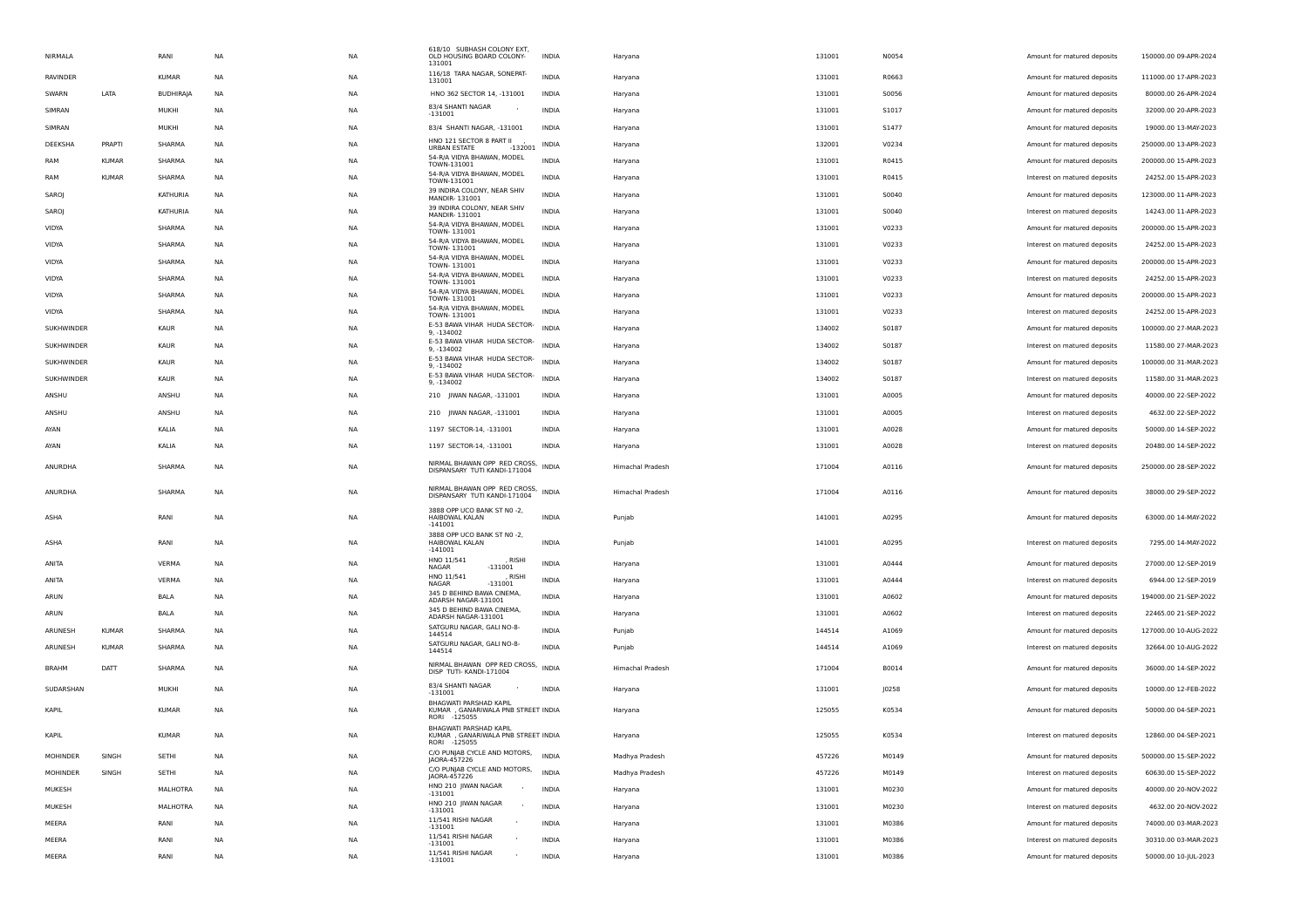| NIRMALA         |              | RANI             | NA        | <b>NA</b> | 618/10 SUBHASH COLONY EXT,<br>OLD HOUSING BOARD COLONY-<br>131001             | INDIA        | Haryana          | 131001 | N0054 | Amount for matured deposits  | 150000.00 09-APR-2024 |
|-----------------|--------------|------------------|-----------|-----------|-------------------------------------------------------------------------------|--------------|------------------|--------|-------|------------------------------|-----------------------|
| <b>RAVINDER</b> |              | <b>KUMAR</b>     | NA        | <b>NA</b> | 116/18 TARA NAGAR, SONEPAT-<br>131001                                         | <b>INDIA</b> | Haryana          | 131001 | R0663 | Amount for matured deposits  | 111000.00 17-APR-2023 |
| SWARN           | LATA         | <b>BUDHIRAJA</b> | NA        | <b>NA</b> | HNO 362 SECTOR 14, -131001                                                    | INDIA        | Haryana          | 131001 | S0056 | Amount for matured deposits  | 80000.00 26-APR-2024  |
| SIMRAN          |              | MUKHI            | NA        | <b>NA</b> | 83/4 SHANTI NAGAR<br>$-131001$                                                | INDIA        | Haryana          | 131001 | S1017 | Amount for matured deposits  | 32000.00 20-APR-2023  |
| SIMRAN          |              | MUKHI            | NA        | <b>NA</b> | 83/4 SHANTI NAGAR, -131001                                                    | INDIA        | Haryana          | 131001 | S1477 | Amount for matured deposits  | 19000.00 13-MAY-2023  |
| DEEKSHA         | PRAPTI       | SHARMA           | <b>NA</b> | <b>NA</b> | HNO 121 SECTOR 8 PART II<br>URBAN ESTATE<br>$-132001$                         | INDIA        | Haryana          | 132001 | V0234 | Amount for matured deposits  | 250000.00 13-APR-2023 |
| RAM             | <b>KUMAR</b> | SHARMA           | NA        | ΝA        | 54-R/A VIDYA BHAWAN, MODEL                                                    | <b>INDIA</b> | Haryana          | 131001 | R0415 | Amount for matured deposits  | 200000.00 15-APR-2023 |
| RAM             | <b>KUMAR</b> | SHARMA           | NA        | <b>NA</b> | TOWN-131001<br>54-R/A VIDYA BHAWAN, MODEL                                     | <b>INDIA</b> | Haryana          | 131001 | R0415 | Interest on matured deposits | 24252.00 15-APR-2023  |
| SAROJ           |              | KATHURIA         | NA        | <b>NA</b> | TOWN-131001<br>39 INDIRA COLONY, NEAR SHIV                                    | INDIA        | Haryana          | 131001 | S0040 | Amount for matured deposits  | 123000.00 11-APR-2023 |
| SAROJ           |              | KATHURIA         | NA        | <b>NA</b> | MANDIR-131001<br>39 INDIRA COLONY, NEAR SHIV                                  | <b>INDIA</b> | Haryana          | 131001 | S0040 | Interest on matured deposits | 14243.00 11-APR-2023  |
| <b>VIDYA</b>    |              | SHARMA           | <b>NA</b> | <b>NA</b> | MANDIR-131001<br>54-R/A VIDYA BHAWAN, MODEL                                   | <b>INDIA</b> | Haryana          | 131001 | V0233 | Amount for matured deposits  | 200000.00 15-APR-2023 |
| VIDYA           |              | SHARMA           | NA        | ΝA        | TOWN-131001<br>54-R/A VIDYA BHAWAN, MODEL                                     | <b>INDIA</b> | Haryana          | 131001 | V0233 | Interest on matured deposits | 24252.00 15-APR-2023  |
| VIDYA           |              | SHARMA           | NA        | <b>NA</b> | TOWN-131001<br>54-R/A VIDYA BHAWAN, MODEL                                     | INDIA        | Haryana          | 131001 | V0233 | Amount for matured deposits  | 200000.00 15-APR-2023 |
| VIDYA           |              | SHARMA           | NA        | <b>NA</b> | TOWN-131001<br>54-R/A VIDYA BHAWAN, MODEL                                     | <b>INDIA</b> | Haryana          | 131001 | V0233 | Interest on matured deposits | 24252.00 15-APR-2023  |
| VIDYA           |              | SHARMA           | NA        | <b>NA</b> | TOWN-131001<br>54-R/A VIDYA BHAWAN, MODEL                                     | <b>INDIA</b> | Haryana          | 131001 | V0233 | Amount for matured deposits  | 200000.00 15-APR-2023 |
| VIDYA           |              | SHARMA           | <b>NA</b> | <b>NA</b> | TOWN-131001<br>54-R/A VIDYA BHAWAN, MODEL                                     | <b>INDIA</b> | Haryana          | 131001 | V0233 | Interest on matured deposits | 24252.00 15-APR-2023  |
| SUKHWINDER      |              | <b>KAUR</b>      | NA        | ΝA        | TOWN-131001<br>E-53 BAWA VIHAR HUDA SECTOR-                                   | <b>INDIA</b> |                  | 134002 | S0187 |                              | 100000.00 27-MAR-2023 |
|                 |              |                  |           |           | 9, -134002<br>E-53 BAWA VIHAR HUDA SECTOR-                                    | <b>INDIA</b> | Haryana          |        |       | Amount for matured deposits  |                       |
| SUKHWINDER      |              | KAUR             | NA        | <b>NA</b> | 9. -134002<br>E-53 BAWA VIHAR HUDA SECTOR-                                    |              | Haryana          | 134002 | S0187 | Interest on matured deposits | 11580.00 27-MAR-2023  |
| SUKHWINDER      |              | KAUR             | NA        | <b>NA</b> | 9. -134002<br>E-53 BAWA VIHAR HUDA SECTOR-                                    | <b>INDIA</b> | Haryana          | 134002 | S0187 | Amount for matured deposits  | 100000.00 31-MAR-2023 |
| SUKHWINDER      |              | KAUR             | NA        | <b>NA</b> | 9, -134002                                                                    | <b>INDIA</b> | Haryana          | 134002 | S0187 | Interest on matured deposits | 11580.00 31-MAR-2023  |
| ANSHU           |              | ANSHU            | <b>NA</b> | <b>NA</b> | 210 JIWAN NAGAR, -131001                                                      | INDIA        | Haryana          | 131001 | A0005 | Amount for matured deposits  | 40000.00 22-SEP-2022  |
| ANSHU           |              | ANSHU            | NA        | <b>NA</b> | 210 JIWAN NAGAR, -131001                                                      | <b>INDIA</b> | Haryana          | 131001 | A0005 | Interest on matured deposits | 4632.00 22-SEP-2022   |
| AYAN            |              | KALIA            | NA        | <b>NA</b> | 1197 SECTOR-14, -131001                                                       | INDIA        | Haryana          | 131001 | A0028 | Amount for matured deposits  | 50000.00 14-SEP-2022  |
| AYAN            |              | KALIA            | NA        | <b>NA</b> | 1197 SECTOR-14, -131001                                                       | <b>INDIA</b> | Haryana          | 131001 | A0028 | Interest on matured deposits | 20480.00 14-SEP-2022  |
| ANURDHA         |              | SHARMA           | NA        | <b>NA</b> | NIRMAL BHAWAN OPP RED CROSS,<br>DISPANSARY TUTI KANDI-171004                  | <b>INDIA</b> | Himachal Pradesh | 171004 | A0116 | Amount for matured deposits  | 250000.00 28-SEP-2022 |
| ANURDHA         |              | SHARMA           | NA        | <b>NA</b> | NIRMAL BHAWAN OPP RED CROSS,                                                  | <b>INDIA</b> | Himachal Pradesh | 171004 | A0116 | Amount for matured deposits  | 38000.00 29-SEP-2022  |
|                 |              |                  |           |           | DISPANSARY TUTI KANDI-171004<br>3888 OPP UCO BANK ST N0 -2,                   |              |                  |        |       |                              |                       |
| ASHA            |              | RANI             | NA        | <b>NA</b> | HAIBOWAL KALAN<br>$-141001$                                                   | <b>INDIA</b> | Punjab           | 141001 | A0295 | Amount for matured deposits  | 63000.00 14-MAY-2022  |
| ASHA            |              | RANI             | <b>NA</b> | <b>NA</b> | 3888 OPP UCO BANK ST N0 -2,<br>HAIBOWAL KALAN                                 | <b>INDIA</b> | Punjab           | 141001 | A0295 | Interest on matured deposits | 7295.00 14-MAY-2022   |
|                 |              |                  |           |           | $-141001$<br>HNO 11/541<br><b>RISHI</b>                                       |              |                  |        |       |                              |                       |
| ANITA           |              | VERMA            | <b>NA</b> | <b>NA</b> | NAGAR<br>$-131001$<br>HNO 11/541<br>, RISHI                                   | <b>INDIA</b> | Haryana          | 131001 | A0444 | Amount for matured deposits  | 27000.00 12-SEP-2019  |
| ANITA           |              | VERMA            | NA        | ΝA        | <b>NAGAR</b><br>$-131001$<br>345 D BEHIND BAWA CINEMA,                        | <b>INDIA</b> | Haryana          | 131001 | A0444 | Interest on matured deposits | 6944.00 12-SEP-2019   |
| ARUN            |              | BALA             | NA        | <b>NA</b> | ADARSH NAGAR-131001<br>345 D BEHIND BAWA CINEMA,                              | INDIA        | Haryana          | 131001 | A0602 | Amount for matured deposits  | 194000.00 21-SEP-2022 |
| ARUN            |              | BALA             | NA        | <b>NA</b> | ADARSH NAGAR-131001                                                           | INDIA        | Haryana          | 131001 | A0602 | Interest on matured deposits | 22465.00 21-SEP-2022  |
| ARUNESH         | <b>KUMAR</b> | SHARMA           | NA        | <b>NA</b> | SATGURU NAGAR, GALI NO-8-<br>144514                                           | <b>INDIA</b> | Punjab           | 144514 | A1069 | Amount for matured deposits  | 127000.00 10-AUG-2022 |
| ARUNESH         | <b>KUMAR</b> | SHARMA           | <b>NA</b> | <b>NA</b> | SATGURU NAGAR, GALI NO-8-<br>144514                                           | <b>INDIA</b> | Punjab           | 144514 | A1069 | Interest on matured deposits | 32664.00 10-AUG-2022  |
| <b>BRAHM</b>    | DATT         | SHARMA           | <b>NA</b> | <b>NA</b> | NIRMAL BHAWAN OPP RED CROSS, INDIA<br>DISP TUTI- KANDI-171004                 |              | Himachal Pradesh | 171004 | B0014 | Amount for matured deposits  | 36000.00 14-SEP-2022  |
| SUDARSHAN       |              | MUKHI            | <b>NA</b> | <b>NA</b> | 83/4 SHANTI NAGAR                                                             | <b>INDIA</b> | Haryana          | 131001 | J0258 | Amount for matured deposits  | 10000.00 12-FEB-2022  |
|                 |              |                  |           |           | $-131001$<br>BHAGWATI PARSHAD KAPIL                                           |              |                  |        |       |                              |                       |
| KAPIL           |              | <b>KUMAR</b>     | <b>NA</b> | <b>NA</b> | KUMAR , GANARIWALA PNB STREET INDIA<br>RORI -125055                           |              | Haryana          | 125055 | K0534 | Amount for matured deposits  | 50000.00 04-SEP-2021  |
| KAPIL           |              | <b>KUMAR</b>     | <b>NA</b> | <b>NA</b> | BHAGWATI PARSHAD KAPIL<br>KUMAR , GANARIWALA PNB STREET INDIA<br>RORI -125055 |              | Haryana          | 125055 | K0534 | Interest on matured deposits | 12860.00 04-SEP-2021  |
| MOHINDER        | SINGH        | SETHI            | NA        | <b>NA</b> | C/O PUNJAB CYCLE AND MOTORS,                                                  | <b>INDIA</b> | Madhya Pradesh   | 457226 | M0149 | Amount for matured deposits  | 500000.00 15-SEP-2022 |
| MOHINDER        | SINGH        | SETHI            | <b>NA</b> | <b>NA</b> | JAORA-457226<br>C/O PUNJAB CYCLE AND MOTORS,                                  | <b>INDIA</b> | Madhya Pradesh   | 457226 | M0149 | Interest on matured deposits | 60630.00 15-SEP-2022  |
| MUKESH          |              | MALHOTRA         | <b>NA</b> | <b>NA</b> | JAORA-457226<br>HNO 210 JIWAN NAGAR                                           | <b>INDIA</b> | Haryana          | 131001 | M0230 | Amount for matured deposits  | 40000.00 20-NOV-2022  |
| MUKESH          |              | MALHOTRA         | NA        | <b>NA</b> | $-131001$<br>HNO 210 JIWAN NAGAR                                              | <b>INDIA</b> | Haryana          | 131001 | M0230 | Interest on matured deposits | 4632.00 20-NOV-2022   |
| MEERA           |              | RANI             | NA        | <b>NA</b> | $-131001$<br>11/541 RISHI NAGAR                                               | INDIA        | Haryana          | 131001 | M0386 | Amount for matured deposits  | 74000.00 03-MAR-2023  |
| MEERA           |              | RANI             | NA        | <b>NA</b> | $-131001$<br>11/541 RISHI NAGAR                                               | INDIA        | Haryana          | 131001 | M0386 | Interest on matured deposits | 30310.00 03-MAR-2023  |
| MEERA           |              | RANI             | <b>NA</b> | <b>NA</b> | -131001<br>11/541 RISHI NAGAR                                                 | <b>INDIA</b> | Haryana          | 131001 | M0386 | Amount for matured deposits  | 50000.00 10-JUL-2023  |
|                 |              |                  |           |           | $-131001$                                                                     |              |                  |        |       |                              |                       |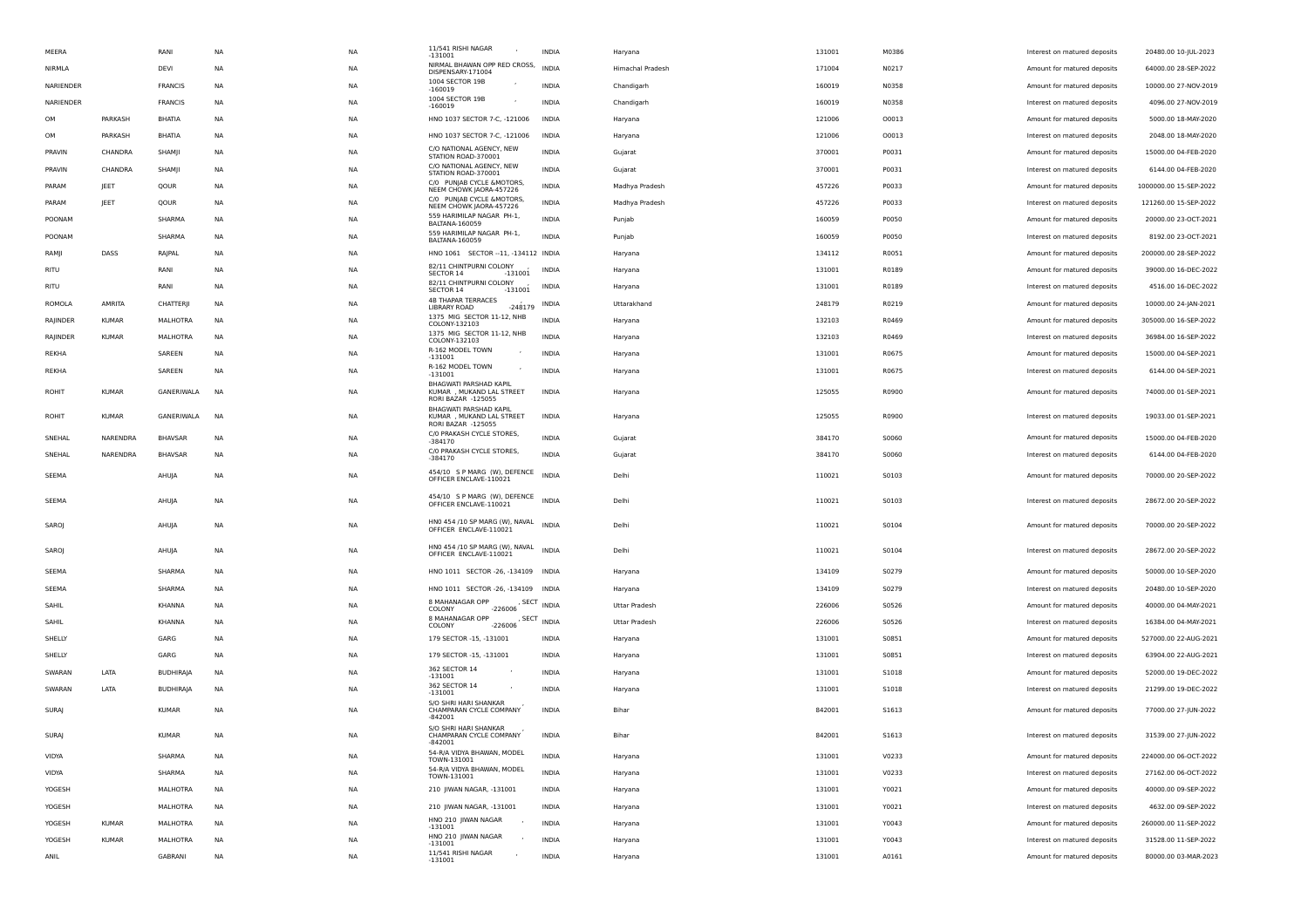| MEERA        |              | RANI             | NA        | NA        | 11/541 RISHI NAGAR<br>$-131001$                              | INDIA                                     | Haryana              | 131001 | M0386        | Interest on matured deposits | 20480.00 10-JUL-2023   |
|--------------|--------------|------------------|-----------|-----------|--------------------------------------------------------------|-------------------------------------------|----------------------|--------|--------------|------------------------------|------------------------|
| NIRMLA       |              | DEVI             | NA        | <b>NA</b> | NIRMAL BHAWAN OPP RED CROSS,<br>DISPENSARY-171004            | <b>INDIA</b>                              | Himachal Pradesh     | 171004 | N0217        | Amount for matured deposits  | 64000.00 28-SEP-2022   |
| NARIENDER    |              | FRANCIS          | NA        | NA        | 1004 SECTOR 19B<br>$-160019$                                 | INDIA                                     | Chandigarh           | 160019 | N0358        | Amount for matured deposits  | 10000.00 27-NOV-2019   |
| NARIENDER    |              | <b>FRANCIS</b>   | NA        | <b>NA</b> | 1004 SECTOR 19B<br>$-160019$                                 | <b>INDIA</b>                              | Chandigarh           | 160019 | N0358        | Interest on matured deposits | 4096.00 27-NOV-2019    |
| OM           | PARKASH      | BHATIA           | NA        | NA        | HNO 1037 SECTOR 7-C, -121006                                 | INDIA                                     | Haryana              | 121006 | 00013        | Amount for matured deposits  | 5000.00 18-MAY-2020    |
| OM           | PARKASH      | BHATIA           | NA        | NA        | HNO 1037 SECTOR 7-C, -121006                                 | INDIA                                     | Haryana              | 121006 | 00013        | Interest on matured deposits | 2048.00 18-MAY-2020    |
| PRAVIN       | CHANDRA      | SHAMJI           | NA        | <b>NA</b> | C/O NATIONAL AGENCY, NEW<br>STATION ROAD-370001              | INDIA                                     | Gujarat              | 370001 | P0031        | Amount for matured deposits  | 15000.00 04-FEB-2020   |
| PRAVIN       | CHANDRA      | SHAMJI           | NA        | NA        | C/O NATIONAL AGENCY, NEW<br>STATION ROAD-370001              | INDIA                                     | Gujarat              | 370001 | P0031        | Interest on matured deposits | 6144.00 04-FEB-2020    |
| PARAM        | JEET         | QOUR             | NA        | <b>NA</b> | C/0 PUNJAB CYCLE & MOTORS,<br>NEEM CHOWK JAORA-457226        | <b>INDIA</b>                              | Madhya Pradesh       | 457226 | P0033        | Amount for matured deposits  | 1000000.00 15-SEP-2022 |
| PARAM        | JEET         | QOUR             | NA        | NA        | C/0 PUNJAB CYCLE & MOTORS,<br>NEEM CHOWK JAORA-457226        | INDIA                                     | Madhya Pradesh       | 457226 | P0033        | Interest on matured deposits | 121260.00 15-SEP-2022  |
| POONAM       |              | SHARMA           | NA        | NA        | 559 HARIMILAP NAGAR PH-1,<br><b>BALTANA-160059</b>           | INDIA                                     | Punjab               | 160059 | P0050        | Amount for matured deposits  | 20000.00 23-OCT-2021   |
| POONAM       |              | SHARMA           | NA        | <b>NA</b> | 559 HARIMILAP NAGAR PH-1,<br>BALTANA-160059                  | INDIA                                     | Punjab               | 160059 | P0050        | Interest on matured deposits | 8192.00 23-OCT-2021    |
| RAMJI        | DASS         | RAJPAL           | NA        | NA        | HNO 1061 SECTOR -- 11, -134112 INDIA                         |                                           | Haryana              | 134112 | R0051        | Amount for matured deposits  | 200000.00 28-SEP-2022  |
| RITU         |              | RANI             | NA        | <b>NA</b> | 82/11 CHINTPURNI COLONY<br>SECTOR 14<br>$-131001$            | <b>INDIA</b>                              | Haryana              | 131001 | R0189        | Amount for matured deposits  | 39000.00 16-DEC-2022   |
| RITU         |              | RANI             | NA        | NA        | 82/11 CHINTPURNI COLONY<br>$-131001$<br>SECTOR 14            | INDIA                                     | Haryana              | 131001 | R0189        | Interest on matured deposits | 4516.00 16-DEC-2022    |
| ROMOLA       | AMRITA       | CHATTERJI        | NA        | <b>NA</b> | <b>4B THAPAR TERRACES</b><br>LIBRARY ROAD<br>$-248179$       | INDIA                                     | Uttarakhand          | 248179 | R0219        | Amount for matured deposits  | 10000.00 24-JAN-2021   |
| RAJINDER     | <b>KUMAR</b> | MALHOTRA         | NA        | NA        | 1375 MIG SECTOR 11-12, NHB<br>COLONY-132103                  | INDIA                                     | Haryana              | 132103 | R0469        | Amount for matured deposits  | 305000.00 16-SEP-2022  |
| RAJINDER     | <b>KUMAR</b> | MALHOTRA         | NA        | NA        | 1375 MIG SECTOR 11-12, NHB<br>COLONY-132103                  | <b>INDIA</b>                              | Haryana              | 132103 | R0469        | Interest on matured deposits | 36984.00 16-SEP-2022   |
| REKHA        |              | SAREEN           | NA        | <b>NA</b> | R-162 MODEL TOWN<br>$-131001$                                | <b>INDIA</b>                              | Haryana              | 131001 | R0675        | Amount for matured deposits  | 15000.00 04-SEP-2021   |
| REKHA        |              | SAREEN           | NA        | NA        | R-162 MODEL TOWN<br>$-131001$                                | <b>INDIA</b>                              | Haryana              | 131001 | R0675        | Interest on matured deposits | 6144.00 04-SEP-2021    |
| ROHIT        | <b>KUMAR</b> | GANERIWALA       | <b>NA</b> | NA        | BHAGWATI PARSHAD KAPIL<br>KUMAR , MUKAND LAL STREET          | <b>INDIA</b>                              | Haryana              | 125055 | R0900        | Amount for matured deposits  | 74000.00 01-SEP-2021   |
|              |              |                  |           |           | RORI BAZAR -125055<br>BHAGWATI PARSHAD KAPIL                 |                                           |                      |        |              |                              |                        |
| ROHIT        | <b>KUMAR</b> | GANERIWALA       | NA        | <b>NA</b> | KUMAR , MUKAND LAL STREET<br>RORI BAZAR -125055              | <b>INDIA</b>                              | Haryana              | 125055 | R0900        | Interest on matured deposits | 19033.00 01-SEP-2021   |
| SNEHAL       | NARENDRA     | <b>BHAVSAR</b>   | NA        | <b>NA</b> | C/O PRAKASH CYCLE STORES,<br>$-384170$                       | <b>INDIA</b>                              | Gujarat              | 384170 | S0060        | Amount for matured deposits  | 15000.00 04-FEB-2020   |
| SNEHAL       | NARENDRA     | <b>BHAVSAR</b>   | NA        | NA        | C/O PRAKASH CYCLE STORES,<br>$-384170$                       | INDIA                                     | Gujarat              | 384170 | S0060        | Interest on matured deposits | 6144.00 04-FEB-2020    |
| SEEMA        |              | AHUJA            | NA        | <b>NA</b> | 454/10 S P MARG (W), DEFENCE                                 | <b>INDIA</b>                              | Delhi                | 110021 | S0103        | Amount for matured deposits  | 70000.00 20-SEP-2022   |
|              |              |                  |           |           | OFFICER ENCLAVE-110021                                       |                                           |                      |        |              |                              |                        |
| SEEMA        |              | AHUJA            | NA        | <b>NA</b> | 454/10 S P MARG (W), DEFENCE INDIA<br>OFFICER ENCLAVE-110021 |                                           | Delhi                | 110021 | S0103        | Interest on matured deposits | 28672.00 20-SEP-2022   |
| SAROJ        |              | AHUJA            | NA        | NA        | HNO 454 /10 SP MARG (W), NAVAL INDIA                         |                                           | Delhi                | 110021 | S0104        | Amount for matured deposits  | 70000.00 20-SEP-2022   |
|              |              |                  |           |           | OFFICER ENCLAVE-110021                                       |                                           |                      |        |              |                              |                        |
| SAROJ        |              | AHUJA            | NA        | <b>NA</b> | HNO 454 /10 SP MARG (W), NAVAL<br>OFFICER ENCLAVE-110021     | <b>INDIA</b>                              | Delhi                | 110021 | S0104        | Interest on matured deposits | 28672.00 20-SEP-2022   |
| SEEMA        |              | SHARMA           | NA        | NA        | HNO 1011 SECTOR -26, -134109 INDIA                           |                                           | Haryana              | 134109 | S0279        | Amount for matured deposits  | 50000.00 10-SEP-2020   |
| SEEMA        |              | SHARMA           | NA        | NA        | HNO 1011 SECTOR -26, -134109 INDIA                           |                                           | Haryana              | 134109 | S0279        | Interest on matured deposits | 20480.00 10-SEP-2020   |
| SAHIL        |              | KHANNA           | NA        | <b>NA</b> | 8 MAHANAGAR OPP<br>$-226006$<br>COLONY                       | , SECT INDIA                              | <b>Uttar Pradesh</b> | 226006 | S0526        | Amount for matured deposits  | 40000.00 04-MAY-2021   |
| SAHIL        |              | KHANNA           | NA        | NA        | 8 MAHANAGAR OPP<br>$-226006$<br>COLONY                       | , $\mathsf{SECT}\xspace_{\mathsf{INDIA}}$ | Uttar Pradesh        | 226006 | S0526        | Interest on matured deposits | 16384.00 04-MAY-2021   |
| SHELLY       |              | GARG             | NA        | NA        | 179 SECTOR -15, -131001                                      | INDIA                                     | Haryana              | 131001 | S0851        | Amount for matured deposits  | 527000.00 22-AUG-2021  |
| SHELLY       |              | GARG             | NA        | <b>NA</b> | 179 SECTOR -15, -131001                                      | INDIA                                     | Haryana              | 131001 | S0851        | Interest on matured deposits | 63904.00 22-AUG-2021   |
| SWARAN       | LATA         | <b>BUDHIRAJA</b> | NA        | NA        | 362 SECTOR 14<br>$-131001$                                   | INDIA                                     | Haryana              | 131001 | S1018        | Amount for matured deposits  | 52000.00 19-DEC-2022   |
| SWARAN       | LATA         | <b>BUDHIRAJA</b> | <b>NA</b> | <b>NA</b> | 362 SECTOR 14<br>$-131001$                                   | <b>INDIA</b>                              | Haryana              | 131001 | <b>S1018</b> | Interest on matured deposits | 21299.00 19-DEC-2022   |
| <b>SURAJ</b> |              | <b>KUMAR</b>     | <b>NA</b> | <b>NA</b> | S/O SHRI HARI SHANKAR<br>CHAMPARAN CYCLE COMPANY             | <b>INDIA</b>                              | Bihar                | 842001 | <b>S1613</b> | Amount for matured deposits  | 77000.00 27-JUN-2022   |
|              |              |                  |           |           | $-842001$<br>S/O SHRI HARI SHANKAR                           |                                           |                      |        |              |                              |                        |
| SURAJ        |              | <b>KUMAR</b>     | NA        | <b>NA</b> | CHAMPARAN CYCLE COMPANY<br>$-842001$                         | <b>INDIA</b>                              | Bihar                | 842001 | S1613        | Interest on matured deposits | 31539.00 27-JUN-2022   |
| VIDYA        |              | SHARMA           | NA        | NA        | 54-R/A VIDYA BHAWAN, MODEL<br>TOWN-131001                    | <b>INDIA</b>                              | Haryana              | 131001 | V0233        | Amount for matured deposits  | 224000.00 06-OCT-2022  |
| VIDYA        |              | SHARMA           | <b>NA</b> | <b>NA</b> | 54-R/A VIDYA BHAWAN, MODEL<br>TOWN-131001                    | <b>INDIA</b>                              | Haryana              | 131001 | V0233        | Interest on matured deposits | 27162.00 06-OCT-2022   |
| YOGESH       |              | MALHOTRA         | NA        | NA        | 210 JIWAN NAGAR, -131001                                     | INDIA                                     | Haryana              | 131001 | Y0021        | Amount for matured deposits  | 40000.00 09-SEP-2022   |
| YOGESH       |              | MALHOTRA         | NA        | <b>NA</b> | 210 JIWAN NAGAR, -131001                                     | INDIA                                     | Haryana              | 131001 | Y0021        | Interest on matured deposits | 4632.00 09-SEP-2022    |
| YOGESH       | <b>KUMAR</b> | MALHOTRA         | NA        | <b>NA</b> | HNO 210 JIWAN NAGAR<br>$-131001$                             | INDIA                                     | Haryana              | 131001 | Y0043        | Amount for matured deposits  | 260000.00 11-SEP-2022  |
| YOGESH       | <b>KUMAR</b> | MALHOTRA         | NA        | NA        | HNO 210 JIWAN NAGAR<br>-131001                               | INDIA                                     | Haryana              | 131001 | Y0043        | Interest on matured deposits | 31528.00 11-SEP-2022   |
| ANIL         |              | GABRANI          | NA        | <b>NA</b> | 11/541 RISHI NAGAR<br>$-131001$                              | <b>INDIA</b>                              | Haryana              | 131001 | A0161        | Amount for matured deposits  | 80000.00 03-MAR-2023   |